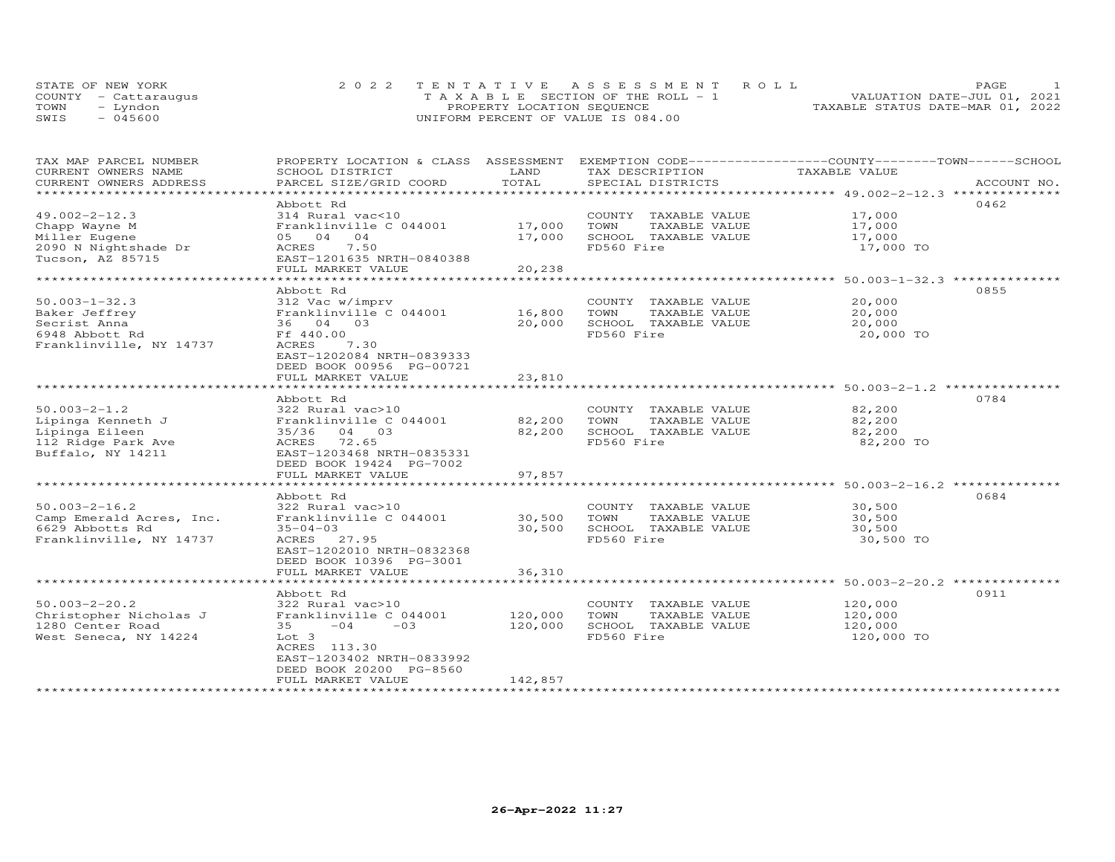|      | STATE OF NEW YORK    | 2022 TENTATIVE ASSESSMENT ROLL        | PAGE                             |
|------|----------------------|---------------------------------------|----------------------------------|
|      | COUNTY - Cattaraugus | T A X A B L E SECTION OF THE ROLL - 1 | VALUATION DATE-JUL 01, 2021      |
| TOWN | – Lyndon             | PROPERTY LOCATION SEQUENCE            | TAXABLE STATUS DATE-MAR 01, 2022 |
| SWIS | $-045600$            | UNIFORM PERCENT OF VALUE IS 084.00    |                                  |

| TAX MAP PARCEL NUMBER    | PROPERTY LOCATION & CLASS ASSESSMENT |             | EXEMPTION CODE-----------------COUNTY-------TOWN------SCHOOL |                                               |             |
|--------------------------|--------------------------------------|-------------|--------------------------------------------------------------|-----------------------------------------------|-------------|
| CURRENT OWNERS NAME      | SCHOOL DISTRICT                      | LAND        | TAX DESCRIPTION                                              | TAXABLE VALUE                                 |             |
| CURRENT OWNERS ADDRESS   | PARCEL SIZE/GRID COORD               | TOTAL       | SPECIAL DISTRICTS                                            |                                               | ACCOUNT NO. |
| ***********************  |                                      |             |                                                              |                                               |             |
|                          | Abbott Rd                            |             |                                                              |                                               | 0462        |
| $49.002 - 2 - 12.3$      | 314 Rural vac<10                     |             | COUNTY TAXABLE VALUE                                         | 17,000                                        |             |
| Chapp Wayne M            | Franklinville C 044001               | 17,000      | TAXABLE VALUE<br>TOWN                                        | 17,000                                        |             |
| Miller Eugene            | 05 04<br>04                          | 17,000      | SCHOOL TAXABLE VALUE                                         | 17,000                                        |             |
| 2090 N Nightshade Dr     | 7.50<br>ACRES                        |             | FD560 Fire                                                   | 17,000 TO                                     |             |
| Tucson, AZ 85715         | EAST-1201635 NRTH-0840388            |             |                                                              |                                               |             |
|                          | FULL MARKET VALUE                    | 20,238      |                                                              |                                               |             |
|                          | **********************               | *********** |                                                              | ***************** 50.003-1-32.3 ************* |             |
|                          |                                      |             |                                                              |                                               | 0855        |
|                          | Abbott Rd                            |             |                                                              |                                               |             |
| $50.003 - 1 - 32.3$      | 312 Vac w/imprv                      |             | COUNTY TAXABLE VALUE                                         | 20,000                                        |             |
| Baker Jeffrey            | Franklinville C 044001               | 16,800      | TOWN<br>TAXABLE VALUE                                        | 20,000                                        |             |
| Secrist Anna             | 36 04 03                             | 20,000      | SCHOOL TAXABLE VALUE                                         | 20,000                                        |             |
| 6948 Abbott Rd           | Ff 440.00                            |             | FD560 Fire                                                   | 20,000 TO                                     |             |
| Franklinville, NY 14737  | ACRES<br>7.30                        |             |                                                              |                                               |             |
|                          | EAST-1202084 NRTH-0839333            |             |                                                              |                                               |             |
|                          | DEED BOOK 00956 PG-00721             |             |                                                              |                                               |             |
|                          | FULL MARKET VALUE                    | 23,810      |                                                              |                                               |             |
|                          |                                      |             |                                                              |                                               |             |
|                          | Abbott Rd                            |             |                                                              |                                               | 0784        |
| $50.003 - 2 - 1.2$       | 322 Rural vac>10                     |             | COUNTY TAXABLE VALUE                                         | 82,200                                        |             |
| Lipinga Kenneth J        | Franklinville C 044001               | 82,200      | TOWN<br>TAXABLE VALUE                                        | 82,200                                        |             |
| Lipinga Eileen           | 35/36 04 03                          | 82,200      | SCHOOL TAXABLE VALUE                                         | 82,200                                        |             |
| 112 Ridge Park Ave       | 72.65<br>ACRES                       |             | FD560 Fire                                                   | 82,200 TO                                     |             |
| Buffalo, NY 14211        | EAST-1203468 NRTH-0835331            |             |                                                              |                                               |             |
|                          | DEED BOOK 19424 PG-7002              |             |                                                              |                                               |             |
|                          |                                      |             |                                                              |                                               |             |
|                          | FULL MARKET VALUE                    | 97,857      |                                                              |                                               |             |
|                          |                                      |             |                                                              |                                               |             |
|                          | Abbott Rd                            |             |                                                              |                                               | 0684        |
| $50.003 - 2 - 16.2$      | 322 Rural vac>10                     |             | COUNTY TAXABLE VALUE                                         | 30,500                                        |             |
| Camp Emerald Acres, Inc. | Franklinville C 044001               | 30,500      | TOWN<br>TAXABLE VALUE                                        | 30,500                                        |             |
| 6629 Abbotts Rd          | $35 - 04 - 03$                       | 30,500      | SCHOOL TAXABLE VALUE                                         | 30,500                                        |             |
| Franklinville, NY 14737  | ACRES 27.95                          |             | FD560 Fire                                                   | 30,500 TO                                     |             |
|                          | EAST-1202010 NRTH-0832368            |             |                                                              |                                               |             |
|                          | DEED BOOK 10396 PG-3001              |             |                                                              |                                               |             |
|                          | FULL MARKET VALUE                    | 36,310      |                                                              |                                               |             |
|                          |                                      |             |                                                              |                                               |             |
|                          | Abbott Rd                            |             |                                                              |                                               | 0911        |
| $50.003 - 2 - 20.2$      | 322 Rural vac>10                     |             | COUNTY TAXABLE VALUE                                         | 120,000                                       |             |
| Christopher Nicholas J   | Franklinville C 044001               | 120,000     | TOWN<br>TAXABLE VALUE                                        | 120,000                                       |             |
| 1280 Center Road         | $-04$<br>$-0.3$<br>35                | 120,000     | SCHOOL TAXABLE VALUE                                         | 120,000                                       |             |
|                          |                                      |             | FD560 Fire                                                   |                                               |             |
| West Seneca, NY 14224    | Lot 3                                |             |                                                              | 120,000 TO                                    |             |
|                          | ACRES 113.30                         |             |                                                              |                                               |             |
|                          | EAST-1203402 NRTH-0833992            |             |                                                              |                                               |             |
|                          | DEED BOOK 20200 PG-8560              |             |                                                              |                                               |             |
|                          | FULL MARKET VALUE                    | 142,857     |                                                              |                                               |             |
|                          | ******************                   |             |                                                              |                                               |             |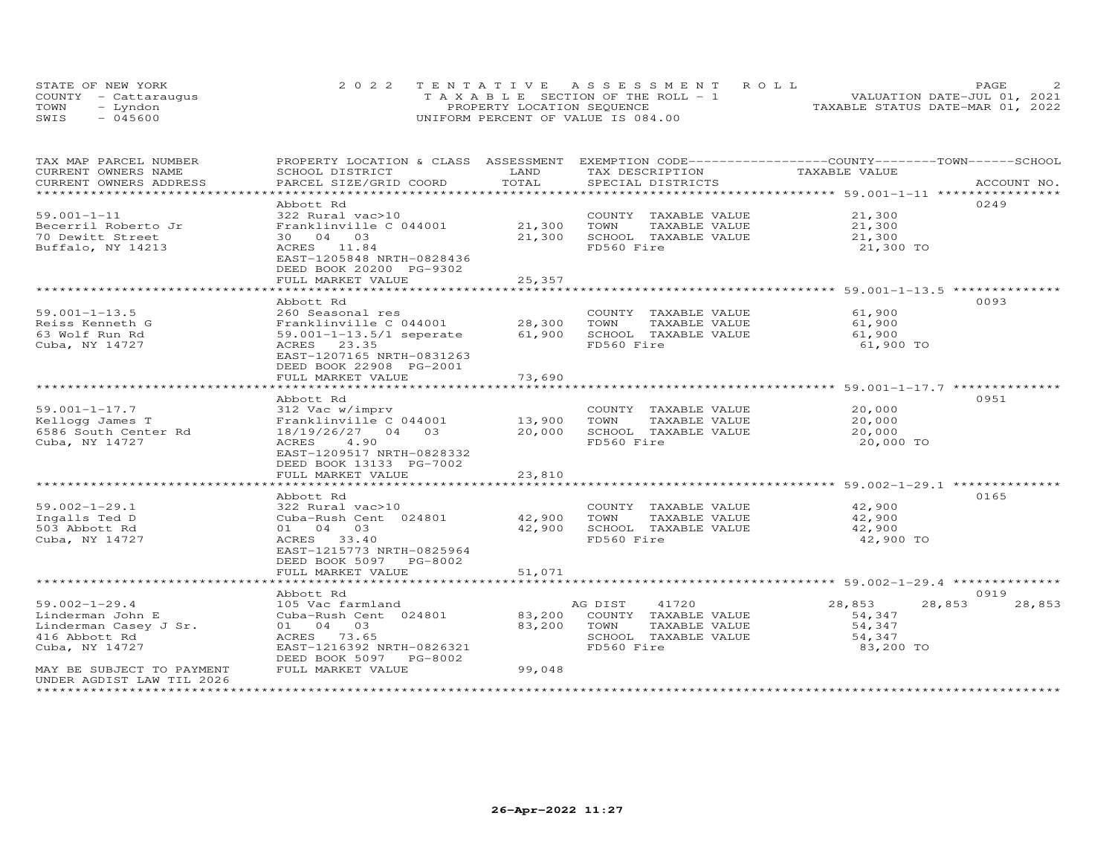|      | STATE OF NEW YORK    | 2022 TENTATIVE ASSESSMENT ROLL        | PAGE                             |  |
|------|----------------------|---------------------------------------|----------------------------------|--|
|      | COUNTY - Cattaraugus | T A X A B L E SECTION OF THE ROLL - 1 | VALUATION DATE-JUL 01, 2021      |  |
| TOWN | – Lyndon             | PROPERTY LOCATION SEQUENCE            | TAXABLE STATUS DATE-MAR 01, 2022 |  |
| SWIS | $-045600$            | UNIFORM PERCENT OF VALUE IS 084.00    |                                  |  |

| TAX MAP PARCEL NUMBER<br>CURRENT OWNERS NAME | PROPERTY LOCATION & CLASS ASSESSMENT EXEMPTION CODE-----------------COUNTY-------TOWN------SCHOOL<br>SCHOOL DISTRICT | LAND   | TAX DESCRIPTION       | TAXABLE VALUE                                          |                          |
|----------------------------------------------|----------------------------------------------------------------------------------------------------------------------|--------|-----------------------|--------------------------------------------------------|--------------------------|
| CURRENT OWNERS ADDRESS                       | PARCEL SIZE/GRID COORD                                                                                               | TOTAL  | SPECIAL DISTRICTS     |                                                        | ACCOUNT NO.              |
|                                              |                                                                                                                      |        |                       |                                                        |                          |
|                                              | Abbott Rd                                                                                                            |        |                       |                                                        | 0249                     |
| $59.001 - 1 - 11$                            | 322 Rural vac>10                                                                                                     |        | COUNTY TAXABLE VALUE  | 21,300                                                 |                          |
| Becerril Roberto Jr                          | Franklinville C 044001                                                                                               | 21,300 | TOWN<br>TAXABLE VALUE | 21,300                                                 |                          |
| 70 Dewitt Street                             | 30 04 03                                                                                                             | 21,300 | SCHOOL TAXABLE VALUE  | 21,300                                                 |                          |
| Buffalo, NY 14213                            | ACRES 11.84                                                                                                          |        | FD560 Fire            | 21,300 TO                                              |                          |
|                                              | EAST-1205848 NRTH-0828436                                                                                            |        |                       |                                                        |                          |
|                                              | DEED BOOK 20200 PG-9302                                                                                              |        |                       |                                                        |                          |
|                                              | FULL MARKET VALUE<br>*******************                                                                             | 25,357 |                       | *********************** 59.001-1-13.5 *********        |                          |
|                                              | Abbott Rd                                                                                                            |        |                       |                                                        | 0093                     |
| $59.001 - 1 - 13.5$                          | 260 Seasonal res                                                                                                     |        | COUNTY TAXABLE VALUE  | 61,900                                                 |                          |
| Reiss Kenneth G                              | Franklinville C 044001                                                                                               | 28,300 | TOWN<br>TAXABLE VALUE | 61,900                                                 |                          |
| 63 Wolf Run Rd                               | $59.001 - 1 - 13.5/1$ seperate                                                                                       | 61,900 | SCHOOL TAXABLE VALUE  | 61,900                                                 |                          |
| Cuba, NY 14727                               | 23.35<br>ACRES                                                                                                       |        | FD560 Fire            | 61,900 TO                                              |                          |
|                                              | EAST-1207165 NRTH-0831263                                                                                            |        |                       |                                                        |                          |
|                                              | DEED BOOK 22908 PG-2001                                                                                              |        |                       |                                                        |                          |
|                                              | FULL MARKET VALUE                                                                                                    | 73,690 |                       |                                                        |                          |
|                                              |                                                                                                                      |        |                       |                                                        |                          |
|                                              | Abbott Rd                                                                                                            |        |                       |                                                        | 0951                     |
| $59.001 - 1 - 17.7$                          | 312 Vac w/imprv                                                                                                      |        | COUNTY TAXABLE VALUE  | 20,000                                                 |                          |
| Kellogg James T                              | Franklinville C 044001                                                                                               | 13,900 | TOWN<br>TAXABLE VALUE | 20,000                                                 |                          |
| 6586 South Center Rd                         | 18/19/26/27 04 03                                                                                                    | 20,000 | SCHOOL TAXABLE VALUE  | 20,000                                                 |                          |
| Cuba, NY 14727                               | 4.90<br>ACRES                                                                                                        |        | FD560 Fire            | 20,000 TO                                              |                          |
|                                              | EAST-1209517 NRTH-0828332<br>DEED BOOK 13133 PG-7002                                                                 |        |                       |                                                        |                          |
|                                              | FULL MARKET VALUE                                                                                                    | 23,810 |                       |                                                        |                          |
|                                              |                                                                                                                      |        |                       | ************************ 59.002-1-29.1 *************** |                          |
|                                              | Abbott Rd                                                                                                            |        |                       |                                                        | 0165                     |
| $59.002 - 1 - 29.1$                          | 322 Rural vac>10                                                                                                     |        | COUNTY TAXABLE VALUE  | 42,900                                                 |                          |
| Ingalls Ted D                                | Cuba-Rush Cent 024801                                                                                                | 42,900 | TAXABLE VALUE<br>TOWN | 42,900                                                 |                          |
| 503 Abbott Rd                                | 01 04 03                                                                                                             | 42,900 | SCHOOL TAXABLE VALUE  | 42,900                                                 |                          |
| Cuba, NY 14727                               | ACRES 33.40                                                                                                          |        | FD560 Fire            | 42,900 TO                                              |                          |
|                                              | EAST-1215773 NRTH-0825964                                                                                            |        |                       |                                                        |                          |
|                                              | DEED BOOK 5097<br>PG-8002                                                                                            |        |                       |                                                        |                          |
|                                              | FULL MARKET VALUE<br>**********************                                                                          | 51,071 |                       |                                                        |                          |
|                                              |                                                                                                                      |        |                       |                                                        |                          |
| $59.002 - 1 - 29.4$                          | Abbott Rd<br>105 Vac farmland                                                                                        |        | AG DIST<br>41720      | 28,853                                                 | 0919<br>28,853<br>28,853 |
| Linderman John E                             | Cuba-Rush Cent 024801                                                                                                | 83,200 | COUNTY TAXABLE VALUE  | 54,347                                                 |                          |
| Linderman Casey J Sr.                        | 01 04 03                                                                                                             | 83,200 | TOWN<br>TAXABLE VALUE | 54,347                                                 |                          |
| 416 Abbott Rd                                | ACRES 73.65                                                                                                          |        | SCHOOL TAXABLE VALUE  | 54,347                                                 |                          |
| Cuba, NY 14727                               | EAST-1216392 NRTH-0826321                                                                                            |        | FD560 Fire            | 83,200 TO                                              |                          |
|                                              | DEED BOOK 5097 PG-8002                                                                                               |        |                       |                                                        |                          |
| MAY BE SUBJECT TO PAYMENT                    | FULL MARKET VALUE                                                                                                    | 99,048 |                       |                                                        |                          |
| UNDER AGDIST LAW TIL 2026                    |                                                                                                                      |        |                       |                                                        |                          |
|                                              |                                                                                                                      |        |                       |                                                        |                          |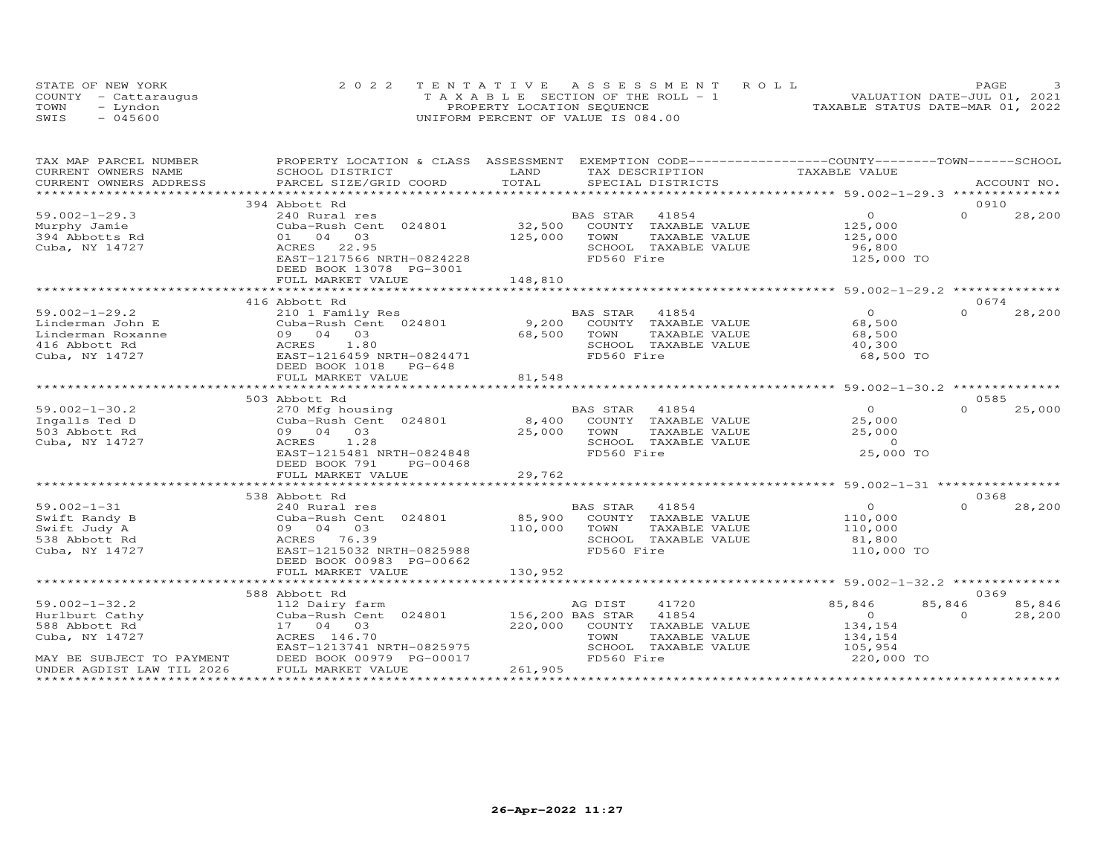|      | STATE OF NEW YORK    | 2022 TENTATIVE ASSESSMENT ROLL        | PAGE.                            |  |
|------|----------------------|---------------------------------------|----------------------------------|--|
|      | COUNTY - Cattarauqus | T A X A B L E SECTION OF THE ROLL - 1 | VALUATION DATE-JUL 01, 2021      |  |
| TOWN | - Lyndon             | PROPERTY LOCATION SEQUENCE            | TAXABLE STATUS DATE-MAR 01, 2022 |  |
| SWIS | $-045600$            | UNIFORM PERCENT OF VALUE IS 084.00    |                                  |  |

| TAX MAP PARCEL NUMBER     | PROPERTY LOCATION & CLASS ASSESSMENT EXEMPTION CODE----------------COUNTY-------TOWN-----SCHOOL |                  |                            |               |                |          |             |
|---------------------------|-------------------------------------------------------------------------------------------------|------------------|----------------------------|---------------|----------------|----------|-------------|
| CURRENT OWNERS NAME       | SCHOOL DISTRICT                                                                                 | LAND             | TAX DESCRIPTION            |               | TAXABLE VALUE  |          |             |
| CURRENT OWNERS ADDRESS    | PARCEL SIZE/GRID COORD                                                                          | TOTAL            | SPECIAL DISTRICTS          |               |                |          | ACCOUNT NO. |
|                           |                                                                                                 |                  |                            |               |                |          |             |
|                           | 394 Abbott Rd                                                                                   |                  |                            |               |                | 0910     |             |
| $59.002 - 1 - 29.3$       | 240 Rural res                                                                                   |                  | 41854<br>BAS STAR          |               | $\overline{O}$ | $\Omega$ | 28,200      |
| Murphy Jamie              | Cuba-Rush Cent 024801                                                                           | 32,500           | COUNTY TAXABLE VALUE       |               | 125,000        |          |             |
| 394 Abbotts Rd            | 03<br>01 04                                                                                     | 125,000          | TOWN                       | TAXABLE VALUE | 125,000        |          |             |
| Cuba, NY 14727            | ACRES 22.95                                                                                     |                  | SCHOOL TAXABLE VALUE       |               | 96,800         |          |             |
|                           | EAST-1217566 NRTH-0824228                                                                       |                  | FD560 Fire                 |               | 125,000 TO     |          |             |
|                           | DEED BOOK 13078 PG-3001                                                                         |                  |                            |               |                |          |             |
|                           | FULL MARKET VALUE                                                                               | 148,810          |                            |               |                |          |             |
|                           |                                                                                                 |                  |                            |               |                |          |             |
|                           | 416 Abbott Rd                                                                                   |                  |                            |               |                | 0674     |             |
| $59.002 - 1 - 29.2$       | 210 1 Family Res                                                                                |                  | <b>BAS STAR</b><br>41854   |               | $\overline{O}$ | $\Omega$ | 28,200      |
| Linderman John E          | Cuba-Rush Cent 024801                                                                           | 9,200            | COUNTY TAXABLE VALUE       |               | 68,500         |          |             |
| Linderman Roxanne         | 09 04 03                                                                                        | 68,500           | TOWN                       | TAXABLE VALUE | 68,500         |          |             |
| 416 Abbott Rd             | ACRES<br>1.80                                                                                   |                  | SCHOOL TAXABLE VALUE       |               | 40,300         |          |             |
| Cuba, NY 14727            | EAST-1216459 NRTH-0824471                                                                       |                  | FD560 Fire                 |               | 68,500 TO      |          |             |
|                           | DEED BOOK 1018 PG-648                                                                           |                  |                            |               |                |          |             |
|                           | FULL MARKET VALUE                                                                               | 81,548           |                            |               |                |          |             |
|                           |                                                                                                 |                  |                            |               |                |          |             |
|                           | 503 Abbott Rd                                                                                   |                  |                            |               |                | 0585     |             |
| $59.002 - 1 - 30.2$       | 270 Mfg housing                                                                                 |                  | BAS STAR<br>41854          |               | $\overline{O}$ | $\Omega$ | 25,000      |
| Ingalls Ted D             | Cuba-Rush Cent 024801                                                                           |                  | 8,400 COUNTY TAXABLE VALUE |               | 25,000         |          |             |
| 503 Abbott Rd             | 09 04 03                                                                                        | 25,000           | TOWN                       | TAXABLE VALUE | 25,000         |          |             |
| Cuba, NY 14727            | ACRES 1.28                                                                                      |                  | SCHOOL TAXABLE VALUE       |               | $\overline{0}$ |          |             |
|                           | EAST-1215481 NRTH-0824848                                                                       |                  | FD560 Fire                 |               | 25,000 TO      |          |             |
|                           | DEED BOOK 791<br>PG-00468                                                                       |                  |                            |               |                |          |             |
|                           | FULL MARKET VALUE                                                                               | 29,762           |                            |               |                |          |             |
|                           |                                                                                                 |                  |                            |               |                |          |             |
|                           | 538 Abbott Rd                                                                                   |                  |                            |               |                | 0368     |             |
| $59.002 - 1 - 31$         | 240 Rural res                                                                                   |                  | BAS STAR<br>41854          |               | $\overline{O}$ | $\cap$   | 28,200      |
| Swift Randy B             | Cuba-Rush Cent 024801                                                                           | 85,900           | COUNTY TAXABLE VALUE       |               | 110,000        |          |             |
| Swift Judy A              | 09 04 03                                                                                        | 110,000          | TOWN                       | TAXABLE VALUE | 110,000        |          |             |
| 538 Abbott Rd             | ACRES 76.39                                                                                     |                  | SCHOOL TAXABLE VALUE       |               | 81,800         |          |             |
| Cuba, NY 14727            | EAST-1215032 NRTH-0825988                                                                       |                  | FD560 Fire                 |               | 110,000 TO     |          |             |
|                           | DEED BOOK 00983 PG-00662                                                                        |                  |                            |               |                |          |             |
|                           | FULL MARKET VALUE                                                                               | 130,952          |                            |               |                |          |             |
|                           |                                                                                                 |                  |                            |               |                |          |             |
|                           | 588 Abbott Rd                                                                                   |                  |                            |               |                | 0369     |             |
| $59.002 - 1 - 32.2$       | 112 Dairy farm                                                                                  |                  | AG DIST<br>41720           |               | 85,846         | 85,846   | 85,846      |
| Hurlburt Cathy            | Cuba-Rush Cent 024801                                                                           | 156,200 BAS STAR | 41854                      |               | $\overline{0}$ | $\Omega$ | 28,200      |
| 588 Abbott Rd             | 17 04 03                                                                                        | 220,000          | COUNTY TAXABLE VALUE       |               | 134,154        |          |             |
| Cuba, NY 14727            | ACRES 146.70                                                                                    |                  | TOWN                       | TAXABLE VALUE | 134,154        |          |             |
|                           | EAST-1213741 NRTH-0825975                                                                       |                  | SCHOOL TAXABLE VALUE       |               | 105,954        |          |             |
| MAY BE SUBJECT TO PAYMENT | DEED BOOK 00979 PG-00017                                                                        |                  | FD560 Fire                 |               | 220,000 TO     |          |             |
| UNDER AGDIST LAW TIL 2026 | FULL MARKET VALUE                                                                               | 261,905          |                            |               |                |          |             |
|                           |                                                                                                 |                  |                            |               |                |          |             |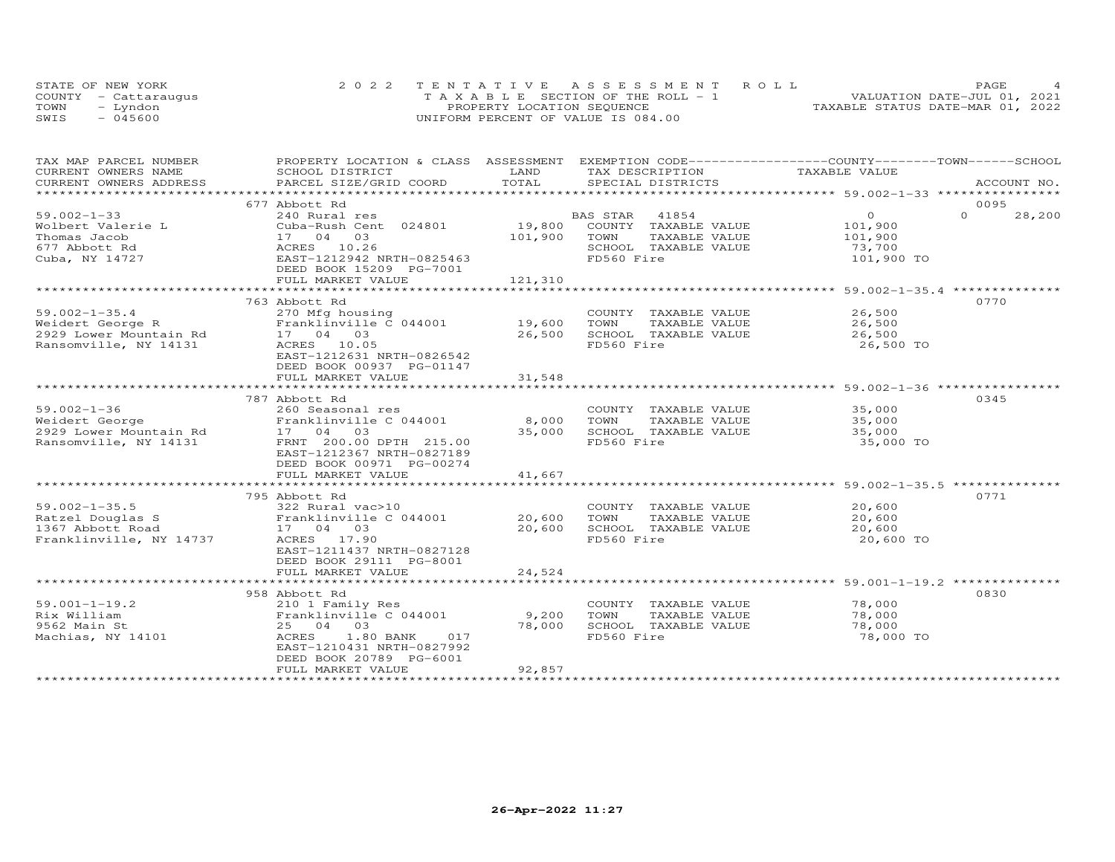| STATE OF NEW YORK    | 2022 TENTATIVE ASSESSMENT ROLL        |                                  | PAGE. |  |
|----------------------|---------------------------------------|----------------------------------|-------|--|
| COUNTY - Cattarauqus | T A X A B L E SECTION OF THE ROLL - 1 | VALUATION DATE-JUL 01, 2021      |       |  |
| TOWN<br>- Lyndon     | PROPERTY LOCATION SEQUENCE            | TAXABLE STATUS DATE-MAR 01, 2022 |       |  |
| $-045600$<br>SWIS    | UNIFORM PERCENT OF VALUE IS 084.00    |                                  |       |  |

| TAX MAP PARCEL NUMBER   | PROPERTY LOCATION & CLASS ASSESSMENT EXEMPTION CODE----------------COUNTY-------TOWN-----SCHOOL |         |                             |               |          |             |
|-------------------------|-------------------------------------------------------------------------------------------------|---------|-----------------------------|---------------|----------|-------------|
| CURRENT OWNERS NAME     | SCHOOL DISTRICT                                                                                 | LAND    | TAX DESCRIPTION             | TAXABLE VALUE |          |             |
| CURRENT OWNERS ADDRESS  | PARCEL SIZE/GRID COORD                                                                          | TOTAL   | SPECIAL DISTRICTS           |               |          | ACCOUNT NO. |
|                         |                                                                                                 |         |                             |               |          |             |
|                         | 677 Abbott Rd                                                                                   |         |                             |               | 0095     |             |
| $59.002 - 1 - 33$       | 240 Rural res                                                                                   |         | 41854<br>BAS STAR           | $\circ$       | $\Omega$ | 28,200      |
| Wolbert Valerie L       | Cuba-Rush Cent 024801                                                                           |         | 19,800 COUNTY TAXABLE VALUE | 101,900       |          |             |
| Thomas Jacob            | 17 04 03                                                                                        | 101,900 | TAXABLE VALUE<br>TOWN       | 101,900       |          |             |
| 677 Abbott Rd           | ACRES 10.26                                                                                     |         | SCHOOL TAXABLE VALUE        | 73,700        |          |             |
|                         | EAST-1212942 NRTH-0825463                                                                       |         | FD560 Fire                  | 101,900 TO    |          |             |
| Cuba, NY 14727          | DEED BOOK 15209 PG-7001                                                                         |         |                             |               |          |             |
|                         |                                                                                                 |         |                             |               |          |             |
|                         | FULL MARKET VALUE                                                                               | 121,310 |                             |               |          |             |
|                         |                                                                                                 |         |                             |               |          |             |
|                         | 763 Abbott Rd                                                                                   |         |                             |               | 0770     |             |
| $59.002 - 1 - 35.4$     | 270 Mfg housing                                                                                 |         | COUNTY TAXABLE VALUE        | 26,500        |          |             |
| Weidert George R        | Franklinville C 044001                                                                          | 19,600  | TAXABLE VALUE<br>TOWN       | 26,500        |          |             |
| 2929 Lower Mountain Rd  | 17 04 03                                                                                        | 26,500  | SCHOOL TAXABLE VALUE        | 26,500        |          |             |
| Ransomville, NY 14131   | ACRES 10.05                                                                                     |         | FD560 Fire                  | 26,500 TO     |          |             |
|                         | EAST-1212631 NRTH-0826542                                                                       |         |                             |               |          |             |
|                         | DEED BOOK 00937 PG-01147                                                                        |         |                             |               |          |             |
|                         | FULL MARKET VALUE                                                                               | 31,548  |                             |               |          |             |
|                         |                                                                                                 |         |                             |               |          |             |
|                         | 787 Abbott Rd                                                                                   |         |                             |               | 0345     |             |
| $59.002 - 1 - 36$       | 260 Seasonal res                                                                                |         | COUNTY TAXABLE VALUE        | 35,000        |          |             |
|                         | Franklinville C 044001                                                                          | 8,000   | TOWN<br>TAXABLE VALUE       | 35,000        |          |             |
| Weidert George          |                                                                                                 |         |                             |               |          |             |
| 2929 Lower Mountain Rd  | 17 04 03                                                                                        | 35,000  | SCHOOL TAXABLE VALUE        | 35,000        |          |             |
| Ransomville, NY 14131   | FRNT 200.00 DPTH 215.00                                                                         |         | FD560 Fire                  | 35,000 TO     |          |             |
|                         | EAST-1212367 NRTH-0827189                                                                       |         |                             |               |          |             |
|                         | DEED BOOK 00971 PG-00274                                                                        |         |                             |               |          |             |
|                         | FULL MARKET VALUE                                                                               | 41,667  |                             |               |          |             |
|                         |                                                                                                 |         |                             |               |          |             |
|                         | 795 Abbott Rd                                                                                   |         |                             |               | 0771     |             |
| $59.002 - 1 - 35.5$     | 322 Rural vac>10                                                                                |         | COUNTY TAXABLE VALUE        | 20,600        |          |             |
| Ratzel Douglas S        | Franklinville C 044001                                                                          | 20,600  | TOWN<br>TAXABLE VALUE       | 20,600        |          |             |
| 1367 Abbott Road        | 17 04 03                                                                                        | 20,600  | SCHOOL TAXABLE VALUE        | 20,600        |          |             |
| Franklinville, NY 14737 | ACRES 17.90                                                                                     |         | FD560 Fire                  | 20,600 TO     |          |             |
|                         | EAST-1211437 NRTH-0827128                                                                       |         |                             |               |          |             |
|                         | DEED BOOK 29111 PG-8001                                                                         |         |                             |               |          |             |
|                         | FULL MARKET VALUE                                                                               | 24,524  |                             |               |          |             |
|                         |                                                                                                 |         |                             |               |          |             |
|                         | 958 Abbott Rd                                                                                   |         |                             |               | 0830     |             |
| $59.001 - 1 - 19.2$     |                                                                                                 |         |                             | 78,000        |          |             |
|                         | 210 1 Family Res                                                                                |         | COUNTY TAXABLE VALUE        |               |          |             |
| Rix William             | Franklinville C 044001                                                                          | 9,200   | TOWN<br>TAXABLE VALUE       | 78,000        |          |             |
| 9562 Main St            | 25 04 03                                                                                        | 78,000  | SCHOOL TAXABLE VALUE        | 78,000        |          |             |
| Machias, NY 14101       | 1.80 BANK<br>ACRES<br>017                                                                       |         | FD560 Fire                  | 78,000 TO     |          |             |
|                         | EAST-1210431 NRTH-0827992                                                                       |         |                             |               |          |             |
|                         | DEED BOOK 20789 PG-6001                                                                         |         |                             |               |          |             |
|                         | FULL MARKET VALUE                                                                               | 92,857  |                             |               |          |             |
|                         |                                                                                                 |         |                             |               |          |             |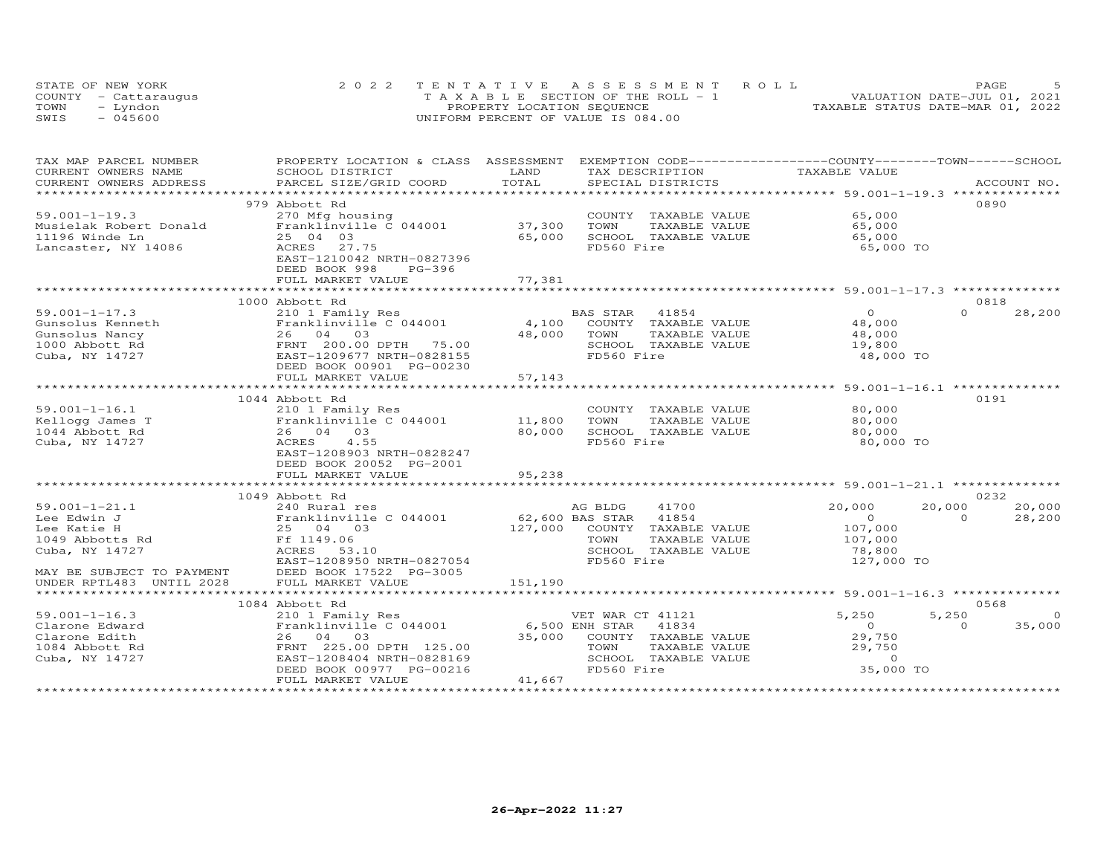|      | STATE OF NEW YORK    | 2022 TENTATIVE ASSESSMENT ROLL        | PAGE.                            |  |
|------|----------------------|---------------------------------------|----------------------------------|--|
|      | COUNTY - Cattarauqus | T A X A B L E SECTION OF THE ROLL - 1 | VALUATION DATE-JUL 01, 2021      |  |
| TOWN | – Lyndon             | PROPERTY LOCATION SEQUENCE            | TAXABLE STATUS DATE-MAR 01, 2022 |  |
| SWIS | $-045600$            | UNIFORM PERCENT OF VALUE IS 084.00    |                                  |  |

| TAX MAP PARCEL NUMBER     | PROPERTY LOCATION & CLASS ASSESSMENT EXEMPTION CODE----------------COUNTY-------TOWN-----SCHOOL |                 |                              |                |                    |
|---------------------------|-------------------------------------------------------------------------------------------------|-----------------|------------------------------|----------------|--------------------|
| CURRENT OWNERS NAME       | SCHOOL DISTRICT                                                                                 | LAND            | TAX DESCRIPTION              | TAXABLE VALUE  |                    |
| CURRENT OWNERS ADDRESS    | PARCEL SIZE/GRID COORD                                                                          | TOTAL           | SPECIAL DISTRICTS            |                | ACCOUNT NO.        |
|                           |                                                                                                 |                 |                              |                |                    |
|                           | 979 Abbott Rd                                                                                   |                 |                              |                | 0890               |
| $59.001 - 1 - 19.3$       | 270 Mfg housing                                                                                 |                 | COUNTY TAXABLE VALUE         | 65,000         |                    |
| Musielak Robert Donald    | Franklinville C 044001                                                                          | 37,300          | TAXABLE VALUE<br>TOWN        | 65,000         |                    |
| 11196 Winde Ln            | 25 04 03                                                                                        | 65,000          | SCHOOL TAXABLE VALUE         | 65,000         |                    |
| Lancaster, NY 14086       | ACRES 27.75                                                                                     |                 | FD560 Fire                   | 65,000 TO      |                    |
|                           | EAST-1210042 NRTH-0827396                                                                       |                 |                              |                |                    |
|                           | DEED BOOK 998<br>$PG-396$                                                                       |                 |                              |                |                    |
|                           | FULL MARKET VALUE                                                                               | 77,381          |                              |                |                    |
|                           |                                                                                                 |                 |                              |                |                    |
|                           |                                                                                                 |                 |                              |                |                    |
|                           | 1000 Abbott Rd                                                                                  |                 |                              |                | 0818               |
| $59.001 - 1 - 17.3$       | 210 1 Family Res                                                                                |                 | 41854<br>BAS STAR            | $\circ$        | $\Omega$<br>28,200 |
| Gunsolus Kenneth          | Franklinville C 044001                                                                          | 4,100           | COUNTY TAXABLE VALUE         | 48,000         |                    |
| Gunsolus Nancy            | 26 04 03                                                                                        | 48,000          | TOWN<br>TAXABLE VALUE        | 48,000         |                    |
| 1000 Abbott Rd            | FRNT 200.00 DPTH 75.00                                                                          |                 | SCHOOL TAXABLE VALUE         | 19,800         |                    |
| Cuba, NY 14727            | EAST-1209677 NRTH-0828155                                                                       |                 | FD560 Fire                   | 48,000 TO      |                    |
|                           | DEED BOOK 00901 PG-00230                                                                        |                 |                              |                |                    |
|                           | FULL MARKET VALUE                                                                               | 57,143          |                              |                |                    |
|                           | ************************                                                                        | *************   |                              |                |                    |
|                           | 1044 Abbott Rd                                                                                  |                 |                              |                | 0191               |
| $59.001 - 1 - 16.1$       | 210 1 Family Res                                                                                |                 | COUNTY TAXABLE VALUE         | 80,000         |                    |
| Kellogg James T           | Franklinville C 044001                                                                          | 11,800          | TOWN<br>TAXABLE VALUE        | 80,000         |                    |
| 1044 Abbott Rd            | 26 04 03                                                                                        | 80,000          | SCHOOL TAXABLE VALUE         | 80,000         |                    |
|                           |                                                                                                 |                 |                              |                |                    |
| Cuba, NY 14727            | 4.55<br>ACRES                                                                                   |                 | FD560 Fire                   | 80,000 TO      |                    |
|                           | EAST-1208903 NRTH-0828247                                                                       |                 |                              |                |                    |
|                           | DEED BOOK 20052 PG-2001                                                                         |                 |                              |                |                    |
|                           | FULL MARKET VALUE                                                                               | 95,238          |                              |                |                    |
|                           |                                                                                                 |                 |                              |                |                    |
|                           | 1049 Abbott Rd                                                                                  |                 |                              |                | 0232               |
| $59.001 - 1 - 21.1$       | 240 Rural res                                                                                   |                 | AG BLDG<br>41700             | 20,000         | 20,000<br>20,000   |
| Lee Edwin J               | Franklinville C 044001                                                                          | 62,600 BAS STAR | 41854                        | $\overline{0}$ | $\Omega$<br>28,200 |
| Lee Katie H               | 25 04 03                                                                                        |                 | 127,000 COUNTY TAXABLE VALUE | 107,000        |                    |
| 1049 Abbotts Rd           | Ff 1149.06                                                                                      |                 | TOWN<br>TAXABLE VALUE        | 107,000        |                    |
| Cuba, NY 14727            | ACRES 53.10                                                                                     |                 | SCHOOL TAXABLE VALUE         | 78,800         |                    |
|                           | EAST-1208950 NRTH-0827054                                                                       |                 | FD560 Fire                   | 127,000 TO     |                    |
| MAY BE SUBJECT TO PAYMENT | DEED BOOK 17522 PG-3005                                                                         |                 |                              |                |                    |
| UNDER RPTL483 UNTIL 2028  | FULL MARKET VALUE                                                                               | 151,190         |                              |                |                    |
|                           |                                                                                                 |                 |                              |                |                    |
|                           |                                                                                                 |                 |                              |                |                    |
|                           | 1084 Abbott Rd                                                                                  |                 |                              |                | 0568               |
| $59.001 - 1 - 16.3$       | 210 1 Family Res                                                                                |                 | VET WAR CT 41121             | 5,250          | 5,250<br>$\circ$   |
| Clarone Edward            | Franklinville C 044001                                                                          | 6,500 ENH STAR  | 41834                        | $\overline{O}$ | 35,000<br>$\Omega$ |
| Clarone Edith             | 26 04 03                                                                                        | 35,000          | COUNTY TAXABLE VALUE         | 29,750         |                    |
| 1084 Abbott Rd            | FRNT 225.00 DPTH 125.00                                                                         |                 | TOWN<br>TAXABLE VALUE        | 29,750         |                    |
| Cuba, NY 14727            | EAST-1208404 NRTH-0828169                                                                       |                 | SCHOOL TAXABLE VALUE         | $\Omega$       |                    |
|                           | DEED BOOK 00977 PG-00216                                                                        |                 | FD560 Fire                   | 35,000 TO      |                    |
|                           | FULL MARKET VALUE                                                                               | 41,667          |                              |                |                    |
|                           | *************************                                                                       |                 |                              |                |                    |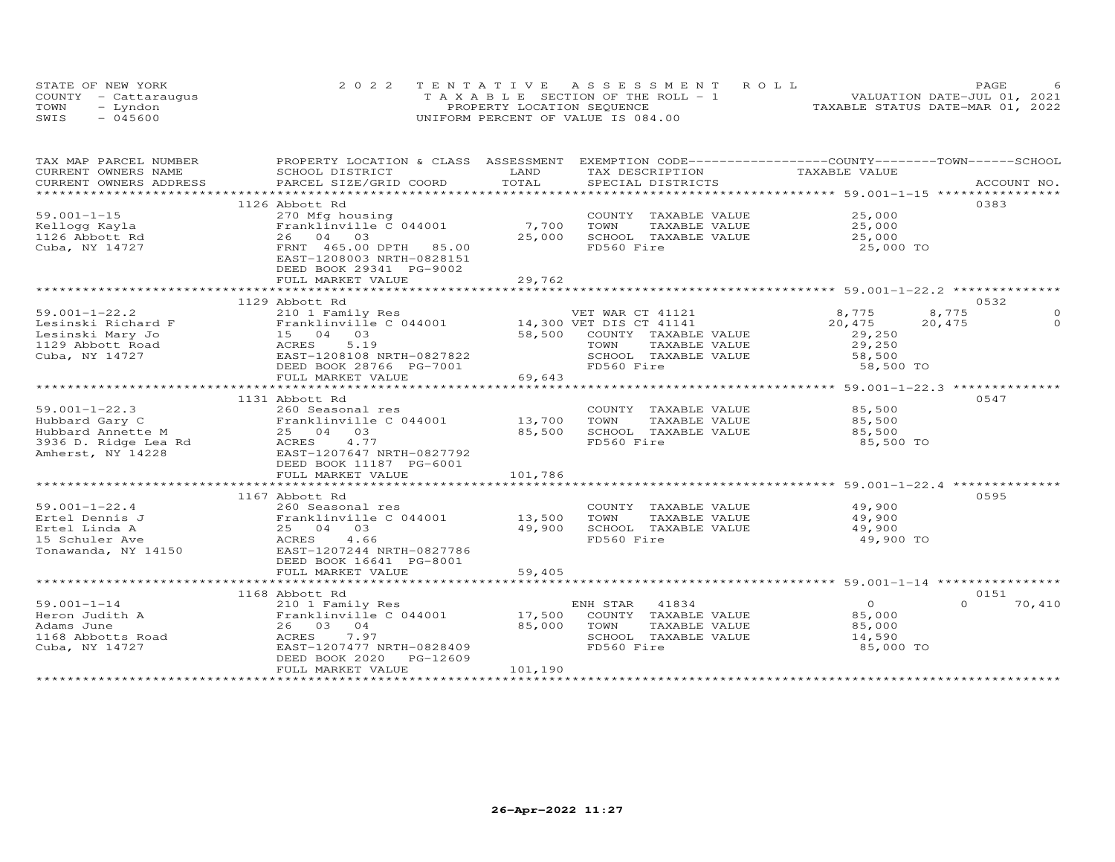|      | STATE OF NEW YORK    | 2022 TENTATIVE ASSESSMENT ROLL        | PAGE.                            |  |
|------|----------------------|---------------------------------------|----------------------------------|--|
|      | COUNTY - Cattarauqus | T A X A B L E SECTION OF THE ROLL - 1 | VALUATION DATE-JUL 01, 2021      |  |
| TOWN | – Lyndon             | PROPERTY LOCATION SEQUENCE            | TAXABLE STATUS DATE-MAR 01, 2022 |  |
| SWIS | $-045600$            | UNIFORM PERCENT OF VALUE IS 084.00    |                                  |  |

| TAX MAP PARCEL NUMBER | PROPERTY LOCATION & CLASS ASSESSMENT EXEMPTION CODE----------------COUNTY-------TOWN-----SCHOOL                                                                                                                                                      |         |                                                   |                   |                    |
|-----------------------|------------------------------------------------------------------------------------------------------------------------------------------------------------------------------------------------------------------------------------------------------|---------|---------------------------------------------------|-------------------|--------------------|
|                       |                                                                                                                                                                                                                                                      |         |                                                   | TAXABLE VALUE     |                    |
|                       |                                                                                                                                                                                                                                                      |         |                                                   |                   |                    |
|                       |                                                                                                                                                                                                                                                      |         |                                                   |                   |                    |
|                       | 1126 Abbott Rd                                                                                                                                                                                                                                       |         |                                                   |                   | 0383               |
| $59.001 - 1 - 15$     | 270 Mfg housing<br>Franklinville C 044001                                                                                                                                                                                                            |         | COUNTY TAXABLE VALUE 25,000                       |                   |                    |
| Kellogg Kayla         |                                                                                                                                                                                                                                                      | 7,700   | TOWN      TAXABLE VALUE<br>SCHOOL   TAXABLE VALUE | 25,000            |                    |
| 1126 Abbott Rd        | 26 04 03                                                                                                                                                                                                                                             | 25,000  |                                                   | 25,000            |                    |
| Cuba, NY 14727        | FRNT 465.00 DPTH 85.00                                                                                                                                                                                                                               |         | FD560 Fire                                        | 25,000 TO         |                    |
|                       | EAST-1208003 NRTH-0828151                                                                                                                                                                                                                            |         |                                                   |                   |                    |
|                       | DEED BOOK 29341 PG-9002                                                                                                                                                                                                                              |         |                                                   |                   |                    |
|                       | FULL MARKET VALUE                                                                                                                                                                                                                                    | 29,762  |                                                   |                   |                    |
|                       |                                                                                                                                                                                                                                                      |         |                                                   |                   |                    |
|                       | 1129 Abbott Rd                                                                                                                                                                                                                                       |         |                                                   |                   | 0532               |
|                       | 59.001-1-22.2<br>Lesinski Richard F<br>Lesinski Mary Jo (1993)<br>15 04 03 58,500 COUNTY TAXABLE VALUE<br>Cuba, NY 14727<br>Cuba, NY 14727<br>Cuba, NY 14727<br>Cuba, NY 14727<br>Cuba, NY 14727<br>Cuba, NY 14727<br>Cuba, NY 14727<br>Cuba, NY 147 |         |                                                   | 8,775             | 8,775              |
|                       |                                                                                                                                                                                                                                                      |         |                                                   | 20,475            | 20,475<br>$\Omega$ |
|                       |                                                                                                                                                                                                                                                      |         |                                                   | 29,250            |                    |
|                       |                                                                                                                                                                                                                                                      |         |                                                   | 29,250            |                    |
|                       |                                                                                                                                                                                                                                                      |         | SCHOOL TAXABLE VALUE                              | 58,500            |                    |
|                       | DEED BOOK 28766 PG-7001                                                                                                                                                                                                                              |         | FD560 Fire                                        | 58,500 TO         |                    |
|                       | FULL MARKET VALUE                                                                                                                                                                                                                                    | 69,643  |                                                   |                   |                    |
|                       |                                                                                                                                                                                                                                                      |         |                                                   |                   |                    |
|                       | 1131 Abbott Rd                                                                                                                                                                                                                                       |         |                                                   |                   | 0547               |
|                       |                                                                                                                                                                                                                                                      |         | COUNTY TAXABLE VALUE                              | 85,500            |                    |
|                       |                                                                                                                                                                                                                                                      |         | TAXABLE VALUE                                     | 85,500            |                    |
|                       |                                                                                                                                                                                                                                                      |         | SCHOOL TAXABLE VALUE                              | 85,500            |                    |
|                       | 99.001-1-22.3<br>Hubbard Gary C<br>Hubbard Annette M<br>3936 D. Ridge Lea Rd<br>Amherst, NY 14228<br>Amherst, NY 14228<br>Amherst, NY 14228<br>Amherst, NY 14228<br>Amherst, NY 14228<br>Amherst, NY 14228<br>Amherst, NY 14228<br>Amherst, NY 14228 |         | FD560 Fire                                        | 85,500 TO         |                    |
|                       |                                                                                                                                                                                                                                                      |         |                                                   |                   |                    |
|                       | DEED BOOK 11187 PG-6001                                                                                                                                                                                                                              |         |                                                   |                   |                    |
|                       | FULL MARKET VALUE                                                                                                                                                                                                                                    | 101,786 |                                                   |                   |                    |
|                       |                                                                                                                                                                                                                                                      |         |                                                   |                   |                    |
|                       | 1167 Abbott Rd                                                                                                                                                                                                                                       |         |                                                   |                   | 0595               |
| $59.001 - 1 - 22.4$   | 260 Seasonal res                                                                                                                                                                                                                                     |         | COUNTY TAXABLE VALUE                              | 49,900            |                    |
| Ertel Dennis J        |                                                                                                                                                                                                                                                      |         | TAXABLE VALUE                                     | 49,900            |                    |
| Ertel Linda A         |                                                                                                                                                                                                                                                      |         | SCHOOL TAXABLE VALUE                              | 49,900            |                    |
| 15 Schuler Ave        |                                                                                                                                                                                                                                                      |         | FD560 Fire                                        | 49,900 TO         |                    |
|                       | Tonawanda, NY 14150 EAST-1207244 NRTH-0827786                                                                                                                                                                                                        |         |                                                   |                   |                    |
|                       | DEED BOOK 16641 PG-8001                                                                                                                                                                                                                              |         |                                                   |                   |                    |
|                       | FULL MARKET VALUE                                                                                                                                                                                                                                    | 59,405  |                                                   |                   |                    |
|                       |                                                                                                                                                                                                                                                      |         |                                                   |                   |                    |
|                       |                                                                                                                                                                                                                                                      |         |                                                   |                   | 0151               |
|                       |                                                                                                                                                                                                                                                      |         | ENH STAR 41834                                    | $0 \qquad \qquad$ | 70,410             |
|                       |                                                                                                                                                                                                                                                      |         | COUNTY TAXABLE VALUE                              | 85,000            |                    |
|                       |                                                                                                                                                                                                                                                      |         | TAXABLE VALUE<br>TOWN                             | 85,000            |                    |
|                       |                                                                                                                                                                                                                                                      |         | SCHOOL TAXABLE VALUE                              | 14,590            |                    |
|                       |                                                                                                                                                                                                                                                      |         | FD560 Fire                                        | 85,000 TO         |                    |
|                       |                                                                                                                                                                                                                                                      |         |                                                   |                   |                    |
|                       | FULL MARKET VALUE                                                                                                                                                                                                                                    | 101,190 |                                                   |                   |                    |
|                       |                                                                                                                                                                                                                                                      |         |                                                   |                   |                    |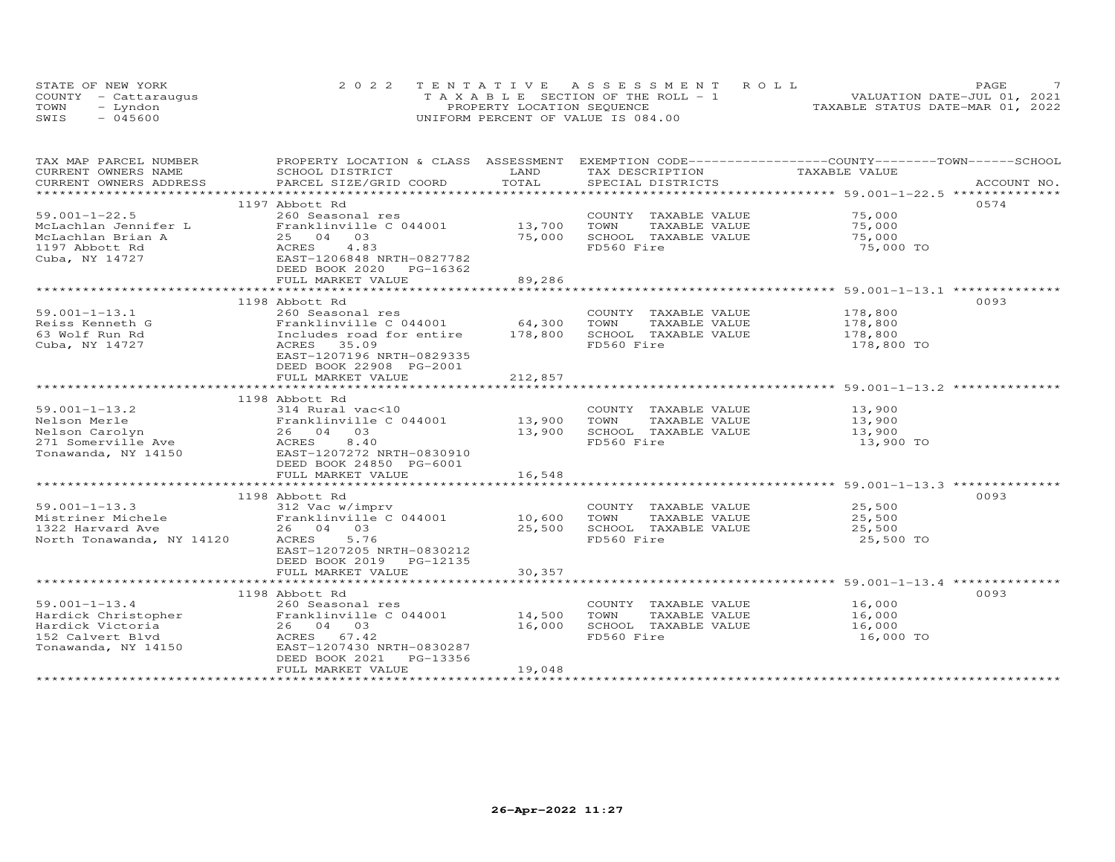| STATE OF NEW YORK    | 2022 TENTATIVE ASSESSMENT ROLL        | PAGE.                            |
|----------------------|---------------------------------------|----------------------------------|
| COUNTY - Cattaraugus | T A X A B L E SECTION OF THE ROLL - 1 | VALUATION DATE-JUL 01, 2021      |
| TOWN<br>– Lyndon     | PROPERTY LOCATION SEQUENCE            | TAXABLE STATUS DATE-MAR 01, 2022 |
| SWIS<br>- 045600     | UNIFORM PERCENT OF VALUE IS 084.00    |                                  |

| TAX MAP PARCEL NUMBER | PROPERTY LOCATION & CLASS ASSESSMENT EXEMPTION CODE----------------COUNTY-------TOWN-----SCHOOL                                                                                                                                |         |                             |               |             |
|-----------------------|--------------------------------------------------------------------------------------------------------------------------------------------------------------------------------------------------------------------------------|---------|-----------------------------|---------------|-------------|
| CURRENT OWNERS NAME   | SCHOOL DISTRICT                                                                                                                                                                                                                | LAND    | TAX DESCRIPTION             | TAXABLE VALUE |             |
|                       | .CURRENT OWNERS ADDRESS PARCEL SIZE/GRID COORD TOTAL SPECIAL DISTRICTS ACCOUNT NO ACCOUNT NO ACCOUNT NO ARE THE SERVER AND HER A LATER AND HER A LATER AND HER A LATER AND HER A LATER AND HER A LATER ON A LATER OF A LATER O |         |                             |               | ACCOUNT NO. |
|                       |                                                                                                                                                                                                                                |         |                             |               |             |
|                       | 1197 Abbott Rd                                                                                                                                                                                                                 |         |                             |               | 0574        |
| $59.001 - 1 - 22.5$   | 260 Seasonal res<br>59.001-1-22.5 260 Seasonal res<br>McLachlan Jennifer L<br>McLachlan Brian A 25 04 03<br>1197 Abbott Rd<br>Cuba, NY 14727 EAST-1206848 NRTH-0827782<br>RES 4.83<br>Cuba, NY 14727 EAST-1206848 NRTH-0827782 |         | COUNTY TAXABLE VALUE 75,000 |               |             |
|                       |                                                                                                                                                                                                                                | 13,700  | TOWN<br>TAXABLE VALUE       | 75,000        |             |
|                       |                                                                                                                                                                                                                                | 75,000  | SCHOOL TAXABLE VALUE        | 75,000        |             |
|                       |                                                                                                                                                                                                                                |         | FD560 Fire                  | 75,000 TO     |             |
|                       |                                                                                                                                                                                                                                |         |                             |               |             |
|                       | DEED BOOK 2020 PG-16362                                                                                                                                                                                                        |         |                             |               |             |
|                       | FULL MARKET VALUE                                                                                                                                                                                                              | 89,286  |                             |               |             |
|                       |                                                                                                                                                                                                                                |         |                             |               |             |
|                       | 1198 Abbott Rd                                                                                                                                                                                                                 |         |                             |               | 0093        |
| $59.001 - 1 - 13.1$   | 260 Seasonal res                                                                                                                                                                                                               |         | COUNTY TAXABLE VALUE        | 178,800       |             |
| Reiss Kenneth G       |                                                                                                                                                                                                                                |         | TOWN<br>TAXABLE VALUE       | 178,800       |             |
| 63 Wolf Run Rd        | 200 Seasonal res<br>Franklinville C 044001 64,300<br>Includes road for entire 178,800                                                                                                                                          |         | SCHOOL TAXABLE VALUE        | 178,800       |             |
| Cuba, NY 14727        | ACRES 35.09                                                                                                                                                                                                                    |         | FD560 Fire                  | 178,800 TO    |             |
|                       | EAST-1207196 NRTH-0829335                                                                                                                                                                                                      |         |                             |               |             |
|                       | DEED BOOK 22908 PG-2001                                                                                                                                                                                                        |         |                             |               |             |
|                       | FULL MARKET VALUE                                                                                                                                                                                                              | 212,857 |                             |               |             |
|                       |                                                                                                                                                                                                                                |         |                             |               |             |
|                       |                                                                                                                                                                                                                                |         |                             |               |             |
|                       | 1198 Abbott Rd                                                                                                                                                                                                                 |         |                             |               |             |
| $59.001 - 1 - 13.2$   |                                                                                                                                                                                                                                |         | COUNTY TAXABLE VALUE        | 13,900        |             |
|                       |                                                                                                                                                                                                                                |         | TAXABLE VALUE               | 13,900        |             |
|                       |                                                                                                                                                                                                                                |         | SCHOOL TAXABLE VALUE        | 13,900        |             |
|                       |                                                                                                                                                                                                                                |         | FD560 Fire                  | 13,900 TO     |             |
| Tonawanda, NY 14150   | EAST-1207272 NRTH-0830910                                                                                                                                                                                                      |         |                             |               |             |
|                       | DEED BOOK 24850 PG-6001                                                                                                                                                                                                        |         |                             |               |             |
|                       | FULL MARKET VALUE                                                                                                                                                                                                              | 16,548  |                             |               |             |
|                       |                                                                                                                                                                                                                                |         |                             |               |             |
|                       | 1198 Abbott Rd                                                                                                                                                                                                                 |         |                             |               | 0093        |
| $59.001 - 1 - 13.3$   | 312 Vac w/imprv                                                                                                                                                                                                                |         | COUNTY TAXABLE VALUE        | 25,500        |             |
| Mistriner Michele     | Franklinville C 044001 10,600 TOWN                                                                                                                                                                                             |         | TAXABLE VALUE               | 25,500        |             |
|                       | 26 04 03                                                                                                                                                                                                                       | 25,500  | SCHOOL TAXABLE VALUE        | 25,500        |             |
|                       | 5.76                                                                                                                                                                                                                           |         | FD560 Fire                  | 25,500 TO     |             |
|                       | EAST-1207205 NRTH-0830212                                                                                                                                                                                                      |         |                             |               |             |
|                       | DEED BOOK 2019 PG-12135                                                                                                                                                                                                        |         |                             |               |             |
|                       | FULL MARKET VALUE                                                                                                                                                                                                              | 30,357  |                             |               |             |
|                       |                                                                                                                                                                                                                                |         |                             |               |             |
|                       | 1198 Abbott Rd                                                                                                                                                                                                                 |         |                             |               | 0093        |
| $59.001 - 1 - 13.4$   |                                                                                                                                                                                                                                |         | COUNTY TAXABLE VALUE        | 16,000        |             |
|                       |                                                                                                                                                                                                                                |         | TOWN<br>TAXABLE VALUE       | 16,000        |             |
|                       |                                                                                                                                                                                                                                |         | SCHOOL TAXABLE VALUE        | 16,000        |             |
|                       | 59.001-1-13.4<br>Hardick Christopher Franklinville C 044001<br>Hardick Victoria 26 04 03 16,000<br>152 Calvert Blvd ACRES 67.42                                                                                                |         | FD560 Fire                  | 16,000 TO     |             |
| Tonawanda, NY 14150   | EAST-1207430 NRTH-0830287                                                                                                                                                                                                      |         |                             |               |             |
|                       | DEED BOOK 2021<br>PG-13356                                                                                                                                                                                                     |         |                             |               |             |
|                       | FULL MARKET VALUE                                                                                                                                                                                                              | 19,048  |                             |               |             |
|                       |                                                                                                                                                                                                                                |         |                             |               |             |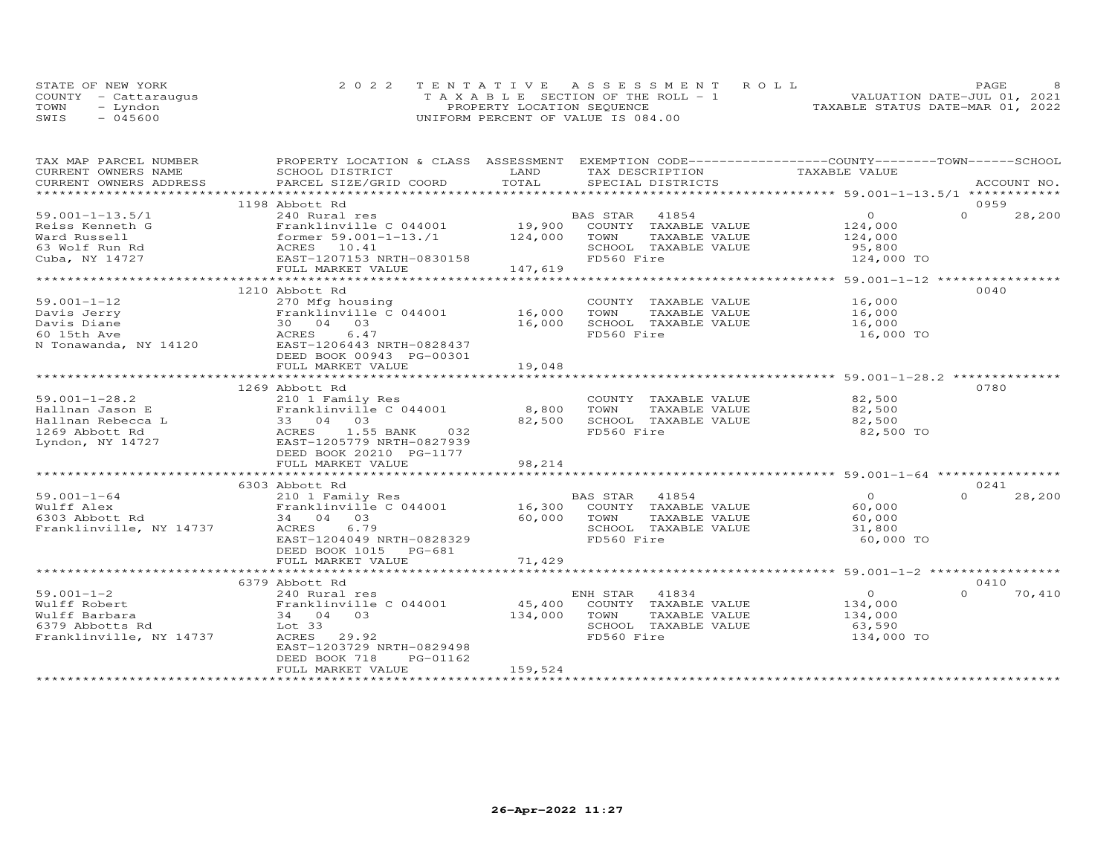| STATE OF NEW YORK    | 2022 TENTATIVE ASSESSMENT ROLL        | PAGE.                            |  |
|----------------------|---------------------------------------|----------------------------------|--|
| COUNTY - Cattaraugus | T A X A B L E SECTION OF THE ROLL - 1 | VALUATION DATE-JUL 01, 2021      |  |
| TOWN<br>– Lyndon     | PROPERTY LOCATION SEQUENCE            | TAXABLE STATUS DATE-MAR 01, 2022 |  |
| SWIS<br>- 045600     | UNIFORM PERCENT OF VALUE IS 084.00    |                                  |  |

| TAX MAP PARCEL NUMBER   | PROPERTY LOCATION & CLASS ASSESSMENT |                      | EXEMPTION CODE-----------------COUNTY-------TOWN------SCHOOL |                                                        |                    |
|-------------------------|--------------------------------------|----------------------|--------------------------------------------------------------|--------------------------------------------------------|--------------------|
| CURRENT OWNERS NAME     | SCHOOL DISTRICT                      | LAND                 | TAX DESCRIPTION                                              | TAXABLE VALUE                                          |                    |
| CURRENT OWNERS ADDRESS  | PARCEL SIZE/GRID COORD               | TOTAL                | SPECIAL DISTRICTS                                            |                                                        | ACCOUNT NO.        |
| *********************** | ****************************         |                      |                                                              |                                                        |                    |
|                         | 1198 Abbott Rd                       |                      |                                                              |                                                        | 0959               |
| $59.001 - 1 - 13.5/1$   | 240 Rural res                        |                      | BAS STAR<br>41854                                            | $\Omega$                                               | $\Omega$<br>28,200 |
| Reiss Kenneth G         | Franklinville C 044001               |                      | 19,900 COUNTY TAXABLE VALUE                                  | 124,000                                                |                    |
| Ward Russell            |                                      |                      | TOWN<br>TAXABLE VALUE                                        | 124,000                                                |                    |
|                         | former 59.001-1-13./1 124,000        |                      |                                                              |                                                        |                    |
| 63 Wolf Run Rd          |                                      |                      | SCHOOL TAXABLE VALUE                                         | 95,800                                                 |                    |
| Cuba, NY 14727          |                                      |                      | FD560 Fire                                                   | 124,000 TO                                             |                    |
|                         | FULL MARKET VALUE                    | 147,619              |                                                              |                                                        |                    |
|                         |                                      | ******************** |                                                              | ************************* 59.001-1-12 **************** |                    |
|                         | 1210 Abbott Rd                       |                      |                                                              |                                                        | 0040               |
| $59.001 - 1 - 12$       | 270 Mfg housing                      |                      | COUNTY TAXABLE VALUE                                         | 16,000                                                 |                    |
| Davis Jerry             | Franklinville C 044001               | 16,000               | TAXABLE VALUE<br>TOWN                                        | 16,000                                                 |                    |
| Davis Diane             | 30 04 03                             | 16,000               | SCHOOL TAXABLE VALUE                                         | 16,000                                                 |                    |
| 60 15th Ave             | 6.47<br>ACRES                        |                      | FD560 Fire                                                   | 16,000 TO                                              |                    |
| N Tonawanda, NY 14120   | EAST-1206443 NRTH-0828437            |                      |                                                              |                                                        |                    |
|                         | DEED BOOK 00943 PG-00301             |                      |                                                              |                                                        |                    |
|                         | FULL MARKET VALUE                    | 19,048               |                                                              |                                                        |                    |
|                         | ************************             | ***********          |                                                              | ************************ 59.001-1-28.2 ********        |                    |
|                         | 1269 Abbott Rd                       |                      |                                                              |                                                        | 0780               |
| $59.001 - 1 - 28.2$     |                                      |                      | COUNTY TAXABLE VALUE                                         | 82,500                                                 |                    |
|                         | 210 1 Family Res                     |                      |                                                              |                                                        |                    |
| Hallnan Jason E         | Franklinville C 044001               | 8,800                | TOWN<br>TAXABLE VALUE                                        | 82,500                                                 |                    |
| Hallnan Rebecca L       | 33 04 03                             | 82,500               | SCHOOL TAXABLE VALUE                                         | 82,500                                                 |                    |
| 1269 Abbott Rd          | ACRES<br>1.55 BANK<br>032            |                      | FD560 Fire                                                   | 82,500 TO                                              |                    |
| Lyndon, NY 14727        | EAST-1205779 NRTH-0827939            |                      |                                                              |                                                        |                    |
|                         | DEED BOOK 20210 PG-1177              |                      |                                                              |                                                        |                    |
|                         | FULL MARKET VALUE                    | 98,214               |                                                              |                                                        |                    |
|                         |                                      |                      |                                                              |                                                        |                    |
|                         | 6303 Abbott Rd                       |                      |                                                              |                                                        | 0241               |
| $59.001 - 1 - 64$       | 210 1 Family Res                     |                      | BAS STAR 41854<br>16,300 COUNTY TAXABLE VALUE                | $\Omega$                                               | $\cap$<br>28,200   |
| Wulff Alex              | Franklinville C 044001               |                      |                                                              | 60,000                                                 |                    |
| 6303 Abbott Rd          | 34 04 03                             | 60,000 TOWN          | TAXABLE VALUE                                                | 60,000                                                 |                    |
| Franklinville, NY 14737 | 6.79<br>ACRES                        |                      | SCHOOL TAXABLE VALUE                                         | 31,800                                                 |                    |
|                         | EAST-1204049 NRTH-0828329            |                      | FD560 Fire                                                   | 60,000 TO                                              |                    |
|                         | DEED BOOK 1015 PG-681                |                      |                                                              |                                                        |                    |
|                         | FULL MARKET VALUE                    | 71,429               |                                                              |                                                        |                    |
|                         |                                      |                      |                                                              |                                                        |                    |
|                         | 6379 Abbott Rd                       |                      |                                                              |                                                        | 0410               |
|                         |                                      |                      |                                                              |                                                        |                    |
| $59.001 - 1 - 2$        | 240 Rural res                        |                      | ENH STAR<br>41834                                            | $\Omega$                                               | 70,410<br>$\cap$   |
| Wulff Robert            | Franklinville C 044001               |                      | 45,400 COUNTY TAXABLE VALUE                                  | 134,000                                                |                    |
| Wulff Barbara           | 34 04 03                             | 134,000              | TOWN<br>TAXABLE VALUE                                        | 134,000                                                |                    |
| 6379 Abbotts Rd         | Lot 33                               |                      | SCHOOL TAXABLE VALUE                                         | 63,590                                                 |                    |
| Franklinville, NY 14737 | ACRES<br>29.92                       |                      | FD560 Fire                                                   | 134,000 TO                                             |                    |
|                         | EAST-1203729 NRTH-0829498            |                      |                                                              |                                                        |                    |
|                         | DEED BOOK 718<br>PG-01162            |                      |                                                              |                                                        |                    |
|                         | FULL MARKET VALUE                    | 159,524              |                                                              |                                                        |                    |
|                         |                                      |                      |                                                              |                                                        |                    |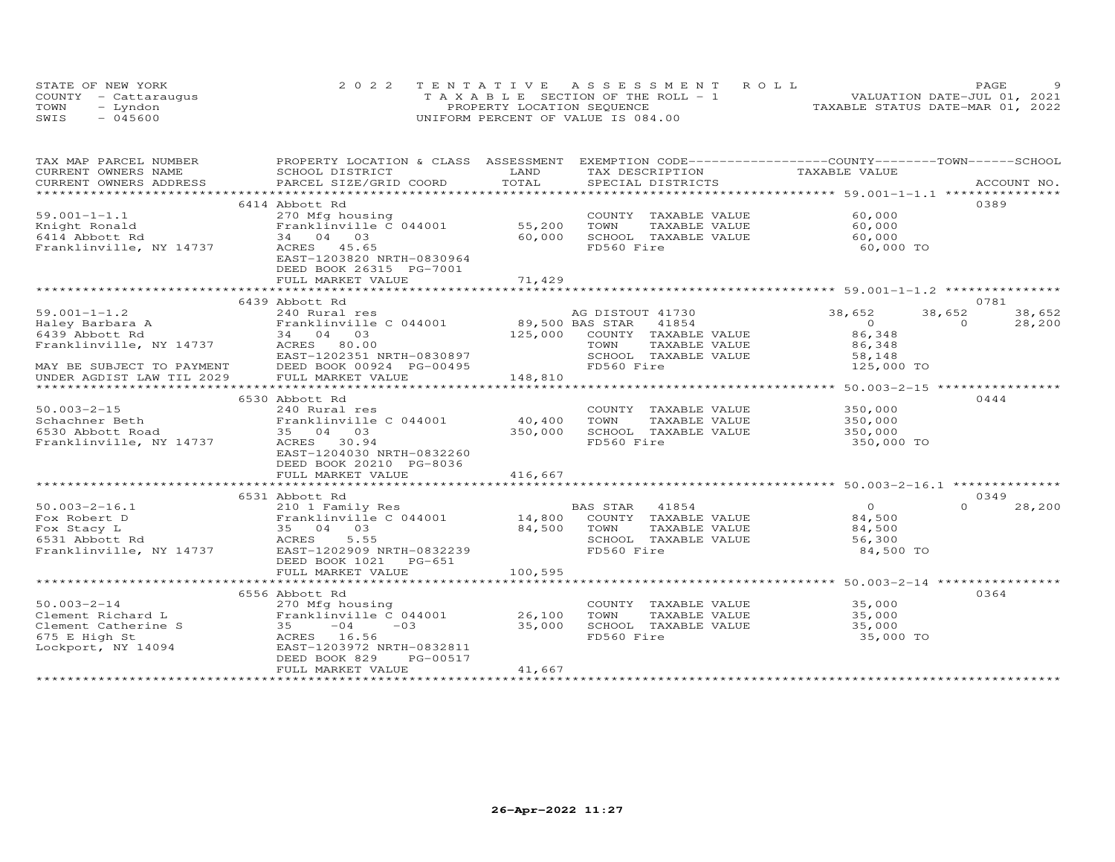| STATE OF NEW YORK    | 2022 TENTATIVE ASSESSMENT ROLL        | PAGE.                            |  |
|----------------------|---------------------------------------|----------------------------------|--|
| COUNTY - Cattaraugus | T A X A B L E SECTION OF THE ROLL - 1 | VALUATION DATE-JUL 01, 2021      |  |
| TOWN<br>– Lyndon     | PROPERTY LOCATION SEQUENCE            | TAXABLE STATUS DATE-MAR 01, 2022 |  |
| SWIS<br>- 045600     | UNIFORM PERCENT OF VALUE IS 084.00    |                                  |  |

| TAX MAP PARCEL NUMBER                                  |                                                                                                                                                                                                                                |         |                              | PROPERTY LOCATION & CLASS ASSESSMENT EXEMPTION CODE----------------COUNTY-------TOWN-----SCHOOL |        |
|--------------------------------------------------------|--------------------------------------------------------------------------------------------------------------------------------------------------------------------------------------------------------------------------------|---------|------------------------------|-------------------------------------------------------------------------------------------------|--------|
| CURRENT OWNERS NAME                                    | SCHOOL DISTRICT                                                                                                                                                                                                                | LAND    | TAX DESCRIPTION              | TAXABLE VALUE                                                                                   |        |
|                                                        | .CURRENT OWNERS ADDRESS PARCEL SIZE/GRID COORD TOTAL SPECIAL DISTRICTS ACCOUNT NO ACCOUNT NO ACCOUNT NO ARE A LATA AND MALL THAT A LATA AND MALL THAT A LATA AND MALL THAT A LATA AND MALL THAT AND MALL THAT AND MALL THAT AN |         |                              |                                                                                                 |        |
|                                                        |                                                                                                                                                                                                                                |         |                              |                                                                                                 |        |
|                                                        | 6414 Abbott Rd                                                                                                                                                                                                                 |         |                              |                                                                                                 | 0389   |
| $59.001 - 1 - 1.1$                                     | 270 Mfg housing                                                                                                                                                                                                                |         | COUNTY TAXABLE VALUE         | 60,000                                                                                          |        |
| Knight Ronald                                          | Franklinville C 044001                                                                                                                                                                                                         | 55,200  | TOWN<br>TAXABLE VALUE        | 60,000                                                                                          |        |
| 6414 Abbott Rd                                         | 34 04 03                                                                                                                                                                                                                       | 60,000  | SCHOOL TAXABLE VALUE         | 60,000                                                                                          |        |
| Franklinville, NY 14737                                | ACRES 45.65                                                                                                                                                                                                                    |         | FD560 Fire                   | 60,000 TO                                                                                       |        |
|                                                        | EAST-1203820 NRTH-0830964<br>DEED BOOK 26315 PG-7001                                                                                                                                                                           |         |                              |                                                                                                 |        |
|                                                        |                                                                                                                                                                                                                                | 71,429  |                              |                                                                                                 |        |
|                                                        | FULL MARKET VALUE                                                                                                                                                                                                              |         |                              |                                                                                                 |        |
|                                                        | 6439 Abbott Rd                                                                                                                                                                                                                 |         |                              |                                                                                                 | 0781   |
| $59.001 - 1 - 1.2$                                     | 240 Rural res                                                                                                                                                                                                                  |         | AG DISTOUT 41730             | 38,652<br>38,652                                                                                | 38,652 |
|                                                        |                                                                                                                                                                                                                                |         |                              | $\overline{0}$<br>$\Omega$                                                                      | 28,200 |
|                                                        |                                                                                                                                                                                                                                |         | 125,000 COUNTY TAXABLE VALUE | 86,348                                                                                          |        |
| Franklinville, NY 14737 ACRES 80.00                    |                                                                                                                                                                                                                                |         | TOWN<br>TAXABLE VALUE        | 86,348                                                                                          |        |
|                                                        | EAST-1202351 NRTH-0830897                                                                                                                                                                                                      |         | SCHOOL TAXABLE VALUE         | 58,148                                                                                          |        |
|                                                        | DEED BOOK 00924 PG-00495                                                                                                                                                                                                       |         | FD560 Fire                   | 125,000 TO                                                                                      |        |
| MAY BE SUBJECT TO PAYMENT<br>UNDER AGDIST LAW TIL 2029 | FULL MARKET VALUE                                                                                                                                                                                                              | 148,810 |                              |                                                                                                 |        |
|                                                        |                                                                                                                                                                                                                                |         |                              |                                                                                                 |        |
|                                                        | 6530 Abbott Rd                                                                                                                                                                                                                 |         |                              |                                                                                                 | 0444   |
| $50.003 - 2 - 15$                                      | 240 Rural res                                                                                                                                                                                                                  |         | COUNTY TAXABLE VALUE         | 350,000                                                                                         |        |
| Schachner Beth                                         | Franklinville C 044001                                                                                                                                                                                                         | 40,400  | TOWN<br>TAXABLE VALUE        | 350,000                                                                                         |        |
| 6530 Abbott Road                                       | 35 04 03                                                                                                                                                                                                                       | 350,000 | SCHOOL TAXABLE VALUE         | 350,000                                                                                         |        |
| Franklinville, NY 14737                                | ACRES 30.94                                                                                                                                                                                                                    |         | FD560 Fire                   | 350,000 TO                                                                                      |        |
|                                                        | EAST-1204030 NRTH-0832260                                                                                                                                                                                                      |         |                              |                                                                                                 |        |
|                                                        | DEED BOOK 20210 PG-8036                                                                                                                                                                                                        |         |                              |                                                                                                 |        |
|                                                        | FULL MARKET VALUE                                                                                                                                                                                                              | 416,667 |                              |                                                                                                 |        |
|                                                        |                                                                                                                                                                                                                                |         |                              |                                                                                                 |        |
|                                                        | 6531 Abbott Rd                                                                                                                                                                                                                 |         |                              |                                                                                                 | 0349   |
| $50.003 - 2 - 16.1$                                    |                                                                                                                                                                                                                                |         |                              | $\Omega$<br>$\Omega$                                                                            | 28,200 |
| Fox Robert D                                           |                                                                                                                                                                                                                                |         |                              | 84,500                                                                                          |        |
| Fox Stacy L                                            |                                                                                                                                                                                                                                |         |                              | 84,500                                                                                          |        |
| 6531 Abbott Rd                                         | 210 1 Family Res BAS STAR 41854<br>Franklinville C 044001 14,800 COUNTY TAXABLE VALUE<br>35 04 03 84,500 TOWN TAXABLE VALUE<br>ACRES 5.55 SCHOOL TAXABLE VALUE                                                                 |         |                              | 56,300                                                                                          |        |
| Franklinville, NY 14737                                | EAST-1202909 NRTH-0832239                                                                                                                                                                                                      |         | FD560 Fire                   | 84,500 TO                                                                                       |        |
|                                                        | DEED BOOK 1021    PG-651                                                                                                                                                                                                       |         |                              |                                                                                                 |        |
|                                                        | FULL MARKET VALUE                                                                                                                                                                                                              | 100,595 |                              |                                                                                                 |        |
|                                                        |                                                                                                                                                                                                                                |         |                              |                                                                                                 |        |
|                                                        | 6556 Abbott Rd                                                                                                                                                                                                                 |         |                              |                                                                                                 | 0364   |
| $50.003 - 2 - 14$                                      | 270 Mfg housing                                                                                                                                                                                                                |         | COUNTY TAXABLE VALUE         | 35,000                                                                                          |        |
| Clement Richard L                                      | Franklinville $C$ 044001 26,100                                                                                                                                                                                                |         | TOWN<br>TAXABLE VALUE        | 35,000                                                                                          |        |
| Clement Catherine S                                    | $35 -04$<br>$-03$                                                                                                                                                                                                              | 35,000  | SCHOOL TAXABLE VALUE         | 35,000                                                                                          |        |
| 675 E High St                                          | ACRES 16.56                                                                                                                                                                                                                    |         | FD560 Fire                   | 35,000 TO                                                                                       |        |
| Lockport, NY 14094                                     | EAST-1203972 NRTH-0832811                                                                                                                                                                                                      |         |                              |                                                                                                 |        |
|                                                        | DEED BOOK 829<br>PG-00517                                                                                                                                                                                                      |         |                              |                                                                                                 |        |
|                                                        | FULL MARKET VALUE                                                                                                                                                                                                              | 41,667  |                              |                                                                                                 |        |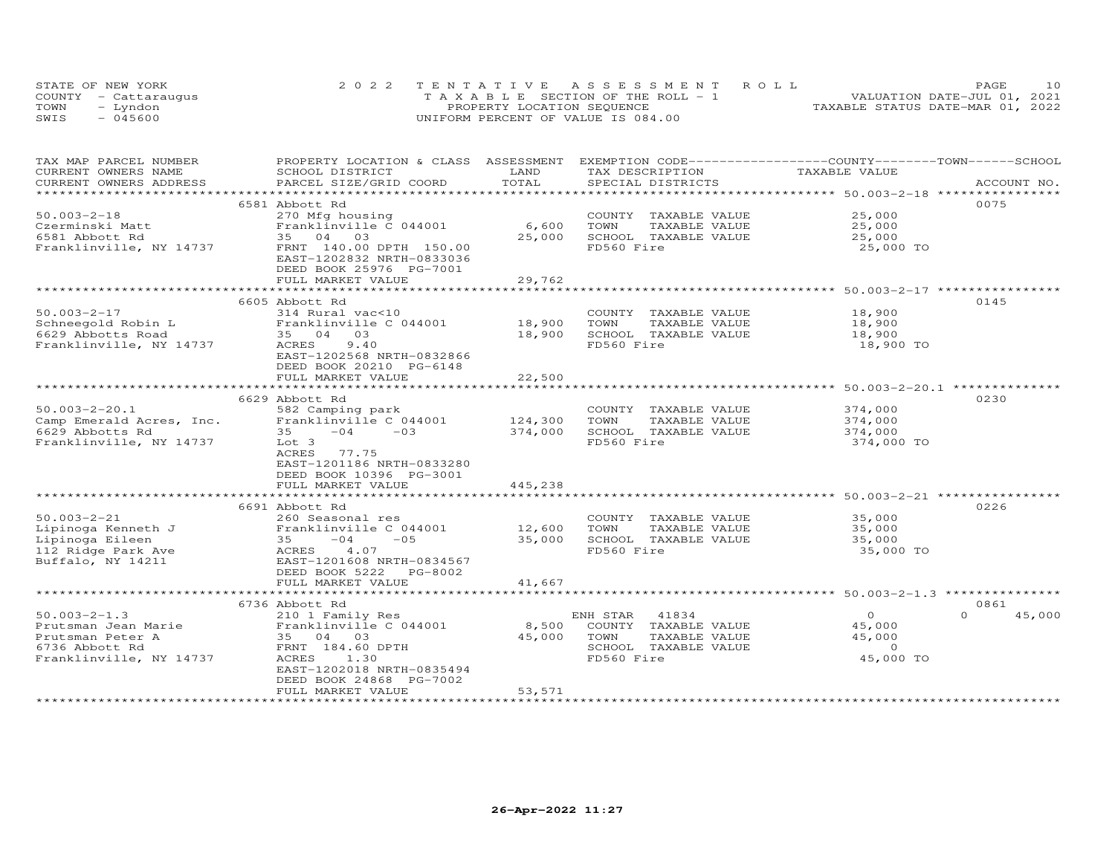|      | STATE OF NEW YORK    | 2022 TENTATIVE ASSESSMENT ROLL     | 10<br>PAGE.                      |
|------|----------------------|------------------------------------|----------------------------------|
|      | COUNTY - Cattaraugus | TAXABLE SECTION OF THE ROLL - 1    | VALUATION DATE-JUL 01, 2021      |
| TOWN | – Lyndon             | PROPERTY LOCATION SEQUENCE         | TAXABLE STATUS DATE-MAR 01, 2022 |
| SWIS | $-045600$            | UNIFORM PERCENT OF VALUE IS 084.00 |                                  |

| TAX MAP PARCEL NUMBER<br>CURRENT OWNERS NAME | PROPERTY LOCATION & CLASS ASSESSMENT EXEMPTION CODE----------------COUNTY-------TOWN------SCHOOL<br>SCHOOL DISTRICT | LAND    | TAX DESCRIPTION       | TAXABLE VALUE                                          |                    |
|----------------------------------------------|---------------------------------------------------------------------------------------------------------------------|---------|-----------------------|--------------------------------------------------------|--------------------|
| CURRENT OWNERS ADDRESS                       | PARCEL SIZE/GRID COORD                                                                                              | TOTAL   | SPECIAL DISTRICTS     |                                                        | ACCOUNT NO.        |
|                                              |                                                                                                                     |         |                       |                                                        |                    |
|                                              | 6581 Abbott Rd                                                                                                      |         |                       |                                                        | 0075               |
| $50.003 - 2 - 18$                            | 270 Mfg housing                                                                                                     |         | COUNTY TAXABLE VALUE  | 25,000                                                 |                    |
| Czerminski Matt                              | Franklinville C 044001                                                                                              | 6,600   | TOWN<br>TAXABLE VALUE | 25,000                                                 |                    |
| 6581 Abbott Rd                               | 35 04 03                                                                                                            | 25,000  | SCHOOL TAXABLE VALUE  | 25,000                                                 |                    |
| Franklinville, NY 14737                      | FRNT 140.00 DPTH 150.00                                                                                             |         | FD560 Fire            | 25,000 TO                                              |                    |
|                                              | EAST-1202832 NRTH-0833036                                                                                           |         |                       |                                                        |                    |
|                                              | DEED BOOK 25976 PG-7001                                                                                             |         |                       |                                                        |                    |
|                                              | FULL MARKET VALUE                                                                                                   | 29,762  |                       |                                                        |                    |
|                                              |                                                                                                                     |         |                       |                                                        |                    |
|                                              | 6605 Abbott Rd                                                                                                      |         |                       |                                                        | 0145               |
| $50.003 - 2 - 17$                            | 314 Rural vac<10                                                                                                    |         | COUNTY TAXABLE VALUE  | 18,900                                                 |                    |
| Schneegold Robin L                           | Franklinville C 044001                                                                                              | 18,900  | TOWN<br>TAXABLE VALUE | 18,900                                                 |                    |
| 6629 Abbotts Road                            | 35 04 03                                                                                                            | 18,900  | SCHOOL TAXABLE VALUE  | 18,900                                                 |                    |
| Franklinville, NY 14737                      | 9.40<br>ACRES                                                                                                       |         | FD560 Fire            | 18,900 TO                                              |                    |
|                                              | EAST-1202568 NRTH-0832866                                                                                           |         |                       |                                                        |                    |
|                                              | DEED BOOK 20210 PG-6148<br>FULL MARKET VALUE                                                                        | 22,500  |                       |                                                        |                    |
|                                              | ******************************                                                                                      |         |                       | ************************ 50.003-2-20.1 *************** |                    |
|                                              | 6629 Abbott Rd                                                                                                      |         |                       |                                                        | 0230               |
| $50.003 - 2 - 20.1$                          | 582 Camping park                                                                                                    |         | COUNTY TAXABLE VALUE  | 374,000                                                |                    |
| Camp Emerald Acres, Inc.                     | Franklinville C 044001                                                                                              | 124,300 | TOWN<br>TAXABLE VALUE | 374,000                                                |                    |
| 6629 Abbotts Rd                              | $-04$<br>$-0.3$<br>35                                                                                               | 374,000 | SCHOOL TAXABLE VALUE  | 374,000                                                |                    |
| Franklinville, NY 14737                      | Lot 3                                                                                                               |         | FD560 Fire            | 374,000 TO                                             |                    |
|                                              | ACRES 77.75                                                                                                         |         |                       |                                                        |                    |
|                                              | EAST-1201186 NRTH-0833280                                                                                           |         |                       |                                                        |                    |
|                                              | DEED BOOK 10396 PG-3001                                                                                             |         |                       |                                                        |                    |
|                                              | FULL MARKET VALUE                                                                                                   | 445,238 |                       |                                                        |                    |
|                                              |                                                                                                                     |         |                       |                                                        |                    |
|                                              | 6691 Abbott Rd                                                                                                      |         |                       |                                                        | 0226               |
| $50.003 - 2 - 21$                            | 260 Seasonal res                                                                                                    |         | COUNTY TAXABLE VALUE  | 35,000                                                 |                    |
| Lipinoga Kenneth J                           | Franklinville C 044001                                                                                              | 12,600  | TAXABLE VALUE<br>TOWN | 35,000                                                 |                    |
| Lipinoga Eileen                              | $-04$<br>$-0.5$<br>35                                                                                               | 35,000  | SCHOOL TAXABLE VALUE  | 35,000                                                 |                    |
| 112 Ridge Park Ave                           | 4.07<br>ACRES                                                                                                       |         | FD560 Fire            | 35,000 TO                                              |                    |
| Buffalo, NY 14211                            | EAST-1201608 NRTH-0834567                                                                                           |         |                       |                                                        |                    |
|                                              | DEED BOOK 5222 PG-8002                                                                                              |         |                       |                                                        |                    |
|                                              | FULL MARKET VALUE                                                                                                   | 41,667  |                       |                                                        |                    |
|                                              |                                                                                                                     |         |                       |                                                        |                    |
|                                              | 6736 Abbott Rd                                                                                                      |         |                       |                                                        | 0861               |
| $50.003 - 2 - 1.3$                           | 210 1 Family Res                                                                                                    |         | ENH STAR<br>41834     | $\Omega$                                               | $\Omega$<br>45,000 |
| Prutsman Jean Marie                          | Franklinville C 044001                                                                                              | 8,500   | COUNTY TAXABLE VALUE  | 45,000                                                 |                    |
| Prutsman Peter A                             | 35 04 03                                                                                                            | 45,000  | TAXABLE VALUE<br>TOWN | 45,000                                                 |                    |
| 6736 Abbott Rd                               | FRNT 184.60 DPTH                                                                                                    |         | SCHOOL TAXABLE VALUE  | $\circ$                                                |                    |
| Franklinville, NY 14737                      | ACRES<br>1.30                                                                                                       |         | FD560 Fire            | 45,000 TO                                              |                    |
|                                              | EAST-1202018 NRTH-0835494                                                                                           |         |                       |                                                        |                    |
|                                              | DEED BOOK 24868 PG-7002<br>FULL MARKET VALUE                                                                        | 53,571  |                       |                                                        |                    |
|                                              |                                                                                                                     |         |                       |                                                        |                    |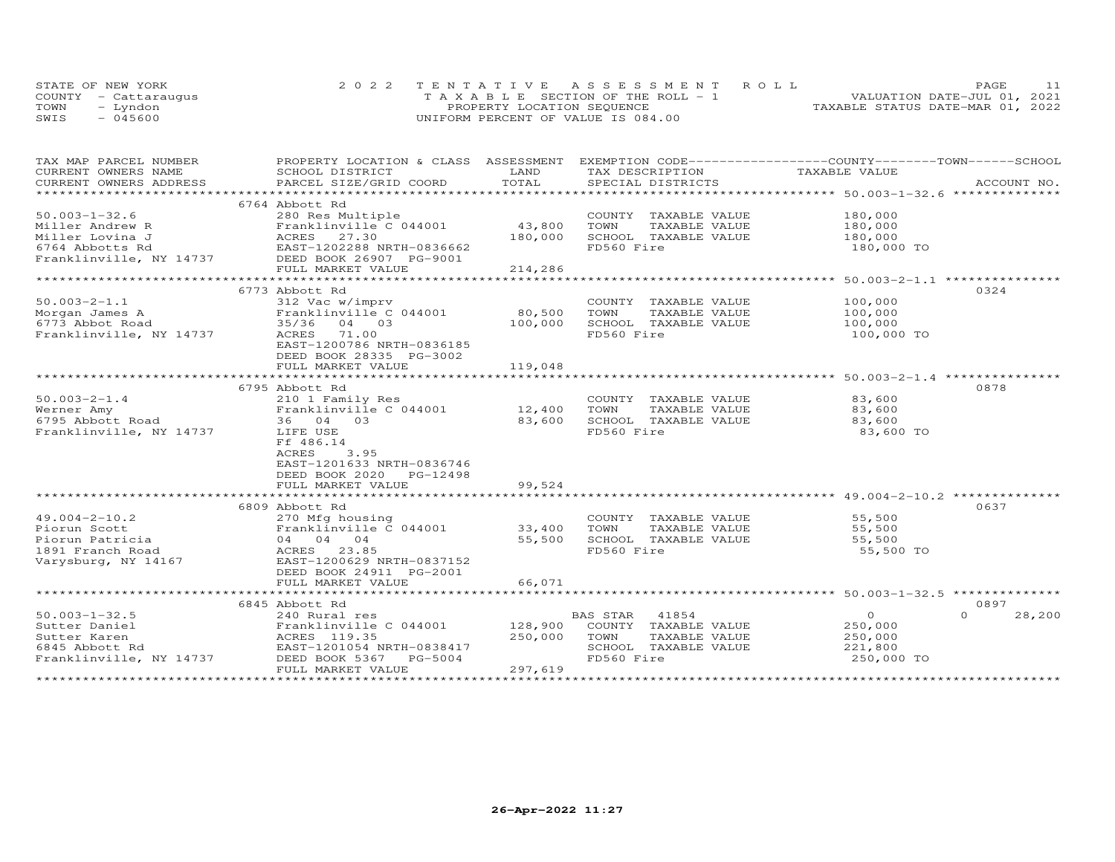| STATE OF NEW YORK    |           | 2022 TENTATIVE ASSESSMENT ROLL        |  |  |                                  | PAGE. |  |
|----------------------|-----------|---------------------------------------|--|--|----------------------------------|-------|--|
| COUNTY - Cattaraugus |           | T A X A B L E SECTION OF THE ROLL - 1 |  |  | VALUATION DATE-JUL 01, 2021      |       |  |
| TOWN                 | ™vndon    | PROPERTY LOCATION SEQUENCE            |  |  | TAXABLE STATUS DATE-MAR 01, 2022 |       |  |
| SWIS                 | $-045600$ | UNIFORM PERCENT OF VALUE IS 084.00    |  |  |                                  |       |  |

| TAX MAP PARCEL NUMBER   | PROPERTY LOCATION & CLASS ASSESSMENT |         | EXEMPTION CODE------------------COUNTY-------TOWN-----SCHOOL |                                              |                    |
|-------------------------|--------------------------------------|---------|--------------------------------------------------------------|----------------------------------------------|--------------------|
| CURRENT OWNERS NAME     | SCHOOL DISTRICT                      | LAND    | TAX DESCRIPTION                                              | TAXABLE VALUE                                |                    |
| CURRENT OWNERS ADDRESS  | PARCEL SIZE/GRID COORD               | TOTAL   | SPECIAL DISTRICTS                                            |                                              | ACCOUNT NO.        |
| *******************     |                                      |         |                                                              |                                              |                    |
|                         | 6764 Abbott Rd                       |         |                                                              |                                              |                    |
| $50.003 - 1 - 32.6$     | 280 Res Multiple                     |         | COUNTY TAXABLE VALUE                                         | 180,000                                      |                    |
| Miller Andrew R         | Franklinville C 044001               | 43,800  | TOWN<br>TAXABLE VALUE                                        | 180,000                                      |                    |
| Miller Lovina J         | ACRES<br>27.30                       | 180,000 | SCHOOL TAXABLE VALUE                                         | 180,000                                      |                    |
| 6764 Abbotts Rd         | EAST-1202288 NRTH-0836662            |         | FD560 Fire                                                   | 180,000 TO                                   |                    |
| Franklinville, NY 14737 | DEED BOOK 26907 PG-9001              |         |                                                              |                                              |                    |
|                         | FULL MARKET VALUE                    | 214,286 |                                                              |                                              |                    |
|                         |                                      |         |                                                              |                                              | ***************    |
|                         | 6773 Abbott Rd                       |         |                                                              |                                              | 0324               |
| $50.003 - 2 - 1.1$      | 312 Vac w/imprv                      |         | COUNTY TAXABLE VALUE                                         | 100,000                                      |                    |
| Morgan James A          | Franklinville C 044001               | 80,500  | TOWN<br>TAXABLE VALUE                                        | 100,000                                      |                    |
| 6773 Abbot Road         | 35/36<br>04 03                       | 100,000 | SCHOOL TAXABLE VALUE                                         | 100,000                                      |                    |
| Franklinville, NY 14737 | ACRES<br>71.00                       |         | FD560 Fire                                                   | 100,000 TO                                   |                    |
|                         | EAST-1200786 NRTH-0836185            |         |                                                              |                                              |                    |
|                         | DEED BOOK 28335 PG-3002              |         |                                                              |                                              |                    |
|                         | FULL MARKET VALUE                    | 119,048 |                                                              |                                              |                    |
|                         | *************                        |         |                                                              | ********************* 50.003-2-1.4           |                    |
|                         | 6795 Abbott Rd                       |         |                                                              |                                              | 0878               |
| $50.003 - 2 - 1.4$      | 210 1 Family Res                     |         | COUNTY TAXABLE VALUE                                         | 83,600                                       |                    |
| Werner Amy              | Franklinville C 044001               | 12,400  | TOWN<br>TAXABLE VALUE                                        | 83,600                                       |                    |
| 6795 Abbott Road        | 36 04 03                             | 83,600  | SCHOOL TAXABLE VALUE                                         | 83,600                                       |                    |
| Franklinville, NY 14737 | LIFE USE                             |         | FD560 Fire                                                   | 83,600 TO                                    |                    |
|                         | Ff 486.14                            |         |                                                              |                                              |                    |
|                         | <b>ACRES</b><br>3.95                 |         |                                                              |                                              |                    |
|                         | EAST-1201633 NRTH-0836746            |         |                                                              |                                              |                    |
|                         | DEED BOOK 2020 PG-12498              |         |                                                              |                                              |                    |
|                         | FULL MARKET VALUE                    | 99,524  |                                                              |                                              |                    |
|                         | *************************            |         |                                                              | ********************* 49.004-2-10.2 ******** |                    |
|                         | 6809 Abbott Rd                       |         |                                                              |                                              | 0637               |
| $49.004 - 2 - 10.2$     | 270 Mfg housing                      |         | COUNTY TAXABLE VALUE                                         | 55,500                                       |                    |
| Piorun Scott            | Franklinville C 044001               | 33,400  | TOWN<br>TAXABLE VALUE                                        | 55,500                                       |                    |
| Piorun Patricia         | 04 04 04                             | 55,500  | SCHOOL TAXABLE VALUE                                         | 55,500                                       |                    |
| 1891 Franch Road        | ACRES<br>23.85                       |         | FD560 Fire                                                   | 55,500 TO                                    |                    |
| Varysburg, NY 14167     | EAST-1200629 NRTH-0837152            |         |                                                              |                                              |                    |
|                         | DEED BOOK 24911 PG-2001              |         |                                                              |                                              |                    |
|                         | FULL MARKET VALUE                    | 66,071  |                                                              |                                              |                    |
|                         |                                      |         |                                                              |                                              |                    |
|                         | 6845 Abbott Rd                       |         |                                                              |                                              | 0897               |
| $50.003 - 1 - 32.5$     | 240 Rural res                        |         | BAS STAR<br>41854                                            | $\circ$                                      | 28,200<br>$\Omega$ |
| Sutter Daniel           | Franklinville C 044001               | 128,900 | COUNTY TAXABLE VALUE                                         | 250,000                                      |                    |
| Sutter Karen            | ACRES 119.35                         | 250,000 | TOWN<br>TAXABLE VALUE                                        | 250,000                                      |                    |
| 6845 Abbott Rd          | EAST-1201054 NRTH-0838417            |         | SCHOOL TAXABLE VALUE                                         | 221,800                                      |                    |
| Franklinville, NY 14737 | DEED BOOK 5367<br>PG-5004            |         | FD560 Fire                                                   | 250,000 TO                                   |                    |
|                         | FULL MARKET VALUE                    | 297,619 |                                                              |                                              |                    |
|                         |                                      |         |                                                              |                                              |                    |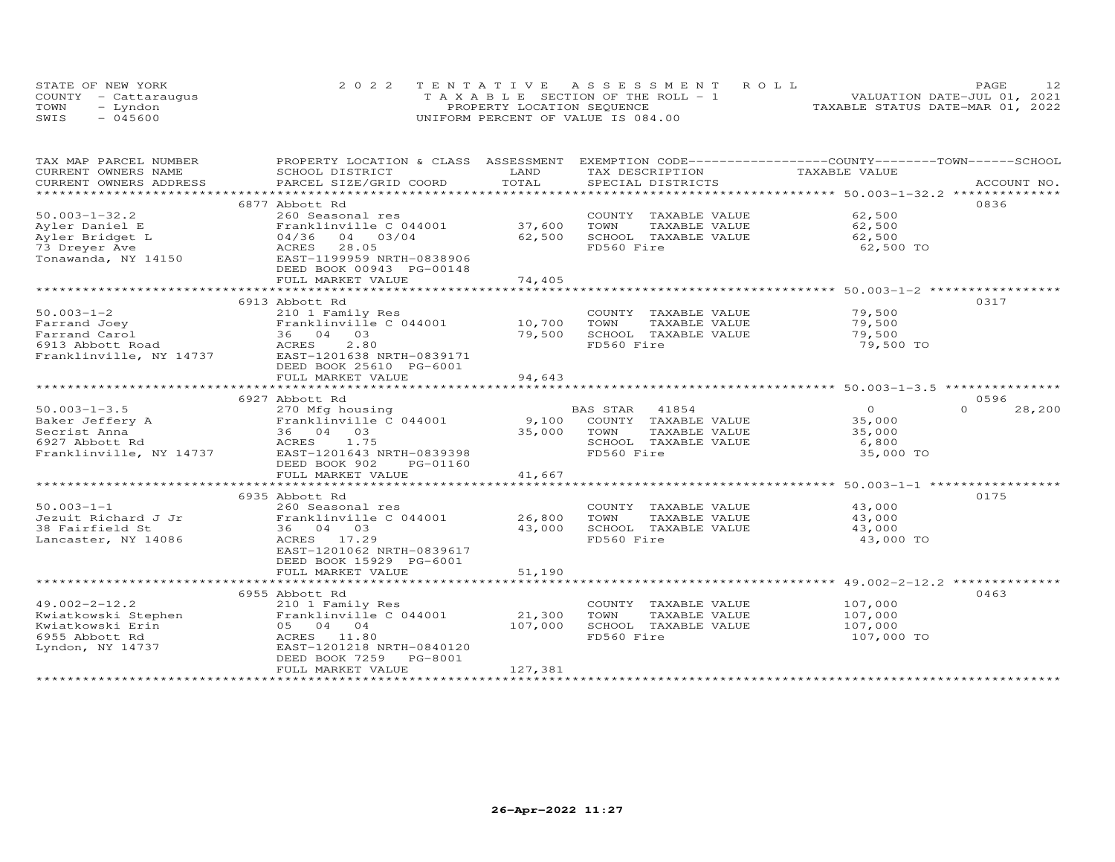|      | STATE OF NEW YORK    | 2022 TENTATIVE ASSESSMENT ROLL        | PAGE                             |
|------|----------------------|---------------------------------------|----------------------------------|
|      | COUNTY - Cattaraugus | T A X A B L E SECTION OF THE ROLL - 1 | VALUATION DATE-JUL 01, 2021      |
| TOWN | - Lyndon             | PROPERTY LOCATION SEQUENCE            | TAXABLE STATUS DATE-MAR 01, 2022 |
| SWIS | $-045600$            | UNIFORM PERCENT OF VALUE IS 084.00    |                                  |

| TAX MAP PARCEL NUMBER                                     | PROPERTY LOCATION & CLASS ASSESSMENT EXEMPTION CODE-----------------COUNTY-------TOWN------SCHOOL                                                                                                                              |             |                            |                |                    |
|-----------------------------------------------------------|--------------------------------------------------------------------------------------------------------------------------------------------------------------------------------------------------------------------------------|-------------|----------------------------|----------------|--------------------|
| CURRENT OWNERS NAME                                       | SCHOOL DISTRICT                                                                                                                                                                                                                | LAND        | TAX DESCRIPTION            | TAXABLE VALUE  |                    |
|                                                           | .CURRENT OWNERS ADDRESS PARCEL SIZE/GRID COORD TOTAL SPECIAL DISTRICTS ACCOUNT NO ACCOUNT NO ACCOUNT NO ARE THE SERVER AND RESELL ASSESS THAT AND THE SERVER SERVER AND THE SERVER SERVER AND THE SERVER SERVER AND THE SERVER |             |                            |                |                    |
|                                                           |                                                                                                                                                                                                                                |             |                            |                |                    |
|                                                           | 6877 Abbott Rd                                                                                                                                                                                                                 |             |                            |                | 0836               |
| $50.003 - 1 - 32.2$                                       | 260 Seasonal res                                                                                                                                                                                                               |             | COUNTY TAXABLE VALUE       | 62,500         |                    |
| Ayler Daniel E                                            | Franklinville C 044001                                                                                                                                                                                                         | 37,600      | TOWN<br>TAXABLE VALUE      | 62,500         |                    |
| Ayler Bridget L                                           | 04/36 04 03/04                                                                                                                                                                                                                 | 62,500      | SCHOOL TAXABLE VALUE       | 62,500         |                    |
| 73 Dreyer Ave                                             | ACRES<br>28.05                                                                                                                                                                                                                 |             | FD560 Fire                 | 62,500 TO      |                    |
| Tonawanda, $NY$ 14150                                     | EAST-1199959 NRTH-0838906                                                                                                                                                                                                      |             |                            |                |                    |
|                                                           | DEED BOOK 00943 PG-00148                                                                                                                                                                                                       |             |                            |                |                    |
|                                                           | FULL MARKET VALUE                                                                                                                                                                                                              | 74,405      |                            |                |                    |
|                                                           |                                                                                                                                                                                                                                |             |                            |                |                    |
|                                                           | 6913 Abbott Rd                                                                                                                                                                                                                 |             |                            |                | 0317               |
| $50.003 - 1 - 2$                                          | 210 1 Family Res<br>210 1 Family Res<br>Franklinville C 044001                   10,700                                                                                                                                        |             | COUNTY TAXABLE VALUE       | 79,500         |                    |
| Farrand Joey                                              |                                                                                                                                                                                                                                |             | TOWN<br>TAXABLE VALUE      | 79,500         |                    |
| Farrand Carol                                             | 36 04 03                                                                                                                                                                                                                       | 79,500      | SCHOOL TAXABLE VALUE       | 79,500         |                    |
| 6913 Abbott Road                                          | $B-L$<br>36 U-<br>ACRES<br>EAST-12'<br>2.80                                                                                                                                                                                    |             | FD560 Fire                 | 79,500 TO      |                    |
|                                                           | Franklinville, NY 14737 EAST-1201638 NRTH-0839171                                                                                                                                                                              |             |                            |                |                    |
|                                                           | DEED BOOK 25610 PG-6001                                                                                                                                                                                                        |             |                            |                |                    |
|                                                           | FULL MARKET VALUE                                                                                                                                                                                                              | 94,643      |                            |                |                    |
|                                                           |                                                                                                                                                                                                                                |             |                            |                |                    |
|                                                           | 6927 Abbott Rd                                                                                                                                                                                                                 |             |                            |                | 0596               |
| $50.003 - 1 - 3.5$                                        | 270 Mfg housing                                                                                                                                                                                                                |             | BAS STAR<br>41854          | $\overline{O}$ | $\Omega$<br>28,200 |
| Baker Jeffery A                                           | Franklinville C 044001                                                                                                                                                                                                         |             | 9,100 COUNTY TAXABLE VALUE | 35,000         |                    |
| Secrist Anna                                              | 36 04 03                                                                                                                                                                                                                       | 35,000 TOWN | TAXABLE VALUE              | 35,000         |                    |
| 6927 Abbott Rd                                            | ACRES 1.75                                                                                                                                                                                                                     |             | SCHOOL TAXABLE VALUE       | 6,800          |                    |
|                                                           | Franklinville, NY 14737 EAST-1201643 NRTH-0839398                                                                                                                                                                              |             | FD560 Fire                 | 35,000 TO      |                    |
|                                                           | DEED BOOK 902<br>PG-01160                                                                                                                                                                                                      |             |                            |                |                    |
|                                                           | FULL MARKET VALUE                                                                                                                                                                                                              | 41,667      |                            |                |                    |
|                                                           |                                                                                                                                                                                                                                |             |                            |                |                    |
|                                                           | 6935 Abbott Rd                                                                                                                                                                                                                 |             |                            |                | 0175               |
| $50.003 - 1 - 1$                                          | 260 Seasonal res                                                                                                                                                                                                               |             | COUNTY TAXABLE VALUE       | 43,000         |                    |
| Jezuit Richard J Jr                                       | Franklinville C 044001 26,800                                                                                                                                                                                                  |             | TOWN<br>TAXABLE VALUE      | 43,000         |                    |
| 38 Fairfield St                                           | 36 04 03                                                                                                                                                                                                                       | 43,000      | SCHOOL TAXABLE VALUE       | 43,000         |                    |
| Lancaster, NY 14086                                       | ACRES 17.29                                                                                                                                                                                                                    |             | FD560 Fire                 | 43,000 TO      |                    |
|                                                           | EAST-1201062 NRTH-0839617                                                                                                                                                                                                      |             |                            |                |                    |
|                                                           | DEED BOOK 15929 PG-6001                                                                                                                                                                                                        |             |                            |                |                    |
|                                                           | FULL MARKET VALUE                                                                                                                                                                                                              | 51,190      |                            |                |                    |
|                                                           |                                                                                                                                                                                                                                |             |                            |                |                    |
|                                                           | 6955 Abbott Rd                                                                                                                                                                                                                 |             |                            |                | 0463               |
| $49.002 - 2 - 12.2$                                       | 210 1 Family Res                                                                                                                                                                                                               |             | COUNTY TAXABLE VALUE       | 107,000        |                    |
|                                                           | Franklinville C 044001                                                                                                                                                                                                         | 21,300      | TOWN<br>TAXABLE VALUE      | 107,000        |                    |
| Kwiatkowski Stephen<br>Kwiatkowski Erin<br>6955 Abbott Rd | 05 04 04                                                                                                                                                                                                                       | 107,000     | SCHOOL TAXABLE VALUE       | 107,000        |                    |
|                                                           | ACRES 11.80                                                                                                                                                                                                                    |             | FD560 Fire                 | 107,000 TO     |                    |
| Lyndon, NY 14737                                          | EAST-1201218 NRTH-0840120                                                                                                                                                                                                      |             |                            |                |                    |
|                                                           | DEED BOOK 7259 PG-8001                                                                                                                                                                                                         |             |                            |                |                    |
|                                                           | FULL MARKET VALUE                                                                                                                                                                                                              | 127,381     |                            |                |                    |
|                                                           |                                                                                                                                                                                                                                |             |                            |                |                    |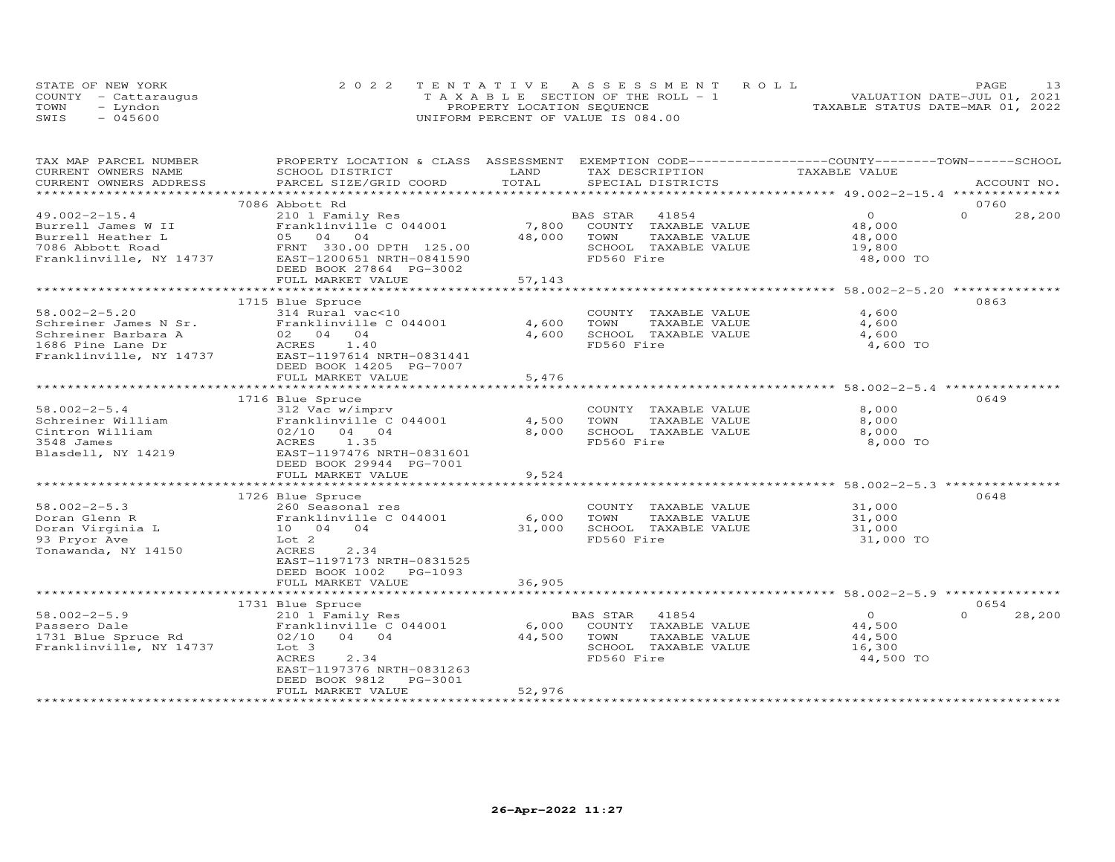|      | STATE OF NEW YORK    | 2022 TENTATIVE ASSESSMENT ROLL        | PAGE                             |
|------|----------------------|---------------------------------------|----------------------------------|
|      | COUNTY - Cattaraugus | T A X A B L E SECTION OF THE ROLL - 1 | VALUATION DATE-JUL 01, 2021      |
| TOWN | – Lyndon             | PROPERTY LOCATION SEQUENCE            | TAXABLE STATUS DATE-MAR 01, 2022 |
| SWIS | $-045600$            | UNIFORM PERCENT OF VALUE IS 084.00    |                                  |

| CURRENT OWNERS NAME<br>SCHOOL DISTRICT<br>LAND<br>TAX DESCRIPTION<br>TAXABLE VALUE<br>TOTAL<br>CURRENT OWNERS ADDRESS<br>PARCEL SIZE/GRID COORD<br>SPECIAL DISTRICTS<br>ACCOUNT NO.<br>***********************<br>7086 Abbott Rd<br>0760<br>$\circ$<br>$\Omega$<br>$49.002 - 2 - 15.4$<br>210 1 Family Res<br>BAS STAR<br>41854<br>28,200<br>Franklinville C 044001<br>7,800<br>COUNTY TAXABLE VALUE<br>Burrell James W II<br>48,000<br>05 04 04<br>Burrell Heather L<br>48,000<br>TOWN<br>TAXABLE VALUE<br>48,000<br>7086 Abbott Road<br>FRNT 330.00 DPTH 125.00<br>SCHOOL TAXABLE VALUE<br>19,800<br>Franklinville, NY 14737<br>EAST-1200651 NRTH-0841590<br>FD560 Fire<br>48,000 TO<br>DEED BOOK 27864 PG-3002<br>FULL MARKET VALUE<br>57,143<br>***********************************58.002-2-5.20 **************<br>1715 Blue Spruce<br>0863<br>$58.002 - 2 - 5.20$<br>4,600<br>314 Rural vac<10<br>COUNTY TAXABLE VALUE<br>Schreiner James N Sr.<br>Franklinville C 044001<br>4,600<br>4,600<br>TOWN<br>TAXABLE VALUE<br>4,600<br>SCHOOL TAXABLE VALUE<br>Schreiner Barbara A<br>02 04 04<br>4,600<br>1.40<br>FD560 Fire<br>1686 Pine Lane Dr<br>ACRES<br>4,600 TO<br>Franklinville, NY 14737<br>EAST-1197614 NRTH-0831441<br>DEED BOOK 14205 PG-7007<br>5,476<br>FULL MARKET VALUE<br>0649<br>1716 Blue Spruce<br>$58.002 - 2 - 5.4$<br>312 Vac w/imprv<br>8,000<br>COUNTY TAXABLE VALUE<br>Schreiner William<br>Franklinville C 044001<br>4,500<br>TOWN<br>TAXABLE VALUE<br>8,000<br>Cintron William<br>$02/10$ 04 04<br>8,000<br>SCHOOL TAXABLE VALUE<br>8,000<br>3548 James<br>ACRES<br>1.35<br>FD560 Fire<br>8,000 TO<br>Blasdell, NY 14219<br>EAST-1197476 NRTH-0831601<br>DEED BOOK 29944 PG-7001<br>FULL MARKET VALUE<br>9,524<br>*************************<br>* * * * * * * * * * * * * *<br>0648<br>1726 Blue Spruce<br>$58.002 - 2 - 5.3$<br>COUNTY TAXABLE VALUE<br>31,000<br>260 Seasonal res<br>Doran Glenn R<br>Franklinville C 044001<br>6,000<br>TOWN<br>TAXABLE VALUE<br>31,000<br>Doran Virginia L<br>31,000<br>SCHOOL TAXABLE VALUE<br>10 04 04<br>31,000<br>FD560 Fire<br>93 Pryor Ave<br>Lot 2<br>31,000 TO<br>Tonawanda, NY 14150<br>2.34<br>ACRES<br>EAST-1197173 NRTH-0831525<br>DEED BOOK 1002<br>PG-1093<br>FULL MARKET VALUE<br>36,905<br>1731 Blue Spruce<br>0654<br>$58.002 - 2 - 5.9$<br>210 1 Family Res<br>BAS STAR<br>41854<br>$\circ$<br>$\Omega$<br>28,200<br>Passero Dale<br>Franklinville C 044001<br>6,000<br>COUNTY TAXABLE VALUE<br>44,500<br>1731 Blue Spruce Rd<br>04 04<br>44,500<br>TAXABLE VALUE<br>02/10<br>TOWN<br>44,500<br>Franklinville, NY 14737<br>SCHOOL TAXABLE VALUE<br>Lot 3<br>16,300<br>FD560 Fire<br>44,500 TO<br>ACRES<br>2.34<br>EAST-1197376 NRTH-0831263<br>DEED BOOK 9812<br>PG-3001<br>52,976<br>FULL MARKET VALUE<br>*********************** | TAX MAP PARCEL NUMBER | PROPERTY LOCATION & CLASS ASSESSMENT EXEMPTION CODE----------------COUNTY-------TOWN------SCHOOL |  |  |
|---------------------------------------------------------------------------------------------------------------------------------------------------------------------------------------------------------------------------------------------------------------------------------------------------------------------------------------------------------------------------------------------------------------------------------------------------------------------------------------------------------------------------------------------------------------------------------------------------------------------------------------------------------------------------------------------------------------------------------------------------------------------------------------------------------------------------------------------------------------------------------------------------------------------------------------------------------------------------------------------------------------------------------------------------------------------------------------------------------------------------------------------------------------------------------------------------------------------------------------------------------------------------------------------------------------------------------------------------------------------------------------------------------------------------------------------------------------------------------------------------------------------------------------------------------------------------------------------------------------------------------------------------------------------------------------------------------------------------------------------------------------------------------------------------------------------------------------------------------------------------------------------------------------------------------------------------------------------------------------------------------------------------------------------------------------------------------------------------------------------------------------------------------------------------------------------------------------------------------------------------------------------------------------------------------------------------------------------------------------------------------------------------------------------------------------------------------------------------------------------------------------------------------------------------------------------------------------------------------------------------------------------------------------------------------------------------------------------------------------------------------------------------------------------------------------------|-----------------------|--------------------------------------------------------------------------------------------------|--|--|
|                                                                                                                                                                                                                                                                                                                                                                                                                                                                                                                                                                                                                                                                                                                                                                                                                                                                                                                                                                                                                                                                                                                                                                                                                                                                                                                                                                                                                                                                                                                                                                                                                                                                                                                                                                                                                                                                                                                                                                                                                                                                                                                                                                                                                                                                                                                                                                                                                                                                                                                                                                                                                                                                                                                                                                                                                     |                       |                                                                                                  |  |  |
|                                                                                                                                                                                                                                                                                                                                                                                                                                                                                                                                                                                                                                                                                                                                                                                                                                                                                                                                                                                                                                                                                                                                                                                                                                                                                                                                                                                                                                                                                                                                                                                                                                                                                                                                                                                                                                                                                                                                                                                                                                                                                                                                                                                                                                                                                                                                                                                                                                                                                                                                                                                                                                                                                                                                                                                                                     |                       |                                                                                                  |  |  |
|                                                                                                                                                                                                                                                                                                                                                                                                                                                                                                                                                                                                                                                                                                                                                                                                                                                                                                                                                                                                                                                                                                                                                                                                                                                                                                                                                                                                                                                                                                                                                                                                                                                                                                                                                                                                                                                                                                                                                                                                                                                                                                                                                                                                                                                                                                                                                                                                                                                                                                                                                                                                                                                                                                                                                                                                                     |                       |                                                                                                  |  |  |
|                                                                                                                                                                                                                                                                                                                                                                                                                                                                                                                                                                                                                                                                                                                                                                                                                                                                                                                                                                                                                                                                                                                                                                                                                                                                                                                                                                                                                                                                                                                                                                                                                                                                                                                                                                                                                                                                                                                                                                                                                                                                                                                                                                                                                                                                                                                                                                                                                                                                                                                                                                                                                                                                                                                                                                                                                     |                       |                                                                                                  |  |  |
|                                                                                                                                                                                                                                                                                                                                                                                                                                                                                                                                                                                                                                                                                                                                                                                                                                                                                                                                                                                                                                                                                                                                                                                                                                                                                                                                                                                                                                                                                                                                                                                                                                                                                                                                                                                                                                                                                                                                                                                                                                                                                                                                                                                                                                                                                                                                                                                                                                                                                                                                                                                                                                                                                                                                                                                                                     |                       |                                                                                                  |  |  |
|                                                                                                                                                                                                                                                                                                                                                                                                                                                                                                                                                                                                                                                                                                                                                                                                                                                                                                                                                                                                                                                                                                                                                                                                                                                                                                                                                                                                                                                                                                                                                                                                                                                                                                                                                                                                                                                                                                                                                                                                                                                                                                                                                                                                                                                                                                                                                                                                                                                                                                                                                                                                                                                                                                                                                                                                                     |                       |                                                                                                  |  |  |
|                                                                                                                                                                                                                                                                                                                                                                                                                                                                                                                                                                                                                                                                                                                                                                                                                                                                                                                                                                                                                                                                                                                                                                                                                                                                                                                                                                                                                                                                                                                                                                                                                                                                                                                                                                                                                                                                                                                                                                                                                                                                                                                                                                                                                                                                                                                                                                                                                                                                                                                                                                                                                                                                                                                                                                                                                     |                       |                                                                                                  |  |  |
|                                                                                                                                                                                                                                                                                                                                                                                                                                                                                                                                                                                                                                                                                                                                                                                                                                                                                                                                                                                                                                                                                                                                                                                                                                                                                                                                                                                                                                                                                                                                                                                                                                                                                                                                                                                                                                                                                                                                                                                                                                                                                                                                                                                                                                                                                                                                                                                                                                                                                                                                                                                                                                                                                                                                                                                                                     |                       |                                                                                                  |  |  |
|                                                                                                                                                                                                                                                                                                                                                                                                                                                                                                                                                                                                                                                                                                                                                                                                                                                                                                                                                                                                                                                                                                                                                                                                                                                                                                                                                                                                                                                                                                                                                                                                                                                                                                                                                                                                                                                                                                                                                                                                                                                                                                                                                                                                                                                                                                                                                                                                                                                                                                                                                                                                                                                                                                                                                                                                                     |                       |                                                                                                  |  |  |
|                                                                                                                                                                                                                                                                                                                                                                                                                                                                                                                                                                                                                                                                                                                                                                                                                                                                                                                                                                                                                                                                                                                                                                                                                                                                                                                                                                                                                                                                                                                                                                                                                                                                                                                                                                                                                                                                                                                                                                                                                                                                                                                                                                                                                                                                                                                                                                                                                                                                                                                                                                                                                                                                                                                                                                                                                     |                       |                                                                                                  |  |  |
|                                                                                                                                                                                                                                                                                                                                                                                                                                                                                                                                                                                                                                                                                                                                                                                                                                                                                                                                                                                                                                                                                                                                                                                                                                                                                                                                                                                                                                                                                                                                                                                                                                                                                                                                                                                                                                                                                                                                                                                                                                                                                                                                                                                                                                                                                                                                                                                                                                                                                                                                                                                                                                                                                                                                                                                                                     |                       |                                                                                                  |  |  |
|                                                                                                                                                                                                                                                                                                                                                                                                                                                                                                                                                                                                                                                                                                                                                                                                                                                                                                                                                                                                                                                                                                                                                                                                                                                                                                                                                                                                                                                                                                                                                                                                                                                                                                                                                                                                                                                                                                                                                                                                                                                                                                                                                                                                                                                                                                                                                                                                                                                                                                                                                                                                                                                                                                                                                                                                                     |                       |                                                                                                  |  |  |
|                                                                                                                                                                                                                                                                                                                                                                                                                                                                                                                                                                                                                                                                                                                                                                                                                                                                                                                                                                                                                                                                                                                                                                                                                                                                                                                                                                                                                                                                                                                                                                                                                                                                                                                                                                                                                                                                                                                                                                                                                                                                                                                                                                                                                                                                                                                                                                                                                                                                                                                                                                                                                                                                                                                                                                                                                     |                       |                                                                                                  |  |  |
|                                                                                                                                                                                                                                                                                                                                                                                                                                                                                                                                                                                                                                                                                                                                                                                                                                                                                                                                                                                                                                                                                                                                                                                                                                                                                                                                                                                                                                                                                                                                                                                                                                                                                                                                                                                                                                                                                                                                                                                                                                                                                                                                                                                                                                                                                                                                                                                                                                                                                                                                                                                                                                                                                                                                                                                                                     |                       |                                                                                                  |  |  |
|                                                                                                                                                                                                                                                                                                                                                                                                                                                                                                                                                                                                                                                                                                                                                                                                                                                                                                                                                                                                                                                                                                                                                                                                                                                                                                                                                                                                                                                                                                                                                                                                                                                                                                                                                                                                                                                                                                                                                                                                                                                                                                                                                                                                                                                                                                                                                                                                                                                                                                                                                                                                                                                                                                                                                                                                                     |                       |                                                                                                  |  |  |
|                                                                                                                                                                                                                                                                                                                                                                                                                                                                                                                                                                                                                                                                                                                                                                                                                                                                                                                                                                                                                                                                                                                                                                                                                                                                                                                                                                                                                                                                                                                                                                                                                                                                                                                                                                                                                                                                                                                                                                                                                                                                                                                                                                                                                                                                                                                                                                                                                                                                                                                                                                                                                                                                                                                                                                                                                     |                       |                                                                                                  |  |  |
|                                                                                                                                                                                                                                                                                                                                                                                                                                                                                                                                                                                                                                                                                                                                                                                                                                                                                                                                                                                                                                                                                                                                                                                                                                                                                                                                                                                                                                                                                                                                                                                                                                                                                                                                                                                                                                                                                                                                                                                                                                                                                                                                                                                                                                                                                                                                                                                                                                                                                                                                                                                                                                                                                                                                                                                                                     |                       |                                                                                                  |  |  |
|                                                                                                                                                                                                                                                                                                                                                                                                                                                                                                                                                                                                                                                                                                                                                                                                                                                                                                                                                                                                                                                                                                                                                                                                                                                                                                                                                                                                                                                                                                                                                                                                                                                                                                                                                                                                                                                                                                                                                                                                                                                                                                                                                                                                                                                                                                                                                                                                                                                                                                                                                                                                                                                                                                                                                                                                                     |                       |                                                                                                  |  |  |
|                                                                                                                                                                                                                                                                                                                                                                                                                                                                                                                                                                                                                                                                                                                                                                                                                                                                                                                                                                                                                                                                                                                                                                                                                                                                                                                                                                                                                                                                                                                                                                                                                                                                                                                                                                                                                                                                                                                                                                                                                                                                                                                                                                                                                                                                                                                                                                                                                                                                                                                                                                                                                                                                                                                                                                                                                     |                       |                                                                                                  |  |  |
|                                                                                                                                                                                                                                                                                                                                                                                                                                                                                                                                                                                                                                                                                                                                                                                                                                                                                                                                                                                                                                                                                                                                                                                                                                                                                                                                                                                                                                                                                                                                                                                                                                                                                                                                                                                                                                                                                                                                                                                                                                                                                                                                                                                                                                                                                                                                                                                                                                                                                                                                                                                                                                                                                                                                                                                                                     |                       |                                                                                                  |  |  |
|                                                                                                                                                                                                                                                                                                                                                                                                                                                                                                                                                                                                                                                                                                                                                                                                                                                                                                                                                                                                                                                                                                                                                                                                                                                                                                                                                                                                                                                                                                                                                                                                                                                                                                                                                                                                                                                                                                                                                                                                                                                                                                                                                                                                                                                                                                                                                                                                                                                                                                                                                                                                                                                                                                                                                                                                                     |                       |                                                                                                  |  |  |
|                                                                                                                                                                                                                                                                                                                                                                                                                                                                                                                                                                                                                                                                                                                                                                                                                                                                                                                                                                                                                                                                                                                                                                                                                                                                                                                                                                                                                                                                                                                                                                                                                                                                                                                                                                                                                                                                                                                                                                                                                                                                                                                                                                                                                                                                                                                                                                                                                                                                                                                                                                                                                                                                                                                                                                                                                     |                       |                                                                                                  |  |  |
|                                                                                                                                                                                                                                                                                                                                                                                                                                                                                                                                                                                                                                                                                                                                                                                                                                                                                                                                                                                                                                                                                                                                                                                                                                                                                                                                                                                                                                                                                                                                                                                                                                                                                                                                                                                                                                                                                                                                                                                                                                                                                                                                                                                                                                                                                                                                                                                                                                                                                                                                                                                                                                                                                                                                                                                                                     |                       |                                                                                                  |  |  |
|                                                                                                                                                                                                                                                                                                                                                                                                                                                                                                                                                                                                                                                                                                                                                                                                                                                                                                                                                                                                                                                                                                                                                                                                                                                                                                                                                                                                                                                                                                                                                                                                                                                                                                                                                                                                                                                                                                                                                                                                                                                                                                                                                                                                                                                                                                                                                                                                                                                                                                                                                                                                                                                                                                                                                                                                                     |                       |                                                                                                  |  |  |
|                                                                                                                                                                                                                                                                                                                                                                                                                                                                                                                                                                                                                                                                                                                                                                                                                                                                                                                                                                                                                                                                                                                                                                                                                                                                                                                                                                                                                                                                                                                                                                                                                                                                                                                                                                                                                                                                                                                                                                                                                                                                                                                                                                                                                                                                                                                                                                                                                                                                                                                                                                                                                                                                                                                                                                                                                     |                       |                                                                                                  |  |  |
|                                                                                                                                                                                                                                                                                                                                                                                                                                                                                                                                                                                                                                                                                                                                                                                                                                                                                                                                                                                                                                                                                                                                                                                                                                                                                                                                                                                                                                                                                                                                                                                                                                                                                                                                                                                                                                                                                                                                                                                                                                                                                                                                                                                                                                                                                                                                                                                                                                                                                                                                                                                                                                                                                                                                                                                                                     |                       |                                                                                                  |  |  |
|                                                                                                                                                                                                                                                                                                                                                                                                                                                                                                                                                                                                                                                                                                                                                                                                                                                                                                                                                                                                                                                                                                                                                                                                                                                                                                                                                                                                                                                                                                                                                                                                                                                                                                                                                                                                                                                                                                                                                                                                                                                                                                                                                                                                                                                                                                                                                                                                                                                                                                                                                                                                                                                                                                                                                                                                                     |                       |                                                                                                  |  |  |
|                                                                                                                                                                                                                                                                                                                                                                                                                                                                                                                                                                                                                                                                                                                                                                                                                                                                                                                                                                                                                                                                                                                                                                                                                                                                                                                                                                                                                                                                                                                                                                                                                                                                                                                                                                                                                                                                                                                                                                                                                                                                                                                                                                                                                                                                                                                                                                                                                                                                                                                                                                                                                                                                                                                                                                                                                     |                       |                                                                                                  |  |  |
|                                                                                                                                                                                                                                                                                                                                                                                                                                                                                                                                                                                                                                                                                                                                                                                                                                                                                                                                                                                                                                                                                                                                                                                                                                                                                                                                                                                                                                                                                                                                                                                                                                                                                                                                                                                                                                                                                                                                                                                                                                                                                                                                                                                                                                                                                                                                                                                                                                                                                                                                                                                                                                                                                                                                                                                                                     |                       |                                                                                                  |  |  |
|                                                                                                                                                                                                                                                                                                                                                                                                                                                                                                                                                                                                                                                                                                                                                                                                                                                                                                                                                                                                                                                                                                                                                                                                                                                                                                                                                                                                                                                                                                                                                                                                                                                                                                                                                                                                                                                                                                                                                                                                                                                                                                                                                                                                                                                                                                                                                                                                                                                                                                                                                                                                                                                                                                                                                                                                                     |                       |                                                                                                  |  |  |
|                                                                                                                                                                                                                                                                                                                                                                                                                                                                                                                                                                                                                                                                                                                                                                                                                                                                                                                                                                                                                                                                                                                                                                                                                                                                                                                                                                                                                                                                                                                                                                                                                                                                                                                                                                                                                                                                                                                                                                                                                                                                                                                                                                                                                                                                                                                                                                                                                                                                                                                                                                                                                                                                                                                                                                                                                     |                       |                                                                                                  |  |  |
|                                                                                                                                                                                                                                                                                                                                                                                                                                                                                                                                                                                                                                                                                                                                                                                                                                                                                                                                                                                                                                                                                                                                                                                                                                                                                                                                                                                                                                                                                                                                                                                                                                                                                                                                                                                                                                                                                                                                                                                                                                                                                                                                                                                                                                                                                                                                                                                                                                                                                                                                                                                                                                                                                                                                                                                                                     |                       |                                                                                                  |  |  |
|                                                                                                                                                                                                                                                                                                                                                                                                                                                                                                                                                                                                                                                                                                                                                                                                                                                                                                                                                                                                                                                                                                                                                                                                                                                                                                                                                                                                                                                                                                                                                                                                                                                                                                                                                                                                                                                                                                                                                                                                                                                                                                                                                                                                                                                                                                                                                                                                                                                                                                                                                                                                                                                                                                                                                                                                                     |                       |                                                                                                  |  |  |
|                                                                                                                                                                                                                                                                                                                                                                                                                                                                                                                                                                                                                                                                                                                                                                                                                                                                                                                                                                                                                                                                                                                                                                                                                                                                                                                                                                                                                                                                                                                                                                                                                                                                                                                                                                                                                                                                                                                                                                                                                                                                                                                                                                                                                                                                                                                                                                                                                                                                                                                                                                                                                                                                                                                                                                                                                     |                       |                                                                                                  |  |  |
|                                                                                                                                                                                                                                                                                                                                                                                                                                                                                                                                                                                                                                                                                                                                                                                                                                                                                                                                                                                                                                                                                                                                                                                                                                                                                                                                                                                                                                                                                                                                                                                                                                                                                                                                                                                                                                                                                                                                                                                                                                                                                                                                                                                                                                                                                                                                                                                                                                                                                                                                                                                                                                                                                                                                                                                                                     |                       |                                                                                                  |  |  |
|                                                                                                                                                                                                                                                                                                                                                                                                                                                                                                                                                                                                                                                                                                                                                                                                                                                                                                                                                                                                                                                                                                                                                                                                                                                                                                                                                                                                                                                                                                                                                                                                                                                                                                                                                                                                                                                                                                                                                                                                                                                                                                                                                                                                                                                                                                                                                                                                                                                                                                                                                                                                                                                                                                                                                                                                                     |                       |                                                                                                  |  |  |
|                                                                                                                                                                                                                                                                                                                                                                                                                                                                                                                                                                                                                                                                                                                                                                                                                                                                                                                                                                                                                                                                                                                                                                                                                                                                                                                                                                                                                                                                                                                                                                                                                                                                                                                                                                                                                                                                                                                                                                                                                                                                                                                                                                                                                                                                                                                                                                                                                                                                                                                                                                                                                                                                                                                                                                                                                     |                       |                                                                                                  |  |  |
|                                                                                                                                                                                                                                                                                                                                                                                                                                                                                                                                                                                                                                                                                                                                                                                                                                                                                                                                                                                                                                                                                                                                                                                                                                                                                                                                                                                                                                                                                                                                                                                                                                                                                                                                                                                                                                                                                                                                                                                                                                                                                                                                                                                                                                                                                                                                                                                                                                                                                                                                                                                                                                                                                                                                                                                                                     |                       |                                                                                                  |  |  |
|                                                                                                                                                                                                                                                                                                                                                                                                                                                                                                                                                                                                                                                                                                                                                                                                                                                                                                                                                                                                                                                                                                                                                                                                                                                                                                                                                                                                                                                                                                                                                                                                                                                                                                                                                                                                                                                                                                                                                                                                                                                                                                                                                                                                                                                                                                                                                                                                                                                                                                                                                                                                                                                                                                                                                                                                                     |                       |                                                                                                  |  |  |
|                                                                                                                                                                                                                                                                                                                                                                                                                                                                                                                                                                                                                                                                                                                                                                                                                                                                                                                                                                                                                                                                                                                                                                                                                                                                                                                                                                                                                                                                                                                                                                                                                                                                                                                                                                                                                                                                                                                                                                                                                                                                                                                                                                                                                                                                                                                                                                                                                                                                                                                                                                                                                                                                                                                                                                                                                     |                       |                                                                                                  |  |  |
|                                                                                                                                                                                                                                                                                                                                                                                                                                                                                                                                                                                                                                                                                                                                                                                                                                                                                                                                                                                                                                                                                                                                                                                                                                                                                                                                                                                                                                                                                                                                                                                                                                                                                                                                                                                                                                                                                                                                                                                                                                                                                                                                                                                                                                                                                                                                                                                                                                                                                                                                                                                                                                                                                                                                                                                                                     |                       |                                                                                                  |  |  |
|                                                                                                                                                                                                                                                                                                                                                                                                                                                                                                                                                                                                                                                                                                                                                                                                                                                                                                                                                                                                                                                                                                                                                                                                                                                                                                                                                                                                                                                                                                                                                                                                                                                                                                                                                                                                                                                                                                                                                                                                                                                                                                                                                                                                                                                                                                                                                                                                                                                                                                                                                                                                                                                                                                                                                                                                                     |                       |                                                                                                  |  |  |
|                                                                                                                                                                                                                                                                                                                                                                                                                                                                                                                                                                                                                                                                                                                                                                                                                                                                                                                                                                                                                                                                                                                                                                                                                                                                                                                                                                                                                                                                                                                                                                                                                                                                                                                                                                                                                                                                                                                                                                                                                                                                                                                                                                                                                                                                                                                                                                                                                                                                                                                                                                                                                                                                                                                                                                                                                     |                       |                                                                                                  |  |  |
|                                                                                                                                                                                                                                                                                                                                                                                                                                                                                                                                                                                                                                                                                                                                                                                                                                                                                                                                                                                                                                                                                                                                                                                                                                                                                                                                                                                                                                                                                                                                                                                                                                                                                                                                                                                                                                                                                                                                                                                                                                                                                                                                                                                                                                                                                                                                                                                                                                                                                                                                                                                                                                                                                                                                                                                                                     |                       |                                                                                                  |  |  |
|                                                                                                                                                                                                                                                                                                                                                                                                                                                                                                                                                                                                                                                                                                                                                                                                                                                                                                                                                                                                                                                                                                                                                                                                                                                                                                                                                                                                                                                                                                                                                                                                                                                                                                                                                                                                                                                                                                                                                                                                                                                                                                                                                                                                                                                                                                                                                                                                                                                                                                                                                                                                                                                                                                                                                                                                                     |                       |                                                                                                  |  |  |
|                                                                                                                                                                                                                                                                                                                                                                                                                                                                                                                                                                                                                                                                                                                                                                                                                                                                                                                                                                                                                                                                                                                                                                                                                                                                                                                                                                                                                                                                                                                                                                                                                                                                                                                                                                                                                                                                                                                                                                                                                                                                                                                                                                                                                                                                                                                                                                                                                                                                                                                                                                                                                                                                                                                                                                                                                     |                       |                                                                                                  |  |  |
|                                                                                                                                                                                                                                                                                                                                                                                                                                                                                                                                                                                                                                                                                                                                                                                                                                                                                                                                                                                                                                                                                                                                                                                                                                                                                                                                                                                                                                                                                                                                                                                                                                                                                                                                                                                                                                                                                                                                                                                                                                                                                                                                                                                                                                                                                                                                                                                                                                                                                                                                                                                                                                                                                                                                                                                                                     |                       |                                                                                                  |  |  |
|                                                                                                                                                                                                                                                                                                                                                                                                                                                                                                                                                                                                                                                                                                                                                                                                                                                                                                                                                                                                                                                                                                                                                                                                                                                                                                                                                                                                                                                                                                                                                                                                                                                                                                                                                                                                                                                                                                                                                                                                                                                                                                                                                                                                                                                                                                                                                                                                                                                                                                                                                                                                                                                                                                                                                                                                                     |                       |                                                                                                  |  |  |
|                                                                                                                                                                                                                                                                                                                                                                                                                                                                                                                                                                                                                                                                                                                                                                                                                                                                                                                                                                                                                                                                                                                                                                                                                                                                                                                                                                                                                                                                                                                                                                                                                                                                                                                                                                                                                                                                                                                                                                                                                                                                                                                                                                                                                                                                                                                                                                                                                                                                                                                                                                                                                                                                                                                                                                                                                     |                       |                                                                                                  |  |  |
|                                                                                                                                                                                                                                                                                                                                                                                                                                                                                                                                                                                                                                                                                                                                                                                                                                                                                                                                                                                                                                                                                                                                                                                                                                                                                                                                                                                                                                                                                                                                                                                                                                                                                                                                                                                                                                                                                                                                                                                                                                                                                                                                                                                                                                                                                                                                                                                                                                                                                                                                                                                                                                                                                                                                                                                                                     |                       |                                                                                                  |  |  |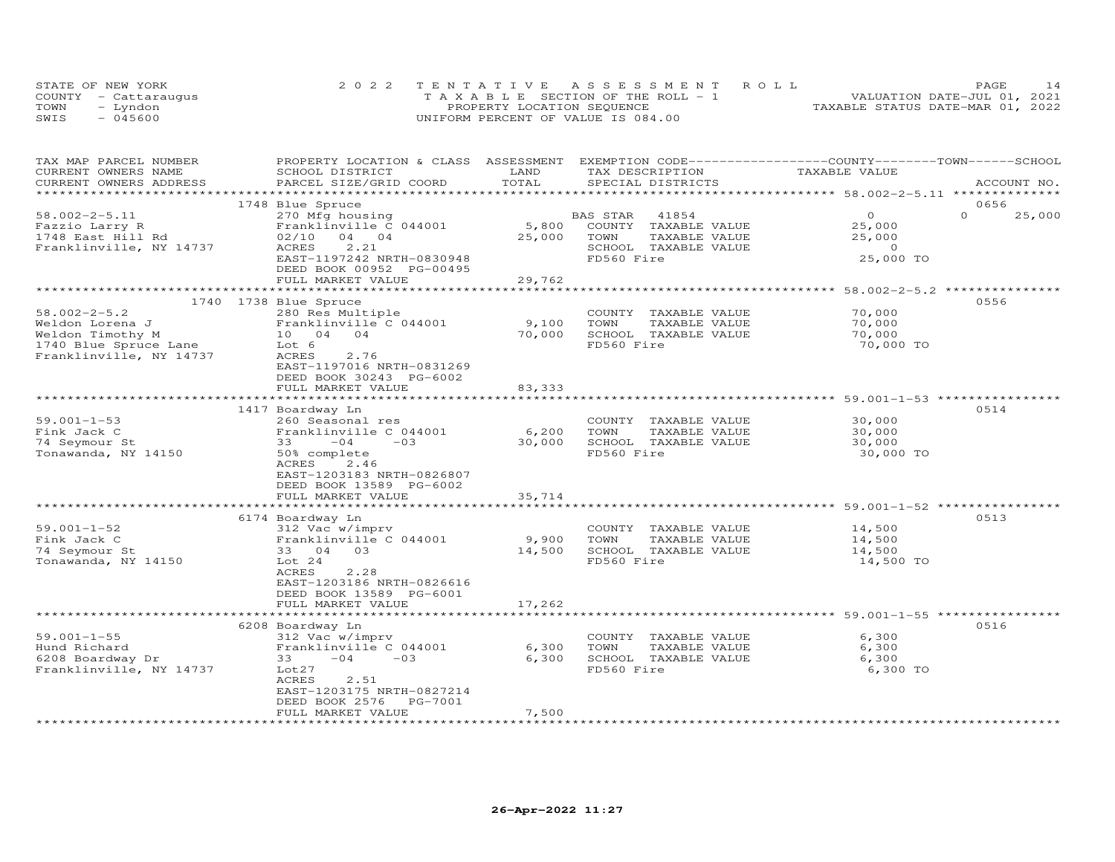|      | STATE OF NEW YORK    | 2022 TENTATIVE ASSESSMENT ROLL             | PAGE                             |
|------|----------------------|--------------------------------------------|----------------------------------|
|      | COUNTY - Cattaraugus | $T A X A B I E E$ SECTION OF THE ROLL $-1$ | VALUATION DATE-JUL 01, 2021      |
| TOWN | - Lyndon             | PROPERTY LOCATION SEQUENCE                 | TAXABLE STATUS DATE-MAR 01, 2022 |
| SWIS | $-045600$            | UNIFORM PERCENT OF VALUE IS 084.00         |                                  |

| TAX MAP PARCEL NUMBER<br>CURRENT OWNERS NAME<br>CURRENT OWNERS ADDRESS                                        | PROPERTY LOCATION & CLASS ASSESSMENT<br>SCHOOL DISTRICT<br>PARCEL SIZE/GRID COORD                                                                                                   | LAND<br>TOTAL             | TAX DESCRIPTION<br>SPECIAL DISTRICTS                                                                        | EXEMPTION CODE-----------------COUNTY-------TOWN------SCHOOL<br>TAXABLE VALUE | ACCOUNT NO.        |
|---------------------------------------------------------------------------------------------------------------|-------------------------------------------------------------------------------------------------------------------------------------------------------------------------------------|---------------------------|-------------------------------------------------------------------------------------------------------------|-------------------------------------------------------------------------------|--------------------|
|                                                                                                               |                                                                                                                                                                                     |                           |                                                                                                             |                                                                               |                    |
|                                                                                                               | 1748 Blue Spruce                                                                                                                                                                    |                           |                                                                                                             |                                                                               | 0656               |
| $58.002 - 2 - 5.11$<br>Fazzio Larry R<br>1748 East Hill Rd<br>Franklinville, NY 14737                         | 270 Mfg housing<br>Franklinville C 044001<br>02/10<br>04 04<br>ACRES<br>2.21<br>EAST-1197242 NRTH-0830948                                                                           | 5,800<br>25,000           | BAS STAR<br>41854<br>COUNTY<br>TAXABLE VALUE<br>TOWN<br>TAXABLE VALUE<br>SCHOOL TAXABLE VALUE<br>FD560 Fire | $\Omega$<br>25,000<br>25,000<br>$\circ$<br>25,000 TO                          | $\Omega$<br>25,000 |
|                                                                                                               | DEED BOOK 00952 PG-00495<br>FULL MARKET VALUE                                                                                                                                       | 29,762                    |                                                                                                             |                                                                               |                    |
|                                                                                                               |                                                                                                                                                                                     |                           |                                                                                                             | ******************* 58.002-2-5.2 **************                               |                    |
| $58.002 - 2 - 5.2$<br>Weldon Lorena J<br>Weldon Timothy M<br>1740 Blue Spruce Lane<br>Franklinville, NY 14737 | 1740 1738 Blue Spruce<br>280 Res Multiple<br>Franklinville C 044001<br>10 04 04<br>Lot 6<br>ACRES<br>2.76<br>EAST-1197016 NRTH-0831269                                              | 9,100<br>70,000           | COUNTY TAXABLE VALUE<br>TOWN<br>TAXABLE VALUE<br>SCHOOL TAXABLE VALUE<br>FD560 Fire                         | 70,000<br>70,000<br>70,000<br>70,000 TO                                       | 0556               |
|                                                                                                               | DEED BOOK 30243 PG-6002<br>FULL MARKET VALUE                                                                                                                                        | 83, 333                   |                                                                                                             |                                                                               |                    |
|                                                                                                               | ********************                                                                                                                                                                | ************              |                                                                                                             | *********************** 59.001-1-53 ****                                      |                    |
| $59.001 - 1 - 53$<br>Fink Jack C<br>74 Seymour St<br>Tonawanda, NY 14150                                      | 1417 Boardway Ln<br>260 Seasonal res<br>Franklinville C 044001<br>$-0.3$<br>33<br>$-04$<br>50% complete<br>ACRES<br>2.46<br>EAST-1203183 NRTH-0826807                               | 6,200<br>30,000           | COUNTY TAXABLE VALUE<br>TOWN<br>TAXABLE VALUE<br>SCHOOL TAXABLE VALUE<br>FD560 Fire                         | 30,000<br>30,000<br>30,000<br>30,000 TO                                       | 0514               |
|                                                                                                               | DEED BOOK 13589 PG-6002                                                                                                                                                             |                           |                                                                                                             |                                                                               |                    |
|                                                                                                               | FULL MARKET VALUE                                                                                                                                                                   | 35,714                    |                                                                                                             |                                                                               |                    |
|                                                                                                               |                                                                                                                                                                                     |                           |                                                                                                             | ******************************* 59.001-1-52 ***********                       | 0513               |
| $59.001 - 1 - 52$<br>Fink Jack C<br>74 Seymour St<br>Tonawanda, NY 14150                                      | 6174 Boardway Ln<br>312 Vac w/imprv<br>Franklinville C 044001<br>33 04 03<br>Lot $24$<br>ACRES<br>2.28<br>EAST-1203186 NRTH-0826616<br>DEED BOOK 13589 PG-6001<br>FULL MARKET VALUE | 9,900<br>14,500<br>17,262 | COUNTY TAXABLE VALUE<br>TOWN<br>TAXABLE VALUE<br>SCHOOL TAXABLE VALUE<br>FD560 Fire                         | 14,500<br>14,500<br>14,500<br>14,500 TO                                       |                    |
|                                                                                                               |                                                                                                                                                                                     |                           |                                                                                                             | ****************************** 59.001-1-55 *****************                  |                    |
| $59.001 - 1 - 55$<br>Hund Richard<br>6208 Boardway Dr<br>Franklinville, NY 14737                              | 6208 Boardway Ln<br>312 Vac w/imprv<br>Franklinville C 044001<br>33<br>$-04$<br>$-03$<br>Lot27<br>ACRES<br>2.51<br>EAST-1203175 NRTH-0827214<br>DEED BOOK 2576<br>PG-7001           | 6,300<br>6,300            | COUNTY TAXABLE VALUE<br>TOWN<br>TAXABLE VALUE<br>SCHOOL TAXABLE VALUE<br>FD560 Fire                         | 6,300<br>6,300<br>6,300<br>6,300 TO                                           | 0516               |
|                                                                                                               | FULL MARKET VALUE                                                                                                                                                                   | 7,500                     |                                                                                                             |                                                                               |                    |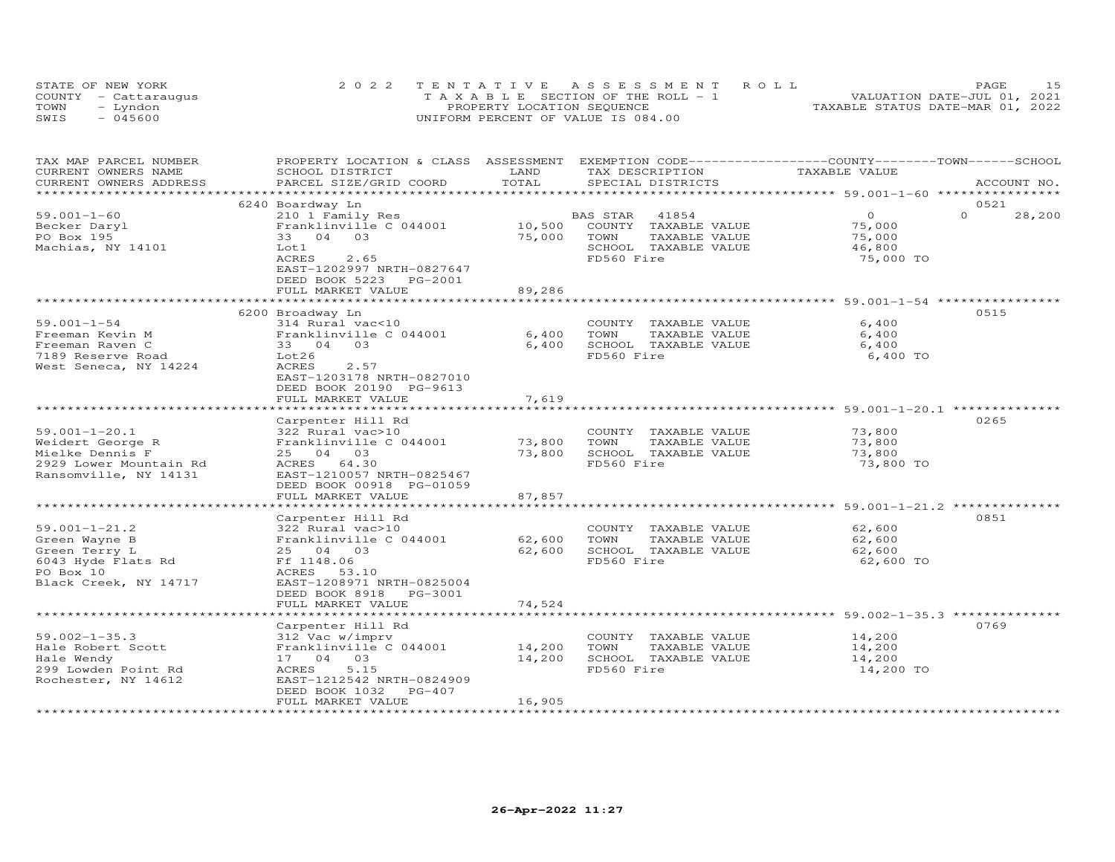|      | STATE OF NEW YORK    | 2022 TENTATIVE ASSESSMENT ROLL        | 15<br>PAGE                       |
|------|----------------------|---------------------------------------|----------------------------------|
|      | COUNTY - Cattaraugus | T A X A B L E SECTION OF THE ROLL - 1 | VALUATION DATE-JUL 01, 2021      |
| TOWN | – Lyndon             | PROPERTY LOCATION SEQUENCE            | TAXABLE STATUS DATE-MAR 01, 2022 |
| SWIS | $-045600$            | UNIFORM PERCENT OF VALUE IS 084.00    |                                  |

| TAX MAP PARCEL NUMBER<br>CURRENT OWNERS NAME | PROPERTY LOCATION & CLASS ASSESSMENT<br>SCHOOL DISTRICT | LAND   | EXEMPTION CODE-----------------COUNTY-------TOWN-----SCHOOL<br>TAX DESCRIPTION | TAXABLE VALUE |                    |
|----------------------------------------------|---------------------------------------------------------|--------|--------------------------------------------------------------------------------|---------------|--------------------|
| CURRENT OWNERS ADDRESS                       | PARCEL SIZE/GRID COORD                                  | TOTAL  | SPECIAL DISTRICTS                                                              |               | ACCOUNT NO.        |
|                                              |                                                         |        |                                                                                |               |                    |
|                                              | 6240 Boardway Ln                                        |        |                                                                                |               | 0521               |
| $59.001 - 1 - 60$                            | 210 1 Family Res                                        |        | 41854<br>BAS STAR                                                              | $\Omega$      | $\Omega$<br>28,200 |
| Becker Daryl                                 | Franklinville C 044001                                  | 10,500 | COUNTY TAXABLE VALUE                                                           | 75,000        |                    |
| PO Box 195                                   | 33 04 03                                                | 75,000 | TOWN<br>TAXABLE VALUE                                                          | 75,000        |                    |
| Machias, NY 14101                            | Lot1                                                    |        | SCHOOL TAXABLE VALUE                                                           | 46,800        |                    |
|                                              | ACRES<br>2.65                                           |        | FD560 Fire                                                                     | 75,000 TO     |                    |
|                                              | EAST-1202997 NRTH-0827647                               |        |                                                                                |               |                    |
|                                              | DEED BOOK 5223<br>PG-2001<br>FULL MARKET VALUE          | 89,286 |                                                                                |               |                    |
|                                              |                                                         |        |                                                                                |               |                    |
|                                              | 6200 Broadway Ln                                        |        |                                                                                |               | 0515               |
| $59.001 - 1 - 54$                            | 314 Rural vac<10                                        |        | COUNTY TAXABLE VALUE                                                           | 6,400         |                    |
| Freeman Kevin M                              | Franklinville C 044001                                  | 6,400  | TOWN<br>TAXABLE VALUE                                                          | 6,400         |                    |
| Freeman Raven C                              | 33 04 03                                                | 6,400  | SCHOOL TAXABLE VALUE                                                           | 6,400         |                    |
| 7189 Reserve Road                            | Lot26                                                   |        | FD560 Fire                                                                     | 6,400 TO      |                    |
| West Seneca, NY 14224                        | ACRES<br>2.57                                           |        |                                                                                |               |                    |
|                                              | EAST-1203178 NRTH-0827010                               |        |                                                                                |               |                    |
|                                              | DEED BOOK 20190 PG-9613                                 |        |                                                                                |               |                    |
|                                              | FULL MARKET VALUE                                       | 7,619  |                                                                                |               |                    |
|                                              |                                                         |        |                                                                                |               |                    |
|                                              | Carpenter Hill Rd                                       |        |                                                                                |               | 0265               |
| $59.001 - 1 - 20.1$                          | 322 Rural vac>10                                        |        | COUNTY TAXABLE VALUE                                                           | 73,800        |                    |
| Weidert George R                             | Franklinville C 044001                                  | 73,800 | TAXABLE VALUE<br>TOWN                                                          | 73,800        |                    |
| Mielke Dennis F                              | 25 04 03                                                | 73,800 | SCHOOL TAXABLE VALUE                                                           | 73,800        |                    |
| 2929 Lower Mountain Rd                       | ACRES 64.30                                             |        | FD560 Fire                                                                     | 73,800 TO     |                    |
| Ransomville, NY 14131                        | EAST-1210057 NRTH-0825467                               |        |                                                                                |               |                    |
|                                              | DEED BOOK 00918 PG-01059                                |        |                                                                                |               |                    |
|                                              | FULL MARKET VALUE                                       | 87,857 |                                                                                |               |                    |
|                                              | Carpenter Hill Rd                                       |        |                                                                                |               | 0851               |
| $59.001 - 1 - 21.2$                          | 322 Rural vac>10                                        |        | COUNTY TAXABLE VALUE                                                           | 62,600        |                    |
| Green Wayne B                                | Franklinville C 044001                                  | 62,600 | TOWN<br>TAXABLE VALUE                                                          | 62,600        |                    |
| Green Terry L                                | 25 04 03                                                | 62,600 | SCHOOL TAXABLE VALUE                                                           | 62,600        |                    |
| 6043 Hyde Flats Rd                           | Ff 1148.06                                              |        | FD560 Fire                                                                     | 62,600 TO     |                    |
| PO Box 10                                    | ACRES<br>53.10                                          |        |                                                                                |               |                    |
| Black Creek, NY 14717                        | EAST-1208971 NRTH-0825004                               |        |                                                                                |               |                    |
|                                              | DEED BOOK 8918 PG-3001                                  |        |                                                                                |               |                    |
|                                              | FULL MARKET VALUE                                       | 74,524 |                                                                                |               |                    |
|                                              |                                                         |        |                                                                                |               |                    |
|                                              | Carpenter Hill Rd                                       |        |                                                                                |               | 0769               |
| $59.002 - 1 - 35.3$                          | 312 Vac w/imprv                                         |        | COUNTY TAXABLE VALUE                                                           | 14,200        |                    |
| Hale Robert Scott                            | Franklinville C 044001                                  | 14,200 | TOWN<br>TAXABLE VALUE                                                          | 14,200        |                    |
| Hale Wendy                                   | 17 04 03                                                | 14,200 | SCHOOL TAXABLE VALUE                                                           | 14,200        |                    |
| 299 Lowden Point Rd                          | 5.15<br>ACRES                                           |        | FD560 Fire                                                                     | 14,200 TO     |                    |
| Rochester, NY 14612                          | EAST-1212542 NRTH-0824909<br>PG-407                     |        |                                                                                |               |                    |
|                                              | DEED BOOK 1032<br>FULL MARKET VALUE                     | 16,905 |                                                                                |               |                    |
|                                              |                                                         |        |                                                                                |               |                    |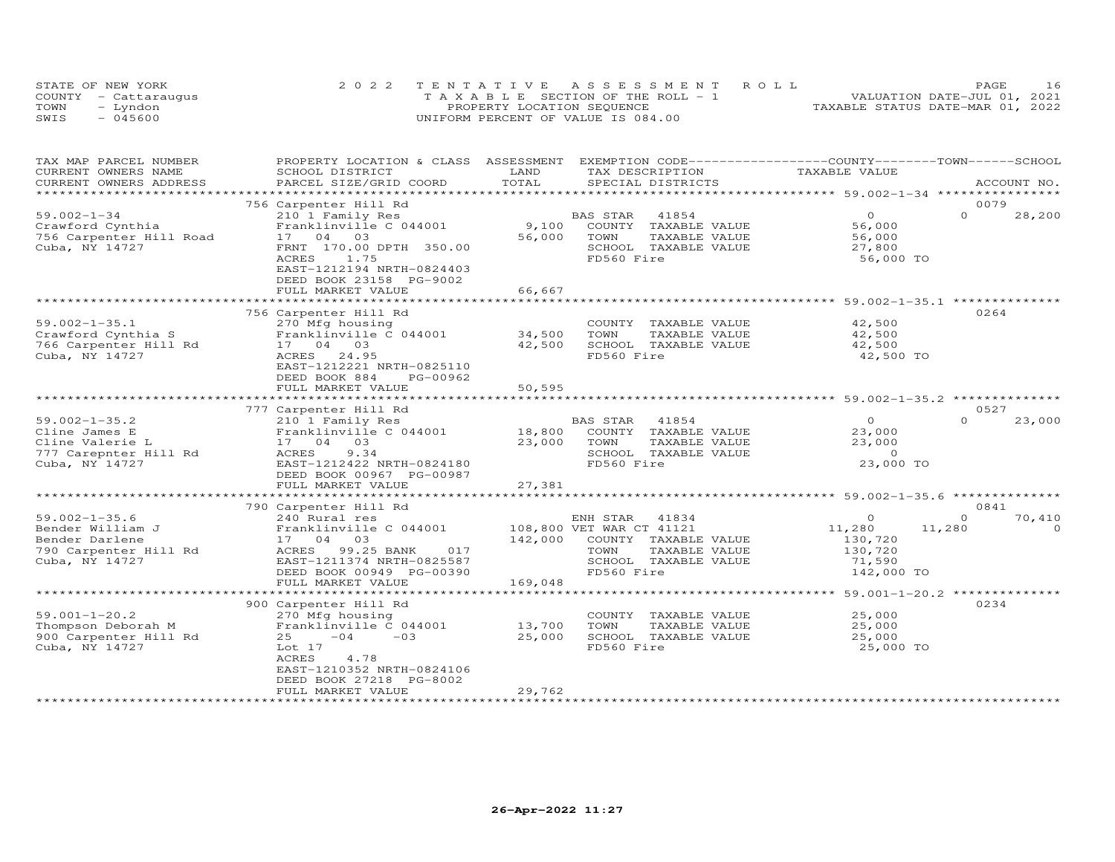|      | STATE OF NEW YORK    | 2022 TENTATIVE ASSESSMENT ROLL        | 16<br>PAGE.                      |
|------|----------------------|---------------------------------------|----------------------------------|
|      | COUNTY - Cattaraugus | T A X A B L E SECTION OF THE ROLL - 1 | VALUATION DATE-JUL 01, 2021      |
| TOWN | – Lyndon             | PROPERTY LOCATION SEQUENCE            | TAXABLE STATUS DATE-MAR 01, 2022 |
| SWIS | $-045600$            | UNIFORM PERCENT OF VALUE IS 084.00    |                                  |

| TAX MAP PARCEL NUMBER   | PROPERTY LOCATION & CLASS ASSESSMENT |             | EXEMPTION CODE-----------------COUNTY-------TOWN-----SCHOOL |                                                        |          |             |
|-------------------------|--------------------------------------|-------------|-------------------------------------------------------------|--------------------------------------------------------|----------|-------------|
| CURRENT OWNERS NAME     | SCHOOL DISTRICT                      | LAND        | TAX DESCRIPTION                                             | TAXABLE VALUE                                          |          |             |
| CURRENT OWNERS ADDRESS  | PARCEL SIZE/GRID COORD               | TOTAL       | SPECIAL DISTRICTS                                           |                                                        |          | ACCOUNT NO. |
| **********************  |                                      |             |                                                             |                                                        |          |             |
|                         | 756 Carpenter Hill Rd                |             |                                                             |                                                        | 0079     |             |
| $59.002 - 1 - 34$       | 210 1 Family Res                     |             | BAS STAR<br>41854                                           | $\circ$                                                | $\Omega$ | 28,200      |
| Crawford Cynthia        | Franklinville C 044001               | 9,100       | COUNTY<br>TAXABLE VALUE                                     | 56,000                                                 |          |             |
| 756 Carpenter Hill Road | 17 04 03                             | 56,000      | TOWN<br>TAXABLE VALUE                                       | 56,000                                                 |          |             |
| Cuba, NY 14727          | FRNT 170.00 DPTH 350.00              |             | SCHOOL TAXABLE VALUE                                        | 27,800                                                 |          |             |
|                         | 1.75<br>ACRES                        |             | FD560 Fire                                                  | 56,000 TO                                              |          |             |
|                         | EAST-1212194 NRTH-0824403            |             |                                                             |                                                        |          |             |
|                         | DEED BOOK 23158 PG-9002              |             |                                                             |                                                        |          |             |
|                         | FULL MARKET VALUE                    | 66,667      |                                                             |                                                        |          |             |
|                         |                                      |             |                                                             |                                                        |          |             |
|                         | 756 Carpenter Hill Rd                |             |                                                             |                                                        | 0264     |             |
| $59.002 - 1 - 35.1$     | 270 Mfg housing                      |             | COUNTY TAXABLE VALUE                                        | 42,500                                                 |          |             |
| Crawford Cynthia S      | Franklinville C 044001               | 34,500      | TOWN<br>TAXABLE VALUE                                       | 42,500                                                 |          |             |
| 766 Carpenter Hill Rd   | 17 04<br>03                          | 42,500      | SCHOOL TAXABLE VALUE                                        | 42,500                                                 |          |             |
| Cuba, NY 14727          | ACRES<br>24.95                       |             | FD560 Fire                                                  | 42,500 TO                                              |          |             |
|                         | EAST-1212221 NRTH-0825110            |             |                                                             |                                                        |          |             |
|                         | DEED BOOK 884<br>PG-00962            |             |                                                             |                                                        |          |             |
|                         | FULL MARKET VALUE                    | 50,595      |                                                             |                                                        |          |             |
|                         |                                      | *********** |                                                             | ************************* 59.002-1-35.2 ************** |          |             |
|                         | 777 Carpenter Hill Rd                |             |                                                             |                                                        | 0527     |             |
| $59.002 - 1 - 35.2$     | 210 1 Family Res                     |             | BAS STAR<br>41854                                           | $\Omega$                                               | $\Omega$ | 23,000      |
| Cline James E           | Franklinville C 044001               | 18,800      | COUNTY TAXABLE VALUE                                        | 23,000                                                 |          |             |
| Cline Valerie L         | 17 04 03                             | 23,000      | TOWN<br>TAXABLE VALUE                                       | 23,000                                                 |          |             |
| 777 Carepnter Hill Rd   | 9.34<br>ACRES                        |             | SCHOOL TAXABLE VALUE                                        | $\Omega$                                               |          |             |
| Cuba, NY 14727          | EAST-1212422 NRTH-0824180            |             | FD560 Fire                                                  | 23,000 TO                                              |          |             |
|                         | DEED BOOK 00967 PG-00987             |             |                                                             |                                                        |          |             |
|                         | FULL MARKET VALUE                    | 27,381      |                                                             |                                                        |          |             |
|                         |                                      |             |                                                             |                                                        |          |             |
|                         | 790 Carpenter Hill Rd                |             |                                                             |                                                        | 0841     |             |
| $59.002 - 1 - 35.6$     | 240 Rural res                        |             | ENH STAR<br>41834                                           | $\Omega$                                               | $\Omega$ | 70,410      |
| Bender William J        | Franklinville C 044001               |             | 108,800 VET WAR CT 41121                                    | 11,280                                                 | 11,280   | $\Omega$    |
| Bender Darlene          | 17 04 03                             | 142,000     | COUNTY TAXABLE VALUE                                        | 130,720                                                |          |             |
| 790 Carpenter Hill Rd   | ACRES<br>99.25 BANK<br>017           |             | TOWN<br>TAXABLE VALUE                                       | 130,720                                                |          |             |
| Cuba, NY 14727          | EAST-1211374 NRTH-0825587            |             | SCHOOL TAXABLE VALUE                                        | 71,590                                                 |          |             |
|                         | DEED BOOK 00949 PG-00390             |             | FD560 Fire                                                  | 142,000 TO                                             |          |             |
|                         | FULL MARKET VALUE                    | 169,048     |                                                             |                                                        |          |             |
|                         |                                      |             |                                                             |                                                        |          |             |
|                         | 900 Carpenter Hill Rd                |             |                                                             |                                                        | 0234     |             |
| $59.001 - 1 - 20.2$     | 270 Mfg housing                      |             | COUNTY TAXABLE VALUE                                        | 25,000                                                 |          |             |
| Thompson Deborah M      | Franklinville C 044001               | 13,700      | TOWN<br>TAXABLE VALUE                                       | 25,000                                                 |          |             |
| 900 Carpenter Hill Rd   | $-04$<br>$-0.3$<br>25                | 25,000      | SCHOOL TAXABLE VALUE                                        | 25,000                                                 |          |             |
| Cuba, NY 14727          | Lot 17                               |             | FD560 Fire                                                  | 25,000 TO                                              |          |             |
|                         | ACRES<br>4.78                        |             |                                                             |                                                        |          |             |
|                         | EAST-1210352 NRTH-0824106            |             |                                                             |                                                        |          |             |
|                         | DEED BOOK 27218 PG-8002              |             |                                                             |                                                        |          |             |
|                         | FULL MARKET VALUE                    | 29,762      |                                                             |                                                        |          |             |
|                         |                                      |             |                                                             |                                                        |          |             |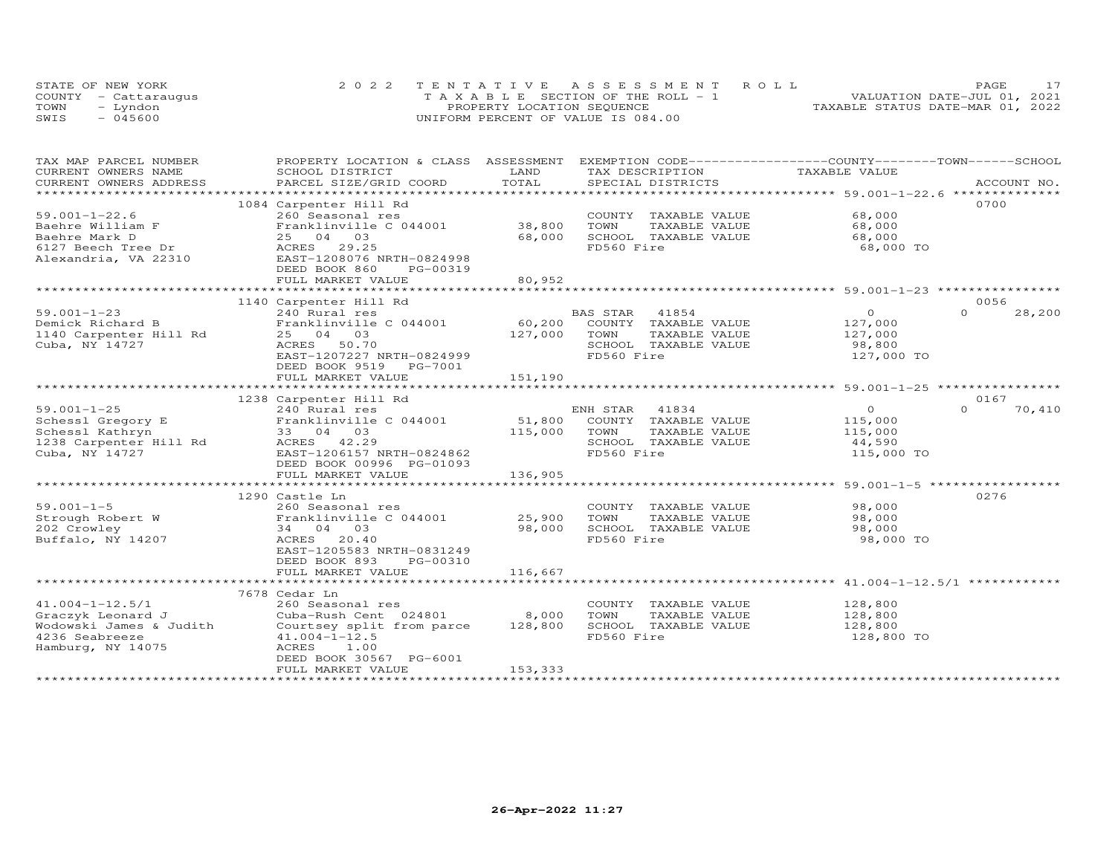|      | STATE OF NEW YORK    | 2022 TENTATIVE ASSESSMENT ROLL        | PAGE.                            |  |
|------|----------------------|---------------------------------------|----------------------------------|--|
|      | COUNTY - Cattaraugus | T A X A B L E SECTION OF THE ROLL - 1 | VALUATION DATE-JUL 01, 2021      |  |
| TOWN | - Lyndon             | PROPERTY LOCATION SEQUENCE            | TAXABLE STATUS DATE-MAR 01, 2022 |  |
| SWIS | $-045600$            | UNIFORM PERCENT OF VALUE IS 084.00    |                                  |  |

| PROPERTY LOCATION & CLASS ASSESSMENT EXEMPTION CODE----------------COUNTY-------TOWN------SCHOOL<br>TAX MAP PARCEL NUMBER                                                                                                               |                    |
|-----------------------------------------------------------------------------------------------------------------------------------------------------------------------------------------------------------------------------------------|--------------------|
| TAXABLE VALUE<br>CURRENT OWNERS NAME<br>SCHOOL DISTRICT<br>LAND<br>TAX DESCRIPTION                                                                                                                                                      |                    |
| TOTAL<br>.CURRENT OWNERS ADDRESS PARCEL SIZE/GRID COORD TOTAL SPECIAL DISTRICTS ACCOUNT NO ACCOUNT NO ACCOUNT NO ARE A LONGERTY AND HERE A LONGER AND HERE A LONGER A LONGER AND HERE A LONGER AND HERE ASSESS THAT A LONGER AND HERE A | ACCOUNT NO.        |
|                                                                                                                                                                                                                                         |                    |
| 1084 Carpenter Hill Rd                                                                                                                                                                                                                  | 0700               |
| COUNTY TAXABLE VALUE 68,000<br>$59.001 - 1 - 22.6$<br>260 Seasonal res                                                                                                                                                                  |                    |
| Franklinville C 044001<br>38,800<br>TOWN<br>Baehre William F<br>TAXABLE VALUE<br>68,000                                                                                                                                                 |                    |
| 68,000<br>25 04 03<br>68,000<br>SCHOOL TAXABLE VALUE<br>Baehre Mark D                                                                                                                                                                   |                    |
| 6127 Beech Tree Dr<br>Alexandria VA 22310<br>FD560 Fire<br>ACRES 29.25<br>68,000 TO                                                                                                                                                     |                    |
| EAST-1208076 NRTH-0824998<br>Alexandria, VA 22310                                                                                                                                                                                       |                    |
| DEED BOOK 860<br>PG-00319                                                                                                                                                                                                               |                    |
| 80,952<br>FULL MARKET VALUE                                                                                                                                                                                                             |                    |
| ***********************************59.001-1-23 *********************************<br>*************                                                                                                                                       |                    |
| 1140 Carpenter Hill Rd                                                                                                                                                                                                                  | 0056               |
| $59.001 - 1 - 23$<br>BAS STAR 41854<br>$\overline{O}$<br>240 Rural res                                                                                                                                                                  | $\Omega$<br>28,200 |
| 59.001-1-23 240 Rural res<br>Demick Richard B Franklinville C 044001<br>1140 Carpenter Hill Rd 25 04 03<br>127,000<br>60,200 COUNTY TAXABLE VALUE                                                                                       |                    |
| 127,000<br>127,000<br>TOWN<br>TAXABLE VALUE                                                                                                                                                                                             |                    |
| Cuba, NY 14727<br>ACRES 50.70<br>SCHOOL TAXABLE VALUE<br>98,800                                                                                                                                                                         |                    |
| FD560 Fire<br>EAST-1207227 NRTH-0824999<br>127,000 TO                                                                                                                                                                                   |                    |
| DEED BOOK 9519 PG-7001                                                                                                                                                                                                                  |                    |
| 151,190<br>FULL MARKET VALUE                                                                                                                                                                                                            |                    |
|                                                                                                                                                                                                                                         |                    |
|                                                                                                                                                                                                                                         | 0167               |
| $\overline{O}$                                                                                                                                                                                                                          | $\Omega$<br>70,410 |
| 115,000                                                                                                                                                                                                                                 |                    |
| 115,000<br>TAXABLE VALUE                                                                                                                                                                                                                |                    |
| 44,590                                                                                                                                                                                                                                  |                    |
| 115,000 TO                                                                                                                                                                                                                              |                    |
| DEED BOOK 00996 PG-01093                                                                                                                                                                                                                |                    |
| FULL MARKET VALUE<br>136,905                                                                                                                                                                                                            |                    |
|                                                                                                                                                                                                                                         |                    |
| 1290 Castle Ln                                                                                                                                                                                                                          | 0276               |
| $59.001 - 1 - 5$<br>98,000<br>COUNTY TAXABLE VALUE<br>260 Seasonal res                                                                                                                                                                  |                    |
| $59.001-1-5$ 260 Seasonal res 25,900 COUNT<br>Strough Robert W Franklinville C 044001 25,900 TOWN<br>202 Crowley 34 04 03 98 000 SCHOC<br>TAXABLE VALUE<br>98,000                                                                       |                    |
| 202 Crowley<br>98,000<br>SCHOOL TAXABLE VALUE<br>34 04 03<br>98,000                                                                                                                                                                     |                    |
| FD560 Fire<br>Buffalo, NY 14207<br>ACRES 20.40<br>98,000 TO                                                                                                                                                                             |                    |
| EAST-1205583 NRTH-0831249                                                                                                                                                                                                               |                    |
| DEED BOOK 893<br>PG-00310                                                                                                                                                                                                               |                    |
|                                                                                                                                                                                                                                         |                    |
|                                                                                                                                                                                                                                         |                    |
|                                                                                                                                                                                                                                         |                    |
| 7678 Cedar Ln                                                                                                                                                                                                                           |                    |
| $41.004 - 1 - 12.5/1$<br>128,800<br>COUNTY TAXABLE VALUE<br>260 Seasonal res<br>Cuba-Rush Cent 024801                                                                                                                                   |                    |
| 128,800<br>8,000<br>Graczyk Leonard J<br>TOWN<br>TAXABLE VALUE                                                                                                                                                                          |                    |
| Wodowski James & Judith Courtsey split from parce<br>128,800<br>SCHOOL TAXABLE VALUE<br>128,800                                                                                                                                         |                    |
| FD560 Fire<br>4236 Seabreeze<br>128,800 TO<br>$41.004 - 1 - 12.5$                                                                                                                                                                       |                    |
| Hamburg, NY 14075<br>ACRES 1.00                                                                                                                                                                                                         |                    |
| DEED BOOK 30567 PG-6001                                                                                                                                                                                                                 |                    |
| FULL MARKET VALUE<br>153,333                                                                                                                                                                                                            |                    |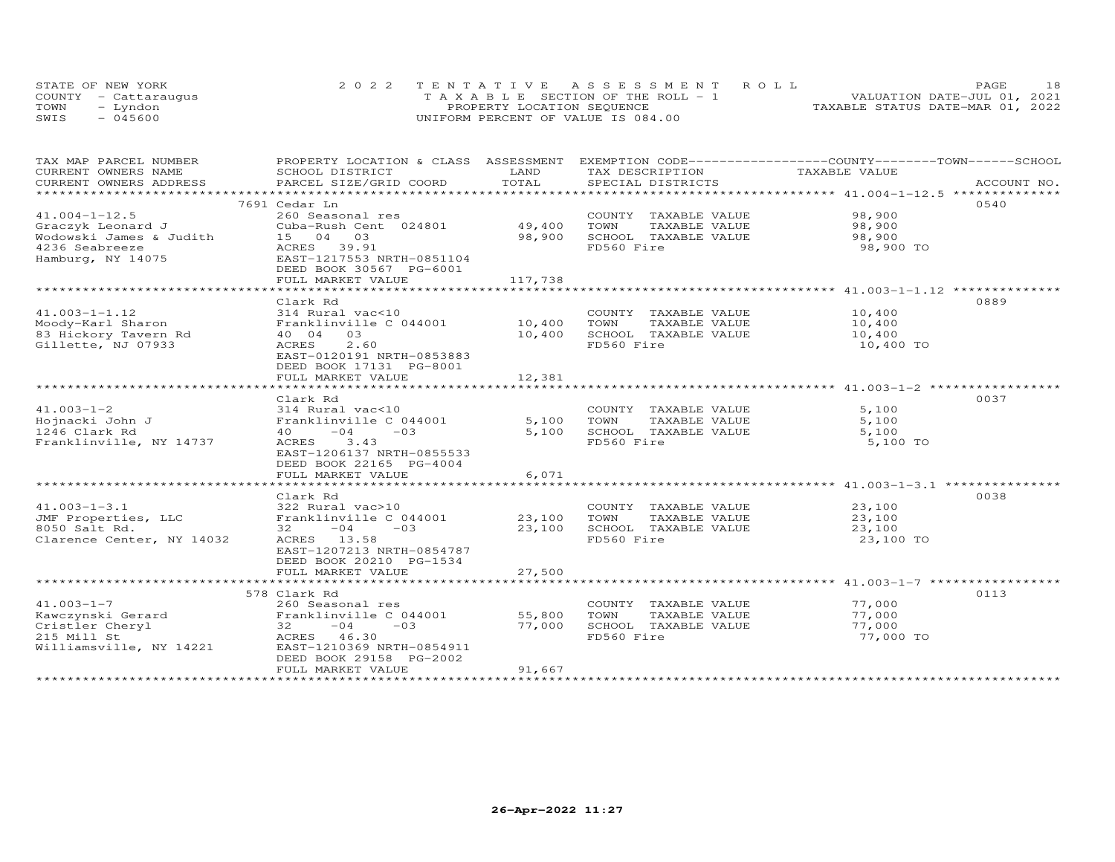| STATE OF NEW YORK    | 2022 TENTATIVE ASSESSMENT ROLL        | 18<br>PAGE.                      |
|----------------------|---------------------------------------|----------------------------------|
| COUNTY - Cattaraugus | T A X A B L E SECTION OF THE ROLL - 1 | VALUATION DATE-JUL 01, 2021      |
| TOWN<br>- Lyndon     | PROPERTY LOCATION SEQUENCE            | TAXABLE STATUS DATE-MAR 01, 2022 |
| $-045600$<br>SWIS    | UNIFORM PERCENT OF VALUE IS 084.00    |                                  |

| TAX MAP PARCEL NUMBER                               | PROPERTY LOCATION & CLASS ASSESSMENT |         | EXEMPTION CODE-----------------COUNTY-------TOWN-----SCHOOL |               |             |
|-----------------------------------------------------|--------------------------------------|---------|-------------------------------------------------------------|---------------|-------------|
| CURRENT OWNERS NAME                                 | SCHOOL DISTRICT                      | LAND    | TAX DESCRIPTION                                             | TAXABLE VALUE |             |
| CURRENT OWNERS ADDRESS                              | PARCEL SIZE/GRID COORD               | TOTAL   | SPECIAL DISTRICTS                                           |               | ACCOUNT NO. |
|                                                     |                                      |         |                                                             |               | 0540        |
| $41.004 - 1 - 12.5$                                 | 7691 Cedar Ln<br>260 Seasonal res    |         |                                                             | 98,900        |             |
|                                                     | Cuba-Rush Cent 024801                | 49,400  | COUNTY TAXABLE VALUE<br>TOWN<br>TAXABLE VALUE               | 98,900        |             |
| Graczyk Leonard J<br>Wodowski James & Judith        | 15 04 03                             | 98,900  | SCHOOL TAXABLE VALUE                                        | 98,900        |             |
| 4236 Seabreeze                                      | ACRES 39.91                          |         | FD560 Fire                                                  | 98,900 TO     |             |
| Hamburg, NY 14075                                   | EAST-1217553 NRTH-0851104            |         |                                                             |               |             |
|                                                     | DEED BOOK 30567 PG-6001              |         |                                                             |               |             |
|                                                     | FULL MARKET VALUE                    | 117,738 |                                                             |               |             |
|                                                     |                                      |         |                                                             |               |             |
|                                                     | Clark Rd                             |         |                                                             |               | 0889        |
| $41.003 - 1 - 1.12$                                 | 314 Rural vac<10                     |         | COUNTY TAXABLE VALUE                                        | 10,400        |             |
| Moody-Karl Sharon                                   | Franklinville C 044001               | 10,400  | TOWN<br>TAXABLE VALUE                                       | 10,400        |             |
| 83 Hickory Tavern Rd                                | 40 04<br>03                          | 10,400  | SCHOOL TAXABLE VALUE                                        | 10,400        |             |
| Gillette, NJ 07933                                  | ACRES<br>2.60                        |         | FD560 Fire                                                  | 10,400 TO     |             |
|                                                     | EAST-0120191 NRTH-0853883            |         |                                                             |               |             |
|                                                     | DEED BOOK 17131 PG-8001              |         |                                                             |               |             |
|                                                     | FULL MARKET VALUE                    | 12,381  |                                                             |               |             |
|                                                     |                                      |         |                                                             |               |             |
|                                                     | Clark Rd                             |         |                                                             |               | 0037        |
| $41.003 - 1 - 2$                                    | 314 Rural vac<10                     |         | COUNTY TAXABLE VALUE                                        | 5,100         |             |
| Hojnacki John J                                     | Franklinville C 044001               | 5,100   | TOWN<br>TAXABLE VALUE                                       | 5,100         |             |
| 1246 Clark Rd                                       | $-04 -03$<br>40                      | 5,100   | SCHOOL TAXABLE VALUE                                        | 5,100         |             |
| Franklinville, NY 14737                             | ACRES 3.43                           |         | FD560 Fire                                                  | 5,100 TO      |             |
|                                                     | EAST-1206137 NRTH-0855533            |         |                                                             |               |             |
|                                                     | DEED BOOK 22165 PG-4004              |         |                                                             |               |             |
|                                                     | FULL MARKET VALUE                    | 6,071   |                                                             |               |             |
|                                                     |                                      |         |                                                             |               |             |
|                                                     | Clark Rd                             |         |                                                             |               | 0038        |
| $41.003 - 1 - 3.1$                                  | 322 Rural vac>10                     |         | COUNTY TAXABLE VALUE                                        | 23,100        |             |
| JMF Properties, LLC                                 | Franklinville C 044001               | 23,100  | TOWN<br>TAXABLE VALUE                                       | 23,100        |             |
| 8050 Salt Rd.                                       | $32 -04 -03$                         | 23,100  | SCHOOL TAXABLE VALUE                                        | 23,100        |             |
| Clarence Center, NY 14032                           | ACRES 13.58                          |         | FD560 Fire                                                  | 23,100 TO     |             |
|                                                     | EAST-1207213 NRTH-0854787            |         |                                                             |               |             |
|                                                     | DEED BOOK 20210 PG-1534              |         |                                                             |               |             |
|                                                     | FULL MARKET VALUE                    | 27,500  |                                                             |               |             |
|                                                     |                                      |         |                                                             |               |             |
|                                                     | 578 Clark Rd                         |         |                                                             |               | 0113        |
| $41.003 - 1 - 7$                                    | 260 Seasonal res                     |         | COUNTY TAXABLE VALUE                                        | 77,000        |             |
| ravorumski Gerard<br>Cristler Cheryl<br>215 Mill St | Franklinville C 044001               | 55,800  | TOWN<br>TAXABLE VALUE                                       | 77,000        |             |
|                                                     | $-04$<br>$-03$<br>32                 | 77,000  | SCHOOL TAXABLE VALUE                                        | 77,000        |             |
|                                                     | ACRES 46.30                          |         | FD560 Fire                                                  | 77,000 TO     |             |
| Williamsville, NY 14221                             | EAST-1210369 NRTH-0854911            |         |                                                             |               |             |
|                                                     | DEED BOOK 29158 PG-2002              |         |                                                             |               |             |
|                                                     | FULL MARKET VALUE                    | 91,667  |                                                             |               |             |
|                                                     |                                      |         |                                                             |               |             |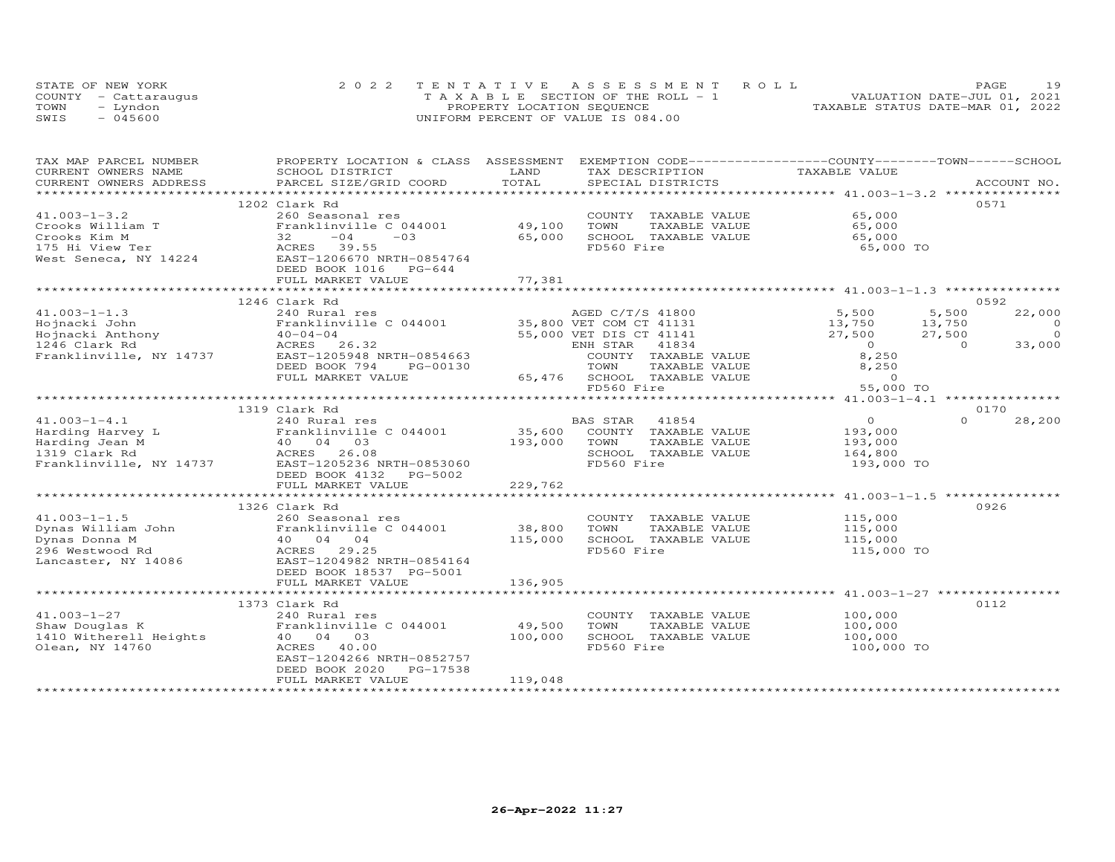|      | STATE OF NEW YORK    | 2022 TENTATIVE ASSESSMENT ROLL     | 19<br><b>PAGE</b>                |
|------|----------------------|------------------------------------|----------------------------------|
|      | COUNTY - Cattaraugus | TAXABLE SECTION OF THE ROLL - 1    | VALUATION DATE-JUL 01, 2021      |
| TOWN | – Lyndon             | PROPERTY LOCATION SEQUENCE         | TAXABLE STATUS DATE-MAR 01, 2022 |
| SWIS | $-045600$            | UNIFORM PERCENT OF VALUE IS 084.00 |                                  |

| TAX MAP PARCEL NUMBER | PROPERTY LOCATION & CLASS ASSESSMENT EXEMPTION CODE----------------COUNTY--------TOWN-----SCHOOL                                                                                                                 |              |                                                                                                               |                                                     |                    |
|-----------------------|------------------------------------------------------------------------------------------------------------------------------------------------------------------------------------------------------------------|--------------|---------------------------------------------------------------------------------------------------------------|-----------------------------------------------------|--------------------|
| CURRENT OWNERS NAME   | SCHOOL DISTRICT                                                                                                                                                                                                  | LAND         | TAX DESCRIPTION                                                                                               | TAXABLE VALUE                                       |                    |
|                       |                                                                                                                                                                                                                  |              |                                                                                                               |                                                     |                    |
|                       |                                                                                                                                                                                                                  |              |                                                                                                               |                                                     |                    |
|                       | 1202 Clark Rd                                                                                                                                                                                                    |              |                                                                                                               |                                                     | 0.571              |
| $41.003 - 1 - 3.2$    |                                                                                                                                                                                                                  |              | COUNTY TAXABLE VALUE                                                                                          | 65,000                                              |                    |
| Crooks William T      |                                                                                                                                                                                                                  |              | TAXABLE VALUE                                                                                                 | 65,000                                              |                    |
|                       | Crooks Kim M<br>175 Hi View Ter (1992)<br>175 Hi View Ter (1994)<br>175 Hi View Ter (1996)<br>1883 Tength 1206670 NRTH-0854764<br>$32 -04 -03$ 65,000                                                            |              | SCHOOL TAXABLE VALUE                                                                                          | 65,000                                              |                    |
|                       |                                                                                                                                                                                                                  |              | FD560 Fire                                                                                                    | 65,000 TO                                           |                    |
|                       |                                                                                                                                                                                                                  |              |                                                                                                               |                                                     |                    |
|                       | DEED BOOK 1016 PG-644                                                                                                                                                                                            |              |                                                                                                               |                                                     |                    |
|                       |                                                                                                                                                                                                                  | 77,381       |                                                                                                               |                                                     |                    |
|                       | FULL MARKET VALUE                                                                                                                                                                                                |              |                                                                                                               |                                                     |                    |
|                       |                                                                                                                                                                                                                  |              |                                                                                                               |                                                     |                    |
|                       | 1246 Clark Rd                                                                                                                                                                                                    |              |                                                                                                               |                                                     | 0592               |
| $41.003 - 1 - 1.3$    | 240 Rural res                                                                                                                                                                                                    |              | AGED C/T/S 41800                                                                                              | 5,500                                               | 5,500<br>22,000    |
|                       |                                                                                                                                                                                                                  |              | 35,800 VET COM CT 41131                                                                                       | 13,750           13,750<br>27,500            27,500 | $\overline{0}$     |
|                       |                                                                                                                                                                                                                  |              | 55,000 VET DIS CT 41141                                                                                       |                                                     | $\overline{0}$     |
|                       |                                                                                                                                                                                                                  |              | ENH STAR<br>41834                                                                                             | $\begin{array}{c} 0 \\ 8,250 \end{array}$           | 33,000<br>$\sim$ 0 |
|                       |                                                                                                                                                                                                                  |              | COUNTY TAXABLE VALUE                                                                                          |                                                     |                    |
|                       | DEED BOOK 794<br>PG-00130                                                                                                                                                                                        |              | TOWN<br>TAXABLE VALUE<br>TAXABLE VALUE<br>ire<br>TOWN       TAXABLE VALUE<br>65,476    SCHOOL   TAXABLE VALUE | 8,250<br>8,250                                      |                    |
|                       | FULL MARKET VALUE                                                                                                                                                                                                |              |                                                                                                               |                                                     |                    |
|                       |                                                                                                                                                                                                                  |              | FD560 Fire                                                                                                    | 55,000 TO                                           |                    |
|                       |                                                                                                                                                                                                                  |              |                                                                                                               |                                                     |                    |
|                       | 1319 Clark Rd                                                                                                                                                                                                    |              |                                                                                                               |                                                     | 0170               |
| $41.003 - 1 - 4.1$    | 240 Rural res                                                                                                                                                                                                    |              | BAS STAR 41854                                                                                                | $\overline{0}$                                      | $\Omega$<br>28,200 |
|                       | 41.005-1-4.1<br>Harding Harvey L<br>Harding Jean M<br>1319 Clark Rd<br>Franklinville, NY 14737<br>EAST-1205236 NRTH-0853060<br>Franklinville, NY 14737<br>EAST-1205236 NRTH-0853060<br>DEED BOOK 4132<br>PG-5002 |              | 35,600 COUNTY TAXABLE VALUE                                                                                   | 193,000                                             |                    |
|                       |                                                                                                                                                                                                                  | 193,000 TOWN | TAXABLE VALUE                                                                                                 | 193,000                                             |                    |
|                       |                                                                                                                                                                                                                  |              | SCHOOL TAXABLE VALUE                                                                                          | 164,800                                             |                    |
|                       |                                                                                                                                                                                                                  |              | FD560 Fire                                                                                                    | 193,000 TO                                          |                    |
|                       |                                                                                                                                                                                                                  |              |                                                                                                               |                                                     |                    |
|                       | FULL MARKET VALUE                                                                                                                                                                                                | 229,762      |                                                                                                               |                                                     |                    |
|                       |                                                                                                                                                                                                                  |              |                                                                                                               |                                                     |                    |
|                       | 1326 Clark Rd                                                                                                                                                                                                    |              |                                                                                                               |                                                     | 0926               |
|                       |                                                                                                                                                                                                                  |              |                                                                                                               |                                                     |                    |
|                       |                                                                                                                                                                                                                  |              | COUNTY TAXABLE VALUE 115,000<br>TOWN TAXABLE VALUE 115,000                                                    |                                                     |                    |
|                       |                                                                                                                                                                                                                  |              | SCHOOL TAXABLE VALUE                                                                                          | 115,000                                             |                    |
|                       |                                                                                                                                                                                                                  |              | FD560 Fire                                                                                                    | 115,000 TO                                          |                    |
|                       |                                                                                                                                                                                                                  |              |                                                                                                               |                                                     |                    |
|                       |                                                                                                                                                                                                                  |              |                                                                                                               |                                                     |                    |
|                       | DEED BOOK 18537 PG-5001                                                                                                                                                                                          |              |                                                                                                               |                                                     |                    |
|                       | FULL MARKET VALUE                                                                                                                                                                                                | 136,905      |                                                                                                               |                                                     |                    |
|                       |                                                                                                                                                                                                                  |              |                                                                                                               |                                                     |                    |
|                       | 1373 Clark Rd                                                                                                                                                                                                    |              |                                                                                                               |                                                     | 0112               |
|                       |                                                                                                                                                                                                                  |              | COUNTY TAXABLE VALUE                                                                                          | 100,000                                             |                    |
|                       |                                                                                                                                                                                                                  | 49,500       | TOWN<br>TAXABLE VALUE                                                                                         | 100,000                                             |                    |
|                       | 240 Rural res<br>Shaw Douglas K<br>1410 Witherell Heights<br>1410 Witherell Heights<br>140 04 03<br>160 04 00<br>201 03<br>201 03<br>201 03<br>201 03<br>201 03<br>201 03                                        | 100,000      | SCHOOL TAXABLE VALUE                                                                                          | 100,000                                             |                    |
|                       |                                                                                                                                                                                                                  |              | FD560 Fire                                                                                                    | 100,000 TO                                          |                    |
|                       | EAST-1204266 NRTH-0852757                                                                                                                                                                                        |              |                                                                                                               |                                                     |                    |
|                       | DEED BOOK 2020<br>PG-17538                                                                                                                                                                                       |              |                                                                                                               |                                                     |                    |
|                       | FULL MARKET VALUE                                                                                                                                                                                                | 119,048      |                                                                                                               |                                                     |                    |
|                       |                                                                                                                                                                                                                  |              |                                                                                                               |                                                     |                    |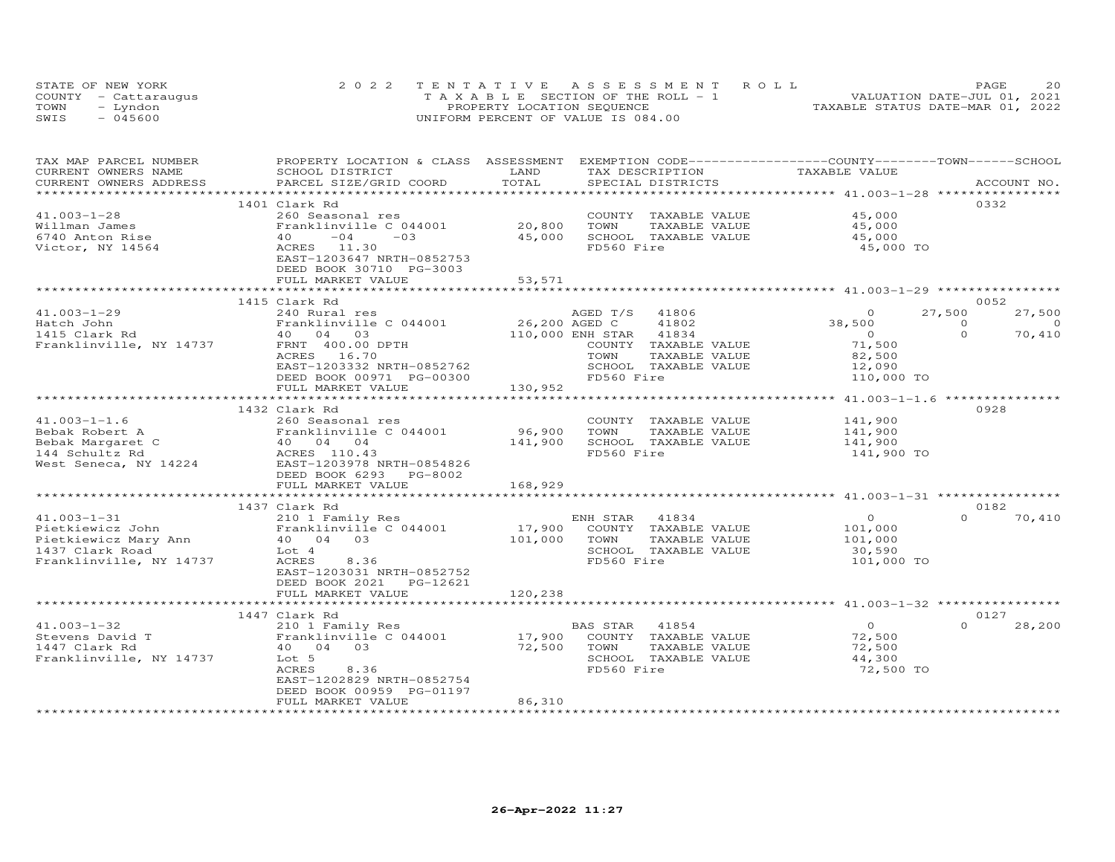| STATE OF NEW YORK    | 2022 TENTATIVE ASSESSMENT ROLL        | 20<br><b>PAGE</b>                |
|----------------------|---------------------------------------|----------------------------------|
| COUNTY - Cattaraugus | T A X A B L E SECTION OF THE ROLL - 1 | VALUATION DATE-JUL 01, 2021      |
| TOWN<br>- Lyndon     | PROPERTY LOCATION SEQUENCE            | TAXABLE STATUS DATE-MAR 01, 2022 |
| $-045600$<br>SWIS    | UNIFORM PERCENT OF VALUE IS 084.00    |                                  |

| TAX MAP PARCEL NUMBER<br>CURRENT OWNERS NAME                                                                | PROPERTY LOCATION & CLASS ASSESSMENT EXEMPTION CODE-----------------COUNTY-------TOWN------SCHOOL<br>SCHOOL DISTRICT                        | LAND                              | TAX DESCRIPTION                                                                                          | TAXABLE VALUE                                         |                      |
|-------------------------------------------------------------------------------------------------------------|---------------------------------------------------------------------------------------------------------------------------------------------|-----------------------------------|----------------------------------------------------------------------------------------------------------|-------------------------------------------------------|----------------------|
| CURRENT OWNERS ADDRESS                                                                                      | PARCEL SIZE/GRID COORD                                                                                                                      | TOTAL<br>************************ | SPECIAL DISTRICTS                                                                                        | ******************** 41.003-1-28 *****************    | ACCOUNT NO.          |
|                                                                                                             | 1401 Clark Rd                                                                                                                               |                                   |                                                                                                          |                                                       | 0332                 |
| $41.003 - 1 - 28$<br>Willman James<br>6740 Anton Rise<br>Victor, NY 14564                                   | 260 Seasonal res<br>Franklinville C 044001<br>$-04$<br>$-03$<br>40<br>ACRES 11.30<br>EAST-1203647 NRTH-0852753                              | 20,800<br>45,000                  | COUNTY TAXABLE VALUE<br>TOWN<br>TAXABLE VALUE<br>SCHOOL TAXABLE VALUE<br>FD560 Fire                      | 45,000<br>45,000<br>45,000<br>45,000 TO               |                      |
|                                                                                                             | DEED BOOK 30710 PG-3003<br>FULL MARKET VALUE                                                                                                | 53,571                            |                                                                                                          |                                                       |                      |
|                                                                                                             |                                                                                                                                             |                                   |                                                                                                          |                                                       |                      |
|                                                                                                             | 1415 Clark Rd                                                                                                                               |                                   |                                                                                                          |                                                       | 0052                 |
| $41.003 - 1 - 29$                                                                                           | 240 Rural res                                                                                                                               |                                   | AGED T/S 41806                                                                                           | $\Omega$                                              | 27,500<br>27,500     |
| Hatch John                                                                                                  | Franklinville C 044001                                                                                                                      | 26,200 AGED C                     | 41802                                                                                                    | 38,500                                                | $\Omega$<br>$\Omega$ |
| 1415 Clark Rd                                                                                               | 40 04 03                                                                                                                                    |                                   | 110,000 ENH STAR<br>41834                                                                                | $\overline{0}$                                        | $\Omega$<br>70,410   |
| Franklinville, NY 14737                                                                                     | FRNT 400.00 DPTH<br>ACRES 16.70                                                                                                             |                                   | COUNTY TAXABLE VALUE<br>TOWN<br>TAXABLE VALUE                                                            | 71,500<br>82,500                                      |                      |
|                                                                                                             | EAST-1203332 NRTH-0852762                                                                                                                   |                                   | SCHOOL TAXABLE VALUE                                                                                     | 12,090                                                |                      |
|                                                                                                             | DEED BOOK 00971 PG-00300<br>FULL MARKET VALUE                                                                                               | 130,952                           | FD560 Fire                                                                                               | 110,000 TO                                            |                      |
|                                                                                                             | **********************                                                                                                                      | ************************          |                                                                                                          | ******************** 41.003-1-1.6 ****************    |                      |
|                                                                                                             | 1432 Clark Rd                                                                                                                               |                                   |                                                                                                          |                                                       | 0928                 |
| $41.003 - 1 - 1.6$                                                                                          | 260 Seasonal res                                                                                                                            |                                   | COUNTY TAXABLE VALUE                                                                                     | 141,900                                               |                      |
| Bebak Robert A                                                                                              | Franklinville C 044001                                                                                                                      | 96,900                            | TOWN<br>TAXABLE VALUE                                                                                    | 141,900                                               |                      |
| Bebak Margaret C                                                                                            | 40 04 04                                                                                                                                    | 141,900                           | SCHOOL TAXABLE VALUE                                                                                     | 141,900                                               |                      |
| 144 Schultz Rd<br>West Seneca, NY 14224                                                                     | ACRES 110.43<br>EAST-1203978 NRTH-0854826<br>DEED BOOK 6293 PG-8002<br>FULL MARKET VALUE                                                    | 168,929                           | FD560 Fire                                                                                               | 141,900 TO                                            |                      |
|                                                                                                             | *****************************                                                                                                               |                                   |                                                                                                          |                                                       |                      |
|                                                                                                             | 1437 Clark Rd                                                                                                                               |                                   |                                                                                                          |                                                       | 0182                 |
| $41.003 - 1 - 31$<br>Pietkiewicz John<br>Pietkiewicz Mary Ann<br>1437 Clark Road<br>Franklinville, NY 14737 | 210 1 Family Res<br>Franklinville C 044001<br>40 04 03<br>Lot 4<br>ACRES<br>8.36<br>EAST-1203031 NRTH-0852752<br>DEED BOOK 2021<br>PG-12621 | 17,900<br>101,000                 | ENH STAR<br>41834<br>COUNTY TAXABLE VALUE<br>TOWN<br>TAXABLE VALUE<br>SCHOOL TAXABLE VALUE<br>FD560 Fire | $\circ$<br>101,000<br>101,000<br>30,590<br>101,000 TO | $\Omega$<br>70,410   |
|                                                                                                             | FULL MARKET VALUE                                                                                                                           | 120,238                           |                                                                                                          |                                                       |                      |
|                                                                                                             | *************************                                                                                                                   |                                   |                                                                                                          |                                                       |                      |
|                                                                                                             | 1447 Clark Rd                                                                                                                               |                                   |                                                                                                          |                                                       | 0127                 |
| $41.003 - 1 - 32$                                                                                           | 210 1 Family Res                                                                                                                            |                                   | BAS STAR<br>41854                                                                                        | $\circ$                                               | $\Omega$<br>28,200   |
| Stevens David T                                                                                             | Franklinville C 044001                                                                                                                      | 17,900                            | COUNTY TAXABLE VALUE                                                                                     | 72,500                                                |                      |
| 1447 Clark Rd                                                                                               | 40 04 03                                                                                                                                    | 72,500                            | TOWN<br>TAXABLE VALUE                                                                                    | 72,500                                                |                      |
| Franklinville, NY 14737                                                                                     | Lot 5<br>ACRES<br>8.36<br>EAST-1202829 NRTH-0852754<br>DEED BOOK 00959 PG-01197<br>FULL MARKET VALUE                                        | 86,310                            | SCHOOL TAXABLE VALUE<br>FD560 Fire                                                                       | 44,300<br>72,500 TO                                   |                      |
|                                                                                                             |                                                                                                                                             |                                   |                                                                                                          |                                                       |                      |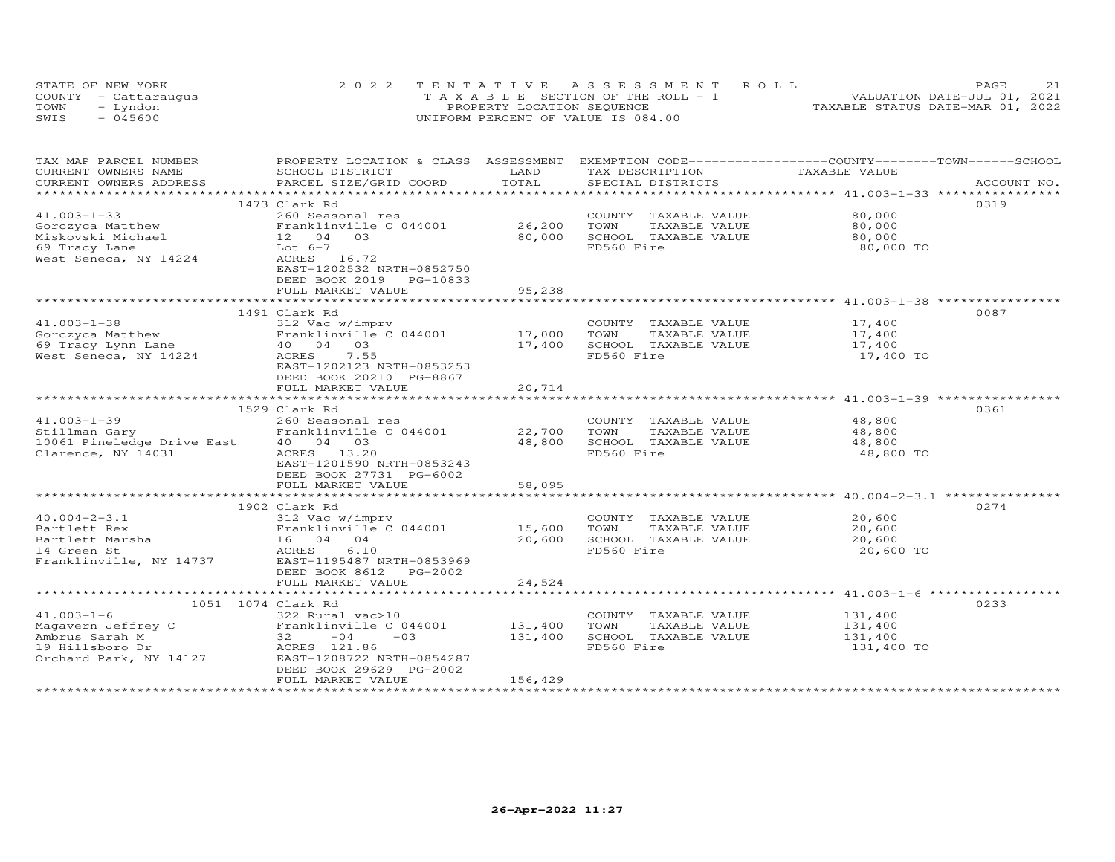|      | STATE OF NEW YORK    | 2022 TENTATIVE ASSESSMENT ROLL        | 21<br>PAGE                       |
|------|----------------------|---------------------------------------|----------------------------------|
|      | COUNTY - Cattaraugus | T A X A B L E SECTION OF THE ROLL - 1 | VALUATION DATE-JUL 01, 2021      |
| TOWN | - Lyndon             | PROPERTY LOCATION SEQUENCE            | TAXABLE STATUS DATE-MAR 01, 2022 |
| SWIS | $-045600$            | UNIFORM PERCENT OF VALUE IS 084.00    |                                  |

| TOTAL<br>CURRENT OWNERS ADDRESS<br>PARCEL SIZE/GRID COORD<br>SPECIAL DISTRICTS<br>ACCOUNT NO.<br>0319<br>1473 Clark Rd<br>$41.003 - 1 - 33$<br>80,000<br>260 Seasonal res<br>COUNTY TAXABLE VALUE<br>26,200<br>Franklinville C 044001<br>TOWN<br>TAXABLE VALUE<br>80,000<br>Gorczyca Matthew<br>Miskovski Michael<br>80,000<br>SCHOOL TAXABLE VALUE<br>12 04<br>03<br>80,000<br>FD560 Fire<br>Lot $6-7$<br>80,000 TO<br>69 Tracy Lane<br>West Seneca, NY 14224<br>ACRES 16.72<br>EAST-1202532 NRTH-0852750<br>DEED BOOK 2019 PG-10833<br>FULL MARKET VALUE<br>95,238<br>1491 Clark Rd<br>0087<br>$41.003 - 1 - 38$<br>312 Vac w/imprv<br>COUNTY TAXABLE VALUE<br>17,400<br>Franklinville C 044001<br>17,000<br>TOWN<br>TAXABLE VALUE<br>Gorczyca Matthew<br>17,400<br>69 Tracy Lynn Lane<br>40 04 03<br>SCHOOL TAXABLE VALUE<br>17,400<br>17,400<br>7.55<br>FD560 Fire<br>West Seneca, NY 14224<br>ACRES<br>17,400 TO<br>EAST-1202123 NRTH-0853253<br>DEED BOOK 20210 PG-8867<br>20,714<br>FULL MARKET VALUE<br>0361<br>1529 Clark Rd<br>$41.003 - 1 - 39$<br>48,800<br>260 Seasonal res<br>COUNTY TAXABLE VALUE<br>48,800<br>Franklinville C 044001 22,700<br>TAXABLE VALUE<br>Stillman Gary<br>TOWN<br>10061 Pineledge Drive East<br>40 04 03<br>48,800<br>SCHOOL TAXABLE VALUE<br>48,800<br>FD560 Fire<br>48,800 TO<br>Clarence, NY 14031<br>ACRES 13.20<br>EAST-1201590 NRTH-0853243<br>DEED BOOK 27731 PG-6002 | TAX MAP PARCEL NUMBER | PROPERTY LOCATION & CLASS ASSESSMENT |      | EXEMPTION CODE-----------------COUNTY-------TOWN------SCHOOL |               |  |
|---------------------------------------------------------------------------------------------------------------------------------------------------------------------------------------------------------------------------------------------------------------------------------------------------------------------------------------------------------------------------------------------------------------------------------------------------------------------------------------------------------------------------------------------------------------------------------------------------------------------------------------------------------------------------------------------------------------------------------------------------------------------------------------------------------------------------------------------------------------------------------------------------------------------------------------------------------------------------------------------------------------------------------------------------------------------------------------------------------------------------------------------------------------------------------------------------------------------------------------------------------------------------------------------------------------------------------------------------------------------------------------------------------------------|-----------------------|--------------------------------------|------|--------------------------------------------------------------|---------------|--|
|                                                                                                                                                                                                                                                                                                                                                                                                                                                                                                                                                                                                                                                                                                                                                                                                                                                                                                                                                                                                                                                                                                                                                                                                                                                                                                                                                                                                                     | CURRENT OWNERS NAME   | SCHOOL DISTRICT                      | LAND | TAX DESCRIPTION                                              | TAXABLE VALUE |  |
|                                                                                                                                                                                                                                                                                                                                                                                                                                                                                                                                                                                                                                                                                                                                                                                                                                                                                                                                                                                                                                                                                                                                                                                                                                                                                                                                                                                                                     |                       |                                      |      |                                                              |               |  |
|                                                                                                                                                                                                                                                                                                                                                                                                                                                                                                                                                                                                                                                                                                                                                                                                                                                                                                                                                                                                                                                                                                                                                                                                                                                                                                                                                                                                                     |                       |                                      |      |                                                              |               |  |
|                                                                                                                                                                                                                                                                                                                                                                                                                                                                                                                                                                                                                                                                                                                                                                                                                                                                                                                                                                                                                                                                                                                                                                                                                                                                                                                                                                                                                     |                       |                                      |      |                                                              |               |  |
|                                                                                                                                                                                                                                                                                                                                                                                                                                                                                                                                                                                                                                                                                                                                                                                                                                                                                                                                                                                                                                                                                                                                                                                                                                                                                                                                                                                                                     |                       |                                      |      |                                                              |               |  |
|                                                                                                                                                                                                                                                                                                                                                                                                                                                                                                                                                                                                                                                                                                                                                                                                                                                                                                                                                                                                                                                                                                                                                                                                                                                                                                                                                                                                                     |                       |                                      |      |                                                              |               |  |
|                                                                                                                                                                                                                                                                                                                                                                                                                                                                                                                                                                                                                                                                                                                                                                                                                                                                                                                                                                                                                                                                                                                                                                                                                                                                                                                                                                                                                     |                       |                                      |      |                                                              |               |  |
|                                                                                                                                                                                                                                                                                                                                                                                                                                                                                                                                                                                                                                                                                                                                                                                                                                                                                                                                                                                                                                                                                                                                                                                                                                                                                                                                                                                                                     |                       |                                      |      |                                                              |               |  |
|                                                                                                                                                                                                                                                                                                                                                                                                                                                                                                                                                                                                                                                                                                                                                                                                                                                                                                                                                                                                                                                                                                                                                                                                                                                                                                                                                                                                                     |                       |                                      |      |                                                              |               |  |
|                                                                                                                                                                                                                                                                                                                                                                                                                                                                                                                                                                                                                                                                                                                                                                                                                                                                                                                                                                                                                                                                                                                                                                                                                                                                                                                                                                                                                     |                       |                                      |      |                                                              |               |  |
|                                                                                                                                                                                                                                                                                                                                                                                                                                                                                                                                                                                                                                                                                                                                                                                                                                                                                                                                                                                                                                                                                                                                                                                                                                                                                                                                                                                                                     |                       |                                      |      |                                                              |               |  |
|                                                                                                                                                                                                                                                                                                                                                                                                                                                                                                                                                                                                                                                                                                                                                                                                                                                                                                                                                                                                                                                                                                                                                                                                                                                                                                                                                                                                                     |                       |                                      |      |                                                              |               |  |
|                                                                                                                                                                                                                                                                                                                                                                                                                                                                                                                                                                                                                                                                                                                                                                                                                                                                                                                                                                                                                                                                                                                                                                                                                                                                                                                                                                                                                     |                       |                                      |      |                                                              |               |  |
|                                                                                                                                                                                                                                                                                                                                                                                                                                                                                                                                                                                                                                                                                                                                                                                                                                                                                                                                                                                                                                                                                                                                                                                                                                                                                                                                                                                                                     |                       |                                      |      |                                                              |               |  |
|                                                                                                                                                                                                                                                                                                                                                                                                                                                                                                                                                                                                                                                                                                                                                                                                                                                                                                                                                                                                                                                                                                                                                                                                                                                                                                                                                                                                                     |                       |                                      |      |                                                              |               |  |
|                                                                                                                                                                                                                                                                                                                                                                                                                                                                                                                                                                                                                                                                                                                                                                                                                                                                                                                                                                                                                                                                                                                                                                                                                                                                                                                                                                                                                     |                       |                                      |      |                                                              |               |  |
|                                                                                                                                                                                                                                                                                                                                                                                                                                                                                                                                                                                                                                                                                                                                                                                                                                                                                                                                                                                                                                                                                                                                                                                                                                                                                                                                                                                                                     |                       |                                      |      |                                                              |               |  |
|                                                                                                                                                                                                                                                                                                                                                                                                                                                                                                                                                                                                                                                                                                                                                                                                                                                                                                                                                                                                                                                                                                                                                                                                                                                                                                                                                                                                                     |                       |                                      |      |                                                              |               |  |
|                                                                                                                                                                                                                                                                                                                                                                                                                                                                                                                                                                                                                                                                                                                                                                                                                                                                                                                                                                                                                                                                                                                                                                                                                                                                                                                                                                                                                     |                       |                                      |      |                                                              |               |  |
|                                                                                                                                                                                                                                                                                                                                                                                                                                                                                                                                                                                                                                                                                                                                                                                                                                                                                                                                                                                                                                                                                                                                                                                                                                                                                                                                                                                                                     |                       |                                      |      |                                                              |               |  |
|                                                                                                                                                                                                                                                                                                                                                                                                                                                                                                                                                                                                                                                                                                                                                                                                                                                                                                                                                                                                                                                                                                                                                                                                                                                                                                                                                                                                                     |                       |                                      |      |                                                              |               |  |
|                                                                                                                                                                                                                                                                                                                                                                                                                                                                                                                                                                                                                                                                                                                                                                                                                                                                                                                                                                                                                                                                                                                                                                                                                                                                                                                                                                                                                     |                       |                                      |      |                                                              |               |  |
|                                                                                                                                                                                                                                                                                                                                                                                                                                                                                                                                                                                                                                                                                                                                                                                                                                                                                                                                                                                                                                                                                                                                                                                                                                                                                                                                                                                                                     |                       |                                      |      |                                                              |               |  |
|                                                                                                                                                                                                                                                                                                                                                                                                                                                                                                                                                                                                                                                                                                                                                                                                                                                                                                                                                                                                                                                                                                                                                                                                                                                                                                                                                                                                                     |                       |                                      |      |                                                              |               |  |
|                                                                                                                                                                                                                                                                                                                                                                                                                                                                                                                                                                                                                                                                                                                                                                                                                                                                                                                                                                                                                                                                                                                                                                                                                                                                                                                                                                                                                     |                       |                                      |      |                                                              |               |  |
|                                                                                                                                                                                                                                                                                                                                                                                                                                                                                                                                                                                                                                                                                                                                                                                                                                                                                                                                                                                                                                                                                                                                                                                                                                                                                                                                                                                                                     |                       |                                      |      |                                                              |               |  |
|                                                                                                                                                                                                                                                                                                                                                                                                                                                                                                                                                                                                                                                                                                                                                                                                                                                                                                                                                                                                                                                                                                                                                                                                                                                                                                                                                                                                                     |                       |                                      |      |                                                              |               |  |
|                                                                                                                                                                                                                                                                                                                                                                                                                                                                                                                                                                                                                                                                                                                                                                                                                                                                                                                                                                                                                                                                                                                                                                                                                                                                                                                                                                                                                     |                       |                                      |      |                                                              |               |  |
|                                                                                                                                                                                                                                                                                                                                                                                                                                                                                                                                                                                                                                                                                                                                                                                                                                                                                                                                                                                                                                                                                                                                                                                                                                                                                                                                                                                                                     |                       |                                      |      |                                                              |               |  |
| FULL MARKET VALUE<br>58,095                                                                                                                                                                                                                                                                                                                                                                                                                                                                                                                                                                                                                                                                                                                                                                                                                                                                                                                                                                                                                                                                                                                                                                                                                                                                                                                                                                                         |                       |                                      |      |                                                              |               |  |
| ***************************** 40.004-2-3.1 ***************                                                                                                                                                                                                                                                                                                                                                                                                                                                                                                                                                                                                                                                                                                                                                                                                                                                                                                                                                                                                                                                                                                                                                                                                                                                                                                                                                          |                       |                                      |      |                                                              |               |  |
| 0274<br>1902 Clark Rd                                                                                                                                                                                                                                                                                                                                                                                                                                                                                                                                                                                                                                                                                                                                                                                                                                                                                                                                                                                                                                                                                                                                                                                                                                                                                                                                                                                               |                       |                                      |      |                                                              |               |  |
| $40.004 - 2 - 3.1$<br>COUNTY TAXABLE VALUE 20,600<br>312 Vac w/imprv                                                                                                                                                                                                                                                                                                                                                                                                                                                                                                                                                                                                                                                                                                                                                                                                                                                                                                                                                                                                                                                                                                                                                                                                                                                                                                                                                |                       |                                      |      |                                                              |               |  |
| Franklinville C 044001<br>15,600<br>Bartlett Rex<br>TOWN<br>TAXABLE VALUE<br>20,600                                                                                                                                                                                                                                                                                                                                                                                                                                                                                                                                                                                                                                                                                                                                                                                                                                                                                                                                                                                                                                                                                                                                                                                                                                                                                                                                 |                       |                                      |      |                                                              |               |  |
| Franklinville<br>16    04    04<br>Bartlett Marsha<br>20,600<br>SCHOOL TAXABLE VALUE<br>20,600                                                                                                                                                                                                                                                                                                                                                                                                                                                                                                                                                                                                                                                                                                                                                                                                                                                                                                                                                                                                                                                                                                                                                                                                                                                                                                                      |                       |                                      |      |                                                              |               |  |
| FD560 Fire<br>14 Green St<br>6.10<br>20,600 TO<br>ACRES                                                                                                                                                                                                                                                                                                                                                                                                                                                                                                                                                                                                                                                                                                                                                                                                                                                                                                                                                                                                                                                                                                                                                                                                                                                                                                                                                             |                       |                                      |      |                                                              |               |  |
| EAST-1195487 NRTH-0853969<br>Franklinville, NY 14737                                                                                                                                                                                                                                                                                                                                                                                                                                                                                                                                                                                                                                                                                                                                                                                                                                                                                                                                                                                                                                                                                                                                                                                                                                                                                                                                                                |                       |                                      |      |                                                              |               |  |
| DEED BOOK 8612 PG-2002                                                                                                                                                                                                                                                                                                                                                                                                                                                                                                                                                                                                                                                                                                                                                                                                                                                                                                                                                                                                                                                                                                                                                                                                                                                                                                                                                                                              |                       |                                      |      |                                                              |               |  |
| FULL MARKET VALUE<br>24,524                                                                                                                                                                                                                                                                                                                                                                                                                                                                                                                                                                                                                                                                                                                                                                                                                                                                                                                                                                                                                                                                                                                                                                                                                                                                                                                                                                                         |                       |                                      |      |                                                              |               |  |
|                                                                                                                                                                                                                                                                                                                                                                                                                                                                                                                                                                                                                                                                                                                                                                                                                                                                                                                                                                                                                                                                                                                                                                                                                                                                                                                                                                                                                     |                       |                                      |      |                                                              |               |  |
| 0233<br>1051 1074 Clark Rd                                                                                                                                                                                                                                                                                                                                                                                                                                                                                                                                                                                                                                                                                                                                                                                                                                                                                                                                                                                                                                                                                                                                                                                                                                                                                                                                                                                          |                       |                                      |      |                                                              |               |  |
| $41.003 - 1 - 6$<br>322 Rural vac>10<br>COUNTY TAXABLE VALUE                                                                                                                                                                                                                                                                                                                                                                                                                                                                                                                                                                                                                                                                                                                                                                                                                                                                                                                                                                                                                                                                                                                                                                                                                                                                                                                                                        |                       |                                      |      |                                                              |               |  |
| 131,400<br>131,400<br>131,400<br>TOWN<br>TAXABLE VALUE                                                                                                                                                                                                                                                                                                                                                                                                                                                                                                                                                                                                                                                                                                                                                                                                                                                                                                                                                                                                                                                                                                                                                                                                                                                                                                                                                              |                       |                                      |      |                                                              |               |  |
| 131,400<br>SCHOOL TAXABLE VALUE<br>131,400                                                                                                                                                                                                                                                                                                                                                                                                                                                                                                                                                                                                                                                                                                                                                                                                                                                                                                                                                                                                                                                                                                                                                                                                                                                                                                                                                                          |                       |                                      |      |                                                              |               |  |
| 41.0005-1-0<br>Magavern Jeffrey C<br>Magavern Jeffrey C<br>Tranklinville C 044001<br>22 -04 -03<br>19 Hillsboro Dr<br>ACRES 121.86<br>FD560 Fire<br>131,400 TO                                                                                                                                                                                                                                                                                                                                                                                                                                                                                                                                                                                                                                                                                                                                                                                                                                                                                                                                                                                                                                                                                                                                                                                                                                                      |                       |                                      |      |                                                              |               |  |
|                                                                                                                                                                                                                                                                                                                                                                                                                                                                                                                                                                                                                                                                                                                                                                                                                                                                                                                                                                                                                                                                                                                                                                                                                                                                                                                                                                                                                     |                       |                                      |      |                                                              |               |  |
| Orchard Park, NY 14127<br>EAST-1208722 NRTH-0854287                                                                                                                                                                                                                                                                                                                                                                                                                                                                                                                                                                                                                                                                                                                                                                                                                                                                                                                                                                                                                                                                                                                                                                                                                                                                                                                                                                 |                       |                                      |      |                                                              |               |  |
| DEED BOOK 29629 PG-2002                                                                                                                                                                                                                                                                                                                                                                                                                                                                                                                                                                                                                                                                                                                                                                                                                                                                                                                                                                                                                                                                                                                                                                                                                                                                                                                                                                                             |                       |                                      |      |                                                              |               |  |
| 156,429<br>FULL MARKET VALUE                                                                                                                                                                                                                                                                                                                                                                                                                                                                                                                                                                                                                                                                                                                                                                                                                                                                                                                                                                                                                                                                                                                                                                                                                                                                                                                                                                                        |                       |                                      |      |                                                              |               |  |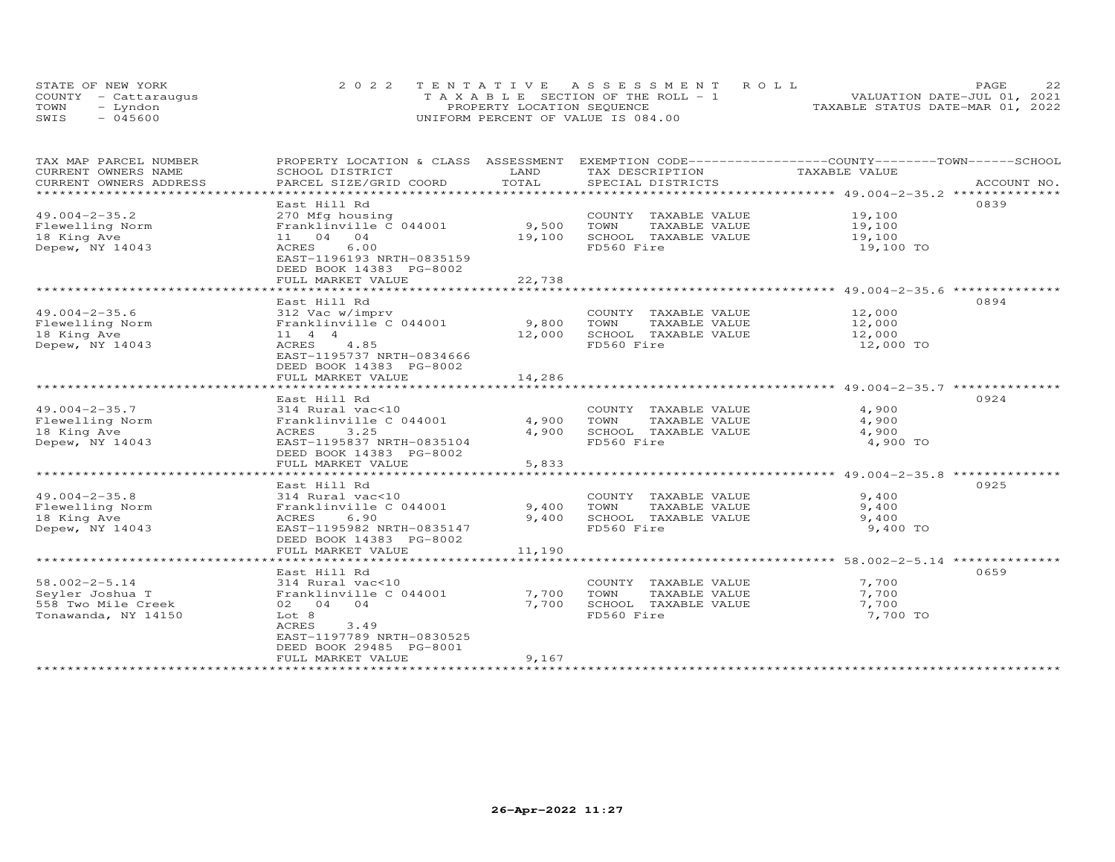|      | STATE OF NEW YORK    | 2022 TENTATIVE ASSESSMENT ROLL        | 22<br>PAGE.                      |
|------|----------------------|---------------------------------------|----------------------------------|
|      | COUNTY - Cattaraugus | T A X A B L E SECTION OF THE ROLL - 1 | VALUATION DATE-JUL 01, 2021      |
| TOWN | - Lyndon             | PROPERTY LOCATION SEQUENCE            | TAXABLE STATUS DATE-MAR 01, 2022 |
| SWIS | - 045600             | UNIFORM PERCENT OF VALUE IS 084.00    |                                  |

| TAX MAP PARCEL NUMBER<br>CURRENT OWNERS NAME | PROPERTY LOCATION & CLASS ASSESSMENT<br>SCHOOL DISTRICT                           | LAND<br>TOTAL  | TAX DESCRIPTION                               | EXEMPTION CODE------------------COUNTY-------TOWN------SCHOOL<br>TAXABLE VALUE |             |
|----------------------------------------------|-----------------------------------------------------------------------------------|----------------|-----------------------------------------------|--------------------------------------------------------------------------------|-------------|
| CURRENT OWNERS ADDRESS                       | PARCEL SIZE/GRID COORD                                                            |                | SPECIAL DISTRICTS                             |                                                                                | ACCOUNT NO. |
| $49.004 - 2 - 35.2$<br>Flewelling Norm       | East Hill Rd<br>270 Mfg housing<br>Franklinville C 044001                         | 9,500          | COUNTY TAXABLE VALUE<br>TOWN<br>TAXABLE VALUE | 19,100<br>19,100                                                               | 0839        |
| 18 King Ave<br>Depew, NY 14043               | 11 04 04<br>ACRES<br>6.00<br>EAST-1196193 NRTH-0835159<br>DEED BOOK 14383 PG-8002 | 19,100         | SCHOOL TAXABLE VALUE<br>FD560 Fire            | 19,100<br>19,100 TO                                                            |             |
|                                              | FULL MARKET VALUE<br>**************************************                       | 22,738         |                                               | ***********************************49.004-2-35.6 ***************               |             |
|                                              | East Hill Rd                                                                      |                |                                               |                                                                                | 0894        |
| $49.004 - 2 - 35.6$                          | 312 Vac w/imprv                                                                   |                | COUNTY TAXABLE VALUE                          | 12,000                                                                         |             |
| Flewelling Norm                              | Franklinville C 044001                                                            | 9,800          | TOWN<br>TAXABLE VALUE                         | 12,000                                                                         |             |
| 18 King Ave                                  | $11 \quad 4 \quad 4$                                                              | 12,000         | SCHOOL TAXABLE VALUE                          | 12,000                                                                         |             |
| Depew, NY 14043                              | 4.85<br>ACRES<br>EAST-1195737 NRTH-0834666<br>DEED BOOK 14383 PG-8002             |                | FD560 Fire                                    | 12,000 TO                                                                      |             |
|                                              | FULL MARKET VALUE                                                                 | 14,286         |                                               |                                                                                |             |
|                                              | East Hill Rd                                                                      |                |                                               |                                                                                | 0924        |
| $49.004 - 2 - 35.7$                          | 314 Rural vac<10                                                                  |                | COUNTY TAXABLE VALUE                          | 4,900                                                                          |             |
| Flewelling Norm                              | Franklinville C 044001                                                            | 4,900          | TOWN<br>TAXABLE VALUE                         | 4,900                                                                          |             |
| 18 King Ave<br>Depew, NY 14043               | ACRES<br>3.25<br>EAST-1195837 NRTH-0835104                                        | 4,900          | SCHOOL TAXABLE VALUE<br>FD560 Fire            | 4,900<br>4,900 TO                                                              |             |
|                                              | DEED BOOK 14383 PG-8002                                                           |                |                                               |                                                                                |             |
|                                              | FULL MARKET VALUE                                                                 | 5,833          |                                               |                                                                                |             |
|                                              | ******************************<br>East Hill Rd                                    |                |                                               | *************************** 49.004-2-35.8 **                                   | 0925        |
| $49.004 - 2 - 35.8$                          | 314 Rural vac<10                                                                  |                | COUNTY TAXABLE VALUE                          | 9,400                                                                          |             |
| Flewelling Norm                              | Franklinville C 044001                                                            | 9,400          | TOWN<br>TAXABLE VALUE                         | 9,400                                                                          |             |
| 18 King Ave                                  | 6.90<br>ACRES                                                                     | 9,400          | SCHOOL TAXABLE VALUE                          | 9,400                                                                          |             |
| Depew, NY 14043                              | EAST-1195982 NRTH-0835147                                                         |                | FD560 Fire                                    | 9,400 TO                                                                       |             |
|                                              | DEED BOOK 14383 PG-8002<br>FULL MARKET VALUE                                      | 11,190         |                                               |                                                                                |             |
|                                              |                                                                                   |                |                                               |                                                                                |             |
|                                              | East Hill Rd                                                                      |                |                                               |                                                                                | 0659        |
| $58.002 - 2 - 5.14$                          | 314 Rural vac<10                                                                  |                | COUNTY TAXABLE VALUE                          | 7,700                                                                          |             |
| Seyler Joshua T<br>558 Two Mile Creek        | Franklinville C 044001<br>02 04 04                                                | 7,700<br>7,700 | TOWN<br>TAXABLE VALUE<br>SCHOOL TAXABLE VALUE | 7,700<br>7,700                                                                 |             |
| Tonawanda, NY 14150                          | Lot 8                                                                             |                | FD560 Fire                                    | 7,700 TO                                                                       |             |
|                                              | ACRES<br>3.49                                                                     |                |                                               |                                                                                |             |
|                                              | EAST-1197789 NRTH-0830525                                                         |                |                                               |                                                                                |             |
|                                              | DEED BOOK 29485 PG-8001                                                           |                |                                               |                                                                                |             |
|                                              | FULL MARKET VALUE                                                                 | 9,167          |                                               |                                                                                |             |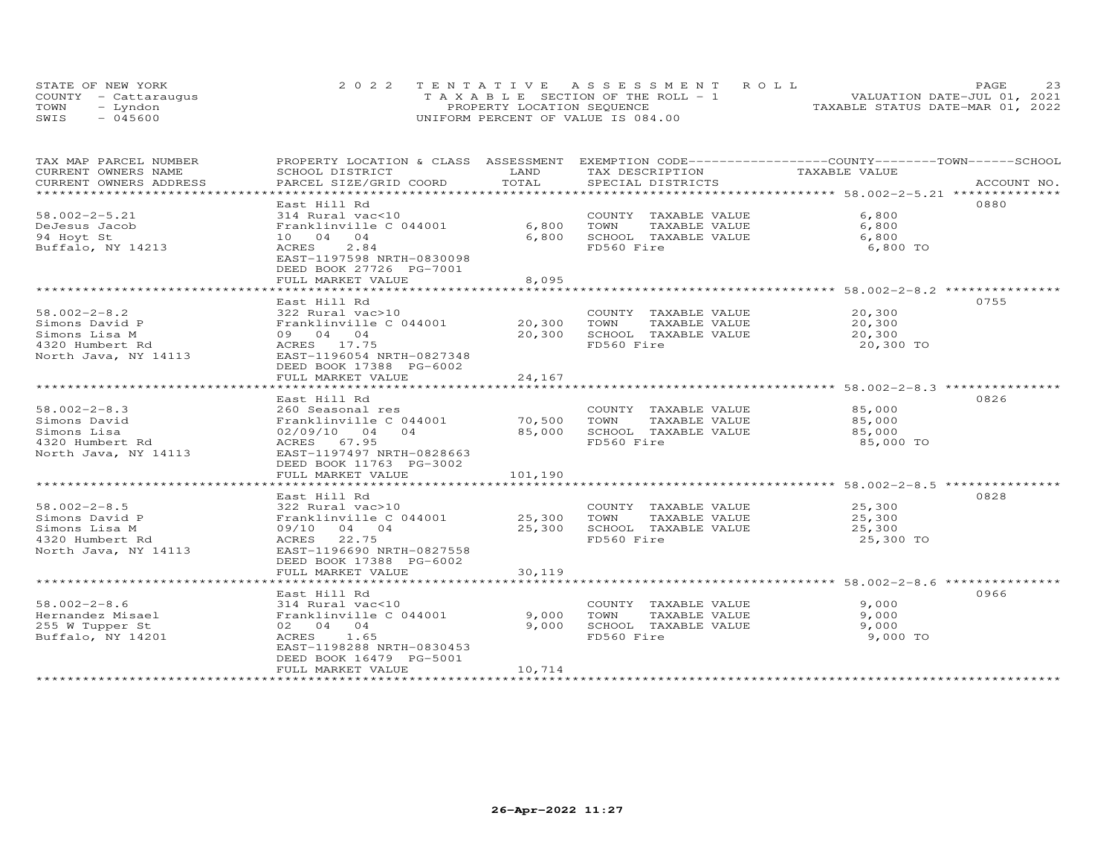|      | STATE OF NEW YORK    | 2022 TENTATIVE ASSESSMENT ROLL        | 23<br>PAGE.                      |
|------|----------------------|---------------------------------------|----------------------------------|
|      | COUNTY - Cattaraugus | T A X A B L E SECTION OF THE ROLL - 1 | VALUATION DATE-JUL 01, 2021      |
| TOWN | – Lyndon             | PROPERTY LOCATION SEQUENCE            | TAXABLE STATUS DATE-MAR 01, 2022 |
| SWIS | $-045600$            | UNIFORM PERCENT OF VALUE IS 084.00    |                                  |

| TAX MAP PARCEL NUMBER                                                                                                                                                                                                                                   | PROPERTY LOCATION & CLASS ASSESSMENT EXEMPTION CODE-----------------COUNTY-------TOWN------SCHOOL |         |                                                     |               |      |
|---------------------------------------------------------------------------------------------------------------------------------------------------------------------------------------------------------------------------------------------------------|---------------------------------------------------------------------------------------------------|---------|-----------------------------------------------------|---------------|------|
| CURRENT OWNERS NAME                                                                                                                                                                                                                                     | SCHOOL DISTRICT                                                                                   | LAND    | TAX DESCRIPTION                                     | TAXABLE VALUE |      |
| CURRENT OWNERS ADDRESS<br>.CURRENT OWNERS ADDRESS PARCEL SIZE/GRID COORD TOTAL SPECIAL DISTRICTS ACCOUNT NO ACCOUNT NO ACCOUNT NO ARE A LATA AND MALL SERVERS AND RESOLUT ASSESS AND MALL SERVERS AND RESOLUT NO A LATA AND MALL SERVERS AND RESOLUT AT |                                                                                                   |         |                                                     |               |      |
|                                                                                                                                                                                                                                                         |                                                                                                   |         |                                                     |               |      |
|                                                                                                                                                                                                                                                         | East Hill Rd                                                                                      |         |                                                     |               | 0880 |
| $58.002 - 2 - 5.21$                                                                                                                                                                                                                                     | 314 Rural vac<10                                                                                  |         | COUNTY TAXABLE VALUE                                | 6,800         |      |
| DeJesus Jacob                                                                                                                                                                                                                                           | Franklinville C 044001                                                                            | 6,800   | TOWN      TAXABLE  VALUE<br>SCHOOL   TAXABLE  VALUE | 6,800         |      |
| 94 Hoyt St                                                                                                                                                                                                                                              | 10 04 04                                                                                          | 6,800   |                                                     | 6,800         |      |
| Buffalo, NY 14213                                                                                                                                                                                                                                       | ACRES<br>2.84                                                                                     |         | FD560 Fire                                          | 6,800 TO      |      |
|                                                                                                                                                                                                                                                         | EAST-1197598 NRTH-0830098                                                                         |         |                                                     |               |      |
|                                                                                                                                                                                                                                                         | DEED BOOK 27726 PG-7001                                                                           |         |                                                     |               |      |
|                                                                                                                                                                                                                                                         | FULL MARKET VALUE                                                                                 | 8,095   |                                                     |               |      |
|                                                                                                                                                                                                                                                         |                                                                                                   |         |                                                     |               |      |
|                                                                                                                                                                                                                                                         | East Hill Rd                                                                                      |         |                                                     |               | 0755 |
| $58.002 - 2 - 8.2$                                                                                                                                                                                                                                      |                                                                                                   |         | COUNTY TAXABLE VALUE                                | 20,300        |      |
| Simons David P                                                                                                                                                                                                                                          |                                                                                                   |         | TAXABLE VALUE                                       | 20,300        |      |
| Simons Lisa M                                                                                                                                                                                                                                           |                                                                                                   |         | 20,300 SCHOOL TAXABLE VALUE                         | 20,300        |      |
| 4320 Humbert Rd                                                                                                                                                                                                                                         | Franklinville<br>09 04 04<br>ACRES 17.75                                                          |         | FD560 Fire                                          | 20,300 TO     |      |
| North Java, NY 14113 EAST-1196054 NRTH-0827348                                                                                                                                                                                                          |                                                                                                   |         |                                                     |               |      |
|                                                                                                                                                                                                                                                         | DEED BOOK 17388 PG-6002                                                                           |         |                                                     |               |      |
|                                                                                                                                                                                                                                                         | FULL MARKET VALUE                                                                                 | 24,167  |                                                     |               |      |
|                                                                                                                                                                                                                                                         |                                                                                                   |         |                                                     |               |      |
|                                                                                                                                                                                                                                                         | East Hill Rd                                                                                      |         |                                                     |               | 0826 |
| $58.002 - 2 - 8.3$                                                                                                                                                                                                                                      |                                                                                                   |         | COUNTY TAXABLE VALUE                                | 85,000        |      |
| Simons David                                                                                                                                                                                                                                            |                                                                                                   |         | TAXABLE VALUE                                       | 85,000        |      |
| Simons Lisa                                                                                                                                                                                                                                             | 02/09/10 04 04                                                                                    |         | 85,000 SCHOOL TAXABLE VALUE                         | 85,000        |      |
| 4320 Humbert Rd                                                                                                                                                                                                                                         | ACRES 67.95                                                                                       |         | FD560 Fire                                          | 85,000 TO     |      |
| North Java, NY 14113                                                                                                                                                                                                                                    | EAST-1197497 NRTH-0828663                                                                         |         |                                                     |               |      |
|                                                                                                                                                                                                                                                         | DEED BOOK 11763 PG-3002                                                                           |         |                                                     |               |      |
|                                                                                                                                                                                                                                                         | FULL MARKET VALUE                                                                                 | 101,190 |                                                     |               |      |
|                                                                                                                                                                                                                                                         |                                                                                                   |         |                                                     |               |      |
|                                                                                                                                                                                                                                                         | East Hill Rd                                                                                      |         |                                                     |               | 0828 |
| $58.002 - 2 - 8.5$                                                                                                                                                                                                                                      | 322 Rural vac>10                                                                                  |         | COUNTY TAXABLE VALUE                                | 25,300        |      |
| Simons David P                                                                                                                                                                                                                                          | Franklinville C 044001 25,300 TOWN                                                                |         | TAXABLE VALUE                                       | 25,300        |      |
| Simons Lisa M                                                                                                                                                                                                                                           | 09/10 04 04                                                                                       |         | 25,300 SCHOOL TAXABLE VALUE                         | 25,300        |      |
| 4320 Humbert Rd                                                                                                                                                                                                                                         | ACRES 22.75                                                                                       |         | FD560 Fire                                          | 25,300 TO     |      |
| North Java, NY 14113                                                                                                                                                                                                                                    | EAST-1196690 NRTH-0827558                                                                         |         |                                                     |               |      |
|                                                                                                                                                                                                                                                         | DEED BOOK 17388 PG-6002                                                                           |         |                                                     |               |      |
|                                                                                                                                                                                                                                                         | FULL MARKET VALUE                                                                                 | 30,119  |                                                     |               |      |
|                                                                                                                                                                                                                                                         |                                                                                                   |         |                                                     |               |      |
|                                                                                                                                                                                                                                                         | East Hill Rd                                                                                      |         |                                                     |               | 0966 |
|                                                                                                                                                                                                                                                         | 314 Rural vac<10                                                                                  |         | COUNTY TAXABLE VALUE                                | 9,000         |      |
| Hernandez Misael<br>255 W Tupper St                                                                                                                                                                                                                     | Franklinville C 044001                                                                            | 9,000   | TOWN<br>TAXABLE VALUE                               | 9,000         |      |
|                                                                                                                                                                                                                                                         | 02 04 04                                                                                          | 9,000   | SCHOOL TAXABLE VALUE                                | 9,000         |      |
| Buffalo, NY 14201                                                                                                                                                                                                                                       | ACRES 1.65                                                                                        |         | FD560 Fire                                          | 9,000 TO      |      |
|                                                                                                                                                                                                                                                         | EAST-1198288 NRTH-0830453                                                                         |         |                                                     |               |      |
|                                                                                                                                                                                                                                                         | DEED BOOK 16479 PG-5001                                                                           |         |                                                     |               |      |
|                                                                                                                                                                                                                                                         | FULL MARKET VALUE                                                                                 | 10,714  |                                                     |               |      |
|                                                                                                                                                                                                                                                         |                                                                                                   |         |                                                     |               |      |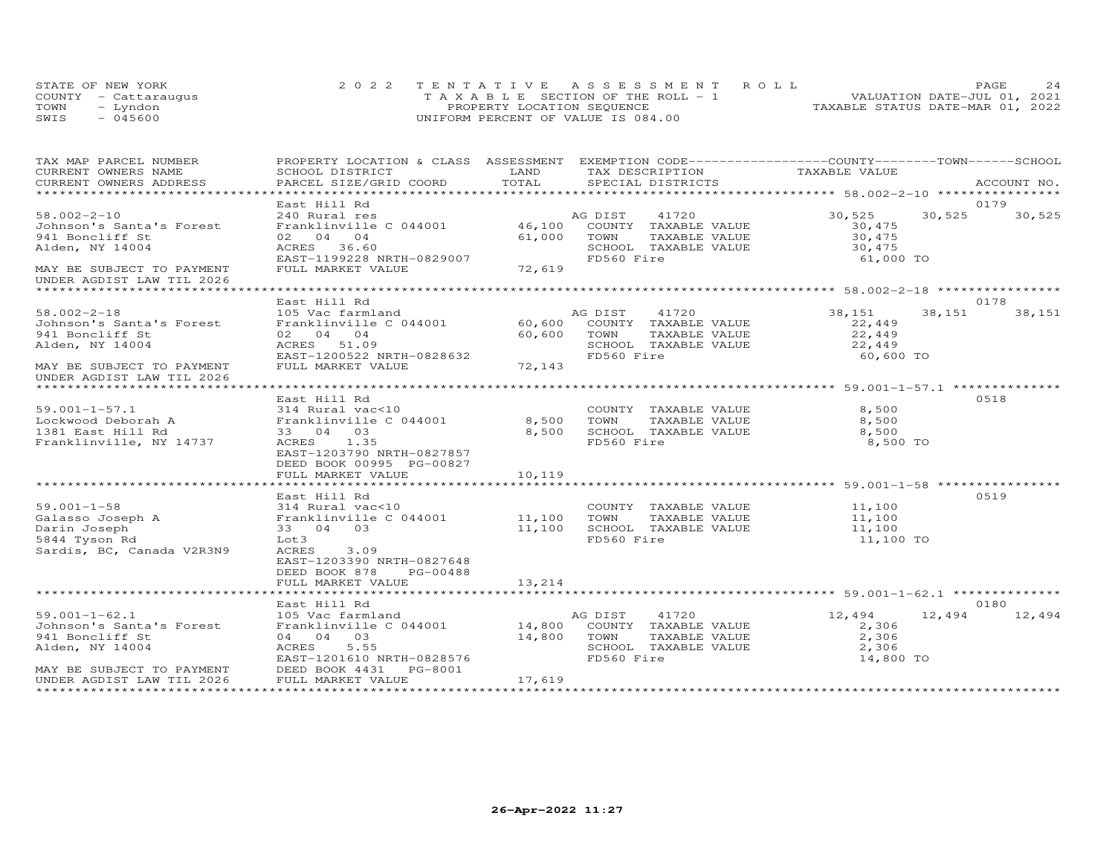|      | STATE OF NEW YORK    | 2022 TENTATIVE ASSESSMENT ROLL        | 2.4<br>PAGE                      |
|------|----------------------|---------------------------------------|----------------------------------|
|      | COUNTY - Cattaraugus | T A X A B L E SECTION OF THE ROLL - 1 | VALUATION DATE-JUL 01, 2021      |
| TOWN | - Lyndon             | PROPERTY LOCATION SEQUENCE            | TAXABLE STATUS DATE-MAR 01, 2022 |
| SWIS | $-045600$            | UNIFORM PERCENT OF VALUE IS 084.00    |                                  |

| CURRENT OWNERS NAME<br>SCHOOL DISTRICT<br>LAND<br>TAX DESCRIPTION<br>TAXABLE VALUE<br>TOTAL<br>CURRENT OWNERS ADDRESS<br>PARCEL SIZE/GRID COORD<br>SPECIAL DISTRICTS<br>ACCOUNT NO.<br>East Hill Rd<br>0179<br>30,525<br>30,525<br>$58.002 - 2 - 10$<br>240 Rural res<br>AG DIST<br>41720<br>30,525<br>240 Rural res<br>Franklinville C 044001 16,100 COUNTY TAXABLE VALUE<br>Johnson's Santa's Forest<br>30,475<br>02 04 04<br>61,000<br>TOWN<br>30,475<br>30,475<br>941 Boncliff St<br>TAXABLE VALUE<br>ACRES 36.60<br>Alden, NY 14004<br>SCHOOL TAXABLE VALUE<br>72,619<br>EAST-1199228 NRTH-0829007<br>FD560 Fire<br>61,000 TO<br>FULL MARKET VALUE<br>MAY BE SUBJECT TO PAYMENT<br>UNDER AGDIST LAW TIL 2026<br>East Hill Rd<br>0178<br>$58.002 - 2 - 18$<br>AG DIST<br>41720<br>38,151<br>38,151<br>38,151<br>105 Vac farmland<br>Franklinville C 044001 60,600 COUNTY TAXABLE VALUE<br>Johnson's Santa's Forest<br>22,449<br>22,449<br>941 Boncliff St<br>02 04 04<br>60,600 TOWN<br>TAXABLE VALUE<br>Alden, NY 14004<br>SCHOOL TAXABLE VALUE<br>22,449<br>ACRES 51.09<br>$-0828632$<br>72,143<br>EAST-1200522 NRTH-0828632<br>FD560 Fire<br>60,600 TO<br>MAY BE SUBJECT TO PAYMENT<br>FULL MARKET VALUE<br>UNDER AGDIST LAW TIL 2026<br>East Hill Rd<br>0518<br>8,500<br>$59.001 - 1 - 57.1$<br>314 Rural vac<10<br>COUNTY TAXABLE VALUE<br>Sa.uui-i-57.1<br>Lockwood Deborah A<br>314 Kurai vac<10<br>Franklinville C 044001<br>8,500 TOWN<br>TAXABLE VALUE<br>8,500<br>1381 East Hill Rd<br>33 04 03<br>8,500<br>SCHOOL TAXABLE VALUE<br>8,500<br>FD560 Fire<br>Franklinville, NY 14737<br>ACRES 1.35<br>8,500 TO<br>EAST-1203790 NRTH-0827857<br>DEED BOOK 00995 PG-00827<br>FULL MARKET VALUE<br>10,119<br>*********************************** 59.001-1-58 **************<br>0519<br>East Hill Rd<br>COUNTY TAXABLE VALUE 11,100<br>$59.001 - 1 - 58$<br>314 Rural vac<10<br>Galasso Joseph A Franklinville C 044001 11,100<br>TOWN<br>TAXABLE VALUE<br>11,100<br>11,100 SCHOOL TAXABLE VALUE<br>11,100<br>Darin Joseph<br>33 04 03<br>FD560 Fire<br>5844 Tyson Rd<br>11,100 TO<br>Lot 3<br>Sardis, BC, Canada V2R3N9<br>ACRES<br>3.09<br>EAST-1203390 NRTH-0827648<br>DEED BOOK 878<br>PG-00488<br>13,214<br>FULL MARKET VALUE<br>0180<br>East Hill Rd<br>$59.001 - 1 - 62.1$<br>41720<br>12,494<br>12,494<br>12,494<br>105 Vac farmland<br>AG DIST<br>Franklinville C 044001 14,800 COUNTY TAXABLE VALUE<br>Johnson's Santa's Forest<br>2,306<br>04 04 03<br>14,800 TOWN<br>TAXABLE VALUE<br>2,306<br>941 Boncliff St<br>2,306<br>Alden, NY 14004<br>ACRES<br>5.55<br>SCHOOL TAXABLE VALUE<br>EAST-1201610 NRTH-0828576<br>FD560 Fire<br>14,800 TO<br>DEED BOOK 4431<br>MAY BE SUBJECT TO PAYMENT<br>PG-8001<br>17,619<br>FULL MARKET VALUE<br>UNDER AGDIST LAW TIL 2026 | TAX MAP PARCEL NUMBER | PROPERTY LOCATION & CLASS ASSESSMENT EXEMPTION CODE----------------COUNTY-------TOWN------SCHOOL |  |  |
|----------------------------------------------------------------------------------------------------------------------------------------------------------------------------------------------------------------------------------------------------------------------------------------------------------------------------------------------------------------------------------------------------------------------------------------------------------------------------------------------------------------------------------------------------------------------------------------------------------------------------------------------------------------------------------------------------------------------------------------------------------------------------------------------------------------------------------------------------------------------------------------------------------------------------------------------------------------------------------------------------------------------------------------------------------------------------------------------------------------------------------------------------------------------------------------------------------------------------------------------------------------------------------------------------------------------------------------------------------------------------------------------------------------------------------------------------------------------------------------------------------------------------------------------------------------------------------------------------------------------------------------------------------------------------------------------------------------------------------------------------------------------------------------------------------------------------------------------------------------------------------------------------------------------------------------------------------------------------------------------------------------------------------------------------------------------------------------------------------------------------------------------------------------------------------------------------------------------------------------------------------------------------------------------------------------------------------------------------------------------------------------------------------------------------------------------------------------------------------------------------------------------------------------------------------------------------------------------------------------------------------------------------------------------------------------------------------------------------------------------------------------------------------------|-----------------------|--------------------------------------------------------------------------------------------------|--|--|
|                                                                                                                                                                                                                                                                                                                                                                                                                                                                                                                                                                                                                                                                                                                                                                                                                                                                                                                                                                                                                                                                                                                                                                                                                                                                                                                                                                                                                                                                                                                                                                                                                                                                                                                                                                                                                                                                                                                                                                                                                                                                                                                                                                                                                                                                                                                                                                                                                                                                                                                                                                                                                                                                                                                                                                                        |                       |                                                                                                  |  |  |
|                                                                                                                                                                                                                                                                                                                                                                                                                                                                                                                                                                                                                                                                                                                                                                                                                                                                                                                                                                                                                                                                                                                                                                                                                                                                                                                                                                                                                                                                                                                                                                                                                                                                                                                                                                                                                                                                                                                                                                                                                                                                                                                                                                                                                                                                                                                                                                                                                                                                                                                                                                                                                                                                                                                                                                                        |                       |                                                                                                  |  |  |
|                                                                                                                                                                                                                                                                                                                                                                                                                                                                                                                                                                                                                                                                                                                                                                                                                                                                                                                                                                                                                                                                                                                                                                                                                                                                                                                                                                                                                                                                                                                                                                                                                                                                                                                                                                                                                                                                                                                                                                                                                                                                                                                                                                                                                                                                                                                                                                                                                                                                                                                                                                                                                                                                                                                                                                                        |                       |                                                                                                  |  |  |
|                                                                                                                                                                                                                                                                                                                                                                                                                                                                                                                                                                                                                                                                                                                                                                                                                                                                                                                                                                                                                                                                                                                                                                                                                                                                                                                                                                                                                                                                                                                                                                                                                                                                                                                                                                                                                                                                                                                                                                                                                                                                                                                                                                                                                                                                                                                                                                                                                                                                                                                                                                                                                                                                                                                                                                                        |                       |                                                                                                  |  |  |
|                                                                                                                                                                                                                                                                                                                                                                                                                                                                                                                                                                                                                                                                                                                                                                                                                                                                                                                                                                                                                                                                                                                                                                                                                                                                                                                                                                                                                                                                                                                                                                                                                                                                                                                                                                                                                                                                                                                                                                                                                                                                                                                                                                                                                                                                                                                                                                                                                                                                                                                                                                                                                                                                                                                                                                                        |                       |                                                                                                  |  |  |
|                                                                                                                                                                                                                                                                                                                                                                                                                                                                                                                                                                                                                                                                                                                                                                                                                                                                                                                                                                                                                                                                                                                                                                                                                                                                                                                                                                                                                                                                                                                                                                                                                                                                                                                                                                                                                                                                                                                                                                                                                                                                                                                                                                                                                                                                                                                                                                                                                                                                                                                                                                                                                                                                                                                                                                                        |                       |                                                                                                  |  |  |
|                                                                                                                                                                                                                                                                                                                                                                                                                                                                                                                                                                                                                                                                                                                                                                                                                                                                                                                                                                                                                                                                                                                                                                                                                                                                                                                                                                                                                                                                                                                                                                                                                                                                                                                                                                                                                                                                                                                                                                                                                                                                                                                                                                                                                                                                                                                                                                                                                                                                                                                                                                                                                                                                                                                                                                                        |                       |                                                                                                  |  |  |
|                                                                                                                                                                                                                                                                                                                                                                                                                                                                                                                                                                                                                                                                                                                                                                                                                                                                                                                                                                                                                                                                                                                                                                                                                                                                                                                                                                                                                                                                                                                                                                                                                                                                                                                                                                                                                                                                                                                                                                                                                                                                                                                                                                                                                                                                                                                                                                                                                                                                                                                                                                                                                                                                                                                                                                                        |                       |                                                                                                  |  |  |
|                                                                                                                                                                                                                                                                                                                                                                                                                                                                                                                                                                                                                                                                                                                                                                                                                                                                                                                                                                                                                                                                                                                                                                                                                                                                                                                                                                                                                                                                                                                                                                                                                                                                                                                                                                                                                                                                                                                                                                                                                                                                                                                                                                                                                                                                                                                                                                                                                                                                                                                                                                                                                                                                                                                                                                                        |                       |                                                                                                  |  |  |
|                                                                                                                                                                                                                                                                                                                                                                                                                                                                                                                                                                                                                                                                                                                                                                                                                                                                                                                                                                                                                                                                                                                                                                                                                                                                                                                                                                                                                                                                                                                                                                                                                                                                                                                                                                                                                                                                                                                                                                                                                                                                                                                                                                                                                                                                                                                                                                                                                                                                                                                                                                                                                                                                                                                                                                                        |                       |                                                                                                  |  |  |
|                                                                                                                                                                                                                                                                                                                                                                                                                                                                                                                                                                                                                                                                                                                                                                                                                                                                                                                                                                                                                                                                                                                                                                                                                                                                                                                                                                                                                                                                                                                                                                                                                                                                                                                                                                                                                                                                                                                                                                                                                                                                                                                                                                                                                                                                                                                                                                                                                                                                                                                                                                                                                                                                                                                                                                                        |                       |                                                                                                  |  |  |
|                                                                                                                                                                                                                                                                                                                                                                                                                                                                                                                                                                                                                                                                                                                                                                                                                                                                                                                                                                                                                                                                                                                                                                                                                                                                                                                                                                                                                                                                                                                                                                                                                                                                                                                                                                                                                                                                                                                                                                                                                                                                                                                                                                                                                                                                                                                                                                                                                                                                                                                                                                                                                                                                                                                                                                                        |                       |                                                                                                  |  |  |
|                                                                                                                                                                                                                                                                                                                                                                                                                                                                                                                                                                                                                                                                                                                                                                                                                                                                                                                                                                                                                                                                                                                                                                                                                                                                                                                                                                                                                                                                                                                                                                                                                                                                                                                                                                                                                                                                                                                                                                                                                                                                                                                                                                                                                                                                                                                                                                                                                                                                                                                                                                                                                                                                                                                                                                                        |                       |                                                                                                  |  |  |
|                                                                                                                                                                                                                                                                                                                                                                                                                                                                                                                                                                                                                                                                                                                                                                                                                                                                                                                                                                                                                                                                                                                                                                                                                                                                                                                                                                                                                                                                                                                                                                                                                                                                                                                                                                                                                                                                                                                                                                                                                                                                                                                                                                                                                                                                                                                                                                                                                                                                                                                                                                                                                                                                                                                                                                                        |                       |                                                                                                  |  |  |
|                                                                                                                                                                                                                                                                                                                                                                                                                                                                                                                                                                                                                                                                                                                                                                                                                                                                                                                                                                                                                                                                                                                                                                                                                                                                                                                                                                                                                                                                                                                                                                                                                                                                                                                                                                                                                                                                                                                                                                                                                                                                                                                                                                                                                                                                                                                                                                                                                                                                                                                                                                                                                                                                                                                                                                                        |                       |                                                                                                  |  |  |
|                                                                                                                                                                                                                                                                                                                                                                                                                                                                                                                                                                                                                                                                                                                                                                                                                                                                                                                                                                                                                                                                                                                                                                                                                                                                                                                                                                                                                                                                                                                                                                                                                                                                                                                                                                                                                                                                                                                                                                                                                                                                                                                                                                                                                                                                                                                                                                                                                                                                                                                                                                                                                                                                                                                                                                                        |                       |                                                                                                  |  |  |
|                                                                                                                                                                                                                                                                                                                                                                                                                                                                                                                                                                                                                                                                                                                                                                                                                                                                                                                                                                                                                                                                                                                                                                                                                                                                                                                                                                                                                                                                                                                                                                                                                                                                                                                                                                                                                                                                                                                                                                                                                                                                                                                                                                                                                                                                                                                                                                                                                                                                                                                                                                                                                                                                                                                                                                                        |                       |                                                                                                  |  |  |
|                                                                                                                                                                                                                                                                                                                                                                                                                                                                                                                                                                                                                                                                                                                                                                                                                                                                                                                                                                                                                                                                                                                                                                                                                                                                                                                                                                                                                                                                                                                                                                                                                                                                                                                                                                                                                                                                                                                                                                                                                                                                                                                                                                                                                                                                                                                                                                                                                                                                                                                                                                                                                                                                                                                                                                                        |                       |                                                                                                  |  |  |
|                                                                                                                                                                                                                                                                                                                                                                                                                                                                                                                                                                                                                                                                                                                                                                                                                                                                                                                                                                                                                                                                                                                                                                                                                                                                                                                                                                                                                                                                                                                                                                                                                                                                                                                                                                                                                                                                                                                                                                                                                                                                                                                                                                                                                                                                                                                                                                                                                                                                                                                                                                                                                                                                                                                                                                                        |                       |                                                                                                  |  |  |
|                                                                                                                                                                                                                                                                                                                                                                                                                                                                                                                                                                                                                                                                                                                                                                                                                                                                                                                                                                                                                                                                                                                                                                                                                                                                                                                                                                                                                                                                                                                                                                                                                                                                                                                                                                                                                                                                                                                                                                                                                                                                                                                                                                                                                                                                                                                                                                                                                                                                                                                                                                                                                                                                                                                                                                                        |                       |                                                                                                  |  |  |
|                                                                                                                                                                                                                                                                                                                                                                                                                                                                                                                                                                                                                                                                                                                                                                                                                                                                                                                                                                                                                                                                                                                                                                                                                                                                                                                                                                                                                                                                                                                                                                                                                                                                                                                                                                                                                                                                                                                                                                                                                                                                                                                                                                                                                                                                                                                                                                                                                                                                                                                                                                                                                                                                                                                                                                                        |                       |                                                                                                  |  |  |
|                                                                                                                                                                                                                                                                                                                                                                                                                                                                                                                                                                                                                                                                                                                                                                                                                                                                                                                                                                                                                                                                                                                                                                                                                                                                                                                                                                                                                                                                                                                                                                                                                                                                                                                                                                                                                                                                                                                                                                                                                                                                                                                                                                                                                                                                                                                                                                                                                                                                                                                                                                                                                                                                                                                                                                                        |                       |                                                                                                  |  |  |
|                                                                                                                                                                                                                                                                                                                                                                                                                                                                                                                                                                                                                                                                                                                                                                                                                                                                                                                                                                                                                                                                                                                                                                                                                                                                                                                                                                                                                                                                                                                                                                                                                                                                                                                                                                                                                                                                                                                                                                                                                                                                                                                                                                                                                                                                                                                                                                                                                                                                                                                                                                                                                                                                                                                                                                                        |                       |                                                                                                  |  |  |
|                                                                                                                                                                                                                                                                                                                                                                                                                                                                                                                                                                                                                                                                                                                                                                                                                                                                                                                                                                                                                                                                                                                                                                                                                                                                                                                                                                                                                                                                                                                                                                                                                                                                                                                                                                                                                                                                                                                                                                                                                                                                                                                                                                                                                                                                                                                                                                                                                                                                                                                                                                                                                                                                                                                                                                                        |                       |                                                                                                  |  |  |
|                                                                                                                                                                                                                                                                                                                                                                                                                                                                                                                                                                                                                                                                                                                                                                                                                                                                                                                                                                                                                                                                                                                                                                                                                                                                                                                                                                                                                                                                                                                                                                                                                                                                                                                                                                                                                                                                                                                                                                                                                                                                                                                                                                                                                                                                                                                                                                                                                                                                                                                                                                                                                                                                                                                                                                                        |                       |                                                                                                  |  |  |
|                                                                                                                                                                                                                                                                                                                                                                                                                                                                                                                                                                                                                                                                                                                                                                                                                                                                                                                                                                                                                                                                                                                                                                                                                                                                                                                                                                                                                                                                                                                                                                                                                                                                                                                                                                                                                                                                                                                                                                                                                                                                                                                                                                                                                                                                                                                                                                                                                                                                                                                                                                                                                                                                                                                                                                                        |                       |                                                                                                  |  |  |
|                                                                                                                                                                                                                                                                                                                                                                                                                                                                                                                                                                                                                                                                                                                                                                                                                                                                                                                                                                                                                                                                                                                                                                                                                                                                                                                                                                                                                                                                                                                                                                                                                                                                                                                                                                                                                                                                                                                                                                                                                                                                                                                                                                                                                                                                                                                                                                                                                                                                                                                                                                                                                                                                                                                                                                                        |                       |                                                                                                  |  |  |
|                                                                                                                                                                                                                                                                                                                                                                                                                                                                                                                                                                                                                                                                                                                                                                                                                                                                                                                                                                                                                                                                                                                                                                                                                                                                                                                                                                                                                                                                                                                                                                                                                                                                                                                                                                                                                                                                                                                                                                                                                                                                                                                                                                                                                                                                                                                                                                                                                                                                                                                                                                                                                                                                                                                                                                                        |                       |                                                                                                  |  |  |
|                                                                                                                                                                                                                                                                                                                                                                                                                                                                                                                                                                                                                                                                                                                                                                                                                                                                                                                                                                                                                                                                                                                                                                                                                                                                                                                                                                                                                                                                                                                                                                                                                                                                                                                                                                                                                                                                                                                                                                                                                                                                                                                                                                                                                                                                                                                                                                                                                                                                                                                                                                                                                                                                                                                                                                                        |                       |                                                                                                  |  |  |
|                                                                                                                                                                                                                                                                                                                                                                                                                                                                                                                                                                                                                                                                                                                                                                                                                                                                                                                                                                                                                                                                                                                                                                                                                                                                                                                                                                                                                                                                                                                                                                                                                                                                                                                                                                                                                                                                                                                                                                                                                                                                                                                                                                                                                                                                                                                                                                                                                                                                                                                                                                                                                                                                                                                                                                                        |                       |                                                                                                  |  |  |
|                                                                                                                                                                                                                                                                                                                                                                                                                                                                                                                                                                                                                                                                                                                                                                                                                                                                                                                                                                                                                                                                                                                                                                                                                                                                                                                                                                                                                                                                                                                                                                                                                                                                                                                                                                                                                                                                                                                                                                                                                                                                                                                                                                                                                                                                                                                                                                                                                                                                                                                                                                                                                                                                                                                                                                                        |                       |                                                                                                  |  |  |
|                                                                                                                                                                                                                                                                                                                                                                                                                                                                                                                                                                                                                                                                                                                                                                                                                                                                                                                                                                                                                                                                                                                                                                                                                                                                                                                                                                                                                                                                                                                                                                                                                                                                                                                                                                                                                                                                                                                                                                                                                                                                                                                                                                                                                                                                                                                                                                                                                                                                                                                                                                                                                                                                                                                                                                                        |                       |                                                                                                  |  |  |
|                                                                                                                                                                                                                                                                                                                                                                                                                                                                                                                                                                                                                                                                                                                                                                                                                                                                                                                                                                                                                                                                                                                                                                                                                                                                                                                                                                                                                                                                                                                                                                                                                                                                                                                                                                                                                                                                                                                                                                                                                                                                                                                                                                                                                                                                                                                                                                                                                                                                                                                                                                                                                                                                                                                                                                                        |                       |                                                                                                  |  |  |
|                                                                                                                                                                                                                                                                                                                                                                                                                                                                                                                                                                                                                                                                                                                                                                                                                                                                                                                                                                                                                                                                                                                                                                                                                                                                                                                                                                                                                                                                                                                                                                                                                                                                                                                                                                                                                                                                                                                                                                                                                                                                                                                                                                                                                                                                                                                                                                                                                                                                                                                                                                                                                                                                                                                                                                                        |                       |                                                                                                  |  |  |
|                                                                                                                                                                                                                                                                                                                                                                                                                                                                                                                                                                                                                                                                                                                                                                                                                                                                                                                                                                                                                                                                                                                                                                                                                                                                                                                                                                                                                                                                                                                                                                                                                                                                                                                                                                                                                                                                                                                                                                                                                                                                                                                                                                                                                                                                                                                                                                                                                                                                                                                                                                                                                                                                                                                                                                                        |                       |                                                                                                  |  |  |
|                                                                                                                                                                                                                                                                                                                                                                                                                                                                                                                                                                                                                                                                                                                                                                                                                                                                                                                                                                                                                                                                                                                                                                                                                                                                                                                                                                                                                                                                                                                                                                                                                                                                                                                                                                                                                                                                                                                                                                                                                                                                                                                                                                                                                                                                                                                                                                                                                                                                                                                                                                                                                                                                                                                                                                                        |                       |                                                                                                  |  |  |
|                                                                                                                                                                                                                                                                                                                                                                                                                                                                                                                                                                                                                                                                                                                                                                                                                                                                                                                                                                                                                                                                                                                                                                                                                                                                                                                                                                                                                                                                                                                                                                                                                                                                                                                                                                                                                                                                                                                                                                                                                                                                                                                                                                                                                                                                                                                                                                                                                                                                                                                                                                                                                                                                                                                                                                                        |                       |                                                                                                  |  |  |
|                                                                                                                                                                                                                                                                                                                                                                                                                                                                                                                                                                                                                                                                                                                                                                                                                                                                                                                                                                                                                                                                                                                                                                                                                                                                                                                                                                                                                                                                                                                                                                                                                                                                                                                                                                                                                                                                                                                                                                                                                                                                                                                                                                                                                                                                                                                                                                                                                                                                                                                                                                                                                                                                                                                                                                                        |                       |                                                                                                  |  |  |
|                                                                                                                                                                                                                                                                                                                                                                                                                                                                                                                                                                                                                                                                                                                                                                                                                                                                                                                                                                                                                                                                                                                                                                                                                                                                                                                                                                                                                                                                                                                                                                                                                                                                                                                                                                                                                                                                                                                                                                                                                                                                                                                                                                                                                                                                                                                                                                                                                                                                                                                                                                                                                                                                                                                                                                                        |                       |                                                                                                  |  |  |
|                                                                                                                                                                                                                                                                                                                                                                                                                                                                                                                                                                                                                                                                                                                                                                                                                                                                                                                                                                                                                                                                                                                                                                                                                                                                                                                                                                                                                                                                                                                                                                                                                                                                                                                                                                                                                                                                                                                                                                                                                                                                                                                                                                                                                                                                                                                                                                                                                                                                                                                                                                                                                                                                                                                                                                                        |                       |                                                                                                  |  |  |
|                                                                                                                                                                                                                                                                                                                                                                                                                                                                                                                                                                                                                                                                                                                                                                                                                                                                                                                                                                                                                                                                                                                                                                                                                                                                                                                                                                                                                                                                                                                                                                                                                                                                                                                                                                                                                                                                                                                                                                                                                                                                                                                                                                                                                                                                                                                                                                                                                                                                                                                                                                                                                                                                                                                                                                                        |                       |                                                                                                  |  |  |
|                                                                                                                                                                                                                                                                                                                                                                                                                                                                                                                                                                                                                                                                                                                                                                                                                                                                                                                                                                                                                                                                                                                                                                                                                                                                                                                                                                                                                                                                                                                                                                                                                                                                                                                                                                                                                                                                                                                                                                                                                                                                                                                                                                                                                                                                                                                                                                                                                                                                                                                                                                                                                                                                                                                                                                                        |                       |                                                                                                  |  |  |
|                                                                                                                                                                                                                                                                                                                                                                                                                                                                                                                                                                                                                                                                                                                                                                                                                                                                                                                                                                                                                                                                                                                                                                                                                                                                                                                                                                                                                                                                                                                                                                                                                                                                                                                                                                                                                                                                                                                                                                                                                                                                                                                                                                                                                                                                                                                                                                                                                                                                                                                                                                                                                                                                                                                                                                                        |                       |                                                                                                  |  |  |
|                                                                                                                                                                                                                                                                                                                                                                                                                                                                                                                                                                                                                                                                                                                                                                                                                                                                                                                                                                                                                                                                                                                                                                                                                                                                                                                                                                                                                                                                                                                                                                                                                                                                                                                                                                                                                                                                                                                                                                                                                                                                                                                                                                                                                                                                                                                                                                                                                                                                                                                                                                                                                                                                                                                                                                                        |                       |                                                                                                  |  |  |
|                                                                                                                                                                                                                                                                                                                                                                                                                                                                                                                                                                                                                                                                                                                                                                                                                                                                                                                                                                                                                                                                                                                                                                                                                                                                                                                                                                                                                                                                                                                                                                                                                                                                                                                                                                                                                                                                                                                                                                                                                                                                                                                                                                                                                                                                                                                                                                                                                                                                                                                                                                                                                                                                                                                                                                                        |                       |                                                                                                  |  |  |
|                                                                                                                                                                                                                                                                                                                                                                                                                                                                                                                                                                                                                                                                                                                                                                                                                                                                                                                                                                                                                                                                                                                                                                                                                                                                                                                                                                                                                                                                                                                                                                                                                                                                                                                                                                                                                                                                                                                                                                                                                                                                                                                                                                                                                                                                                                                                                                                                                                                                                                                                                                                                                                                                                                                                                                                        |                       |                                                                                                  |  |  |
|                                                                                                                                                                                                                                                                                                                                                                                                                                                                                                                                                                                                                                                                                                                                                                                                                                                                                                                                                                                                                                                                                                                                                                                                                                                                                                                                                                                                                                                                                                                                                                                                                                                                                                                                                                                                                                                                                                                                                                                                                                                                                                                                                                                                                                                                                                                                                                                                                                                                                                                                                                                                                                                                                                                                                                                        |                       |                                                                                                  |  |  |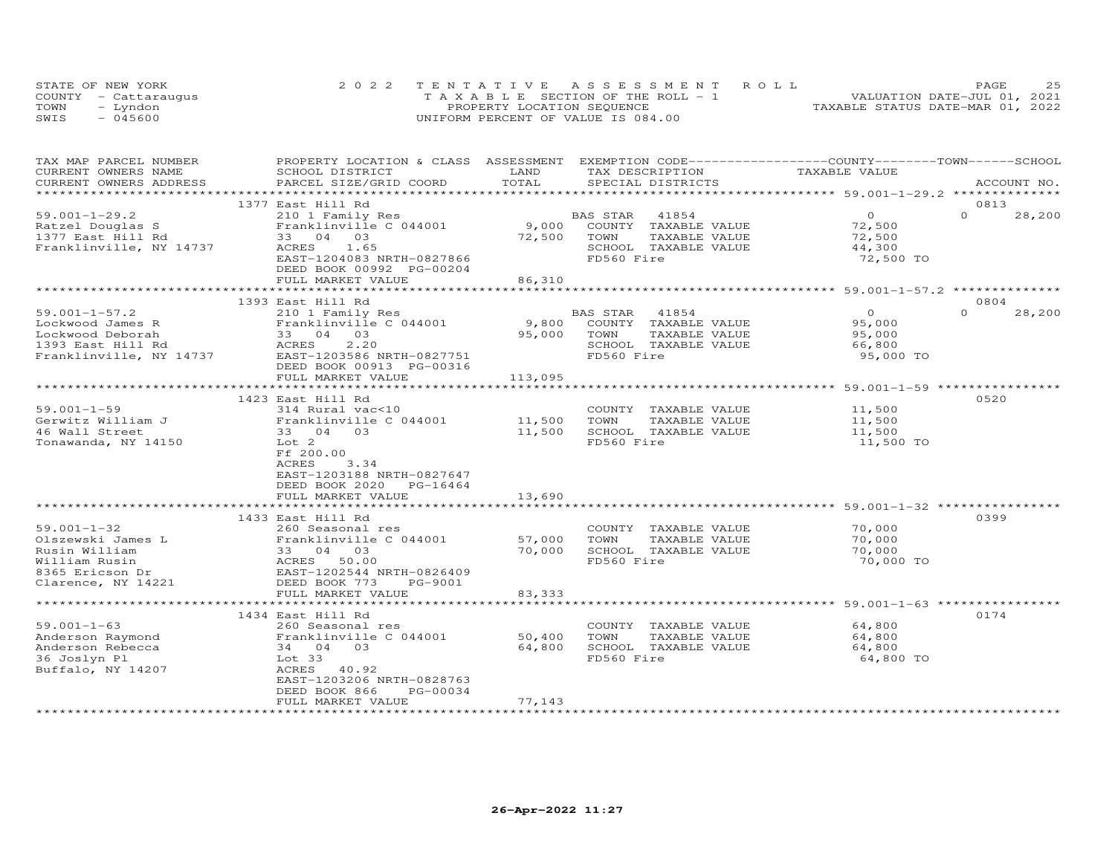| STATE OF NEW YORK    | 2022 TENTATIVE ASSESSMENT ROLL        |                            |  |                                  | PAGE | 25 |
|----------------------|---------------------------------------|----------------------------|--|----------------------------------|------|----|
| COUNTY - Cattaraugus | T A X A B L E SECTION OF THE ROLL - 1 |                            |  | VALUATION DATE-JUL 01, 2021      |      |    |
| TOWN<br>- Lyndon     |                                       | PROPERTY LOCATION SEQUENCE |  | TAXABLE STATUS DATE-MAR 01, 2022 |      |    |
| SWIS<br>$-045600$    | UNIFORM PERCENT OF VALUE IS 084.00    |                            |  |                                  |      |    |

| TAX MAP PARCEL NUMBER             | PROPERTY LOCATION & CLASS ASSESSMENT EXEMPTION CODE----------------COUNTY-------TOWN-----SCHOOL |                  |                                    |               |                    |
|-----------------------------------|-------------------------------------------------------------------------------------------------|------------------|------------------------------------|---------------|--------------------|
| CURRENT OWNERS NAME               | SCHOOL DISTRICT                                                                                 | LAND             | TAX DESCRIPTION                    | TAXABLE VALUE |                    |
| CURRENT OWNERS ADDRESS            | PARCEL SIZE/GRID COORD                                                                          | TOTAL            | SPECIAL DISTRICTS                  |               | ACCOUNT NO.        |
|                                   | 1377 East Hill Rd                                                                               |                  |                                    |               | 0813               |
| $59.001 - 1 - 29.2$               | 210 1 Family Res                                                                                |                  | BAS STAR 41854                     | $\Omega$      | $\Omega$<br>28,200 |
| Ratzel Douglas S                  | Franklinville C 044001                                                                          | 9,000            | COUNTY TAXABLE VALUE               | 72,500        |                    |
| 1377 East Hill Rd                 | 33 04 03                                                                                        | 72,500           | TOWN<br>TAXABLE VALUE              | 72,500        |                    |
| Franklinville, NY 14737           | ACRES 1.65                                                                                      |                  | SCHOOL TAXABLE VALUE               | 44,300        |                    |
|                                   | EAST-1204083 NRTH-0827866                                                                       |                  | FD560 Fire                         | 72,500 TO     |                    |
|                                   | DEED BOOK 00992 PG-00204                                                                        |                  |                                    |               |                    |
|                                   | FULL MARKET VALUE                                                                               | 86,310           |                                    |               |                    |
|                                   |                                                                                                 |                  |                                    |               |                    |
|                                   | 1393 East Hill Rd                                                                               |                  |                                    |               | 0804               |
| $59.001 - 1 - 57.2$               | 210 1 Family Res                                                                                |                  | BAS STAR 41854                     | $\Omega$      | $\Omega$<br>28,200 |
| Lockwood James R                  | Franklinville C 044001                                                                          | 9,800            | COUNTY TAXABLE VALUE               | 95,000        |                    |
|                                   |                                                                                                 |                  | 95,000 TOWN<br>TAXABLE VALUE       | 95,000        |                    |
|                                   |                                                                                                 |                  | SCHOOL TAXABLE VALUE               | 66,800        |                    |
|                                   |                                                                                                 |                  | FD560 Fire                         | 95,000 TO     |                    |
|                                   | DEED BOOK 00913 PG-00316                                                                        |                  |                                    |               |                    |
|                                   | FULL MARKET VALUE                                                                               | 113,095          |                                    |               |                    |
|                                   |                                                                                                 |                  |                                    |               |                    |
|                                   | 1423 East Hill Rd                                                                               |                  |                                    |               | 0520               |
| $59.001 - 1 - 59$                 | 314 Rural vac<10                                                                                |                  | COUNTY TAXABLE VALUE               | 11,500        |                    |
| Gerwitz William J                 |                                                                                                 |                  | TOWN<br>TAXABLE VALUE              | 11,500        |                    |
| 46 Wall Street                    | 5 ranklinville C 044001 11,500<br>33 04 03 11,500                                               |                  | SCHOOL TAXABLE VALUE               | 11,500        |                    |
| Tonawanda, NY 14150               | Lot 2                                                                                           |                  | FD560 Fire                         | 11,500 TO     |                    |
|                                   | Ff 200.00                                                                                       |                  |                                    |               |                    |
|                                   | ACRES<br>3.34                                                                                   |                  |                                    |               |                    |
|                                   | EAST-1203188 NRTH-0827647                                                                       |                  |                                    |               |                    |
|                                   | DEED BOOK 2020 PG-16464                                                                         |                  |                                    |               |                    |
|                                   | FULL MARKET VALUE                                                                               | 13,690           |                                    |               |                    |
|                                   |                                                                                                 |                  |                                    |               |                    |
|                                   | 1433 East Hill Rd                                                                               |                  |                                    |               | 0399               |
| $59.001 - 1 - 32$                 | 260 Seasonal res                                                                                |                  | COUNTY TAXABLE VALUE               | 70,000        |                    |
| Olszewski James L                 |                                                                                                 | 57,000           | TOWN<br>TAXABLE VALUE              | 70,000        |                    |
| Rusin William                     |                                                                                                 | 70,000           | SCHOOL TAXABLE VALUE               | 70,000        |                    |
| William Rusin                     | Franklinville C 044001<br>33 04 03<br>ACRES 50.00<br>EAST-1202544 NRTH-0826409                  |                  | FD560 Fire                         | 70,000 TO     |                    |
| 8365 Ericson Dr                   |                                                                                                 |                  |                                    |               |                    |
| Clarence, NY 14221                | DEED BOOK 773<br>PG-9001                                                                        |                  |                                    |               |                    |
|                                   | FULL MARKET VALUE                                                                               | 83,333           |                                    |               |                    |
|                                   |                                                                                                 |                  |                                    |               |                    |
|                                   | 1434 East Hill Rd                                                                               |                  |                                    |               | 0174               |
| $59.001 - 1 - 63$                 | 260 Seasonal res                                                                                |                  | COUNTY TAXABLE VALUE               | 64,800        |                    |
| Anderson Raymond                  | Franklinville C 044001<br>34 04 03                                                              | 50,400<br>64,800 | TOWN<br>TAXABLE VALUE              | 64,800        |                    |
| Anderson Rebecca                  |                                                                                                 |                  | SCHOOL TAXABLE VALUE<br>FD560 Fire | 64,800        |                    |
| 36 Joslyn Pl<br>Buffalo, NY 14207 | Lot 33<br>ACRES 40.92                                                                           |                  |                                    | 64,800 TO     |                    |
|                                   | EAST-1203206 NRTH-0828763                                                                       |                  |                                    |               |                    |
|                                   | DEED BOOK 866<br>PG-00034                                                                       |                  |                                    |               |                    |
|                                   | FULL MARKET VALUE                                                                               | 77,143           |                                    |               |                    |
|                                   |                                                                                                 |                  |                                    |               |                    |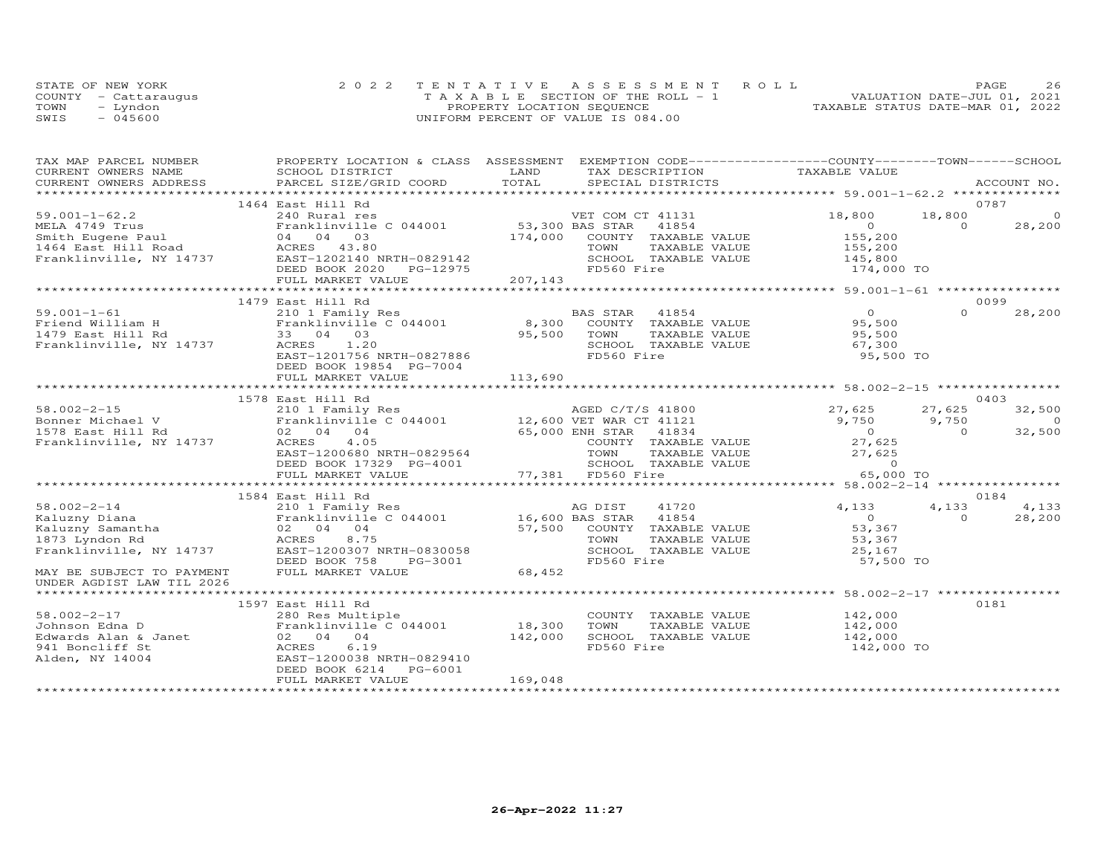|      | STATE OF NEW YORK    | 2022 TENTATIVE ASSESSMENT ROLL        | 26<br>PAGE                       |
|------|----------------------|---------------------------------------|----------------------------------|
|      | COUNTY - Cattaraugus | T A X A B L E SECTION OF THE ROLL - 1 | VALUATION DATE-JUL 01, 2021      |
| TOWN | – Lyndon             | PROPERTY LOCATION SEQUENCE            | TAXABLE STATUS DATE-MAR 01, 2022 |
| SWIS | $-045600$            | UNIFORM PERCENT OF VALUE IS 084.00    |                                  |

| TAX MAP PARCEL NUMBER                                                                                  |                                                                                           |                                                                                                                                                                                                                                        | PROPERTY LOCATION & CLASS ASSESSMENT EXEMPTION CODE----------------COUNTY-------TOWN------SCHOOL                |
|--------------------------------------------------------------------------------------------------------|-------------------------------------------------------------------------------------------|----------------------------------------------------------------------------------------------------------------------------------------------------------------------------------------------------------------------------------------|-----------------------------------------------------------------------------------------------------------------|
| CURRENT OWNERS NAME                                                                                    | SCHOOL DISTRICT                                                                           | LAND<br>TAX DESCRIPTION                                                                                                                                                                                                                | TAXABLE VALUE                                                                                                   |
|                                                                                                        |                                                                                           |                                                                                                                                                                                                                                        | .CURRENT OWNERS ADDRESS PARCEL SIZE/GRID COORD TOTAL SPECIAL DISTRICTS ACCOUNT NO ACCOUNT NO ACCOUNT NO ACCOUNT |
|                                                                                                        | 1464 East Hill Rd                                                                         |                                                                                                                                                                                                                                        | 0787                                                                                                            |
|                                                                                                        |                                                                                           |                                                                                                                                                                                                                                        |                                                                                                                 |
|                                                                                                        |                                                                                           |                                                                                                                                                                                                                                        |                                                                                                                 |
|                                                                                                        |                                                                                           |                                                                                                                                                                                                                                        |                                                                                                                 |
|                                                                                                        |                                                                                           |                                                                                                                                                                                                                                        |                                                                                                                 |
|                                                                                                        |                                                                                           |                                                                                                                                                                                                                                        |                                                                                                                 |
|                                                                                                        |                                                                                           |                                                                                                                                                                                                                                        |                                                                                                                 |
|                                                                                                        |                                                                                           |                                                                                                                                                                                                                                        |                                                                                                                 |
|                                                                                                        |                                                                                           |                                                                                                                                                                                                                                        |                                                                                                                 |
|                                                                                                        | 1479 East Hill Rd                                                                         |                                                                                                                                                                                                                                        | 0099                                                                                                            |
|                                                                                                        |                                                                                           |                                                                                                                                                                                                                                        | $\Omega$<br>28,200                                                                                              |
|                                                                                                        |                                                                                           |                                                                                                                                                                                                                                        |                                                                                                                 |
|                                                                                                        |                                                                                           |                                                                                                                                                                                                                                        |                                                                                                                 |
|                                                                                                        | 33 04 03<br>ACRES 1.20<br>EAST-1201756 NRTH-0827886<br>EAST-1201756 NRTH-0827886<br>FD560 |                                                                                                                                                                                                                                        |                                                                                                                 |
|                                                                                                        |                                                                                           | FD560 Fire                                                                                                                                                                                                                             | 95,500 TO                                                                                                       |
|                                                                                                        |                                                                                           |                                                                                                                                                                                                                                        |                                                                                                                 |
|                                                                                                        |                                                                                           |                                                                                                                                                                                                                                        |                                                                                                                 |
|                                                                                                        |                                                                                           |                                                                                                                                                                                                                                        |                                                                                                                 |
|                                                                                                        | 1578 East Hill Rd                                                                         |                                                                                                                                                                                                                                        | 0403                                                                                                            |
|                                                                                                        |                                                                                           | 58.002-2-15<br>Bonner Michael V 210 1 Family Res<br>Bonner Michael V Franklinville C 044001 12,600 VET WAR CT 41121 9,750<br>1578 East Hill Rd 02 04 04 65,000 ENH STAR 41834 0<br>Franklinville, NY 14737 ACRES 4.05 COUNTY TAXABLE V | 27,625<br>32,500                                                                                                |
|                                                                                                        |                                                                                           |                                                                                                                                                                                                                                        | $\Omega$                                                                                                        |
|                                                                                                        |                                                                                           |                                                                                                                                                                                                                                        | $9,750$ $9,750$<br>0<br>27,625<br>32,500                                                                        |
|                                                                                                        |                                                                                           |                                                                                                                                                                                                                                        |                                                                                                                 |
|                                                                                                        |                                                                                           |                                                                                                                                                                                                                                        |                                                                                                                 |
|                                                                                                        |                                                                                           |                                                                                                                                                                                                                                        |                                                                                                                 |
|                                                                                                        |                                                                                           | 02 04 04 05<br>ACRES 4.05 COUNTY TAXABLE VALUE 27,625<br>EAST-1200680 NRTH-0829564 TOWN TAXABLE VALUE 27,625<br>DEED BOOK 17329 PG-4001 77.381 FD560 Fire 65,000 TO                                                                    |                                                                                                                 |
|                                                                                                        |                                                                                           |                                                                                                                                                                                                                                        |                                                                                                                 |
|                                                                                                        | 1584 East Hill Rd                                                                         |                                                                                                                                                                                                                                        | 0184                                                                                                            |
| $58.002 - 2 - 14$                                                                                      | 210 1 Family Res                                                                          | AG DIST<br>41720                                                                                                                                                                                                                       | 4,133<br>4,133<br>4,133                                                                                         |
|                                                                                                        |                                                                                           |                                                                                                                                                                                                                                        | $\begin{array}{c} 0 \\ 53,367 \end{array}$<br>$\Omega$<br>28,200                                                |
|                                                                                                        |                                                                                           |                                                                                                                                                                                                                                        |                                                                                                                 |
|                                                                                                        |                                                                                           |                                                                                                                                                                                                                                        |                                                                                                                 |
|                                                                                                        |                                                                                           |                                                                                                                                                                                                                                        |                                                                                                                 |
|                                                                                                        |                                                                                           |                                                                                                                                                                                                                                        | TOWN TAXABLE VALUE<br>SCHOOL TAXABLE VALUE 53,367<br>FD560 Fire 57,500<br>57,500 TO                             |
|                                                                                                        |                                                                                           |                                                                                                                                                                                                                                        |                                                                                                                 |
| UNDER AGDIST LAW TIL 2026                                                                              |                                                                                           |                                                                                                                                                                                                                                        |                                                                                                                 |
|                                                                                                        |                                                                                           |                                                                                                                                                                                                                                        |                                                                                                                 |
|                                                                                                        | 1597 East Hill Rd                                                                         |                                                                                                                                                                                                                                        | 0181                                                                                                            |
| $58.002 - 2 - 17$                                                                                      |                                                                                           |                                                                                                                                                                                                                                        | COUNTY TAXABLE VALUE 142,000                                                                                    |
| Johnson Edna D                                                                                         | 280 Res Multiple<br>Franklinville C 044001 18,300<br>02 04 04                             | TOWN                                                                                                                                                                                                                                   | TAXABLE VALUE 142,000                                                                                           |
|                                                                                                        |                                                                                           | 142,000                                                                                                                                                                                                                                |                                                                                                                 |
|                                                                                                        | 6.19                                                                                      |                                                                                                                                                                                                                                        |                                                                                                                 |
| Edwards Alan & Janet<br>941 Boncliff St<br>Alden, NY 14004<br>RAGRES BALD EAST-1200038<br>EAST-1200038 | EAST-1200038 NRTH-0829410                                                                 |                                                                                                                                                                                                                                        |                                                                                                                 |
|                                                                                                        | DEED BOOK 6214<br>PG-6001                                                                 |                                                                                                                                                                                                                                        |                                                                                                                 |
|                                                                                                        | FULL MARKET VALUE                                                                         | 169,048                                                                                                                                                                                                                                |                                                                                                                 |
|                                                                                                        |                                                                                           |                                                                                                                                                                                                                                        |                                                                                                                 |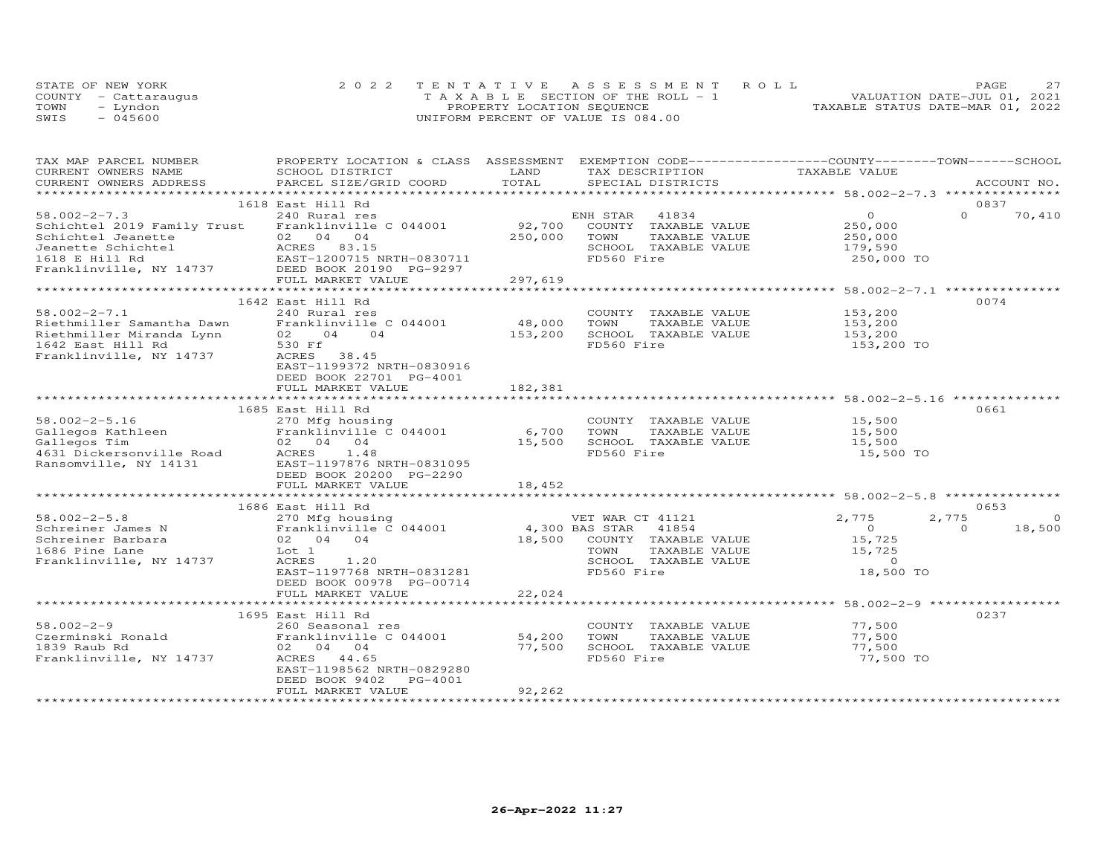| STATE OF NEW YORK    |           | 2022 TENTATIVE ASSESSMENT ROLL        |  |  |                                  | PAGE. | 27 |
|----------------------|-----------|---------------------------------------|--|--|----------------------------------|-------|----|
| COUNTY - Cattaraugus |           | T A X A B L E SECTION OF THE ROLL - 1 |  |  | VALUATION DATE-JUL 01, 2021      |       |    |
| TOWN                 | – Lyndon  | PROPERTY LOCATION SEQUENCE            |  |  | TAXABLE STATUS DATE-MAR 01, 2022 |       |    |
| SWIS                 | $-045600$ | UNIFORM PERCENT OF VALUE IS 084.00    |  |  |                                  |       |    |

| TAX MAP PARCEL NUMBER<br>CURRENT OWNERS NAME                                                                                              | PROPERTY LOCATION & CLASS ASSESSMENT<br>SCHOOL DISTRICT | LAND    | EXEMPTION CODE-----------------COUNTY-------TOWN------SCHOOL<br>TAX DESCRIPTION | TAXABLE VALUE                                                    |                   |
|-------------------------------------------------------------------------------------------------------------------------------------------|---------------------------------------------------------|---------|---------------------------------------------------------------------------------|------------------------------------------------------------------|-------------------|
| CURRENT OWNERS ADDRESS                                                                                                                    | PARCEL SIZE/GRID COORD                                  | TOTAL   | SPECIAL DISTRICTS                                                               |                                                                  | ACCOUNT NO.       |
| ***********************                                                                                                                   |                                                         |         |                                                                                 |                                                                  |                   |
|                                                                                                                                           |                                                         |         |                                                                                 |                                                                  | 0837              |
|                                                                                                                                           | 1618 East Hill Rd                                       |         |                                                                                 | $\overline{0}$                                                   | $\Omega$          |
| $58.002 - 2 - 7.3$                                                                                                                        | 240 Rural res                                           |         | ENH STAR<br>41834                                                               |                                                                  | 70,410            |
| Schichtel 2019 Family Trust                                                                                                               | Franklinville C 044001                                  | 92,700  | COUNTY TAXABLE VALUE                                                            | 250,000                                                          |                   |
|                                                                                                                                           |                                                         | 250,000 | TOWN<br>TAXABLE VALUE                                                           | 250,000                                                          |                   |
| Schichtel Jeanette 1987<br>Jeanette Schichtel 1618 E Hill Rd EAST-1200715 NRTH-0830711<br>Franklinville, NY 14737 DEED BOOK 20190 PG-9297 |                                                         |         | SCHOOL TAXABLE VALUE                                                            | 179,590                                                          |                   |
|                                                                                                                                           |                                                         |         | FD560 Fire                                                                      | 250,000 TO                                                       |                   |
|                                                                                                                                           |                                                         |         |                                                                                 |                                                                  |                   |
|                                                                                                                                           | FULL MARKET VALUE                                       | 297,619 |                                                                                 |                                                                  |                   |
|                                                                                                                                           |                                                         |         |                                                                                 |                                                                  |                   |
|                                                                                                                                           | 1642 East Hill Rd                                       |         |                                                                                 |                                                                  | 0074              |
| $58.002 - 2 - 7.1$                                                                                                                        | 240 Rural res                                           |         | COUNTY TAXABLE VALUE                                                            | 153,200                                                          |                   |
| Riethmiller Samantha Dawn                                                                                                                 | Franklinville C 044001                                  | 48,000  | TOWN<br>TAXABLE VALUE                                                           | 153,200                                                          |                   |
| Riethmiller Miranda Lynn                                                                                                                  | $\overline{04}$<br>02<br>04                             | 153,200 | SCHOOL TAXABLE VALUE                                                            | 153,200                                                          |                   |
| 1642 East Hill Rd                                                                                                                         | 530 Ff                                                  |         | FD560 Fire                                                                      | 153,200 TO                                                       |                   |
| Franklinville, NY 14737                                                                                                                   | ACRES<br>38.45                                          |         |                                                                                 |                                                                  |                   |
|                                                                                                                                           | EAST-1199372 NRTH-0830916                               |         |                                                                                 |                                                                  |                   |
|                                                                                                                                           | DEED BOOK 22701 PG-4001                                 |         |                                                                                 |                                                                  |                   |
|                                                                                                                                           | FULL MARKET VALUE                                       | 182,381 |                                                                                 |                                                                  |                   |
|                                                                                                                                           |                                                         |         |                                                                                 | ******************************** 58.002-2-5.16 *************     |                   |
|                                                                                                                                           | 1685 East Hill Rd                                       |         |                                                                                 |                                                                  | 0661              |
| $58.002 - 2 - 5.16$                                                                                                                       | 270 Mfg housing                                         |         | COUNTY TAXABLE VALUE                                                            | 15,500                                                           |                   |
|                                                                                                                                           | Franklinville C 044001                                  | 6,700   | TOWN<br>TAXABLE VALUE                                                           | 15,500                                                           |                   |
| Gallegos Kathleen<br>Gallegos Tim                                                                                                         | 02 04 04                                                | 15,500  | SCHOOL TAXABLE VALUE                                                            | 15,500                                                           |                   |
| 9631 Dickersonville Road<br>Ransomville, NY 14131                                                                                         | ACRES 1.48                                              |         | FD560 Fire                                                                      | 15,500 TO                                                        |                   |
|                                                                                                                                           | EAST-1197876 NRTH-0831095                               |         |                                                                                 |                                                                  |                   |
|                                                                                                                                           | DEED BOOK 20200 PG-2290                                 |         |                                                                                 |                                                                  |                   |
|                                                                                                                                           | FULL MARKET VALUE                                       | 18,452  |                                                                                 |                                                                  |                   |
|                                                                                                                                           |                                                         |         |                                                                                 |                                                                  |                   |
|                                                                                                                                           | 1686 East Hill Rd                                       |         |                                                                                 |                                                                  | 0653              |
| $58.002 - 2 - 5.8$                                                                                                                        |                                                         |         |                                                                                 | 2,775                                                            | 2,775<br>$\Omega$ |
|                                                                                                                                           | 270 Mfg housing                                         |         | VET WAR CT 41121                                                                | $\bigcirc$                                                       | $\Omega$          |
| Schreiner James N                                                                                                                         | Franklinvill<br>02 04 04<br>Franklinville C 044001      |         | 4,300 BAS STAR 41854                                                            |                                                                  | 18,500            |
| Schreiner Barbara                                                                                                                         |                                                         | 18,500  | COUNTY TAXABLE VALUE                                                            | 15,725                                                           |                   |
| 1686 Pine Lane                                                                                                                            | Lot 1                                                   |         | TOWN<br>TAXABLE VALUE                                                           | 15,725                                                           |                   |
| Franklinville, NY 14737                                                                                                                   | 1.20<br>ACRES                                           |         | SCHOOL TAXABLE VALUE                                                            | $\circ$                                                          |                   |
|                                                                                                                                           | EAST-1197768 NRTH-0831281                               |         | FD560 Fire                                                                      | 18,500 TO                                                        |                   |
|                                                                                                                                           | DEED BOOK 00978 PG-00714                                |         |                                                                                 |                                                                  |                   |
|                                                                                                                                           | FULL MARKET VALUE                                       | 22,024  |                                                                                 |                                                                  |                   |
|                                                                                                                                           |                                                         |         |                                                                                 | ********************************** 58.002-2-9 ****************** |                   |
|                                                                                                                                           | 1695 East Hill Rd                                       |         |                                                                                 |                                                                  | 0237              |
| $58.002 - 2 - 9$                                                                                                                          | 260 Seasonal res                                        |         | COUNTY TAXABLE VALUE                                                            | 77,500                                                           |                   |
| Czerminski Ronald                                                                                                                         | Franklinville C 044001                                  | 54,200  | TOWN<br>TAXABLE VALUE                                                           | 77,500                                                           |                   |
| 1839 Raub Rd                                                                                                                              | 02 04 04                                                | 77,500  | SCHOOL TAXABLE VALUE                                                            | 77,500                                                           |                   |
| Franklinville, NY 14737                                                                                                                   | ACRES 44.65                                             |         | FD560 Fire                                                                      | 77,500 TO                                                        |                   |
|                                                                                                                                           | EAST-1198562 NRTH-0829280                               |         |                                                                                 |                                                                  |                   |
|                                                                                                                                           | DEED BOOK 9402<br>PG-4001                               |         |                                                                                 |                                                                  |                   |
|                                                                                                                                           | FULL MARKET VALUE                                       | 92,262  |                                                                                 |                                                                  |                   |
|                                                                                                                                           |                                                         |         |                                                                                 |                                                                  |                   |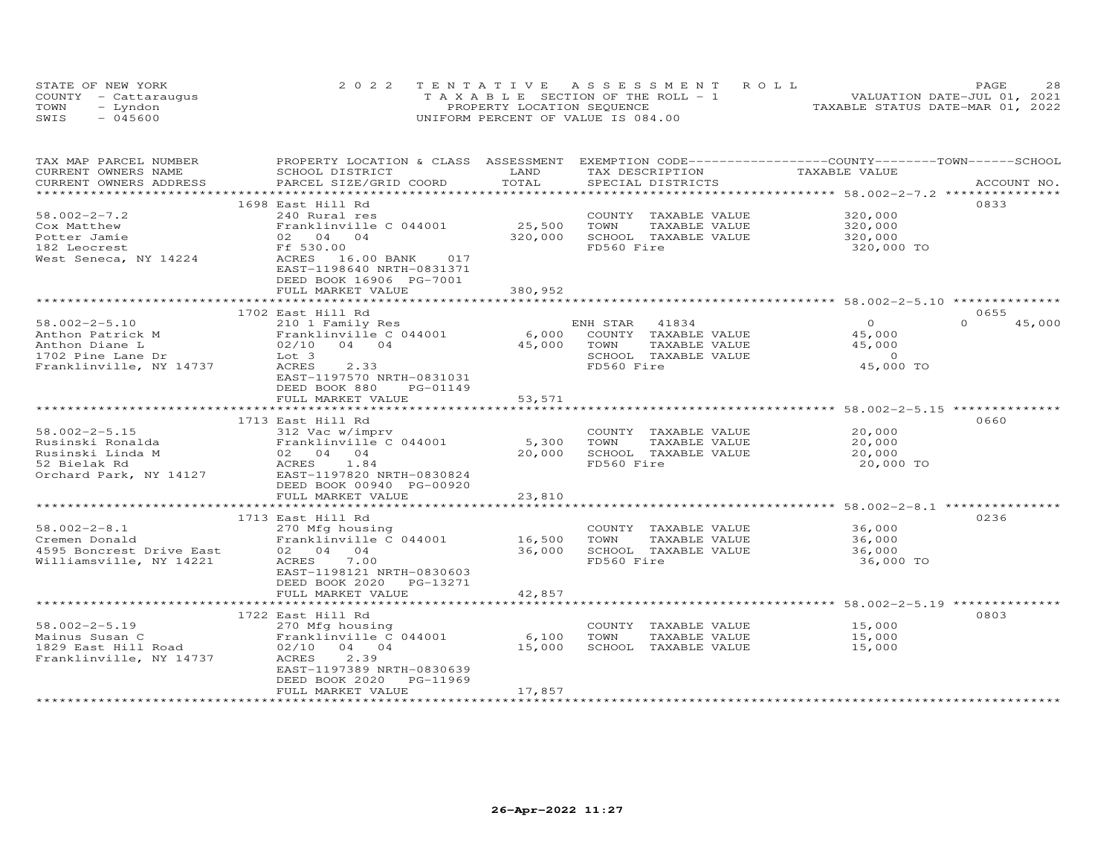|      | STATE OF NEW YORK    | 2022 TENTATIVE ASSESSMENT ROLL        | 28<br>PAGE                       |
|------|----------------------|---------------------------------------|----------------------------------|
|      | COUNTY - Cattaraugus | T A X A B L E SECTION OF THE ROLL - 1 | VALUATION DATE-JUL 01, 2021      |
| TOWN | - Lyndon             | PROPERTY LOCATION SEQUENCE            | TAXABLE STATUS DATE-MAR 01, 2022 |
| SWIS | $-045600$            | UNIFORM PERCENT OF VALUE IS 084.00    |                                  |

| TAX MAP PARCEL NUMBER<br>CURRENT OWNERS NAME        | PROPERTY LOCATION & CLASS ASSESSMENT<br>SCHOOL DISTRICT | LAND                | TAX DESCRIPTION            | EXEMPTION CODE-----------------COUNTY-------TOWN------SCHOOL<br>TAXABLE VALUE |                    |
|-----------------------------------------------------|---------------------------------------------------------|---------------------|----------------------------|-------------------------------------------------------------------------------|--------------------|
| CURRENT OWNERS ADDRESS                              | PARCEL SIZE/GRID COORD                                  | TOTAL               | SPECIAL DISTRICTS          |                                                                               | ACCOUNT NO.        |
|                                                     |                                                         |                     |                            |                                                                               |                    |
|                                                     | 1698 East Hill Rd                                       |                     |                            |                                                                               | 0833               |
| $58.002 - 2 - 7.2$                                  | 240 Rural res                                           |                     | COUNTY TAXABLE VALUE       | 320,000<br>320,000                                                            |                    |
| Cox Matthew                                         | Franklinville C 044001                                  | 25,500              | TOWN<br>TAXABLE VALUE      |                                                                               |                    |
| Potter Jamie                                        | 02 04 04                                                | 320,000             | SCHOOL TAXABLE VALUE       | 320,000                                                                       |                    |
| 182 Leocrest                                        | Ff 530.00                                               |                     | FD560 Fire                 | 320,000 TO                                                                    |                    |
| West Seneca, NY 14224                               | ACRES 16.00 BANK 017                                    |                     |                            |                                                                               |                    |
|                                                     | EAST-1198640 NRTH-0831371                               |                     |                            |                                                                               |                    |
|                                                     | DEED BOOK 16906 PG-7001                                 |                     |                            |                                                                               |                    |
|                                                     | FULL MARKET VALUE                                       | 380,952             |                            |                                                                               |                    |
|                                                     | 1702 East Hill Rd                                       |                     |                            |                                                                               | 0655               |
| $58.002 - 2 - 5.10$                                 | 210 1 Family Res                                        |                     | ENH STAR 41834             | $\overline{O}$                                                                | $\Omega$<br>45,000 |
| Anthon Patrick M                                    | Franklinville C 044001                                  |                     | 6,000 COUNTY TAXABLE VALUE | 45,000                                                                        |                    |
| Anthon Diane L                                      | 02/10 04 04                                             | 45,000              | TOWN<br>TAXABLE VALUE      | 45,000                                                                        |                    |
| 1702 Pine Lane Dr                                   | Lot 3                                                   |                     | SCHOOL TAXABLE VALUE       | $\overline{0}$                                                                |                    |
| Franklinville, NY 14737                             | ACRES<br>2.33                                           |                     | FD560 Fire                 | 45,000 TO                                                                     |                    |
|                                                     | EAST-1197570 NRTH-0831031                               |                     |                            |                                                                               |                    |
|                                                     | DEED BOOK 880<br>PG-01149                               |                     |                            |                                                                               |                    |
|                                                     | FULL MARKET VALUE                                       | 53,571              |                            |                                                                               |                    |
|                                                     | *************************                               | ******************* |                            | ********************************* 58.002-2-5.15 ***************               |                    |
|                                                     | 1713 East Hill Rd                                       |                     |                            |                                                                               | 0660               |
| $58.002 - 2 - 5.15$                                 | 312 Vac w/imprv                                         |                     | COUNTY TAXABLE VALUE       | 20,000                                                                        |                    |
| Rusinski Ronalda                                    | Franklinville C 044001                                  | 5,300               | TOWN<br>TAXABLE VALUE      | 20,000                                                                        |                    |
| Rusinski Linda M                                    |                                                         | 20,000              | SCHOOL TAXABLE VALUE       | 20,000                                                                        |                    |
| 52 Bielak Rd                                        | 02  04  04<br>ACRES  1.84<br>ACRES 1.84                 |                     | FD560 Fire                 | 20,000 TO                                                                     |                    |
| Orchard Park, NY 14127                              | EAST-1197820 NRTH-0830824                               |                     |                            |                                                                               |                    |
|                                                     | DEED BOOK 00940 PG-00920                                |                     |                            |                                                                               |                    |
|                                                     | FULL MARKET VALUE                                       | 23,810              |                            |                                                                               |                    |
|                                                     |                                                         |                     |                            |                                                                               |                    |
|                                                     | 1713 East Hill Rd                                       |                     |                            |                                                                               | 0236               |
| $58.002 - 2 - 8.1$                                  | 270 Mfg housing                                         |                     | COUNTY TAXABLE VALUE       | 36,000                                                                        |                    |
| Cremen Donald                                       | Franklinville C 044001                                  | 16,500              | TOWN<br>TAXABLE VALUE      | 36,000                                                                        |                    |
| 4595 Boncrest Drive East<br>Williamsville. NY 14221 | 02 04 04                                                | 36,000              | SCHOOL TAXABLE VALUE       | 36,000                                                                        |                    |
| Williamsville, NY 14221                             | ACRES<br>7.00                                           |                     | FD560 Fire                 | 36,000 TO                                                                     |                    |
|                                                     | EAST-1198121 NRTH-0830603                               |                     |                            |                                                                               |                    |
|                                                     | DEED BOOK 2020<br>PG-13271                              |                     |                            |                                                                               |                    |
|                                                     | FULL MARKET VALUE                                       | 42,857              |                            |                                                                               |                    |
|                                                     |                                                         |                     |                            | ********************* 58.002-2-5.19 ***********                               |                    |
|                                                     | 1722 East Hill Rd                                       |                     |                            |                                                                               | 0803               |
| $58.002 - 2 - 5.19$                                 | 270 Mfg housing                                         |                     | COUNTY TAXABLE VALUE       | 15,000                                                                        |                    |
|                                                     |                                                         | 6,100               | TOWN<br>TAXABLE VALUE      | 15,000                                                                        |                    |
|                                                     |                                                         | 15,000              | SCHOOL TAXABLE VALUE       | 15,000                                                                        |                    |
| Franklinville, NY 14737                             | 2.39<br>ACRES                                           |                     |                            |                                                                               |                    |
|                                                     | EAST-1197389 NRTH-0830639                               |                     |                            |                                                                               |                    |
|                                                     | PG-11969<br>DEED BOOK 2020                              |                     |                            |                                                                               |                    |
|                                                     | FULL MARKET VALUE                                       | 17,857              |                            |                                                                               |                    |
|                                                     |                                                         |                     |                            |                                                                               |                    |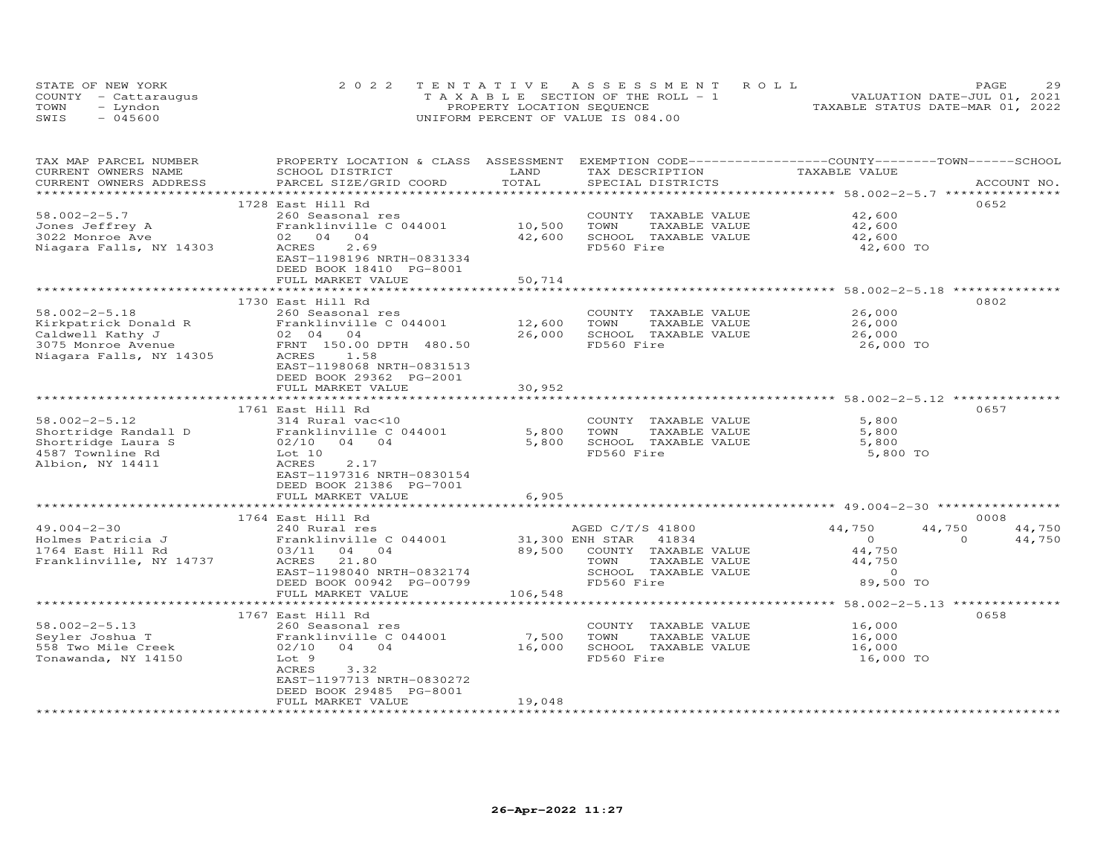|      | STATE OF NEW YORK    | 2022 TENTATIVE ASSESSMENT ROLL        | PAGE                             | 29 |
|------|----------------------|---------------------------------------|----------------------------------|----|
|      | COUNTY - Cattaraugus | T A X A B L E SECTION OF THE ROLL - 1 | VALUATION DATE-JUL 01, 2021      |    |
| TOWN | - Lyndon             | PROPERTY LOCATION SEQUENCE            | TAXABLE STATUS DATE-MAR 01, 2022 |    |
| SWIS | $-045600$            | UNIFORM PERCENT OF VALUE IS 084.00    |                                  |    |

| TAX MAP PARCEL NUMBER<br>CURRENT OWNERS NAME<br>CURRENT OWNERS ADDRESS | PROPERTY LOCATION & CLASS ASSESSMENT EXEMPTION CODE-----------------COUNTY-------TOWN------SCHOOL<br>SCHOOL DISTRICT<br>PARCEL SIZE/GRID COORD | LAND<br>TOTAL   | TAX DESCRIPTION<br>SPECIAL DISTRICTS | TAXABLE VALUE    | ACCOUNT NO.        |
|------------------------------------------------------------------------|------------------------------------------------------------------------------------------------------------------------------------------------|-----------------|--------------------------------------|------------------|--------------------|
| *************************                                              |                                                                                                                                                |                 |                                      |                  |                    |
|                                                                        | 1728 East Hill Rd                                                                                                                              |                 |                                      |                  | 0652               |
| $58.002 - 2 - 5.7$                                                     | 260 Seasonal res                                                                                                                               |                 | COUNTY TAXABLE VALUE                 | 42,600           |                    |
| Jones Jeffrey A                                                        | Franklinville C 044001                                                                                                                         | 10,500          | TAXABLE VALUE<br>TOWN                | 42,600           |                    |
| 3022 Monroe Ave                                                        | 02 04 04                                                                                                                                       | 42,600          | SCHOOL TAXABLE VALUE                 | 42,600           |                    |
| Niagara Falls, NY 14303                                                | <b>ACRES</b><br>2.69                                                                                                                           |                 | FD560 Fire                           | 42,600 TO        |                    |
|                                                                        | EAST-1198196 NRTH-0831334                                                                                                                      |                 |                                      |                  |                    |
|                                                                        | DEED BOOK 18410 PG-8001                                                                                                                        |                 |                                      |                  |                    |
|                                                                        | FULL MARKET VALUE                                                                                                                              | 50,714          |                                      |                  |                    |
|                                                                        |                                                                                                                                                |                 |                                      |                  |                    |
| $58.002 - 2 - 5.18$                                                    | 1730 East Hill Rd<br>260 Seasonal res                                                                                                          |                 | COUNTY TAXABLE VALUE                 | 26,000           | 0802               |
| Kirkpatrick Donald R                                                   | Franklinville C 044001                                                                                                                         | 12,600          | TOWN<br>TAXABLE VALUE                | 26,000           |                    |
| Caldwell Kathy J                                                       | 02 04 04                                                                                                                                       | 26,000          | SCHOOL TAXABLE VALUE                 | 26,000           |                    |
| 3075 Monroe Avenue                                                     | FRNT 150.00 DPTH 480.50                                                                                                                        |                 | FD560 Fire                           | 26,000 TO        |                    |
| Niagara Falls, NY 14305                                                | ACRES<br>1.58                                                                                                                                  |                 |                                      |                  |                    |
|                                                                        | EAST-1198068 NRTH-0831513                                                                                                                      |                 |                                      |                  |                    |
|                                                                        | DEED BOOK 29362 PG-2001                                                                                                                        |                 |                                      |                  |                    |
|                                                                        | FULL MARKET VALUE                                                                                                                              | 30,952          |                                      |                  |                    |
|                                                                        |                                                                                                                                                |                 |                                      |                  |                    |
|                                                                        | 1761 East Hill Rd                                                                                                                              |                 |                                      |                  | 0657               |
| $58.002 - 2 - 5.12$                                                    | 314 Rural vac<10                                                                                                                               |                 | COUNTY TAXABLE VALUE                 | 5,800            |                    |
| Shortridge Randall D                                                   | Franklinville C 044001                                                                                                                         | 5,800           | TAXABLE VALUE<br>TOWN                | 5,800            |                    |
| Shortridge Laura S                                                     | 02/10<br>04 04                                                                                                                                 | 5,800           | SCHOOL TAXABLE VALUE                 | 5,800            |                    |
| 4587 Townline Rd                                                       | Lot 10                                                                                                                                         |                 | FD560 Fire                           | 5,800 TO         |                    |
| Albion, NY 14411                                                       | ACRES<br>2.17<br>EAST-1197316 NRTH-0830154                                                                                                     |                 |                                      |                  |                    |
|                                                                        | DEED BOOK 21386 PG-7001                                                                                                                        |                 |                                      |                  |                    |
|                                                                        | FULL MARKET VALUE                                                                                                                              | 6,905           |                                      |                  |                    |
|                                                                        |                                                                                                                                                |                 |                                      |                  |                    |
|                                                                        | 1764 East Hill Rd                                                                                                                              |                 |                                      |                  | 0008               |
| $49.004 - 2 - 30$                                                      | 240 Rural res                                                                                                                                  |                 | AGED C/T/S 41800                     | 44,750<br>44,750 | 44,750             |
| Holmes Patricia J                                                      | Franklinville C 044001                                                                                                                         | 31,300 ENH STAR | 41834                                | $\circ$          | $\Omega$<br>44,750 |
| 1764 East Hill Rd                                                      | 03/11 04 04                                                                                                                                    | 89,500          | COUNTY TAXABLE VALUE                 | 44,750           |                    |
| Franklinville, NY 14737                                                | ACRES<br>21.80                                                                                                                                 |                 | TOWN<br>TAXABLE VALUE                | 44,750           |                    |
|                                                                        | EAST-1198040 NRTH-0832174                                                                                                                      |                 | SCHOOL TAXABLE VALUE                 | $\Omega$         |                    |
|                                                                        | DEED BOOK 00942 PG-00799                                                                                                                       |                 | FD560 Fire                           | 89,500 TO        |                    |
|                                                                        | FULL MARKET VALUE<br>***********************                                                                                                   | 106,548         |                                      |                  |                    |
|                                                                        |                                                                                                                                                |                 |                                      |                  |                    |
| $58.002 - 2 - 5.13$                                                    | 1767 East Hill Rd<br>260 Seasonal res                                                                                                          |                 | COUNTY TAXABLE VALUE                 | 16,000           | 0658               |
| Seyler Joshua T                                                        | Franklinville C 044001                                                                                                                         | 7,500           | TOWN<br>TAXABLE VALUE                | 16,000           |                    |
| 558 Two Mile Creek                                                     | $02/10$ 04 04                                                                                                                                  | 16,000          | SCHOOL TAXABLE VALUE                 | 16,000           |                    |
| Tonawanda, NY 14150                                                    | Lot 9                                                                                                                                          |                 | FD560 Fire                           | 16,000 TO        |                    |
|                                                                        | <b>ACRES</b><br>3.32                                                                                                                           |                 |                                      |                  |                    |
|                                                                        | EAST-1197713 NRTH-0830272                                                                                                                      |                 |                                      |                  |                    |
|                                                                        | DEED BOOK 29485 PG-8001                                                                                                                        |                 |                                      |                  |                    |
|                                                                        | FULL MARKET VALUE                                                                                                                              | 19,048          |                                      |                  |                    |
|                                                                        |                                                                                                                                                |                 |                                      |                  |                    |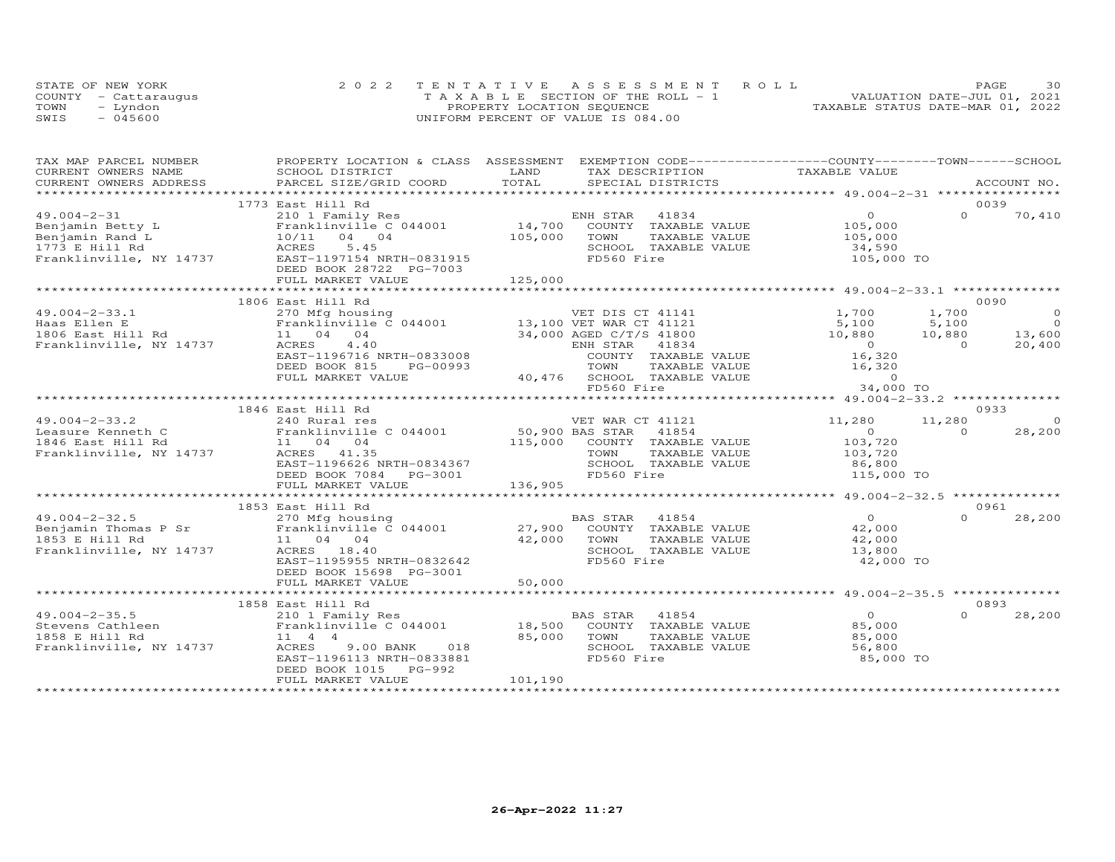|      | STATE OF NEW YORK    | 2022 TENTATIVE ASSESSMENT ROLL        |                                  | PAGE | 30 |
|------|----------------------|---------------------------------------|----------------------------------|------|----|
|      | COUNTY - Cattaraugus | T A X A B L E SECTION OF THE ROLL - 1 | VALUATION DATE-JUL 01, 2021      |      |    |
| TOWN | – Lyndon             | PROPERTY LOCATION SEQUENCE            | TAXABLE STATUS DATE-MAR 01, 2022 |      |    |
| SWIS | $-045600$            | UNIFORM PERCENT OF VALUE IS 084.00    |                                  |      |    |

| TAX MAP PARCEL NUMBER               |                                                                                             | PROPERTY LOCATION & CLASS ASSESSMENT EXEMPTION CODE----------------COUNTY-------TOWN------SCHOOL |                                                                                               |
|-------------------------------------|---------------------------------------------------------------------------------------------|--------------------------------------------------------------------------------------------------|-----------------------------------------------------------------------------------------------|
| CURRENT OWNERS NAME                 | SCHOOL DISTRICT                                                                             | LAND<br>TAX DESCRIPTION                                                                          | TAXABLE VALUE                                                                                 |
| CURRENT OWNERS ADDRESS              | PARCEL SIZE/GRID COORD                                                                      | TOTAL<br>SPECIAL DISTRICTS                                                                       | ACCOUNT NO.                                                                                   |
| ****************                    |                                                                                             |                                                                                                  |                                                                                               |
|                                     | 1773 East Hill Rd                                                                           |                                                                                                  | 0039                                                                                          |
| $49.004 - 2 - 31$                   | 210 1 Family Res                                                                            | ENH STAR<br>41834<br>$14,700$ <sup>E</sup>                                                       | $\overline{0}$<br>$\Omega$<br>70,410                                                          |
| Benjamin Betty L                    | Franklinville C 044001                                                                      | COUNTY TAXABLE VALUE                                                                             | 105,000                                                                                       |
| Benjamin Rand L                     | 10/11 04 04                                                                                 | 105,000<br>TOWN<br>TAXABLE VALUE                                                                 | 105,000                                                                                       |
| 1773 E Hill Rd                      | ACRES<br>5.45                                                                               | SCHOOL TAXABLE VALUE                                                                             | 34,590                                                                                        |
| Franklinville, NY 14737             | EAST-1197154 NRTH-0831915                                                                   | FD560 Fire                                                                                       | 105,000 TO                                                                                    |
|                                     | DEED BOOK 28722 PG-7003                                                                     |                                                                                                  |                                                                                               |
|                                     | FULL MARKET VALUE                                                                           | 125,000                                                                                          |                                                                                               |
|                                     |                                                                                             |                                                                                                  |                                                                                               |
|                                     | 1806 East Hill Rd                                                                           | VET DIS CT 41141<br>---- CT 41121                                                                | 0090                                                                                          |
| $49.004 - 2 - 33.1$                 | 270 Mfg housing                                                                             |                                                                                                  | $\circ$<br>1,700<br>1,700                                                                     |
| Haas Ellen E                        | Franklinville C 044001                                                                      | 13,100 VET WAR CT 41121                                                                          | $\overline{O}$<br>5,100<br>5,100                                                              |
| 1806 East Hill Rd                   | $\begin{bmatrix} \texttt{Frank1} & \texttt{04} \\ 11 & 04 & 04 \\ -3 & 4 & 4 \end{bmatrix}$ | 34,000 AGED C/T/S 41800                                                                          | 10,880<br>13,600<br>10,880                                                                    |
| Franklinville, NY 14737             | ACRES<br>4.40                                                                               | ENH STAR<br>41834                                                                                | $\overline{0}$<br>20,400                                                                      |
|                                     | EAST-1196716 NRTH-0833008                                                                   | COUNTY TAXABLE VALUE                                                                             | $\begin{array}{c}0\\16,320\end{array}$                                                        |
|                                     | DEED BOOK 815<br>PG-00993                                                                   | TAXABLE VALUE<br>TOWN                                                                            |                                                                                               |
|                                     | FULL MARKET VALUE                                                                           | 40,476 SCHOOL TAXABLE VALUE                                                                      | 16,320                                                                                        |
|                                     |                                                                                             | FD560 Fire                                                                                       | 34,000 TO                                                                                     |
|                                     |                                                                                             |                                                                                                  |                                                                                               |
|                                     | 1846 East Hill Rd                                                                           |                                                                                                  | 0933                                                                                          |
| $49.004 - 2 - 33.2$                 | 240 Rural res                                                                               | VET WAR CT 41121                                                                                 | 11,280<br>11,280<br>$\circ$                                                                   |
| Leasure Kenneth C                   | Franklinville C 044001 50,900 BAS STAR                                                      | 41854                                                                                            | 28,200<br>$\overline{O}$ and $\overline{O}$ and $\overline{O}$ and $\overline{O}$<br>$\Omega$ |
| 1846 East Hill Rd                   | 11 04 04                                                                                    | 115,000 COUNTY TAXABLE VALUE                                                                     | 103,720                                                                                       |
| Franklinville, NY 14737 ACRES 41.35 |                                                                                             | TAXABLE VALUE<br>TOWN                                                                            | 103,720                                                                                       |
|                                     | EAST-1196626 NRTH-0834367                                                                   | SCHOOL TAXABLE VALUE                                                                             | 86,800                                                                                        |
|                                     | DEED BOOK 7084 PG-3001                                                                      | FD560 Fire                                                                                       | 115,000 TO                                                                                    |
|                                     | FULL MARKET VALUE                                                                           | 136,905                                                                                          |                                                                                               |
|                                     |                                                                                             |                                                                                                  | ********************* 49.004-2-32.5 ***************                                           |
|                                     | 1853 East Hill Rd                                                                           |                                                                                                  | 0961                                                                                          |
|                                     |                                                                                             | BAS STAR<br>41854                                                                                | $\overline{0}$<br>$\Omega$<br>28,200                                                          |
|                                     |                                                                                             | COUNTY TAXABLE VALUE                                                                             | 42,000                                                                                        |
|                                     |                                                                                             | TOWN<br>TAXABLE VALUE                                                                            | 42,000                                                                                        |
| Franklinville, NY 14737             | ACRES 18.40                                                                                 | SCHOOL TAXABLE VALUE                                                                             | 13,800                                                                                        |
|                                     | EAST-1195955 NRTH-0832642                                                                   | FD560 Fire                                                                                       | 42,000 TO                                                                                     |
|                                     | DEED BOOK 15698 PG-3001                                                                     |                                                                                                  |                                                                                               |
|                                     | FULL MARKET VALUE                                                                           | 50,000                                                                                           |                                                                                               |
|                                     |                                                                                             |                                                                                                  |                                                                                               |
|                                     | 1858 East Hill Rd                                                                           |                                                                                                  | 0893                                                                                          |
| $49.004 - 2 - 35.5$                 | 210 1 Family Res                                                                            | BAS STAR<br>41854                                                                                | $\overline{0}$<br>$\cap$<br>28,200                                                            |
| Stevens Cathleen                    |                                                                                             | 18,500<br>COUNTY TAXABLE VALUE                                                                   |                                                                                               |
| 1858 E Hill Rd                      | Franklinville C 044001                                                                      | 85,000                                                                                           | 85,000                                                                                        |
| Franklinville, NY 14737             | 11 4 4                                                                                      | TOWN<br>TAXABLE VALUE<br>SCHOOL TAXABLE VALUE                                                    | 85,000                                                                                        |
|                                     | ACRES<br>9.00 BANK<br>018                                                                   | FD560 Fire                                                                                       | 56,800                                                                                        |
|                                     | EAST-1196113 NRTH-0833881                                                                   |                                                                                                  | 85,000 TO                                                                                     |
|                                     | DEED BOOK 1015<br>PG-992                                                                    |                                                                                                  |                                                                                               |
|                                     | FULL MARKET VALUE                                                                           | 101,190                                                                                          |                                                                                               |
|                                     |                                                                                             |                                                                                                  |                                                                                               |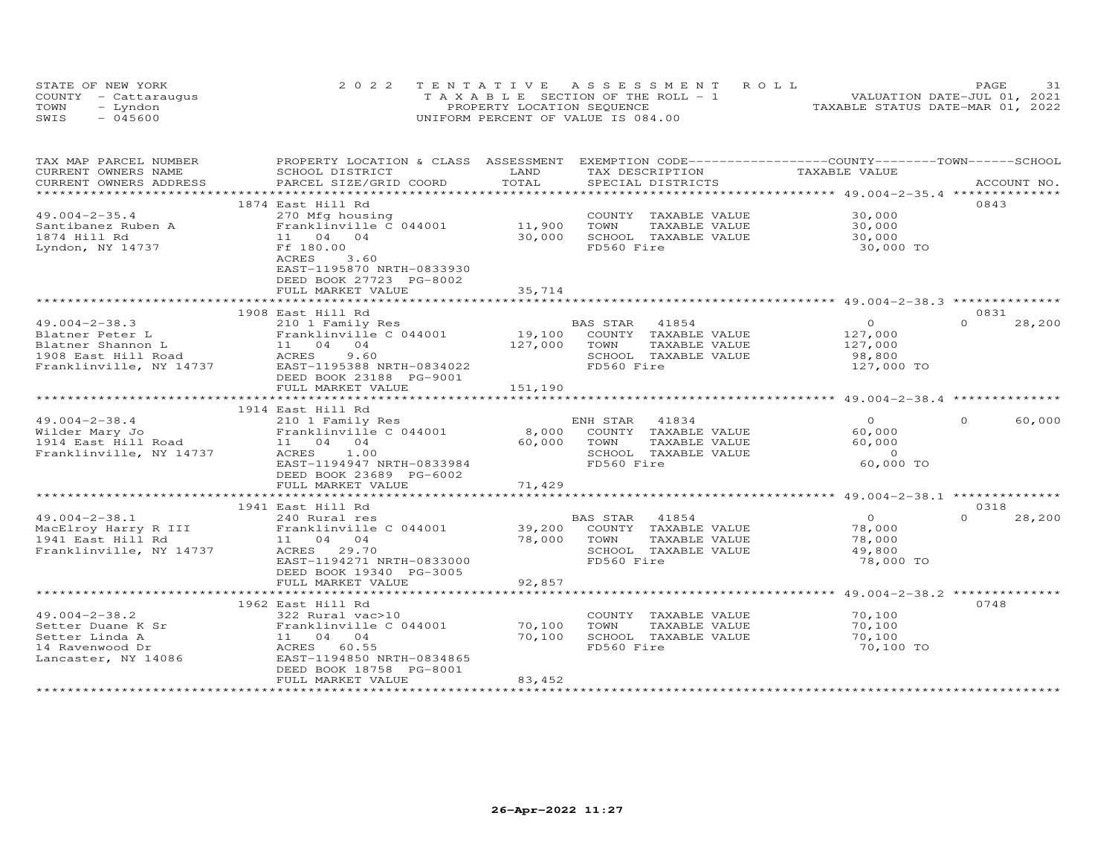|      | STATE OF NEW YORK    | 2022 TENTATIVE ASSESSMENT ROLL        | 31<br>PAGE                       |
|------|----------------------|---------------------------------------|----------------------------------|
|      | COUNTY - Cattaraugus | T A X A B L E SECTION OF THE ROLL - 1 | VALUATION DATE-JUL 01, 2021      |
| TOWN | - Lyndon             | PROPERTY LOCATION SEQUENCE            | TAXABLE STATUS DATE-MAR 01, 2022 |
| SWIS | $-045600$            | UNIFORM PERCENT OF VALUE IS 084.00    |                                  |

| CURRENT OWNERS NAME<br>TAXABLE VALUE<br>SCHOOL DISTRICT<br>LAND<br>TAX DESCRIPTION<br>TOTAL<br>CURRENT OWNERS ADDRESS<br>PARCEL SIZE/GRID COORD<br>SPECIAL DISTRICTS<br>ACCOUNT NO.<br>***********************<br>0843<br>1874 East Hill Rd<br>$49.004 - 2 - 35.4$<br>30,000<br>270 Mfg housing<br>COUNTY TAXABLE VALUE<br>11,900<br>Franklinville C 044001<br>TOWN<br>Santibanez Ruben A<br>TAXABLE VALUE<br>30,000<br>30,000<br>1874 Hill Rd<br>11 04 04<br>SCHOOL TAXABLE VALUE<br>30,000<br>FD560 Fire<br>Lyndon, NY 14737<br>Ff 180.00<br>30,000 TO<br>3.60<br>ACRES<br>EAST-1195870 NRTH-0833930<br>DEED BOOK 27723 PG-8002<br>FULL MARKET VALUE<br>35,714<br>1908 East Hill Rd<br>0831<br>$\Omega$<br>$49.004 - 2 - 38.3$<br>210 1 Family Res<br>BAS STAR<br>41854<br>$\Omega$<br>28,200<br>19,100<br>Franklinville C 044001<br>COUNTY TAXABLE VALUE<br>127,000<br>Blatner Peter L<br>11 04 04<br>127,000<br>Blatner Shannon L<br>TOWN<br>TAXABLE VALUE<br>127,000<br><b>ACRES</b><br>9.60<br>SCHOOL TAXABLE VALUE<br>1908 East Hill Road<br>98,800<br>FD560 Fire<br>Franklinville, NY 14737<br>EAST-1195388 NRTH-0834022<br>127,000 TO<br>DEED BOOK 23188 PG-9001<br>151,190<br>FULL MARKET VALUE<br>1914 East Hill Rd<br>ENH STAR 41834<br>$\Omega$<br>$\Omega$<br>60,000<br>$49.004 - 2 - 38.4$<br>210 1 Family Res<br>8,000<br>60,000<br>Franklinville C 044001<br>COUNTY TAXABLE VALUE<br>Wilder Mary Jo<br>1914 East Hill Road<br>60,000<br>60,000<br>11 04 04<br>TOWN<br>TAXABLE VALUE<br>1.00<br>SCHOOL TAXABLE VALUE<br>$\overline{a}$<br>Franklinville, NY 14737<br>ACRES<br>FD560 Fire<br>60,000 TO<br>EAST-1194947 NRTH-0833984<br>DEED BOOK 23689 PG-6002<br>71,429<br>FULL MARKET VALUE<br>0.318<br>1941 East Hill Rd<br>$49.004 - 2 - 38.1$<br>$\overline{0}$<br>$\Omega$<br>28,200<br>240 Rural res<br>BAS STAR<br>41854<br>Franklinville C 044001<br>39,200<br>MacElroy Harry R III<br>COUNTY TAXABLE VALUE<br>78,000<br>78,000<br>TOWN<br>TAXABLE VALUE<br>78,000<br>1941 East Hill Rd<br>11 04 04<br>Franklinville, NY 14737<br>ACRES 29.70<br>SCHOOL TAXABLE VALUE<br>49,800<br>EAST-1194271 NRTH-0833000<br>FD560 Fire<br>78,000 TO<br>DEED BOOK 19340 PG-3005<br>92,857<br>FULL MARKET VALUE<br>********************************<br>0748<br>1962 East Hill Rd<br>70,100<br>$49.004 - 2 - 38.2$<br>322 Rural vac>10<br>COUNTY TAXABLE VALUE<br>70,100<br>TOWN<br>70,100<br>Setter Duane K Sr<br>Franklinville C 044001<br>TAXABLE VALUE<br>70,100<br>Setter Linda A<br>11 04 04<br>SCHOOL TAXABLE VALUE<br>70,100<br>FD560 Fire<br>70,100 TO<br>14 Ravenwood Dr<br>ACRES<br>60.55<br>EAST-1194850 NRTH-0834865<br>Lancaster, NY 14086<br>DEED BOOK 18758 PG-8001<br>83,452<br>FULL MARKET VALUE | TAX MAP PARCEL NUMBER | PROPERTY LOCATION & CLASS ASSESSMENT |  | EXEMPTION CODE-----------------COUNTY-------TOWN------SCHOOL |  |
|-----------------------------------------------------------------------------------------------------------------------------------------------------------------------------------------------------------------------------------------------------------------------------------------------------------------------------------------------------------------------------------------------------------------------------------------------------------------------------------------------------------------------------------------------------------------------------------------------------------------------------------------------------------------------------------------------------------------------------------------------------------------------------------------------------------------------------------------------------------------------------------------------------------------------------------------------------------------------------------------------------------------------------------------------------------------------------------------------------------------------------------------------------------------------------------------------------------------------------------------------------------------------------------------------------------------------------------------------------------------------------------------------------------------------------------------------------------------------------------------------------------------------------------------------------------------------------------------------------------------------------------------------------------------------------------------------------------------------------------------------------------------------------------------------------------------------------------------------------------------------------------------------------------------------------------------------------------------------------------------------------------------------------------------------------------------------------------------------------------------------------------------------------------------------------------------------------------------------------------------------------------------------------------------------------------------------------------------------------------------------------------------------------------------------------------------------------------------------------------------------------------------------------------------------------------------------------------------------------------------------------------------------------------------------------------------------------------------------------|-----------------------|--------------------------------------|--|--------------------------------------------------------------|--|
|                                                                                                                                                                                                                                                                                                                                                                                                                                                                                                                                                                                                                                                                                                                                                                                                                                                                                                                                                                                                                                                                                                                                                                                                                                                                                                                                                                                                                                                                                                                                                                                                                                                                                                                                                                                                                                                                                                                                                                                                                                                                                                                                                                                                                                                                                                                                                                                                                                                                                                                                                                                                                                                                                                                             |                       |                                      |  |                                                              |  |
|                                                                                                                                                                                                                                                                                                                                                                                                                                                                                                                                                                                                                                                                                                                                                                                                                                                                                                                                                                                                                                                                                                                                                                                                                                                                                                                                                                                                                                                                                                                                                                                                                                                                                                                                                                                                                                                                                                                                                                                                                                                                                                                                                                                                                                                                                                                                                                                                                                                                                                                                                                                                                                                                                                                             |                       |                                      |  |                                                              |  |
|                                                                                                                                                                                                                                                                                                                                                                                                                                                                                                                                                                                                                                                                                                                                                                                                                                                                                                                                                                                                                                                                                                                                                                                                                                                                                                                                                                                                                                                                                                                                                                                                                                                                                                                                                                                                                                                                                                                                                                                                                                                                                                                                                                                                                                                                                                                                                                                                                                                                                                                                                                                                                                                                                                                             |                       |                                      |  |                                                              |  |
|                                                                                                                                                                                                                                                                                                                                                                                                                                                                                                                                                                                                                                                                                                                                                                                                                                                                                                                                                                                                                                                                                                                                                                                                                                                                                                                                                                                                                                                                                                                                                                                                                                                                                                                                                                                                                                                                                                                                                                                                                                                                                                                                                                                                                                                                                                                                                                                                                                                                                                                                                                                                                                                                                                                             |                       |                                      |  |                                                              |  |
|                                                                                                                                                                                                                                                                                                                                                                                                                                                                                                                                                                                                                                                                                                                                                                                                                                                                                                                                                                                                                                                                                                                                                                                                                                                                                                                                                                                                                                                                                                                                                                                                                                                                                                                                                                                                                                                                                                                                                                                                                                                                                                                                                                                                                                                                                                                                                                                                                                                                                                                                                                                                                                                                                                                             |                       |                                      |  |                                                              |  |
|                                                                                                                                                                                                                                                                                                                                                                                                                                                                                                                                                                                                                                                                                                                                                                                                                                                                                                                                                                                                                                                                                                                                                                                                                                                                                                                                                                                                                                                                                                                                                                                                                                                                                                                                                                                                                                                                                                                                                                                                                                                                                                                                                                                                                                                                                                                                                                                                                                                                                                                                                                                                                                                                                                                             |                       |                                      |  |                                                              |  |
|                                                                                                                                                                                                                                                                                                                                                                                                                                                                                                                                                                                                                                                                                                                                                                                                                                                                                                                                                                                                                                                                                                                                                                                                                                                                                                                                                                                                                                                                                                                                                                                                                                                                                                                                                                                                                                                                                                                                                                                                                                                                                                                                                                                                                                                                                                                                                                                                                                                                                                                                                                                                                                                                                                                             |                       |                                      |  |                                                              |  |
|                                                                                                                                                                                                                                                                                                                                                                                                                                                                                                                                                                                                                                                                                                                                                                                                                                                                                                                                                                                                                                                                                                                                                                                                                                                                                                                                                                                                                                                                                                                                                                                                                                                                                                                                                                                                                                                                                                                                                                                                                                                                                                                                                                                                                                                                                                                                                                                                                                                                                                                                                                                                                                                                                                                             |                       |                                      |  |                                                              |  |
|                                                                                                                                                                                                                                                                                                                                                                                                                                                                                                                                                                                                                                                                                                                                                                                                                                                                                                                                                                                                                                                                                                                                                                                                                                                                                                                                                                                                                                                                                                                                                                                                                                                                                                                                                                                                                                                                                                                                                                                                                                                                                                                                                                                                                                                                                                                                                                                                                                                                                                                                                                                                                                                                                                                             |                       |                                      |  |                                                              |  |
|                                                                                                                                                                                                                                                                                                                                                                                                                                                                                                                                                                                                                                                                                                                                                                                                                                                                                                                                                                                                                                                                                                                                                                                                                                                                                                                                                                                                                                                                                                                                                                                                                                                                                                                                                                                                                                                                                                                                                                                                                                                                                                                                                                                                                                                                                                                                                                                                                                                                                                                                                                                                                                                                                                                             |                       |                                      |  |                                                              |  |
|                                                                                                                                                                                                                                                                                                                                                                                                                                                                                                                                                                                                                                                                                                                                                                                                                                                                                                                                                                                                                                                                                                                                                                                                                                                                                                                                                                                                                                                                                                                                                                                                                                                                                                                                                                                                                                                                                                                                                                                                                                                                                                                                                                                                                                                                                                                                                                                                                                                                                                                                                                                                                                                                                                                             |                       |                                      |  |                                                              |  |
|                                                                                                                                                                                                                                                                                                                                                                                                                                                                                                                                                                                                                                                                                                                                                                                                                                                                                                                                                                                                                                                                                                                                                                                                                                                                                                                                                                                                                                                                                                                                                                                                                                                                                                                                                                                                                                                                                                                                                                                                                                                                                                                                                                                                                                                                                                                                                                                                                                                                                                                                                                                                                                                                                                                             |                       |                                      |  |                                                              |  |
|                                                                                                                                                                                                                                                                                                                                                                                                                                                                                                                                                                                                                                                                                                                                                                                                                                                                                                                                                                                                                                                                                                                                                                                                                                                                                                                                                                                                                                                                                                                                                                                                                                                                                                                                                                                                                                                                                                                                                                                                                                                                                                                                                                                                                                                                                                                                                                                                                                                                                                                                                                                                                                                                                                                             |                       |                                      |  |                                                              |  |
|                                                                                                                                                                                                                                                                                                                                                                                                                                                                                                                                                                                                                                                                                                                                                                                                                                                                                                                                                                                                                                                                                                                                                                                                                                                                                                                                                                                                                                                                                                                                                                                                                                                                                                                                                                                                                                                                                                                                                                                                                                                                                                                                                                                                                                                                                                                                                                                                                                                                                                                                                                                                                                                                                                                             |                       |                                      |  |                                                              |  |
|                                                                                                                                                                                                                                                                                                                                                                                                                                                                                                                                                                                                                                                                                                                                                                                                                                                                                                                                                                                                                                                                                                                                                                                                                                                                                                                                                                                                                                                                                                                                                                                                                                                                                                                                                                                                                                                                                                                                                                                                                                                                                                                                                                                                                                                                                                                                                                                                                                                                                                                                                                                                                                                                                                                             |                       |                                      |  |                                                              |  |
|                                                                                                                                                                                                                                                                                                                                                                                                                                                                                                                                                                                                                                                                                                                                                                                                                                                                                                                                                                                                                                                                                                                                                                                                                                                                                                                                                                                                                                                                                                                                                                                                                                                                                                                                                                                                                                                                                                                                                                                                                                                                                                                                                                                                                                                                                                                                                                                                                                                                                                                                                                                                                                                                                                                             |                       |                                      |  |                                                              |  |
|                                                                                                                                                                                                                                                                                                                                                                                                                                                                                                                                                                                                                                                                                                                                                                                                                                                                                                                                                                                                                                                                                                                                                                                                                                                                                                                                                                                                                                                                                                                                                                                                                                                                                                                                                                                                                                                                                                                                                                                                                                                                                                                                                                                                                                                                                                                                                                                                                                                                                                                                                                                                                                                                                                                             |                       |                                      |  |                                                              |  |
|                                                                                                                                                                                                                                                                                                                                                                                                                                                                                                                                                                                                                                                                                                                                                                                                                                                                                                                                                                                                                                                                                                                                                                                                                                                                                                                                                                                                                                                                                                                                                                                                                                                                                                                                                                                                                                                                                                                                                                                                                                                                                                                                                                                                                                                                                                                                                                                                                                                                                                                                                                                                                                                                                                                             |                       |                                      |  |                                                              |  |
|                                                                                                                                                                                                                                                                                                                                                                                                                                                                                                                                                                                                                                                                                                                                                                                                                                                                                                                                                                                                                                                                                                                                                                                                                                                                                                                                                                                                                                                                                                                                                                                                                                                                                                                                                                                                                                                                                                                                                                                                                                                                                                                                                                                                                                                                                                                                                                                                                                                                                                                                                                                                                                                                                                                             |                       |                                      |  |                                                              |  |
|                                                                                                                                                                                                                                                                                                                                                                                                                                                                                                                                                                                                                                                                                                                                                                                                                                                                                                                                                                                                                                                                                                                                                                                                                                                                                                                                                                                                                                                                                                                                                                                                                                                                                                                                                                                                                                                                                                                                                                                                                                                                                                                                                                                                                                                                                                                                                                                                                                                                                                                                                                                                                                                                                                                             |                       |                                      |  |                                                              |  |
|                                                                                                                                                                                                                                                                                                                                                                                                                                                                                                                                                                                                                                                                                                                                                                                                                                                                                                                                                                                                                                                                                                                                                                                                                                                                                                                                                                                                                                                                                                                                                                                                                                                                                                                                                                                                                                                                                                                                                                                                                                                                                                                                                                                                                                                                                                                                                                                                                                                                                                                                                                                                                                                                                                                             |                       |                                      |  |                                                              |  |
|                                                                                                                                                                                                                                                                                                                                                                                                                                                                                                                                                                                                                                                                                                                                                                                                                                                                                                                                                                                                                                                                                                                                                                                                                                                                                                                                                                                                                                                                                                                                                                                                                                                                                                                                                                                                                                                                                                                                                                                                                                                                                                                                                                                                                                                                                                                                                                                                                                                                                                                                                                                                                                                                                                                             |                       |                                      |  |                                                              |  |
|                                                                                                                                                                                                                                                                                                                                                                                                                                                                                                                                                                                                                                                                                                                                                                                                                                                                                                                                                                                                                                                                                                                                                                                                                                                                                                                                                                                                                                                                                                                                                                                                                                                                                                                                                                                                                                                                                                                                                                                                                                                                                                                                                                                                                                                                                                                                                                                                                                                                                                                                                                                                                                                                                                                             |                       |                                      |  |                                                              |  |
|                                                                                                                                                                                                                                                                                                                                                                                                                                                                                                                                                                                                                                                                                                                                                                                                                                                                                                                                                                                                                                                                                                                                                                                                                                                                                                                                                                                                                                                                                                                                                                                                                                                                                                                                                                                                                                                                                                                                                                                                                                                                                                                                                                                                                                                                                                                                                                                                                                                                                                                                                                                                                                                                                                                             |                       |                                      |  |                                                              |  |
|                                                                                                                                                                                                                                                                                                                                                                                                                                                                                                                                                                                                                                                                                                                                                                                                                                                                                                                                                                                                                                                                                                                                                                                                                                                                                                                                                                                                                                                                                                                                                                                                                                                                                                                                                                                                                                                                                                                                                                                                                                                                                                                                                                                                                                                                                                                                                                                                                                                                                                                                                                                                                                                                                                                             |                       |                                      |  |                                                              |  |
|                                                                                                                                                                                                                                                                                                                                                                                                                                                                                                                                                                                                                                                                                                                                                                                                                                                                                                                                                                                                                                                                                                                                                                                                                                                                                                                                                                                                                                                                                                                                                                                                                                                                                                                                                                                                                                                                                                                                                                                                                                                                                                                                                                                                                                                                                                                                                                                                                                                                                                                                                                                                                                                                                                                             |                       |                                      |  |                                                              |  |
|                                                                                                                                                                                                                                                                                                                                                                                                                                                                                                                                                                                                                                                                                                                                                                                                                                                                                                                                                                                                                                                                                                                                                                                                                                                                                                                                                                                                                                                                                                                                                                                                                                                                                                                                                                                                                                                                                                                                                                                                                                                                                                                                                                                                                                                                                                                                                                                                                                                                                                                                                                                                                                                                                                                             |                       |                                      |  |                                                              |  |
|                                                                                                                                                                                                                                                                                                                                                                                                                                                                                                                                                                                                                                                                                                                                                                                                                                                                                                                                                                                                                                                                                                                                                                                                                                                                                                                                                                                                                                                                                                                                                                                                                                                                                                                                                                                                                                                                                                                                                                                                                                                                                                                                                                                                                                                                                                                                                                                                                                                                                                                                                                                                                                                                                                                             |                       |                                      |  |                                                              |  |
|                                                                                                                                                                                                                                                                                                                                                                                                                                                                                                                                                                                                                                                                                                                                                                                                                                                                                                                                                                                                                                                                                                                                                                                                                                                                                                                                                                                                                                                                                                                                                                                                                                                                                                                                                                                                                                                                                                                                                                                                                                                                                                                                                                                                                                                                                                                                                                                                                                                                                                                                                                                                                                                                                                                             |                       |                                      |  |                                                              |  |
|                                                                                                                                                                                                                                                                                                                                                                                                                                                                                                                                                                                                                                                                                                                                                                                                                                                                                                                                                                                                                                                                                                                                                                                                                                                                                                                                                                                                                                                                                                                                                                                                                                                                                                                                                                                                                                                                                                                                                                                                                                                                                                                                                                                                                                                                                                                                                                                                                                                                                                                                                                                                                                                                                                                             |                       |                                      |  |                                                              |  |
|                                                                                                                                                                                                                                                                                                                                                                                                                                                                                                                                                                                                                                                                                                                                                                                                                                                                                                                                                                                                                                                                                                                                                                                                                                                                                                                                                                                                                                                                                                                                                                                                                                                                                                                                                                                                                                                                                                                                                                                                                                                                                                                                                                                                                                                                                                                                                                                                                                                                                                                                                                                                                                                                                                                             |                       |                                      |  |                                                              |  |
|                                                                                                                                                                                                                                                                                                                                                                                                                                                                                                                                                                                                                                                                                                                                                                                                                                                                                                                                                                                                                                                                                                                                                                                                                                                                                                                                                                                                                                                                                                                                                                                                                                                                                                                                                                                                                                                                                                                                                                                                                                                                                                                                                                                                                                                                                                                                                                                                                                                                                                                                                                                                                                                                                                                             |                       |                                      |  |                                                              |  |
|                                                                                                                                                                                                                                                                                                                                                                                                                                                                                                                                                                                                                                                                                                                                                                                                                                                                                                                                                                                                                                                                                                                                                                                                                                                                                                                                                                                                                                                                                                                                                                                                                                                                                                                                                                                                                                                                                                                                                                                                                                                                                                                                                                                                                                                                                                                                                                                                                                                                                                                                                                                                                                                                                                                             |                       |                                      |  |                                                              |  |
|                                                                                                                                                                                                                                                                                                                                                                                                                                                                                                                                                                                                                                                                                                                                                                                                                                                                                                                                                                                                                                                                                                                                                                                                                                                                                                                                                                                                                                                                                                                                                                                                                                                                                                                                                                                                                                                                                                                                                                                                                                                                                                                                                                                                                                                                                                                                                                                                                                                                                                                                                                                                                                                                                                                             |                       |                                      |  |                                                              |  |
|                                                                                                                                                                                                                                                                                                                                                                                                                                                                                                                                                                                                                                                                                                                                                                                                                                                                                                                                                                                                                                                                                                                                                                                                                                                                                                                                                                                                                                                                                                                                                                                                                                                                                                                                                                                                                                                                                                                                                                                                                                                                                                                                                                                                                                                                                                                                                                                                                                                                                                                                                                                                                                                                                                                             |                       |                                      |  |                                                              |  |
|                                                                                                                                                                                                                                                                                                                                                                                                                                                                                                                                                                                                                                                                                                                                                                                                                                                                                                                                                                                                                                                                                                                                                                                                                                                                                                                                                                                                                                                                                                                                                                                                                                                                                                                                                                                                                                                                                                                                                                                                                                                                                                                                                                                                                                                                                                                                                                                                                                                                                                                                                                                                                                                                                                                             |                       |                                      |  |                                                              |  |
|                                                                                                                                                                                                                                                                                                                                                                                                                                                                                                                                                                                                                                                                                                                                                                                                                                                                                                                                                                                                                                                                                                                                                                                                                                                                                                                                                                                                                                                                                                                                                                                                                                                                                                                                                                                                                                                                                                                                                                                                                                                                                                                                                                                                                                                                                                                                                                                                                                                                                                                                                                                                                                                                                                                             |                       |                                      |  |                                                              |  |
|                                                                                                                                                                                                                                                                                                                                                                                                                                                                                                                                                                                                                                                                                                                                                                                                                                                                                                                                                                                                                                                                                                                                                                                                                                                                                                                                                                                                                                                                                                                                                                                                                                                                                                                                                                                                                                                                                                                                                                                                                                                                                                                                                                                                                                                                                                                                                                                                                                                                                                                                                                                                                                                                                                                             |                       |                                      |  |                                                              |  |
|                                                                                                                                                                                                                                                                                                                                                                                                                                                                                                                                                                                                                                                                                                                                                                                                                                                                                                                                                                                                                                                                                                                                                                                                                                                                                                                                                                                                                                                                                                                                                                                                                                                                                                                                                                                                                                                                                                                                                                                                                                                                                                                                                                                                                                                                                                                                                                                                                                                                                                                                                                                                                                                                                                                             |                       |                                      |  |                                                              |  |
|                                                                                                                                                                                                                                                                                                                                                                                                                                                                                                                                                                                                                                                                                                                                                                                                                                                                                                                                                                                                                                                                                                                                                                                                                                                                                                                                                                                                                                                                                                                                                                                                                                                                                                                                                                                                                                                                                                                                                                                                                                                                                                                                                                                                                                                                                                                                                                                                                                                                                                                                                                                                                                                                                                                             |                       |                                      |  |                                                              |  |
|                                                                                                                                                                                                                                                                                                                                                                                                                                                                                                                                                                                                                                                                                                                                                                                                                                                                                                                                                                                                                                                                                                                                                                                                                                                                                                                                                                                                                                                                                                                                                                                                                                                                                                                                                                                                                                                                                                                                                                                                                                                                                                                                                                                                                                                                                                                                                                                                                                                                                                                                                                                                                                                                                                                             |                       |                                      |  |                                                              |  |
|                                                                                                                                                                                                                                                                                                                                                                                                                                                                                                                                                                                                                                                                                                                                                                                                                                                                                                                                                                                                                                                                                                                                                                                                                                                                                                                                                                                                                                                                                                                                                                                                                                                                                                                                                                                                                                                                                                                                                                                                                                                                                                                                                                                                                                                                                                                                                                                                                                                                                                                                                                                                                                                                                                                             |                       |                                      |  |                                                              |  |
|                                                                                                                                                                                                                                                                                                                                                                                                                                                                                                                                                                                                                                                                                                                                                                                                                                                                                                                                                                                                                                                                                                                                                                                                                                                                                                                                                                                                                                                                                                                                                                                                                                                                                                                                                                                                                                                                                                                                                                                                                                                                                                                                                                                                                                                                                                                                                                                                                                                                                                                                                                                                                                                                                                                             |                       |                                      |  |                                                              |  |
|                                                                                                                                                                                                                                                                                                                                                                                                                                                                                                                                                                                                                                                                                                                                                                                                                                                                                                                                                                                                                                                                                                                                                                                                                                                                                                                                                                                                                                                                                                                                                                                                                                                                                                                                                                                                                                                                                                                                                                                                                                                                                                                                                                                                                                                                                                                                                                                                                                                                                                                                                                                                                                                                                                                             |                       |                                      |  |                                                              |  |
|                                                                                                                                                                                                                                                                                                                                                                                                                                                                                                                                                                                                                                                                                                                                                                                                                                                                                                                                                                                                                                                                                                                                                                                                                                                                                                                                                                                                                                                                                                                                                                                                                                                                                                                                                                                                                                                                                                                                                                                                                                                                                                                                                                                                                                                                                                                                                                                                                                                                                                                                                                                                                                                                                                                             |                       |                                      |  |                                                              |  |
|                                                                                                                                                                                                                                                                                                                                                                                                                                                                                                                                                                                                                                                                                                                                                                                                                                                                                                                                                                                                                                                                                                                                                                                                                                                                                                                                                                                                                                                                                                                                                                                                                                                                                                                                                                                                                                                                                                                                                                                                                                                                                                                                                                                                                                                                                                                                                                                                                                                                                                                                                                                                                                                                                                                             |                       |                                      |  |                                                              |  |
|                                                                                                                                                                                                                                                                                                                                                                                                                                                                                                                                                                                                                                                                                                                                                                                                                                                                                                                                                                                                                                                                                                                                                                                                                                                                                                                                                                                                                                                                                                                                                                                                                                                                                                                                                                                                                                                                                                                                                                                                                                                                                                                                                                                                                                                                                                                                                                                                                                                                                                                                                                                                                                                                                                                             |                       |                                      |  |                                                              |  |
|                                                                                                                                                                                                                                                                                                                                                                                                                                                                                                                                                                                                                                                                                                                                                                                                                                                                                                                                                                                                                                                                                                                                                                                                                                                                                                                                                                                                                                                                                                                                                                                                                                                                                                                                                                                                                                                                                                                                                                                                                                                                                                                                                                                                                                                                                                                                                                                                                                                                                                                                                                                                                                                                                                                             |                       |                                      |  |                                                              |  |
|                                                                                                                                                                                                                                                                                                                                                                                                                                                                                                                                                                                                                                                                                                                                                                                                                                                                                                                                                                                                                                                                                                                                                                                                                                                                                                                                                                                                                                                                                                                                                                                                                                                                                                                                                                                                                                                                                                                                                                                                                                                                                                                                                                                                                                                                                                                                                                                                                                                                                                                                                                                                                                                                                                                             |                       |                                      |  |                                                              |  |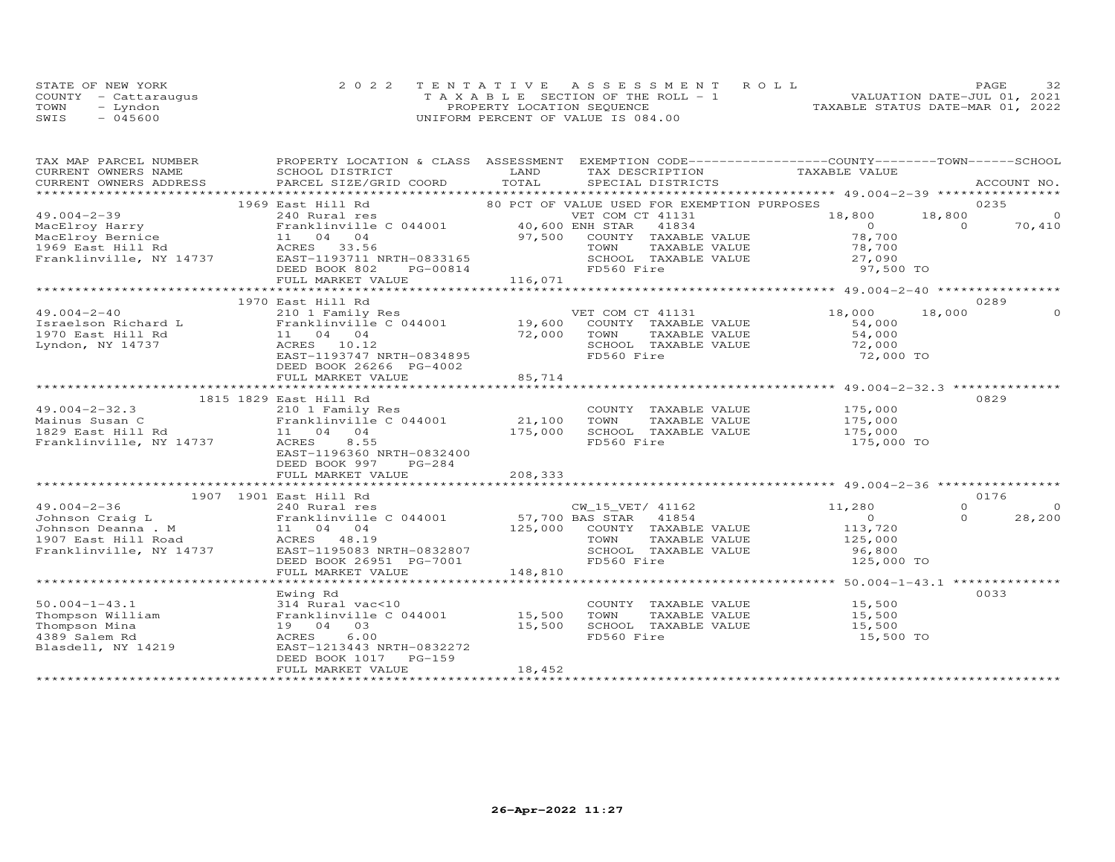| STATE OF NEW YORK |                      | 2022 TENTATIVE ASSESSMENT ROLL        |  |                                  | PAGE | 32 |
|-------------------|----------------------|---------------------------------------|--|----------------------------------|------|----|
|                   | COUNTY - Cattaraugus | T A X A B L E SECTION OF THE ROLL - 1 |  | VALUATION DATE-JUL 01, 2021      |      |    |
| TOWN              | - Lyndon             | PROPERTY LOCATION SEQUENCE            |  | TAXABLE STATUS DATE-MAR 01, 2022 |      |    |
| SWIS              | $-045600$            | UNIFORM PERCENT OF VALUE IS 084.00    |  |                                  |      |    |

| TAX MAP PARCEL NUMBER                                                                                                                                                                                                                                  | PROPERTY LOCATION & CLASS ASSESSMENT EXEMPTION CODE----------------COUNTY-------TOWN------SCHOOL       |         |            |                                    |                                                                |          |          |
|--------------------------------------------------------------------------------------------------------------------------------------------------------------------------------------------------------------------------------------------------------|--------------------------------------------------------------------------------------------------------|---------|------------|------------------------------------|----------------------------------------------------------------|----------|----------|
| CURRENT OWNERS NAME                                                                                                                                                                                                                                    | SCHOOL DISTRICT                                                                                        | LAND    |            |                                    | TAX DESCRIPTION TAXABLE VALUE                                  |          |          |
| CURRENT OWNERS ADDRESS<br>.CURRENT OWNERS ADDRESS PARCEL SIZE/GRID COORD TOTAL SPECIAL DISTRICTS ACCOUNT NO ACCOUNT NO ACCOUNT NO ACCOUNT                                                                                                              |                                                                                                        |         |            |                                    |                                                                |          |          |
|                                                                                                                                                                                                                                                        | 1969 East Hill Rd                                                                                      |         |            |                                    | 80 PCT OF VALUE USED FOR EXEMPTION PURPOSES                    |          | 0235     |
| $49.004 - 2 - 39$                                                                                                                                                                                                                                      | East Hill Rd 80 PCT OF VALUE USED<br>240 Rural res VET COM C<br>Franklinville C 044001 40,600 ENH STAR |         |            | VET COM CT 41131                   | 18,800                                                         | 18,800   | $\circ$  |
|                                                                                                                                                                                                                                                        |                                                                                                        |         |            |                                    | $\overline{0}$                                                 | $\Omega$ | 70,410   |
|                                                                                                                                                                                                                                                        |                                                                                                        |         |            |                                    | 78,700                                                         |          |          |
|                                                                                                                                                                                                                                                        |                                                                                                        |         |            | TAXABLE VALUE                      |                                                                |          |          |
| MacElroy Harry<br>MacElroy Bernice 11 04 04 97,500 COUNTY TAXABLE VALUE<br>1969 East Hill Rd ACRES 33.56 Tranklinville, NY 14737 EAST-1193711 NRTH-0833165 Franklinville, NY 14737 EAST-1193711 NRTH-0833165 Franklinville, NY 147                     |                                                                                                        |         |            | SCHOOL TAXABLE VALUE               | 78,700<br>27,090                                               |          |          |
|                                                                                                                                                                                                                                                        |                                                                                                        |         |            |                                    |                                                                |          |          |
|                                                                                                                                                                                                                                                        |                                                                                                        |         |            |                                    |                                                                |          |          |
|                                                                                                                                                                                                                                                        |                                                                                                        |         |            |                                    |                                                                |          |          |
|                                                                                                                                                                                                                                                        | 1970 East Hill Rd                                                                                      |         |            |                                    |                                                                |          | 0289     |
| 49.004-2-40<br>1970 East Hill Rd<br>1970 East Hill Rd<br>1970 East Hill Rd<br>1970 East Hill Rd<br>1970 East Hill Rd<br>1970 East Hill Rd<br>1970 East Hill Rd<br>1970 East Hill Rd<br>1970 East Hill Rd<br>1970 East Hill Rd<br>1970 East Hill Rd<br> |                                                                                                        |         |            | VET COM CT 41131                   | 18,000                                                         | 18,000   |          |
|                                                                                                                                                                                                                                                        |                                                                                                        |         |            | COUNTY TAXABLE VALUE               | 54,000                                                         |          |          |
|                                                                                                                                                                                                                                                        |                                                                                                        |         |            | TAXABLE VALUE                      | 54,000                                                         |          |          |
|                                                                                                                                                                                                                                                        |                                                                                                        |         |            | SCHOOL TAXABLE VALUE               |                                                                |          |          |
|                                                                                                                                                                                                                                                        |                                                                                                        |         | FD560 Fire |                                    | 72,000<br>72,000 TO                                            |          |          |
|                                                                                                                                                                                                                                                        | DEED BOOK 26266 PG-4002                                                                                |         |            |                                    |                                                                |          |          |
|                                                                                                                                                                                                                                                        | FULL MARKET VALUE                                                                                      | 85,714  |            |                                    |                                                                |          |          |
|                                                                                                                                                                                                                                                        |                                                                                                        |         |            |                                    | ***********************************49.004-2-32.3 ************* |          |          |
| 1815 1829 East Hill Rd                                                                                                                                                                                                                                 |                                                                                                        |         |            |                                    |                                                                |          | 0829     |
|                                                                                                                                                                                                                                                        |                                                                                                        |         |            |                                    |                                                                |          |          |
|                                                                                                                                                                                                                                                        |                                                                                                        |         |            |                                    | COUNTY TAXABLE VALUE 175,000<br>TOWN TAXABLE VALUE 175,000     |          |          |
|                                                                                                                                                                                                                                                        |                                                                                                        |         |            |                                    | SCHOOL TAXABLE VALUE 175,000                                   |          |          |
|                                                                                                                                                                                                                                                        |                                                                                                        | 175,000 | FD560 Fire |                                    | 175,000 TO                                                     |          |          |
|                                                                                                                                                                                                                                                        | EAST-1196360 NRTH-0832400                                                                              |         |            |                                    |                                                                |          |          |
|                                                                                                                                                                                                                                                        | DEED BOOK 997<br>PG-284                                                                                |         |            |                                    |                                                                |          |          |
|                                                                                                                                                                                                                                                        | FULL MARKET VALUE                                                                                      | 208,333 |            |                                    |                                                                |          |          |
|                                                                                                                                                                                                                                                        |                                                                                                        |         |            |                                    |                                                                |          |          |
| 1907 1901 East Hill Rd                                                                                                                                                                                                                                 |                                                                                                        |         |            |                                    |                                                                |          | 0176     |
|                                                                                                                                                                                                                                                        |                                                                                                        |         |            | CW_15_VET/ 41162<br>PAS STAR 41854 | 11,280                                                         | $\Omega$ | $\Omega$ |
|                                                                                                                                                                                                                                                        |                                                                                                        |         |            |                                    | $\sim$ 0                                                       | $\Omega$ | 28,200   |
|                                                                                                                                                                                                                                                        |                                                                                                        |         |            | 125,000 COUNTY TAXABLE VALUE       | 113,720<br>125,000                                             |          |          |
|                                                                                                                                                                                                                                                        |                                                                                                        |         |            | TAXABLE VALUE                      |                                                                |          |          |
| Franklinville, NY 14737 EAST-1195083 NRTH-0832807                                                                                                                                                                                                      |                                                                                                        |         |            | SCHOOL TAXABLE VALUE               | 96,800                                                         |          |          |
|                                                                                                                                                                                                                                                        | DEED BOOK 26951 PG-7001                                                                                |         | FD560 Fire |                                    | 125,000 TO                                                     |          |          |
|                                                                                                                                                                                                                                                        | FULL MARKET VALUE                                                                                      | 148,810 |            |                                    |                                                                |          |          |
|                                                                                                                                                                                                                                                        |                                                                                                        |         |            |                                    |                                                                |          |          |
|                                                                                                                                                                                                                                                        | Ewing Rd                                                                                               |         |            |                                    |                                                                |          | 0033     |
|                                                                                                                                                                                                                                                        |                                                                                                        |         |            | COUNTY TAXABLE VALUE               | 15,500                                                         |          |          |
| 50.004-1-43.1<br>Thompson William<br>Thompson Mina<br>Thompson Mina 19 04 03 15,500 SCHOC<br>4389 Salem Rd ACRES 6.00 FD560<br>ACRES 6.00 FD560                                                                                                        |                                                                                                        |         |            | TAXABLE VALUE                      | 15,500                                                         |          |          |
|                                                                                                                                                                                                                                                        |                                                                                                        |         |            | SCHOOL TAXABLE VALUE               | 15,500                                                         |          |          |
|                                                                                                                                                                                                                                                        |                                                                                                        |         | FD560 Fire |                                    | 15,500 TO                                                      |          |          |
| Blasdell, NY 14219                                                                                                                                                                                                                                     | EAST-1213443 NRTH-0832272                                                                              |         |            |                                    |                                                                |          |          |
|                                                                                                                                                                                                                                                        | DEED BOOK 1017 PG-159                                                                                  |         |            |                                    |                                                                |          |          |
|                                                                                                                                                                                                                                                        | FULL MARKET VALUE                                                                                      | 18,452  |            |                                    |                                                                |          |          |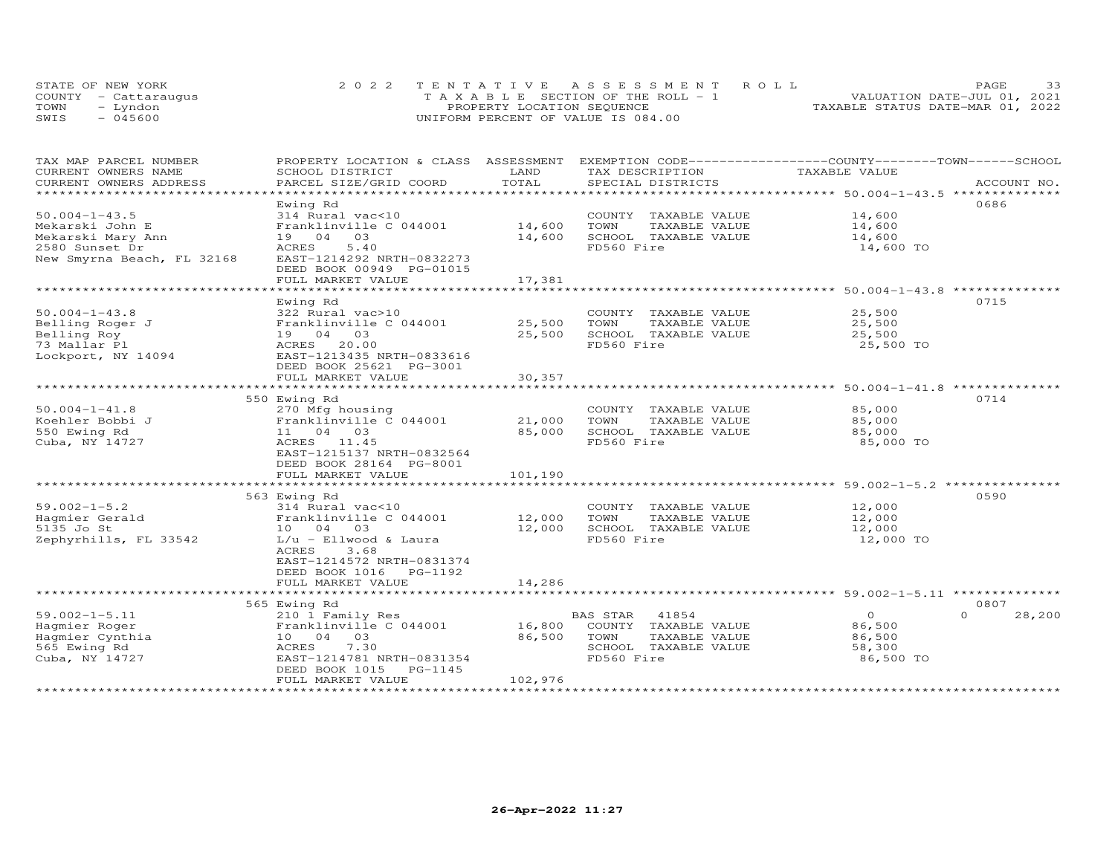|      | STATE OF NEW YORK    | 2022 TENTATIVE ASSESSMENT ROLL     | 33<br>PAGE.                      |
|------|----------------------|------------------------------------|----------------------------------|
|      | COUNTY - Cattaraugus | TAXABLE SECTION OF THE ROLL - 1    | VALUATION DATE-JUL 01, 2021      |
| TOWN | – Lyndon             | PROPERTY LOCATION SEQUENCE         | TAXABLE STATUS DATE-MAR 01, 2022 |
| SWIS | $-045600$            | UNIFORM PERCENT OF VALUE IS 084.00 |                                  |

| TAX MAP PARCEL NUMBER                         | PROPERTY LOCATION & CLASS ASSESSMENT      | LAND                | EXEMPTION CODE-----------------COUNTY-------TOWN------SCHOOL<br>TAX DESCRIPTION | TAXABLE VALUE  |                    |
|-----------------------------------------------|-------------------------------------------|---------------------|---------------------------------------------------------------------------------|----------------|--------------------|
| CURRENT OWNERS NAME<br>CURRENT OWNERS ADDRESS | SCHOOL DISTRICT<br>PARCEL SIZE/GRID COORD | TOTAL               | SPECIAL DISTRICTS                                                               |                | ACCOUNT NO.        |
| ******************************                |                                           |                     |                                                                                 |                |                    |
|                                               | Ewing Rd                                  |                     |                                                                                 |                | 0686               |
| $50.004 - 1 - 43.5$                           | 314 Rural vac<10                          |                     | COUNTY TAXABLE VALUE                                                            | 14,600         |                    |
| Mekarski John E                               | Franklinville C 044001                    | 14,600              | TOWN<br>TAXABLE VALUE                                                           | 14,600         |                    |
| Mekarski Mary Ann                             | 19 04 03                                  | 14,600              | SCHOOL TAXABLE VALUE                                                            | 14,600         |                    |
| 2580 Sunset Dr                                | 5.40<br>ACRES                             |                     | FD560 Fire                                                                      | 14,600 TO      |                    |
| New Smyrna Beach, FL 32168                    | EAST-1214292 NRTH-0832273                 |                     |                                                                                 |                |                    |
|                                               | DEED BOOK 00949 PG-01015                  |                     |                                                                                 |                |                    |
|                                               | FULL MARKET VALUE                         | 17,381              |                                                                                 |                |                    |
|                                               | ********************                      | ******************* | ********************************** 50.004-1-43.8 *********                      |                |                    |
|                                               | Ewing Rd                                  |                     |                                                                                 |                | 0715               |
| $50.004 - 1 - 43.8$                           | 322 Rural vac>10                          |                     | COUNTY TAXABLE VALUE                                                            | 25,500         |                    |
| Belling Roger J                               | Franklinville C 044001                    | 25,500              | TOWN<br>TAXABLE VALUE                                                           | 25,500         |                    |
| Belling Roy                                   | 19 04 03                                  | 25,500              | SCHOOL TAXABLE VALUE                                                            | 25,500         |                    |
| 73 Mallar Pl                                  | 20.00<br>ACRES                            |                     | FD560 Fire                                                                      | 25,500 TO      |                    |
| Lockport, NY 14094                            | EAST-1213435 NRTH-0833616                 |                     |                                                                                 |                |                    |
|                                               | DEED BOOK 25621 PG-3001                   |                     |                                                                                 |                |                    |
|                                               | FULL MARKET VALUE                         | 30,357              |                                                                                 |                |                    |
|                                               |                                           |                     |                                                                                 |                |                    |
|                                               | 550 Ewing Rd                              |                     |                                                                                 |                | 0714               |
| $50.004 - 1 - 41.8$                           | 270 Mfg housing                           |                     | COUNTY TAXABLE VALUE                                                            | 85,000         |                    |
| Koehler Bobbi J                               | Franklinville C 044001                    | 21,000              | TAXABLE VALUE<br>TOWN                                                           | 85,000         |                    |
| 550 Ewing Rd                                  | 11 04 03                                  | 85,000              | SCHOOL TAXABLE VALUE                                                            | 85,000         |                    |
| Cuba, NY 14727                                | ACRES 11.45                               |                     | FD560 Fire                                                                      | 85,000 TO      |                    |
|                                               | EAST-1215137 NRTH-0832564                 |                     |                                                                                 |                |                    |
|                                               | DEED BOOK 28164 PG-8001                   |                     |                                                                                 |                |                    |
|                                               | FULL MARKET VALUE                         | 101,190             |                                                                                 |                |                    |
|                                               |                                           |                     |                                                                                 |                |                    |
|                                               | 563 Ewing Rd                              |                     |                                                                                 |                | 0590               |
| $59.002 - 1 - 5.2$                            | 314 Rural vac<10                          |                     | COUNTY TAXABLE VALUE                                                            | 12,000         |                    |
| Hagmier Gerald                                | Franklinville C 044001                    | 12,000              | TOWN<br>TAXABLE VALUE                                                           | 12,000         |                    |
| 5135 Jo St                                    | 10 04 03                                  | 12,000              | SCHOOL TAXABLE VALUE                                                            | 12,000         |                    |
| Zephyrhills, FL 33542                         | $L/u$ - Ellwood & Laura                   |                     | FD560 Fire                                                                      | 12,000 TO      |                    |
|                                               | 3.68<br>ACRES                             |                     |                                                                                 |                |                    |
|                                               | EAST-1214572 NRTH-0831374                 |                     |                                                                                 |                |                    |
|                                               | DEED BOOK 1016 PG-1192                    |                     |                                                                                 |                |                    |
|                                               | FULL MARKET VALUE                         | 14,286              |                                                                                 |                |                    |
|                                               |                                           |                     |                                                                                 |                |                    |
|                                               | 565 Ewing Rd                              |                     |                                                                                 |                | 0807               |
| $59.002 - 1 - 5.11$                           | 210 1 Family Res                          |                     | BAS STAR<br>41854                                                               | $\overline{O}$ | $\Omega$<br>28,200 |
| Hagmier Roger                                 | Franklinville C 044001                    | 16,800              | COUNTY TAXABLE VALUE                                                            | 86,500         |                    |
| Hagmier Cynthia                               | 10 04 03                                  | 86,500              | TOWN<br>TAXABLE VALUE                                                           | 86,500         |                    |
| 565 Ewing Rd                                  | 7.30<br>ACRES                             |                     | SCHOOL TAXABLE VALUE                                                            | 58,300         |                    |
| Cuba, NY 14727                                | EAST-1214781 NRTH-0831354                 |                     | FD560 Fire                                                                      | 86,500 TO      |                    |
|                                               | DEED BOOK 1015<br>PG-1145                 |                     |                                                                                 |                |                    |
|                                               | FULL MARKET VALUE                         | 102,976             |                                                                                 |                |                    |
|                                               |                                           |                     |                                                                                 |                |                    |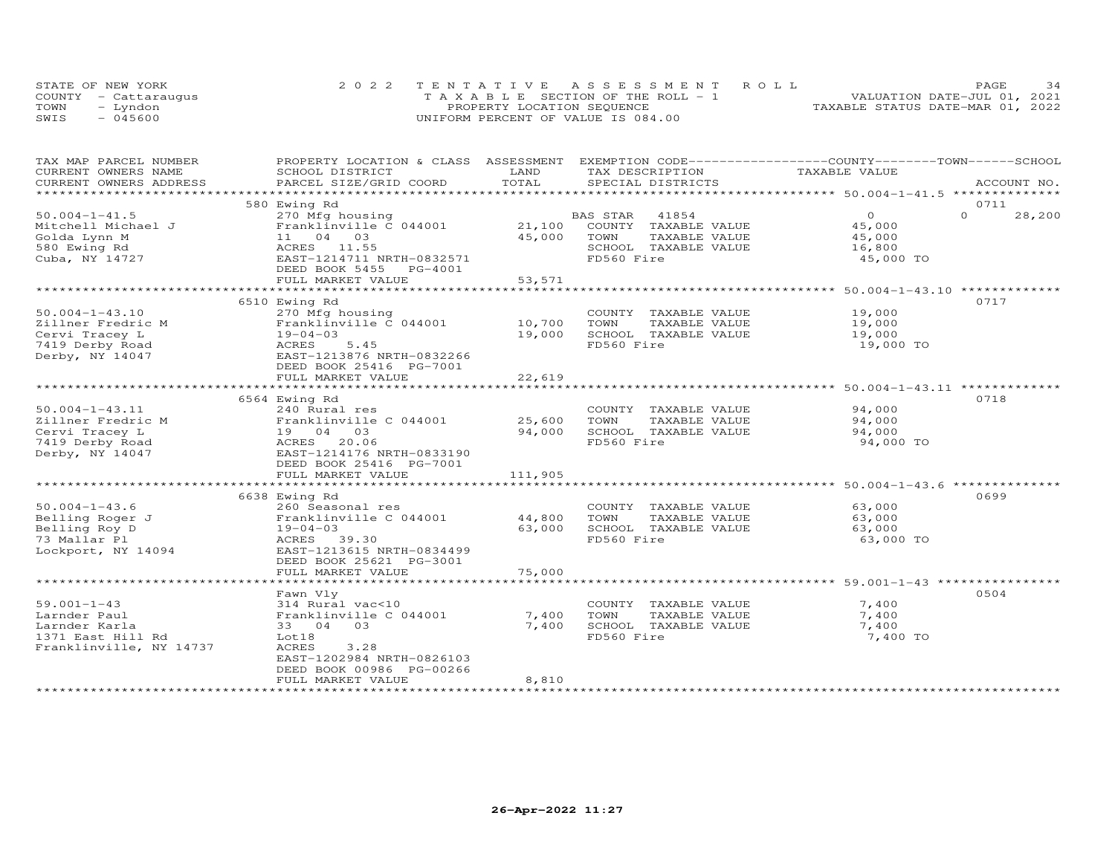|      | STATE OF NEW YORK    | 2022 TENTATIVE ASSESSMENT ROLL        | 34<br><b>PAGE</b>                |
|------|----------------------|---------------------------------------|----------------------------------|
|      | COUNTY - Cattarauqus | T A X A B L E SECTION OF THE ROLL - 1 | VALUATION DATE-JUL 01, 2021      |
| TOWN | - Lyndon             | PROPERTY LOCATION SEQUENCE            | TAXABLE STATUS DATE-MAR 01, 2022 |
| SWIS | $-045600$            | UNIFORM PERCENT OF VALUE IS 084.00    |                                  |

| TAX MAP PARCEL NUMBER   | PROPERTY LOCATION & CLASS         | ASSESSMENT                | EXEMPTION CODE-----------------COUNTY-------TOWN-----SCHOOL |                                                        |                    |
|-------------------------|-----------------------------------|---------------------------|-------------------------------------------------------------|--------------------------------------------------------|--------------------|
| CURRENT OWNERS NAME     | SCHOOL DISTRICT                   | LAND                      | TAX DESCRIPTION                                             | TAXABLE VALUE                                          |                    |
| CURRENT OWNERS ADDRESS  | PARCEL SIZE/GRID COORD            | TOTAL                     | SPECIAL DISTRICTS                                           |                                                        | ACCOUNT NO.        |
| ***************         | ***********************           | ************************* |                                                             | ************************ 50.004-1-41.5 *************** |                    |
|                         | 580 Ewing Rd                      |                           |                                                             |                                                        | 0711               |
| $50.004 - 1 - 41.5$     | 270 Mfg housing                   |                           | 41854<br>BAS STAR                                           | $\Omega$                                               | $\Omega$<br>28,200 |
| Mitchell Michael J      | Franklinville C 044001            | 21,100                    | COUNTY TAXABLE VALUE                                        | 45,000                                                 |                    |
| Golda Lynn M            | 11 04 03                          | 45,000                    | TOWN<br>TAXABLE VALUE                                       | 45,000                                                 |                    |
| 580 Ewing Rd            | ACRES 11.55                       |                           | SCHOOL TAXABLE VALUE                                        | 16,800                                                 |                    |
| Cuba, NY 14727          | EAST-1214711 NRTH-0832571         |                           | FD560 Fire                                                  | 45,000 TO                                              |                    |
|                         | DEED BOOK 5455<br>PG-4001         |                           |                                                             |                                                        |                    |
|                         | FULL MARKET VALUE                 | 53,571                    |                                                             |                                                        |                    |
|                         |                                   | ****************          |                                                             | **************** 50.004-1-43.10 *************          |                    |
|                         | 6510 Ewing Rd                     |                           |                                                             |                                                        | 0717               |
| $50.004 - 1 - 43.10$    | 270 Mfg housing                   |                           | COUNTY TAXABLE VALUE                                        | 19,000                                                 |                    |
| Zillner Fredric M       | Franklinville C 044001            | 10,700                    | TOWN<br>TAXABLE VALUE                                       | 19,000                                                 |                    |
| Cervi Tracey L          | $19 - 04 - 03$                    | 19,000                    | SCHOOL TAXABLE VALUE                                        | 19,000                                                 |                    |
|                         |                                   |                           |                                                             |                                                        |                    |
| 7419 Derby Road         | 5.45<br>ACRES                     |                           | FD560 Fire                                                  | 19,000 TO                                              |                    |
| Derby, NY 14047         | EAST-1213876 NRTH-0832266         |                           |                                                             |                                                        |                    |
|                         | DEED BOOK 25416 PG-7001           |                           |                                                             |                                                        |                    |
|                         | FULL MARKET VALUE                 | 22,619                    |                                                             |                                                        |                    |
|                         |                                   |                           |                                                             |                                                        |                    |
|                         | 6564 Ewing Rd                     |                           |                                                             |                                                        | 0718               |
| $50.004 - 1 - 43.11$    | 240 Rural res                     |                           | COUNTY<br>TAXABLE VALUE                                     | 94,000                                                 |                    |
| Zillner Fredric M       | Franklinville C 044001            | 25,600                    | TOWN<br>TAXABLE VALUE                                       | 94,000                                                 |                    |
| Cervi Tracey L          | 19 04 03                          | 94,000                    | SCHOOL TAXABLE VALUE                                        | 94,000                                                 |                    |
| 7419 Derby Road         | ACRES 20.06                       |                           | FD560 Fire                                                  | 94,000 TO                                              |                    |
| Derby, NY 14047         | EAST-1214176 NRTH-0833190         |                           |                                                             |                                                        |                    |
|                         | DEED BOOK 25416 PG-7001           |                           |                                                             |                                                        |                    |
|                         | FULL MARKET VALUE                 | 111,905                   |                                                             |                                                        |                    |
|                         | ********************************* | **************            |                                                             | ******************** 50.004-1-43.6 *************       |                    |
|                         | 6638 Ewing Rd                     |                           |                                                             |                                                        | 0699               |
| $50.004 - 1 - 43.6$     | 260 Seasonal res                  |                           | COUNTY TAXABLE VALUE                                        | 63,000                                                 |                    |
| Belling Roger J         | Franklinville C 044001            | 44,800                    | TOWN<br>TAXABLE VALUE                                       | 63,000                                                 |                    |
| Belling Roy D           | $19 - 04 - 03$                    | 63,000                    | SCHOOL TAXABLE VALUE                                        | 63,000                                                 |                    |
| 73 Mallar Pl            | ACRES 39.30                       |                           | FD560 Fire                                                  | 63,000 TO                                              |                    |
| Lockport, NY 14094      | EAST-1213615 NRTH-0834499         |                           |                                                             |                                                        |                    |
|                         | DEED BOOK 25621 PG-3001           |                           |                                                             |                                                        |                    |
|                         | FULL MARKET VALUE                 | 75,000                    |                                                             |                                                        |                    |
|                         | ****************************      |                           |                                                             |                                                        |                    |
|                         | Fawn Vly                          |                           |                                                             |                                                        | 0504               |
| $59.001 - 1 - 43$       | 314 Rural vac<10                  |                           | COUNTY TAXABLE VALUE                                        | 7,400                                                  |                    |
| Larnder Paul            | Franklinville C 044001            | 7,400                     | TOWN<br>TAXABLE VALUE                                       | 7,400                                                  |                    |
| Larnder Karla           | 33 04<br>03                       | 7,400                     | SCHOOL TAXABLE VALUE                                        | 7,400                                                  |                    |
| 1371 East Hill Rd       | Lot18                             |                           | FD560 Fire                                                  | 7,400 TO                                               |                    |
| Franklinville, NY 14737 | ACRES<br>3.28                     |                           |                                                             |                                                        |                    |
|                         | EAST-1202984 NRTH-0826103         |                           |                                                             |                                                        |                    |
|                         | DEED BOOK 00986 PG-00266          |                           |                                                             |                                                        |                    |
|                         |                                   |                           |                                                             |                                                        |                    |
|                         | FULL MARKET VALUE                 | 8,810                     |                                                             |                                                        |                    |
|                         |                                   |                           |                                                             |                                                        |                    |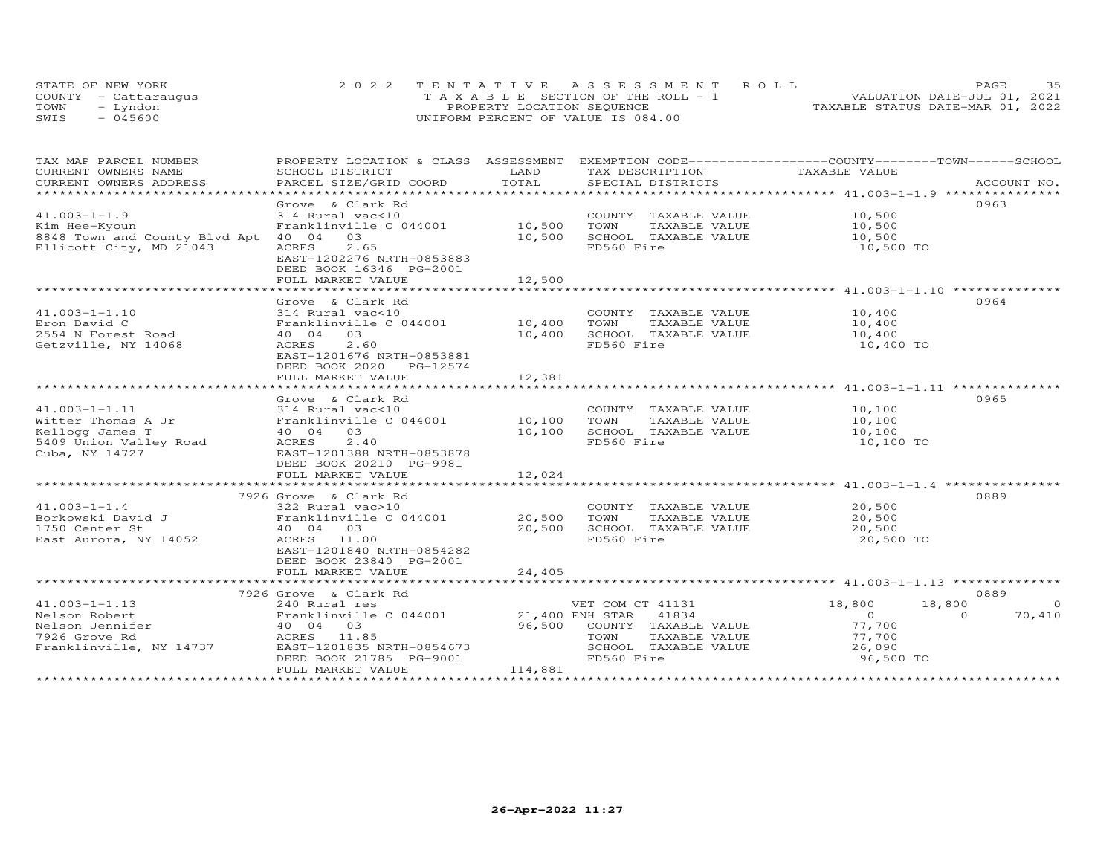| STATE OF NEW YORK    |          | 2022 TENTATIVE ASSESSMENT ROLL     |  |  |                                  | PAGE. | 35 |
|----------------------|----------|------------------------------------|--|--|----------------------------------|-------|----|
| COUNTY - Cattaraugus |          | TAXABLE SECTION OF THE ROLL - 1    |  |  | VALUATION DATE-JUL 01, 2021      |       |    |
| TOWN                 | - Lyndon | PROPERTY LOCATION SEQUENCE         |  |  | TAXABLE STATUS DATE-MAR 01, 2022 |       |    |
| SWIS                 | - 045600 | UNIFORM PERCENT OF VALUE IS 084.00 |  |  |                                  |       |    |

| TAX MAP PARCEL NUMBER               | PROPERTY LOCATION & CLASS ASSESSMENT EXEMPTION CODE----------------COUNTY-------TOWN-----SCHOOL |                 |                       |                                                                      |                    |
|-------------------------------------|-------------------------------------------------------------------------------------------------|-----------------|-----------------------|----------------------------------------------------------------------|--------------------|
| CURRENT OWNERS NAME                 | SCHOOL DISTRICT                                                                                 | LAND            | TAX DESCRIPTION       | TAXABLE VALUE                                                        |                    |
| CURRENT OWNERS ADDRESS              | PARCEL SIZE/GRID COORD                                                                          | TOTAL           |                       |                                                                      |                    |
|                                     |                                                                                                 |                 |                       |                                                                      |                    |
|                                     | Grove & Clark Rd                                                                                |                 |                       |                                                                      | 0963               |
| $41.003 - 1 - 1.9$                  | 314 Rural vac<10                                                                                |                 | COUNTY TAXABLE VALUE  | 10,500                                                               |                    |
| Kim Hee-Kyoun                       | Franklinville C 044001                                                                          | 10,500          | TAXABLE VALUE<br>TOWN | 10,500                                                               |                    |
| 8848 Town and County Blvd Apt 40 04 | 03                                                                                              | 10,500          | SCHOOL TAXABLE VALUE  | 10,500                                                               |                    |
| Ellicott City, MD 21043             | 2.65<br>ACRES                                                                                   |                 | FD560 Fire            | 10,500 TO                                                            |                    |
|                                     | EAST-1202276 NRTH-0853883                                                                       |                 |                       |                                                                      |                    |
|                                     | DEED BOOK 16346 PG-2001                                                                         |                 |                       |                                                                      |                    |
|                                     | FULL MARKET VALUE                                                                               | 12,500          |                       |                                                                      |                    |
|                                     |                                                                                                 | *************** |                       | ************************************* 41.003-1-1.10 **************** |                    |
|                                     | Grove & Clark Rd                                                                                |                 |                       |                                                                      | 0964               |
| $41.003 - 1 - 1.10$                 | 314 Rural vac<10                                                                                |                 | COUNTY TAXABLE VALUE  | 10,400                                                               |                    |
| Eron David C                        | Franklinville C 044001 10,400                                                                   |                 | TOWN<br>TAXABLE VALUE | 10,400                                                               |                    |
| 2554 N Forest Road                  | 40 04 03                                                                                        | 10,400          | SCHOOL TAXABLE VALUE  | 10,400                                                               |                    |
| Getzville, NY 14068                 | 2.60<br>ACRES                                                                                   |                 | FD560 Fire            | 10,400 TO                                                            |                    |
|                                     | EAST-1201676 NRTH-0853881                                                                       |                 |                       |                                                                      |                    |
|                                     | DEED BOOK 2020 PG-12574                                                                         |                 |                       |                                                                      |                    |
|                                     | FULL MARKET VALUE                                                                               | 12,381          |                       |                                                                      |                    |
|                                     |                                                                                                 |                 |                       |                                                                      |                    |
|                                     | Grove & Clark Rd                                                                                |                 |                       |                                                                      | 0965               |
| $41.003 - 1 - 1.11$                 | 314 Rural vac<10                                                                                |                 | COUNTY TAXABLE VALUE  | 10,100                                                               |                    |
| Witter Thomas A Jr                  | Franklinville C 044001 10,100                                                                   |                 | TOWN<br>TAXABLE VALUE | 10,100                                                               |                    |
| Kellogg James T                     | 40 04 03                                                                                        | 10,100          | SCHOOL TAXABLE VALUE  | 10,100                                                               |                    |
| 5409 Union Valley Road              | ACRES<br>2.40                                                                                   |                 | FD560 Fire            | 10,100 TO                                                            |                    |
| Cuba, NY 14727                      | EAST-1201388 NRTH-0853878                                                                       |                 |                       |                                                                      |                    |
|                                     | DEED BOOK 20210 PG-9981                                                                         |                 |                       |                                                                      |                    |
|                                     | FULL MARKET VALUE                                                                               | 12,024          |                       |                                                                      |                    |
|                                     |                                                                                                 |                 |                       |                                                                      |                    |
|                                     | 7926 Grove & Clark Rd                                                                           |                 |                       |                                                                      | 0889               |
| $41.003 - 1 - 1.4$                  |                                                                                                 |                 | COUNTY TAXABLE VALUE  | 20,500                                                               |                    |
| Borkowski David J                   |                                                                                                 |                 | TOWN<br>TAXABLE VALUE | 20,500                                                               |                    |
| 1750 Center St                      | 40 04 03                                                                                        | 20,500          | SCHOOL TAXABLE VALUE  | 20,500                                                               |                    |
| East Aurora, NY 14052               | ACRES 11.00                                                                                     |                 | FD560 Fire            | 20,500 TO                                                            |                    |
|                                     | EAST-1201840 NRTH-0854282                                                                       |                 |                       |                                                                      |                    |
|                                     | DEED BOOK 23840 PG-2001                                                                         |                 |                       |                                                                      |                    |
|                                     | FULL MARKET VALUE                                                                               | 24,405          |                       |                                                                      |                    |
|                                     |                                                                                                 |                 |                       |                                                                      |                    |
|                                     | 7926 Grove & Clark Rd                                                                           |                 |                       |                                                                      | 0889               |
| $41.003 - 1 - 1.13$                 | 240 Rural res                                                                                   |                 | VET COM CT 41131      | 18,800<br>18,800                                                     | $\circ$            |
| Nelson Robert                       | Franklinville C 044001<br>40 04 03<br>2008 04 03                                                |                 | 21,400 ENH STAR 41834 | $\overline{0}$                                                       | 70,410<br>$\Omega$ |
| Nelson Jennifer                     |                                                                                                 | 96.500          | COUNTY TAXABLE VALUE  | 77,700                                                               |                    |
| 7926 Grove Rd                       | ACRES 11.85                                                                                     |                 | TOWN<br>TAXABLE VALUE | 77,700                                                               |                    |
| Franklinville, NY 14737             | EAST-1201835 NRTH-0854673                                                                       |                 | SCHOOL TAXABLE VALUE  | 26,090                                                               |                    |
|                                     | DEED BOOK 21785 PG-9001                                                                         |                 | FD560 Fire            | 96,500 TO                                                            |                    |
|                                     | FULL MARKET VALUE                                                                               | 114,881         |                       |                                                                      |                    |
|                                     |                                                                                                 |                 |                       |                                                                      |                    |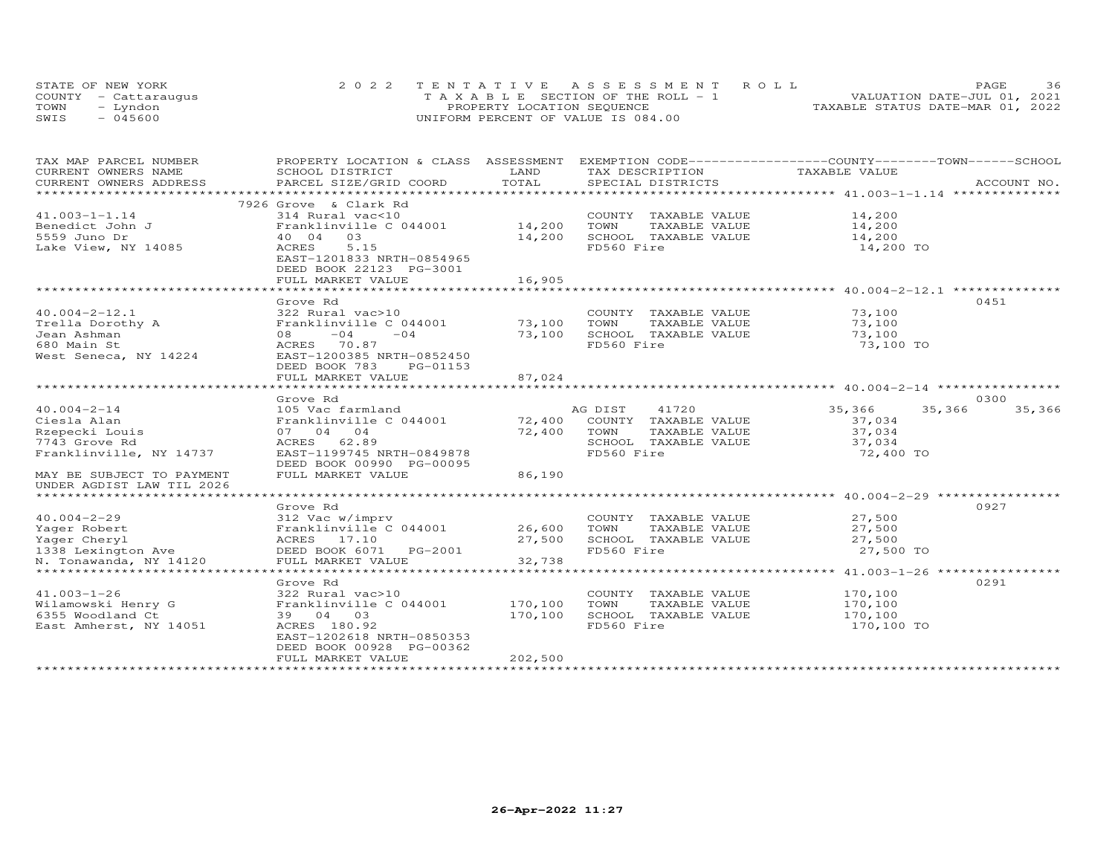|      | STATE OF NEW YORK    | 2022 TENTATIVE ASSESSMENT ROLL                  | 36<br>PAGE                       |
|------|----------------------|-------------------------------------------------|----------------------------------|
|      | COUNTY - Cattaraugus | $T A X A B I F S E C T I ON OF THE R O I J - 1$ | VALUATION DATE-JUL 01, 2021      |
| TOWN | - Lyndon             | PROPERTY LOCATION SEQUENCE                      | TAXABLE STATUS DATE-MAR 01, 2022 |
| SWIS | $-045600$            | UNIFORM PERCENT OF VALUE IS 084.00              |                                  |

| TAX MAP PARCEL NUMBER                            | PROPERTY LOCATION & CLASS ASSESSMENT EXEMPTION CODE----------------COUNTY-------TOWN-----SCHOOL |         |                                                                    |               |                  |
|--------------------------------------------------|-------------------------------------------------------------------------------------------------|---------|--------------------------------------------------------------------|---------------|------------------|
| CURRENT OWNERS NAME                              | SCHOOL DISTRICT                                                                                 | LAND    | TAX DESCRIPTION                                                    | TAXABLE VALUE |                  |
| CURRENT OWNERS ADDRESS<br>********************** | PARCEL SIZE/GRID COORD                                                                          | TOTAL   | SPECIAL DISTRICTS                                                  |               | ACCOUNT NO.      |
|                                                  |                                                                                                 |         |                                                                    |               |                  |
|                                                  | 7926 Grove & Clark Rd<br>314 Rural vac<10                                                       |         |                                                                    |               |                  |
| $41.003 - 1 - 1.14$                              |                                                                                                 | 14,200  | COUNTY TAXABLE VALUE                                               | 14,200        |                  |
| Benedict John J                                  | Franklinville C 044001<br>03                                                                    |         | TOWN<br>TAXABLE VALUE                                              | 14,200        |                  |
| 5559 Juno Dr                                     | 40 04                                                                                           | 14,200  | SCHOOL TAXABLE VALUE<br>FD560 Fire                                 | 14,200        |                  |
| Lake View, NY 14085                              | ACRES<br>5.15                                                                                   |         |                                                                    | 14,200 TO     |                  |
|                                                  | EAST-1201833 NRTH-0854965<br>DEED BOOK 22123 PG-3001                                            |         |                                                                    |               |                  |
|                                                  | FULL MARKET VALUE                                                                               | 16,905  |                                                                    |               |                  |
|                                                  |                                                                                                 |         | ************************************ 40.004-2-12.1 *************** |               |                  |
|                                                  | Grove Rd                                                                                        |         |                                                                    |               | 0451             |
| $40.004 - 2 - 12.1$                              | 322 Rural vac>10                                                                                |         | COUNTY TAXABLE VALUE                                               | 73,100        |                  |
| Trella Dorothy A                                 | Franklinville C 044001                                                                          | 73,100  | TOWN<br>TAXABLE VALUE                                              | 73,100        |                  |
| Jean Ashman                                      | $08 -04 -04$                                                                                    | 73,100  | SCHOOL TAXABLE VALUE                                               | 73,100        |                  |
| 680 Main St                                      | ACRES 70.87                                                                                     |         | FD560 Fire                                                         | 73,100 TO     |                  |
| West Seneca, NY 14224                            | EAST-1200385 NRTH-0852450                                                                       |         |                                                                    |               |                  |
|                                                  | DEED BOOK 783<br>PG-01153                                                                       |         |                                                                    |               |                  |
|                                                  | FULL MARKET VALUE                                                                               | 87,024  |                                                                    |               |                  |
|                                                  |                                                                                                 |         |                                                                    |               |                  |
|                                                  | Grove Rd                                                                                        |         |                                                                    |               | 0300             |
| $40.004 - 2 - 14$                                | 105 Vac farmland                                                                                |         | AG DIST<br>41720                                                   | 35,366        | 35,366<br>35,366 |
| Ciesla Alan                                      | Franklinville C 044001 72,400                                                                   |         | COUNTY TAXABLE VALUE                                               | 37,034        |                  |
| Rzepecki Louis                                   | 07 04 04                                                                                        | 72,400  | TOWN<br>TAXABLE VALUE                                              | 37,034        |                  |
| 7743 Grove Rd                                    | ACRES 62.89                                                                                     |         | SCHOOL TAXABLE VALUE                                               | 37,034        |                  |
| Franklinville, NY 14737                          | EAST-1199745 NRTH-0849878                                                                       |         | FD560 Fire                                                         | 72,400 TO     |                  |
|                                                  | DEED BOOK 00990 PG-00095                                                                        |         |                                                                    |               |                  |
| MAY BE SUBJECT TO PAYMENT                        | FULL MARKET VALUE                                                                               | 86,190  |                                                                    |               |                  |
| UNDER AGDIST LAW TIL 2026                        |                                                                                                 |         |                                                                    |               |                  |
|                                                  |                                                                                                 |         |                                                                    |               |                  |
|                                                  | Grove Rd                                                                                        |         |                                                                    |               | 0927             |
| $40.004 - 2 - 29$                                | 312 Vac w/imprv                                                                                 |         | COUNTY TAXABLE VALUE                                               | 27,500        |                  |
| Yager Robert                                     | Franklinville C 044001                                                                          | 26,600  | TOWN<br>TAXABLE VALUE                                              | 27,500        |                  |
| Yager Cheryl                                     | ACRES 17.10                                                                                     | 27,500  | SCHOOL TAXABLE VALUE                                               | 27,500        |                  |
| 1338 Lexington Ave<br>N. Tonawanda, NY 14120     | DEED BOOK 6071 PG-2001                                                                          |         | FD560 Fire                                                         | 27,500 TO     |                  |
| N. Tonawanda, NY 14120                           | FULL MARKET VALUE                                                                               | 32,738  |                                                                    |               |                  |
|                                                  |                                                                                                 |         |                                                                    |               |                  |
|                                                  | Grove Rd                                                                                        |         |                                                                    |               | 0291             |
| $41.003 - 1 - 26$                                | 322 Rural vac>10                                                                                |         | COUNTY TAXABLE VALUE                                               | 170,100       |                  |
| Wilamowski Henry G                               | Franklinville C 044001                                                                          | 170,100 | TAXABLE VALUE<br>TOWN                                              | 170,100       |                  |
| 6355 Woodland Ct                                 | 39 04 03                                                                                        | 170,100 | SCHOOL TAXABLE VALUE                                               | 170,100       |                  |
| East Amherst, NY 14051                           | ACRES 180.92                                                                                    |         | FD560 Fire                                                         | 170,100 TO    |                  |
|                                                  | EAST-1202618 NRTH-0850353                                                                       |         |                                                                    |               |                  |
|                                                  | DEED BOOK 00928 PG-00362                                                                        |         |                                                                    |               |                  |
|                                                  | FULL MARKET VALUE                                                                               | 202,500 |                                                                    |               |                  |
|                                                  |                                                                                                 |         |                                                                    |               |                  |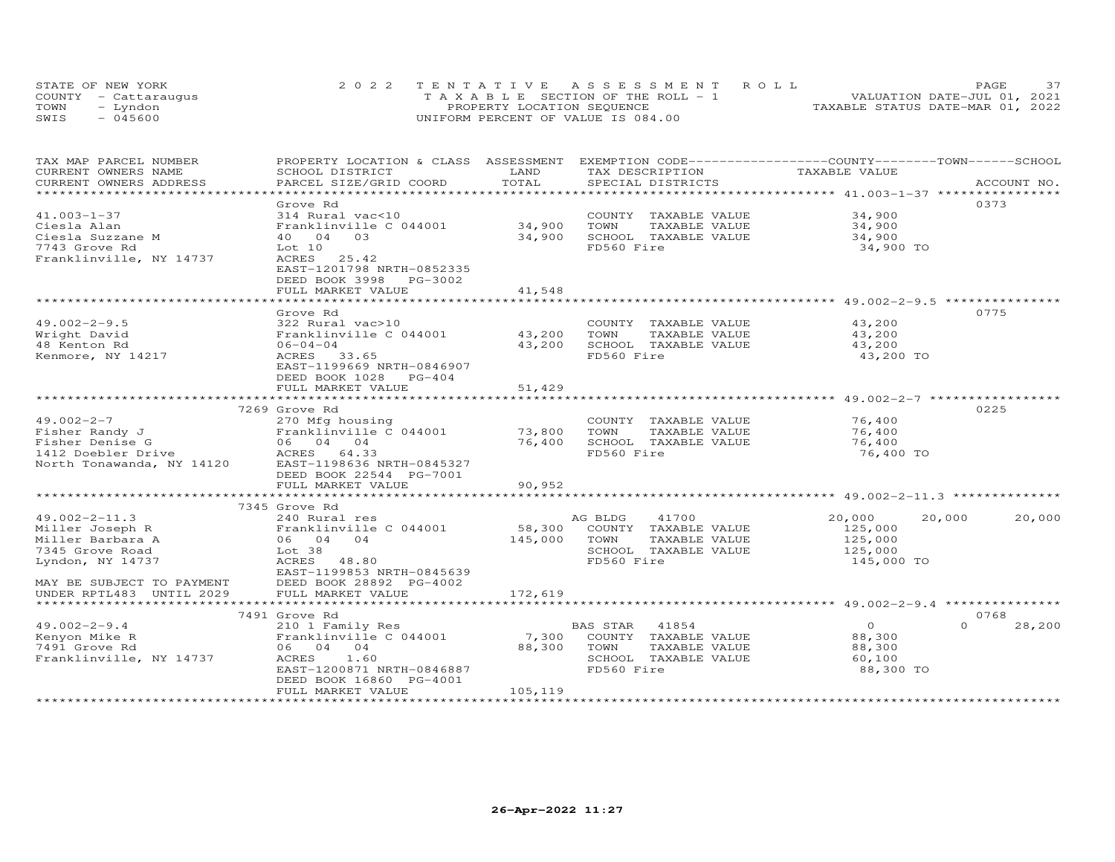| STATE OF NEW YORK    | 2022 TENTATIVE ASSESSMENT ROLL        | 37<br><b>PAGE</b>                |
|----------------------|---------------------------------------|----------------------------------|
| COUNTY - Cattaraugus | T A X A B L E SECTION OF THE ROLL - 1 | VALUATION DATE-JUL 01, 2021      |
| TOWN<br>– Lyndon     | PROPERTY LOCATION SEQUENCE            | TAXABLE STATUS DATE-MAR 01, 2022 |
| $-045600$<br>SWIS    | UNIFORM PERCENT OF VALUE IS 084.00    |                                  |

| TAX MAP PARCEL NUMBER<br>CURRENT OWNERS NAME<br>CURRENT OWNERS ADDRESS | PROPERTY LOCATION & CLASS ASSESSMENT<br>SCHOOL DISTRICT<br>PARCEL SIZE/GRID COORD | LAND<br>TOTAL | EXEMPTION CODE-----------------COUNTY-------TOWN------SCHOOL<br>TAX DESCRIPTION<br>SPECIAL DISTRICTS | TAXABLE VALUE                                                     | ACCOUNT NO.        |
|------------------------------------------------------------------------|-----------------------------------------------------------------------------------|---------------|------------------------------------------------------------------------------------------------------|-------------------------------------------------------------------|--------------------|
|                                                                        |                                                                                   | ********      |                                                                                                      |                                                                   |                    |
|                                                                        | Grove Rd                                                                          |               |                                                                                                      |                                                                   | 0373               |
| $41.003 - 1 - 37$                                                      | 314 Rural vac<10                                                                  |               | COUNTY TAXABLE VALUE                                                                                 | 34,900                                                            |                    |
| Ciesla Alan                                                            | Franklinville C 044001                                                            | 34,900        | TOWN<br>TAXABLE VALUE                                                                                | 34,900                                                            |                    |
| Ciesla Suzzane M                                                       | 40 04<br>03                                                                       | 34,900        | SCHOOL TAXABLE VALUE                                                                                 | 34,900                                                            |                    |
| 7743 Grove Rd                                                          | Lot 10                                                                            |               | FD560 Fire                                                                                           |                                                                   |                    |
| Franklinville, NY 14737                                                | 25.42<br>ACRES                                                                    |               |                                                                                                      | 34,900 TO                                                         |                    |
|                                                                        | EAST-1201798 NRTH-0852335                                                         |               |                                                                                                      |                                                                   |                    |
|                                                                        | DEED BOOK 3998<br>PG-3002                                                         |               |                                                                                                      |                                                                   |                    |
|                                                                        | FULL MARKET VALUE                                                                 | 41,548        |                                                                                                      |                                                                   |                    |
|                                                                        | *****************************                                                     |               |                                                                                                      |                                                                   |                    |
|                                                                        | Grove Rd                                                                          |               |                                                                                                      |                                                                   | 0775               |
| $49.002 - 2 - 9.5$                                                     | 322 Rural vac>10                                                                  |               | COUNTY TAXABLE VALUE                                                                                 | 43,200                                                            |                    |
| Wright David                                                           | Franklinville C 044001                                                            | 43,200        | TAXABLE VALUE<br>TOWN                                                                                | 43,200                                                            |                    |
|                                                                        | $06 - 04 - 04$                                                                    | 43,200        | SCHOOL TAXABLE VALUE                                                                                 |                                                                   |                    |
| 48 Kenton Rd                                                           | ACRES<br>33.65                                                                    |               | FD560 Fire                                                                                           | 43,200<br>43,200 TO                                               |                    |
| Kenmore, NY 14217                                                      | EAST-1199669 NRTH-0846907                                                         |               |                                                                                                      |                                                                   |                    |
|                                                                        |                                                                                   |               |                                                                                                      |                                                                   |                    |
|                                                                        | DEED BOOK 1028 PG-404                                                             |               |                                                                                                      |                                                                   |                    |
|                                                                        | FULL MARKET VALUE                                                                 | 51,429        |                                                                                                      | ********************** 49.002-2-7 ***********                     |                    |
|                                                                        |                                                                                   |               |                                                                                                      |                                                                   |                    |
|                                                                        | 7269 Grove Rd                                                                     |               |                                                                                                      |                                                                   | 0225               |
| $49.002 - 2 - 7$                                                       | 270 Mfg housing                                                                   |               | COUNTY TAXABLE VALUE                                                                                 | 76,400                                                            |                    |
| Fisher Randy J                                                         | Franklinville C 044001                                                            | 73,800        | TOWN<br>TAXABLE VALUE                                                                                | 76,400                                                            |                    |
| Fisher Denise G                                                        | 06 04 04                                                                          | 76,400        | SCHOOL TAXABLE VALUE                                                                                 | 76,400                                                            |                    |
| 1412 Doebler Drive                                                     | ACRES 64.33                                                                       |               | FD560 Fire                                                                                           | 76,400 TO                                                         |                    |
| North Tonawanda, NY 14120                                              | EAST-1198636 NRTH-0845327                                                         |               |                                                                                                      |                                                                   |                    |
|                                                                        | DEED BOOK 22544 PG-7001                                                           |               |                                                                                                      |                                                                   |                    |
|                                                                        | FULL MARKET VALUE                                                                 | 90,952        |                                                                                                      |                                                                   |                    |
|                                                                        | ************************                                                          |               |                                                                                                      |                                                                   |                    |
|                                                                        | 7345 Grove Rd                                                                     |               |                                                                                                      |                                                                   |                    |
| $49.002 - 2 - 11.3$                                                    | 240 Rural res                                                                     |               | 41700<br>AG BLDG                                                                                     | 20,000                                                            | 20,000<br>20,000   |
| Miller Joseph R                                                        | Franklinville C 044001                                                            | 58,300        | COUNTY TAXABLE VALUE                                                                                 | 125,000                                                           |                    |
| Miller Barbara A                                                       | 06 04 04                                                                          | 145,000       | TOWN<br>TAXABLE VALUE                                                                                | 125,000                                                           |                    |
| 7345 Grove Road                                                        | Lot <sub>38</sub>                                                                 |               | SCHOOL TAXABLE VALUE                                                                                 | 125,000                                                           |                    |
| Lyndon, NY 14737                                                       | ACRES<br>48.80                                                                    |               | FD560 Fire                                                                                           | 145,000 TO                                                        |                    |
|                                                                        | EAST-1199853 NRTH-0845639                                                         |               |                                                                                                      |                                                                   |                    |
| MAY BE SUBJECT TO PAYMENT                                              | DEED BOOK 28892 PG-4002                                                           |               |                                                                                                      |                                                                   |                    |
| UNDER RPTL483 UNTIL 2029                                               | FULL MARKET VALUE                                                                 | 172,619       |                                                                                                      |                                                                   |                    |
|                                                                        |                                                                                   |               |                                                                                                      | *********************************** 49.002-2-9.4 **************** |                    |
|                                                                        | 7491 Grove Rd                                                                     |               |                                                                                                      |                                                                   | 0768               |
| $49.002 - 2 - 9.4$                                                     | 210 1 Family Res                                                                  |               | 41854<br>BAS STAR                                                                                    | $\Omega$                                                          | $\Omega$<br>28,200 |
| Kenyon Mike R                                                          | Franklinville C 044001                                                            | 7,300         | COUNTY TAXABLE VALUE                                                                                 | 88,300                                                            |                    |
| 7491 Grove Rd                                                          | 06 04 04                                                                          | 88,300        | TOWN<br>TAXABLE VALUE                                                                                | 88,300                                                            |                    |
| Franklinville, NY 14737                                                | ACRES<br>1.60                                                                     |               | SCHOOL TAXABLE VALUE                                                                                 | 60,100                                                            |                    |
|                                                                        | EAST-1200871 NRTH-0846887                                                         |               | FD560 Fire                                                                                           | 88,300 TO                                                         |                    |
|                                                                        | DEED BOOK 16860 PG-4001                                                           |               |                                                                                                      |                                                                   |                    |
|                                                                        | FULL MARKET VALUE                                                                 | 105,119       |                                                                                                      |                                                                   |                    |
|                                                                        |                                                                                   |               |                                                                                                      |                                                                   |                    |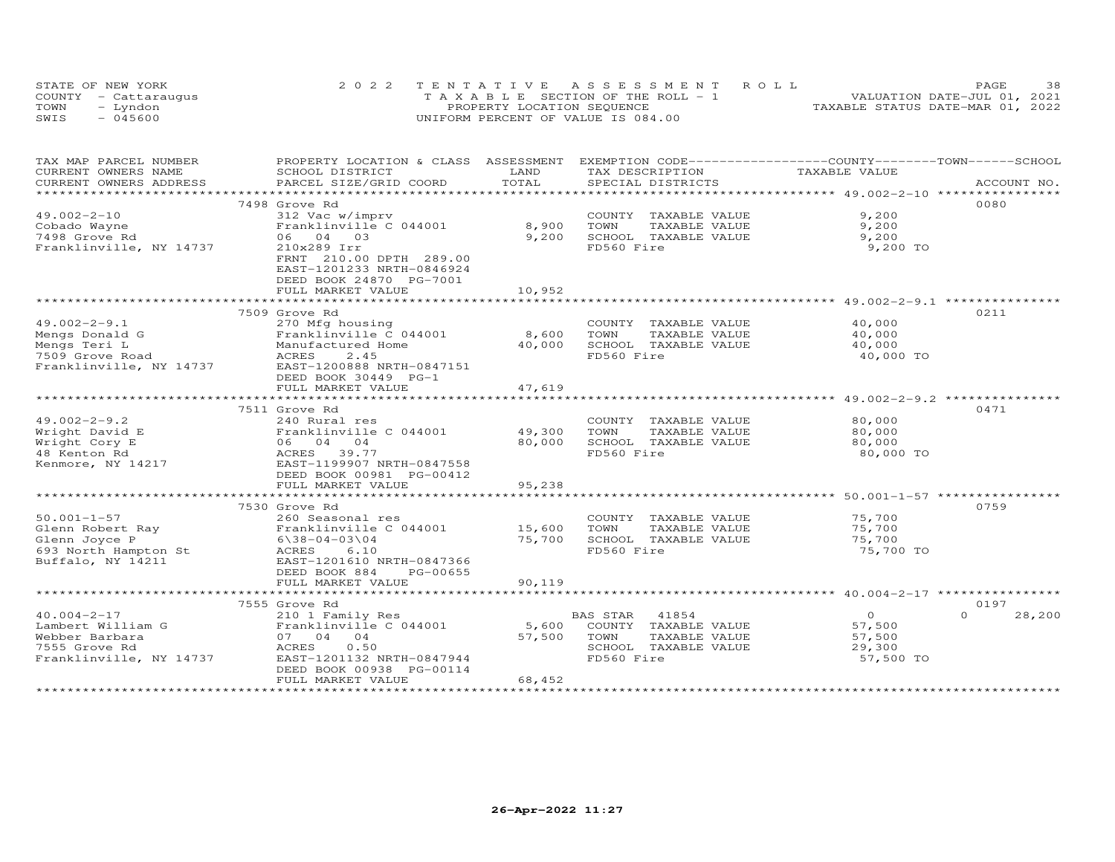|      | STATE OF NEW YORK    | 2022 TENTATIVE ASSESSMENT ROLL        | 38<br>PAGE                       |
|------|----------------------|---------------------------------------|----------------------------------|
|      | COUNTY - Cattaraugus | T A X A B L E SECTION OF THE ROLL - 1 | VALUATION DATE-JUL 01, 2021      |
| TOWN | - Lyndon             | PROPERTY LOCATION SEQUENCE            | TAXABLE STATUS DATE-MAR 01, 2022 |
| SWIS | $-045600$            | UNIFORM PERCENT OF VALUE IS 084.00    |                                  |

| TAX MAP PARCEL NUMBER   | PROPERTY LOCATION & CLASS ASSESSMENT                  |                    | EXEMPTION CODE-----------------COUNTY-------TOWN------SCHOOL |                                                    |                    |
|-------------------------|-------------------------------------------------------|--------------------|--------------------------------------------------------------|----------------------------------------------------|--------------------|
| CURRENT OWNERS NAME     | SCHOOL DISTRICT                                       | LAND               | TAX DESCRIPTION                                              | TAXABLE VALUE                                      |                    |
| CURRENT OWNERS ADDRESS  | PARCEL SIZE/GRID COORD                                | TOTAL              | SPECIAL DISTRICTS                                            |                                                    | ACCOUNT NO.        |
| *********************** |                                                       |                    |                                                              |                                                    |                    |
|                         | 7498 Grove Rd                                         |                    |                                                              |                                                    | 0080               |
| $49.002 - 2 - 10$       | 312 Vac w/imprv                                       |                    | COUNTY TAXABLE VALUE                                         | 9,200                                              |                    |
| Cobado Wayne            | Franklinville C 044001                                | 8,900              | TOWN<br>TAXABLE VALUE                                        | 9,200                                              |                    |
| 7498 Grove Rd           | 06 04 03                                              | 9,200              | SCHOOL TAXABLE VALUE                                         | 9,200                                              |                    |
| Franklinville, NY 14737 | 210x289 Irr<br>FRNT 210.00 DPTH 289.00                |                    | FD560 Fire                                                   | 9,200 TO                                           |                    |
|                         | EAST-1201233 NRTH-0846924<br>DEED BOOK 24870 PG-7001  |                    |                                                              |                                                    |                    |
|                         | FULL MARKET VALUE                                     | 10,952             |                                                              |                                                    |                    |
|                         |                                                       |                    |                                                              |                                                    |                    |
|                         | 7509 Grove Rd                                         |                    |                                                              |                                                    | 0211               |
| $49.002 - 2 - 9.1$      | 270 Mfg housing                                       |                    | COUNTY TAXABLE VALUE                                         | 40,000                                             |                    |
| Mengs Donald G          | Franklinville C 044001                                | 8,600              | TOWN<br>TAXABLE VALUE                                        | 40,000                                             |                    |
| Mengs Teri L            | Manufactured Home                                     | 40,000             | SCHOOL TAXABLE VALUE                                         | 40,000                                             |                    |
| 7509 Grove Road         | ACRES<br>2.45                                         |                    | FD560 Fire                                                   | 40,000 TO                                          |                    |
| Franklinville, NY 14737 | EAST-1200888 NRTH-0847151                             |                    |                                                              |                                                    |                    |
|                         | DEED BOOK 30449 PG-1                                  |                    |                                                              |                                                    |                    |
|                         | FULL MARKET VALUE                                     | 47,619             |                                                              |                                                    |                    |
|                         |                                                       |                    |                                                              |                                                    |                    |
|                         | 7511 Grove Rd                                         |                    |                                                              |                                                    | 0471               |
| $49.002 - 2 - 9.2$      | 240 Rural res                                         |                    | COUNTY TAXABLE VALUE                                         | 80,000                                             |                    |
| Wright David E          | Franklinville C 044001                                | 49,300             | TOWN<br>TAXABLE VALUE                                        | 80,000                                             |                    |
| Wright Cory E           | 06 04 04                                              | 80,000             | SCHOOL TAXABLE VALUE                                         | 80,000                                             |                    |
| 48 Kenton Rd            | ACRES<br>39.77                                        |                    | FD560 Fire                                                   | 80,000 TO                                          |                    |
| Kenmore, NY 14217       | EAST-1199907 NRTH-0847558                             |                    |                                                              |                                                    |                    |
|                         | DEED BOOK 00981 PG-00412                              |                    |                                                              |                                                    |                    |
|                         | FULL MARKET VALUE                                     | 95,238             |                                                              |                                                    |                    |
|                         |                                                       | ****************** |                                                              | ************************ 50.001-1-57 ************* |                    |
|                         | 7530 Grove Rd                                         |                    |                                                              |                                                    | 0759               |
| $50.001 - 1 - 57$       | 260 Seasonal res                                      |                    | COUNTY TAXABLE VALUE                                         | 75,700                                             |                    |
| Glenn Robert Ray        | Franklinville C 044001                                | 15,600             | TOWN<br>TAXABLE VALUE                                        | 75,700                                             |                    |
| Glenn Joyce P           | $6\38 - 04 - 0304$                                    | 75,700             | SCHOOL TAXABLE VALUE                                         | 75,700                                             |                    |
| 693 North Hampton St    | 6.10<br>ACRES                                         |                    | FD560 Fire                                                   | 75,700 TO                                          |                    |
| Buffalo, NY 14211       | EAST-1201610 NRTH-0847366                             |                    |                                                              |                                                    |                    |
|                         | DEED BOOK 884<br>PG-00655                             |                    |                                                              |                                                    |                    |
|                         | FULL MARKET VALUE                                     | 90,119             |                                                              |                                                    |                    |
|                         |                                                       |                    |                                                              |                                                    |                    |
|                         | 7555 Grove Rd                                         |                    |                                                              |                                                    | 0197               |
|                         |                                                       |                    |                                                              |                                                    |                    |
| $40.004 - 2 - 17$       | 210 1 Family Res                                      |                    | <b>BAS STAR</b><br>41854                                     | $\overline{O}$                                     | $\Omega$<br>28,200 |
| Lambert William G       | Franklinville C 044001                                | 5,600              | COUNTY TAXABLE VALUE                                         | 57,500                                             |                    |
| Webber Barbara          | 07 04 04                                              | 57,500             | TAXABLE VALUE<br>TOWN                                        | 57,500                                             |                    |
| 7555 Grove Rd           | ACRES<br>0.50                                         |                    | SCHOOL TAXABLE VALUE                                         | 29,300                                             |                    |
| Franklinville, NY 14737 | EAST-1201132 NRTH-0847944<br>DEED BOOK 00938 PG-00114 |                    | FD560 Fire                                                   | 57,500 TO                                          |                    |
|                         | FULL MARKET VALUE                                     | 68,452             |                                                              |                                                    |                    |
|                         |                                                       |                    |                                                              |                                                    |                    |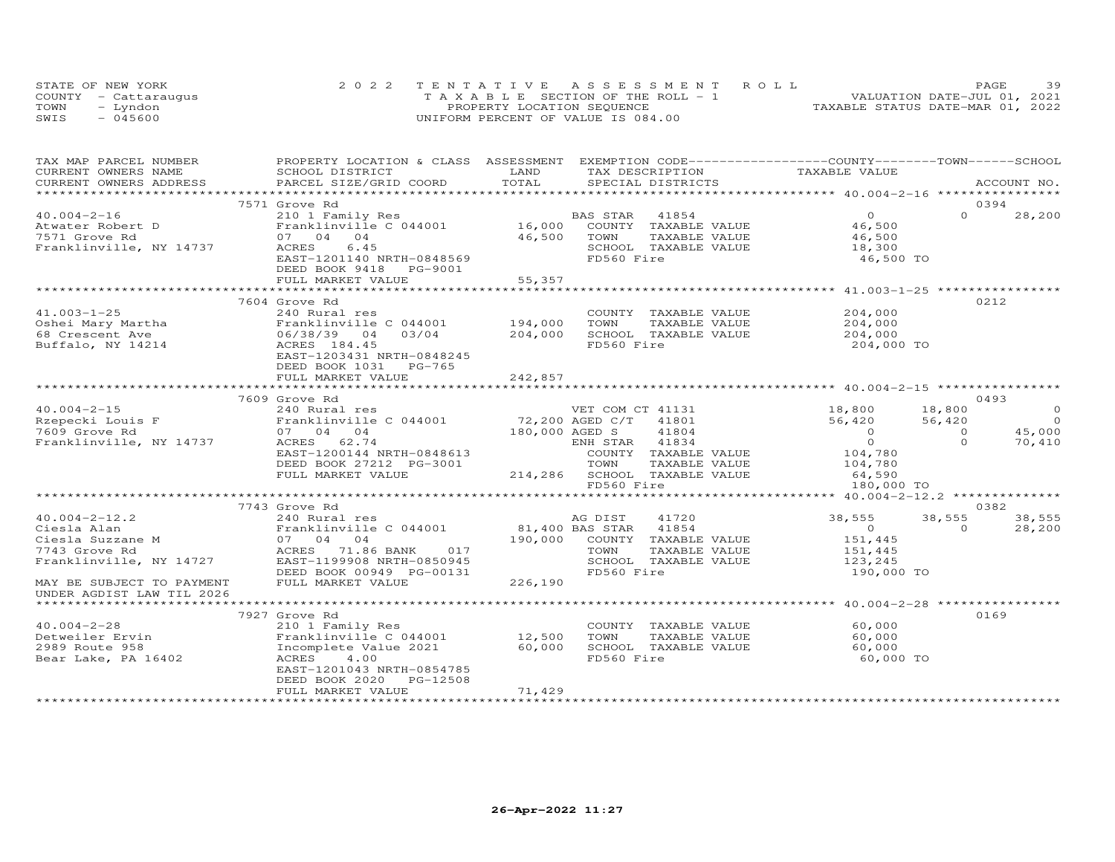|      | STATE OF NEW YORK    | 2022 TENTATIVE ASSESSMENT ROLL        | 39<br><b>PAGE</b>                |
|------|----------------------|---------------------------------------|----------------------------------|
|      | COUNTY - Cattarauqus | T A X A B L E SECTION OF THE ROLL - 1 | VALUATION DATE-JUL 01, 2021      |
| TOWN | - Lyndon             | PROPERTY LOCATION SEQUENCE            | TAXABLE STATUS DATE-MAR 01, 2022 |
| SWIS | $-045600$            | UNIFORM PERCENT OF VALUE IS 084.00    |                                  |

| TAX MAP PARCEL NUMBER                                                                                  | PROPERTY LOCATION & CLASS ASSESSMENT EXEMPTION CODE----------------COUNTY-------TOWN------SCHOOL |                                   |                                                               |                   |                          |
|--------------------------------------------------------------------------------------------------------|--------------------------------------------------------------------------------------------------|-----------------------------------|---------------------------------------------------------------|-------------------|--------------------------|
| CURRENT OWNERS NAME                                                                                    | SCHOOL DISTRICT                                                                                  | LAND                              | TAX DESCRIPTION                                               | TAXABLE VALUE     |                          |
| CURRENT OWNERS ADDRESS                                                                                 | PARCEL SIZE/GRID COORD                                                                           | TOTAL                             | SPECIAL DISTRICTS                                             |                   | ACCOUNT NO.              |
|                                                                                                        |                                                                                                  |                                   |                                                               |                   |                          |
|                                                                                                        | 7571 Grove Rd                                                                                    |                                   |                                                               |                   | 0394                     |
| $40.004 - 2 - 16$                                                                                      |                                                                                                  |                                   | BAS STAR<br>41854                                             | $\overline{0}$    | $\Omega$<br>28,200       |
| Atwater Robert D                                                                                       | B <sup>2</sup> 210 1 Family Res<br>Eranklinville C 044001 16,000                                 |                                   | COUNTY TAXABLE VALUE 46,500                                   |                   |                          |
| 7571 Grove Rd                                                                                          | 07 04 04                                                                                         | 46,500                            | TAXABLE VALUE<br>TOWN                                         | 46,500            |                          |
| Franklinville, NY 14737                                                                                | 6.45<br>ACRES                                                                                    |                                   | SCHOOL TAXABLE VALUE                                          | 18,300            |                          |
|                                                                                                        | EAST-1201140 NRTH-0848569                                                                        |                                   | FD560 Fire                                                    | 46,500 TO         |                          |
|                                                                                                        | DEED BOOK 9418 PG-9001                                                                           |                                   |                                                               |                   |                          |
|                                                                                                        |                                                                                                  |                                   |                                                               |                   |                          |
|                                                                                                        |                                                                                                  |                                   |                                                               |                   |                          |
|                                                                                                        | 7604 Grove Rd                                                                                    |                                   |                                                               |                   | 0212                     |
| $41.003 - 1 - 25$                                                                                      | 240 Rural res                                                                                    |                                   | COUNTY TAXABLE VALUE                                          | 204,000           |                          |
| Oshei Mary Martha (and Franklin version)<br>68 Crescent Ave (196/38/39)<br>Buffalo, NY 14214 (ACRES 18 | Franklinville C 044001                                                                           | 194,000                           | TAXABLE VALUE<br>TOWN                                         | 204,000           |                          |
|                                                                                                        | 03/04<br>04                                                                                      | 204,000                           | SCHOOL TAXABLE VALUE                                          | 204,000           |                          |
| Buffalo, NY 14214                                                                                      | ACRES 184.45                                                                                     |                                   | FD560 Fire                                                    | 204,000 TO        |                          |
|                                                                                                        | EAST-1203431 NRTH-0848245                                                                        |                                   |                                                               |                   |                          |
|                                                                                                        | DEED BOOK 1031 PG-765                                                                            |                                   |                                                               |                   |                          |
|                                                                                                        | FULL MARKET VALUE                                                                                | 242,857                           |                                                               |                   |                          |
|                                                                                                        |                                                                                                  |                                   |                                                               |                   |                          |
|                                                                                                        | 7609 Grove Rd                                                                                    |                                   |                                                               |                   | 0493                     |
| $40.004 - 2 - 15$                                                                                      | 240 Rural res                                                                                    |                                   | VET COM CT 41131                                              | 18,800            | $\circ$<br>18,800        |
| Rzepecki Louis F                                                                                       | Franklinville C 044001                                                                           |                                   | 41801                                                         | 56,420            | $\overline{O}$<br>56,420 |
| 7609 Grove Rd                                                                                          | 07 04 04                                                                                         | 72,200 AGED C/T<br>180,000 AGED S | 41804                                                         | $\overline{a}$    | 45,000<br>$\overline{0}$ |
| Franklinville, NY 14737                                                                                | ACRES 62.74                                                                                      |                                   | ENH STAR<br>41834                                             | $\sim$ 0 $\sim$   | $\Omega$<br>70,410       |
|                                                                                                        | EAST-1200144 NRTH-0848613                                                                        |                                   | COUNTY TAXABLE VALUE                                          | 104,780           |                          |
|                                                                                                        | DEED BOOK 27212 PG-3001                                                                          |                                   | TOWN<br>TAXABLE VALUE                                         | 104,780<br>64,590 |                          |
|                                                                                                        | FULL MARKET VALUE                                                                                |                                   | TOWN       TAXABLE VALUE<br>214,286    SCHOOL   TAXABLE VALUE |                   |                          |
|                                                                                                        |                                                                                                  |                                   | FD560 Fire                                                    | 180,000 TO        |                          |
|                                                                                                        |                                                                                                  |                                   |                                                               |                   |                          |
|                                                                                                        | 7743 Grove Rd                                                                                    |                                   |                                                               |                   | 0382                     |
| $40.004 - 2 - 12.2$                                                                                    |                                                                                                  |                                   | 41720<br>AG DIST                                              | 38,555            | 38,555<br>38,555         |
|                                                                                                        |                                                                                                  | 81,400 BAS STAR                   | 41854                                                         | $\overline{0}$    | $\Omega$<br>28,200       |
|                                                                                                        |                                                                                                  |                                   | 190,000 COUNTY TAXABLE VALUE                                  | 151,445           |                          |
|                                                                                                        |                                                                                                  |                                   | TOWN<br>TAXABLE VALUE                                         | 151,445           |                          |
|                                                                                                        |                                                                                                  |                                   | SCHOOL TAXABLE VALUE                                          | 123,245           |                          |
|                                                                                                        | DEED BOOK 00949 PG-00131                                                                         |                                   | FD560 Fire                                                    | 190,000 TO        |                          |
| MAY BE SUBJECT TO PAYMENT                                                                              | FULL MARKET VALUE                                                                                | 226,190                           |                                                               |                   |                          |
| UNDER AGDIST LAW TIL 2026                                                                              |                                                                                                  |                                   |                                                               |                   |                          |
|                                                                                                        |                                                                                                  |                                   |                                                               |                   |                          |
|                                                                                                        | 7927 Grove Rd                                                                                    |                                   |                                                               |                   | 0169                     |
| $40.004 - 2 - 28$                                                                                      | 210 1 Family Res                                                                                 |                                   | COUNTY TAXABLE VALUE                                          | 60,000            |                          |
| $40.007 - 7.$<br>Detweiler Ervin                                                                       | Franklinville C 044001 12,500                                                                    |                                   | TOWN<br>TAXABLE VALUE                                         | 60,000            |                          |
|                                                                                                        | Incomplete Value 2021                                                                            | 60,000                            | SCHOOL TAXABLE VALUE                                          | 60,000            |                          |
| Bear Lake, PA 16402                                                                                    | ACRES<br>4.00                                                                                    |                                   | FD560 Fire                                                    | 60,000 TO         |                          |
|                                                                                                        | EAST-1201043 NRTH-0854785                                                                        |                                   |                                                               |                   |                          |
|                                                                                                        | DEED BOOK 2020 PG-12508                                                                          |                                   |                                                               |                   |                          |
|                                                                                                        | FULL MARKET VALUE                                                                                | 71,429                            |                                                               |                   |                          |
|                                                                                                        |                                                                                                  |                                   |                                                               |                   |                          |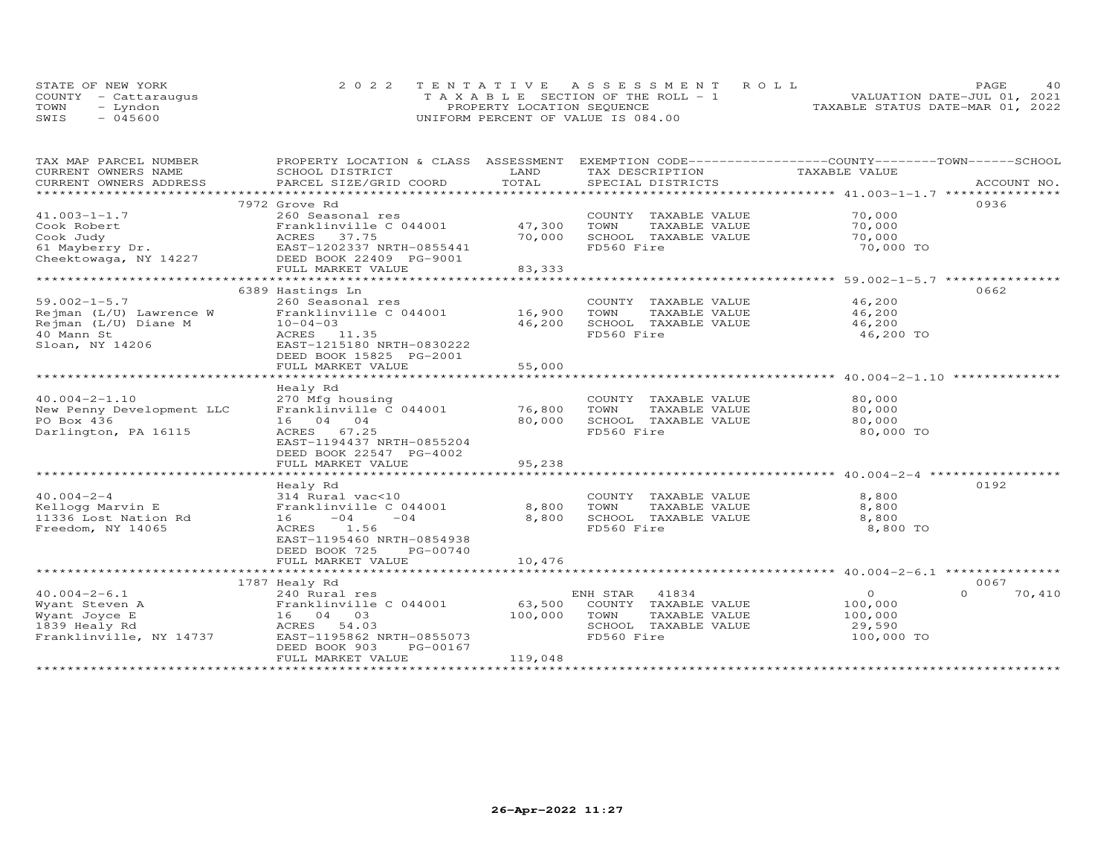|      | STATE OF NEW YORK    | 2022 TENTATIVE ASSESSMENT ROLL        | PAGE.                            |
|------|----------------------|---------------------------------------|----------------------------------|
|      | COUNTY - Cattaraugus | T A X A B L E SECTION OF THE ROLL - 1 | VALUATION DATE-JUL 01, 2021      |
| TOWN | uobnv."              | PROPERTY LOCATION SEQUENCE            | TAXABLE STATUS DATE-MAR 01, 2022 |
| SWIS | $-045600$            | UNIFORM PERCENT OF VALUE IS 084.00    |                                  |

| TAX MAP PARCEL NUMBER     | PROPERTY LOCATION & CLASS ASSESSMENT |         | EXEMPTION CODE-----------------COUNTY-------TOWN------SCHOOL |               |                    |
|---------------------------|--------------------------------------|---------|--------------------------------------------------------------|---------------|--------------------|
| CURRENT OWNERS NAME       | SCHOOL DISTRICT                      | LAND    | TAX DESCRIPTION                                              | TAXABLE VALUE |                    |
| CURRENT OWNERS ADDRESS    | PARCEL SIZE/GRID COORD               | TOTAL   | SPECIAL DISTRICTS                                            |               | ACCOUNT NO.        |
|                           |                                      |         |                                                              |               |                    |
|                           | 7972 Grove Rd                        |         |                                                              |               | 0936               |
| $41.003 - 1 - 1.7$        | 260 Seasonal res                     |         | COUNTY TAXABLE VALUE                                         | 70,000        |                    |
| Cook Robert               | Franklinville C 044001               | 47,300  | TOWN<br>TAXABLE VALUE                                        | 70,000        |                    |
| Cook Judy                 | ACRES<br>37.75                       | 70,000  | SCHOOL TAXABLE VALUE                                         | 70,000        |                    |
| $61$ Mayberry Dr.         | EAST-1202337 NRTH-0855441            |         | FD560 Fire                                                   | 70,000 TO     |                    |
| Cheektowaga, NY 14227     | DEED BOOK 22409 PG-9001              |         |                                                              |               |                    |
|                           | FULL MARKET VALUE                    | 83,333  |                                                              |               |                    |
|                           |                                      |         |                                                              |               |                    |
|                           | 6389 Hastings Ln                     |         |                                                              |               |                    |
|                           |                                      |         |                                                              |               | 0662               |
| $59.002 - 1 - 5.7$        | 260 Seasonal res                     |         | COUNTY TAXABLE VALUE                                         | 46,200        |                    |
| Rejman (L/U) Lawrence W   | Franklinville C 044001               | 16,900  | TAXABLE VALUE<br>TOWN                                        | 46,200        |                    |
| Rejman (L/U) Diane M      | $10 - 04 - 03$                       | 46,200  | SCHOOL TAXABLE VALUE                                         | 46,200        |                    |
| 40 Mann St                | ACRES 11.35                          |         | FD560 Fire                                                   | 46,200 TO     |                    |
| Sloan, NY 14206           | EAST-1215180 NRTH-0830222            |         |                                                              |               |                    |
|                           | DEED BOOK 15825 PG-2001              |         |                                                              |               |                    |
|                           | FULL MARKET VALUE                    | 55,000  |                                                              |               |                    |
|                           |                                      |         |                                                              |               |                    |
|                           | Healy Rd                             |         |                                                              |               |                    |
| $40.004 - 2 - 1.10$       | 270 Mfg housing                      |         | COUNTY TAXABLE VALUE                                         | 80,000        |                    |
| New Penny Development LLC | Franklinville C 044001               | 76,800  | TOWN<br>TAXABLE VALUE                                        | 80,000        |                    |
| PO Box 436                | 16 04 04                             | 80,000  | SCHOOL TAXABLE VALUE                                         | 80,000        |                    |
| Darlington, PA 16115      | ACRES 67.25                          |         | FD560 Fire                                                   | 80,000 TO     |                    |
|                           | EAST-1194437 NRTH-0855204            |         |                                                              |               |                    |
|                           | DEED BOOK 22547 PG-4002              |         |                                                              |               |                    |
|                           | FULL MARKET VALUE                    | 95,238  |                                                              |               |                    |
|                           |                                      |         |                                                              |               |                    |
|                           | Healy Rd                             |         |                                                              |               | 0192               |
| $40.004 - 2 - 4$          | 314 Rural vac<10                     |         | COUNTY TAXABLE VALUE                                         | 8,800         |                    |
| Kellogg Marvin E          | Franklinville C 044001               | 8,800   | TOWN<br>TAXABLE VALUE                                        | 8,800         |                    |
| 11336 Lost Nation Rd      | $-04$<br>$-04$<br>16 —               | 8,800   | SCHOOL TAXABLE VALUE                                         | 8,800         |                    |
|                           | 1.56                                 |         | FD560 Fire                                                   | 8,800 TO      |                    |
| Freedom, NY 14065         | ACRES                                |         |                                                              |               |                    |
|                           | EAST-1195460 NRTH-0854938            |         |                                                              |               |                    |
|                           | DEED BOOK 725<br>PG-00740            |         |                                                              |               |                    |
|                           | FULL MARKET VALUE                    | 10,476  |                                                              |               |                    |
|                           |                                      |         |                                                              |               |                    |
|                           | 1787 Healy Rd                        |         |                                                              |               | 0067               |
| $40.004 - 2 - 6.1$        | 240 Rural res                        |         | ENH STAR<br>41834                                            | $\circ$       | $\Omega$<br>70,410 |
| Wyant Steven A            | Franklinville C 044001               | 63,500  | COUNTY TAXABLE VALUE                                         | 100,000       |                    |
| Wyant Joyce E             | 16 04 03                             | 100,000 | TOWN<br>TAXABLE VALUE                                        | 100,000       |                    |
| 1839 Healy Rd             | ACRES 54.03                          |         | SCHOOL TAXABLE VALUE                                         | 29,590        |                    |
| Franklinville, NY 14737   | EAST-1195862 NRTH-0855073            |         | FD560 Fire                                                   | 100,000 TO    |                    |
|                           | DEED BOOK 903<br>PG-00167            |         |                                                              |               |                    |
|                           | FULL MARKET VALUE                    | 119,048 |                                                              |               |                    |
|                           |                                      |         |                                                              |               |                    |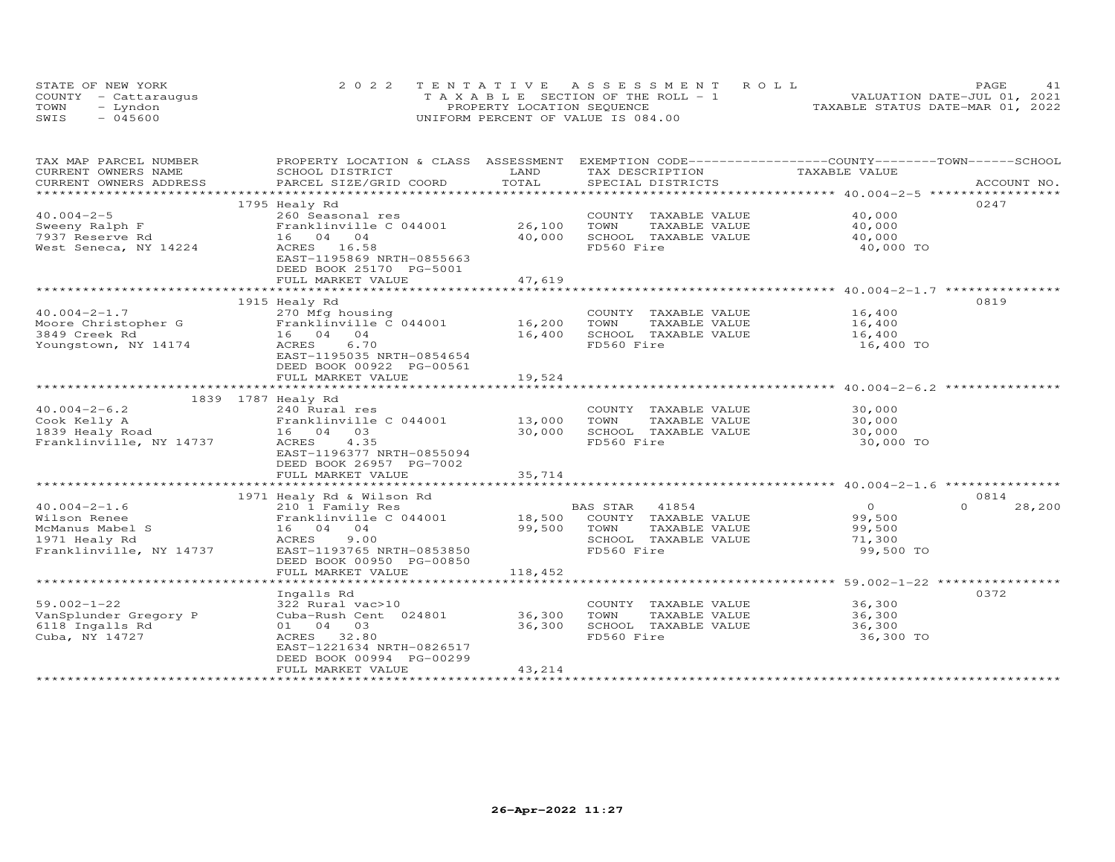|      | STATE OF NEW YORK    | 2022 TENTATIVE ASSESSMENT ROLL        | 41<br><b>PAGE</b>                |
|------|----------------------|---------------------------------------|----------------------------------|
|      | COUNTY - Cattaraugus | T A X A B L E SECTION OF THE ROLL - 1 | VALUATION DATE-JUL 01, 2021      |
| TOWN | - Lyndon             | PROPERTY LOCATION SEQUENCE            | TAXABLE STATUS DATE-MAR 01, 2022 |
| SWIS | - 045600             | UNIFORM PERCENT OF VALUE IS 084.00    |                                  |

| TAXABLE VALUE<br>.CURRENT OWNERS ADDRESS PARCEL SIZE/GRID COORD TOTAL SPECIAL DISTRICTS (ACCOUNT NO ACCOUNT NO ARCOUNT NO ACCOUNT NO ACCOUNT NO A LOGGER ALL SERVERS AND RESERVE A LOGGER A LOGGER AND A LOGGER AND RESERVE A LOGGER AND A LOGG<br>0247<br>1795 Healy Rd<br>$40.004 - 2 - 5$<br>40,000<br>260 Seasonal res<br>COUNTY TAXABLE VALUE<br>26,100<br>TOWN<br>TAXABLE VALUE<br>Sweeny Ralph F<br>Franklinville C 044001<br>40,000<br>7937 Reserve Rd<br>16 04 04<br>40,000<br>SCHOOL TAXABLE VALUE<br>40,000<br>FD560 Fire<br>West Seneca, NY 14224<br>ACRES 16.58<br>40,000 TO<br>EAST-1195869 NRTH-0855663<br>DEED BOOK 25170 PG-5001<br>47,619<br>FULL MARKET VALUE<br>0819<br>1915 Healy Rd<br>$40.004 - 2 - 1.7$<br>16,400<br>270 Mfg housing<br>COUNTY TAXABLE VALUE<br>TAXABLE VALUE<br>16,400<br>TOWN<br>SCHOOL TAXABLE VALUE<br>3849 Creek Rd<br>16 04 04<br>16,400<br>16,400<br>6.70<br>FD560 Fire<br>16,400 TO<br>Youngstown, NY 14174<br>ACRES<br>EAST-1195035 NRTH-0854654<br>DEED BOOK 00922 PG-00561<br>FULL MARKET VALUE<br>19,524<br>1839 1787 Healy Rd<br>$40.004 - 2 - 6.2$<br>240 Rural res<br>COUNTY TAXABLE VALUE<br>30,000<br>13,000<br>Franklinville C 044001<br>TAXABLE VALUE<br>30,000<br>Cook Kelly A<br>TOWN<br>1839 Healy Road<br>16 04 03<br>30,000<br>SCHOOL TAXABLE VALUE<br>30,000<br>Franklinville, NY 14737<br>ACRES 4.35<br>FD560 Fire<br>30,000 TO<br>EAST-1196377 NRTH-0855094<br>DEED BOOK 26957 PG-7002<br>FULL MARKET VALUE<br>35,714<br>1971 Healy Rd & Wilson Rd<br>0814<br>$40.004 - 2 - 1.6$<br>210 1 Family Res<br>BAS STAR 41854<br>$\Omega$<br>$\Omega$<br>28,200<br>BAS STAR    41854<br>18,500    COUNTY   TAXABLE  VALUE<br>Franklinville C 044001<br>99,500<br>Wilson Renee<br>99,500<br>McManus Mabel S<br>16 04 04<br>TOWN<br>TAXABLE VALUE<br>99,500<br>1971 Healy Rd<br>9.00<br>SCHOOL TAXABLE VALUE<br>ACRES<br>71,300<br>Franklinville, NY 14737<br>EAST-1193765 NRTH-0853850<br>FD560 Fire<br>99,500 TO | TAX MAP PARCEL NUMBER | PROPERTY LOCATION & CLASS ASSESSMENT EXEMPTION CODE-----------------COUNTY-------TOWN------SCHOOL |      |                 |  |
|------------------------------------------------------------------------------------------------------------------------------------------------------------------------------------------------------------------------------------------------------------------------------------------------------------------------------------------------------------------------------------------------------------------------------------------------------------------------------------------------------------------------------------------------------------------------------------------------------------------------------------------------------------------------------------------------------------------------------------------------------------------------------------------------------------------------------------------------------------------------------------------------------------------------------------------------------------------------------------------------------------------------------------------------------------------------------------------------------------------------------------------------------------------------------------------------------------------------------------------------------------------------------------------------------------------------------------------------------------------------------------------------------------------------------------------------------------------------------------------------------------------------------------------------------------------------------------------------------------------------------------------------------------------------------------------------------------------------------------------------------------------------------------------------------------------------------------------------------------------------------------------------------------------------------------------------------------------------------|-----------------------|---------------------------------------------------------------------------------------------------|------|-----------------|--|
|                                                                                                                                                                                                                                                                                                                                                                                                                                                                                                                                                                                                                                                                                                                                                                                                                                                                                                                                                                                                                                                                                                                                                                                                                                                                                                                                                                                                                                                                                                                                                                                                                                                                                                                                                                                                                                                                                                                                                                              | CURRENT OWNERS NAME   | SCHOOL DISTRICT                                                                                   | LAND | TAX DESCRIPTION |  |
|                                                                                                                                                                                                                                                                                                                                                                                                                                                                                                                                                                                                                                                                                                                                                                                                                                                                                                                                                                                                                                                                                                                                                                                                                                                                                                                                                                                                                                                                                                                                                                                                                                                                                                                                                                                                                                                                                                                                                                              |                       |                                                                                                   |      |                 |  |
|                                                                                                                                                                                                                                                                                                                                                                                                                                                                                                                                                                                                                                                                                                                                                                                                                                                                                                                                                                                                                                                                                                                                                                                                                                                                                                                                                                                                                                                                                                                                                                                                                                                                                                                                                                                                                                                                                                                                                                              |                       |                                                                                                   |      |                 |  |
|                                                                                                                                                                                                                                                                                                                                                                                                                                                                                                                                                                                                                                                                                                                                                                                                                                                                                                                                                                                                                                                                                                                                                                                                                                                                                                                                                                                                                                                                                                                                                                                                                                                                                                                                                                                                                                                                                                                                                                              |                       |                                                                                                   |      |                 |  |
|                                                                                                                                                                                                                                                                                                                                                                                                                                                                                                                                                                                                                                                                                                                                                                                                                                                                                                                                                                                                                                                                                                                                                                                                                                                                                                                                                                                                                                                                                                                                                                                                                                                                                                                                                                                                                                                                                                                                                                              |                       |                                                                                                   |      |                 |  |
|                                                                                                                                                                                                                                                                                                                                                                                                                                                                                                                                                                                                                                                                                                                                                                                                                                                                                                                                                                                                                                                                                                                                                                                                                                                                                                                                                                                                                                                                                                                                                                                                                                                                                                                                                                                                                                                                                                                                                                              |                       |                                                                                                   |      |                 |  |
|                                                                                                                                                                                                                                                                                                                                                                                                                                                                                                                                                                                                                                                                                                                                                                                                                                                                                                                                                                                                                                                                                                                                                                                                                                                                                                                                                                                                                                                                                                                                                                                                                                                                                                                                                                                                                                                                                                                                                                              |                       |                                                                                                   |      |                 |  |
|                                                                                                                                                                                                                                                                                                                                                                                                                                                                                                                                                                                                                                                                                                                                                                                                                                                                                                                                                                                                                                                                                                                                                                                                                                                                                                                                                                                                                                                                                                                                                                                                                                                                                                                                                                                                                                                                                                                                                                              |                       |                                                                                                   |      |                 |  |
|                                                                                                                                                                                                                                                                                                                                                                                                                                                                                                                                                                                                                                                                                                                                                                                                                                                                                                                                                                                                                                                                                                                                                                                                                                                                                                                                                                                                                                                                                                                                                                                                                                                                                                                                                                                                                                                                                                                                                                              |                       |                                                                                                   |      |                 |  |
|                                                                                                                                                                                                                                                                                                                                                                                                                                                                                                                                                                                                                                                                                                                                                                                                                                                                                                                                                                                                                                                                                                                                                                                                                                                                                                                                                                                                                                                                                                                                                                                                                                                                                                                                                                                                                                                                                                                                                                              |                       |                                                                                                   |      |                 |  |
|                                                                                                                                                                                                                                                                                                                                                                                                                                                                                                                                                                                                                                                                                                                                                                                                                                                                                                                                                                                                                                                                                                                                                                                                                                                                                                                                                                                                                                                                                                                                                                                                                                                                                                                                                                                                                                                                                                                                                                              |                       |                                                                                                   |      |                 |  |
|                                                                                                                                                                                                                                                                                                                                                                                                                                                                                                                                                                                                                                                                                                                                                                                                                                                                                                                                                                                                                                                                                                                                                                                                                                                                                                                                                                                                                                                                                                                                                                                                                                                                                                                                                                                                                                                                                                                                                                              |                       |                                                                                                   |      |                 |  |
|                                                                                                                                                                                                                                                                                                                                                                                                                                                                                                                                                                                                                                                                                                                                                                                                                                                                                                                                                                                                                                                                                                                                                                                                                                                                                                                                                                                                                                                                                                                                                                                                                                                                                                                                                                                                                                                                                                                                                                              |                       |                                                                                                   |      |                 |  |
|                                                                                                                                                                                                                                                                                                                                                                                                                                                                                                                                                                                                                                                                                                                                                                                                                                                                                                                                                                                                                                                                                                                                                                                                                                                                                                                                                                                                                                                                                                                                                                                                                                                                                                                                                                                                                                                                                                                                                                              |                       |                                                                                                   |      |                 |  |
|                                                                                                                                                                                                                                                                                                                                                                                                                                                                                                                                                                                                                                                                                                                                                                                                                                                                                                                                                                                                                                                                                                                                                                                                                                                                                                                                                                                                                                                                                                                                                                                                                                                                                                                                                                                                                                                                                                                                                                              |                       |                                                                                                   |      |                 |  |
|                                                                                                                                                                                                                                                                                                                                                                                                                                                                                                                                                                                                                                                                                                                                                                                                                                                                                                                                                                                                                                                                                                                                                                                                                                                                                                                                                                                                                                                                                                                                                                                                                                                                                                                                                                                                                                                                                                                                                                              |                       |                                                                                                   |      |                 |  |
|                                                                                                                                                                                                                                                                                                                                                                                                                                                                                                                                                                                                                                                                                                                                                                                                                                                                                                                                                                                                                                                                                                                                                                                                                                                                                                                                                                                                                                                                                                                                                                                                                                                                                                                                                                                                                                                                                                                                                                              |                       |                                                                                                   |      |                 |  |
|                                                                                                                                                                                                                                                                                                                                                                                                                                                                                                                                                                                                                                                                                                                                                                                                                                                                                                                                                                                                                                                                                                                                                                                                                                                                                                                                                                                                                                                                                                                                                                                                                                                                                                                                                                                                                                                                                                                                                                              |                       |                                                                                                   |      |                 |  |
|                                                                                                                                                                                                                                                                                                                                                                                                                                                                                                                                                                                                                                                                                                                                                                                                                                                                                                                                                                                                                                                                                                                                                                                                                                                                                                                                                                                                                                                                                                                                                                                                                                                                                                                                                                                                                                                                                                                                                                              |                       |                                                                                                   |      |                 |  |
|                                                                                                                                                                                                                                                                                                                                                                                                                                                                                                                                                                                                                                                                                                                                                                                                                                                                                                                                                                                                                                                                                                                                                                                                                                                                                                                                                                                                                                                                                                                                                                                                                                                                                                                                                                                                                                                                                                                                                                              |                       |                                                                                                   |      |                 |  |
|                                                                                                                                                                                                                                                                                                                                                                                                                                                                                                                                                                                                                                                                                                                                                                                                                                                                                                                                                                                                                                                                                                                                                                                                                                                                                                                                                                                                                                                                                                                                                                                                                                                                                                                                                                                                                                                                                                                                                                              |                       |                                                                                                   |      |                 |  |
|                                                                                                                                                                                                                                                                                                                                                                                                                                                                                                                                                                                                                                                                                                                                                                                                                                                                                                                                                                                                                                                                                                                                                                                                                                                                                                                                                                                                                                                                                                                                                                                                                                                                                                                                                                                                                                                                                                                                                                              |                       |                                                                                                   |      |                 |  |
|                                                                                                                                                                                                                                                                                                                                                                                                                                                                                                                                                                                                                                                                                                                                                                                                                                                                                                                                                                                                                                                                                                                                                                                                                                                                                                                                                                                                                                                                                                                                                                                                                                                                                                                                                                                                                                                                                                                                                                              |                       |                                                                                                   |      |                 |  |
|                                                                                                                                                                                                                                                                                                                                                                                                                                                                                                                                                                                                                                                                                                                                                                                                                                                                                                                                                                                                                                                                                                                                                                                                                                                                                                                                                                                                                                                                                                                                                                                                                                                                                                                                                                                                                                                                                                                                                                              |                       |                                                                                                   |      |                 |  |
|                                                                                                                                                                                                                                                                                                                                                                                                                                                                                                                                                                                                                                                                                                                                                                                                                                                                                                                                                                                                                                                                                                                                                                                                                                                                                                                                                                                                                                                                                                                                                                                                                                                                                                                                                                                                                                                                                                                                                                              |                       |                                                                                                   |      |                 |  |
|                                                                                                                                                                                                                                                                                                                                                                                                                                                                                                                                                                                                                                                                                                                                                                                                                                                                                                                                                                                                                                                                                                                                                                                                                                                                                                                                                                                                                                                                                                                                                                                                                                                                                                                                                                                                                                                                                                                                                                              |                       |                                                                                                   |      |                 |  |
|                                                                                                                                                                                                                                                                                                                                                                                                                                                                                                                                                                                                                                                                                                                                                                                                                                                                                                                                                                                                                                                                                                                                                                                                                                                                                                                                                                                                                                                                                                                                                                                                                                                                                                                                                                                                                                                                                                                                                                              |                       |                                                                                                   |      |                 |  |
|                                                                                                                                                                                                                                                                                                                                                                                                                                                                                                                                                                                                                                                                                                                                                                                                                                                                                                                                                                                                                                                                                                                                                                                                                                                                                                                                                                                                                                                                                                                                                                                                                                                                                                                                                                                                                                                                                                                                                                              |                       |                                                                                                   |      |                 |  |
|                                                                                                                                                                                                                                                                                                                                                                                                                                                                                                                                                                                                                                                                                                                                                                                                                                                                                                                                                                                                                                                                                                                                                                                                                                                                                                                                                                                                                                                                                                                                                                                                                                                                                                                                                                                                                                                                                                                                                                              |                       |                                                                                                   |      |                 |  |
|                                                                                                                                                                                                                                                                                                                                                                                                                                                                                                                                                                                                                                                                                                                                                                                                                                                                                                                                                                                                                                                                                                                                                                                                                                                                                                                                                                                                                                                                                                                                                                                                                                                                                                                                                                                                                                                                                                                                                                              |                       |                                                                                                   |      |                 |  |
|                                                                                                                                                                                                                                                                                                                                                                                                                                                                                                                                                                                                                                                                                                                                                                                                                                                                                                                                                                                                                                                                                                                                                                                                                                                                                                                                                                                                                                                                                                                                                                                                                                                                                                                                                                                                                                                                                                                                                                              |                       |                                                                                                   |      |                 |  |
|                                                                                                                                                                                                                                                                                                                                                                                                                                                                                                                                                                                                                                                                                                                                                                                                                                                                                                                                                                                                                                                                                                                                                                                                                                                                                                                                                                                                                                                                                                                                                                                                                                                                                                                                                                                                                                                                                                                                                                              |                       |                                                                                                   |      |                 |  |
|                                                                                                                                                                                                                                                                                                                                                                                                                                                                                                                                                                                                                                                                                                                                                                                                                                                                                                                                                                                                                                                                                                                                                                                                                                                                                                                                                                                                                                                                                                                                                                                                                                                                                                                                                                                                                                                                                                                                                                              |                       |                                                                                                   |      |                 |  |
|                                                                                                                                                                                                                                                                                                                                                                                                                                                                                                                                                                                                                                                                                                                                                                                                                                                                                                                                                                                                                                                                                                                                                                                                                                                                                                                                                                                                                                                                                                                                                                                                                                                                                                                                                                                                                                                                                                                                                                              |                       |                                                                                                   |      |                 |  |
|                                                                                                                                                                                                                                                                                                                                                                                                                                                                                                                                                                                                                                                                                                                                                                                                                                                                                                                                                                                                                                                                                                                                                                                                                                                                                                                                                                                                                                                                                                                                                                                                                                                                                                                                                                                                                                                                                                                                                                              |                       |                                                                                                   |      |                 |  |
|                                                                                                                                                                                                                                                                                                                                                                                                                                                                                                                                                                                                                                                                                                                                                                                                                                                                                                                                                                                                                                                                                                                                                                                                                                                                                                                                                                                                                                                                                                                                                                                                                                                                                                                                                                                                                                                                                                                                                                              |                       |                                                                                                   |      |                 |  |
| DEED BOOK 00950 PG-00850                                                                                                                                                                                                                                                                                                                                                                                                                                                                                                                                                                                                                                                                                                                                                                                                                                                                                                                                                                                                                                                                                                                                                                                                                                                                                                                                                                                                                                                                                                                                                                                                                                                                                                                                                                                                                                                                                                                                                     |                       |                                                                                                   |      |                 |  |
| FULL MARKET VALUE<br>118,452                                                                                                                                                                                                                                                                                                                                                                                                                                                                                                                                                                                                                                                                                                                                                                                                                                                                                                                                                                                                                                                                                                                                                                                                                                                                                                                                                                                                                                                                                                                                                                                                                                                                                                                                                                                                                                                                                                                                                 |                       |                                                                                                   |      |                 |  |
|                                                                                                                                                                                                                                                                                                                                                                                                                                                                                                                                                                                                                                                                                                                                                                                                                                                                                                                                                                                                                                                                                                                                                                                                                                                                                                                                                                                                                                                                                                                                                                                                                                                                                                                                                                                                                                                                                                                                                                              |                       |                                                                                                   |      |                 |  |
| 0372<br>Ingalls Rd                                                                                                                                                                                                                                                                                                                                                                                                                                                                                                                                                                                                                                                                                                                                                                                                                                                                                                                                                                                                                                                                                                                                                                                                                                                                                                                                                                                                                                                                                                                                                                                                                                                                                                                                                                                                                                                                                                                                                           |                       |                                                                                                   |      |                 |  |
| $59.002 - 1 - 22$<br>322 Rural vac>10<br>36,300<br>COUNTY TAXABLE VALUE                                                                                                                                                                                                                                                                                                                                                                                                                                                                                                                                                                                                                                                                                                                                                                                                                                                                                                                                                                                                                                                                                                                                                                                                                                                                                                                                                                                                                                                                                                                                                                                                                                                                                                                                                                                                                                                                                                      |                       |                                                                                                   |      |                 |  |
| VanSplunder Gregory P<br>36,300<br>TOWN<br>TAXABLE VALUE<br>36,300<br>Cuba-Rush Cent 024801                                                                                                                                                                                                                                                                                                                                                                                                                                                                                                                                                                                                                                                                                                                                                                                                                                                                                                                                                                                                                                                                                                                                                                                                                                                                                                                                                                                                                                                                                                                                                                                                                                                                                                                                                                                                                                                                                  |                       |                                                                                                   |      |                 |  |
| 6118 Ingalls Rd<br>36,300<br>SCHOOL TAXABLE VALUE<br>36,300<br>01 04 03                                                                                                                                                                                                                                                                                                                                                                                                                                                                                                                                                                                                                                                                                                                                                                                                                                                                                                                                                                                                                                                                                                                                                                                                                                                                                                                                                                                                                                                                                                                                                                                                                                                                                                                                                                                                                                                                                                      |                       |                                                                                                   |      |                 |  |
| ACRES 32.80<br>FD560 Fire<br>36,300 TO<br>Cuba, NY 14727                                                                                                                                                                                                                                                                                                                                                                                                                                                                                                                                                                                                                                                                                                                                                                                                                                                                                                                                                                                                                                                                                                                                                                                                                                                                                                                                                                                                                                                                                                                                                                                                                                                                                                                                                                                                                                                                                                                     |                       |                                                                                                   |      |                 |  |
| EAST-1221634 NRTH-0826517                                                                                                                                                                                                                                                                                                                                                                                                                                                                                                                                                                                                                                                                                                                                                                                                                                                                                                                                                                                                                                                                                                                                                                                                                                                                                                                                                                                                                                                                                                                                                                                                                                                                                                                                                                                                                                                                                                                                                    |                       |                                                                                                   |      |                 |  |
| DEED BOOK 00994 PG-00299                                                                                                                                                                                                                                                                                                                                                                                                                                                                                                                                                                                                                                                                                                                                                                                                                                                                                                                                                                                                                                                                                                                                                                                                                                                                                                                                                                                                                                                                                                                                                                                                                                                                                                                                                                                                                                                                                                                                                     |                       |                                                                                                   |      |                 |  |
| FULL MARKET VALUE<br>43,214                                                                                                                                                                                                                                                                                                                                                                                                                                                                                                                                                                                                                                                                                                                                                                                                                                                                                                                                                                                                                                                                                                                                                                                                                                                                                                                                                                                                                                                                                                                                                                                                                                                                                                                                                                                                                                                                                                                                                  |                       |                                                                                                   |      |                 |  |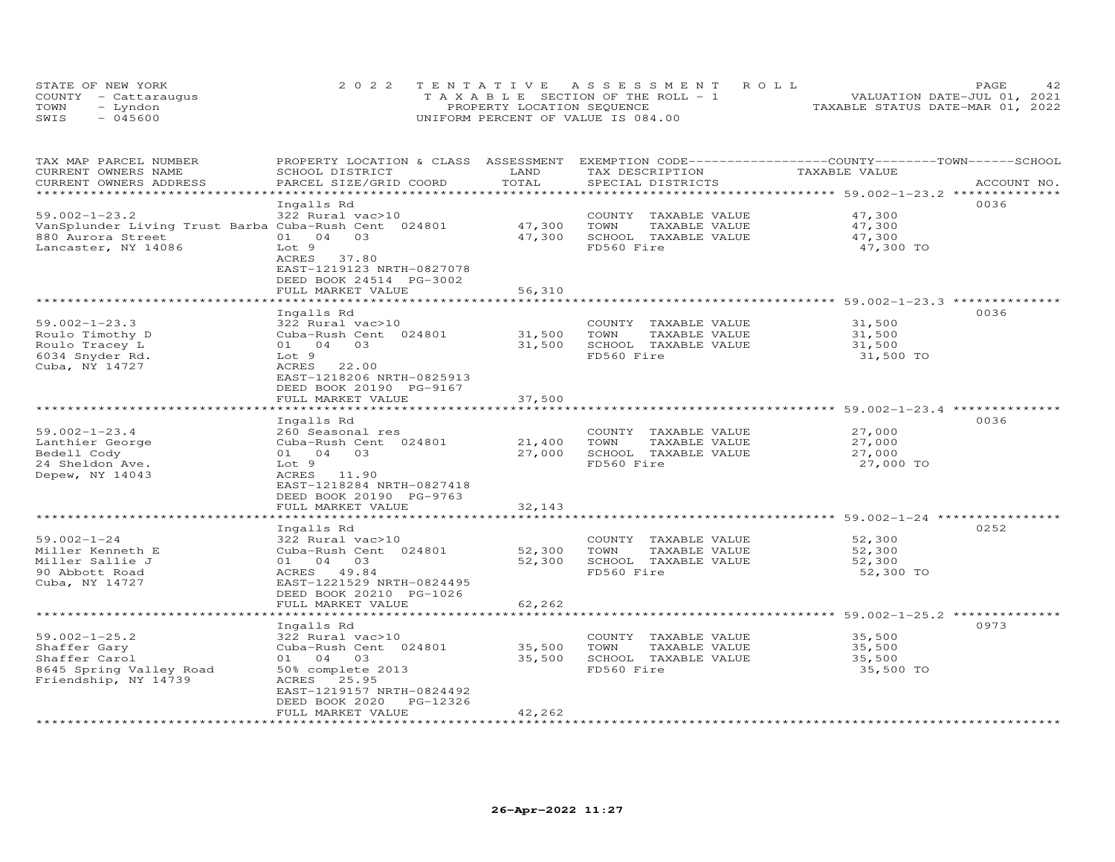| STATE OF NEW YORK    | 2022 TENTATIVE ASSESSMENT ROLL        | PAGE                             |
|----------------------|---------------------------------------|----------------------------------|
| COUNTY - Cattaraugus | T A X A B L E SECTION OF THE ROLL - 1 | VALUATION DATE-JUL 01, 2021      |
| TOWN<br>- Lyndon     | PROPERTY LOCATION SEQUENCE            | TAXABLE STATUS DATE-MAR 01, 2022 |
| $-045600$<br>SWIS    | UNIFORM PERCENT OF VALUE IS 084.00    |                                  |

| TAX MAP PARCEL NUMBER<br>CURRENT OWNERS NAME         | PROPERTY LOCATION & CLASS ASSESSMENT<br>SCHOOL DISTRICT | LAND                         | TAX DESCRIPTION                               | EXEMPTION CODE-----------------COUNTY-------TOWN------SCHOOL<br>TAXABLE VALUE |             |
|------------------------------------------------------|---------------------------------------------------------|------------------------------|-----------------------------------------------|-------------------------------------------------------------------------------|-------------|
| CURRENT OWNERS ADDRESS<br>******************         | PARCEL SIZE/GRID COORD                                  | TOTAL                        | SPECIAL DISTRICTS                             |                                                                               | ACCOUNT NO. |
|                                                      | Ingalls Rd                                              |                              |                                               |                                                                               | 0036        |
| $59.002 - 1 - 23.2$                                  | 322 Rural vac>10                                        |                              | COUNTY<br>TAXABLE VALUE                       | 47,300                                                                        |             |
| VanSplunder Living Trust Barba Cuba-Rush Cent 024801 |                                                         | 47,300                       | TOWN<br>TAXABLE VALUE                         | 47,300                                                                        |             |
| 880 Aurora Street                                    | 01 04<br>03                                             | 47,300                       | SCHOOL TAXABLE VALUE                          | 47,300                                                                        |             |
| Lancaster, NY 14086                                  | Lot 9                                                   |                              | FD560 Fire                                    | 47,300 TO                                                                     |             |
|                                                      | ACRES<br>37.80<br>EAST-1219123 NRTH-0827078             |                              |                                               |                                                                               |             |
|                                                      | DEED BOOK 24514 PG-3002                                 |                              |                                               |                                                                               |             |
|                                                      | FULL MARKET VALUE                                       | 56,310                       |                                               |                                                                               |             |
|                                                      |                                                         |                              |                                               | **************** 59.002-1-23.3 ********                                       |             |
| $59.002 - 1 - 23.3$                                  | Ingalls Rd                                              |                              |                                               |                                                                               | 0036        |
| Roulo Timothy D                                      | 322 Rural vac>10<br>Cuba-Rush Cent 024801               | 31,500                       | COUNTY TAXABLE VALUE<br>TOWN<br>TAXABLE VALUE | 31,500<br>31,500                                                              |             |
| Roulo Tracey L                                       | 01 04<br>03                                             | 31,500                       | SCHOOL TAXABLE VALUE                          | 31,500                                                                        |             |
| 6034 Snyder Rd.                                      | Lot 9                                                   |                              | FD560 Fire                                    | 31,500 TO                                                                     |             |
| Cuba, NY 14727                                       | ACRES<br>22.00<br>EAST-1218206 NRTH-0825913             |                              |                                               |                                                                               |             |
|                                                      | DEED BOOK 20190 PG-9167                                 |                              |                                               |                                                                               |             |
|                                                      | FULL MARKET VALUE                                       | 37,500                       |                                               |                                                                               |             |
|                                                      | **********************                                  | * * * * * * * * * * * * *    |                                               | ************************ 59.002-1-23.4 *************                          |             |
|                                                      | Ingalls Rd                                              |                              |                                               |                                                                               | 0036        |
| $59.002 - 1 - 23.4$                                  | 260 Seasonal res                                        |                              | COUNTY TAXABLE VALUE                          | 27,000                                                                        |             |
| Lanthier George                                      | Cuba-Rush Cent 024801                                   | 21,400                       | TOWN<br>TAXABLE VALUE                         | 27,000                                                                        |             |
| Bedell Cody                                          | 01 04<br>03                                             | 27,000                       | SCHOOL TAXABLE VALUE                          | 27,000                                                                        |             |
| 24 Sheldon Ave.                                      | Lot 9                                                   |                              | FD560 Fire                                    | 27,000 TO                                                                     |             |
| Depew, NY 14043                                      | ACRES 11.90<br>EAST-1218284 NRTH-0827418                |                              |                                               |                                                                               |             |
|                                                      | DEED BOOK 20190 PG-9763                                 |                              |                                               |                                                                               |             |
|                                                      | FULL MARKET VALUE                                       | 32,143                       |                                               |                                                                               |             |
|                                                      |                                                         |                              |                                               | ******** 59.002-1-24 *****                                                    |             |
|                                                      | Ingalls Rd                                              |                              |                                               |                                                                               | 0252        |
| $59.002 - 1 - 24$                                    | 322 Rural vac>10                                        |                              | COUNTY TAXABLE VALUE                          | 52,300                                                                        |             |
| Miller Kenneth E                                     | Cuba-Rush Cent 024801                                   | 52,300                       | TOWN<br>TAXABLE VALUE                         | 52,300                                                                        |             |
| Miller Sallie J                                      | 01 04 03                                                | 52,300                       | SCHOOL TAXABLE VALUE                          | 52,300                                                                        |             |
| 90 Abbott Road                                       | ACRES 49.84                                             |                              | FD560 Fire                                    | 52,300 TO                                                                     |             |
| Cuba, NY 14727                                       | EAST-1221529 NRTH-0824495                               |                              |                                               |                                                                               |             |
|                                                      | DEED BOOK 20210 PG-1026                                 |                              |                                               |                                                                               |             |
|                                                      | FULL MARKET VALUE                                       | 62,262                       |                                               |                                                                               |             |
|                                                      |                                                         |                              |                                               | ****************************** 59.002-1-25.2 ********                         |             |
|                                                      | Ingalls Rd                                              |                              |                                               |                                                                               | 0973        |
| $59.002 - 1 - 25.2$                                  | 322 Rural vac>10                                        |                              | COUNTY<br>TAXABLE VALUE                       | 35,500                                                                        |             |
| Shaffer Gary                                         | Cuba-Rush Cent 024801                                   | 35,500                       | TOWN<br>TAXABLE VALUE                         | 35,500                                                                        |             |
| Shaffer Carol                                        | 04<br>03<br>01                                          | 35,500                       | SCHOOL TAXABLE VALUE                          | 35,500                                                                        |             |
| 8645 Spring Valley Road                              | 50% complete 2013                                       |                              | FD560 Fire                                    | 35,500 TO                                                                     |             |
| Friendship, NY 14739                                 | ACRES<br>25.95                                          |                              |                                               |                                                                               |             |
|                                                      | EAST-1219157 NRTH-0824492                               |                              |                                               |                                                                               |             |
|                                                      | DEED BOOK 2020<br>PG-12326                              |                              |                                               |                                                                               |             |
| *********************                                | FULL MARKET VALUE<br>*************************          | 42,262<br>****************** |                                               |                                                                               |             |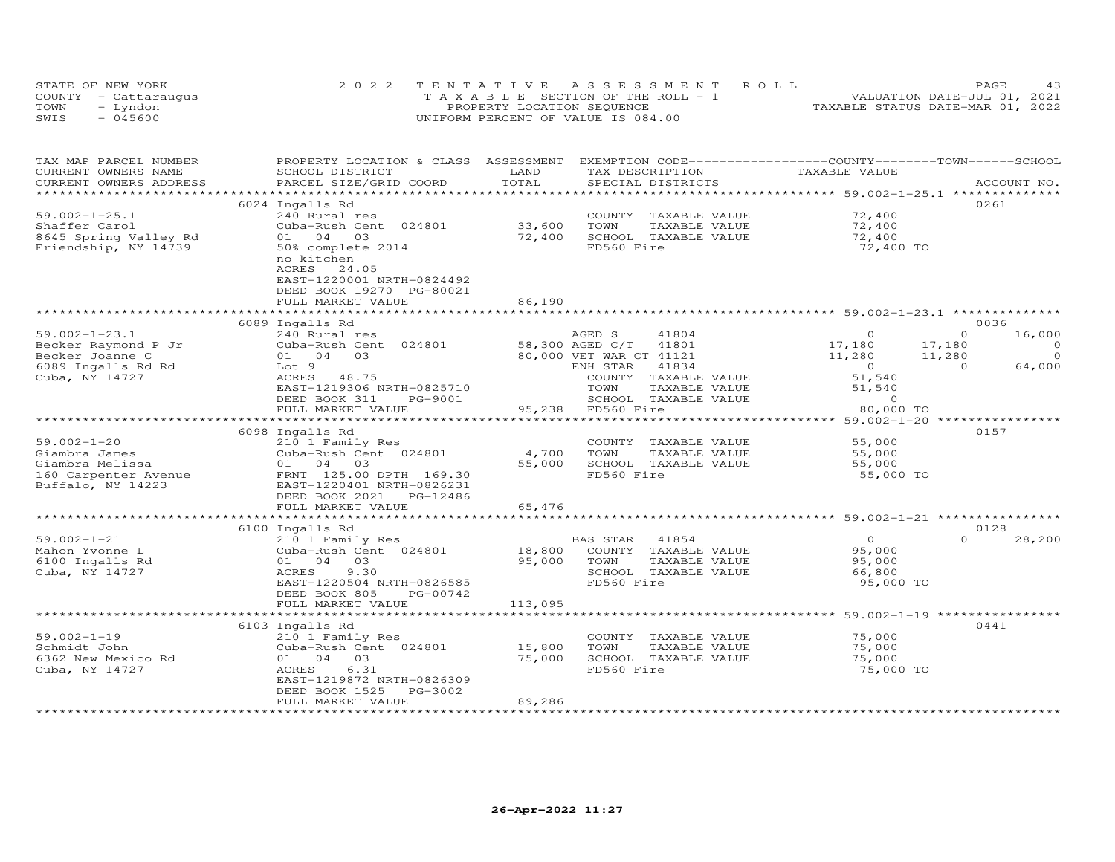| STATE OF NEW YORK    | 2022 TENTATIVE ASSESSMENT ROLL        | 43<br>PAGE.                      |
|----------------------|---------------------------------------|----------------------------------|
| COUNTY - Cattaraugus | T A X A B L E SECTION OF THE ROLL - 1 | VALUATION DATE-JUL 01, 2021      |
| TOWN<br>– Lyndon     | PROPERTY LOCATION SEQUENCE            | TAXABLE STATUS DATE-MAR 01, 2022 |
| SWIS<br>- 045600     | UNIFORM PERCENT OF VALUE IS 084.00    |                                  |

| TAX MAP PARCEL NUMBER                             | PROPERTY LOCATION & CLASS ASSESSMENT |         | EXEMPTION CODE-----------------COUNTY-------TOWN------SCHOOL |                |                    |
|---------------------------------------------------|--------------------------------------|---------|--------------------------------------------------------------|----------------|--------------------|
| CURRENT OWNERS NAME                               | SCHOOL DISTRICT                      | LAND    | TAX DESCRIPTION                                              | TAXABLE VALUE  |                    |
| CURRENT OWNERS ADDRESS<br>*********************** | PARCEL SIZE/GRID COORD               | TOTAL   | SPECIAL DISTRICTS                                            |                | ACCOUNT NO.        |
|                                                   |                                      |         |                                                              |                |                    |
| $59.002 - 1 - 25.1$                               | 6024 Ingalls Rd                      |         |                                                              | 72,400         | 0261               |
|                                                   | 240 Rural res                        | 33,600  | COUNTY TAXABLE VALUE                                         | 72,400         |                    |
| Shaffer Carol                                     | Cuba-Rush Cent 024801                |         | TOWN<br>TAXABLE VALUE                                        |                |                    |
| 8645 Spring Valley Rd                             | 01 04 03                             | 72,400  | SCHOOL TAXABLE VALUE                                         | 72,400         |                    |
| Friendship, NY 14739                              | 50% complete 2014                    |         | FD560 Fire                                                   | 72,400 TO      |                    |
|                                                   | no kitchen                           |         |                                                              |                |                    |
|                                                   | ACRES<br>24.05                       |         |                                                              |                |                    |
|                                                   | EAST-1220001 NRTH-0824492            |         |                                                              |                |                    |
|                                                   | DEED BOOK 19270 PG-80021             |         |                                                              |                |                    |
|                                                   | FULL MARKET VALUE                    | 86,190  |                                                              |                |                    |
|                                                   |                                      |         |                                                              |                | 0036               |
| $59.002 - 1 - 23.1$                               | 6089 Ingalls Rd<br>240 Rural res     |         | AGED S<br>41804                                              | $\Omega$       | $\Omega$           |
| Becker Raymond P Jr                               |                                      |         | 58,300 AGED C/T<br>41801                                     |                | 16,000<br>$\circ$  |
|                                                   | Cuba-Rush Cent 024801                |         |                                                              | 17,180         | 17,180<br>$\circ$  |
| Becker Joanne C                                   | 01 04 03                             |         | 80,000 VET WAR CT 41121                                      | 11,280         | 11,280<br>$\Omega$ |
| 6089 Ingalls Rd Rd                                | Lot 9                                |         | 41834<br>ENH STAR                                            | $\overline{0}$ | 64,000             |
| Cuba, NY 14727                                    | ACRES 48.75                          |         | COUNTY TAXABLE VALUE                                         | 51,540         |                    |
|                                                   | EAST-1219306 NRTH-0825710            |         | TOWN<br>TAXABLE VALUE                                        | 51,540         |                    |
|                                                   | DEED BOOK 311<br>PG-9001             |         | SCHOOL TAXABLE VALUE                                         | $\circ$        |                    |
|                                                   | FULL MARKET VALUE                    |         | 95,238 FD560 Fire                                            | 80,000 TO      |                    |
|                                                   | 6098 Ingalls Rd                      |         |                                                              |                | 0157               |
| $59.002 - 1 - 20$                                 | 210 1 Family Res                     |         | COUNTY TAXABLE VALUE                                         | 55,000         |                    |
| Giambra James                                     | Cuba-Rush Cent 024801                | 4,700   | TOWN<br>TAXABLE VALUE                                        | 55,000         |                    |
| Giambra Melissa                                   | 01 04 03                             | 55,000  | SCHOOL TAXABLE VALUE                                         | 55,000         |                    |
| 160 Carpenter Avenue                              | FRNT 125.00 DPTH 169.30              |         | FD560 Fire                                                   | 55,000 TO      |                    |
| Buffalo, NY 14223                                 | EAST-1220401 NRTH-0826231            |         |                                                              |                |                    |
|                                                   | DEED BOOK 2021 PG-12486              |         |                                                              |                |                    |
|                                                   | FULL MARKET VALUE                    | 65,476  |                                                              |                |                    |
|                                                   |                                      |         |                                                              |                |                    |
|                                                   | 6100 Ingalls Rd                      |         |                                                              |                | 0128               |
| $59.002 - 1 - 21$                                 | 210 1 Family Res                     |         | BAS STAR<br>41854                                            | $\Omega$       | $\Omega$<br>28,200 |
| Mahon Yvonne L                                    | Cuba-Rush Cent 024801                | 18,800  | COUNTY TAXABLE VALUE                                         | 95,000         |                    |
| 6100 Ingalls Rd                                   | 01 04 03                             | 95,000  | TOWN<br>TAXABLE VALUE                                        | 95,000         |                    |
| Cuba, NY 14727                                    | ACRES<br>9.30                        |         | SCHOOL TAXABLE VALUE                                         | 66,800         |                    |
|                                                   | EAST-1220504 NRTH-0826585            |         | FD560 Fire                                                   | 95,000 TO      |                    |
|                                                   | DEED BOOK 805<br>PG-00742            |         |                                                              |                |                    |
|                                                   | FULL MARKET VALUE                    | 113,095 |                                                              |                |                    |
|                                                   |                                      |         |                                                              |                |                    |
|                                                   | 6103 Ingalls Rd                      |         |                                                              |                | 0441               |
| $59.002 - 1 - 19$                                 | 210 1 Family Res                     |         | COUNTY TAXABLE VALUE                                         | 75,000         |                    |
| Schmidt John                                      | Cuba-Rush Cent 024801                | 15,800  | TOWN<br>TAXABLE VALUE                                        | 75,000         |                    |
| 6362 New Mexico Rd                                | 03<br>01 04                          | 75,000  | SCHOOL TAXABLE VALUE                                         | 75,000         |                    |
| Cuba, NY 14727                                    | 6.31<br>ACRES                        |         | FD560 Fire                                                   | 75,000 TO      |                    |
|                                                   | EAST-1219872 NRTH-0826309            |         |                                                              |                |                    |
|                                                   | DEED BOOK 1525<br>PG-3002            |         |                                                              |                |                    |
|                                                   | FULL MARKET VALUE                    | 89,286  |                                                              |                |                    |
|                                                   |                                      |         |                                                              |                |                    |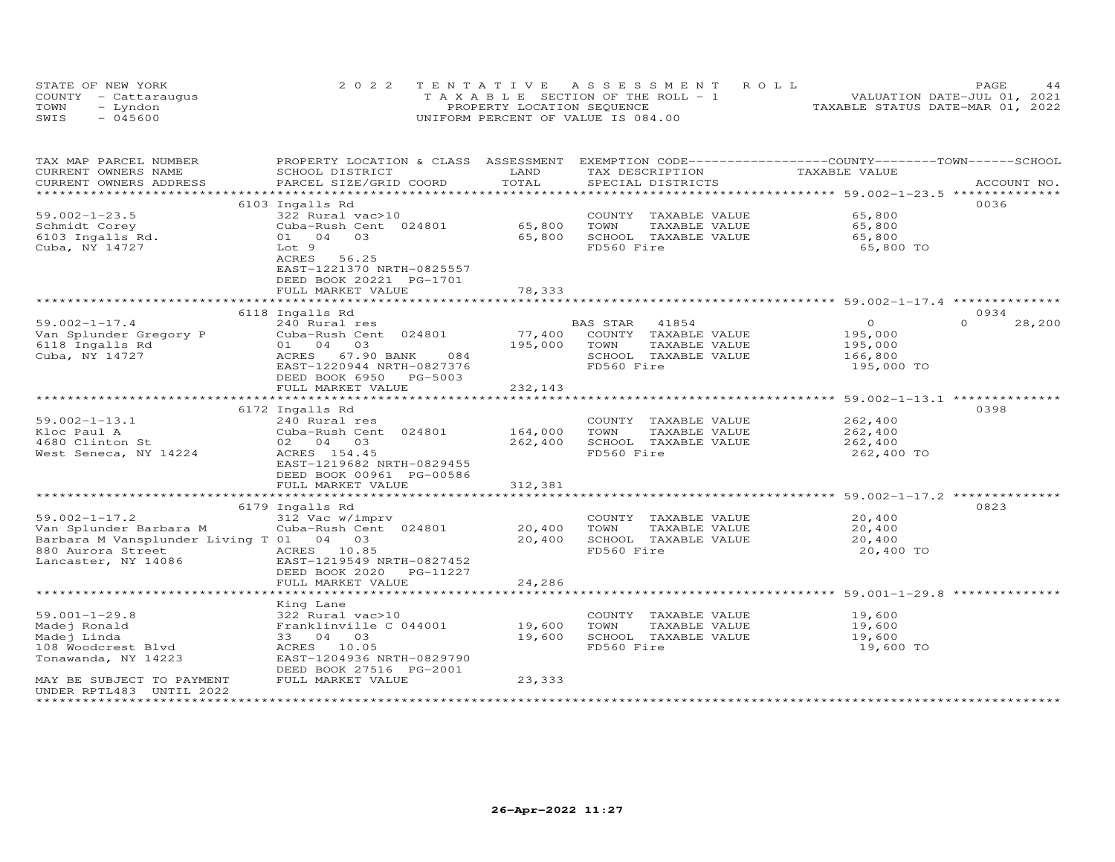| STATE OF NEW YORK    | 2022 TENTATIVE ASSESSMENT ROLL     | 44<br>PAGE.                      |
|----------------------|------------------------------------|----------------------------------|
| COUNTY - Cattaraugus | TAXABLE SECTION OF THE ROLL - 1    | VALUATION DATE-JUL 01, 2021      |
| TOWN<br>- Lyndon     | PROPERTY LOCATION SEQUENCE         | TAXABLE STATUS DATE-MAR 01, 2022 |
| - 045600<br>SWIS     | UNIFORM PERCENT OF VALUE IS 084.00 |                                  |

| TAX MAP PARCEL NUMBER<br>CURRENT OWNERS NAME | PROPERTY LOCATION & CLASS ASSESSMENT<br>SCHOOL DISTRICT | LAND                  |            | TAX DESCRIPTION      | EXEMPTION CODE-----------------COUNTY-------TOWN------SCHOOL<br>TAXABLE VALUE |                    |
|----------------------------------------------|---------------------------------------------------------|-----------------------|------------|----------------------|-------------------------------------------------------------------------------|--------------------|
| CURRENT OWNERS ADDRESS                       | PARCEL SIZE/GRID COORD                                  | TOTAL                 |            | SPECIAL DISTRICTS    |                                                                               | ACCOUNT NO.        |
| ***********************                      |                                                         |                       |            |                      |                                                                               |                    |
|                                              | 6103 Ingalls Rd                                         |                       |            |                      |                                                                               | 0036               |
| $59.002 - 1 - 23.5$                          | 322 Rural vac>10                                        |                       |            | COUNTY TAXABLE VALUE | 65,800                                                                        |                    |
| Schmidt Corey                                | Cuba-Rush Cent 024801                                   | 65,800                | TOWN       | TAXABLE VALUE        | 65,800                                                                        |                    |
| 6103 Ingalls Rd.                             | 01 04 03                                                | 65,800                |            | SCHOOL TAXABLE VALUE | 65,800                                                                        |                    |
| Cuba, NY 14727                               | Lot 9                                                   |                       | FD560 Fire |                      | 65,800 TO                                                                     |                    |
|                                              | 56.25<br>ACRES                                          |                       |            |                      |                                                                               |                    |
|                                              | EAST-1221370 NRTH-0825557                               |                       |            |                      |                                                                               |                    |
|                                              | DEED BOOK 20221 PG-1701                                 |                       |            |                      |                                                                               |                    |
|                                              | FULL MARKET VALUE                                       | 78,333                |            |                      |                                                                               |                    |
|                                              |                                                         |                       |            |                      |                                                                               |                    |
|                                              | 6118 Ingalls Rd                                         |                       |            |                      |                                                                               | 0934               |
| $59.002 - 1 - 17.4$                          | 240 Rural res                                           |                       | BAS STAR   | 41854                | $\overline{O}$                                                                | $\Omega$<br>28,200 |
| Van Splunder Gregory P                       | Cuba-Rush Cent 024801                                   | 77,400                |            | COUNTY TAXABLE VALUE | 195,000                                                                       |                    |
| 6118 Ingalls Rd                              | 01 04 03                                                | 195,000               | TOWN       | TAXABLE VALUE        | 195,000                                                                       |                    |
| Cuba, NY 14727                               | ACRES 67.90 BANK<br>084                                 |                       |            | SCHOOL TAXABLE VALUE | 166,800                                                                       |                    |
|                                              | EAST-1220944 NRTH-0827376                               |                       | FD560 Fire |                      | 195,000 TO                                                                    |                    |
|                                              | DEED BOOK 6950<br>PG-5003                               |                       |            |                      |                                                                               |                    |
|                                              | FULL MARKET VALUE                                       | 232,143               |            |                      |                                                                               |                    |
|                                              |                                                         | *************         |            |                      | ************************ 59.002-1-13.1 ***************                        |                    |
|                                              | 6172 Ingalls Rd                                         |                       |            |                      |                                                                               | 0398               |
| $59.002 - 1 - 13.1$                          | 240 Rural res                                           |                       |            | COUNTY TAXABLE VALUE | 262,400                                                                       |                    |
| Kloc Paul A                                  | Cuba-Rush Cent 024801                                   | 164,000               | TOWN       | TAXABLE VALUE        | 262,400                                                                       |                    |
| 4680 Clinton St                              | 02 04 03                                                | 262,400               |            | SCHOOL TAXABLE VALUE | 262,400                                                                       |                    |
| West Seneca, NY 14224                        | ACRES 154.45                                            |                       | FD560 Fire |                      | 262,400 TO                                                                    |                    |
|                                              | EAST-1219682 NRTH-0829455                               |                       |            |                      |                                                                               |                    |
|                                              | DEED BOOK 00961 PG-00586                                |                       |            |                      |                                                                               |                    |
|                                              | FULL MARKET VALUE                                       | 312,381               |            |                      |                                                                               |                    |
|                                              | *************************                               | ********************* |            |                      | ******************************* 59.002-1-17.2 *********                       |                    |
|                                              | 6179 Ingalls Rd                                         |                       |            |                      |                                                                               | 0823               |
| $59.002 - 1 - 17.2$                          | 312 Vac w/imprv                                         |                       |            | COUNTY TAXABLE VALUE | 20,400                                                                        |                    |
| Van Splunder Barbara M                       | Cuba-Rush Cent 024801                                   | 20,400                | TOWN       | TAXABLE VALUE        | 20,400                                                                        |                    |
| Barbara M Vansplunder Living T 01 04 03      |                                                         | 20,400                |            | SCHOOL TAXABLE VALUE | 20,400                                                                        |                    |
| 880 Aurora Street<br>Lancaster, NY 14086     | ACRES 10.85                                             |                       | FD560 Fire |                      | 20,400 TO                                                                     |                    |
| Lancaster, NY 14086                          | EAST-1219549 NRTH-0827452                               |                       |            |                      |                                                                               |                    |
|                                              | DEED BOOK 2020 PG-11227                                 |                       |            |                      |                                                                               |                    |
|                                              | FULL MARKET VALUE                                       | 24,286                |            |                      |                                                                               |                    |
|                                              |                                                         |                       |            |                      |                                                                               |                    |
|                                              | King Lane                                               |                       |            |                      |                                                                               |                    |
| $59.001 - 1 - 29.8$                          | 322 Rural vac>10                                        |                       |            | COUNTY TAXABLE VALUE | 19,600                                                                        |                    |
| Madej Ronald                                 | Franklinville C 044001                                  | 19,600                | TOWN       | TAXABLE VALUE        | 19,600                                                                        |                    |
| Madej Linda                                  | 33 04 03                                                | 19,600                |            | SCHOOL TAXABLE VALUE | 19,600                                                                        |                    |
| 108 Woodcrest Blvd                           | ACRES 10.05                                             |                       | FD560 Fire |                      | 19,600 TO                                                                     |                    |
| Tonawanda, NY 14223                          | EAST-1204936 NRTH-0829790                               |                       |            |                      |                                                                               |                    |
|                                              | DEED BOOK 27516 PG-2001                                 |                       |            |                      |                                                                               |                    |
| MAY BE SUBJECT TO PAYMENT                    | FULL MARKET VALUE                                       | 23,333                |            |                      |                                                                               |                    |
| UNDER RPTL483 UNTIL 2022                     |                                                         |                       |            |                      |                                                                               |                    |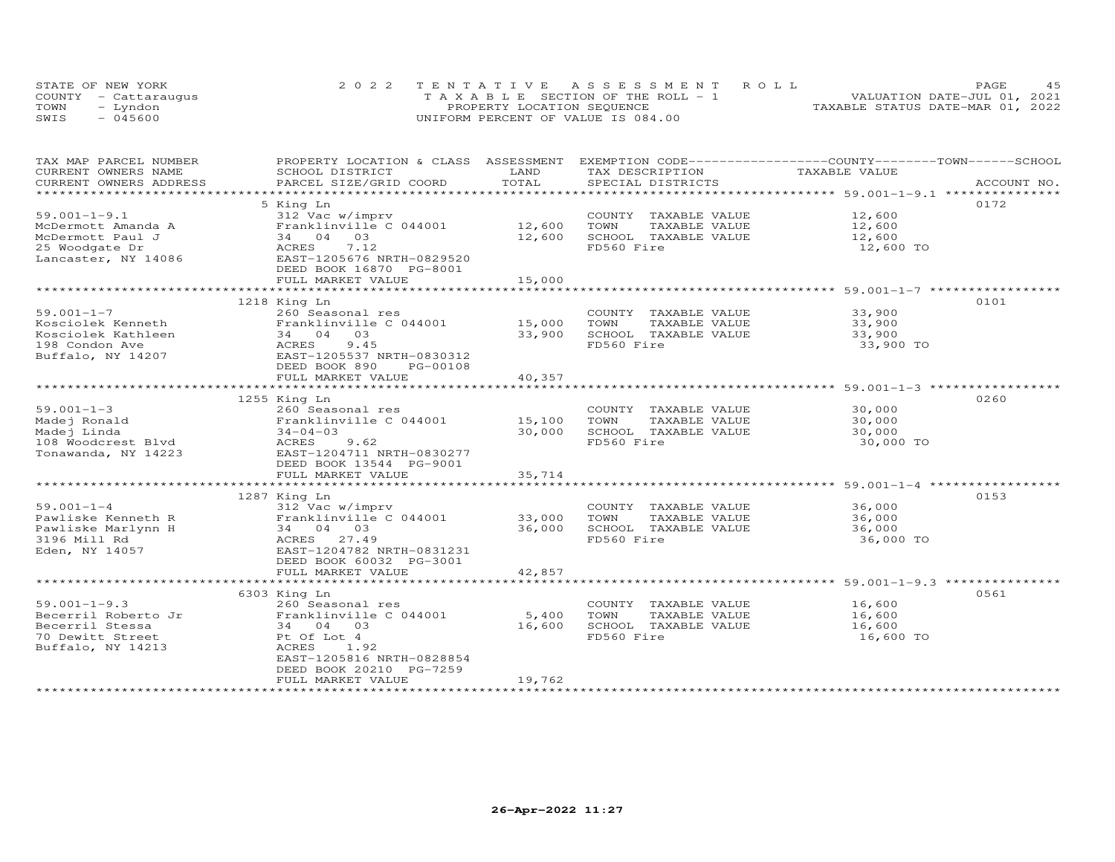| STATE OF NEW YORK    | 2022 TENTATIVE ASSESSMENT ROLL        |                            |  |                                  | PAGE. | 45 |
|----------------------|---------------------------------------|----------------------------|--|----------------------------------|-------|----|
| COUNTY - Cattaraugus | T A X A B L E SECTION OF THE ROLL - 1 |                            |  | VALUATION DATE-JUL 01, 2021      |       |    |
| TOWN<br>- Lyndon     |                                       | PROPERTY LOCATION SEQUENCE |  | TAXABLE STATUS DATE-MAR 01, 2022 |       |    |
| $-045600$<br>SWIS    | UNIFORM PERCENT OF VALUE IS 084.00    |                            |  |                                  |       |    |

| TAX MAP PARCEL NUMBER                         | PROPERTY LOCATION & CLASS ASSESSMENT      | LAND          | EXEMPTION CODE-----------------COUNTY-------TOWN------SCHOOL |                                                  |             |
|-----------------------------------------------|-------------------------------------------|---------------|--------------------------------------------------------------|--------------------------------------------------|-------------|
| CURRENT OWNERS NAME<br>CURRENT OWNERS ADDRESS | SCHOOL DISTRICT<br>PARCEL SIZE/GRID COORD | TOTAL         | TAX DESCRIPTION<br>SPECIAL DISTRICTS                         | TAXABLE VALUE                                    | ACCOUNT NO. |
| *********************                         |                                           |               |                                                              |                                                  |             |
|                                               |                                           |               |                                                              |                                                  | 0172        |
| $59.001 - 1 - 9.1$                            | 5 King Ln                                 |               |                                                              | 12,600                                           |             |
|                                               | 312 Vac w/imprv                           |               | COUNTY TAXABLE VALUE                                         |                                                  |             |
| McDermott Amanda A                            | Franklinville C 044001                    | 12,600        | TOWN<br>TAXABLE VALUE                                        | 12,600                                           |             |
| McDermott Paul J                              | 34 04 03                                  | 12,600        | SCHOOL TAXABLE VALUE                                         | 12,600                                           |             |
| 25 Woodgate Dr                                | 7.12<br>ACRES                             |               | FD560 Fire                                                   | 12,600 TO                                        |             |
| Lancaster, NY 14086                           | EAST-1205676 NRTH-0829520                 |               |                                                              |                                                  |             |
|                                               | DEED BOOK 16870 PG-8001                   |               |                                                              |                                                  |             |
|                                               | FULL MARKET VALUE                         | 15,000        |                                                              |                                                  |             |
|                                               |                                           |               |                                                              |                                                  |             |
|                                               | 1218 King Ln                              |               |                                                              |                                                  | 0101        |
| $59.001 - 1 - 7$                              | 260 Seasonal res                          |               | COUNTY TAXABLE VALUE                                         | 33,900                                           |             |
| Kosciolek Kenneth                             | Franklinville C 044001                    | 15,000        | TOWN<br>TAXABLE VALUE                                        | 33,900                                           |             |
| Kosciolek Kathleen                            | 34 04 03                                  | 33,900        | SCHOOL TAXABLE VALUE                                         | 33,900                                           |             |
| 198 Condon Ave                                | ACRES<br>9.45                             |               | FD560 Fire                                                   | 33,900 TO                                        |             |
| Buffalo, NY 14207                             | EAST-1205537 NRTH-0830312                 |               |                                                              |                                                  |             |
|                                               | DEED BOOK 890<br>PG-00108                 |               |                                                              |                                                  |             |
|                                               | FULL MARKET VALUE                         | 40,357        |                                                              |                                                  |             |
|                                               | ****************************              | ************* |                                                              | ******************************* 59.001-1-3 ***** |             |
|                                               | 1255 King Ln                              |               |                                                              |                                                  | 0260        |
| $59.001 - 1 - 3$                              | 260 Seasonal res                          |               | COUNTY TAXABLE VALUE                                         | 30,000                                           |             |
| Madej Ronald                                  | Franklinville C 044001                    | 15,100        | TAXABLE VALUE<br>TOWN                                        | 30,000                                           |             |
| Madej Linda                                   | $34 - 04 - 03$                            | 30,000        | SCHOOL TAXABLE VALUE                                         | 30,000                                           |             |
| 108 Woodcrest Blvd                            | 9.62<br>ACRES                             |               | FD560 Fire                                                   | 30,000 TO                                        |             |
| Tonawanda, NY 14223                           | EAST-1204711 NRTH-0830277                 |               |                                                              |                                                  |             |
|                                               | DEED BOOK 13544 PG-9001                   |               |                                                              |                                                  |             |
|                                               | FULL MARKET VALUE                         | 35,714        |                                                              |                                                  |             |
|                                               | *******************************           |               |                                                              |                                                  |             |
|                                               | 1287 King Ln                              |               |                                                              |                                                  | 0153        |
| $59.001 - 1 - 4$                              |                                           |               | COUNTY TAXABLE VALUE                                         |                                                  |             |
|                                               | 312 Vac w/imprv                           |               |                                                              | 36,000                                           |             |
| Pawliske Kenneth R                            | Franklinville C 044001                    | 33,000        | TOWN<br>TAXABLE VALUE                                        | 36,000                                           |             |
| Pawliske Marlynn H                            | 34 04 03                                  | 36,000        | SCHOOL TAXABLE VALUE                                         | 36,000                                           |             |
| 3196 Mill Rd                                  | ACRES 27.49                               |               | FD560 Fire                                                   | 36,000 TO                                        |             |
| Eden, NY 14057                                | EAST-1204782 NRTH-0831231                 |               |                                                              |                                                  |             |
|                                               | DEED BOOK 60032 PG-3001                   |               |                                                              |                                                  |             |
|                                               | FULL MARKET VALUE                         | 42,857        |                                                              |                                                  |             |
|                                               |                                           |               |                                                              |                                                  |             |
|                                               | 6303 King Ln                              |               |                                                              |                                                  | 0561        |
| $59.001 - 1 - 9.3$                            | 260 Seasonal res                          |               | COUNTY TAXABLE VALUE                                         | 16,600                                           |             |
| Becerril Roberto Jr                           | Franklinville C 044001                    | 5,400         | TOWN<br>TAXABLE VALUE                                        | 16,600                                           |             |
| Becerril Stessa                               | 34 04 03                                  | 16,600        | SCHOOL TAXABLE VALUE                                         | 16,600                                           |             |
| 70 Dewitt Street                              | Pt Of Lot 4                               |               | FD560 Fire                                                   | 16,600 TO                                        |             |
| Buffalo, NY 14213                             | ACRES<br>1.92                             |               |                                                              |                                                  |             |
|                                               | EAST-1205816 NRTH-0828854                 |               |                                                              |                                                  |             |
|                                               | DEED BOOK 20210 PG-7259                   |               |                                                              |                                                  |             |
|                                               | FULL MARKET VALUE                         | 19,762        |                                                              |                                                  |             |
|                                               |                                           |               |                                                              |                                                  |             |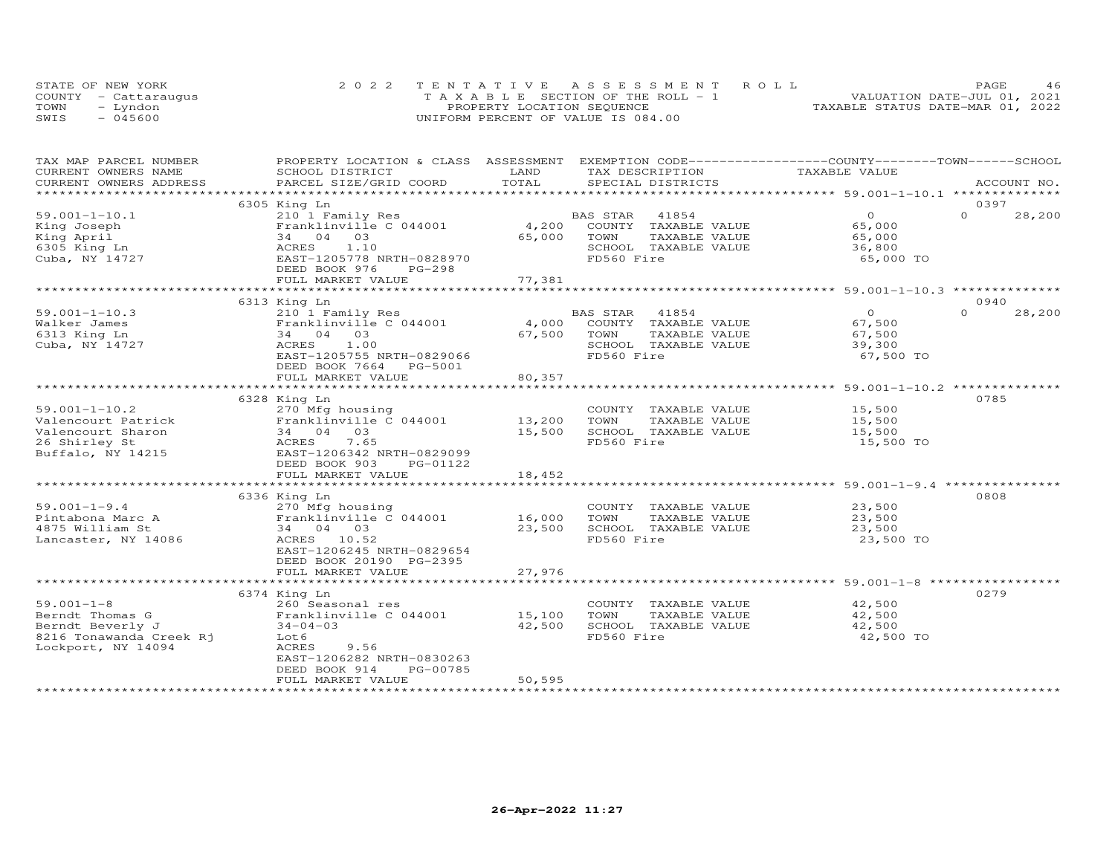| STATE OF NEW YORK    | 2022 TENTATIVE ASSESSMENT ROLL        | 46<br><b>PAGE</b>                |
|----------------------|---------------------------------------|----------------------------------|
| COUNTY - Cattaraugus | T A X A B L E SECTION OF THE ROLL - 1 | VALUATION DATE-JUL 01, 2021      |
| TOWN<br>– Lyndon     | PROPERTY LOCATION SEQUENCE            | TAXABLE STATUS DATE-MAR 01, 2022 |
| SWIS<br>- 045600     | UNIFORM PERCENT OF VALUE IS 084.00    |                                  |

| TAX MAP PARCEL NUMBER   | PROPERTY LOCATION & CLASS | ASSESSMENT          | EXEMPTION CODE-----------------COUNTY-------TOWN------SCHOOL |                                                    |                    |
|-------------------------|---------------------------|---------------------|--------------------------------------------------------------|----------------------------------------------------|--------------------|
| CURRENT OWNERS NAME     | SCHOOL DISTRICT           | LAND                | TAX DESCRIPTION                                              | TAXABLE VALUE                                      |                    |
| CURRENT OWNERS ADDRESS  | PARCEL SIZE/GRID COORD    | TOTAL               | SPECIAL DISTRICTS                                            |                                                    | ACCOUNT NO.        |
| **********************  |                           |                     |                                                              |                                                    |                    |
|                         | 6305 King Ln              |                     |                                                              |                                                    | 0397               |
| $59.001 - 1 - 10.1$     | 210 1 Family Res          |                     | BAS STAR<br>41854                                            | $\Omega$                                           | $\Omega$<br>28,200 |
| King Joseph             | Franklinville C 044001    | 4,200               | COUNTY TAXABLE VALUE                                         | 65,000                                             |                    |
| King April              | 34 04 03                  | 65,000              | TOWN<br>TAXABLE VALUE                                        | 65,000                                             |                    |
| 6305 King Ln            | 1.10<br>ACRES             |                     | SCHOOL TAXABLE VALUE                                         | 36,800                                             |                    |
| Cuba, NY 14727          | EAST-1205778 NRTH-0828970 |                     | FD560 Fire                                                   | 65,000 TO                                          |                    |
|                         | DEED BOOK 976<br>$PG-298$ |                     |                                                              |                                                    |                    |
|                         | FULL MARKET VALUE         | 77,381              |                                                              |                                                    |                    |
|                         |                           |                     |                                                              |                                                    |                    |
|                         | 6313 King Ln              |                     |                                                              |                                                    | 0940               |
| $59.001 - 1 - 10.3$     | 210 1 Family Res          |                     | <b>BAS STAR</b><br>41854                                     | $\circ$                                            | $\Omega$<br>28,200 |
|                         | Franklinville C 044001    | 4,000               |                                                              |                                                    |                    |
| Walker James            |                           |                     | COUNTY TAXABLE VALUE                                         | 67,500                                             |                    |
| 6313 King Ln            | 34 04<br>03               | 67,500              | TOWN<br>TAXABLE VALUE                                        | 67,500                                             |                    |
| Cuba, NY 14727          | ACRES<br>1.00             |                     | SCHOOL TAXABLE VALUE                                         | 39,300                                             |                    |
|                         | EAST-1205755 NRTH-0829066 |                     | FD560 Fire                                                   | 67,500 TO                                          |                    |
|                         | DEED BOOK 7664 PG-5001    |                     |                                                              |                                                    |                    |
|                         | FULL MARKET VALUE         | 80,357              |                                                              |                                                    |                    |
|                         |                           |                     |                                                              |                                                    |                    |
|                         | 6328 King Ln              |                     |                                                              |                                                    | 0785               |
| $59.001 - 1 - 10.2$     | 270 Mfg housing           |                     | COUNTY TAXABLE VALUE                                         | 15,500                                             |                    |
| Valencourt Patrick      | Franklinville C 044001    | 13,200              | TOWN<br>TAXABLE VALUE                                        | 15,500                                             |                    |
| Valencourt Sharon       | 34 04 03                  | 15,500              | SCHOOL TAXABLE VALUE                                         | 15,500                                             |                    |
| 26 Shirley St           | 7.65<br>ACRES             |                     | FD560 Fire                                                   | 15,500 TO                                          |                    |
| Buffalo, NY 14215       | EAST-1206342 NRTH-0829099 |                     |                                                              |                                                    |                    |
|                         | DEED BOOK 903<br>PG-01122 |                     |                                                              |                                                    |                    |
|                         | FULL MARKET VALUE         | 18,452              |                                                              |                                                    |                    |
|                         |                           |                     |                                                              |                                                    |                    |
|                         | 6336 King Ln              |                     |                                                              |                                                    | 0808               |
| $59.001 - 1 - 9.4$      | 270 Mfg housing           |                     | COUNTY TAXABLE VALUE                                         | 23,500                                             |                    |
| Pintabona Marc A        | Franklinville C 044001    | 16,000              | TOWN<br>TAXABLE VALUE                                        | 23,500                                             |                    |
| 4875 William St         | 34 04 03                  | 23,500              | SCHOOL TAXABLE VALUE                                         | 23,500                                             |                    |
| Lancaster, NY 14086     | ACRES 10.52               |                     | FD560 Fire                                                   | 23,500 TO                                          |                    |
|                         | EAST-1206245 NRTH-0829654 |                     |                                                              |                                                    |                    |
|                         |                           |                     |                                                              |                                                    |                    |
|                         | DEED BOOK 20190 PG-2395   |                     |                                                              |                                                    |                    |
|                         | FULL MARKET VALUE         | 27,976<br>********* |                                                              | ************************* 59.001-1-8 ************* |                    |
|                         |                           |                     |                                                              |                                                    |                    |
|                         | 6374 King Ln              |                     |                                                              |                                                    | 0279               |
| $59.001 - 1 - 8$        | 260 Seasonal res          |                     | COUNTY TAXABLE VALUE                                         | 42,500                                             |                    |
| Berndt Thomas G         | Franklinville C 044001    | 15,100              | TOWN<br>TAXABLE VALUE                                        | 42,500                                             |                    |
| Berndt Beverly J        | $34 - 04 - 03$            | 42,500              | SCHOOL TAXABLE VALUE                                         | 42,500                                             |                    |
| 8216 Tonawanda Creek Rj | Lot 6                     |                     | FD560 Fire                                                   | 42,500 TO                                          |                    |
| Lockport, NY 14094      | ACRES<br>9.56             |                     |                                                              |                                                    |                    |
|                         | EAST-1206282 NRTH-0830263 |                     |                                                              |                                                    |                    |
|                         | DEED BOOK 914<br>PG-00785 |                     |                                                              |                                                    |                    |
|                         | FULL MARKET VALUE         | 50,595              |                                                              |                                                    |                    |
|                         |                           |                     |                                                              |                                                    |                    |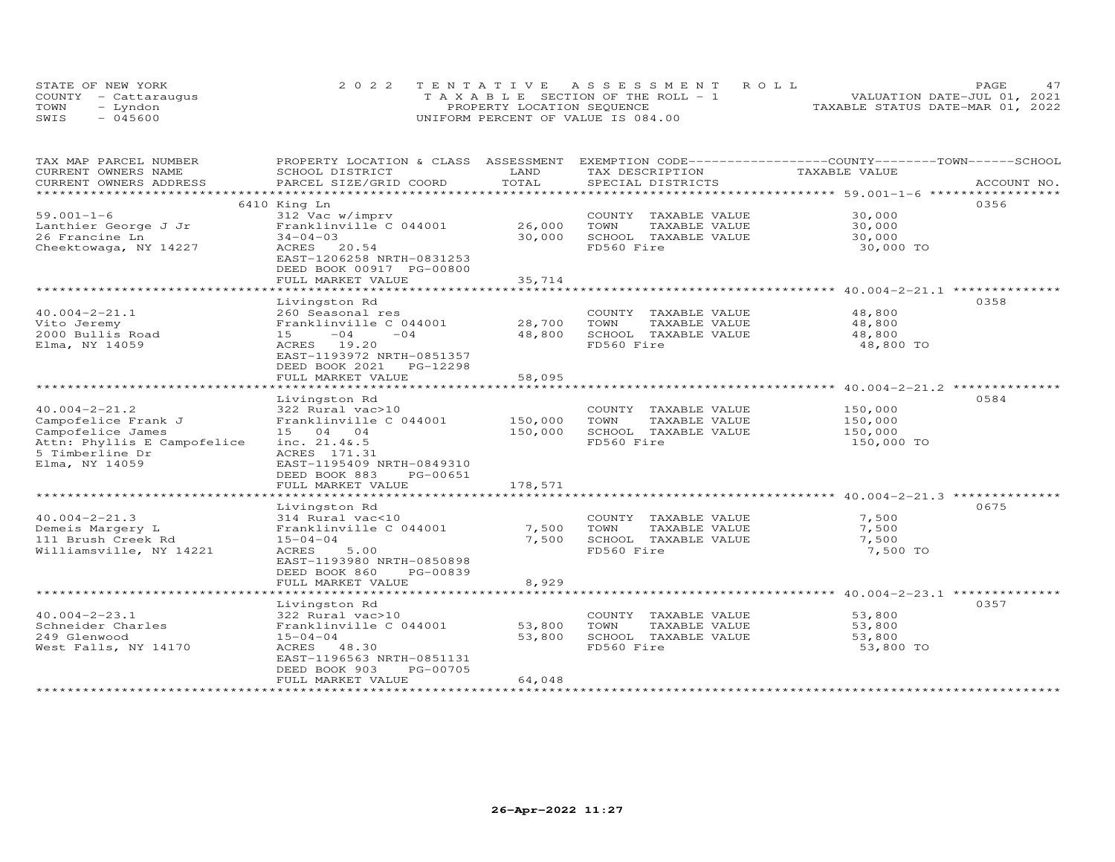|      | STATE OF NEW YORK    | 2022 TENTATIVE ASSESSMENT ROLL     | PAGE.                            |
|------|----------------------|------------------------------------|----------------------------------|
|      | COUNTY - Cattarauqus | TAXABLE SECTION OF THE ROLL - 1    | VALUATION DATE-JUL 01, 2021      |
| TOWN | – Lyndon             | PROPERTY LOCATION SEQUENCE         | TAXABLE STATUS DATE-MAR 01, 2022 |
| SWIS | $-045600$            | UNIFORM PERCENT OF VALUE IS 084.00 |                                  |

| TAX MAP PARCEL NUMBER                                            | PROPERTY LOCATION & CLASS                                                                    | ASSESSMENT   | EXEMPTION CODE-----------------COUNTY-------TOWN-----SCHOOL |                                             |             |
|------------------------------------------------------------------|----------------------------------------------------------------------------------------------|--------------|-------------------------------------------------------------|---------------------------------------------|-------------|
| CURRENT OWNERS NAME                                              | SCHOOL DISTRICT                                                                              | LAND         | TAX DESCRIPTION                                             | TAXABLE VALUE                               |             |
| CURRENT OWNERS ADDRESS                                           | PARCEL SIZE/GRID COORD                                                                       | TOTAL        | SPECIAL DISTRICTS                                           |                                             | ACCOUNT NO. |
| *********************                                            | ***************************                                                                  |              |                                                             |                                             |             |
|                                                                  | 6410 King Ln                                                                                 |              |                                                             |                                             | 0356        |
| $59.001 - 1 - 6$                                                 | 312 Vac w/imprv                                                                              |              | COUNTY TAXABLE VALUE                                        | 30,000                                      |             |
| Lanthier George J Jr                                             | Franklinville C 044001                                                                       | 26,000       | TOWN<br>TAXABLE VALUE                                       | 30,000                                      |             |
| 26 Francine Ln                                                   | $34 - 04 - 03$                                                                               | 30,000       | SCHOOL TAXABLE VALUE                                        | 30,000                                      |             |
| Cheektowaga, NY 14227                                            | ACRES 20.54<br>EAST-1206258 NRTH-0831253<br>DEED BOOK 00917 PG-00800<br>FULL MARKET VALUE    | 35,714       | FD560 Fire                                                  | 30,000 TO                                   |             |
|                                                                  |                                                                                              |              |                                                             |                                             |             |
|                                                                  | Livingston Rd                                                                                |              |                                                             |                                             | 0358        |
| $40.004 - 2 - 21.1$                                              | 260 Seasonal res                                                                             |              | COUNTY TAXABLE VALUE                                        | 48,800                                      |             |
| Vito Jeremy                                                      | Franklinville C 044001                                                                       | 28,700       | TOWN<br>TAXABLE VALUE                                       | 48,800                                      |             |
| 2000 Bullis Road                                                 | $-04$<br>$-04$<br>15                                                                         | 48,800       | SCHOOL TAXABLE VALUE                                        | 48,800                                      |             |
| Elma, NY 14059                                                   | ACRES 19.20<br>EAST-1193972 NRTH-0851357                                                     |              | FD560 Fire                                                  | 48,800 TO                                   |             |
|                                                                  | DEED BOOK 2021<br>PG-12298                                                                   |              |                                                             |                                             |             |
|                                                                  | FULL MARKET VALUE                                                                            | 58,095       |                                                             |                                             |             |
|                                                                  | Livingston Rd                                                                                |              |                                                             |                                             | 0584        |
| $40.004 - 2 - 21.2$                                              | 322 Rural vac>10                                                                             |              | COUNTY TAXABLE VALUE                                        | 150,000                                     |             |
| Campofelice Frank J                                              | Franklinville C 044001                                                                       | 150,000      | TOWN<br>TAXABLE VALUE                                       | 150,000                                     |             |
| Campofelice James                                                | 15 04 04                                                                                     | 150,000      | SCHOOL TAXABLE VALUE                                        | 150,000                                     |             |
| Attn: Phyllis E Campofelice<br>5 Timberline Dr<br>Elma, NY 14059 | inc. 21.4&.5<br>ACRES 171.31<br>EAST-1195409 NRTH-0849310<br>DEED BOOK 883<br>PG-00651       |              | FD560 Fire                                                  | 150,000 TO                                  |             |
|                                                                  | FULL MARKET VALUE                                                                            | 178,571      |                                                             |                                             |             |
|                                                                  | .                                                                                            | ************ |                                                             |                                             |             |
|                                                                  | Livingston Rd                                                                                |              |                                                             |                                             | 0675        |
| $40.004 - 2 - 21.3$                                              | 314 Rural vac<10                                                                             |              | COUNTY TAXABLE VALUE                                        | 7,500                                       |             |
| Demeis Margery L                                                 | Franklinville C 044001                                                                       | 7,500        | TOWN<br>TAXABLE VALUE                                       | 7,500                                       |             |
| 111 Brush Creek Rd                                               | $15 - 04 - 04$                                                                               | 7,500        | SCHOOL TAXABLE VALUE                                        | 7,500                                       |             |
| Williamsville, NY 14221                                          | 5.00<br>ACRES<br>EAST-1193980 NRTH-0850898<br>DEED BOOK 860<br>PG-00839<br>FULL MARKET VALUE | 8,929        | FD560 Fire                                                  | 7,500 TO                                    |             |
|                                                                  | ********************                                                                         |              |                                                             | ******************** 40.004-2-23.1 ******** |             |
|                                                                  | Livingston Rd                                                                                |              |                                                             |                                             | 0357        |
| $40.004 - 2 - 23.1$                                              | 322 Rural vac>10                                                                             |              | COUNTY TAXABLE VALUE                                        | 53,800                                      |             |
| Schneider Charles                                                | Franklinville C 044001                                                                       | 53,800       | TOWN<br>TAXABLE VALUE                                       | 53,800                                      |             |
| 249 Glenwood                                                     | $15 - 04 - 04$                                                                               | 53,800       | SCHOOL TAXABLE VALUE                                        | 53,800                                      |             |
| West Falls, NY 14170                                             | ACRES 48.30<br>EAST-1196563 NRTH-0851131<br>DEED BOOK 903<br>PG-00705                        |              | FD560 Fire                                                  | 53,800 TO                                   |             |
|                                                                  | FULL MARKET VALUE                                                                            | 64,048       |                                                             |                                             |             |
|                                                                  |                                                                                              |              |                                                             |                                             |             |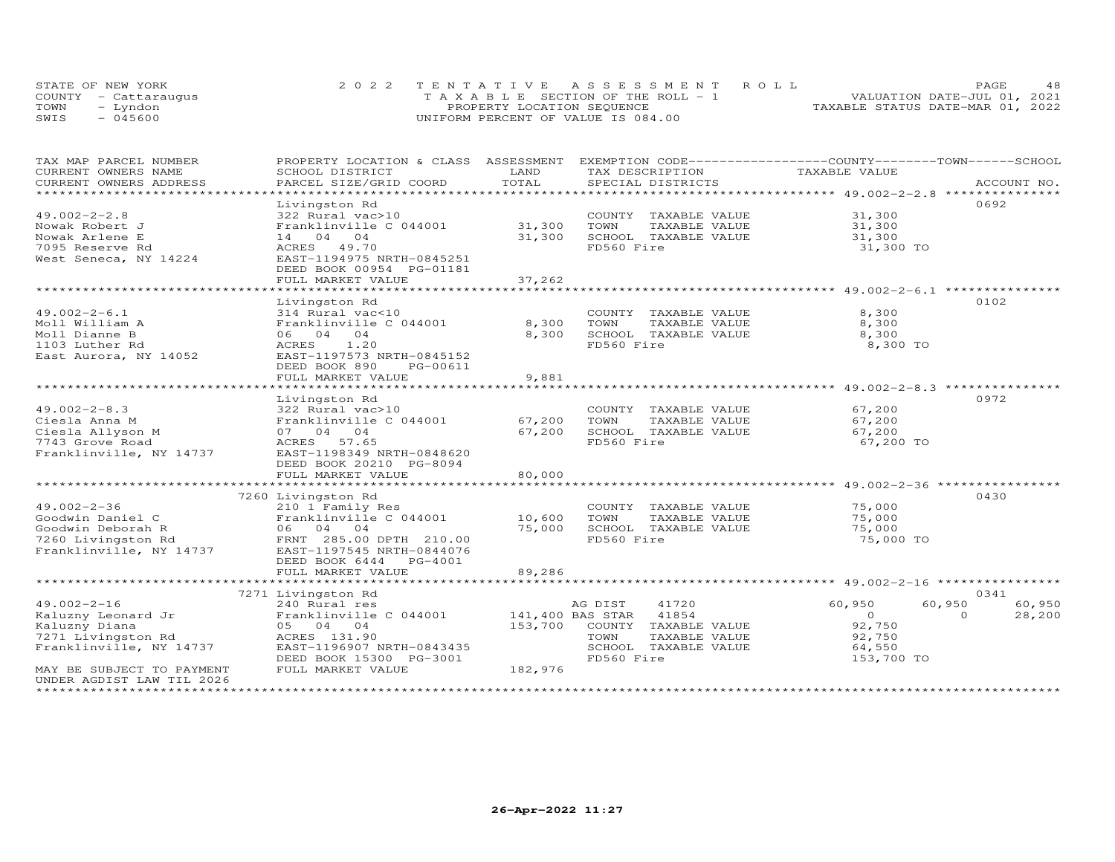| STATE OF NEW YORK    | 2022 TENTATIVE ASSESSMENT ROLL        |  |                                  | PAGE                        | 48 |
|----------------------|---------------------------------------|--|----------------------------------|-----------------------------|----|
| COUNTY - Cattaraugus | T A X A B L E SECTION OF THE ROLL - 1 |  |                                  | VALUATION DATE-JUL 01, 2021 |    |
| TOWN<br>- Lyndon     | PROPERTY LOCATION SEQUENCE            |  | TAXABLE STATUS DATE-MAR 01, 2022 |                             |    |
| $-045600$<br>SWIS    | UNIFORM PERCENT OF VALUE IS 084.00    |  |                                  |                             |    |

| TAX MAP PARCEL NUMBER     | PROPERTY LOCATION & CLASS ASSESSMENT |                      | EXEMPTION CODE-----------------COUNTY-------TOWN-----SCHOOL          |                                                        |                    |
|---------------------------|--------------------------------------|----------------------|----------------------------------------------------------------------|--------------------------------------------------------|--------------------|
| CURRENT OWNERS NAME       | SCHOOL DISTRICT                      | LAND<br>TOTAL        | TAX DESCRIPTION                                                      | TAXABLE VALUE                                          |                    |
| CURRENT OWNERS ADDRESS    | PARCEL SIZE/GRID COORD               | *************        | SPECIAL DISTRICTS                                                    | ************************ 49.002-2-2.8 **************** | ACCOUNT NO.        |
|                           |                                      |                      |                                                                      |                                                        | 0692               |
| $49.002 - 2 - 2.8$        | Livingston Rd<br>322 Rural vac>10    |                      | TAXABLE VALUE<br>COUNTY                                              | 31,300                                                 |                    |
| Nowak Robert J            | Franklinville C 044001               | 31,300               | TOWN<br>TAXABLE VALUE                                                | 31,300                                                 |                    |
| Nowak Arlene E            | 14 04 04                             | 31,300               | SCHOOL TAXABLE VALUE                                                 | 31,300                                                 |                    |
| 7095 Reserve Rd           | ACRES 49.70                          |                      | FD560 Fire                                                           |                                                        |                    |
| West Seneca, NY 14224     | EAST-1194975 NRTH-0845251            |                      |                                                                      | 31,300 TO                                              |                    |
|                           | DEED BOOK 00954 PG-01181             |                      |                                                                      |                                                        |                    |
|                           | FULL MARKET VALUE                    | 37,262               |                                                                      |                                                        |                    |
|                           | ********************                 | ******************** | *********************************** 49.002-2-6.1 **********          |                                                        |                    |
|                           | Livingston Rd                        |                      |                                                                      |                                                        | 0102               |
| $49.002 - 2 - 6.1$        | 314 Rural vac<10                     |                      | COUNTY TAXABLE VALUE                                                 | 8,300                                                  |                    |
| Moll William A            | Franklinville C 044001               | 8,300                | TOWN<br>TAXABLE VALUE                                                | 8,300                                                  |                    |
| Moll Dianne B             | 06 04 04                             | 8,300                | SCHOOL TAXABLE VALUE                                                 | 8,300                                                  |                    |
| 1103 Luther Rd            | 1.20<br>ACRES                        |                      | FD560 Fire                                                           | 8,300 TO                                               |                    |
| East Aurora, NY 14052     | EAST-1197573 NRTH-0845152            |                      |                                                                      |                                                        |                    |
|                           | DEED BOOK 890<br>PG-00611            |                      |                                                                      |                                                        |                    |
|                           | FULL MARKET VALUE                    | 9,881                |                                                                      |                                                        |                    |
|                           |                                      |                      | **************************************49.002-2-8.3 ***************** |                                                        |                    |
|                           | Livingston Rd                        |                      |                                                                      |                                                        | 0972               |
| $49.002 - 2 - 8.3$        | 322 Rural vac>10                     |                      | COUNTY TAXABLE VALUE                                                 | 67,200                                                 |                    |
| Ciesla Anna M             | Franklinville C 044001               | 67,200               | TOWN<br>TAXABLE VALUE                                                | 67,200                                                 |                    |
| Ciesla Allyson M          | 07 04 04                             | 67,200               | SCHOOL TAXABLE VALUE                                                 | 67,200                                                 |                    |
| 7743 Grove Road           | ACRES 57.65                          |                      | FD560 Fire                                                           | 67,200 TO                                              |                    |
| Franklinville, NY 14737   | EAST-1198349 NRTH-0848620            |                      |                                                                      |                                                        |                    |
|                           | DEED BOOK 20210 PG-8094              |                      |                                                                      |                                                        |                    |
|                           | FULL MARKET VALUE                    | 80,000               |                                                                      |                                                        |                    |
|                           |                                      |                      |                                                                      | *********************** 49.002-2-36 ***************    |                    |
|                           | 7260 Livingston Rd                   |                      |                                                                      |                                                        | 0430               |
| $49.002 - 2 - 36$         | 210 1 Family Res                     |                      | COUNTY TAXABLE VALUE                                                 | 75,000                                                 |                    |
| Goodwin Daniel C          | Franklinville C 044001               | 10,600               | TOWN<br>TAXABLE VALUE                                                | 75,000                                                 |                    |
| Goodwin Deborah R         | 06 04 04                             | 75,000               | SCHOOL TAXABLE VALUE                                                 | 75,000                                                 |                    |
| 7260 Livingston Rd        | FRNT 285.00 DPTH 210.00              |                      | FD560 Fire                                                           | 75,000 TO                                              |                    |
| Franklinville, NY 14737   | EAST-1197545 NRTH-0844076            |                      |                                                                      |                                                        |                    |
|                           | DEED BOOK 6444<br>PG-4001            |                      |                                                                      |                                                        |                    |
|                           | FULL MARKET VALUE                    | 89,286               |                                                                      |                                                        |                    |
|                           | *****************************        |                      |                                                                      |                                                        |                    |
|                           | 7271 Livingston Rd                   |                      |                                                                      |                                                        | 0341               |
| $49.002 - 2 - 16$         | 240 Rural res                        |                      | AG DIST<br>41720                                                     | 60,950                                                 | 60,950<br>60,950   |
| Kaluzny Leonard Jr        | Franklinville C 044001               |                      | 141,400 BAS STAR<br>41854                                            | $\overline{O}$                                         | $\Omega$<br>28,200 |
| Kaluzny Diana             | 05 04 04                             | 153,700              | COUNTY TAXABLE VALUE                                                 | 92,750                                                 |                    |
| 7271 Livingston Rd        | ACRES 131.90                         |                      | TOWN<br>TAXABLE VALUE                                                | 92,750                                                 |                    |
| Franklinville, NY 14737   | EAST-1196907 NRTH-0843435            |                      | SCHOOL<br>TAXABLE VALUE                                              | 64,550                                                 |                    |
|                           | DEED BOOK 15300 PG-3001              |                      | FD560 Fire                                                           | 153,700 TO                                             |                    |
| MAY BE SUBJECT TO PAYMENT | FULL MARKET VALUE                    | 182,976              |                                                                      |                                                        |                    |
| UNDER AGDIST LAW TIL 2026 |                                      |                      |                                                                      |                                                        |                    |
|                           |                                      |                      |                                                                      |                                                        |                    |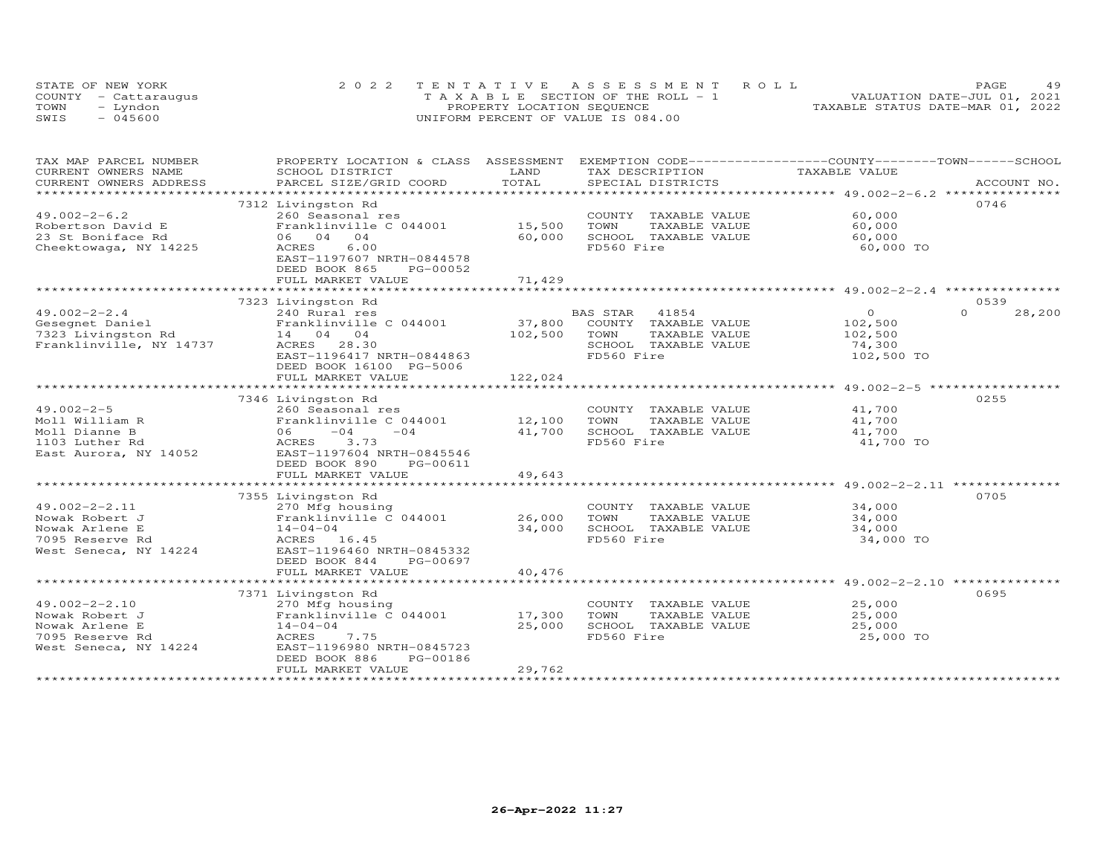| STATE OF NEW YORK    | 2022 TENTATIVE ASSESSMENT ROLL             |                            |  |                                  | PAGE | 49 |
|----------------------|--------------------------------------------|----------------------------|--|----------------------------------|------|----|
| COUNTY - Cattaraugus | $T A X A B I E E$ SECTION OF THE ROLL $-1$ |                            |  | VALUATION DATE-JUL 01, 2021      |      |    |
| TOWN<br>- Lyndon     |                                            | PROPERTY LOCATION SEQUENCE |  | TAXABLE STATUS DATE-MAR 01, 2022 |      |    |
| $-045600$<br>SWIS    | UNIFORM PERCENT OF VALUE IS 084.00         |                            |  |                                  |      |    |

| CURRENT OWNERS NAME<br>SCHOOL DISTRICT<br>LAND<br>TAX DESCRIPTION<br>TAXABLE VALUE<br>TOTAL<br>CURRENT OWNERS ADDRESS<br>0746<br>7312 Livingston Rd<br>60,000<br>$49.002 - 2 - 6.2$<br>260 Seasonal res<br>COUNTY TAXABLE VALUE<br>15,500<br>Franklinville C 044001<br>TOWN<br>TAXABLE VALUE<br>60,000<br>Robertson David E<br>23 St Boniface Rd<br>06 04 04<br>SCHOOL TAXABLE VALUE<br>60,000<br>60,000<br>6.00<br>FD560 Fire<br>Cheektowaga, NY 14225<br>ACRES<br>60,000 TO<br>EAST-1197607 NRTH-0844578<br>DEED BOOK 865<br>PG-00052<br>71,429<br>FULL MARKET VALUE<br>0539<br>7323 Livingston Rd<br>BAS STAR<br>41854<br>$\Omega$<br>$\Omega$<br>28,200<br>49.002-2-2.4<br>Gesegnet Daniel<br>7323 Livingston Rd<br>Franklinville NV 14727<br>Franklinville NV 14727<br>Franklinville NV 14727<br>37,800 COUNTY TAXABLE VALUE<br>102,500<br>102,500<br>TOWN<br>TAXABLE VALUE<br>102,500<br>Franklinville, NY 14737<br>SCHOOL TAXABLE VALUE<br>74,300<br>ACRES 28.30<br>FD560 Fire<br>102,500 TO<br>EAST-1196417 NRTH-0844863<br>DEED BOOK 16100 PG-5006<br>FULL MARKET VALUE<br>122,024<br>0255<br>7346 Livingston Rd<br>$49.002 - 2 - 5$<br>41,700<br>COUNTY TAXABLE VALUE<br>41,700<br>Moll William R<br>TAXABLE VALUE<br>06 - 04<br>ACRES 3.73<br>Moll Dianne B<br>$-04$ 41,700<br>SCHOOL TAXABLE VALUE<br>41,700<br>FD560 Fire<br>1103 Luther Rd<br>41,700 TO<br>East Aurora, NY 14052 EAST-1197604 NRTH-0845546<br>DEED BOOK 890<br>PG-00611<br>49,643<br>FULL MARKET VALUE<br>0705<br>7355 Livingston Rd<br>$49.002 - 2 - 2.11$<br>34,000<br>270 Mfg housing<br>COUNTY TAXABLE VALUE<br>Franklinville C 044001 26,000<br>34,000<br>TOWN<br>Nowak Robert J<br>TAXABLE VALUE<br>34,000<br>SCHOOL TAXABLE VALUE<br>Nowak Arlene E<br>34,000<br>$14 - 04 - 04$<br>ACRES<br>FD560 Fire<br>7095 Reserve Rd<br>ACRES 16.45<br>34,000 TO<br>West Seneca, NY 14224<br>EAST-1196460 NRTH-0845332<br>DEED BOOK 844<br>PG-00697<br>FULL MARKET VALUE<br>40,476<br>0695<br>7371 Livingston Rd<br>25,000<br>49.002-2-2.10<br>COUNTY TAXABLE VALUE<br>270 Mfg housing<br>Franklinville $C$ 044001 17,300<br>25,000<br>Nowak Robert J<br>TOWN<br>TAXABLE VALUE<br>25,000<br>SCHOOL TAXABLE VALUE<br>Nowak Arlene E<br>$14 - 04 - 04$<br>25,000<br>FD560 Fire<br>25,000 TO<br>7095 Reserve Rd<br>ACRES<br>7.75<br>West Seneca, NY 14224<br>EAST-1196980 NRTH-0845723<br>PG-00186<br>DEED BOOK 886<br>29,762<br>FULL MARKET VALUE | TAX MAP PARCEL NUMBER | PROPERTY LOCATION & CLASS ASSESSMENT EXEMPTION CODE----------------COUNTY-------TOWN-----SCHOOL |  |  |
|---------------------------------------------------------------------------------------------------------------------------------------------------------------------------------------------------------------------------------------------------------------------------------------------------------------------------------------------------------------------------------------------------------------------------------------------------------------------------------------------------------------------------------------------------------------------------------------------------------------------------------------------------------------------------------------------------------------------------------------------------------------------------------------------------------------------------------------------------------------------------------------------------------------------------------------------------------------------------------------------------------------------------------------------------------------------------------------------------------------------------------------------------------------------------------------------------------------------------------------------------------------------------------------------------------------------------------------------------------------------------------------------------------------------------------------------------------------------------------------------------------------------------------------------------------------------------------------------------------------------------------------------------------------------------------------------------------------------------------------------------------------------------------------------------------------------------------------------------------------------------------------------------------------------------------------------------------------------------------------------------------------------------------------------------------------------------------------------------------------------------------------------------------------------------------------------------------------------------------------------------------------------------------------------------------------------------------------------------------------------------------------------------------------------------|-----------------------|-------------------------------------------------------------------------------------------------|--|--|
|                                                                                                                                                                                                                                                                                                                                                                                                                                                                                                                                                                                                                                                                                                                                                                                                                                                                                                                                                                                                                                                                                                                                                                                                                                                                                                                                                                                                                                                                                                                                                                                                                                                                                                                                                                                                                                                                                                                                                                                                                                                                                                                                                                                                                                                                                                                                                                                                                           |                       |                                                                                                 |  |  |
|                                                                                                                                                                                                                                                                                                                                                                                                                                                                                                                                                                                                                                                                                                                                                                                                                                                                                                                                                                                                                                                                                                                                                                                                                                                                                                                                                                                                                                                                                                                                                                                                                                                                                                                                                                                                                                                                                                                                                                                                                                                                                                                                                                                                                                                                                                                                                                                                                           |                       |                                                                                                 |  |  |
|                                                                                                                                                                                                                                                                                                                                                                                                                                                                                                                                                                                                                                                                                                                                                                                                                                                                                                                                                                                                                                                                                                                                                                                                                                                                                                                                                                                                                                                                                                                                                                                                                                                                                                                                                                                                                                                                                                                                                                                                                                                                                                                                                                                                                                                                                                                                                                                                                           |                       |                                                                                                 |  |  |
|                                                                                                                                                                                                                                                                                                                                                                                                                                                                                                                                                                                                                                                                                                                                                                                                                                                                                                                                                                                                                                                                                                                                                                                                                                                                                                                                                                                                                                                                                                                                                                                                                                                                                                                                                                                                                                                                                                                                                                                                                                                                                                                                                                                                                                                                                                                                                                                                                           |                       |                                                                                                 |  |  |
|                                                                                                                                                                                                                                                                                                                                                                                                                                                                                                                                                                                                                                                                                                                                                                                                                                                                                                                                                                                                                                                                                                                                                                                                                                                                                                                                                                                                                                                                                                                                                                                                                                                                                                                                                                                                                                                                                                                                                                                                                                                                                                                                                                                                                                                                                                                                                                                                                           |                       |                                                                                                 |  |  |
|                                                                                                                                                                                                                                                                                                                                                                                                                                                                                                                                                                                                                                                                                                                                                                                                                                                                                                                                                                                                                                                                                                                                                                                                                                                                                                                                                                                                                                                                                                                                                                                                                                                                                                                                                                                                                                                                                                                                                                                                                                                                                                                                                                                                                                                                                                                                                                                                                           |                       |                                                                                                 |  |  |
|                                                                                                                                                                                                                                                                                                                                                                                                                                                                                                                                                                                                                                                                                                                                                                                                                                                                                                                                                                                                                                                                                                                                                                                                                                                                                                                                                                                                                                                                                                                                                                                                                                                                                                                                                                                                                                                                                                                                                                                                                                                                                                                                                                                                                                                                                                                                                                                                                           |                       |                                                                                                 |  |  |
|                                                                                                                                                                                                                                                                                                                                                                                                                                                                                                                                                                                                                                                                                                                                                                                                                                                                                                                                                                                                                                                                                                                                                                                                                                                                                                                                                                                                                                                                                                                                                                                                                                                                                                                                                                                                                                                                                                                                                                                                                                                                                                                                                                                                                                                                                                                                                                                                                           |                       |                                                                                                 |  |  |
|                                                                                                                                                                                                                                                                                                                                                                                                                                                                                                                                                                                                                                                                                                                                                                                                                                                                                                                                                                                                                                                                                                                                                                                                                                                                                                                                                                                                                                                                                                                                                                                                                                                                                                                                                                                                                                                                                                                                                                                                                                                                                                                                                                                                                                                                                                                                                                                                                           |                       |                                                                                                 |  |  |
|                                                                                                                                                                                                                                                                                                                                                                                                                                                                                                                                                                                                                                                                                                                                                                                                                                                                                                                                                                                                                                                                                                                                                                                                                                                                                                                                                                                                                                                                                                                                                                                                                                                                                                                                                                                                                                                                                                                                                                                                                                                                                                                                                                                                                                                                                                                                                                                                                           |                       |                                                                                                 |  |  |
|                                                                                                                                                                                                                                                                                                                                                                                                                                                                                                                                                                                                                                                                                                                                                                                                                                                                                                                                                                                                                                                                                                                                                                                                                                                                                                                                                                                                                                                                                                                                                                                                                                                                                                                                                                                                                                                                                                                                                                                                                                                                                                                                                                                                                                                                                                                                                                                                                           |                       |                                                                                                 |  |  |
|                                                                                                                                                                                                                                                                                                                                                                                                                                                                                                                                                                                                                                                                                                                                                                                                                                                                                                                                                                                                                                                                                                                                                                                                                                                                                                                                                                                                                                                                                                                                                                                                                                                                                                                                                                                                                                                                                                                                                                                                                                                                                                                                                                                                                                                                                                                                                                                                                           |                       |                                                                                                 |  |  |
|                                                                                                                                                                                                                                                                                                                                                                                                                                                                                                                                                                                                                                                                                                                                                                                                                                                                                                                                                                                                                                                                                                                                                                                                                                                                                                                                                                                                                                                                                                                                                                                                                                                                                                                                                                                                                                                                                                                                                                                                                                                                                                                                                                                                                                                                                                                                                                                                                           |                       |                                                                                                 |  |  |
|                                                                                                                                                                                                                                                                                                                                                                                                                                                                                                                                                                                                                                                                                                                                                                                                                                                                                                                                                                                                                                                                                                                                                                                                                                                                                                                                                                                                                                                                                                                                                                                                                                                                                                                                                                                                                                                                                                                                                                                                                                                                                                                                                                                                                                                                                                                                                                                                                           |                       |                                                                                                 |  |  |
|                                                                                                                                                                                                                                                                                                                                                                                                                                                                                                                                                                                                                                                                                                                                                                                                                                                                                                                                                                                                                                                                                                                                                                                                                                                                                                                                                                                                                                                                                                                                                                                                                                                                                                                                                                                                                                                                                                                                                                                                                                                                                                                                                                                                                                                                                                                                                                                                                           |                       |                                                                                                 |  |  |
|                                                                                                                                                                                                                                                                                                                                                                                                                                                                                                                                                                                                                                                                                                                                                                                                                                                                                                                                                                                                                                                                                                                                                                                                                                                                                                                                                                                                                                                                                                                                                                                                                                                                                                                                                                                                                                                                                                                                                                                                                                                                                                                                                                                                                                                                                                                                                                                                                           |                       |                                                                                                 |  |  |
|                                                                                                                                                                                                                                                                                                                                                                                                                                                                                                                                                                                                                                                                                                                                                                                                                                                                                                                                                                                                                                                                                                                                                                                                                                                                                                                                                                                                                                                                                                                                                                                                                                                                                                                                                                                                                                                                                                                                                                                                                                                                                                                                                                                                                                                                                                                                                                                                                           |                       |                                                                                                 |  |  |
|                                                                                                                                                                                                                                                                                                                                                                                                                                                                                                                                                                                                                                                                                                                                                                                                                                                                                                                                                                                                                                                                                                                                                                                                                                                                                                                                                                                                                                                                                                                                                                                                                                                                                                                                                                                                                                                                                                                                                                                                                                                                                                                                                                                                                                                                                                                                                                                                                           |                       |                                                                                                 |  |  |
|                                                                                                                                                                                                                                                                                                                                                                                                                                                                                                                                                                                                                                                                                                                                                                                                                                                                                                                                                                                                                                                                                                                                                                                                                                                                                                                                                                                                                                                                                                                                                                                                                                                                                                                                                                                                                                                                                                                                                                                                                                                                                                                                                                                                                                                                                                                                                                                                                           |                       |                                                                                                 |  |  |
|                                                                                                                                                                                                                                                                                                                                                                                                                                                                                                                                                                                                                                                                                                                                                                                                                                                                                                                                                                                                                                                                                                                                                                                                                                                                                                                                                                                                                                                                                                                                                                                                                                                                                                                                                                                                                                                                                                                                                                                                                                                                                                                                                                                                                                                                                                                                                                                                                           |                       |                                                                                                 |  |  |
|                                                                                                                                                                                                                                                                                                                                                                                                                                                                                                                                                                                                                                                                                                                                                                                                                                                                                                                                                                                                                                                                                                                                                                                                                                                                                                                                                                                                                                                                                                                                                                                                                                                                                                                                                                                                                                                                                                                                                                                                                                                                                                                                                                                                                                                                                                                                                                                                                           |                       |                                                                                                 |  |  |
|                                                                                                                                                                                                                                                                                                                                                                                                                                                                                                                                                                                                                                                                                                                                                                                                                                                                                                                                                                                                                                                                                                                                                                                                                                                                                                                                                                                                                                                                                                                                                                                                                                                                                                                                                                                                                                                                                                                                                                                                                                                                                                                                                                                                                                                                                                                                                                                                                           |                       |                                                                                                 |  |  |
|                                                                                                                                                                                                                                                                                                                                                                                                                                                                                                                                                                                                                                                                                                                                                                                                                                                                                                                                                                                                                                                                                                                                                                                                                                                                                                                                                                                                                                                                                                                                                                                                                                                                                                                                                                                                                                                                                                                                                                                                                                                                                                                                                                                                                                                                                                                                                                                                                           |                       |                                                                                                 |  |  |
|                                                                                                                                                                                                                                                                                                                                                                                                                                                                                                                                                                                                                                                                                                                                                                                                                                                                                                                                                                                                                                                                                                                                                                                                                                                                                                                                                                                                                                                                                                                                                                                                                                                                                                                                                                                                                                                                                                                                                                                                                                                                                                                                                                                                                                                                                                                                                                                                                           |                       |                                                                                                 |  |  |
|                                                                                                                                                                                                                                                                                                                                                                                                                                                                                                                                                                                                                                                                                                                                                                                                                                                                                                                                                                                                                                                                                                                                                                                                                                                                                                                                                                                                                                                                                                                                                                                                                                                                                                                                                                                                                                                                                                                                                                                                                                                                                                                                                                                                                                                                                                                                                                                                                           |                       |                                                                                                 |  |  |
|                                                                                                                                                                                                                                                                                                                                                                                                                                                                                                                                                                                                                                                                                                                                                                                                                                                                                                                                                                                                                                                                                                                                                                                                                                                                                                                                                                                                                                                                                                                                                                                                                                                                                                                                                                                                                                                                                                                                                                                                                                                                                                                                                                                                                                                                                                                                                                                                                           |                       |                                                                                                 |  |  |
|                                                                                                                                                                                                                                                                                                                                                                                                                                                                                                                                                                                                                                                                                                                                                                                                                                                                                                                                                                                                                                                                                                                                                                                                                                                                                                                                                                                                                                                                                                                                                                                                                                                                                                                                                                                                                                                                                                                                                                                                                                                                                                                                                                                                                                                                                                                                                                                                                           |                       |                                                                                                 |  |  |
|                                                                                                                                                                                                                                                                                                                                                                                                                                                                                                                                                                                                                                                                                                                                                                                                                                                                                                                                                                                                                                                                                                                                                                                                                                                                                                                                                                                                                                                                                                                                                                                                                                                                                                                                                                                                                                                                                                                                                                                                                                                                                                                                                                                                                                                                                                                                                                                                                           |                       |                                                                                                 |  |  |
|                                                                                                                                                                                                                                                                                                                                                                                                                                                                                                                                                                                                                                                                                                                                                                                                                                                                                                                                                                                                                                                                                                                                                                                                                                                                                                                                                                                                                                                                                                                                                                                                                                                                                                                                                                                                                                                                                                                                                                                                                                                                                                                                                                                                                                                                                                                                                                                                                           |                       |                                                                                                 |  |  |
|                                                                                                                                                                                                                                                                                                                                                                                                                                                                                                                                                                                                                                                                                                                                                                                                                                                                                                                                                                                                                                                                                                                                                                                                                                                                                                                                                                                                                                                                                                                                                                                                                                                                                                                                                                                                                                                                                                                                                                                                                                                                                                                                                                                                                                                                                                                                                                                                                           |                       |                                                                                                 |  |  |
|                                                                                                                                                                                                                                                                                                                                                                                                                                                                                                                                                                                                                                                                                                                                                                                                                                                                                                                                                                                                                                                                                                                                                                                                                                                                                                                                                                                                                                                                                                                                                                                                                                                                                                                                                                                                                                                                                                                                                                                                                                                                                                                                                                                                                                                                                                                                                                                                                           |                       |                                                                                                 |  |  |
|                                                                                                                                                                                                                                                                                                                                                                                                                                                                                                                                                                                                                                                                                                                                                                                                                                                                                                                                                                                                                                                                                                                                                                                                                                                                                                                                                                                                                                                                                                                                                                                                                                                                                                                                                                                                                                                                                                                                                                                                                                                                                                                                                                                                                                                                                                                                                                                                                           |                       |                                                                                                 |  |  |
|                                                                                                                                                                                                                                                                                                                                                                                                                                                                                                                                                                                                                                                                                                                                                                                                                                                                                                                                                                                                                                                                                                                                                                                                                                                                                                                                                                                                                                                                                                                                                                                                                                                                                                                                                                                                                                                                                                                                                                                                                                                                                                                                                                                                                                                                                                                                                                                                                           |                       |                                                                                                 |  |  |
|                                                                                                                                                                                                                                                                                                                                                                                                                                                                                                                                                                                                                                                                                                                                                                                                                                                                                                                                                                                                                                                                                                                                                                                                                                                                                                                                                                                                                                                                                                                                                                                                                                                                                                                                                                                                                                                                                                                                                                                                                                                                                                                                                                                                                                                                                                                                                                                                                           |                       |                                                                                                 |  |  |
|                                                                                                                                                                                                                                                                                                                                                                                                                                                                                                                                                                                                                                                                                                                                                                                                                                                                                                                                                                                                                                                                                                                                                                                                                                                                                                                                                                                                                                                                                                                                                                                                                                                                                                                                                                                                                                                                                                                                                                                                                                                                                                                                                                                                                                                                                                                                                                                                                           |                       |                                                                                                 |  |  |
|                                                                                                                                                                                                                                                                                                                                                                                                                                                                                                                                                                                                                                                                                                                                                                                                                                                                                                                                                                                                                                                                                                                                                                                                                                                                                                                                                                                                                                                                                                                                                                                                                                                                                                                                                                                                                                                                                                                                                                                                                                                                                                                                                                                                                                                                                                                                                                                                                           |                       |                                                                                                 |  |  |
|                                                                                                                                                                                                                                                                                                                                                                                                                                                                                                                                                                                                                                                                                                                                                                                                                                                                                                                                                                                                                                                                                                                                                                                                                                                                                                                                                                                                                                                                                                                                                                                                                                                                                                                                                                                                                                                                                                                                                                                                                                                                                                                                                                                                                                                                                                                                                                                                                           |                       |                                                                                                 |  |  |
|                                                                                                                                                                                                                                                                                                                                                                                                                                                                                                                                                                                                                                                                                                                                                                                                                                                                                                                                                                                                                                                                                                                                                                                                                                                                                                                                                                                                                                                                                                                                                                                                                                                                                                                                                                                                                                                                                                                                                                                                                                                                                                                                                                                                                                                                                                                                                                                                                           |                       |                                                                                                 |  |  |
|                                                                                                                                                                                                                                                                                                                                                                                                                                                                                                                                                                                                                                                                                                                                                                                                                                                                                                                                                                                                                                                                                                                                                                                                                                                                                                                                                                                                                                                                                                                                                                                                                                                                                                                                                                                                                                                                                                                                                                                                                                                                                                                                                                                                                                                                                                                                                                                                                           |                       |                                                                                                 |  |  |
|                                                                                                                                                                                                                                                                                                                                                                                                                                                                                                                                                                                                                                                                                                                                                                                                                                                                                                                                                                                                                                                                                                                                                                                                                                                                                                                                                                                                                                                                                                                                                                                                                                                                                                                                                                                                                                                                                                                                                                                                                                                                                                                                                                                                                                                                                                                                                                                                                           |                       |                                                                                                 |  |  |
|                                                                                                                                                                                                                                                                                                                                                                                                                                                                                                                                                                                                                                                                                                                                                                                                                                                                                                                                                                                                                                                                                                                                                                                                                                                                                                                                                                                                                                                                                                                                                                                                                                                                                                                                                                                                                                                                                                                                                                                                                                                                                                                                                                                                                                                                                                                                                                                                                           |                       |                                                                                                 |  |  |
|                                                                                                                                                                                                                                                                                                                                                                                                                                                                                                                                                                                                                                                                                                                                                                                                                                                                                                                                                                                                                                                                                                                                                                                                                                                                                                                                                                                                                                                                                                                                                                                                                                                                                                                                                                                                                                                                                                                                                                                                                                                                                                                                                                                                                                                                                                                                                                                                                           |                       |                                                                                                 |  |  |
|                                                                                                                                                                                                                                                                                                                                                                                                                                                                                                                                                                                                                                                                                                                                                                                                                                                                                                                                                                                                                                                                                                                                                                                                                                                                                                                                                                                                                                                                                                                                                                                                                                                                                                                                                                                                                                                                                                                                                                                                                                                                                                                                                                                                                                                                                                                                                                                                                           |                       |                                                                                                 |  |  |
|                                                                                                                                                                                                                                                                                                                                                                                                                                                                                                                                                                                                                                                                                                                                                                                                                                                                                                                                                                                                                                                                                                                                                                                                                                                                                                                                                                                                                                                                                                                                                                                                                                                                                                                                                                                                                                                                                                                                                                                                                                                                                                                                                                                                                                                                                                                                                                                                                           |                       |                                                                                                 |  |  |
|                                                                                                                                                                                                                                                                                                                                                                                                                                                                                                                                                                                                                                                                                                                                                                                                                                                                                                                                                                                                                                                                                                                                                                                                                                                                                                                                                                                                                                                                                                                                                                                                                                                                                                                                                                                                                                                                                                                                                                                                                                                                                                                                                                                                                                                                                                                                                                                                                           |                       |                                                                                                 |  |  |
|                                                                                                                                                                                                                                                                                                                                                                                                                                                                                                                                                                                                                                                                                                                                                                                                                                                                                                                                                                                                                                                                                                                                                                                                                                                                                                                                                                                                                                                                                                                                                                                                                                                                                                                                                                                                                                                                                                                                                                                                                                                                                                                                                                                                                                                                                                                                                                                                                           |                       |                                                                                                 |  |  |
|                                                                                                                                                                                                                                                                                                                                                                                                                                                                                                                                                                                                                                                                                                                                                                                                                                                                                                                                                                                                                                                                                                                                                                                                                                                                                                                                                                                                                                                                                                                                                                                                                                                                                                                                                                                                                                                                                                                                                                                                                                                                                                                                                                                                                                                                                                                                                                                                                           |                       |                                                                                                 |  |  |
|                                                                                                                                                                                                                                                                                                                                                                                                                                                                                                                                                                                                                                                                                                                                                                                                                                                                                                                                                                                                                                                                                                                                                                                                                                                                                                                                                                                                                                                                                                                                                                                                                                                                                                                                                                                                                                                                                                                                                                                                                                                                                                                                                                                                                                                                                                                                                                                                                           |                       |                                                                                                 |  |  |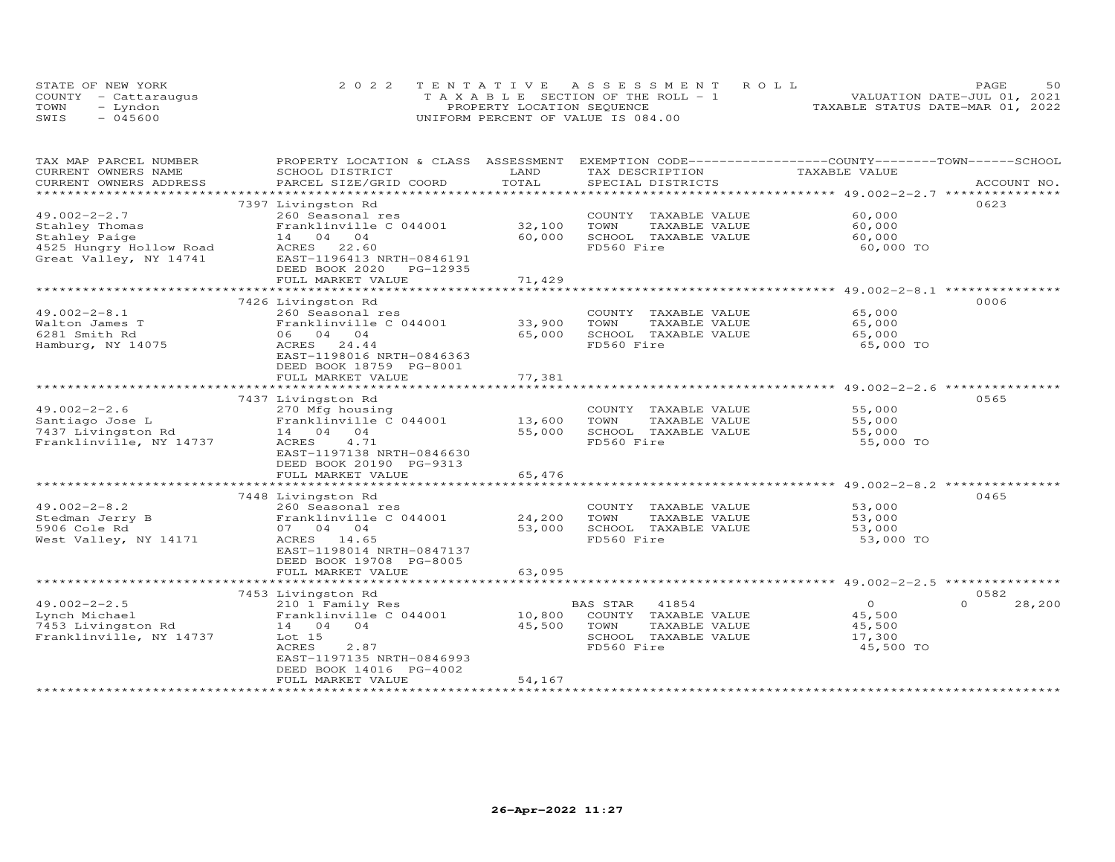| STATE OF NEW YORK    | 2022 TENTATIVE ASSESSMENT ROLL             | PAGE                             | 50 |
|----------------------|--------------------------------------------|----------------------------------|----|
| COUNTY - Cattaraugus | $T A X A B I E E$ SECTION OF THE ROLL $-1$ | VALUATION DATE-JUL 01, 2021      |    |
| TOWN<br>- Lyndon     | PROPERTY LOCATION SEQUENCE                 | TAXABLE STATUS DATE-MAR 01, 2022 |    |
| $-045600$<br>SWIS    | UNIFORM PERCENT OF VALUE IS 084.00         |                                  |    |

| TAX MAP PARCEL NUMBER<br>CURRENT OWNERS NAME | PROPERTY LOCATION & CLASS ASSESSMENT<br>SCHOOL DISTRICT | LAND                    | EXEMPTION CODE-----------------COUNTY-------TOWN------SCHOOL<br>TAX DESCRIPTION | TAXABLE VALUE                        |                  |
|----------------------------------------------|---------------------------------------------------------|-------------------------|---------------------------------------------------------------------------------|--------------------------------------|------------------|
| CURRENT OWNERS ADDRESS                       | PARCEL SIZE/GRID COORD                                  | TOTAL                   | SPECIAL DISTRICTS                                                               |                                      | ACCOUNT NO.      |
|                                              |                                                         | *********               |                                                                                 | ********** 49.002-2-2.7 ***          |                  |
|                                              | 7397 Livingston Rd                                      |                         |                                                                                 |                                      | 0623             |
| $49.002 - 2 - 2.7$                           | 260 Seasonal res                                        |                         | COUNTY<br>TAXABLE VALUE                                                         | 60,000                               |                  |
| Stahley Thomas                               | Franklinville C 044001                                  | 32,100                  | TOWN<br>TAXABLE VALUE                                                           | 60,000                               |                  |
| Stahley Paige                                | 14 04 04                                                | 60,000                  | SCHOOL TAXABLE VALUE                                                            | 60,000                               |                  |
| 4525 Hungry Hollow Road                      | ACRES<br>22.60                                          |                         | FD560 Fire                                                                      | 60,000 TO                            |                  |
| Great Valley, NY 14741                       | EAST-1196413 NRTH-0846191                               |                         |                                                                                 |                                      |                  |
|                                              | DEED BOOK 2020<br>PG-12935                              |                         |                                                                                 |                                      |                  |
|                                              | FULL MARKET VALUE                                       | 71,429                  |                                                                                 |                                      |                  |
|                                              | ************************                                |                         |                                                                                 | ********************* 49.002-2-8.1   |                  |
|                                              | 7426 Livingston Rd                                      |                         |                                                                                 |                                      | 0006             |
| $49.002 - 2 - 8.1$                           | 260 Seasonal res                                        |                         | COUNTY TAXABLE VALUE                                                            | 65,000                               |                  |
| Walton James T                               | Franklinville C 044001                                  | 33,900                  | TOWN<br>TAXABLE VALUE                                                           | 65,000                               |                  |
| 6281 Smith Rd                                | 06 04 04                                                | 65,000                  | SCHOOL TAXABLE VALUE                                                            | 65,000                               |                  |
| Hamburg, NY 14075                            | ACRES<br>24.44                                          |                         | FD560 Fire                                                                      | 65,000 TO                            |                  |
|                                              | EAST-1198016 NRTH-0846363                               |                         |                                                                                 |                                      |                  |
|                                              | DEED BOOK 18759 PG-8001                                 |                         |                                                                                 |                                      |                  |
|                                              | FULL MARKET VALUE                                       | 77,381                  |                                                                                 |                                      |                  |
|                                              |                                                         |                         |                                                                                 | *********************** 49.002-2-2.6 |                  |
|                                              | 7437 Livingston Rd                                      |                         |                                                                                 |                                      | 0565             |
| $49.002 - 2 - 2.6$                           | 270 Mfg housing                                         |                         | COUNTY TAXABLE VALUE                                                            | 55,000                               |                  |
| Santiago Jose L                              | Franklinville C 044001                                  | 13,600                  | TOWN<br>TAXABLE VALUE                                                           | 55,000                               |                  |
| 7437 Livingston Rd                           | 14 04<br>04                                             | 55,000                  | SCHOOL TAXABLE VALUE                                                            | 55,000                               |                  |
| Franklinville, NY 14737                      | ACRES<br>4.71                                           |                         | FD560 Fire                                                                      | 55,000 TO                            |                  |
|                                              | EAST-1197138 NRTH-0846630                               |                         |                                                                                 |                                      |                  |
|                                              | DEED BOOK 20190 PG-9313                                 |                         |                                                                                 |                                      |                  |
|                                              | FULL MARKET VALUE                                       | 65,476                  |                                                                                 |                                      |                  |
|                                              |                                                         |                         |                                                                                 | ********** 49.002-2-8.2 **           |                  |
|                                              | 7448 Livingston Rd                                      |                         |                                                                                 |                                      | 0465             |
| $49.002 - 2 - 8.2$                           | 260 Seasonal res                                        |                         | COUNTY TAXABLE VALUE                                                            | 53,000                               |                  |
| Stedman Jerry B                              | Franklinville C 044001                                  | 24,200                  | TOWN<br>TAXABLE VALUE                                                           | 53,000                               |                  |
| 5906 Cole Rd                                 | 07 04 04                                                | 53,000                  | SCHOOL TAXABLE VALUE                                                            | 53,000                               |                  |
| West Valley, NY 14171                        | ACRES 14.65                                             |                         | FD560 Fire                                                                      | 53,000 TO                            |                  |
|                                              | EAST-1198014 NRTH-0847137                               |                         |                                                                                 |                                      |                  |
|                                              | DEED BOOK 19708 PG-8005                                 |                         |                                                                                 |                                      |                  |
|                                              | FULL MARKET VALUE<br>************************           | 63,095<br>************* |                                                                                 |                                      |                  |
|                                              |                                                         |                         |                                                                                 |                                      |                  |
| $49.002 - 2 - 2.5$                           | 7453 Livingston Rd                                      |                         |                                                                                 | $\overline{O}$                       | 0582<br>$\Omega$ |
|                                              | 210 1 Family Res                                        |                         | <b>BAS STAR</b><br>41854                                                        |                                      | 28,200           |
| Lynch Michael                                | Franklinville C 044001<br>04                            | 10,800<br>45,500        | COUNTY TAXABLE VALUE<br>TOWN                                                    | 45,500                               |                  |
| 7453 Livingston Rd                           | 14 04<br>Lot 15                                         |                         | TAXABLE VALUE<br>SCHOOL TAXABLE VALUE                                           | 45,500<br>17,300                     |                  |
| Franklinville, NY 14737                      | <b>ACRES</b><br>2.87                                    |                         | FD560 Fire                                                                      | 45,500 TO                            |                  |
|                                              | EAST-1197135 NRTH-0846993                               |                         |                                                                                 |                                      |                  |
|                                              | DEED BOOK 14016 PG-4002                                 |                         |                                                                                 |                                      |                  |
|                                              | FULL MARKET VALUE                                       | 54,167                  |                                                                                 |                                      |                  |
|                                              |                                                         |                         |                                                                                 |                                      |                  |
|                                              |                                                         |                         |                                                                                 |                                      |                  |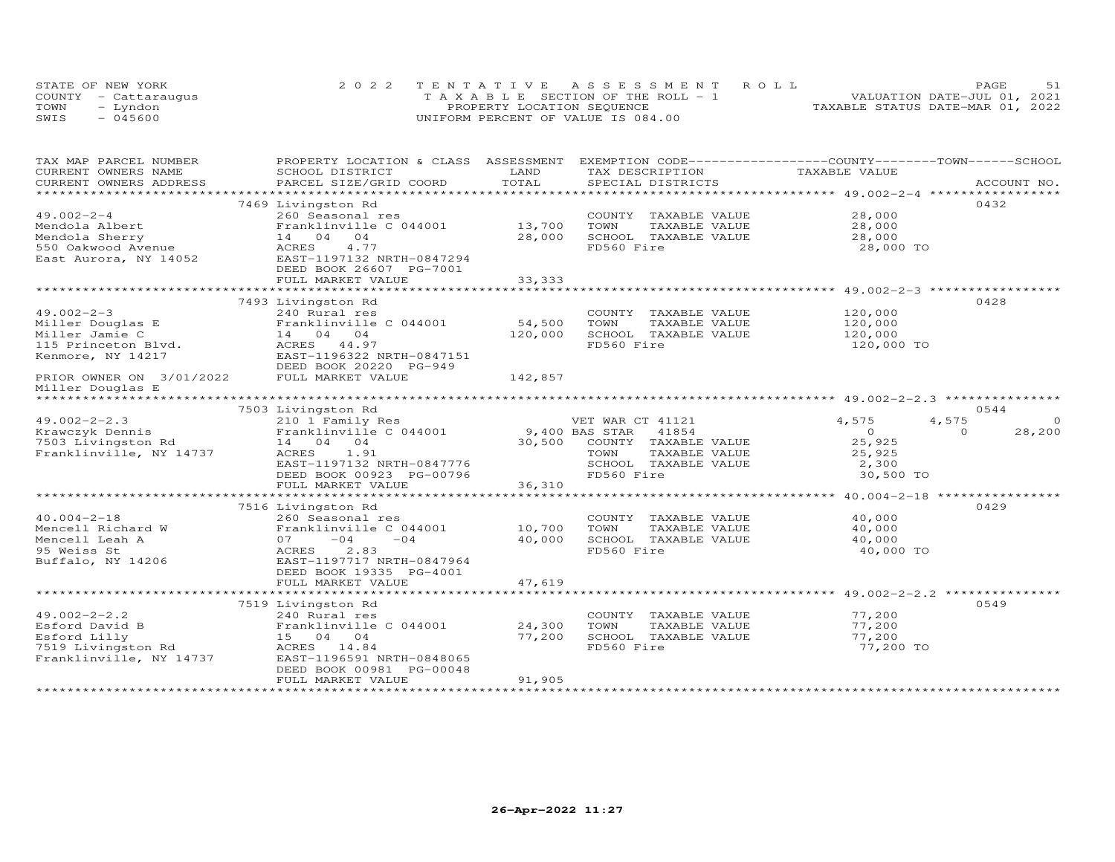|      | STATE OF NEW YORK    | 2022 TENTATIVE ASSESSMENT ROLL     | 51<br>PAGE.                      |
|------|----------------------|------------------------------------|----------------------------------|
|      | COUNTY - Cattaraugus | TAXABLE SECTION OF THE ROLL - 1    | VALUATION DATE-JUL 01, 2021      |
| TOWN | - Lyndon             | PROPERTY LOCATION SEQUENCE         | TAXABLE STATUS DATE-MAR 01, 2022 |
| SWIS | - 045600             | UNIFORM PERCENT OF VALUE IS 084.00 |                                  |

| TAX MAP PARCEL NUMBER                                                    | PROPERTY LOCATION & CLASS ASSESSMENT                                                                                                                  | LAND    | EXEMPTION CODE-----------------COUNTY-------TOWN------SCHOOL | TAXABLE VALUE   |                    |
|--------------------------------------------------------------------------|-------------------------------------------------------------------------------------------------------------------------------------------------------|---------|--------------------------------------------------------------|-----------------|--------------------|
| CURRENT OWNERS NAME<br>CURRENT OWNERS ADDRESS                            | SCHOOL DISTRICT                                                                                                                                       | TOTAL   | TAX DESCRIPTION                                              |                 | ACCOUNT NO.        |
| *************************                                                | PARCEL SIZE/GRID COORD                                                                                                                                |         | SPECIAL DISTRICTS                                            |                 |                    |
|                                                                          |                                                                                                                                                       |         |                                                              |                 | 0432               |
|                                                                          | 7469 Livingston Rd                                                                                                                                    |         |                                                              |                 |                    |
| $49.002 - 2 - 4$                                                         | 260 Seasonal res                                                                                                                                      |         | COUNTY TAXABLE VALUE                                         | 28,000          |                    |
|                                                                          |                                                                                                                                                       | 13,700  | TOWN<br>TAXABLE VALUE                                        | 28,000          |                    |
|                                                                          |                                                                                                                                                       | 28,000  | SCHOOL TAXABLE VALUE                                         | 28,000          |                    |
|                                                                          | Mendola Albert<br>Mendola Sherry<br>14 04 04<br>550 Oakwood Avenue<br>East Aurora, NY 14052<br>EAST-1197132 NRTH-0847294<br>EAST-1197132 NRTH-0847294 |         | FD560 Fire                                                   | 28,000 TO       |                    |
|                                                                          |                                                                                                                                                       |         |                                                              |                 |                    |
|                                                                          | DEED BOOK 26607 PG-7001                                                                                                                               |         |                                                              |                 |                    |
|                                                                          | FULL MARKET VALUE                                                                                                                                     | 33,333  |                                                              |                 |                    |
|                                                                          |                                                                                                                                                       |         |                                                              |                 |                    |
|                                                                          | 7493 Livingston Rd                                                                                                                                    |         |                                                              |                 | 0428               |
| $49.002 - 2 - 3$                                                         | 240 Rural res                                                                                                                                         |         | COUNTY TAXABLE VALUE                                         | 120,000         |                    |
| Miller Douglas E                                                         | Franklinville C 044001                                                                                                                                | 54,500  | TOWN<br>TAXABLE VALUE                                        | 120,000         |                    |
| Miller Jamie C                                                           | $\begin{bmatrix} \texttt{Franklinville} \\ 14 & 04 & 04 \end{bmatrix}$                                                                                | 120,000 | SCHOOL TAXABLE VALUE                                         | 120,000         |                    |
|                                                                          | ACRES 44.97                                                                                                                                           |         | FD560 Fire                                                   | 120,000 TO      |                    |
| 115 Princeton Blvd.<br>Kenmore, NY 14217<br>Kenmore, NY 14217            | EAST-1196322 NRTH-0847151                                                                                                                             |         |                                                              |                 |                    |
|                                                                          | DEED BOOK 20220 PG-949                                                                                                                                |         |                                                              |                 |                    |
| PRIOR OWNER ON 3/01/2022 FULL MARKET VALUE                               |                                                                                                                                                       | 142,857 |                                                              |                 |                    |
| Miller Douglas E                                                         |                                                                                                                                                       |         |                                                              |                 |                    |
|                                                                          |                                                                                                                                                       |         |                                                              |                 |                    |
|                                                                          | 7503 Livingston Rd                                                                                                                                    |         |                                                              |                 | 0.544              |
| $49.002 - 2 - 2.3$                                                       | 210 1 Family Res                                                                                                                                      |         | VET WAR CT 41121                                             | 4,575           | 4,575<br>$\circ$   |
| Krawczyk Dennis                                                          | Franklinville C 044001 9,400 BAS STAR                                                                                                                 |         | 41854                                                        | $\overline{0}$  | 28,200<br>$\Omega$ |
| 7503 Livingston Rd                                                       | 14 04 04                                                                                                                                              |         | 30,500 COUNTY TAXABLE VALUE                                  | 25,925          |                    |
| Franklinville, NY 14737                                                  | 1.91<br>ACRES                                                                                                                                         |         | TOWN<br>TAXABLE VALUE                                        |                 |                    |
|                                                                          |                                                                                                                                                       |         |                                                              | 25,925<br>2,300 |                    |
|                                                                          | EAST-1197132 NRTH-0847776                                                                                                                             |         | SCHOOL TAXABLE VALUE                                         |                 |                    |
|                                                                          | DEED BOOK 00923 PG-00796                                                                                                                              |         | FD560 Fire                                                   | 30,500 TO       |                    |
|                                                                          | FULL MARKET VALUE                                                                                                                                     | 36,310  |                                                              |                 |                    |
|                                                                          |                                                                                                                                                       |         |                                                              |                 |                    |
|                                                                          | 7516 Livingston Rd                                                                                                                                    |         |                                                              |                 | 0429               |
| $40.004 - 2 - 18$                                                        | 260 Seasonal res<br>Franklinville C 044001 10,700                                                                                                     |         | COUNTY TAXABLE VALUE                                         | 40,000          |                    |
| Mencell Richard W                                                        |                                                                                                                                                       |         | TOWN<br>TAXABLE VALUE                                        | 40,000          |                    |
| Mencell Leah A                                                           | $07 -04$<br>$-04$                                                                                                                                     | 40,000  | SCHOOL TAXABLE VALUE                                         | 40,000          |                    |
| 95 Weiss St                                                              | 2.83<br>ACRES                                                                                                                                         |         | FD560 Fire                                                   | 40,000 TO       |                    |
| Buffalo, NY 14206                                                        | EAST-1197717 NRTH-0847964                                                                                                                             |         |                                                              |                 |                    |
|                                                                          | DEED BOOK 19335 PG-4001                                                                                                                               |         |                                                              |                 |                    |
|                                                                          | FULL MARKET VALUE                                                                                                                                     | 47,619  |                                                              |                 |                    |
|                                                                          |                                                                                                                                                       |         |                                                              |                 |                    |
|                                                                          | 7519 Livingston Rd                                                                                                                                    |         |                                                              |                 | 0549               |
| $49.002 - 2 - 2.2$                                                       | 240 Rural res                                                                                                                                         |         | COUNTY TAXABLE VALUE                                         | 77,200          |                    |
|                                                                          | Franklinville C 044001                                                                                                                                | 24,300  | TOWN<br>TAXABLE VALUE                                        | 77,200          |                    |
| Esford David B<br>Esford Lilly 15 04 04<br>7519 Livingston Rd ACRES 14.8 |                                                                                                                                                       | 77,200  | SCHOOL TAXABLE VALUE                                         | 77,200          |                    |
|                                                                          | ACRES 14.84                                                                                                                                           |         | FD560 Fire                                                   | 77,200 TO       |                    |
| Franklinville, NY 14737                                                  | EAST-1196591 NRTH-0848065                                                                                                                             |         |                                                              |                 |                    |
|                                                                          | DEED BOOK 00981 PG-00048                                                                                                                              |         |                                                              |                 |                    |
|                                                                          | FULL MARKET VALUE                                                                                                                                     | 91,905  |                                                              |                 |                    |
|                                                                          |                                                                                                                                                       |         |                                                              |                 |                    |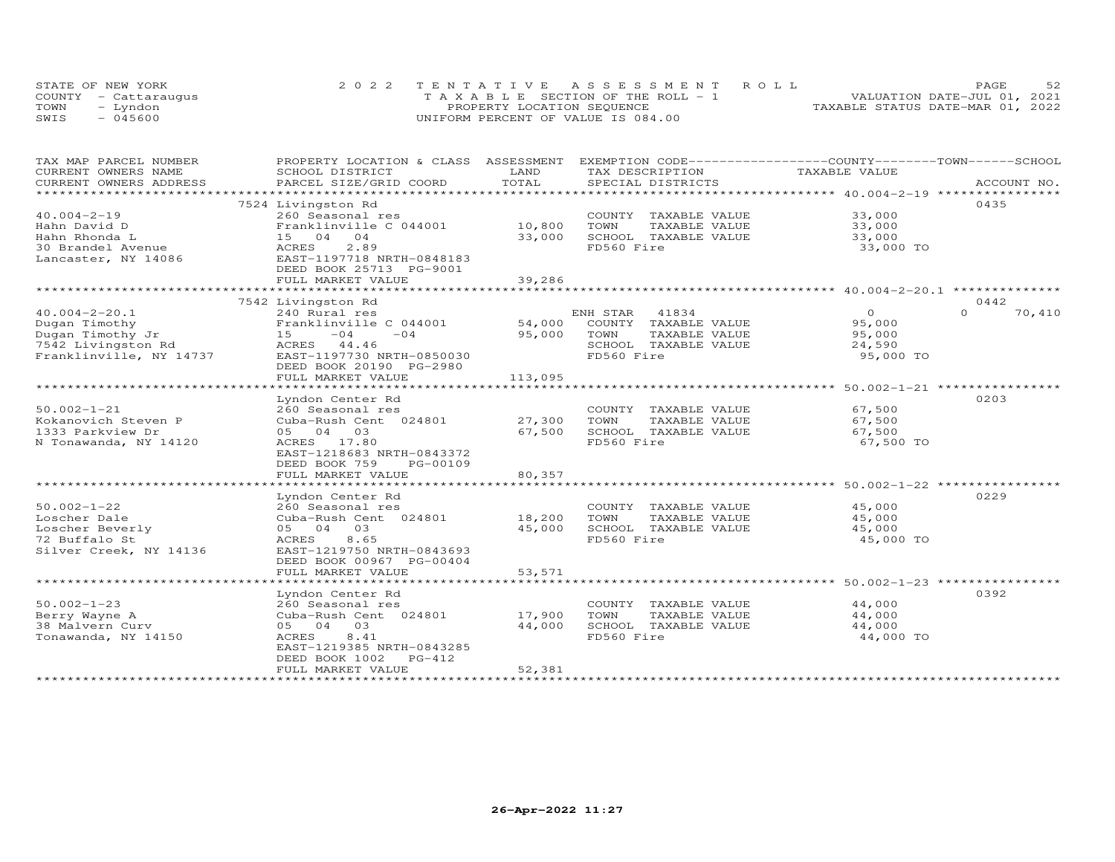|      | STATE OF NEW YORK    | 2022 TENTATIVE ASSESSMENT ROLL                | 52<br>PAGE                       |
|------|----------------------|-----------------------------------------------|----------------------------------|
|      | COUNTY - Cattaraugus | $T A X A B I E S E C T I ON OF THE RO I. - 1$ | VALUATION DATE-JUL 01, 2021      |
| TOWN | Lyndon               | PROPERTY LOCATION SEQUENCE                    | TAXABLE STATUS DATE-MAR 01, 2022 |
| SWIS | - 045600             | UNIFORM PERCENT OF VALUE IS 084.00            |                                  |

| TAX MAP PARCEL NUMBER    | PROPERTY LOCATION & CLASS ASSESSMENT |            | EXEMPTION CODE------------------COUNTY-------TOWN------SCHOOL |                |                    |
|--------------------------|--------------------------------------|------------|---------------------------------------------------------------|----------------|--------------------|
| CURRENT OWNERS NAME      | SCHOOL DISTRICT                      | LAND       | TAX DESCRIPTION                                               | TAXABLE VALUE  |                    |
| CURRENT OWNERS ADDRESS   | PARCEL SIZE/GRID COORD               | TOTAL      | SPECIAL DISTRICTS                                             |                | ACCOUNT NO.        |
| ************************ |                                      |            |                                                               |                |                    |
|                          | 7524 Livingston Rd                   |            |                                                               |                | 0435               |
| $40.004 - 2 - 19$        | 260 Seasonal res                     |            | COUNTY TAXABLE VALUE                                          | 33,000         |                    |
| Hahn David D             | Franklinville C 044001               | 10,800     | TOWN<br>TAXABLE VALUE                                         | 33,000         |                    |
| Hahn Rhonda L            | 15 04 04                             | 33,000     | SCHOOL TAXABLE VALUE                                          | 33,000         |                    |
| 30 Brandel Avenue        | ACRES<br>2.89                        |            | FD560 Fire                                                    | 33,000 TO      |                    |
| Lancaster, NY 14086      | EAST-1197718 NRTH-0848183            |            |                                                               |                |                    |
|                          | DEED BOOK 25713 PG-9001              |            |                                                               |                |                    |
|                          | FULL MARKET VALUE                    | 39,286     |                                                               |                |                    |
|                          | *************************            | ********** |                                                               |                |                    |
|                          | 7542 Livingston Rd                   |            |                                                               |                | 0442               |
| $40.004 - 2 - 20.1$      | 240 Rural res                        |            | ENH STAR<br>41834                                             | $\overline{0}$ | $\Omega$<br>70,410 |
| Dugan Timothy            | Franklinville C 044001               | 54,000     | COUNTY TAXABLE VALUE                                          | 95,000         |                    |
| Dugan Timothy Jr         | $-04$<br>$-04$<br>15                 | 95,000     | TOWN<br>TAXABLE VALUE                                         | 95,000         |                    |
| 7542 Livingston Rd       | ACRES 44.46                          |            | SCHOOL TAXABLE VALUE                                          | 24,590         |                    |
| Franklinville, NY 14737  | EAST-1197730 NRTH-0850030            |            | FD560 Fire                                                    | 95,000 TO      |                    |
|                          |                                      |            |                                                               |                |                    |
|                          | DEED BOOK 20190 PG-2980              |            |                                                               |                |                    |
|                          | FULL MARKET VALUE                    | 113,095    |                                                               |                |                    |
|                          |                                      |            |                                                               |                |                    |
|                          | Lyndon Center Rd                     |            |                                                               |                | 0203               |
| $50.002 - 1 - 21$        | 260 Seasonal res                     |            | COUNTY TAXABLE VALUE                                          | 67,500         |                    |
| Kokanovich Steven P      | Cuba-Rush Cent 024801                | 27,300     | TOWN<br>TAXABLE VALUE                                         | 67,500         |                    |
| 1333 Parkview Dr         | 05 04 03                             | 67,500     | SCHOOL TAXABLE VALUE                                          | 67,500         |                    |
| N Tonawanda, NY 14120    | ACRES 17.80                          |            | FD560 Fire                                                    | 67,500 TO      |                    |
|                          | EAST-1218683 NRTH-0843372            |            |                                                               |                |                    |
|                          | DEED BOOK 759<br>PG-00109            |            |                                                               |                |                    |
|                          | FULL MARKET VALUE                    | 80,357     |                                                               |                |                    |
|                          | *****************************        |            |                                                               |                |                    |
|                          | Lyndon Center Rd                     |            |                                                               |                | 0229               |
| $50.002 - 1 - 22$        | 260 Seasonal res                     |            | COUNTY TAXABLE VALUE                                          | 45,000         |                    |
| Loscher Dale             | Cuba-Rush Cent 024801                | 18,200     | TOWN<br>TAXABLE VALUE                                         | 45,000         |                    |
| Loscher Beverly          | 05 04 03                             | 45,000     | SCHOOL TAXABLE VALUE                                          | 45,000         |                    |
| 72 Buffalo St            | 8.65<br>ACRES                        |            | FD560 Fire                                                    | 45,000 TO      |                    |
| Silver Creek, NY 14136   | EAST-1219750 NRTH-0843693            |            |                                                               |                |                    |
|                          | DEED BOOK 00967 PG-00404             |            |                                                               |                |                    |
|                          | FULL MARKET VALUE                    | 53,571     |                                                               |                |                    |
|                          |                                      |            |                                                               |                |                    |
|                          | Lyndon Center Rd                     |            |                                                               |                | 0392               |
| $50.002 - 1 - 23$        | 260 Seasonal res                     |            | COUNTY TAXABLE VALUE                                          | 44,000         |                    |
| Berry Wayne A            | Cuba-Rush Cent 024801                | 17,900     | TOWN<br>TAXABLE VALUE                                         | 44,000         |                    |
| 38 Malvern Curv          | 05 04 03                             | 44,000     | SCHOOL TAXABLE VALUE                                          | 44,000         |                    |
| Tonawanda, NY 14150      | ACRES<br>8.41                        |            | FD560 Fire                                                    | 44,000 TO      |                    |
|                          | EAST-1219385 NRTH-0843285            |            |                                                               |                |                    |
|                          | DEED BOOK 1002<br>$PG-412$           |            |                                                               |                |                    |
|                          | FULL MARKET VALUE                    | 52,381     |                                                               |                |                    |
|                          |                                      |            |                                                               |                |                    |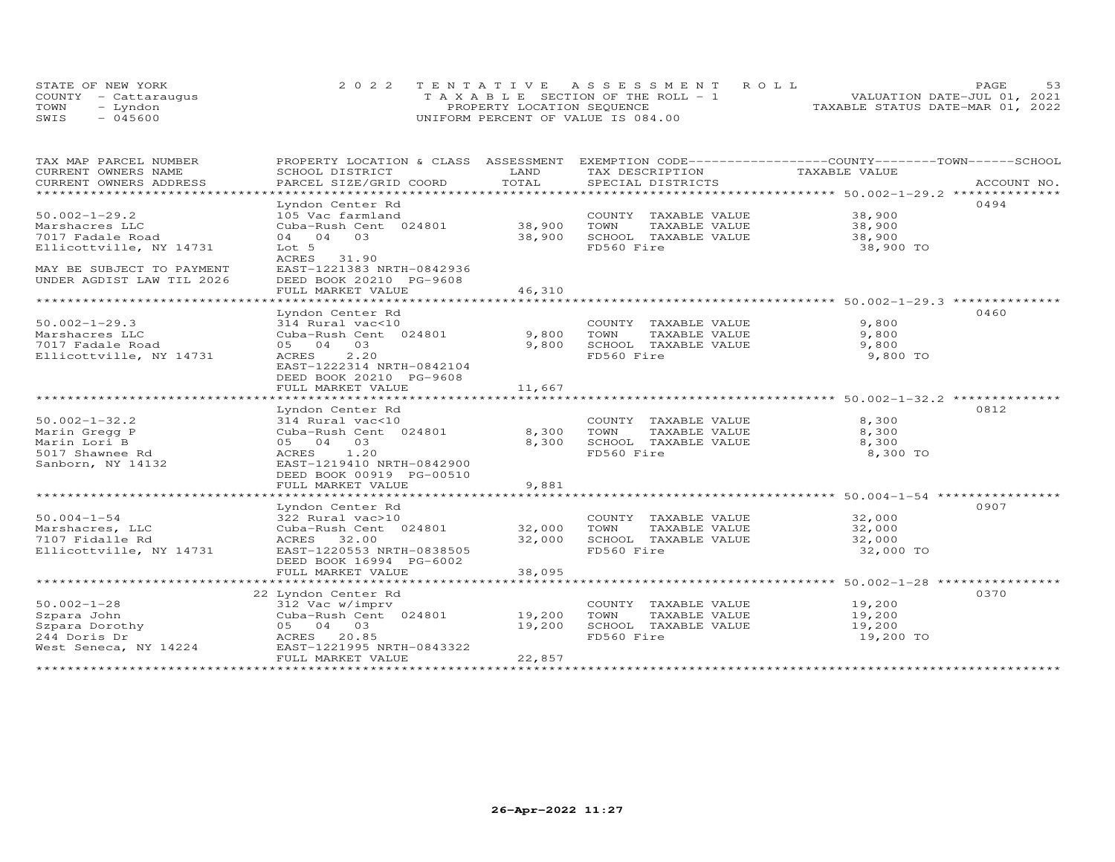|      | STATE OF NEW YORK    | 2022 TENTATIVE ASSESSMENT ROLL     | PAGE.                            |
|------|----------------------|------------------------------------|----------------------------------|
|      | COUNTY - Cattarauqus | TAXABLE SECTION OF THE ROLL - 1    | VALUATION DATE-JUL 01, 2021      |
| TOWN | – Lyndon             | PROPERTY LOCATION SEQUENCE         | TAXABLE STATUS DATE-MAR 01, 2022 |
| SWIS | $-045600$            | UNIFORM PERCENT OF VALUE IS 084.00 |                                  |

| SCHOOL DISTRICT                                                                                                                                                          | LAND                                                                                                                                   | TAX DESCRIPTION                                                                     |                                                                                                                        | ACCOUNT NO.                                                                                                                                                                                                                                                                                                                                      |
|--------------------------------------------------------------------------------------------------------------------------------------------------------------------------|----------------------------------------------------------------------------------------------------------------------------------------|-------------------------------------------------------------------------------------|------------------------------------------------------------------------------------------------------------------------|--------------------------------------------------------------------------------------------------------------------------------------------------------------------------------------------------------------------------------------------------------------------------------------------------------------------------------------------------|
| ******************************                                                                                                                                           |                                                                                                                                        |                                                                                     |                                                                                                                        |                                                                                                                                                                                                                                                                                                                                                  |
| Lyndon Center Rd<br>105 Vac farmland<br>04 04 03<br>Lot 5<br>ACRES 31.90<br>EAST-1221383 NRTH-0842936<br>DEED BOOK 20210 PG-9608                                         | 38,900                                                                                                                                 | TOWN<br>TAXABLE VALUE<br>SCHOOL TAXABLE VALUE<br>FD560 Fire                         | 38,900<br>38,900 TO                                                                                                    | 0494                                                                                                                                                                                                                                                                                                                                             |
|                                                                                                                                                                          |                                                                                                                                        |                                                                                     |                                                                                                                        |                                                                                                                                                                                                                                                                                                                                                  |
| Lyndon Center Rd<br>314 Rural vac<10<br>Cuba-Rush Cent 024801<br>05 04 03<br>2.20<br>ACRES<br>EAST-1222314 NRTH-0842104<br>DEED BOOK 20210 PG-9608                       | 9,800<br>9,800                                                                                                                         | COUNTY TAXABLE VALUE<br>TAXABLE VALUE<br>TOWN<br>SCHOOL TAXABLE VALUE<br>FD560 Fire | 9,800<br>9,800<br>9,800<br>9,800 TO                                                                                    | 0460                                                                                                                                                                                                                                                                                                                                             |
|                                                                                                                                                                          |                                                                                                                                        |                                                                                     |                                                                                                                        |                                                                                                                                                                                                                                                                                                                                                  |
| Lyndon Center Rd<br>314 Rural vac<10<br>Cuba-Rush Cent 024801<br>05 04 03<br>1.20<br>ACRES<br>EAST-1219410 NRTH-0842900<br>DEED BOOK 00919 PG-00510<br>FULL MARKET VALUE | 8,300<br>8,300<br>9,881                                                                                                                | TOWN<br>TAXABLE VALUE<br>SCHOOL TAXABLE VALUE<br>FD560 Fire                         | 8,300<br>8,300<br>8,300<br>8,300 TO                                                                                    | 0812                                                                                                                                                                                                                                                                                                                                             |
|                                                                                                                                                                          |                                                                                                                                        |                                                                                     |                                                                                                                        |                                                                                                                                                                                                                                                                                                                                                  |
| 322 Rural vac>10<br>Cuba-Rush Cent 024801<br>ACRES 32.00<br>EAST-1220553 NRTH-0838505<br>DEED BOOK 16994 PG-6002                                                         | 32,000<br>32,000                                                                                                                       | TOWN<br>TAXABLE VALUE<br>SCHOOL TAXABLE VALUE<br>FD560 Fire                         | 32,000<br>32,000 TO                                                                                                    | 0907                                                                                                                                                                                                                                                                                                                                             |
|                                                                                                                                                                          |                                                                                                                                        |                                                                                     |                                                                                                                        |                                                                                                                                                                                                                                                                                                                                                  |
| 22 Lyndon Center Rd<br>312 Vac w/imprv<br>Cuba-Rush Cent 024801<br>05 04 03<br>ACRES 20.85<br>EAST-1221995 NRTH-0843322<br>FULL MARKET VALUE                             | 19,200<br>19,200<br>22,857                                                                                                             | COUNTY TAXABLE VALUE<br>TOWN<br>TAXABLE VALUE<br>SCHOOL TAXABLE VALUE<br>FD560 Fire | 19,200<br>19,200<br>19,200<br>19,200 TO                                                                                | 0370                                                                                                                                                                                                                                                                                                                                             |
|                                                                                                                                                                          | PARCEL SIZE/GRID COORD<br>FULL MARKET VALUE<br>*************************<br>FULL MARKET VALUE<br>Lyndon Center Rd<br>FULL MARKET VALUE | TOTAL<br>46,310<br>11,667<br>38,095                                                 | PROPERTY LOCATION & CLASS ASSESSMENT<br>SPECIAL DISTRICTS<br>Cuba-Rush Cent 024801 38,900<br>* * * * * * * * * * * * * | EXEMPTION CODE-----------------COUNTY-------TOWN------SCHOOL<br>TAXABLE VALUE<br>COUNTY TAXABLE VALUE 38,900<br>38,900<br>***********************************50.002-1-29.3 ********************************<br>COUNTY TAXABLE VALUE<br>COUNTY TAXABLE VALUE 32,000<br>32,000<br>********************************** 50.002-1-28 ***************** |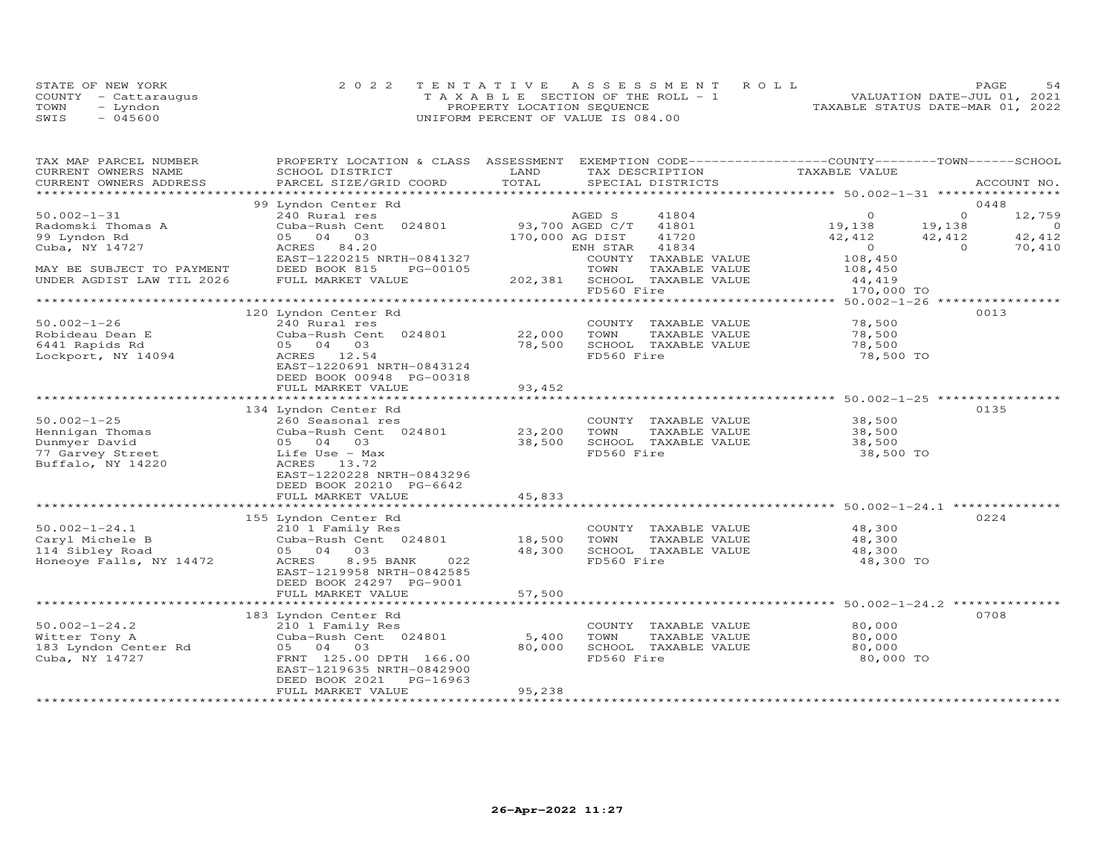|      | STATE OF NEW YORK    | 2022 TENTATIVE ASSESSMENT ROLL        | 54<br>PAGE                       |
|------|----------------------|---------------------------------------|----------------------------------|
|      | COUNTY - Cattaraugus | T A X A B L E SECTION OF THE ROLL - 1 | VALUATION DATE-JUL 01, 2021      |
| TOWN | - Lyndon             | PROPERTY LOCATION SEQUENCE            | TAXABLE STATUS DATE-MAR 01, 2022 |
| SWIS | $-045600$            | UNIFORM PERCENT OF VALUE IS 084.00    |                                  |

| TAX MAP PARCEL NUMBER<br>CURRENT OWNERS NAME | PROPERTY LOCATION & CLASS ASSESSMENT<br>SCHOOL DISTRICT | LAND        | EXEMPTION CODE------------------COUNTY-------TOWN------SCHOOL<br>TAX DESCRIPTION | TAXABLE VALUE                                              |                          |
|----------------------------------------------|---------------------------------------------------------|-------------|----------------------------------------------------------------------------------|------------------------------------------------------------|--------------------------|
| CURRENT OWNERS ADDRESS                       | PARCEL SIZE/GRID COORD                                  | TOTAL       | SPECIAL DISTRICTS                                                                |                                                            | ACCOUNT NO.              |
| ************************                     | 99 Lyndon Center Rd                                     |             |                                                                                  |                                                            | 0448                     |
| $50.002 - 1 - 31$                            | 240 Rural res                                           |             | AGED S<br>41804                                                                  | $\Omega$                                                   | $\circ$<br>12,759        |
| Radomski Thomas A                            | Cuba-Rush Cent 024801                                   |             | 93,700 AGED C/T<br>41801                                                         | 19,138                                                     | 19,138<br>$\overline{0}$ |
| 99 Lyndon Rd                                 | 05 04 03                                                |             | 170,000 AG DIST<br>41720                                                         | 42,412                                                     | 42,412<br>42,412         |
| Cuba, NY 14727                               | ACRES 84.20                                             |             | 41834<br>ENH STAR                                                                | $\overline{0}$                                             | $\Omega$<br>70,410       |
| MAY BE SUBJECT TO PAYMENT                    | EAST-1220215 NRTH-0841327<br>DEED BOOK 815<br>PG-00105  |             | COUNTY TAXABLE VALUE<br>TOWN<br>TAXABLE VALUE                                    | 108,450                                                    |                          |
| UNDER AGDIST LAW TIL 2026                    | FULL MARKET VALUE                                       | 202,381     | SCHOOL TAXABLE VALUE                                                             | 108,450<br>44,419                                          |                          |
|                                              |                                                         |             | FD560 Fire                                                                       | 170,000 TO                                                 |                          |
|                                              |                                                         |             |                                                                                  |                                                            |                          |
|                                              | 120 Lyndon Center Rd                                    |             |                                                                                  |                                                            | 0013                     |
| $50.002 - 1 - 26$<br>Robideau Dean E         | 240 Rural res                                           | 22,000      | COUNTY TAXABLE VALUE<br>TOWN<br>TAXABLE VALUE                                    | 78,500<br>78,500                                           |                          |
| 6441 Rapids Rd                               | Cuba-Rush Cent 024801<br>05 04 03                       | 78,500      | SCHOOL TAXABLE VALUE                                                             | 78,500                                                     |                          |
| Lockport, NY 14094                           | ACRES 12.54                                             |             | FD560 Fire                                                                       | 78,500 TO                                                  |                          |
|                                              | EAST-1220691 NRTH-0843124                               |             |                                                                                  |                                                            |                          |
|                                              | DEED BOOK 00948 PG-00318                                |             |                                                                                  |                                                            |                          |
|                                              | FULL MARKET VALUE                                       | 93,452      |                                                                                  |                                                            |                          |
|                                              | *************************                               | *********** |                                                                                  | ********************************* 50.002-1-25 ************ |                          |
| $50.002 - 1 - 25$                            | 134 Lyndon Center Rd<br>260 Seasonal res                |             | COUNTY TAXABLE VALUE                                                             | 38,500                                                     | 0135                     |
| Hennigan Thomas                              | Cuba-Rush Cent 024801                                   | 23,200      | TOWN<br>TAXABLE VALUE                                                            | 38,500                                                     |                          |
| Dunmyer David                                | 03<br>05 04                                             | 38,500      | SCHOOL TAXABLE VALUE                                                             | 38,500                                                     |                          |
| 77 Garvey Street                             | Life Use - Max                                          |             | FD560 Fire                                                                       | 38,500 TO                                                  |                          |
| Buffalo, NY 14220                            | ACRES 13.72                                             |             |                                                                                  |                                                            |                          |
|                                              | EAST-1220228 NRTH-0843296                               |             |                                                                                  |                                                            |                          |
|                                              | DEED BOOK 20210 PG-6642<br>FULL MARKET VALUE            | 45,833      |                                                                                  |                                                            |                          |
|                                              |                                                         |             |                                                                                  |                                                            |                          |
|                                              | 155 Lyndon Center Rd                                    |             |                                                                                  |                                                            | 0224                     |
| $50.002 - 1 - 24.1$                          | 210 1 Family Res                                        |             | COUNTY TAXABLE VALUE                                                             | 48,300                                                     |                          |
| Caryl Michele B                              | Cuba-Rush Cent 024801                                   | 18,500      | TOWN<br>TAXABLE VALUE                                                            | 48,300                                                     |                          |
| 114 Sibley Road                              | 05 04 03                                                | 48,300      | SCHOOL TAXABLE VALUE                                                             | 48,300                                                     |                          |
| Honeoye Falls, NY 14472                      | 8.95 BANK<br>022<br>ACRES<br>EAST-1219958 NRTH-0842585  |             | FD560 Fire                                                                       | 48,300 TO                                                  |                          |
|                                              | DEED BOOK 24297 PG-9001                                 |             |                                                                                  |                                                            |                          |
|                                              | FULL MARKET VALUE                                       | 57,500      |                                                                                  |                                                            |                          |
|                                              |                                                         |             |                                                                                  | ********************** 50.002-1-24.2 *********             |                          |
|                                              | 183 Lyndon Center Rd                                    |             |                                                                                  |                                                            | 0708                     |
| $50.002 - 1 - 24.2$                          | 210 1 Family Res                                        |             | COUNTY TAXABLE VALUE                                                             | 80,000                                                     |                          |
| Witter Tony A                                | Cuba-Rush Cent 024801                                   | 5,400       | TOWN<br>TAXABLE VALUE                                                            | 80,000                                                     |                          |
| 183 Lyndon Center Rd<br>Cuba, NY 14727       | 05 04 03<br>FRNT 125.00 DPTH 166.00                     | 80,000      | SCHOOL TAXABLE VALUE<br>FD560 Fire                                               | 80,000<br>80,000 TO                                        |                          |
|                                              | EAST-1219635 NRTH-0842900                               |             |                                                                                  |                                                            |                          |
|                                              | PG-16963<br>DEED BOOK 2021                              |             |                                                                                  |                                                            |                          |
|                                              | FULL MARKET VALUE                                       | 95,238      |                                                                                  |                                                            |                          |
|                                              |                                                         |             |                                                                                  |                                                            |                          |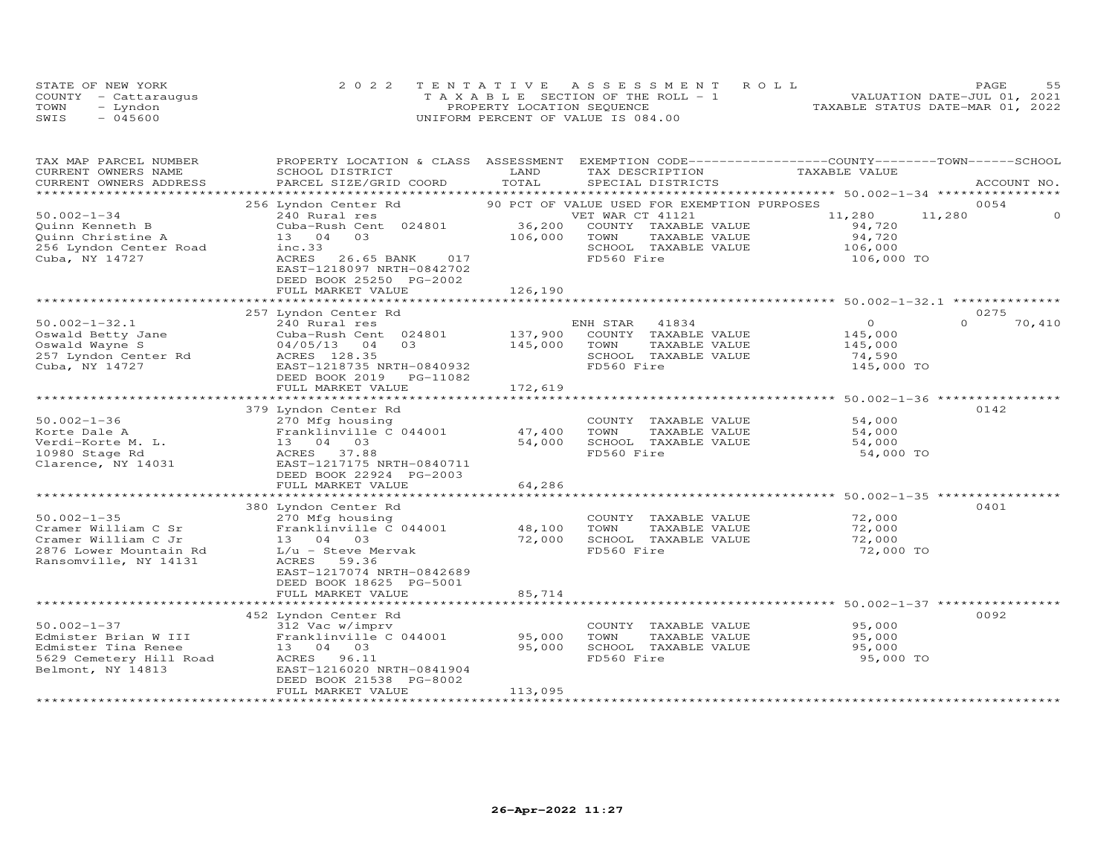| STATE OF NEW YORK    | 2022 TENTATIVE ASSESSMENT ROLL        |  |                                  | <b>PAGE</b> | 55 |
|----------------------|---------------------------------------|--|----------------------------------|-------------|----|
| COUNTY - Cattaraugus | T A X A B L E SECTION OF THE ROLL - 1 |  | VALUATION DATE-JUL 01, 2021      |             |    |
| TOWN<br>- Lyndon     | PROPERTY LOCATION SEQUENCE            |  | TAXABLE STATUS DATE-MAR 01, 2022 |             |    |
| - 045600<br>SWIS     | UNIFORM PERCENT OF VALUE IS 084.00    |  |                                  |             |    |

| TAX MAP PARCEL NUMBER                        | PROPERTY LOCATION & CLASS ASSESSMENT EXEMPTION CODE----------------COUNTY-------TOWN------SCHOOL | LAND         |                  |                                             |                                                  |          |             |
|----------------------------------------------|--------------------------------------------------------------------------------------------------|--------------|------------------|---------------------------------------------|--------------------------------------------------|----------|-------------|
| CURRENT OWNERS NAME                          | SCHOOL DISTRICT                                                                                  | TOTAL        |                  | TAX DESCRIPTION                             | TAXABLE VALUE                                    |          |             |
| CURRENT OWNERS ADDRESS<br>****************** | PARCEL SIZE/GRID COORD<br>*********************                                                  |              |                  | SPECIAL DISTRICTS                           |                                                  |          | ACCOUNT NO. |
|                                              |                                                                                                  |              |                  |                                             |                                                  |          |             |
|                                              | 256 Lyndon Center Rd                                                                             |              |                  | 90 PCT OF VALUE USED FOR EXEMPTION PURPOSES |                                                  |          | 0054        |
| $50.002 - 1 - 34$                            | 240 Rural res                                                                                    |              | VET WAR CT 41121 |                                             | 11,280                                           | 11,280   |             |
| Quinn Kenneth B                              | Cuba-Rush Cent 024801                                                                            | 36,200       |                  | COUNTY TAXABLE VALUE                        | 94,720                                           |          |             |
| Quinn Christine A                            | 13 04<br>03                                                                                      | 106,000      | TOWN             | TAXABLE VALUE                               | 94,720                                           |          |             |
| 256 Lyndon Center Road                       | inc.33                                                                                           |              |                  | SCHOOL TAXABLE VALUE                        | 106,000                                          |          |             |
| Cuba, NY 14727                               | ACRES<br>26.65 BANK<br>017                                                                       |              | FD560 Fire       |                                             | 106,000 TO                                       |          |             |
|                                              | EAST-1218097 NRTH-0842702                                                                        |              |                  |                                             |                                                  |          |             |
|                                              | DEED BOOK 25250 PG-2002                                                                          |              |                  |                                             |                                                  |          |             |
|                                              | FULL MARKET VALUE                                                                                | 126,190      |                  |                                             |                                                  |          |             |
|                                              |                                                                                                  |              |                  |                                             |                                                  |          |             |
|                                              | 257 Lyndon Center Rd                                                                             |              |                  |                                             |                                                  |          | 0275        |
| $50.002 - 1 - 32.1$                          | 240 Rural res                                                                                    |              | ENH STAR         | 41834                                       | $\overline{0}$                                   | $\Omega$ | 70,410      |
| Oswald Betty Jane                            | Cuba-Rush Cent 024801                                                                            | 137,900      |                  | COUNTY TAXABLE VALUE                        | 145,000                                          |          |             |
| Oswald Wayne S                               | 0.3<br>$04/05/13$ 04                                                                             | 145,000      | TOWN             | TAXABLE VALUE                               | 145,000                                          |          |             |
| 257 Lyndon Center Rd                         | ACRES 128.35                                                                                     |              |                  | SCHOOL TAXABLE VALUE                        | 74,590                                           |          |             |
| Cuba, NY 14727                               | EAST-1218735 NRTH-0840932                                                                        |              | FD560 Fire       |                                             | 145,000 TO                                       |          |             |
|                                              | DEED BOOK 2019<br>PG-11082                                                                       |              |                  |                                             |                                                  |          |             |
|                                              | FULL MARKET VALUE                                                                                | 172,619      |                  |                                             |                                                  |          |             |
|                                              | *******************************                                                                  | ************ |                  |                                             | ******************* 50.002-1-36 **************** |          |             |
|                                              | 379 Lyndon Center Rd                                                                             |              |                  |                                             |                                                  |          | 0142        |
| $50.002 - 1 - 36$                            | 270 Mfg housing                                                                                  |              |                  | COUNTY TAXABLE VALUE                        | 54,000                                           |          |             |
| Korte Dale A                                 | Franklinville C 044001                                                                           | 47,400       | TOWN             | TAXABLE VALUE                               | 54,000                                           |          |             |
| Verdi-Korte M. L.                            | 13 04 03                                                                                         | 54,000       |                  | SCHOOL TAXABLE VALUE                        | 54,000                                           |          |             |
| 10980 Stage Rd                               | ACRES 37.88                                                                                      |              | FD560 Fire       |                                             | 54,000 TO                                        |          |             |
| Clarence, NY 14031                           | EAST-1217175 NRTH-0840711                                                                        |              |                  |                                             |                                                  |          |             |
|                                              | DEED BOOK 22924 PG-2003                                                                          |              |                  |                                             |                                                  |          |             |
|                                              | FULL MARKET VALUE                                                                                | 64,286       |                  |                                             |                                                  |          |             |
|                                              |                                                                                                  |              |                  |                                             |                                                  |          |             |
|                                              | 380 Lyndon Center Rd                                                                             |              |                  |                                             |                                                  |          | 0401        |
| $50.002 - 1 - 35$                            | 270 Mfg housing                                                                                  |              |                  | COUNTY TAXABLE VALUE                        | 72,000                                           |          |             |
| Cramer William C Sr                          | Franklinville C 044001                                                                           | 48,100       | TOWN             | TAXABLE VALUE                               | 72,000                                           |          |             |
| Cramer William C Jr                          | 13 04 03                                                                                         | 72,000       |                  | SCHOOL TAXABLE VALUE                        | 72,000                                           |          |             |
| 2876 Lower Mountain Rd                       | $L/u$ - Steve Mervak                                                                             |              | FD560 Fire       |                                             | 72,000 TO                                        |          |             |
| Ransomville, NY 14131                        | 59.36<br>ACRES                                                                                   |              |                  |                                             |                                                  |          |             |
|                                              | EAST-1217074 NRTH-0842689                                                                        |              |                  |                                             |                                                  |          |             |
|                                              | DEED BOOK 18625 PG-5001                                                                          |              |                  |                                             |                                                  |          |             |
|                                              | FULL MARKET VALUE                                                                                | 85,714       |                  |                                             |                                                  |          |             |
|                                              |                                                                                                  |              |                  |                                             |                                                  |          |             |
|                                              | 452 Lyndon Center Rd                                                                             |              |                  |                                             |                                                  |          | 0092        |
| $50.002 - 1 - 37$                            | 312 Vac w/imprv                                                                                  |              |                  | COUNTY TAXABLE VALUE                        | 95,000                                           |          |             |
| Edmister Brian W III                         | Franklinville C 044001                                                                           | 95,000       | TOWN             | TAXABLE VALUE                               | 95,000                                           |          |             |
| Edmister Tina Renee                          | 13  04  03                                                                                       | 95,000       |                  | SCHOOL TAXABLE VALUE                        | 95,000                                           |          |             |
| 5629 Cemetery Hill Road                      | ACRES 96.11                                                                                      |              | FD560 Fire       |                                             | 95,000 TO                                        |          |             |
| Belmont, NY 14813                            | EAST-1216020 NRTH-0841904                                                                        |              |                  |                                             |                                                  |          |             |
|                                              | DEED BOOK 21538 PG-8002                                                                          |              |                  |                                             |                                                  |          |             |
|                                              | FULL MARKET VALUE                                                                                | 113,095      |                  |                                             |                                                  |          |             |
|                                              |                                                                                                  |              |                  |                                             |                                                  |          |             |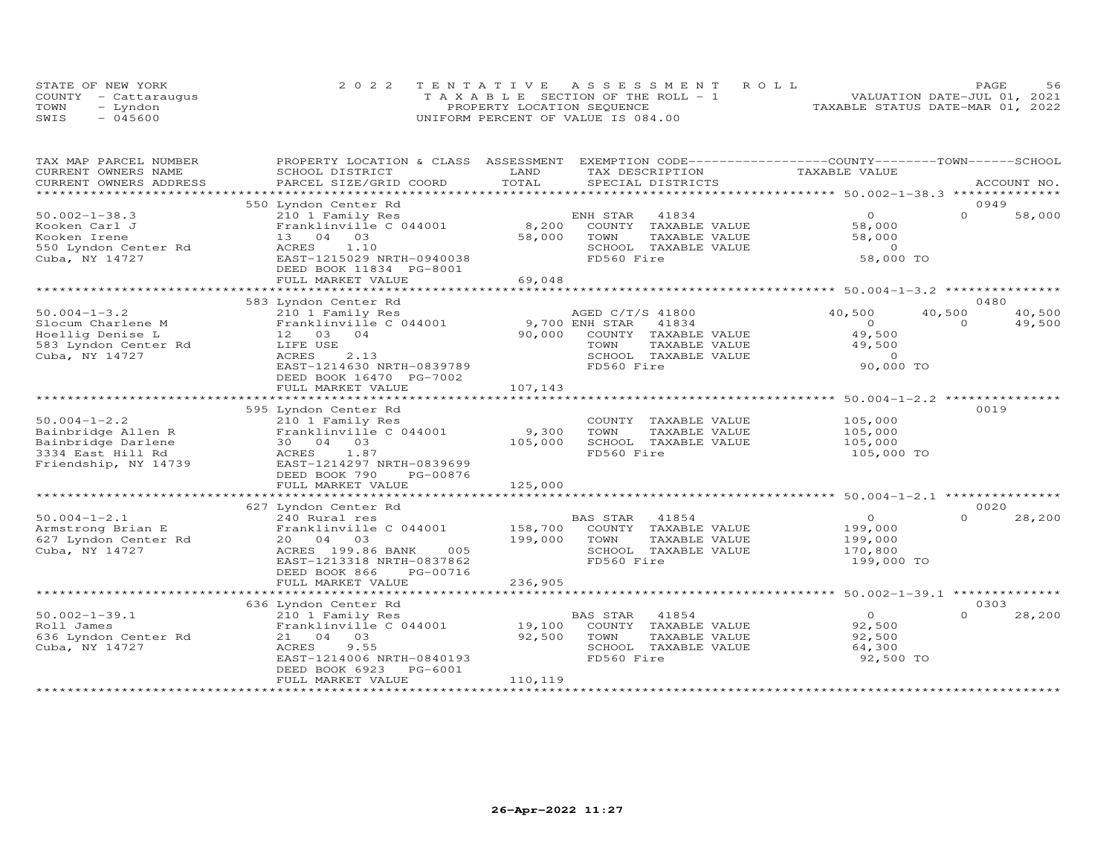|      | STATE OF NEW YORK    | 2022 TENTATIVE ASSESSMENT ROLL        | PAGE                             | 56 |
|------|----------------------|---------------------------------------|----------------------------------|----|
|      | COUNTY - Cattaraugus | T A X A B L E SECTION OF THE ROLL - 1 | VALUATION DATE-JUL 01, 2021      |    |
| TOWN | - Lyndon             | PROPERTY LOCATION SEQUENCE            | TAXABLE STATUS DATE-MAR 01, 2022 |    |
| SWIS | $-045600$            | UNIFORM PERCENT OF VALUE IS 084.00    |                                  |    |

| TAXABLE VALUE<br>CURRENT OWNERS NAME<br>SCHOOL DISTRICT<br>LAND<br>TAX DESCRIPTION<br>TOTAL<br>CURRENT OWNERS ADDRESS<br>PARCEL SIZE/GRID COORD<br>SPECIAL DISTRICTS<br>ACCOUNT NO.<br>**********************<br>*******************<br>0949<br>550 Lyndon Center Rd<br>$50.002 - 1 - 38.3$<br>$\overline{O}$<br>$\Omega$<br>210 1 Family Res<br>ENH STAR<br>41834<br>8,200<br>Franklinville C 044001<br>COUNTY TAXABLE VALUE<br>58,000<br>Kooken Carl J | 58,000 |
|----------------------------------------------------------------------------------------------------------------------------------------------------------------------------------------------------------------------------------------------------------------------------------------------------------------------------------------------------------------------------------------------------------------------------------------------------------|--------|
|                                                                                                                                                                                                                                                                                                                                                                                                                                                          |        |
|                                                                                                                                                                                                                                                                                                                                                                                                                                                          |        |
|                                                                                                                                                                                                                                                                                                                                                                                                                                                          |        |
|                                                                                                                                                                                                                                                                                                                                                                                                                                                          |        |
|                                                                                                                                                                                                                                                                                                                                                                                                                                                          |        |
| 58,000<br>Kooken Irene<br>13 04 03<br>TOWN<br>TAXABLE VALUE<br>58,000                                                                                                                                                                                                                                                                                                                                                                                    |        |
| 550 Lyndon Center Rd<br>1.10<br>SCHOOL TAXABLE VALUE<br>$\overline{0}$<br>ACRES                                                                                                                                                                                                                                                                                                                                                                          |        |
| 58,000 TO<br>FD560 Fire<br>Cuba, NY 14727<br>EAST-1215029 NRTH-0940038                                                                                                                                                                                                                                                                                                                                                                                   |        |
| DEED BOOK 11834 PG-8001                                                                                                                                                                                                                                                                                                                                                                                                                                  |        |
| FULL MARKET VALUE<br>69,048                                                                                                                                                                                                                                                                                                                                                                                                                              |        |
|                                                                                                                                                                                                                                                                                                                                                                                                                                                          |        |
| 583 Lyndon Center Rd<br>0480                                                                                                                                                                                                                                                                                                                                                                                                                             |        |
| $50.004 - 1 - 3.2$<br>AGED C/T/S 41800<br>40,500<br>40,500<br>210 1 Family Res                                                                                                                                                                                                                                                                                                                                                                           | 40,500 |
| 9,700 ENH STAR<br>41834<br>Slocum Charlene M<br>Franklinville C 044001<br>$\circ$<br>$\Omega$                                                                                                                                                                                                                                                                                                                                                            | 49,500 |
| Hoellig Denise L<br>12 03 04<br>90,000<br>COUNTY TAXABLE VALUE<br>49,500                                                                                                                                                                                                                                                                                                                                                                                 |        |
| 583 Lyndon Center Rd<br>LIFE USE<br>TOWN<br>TAXABLE VALUE<br>49,500                                                                                                                                                                                                                                                                                                                                                                                      |        |
| 2.13<br>Cuba, NY 14727<br>ACRES<br>SCHOOL TAXABLE VALUE<br>$\Omega$                                                                                                                                                                                                                                                                                                                                                                                      |        |
| FD560 Fire<br>90,000 TO<br>EAST-1214630 NRTH-0839789                                                                                                                                                                                                                                                                                                                                                                                                     |        |
| DEED BOOK 16470 PG-7002                                                                                                                                                                                                                                                                                                                                                                                                                                  |        |
|                                                                                                                                                                                                                                                                                                                                                                                                                                                          |        |
| 107,143<br>FULL MARKET VALUE                                                                                                                                                                                                                                                                                                                                                                                                                             |        |
| 0019                                                                                                                                                                                                                                                                                                                                                                                                                                                     |        |
| 595 Lyndon Center Rd<br>$50.004 - 1 - 2.2$<br>COUNTY TAXABLE VALUE<br>105,000                                                                                                                                                                                                                                                                                                                                                                            |        |
| 210 1 Family Res<br>Franklinville C 044001                                                                                                                                                                                                                                                                                                                                                                                                               |        |
| 9,300<br>Bainbridge Allen R<br>TOWN<br>TAXABLE VALUE<br>105,000<br>105,000<br>SCHOOL TAXABLE VALUE                                                                                                                                                                                                                                                                                                                                                       |        |
| Bainbridge Darlene<br>30 04 03<br>105,000                                                                                                                                                                                                                                                                                                                                                                                                                |        |
| FD560 Fire<br>3334 East Hill Rd<br>1.87<br>105,000 TO<br>ACRES                                                                                                                                                                                                                                                                                                                                                                                           |        |
| Friendship, NY 14739<br>EAST-1214297 NRTH-0839699                                                                                                                                                                                                                                                                                                                                                                                                        |        |
| DEED BOOK 790<br>PG-00876<br>125,000                                                                                                                                                                                                                                                                                                                                                                                                                     |        |
| FULL MARKET VALUE                                                                                                                                                                                                                                                                                                                                                                                                                                        |        |
| 0020                                                                                                                                                                                                                                                                                                                                                                                                                                                     |        |
| 627 Lyndon Center Rd                                                                                                                                                                                                                                                                                                                                                                                                                                     |        |
| $50.004 - 1 - 2.1$<br>BAS STAR<br>41854<br>$\Omega$<br>240 Rural res<br>$\overline{0}$<br>158,700 COUNTY TAXABLE VALUE                                                                                                                                                                                                                                                                                                                                   | 28,200 |
| Armstrong Brian E<br>Franklinville C 044001<br>199,000<br>199,000<br>627 Lyndon Center Rd<br>20  04  03<br>TOWN<br>TAXABLE VALUE                                                                                                                                                                                                                                                                                                                         |        |
| 199,000<br>005                                                                                                                                                                                                                                                                                                                                                                                                                                           |        |
| Cuba, NY 14727<br>ACRES 199.86 BANK<br>SCHOOL TAXABLE VALUE<br>170,800<br>FD560 Fire                                                                                                                                                                                                                                                                                                                                                                     |        |
| 199,000 TO<br>EAST-1213318 NRTH-0837862                                                                                                                                                                                                                                                                                                                                                                                                                  |        |
| DEED BOOK 866<br>PG-00716<br>FULL MARKET VALUE<br>236,905                                                                                                                                                                                                                                                                                                                                                                                                |        |
|                                                                                                                                                                                                                                                                                                                                                                                                                                                          |        |
| 0303                                                                                                                                                                                                                                                                                                                                                                                                                                                     |        |
| 636 Lyndon Center Rd<br>$\Omega$                                                                                                                                                                                                                                                                                                                                                                                                                         |        |
| $50.002 - 1 - 39.1$<br>$\overline{O}$<br>210 1 Family Res<br>BAS STAR<br>41854                                                                                                                                                                                                                                                                                                                                                                           | 28,200 |
| 19,100<br>Roll James<br>Franklinville C 044001<br>COUNTY TAXABLE VALUE<br>92,500                                                                                                                                                                                                                                                                                                                                                                         |        |
| 636 Lyndon Center Rd<br>21 04 03<br>92,500<br>TOWN<br>TAXABLE VALUE<br>92,500                                                                                                                                                                                                                                                                                                                                                                            |        |
| Cuba, NY 14727<br>9.55<br>SCHOOL TAXABLE VALUE<br>64,300<br>ACRES                                                                                                                                                                                                                                                                                                                                                                                        |        |
| FD560 Fire<br>EAST-1214006 NRTH-0840193<br>92,500 TO                                                                                                                                                                                                                                                                                                                                                                                                     |        |
| DEED BOOK 6923<br>PG-6001                                                                                                                                                                                                                                                                                                                                                                                                                                |        |
| 110,119<br>FULL MARKET VALUE                                                                                                                                                                                                                                                                                                                                                                                                                             |        |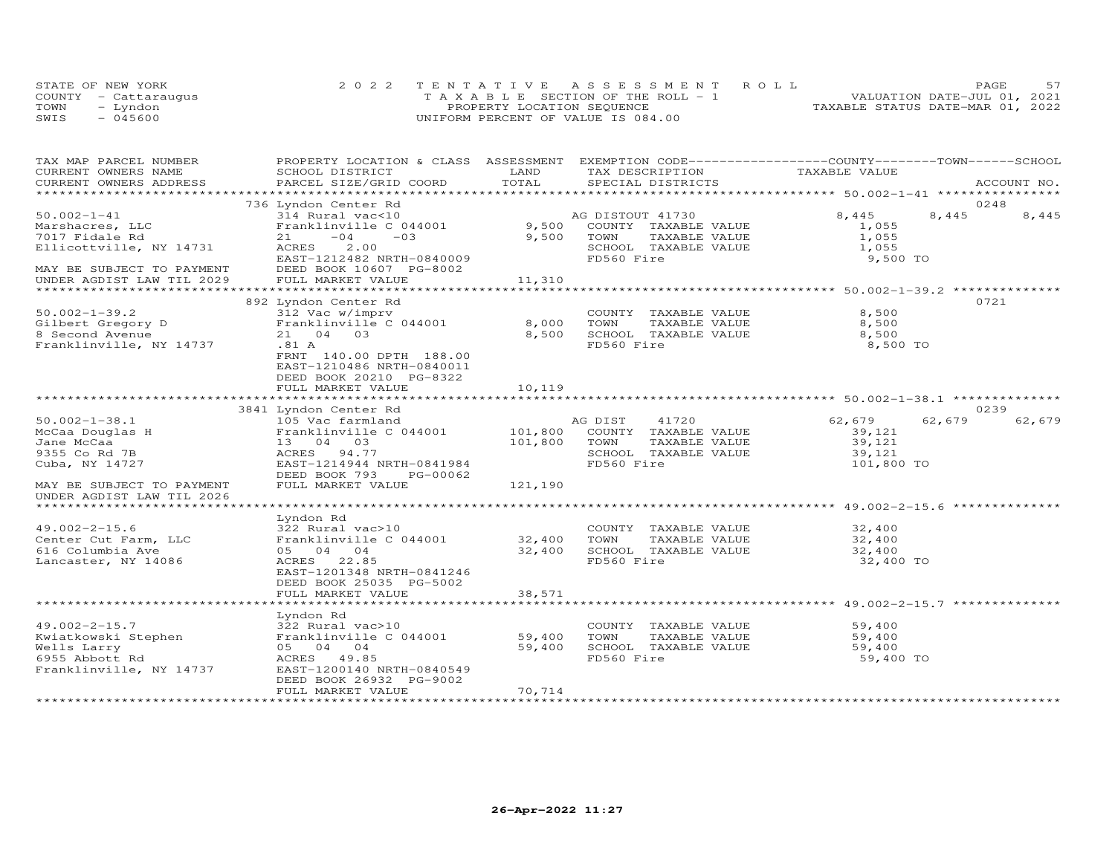|      | STATE OF NEW YORK    | 2022 TENTATIVE ASSESSMENT ROLL        | PAGE.                            |
|------|----------------------|---------------------------------------|----------------------------------|
|      | COUNTY - Cattaraugus | T A X A B L E SECTION OF THE ROLL - 1 | VALUATION DATE-JUL 01, 2021      |
| TOWN | – Lyndon             | PROPERTY LOCATION SEQUENCE            | TAXABLE STATUS DATE-MAR 01, 2022 |
| SWIS | $-045600$            | UNIFORM PERCENT OF VALUE IS 084.00    |                                  |

| TAX MAP PARCEL NUMBER     | PROPERTY LOCATION & CLASS ASSESSMENT EXEMPTION CODE----------------COUNTY-------TOWN-----SCHOOL |                      |                       |                                                      |                  |
|---------------------------|-------------------------------------------------------------------------------------------------|----------------------|-----------------------|------------------------------------------------------|------------------|
| CURRENT OWNERS NAME       | SCHOOL DISTRICT                                                                                 | LAND                 | TAX DESCRIPTION       | TAXABLE VALUE                                        |                  |
| CURRENT OWNERS ADDRESS    | PARCEL SIZE/GRID COORD                                                                          | TOTAL                | SPECIAL DISTRICTS     |                                                      | ACCOUNT NO.      |
|                           |                                                                                                 |                      |                       |                                                      |                  |
|                           | 736 Lyndon Center Rd                                                                            |                      |                       |                                                      | 0248             |
| $50.002 - 1 - 41$         | 314 Rural vac<10                                                                                |                      | AG DISTOUT 41730      | 8,445                                                | 8,445<br>8,445   |
| Marshacres, LLC           | Franklinville C 044001                                                                          | 9,500                | COUNTY TAXABLE VALUE  | 1,055                                                |                  |
| 7017 Fidale Rd            | $-04$<br>$-03$<br>21 —                                                                          | 9,500                | TOWN<br>TAXABLE VALUE | 1,055                                                |                  |
| Ellicottville, NY 14731   | ACRES<br>2,00                                                                                   |                      | SCHOOL TAXABLE VALUE  | 1,055                                                |                  |
|                           | EAST-1212482 NRTH-0840009                                                                       |                      | FD560 Fire            | 9,500 TO                                             |                  |
| MAY BE SUBJECT TO PAYMENT | DEED BOOK 10607 PG-8002                                                                         |                      |                       |                                                      |                  |
| UNDER AGDIST LAW TIL 2029 | FULL MARKET VALUE                                                                               | 11,310               |                       |                                                      |                  |
|                           |                                                                                                 |                      |                       |                                                      |                  |
|                           | 892 Lyndon Center Rd                                                                            |                      |                       |                                                      | 0721             |
| $50.002 - 1 - 39.2$       | 312 Vac w/imprv                                                                                 |                      | COUNTY TAXABLE VALUE  | 8,500                                                |                  |
| Gilbert Gregory D         | Franklinville C 044001                                                                          | 8,000                | TOWN<br>TAXABLE VALUE | 8,500                                                |                  |
| 8 Second Avenue           | 21 04 03                                                                                        | 8,500                | SCHOOL TAXABLE VALUE  | 8,500                                                |                  |
| Franklinville, NY 14737   | .81 A                                                                                           |                      | FD560 Fire            | 8,500 TO                                             |                  |
|                           | FRNT 140.00 DPTH 188.00                                                                         |                      |                       |                                                      |                  |
|                           | EAST-1210486 NRTH-0840011                                                                       |                      |                       |                                                      |                  |
|                           | DEED BOOK 20210 PG-8322                                                                         |                      |                       |                                                      |                  |
|                           | FULL MARKET VALUE                                                                               | 10,119               |                       |                                                      |                  |
|                           | ***************************                                                                     | *************        |                       |                                                      |                  |
|                           | 3841 Lyndon Center Rd                                                                           |                      |                       |                                                      | 0239             |
| $50.002 - 1 - 38.1$       | 105 Vac farmland                                                                                |                      | AG DIST<br>41720      | 62,679                                               | 62,679<br>62,679 |
| McCaa Douglas H           | Franklinville C 044001                                                                          | 101,800              | COUNTY TAXABLE VALUE  | 39,121                                               |                  |
| Jane McCaa                | 13 04 03                                                                                        | 101,800              | TOWN<br>TAXABLE VALUE | 39,121                                               |                  |
| 9355 Co Rd 7B             | ACRES 94.77                                                                                     |                      | SCHOOL TAXABLE VALUE  | 39,121                                               |                  |
| Cuba, NY 14727            | EAST-1214944 NRTH-0841984                                                                       |                      | FD560 Fire            | 101,800 TO                                           |                  |
|                           | DEED BOOK 793<br>PG-00062                                                                       |                      |                       |                                                      |                  |
| MAY BE SUBJECT TO PAYMENT | FULL MARKET VALUE                                                                               | 121,190              |                       |                                                      |                  |
| UNDER AGDIST LAW TIL 2026 |                                                                                                 |                      |                       |                                                      |                  |
|                           |                                                                                                 |                      |                       |                                                      |                  |
|                           | Lyndon Rd                                                                                       |                      |                       |                                                      |                  |
| $49.002 - 2 - 15.6$       | 322 Rural vac>10                                                                                |                      | COUNTY TAXABLE VALUE  | 32,400                                               |                  |
| Center Cut Farm, LLC      | Franklinville C 044001                                                                          | 32,400               | TAXABLE VALUE<br>TOWN | 32,400                                               |                  |
| 616 Columbia Ave          | 05 04 04                                                                                        | 32,400               | SCHOOL TAXABLE VALUE  | 32,400                                               |                  |
|                           | ACRES 22.85                                                                                     |                      | FD560 Fire            | 32,400 TO                                            |                  |
| Lancaster, NY 14086       |                                                                                                 |                      |                       |                                                      |                  |
|                           | EAST-1201348 NRTH-0841246                                                                       |                      |                       |                                                      |                  |
|                           | DEED BOOK 25035 PG-5002                                                                         |                      |                       |                                                      |                  |
|                           | FULL MARKET VALUE<br>***********************                                                    | 38,571<br>********** |                       | ********************** 49.002-2-15.7 *************** |                  |
|                           |                                                                                                 |                      |                       |                                                      |                  |
|                           | Lyndon Rd                                                                                       |                      |                       |                                                      |                  |
| $49.002 - 2 - 15.7$       | 322 Rural vac>10                                                                                |                      | COUNTY TAXABLE VALUE  | 59,400                                               |                  |
| Kwiatkowski Stephen       | Franklinville C 044001                                                                          | 59,400               | TOWN<br>TAXABLE VALUE | 59,400                                               |                  |
| Wells Larry               | 05 04 04                                                                                        | 59,400               | SCHOOL TAXABLE VALUE  | 59,400                                               |                  |
| 6955 Abbott Rd            | ACRES 49.85                                                                                     |                      | FD560 Fire            | 59,400 TO                                            |                  |
| Franklinville, NY 14737   | EAST-1200140 NRTH-0840549                                                                       |                      |                       |                                                      |                  |
|                           | DEED BOOK 26932 PG-9002                                                                         |                      |                       |                                                      |                  |
|                           | FULL MARKET VALUE                                                                               | 70,714               |                       |                                                      |                  |
|                           |                                                                                                 |                      |                       |                                                      |                  |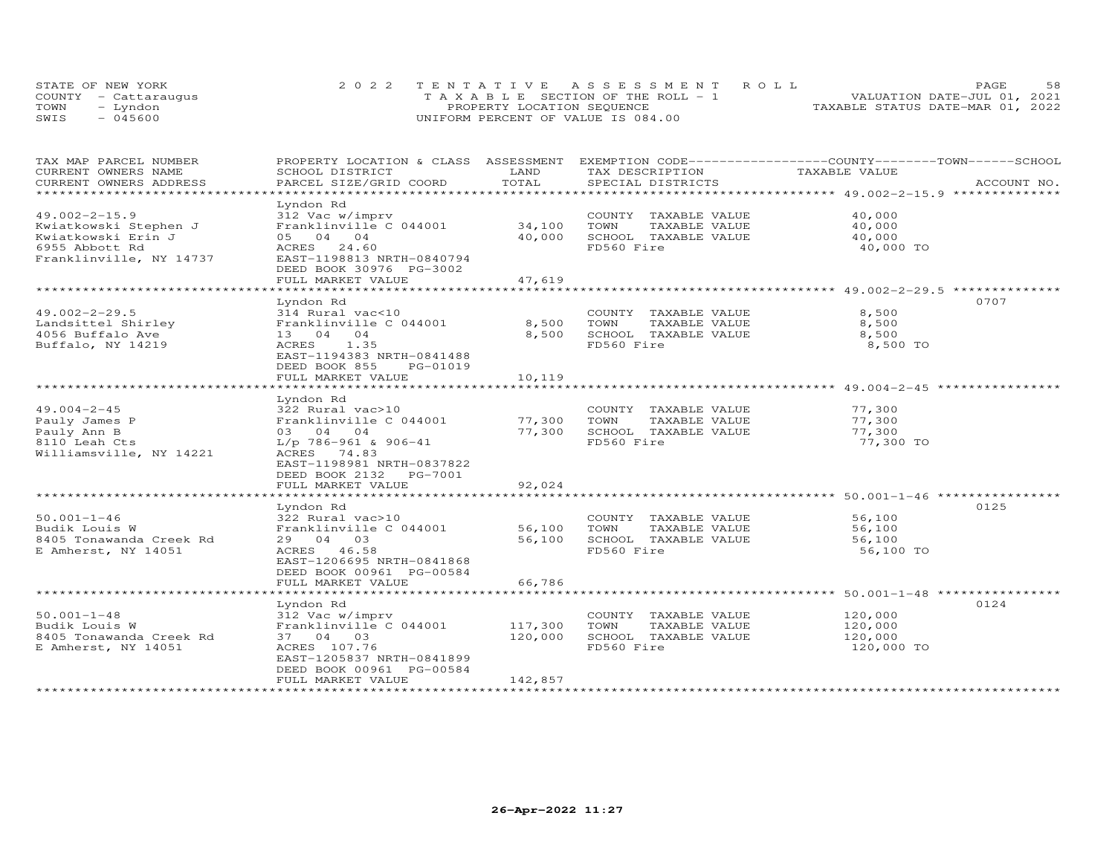|      | STATE OF NEW YORK    | 2022 TENTATIVE ASSESSMENT ROLL        | 58<br>PAGE.                      |
|------|----------------------|---------------------------------------|----------------------------------|
|      | COUNTY - Cattaraugus | T A X A B L E SECTION OF THE ROLL - 1 | VALUATION DATE-JUL 01, 2021      |
| TOWN | - Lyndon             | PROPERTY LOCATION SEQUENCE            | TAXABLE STATUS DATE-MAR 01, 2022 |
| SWTS | $-045600$            | UNIFORM PERCENT OF VALUE IS 084.00    |                                  |

| TAX MAP PARCEL NUMBER<br>CURRENT OWNERS NAME | PROPERTY LOCATION & CLASS ASSESSMENT<br>SCHOOL DISTRICT | LAND    | EXEMPTION CODE-----------------COUNTY-------TOWN------SCHOOL<br>TAX DESCRIPTION | TAXABLE VALUE |             |
|----------------------------------------------|---------------------------------------------------------|---------|---------------------------------------------------------------------------------|---------------|-------------|
| CURRENT OWNERS ADDRESS                       | PARCEL SIZE/GRID COORD                                  | TOTAL   | SPECIAL DISTRICTS                                                               |               | ACCOUNT NO. |
| ***************                              |                                                         |         |                                                                                 |               |             |
|                                              | Lyndon Rd                                               |         |                                                                                 |               |             |
| $49.002 - 2 - 15.9$                          | 312 Vac w/imprv                                         |         | COUNTY TAXABLE VALUE                                                            | 40,000        |             |
| Kwiatkowski Stephen J                        | Franklinville C 044001                                  | 34,100  | TOWN<br>TAXABLE VALUE                                                           | 40,000        |             |
| Kwiatkowski Erin J                           | 05 04 04                                                | 40,000  | SCHOOL TAXABLE VALUE                                                            | 40,000        |             |
| 6955 Abbott Rd                               | ACRES 24.60                                             |         | FD560 Fire                                                                      | 40,000 TO     |             |
| Franklinville, NY 14737                      | EAST-1198813 NRTH-0840794                               |         |                                                                                 |               |             |
|                                              | DEED BOOK 30976 PG-3002                                 |         |                                                                                 |               |             |
|                                              | FULL MARKET VALUE                                       | 47,619  |                                                                                 |               |             |
|                                              | ***********************                                 |         |                                                                                 |               |             |
|                                              | Lyndon Rd                                               |         |                                                                                 |               | 0707        |
| $49.002 - 2 - 29.5$                          | 314 Rural vac<10                                        |         | COUNTY TAXABLE VALUE                                                            | 8,500         |             |
| Landsittel Shirley                           | Franklinville C 044001                                  | 8,500   | TOWN<br>TAXABLE VALUE                                                           | 8,500         |             |
| 4056 Buffalo Ave                             | 13 04 04                                                | 8,500   | SCHOOL TAXABLE VALUE                                                            | 8,500         |             |
| Buffalo, NY 14219                            | ACRES<br>1.35                                           |         | FD560 Fire                                                                      | 8,500 TO      |             |
|                                              | EAST-1194383 NRTH-0841488                               |         |                                                                                 |               |             |
|                                              | DEED BOOK 855<br>PG-01019                               |         |                                                                                 |               |             |
|                                              | FULL MARKET VALUE                                       | 10,119  |                                                                                 |               |             |
|                                              |                                                         |         |                                                                                 |               |             |
|                                              | Lyndon Rd                                               |         |                                                                                 |               |             |
| $49.004 - 2 - 45$                            | 322 Rural vac>10                                        |         | COUNTY TAXABLE VALUE                                                            | 77,300        |             |
| Pauly James P                                | Franklinville C 044001                                  | 77,300  | TOWN<br>TAXABLE VALUE                                                           | 77,300        |             |
| Pauly Ann B                                  | 03 04 04                                                | 77,300  | SCHOOL TAXABLE VALUE                                                            | 77,300        |             |
| 8110 Leah Cts                                | $L/p$ 786-961 & 906-41                                  |         | FD560 Fire                                                                      | 77,300 TO     |             |
| Williamsville, NY 14221                      | ACRES 74.83                                             |         |                                                                                 |               |             |
|                                              | EAST-1198981 NRTH-0837822                               |         |                                                                                 |               |             |
|                                              | DEED BOOK 2132    PG-7001                               |         |                                                                                 |               |             |
|                                              | FULL MARKET VALUE                                       | 92,024  |                                                                                 |               |             |
|                                              |                                                         |         | ********************************** 50.001-1-46 ***************                  |               |             |
|                                              | Lyndon Rd                                               |         |                                                                                 |               | 0125        |
| $50.001 - 1 - 46$                            | 322 Rural vac>10                                        |         | COUNTY TAXABLE VALUE                                                            | 56,100        |             |
| Budik Louis W                                | Franklinville C 044001                                  | 56,100  | TAXABLE VALUE<br>TOWN                                                           | 56,100        |             |
| 8405 Tonawanda Creek Rd                      | 29 04 03                                                | 56,100  | SCHOOL TAXABLE VALUE                                                            | 56,100        |             |
| E Amherst, NY 14051                          | ACRES 46.58                                             |         | FD560 Fire                                                                      | 56,100 TO     |             |
|                                              | EAST-1206695 NRTH-0841868                               |         |                                                                                 |               |             |
|                                              | DEED BOOK 00961 PG-00584                                |         |                                                                                 |               |             |
|                                              | FULL MARKET VALUE                                       | 66,786  |                                                                                 |               |             |
|                                              |                                                         |         |                                                                                 |               |             |
|                                              | Lyndon Rd                                               |         |                                                                                 |               | 0124        |
| $50.001 - 1 - 48$                            | 312 Vac w/imprv                                         |         | COUNTY TAXABLE VALUE                                                            | 120,000       |             |
| Budik Louis W                                | Franklinville C 044001                                  | 117,300 | TOWN<br>TAXABLE VALUE                                                           | 120,000       |             |
| 8405 Tonawanda Creek Rd                      | 37 04 03                                                | 120,000 | SCHOOL TAXABLE VALUE                                                            | 120,000       |             |
| E Amherst, NY 14051                          | ACRES 107.76                                            |         | FD560 Fire                                                                      | 120,000 TO    |             |
|                                              | EAST-1205837 NRTH-0841899                               |         |                                                                                 |               |             |
|                                              | DEED BOOK 00961 PG-00584                                |         |                                                                                 |               |             |
|                                              | FULL MARKET VALUE                                       | 142,857 |                                                                                 |               |             |
| ************************                     |                                                         |         |                                                                                 |               |             |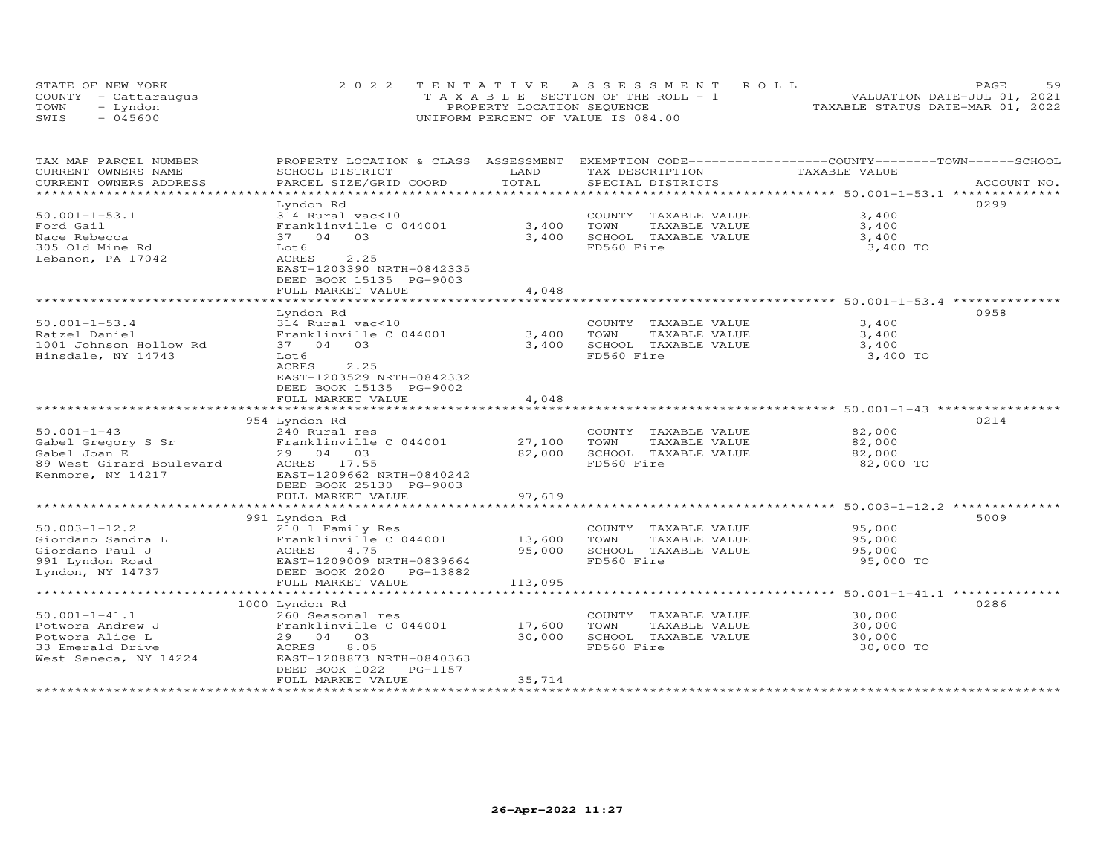| STATE OF NEW YORK    | 2022 TENTATIVE ASSESSMENT ROLL                |                                  | PAGE.                       | 59 |
|----------------------|-----------------------------------------------|----------------------------------|-----------------------------|----|
| COUNTY - Cattaraugus | $T A X A B I E S E C T I ON OF THE RO I. - 1$ |                                  | VALUATION DATE-JUL 01, 2021 |    |
| TOWN<br>- Lyndon     | PROPERTY LOCATION SEQUENCE                    | TAXABLE STATUS DATE-MAR 01, 2022 |                             |    |
| $-045600$<br>SWIS    | UNIFORM PERCENT OF VALUE IS 084.00            |                                  |                             |    |

| TAX MAP PARCEL NUMBER                           | PROPERTY LOCATION & CLASS ASSESSMENT              |                        | EXEMPTION CODE-----------------COUNTY-------TOWN-----SCHOOL |                                                             |             |
|-------------------------------------------------|---------------------------------------------------|------------------------|-------------------------------------------------------------|-------------------------------------------------------------|-------------|
| CURRENT OWNERS NAME                             | SCHOOL DISTRICT                                   | LAND                   | TAX DESCRIPTION                                             | TAXABLE VALUE                                               |             |
| CURRENT OWNERS ADDRESS<br>********************* | PARCEL SIZE/GRID COORD                            | TOTAL                  | SPECIAL DISTRICTS                                           |                                                             | ACCOUNT NO. |
|                                                 |                                                   |                        |                                                             |                                                             |             |
|                                                 | Lyndon Rd                                         |                        |                                                             |                                                             | 0299        |
| $50.001 - 1 - 53.1$                             | 314 Rural vac<10                                  |                        | COUNTY TAXABLE VALUE                                        | 3,400                                                       |             |
| Ford Gail                                       | Franklinville C 044001                            | 3,400                  | TOWN<br>TAXABLE VALUE                                       | 3,400                                                       |             |
| Nace Rebecca                                    | 03<br>37 04                                       | 3,400                  | SCHOOL TAXABLE VALUE                                        | 3,400                                                       |             |
| 305 Old Mine Rd                                 | Lot 6                                             |                        | FD560 Fire                                                  | 3,400 TO                                                    |             |
| Lebanon, PA 17042                               | 2.25<br>ACRES                                     |                        |                                                             |                                                             |             |
|                                                 | EAST-1203390 NRTH-0842335                         |                        |                                                             |                                                             |             |
|                                                 | DEED BOOK 15135 PG-9003                           |                        |                                                             |                                                             |             |
|                                                 | FULL MARKET VALUE                                 | 4,048                  |                                                             |                                                             |             |
|                                                 |                                                   |                        |                                                             |                                                             |             |
|                                                 | Lyndon Rd                                         |                        |                                                             |                                                             | 0958        |
| $50.001 - 1 - 53.4$                             | 314 Rural vac<10                                  |                        | COUNTY TAXABLE VALUE                                        | 3,400                                                       |             |
| Ratzel Daniel                                   | Franklinville C 044001                            | 3,400                  | TOWN<br>TAXABLE VALUE                                       | 3,400                                                       |             |
| 1001 Johnson Hollow Rd                          | 37 04 03                                          | 3,400                  | SCHOOL TAXABLE VALUE                                        | 3,400                                                       |             |
| Hinsdale, NY 14743                              | Lot 6                                             |                        | FD560 Fire                                                  | 3,400 TO                                                    |             |
|                                                 | ACRES<br>2.25                                     |                        |                                                             |                                                             |             |
|                                                 | EAST-1203529 NRTH-0842332                         |                        |                                                             |                                                             |             |
|                                                 | DEED BOOK 15135 PG-9002                           |                        |                                                             |                                                             |             |
|                                                 | FULL MARKET VALUE<br>**************************** | 4,048<br>************* |                                                             | ******************************* 50.001-1-43 *************** |             |
|                                                 |                                                   |                        |                                                             |                                                             |             |
|                                                 | 954 Lyndon Rd                                     |                        |                                                             |                                                             | 0214        |
| $50.001 - 1 - 43$                               | 240 Rural res                                     |                        | COUNTY TAXABLE VALUE                                        | 82,000                                                      |             |
| Gabel Gregory S Sr                              | Franklinville C 044001                            | 27,100                 | TOWN<br>TAXABLE VALUE                                       | 82,000                                                      |             |
| Gabel Joan E                                    | 29 04 03                                          | 82,000                 | SCHOOL TAXABLE VALUE                                        | 82,000                                                      |             |
| 89 West Girard Boulevard                        | ACRES 17.55                                       |                        | FD560 Fire                                                  | 82,000 TO                                                   |             |
| Kenmore, NY 14217                               | EAST-1209662 NRTH-0840242                         |                        |                                                             |                                                             |             |
|                                                 | DEED BOOK 25130 PG-9003                           |                        |                                                             |                                                             |             |
|                                                 | FULL MARKET VALUE                                 | 97,619                 |                                                             |                                                             |             |
|                                                 |                                                   |                        |                                                             |                                                             |             |
|                                                 | 991 Lyndon Rd                                     |                        |                                                             |                                                             | 5009        |
| $50.003 - 1 - 12.2$                             | 210 1 Family Res                                  |                        | COUNTY TAXABLE VALUE                                        | 95,000                                                      |             |
| Giordano Sandra L                               | Franklinville C 044001<br>ACRES<br>4.75           | 13,600<br>95,000       | TOWN<br>TAXABLE VALUE                                       | 95,000                                                      |             |
| Giordano Paul J                                 |                                                   |                        | SCHOOL TAXABLE VALUE<br>FD560 Fire                          | 95,000<br>95,000 TO                                         |             |
| 991 Lyndon Road                                 | EAST-1209009 NRTH-0839664                         |                        |                                                             |                                                             |             |
| Lyndon, NY 14737                                | DEED BOOK 2020 PG-13882<br>FULL MARKET VALUE      | 113,095                |                                                             |                                                             |             |
|                                                 | ****************************                      |                        |                                                             |                                                             |             |
|                                                 |                                                   |                        |                                                             |                                                             | 0286        |
|                                                 | 1000 Lyndon Rd                                    |                        |                                                             |                                                             |             |
| $50.001 - 1 - 41.1$<br>Potwora Andrew J         | 260 Seasonal res<br>Franklinville C 044001        | 17,600                 | COUNTY TAXABLE VALUE<br>TOWN<br>TAXABLE VALUE               | 30,000<br>30,000                                            |             |
| Potwora Alice L                                 | 29 04 03                                          | 30,000                 | SCHOOL TAXABLE VALUE                                        | 30,000                                                      |             |
| 33 Emerald Drive                                | 8.05<br>ACRES                                     |                        | FD560 Fire                                                  | 30,000 TO                                                   |             |
| West Seneca, NY 14224                           | EAST-1208873 NRTH-0840363                         |                        |                                                             |                                                             |             |
|                                                 | DEED BOOK 1022<br>PG-1157                         |                        |                                                             |                                                             |             |
|                                                 | FULL MARKET VALUE                                 | 35,714                 |                                                             |                                                             |             |
|                                                 |                                                   |                        |                                                             |                                                             |             |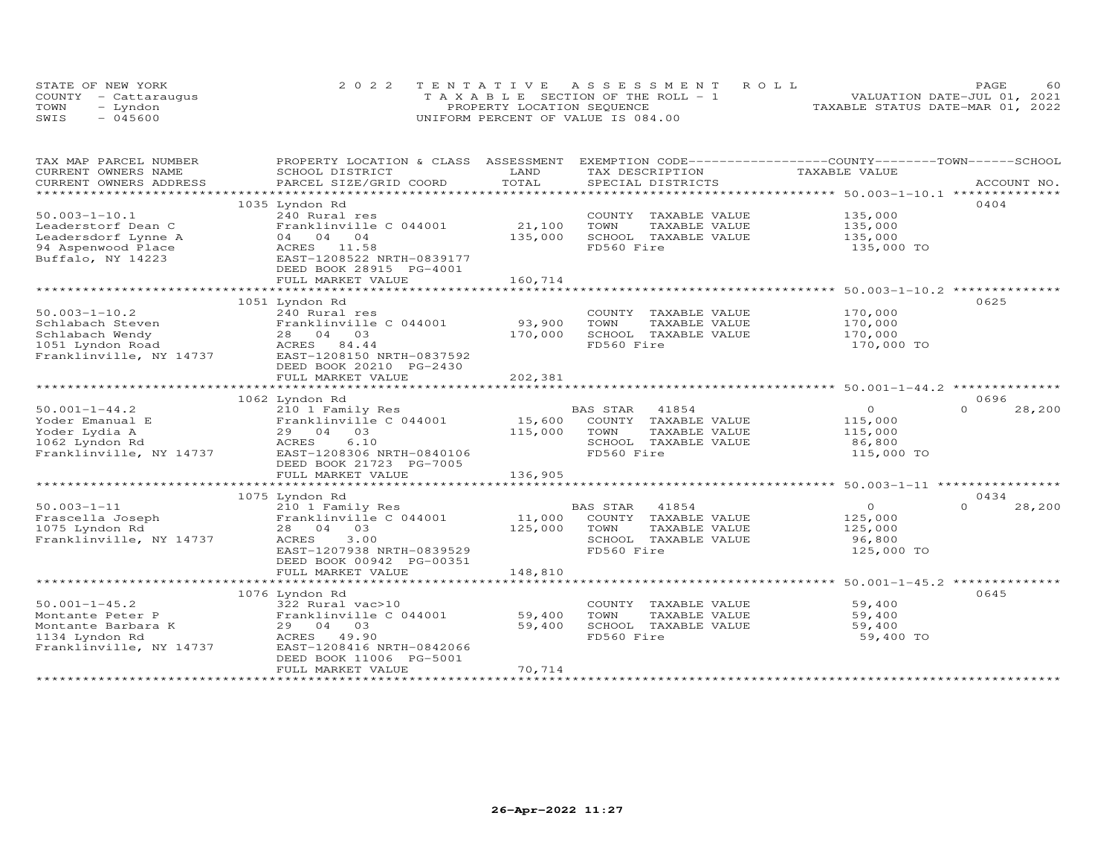|      | STATE OF NEW YORK    | 2022 TENTATIVE ASSESSMENT ROLL     | 60<br>PAGE.                      |
|------|----------------------|------------------------------------|----------------------------------|
|      | COUNTY - Cattaraugus | TAXABLE SECTION OF THE ROLL - 1    | VALUATION DATE-JUL 01, 2021      |
| TOWN | – Lyndon             | PROPERTY LOCATION SEQUENCE         | TAXABLE STATUS DATE-MAR 01, 2022 |
| SWIS | $-045600$            | UNIFORM PERCENT OF VALUE IS 084.00 |                                  |

| TAX MAP PARCEL NUMBER    | PROPERTY LOCATION & CLASS ASSESSMENT |              |                       | EXEMPTION CODE-----------------COUNTY-------TOWN------SCHOOL |                    |
|--------------------------|--------------------------------------|--------------|-----------------------|--------------------------------------------------------------|--------------------|
| CURRENT OWNERS NAME      | SCHOOL DISTRICT                      | LAND         | TAX DESCRIPTION       | TAXABLE VALUE                                                |                    |
| CURRENT OWNERS ADDRESS   | PARCEL SIZE/GRID COORD               | TOTAL        | SPECIAL DISTRICTS     |                                                              | ACCOUNT NO.        |
| ************************ |                                      |              |                       |                                                              |                    |
|                          | 1035 Lyndon Rd                       |              |                       |                                                              | 0404               |
| $50.003 - 1 - 10.1$      | 240 Rural res                        |              | COUNTY TAXABLE VALUE  | 135,000                                                      |                    |
| Leaderstorf Dean C       | Franklinville C 044001               | 21,100       | TOWN<br>TAXABLE VALUE | 135,000                                                      |                    |
| Leadersdorf Lynne A      | 04 04 04                             | 135,000      | SCHOOL TAXABLE VALUE  | 135,000                                                      |                    |
| 94 Aspenwood Place       | ACRES 11.58                          |              | FD560 Fire            | 135,000 TO                                                   |                    |
| Buffalo, NY 14223        | EAST-1208522 NRTH-0839177            |              |                       |                                                              |                    |
|                          | DEED BOOK 28915 PG-4001              |              |                       |                                                              |                    |
|                          | FULL MARKET VALUE                    | 160,714      |                       |                                                              |                    |
|                          |                                      | ************ |                       |                                                              |                    |
|                          | 1051 Lyndon Rd                       |              |                       |                                                              | 0625               |
| $50.003 - 1 - 10.2$      | 240 Rural res                        |              | COUNTY TAXABLE VALUE  | 170,000                                                      |                    |
| Schlabach Steven         | Franklinville C 044001               | 93,900       | TOWN<br>TAXABLE VALUE | 170,000                                                      |                    |
| Schlabach Wendy          | 28 04 03                             | 170,000      | SCHOOL TAXABLE VALUE  | 170,000                                                      |                    |
| 1051 Lyndon Road         | ACRES 84.44                          |              | FD560 Fire            | 170,000 TO                                                   |                    |
| Franklinville, NY 14737  | EAST-1208150 NRTH-0837592            |              |                       |                                                              |                    |
|                          |                                      |              |                       |                                                              |                    |
|                          | DEED BOOK 20210 PG-2430              |              |                       |                                                              |                    |
|                          | FULL MARKET VALUE                    | 202,381      |                       |                                                              |                    |
|                          |                                      |              |                       |                                                              |                    |
|                          | 1062 Lyndon Rd                       |              |                       |                                                              | 0696               |
| $50.001 - 1 - 44.2$      | 210 1 Family Res                     |              | BAS STAR<br>41854     | $\circ$                                                      | $\Omega$<br>28,200 |
| Yoder Emanual E          | Franklinville C 044001               | 15,600       | COUNTY TAXABLE VALUE  | 115,000                                                      |                    |
| Yoder Lydia A            | 29 04 03                             | 115,000      | TOWN<br>TAXABLE VALUE | 115,000                                                      |                    |
| 1062 Lyndon Rd           | ACRES<br>6.10                        |              | SCHOOL TAXABLE VALUE  | 86,800                                                       |                    |
| Franklinville, NY 14737  | EAST-1208306 NRTH-0840106            |              | FD560 Fire            | 115,000 TO                                                   |                    |
|                          | DEED BOOK 21723 PG-7005              |              |                       |                                                              |                    |
|                          | FULL MARKET VALUE                    | 136,905      |                       |                                                              |                    |
|                          |                                      |              |                       |                                                              |                    |
|                          | 1075 Lyndon Rd                       |              |                       |                                                              | 0434               |
| $50.003 - 1 - 11$        | 210 1 Family Res                     |              | BAS STAR<br>41854     | $\Omega$                                                     | $\Omega$<br>28,200 |
| Frascella Joseph         | Franklinville C 044001               | 11,000       | COUNTY TAXABLE VALUE  | 125,000                                                      |                    |
| 1075 Lyndon Rd           | 28 04 03                             | 125,000      | TOWN<br>TAXABLE VALUE | 125,000                                                      |                    |
| Franklinville, NY 14737  | 3.00<br>ACRES                        |              | SCHOOL TAXABLE VALUE  | 96,800                                                       |                    |
|                          | EAST-1207938 NRTH-0839529            |              | FD560 Fire            | 125,000 TO                                                   |                    |
|                          | DEED BOOK 00942 PG-00351             |              |                       |                                                              |                    |
|                          | FULL MARKET VALUE                    | 148,810      |                       |                                                              |                    |
|                          |                                      |              |                       |                                                              |                    |
|                          | 1076 Lyndon Rd                       |              |                       |                                                              | 0645               |
| $50.001 - 1 - 45.2$      | 322 Rural vac>10                     |              | COUNTY TAXABLE VALUE  | 59,400                                                       |                    |
| Montante Peter P         | Franklinville C 044001               | 59,400       | TOWN<br>TAXABLE VALUE | 59,400                                                       |                    |
| Montante Barbara K       | 29 04 03                             | 59,400       | SCHOOL TAXABLE VALUE  | 59,400                                                       |                    |
| 1134 Lyndon Rd           | ACRES 49.90                          |              | FD560 Fire            | 59,400 TO                                                    |                    |
| Franklinville, NY 14737  | EAST-1208416 NRTH-0842066            |              |                       |                                                              |                    |
|                          | DEED BOOK 11006 PG-5001              |              |                       |                                                              |                    |
|                          | FULL MARKET VALUE                    | 70,714       |                       |                                                              |                    |
|                          |                                      |              |                       |                                                              |                    |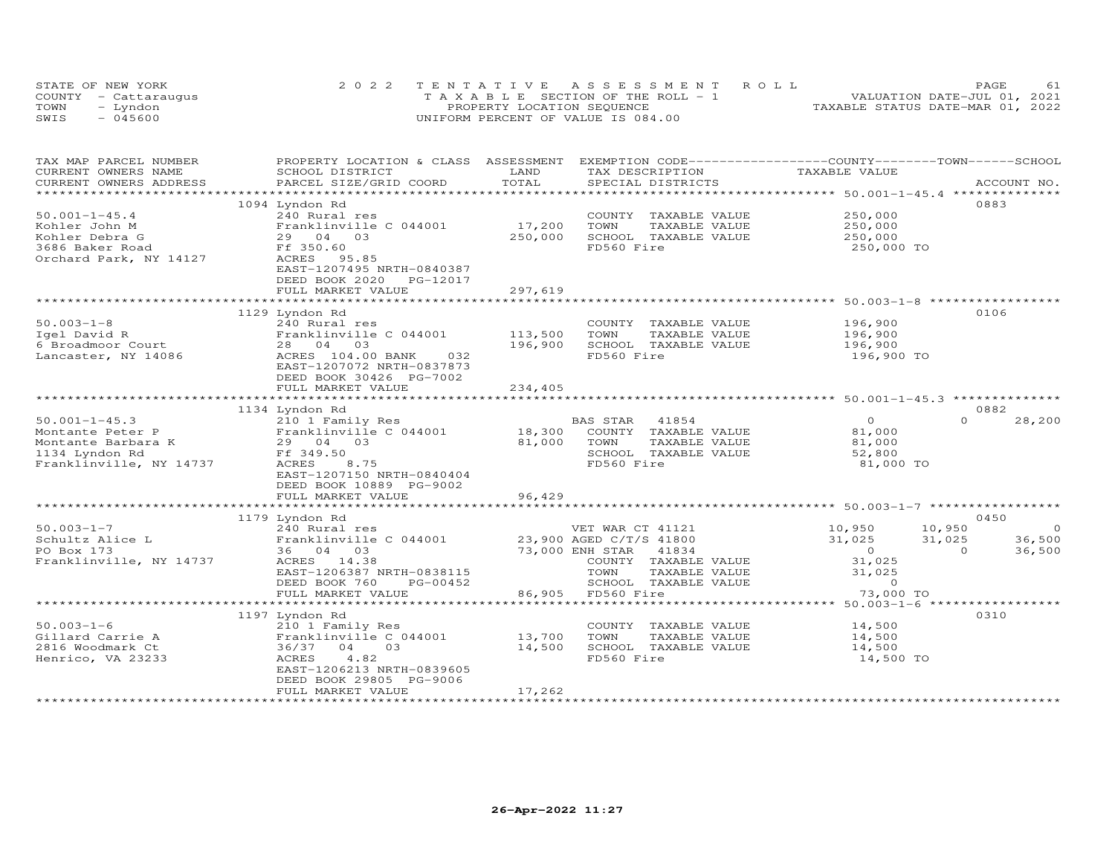|      | STATE OF NEW YORK    | 2022 TENTATIVE ASSESSMENT ROLL                | <b>PAGE</b>                      |
|------|----------------------|-----------------------------------------------|----------------------------------|
|      | COUNTY - Cattaraugus | $T A X A B I E S E C T I ON OF THE RO I. - 1$ | VALUATION DATE-JUL 01, 2021      |
| TOWN | Lyndon               | PROPERTY LOCATION SEQUENCE                    | TAXABLE STATUS DATE-MAR 01, 2022 |
| SWIS | $-045600$            | UNIFORM PERCENT OF VALUE IS 084.00            |                                  |

| TAX MAP PARCEL NUMBER<br>CURRENT OWNERS NAME | PROPERTY LOCATION & CLASS ASSESSMENT<br>SCHOOL DISTRICT | LAND        | EXEMPTION CODE-----------------COUNTY-------TOWN------SCHOOL<br>TAX DESCRIPTION | TAXABLE VALUE                                                  |                    |
|----------------------------------------------|---------------------------------------------------------|-------------|---------------------------------------------------------------------------------|----------------------------------------------------------------|--------------------|
| CURRENT OWNERS ADDRESS                       | PARCEL SIZE/GRID COORD                                  | TOTAL       | SPECIAL DISTRICTS                                                               |                                                                | ACCOUNT NO.        |
|                                              |                                                         |             |                                                                                 |                                                                |                    |
|                                              | 1094 Lyndon Rd                                          |             |                                                                                 |                                                                | 0883               |
| $50.001 - 1 - 45.4$                          | 240 Rural res                                           |             | COUNTY TAXABLE VALUE                                                            | 250,000                                                        |                    |
| Kohler John M                                | Franklinville C 044001                                  | 17,200      | TOWN<br>TAXABLE VALUE                                                           | 250,000                                                        |                    |
| Kohler Debra G                               | 29 04 03                                                | 250,000     | SCHOOL TAXABLE VALUE                                                            | 250,000                                                        |                    |
| 3686 Baker Road                              | Ff 350.60                                               |             | FD560 Fire                                                                      | 250,000 TO                                                     |                    |
| Orchard Park, NY 14127                       | ACRES 95.85                                             |             |                                                                                 |                                                                |                    |
|                                              | EAST-1207495 NRTH-0840387                               |             |                                                                                 |                                                                |                    |
|                                              | DEED BOOK 2020<br>PG-12017                              |             |                                                                                 |                                                                |                    |
|                                              | FULL MARKET VALUE                                       | 297,619     |                                                                                 |                                                                |                    |
|                                              |                                                         |             |                                                                                 |                                                                |                    |
|                                              | 1129 Lyndon Rd                                          |             |                                                                                 |                                                                | 0106               |
| $50.003 - 1 - 8$                             | 240 Rural res                                           |             | COUNTY TAXABLE VALUE                                                            | 196,900                                                        |                    |
| Igel David R                                 | Franklinville C 044001                                  | 113,500     | TOWN<br>TAXABLE VALUE                                                           | 196,900                                                        |                    |
| 6 Broadmoor Court                            | 28 04 03                                                | 196,900     | SCHOOL TAXABLE VALUE                                                            | 196,900                                                        |                    |
| Lancaster, NY 14086                          | ACRES 104.00 BANK<br>032                                |             | FD560 Fire                                                                      | 196,900 TO                                                     |                    |
|                                              | EAST-1207072 NRTH-0837873                               |             |                                                                                 |                                                                |                    |
|                                              | DEED BOOK 30426 PG-7002                                 |             |                                                                                 |                                                                |                    |
|                                              | FULL MARKET VALUE                                       | 234,405     |                                                                                 |                                                                |                    |
|                                              | ***************************                             | *********** |                                                                                 | ******************************** 50.001-1-45.3 *************** |                    |
|                                              | 1134 Lyndon Rd                                          |             |                                                                                 |                                                                | 0882               |
| $50.001 - 1 - 45.3$                          | 210 1 Family Res                                        |             | 41854<br>BAS STAR                                                               | $\overline{O}$                                                 | $\Omega$<br>28,200 |
| Montante Peter P                             | Franklinville C 044001                                  | 18,300      | COUNTY TAXABLE VALUE                                                            | 81,000                                                         |                    |
| Montante Barbara K                           | 29 04 03                                                | 81,000      | TOWN<br>TAXABLE VALUE                                                           | 81,000                                                         |                    |
| 1134 Lyndon Rd                               | Ff 349.50                                               |             | SCHOOL TAXABLE VALUE                                                            | 52,800                                                         |                    |
| Franklinville, NY 14737                      | ACRES<br>8.75                                           |             | FD560 Fire                                                                      | 81,000 TO                                                      |                    |
|                                              | EAST-1207150 NRTH-0840404                               |             |                                                                                 |                                                                |                    |
|                                              | DEED BOOK 10889 PG-9002                                 |             |                                                                                 |                                                                |                    |
|                                              | FULL MARKET VALUE                                       | 96,429      |                                                                                 |                                                                |                    |
|                                              |                                                         |             |                                                                                 |                                                                |                    |
|                                              | 1179 Lyndon Rd                                          |             |                                                                                 |                                                                | 0450               |
| $50.003 - 1 - 7$                             | 240 Rural res                                           |             | VET WAR CT 41121                                                                | 10,950<br>10,950                                               | $\overline{0}$     |
| Schultz Alice L                              | Franklinville C 044001                                  |             | 23,900 AGED C/T/S 41800                                                         | 31,025<br>31,025                                               | 36,500             |
| PO Box 173                                   | 36 04 03                                                |             | 73,000 ENH STAR<br>41834                                                        | $\overline{0}$                                                 | 36,500<br>$\Omega$ |
| Franklinville, NY 14737                      | ACRES 14.38                                             |             | COUNTY TAXABLE VALUE                                                            | 31,025                                                         |                    |
|                                              | EAST-1206387 NRTH-0838115                               |             | TOWN<br>TAXABLE VALUE                                                           | 31,025<br>$\Omega$                                             |                    |
|                                              | DEED BOOK 760<br>PG-00452                               |             | SCHOOL TAXABLE VALUE                                                            |                                                                |                    |
|                                              | FULL MARKET VALUE<br>*****************************      | 86,905      | FD560 Fire                                                                      | 73,000 TO                                                      |                    |
|                                              |                                                         |             |                                                                                 |                                                                | 0310               |
| $50.003 - 1 - 6$                             | 1197 Lyndon Rd                                          |             | COUNTY TAXABLE VALUE                                                            |                                                                |                    |
| Gillard Carrie A                             | 210 1 Family Res<br>Franklinville C 044001              | 13,700      | TOWN<br>TAXABLE VALUE                                                           | 14,500                                                         |                    |
|                                              | 36/37<br>03<br>04                                       | 14,500      | SCHOOL TAXABLE VALUE                                                            | 14,500                                                         |                    |
| 2816 Woodmark Ct<br>Henrico, VA 23233        | ACRES<br>4.82                                           |             | FD560 Fire                                                                      | 14,500<br>14,500 TO                                            |                    |
|                                              | EAST-1206213 NRTH-0839605                               |             |                                                                                 |                                                                |                    |
|                                              | DEED BOOK 29805 PG-9006                                 |             |                                                                                 |                                                                |                    |
|                                              | FULL MARKET VALUE                                       | 17,262      |                                                                                 |                                                                |                    |
|                                              |                                                         |             |                                                                                 |                                                                |                    |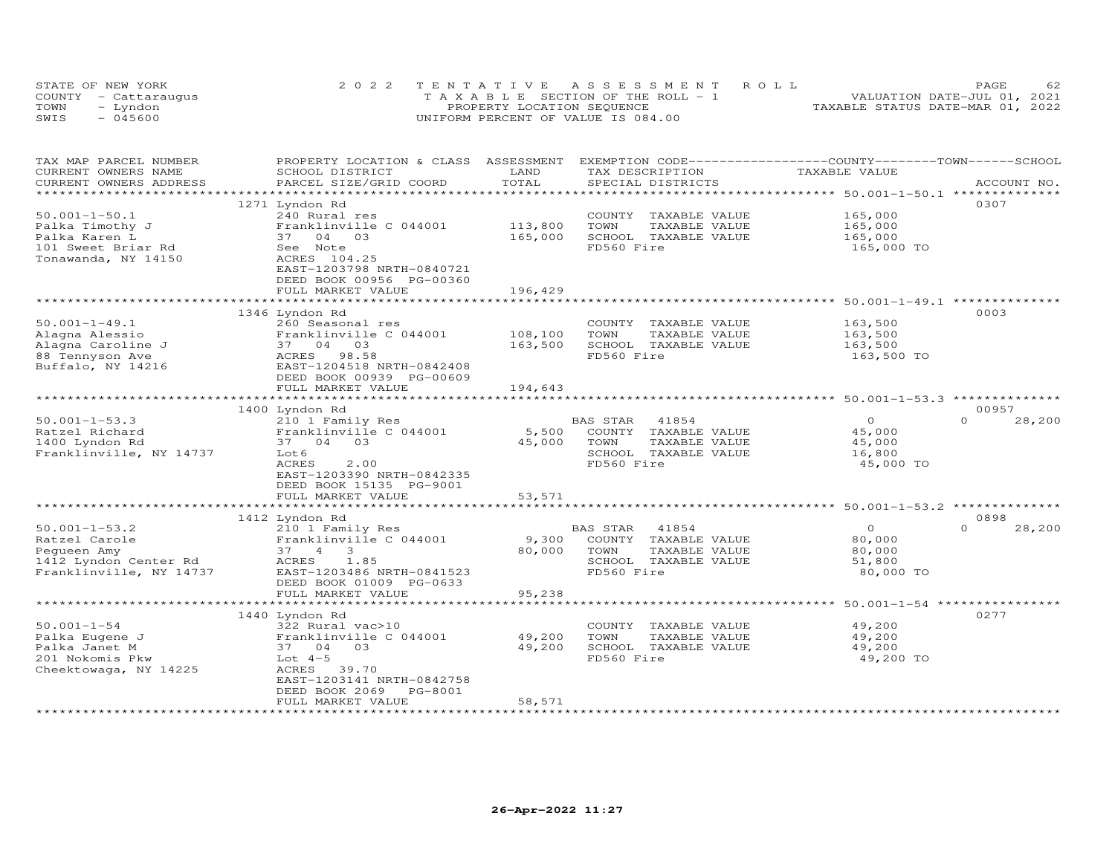| STATE OF NEW YORK    | 2022 TENTATIVE ASSESSMENT ROLL        | <b>PAGE</b>                      |
|----------------------|---------------------------------------|----------------------------------|
| COUNTY - Cattaraugus | T A X A B L E SECTION OF THE ROLL - 1 | VALUATION DATE-JUL 01, 2021      |
| TOWN<br>- Lyndon     | PROPERTY LOCATION SEQUENCE            | TAXABLE STATUS DATE-MAR 01, 2022 |
| $-045600$<br>SWIS    | UNIFORM PERCENT OF VALUE IS 084.00    |                                  |

| TAX MAP PARCEL NUMBER<br>CURRENT OWNERS NAME     | PROPERTY LOCATION & CLASS ASSESSMENT<br>SCHOOL DISTRICT | LAND    | EXEMPTION CODE------------------COUNTY-------TOWN------SCHOOL<br>TAX DESCRIPTION | TAXABLE VALUE |                   |
|--------------------------------------------------|---------------------------------------------------------|---------|----------------------------------------------------------------------------------|---------------|-------------------|
| CURRENT OWNERS ADDRESS<br>********************** | PARCEL SIZE/GRID COORD<br>****************************  | TOTAL   | SPECIAL DISTRICTS                                                                |               | ACCOUNT NO.       |
|                                                  | 1271 Lyndon Rd                                          |         |                                                                                  |               | 0307              |
| $50.001 - 1 - 50.1$                              | 240 Rural res                                           |         | TAXABLE VALUE<br>COUNTY                                                          | 165,000       |                   |
| Palka Timothy J                                  | Franklinville C 044001                                  | 113,800 | TAXABLE VALUE<br>TOWN                                                            | 165,000       |                   |
| Palka Karen L                                    | 37 04 03                                                | 165,000 | SCHOOL<br>TAXABLE VALUE                                                          | 165,000       |                   |
| 101 Sweet Briar Rd                               | See Note                                                |         | FD560 Fire                                                                       | 165,000 TO    |                   |
| Tonawanda, NY 14150                              | ACRES 104.25                                            |         |                                                                                  |               |                   |
|                                                  | EAST-1203798 NRTH-0840721                               |         |                                                                                  |               |                   |
|                                                  | DEED BOOK 00956 PG-00360                                |         |                                                                                  |               |                   |
|                                                  | FULL MARKET VALUE                                       | 196,429 |                                                                                  |               |                   |
|                                                  | 1346 Lyndon Rd                                          |         |                                                                                  |               | 0003              |
| $50.001 - 1 - 49.1$                              | 260 Seasonal res                                        |         | COUNTY TAXABLE VALUE                                                             | 163,500       |                   |
| Alagna Alessio                                   | Franklinville C 044001                                  | 108,100 | TOWN<br>TAXABLE VALUE                                                            | 163,500       |                   |
| Alagna Caroline J                                | 37 04 03                                                | 163,500 | SCHOOL TAXABLE VALUE                                                             | 163,500       |                   |
| 88 Tennyson Ave                                  | ACRES<br>98.58                                          |         | FD560 Fire                                                                       | 163,500 TO    |                   |
| Buffalo, NY 14216                                | EAST-1204518 NRTH-0842408                               |         |                                                                                  |               |                   |
|                                                  | DEED BOOK 00939 PG-00609                                |         |                                                                                  |               |                   |
|                                                  | FULL MARKET VALUE                                       | 194,643 |                                                                                  |               |                   |
|                                                  |                                                         |         |                                                                                  |               |                   |
|                                                  | 1400 Lyndon Rd                                          |         |                                                                                  | $\circ$       | 00957<br>$\Omega$ |
| $50.001 - 1 - 53.3$<br>Ratzel Richard            | 210 1 Family Res<br>Franklinville C 044001              | 5,500   | 41854<br>BAS STAR<br>COUNTY<br>TAXABLE VALUE                                     | 45,000        | 28,200            |
| 1400 Lyndon Rd                                   | 03<br>37 04                                             | 45,000  | TOWN<br>TAXABLE VALUE                                                            | 45,000        |                   |
| Franklinville, NY 14737                          | Lot 6                                                   |         | SCHOOL TAXABLE VALUE                                                             | 16,800        |                   |
|                                                  | <b>ACRES</b><br>2.00                                    |         | FD560 Fire                                                                       | 45,000 TO     |                   |
|                                                  | EAST-1203390 NRTH-0842335                               |         |                                                                                  |               |                   |
|                                                  | DEED BOOK 15135 PG-9001                                 |         |                                                                                  |               |                   |
|                                                  | FULL MARKET VALUE                                       | 53,571  |                                                                                  |               |                   |
|                                                  |                                                         |         |                                                                                  |               |                   |
|                                                  | 1412 Lyndon Rd                                          |         |                                                                                  |               | 0898              |
| $50.001 - 1 - 53.2$                              | 210 1 Family Res                                        |         | BAS STAR<br>41854                                                                | $\Omega$      | $\cap$<br>28,200  |
| Ratzel Carole                                    | Franklinville C 044001                                  | 9,300   | COUNTY<br>TAXABLE VALUE                                                          | 80,000        |                   |
| Pequeen Amy                                      | 37 4<br>3                                               | 80,000  | TOWN<br>TAXABLE VALUE                                                            | 80,000        |                   |
| 1412 Lyndon Center Rd                            | ACRES<br>1.85                                           |         | SCHOOL TAXABLE VALUE                                                             | 51,800        |                   |
| Franklinville, NY 14737                          | EAST-1203486 NRTH-0841523                               |         | FD560 Fire                                                                       | 80,000 TO     |                   |
|                                                  | DEED BOOK 01009 PG-0633                                 |         |                                                                                  |               |                   |
|                                                  | FULL MARKET VALUE                                       | 95,238  |                                                                                  |               |                   |
|                                                  | 1440 Lyndon Rd                                          |         |                                                                                  |               | 0277              |
| $50.001 - 1 - 54$                                | 322 Rural vac>10                                        |         | COUNTY TAXABLE VALUE                                                             | 49,200        |                   |
| Palka Eugene J                                   | Franklinville C 044001                                  | 49,200  | TOWN<br>TAXABLE VALUE                                                            | 49,200        |                   |
| Palka Janet M                                    | 03<br>37 04                                             | 49,200  | SCHOOL TAXABLE VALUE                                                             | 49,200        |                   |
| 201 Nokomis Pkw                                  | Lot $4-5$                                               |         | FD560 Fire                                                                       | 49,200 TO     |                   |
| Cheektowaga, NY 14225                            | ACRES<br>39.70                                          |         |                                                                                  |               |                   |
|                                                  | EAST-1203141 NRTH-0842758                               |         |                                                                                  |               |                   |
|                                                  | DEED BOOK 2069<br>PG-8001                               |         |                                                                                  |               |                   |
|                                                  | FULL MARKET VALUE                                       | 58,571  |                                                                                  |               |                   |
|                                                  |                                                         |         |                                                                                  |               |                   |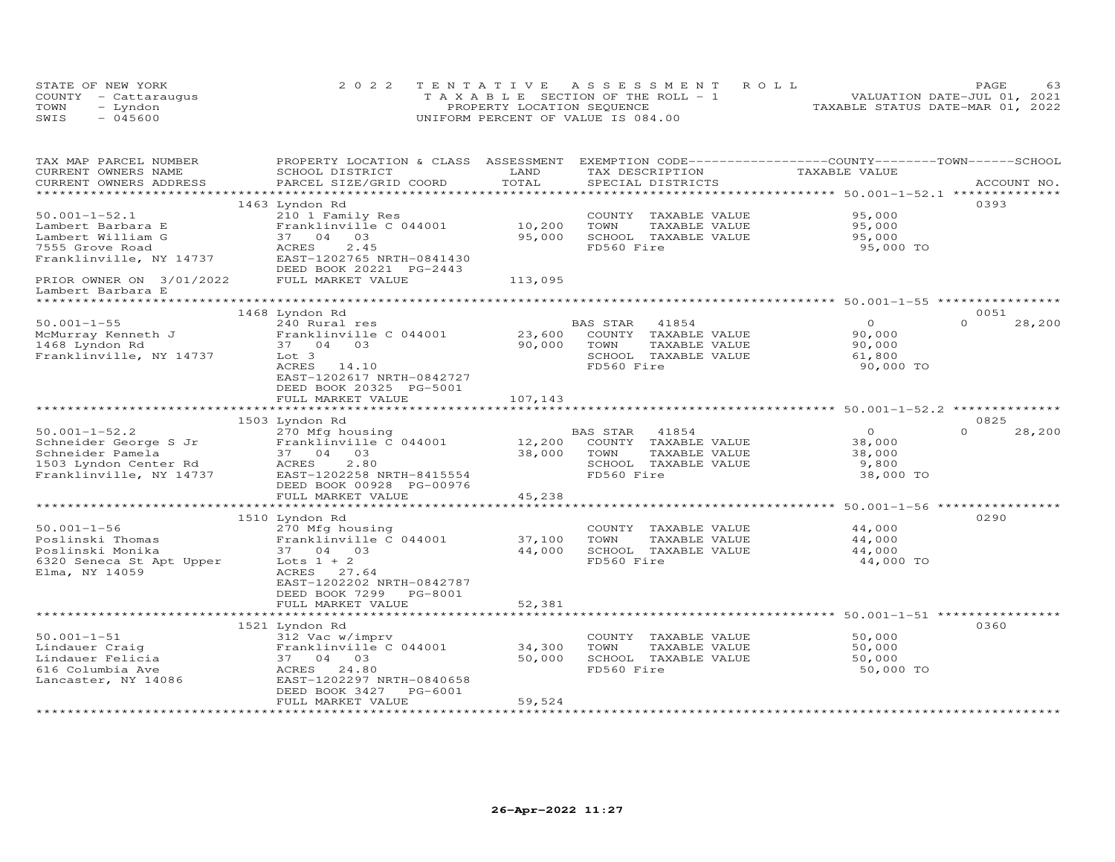|      | STATE OF NEW YORK    | 2022 TENTATIVE ASSESSMENT ROLL        | PAGE                             |
|------|----------------------|---------------------------------------|----------------------------------|
|      | COUNTY - Cattaraugus | T A X A B L E SECTION OF THE ROLL - 1 | VALUATION DATE-JUL 01, 2021      |
| TOWN | - Lyndon             | PROPERTY LOCATION SEQUENCE            | TAXABLE STATUS DATE-MAR 01, 2022 |
| SWIS | - 045600             | UNIFORM PERCENT OF VALUE IS 084.00    |                                  |

| TAX MAP PARCEL NUMBER<br>CURRENT OWNERS NAME                                                                         | PROPERTY LOCATION & CLASS ASSESSMENT<br>SCHOOL DISTRICT                                                                            | LAND             | EXEMPTION CODE-----------------COUNTY-------TOWN-----SCHOOL<br>TAX DESCRIPTION                           | TAXABLE VALUE                                     |                    |
|----------------------------------------------------------------------------------------------------------------------|------------------------------------------------------------------------------------------------------------------------------------|------------------|----------------------------------------------------------------------------------------------------------|---------------------------------------------------|--------------------|
| CURRENT OWNERS ADDRESS                                                                                               | PARCEL SIZE/GRID COORD                                                                                                             | TOTAL            | SPECIAL DISTRICTS                                                                                        |                                                   | ACCOUNT NO.        |
| *************************                                                                                            |                                                                                                                                    |                  |                                                                                                          |                                                   |                    |
| $50.001 - 1 - 52.1$                                                                                                  | 1463 Lyndon Rd<br>210 1 Family Res                                                                                                 |                  | COUNTY TAXABLE VALUE                                                                                     | 95,000                                            | 0393               |
| Lambert Barbara E<br>Lambert William G<br>7555 Grove Road                                                            | Franklinville C 044001<br>37 04 03<br>2.45<br>ACRES                                                                                | 10,200<br>95,000 | TOWN<br>TAXABLE VALUE<br>SCHOOL TAXABLE VALUE<br>FD560 Fire                                              | 95,000<br>95,000<br>95,000 TO                     |                    |
| Franklinville, NY 14737                                                                                              | EAST-1202765 NRTH-0841430<br>DEED BOOK 20221 PG-2443                                                                               |                  |                                                                                                          |                                                   |                    |
| PRIOR OWNER ON 3/01/2022<br>Lambert Barbara E                                                                        | FULL MARKET VALUE                                                                                                                  | 113,095          |                                                                                                          |                                                   |                    |
|                                                                                                                      | 1468 Lyndon Rd                                                                                                                     |                  |                                                                                                          |                                                   | 0051               |
| $50.001 - 1 - 55$<br>McMurray Kenneth J<br>1468 Lyndon Rd                                                            | 240 Rural res<br>Franklinville C 044001<br>37 04 03                                                                                | 23,600<br>90,000 | 41854<br>BAS STAR<br>COUNTY TAXABLE VALUE<br>TAXABLE VALUE<br>TOWN                                       | $\overline{O}$<br>90,000<br>90,000                | $\Omega$<br>28,200 |
| Franklinville, NY 14737                                                                                              | Lot 3<br>ACRES<br>14.10<br>EAST-1202617 NRTH-0842727<br>DEED BOOK 20325 PG-5001<br>FULL MARKET VALUE                               | 107,143          | SCHOOL TAXABLE VALUE<br>FD560 Fire                                                                       | 61,800<br>90,000 TO                               |                    |
|                                                                                                                      |                                                                                                                                    |                  |                                                                                                          |                                                   |                    |
|                                                                                                                      | 1503 Lyndon Rd                                                                                                                     |                  |                                                                                                          |                                                   | 0825               |
| $50.001 - 1 - 52.2$<br>Schneider George S Jr<br>Schneider Pamela<br>1503 Lyndon Center Rd<br>Franklinville, NY 14737 | 270 Mfg housing<br>Franklinville C 044001<br>37 04<br>03<br>2.80<br>ACRES<br>EAST-1202258 NRTH-8415554<br>DEED BOOK 00928 PG-00976 | 12,200<br>38,000 | BAS STAR<br>41854<br>COUNTY TAXABLE VALUE<br>TOWN<br>TAXABLE VALUE<br>SCHOOL TAXABLE VALUE<br>FD560 Fire | $\circ$<br>38,000<br>38,000<br>9,800<br>38,000 TO | $\Omega$<br>28,200 |
|                                                                                                                      | FULL MARKET VALUE                                                                                                                  | 45,238           |                                                                                                          |                                                   |                    |
|                                                                                                                      |                                                                                                                                    |                  |                                                                                                          |                                                   |                    |
| $50.001 - 1 - 56$                                                                                                    | 1510 Lyndon Rd<br>270 Mfg housing                                                                                                  |                  | COUNTY TAXABLE VALUE                                                                                     | 44,000                                            | 0290               |
| Poslinski Thomas<br>Poslinski Monika<br>6320 Seneca St Apt Upper<br>Elma, NY 14059                                   | Franklinville C 044001<br>37 04 03<br>Lots $1 + 2$<br>ACRES<br>27.64<br>EAST-1202202 NRTH-0842787                                  | 37,100<br>44,000 | TOWN<br>TAXABLE VALUE<br>SCHOOL TAXABLE VALUE<br>FD560 Fire                                              | 44,000<br>44,000<br>44,000 TO                     |                    |
|                                                                                                                      | DEED BOOK 7299 PG-8001<br>FULL MARKET VALUE                                                                                        | 52,381           |                                                                                                          |                                                   |                    |
|                                                                                                                      |                                                                                                                                    |                  |                                                                                                          |                                                   |                    |
| $50.001 - 1 - 51$                                                                                                    | 1521 Lyndon Rd<br>312 Vac w/imprv                                                                                                  |                  | COUNTY TAXABLE VALUE                                                                                     | 50,000                                            | 0360               |
| Lindauer Craig<br>Lindauer Felicia                                                                                   | Franklinville C 044001<br>37 04 03                                                                                                 | 34,300<br>50,000 | TOWN<br>TAXABLE VALUE<br>SCHOOL TAXABLE VALUE                                                            | 50,000<br>50,000                                  |                    |
| 616 Columbia Ave<br>Lancaster, NY 14086                                                                              | ACRES<br>24.80<br>EAST-1202297 NRTH-0840658<br>DEED BOOK 3427<br>PG-6001<br>FULL MARKET VALUE                                      | 59,524           | FD560 Fire                                                                                               | 50,000 TO                                         |                    |
|                                                                                                                      |                                                                                                                                    |                  |                                                                                                          |                                                   |                    |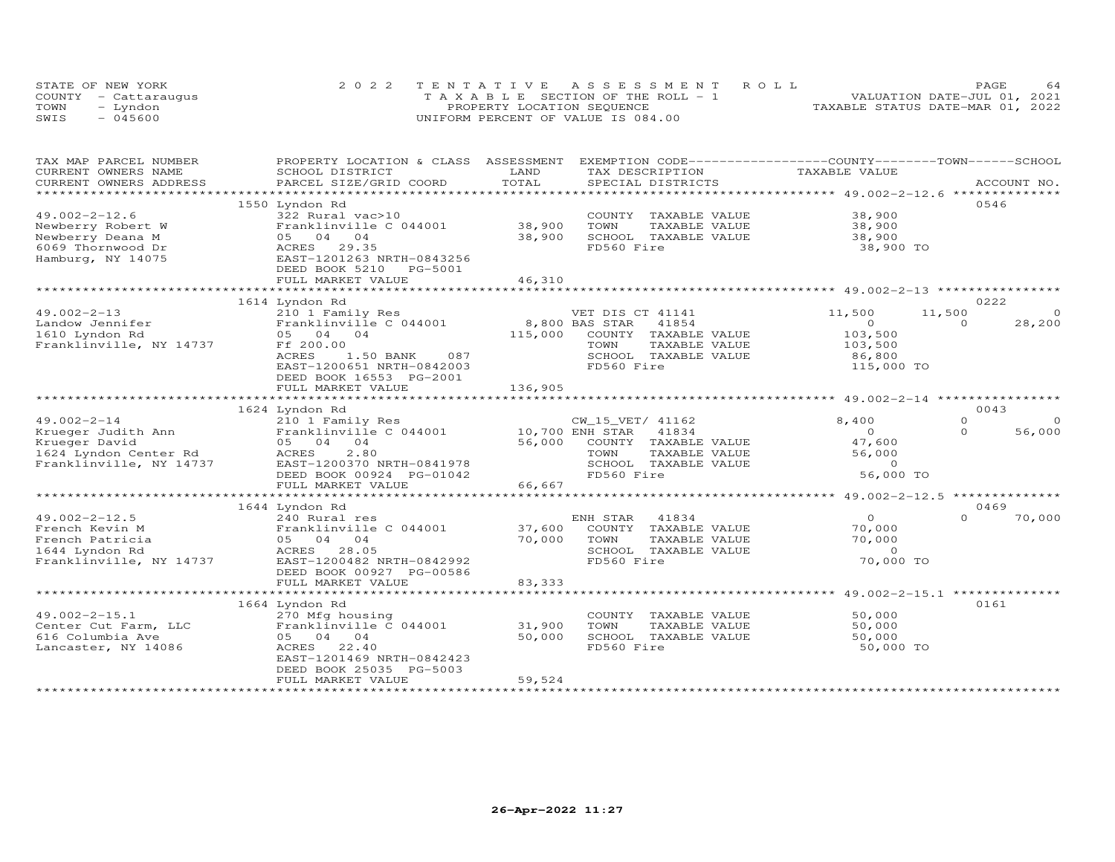|      | STATE OF NEW YORK    | 2022 TENTATIVE ASSESSMENT ROLL     | 64<br>PAGE.                      |
|------|----------------------|------------------------------------|----------------------------------|
|      | COUNTY - Cattaraugus | TAXABLE SECTION OF THE ROLL - 1    | VALUATION DATE-JUL 01, 2021      |
| TOWN | – Lyndon             | PROPERTY LOCATION SEQUENCE         | TAXABLE STATUS DATE-MAR 01, 2022 |
| SWIS | $-045600$            | UNIFORM PERCENT OF VALUE IS 084.00 |                                  |

| TAX MAP PARCEL NUMBER                 | PROPERTY LOCATION & CLASS ASSESSMENT      |                                                         | EXEMPTION CODE-----------------COUNTY-------TOWN------SCHOOL |
|---------------------------------------|-------------------------------------------|---------------------------------------------------------|--------------------------------------------------------------|
| CURRENT OWNERS NAME                   | SCHOOL DISTRICT                           | LAND<br>TAX DESCRIPTION                                 | TAXABLE VALUE                                                |
| CURRENT OWNERS ADDRESS                | PARCEL SIZE/GRID COORD                    | TOTAL<br>SPECIAL DISTRICTS                              | ACCOUNT NO.                                                  |
| * * * * * * * * * * * * * * * * * * * |                                           |                                                         |                                                              |
|                                       | 1550 Lyndon Rd                            |                                                         | 0546                                                         |
| $49.002 - 2 - 12.6$                   | 322 Rural vac>10                          | COUNTY TAXABLE VALUE                                    | 38,900                                                       |
| Newberry Robert W                     | Franklinville C 044001                    | 38,900<br>TOWN<br>TAXABLE VALUE                         | 38,900                                                       |
| Newberry Deana M                      | 05 04 04                                  | 38,900<br>SCHOOL TAXABLE VALUE                          | 38,900                                                       |
| 6069 Thornwood Dr                     | ACRES 29.35                               | FD560 Fire                                              | 38,900 TO                                                    |
| Hamburg, NY 14075                     | EAST-1201263 NRTH-0843256                 |                                                         |                                                              |
|                                       | DEED BOOK 5210<br>PG-5001                 |                                                         |                                                              |
|                                       | FULL MARKET VALUE                         | 46,310                                                  |                                                              |
|                                       |                                           |                                                         |                                                              |
|                                       | 1614 Lyndon Rd                            |                                                         | 0222                                                         |
| $49.002 - 2 - 13$                     | 210 1 Family Res                          | VET DIS CT 41141                                        | $\Omega$<br>11,500<br>11,500                                 |
| Landow Jennifer                       | Franklinville C 044001                    | 8,800 BAS STAR<br>41854                                 | $\Omega$<br>28,200<br>$\circ$                                |
|                                       |                                           |                                                         |                                                              |
| 1610 Lyndon Rd                        | 05 04 04                                  | 115,000<br>COUNTY TAXABLE VALUE                         | 103,500                                                      |
| Franklinville, NY 14737               | Ff 200.00                                 | TOWN<br>TAXABLE VALUE                                   | 103,500                                                      |
|                                       | 087<br>ACRES<br>1.50 BANK                 | SCHOOL TAXABLE VALUE                                    | 86,800                                                       |
|                                       | EAST-1200651 NRTH-0842003                 | FD560 Fire                                              | 115,000 TO                                                   |
|                                       | DEED BOOK 16553 PG-2001                   |                                                         |                                                              |
|                                       | FULL MARKET VALUE                         | 136,905                                                 |                                                              |
|                                       |                                           |                                                         | ************************ 49.002-2-14 **********              |
|                                       | 1624 Lyndon Rd                            |                                                         | 0043                                                         |
| $49.002 - 2 - 14$                     | 210 1 Family Res                          | CW_15_VET/ 41162                                        | 8,400<br>$\Omega$<br>$\circ$                                 |
| Krueger Judith Ann                    | Franklinville C 044001                    | 10,700 ENH STAR<br>41834                                | $\Omega$<br>$\Omega$<br>56,000                               |
| Krueger David                         | 05 04<br>0 <sub>4</sub>                   | 56,000<br>COUNTY TAXABLE VALUE                          | 47,600                                                       |
| 1624 Lyndon Center Rd                 | 2.80<br>ACRES                             | TAXABLE VALUE<br>TOWN                                   | 56,000                                                       |
| Franklinville, NY 14737               | EAST-1200370 NRTH-0841978                 | SCHOOL TAXABLE VALUE                                    | $\circ$                                                      |
|                                       | DEED BOOK 00924 PG-01042                  | FD560 Fire                                              | 56,000 TO                                                    |
|                                       | FULL MARKET VALUE                         | 66,667                                                  |                                                              |
|                                       | *************************                 |                                                         | **************                                               |
|                                       | 1644 Lyndon Rd                            |                                                         | 0469                                                         |
| $49.002 - 2 - 12.5$                   | 240 Rural res                             | ENH STAR<br>41834                                       | $\Omega$<br>$\Omega$<br>70,000                               |
| French Kevin M                        | Franklinville C 044001                    | 37,600<br>COUNTY TAXABLE VALUE                          | 70,000                                                       |
| French Patricia                       | 05 04 04                                  | 70,000<br>TAXABLE VALUE<br>TOWN                         | 70,000                                                       |
| 1644 Lyndon Rd                        | <b>ACRES</b><br>28.05                     | SCHOOL TAXABLE VALUE                                    | $\circ$                                                      |
| Franklinville, NY 14737               | EAST-1200482 NRTH-0842992                 | FD560 Fire                                              | 70,000 TO                                                    |
|                                       | DEED BOOK 00927 PG-00586                  |                                                         |                                                              |
|                                       | FULL MARKET VALUE                         | 83,333                                                  |                                                              |
|                                       |                                           |                                                         |                                                              |
|                                       | 1664 Lyndon Rd                            |                                                         | 0161                                                         |
| $49.002 - 2 - 15.1$                   |                                           |                                                         | 50,000                                                       |
| Center Cut Farm, LLC                  | 270 Mfg housing<br>Franklinville C 044001 | COUNTY TAXABLE VALUE<br>31,900<br>TOWN<br>TAXABLE VALUE | 50,000                                                       |
|                                       |                                           |                                                         |                                                              |
| 616 Columbia Ave                      | 05 04 04                                  | 50,000<br>SCHOOL TAXABLE VALUE                          | 50,000                                                       |
| Lancaster, NY 14086                   | 22.40<br>ACRES                            | FD560 Fire                                              | 50,000 TO                                                    |
|                                       | EAST-1201469 NRTH-0842423                 |                                                         |                                                              |
|                                       | DEED BOOK 25035 PG-5003                   |                                                         |                                                              |
|                                       | FULL MARKET VALUE                         | 59,524                                                  |                                                              |
|                                       |                                           |                                                         |                                                              |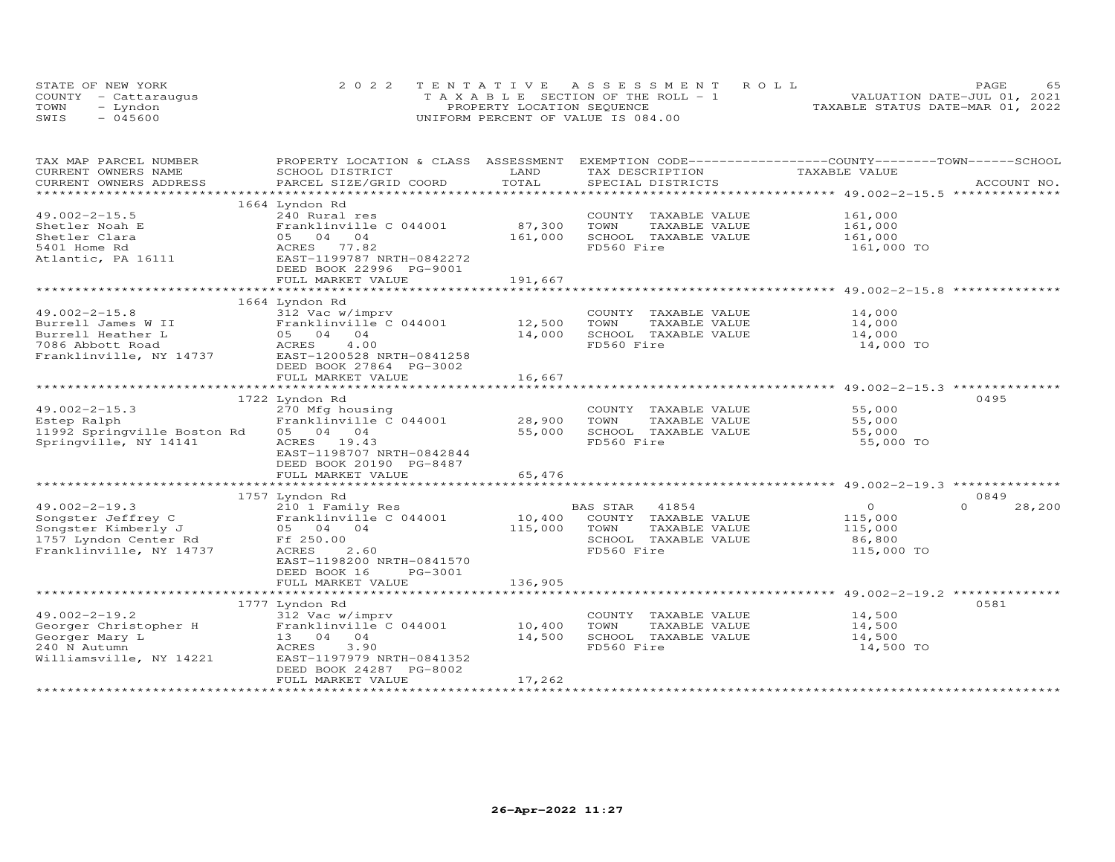|      | STATE OF NEW YORK    | 2022 TENTATIVE ASSESSMENT ROLL        | 65<br>PAGE                       |
|------|----------------------|---------------------------------------|----------------------------------|
|      | COUNTY - Cattaraugus | T A X A B L E SECTION OF THE ROLL - 1 | VALUATION DATE-JUL 01, 2021      |
| TOWN | – Lyndon             | PROPERTY LOCATION SEQUENCE            | TAXABLE STATUS DATE-MAR 01, 2022 |
| SWIS | $-045600$            | UNIFORM PERCENT OF VALUE IS 084.00    |                                  |

| TAX MAP PARCEL NUMBER<br>CURRENT OWNERS NAME | PROPERTY LOCATION & CLASS ASSESSMENT<br>SCHOOL DISTRICT | LAND    | EXEMPTION CODE-----------------COUNTY-------TOWN------SCHOOL<br>TAX DESCRIPTION | TAXABLE VALUE |                    |
|----------------------------------------------|---------------------------------------------------------|---------|---------------------------------------------------------------------------------|---------------|--------------------|
| CURRENT OWNERS ADDRESS                       | PARCEL SIZE/GRID COORD                                  | TOTAL   | SPECIAL DISTRICTS                                                               |               | ACCOUNT NO.        |
| ******************                           |                                                         |         |                                                                                 |               |                    |
|                                              | 1664 Lyndon Rd                                          |         |                                                                                 |               |                    |
| $49.002 - 2 - 15.5$                          | 240 Rural res                                           |         | COUNTY TAXABLE VALUE                                                            | 161,000       |                    |
|                                              |                                                         | 87,300  |                                                                                 |               |                    |
| Shetler Noah E                               | Franklinville C 044001                                  |         | TOWN<br>TAXABLE VALUE                                                           | 161,000       |                    |
| Shetler Clara                                | 05 04 04                                                | 161,000 | SCHOOL TAXABLE VALUE                                                            | 161,000       |                    |
| 5401 Home Rd                                 | ACRES 77.82                                             |         | FD560 Fire                                                                      | 161,000 TO    |                    |
| Atlantic, PA 16111                           | EAST-1199787 NRTH-0842272                               |         |                                                                                 |               |                    |
|                                              | DEED BOOK 22996 PG-9001                                 |         |                                                                                 |               |                    |
|                                              | FULL MARKET VALUE                                       | 191,667 |                                                                                 |               |                    |
|                                              |                                                         |         |                                                                                 |               |                    |
|                                              | 1664 Lyndon Rd                                          |         |                                                                                 |               |                    |
| $49.002 - 2 - 15.8$                          | 312 Vac w/imprv                                         |         | COUNTY TAXABLE VALUE                                                            | 14,000        |                    |
| Burrell James W II                           | Franklinville C 044001                                  | 12,500  | TOWN<br>TAXABLE VALUE                                                           | 14,000        |                    |
| Burrell Heather L                            | 05 04 04                                                | 14,000  | SCHOOL TAXABLE VALUE                                                            | 14,000        |                    |
| 7086 Abbott Road                             | 4.00<br>ACRES                                           |         | FD560 Fire                                                                      | 14,000 TO     |                    |
| Franklinville, NY 14737                      | EAST-1200528 NRTH-0841258                               |         |                                                                                 |               |                    |
|                                              | DEED BOOK 27864 PG-3002                                 |         |                                                                                 |               |                    |
|                                              | FULL MARKET VALUE                                       | 16,667  |                                                                                 |               |                    |
|                                              |                                                         |         |                                                                                 |               |                    |
|                                              | 1722 Lyndon Rd                                          |         |                                                                                 |               | 0495               |
| $49.002 - 2 - 15.3$                          | 270 Mfg housing                                         |         | COUNTY TAXABLE VALUE                                                            | 55,000        |                    |
| Estep Ralph                                  | Franklinville C 044001                                  | 28,900  | TOWN<br>TAXABLE VALUE                                                           | 55,000        |                    |
|                                              |                                                         |         |                                                                                 |               |                    |
| 11992 Springville Boston Rd                  | 05 04 04                                                | 55,000  | SCHOOL TAXABLE VALUE                                                            | 55,000        |                    |
| Springville, NY 14141                        | ACRES 19.43                                             |         | FD560 Fire                                                                      | 55,000 TO     |                    |
|                                              | EAST-1198707 NRTH-0842844                               |         |                                                                                 |               |                    |
|                                              | DEED BOOK 20190 PG-8487                                 |         |                                                                                 |               |                    |
|                                              | FULL MARKET VALUE                                       | 65,476  |                                                                                 |               |                    |
|                                              |                                                         |         |                                                                                 |               |                    |
|                                              | 1757 Lyndon Rd                                          |         |                                                                                 |               | 0849               |
| $49.002 - 2 - 19.3$                          | 210 1 Family Res                                        |         | BAS STAR 41854                                                                  | $\Omega$      | $\Omega$<br>28,200 |
| Songster Jeffrey C                           | Franklinville C 044001                                  | 10,400  | COUNTY TAXABLE VALUE                                                            | 115,000       |                    |
| Songster Kimberly J                          | 05 04 04                                                | 115,000 | TOWN<br>TAXABLE VALUE                                                           | 115,000       |                    |
| 1757 Lyndon Center Rd                        | Ff 250.00                                               |         | SCHOOL TAXABLE VALUE                                                            | 86,800        |                    |
| Franklinville, NY 14737                      | ACRES<br>2.60                                           |         | FD560 Fire                                                                      | 115,000 TO    |                    |
|                                              | EAST-1198200 NRTH-0841570                               |         |                                                                                 |               |                    |
|                                              | DEED BOOK 16<br>PG-3001                                 |         |                                                                                 |               |                    |
|                                              | FULL MARKET VALUE                                       | 136,905 |                                                                                 |               |                    |
|                                              |                                                         |         |                                                                                 |               |                    |
|                                              | 1777 Lyndon Rd                                          |         |                                                                                 |               | 0581               |
| $49.002 - 2 - 19.2$                          | 312 Vac w/imprv                                         |         | COUNTY TAXABLE VALUE                                                            | 14,500        |                    |
| Georger Christopher H                        | Franklinville C 044001                                  | 10,400  | TOWN<br>TAXABLE VALUE                                                           | 14,500        |                    |
|                                              |                                                         | 14,500  |                                                                                 |               |                    |
| Georger Mary L                               | 13 04 04                                                |         | SCHOOL TAXABLE VALUE                                                            | 14,500        |                    |
| 240 N Autumn                                 | 3.90<br>ACRES                                           |         | FD560 Fire                                                                      | 14,500 TO     |                    |
| Williamsville, NY 14221                      | EAST-1197979 NRTH-0841352                               |         |                                                                                 |               |                    |
|                                              | DEED BOOK 24287 PG-8002                                 |         |                                                                                 |               |                    |
|                                              | FULL MARKET VALUE                                       | 17,262  |                                                                                 |               |                    |
|                                              |                                                         |         |                                                                                 |               |                    |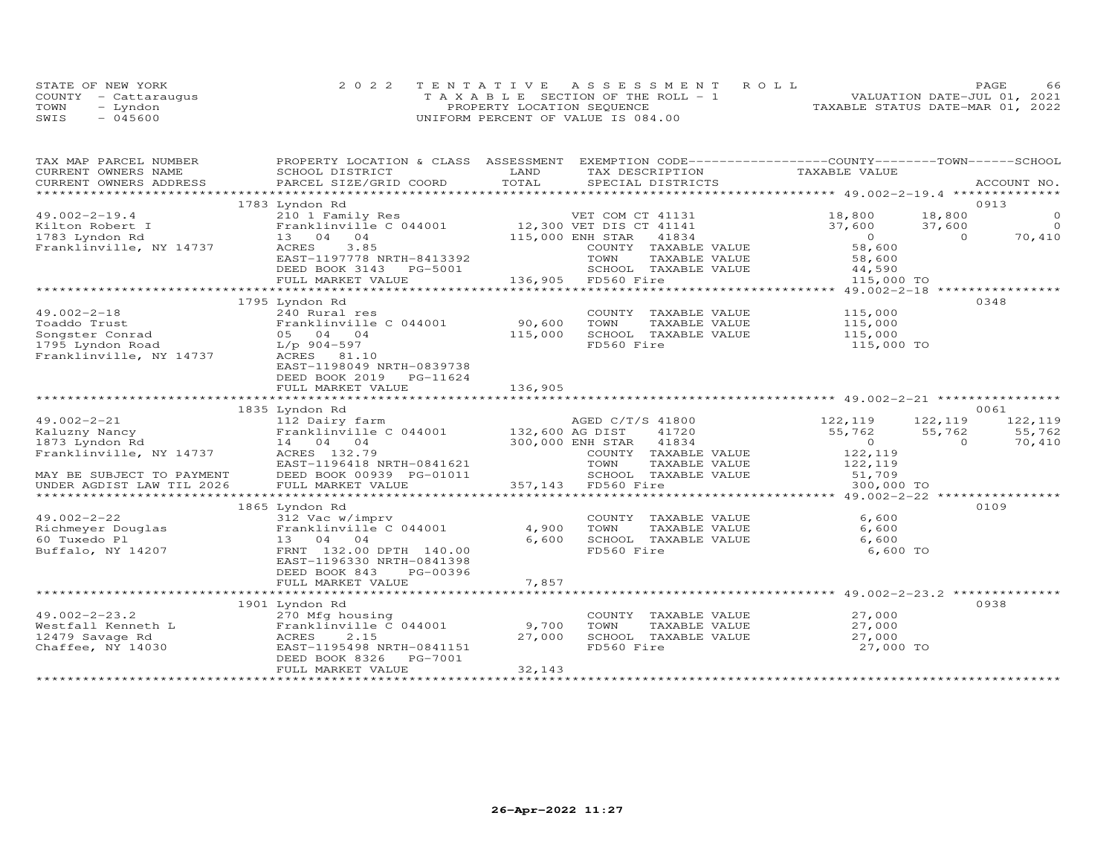|      | STATE OF NEW YORK    | 2022 TENTATIVE ASSESSMENT ROLL        | 66<br><b>PAGE</b>                |
|------|----------------------|---------------------------------------|----------------------------------|
|      | COUNTY - Cattaraugus | T A X A B L E SECTION OF THE ROLL - 1 | VALUATION DATE-JUL 01, 2021      |
| TOWN | - Lyndon             | PROPERTY LOCATION SEQUENCE            | TAXABLE STATUS DATE-MAR 01, 2022 |
| SWIS | $-045600$            | UNIFORM PERCENT OF VALUE IS 084.00    |                                  |

| TAX MAP PARCEL NUMBER     | PROPERTY LOCATION & CLASS ASSESSMENT EXEMPTION CODE----------------COUNTY-------TOWN------SCHOOL |         |                                  |                                       |          |                |
|---------------------------|--------------------------------------------------------------------------------------------------|---------|----------------------------------|---------------------------------------|----------|----------------|
| CURRENT OWNERS NAME       | SCHOOL DISTRICT                                                                                  | LAND    | TAX DESCRIPTION                  | TAXABLE VALUE                         |          |                |
| CURRENT OWNERS ADDRESS    |                                                                                                  | TOTAL   |                                  |                                       |          | ACCOUNT NO.    |
|                           |                                                                                                  |         |                                  |                                       |          |                |
|                           | 1783 Lyndon Rd                                                                                   |         |                                  |                                       |          | 0913           |
| $49.002 - 2 - 19.4$       | 210 1 Family Res                                                                                 |         | VET COM CT 41131 18,800          |                                       | 18,800   | $\circ$        |
| Kilton Robert I           | Franklinville C 044001                                                                           |         | 12,300 VET DIS CT 41141          | 37,600                                | 37,600   | $\overline{0}$ |
| 1783 Lyndon Rd            | 13 04 04                                                                                         |         | 115,000 ENH STAR<br>41834        | $\overline{0}$                        | $\Omega$ | 70,410         |
| Franklinville, NY 14737   | 3.85<br>ACRES                                                                                    |         | COUNTY TAXABLE VALUE             | 58,600                                |          |                |
|                           | EAST-1197778 NRTH-8413392                                                                        |         | TOWN<br>TAXABLE VALUE            | 58,600                                |          |                |
|                           | DEED BOOK 3143 PG-5001                                                                           |         | SCHOOL TAXABLE VALUE             | 44,590                                |          |                |
|                           | FULL MARKET VALUE                                                                                |         | 136,905 FD560 Fire               | 115,000 TO                            |          |                |
|                           | ****************************                                                                     |         | ***************************      | ********* 49.002-2-18 *************** |          |                |
|                           | 1795 Lyndon Rd                                                                                   |         |                                  |                                       |          | 0348           |
| $49.002 - 2 - 18$         | 240 Rural res                                                                                    |         | COUNTY TAXABLE VALUE             | 115,000                               |          |                |
| Toaddo Trust              | Franklinville C 044001                                                                           | 90,600  | TOWN<br>TAXABLE VALUE            | 115,000                               |          |                |
| Songster Conrad           | 05 04 04                                                                                         | 115,000 | SCHOOL TAXABLE VALUE             | 115,000                               |          |                |
| 1795 Lyndon Road          | L/p 904-597                                                                                      |         | FD560 Fire                       | 115,000 TO                            |          |                |
| Franklinville, NY 14737   | ACRES 81.10                                                                                      |         |                                  |                                       |          |                |
|                           | EAST-1198049 NRTH-0839738                                                                        |         |                                  |                                       |          |                |
|                           | DEED BOOK 2019<br>PG-11624                                                                       |         |                                  |                                       |          |                |
|                           | FULL MARKET VALUE                                                                                | 136,905 |                                  |                                       |          |                |
|                           |                                                                                                  |         |                                  |                                       |          |                |
|                           | 1835 Lyndon Rd                                                                                   |         |                                  |                                       |          | 0061           |
| $49.002 - 2 - 21$         | 112 Dairy farm                                                                                   |         | AGED C/T/S 41800                 | 122,119                               | 122,119  | 122, 119       |
| Kaluzny Nancy             | Franklinville C 044001 132,600 AG DIST                                                           |         | 41720                            | 55,762                                | 55,762   | 55,762         |
| 1873 Lyndon Rd            | 14 04 04                                                                                         |         | 300,000 ENH STAR 41834           | $\overline{O}$                        | $\Omega$ | 70,410         |
| Franklinville, NY 14737   | ACRES 132.79                                                                                     |         | COUNTY TAXABLE VALUE             | 122,119                               |          |                |
|                           | EAST-1196418 NRTH-0841621                                                                        |         | TOWN<br>TAXABLE VALUE            | 122, 119<br>51, 709                   |          |                |
| MAY BE SUBJECT TO PAYMENT | DEED BOOK 00939 PG-01011                                                                         |         | SCHOOL TAXABLE VALUE             |                                       |          |                |
| UNDER AGDIST LAW TIL 2026 | FULL MARKET VALUE                                                                                |         | SCROOD 143<br>357,143 FD560 Fire | 300,000 TO                            |          |                |
|                           |                                                                                                  |         |                                  |                                       |          |                |
|                           | 1865 Lyndon Rd                                                                                   |         |                                  |                                       |          | 0109           |
| $49.002 - 2 - 22$         | 312 Vac w/imprv                                                                                  |         | COUNTY TAXABLE VALUE             | 6,600                                 |          |                |
| Richmeyer Douglas         | Franklinville C 044001                                                                           | 4,900   | TOWN<br>TAXABLE VALUE            | 6,600                                 |          |                |
| 60 Tuxedo Pl              | 13 04 04                                                                                         | 6,600   | SCHOOL TAXABLE VALUE             | 6,600                                 |          |                |
| Buffalo, NY 14207         | FRNT 132.00 DPTH 140.00                                                                          |         | FD560 Fire                       | 6,600 TO                              |          |                |
|                           | EAST-1196330 NRTH-0841398                                                                        |         |                                  |                                       |          |                |
|                           | DEED BOOK 843<br>PG-00396                                                                        |         |                                  |                                       |          |                |
|                           | FULL MARKET VALUE                                                                                | 7,857   |                                  |                                       |          |                |
|                           |                                                                                                  |         |                                  |                                       |          |                |
|                           | 1901 Lyndon Rd                                                                                   |         |                                  |                                       |          | 0938           |
| $49.002 - 2 - 23.2$       | 270 Mfg housing                                                                                  |         | COUNTY TAXABLE VALUE             | 27,000                                |          |                |
| Westfall Kenneth L        | Franklinville C 044001                                                                           | 9,700   | TOWN<br>TAXABLE VALUE            | 27,000                                |          |                |
| 12479 Savage Rd           | ACRES<br>2.15                                                                                    | 27,000  | SCHOOL TAXABLE VALUE             | 27,000                                |          |                |
| Chaffee, NY 14030         | EAST-1195498 NRTH-0841151                                                                        |         | FD560 Fire                       | 27,000 TO                             |          |                |
|                           | DEED BOOK 8326<br>PG-7001                                                                        |         |                                  |                                       |          |                |
|                           | FULL MARKET VALUE                                                                                | 32,143  |                                  |                                       |          |                |
|                           |                                                                                                  |         |                                  |                                       |          |                |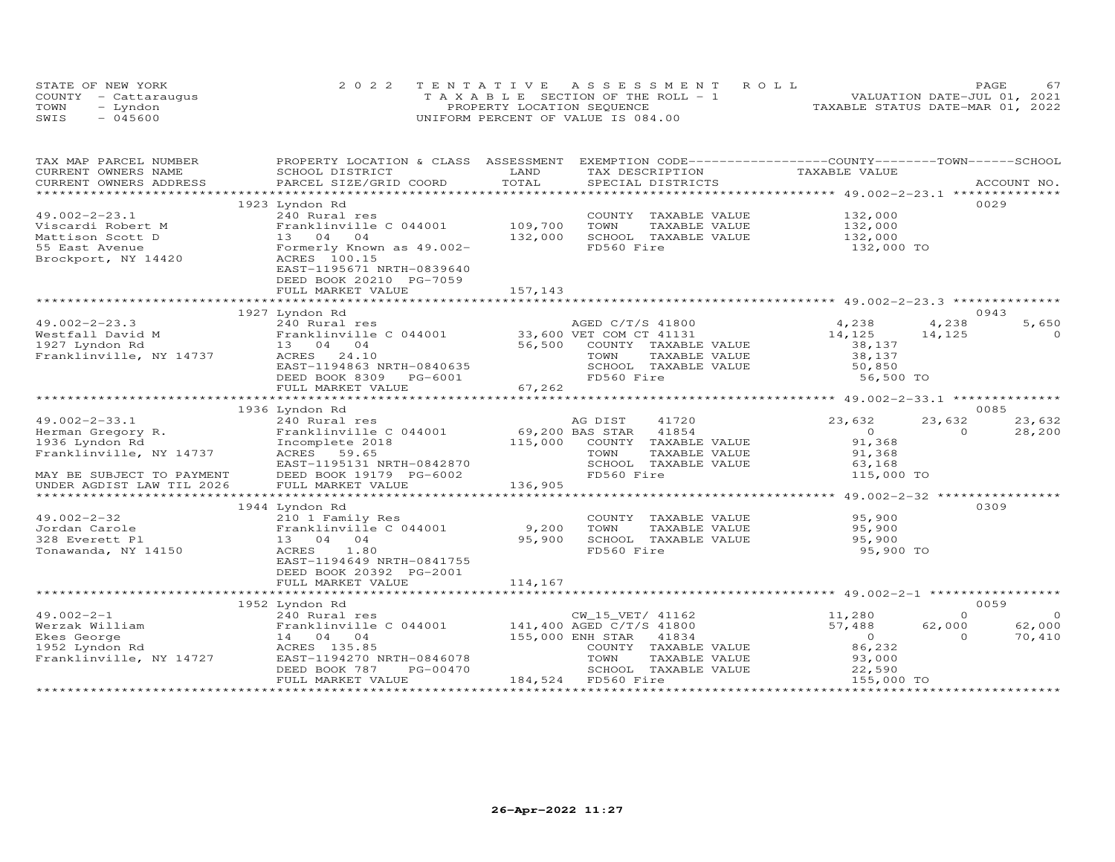|      | STATE OF NEW YORK    | 2022 TENTATIVE ASSESSMENT ROLL        | PAGE.                            |
|------|----------------------|---------------------------------------|----------------------------------|
|      | COUNTY - Cattarauqus | T A X A B L E SECTION OF THE ROLL - 1 | VALUATION DATE-JUL 01, 2021      |
| TOWN | - Lyndon             | PROPERTY LOCATION SEQUENCE            | TAXABLE STATUS DATE-MAR 01, 2022 |
| SWIS | $-045600$            | UNIFORM PERCENT OF VALUE IS 084.00    |                                  |

| EXEMPTION CODE-----------------COUNTY-------TOWN------SCHOOL<br>TAX MAP PARCEL NUMBER<br>PROPERTY LOCATION & CLASS ASSESSMENT |                            |
|-------------------------------------------------------------------------------------------------------------------------------|----------------------------|
| TAXABLE VALUE<br>CURRENT OWNERS NAME<br>SCHOOL DISTRICT<br>LAND<br>TAX DESCRIPTION                                            |                            |
| TOTAL<br>PARCEL SIZE/GRID COORD<br>CURRENT OWNERS ADDRESS<br>SPECIAL DISTRICTS                                                | ACCOUNT NO.                |
|                                                                                                                               |                            |
| 1923 Lyndon Rd                                                                                                                | 0029                       |
| $49.002 - 2 - 23.1$<br>132,000<br>240 Rural res<br>COUNTY TAXABLE VALUE                                                       |                            |
| 109,700<br>Franklinville C 044001<br>TOWN<br>TAXABLE VALUE<br>132,000<br>Viscardi Robert M                                    |                            |
| 132,000<br>SCHOOL TAXABLE VALUE<br>132,000                                                                                    |                            |
| FD560 Fire<br>132,000 TO                                                                                                      |                            |
|                                                                                                                               |                            |
| EAST-1195671 NRTH-0839640                                                                                                     |                            |
| DEED BOOK 20210 PG-7059                                                                                                       |                            |
|                                                                                                                               |                            |
|                                                                                                                               |                            |
| 1927 Lyndon Rd                                                                                                                | 0943                       |
| $49.002 - 2 - 23.3$<br>AGED C/T/S 41800<br>4,238<br>240 Rural res                                                             | 4,238<br>5,650             |
| $240$ Mulai res<br>Franklinville C 044001 33,600 VET COM CT 41131<br>Westfall David M<br>14,125                               | 14,125<br>$\Omega$         |
| 56,500<br>1927 Lyndon Rd<br>COUNTY TAXABLE VALUE<br>38,137<br>13 04 04                                                        |                            |
| Franklinville, NY 14737<br>ACRES 24.10<br>TOWN<br>38,137<br>TAXABLE VALUE                                                     |                            |
| EAST-1194863 NRTH-0840635<br>SCHOOL TAXABLE VALUE<br>50,850                                                                   |                            |
| DEED BOOK 8309 PG-6001<br>FD560 Fire<br>56,500 TO                                                                             |                            |
| 67,262<br>FULL MARKET VALUE                                                                                                   |                            |
|                                                                                                                               |                            |
| 1936 Lyndon Rd                                                                                                                | 0085                       |
| 41720<br>23,632<br>$49.002 - 2 - 33.1$<br>240 Rural res<br>AG DIST                                                            | 23,632<br>23,632           |
| 69,200 BAS STAR<br>Herman Gregory R.<br>Franklinville C 044001<br>41854<br>$\Omega$                                           | $\Omega$<br>28,200         |
| 1936 Lyndon Rd<br>115,000 COUNTY TAXABLE VALUE<br>91,368<br>Incomplete 2018                                                   |                            |
| Franklinville, NY 14737<br>ACRES 59.65<br>TOWN<br>TAXABLE VALUE<br>91,368                                                     |                            |
| SCHOOL TAXABLE VALUE<br>EAST-1195131 NRTH-0842870<br>63,168                                                                   |                            |
| FD560 Fire<br>115,000 TO<br>MAY BE SUBJECT TO PAYMENT<br>DEED BOOK 19179 PG-6002                                              |                            |
| FULL MARKET VALUE<br>136,905<br>UNDER AGDIST LAW TIL 2026                                                                     |                            |
| ************************* 49.002-2-32 ****************                                                                        |                            |
| 1944 Lyndon Rd                                                                                                                | 0309                       |
| COUNTY TAXABLE VALUE 95,900<br>$49.002 - 2 - 32$<br>210 1 Family Res                                                          |                            |
| Franklinville C 044001<br>9,200<br>95,900<br>Jordan Carole<br>TOWN<br>TAXABLE VALUE                                           |                            |
| 328 Everett Pl<br>13 04 04<br>95,900<br>SCHOOL TAXABLE VALUE<br>95,900                                                        |                            |
| FD560 Fire<br>95,900 TO<br>Tonawanda, NY 14150<br>ACRES<br>1.80                                                               |                            |
| EAST-1194649 NRTH-0841755                                                                                                     |                            |
| DEED BOOK 20392 PG-2001                                                                                                       |                            |
| FULL MARKET VALUE<br>114,167                                                                                                  |                            |
|                                                                                                                               |                            |
| 1952 Lyndon Rd                                                                                                                | 0059                       |
| $49.002 - 2 - 1$<br>CW 15 VET/ 41162                                                                                          | $\Omega$<br>$\overline{0}$ |
| 11,280<br>240 Rural res<br>Franklinville C $044001$ 141,400 AGED C/T/S 41800<br>Werzak William<br>57,488                      | 62,000<br>62,000           |
| 155,000 ENH STAR<br>$\overline{0}$                                                                                            | $\Omega$                   |
| Ekes George<br>14 04 04<br>41834<br>ACRES 135.85<br>86,232                                                                    | 70,410                     |
| 1952 Lyndon Rd<br>COUNTY TAXABLE VALUE                                                                                        |                            |
| Franklinville, NY 14727<br>EAST-1194270 NRTH-0846078<br>TOWN<br>TAXABLE VALUE<br>93,000                                       |                            |
| SCHOOL TAXABLE VALUE<br>DEED BOOK 787<br>PG-00470<br>22,590                                                                   |                            |
| 184,524 FD560 Fire<br>155,000 TO<br>FULL MARKET VALUE                                                                         |                            |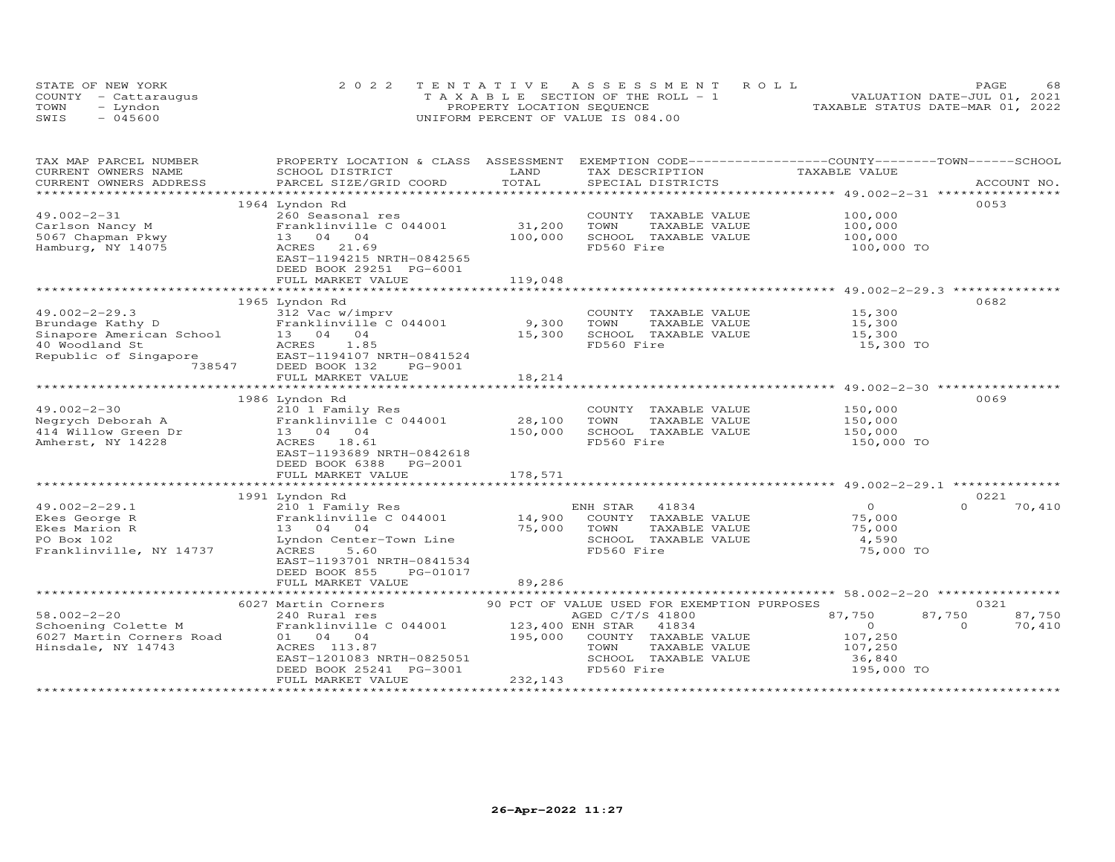|      | STATE OF NEW YORK    | 2022 TENTATIVE ASSESSMENT ROLL     | 68<br>PAGE.                      |
|------|----------------------|------------------------------------|----------------------------------|
|      | COUNTY - Cattaraugus | TAXABLE SECTION OF THE ROLL - 1    | VALUATION DATE-JUL 01, 2021      |
| TOWN | – Lyndon             | PROPERTY LOCATION SEQUENCE         | TAXABLE STATUS DATE-MAR 01, 2022 |
| SWIS | $-045600$            | UNIFORM PERCENT OF VALUE IS 084.00 |                                  |

| TAX MAP PARCEL NUMBER                         | PROPERTY LOCATION & CLASS ASSESSMENT |                  | EXEMPTION CODE-----------------COUNTY-------TOWN------SCHOOL | TAXABLE VALUE  |                    |
|-----------------------------------------------|--------------------------------------|------------------|--------------------------------------------------------------|----------------|--------------------|
| CURRENT OWNERS NAME<br>CURRENT OWNERS ADDRESS | SCHOOL DISTRICT                      | LAND<br>TOTAL    | TAX DESCRIPTION<br>SPECIAL DISTRICTS                         |                | ACCOUNT NO.        |
| ***********************                       | PARCEL SIZE/GRID COORD               |                  |                                                              |                |                    |
|                                               | 1964 Lyndon Rd                       |                  |                                                              |                | 0053               |
| $49.002 - 2 - 31$                             | 260 Seasonal res                     |                  | COUNTY TAXABLE VALUE                                         | 100,000        |                    |
| Carlson Nancy M                               | Franklinville C 044001               | 31,200           | TOWN<br>TAXABLE VALUE                                        | 100,000        |                    |
| 5067 Chapman Pkwy                             | 13 04 04                             | 100,000          | SCHOOL TAXABLE VALUE                                         | 100,000        |                    |
| Hamburg, NY 14075                             | ACRES 21.69                          |                  | FD560 Fire                                                   | 100,000 TO     |                    |
|                                               | EAST-1194215 NRTH-0842565            |                  |                                                              |                |                    |
|                                               | DEED BOOK 29251 PG-6001              |                  |                                                              |                |                    |
|                                               | FULL MARKET VALUE                    | 119,048          |                                                              |                |                    |
|                                               |                                      |                  |                                                              |                |                    |
|                                               | 1965 Lyndon Rd                       |                  |                                                              |                | 0682               |
| $49.002 - 2 - 29.3$                           | 312 Vac w/imprv                      |                  | COUNTY TAXABLE VALUE                                         | 15,300         |                    |
| Brundage Kathy D                              | Franklinville C 044001               | 9,300            | TOWN<br>TAXABLE VALUE                                        | 15,300         |                    |
| Sinapore American School                      | 13 04 04                             | 15,300           | SCHOOL TAXABLE VALUE                                         | 15,300         |                    |
| 40 Woodland St                                | ACRES<br>1.85                        |                  | FD560 Fire                                                   | 15,300 TO      |                    |
| Republic of Singapore                         | EAST-1194107 NRTH-0841524            |                  |                                                              |                |                    |
| 738547                                        | DEED BOOK 132<br>PG-9001             |                  |                                                              |                |                    |
|                                               | FULL MARKET VALUE                    | 18,214           |                                                              |                |                    |
|                                               |                                      |                  |                                                              |                |                    |
|                                               | 1986 Lyndon Rd                       |                  |                                                              |                | 0069               |
| $49.002 - 2 - 30$                             | 210 1 Family Res                     |                  | COUNTY TAXABLE VALUE                                         | 150,000        |                    |
| Negrych Deborah A                             | Franklinville C 044001               | 28,100           | TOWN<br>TAXABLE VALUE                                        | 150,000        |                    |
| 414 Willow Green Dr                           | 13  04  04                           | 150,000          | SCHOOL TAXABLE VALUE                                         | 150,000        |                    |
| Amherst, NY 14228                             | ACRES 18.61                          |                  | FD560 Fire                                                   | 150,000 TO     |                    |
|                                               | EAST-1193689 NRTH-0842618            |                  |                                                              |                |                    |
|                                               | DEED BOOK 6388<br>PG-2001            |                  |                                                              |                |                    |
|                                               | FULL MARKET VALUE                    | 178,571          |                                                              |                |                    |
|                                               |                                      |                  |                                                              |                |                    |
|                                               | 1991 Lyndon Rd                       |                  |                                                              |                | 0221               |
| $49.002 - 2 - 29.1$                           | 210 1 Family Res                     |                  | ENH STAR 41834                                               | $\overline{O}$ | $\Omega$<br>70,410 |
| Ekes George R                                 | Franklinville C 044001               | 14,900           | COUNTY TAXABLE VALUE                                         | 75,000         |                    |
| Ekes Marion R                                 | 13 04 04                             | 75,000 TOWN      | TAXABLE VALUE                                                | 75,000         |                    |
| PO Box 102                                    | Lyndon Center-Town Line              |                  | SCHOOL TAXABLE VALUE                                         | 4,590          |                    |
| Franklinville, NY 14737                       | ACRES<br>5.60                        |                  | FD560 Fire                                                   | 75,000 TO      |                    |
|                                               | EAST-1193701 NRTH-0841534            |                  |                                                              |                |                    |
|                                               | PG-01017<br>DEED BOOK 855            |                  |                                                              |                |                    |
|                                               | FULL MARKET VALUE                    | 89,286           |                                                              |                |                    |
|                                               |                                      |                  |                                                              |                |                    |
|                                               | 6027 Martin Corners                  |                  | 90 PCT OF VALUE USED FOR EXEMPTION PURPOSES                  |                | 0321               |
| $58.002 - 2 - 20$                             | 240 Rural res                        |                  | AGED C/T/S 41800                                             | 87,750         | 87,750<br>87,750   |
| Schoening Colette M                           | Franklinville C 044001               | 123,400 ENH STAR | 41834                                                        | $\overline{0}$ | 70,410<br>$\Omega$ |
| 6027 Martin Corners Road                      | 01 04 04                             | 195,000          | COUNTY TAXABLE VALUE                                         | 107,250        |                    |
| Hinsdale, NY 14743                            | ACRES 113.87                         |                  | TOWN<br>TAXABLE VALUE                                        | 107,250        |                    |
|                                               | EAST-1201083 NRTH-0825051            |                  | SCHOOL TAXABLE VALUE                                         | 36,840         |                    |
|                                               | DEED BOOK 25241 PG-3001              |                  | FD560 Fire                                                   | 195,000 TO     |                    |
|                                               | FULL MARKET VALUE                    | 232,143          |                                                              |                |                    |
|                                               |                                      |                  |                                                              |                |                    |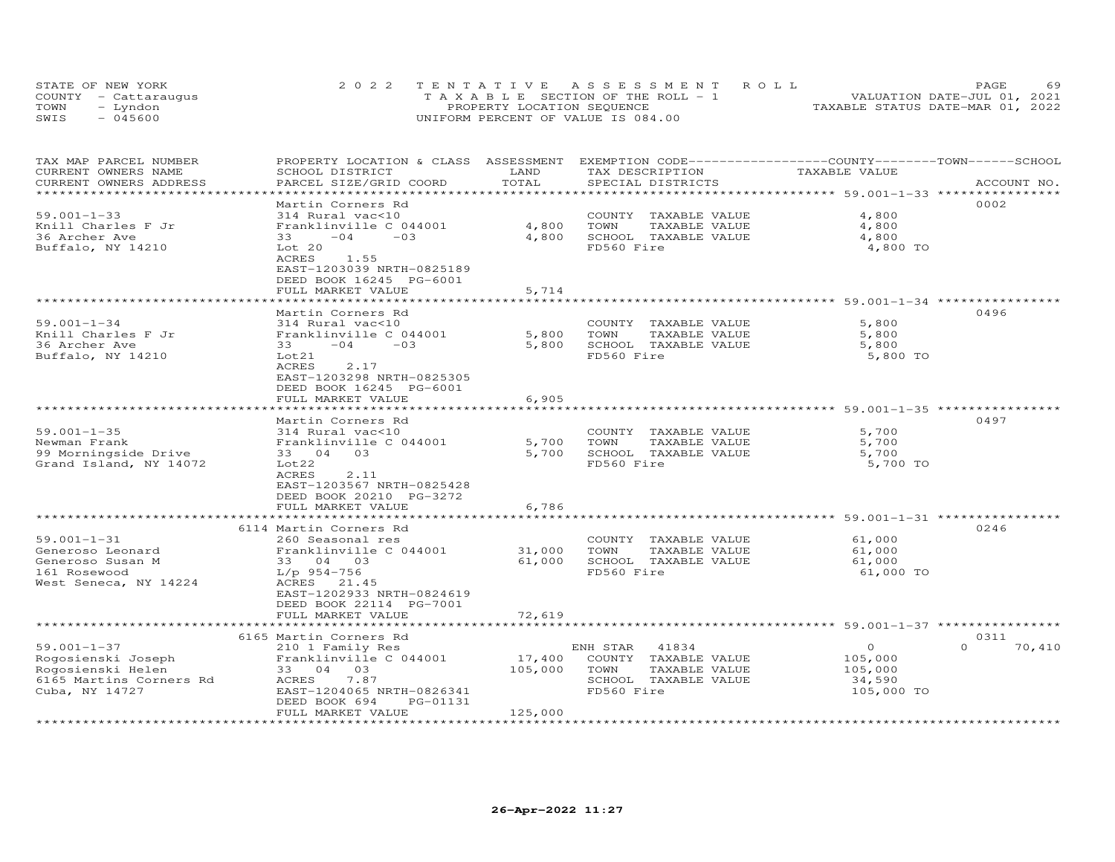| STATE OF NEW YORK    | 2022 TENTATIVE ASSESSMENT ROLL                                 | PAGE.                       | 69 |
|----------------------|----------------------------------------------------------------|-----------------------------|----|
| COUNTY - Cattaraugus | $T A X A B I E S E C T I ON OF THE RO I. - 1$                  | VALUATION DATE-JUL 01, 2021 |    |
| TOWN<br>- Lyndon     | TAXABLE STATUS DATE-MAR 01, 2022<br>PROPERTY LOCATION SEQUENCE |                             |    |
| $-045600$<br>SWIS    | UNIFORM PERCENT OF VALUE IS 084.00                             |                             |    |

| TAX MAP PARCEL NUMBER<br>CURRENT OWNERS NAME    | PROPERTY LOCATION & CLASS ASSESSMENT<br>SCHOOL DISTRICT | LAND<br>TOTAL         | EXEMPTION CODE-----------------COUNTY-------TOWN------SCHOOL<br>TAX DESCRIPTION | TAXABLE VALUE                                      |                    |
|-------------------------------------------------|---------------------------------------------------------|-----------------------|---------------------------------------------------------------------------------|----------------------------------------------------|--------------------|
| CURRENT OWNERS ADDRESS<br>********************* | PARCEL SIZE/GRID COORD                                  | ********************* | SPECIAL DISTRICTS                                                               | ******************** 59.001-1-33 ***************** | ACCOUNT NO.        |
|                                                 | Martin Corners Rd                                       |                       |                                                                                 |                                                    | 0002               |
| $59.001 - 1 - 33$                               | 314 Rural vac<10                                        |                       | COUNTY<br>TAXABLE VALUE                                                         | 4,800                                              |                    |
| Knill Charles F Jr                              | Franklinville C 044001                                  | 4,800                 | TOWN<br>TAXABLE VALUE                                                           | 4,800                                              |                    |
| 36 Archer Ave                                   | $-04$<br>$-03$<br>33                                    | 4,800                 | SCHOOL TAXABLE VALUE                                                            | 4,800                                              |                    |
| Buffalo, NY 14210                               | Lot 20                                                  |                       | FD560 Fire                                                                      | 4,800 TO                                           |                    |
|                                                 | ACRES<br>1.55                                           |                       |                                                                                 |                                                    |                    |
|                                                 | EAST-1203039 NRTH-0825189                               |                       |                                                                                 |                                                    |                    |
|                                                 | DEED BOOK 16245 PG-6001                                 |                       |                                                                                 |                                                    |                    |
|                                                 | FULL MARKET VALUE                                       | 5,714                 |                                                                                 |                                                    |                    |
|                                                 | *************                                           |                       |                                                                                 | ************ 59.001-1-34 *********                 |                    |
|                                                 | Martin Corners Rd                                       |                       |                                                                                 |                                                    | 0496               |
| $59.001 - 1 - 34$                               | 314 Rural vac<10                                        |                       | COUNTY TAXABLE VALUE                                                            | 5,800                                              |                    |
| Knill Charles F Jr                              | Franklinville C 044001                                  | 5,800                 | TOWN<br>TAXABLE VALUE                                                           | 5,800                                              |                    |
| 36 Archer Ave                                   | $-04$<br>$-0.3$<br>33                                   | 5,800                 | SCHOOL TAXABLE VALUE                                                            | 5,800                                              |                    |
| Buffalo, NY 14210                               | Lot21                                                   |                       | FD560 Fire                                                                      | 5,800 TO                                           |                    |
|                                                 | <b>ACRES</b><br>2.17                                    |                       |                                                                                 |                                                    |                    |
|                                                 | EAST-1203298 NRTH-0825305                               |                       |                                                                                 |                                                    |                    |
|                                                 | DEED BOOK 16245 PG-6001                                 |                       |                                                                                 |                                                    |                    |
|                                                 | FULL MARKET VALUE                                       | 6,905                 |                                                                                 |                                                    |                    |
|                                                 |                                                         |                       | ******************************** 59.001-1-35 *************                      |                                                    |                    |
|                                                 | Martin Corners Rd                                       |                       |                                                                                 |                                                    | 0497               |
| $59.001 - 1 - 35$                               | 314 Rural vac<10                                        |                       | COUNTY TAXABLE VALUE                                                            | 5,700                                              |                    |
| Newman Frank                                    | Franklinville C 044001                                  | 5,700                 | TOWN<br>TAXABLE VALUE                                                           | 5,700                                              |                    |
| 99 Morningside Drive                            | 33 04<br>03                                             | 5,700                 | SCHOOL TAXABLE VALUE                                                            | 5,700                                              |                    |
| Grand Island, NY 14072                          | Lot22                                                   |                       | FD560 Fire                                                                      | 5,700 TO                                           |                    |
|                                                 | <b>ACRES</b><br>2.11                                    |                       |                                                                                 |                                                    |                    |
|                                                 | EAST-1203567 NRTH-0825428                               |                       |                                                                                 |                                                    |                    |
|                                                 | DEED BOOK 20210 PG-3272<br>FULL MARKET VALUE            |                       |                                                                                 |                                                    |                    |
|                                                 |                                                         | 6,786                 |                                                                                 | **** 59.001-1-31 ****                              |                    |
|                                                 | 6114 Martin Corners Rd                                  |                       |                                                                                 |                                                    | 0246               |
| $59.001 - 1 - 31$                               | 260 Seasonal res                                        |                       | COUNTY TAXABLE VALUE                                                            | 61,000                                             |                    |
| Generoso Leonard                                | Franklinville C 044001                                  | 31,000                | TOWN<br>TAXABLE VALUE                                                           | 61,000                                             |                    |
| Generoso Susan M                                | 33 04 03                                                | 61,000                | SCHOOL TAXABLE VALUE                                                            | 61,000                                             |                    |
| 161 Rosewood                                    | $L/p$ 954-756                                           |                       | FD560 Fire                                                                      | 61,000 TO                                          |                    |
| West Seneca, NY 14224                           | ACRES 21.45                                             |                       |                                                                                 |                                                    |                    |
|                                                 | EAST-1202933 NRTH-0824619                               |                       |                                                                                 |                                                    |                    |
|                                                 | DEED BOOK 22114 PG-7001                                 |                       |                                                                                 |                                                    |                    |
|                                                 | FULL MARKET VALUE                                       | 72,619                |                                                                                 |                                                    |                    |
|                                                 | ******************                                      |                       |                                                                                 |                                                    |                    |
|                                                 | 6165 Martin Corners Rd                                  |                       |                                                                                 |                                                    | 0.311              |
| $59.001 - 1 - 37$                               | 210 1 Family Res                                        |                       | ENH STAR<br>41834                                                               | $\circ$                                            | $\Omega$<br>70,410 |
| Rogosienski Joseph                              | Franklinville C 044001                                  | 17,400                | COUNTY TAXABLE VALUE                                                            | 105,000                                            |                    |
| Rogosienski Helen                               | 33 04 03                                                | 105,000               | TOWN<br>TAXABLE VALUE                                                           | 105,000                                            |                    |
| 6165 Martins Corners Rd                         | 7.87<br>ACRES                                           |                       | SCHOOL TAXABLE VALUE                                                            | 34,590                                             |                    |
| Cuba, NY 14727                                  | EAST-1204065 NRTH-0826341                               |                       | FD560 Fire                                                                      | 105,000 TO                                         |                    |
|                                                 | DEED BOOK 694<br>PG-01131                               |                       |                                                                                 |                                                    |                    |
|                                                 | FULL MARKET VALUE                                       | 125,000               |                                                                                 |                                                    |                    |
| ************************                        | **************************                              | ******************    |                                                                                 |                                                    |                    |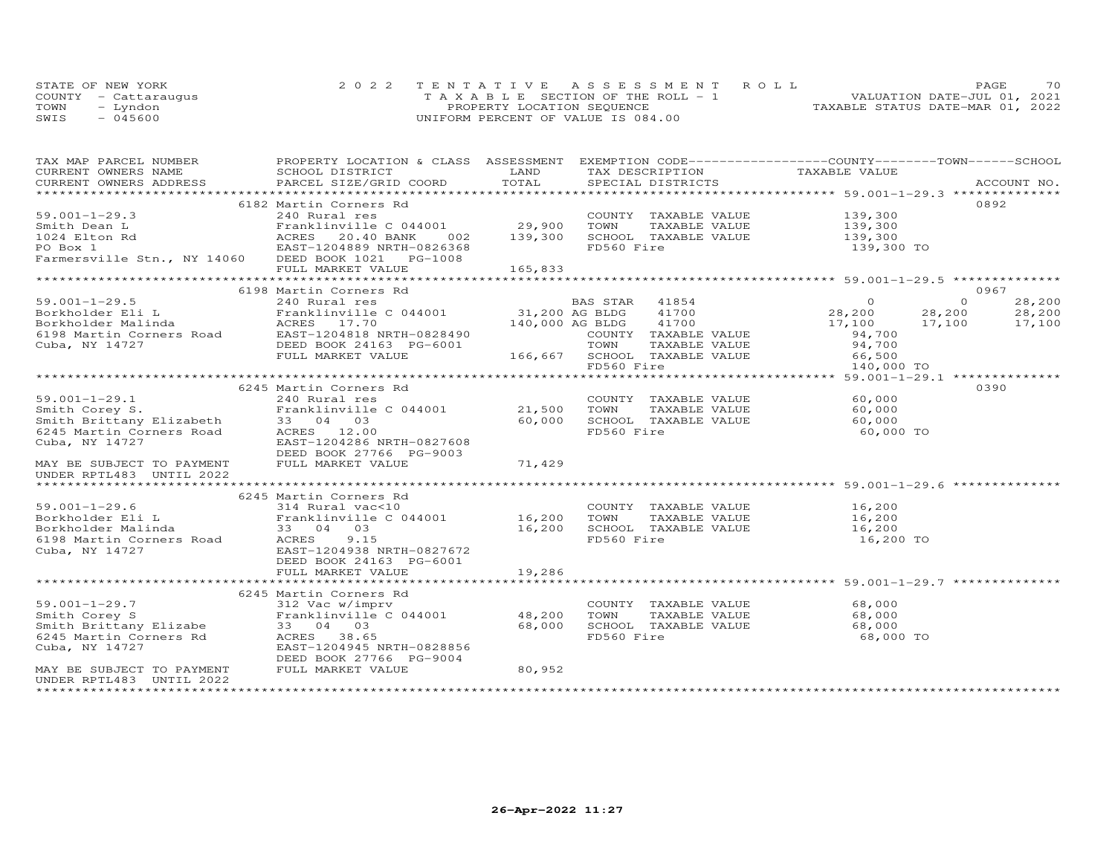|      | STATE OF NEW YORK    | 2022 TENTATIVE ASSESSMENT ROLL        | 70<br><b>PAGE</b>                |
|------|----------------------|---------------------------------------|----------------------------------|
|      | COUNTY - Cattaraugus | T A X A B L E SECTION OF THE ROLL - 1 | VALUATION DATE-JUL 01, 2021      |
| TOWN | Lyndon               | PROPERTY LOCATION SEQUENCE            | TAXABLE STATUS DATE-MAR 01, 2022 |
| SWIS | $-045600$            | UNIFORM PERCENT OF VALUE IS 084.00    |                                  |

| TAX MAP PARCEL NUMBER                                                                                                                                                  | PROPERTY LOCATION & CLASS ASSESSMENT EXEMPTION CODE----------------COUNTY-------TOWN-----SCHOOL                     |             |            |                                                     |                                                               |          |             |
|------------------------------------------------------------------------------------------------------------------------------------------------------------------------|---------------------------------------------------------------------------------------------------------------------|-------------|------------|-----------------------------------------------------|---------------------------------------------------------------|----------|-------------|
| CURRENT OWNERS NAME                                                                                                                                                    | SCHOOL DISTRICT                                                                                                     | LAND        |            | TAX DESCRIPTION                                     | TAXABLE VALUE                                                 |          |             |
| CURRENT OWNERS ADDRESS                                                                                                                                                 | PARCEL SIZE/GRID COORD                                                                                              | TOTAL       |            | SPECIAL DISTRICTS                                   |                                                               |          | ACCOUNT NO. |
|                                                                                                                                                                        |                                                                                                                     |             |            |                                                     |                                                               |          |             |
|                                                                                                                                                                        | 6182 Martin Corners Rd                                                                                              |             |            |                                                     |                                                               |          | 0892        |
|                                                                                                                                                                        |                                                                                                                     |             |            | COUNTY TAXABLE VALUE<br>TOWN TAXABLE VALUE          |                                                               |          |             |
|                                                                                                                                                                        | Franklinville C 044001 29,900 TOWN                                                                                  |             |            |                                                     | 139,300<br>139,300                                            |          |             |
|                                                                                                                                                                        |                                                                                                                     | 002 139,300 |            |                                                     |                                                               |          |             |
|                                                                                                                                                                        |                                                                                                                     |             |            |                                                     | SCHOOL TAXABLE VALUE 139,300<br>FD560 Fire 139,300 TO         |          |             |
|                                                                                                                                                                        |                                                                                                                     |             |            |                                                     |                                                               |          |             |
|                                                                                                                                                                        | FULL MARKET VALUE                                                                                                   | 165,833     |            |                                                     |                                                               |          |             |
|                                                                                                                                                                        |                                                                                                                     |             |            |                                                     |                                                               |          |             |
|                                                                                                                                                                        | 6198 Martin Corners Rd                                                                                              |             |            |                                                     |                                                               |          | 0967        |
|                                                                                                                                                                        |                                                                                                                     |             |            |                                                     |                                                               | $\Omega$ | 28,200      |
|                                                                                                                                                                        |                                                                                                                     |             |            |                                                     | 28,200 28,200 28,200<br>17,100 17,100 17,100<br>94.700 17,100 |          |             |
|                                                                                                                                                                        |                                                                                                                     |             |            |                                                     |                                                               |          |             |
|                                                                                                                                                                        |                                                                                                                     |             |            |                                                     | 94,700                                                        |          |             |
|                                                                                                                                                                        |                                                                                                                     |             |            |                                                     |                                                               |          |             |
|                                                                                                                                                                        |                                                                                                                     |             |            |                                                     |                                                               |          |             |
|                                                                                                                                                                        |                                                                                                                     |             |            |                                                     | 140,000 TO                                                    |          |             |
|                                                                                                                                                                        |                                                                                                                     |             |            |                                                     |                                                               |          |             |
|                                                                                                                                                                        | 6245 Martin Corners Rd                                                                                              |             |            |                                                     |                                                               |          | 0390        |
| $59.001 - 1 - 29.1$                                                                                                                                                    | 240 Rural res                                                                                                       |             |            | COUNTY TAXABLE VALUE                                | 60,000                                                        |          |             |
| 59.001-1-29.1 240 Rural res<br>Smith Corey S. Franklinville C 044001 21,500<br>Smith Brittany Elizabeth 33 04 03 60,000<br>6245 Martin Corners Road ACRES 12.00 60,000 |                                                                                                                     |             |            |                                                     |                                                               |          |             |
|                                                                                                                                                                        |                                                                                                                     |             | TOWN       |                                                     | TAXABLE VALUE 60,000                                          |          |             |
|                                                                                                                                                                        |                                                                                                                     |             |            | SCHOOL TAXABLE VALUE<br>FD560 Fire                  | 60,000                                                        |          |             |
|                                                                                                                                                                        |                                                                                                                     |             |            |                                                     | 60,000 TO                                                     |          |             |
| Cuba, NY 14727                                                                                                                                                         | EAST-1204286 NRTH-0827608                                                                                           |             |            |                                                     |                                                               |          |             |
|                                                                                                                                                                        | DEED BOOK 27766 PG-9003                                                                                             |             |            |                                                     |                                                               |          |             |
| MAY BE SUBJECT TO PAYMENT                                                                                                                                              | FULL MARKET VALUE                                                                                                   | 71,429      |            |                                                     |                                                               |          |             |
| UNDER RPTL483 UNTIL 2022                                                                                                                                               |                                                                                                                     |             |            |                                                     |                                                               |          |             |
|                                                                                                                                                                        |                                                                                                                     |             |            |                                                     |                                                               |          |             |
|                                                                                                                                                                        | 6245 Martin Corners Rd                                                                                              |             |            |                                                     |                                                               |          |             |
| $59.001 - 1 - 29.6$                                                                                                                                                    | 314 Rural vac<10                                                                                                    |             |            | COUNTY TAXABLE VALUE                                | 16,200                                                        |          |             |
|                                                                                                                                                                        | Franklinville C 044001 16,200 TOWN TAXABLE VALUE 16,200<br>33 04 03<br>16,200 SCHOOL TAXABLE VALUE 16,200<br>16.200 |             |            |                                                     |                                                               |          |             |
|                                                                                                                                                                        |                                                                                                                     |             |            |                                                     |                                                               |          |             |
|                                                                                                                                                                        |                                                                                                                     |             | FD560 Fire |                                                     | 16,200 TO                                                     |          |             |
|                                                                                                                                                                        | EAST-1204938 NRTH-0827672                                                                                           |             |            |                                                     |                                                               |          |             |
| 9.001-1-29.6<br>Borkholder Eli L<br>Fanklinville<br>6198 Martin Corners Road<br>Cuba, NY 14727<br>Cuba, NY 14727<br>EAST-1204938 N<br>DEED BOOK 2416                   | DEED BOOK 24163 PG-6001                                                                                             |             |            |                                                     |                                                               |          |             |
|                                                                                                                                                                        | FULL MARKET VALUE                                                                                                   | 19,286      |            |                                                     |                                                               |          |             |
|                                                                                                                                                                        |                                                                                                                     |             |            |                                                     |                                                               |          |             |
|                                                                                                                                                                        | 6245 Martin Corners Rd                                                                                              |             |            |                                                     |                                                               |          |             |
|                                                                                                                                                                        | 312 Vac w/imprv                                                                                                     |             |            |                                                     | COUNTY TAXABLE VALUE 68,000                                   |          |             |
|                                                                                                                                                                        | Franklinville C 044001 48,200                                                                                       |             |            | TOWN      TAXABLE  VALUE<br>SCHOOL   TAXABLE  VALUE | 68,000                                                        |          |             |
|                                                                                                                                                                        |                                                                                                                     | 68,000      |            |                                                     | 68,000                                                        |          |             |
| 59.001-1-29.7<br>Smith Corey S<br>Smith Brittany Elizabe<br>6245 Martin Corners Rd<br>ACRES 38.65<br>Martin Corners Rd<br>RAST-1204945 N                               |                                                                                                                     |             | FD560 Fire |                                                     | 68,000 TO                                                     |          |             |
| Cuba, NY 14727                                                                                                                                                         | EAST-1204945 NRTH-0828856                                                                                           |             |            |                                                     |                                                               |          |             |
|                                                                                                                                                                        | DEED BOOK 27766 PG-9004                                                                                             |             |            |                                                     |                                                               |          |             |
| MAY BE SUBJECT TO PAYMENT                                                                                                                                              | FULL MARKET VALUE                                                                                                   | 80,952      |            |                                                     |                                                               |          |             |
| UNDER RPTL483 UNTIL 2022                                                                                                                                               |                                                                                                                     |             |            |                                                     |                                                               |          |             |
|                                                                                                                                                                        |                                                                                                                     |             |            |                                                     |                                                               |          |             |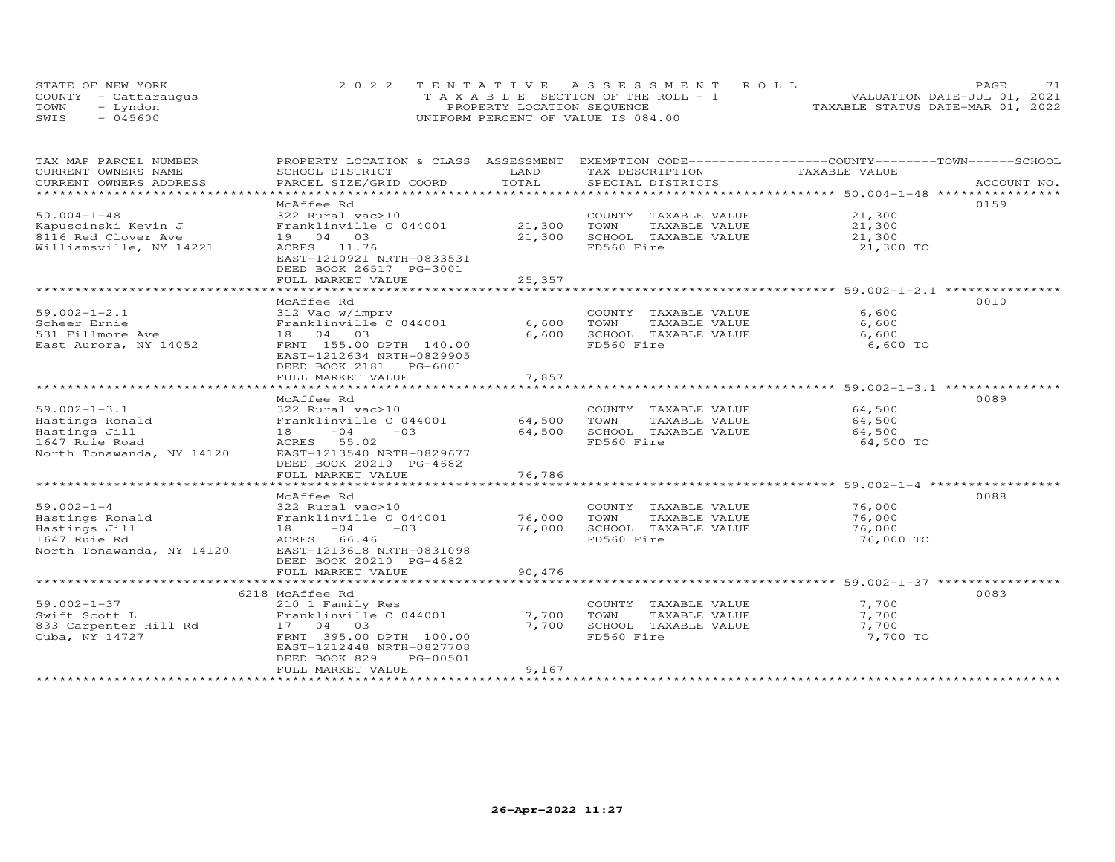| STATE OF NEW YORK |                      | 2022 TENTATIVE ASSESSMENT ROLL        | 71<br>PAGE.                      |
|-------------------|----------------------|---------------------------------------|----------------------------------|
|                   | COUNTY - Cattaraugus | T A X A B L E SECTION OF THE ROLL - 1 | VALUATION DATE-JUL 01, 2021      |
| TOWN              | - Lyndon             | PROPERTY LOCATION SEQUENCE            | TAXABLE STATUS DATE-MAR 01, 2022 |
| SWIS              | - 045600             | UNIFORM PERCENT OF VALUE IS 084.00    |                                  |

| TAX MAP PARCEL NUMBER     | PROPERTY LOCATION & CLASS ASSESSMENT EXEMPTION CODE----------------COUNTY-------TOWN------SCHOOL |             |                       |                                                  |             |
|---------------------------|--------------------------------------------------------------------------------------------------|-------------|-----------------------|--------------------------------------------------|-------------|
| CURRENT OWNERS NAME       | SCHOOL DISTRICT                                                                                  | LAND        | TAX DESCRIPTION       | TAXABLE VALUE                                    |             |
| CURRENT OWNERS ADDRESS    | PARCEL SIZE/GRID COORD                                                                           | TOTAL       | SPECIAL DISTRICTS     |                                                  | ACCOUNT NO. |
| **********************    |                                                                                                  |             |                       |                                                  |             |
|                           | McAffee Rd                                                                                       |             |                       |                                                  | 0159        |
| $50.004 - 1 - 48$         | 322 Rural vac>10                                                                                 |             | COUNTY TAXABLE VALUE  | 21,300                                           |             |
| Kapuscinski Kevin J       | Franklinville C 044001                                                                           | 21,300      | TOWN<br>TAXABLE VALUE | 21,300                                           |             |
| 8116 Red Clover Ave       | 19 04 03                                                                                         | 21,300      | SCHOOL TAXABLE VALUE  | 21,300                                           |             |
| Williamsville, NY 14221   | ACRES 11.76                                                                                      |             | FD560 Fire            | 21,300 TO                                        |             |
|                           | EAST-1210921 NRTH-0833531                                                                        |             |                       |                                                  |             |
|                           | DEED BOOK 26517 PG-3001                                                                          |             |                       |                                                  |             |
|                           | FULL MARKET VALUE                                                                                | 25,357      |                       |                                                  |             |
|                           |                                                                                                  | *********** |                       | ************************ 59.002-1-2.1 ********** |             |
|                           | McAffee Rd                                                                                       |             |                       |                                                  | 0010        |
| $59.002 - 1 - 2.1$        | 312 Vac w/imprv                                                                                  |             | COUNTY TAXABLE VALUE  | 6,600                                            |             |
| Scheer Ernie              | Franklinville C 044001                                                                           | 6,600       | TOWN<br>TAXABLE VALUE | 6,600                                            |             |
| 531 Fillmore Ave          | 18  04  03                                                                                       | 6,600       | SCHOOL TAXABLE VALUE  | 6,600                                            |             |
| East Aurora, NY 14052     | FRNT 155.00 DPTH 140.00                                                                          |             | FD560 Fire            | 6,600 TO                                         |             |
|                           | EAST-1212634 NRTH-0829905                                                                        |             |                       |                                                  |             |
|                           | DEED BOOK 2181    PG-6001                                                                        |             |                       |                                                  |             |
|                           | FULL MARKET VALUE                                                                                | 7,857       |                       |                                                  |             |
|                           | ***********************                                                                          | *********** |                       | ************************ 59.002-1-3.1 ********** |             |
|                           | McAffee Rd                                                                                       |             |                       |                                                  | 0089        |
| $59.002 - 1 - 3.1$        | 322 Rural vac>10                                                                                 |             | COUNTY TAXABLE VALUE  | 64,500                                           |             |
| Hastings Ronald           | Franklinville C 044001                                                                           | 64,500      | TOWN<br>TAXABLE VALUE | 64,500                                           |             |
| Hastings Jill             | $-04$<br>$-03$<br>18                                                                             | 64,500      | SCHOOL TAXABLE VALUE  | 64,500                                           |             |
| 1647 Ruie Road            | ACRES 55.02                                                                                      |             | FD560 Fire            | 64,500 TO                                        |             |
| North Tonawanda, NY 14120 | EAST-1213540 NRTH-0829677                                                                        |             |                       |                                                  |             |
|                           | DEED BOOK 20210 PG-4682                                                                          |             |                       |                                                  |             |
|                           | FULL MARKET VALUE                                                                                | 76,786      |                       |                                                  |             |
|                           |                                                                                                  |             |                       |                                                  |             |
|                           | McAffee Rd                                                                                       |             |                       |                                                  | 0088        |
| $59.002 - 1 - 4$          | 322 Rural vac>10                                                                                 |             | COUNTY TAXABLE VALUE  | 76,000                                           |             |
| Hastings Ronald           | Franklinville C 044001                                                                           | 76,000      | TOWN<br>TAXABLE VALUE | 76,000                                           |             |
| Hastings Jill             | $18 -04$<br>$-03$                                                                                | 76,000      | SCHOOL TAXABLE VALUE  | 76,000                                           |             |
| 1647 Ruie Rd              | ACRES 66.46                                                                                      |             | FD560 Fire            | 76,000 TO                                        |             |
| North Tonawanda, NY 14120 | EAST-1213618 NRTH-0831098                                                                        |             |                       |                                                  |             |
|                           | DEED BOOK 20210 PG-4682                                                                          |             |                       |                                                  |             |
|                           | FULL MARKET VALUE                                                                                | 90,476      |                       |                                                  |             |
|                           |                                                                                                  |             |                       |                                                  |             |
|                           | 6218 McAffee Rd                                                                                  |             |                       |                                                  | 0083        |
| $59.002 - 1 - 37$         | 210 1 Family Res                                                                                 |             | COUNTY TAXABLE VALUE  | 7,700                                            |             |
| Swift Scott L             | Franklinville C 044001                                                                           | 7,700       | TOWN<br>TAXABLE VALUE | 7,700                                            |             |
| 833 Carpenter Hill Rd     | 17 04 03                                                                                         | 7,700       | SCHOOL TAXABLE VALUE  | 7,700                                            |             |
| Cuba, NY 14727            | FRNT 395.00 DPTH 100.00                                                                          |             | FD560 Fire            | 7,700 TO                                         |             |
|                           | EAST-1212448 NRTH-0827708                                                                        |             |                       |                                                  |             |
|                           | DEED BOOK 829<br>PG-00501                                                                        |             |                       |                                                  |             |
|                           | FULL MARKET VALUE                                                                                | 9,167       |                       |                                                  |             |
|                           |                                                                                                  |             |                       |                                                  |             |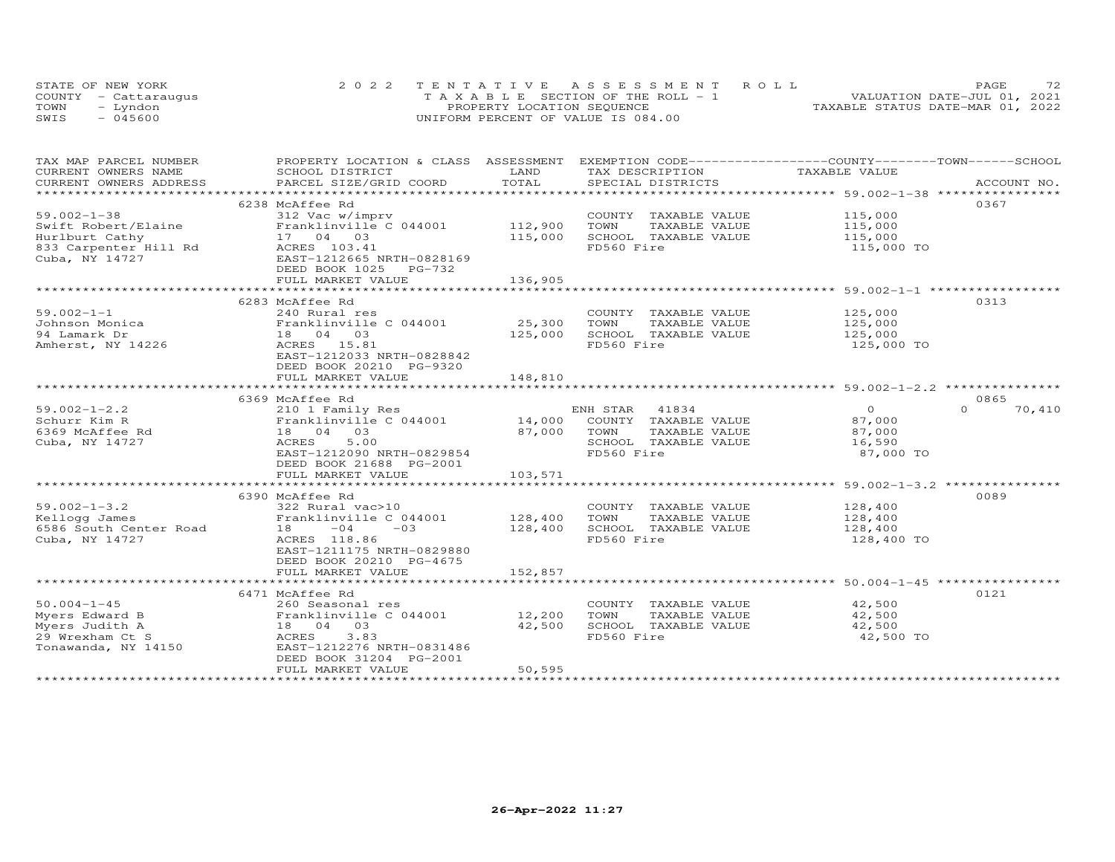| STATE OF NEW YORK    | 2022 TENTATIVE ASSESSMENT ROLL        | 72<br>PAGE.                      |
|----------------------|---------------------------------------|----------------------------------|
| COUNTY - Cattaraugus | T A X A B L E SECTION OF THE ROLL - 1 | VALUATION DATE-JUL 01, 2021      |
| TOWN<br>- Lyndon     | PROPERTY LOCATION SEQUENCE            | TAXABLE STATUS DATE-MAR 01, 2022 |
| $-045600$<br>SWIS    | UNIFORM PERCENT OF VALUE IS 084.00    |                                  |

| TAX MAP PARCEL NUMBER              | PROPERTY LOCATION & CLASS ASSESSMENT EXEMPTION CODE-----------------COUNTY-------TOWN------SCHOOL                                                                                                                              |         |                                              |                |                    |
|------------------------------------|--------------------------------------------------------------------------------------------------------------------------------------------------------------------------------------------------------------------------------|---------|----------------------------------------------|----------------|--------------------|
| CURRENT OWNERS NAME                | SCHOOL DISTRICT                                                                                                                                                                                                                | LAND    | TAX DESCRIPTION                              | TAXABLE VALUE  |                    |
|                                    | .CURRENT OWNERS ADDRESS PARCEL SIZE/GRID COORD TOTAL SPECIAL DISTRICTS ACCOUNT NO ACCOUNT NO ACCOUNT NO ARE A LATA AND MALL SERVERS ASSESS THAT A LATA AND MALL SERVERS AND RESOUNT NO A LATA AND HARPY AND HARPY AND RESOUN T |         |                                              |                | ACCOUNT NO.        |
|                                    |                                                                                                                                                                                                                                |         |                                              |                |                    |
|                                    | 6238 McAffee Rd                                                                                                                                                                                                                |         |                                              |                | 0367               |
| $59.002 - 1 - 38$                  | 312 Vac w/imprv                                                                                                                                                                                                                |         | COUNTY TAXABLE VALUE                         | 115,000        |                    |
| Swift Robert/Elaine                | Franklinville C 044001                                                                                                                                                                                                         | 112,900 | TOWN<br>TAXABLE VALUE                        | 115,000        |                    |
| Hurlburt Cathy                     | 17 04 03                                                                                                                                                                                                                       | 115,000 | SCHOOL TAXABLE VALUE                         | 115,000        |                    |
| 833 Carpenter Hill Rd ACRES 103.41 |                                                                                                                                                                                                                                |         | FD560 Fire                                   | 115,000 TO     |                    |
| Cuba, NY 14727                     | EAST-1212665 NRTH-0828169                                                                                                                                                                                                      |         |                                              |                |                    |
|                                    | DEED BOOK 1025 PG-732                                                                                                                                                                                                          |         |                                              |                |                    |
|                                    | FULL MARKET VALUE                                                                                                                                                                                                              | 136,905 |                                              |                |                    |
|                                    |                                                                                                                                                                                                                                |         |                                              |                |                    |
|                                    | 6283 McAffee Rd                                                                                                                                                                                                                |         |                                              |                | 0313               |
| $59.002 - 1 - 1$                   | 240 Rural res                                                                                                                                                                                                                  |         | COUNTY TAXABLE VALUE                         | 125,000        |                    |
| Johnson Monica                     | Franklinville C 044001                                                                                                                                                                                                         | 25,300  | TOWN<br>TAXABLE VALUE                        | 125,000        |                    |
| 94 Lamark Dr                       | 18  04  03                                                                                                                                                                                                                     | 125,000 | SCHOOL TAXABLE VALUE                         | 125,000        |                    |
| Amherst, NY 14226                  | ACRES 15.81                                                                                                                                                                                                                    |         | FD560 Fire                                   | 125,000 TO     |                    |
|                                    | EAST-1212033 NRTH-0828842                                                                                                                                                                                                      |         |                                              |                |                    |
|                                    | DEED BOOK 20210 PG-9320                                                                                                                                                                                                        |         |                                              |                |                    |
|                                    | FULL MARKET VALUE                                                                                                                                                                                                              | 148,810 |                                              |                |                    |
|                                    |                                                                                                                                                                                                                                |         |                                              |                |                    |
|                                    | 6369 McAffee Rd                                                                                                                                                                                                                |         |                                              |                | 0865               |
| $59.002 - 1 - 2.2$                 | 210 1 Family Res                                                                                                                                                                                                               |         | ENH STAR<br>41834                            | $\overline{O}$ | $\Omega$<br>70,410 |
| Schurr Kim R                       | Franklinville C 044001                                                                                                                                                                                                         |         | ENH SIAN SIAN<br>14,000 COUNTY TAXABLE VALUE | 87,000         |                    |
| 6369 McAffee Rd                    | 18  04  03                                                                                                                                                                                                                     | 87,000  | TOWN<br>TAXABLE VALUE                        | 87,000         |                    |
| Cuba, NY 14727                     | 5.00<br>ACRES                                                                                                                                                                                                                  |         | SCHOOL TAXABLE VALUE                         | 16,590         |                    |
|                                    | EAST-1212090 NRTH-0829854                                                                                                                                                                                                      |         | FD560 Fire                                   | 87,000 TO      |                    |
|                                    | DEED BOOK 21688 PG-2001                                                                                                                                                                                                        |         |                                              |                |                    |
|                                    | FULL MARKET VALUE                                                                                                                                                                                                              | 103,571 |                                              |                |                    |
|                                    |                                                                                                                                                                                                                                |         |                                              |                |                    |
|                                    | 6390 McAffee Rd                                                                                                                                                                                                                |         |                                              |                | 0089               |
| $59.002 - 1 - 3.2$                 |                                                                                                                                                                                                                                |         |                                              | 128,400        |                    |
|                                    | 322 Rural vac>10                                                                                                                                                                                                               |         | COUNTY TAXABLE VALUE                         |                |                    |
| Kellogg James                      | Franklinville C 044001                                                                                                                                                                                                         | 128,400 | TOWN<br>TAXABLE VALUE                        | 128,400        |                    |
| 6586 South Center Road             | $-03$<br>$18 - 04$                                                                                                                                                                                                             | 128,400 | SCHOOL TAXABLE VALUE                         | 128,400        |                    |
| Cuba, NY 14727                     | ACRES 118.86                                                                                                                                                                                                                   |         | FD560 Fire                                   | 128,400 TO     |                    |
|                                    | EAST-1211175 NRTH-0829880                                                                                                                                                                                                      |         |                                              |                |                    |
|                                    | DEED BOOK 20210 PG-4675                                                                                                                                                                                                        |         |                                              |                |                    |
|                                    | FULL MARKET VALUE                                                                                                                                                                                                              | 152,857 |                                              |                |                    |
|                                    |                                                                                                                                                                                                                                |         |                                              |                |                    |
|                                    | 6471 McAffee Rd                                                                                                                                                                                                                |         |                                              |                | 0121               |
| $50.004 - 1 - 45$                  | 260 Seasonal res                                                                                                                                                                                                               |         | COUNTY TAXABLE VALUE                         | 42,500         |                    |
| Myers Edward B                     | Franklinville C 044001 12,200                                                                                                                                                                                                  |         | TAXABLE VALUE<br>TOWN                        | 42,500         |                    |
| Myers Judith A                     | 18  04  03                                                                                                                                                                                                                     | 42,500  | SCHOOL TAXABLE VALUE                         | 42,500         |                    |
| 29 Wrexham Ct S                    | ACRES<br>3.83                                                                                                                                                                                                                  |         | FD560 Fire                                   | 42,500 TO      |                    |
| Tonawanda, NY 14150                | EAST-1212276 NRTH-0831486                                                                                                                                                                                                      |         |                                              |                |                    |
|                                    | DEED BOOK 31204 PG-2001                                                                                                                                                                                                        |         |                                              |                |                    |
|                                    | FULL MARKET VALUE                                                                                                                                                                                                              | 50,595  |                                              |                |                    |
|                                    |                                                                                                                                                                                                                                |         |                                              |                |                    |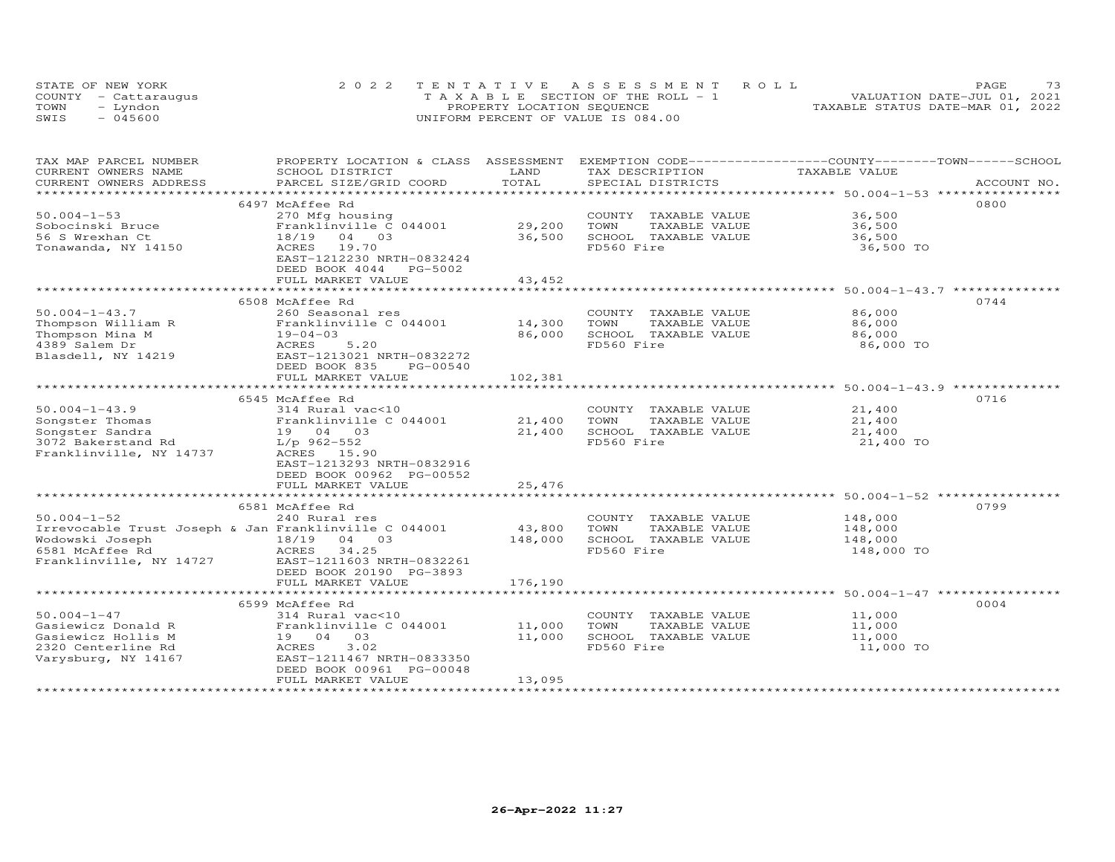|      | STATE OF NEW YORK    | 2022 TENTATIVE ASSESSMENT ROLL        | 73<br>PAGE                       |
|------|----------------------|---------------------------------------|----------------------------------|
|      | COUNTY - Cattaraugus | T A X A B L E SECTION OF THE ROLL - 1 | VALUATION DATE-JUL 01, 2021      |
| TOWN | - Lyndon             | PROPERTY LOCATION SEQUENCE            | TAXABLE STATUS DATE-MAR 01, 2022 |
| SWIS | $-045600$            | UNIFORM PERCENT OF VALUE IS 084.00    |                                  |

| TAX MAP PARCEL NUMBER   |                                                       |                       |                       | PROPERTY LOCATION & CLASS ASSESSMENT EXEMPTION CODE----------------COUNTY-------TOWN-----SCHOOL |  |
|-------------------------|-------------------------------------------------------|-----------------------|-----------------------|-------------------------------------------------------------------------------------------------|--|
| CURRENT OWNERS NAME     | SCHOOL DISTRICT                                       | LAND                  | TAX DESCRIPTION       | TAXABLE VALUE                                                                                   |  |
| CURRENT OWNERS ADDRESS  | PARCEL SIZE/GRID COORD                                | TOTAL                 | SPECIAL DISTRICTS     | ACCOUNT NO.                                                                                     |  |
| *******************     |                                                       |                       |                       |                                                                                                 |  |
|                         | 6497 McAffee Rd                                       |                       |                       | 0800                                                                                            |  |
| $50.004 - 1 - 53$       | 270 Mfg housing                                       |                       | COUNTY TAXABLE VALUE  | 36,500                                                                                          |  |
| Sobocinski Bruce        | Franklinville C 044001                                | 29,200                | TOWN<br>TAXABLE VALUE | 36,500                                                                                          |  |
| 56 S Wrexhan Ct         | 18/19 04 03                                           | 36,500                | SCHOOL TAXABLE VALUE  | 36,500                                                                                          |  |
| Tonawanda, NY 14150     | ACRES 19.70                                           |                       | FD560 Fire            | 36,500 TO                                                                                       |  |
|                         | EAST-1212230 NRTH-0832424                             |                       |                       |                                                                                                 |  |
|                         | DEED BOOK 4044 PG-5002                                |                       |                       |                                                                                                 |  |
|                         | FULL MARKET VALUE                                     | 43,452                |                       |                                                                                                 |  |
|                         |                                                       | ********************* |                       | ************************************50.004-1-43.7 **************                                |  |
|                         | 6508 McAffee Rd                                       |                       |                       | 0744                                                                                            |  |
| $50.004 - 1 - 43.7$     | 260 Seasonal res                                      |                       | COUNTY TAXABLE VALUE  | 86,000                                                                                          |  |
| Thompson William R      | Franklinville C 044001                                | 14,300                | TOWN<br>TAXABLE VALUE | 86,000                                                                                          |  |
| Thompson Mina M         | $19 - 04 - 03$                                        | 86,000                | SCHOOL TAXABLE VALUE  | 86,000                                                                                          |  |
| 4389 Salem Dr           | 5.20<br>ACRES                                         |                       | FD560 Fire            | 86,000 TO                                                                                       |  |
| Blasdell, NY 14219      | EAST-1213021 NRTH-0832272                             |                       |                       |                                                                                                 |  |
|                         | DEED BOOK 835<br>PG-00540                             |                       |                       |                                                                                                 |  |
|                         | FULL MARKET VALUE                                     | 102,381               |                       |                                                                                                 |  |
|                         |                                                       |                       |                       |                                                                                                 |  |
|                         | 6545 McAffee Rd                                       |                       |                       | 0716                                                                                            |  |
| $50.004 - 1 - 43.9$     | 314 Rural vac<10                                      |                       | COUNTY TAXABLE VALUE  | 21,400                                                                                          |  |
| Songster Thomas         | Franklinville C 044001                                | 21,400                | TOWN<br>TAXABLE VALUE | 21,400                                                                                          |  |
| Songster Sandra         | 19  04  03                                            | 21,400                | SCHOOL TAXABLE VALUE  | 21,400                                                                                          |  |
| 3072 Bakerstand Rd      | L/p 962-552                                           |                       | FD560 Fire            | 21,400 TO                                                                                       |  |
| Franklinville, NY 14737 | ACRES 15.90                                           |                       |                       |                                                                                                 |  |
|                         | EAST-1213293 NRTH-0832916                             |                       |                       |                                                                                                 |  |
|                         | DEED BOOK 00962 PG-00552                              |                       |                       |                                                                                                 |  |
|                         | FULL MARKET VALUE                                     | 25,476                |                       |                                                                                                 |  |
|                         |                                                       |                       |                       |                                                                                                 |  |
|                         | 6581 McAffee Rd                                       |                       |                       | 0799                                                                                            |  |
| $50.004 - 1 - 52$       | 240 Rural res                                         |                       | COUNTY TAXABLE VALUE  | 148,000                                                                                         |  |
|                         | Irrevocable Trust Joseph & Jan Franklinville C 044001 | 43,800                | TOWN<br>TAXABLE VALUE | 148,000                                                                                         |  |
| Wodowski Joseph         | 18/19 04 03                                           | 148,000               | SCHOOL TAXABLE VALUE  | 148,000                                                                                         |  |
| 6581 McAffee Rd         | 34.25<br>ACRES                                        |                       | FD560 Fire            | 148,000 TO                                                                                      |  |
|                         | Franklinville, NY 14727 EAST-1211603 NRTH-0832261     |                       |                       |                                                                                                 |  |
|                         | DEED BOOK 20190 PG-3893                               |                       |                       |                                                                                                 |  |
|                         | FULL MARKET VALUE                                     | 176,190               |                       |                                                                                                 |  |
|                         |                                                       |                       |                       |                                                                                                 |  |
|                         | 6599 McAffee Rd                                       |                       |                       | 0004                                                                                            |  |
| $50.004 - 1 - 47$       | 314 Rural vac<10                                      |                       | COUNTY TAXABLE VALUE  | 11,000                                                                                          |  |
| Gasiewicz Donald R      | Franklinville C 044001                                | 11,000                | TAXABLE VALUE<br>TOWN | 11,000                                                                                          |  |
| Gasiewicz Hollis M      | 19 04 03                                              | 11,000                | SCHOOL TAXABLE VALUE  | 11,000                                                                                          |  |
| 2320 Centerline Rd      | ACRES<br>3.02                                         |                       | FD560 Fire            | 11,000 TO                                                                                       |  |
| Varysburg, NY 14167     | EAST-1211467 NRTH-0833350                             |                       |                       |                                                                                                 |  |
|                         | DEED BOOK 00961 PG-00048                              |                       |                       |                                                                                                 |  |
|                         | FULL MARKET VALUE                                     | 13,095                |                       |                                                                                                 |  |
|                         |                                                       |                       |                       |                                                                                                 |  |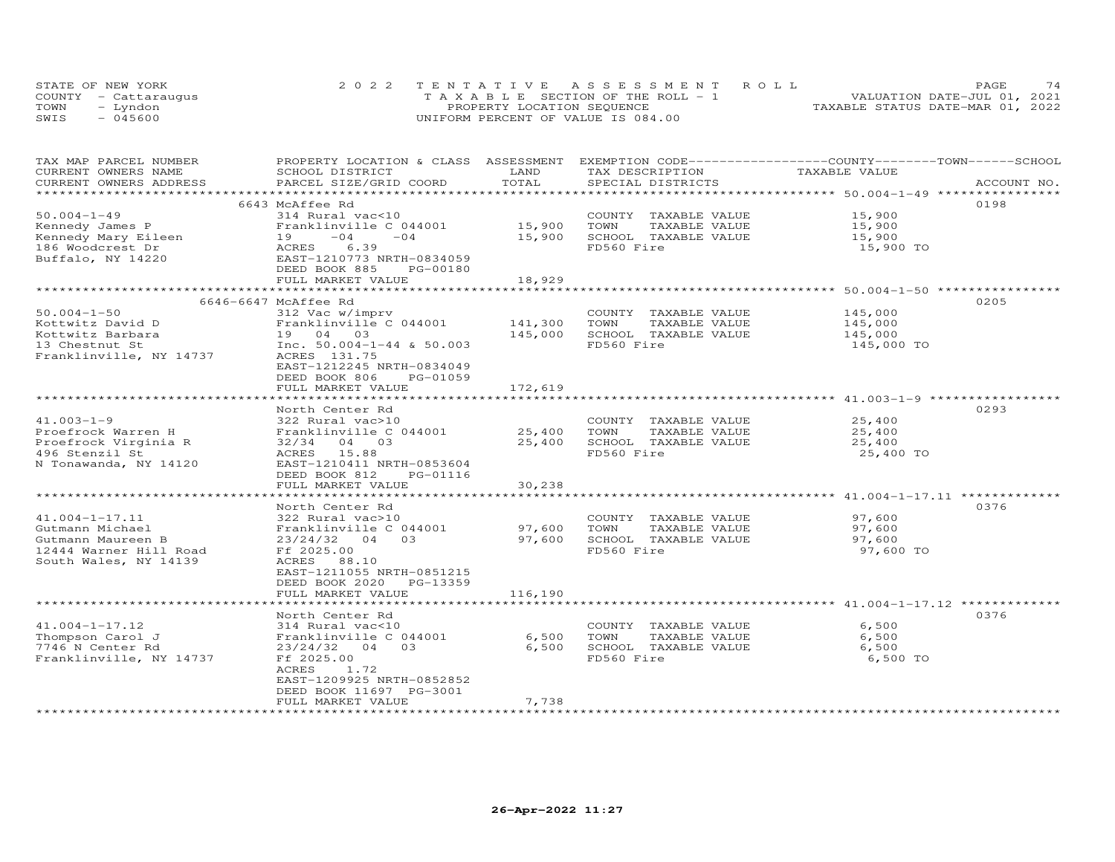| STATE OF NEW YORK    | 2022 TENTATIVE ASSESSMENT ROLL        | 74<br>PAGE.                      |
|----------------------|---------------------------------------|----------------------------------|
| COUNTY - Cattaraugus | T A X A B L E SECTION OF THE ROLL - 1 | VALUATION DATE-JUL 01, 2021      |
| TOWN<br>– Lyndon     | PROPERTY LOCATION SEQUENCE            | TAXABLE STATUS DATE-MAR 01, 2022 |
| SWIS<br>- 045600     | UNIFORM PERCENT OF VALUE IS 084.00    |                                  |

| TAX MAP PARCEL NUMBER<br>CURRENT OWNERS NAME | PROPERTY LOCATION & CLASS ASSESSMENT EXEMPTION CODE-----------------COUNTY-------TOWN------SCHOOL<br>SCHOOL DISTRICT | LAND    | TAX DESCRIPTION       | TAXABLE VALUE |             |
|----------------------------------------------|----------------------------------------------------------------------------------------------------------------------|---------|-----------------------|---------------|-------------|
| CURRENT OWNERS ADDRESS                       | PARCEL SIZE/GRID COORD                                                                                               | TOTAL   | SPECIAL DISTRICTS     |               | ACCOUNT NO. |
|                                              |                                                                                                                      |         |                       |               |             |
| $50.004 - 1 - 49$                            | 6643 McAffee Rd<br>314 Rural vac<10                                                                                  |         | COUNTY TAXABLE VALUE  | 15,900        | 0198        |
| Kennedy James P                              | Franklinville C 044001                                                                                               | 15,900  | TOWN<br>TAXABLE VALUE | 15,900        |             |
| Kennedy Mary Eileen                          | $-04$<br>$-04$<br>19                                                                                                 | 15,900  | SCHOOL TAXABLE VALUE  | 15,900        |             |
| 186 Woodcrest Dr                             | ACRES<br>6.39                                                                                                        |         | FD560 Fire            | 15,900 TO     |             |
| Buffalo, NY 14220                            | EAST-1210773 NRTH-0834059                                                                                            |         |                       |               |             |
|                                              | DEED BOOK 885<br>PG-00180                                                                                            |         |                       |               |             |
|                                              | FULL MARKET VALUE                                                                                                    | 18,929  |                       |               |             |
|                                              |                                                                                                                      |         |                       |               |             |
|                                              | 6646-6647 McAffee Rd                                                                                                 |         |                       |               | 0205        |
| $50.004 - 1 - 50$                            | 312 Vac w/imprv                                                                                                      |         | COUNTY TAXABLE VALUE  | 145,000       |             |
| Kottwitz David D                             | Franklinville C 044001                                                                                               | 141,300 | TOWN<br>TAXABLE VALUE | 145,000       |             |
| Kottwitz Barbara                             | 19 04 03                                                                                                             | 145,000 | SCHOOL TAXABLE VALUE  | 145,000       |             |
| 13 Chestnut St                               | Inc. $50.004-1-44$ & $50.003$                                                                                        |         | FD560 Fire            | 145,000 TO    |             |
| Franklinville, NY 14737                      | ACRES 131.75                                                                                                         |         |                       |               |             |
|                                              | EAST-1212245 NRTH-0834049                                                                                            |         |                       |               |             |
|                                              | DEED BOOK 806<br>PG-01059                                                                                            |         |                       |               |             |
|                                              | FULL MARKET VALUE                                                                                                    | 172,619 |                       |               |             |
|                                              | North Center Rd                                                                                                      |         |                       |               | 0293        |
| $41.003 - 1 - 9$                             | 322 Rural vac>10                                                                                                     |         | COUNTY TAXABLE VALUE  | 25,400        |             |
| Proefrock Warren H                           | Franklinville C 044001                                                                                               | 25,400  | TOWN<br>TAXABLE VALUE | 25,400        |             |
| Proefrock Virginia R                         | 32/34<br>04 03                                                                                                       | 25,400  | SCHOOL TAXABLE VALUE  | 25,400        |             |
| 496 Stenzil St                               | ACRES 15.88                                                                                                          |         | FD560 Fire            | 25,400 TO     |             |
| N Tonawanda, NY 14120                        | EAST-1210411 NRTH-0853604                                                                                            |         |                       |               |             |
|                                              | DEED BOOK 812<br>PG-01116                                                                                            |         |                       |               |             |
|                                              | FULL MARKET VALUE                                                                                                    | 30,238  |                       |               |             |
|                                              | ***************************                                                                                          |         |                       |               |             |
|                                              | North Center Rd                                                                                                      |         |                       |               | 0376        |
| $41.004 - 1 - 17.11$                         | 322 Rural vac>10                                                                                                     |         | COUNTY TAXABLE VALUE  | 97,600        |             |
| Gutmann Michael                              | Franklinville C 044001                                                                                               | 97,600  | TOWN<br>TAXABLE VALUE | 97,600        |             |
| Gutmann Maureen B                            | 03<br>23/24/32<br>04                                                                                                 | 97,600  | SCHOOL TAXABLE VALUE  | 97,600        |             |
| 12444 Warner Hill Road                       | Ff 2025.00                                                                                                           |         | FD560 Fire            | 97,600 TO     |             |
| South Wales, NY 14139                        | ACRES 88.10                                                                                                          |         |                       |               |             |
|                                              | EAST-1211055 NRTH-0851215                                                                                            |         |                       |               |             |
|                                              | DEED BOOK 2020 PG-13359                                                                                              |         |                       |               |             |
|                                              | FULL MARKET VALUE                                                                                                    | 116,190 |                       |               |             |
|                                              | North Center Rd                                                                                                      |         |                       |               | 0376        |
| $41.004 - 1 - 17.12$                         | 314 Rural vac<10                                                                                                     |         | COUNTY TAXABLE VALUE  | 6,500         |             |
| Thompson Carol J                             | Franklinville C 044001                                                                                               | 6,500   | TOWN<br>TAXABLE VALUE | 6,500         |             |
| 7746 N Center Rd                             | $23/24/32$ 04 03                                                                                                     | 6,500   | SCHOOL TAXABLE VALUE  | 6,500         |             |
| Franklinville, NY 14737                      | Ff 2025.00                                                                                                           |         | FD560 Fire            | 6,500 TO      |             |
|                                              | ACRES<br>1.72                                                                                                        |         |                       |               |             |
|                                              | EAST-1209925 NRTH-0852852                                                                                            |         |                       |               |             |
|                                              | DEED BOOK 11697 PG-3001                                                                                              |         |                       |               |             |
|                                              | FULL MARKET VALUE                                                                                                    | 7,738   |                       |               |             |
|                                              |                                                                                                                      |         |                       |               |             |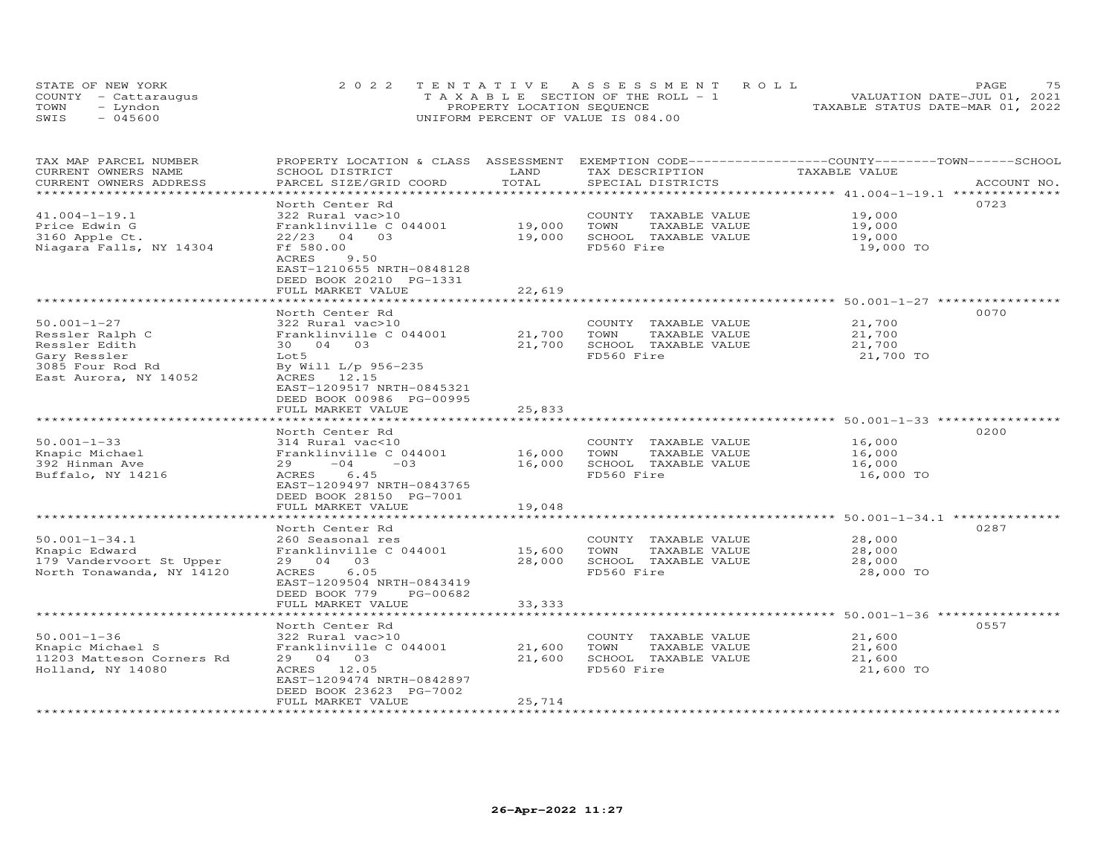|      | STATE OF NEW YORK    | 2022 TENTATIVE ASSESSMENT ROLL        | 75<br>PAGE.                      |
|------|----------------------|---------------------------------------|----------------------------------|
|      | COUNTY - Cattarauqus | T A X A B L E SECTION OF THE ROLL - 1 | VALUATION DATE-JUL 01, 2021      |
| TOWN | – Lyndon             | PROPERTY LOCATION SEQUENCE            | TAXABLE STATUS DATE-MAR 01, 2022 |
| SWIS | $-045600$            | UNIFORM PERCENT OF VALUE IS 084.00    |                                  |

| TAX MAP PARCEL NUMBER<br>CURRENT OWNERS NAME                                                                       | PROPERTY LOCATION & CLASS ASSESSMENT EXEMPTION CODE-----------------COUNTY-------TOWN------SCHOOL<br>SCHOOL DISTRICT                                                                                      | LAND<br>TOTAL                                | TAX DESCRIPTION                                                                     | TAXABLE VALUE                                                                          |             |
|--------------------------------------------------------------------------------------------------------------------|-----------------------------------------------------------------------------------------------------------------------------------------------------------------------------------------------------------|----------------------------------------------|-------------------------------------------------------------------------------------|----------------------------------------------------------------------------------------|-------------|
| CURRENT OWNERS ADDRESS<br>****************************                                                             | PARCEL SIZE/GRID COORD                                                                                                                                                                                    |                                              | SPECIAL DISTRICTS                                                                   |                                                                                        | ACCOUNT NO. |
| $41.004 - 1 - 19.1$<br>Price Edwin G<br>3160 Apple Ct.<br>Niagara Falls, NY 14304                                  | North Center Rd<br>322 Rural vac>10<br>Franklinville C 044001<br>$22/23$ 04 03<br>Ff 580.00<br>ACRES<br>9.50<br>EAST-1210655 NRTH-0848128<br>DEED BOOK 20210 PG-1331                                      | 19,000<br>19,000                             | COUNTY TAXABLE VALUE<br>TOWN<br>TAXABLE VALUE<br>SCHOOL TAXABLE VALUE<br>FD560 Fire | 19,000<br>19,000<br>19,000<br>19,000 TO                                                | 0723        |
|                                                                                                                    | FULL MARKET VALUE                                                                                                                                                                                         | 22,619                                       |                                                                                     |                                                                                        |             |
| $50.001 - 1 - 27$<br>Ressler Ralph C<br>Ressler Edith<br>Gary Ressler<br>3085 Four Rod Rd<br>East Aurora, NY 14052 | North Center Rd<br>322 Rural vac>10<br>Franklinville C 044001<br>30 04 03<br>Lot5<br>By Will L/p 956-235<br>ACRES 12.15<br>EAST-1209517 NRTH-0845321<br>DEED BOOK 00986 PG-00995                          | 21,700<br>21,700                             | COUNTY TAXABLE VALUE<br>TAXABLE VALUE<br>TOWN<br>SCHOOL TAXABLE VALUE<br>FD560 Fire | 21,700<br>21,700<br>21,700<br>21,700 TO                                                | 0070        |
|                                                                                                                    | FULL MARKET VALUE                                                                                                                                                                                         | 25,833                                       |                                                                                     |                                                                                        |             |
| $50.001 - 1 - 33$<br>Knapic Michael<br>392 Hinman Ave<br>Buffalo, NY 14216                                         | North Center Rd<br>314 Rural vac<10<br>Franklinville C 044001<br>$-04$<br>$-03$<br>29<br>ACRES 6.45<br>EAST-1209497 NRTH-0843765<br>DEED BOOK 28150 PG-7001<br>FULL MARKET VALUE<br>********************* | 16,000<br>16,000<br>19,048<br>************** | COUNTY TAXABLE VALUE<br>TOWN<br>TAXABLE VALUE<br>SCHOOL TAXABLE VALUE<br>FD560 Fire | 16,000<br>16,000<br>16,000<br>16,000 TO<br>******************** 50.001-1-34.1 ******** | 0200        |
|                                                                                                                    | North Center Rd                                                                                                                                                                                           |                                              |                                                                                     |                                                                                        | 0287        |
| $50.001 - 1 - 34.1$<br>Knapic Edward<br>179 Vandervoort St Upper<br>North Tonawanda, NY 14120                      | 260 Seasonal res<br>Franklinville C 044001<br>29 04 03<br>6.05<br>ACRES<br>EAST-1209504 NRTH-0843419<br>DEED BOOK 779<br>PG-00682                                                                         | 15,600<br>28,000                             | COUNTY TAXABLE VALUE<br>TAXABLE VALUE<br>TOWN<br>SCHOOL TAXABLE VALUE<br>FD560 Fire | 28,000<br>28,000<br>28,000<br>28,000 TO                                                |             |
|                                                                                                                    | FULL MARKET VALUE                                                                                                                                                                                         | 33, 333                                      |                                                                                     | ********* 50.001-1-36 ****                                                             |             |
| $50.001 - 1 - 36$<br>Knapic Michael S<br>11203 Matteson Corners Rd<br>Holland, NY 14080                            | North Center Rd<br>322 Rural vac>10<br>Franklinville C 044001<br>29 04 03<br>ACRES 12.05<br>EAST-1209474 NRTH-0842897<br>DEED BOOK 23623 PG-7002<br>FULL MARKET VALUE                                     | 21,600<br>21,600<br>25,714                   | COUNTY TAXABLE VALUE<br>TAXABLE VALUE<br>TOWN<br>SCHOOL TAXABLE VALUE<br>FD560 Fire | 21,600<br>21,600<br>21,600<br>21,600 TO                                                | 0557        |
|                                                                                                                    |                                                                                                                                                                                                           | ********************                         |                                                                                     |                                                                                        |             |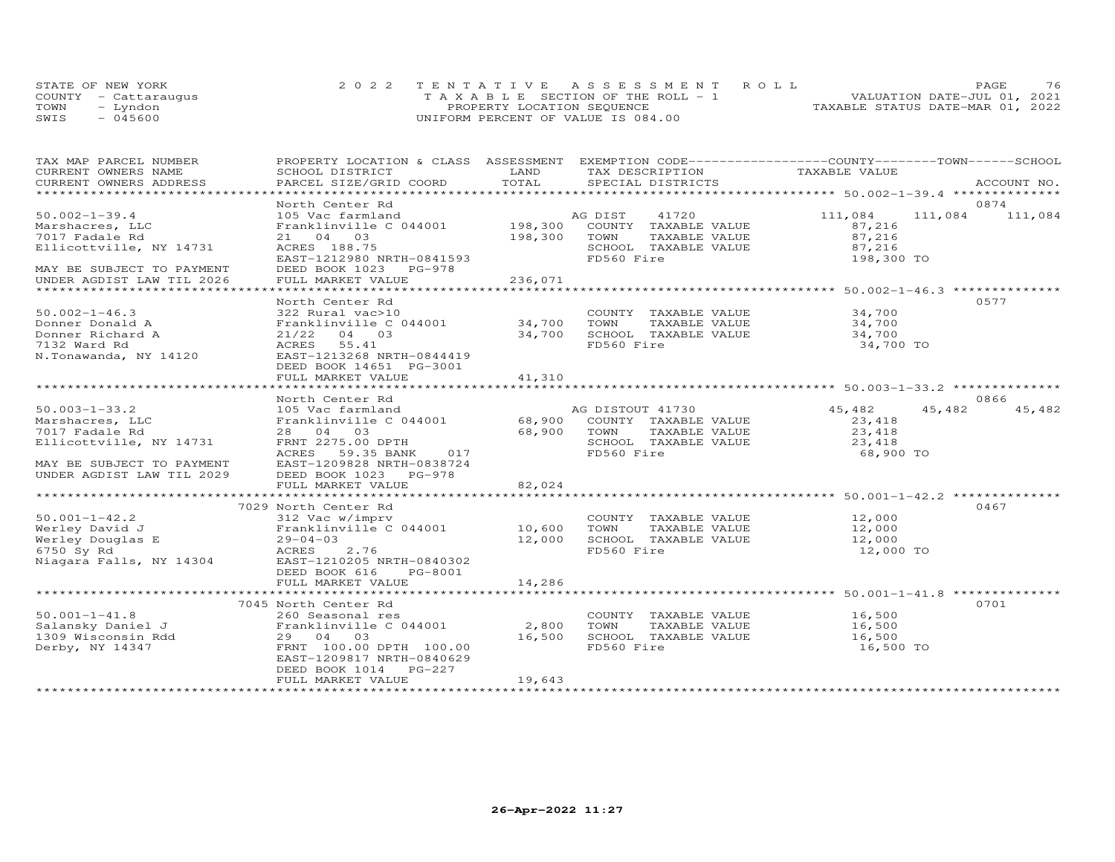|      | STATE OF NEW YORK    | 2022 TENTATIVE ASSESSMENT ROLL     |  |                                  | PAGE | 76 |
|------|----------------------|------------------------------------|--|----------------------------------|------|----|
|      | COUNTY - Cattaraugus | TAXABLE SECTION OF THE ROLL - 1    |  | VALUATION DATE-JUL 01, 2021      |      |    |
| TOWN | - Lyndon             | PROPERTY LOCATION SEQUENCE         |  | TAXABLE STATUS DATE-MAR 01, 2022 |      |    |
| SWIS | $-045600$            | UNIFORM PERCENT OF VALUE IS 084.00 |  |                                  |      |    |

| TAX MAP PARCEL NUMBER                 | PROPERTY LOCATION & CLASS ASSESSMENT EXEMPTION CODE----------------COUNTY-------TOWN-----SCHOOL                                                                                                      |             |                             |                                                        |                 |             |
|---------------------------------------|------------------------------------------------------------------------------------------------------------------------------------------------------------------------------------------------------|-------------|-----------------------------|--------------------------------------------------------|-----------------|-------------|
| CURRENT OWNERS NAME                   | SCHOOL DISTRICT                                                                                                                                                                                      | LAND        | TAX DESCRIPTION             | TAXABLE VALUE                                          |                 |             |
| CURRENT OWNERS ADDRESS                | PARCEL SIZE/GRID COORD                                                                                                                                                                               | TOTAL       | SPECIAL DISTRICTS           |                                                        |                 | ACCOUNT NO. |
|                                       | North Center Rd                                                                                                                                                                                      |             |                             |                                                        | 0874            |             |
| $50.002 - 1 - 39.4$                   |                                                                                                                                                                                                      |             |                             | 111,084                                                | 111,084 111,084 |             |
| Marshacres, LLC                       |                                                                                                                                                                                                      |             |                             | 87,216                                                 |                 |             |
| 7017 Fadale Rd                        | 21 04 03                                                                                                                                                                                             | 198,300     | TOWN<br>TAXABLE VALUE       |                                                        |                 |             |
| Ellicottville, NY 14731               | ACRES 188.75                                                                                                                                                                                         |             | SCHOOL TAXABLE VALUE        | 87,216<br>87,216                                       |                 |             |
|                                       | ACRES 188.75<br>EAST-1212980 NRTH-0841593                                                                                                                                                            |             | FD560 Fire                  | 198,300 TO                                             |                 |             |
| MAY BE SUBJECT TO PAYMENT             | DEED BOOK 1023 PG-978                                                                                                                                                                                |             |                             |                                                        |                 |             |
| UNDER AGDIST LAW TIL 2026             | FULL MARKET VALUE                                                                                                                                                                                    | 236,071     |                             |                                                        |                 |             |
|                                       |                                                                                                                                                                                                      |             |                             |                                                        |                 |             |
|                                       | North Center Rd                                                                                                                                                                                      |             |                             |                                                        | 0577            |             |
| $50.002 - 1 - 46.3$                   | 322 Rural vac>10                                                                                                                                                                                     |             | COUNTY TAXABLE VALUE        | 34,700                                                 |                 |             |
| Donner Donald A                       | Franklinville $C$ 044001 34,700                                                                                                                                                                      |             | TOWN                        |                                                        |                 |             |
| Donner Richard A                      | 21/22 04 03                                                                                                                                                                                          | 34,700      | SCHOOL TAXABLE VALUE        | TAXABLE VALUE 34,700<br>TAXABLE VALUE 34,700<br>34,700 |                 |             |
| 7132 Ward Rd                          | ACRES 55.41                                                                                                                                                                                          |             | FD560 Fire                  | 34,700 TO                                              |                 |             |
| N.Tonawanda, NY 14120                 | EAST-1213268 NRTH-0844419                                                                                                                                                                            |             |                             |                                                        |                 |             |
|                                       | DEED BOOK 14651 PG-3001                                                                                                                                                                              |             |                             |                                                        |                 |             |
|                                       | FULL MARKET VALUE                                                                                                                                                                                    | 41,310      |                             |                                                        |                 |             |
|                                       |                                                                                                                                                                                                      |             |                             |                                                        |                 |             |
|                                       | North Center Rd                                                                                                                                                                                      |             |                             |                                                        | 0866            |             |
| $50.003 - 1 - 33.2$                   | 105 Vac farmland                                                                                                                                                                                     |             | AG DISTOUT 41730            | 45,482                                                 | 45,482          | 45,482      |
| Marshacres, LLC                       | Franklinville C 044001 68,900 COUNTY TAXABLE VALUE                                                                                                                                                   |             |                             | 23,418                                                 |                 |             |
| 7017 Fadale Rd                        | 28 04 03                                                                                                                                                                                             | 68,900 TOWN | TAXABLE VALUE               | 23, 418                                                |                 |             |
| Ellicottville, NY 14731               | FRNT 2275.00 DPTH                                                                                                                                                                                    |             | SCHOOL TAXABLE VALUE        | 23,418                                                 |                 |             |
|                                       | 017<br>ACRES 59.35 BANK                                                                                                                                                                              |             | FD560 Fire                  | 68,900 TO                                              |                 |             |
| MAY BE SUBJECT TO PAYMENT             | EAST-1209828 NRTH-0838724                                                                                                                                                                            |             |                             |                                                        |                 |             |
| UNDER AGDIST LAW TIL 2029             | DEED BOOK 1023 PG-978                                                                                                                                                                                |             |                             |                                                        |                 |             |
|                                       | FULL MARKET VALUE                                                                                                                                                                                    | 82,024      |                             |                                                        |                 |             |
|                                       | 7029 North Center Rd                                                                                                                                                                                 |             |                             |                                                        | 0467            |             |
|                                       | 10,6001-1-42.2<br>Werley David J<br>Werley Douglas E 29-04-03<br>6750 Sy Rd ACRES 2.76<br>Niagara Falls, NY 14304<br>Recently and ACRES 2.76<br>Niagara Falls, NY 14304<br>EAST-1210205 NRTH-0840302 |             | COUNTY TAXABLE VALUE 12,000 |                                                        |                 |             |
|                                       |                                                                                                                                                                                                      |             | TAXABLE VALUE               | 12,000                                                 |                 |             |
|                                       |                                                                                                                                                                                                      |             | 12,000 SCHOOL TAXABLE VALUE | 12,000                                                 |                 |             |
|                                       |                                                                                                                                                                                                      |             | FD560 Fire                  | 12,000 TO                                              |                 |             |
|                                       |                                                                                                                                                                                                      |             |                             |                                                        |                 |             |
|                                       | DEED BOOK 616<br>PG-8001                                                                                                                                                                             |             |                             |                                                        |                 |             |
|                                       | FULL MARKET VALUE                                                                                                                                                                                    | 14,286      |                             |                                                        |                 |             |
|                                       |                                                                                                                                                                                                      |             |                             |                                                        |                 |             |
|                                       | 7045 North Center Rd                                                                                                                                                                                 |             |                             |                                                        | 0701            |             |
| $50.001 - 1 - 41.8$                   | 260 Seasonal res                                                                                                                                                                                     |             | COUNTY TAXABLE VALUE        | 16,500                                                 |                 |             |
| 50.001-1-41.8<br>Salansky Daniel J    | Franklinville C 044001 2,800                                                                                                                                                                         |             | TOWN                        | TAXABLE VALUE 16,500                                   |                 |             |
| 1309 Wisconsin Rdd<br>Derby, NY 14347 | 29 04 03                                                                                                                                                                                             | 16,500      | SCHOOL TAXABLE VALUE        | 16,500                                                 |                 |             |
| Derby, NY 14347                       | FRNT 100.00 DPTH 100.00                                                                                                                                                                              |             | FD560 Fire                  | 16,500 TO                                              |                 |             |
|                                       | EAST-1209817 NRTH-0840629                                                                                                                                                                            |             |                             |                                                        |                 |             |
|                                       | DEED BOOK 1014 PG-227                                                                                                                                                                                |             |                             |                                                        |                 |             |
|                                       | FULL MARKET VALUE                                                                                                                                                                                    | 19,643      |                             |                                                        |                 |             |
|                                       |                                                                                                                                                                                                      |             |                             |                                                        |                 |             |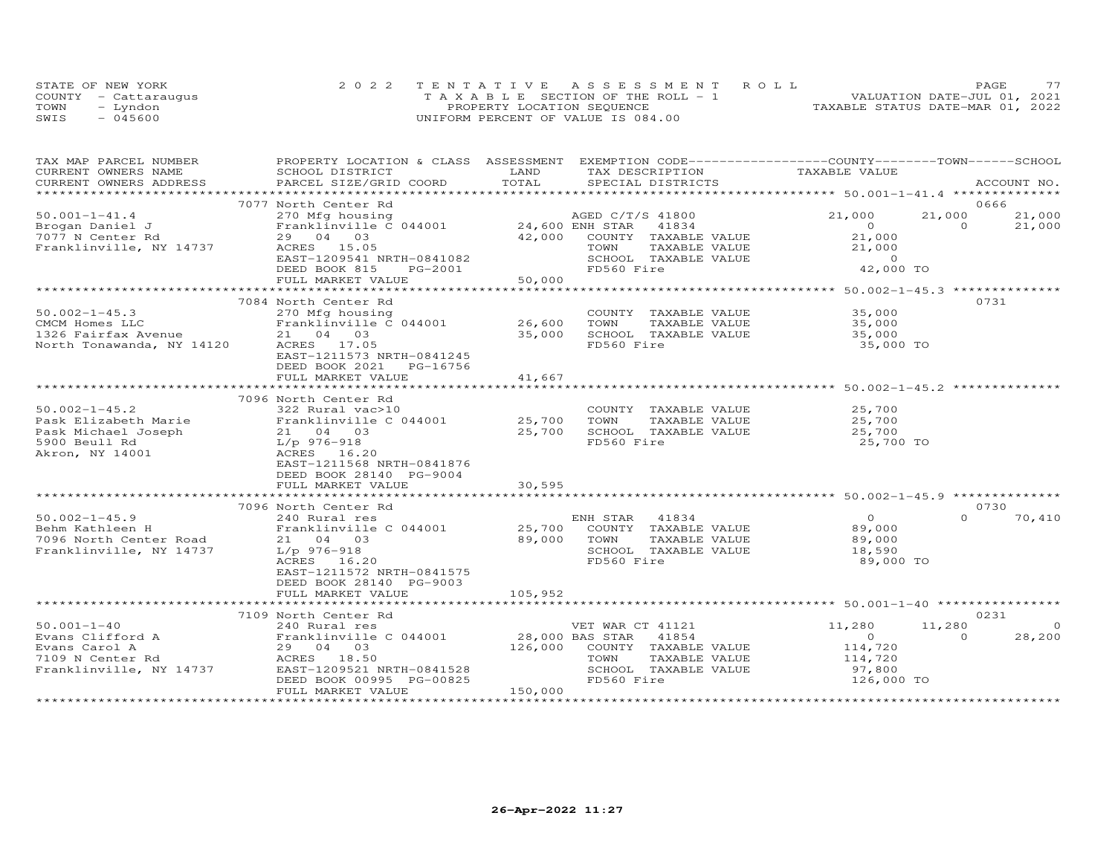|      | STATE OF NEW YORK    | 2022 TENTATIVE ASSESSMENT ROLL        | 77<br>PAGE                       |
|------|----------------------|---------------------------------------|----------------------------------|
|      | COUNTY - Cattaraugus | T A X A B L E SECTION OF THE ROLL - 1 | VALUATION DATE-JUL 01, 2021      |
| TOWN | – Lyndon             | PROPERTY LOCATION SEQUENCE            | TAXABLE STATUS DATE-MAR 01, 2022 |
| SWIS | $-045600$            | UNIFORM PERCENT OF VALUE IS 084.00    |                                  |

| PROPERTY LOCATION & CLASS ASSESSMENT EXEMPTION CODE----------------COUNTY-------TOWN------SCHOOL<br>TAX MAP PARCEL NUMBER<br>TAXABLE VALUE<br>CURRENT OWNERS NAME<br>SCHOOL DISTRICT<br>LAND<br>TAX DESCRIPTION                                                                                                                                                                                                                                                 |             |
|-----------------------------------------------------------------------------------------------------------------------------------------------------------------------------------------------------------------------------------------------------------------------------------------------------------------------------------------------------------------------------------------------------------------------------------------------------------------|-------------|
| TOTAL<br>CURRENT OWNERS ADDRESS<br>PARCEL SIZE/GRID COORD<br>SPECIAL DISTRICTS                                                                                                                                                                                                                                                                                                                                                                                  | ACCOUNT NO. |
| *******************                                                                                                                                                                                                                                                                                                                                                                                                                                             |             |
| 7077 North Center Rd                                                                                                                                                                                                                                                                                                                                                                                                                                            | 0666        |
| $50.001 - 1 - 41.4$<br>21,000<br>21,000<br>270 Mfg housing<br>Franklinville C 044001 24,600 ENH STAR 41834                                                                                                                                                                                                                                                                                                                                                      | 21,000      |
| Brogan Daniel J<br>$\circ$<br>$\Omega$                                                                                                                                                                                                                                                                                                                                                                                                                          | 21,000      |
| 42,000 COUNTY TAXABLE VALUE<br>21,000<br>7077 N Center Rd<br>29 04 03                                                                                                                                                                                                                                                                                                                                                                                           |             |
| Franklinville, NY 14737<br>ACRES 15.05<br>TAXABLE VALUE<br>21,000<br>TOWN                                                                                                                                                                                                                                                                                                                                                                                       |             |
| H-0841082<br>PG-2001<br>EAST-1209541 NRTH-0841082<br>SCHOOL TAXABLE VALUE<br>$0$ 0<br>42,000 TO                                                                                                                                                                                                                                                                                                                                                                 |             |
| FD560 Fire<br>DEED BOOK 815                                                                                                                                                                                                                                                                                                                                                                                                                                     |             |
| 50,000<br>FULL MARKET VALUE                                                                                                                                                                                                                                                                                                                                                                                                                                     |             |
|                                                                                                                                                                                                                                                                                                                                                                                                                                                                 |             |
| 7084 North Center Rd                                                                                                                                                                                                                                                                                                                                                                                                                                            | 0731        |
| COUNTY TAXABLE VALUE 35,000<br>IAANDDD -<br>TAXABLE VALUE<br>TAVARLE VALUE                                                                                                                                                                                                                                                                                                                                                                                      |             |
| 26,600<br>35,000<br>TOWN<br>35,000<br>35,000                                                                                                                                                                                                                                                                                                                                                                                                                    |             |
| SCHOOL TAXABLE VALUE                                                                                                                                                                                                                                                                                                                                                                                                                                            |             |
| CMCM Homes LLC<br>1326 Fairfax Avenue<br>1326 Fairfax Avenue<br>1326 Tonawanda, NY 14120<br>14120 ACRES 17.05<br>FD560 Fire<br>35,000 TO                                                                                                                                                                                                                                                                                                                        |             |
| EAST-1211573 NRTH-0841245                                                                                                                                                                                                                                                                                                                                                                                                                                       |             |
| DEED BOOK 2021 PG-16756<br>FULL MARKET VALUE<br>41,667                                                                                                                                                                                                                                                                                                                                                                                                          |             |
|                                                                                                                                                                                                                                                                                                                                                                                                                                                                 |             |
| 7096 North Center Rd                                                                                                                                                                                                                                                                                                                                                                                                                                            |             |
| $50.002 - 1 - 45.2$<br>322 Rural vac>10<br>COUNTY TAXABLE VALUE<br>25,700                                                                                                                                                                                                                                                                                                                                                                                       |             |
| Franklinville C 044001 25,700<br>25,700<br>Pask Elizabeth Marie<br>TOWN<br>TAXABLE VALUE                                                                                                                                                                                                                                                                                                                                                                        |             |
| 21 04 03<br>25,700<br>SCHOOL TAXABLE VALUE<br>25,700                                                                                                                                                                                                                                                                                                                                                                                                            |             |
| Pask Michael Joseph<br>5900 Beull Rd<br>5900 Beull Rd<br>FD560 Fire<br>25,700 TO                                                                                                                                                                                                                                                                                                                                                                                |             |
| 21 04 03<br>L/p 976-918<br>ACRES 16.2<br>Akron, NY 14001<br>ACRES 16.20                                                                                                                                                                                                                                                                                                                                                                                         |             |
| EAST-1211568 NRTH-0841876                                                                                                                                                                                                                                                                                                                                                                                                                                       |             |
| DEED BOOK 28140 PG-9004                                                                                                                                                                                                                                                                                                                                                                                                                                         |             |
| 30,595<br>FULL MARKET VALUE                                                                                                                                                                                                                                                                                                                                                                                                                                     |             |
|                                                                                                                                                                                                                                                                                                                                                                                                                                                                 |             |
| 7096 North Center Rd                                                                                                                                                                                                                                                                                                                                                                                                                                            | 0730        |
| $50.002 - 1 - 45.9$<br>$\overline{O}$<br>$\Omega$<br>240 Rural res<br>ENH STAR 41834                                                                                                                                                                                                                                                                                                                                                                            | 70,410      |
| 89,000<br>89,000<br>25,700 COUNTY TAXABLE VALUE<br>Franklinville C 044001<br>Behm Kathleen H                                                                                                                                                                                                                                                                                                                                                                    |             |
| 7096 North Center Road<br>89,000<br>TOWN<br>TAXABLE VALUE<br>21 04 03                                                                                                                                                                                                                                                                                                                                                                                           |             |
| Franklinville, NY 14737<br>SCHOOL TAXABLE VALUE<br>L/p 976-918<br>18,590                                                                                                                                                                                                                                                                                                                                                                                        |             |
| FD560 Fire<br>ACRES 16.20<br>89,000 TO                                                                                                                                                                                                                                                                                                                                                                                                                          |             |
| EAST-1211572 NRTH-0841575                                                                                                                                                                                                                                                                                                                                                                                                                                       |             |
| DEED BOOK 28140 PG-9003                                                                                                                                                                                                                                                                                                                                                                                                                                         |             |
| FULL MARKET VALUE<br>105,952                                                                                                                                                                                                                                                                                                                                                                                                                                    |             |
|                                                                                                                                                                                                                                                                                                                                                                                                                                                                 |             |
| 7109 North Center Rd                                                                                                                                                                                                                                                                                                                                                                                                                                            | 0231        |
| <u>sa sa sana</u><br>$50.001 - 1 - 40$<br>11,280<br>VET WAR CT 41121 11,280<br>240 Rural res                                                                                                                                                                                                                                                                                                                                                                    | $\Omega$    |
| Evans Clifford A $\begin{array}{l} \text{Evans} & \text{Cint} & \text{Cint} & \text{Cint} & \text{Cint} & \text{Cint} & \text{Cint} & \text{Cint} & \text{Cint} & \text{Cint} \\ \text{Evans Carol A} & \text{Evans Card A} & \text{Cint} & \text{Cint} & \text{C} & \text{C} & \text{CUNTY} & \text{TAXABLE VALUE} \\ \text{7109 N Center Rd} & \text{ACRES} & \text{18.50} & \text{COWN} & \text{TAXABLE VALUE} \\ \end{array}$<br>$\overline{O}$<br>$\Omega$ | 28,200      |
| 114,720                                                                                                                                                                                                                                                                                                                                                                                                                                                         |             |
| 114,720                                                                                                                                                                                                                                                                                                                                                                                                                                                         |             |
| Franklinville, NY 14737 EAST-1209521 NRTH-0841528<br>97,800<br>SCHOOL TAXABLE VALUE                                                                                                                                                                                                                                                                                                                                                                             |             |
| FD560 Fire<br>DEED BOOK 00995 PG-00825<br>126,000 TO                                                                                                                                                                                                                                                                                                                                                                                                            |             |
| FULL MARKET VALUE<br>150,000<br>************************************                                                                                                                                                                                                                                                                                                                                                                                            |             |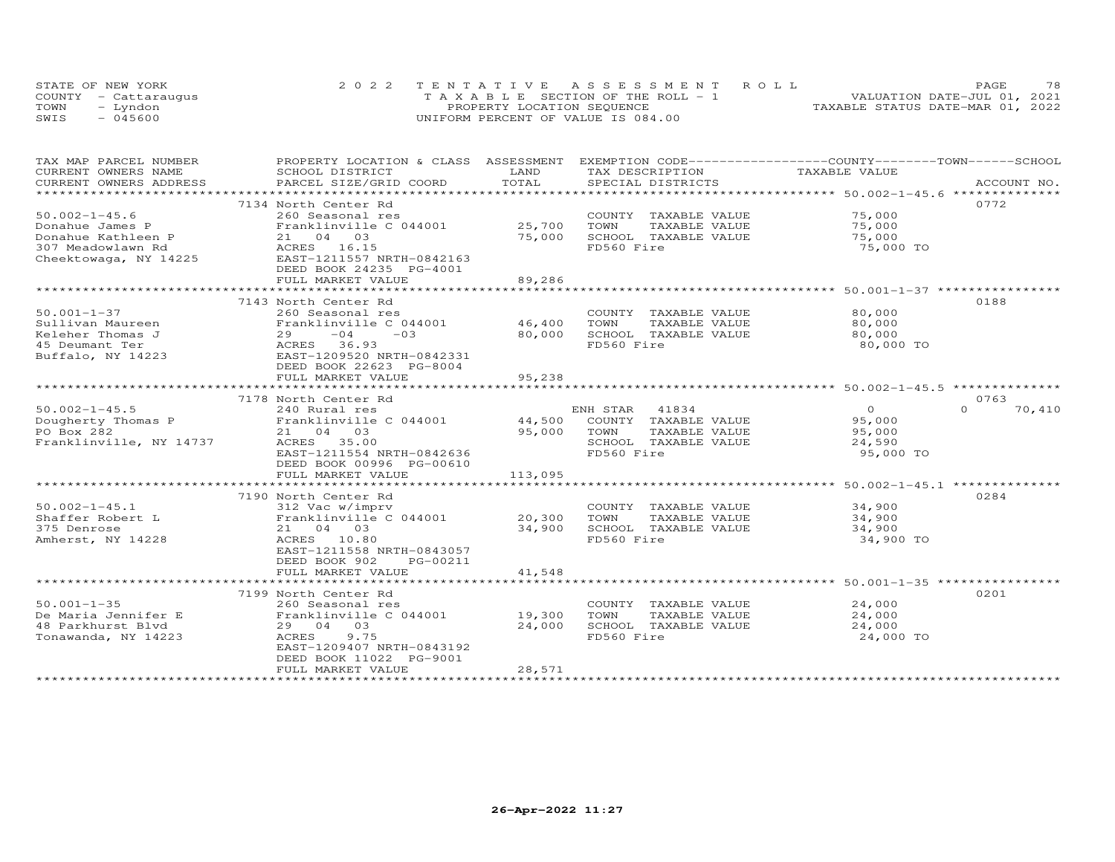|      | STATE OF NEW YORK    | 2022 TENTATIVE ASSESSMENT ROLL        | 78<br>PAGE                       |
|------|----------------------|---------------------------------------|----------------------------------|
|      | COUNTY - Cattarauqus | T A X A B L E SECTION OF THE ROLL - 1 | VALUATION DATE-JUL 01, 2021      |
| TOWN | - Lyndon             | PROPERTY LOCATION SEQUENCE            | TAXABLE STATUS DATE-MAR 01, 2022 |
| SWIS | $-045600$            | UNIFORM PERCENT OF VALUE IS 084.00    |                                  |

| TAX MAP PARCEL NUMBER    | PROPERTY LOCATION & CLASS ASSESSMENT EXEMPTION CODE----------------COUNTY-------TOWN------SCHOOL |            |                             |                                               |                    |
|--------------------------|--------------------------------------------------------------------------------------------------|------------|-----------------------------|-----------------------------------------------|--------------------|
| CURRENT OWNERS NAME      | SCHOOL DISTRICT                                                                                  | LAND       | TAX DESCRIPTION             | TAXABLE VALUE                                 |                    |
| CURRENT OWNERS ADDRESS   | PARCEL SIZE/GRID COORD                                                                           | TOTAL      | SPECIAL DISTRICTS           |                                               | ACCOUNT NO.        |
| ************************ |                                                                                                  |            |                             |                                               |                    |
|                          | 7134 North Center Rd                                                                             |            |                             |                                               | 0772               |
| $50.002 - 1 - 45.6$      | 260 Seasonal res                                                                                 |            | COUNTY TAXABLE VALUE        | 75,000                                        |                    |
| Donahue James P          | Franklinville C 044001                                                                           | 25,700     | TOWN<br>TAXABLE VALUE       | 75,000                                        |                    |
| Donahue Kathleen P       | 21 04 03                                                                                         | 75,000     | SCHOOL TAXABLE VALUE        | 75,000                                        |                    |
| 307 Meadowlawn Rd        | ACRES 16.15                                                                                      |            | FD560 Fire                  | 75,000 TO                                     |                    |
| Cheektowaga, NY 14225    | ACRES 10.15<br>EAST-1211557 NRTH-0842163                                                         |            |                             |                                               |                    |
|                          | DEED BOOK 24235 PG-4001                                                                          |            |                             |                                               |                    |
|                          | FULL MARKET VALUE                                                                                | 89,286     |                             |                                               |                    |
|                          | ************************                                                                         | ********** |                             | ********************* 50.001-1-37 *********** |                    |
|                          | 7143 North Center Rd                                                                             |            |                             |                                               | 0188               |
| $50.001 - 1 - 37$        | 260 Seasonal res                                                                                 |            | COUNTY TAXABLE VALUE        | 80,000                                        |                    |
| Sullivan Maureen         | Franklinville C 044001                                                                           | 46,400     | TOWN<br>TAXABLE VALUE       | 80,000                                        |                    |
| Keleher Thomas J         | 29<br>$-04$<br>$-03$                                                                             | 80,000     | SCHOOL TAXABLE VALUE        | 80,000                                        |                    |
| 45 Deumant Ter           | ACRES 36.93                                                                                      |            | FD560 Fire                  | 80,000 TO                                     |                    |
| Buffalo, NY 14223        | EAST-1209520 NRTH-0842331                                                                        |            |                             |                                               |                    |
|                          | DEED BOOK 22623 PG-8004                                                                          |            |                             |                                               |                    |
|                          | FULL MARKET VALUE                                                                                | 95,238     |                             |                                               |                    |
|                          |                                                                                                  |            |                             |                                               |                    |
|                          | 7178 North Center Rd                                                                             |            |                             |                                               | 0763               |
| $50.002 - 1 - 45.5$      | 240 Rural res                                                                                    |            | ENH STAR<br>41834           | $\Omega$                                      | $\Omega$<br>70,410 |
| Dougherty Thomas P       | Franklinville C 044001                                                                           |            | 44,500 COUNTY TAXABLE VALUE | 95,000                                        |                    |
| PO Box 282               | 21 04 03                                                                                         | 95,000     | TOWN<br>TAXABLE VALUE       | 95,000                                        |                    |
| Franklinville, NY 14737  | ACRES 35.00                                                                                      |            | SCHOOL TAXABLE VALUE        | 24,590                                        |                    |
|                          | EAST-1211554 NRTH-0842636                                                                        |            | FD560 Fire                  | 95,000 TO                                     |                    |
|                          | DEED BOOK 00996 PG-00610                                                                         |            |                             |                                               |                    |
|                          | FULL MARKET VALUE                                                                                | 113,095    |                             |                                               |                    |
|                          |                                                                                                  |            |                             |                                               |                    |
|                          | 7190 North Center Rd                                                                             |            |                             |                                               | 0284               |
| $50.002 - 1 - 45.1$      | 312 Vac w/imprv                                                                                  |            | COUNTY TAXABLE VALUE        | 34,900                                        |                    |
| Shaffer Robert L         | Franklinville C 044001                                                                           | 20,300     | TOWN<br>TAXABLE VALUE       | 34,900                                        |                    |
| 375 Denrose              | 21 04 03                                                                                         | 34,900     | SCHOOL TAXABLE VALUE        | 34,900                                        |                    |
| Amherst, NY 14228        | ACRES 10.80                                                                                      |            | FD560 Fire                  | 34,900 TO                                     |                    |
|                          | EAST-1211558 NRTH-0843057                                                                        |            |                             |                                               |                    |
|                          | DEED BOOK 902<br>PG-00211                                                                        |            |                             |                                               |                    |
|                          | FULL MARKET VALUE                                                                                | 41,548     |                             |                                               |                    |
|                          |                                                                                                  |            |                             |                                               |                    |
|                          | 7199 North Center Rd                                                                             |            |                             |                                               | 0201               |
| $50.001 - 1 - 35$        | 260 Seasonal res                                                                                 |            | COUNTY TAXABLE VALUE        | 24,000                                        |                    |
| De Maria Jennifer E      | Franklinville C 044001                                                                           | 19,300     | TOWN<br>TAXABLE VALUE       | 24,000                                        |                    |
| 48 Parkhurst Blvd        | 29 04 03                                                                                         | 24,000     | SCHOOL TAXABLE VALUE        | 24,000                                        |                    |
| Tonawanda, NY 14223      | 9.75<br>ACRES                                                                                    |            | FD560 Fire                  | 24,000 TO                                     |                    |
|                          | EAST-1209407 NRTH-0843192                                                                        |            |                             |                                               |                    |
|                          | DEED BOOK 11022 PG-9001                                                                          |            |                             |                                               |                    |
|                          | FULL MARKET VALUE                                                                                | 28,571     |                             |                                               |                    |
|                          |                                                                                                  |            |                             |                                               |                    |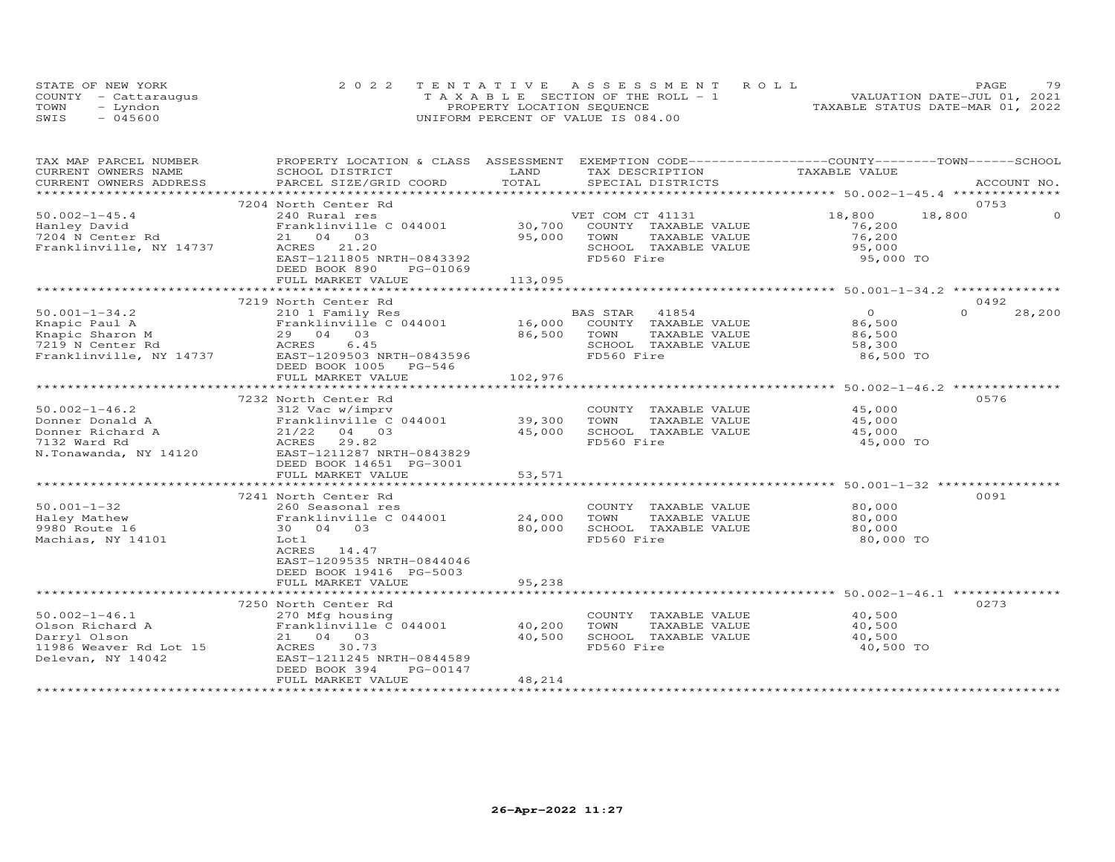|      | STATE OF NEW YORK    | 2022 TENTATIVE ASSESSMENT ROLL     | PAGE.                            | 79 |
|------|----------------------|------------------------------------|----------------------------------|----|
|      | COUNTY - Cattaraugus | TAXABLE SECTION OF THE ROLL - 1    | VALUATION DATE-JUL 01, 2021      |    |
| TOWN | – Lyndon             | PROPERTY LOCATION SEQUENCE         | TAXABLE STATUS DATE-MAR 01, 2022 |    |
| SWIS | - 045600             | UNIFORM PERCENT OF VALUE IS 084.00 |                                  |    |

| TOTAL<br>CURRENT OWNERS ADDRESS<br>PARCEL SIZE/GRID COORD<br>SPECIAL DISTRICTS<br>ACCOUNT NO.<br>************************ 50.002-1-45.4 ***************<br>**********************<br>7204 North Center Rd<br>0753<br>18,800<br>18,800<br>$50.002 - 1 - 45.4$<br>240 Rural res<br>VET COM CT 41131<br>30,700<br>Franklinville C 044001<br>COUNTY TAXABLE VALUE<br>76,200<br>Hanley David<br>95,000<br>76,200<br>7204 N Center Rd<br>21 04 03<br>TOWN<br>TAXABLE VALUE<br>Franklinville, NY 14737<br>ACRES 21.20<br>SCHOOL TAXABLE VALUE<br>95,000<br>EAST-1211805 NRTH-0843392<br>FD560 Fire<br>95,000 TO<br>DEED BOOK 890<br>PG-01069<br>113,095<br>FULL MARKET VALUE<br>7219 North Center Rd<br>0492<br>$\Omega$<br>$\Omega$<br>28,200<br>$50.001 - 1 - 34.2$<br>BAS STAR 41854<br>210 1 Family Res<br>16,000<br>Knapic Paul A<br>Franklinville C 044001<br>COUNTY TAXABLE VALUE<br>86,500<br>86,500<br>Knapic Sharon M<br>29 04 03<br>TOWN<br>TAXABLE VALUE<br>86,500<br>6.45<br>SCHOOL TAXABLE VALUE<br>7219 N Center Rd<br>ACRES<br>58,300<br>FD560 Fire<br>Franklinville, NY 14737<br>EAST-1209503 NRTH-0843596<br>86,500 TO<br>DEED BOOK 1005 PG-546<br>102,976<br>FULL MARKET VALUE<br>7232 North Center Rd<br>0576<br>$50.002 - 1 - 46.2$<br>312 Vac w/imprv<br>45,000<br>COUNTY TAXABLE VALUE<br>Donner Donald A<br>39,300<br>Franklinville C 044001<br>TOWN<br>TAXABLE VALUE<br>45,000<br>45,000<br>Donner Richard A<br>$21/22$ 04 03<br>SCHOOL TAXABLE VALUE<br>45,000<br>FD560 Fire<br>7132 Ward Rd<br>ACRES 29.82<br>45,000 TO<br>N.Tonawanda, NY 14120<br>EAST-1211287 NRTH-0843829<br>DEED BOOK 14651 PG-3001<br>53,571<br>FULL MARKET VALUE<br>******************************** 50.001-1-32 *****************<br>*************<br>0091<br>7241 North Center Rd<br>$50.001 - 1 - 32$<br>80,000<br>260 Seasonal res<br>COUNTY TAXABLE VALUE<br>24,000<br>Haley Mathew<br>Franklinville C 044001<br>TOWN<br>TAXABLE VALUE<br>80,000<br>9980 Route 16<br>80,000<br>SCHOOL TAXABLE VALUE<br>80,000<br>30 04 03<br>FD560 Fire<br>Machias, NY 14101<br>80,000 TO<br>Lot 1<br>ACRES 14.47<br>EAST-1209535 NRTH-0844046<br>DEED BOOK 19416 PG-5003<br>95,238<br>FULL MARKET VALUE<br>0273<br>7250 North Center Rd<br>$50.002 - 1 - 46.1$<br>COUNTY TAXABLE VALUE<br>40,500<br>270 Mfg housing<br>Olson Richard A<br>Franklinville C 044001<br>40,200<br>TOWN<br>TAXABLE VALUE<br>40,500<br>Darryl Olson<br>21 04 03<br>40,500<br>SCHOOL TAXABLE VALUE<br>40,500<br>11986 Weaver Rd Lot 15<br>FD560 Fire<br>ACRES 30.73<br>40,500 TO<br>Delevan, NY 14042<br>EAST-1211245 NRTH-0844589<br>DEED BOOK 394<br>PG-00147<br>48,214<br>FULL MARKET VALUE | TAX MAP PARCEL NUMBER<br>CURRENT OWNERS NAME | PROPERTY LOCATION & CLASS ASSESSMENT<br>SCHOOL DISTRICT | LAND | EXEMPTION CODE------------------COUNTY-------TOWN------SCHOOL<br>TAX DESCRIPTION | TAXABLE VALUE |  |
|----------------------------------------------------------------------------------------------------------------------------------------------------------------------------------------------------------------------------------------------------------------------------------------------------------------------------------------------------------------------------------------------------------------------------------------------------------------------------------------------------------------------------------------------------------------------------------------------------------------------------------------------------------------------------------------------------------------------------------------------------------------------------------------------------------------------------------------------------------------------------------------------------------------------------------------------------------------------------------------------------------------------------------------------------------------------------------------------------------------------------------------------------------------------------------------------------------------------------------------------------------------------------------------------------------------------------------------------------------------------------------------------------------------------------------------------------------------------------------------------------------------------------------------------------------------------------------------------------------------------------------------------------------------------------------------------------------------------------------------------------------------------------------------------------------------------------------------------------------------------------------------------------------------------------------------------------------------------------------------------------------------------------------------------------------------------------------------------------------------------------------------------------------------------------------------------------------------------------------------------------------------------------------------------------------------------------------------------------------------------------------------------------------------------------------------------------------------------------------------------------------------------------------------------------------------------------------------------------------------------------------------------------------|----------------------------------------------|---------------------------------------------------------|------|----------------------------------------------------------------------------------|---------------|--|
|                                                                                                                                                                                                                                                                                                                                                                                                                                                                                                                                                                                                                                                                                                                                                                                                                                                                                                                                                                                                                                                                                                                                                                                                                                                                                                                                                                                                                                                                                                                                                                                                                                                                                                                                                                                                                                                                                                                                                                                                                                                                                                                                                                                                                                                                                                                                                                                                                                                                                                                                                                                                                                                          |                                              |                                                         |      |                                                                                  |               |  |
|                                                                                                                                                                                                                                                                                                                                                                                                                                                                                                                                                                                                                                                                                                                                                                                                                                                                                                                                                                                                                                                                                                                                                                                                                                                                                                                                                                                                                                                                                                                                                                                                                                                                                                                                                                                                                                                                                                                                                                                                                                                                                                                                                                                                                                                                                                                                                                                                                                                                                                                                                                                                                                                          |                                              |                                                         |      |                                                                                  |               |  |
|                                                                                                                                                                                                                                                                                                                                                                                                                                                                                                                                                                                                                                                                                                                                                                                                                                                                                                                                                                                                                                                                                                                                                                                                                                                                                                                                                                                                                                                                                                                                                                                                                                                                                                                                                                                                                                                                                                                                                                                                                                                                                                                                                                                                                                                                                                                                                                                                                                                                                                                                                                                                                                                          |                                              |                                                         |      |                                                                                  |               |  |
|                                                                                                                                                                                                                                                                                                                                                                                                                                                                                                                                                                                                                                                                                                                                                                                                                                                                                                                                                                                                                                                                                                                                                                                                                                                                                                                                                                                                                                                                                                                                                                                                                                                                                                                                                                                                                                                                                                                                                                                                                                                                                                                                                                                                                                                                                                                                                                                                                                                                                                                                                                                                                                                          |                                              |                                                         |      |                                                                                  |               |  |
|                                                                                                                                                                                                                                                                                                                                                                                                                                                                                                                                                                                                                                                                                                                                                                                                                                                                                                                                                                                                                                                                                                                                                                                                                                                                                                                                                                                                                                                                                                                                                                                                                                                                                                                                                                                                                                                                                                                                                                                                                                                                                                                                                                                                                                                                                                                                                                                                                                                                                                                                                                                                                                                          |                                              |                                                         |      |                                                                                  |               |  |
|                                                                                                                                                                                                                                                                                                                                                                                                                                                                                                                                                                                                                                                                                                                                                                                                                                                                                                                                                                                                                                                                                                                                                                                                                                                                                                                                                                                                                                                                                                                                                                                                                                                                                                                                                                                                                                                                                                                                                                                                                                                                                                                                                                                                                                                                                                                                                                                                                                                                                                                                                                                                                                                          |                                              |                                                         |      |                                                                                  |               |  |
|                                                                                                                                                                                                                                                                                                                                                                                                                                                                                                                                                                                                                                                                                                                                                                                                                                                                                                                                                                                                                                                                                                                                                                                                                                                                                                                                                                                                                                                                                                                                                                                                                                                                                                                                                                                                                                                                                                                                                                                                                                                                                                                                                                                                                                                                                                                                                                                                                                                                                                                                                                                                                                                          |                                              |                                                         |      |                                                                                  |               |  |
|                                                                                                                                                                                                                                                                                                                                                                                                                                                                                                                                                                                                                                                                                                                                                                                                                                                                                                                                                                                                                                                                                                                                                                                                                                                                                                                                                                                                                                                                                                                                                                                                                                                                                                                                                                                                                                                                                                                                                                                                                                                                                                                                                                                                                                                                                                                                                                                                                                                                                                                                                                                                                                                          |                                              |                                                         |      |                                                                                  |               |  |
|                                                                                                                                                                                                                                                                                                                                                                                                                                                                                                                                                                                                                                                                                                                                                                                                                                                                                                                                                                                                                                                                                                                                                                                                                                                                                                                                                                                                                                                                                                                                                                                                                                                                                                                                                                                                                                                                                                                                                                                                                                                                                                                                                                                                                                                                                                                                                                                                                                                                                                                                                                                                                                                          |                                              |                                                         |      |                                                                                  |               |  |
|                                                                                                                                                                                                                                                                                                                                                                                                                                                                                                                                                                                                                                                                                                                                                                                                                                                                                                                                                                                                                                                                                                                                                                                                                                                                                                                                                                                                                                                                                                                                                                                                                                                                                                                                                                                                                                                                                                                                                                                                                                                                                                                                                                                                                                                                                                                                                                                                                                                                                                                                                                                                                                                          |                                              |                                                         |      |                                                                                  |               |  |
|                                                                                                                                                                                                                                                                                                                                                                                                                                                                                                                                                                                                                                                                                                                                                                                                                                                                                                                                                                                                                                                                                                                                                                                                                                                                                                                                                                                                                                                                                                                                                                                                                                                                                                                                                                                                                                                                                                                                                                                                                                                                                                                                                                                                                                                                                                                                                                                                                                                                                                                                                                                                                                                          |                                              |                                                         |      |                                                                                  |               |  |
|                                                                                                                                                                                                                                                                                                                                                                                                                                                                                                                                                                                                                                                                                                                                                                                                                                                                                                                                                                                                                                                                                                                                                                                                                                                                                                                                                                                                                                                                                                                                                                                                                                                                                                                                                                                                                                                                                                                                                                                                                                                                                                                                                                                                                                                                                                                                                                                                                                                                                                                                                                                                                                                          |                                              |                                                         |      |                                                                                  |               |  |
|                                                                                                                                                                                                                                                                                                                                                                                                                                                                                                                                                                                                                                                                                                                                                                                                                                                                                                                                                                                                                                                                                                                                                                                                                                                                                                                                                                                                                                                                                                                                                                                                                                                                                                                                                                                                                                                                                                                                                                                                                                                                                                                                                                                                                                                                                                                                                                                                                                                                                                                                                                                                                                                          |                                              |                                                         |      |                                                                                  |               |  |
|                                                                                                                                                                                                                                                                                                                                                                                                                                                                                                                                                                                                                                                                                                                                                                                                                                                                                                                                                                                                                                                                                                                                                                                                                                                                                                                                                                                                                                                                                                                                                                                                                                                                                                                                                                                                                                                                                                                                                                                                                                                                                                                                                                                                                                                                                                                                                                                                                                                                                                                                                                                                                                                          |                                              |                                                         |      |                                                                                  |               |  |
|                                                                                                                                                                                                                                                                                                                                                                                                                                                                                                                                                                                                                                                                                                                                                                                                                                                                                                                                                                                                                                                                                                                                                                                                                                                                                                                                                                                                                                                                                                                                                                                                                                                                                                                                                                                                                                                                                                                                                                                                                                                                                                                                                                                                                                                                                                                                                                                                                                                                                                                                                                                                                                                          |                                              |                                                         |      |                                                                                  |               |  |
|                                                                                                                                                                                                                                                                                                                                                                                                                                                                                                                                                                                                                                                                                                                                                                                                                                                                                                                                                                                                                                                                                                                                                                                                                                                                                                                                                                                                                                                                                                                                                                                                                                                                                                                                                                                                                                                                                                                                                                                                                                                                                                                                                                                                                                                                                                                                                                                                                                                                                                                                                                                                                                                          |                                              |                                                         |      |                                                                                  |               |  |
|                                                                                                                                                                                                                                                                                                                                                                                                                                                                                                                                                                                                                                                                                                                                                                                                                                                                                                                                                                                                                                                                                                                                                                                                                                                                                                                                                                                                                                                                                                                                                                                                                                                                                                                                                                                                                                                                                                                                                                                                                                                                                                                                                                                                                                                                                                                                                                                                                                                                                                                                                                                                                                                          |                                              |                                                         |      |                                                                                  |               |  |
|                                                                                                                                                                                                                                                                                                                                                                                                                                                                                                                                                                                                                                                                                                                                                                                                                                                                                                                                                                                                                                                                                                                                                                                                                                                                                                                                                                                                                                                                                                                                                                                                                                                                                                                                                                                                                                                                                                                                                                                                                                                                                                                                                                                                                                                                                                                                                                                                                                                                                                                                                                                                                                                          |                                              |                                                         |      |                                                                                  |               |  |
|                                                                                                                                                                                                                                                                                                                                                                                                                                                                                                                                                                                                                                                                                                                                                                                                                                                                                                                                                                                                                                                                                                                                                                                                                                                                                                                                                                                                                                                                                                                                                                                                                                                                                                                                                                                                                                                                                                                                                                                                                                                                                                                                                                                                                                                                                                                                                                                                                                                                                                                                                                                                                                                          |                                              |                                                         |      |                                                                                  |               |  |
|                                                                                                                                                                                                                                                                                                                                                                                                                                                                                                                                                                                                                                                                                                                                                                                                                                                                                                                                                                                                                                                                                                                                                                                                                                                                                                                                                                                                                                                                                                                                                                                                                                                                                                                                                                                                                                                                                                                                                                                                                                                                                                                                                                                                                                                                                                                                                                                                                                                                                                                                                                                                                                                          |                                              |                                                         |      |                                                                                  |               |  |
|                                                                                                                                                                                                                                                                                                                                                                                                                                                                                                                                                                                                                                                                                                                                                                                                                                                                                                                                                                                                                                                                                                                                                                                                                                                                                                                                                                                                                                                                                                                                                                                                                                                                                                                                                                                                                                                                                                                                                                                                                                                                                                                                                                                                                                                                                                                                                                                                                                                                                                                                                                                                                                                          |                                              |                                                         |      |                                                                                  |               |  |
|                                                                                                                                                                                                                                                                                                                                                                                                                                                                                                                                                                                                                                                                                                                                                                                                                                                                                                                                                                                                                                                                                                                                                                                                                                                                                                                                                                                                                                                                                                                                                                                                                                                                                                                                                                                                                                                                                                                                                                                                                                                                                                                                                                                                                                                                                                                                                                                                                                                                                                                                                                                                                                                          |                                              |                                                         |      |                                                                                  |               |  |
|                                                                                                                                                                                                                                                                                                                                                                                                                                                                                                                                                                                                                                                                                                                                                                                                                                                                                                                                                                                                                                                                                                                                                                                                                                                                                                                                                                                                                                                                                                                                                                                                                                                                                                                                                                                                                                                                                                                                                                                                                                                                                                                                                                                                                                                                                                                                                                                                                                                                                                                                                                                                                                                          |                                              |                                                         |      |                                                                                  |               |  |
|                                                                                                                                                                                                                                                                                                                                                                                                                                                                                                                                                                                                                                                                                                                                                                                                                                                                                                                                                                                                                                                                                                                                                                                                                                                                                                                                                                                                                                                                                                                                                                                                                                                                                                                                                                                                                                                                                                                                                                                                                                                                                                                                                                                                                                                                                                                                                                                                                                                                                                                                                                                                                                                          |                                              |                                                         |      |                                                                                  |               |  |
|                                                                                                                                                                                                                                                                                                                                                                                                                                                                                                                                                                                                                                                                                                                                                                                                                                                                                                                                                                                                                                                                                                                                                                                                                                                                                                                                                                                                                                                                                                                                                                                                                                                                                                                                                                                                                                                                                                                                                                                                                                                                                                                                                                                                                                                                                                                                                                                                                                                                                                                                                                                                                                                          |                                              |                                                         |      |                                                                                  |               |  |
|                                                                                                                                                                                                                                                                                                                                                                                                                                                                                                                                                                                                                                                                                                                                                                                                                                                                                                                                                                                                                                                                                                                                                                                                                                                                                                                                                                                                                                                                                                                                                                                                                                                                                                                                                                                                                                                                                                                                                                                                                                                                                                                                                                                                                                                                                                                                                                                                                                                                                                                                                                                                                                                          |                                              |                                                         |      |                                                                                  |               |  |
|                                                                                                                                                                                                                                                                                                                                                                                                                                                                                                                                                                                                                                                                                                                                                                                                                                                                                                                                                                                                                                                                                                                                                                                                                                                                                                                                                                                                                                                                                                                                                                                                                                                                                                                                                                                                                                                                                                                                                                                                                                                                                                                                                                                                                                                                                                                                                                                                                                                                                                                                                                                                                                                          |                                              |                                                         |      |                                                                                  |               |  |
|                                                                                                                                                                                                                                                                                                                                                                                                                                                                                                                                                                                                                                                                                                                                                                                                                                                                                                                                                                                                                                                                                                                                                                                                                                                                                                                                                                                                                                                                                                                                                                                                                                                                                                                                                                                                                                                                                                                                                                                                                                                                                                                                                                                                                                                                                                                                                                                                                                                                                                                                                                                                                                                          |                                              |                                                         |      |                                                                                  |               |  |
|                                                                                                                                                                                                                                                                                                                                                                                                                                                                                                                                                                                                                                                                                                                                                                                                                                                                                                                                                                                                                                                                                                                                                                                                                                                                                                                                                                                                                                                                                                                                                                                                                                                                                                                                                                                                                                                                                                                                                                                                                                                                                                                                                                                                                                                                                                                                                                                                                                                                                                                                                                                                                                                          |                                              |                                                         |      |                                                                                  |               |  |
|                                                                                                                                                                                                                                                                                                                                                                                                                                                                                                                                                                                                                                                                                                                                                                                                                                                                                                                                                                                                                                                                                                                                                                                                                                                                                                                                                                                                                                                                                                                                                                                                                                                                                                                                                                                                                                                                                                                                                                                                                                                                                                                                                                                                                                                                                                                                                                                                                                                                                                                                                                                                                                                          |                                              |                                                         |      |                                                                                  |               |  |
|                                                                                                                                                                                                                                                                                                                                                                                                                                                                                                                                                                                                                                                                                                                                                                                                                                                                                                                                                                                                                                                                                                                                                                                                                                                                                                                                                                                                                                                                                                                                                                                                                                                                                                                                                                                                                                                                                                                                                                                                                                                                                                                                                                                                                                                                                                                                                                                                                                                                                                                                                                                                                                                          |                                              |                                                         |      |                                                                                  |               |  |
|                                                                                                                                                                                                                                                                                                                                                                                                                                                                                                                                                                                                                                                                                                                                                                                                                                                                                                                                                                                                                                                                                                                                                                                                                                                                                                                                                                                                                                                                                                                                                                                                                                                                                                                                                                                                                                                                                                                                                                                                                                                                                                                                                                                                                                                                                                                                                                                                                                                                                                                                                                                                                                                          |                                              |                                                         |      |                                                                                  |               |  |
|                                                                                                                                                                                                                                                                                                                                                                                                                                                                                                                                                                                                                                                                                                                                                                                                                                                                                                                                                                                                                                                                                                                                                                                                                                                                                                                                                                                                                                                                                                                                                                                                                                                                                                                                                                                                                                                                                                                                                                                                                                                                                                                                                                                                                                                                                                                                                                                                                                                                                                                                                                                                                                                          |                                              |                                                         |      |                                                                                  |               |  |
|                                                                                                                                                                                                                                                                                                                                                                                                                                                                                                                                                                                                                                                                                                                                                                                                                                                                                                                                                                                                                                                                                                                                                                                                                                                                                                                                                                                                                                                                                                                                                                                                                                                                                                                                                                                                                                                                                                                                                                                                                                                                                                                                                                                                                                                                                                                                                                                                                                                                                                                                                                                                                                                          |                                              |                                                         |      |                                                                                  |               |  |
|                                                                                                                                                                                                                                                                                                                                                                                                                                                                                                                                                                                                                                                                                                                                                                                                                                                                                                                                                                                                                                                                                                                                                                                                                                                                                                                                                                                                                                                                                                                                                                                                                                                                                                                                                                                                                                                                                                                                                                                                                                                                                                                                                                                                                                                                                                                                                                                                                                                                                                                                                                                                                                                          |                                              |                                                         |      |                                                                                  |               |  |
|                                                                                                                                                                                                                                                                                                                                                                                                                                                                                                                                                                                                                                                                                                                                                                                                                                                                                                                                                                                                                                                                                                                                                                                                                                                                                                                                                                                                                                                                                                                                                                                                                                                                                                                                                                                                                                                                                                                                                                                                                                                                                                                                                                                                                                                                                                                                                                                                                                                                                                                                                                                                                                                          |                                              |                                                         |      |                                                                                  |               |  |
|                                                                                                                                                                                                                                                                                                                                                                                                                                                                                                                                                                                                                                                                                                                                                                                                                                                                                                                                                                                                                                                                                                                                                                                                                                                                                                                                                                                                                                                                                                                                                                                                                                                                                                                                                                                                                                                                                                                                                                                                                                                                                                                                                                                                                                                                                                                                                                                                                                                                                                                                                                                                                                                          |                                              |                                                         |      |                                                                                  |               |  |
|                                                                                                                                                                                                                                                                                                                                                                                                                                                                                                                                                                                                                                                                                                                                                                                                                                                                                                                                                                                                                                                                                                                                                                                                                                                                                                                                                                                                                                                                                                                                                                                                                                                                                                                                                                                                                                                                                                                                                                                                                                                                                                                                                                                                                                                                                                                                                                                                                                                                                                                                                                                                                                                          |                                              |                                                         |      |                                                                                  |               |  |
|                                                                                                                                                                                                                                                                                                                                                                                                                                                                                                                                                                                                                                                                                                                                                                                                                                                                                                                                                                                                                                                                                                                                                                                                                                                                                                                                                                                                                                                                                                                                                                                                                                                                                                                                                                                                                                                                                                                                                                                                                                                                                                                                                                                                                                                                                                                                                                                                                                                                                                                                                                                                                                                          |                                              |                                                         |      |                                                                                  |               |  |
|                                                                                                                                                                                                                                                                                                                                                                                                                                                                                                                                                                                                                                                                                                                                                                                                                                                                                                                                                                                                                                                                                                                                                                                                                                                                                                                                                                                                                                                                                                                                                                                                                                                                                                                                                                                                                                                                                                                                                                                                                                                                                                                                                                                                                                                                                                                                                                                                                                                                                                                                                                                                                                                          |                                              |                                                         |      |                                                                                  |               |  |
|                                                                                                                                                                                                                                                                                                                                                                                                                                                                                                                                                                                                                                                                                                                                                                                                                                                                                                                                                                                                                                                                                                                                                                                                                                                                                                                                                                                                                                                                                                                                                                                                                                                                                                                                                                                                                                                                                                                                                                                                                                                                                                                                                                                                                                                                                                                                                                                                                                                                                                                                                                                                                                                          |                                              |                                                         |      |                                                                                  |               |  |
|                                                                                                                                                                                                                                                                                                                                                                                                                                                                                                                                                                                                                                                                                                                                                                                                                                                                                                                                                                                                                                                                                                                                                                                                                                                                                                                                                                                                                                                                                                                                                                                                                                                                                                                                                                                                                                                                                                                                                                                                                                                                                                                                                                                                                                                                                                                                                                                                                                                                                                                                                                                                                                                          |                                              |                                                         |      |                                                                                  |               |  |
|                                                                                                                                                                                                                                                                                                                                                                                                                                                                                                                                                                                                                                                                                                                                                                                                                                                                                                                                                                                                                                                                                                                                                                                                                                                                                                                                                                                                                                                                                                                                                                                                                                                                                                                                                                                                                                                                                                                                                                                                                                                                                                                                                                                                                                                                                                                                                                                                                                                                                                                                                                                                                                                          |                                              |                                                         |      |                                                                                  |               |  |
|                                                                                                                                                                                                                                                                                                                                                                                                                                                                                                                                                                                                                                                                                                                                                                                                                                                                                                                                                                                                                                                                                                                                                                                                                                                                                                                                                                                                                                                                                                                                                                                                                                                                                                                                                                                                                                                                                                                                                                                                                                                                                                                                                                                                                                                                                                                                                                                                                                                                                                                                                                                                                                                          |                                              |                                                         |      |                                                                                  |               |  |
|                                                                                                                                                                                                                                                                                                                                                                                                                                                                                                                                                                                                                                                                                                                                                                                                                                                                                                                                                                                                                                                                                                                                                                                                                                                                                                                                                                                                                                                                                                                                                                                                                                                                                                                                                                                                                                                                                                                                                                                                                                                                                                                                                                                                                                                                                                                                                                                                                                                                                                                                                                                                                                                          |                                              |                                                         |      |                                                                                  |               |  |
|                                                                                                                                                                                                                                                                                                                                                                                                                                                                                                                                                                                                                                                                                                                                                                                                                                                                                                                                                                                                                                                                                                                                                                                                                                                                                                                                                                                                                                                                                                                                                                                                                                                                                                                                                                                                                                                                                                                                                                                                                                                                                                                                                                                                                                                                                                                                                                                                                                                                                                                                                                                                                                                          |                                              |                                                         |      |                                                                                  |               |  |
|                                                                                                                                                                                                                                                                                                                                                                                                                                                                                                                                                                                                                                                                                                                                                                                                                                                                                                                                                                                                                                                                                                                                                                                                                                                                                                                                                                                                                                                                                                                                                                                                                                                                                                                                                                                                                                                                                                                                                                                                                                                                                                                                                                                                                                                                                                                                                                                                                                                                                                                                                                                                                                                          |                                              |                                                         |      |                                                                                  |               |  |
|                                                                                                                                                                                                                                                                                                                                                                                                                                                                                                                                                                                                                                                                                                                                                                                                                                                                                                                                                                                                                                                                                                                                                                                                                                                                                                                                                                                                                                                                                                                                                                                                                                                                                                                                                                                                                                                                                                                                                                                                                                                                                                                                                                                                                                                                                                                                                                                                                                                                                                                                                                                                                                                          |                                              |                                                         |      |                                                                                  |               |  |
|                                                                                                                                                                                                                                                                                                                                                                                                                                                                                                                                                                                                                                                                                                                                                                                                                                                                                                                                                                                                                                                                                                                                                                                                                                                                                                                                                                                                                                                                                                                                                                                                                                                                                                                                                                                                                                                                                                                                                                                                                                                                                                                                                                                                                                                                                                                                                                                                                                                                                                                                                                                                                                                          |                                              |                                                         |      |                                                                                  |               |  |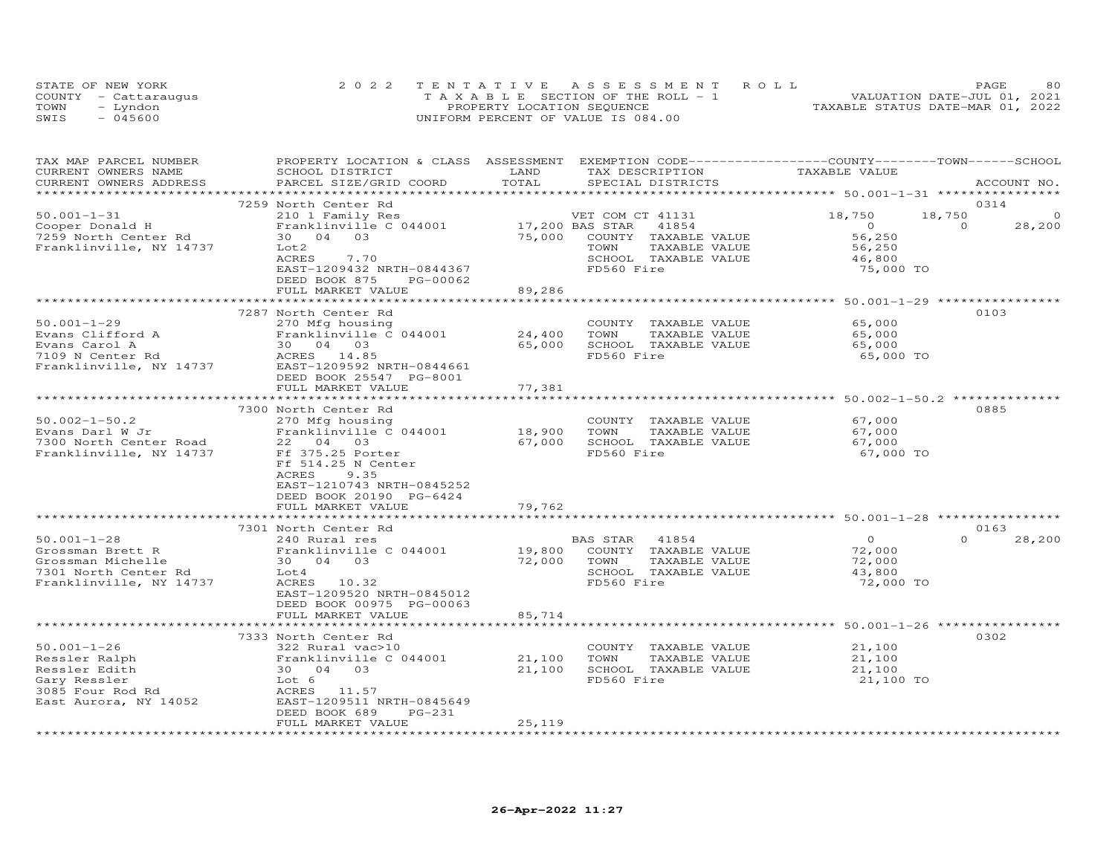| STATE OF NEW YORK |                      | 2022 TENTATIVE ASSESSMENT ROLL        |  |                                  | PAGE                        | 80 |
|-------------------|----------------------|---------------------------------------|--|----------------------------------|-----------------------------|----|
|                   | COUNTY - Cattaraugus | T A X A B L E SECTION OF THE ROLL - 1 |  |                                  | VALUATION DATE-JUL 01, 2021 |    |
| TOWN              | - Lyndon             | PROPERTY LOCATION SEQUENCE            |  | TAXABLE STATUS DATE-MAR 01, 2022 |                             |    |
| SWIS              | $-045600$            | UNIFORM PERCENT OF VALUE IS 084.00    |  |                                  |                             |    |

| TAX MAP PARCEL NUMBER<br>CURRENT OWNERS NAME<br>CURRENT OWNERS ADDRESS                                           | PROPERTY LOCATION & CLASS ASSESSMENT EXEMPTION CODE----------------COUNTY-------TOWN-----SCHOOL<br>SCHOOL DISTRICT<br>PARCEL SIZE/GRID COORD                     | LAND<br>TOTAL      | TAX DESCRIPTION<br>SPECIAL DISTRICTS                                                                     | TAXABLE VALUE                                             | ACCOUNT NO.                                      |
|------------------------------------------------------------------------------------------------------------------|------------------------------------------------------------------------------------------------------------------------------------------------------------------|--------------------|----------------------------------------------------------------------------------------------------------|-----------------------------------------------------------|--------------------------------------------------|
|                                                                                                                  |                                                                                                                                                                  |                    |                                                                                                          |                                                           |                                                  |
| $50.001 - 1 - 31$<br>Cooper Donald H                                                                             | 7259 North Center Rd<br>210 1 Family Res<br>Franklinville C 044001                                                                                               | 17,200 BAS STAR    | VET COM CT 41131<br>41854                                                                                | 18,750<br>$\overline{O}$                                  | 0314<br>18,750<br>$\Omega$<br>$\Omega$<br>28,200 |
| 7259 North Center Rd<br>Franklinville, NY 14737                                                                  | 30  04  03<br>Lot2<br>ACRES<br>7.70<br>EAST-1209432 NRTH-0844367                                                                                                 | 75,000             | COUNTY TAXABLE VALUE<br>TOWN<br>TAXABLE VALUE<br>SCHOOL TAXABLE VALUE<br>FD560 Fire                      | 56,250<br>56,250<br>46,800<br>75,000 TO                   |                                                  |
|                                                                                                                  | DEED BOOK 875<br>PG-00062<br>FULL MARKET VALUE                                                                                                                   | 89,286             |                                                                                                          |                                                           |                                                  |
|                                                                                                                  | ***********************                                                                                                                                          | ************       | ***********************************50.001-1-29 *********************************                         |                                                           |                                                  |
| $50.001 - 1 - 29$<br>Evans Clifford A<br>Evans Carol A<br>7109 N Center Rd<br>Franklinville, NY 14737            | 7287 North Center Rd<br>270 Mfg housing<br>Franklinville C 044001<br>30 04<br>ACRES 14.85<br>----1209592<br>EAST-1209592 NRTH-0844661<br>DEED BOOK 25547 PG-8001 | 24,400<br>65,000   | COUNTY TAXABLE VALUE<br>TAXABLE VALUE<br>TOWN<br>SCHOOL TAXABLE VALUE<br>FD560 Fire                      | 65,000<br>65,000<br>65,000<br>65,000 TO                   | 0103                                             |
|                                                                                                                  | FULL MARKET VALUE                                                                                                                                                | 77,381             |                                                                                                          |                                                           |                                                  |
|                                                                                                                  | 7300 North Center Rd                                                                                                                                             | *******            |                                                                                                          | *********************** 50.002-1-50.2 *********           | 0885                                             |
| $50.002 - 1 - 50.2$<br>Evans Darl W Jr<br>7300 North Center Road<br>Franklinville, NY 14737                      | 270 Mfg housing<br>Franklinville C 044001<br>22 04 03<br>Ff 375.25 Porter<br>Ff 514.25 N Center<br><b>ACRES</b><br>9.35                                          | 18,900<br>67,000   | COUNTY TAXABLE VALUE<br>TOWN<br>TAXABLE VALUE<br>SCHOOL TAXABLE VALUE<br>FD560 Fire                      | 67,000<br>67,000<br>67,000<br>67,000 TO                   |                                                  |
|                                                                                                                  | EAST-1210743 NRTH-0845252<br>DEED BOOK 20190 PG-6424<br>FULL MARKET VALUE                                                                                        | 79,762             |                                                                                                          |                                                           |                                                  |
|                                                                                                                  | 7301 North Center Rd                                                                                                                                             |                    |                                                                                                          |                                                           | 0163                                             |
| $50.001 - 1 - 28$<br>Grossman Brett R<br>Grossman Michelle<br>7301 North Center Rd<br>Franklinville, NY 14737    | 240 Rural res<br>Franklinville C 044001<br>30  04  03<br>Lot 4<br>ACRES 10.32<br>EAST-1209520 NRTH-0845012<br>DEED BOOK 00975 PG-00063                           | 19,800<br>72,000   | BAS STAR<br>41854<br>COUNTY TAXABLE VALUE<br>TOWN<br>TAXABLE VALUE<br>SCHOOL TAXABLE VALUE<br>FD560 Fire | $\overline{0}$<br>72,000<br>72,000<br>43,800<br>72,000 TO | $\Omega$<br>28,200                               |
|                                                                                                                  | FULL MARKET VALUE                                                                                                                                                | 85,714             |                                                                                                          |                                                           |                                                  |
|                                                                                                                  | ************************                                                                                                                                         | ****************** |                                                                                                          |                                                           |                                                  |
| $50.001 - 1 - 26$<br>Ressler Ralph<br>Ressler Edith<br>Gary Ressler<br>3085 Four Rod Rd<br>East Aurora, NY 14052 | 7333 North Center Rd<br>322 Rural vac>10<br>Franklinville C 044001<br>30 04 03<br>Lot 6<br>ACRES 11.57<br>EAST-1209511 NRTH-0845649<br>DEED BOOK 689<br>$PG-231$ | 21,100<br>21,100   | COUNTY TAXABLE VALUE<br>TOWN<br>TAXABLE VALUE<br>SCHOOL TAXABLE VALUE<br>FD560 Fire                      | 21,100<br>21,100<br>21,100<br>21,100 TO                   | 0302                                             |
|                                                                                                                  | FULL MARKET VALUE                                                                                                                                                | 25,119             |                                                                                                          |                                                           |                                                  |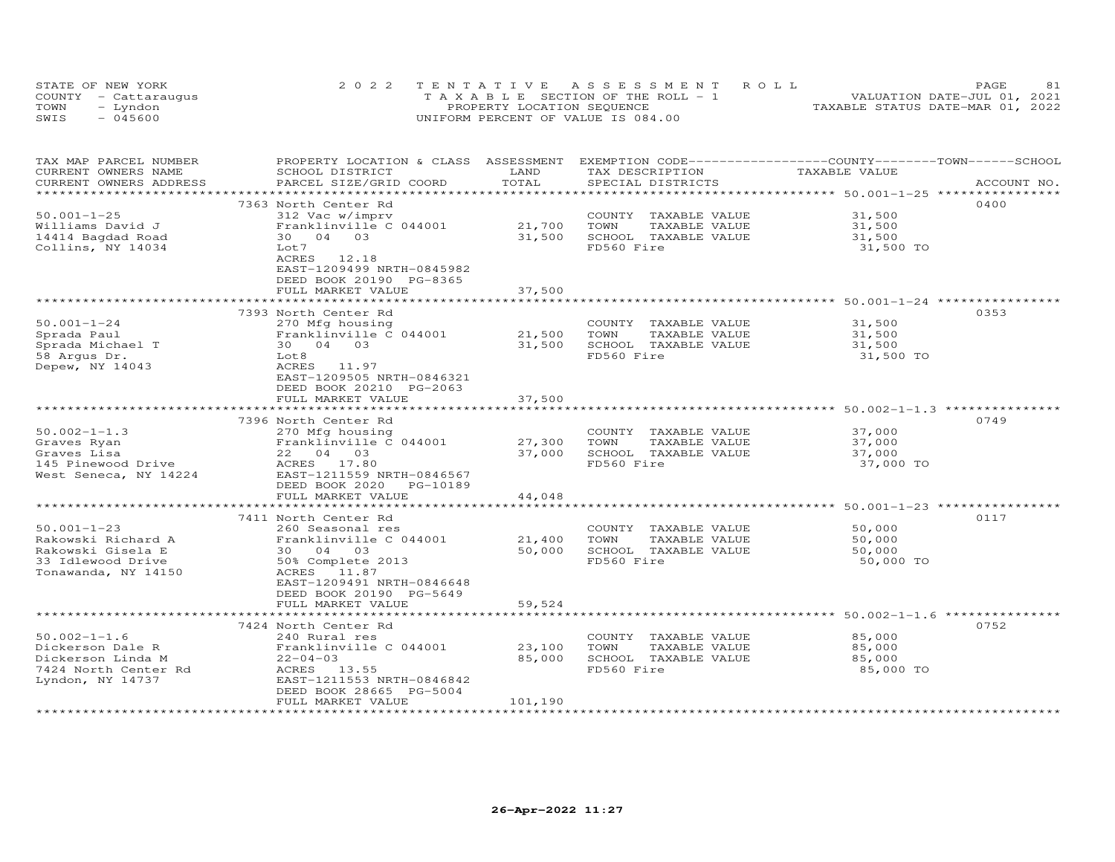|      | STATE OF NEW YORK    | 2022 TENTATIVE ASSESSMENT ROLL               | 81<br>PAGE.                      |
|------|----------------------|----------------------------------------------|----------------------------------|
|      | COUNTY - Cattaraugus | $T A X A B I F S E C T T ON OF THE ROLL - 1$ | VALUATION DATE-JUL 01, 2021      |
| TOWN | Lyndon               | PROPERTY LOCATION SEQUENCE                   | TAXABLE STATUS DATE-MAR 01, 2022 |
| SWIS | - 045600             | UNIFORM PERCENT OF VALUE IS 084.00           |                                  |

| TAX MAP PARCEL NUMBER<br>CURRENT OWNERS NAME<br>CURRENT OWNERS ADDRESS                                   | PROPERTY LOCATION & CLASS<br>SCHOOL DISTRICT<br>PARCEL SIZE/GRID COORD                                                                                                                | ASSESSMENT<br>LAND<br>TOTAL | EXEMPTION CODE-----------------COUNTY-------TOWN-----SCHOOL<br>TAX DESCRIPTION<br>SPECIAL DISTRICTS | TAXABLE VALUE                                                  | ACCOUNT NO. |
|----------------------------------------------------------------------------------------------------------|---------------------------------------------------------------------------------------------------------------------------------------------------------------------------------------|-----------------------------|-----------------------------------------------------------------------------------------------------|----------------------------------------------------------------|-------------|
|                                                                                                          |                                                                                                                                                                                       | ********                    |                                                                                                     | **************************** 50.001-1-25 ****************      |             |
| $50.001 - 1 - 25$<br>Williams David J<br>14414 Bagdad Road<br>Collins, NY 14034                          | 7363 North Center Rd<br>312 Vac w/imprv<br>Franklinville C 044001<br>30 04 03<br>Lot 7<br>ACRES<br>12.18<br>EAST-1209499 NRTH-0845982<br>DEED BOOK 20190 PG-8365<br>FULL MARKET VALUE | 21,700<br>31,500<br>37,500  | COUNTY TAXABLE VALUE<br>TOWN<br>TAXABLE VALUE<br>SCHOOL TAXABLE VALUE<br>FD560 Fire                 | 31,500<br>31,500<br>31,500<br>31,500 TO                        | 0400        |
|                                                                                                          |                                                                                                                                                                                       |                             |                                                                                                     | ******************** 50.001-1-24 **********                    |             |
| $50.001 - 1 - 24$<br>Sprada Paul<br>Sprada Michael T<br>58 Arqus Dr.<br>Depew, NY 14043                  | 7393 North Center Rd<br>270 Mfg housing<br>Franklinville C 044001<br>30 04 03<br>Lot <sub>8</sub><br>ACRES 11.97<br>EAST-1209505 NRTH-0846321<br>DEED BOOK 20210 PG-2063              | 21,500<br>31,500            | COUNTY TAXABLE VALUE<br>TOWN<br>TAXABLE VALUE<br>SCHOOL TAXABLE VALUE<br>FD560 Fire                 | 31,500<br>31,500<br>31,500<br>31,500 TO                        | 0353        |
|                                                                                                          | FULL MARKET VALUE                                                                                                                                                                     | 37,500                      |                                                                                                     |                                                                |             |
|                                                                                                          | 7396 North Center Rd                                                                                                                                                                  |                             |                                                                                                     | ******************************** 50.002-1-1.3 **************** | 0749        |
| $50.002 - 1 - 1.3$<br>Graves Ryan<br>Graves Lisa<br>145 Pinewood Drive<br>West Seneca, NY 14224          | 270 Mfg housing<br>Franklinville C 044001<br>22 04 03<br>ACRES 17.80<br>EAST-1211559 NRTH-0846567<br>DEED BOOK 2020<br>PG-10189                                                       | 27,300<br>37,000            | TAXABLE VALUE<br>COUNTY<br>TOWN<br>TAXABLE VALUE<br>SCHOOL TAXABLE VALUE<br>FD560 Fire              | 37,000<br>37,000<br>37,000<br>37,000 TO                        |             |
|                                                                                                          | FULL MARKET VALUE                                                                                                                                                                     | 44,048                      |                                                                                                     |                                                                |             |
|                                                                                                          |                                                                                                                                                                                       | ***********                 |                                                                                                     | ******************************* 50.001-1-23 *****************  |             |
| $50.001 - 1 - 23$<br>Rakowski Richard A<br>Rakowski Gisela E<br>33 Idlewood Drive<br>Tonawanda, NY 14150 | 7411 North Center Rd<br>260 Seasonal res<br>Franklinville C 044001<br>30 04 03<br>50% Complete 2013<br>ACRES 11.87<br>EAST-1209491 NRTH-0846648<br>DEED BOOK 20190 PG-5649            | 21,400<br>50,000            | COUNTY TAXABLE VALUE<br>TOWN<br>TAXABLE VALUE<br>SCHOOL TAXABLE VALUE<br>FD560 Fire                 | 50,000<br>50,000<br>50,000<br>50,000 TO                        | 0117        |
|                                                                                                          | FULL MARKET VALUE<br>***************                                                                                                                                                  | 59,524                      |                                                                                                     | ********* 50.002-1-1.6                                         |             |
| $50.002 - 1 - 1.6$<br>Dickerson Dale R<br>Dickerson Linda M<br>7424 North Center Rd<br>Lyndon, NY 14737  | 7424 North Center Rd<br>240 Rural res<br>Franklinville C 044001<br>$22 - 04 - 03$<br>ACRES 13.55<br>EAST-1211553 NRTH-0846842<br>DEED BOOK 28665 PG-5004                              | 23,100<br>85,000            | COUNTY TAXABLE VALUE<br>TOWN<br>TAXABLE VALUE<br>SCHOOL TAXABLE VALUE<br>FD560 Fire                 | 85,000<br>85,000<br>85,000<br>85,000 TO                        | 0752        |
|                                                                                                          | FULL MARKET VALUE                                                                                                                                                                     | 101,190                     |                                                                                                     |                                                                |             |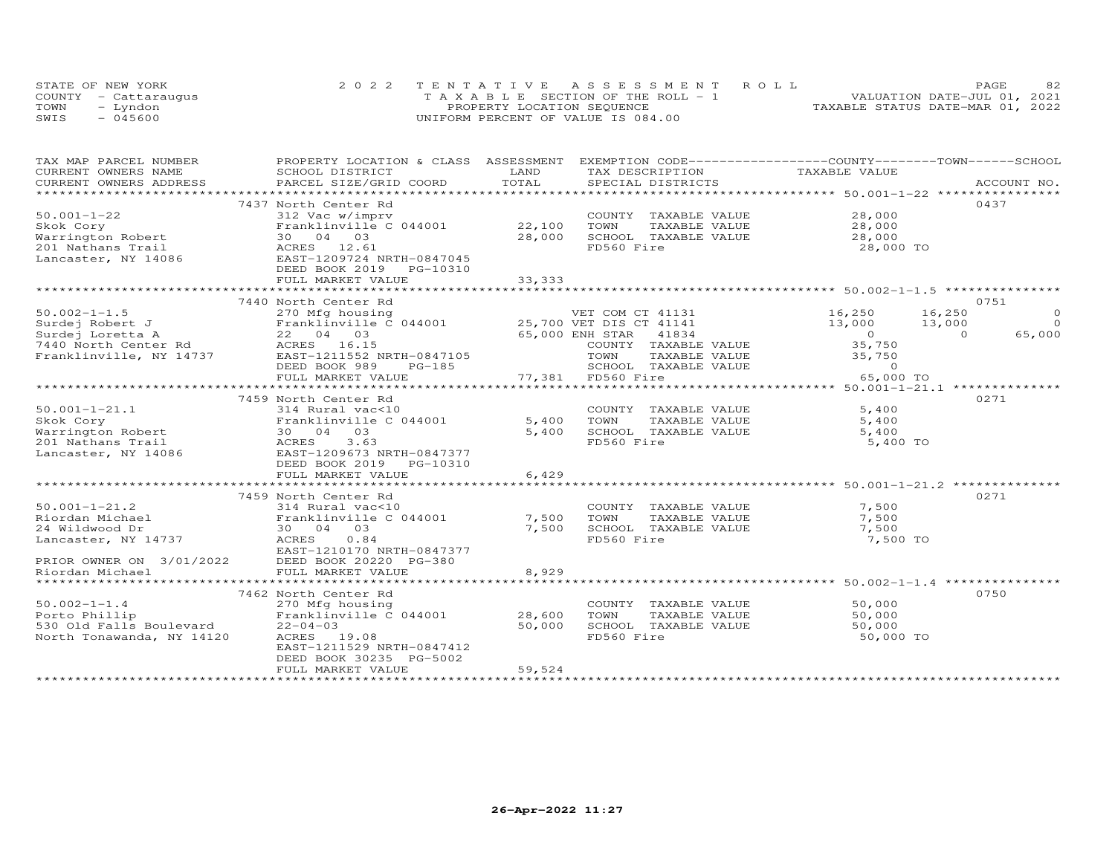|      | STATE OF NEW YORK    | 2022 TENTATIVE ASSESSMENT ROLL               | 82<br>PAGE.                      |
|------|----------------------|----------------------------------------------|----------------------------------|
|      | COUNTY - Cattaraugus | $T A X A B I F S E C T T ON OF THE ROLL - 1$ | VALUATION DATE-JUL 01, 2021      |
| TOWN | Lyndon               | PROPERTY LOCATION SEQUENCE                   | TAXABLE STATUS DATE-MAR 01, 2022 |
| SWIS | - 045600             | UNIFORM PERCENT OF VALUE IS 084.00           |                                  |

| TAXABLE VALUE<br>CURRENT OWNERS NAME<br>SCHOOL DISTRICT<br>LAND<br>TAX DESCRIPTION<br>TOTAL<br>CURRENT OWNERS ADDRESS<br>PARCEL SIZE/GRID COORD<br>SPECIAL DISTRICTS<br>ACCOUNT NO.<br>***********************<br>0437<br>7437 North Center Rd<br>$50.001 - 1 - 22$<br>28,000<br>312 Vac w/imprv<br>COUNTY TAXABLE VALUE<br>Franklinville C 044001<br>22,100<br>TOWN<br>TAXABLE VALUE<br>Skok Cory<br>28,000<br>$\frac{1}{28}$ , 000<br>SCHOOL TAXABLE VALUE<br>Warrington Robert<br>30 04 03<br>28,000<br>FD560 Fire<br>201 Nathans Trail<br>ACRES 12.61<br>28,000 TO<br>EAST-1209724 NRTH-0847045<br>Lancaster, NY 14086<br>DEED BOOK 2019 PG-10310<br>33,333<br>FULL MARKET VALUE<br>***************************<br>7440 North Center Rd<br>0751<br>16,250<br>16,250<br>270 Mfg housing<br>VET COM CT 41131<br>$\circ$<br>$\Omega$<br>13,000<br>13,000<br>3,000<br>0<br>65,000<br>22 04 03<br>65,000 ENH STAR 41834<br>$\Omega$<br>7440 North Center Rd<br>ACRES 16.15<br>EAST-1211552 NRTH-0847105<br>35,750<br>COUNTY TAXABLE VALUE<br>35,750<br>TOWN<br>TAXABLE VALUE<br>DEED BOOK 989<br>SCHOOL TAXABLE VALUE<br>PG-185<br>$\sim$ 0<br>77,381 FD560 Fire<br>FULL MARKET VALUE<br>65,000 TO<br>0271<br>7459 North Center Rd<br>$50.001 - 1 - 21.1$<br>5,400<br>314 Rural vac<10<br>COUNTY TAXABLE VALUE<br>5,400<br>Skok Cory<br>Franklinville C 044001<br>TOWN<br>TAXABLE VALUE<br>5,400<br>SCHOOL TAXABLE VALUE<br>Warrington Robert<br>30  04  03<br>5,400<br>5,400<br>FD560 Fire<br>201 Nathans Trail<br>ACRES<br>3.63<br>5,400 TO<br>EAST-1209673 NRTH-0847377<br>Lancaster, NY 14086<br>DEED BOOK 2019<br>PG-10310<br>FULL MARKET VALUE<br>6,429<br>0271<br>7459 North Center Rd<br>$50.001 - 1 - 21.2$<br>7,500<br>314 Rural vac<10<br>COUNTY TAXABLE VALUE<br>314 Kurai vacente<br>Franklinville C 044001<br>7,500<br>Riordan Michael<br>TOWN<br>7,500<br>TAXABLE VALUE<br>24 Wildwood Dr<br>7,500<br>SCHOOL TAXABLE VALUE<br>7,500<br>30 04 03<br>FD560 Fire<br>7,500 TO<br>Lancaster, NY 14737<br>ACRES 0.84<br>EAST-1210170 NRTH-0847377<br>PRIOR OWNER ON 3/01/2022<br>DEED BOOK 20220 PG-380<br>FULL MARKET VALUE<br>8,929<br>********************************<br>******************<br>0750<br>7462 North Center Rd<br>270 Mfg housing<br>COUNTY TAXABLE VALUE<br>50,000<br>28,600<br>Franklinville C 044001<br>TOWN<br>TAXABLE VALUE<br>50,000<br>530 Old Falls Boulevard<br>$22 - 04 - 03$<br>50,000<br>SCHOOL TAXABLE VALUE<br>50,000<br>FD560 Fire<br>ACRES 19.08<br>50,000 TO<br>EAST-1211529 NRTH-0847412<br>DEED BOOK 30235 PG-5002<br>59,524<br>FULL MARKET VALUE | TAX MAP PARCEL NUMBER     | PROPERTY LOCATION & CLASS ASSESSMENT EXEMPTION CODE----------------COUNTY-------TOWN------SCHOOL |  |  |
|-----------------------------------------------------------------------------------------------------------------------------------------------------------------------------------------------------------------------------------------------------------------------------------------------------------------------------------------------------------------------------------------------------------------------------------------------------------------------------------------------------------------------------------------------------------------------------------------------------------------------------------------------------------------------------------------------------------------------------------------------------------------------------------------------------------------------------------------------------------------------------------------------------------------------------------------------------------------------------------------------------------------------------------------------------------------------------------------------------------------------------------------------------------------------------------------------------------------------------------------------------------------------------------------------------------------------------------------------------------------------------------------------------------------------------------------------------------------------------------------------------------------------------------------------------------------------------------------------------------------------------------------------------------------------------------------------------------------------------------------------------------------------------------------------------------------------------------------------------------------------------------------------------------------------------------------------------------------------------------------------------------------------------------------------------------------------------------------------------------------------------------------------------------------------------------------------------------------------------------------------------------------------------------------------------------------------------------------------------------------------------------------------------------------------------------------------------------------------------------------------------------------------------------------------------------------------------------------------|---------------------------|--------------------------------------------------------------------------------------------------|--|--|
|                                                                                                                                                                                                                                                                                                                                                                                                                                                                                                                                                                                                                                                                                                                                                                                                                                                                                                                                                                                                                                                                                                                                                                                                                                                                                                                                                                                                                                                                                                                                                                                                                                                                                                                                                                                                                                                                                                                                                                                                                                                                                                                                                                                                                                                                                                                                                                                                                                                                                                                                                                                               |                           |                                                                                                  |  |  |
|                                                                                                                                                                                                                                                                                                                                                                                                                                                                                                                                                                                                                                                                                                                                                                                                                                                                                                                                                                                                                                                                                                                                                                                                                                                                                                                                                                                                                                                                                                                                                                                                                                                                                                                                                                                                                                                                                                                                                                                                                                                                                                                                                                                                                                                                                                                                                                                                                                                                                                                                                                                               |                           |                                                                                                  |  |  |
|                                                                                                                                                                                                                                                                                                                                                                                                                                                                                                                                                                                                                                                                                                                                                                                                                                                                                                                                                                                                                                                                                                                                                                                                                                                                                                                                                                                                                                                                                                                                                                                                                                                                                                                                                                                                                                                                                                                                                                                                                                                                                                                                                                                                                                                                                                                                                                                                                                                                                                                                                                                               |                           |                                                                                                  |  |  |
|                                                                                                                                                                                                                                                                                                                                                                                                                                                                                                                                                                                                                                                                                                                                                                                                                                                                                                                                                                                                                                                                                                                                                                                                                                                                                                                                                                                                                                                                                                                                                                                                                                                                                                                                                                                                                                                                                                                                                                                                                                                                                                                                                                                                                                                                                                                                                                                                                                                                                                                                                                                               |                           |                                                                                                  |  |  |
|                                                                                                                                                                                                                                                                                                                                                                                                                                                                                                                                                                                                                                                                                                                                                                                                                                                                                                                                                                                                                                                                                                                                                                                                                                                                                                                                                                                                                                                                                                                                                                                                                                                                                                                                                                                                                                                                                                                                                                                                                                                                                                                                                                                                                                                                                                                                                                                                                                                                                                                                                                                               |                           |                                                                                                  |  |  |
|                                                                                                                                                                                                                                                                                                                                                                                                                                                                                                                                                                                                                                                                                                                                                                                                                                                                                                                                                                                                                                                                                                                                                                                                                                                                                                                                                                                                                                                                                                                                                                                                                                                                                                                                                                                                                                                                                                                                                                                                                                                                                                                                                                                                                                                                                                                                                                                                                                                                                                                                                                                               |                           |                                                                                                  |  |  |
|                                                                                                                                                                                                                                                                                                                                                                                                                                                                                                                                                                                                                                                                                                                                                                                                                                                                                                                                                                                                                                                                                                                                                                                                                                                                                                                                                                                                                                                                                                                                                                                                                                                                                                                                                                                                                                                                                                                                                                                                                                                                                                                                                                                                                                                                                                                                                                                                                                                                                                                                                                                               |                           |                                                                                                  |  |  |
|                                                                                                                                                                                                                                                                                                                                                                                                                                                                                                                                                                                                                                                                                                                                                                                                                                                                                                                                                                                                                                                                                                                                                                                                                                                                                                                                                                                                                                                                                                                                                                                                                                                                                                                                                                                                                                                                                                                                                                                                                                                                                                                                                                                                                                                                                                                                                                                                                                                                                                                                                                                               |                           |                                                                                                  |  |  |
|                                                                                                                                                                                                                                                                                                                                                                                                                                                                                                                                                                                                                                                                                                                                                                                                                                                                                                                                                                                                                                                                                                                                                                                                                                                                                                                                                                                                                                                                                                                                                                                                                                                                                                                                                                                                                                                                                                                                                                                                                                                                                                                                                                                                                                                                                                                                                                                                                                                                                                                                                                                               |                           |                                                                                                  |  |  |
|                                                                                                                                                                                                                                                                                                                                                                                                                                                                                                                                                                                                                                                                                                                                                                                                                                                                                                                                                                                                                                                                                                                                                                                                                                                                                                                                                                                                                                                                                                                                                                                                                                                                                                                                                                                                                                                                                                                                                                                                                                                                                                                                                                                                                                                                                                                                                                                                                                                                                                                                                                                               |                           |                                                                                                  |  |  |
|                                                                                                                                                                                                                                                                                                                                                                                                                                                                                                                                                                                                                                                                                                                                                                                                                                                                                                                                                                                                                                                                                                                                                                                                                                                                                                                                                                                                                                                                                                                                                                                                                                                                                                                                                                                                                                                                                                                                                                                                                                                                                                                                                                                                                                                                                                                                                                                                                                                                                                                                                                                               |                           |                                                                                                  |  |  |
|                                                                                                                                                                                                                                                                                                                                                                                                                                                                                                                                                                                                                                                                                                                                                                                                                                                                                                                                                                                                                                                                                                                                                                                                                                                                                                                                                                                                                                                                                                                                                                                                                                                                                                                                                                                                                                                                                                                                                                                                                                                                                                                                                                                                                                                                                                                                                                                                                                                                                                                                                                                               |                           |                                                                                                  |  |  |
|                                                                                                                                                                                                                                                                                                                                                                                                                                                                                                                                                                                                                                                                                                                                                                                                                                                                                                                                                                                                                                                                                                                                                                                                                                                                                                                                                                                                                                                                                                                                                                                                                                                                                                                                                                                                                                                                                                                                                                                                                                                                                                                                                                                                                                                                                                                                                                                                                                                                                                                                                                                               | $50.002 - 1 - 1.5$        |                                                                                                  |  |  |
|                                                                                                                                                                                                                                                                                                                                                                                                                                                                                                                                                                                                                                                                                                                                                                                                                                                                                                                                                                                                                                                                                                                                                                                                                                                                                                                                                                                                                                                                                                                                                                                                                                                                                                                                                                                                                                                                                                                                                                                                                                                                                                                                                                                                                                                                                                                                                                                                                                                                                                                                                                                               | Surdej Robert J           |                                                                                                  |  |  |
|                                                                                                                                                                                                                                                                                                                                                                                                                                                                                                                                                                                                                                                                                                                                                                                                                                                                                                                                                                                                                                                                                                                                                                                                                                                                                                                                                                                                                                                                                                                                                                                                                                                                                                                                                                                                                                                                                                                                                                                                                                                                                                                                                                                                                                                                                                                                                                                                                                                                                                                                                                                               | Surdej Loretta A          |                                                                                                  |  |  |
|                                                                                                                                                                                                                                                                                                                                                                                                                                                                                                                                                                                                                                                                                                                                                                                                                                                                                                                                                                                                                                                                                                                                                                                                                                                                                                                                                                                                                                                                                                                                                                                                                                                                                                                                                                                                                                                                                                                                                                                                                                                                                                                                                                                                                                                                                                                                                                                                                                                                                                                                                                                               |                           |                                                                                                  |  |  |
|                                                                                                                                                                                                                                                                                                                                                                                                                                                                                                                                                                                                                                                                                                                                                                                                                                                                                                                                                                                                                                                                                                                                                                                                                                                                                                                                                                                                                                                                                                                                                                                                                                                                                                                                                                                                                                                                                                                                                                                                                                                                                                                                                                                                                                                                                                                                                                                                                                                                                                                                                                                               | Franklinville, NY 14737   |                                                                                                  |  |  |
|                                                                                                                                                                                                                                                                                                                                                                                                                                                                                                                                                                                                                                                                                                                                                                                                                                                                                                                                                                                                                                                                                                                                                                                                                                                                                                                                                                                                                                                                                                                                                                                                                                                                                                                                                                                                                                                                                                                                                                                                                                                                                                                                                                                                                                                                                                                                                                                                                                                                                                                                                                                               |                           |                                                                                                  |  |  |
|                                                                                                                                                                                                                                                                                                                                                                                                                                                                                                                                                                                                                                                                                                                                                                                                                                                                                                                                                                                                                                                                                                                                                                                                                                                                                                                                                                                                                                                                                                                                                                                                                                                                                                                                                                                                                                                                                                                                                                                                                                                                                                                                                                                                                                                                                                                                                                                                                                                                                                                                                                                               |                           |                                                                                                  |  |  |
|                                                                                                                                                                                                                                                                                                                                                                                                                                                                                                                                                                                                                                                                                                                                                                                                                                                                                                                                                                                                                                                                                                                                                                                                                                                                                                                                                                                                                                                                                                                                                                                                                                                                                                                                                                                                                                                                                                                                                                                                                                                                                                                                                                                                                                                                                                                                                                                                                                                                                                                                                                                               |                           |                                                                                                  |  |  |
|                                                                                                                                                                                                                                                                                                                                                                                                                                                                                                                                                                                                                                                                                                                                                                                                                                                                                                                                                                                                                                                                                                                                                                                                                                                                                                                                                                                                                                                                                                                                                                                                                                                                                                                                                                                                                                                                                                                                                                                                                                                                                                                                                                                                                                                                                                                                                                                                                                                                                                                                                                                               |                           |                                                                                                  |  |  |
|                                                                                                                                                                                                                                                                                                                                                                                                                                                                                                                                                                                                                                                                                                                                                                                                                                                                                                                                                                                                                                                                                                                                                                                                                                                                                                                                                                                                                                                                                                                                                                                                                                                                                                                                                                                                                                                                                                                                                                                                                                                                                                                                                                                                                                                                                                                                                                                                                                                                                                                                                                                               |                           |                                                                                                  |  |  |
|                                                                                                                                                                                                                                                                                                                                                                                                                                                                                                                                                                                                                                                                                                                                                                                                                                                                                                                                                                                                                                                                                                                                                                                                                                                                                                                                                                                                                                                                                                                                                                                                                                                                                                                                                                                                                                                                                                                                                                                                                                                                                                                                                                                                                                                                                                                                                                                                                                                                                                                                                                                               |                           |                                                                                                  |  |  |
|                                                                                                                                                                                                                                                                                                                                                                                                                                                                                                                                                                                                                                                                                                                                                                                                                                                                                                                                                                                                                                                                                                                                                                                                                                                                                                                                                                                                                                                                                                                                                                                                                                                                                                                                                                                                                                                                                                                                                                                                                                                                                                                                                                                                                                                                                                                                                                                                                                                                                                                                                                                               |                           |                                                                                                  |  |  |
|                                                                                                                                                                                                                                                                                                                                                                                                                                                                                                                                                                                                                                                                                                                                                                                                                                                                                                                                                                                                                                                                                                                                                                                                                                                                                                                                                                                                                                                                                                                                                                                                                                                                                                                                                                                                                                                                                                                                                                                                                                                                                                                                                                                                                                                                                                                                                                                                                                                                                                                                                                                               |                           |                                                                                                  |  |  |
|                                                                                                                                                                                                                                                                                                                                                                                                                                                                                                                                                                                                                                                                                                                                                                                                                                                                                                                                                                                                                                                                                                                                                                                                                                                                                                                                                                                                                                                                                                                                                                                                                                                                                                                                                                                                                                                                                                                                                                                                                                                                                                                                                                                                                                                                                                                                                                                                                                                                                                                                                                                               |                           |                                                                                                  |  |  |
|                                                                                                                                                                                                                                                                                                                                                                                                                                                                                                                                                                                                                                                                                                                                                                                                                                                                                                                                                                                                                                                                                                                                                                                                                                                                                                                                                                                                                                                                                                                                                                                                                                                                                                                                                                                                                                                                                                                                                                                                                                                                                                                                                                                                                                                                                                                                                                                                                                                                                                                                                                                               |                           |                                                                                                  |  |  |
|                                                                                                                                                                                                                                                                                                                                                                                                                                                                                                                                                                                                                                                                                                                                                                                                                                                                                                                                                                                                                                                                                                                                                                                                                                                                                                                                                                                                                                                                                                                                                                                                                                                                                                                                                                                                                                                                                                                                                                                                                                                                                                                                                                                                                                                                                                                                                                                                                                                                                                                                                                                               |                           |                                                                                                  |  |  |
|                                                                                                                                                                                                                                                                                                                                                                                                                                                                                                                                                                                                                                                                                                                                                                                                                                                                                                                                                                                                                                                                                                                                                                                                                                                                                                                                                                                                                                                                                                                                                                                                                                                                                                                                                                                                                                                                                                                                                                                                                                                                                                                                                                                                                                                                                                                                                                                                                                                                                                                                                                                               |                           |                                                                                                  |  |  |
|                                                                                                                                                                                                                                                                                                                                                                                                                                                                                                                                                                                                                                                                                                                                                                                                                                                                                                                                                                                                                                                                                                                                                                                                                                                                                                                                                                                                                                                                                                                                                                                                                                                                                                                                                                                                                                                                                                                                                                                                                                                                                                                                                                                                                                                                                                                                                                                                                                                                                                                                                                                               |                           |                                                                                                  |  |  |
|                                                                                                                                                                                                                                                                                                                                                                                                                                                                                                                                                                                                                                                                                                                                                                                                                                                                                                                                                                                                                                                                                                                                                                                                                                                                                                                                                                                                                                                                                                                                                                                                                                                                                                                                                                                                                                                                                                                                                                                                                                                                                                                                                                                                                                                                                                                                                                                                                                                                                                                                                                                               |                           |                                                                                                  |  |  |
|                                                                                                                                                                                                                                                                                                                                                                                                                                                                                                                                                                                                                                                                                                                                                                                                                                                                                                                                                                                                                                                                                                                                                                                                                                                                                                                                                                                                                                                                                                                                                                                                                                                                                                                                                                                                                                                                                                                                                                                                                                                                                                                                                                                                                                                                                                                                                                                                                                                                                                                                                                                               |                           |                                                                                                  |  |  |
|                                                                                                                                                                                                                                                                                                                                                                                                                                                                                                                                                                                                                                                                                                                                                                                                                                                                                                                                                                                                                                                                                                                                                                                                                                                                                                                                                                                                                                                                                                                                                                                                                                                                                                                                                                                                                                                                                                                                                                                                                                                                                                                                                                                                                                                                                                                                                                                                                                                                                                                                                                                               |                           |                                                                                                  |  |  |
|                                                                                                                                                                                                                                                                                                                                                                                                                                                                                                                                                                                                                                                                                                                                                                                                                                                                                                                                                                                                                                                                                                                                                                                                                                                                                                                                                                                                                                                                                                                                                                                                                                                                                                                                                                                                                                                                                                                                                                                                                                                                                                                                                                                                                                                                                                                                                                                                                                                                                                                                                                                               |                           |                                                                                                  |  |  |
|                                                                                                                                                                                                                                                                                                                                                                                                                                                                                                                                                                                                                                                                                                                                                                                                                                                                                                                                                                                                                                                                                                                                                                                                                                                                                                                                                                                                                                                                                                                                                                                                                                                                                                                                                                                                                                                                                                                                                                                                                                                                                                                                                                                                                                                                                                                                                                                                                                                                                                                                                                                               |                           |                                                                                                  |  |  |
|                                                                                                                                                                                                                                                                                                                                                                                                                                                                                                                                                                                                                                                                                                                                                                                                                                                                                                                                                                                                                                                                                                                                                                                                                                                                                                                                                                                                                                                                                                                                                                                                                                                                                                                                                                                                                                                                                                                                                                                                                                                                                                                                                                                                                                                                                                                                                                                                                                                                                                                                                                                               | Riordan Michael           |                                                                                                  |  |  |
|                                                                                                                                                                                                                                                                                                                                                                                                                                                                                                                                                                                                                                                                                                                                                                                                                                                                                                                                                                                                                                                                                                                                                                                                                                                                                                                                                                                                                                                                                                                                                                                                                                                                                                                                                                                                                                                                                                                                                                                                                                                                                                                                                                                                                                                                                                                                                                                                                                                                                                                                                                                               |                           |                                                                                                  |  |  |
|                                                                                                                                                                                                                                                                                                                                                                                                                                                                                                                                                                                                                                                                                                                                                                                                                                                                                                                                                                                                                                                                                                                                                                                                                                                                                                                                                                                                                                                                                                                                                                                                                                                                                                                                                                                                                                                                                                                                                                                                                                                                                                                                                                                                                                                                                                                                                                                                                                                                                                                                                                                               |                           |                                                                                                  |  |  |
|                                                                                                                                                                                                                                                                                                                                                                                                                                                                                                                                                                                                                                                                                                                                                                                                                                                                                                                                                                                                                                                                                                                                                                                                                                                                                                                                                                                                                                                                                                                                                                                                                                                                                                                                                                                                                                                                                                                                                                                                                                                                                                                                                                                                                                                                                                                                                                                                                                                                                                                                                                                               | $50.002 - 1 - 1.4$        |                                                                                                  |  |  |
|                                                                                                                                                                                                                                                                                                                                                                                                                                                                                                                                                                                                                                                                                                                                                                                                                                                                                                                                                                                                                                                                                                                                                                                                                                                                                                                                                                                                                                                                                                                                                                                                                                                                                                                                                                                                                                                                                                                                                                                                                                                                                                                                                                                                                                                                                                                                                                                                                                                                                                                                                                                               | Porto Phillip             |                                                                                                  |  |  |
|                                                                                                                                                                                                                                                                                                                                                                                                                                                                                                                                                                                                                                                                                                                                                                                                                                                                                                                                                                                                                                                                                                                                                                                                                                                                                                                                                                                                                                                                                                                                                                                                                                                                                                                                                                                                                                                                                                                                                                                                                                                                                                                                                                                                                                                                                                                                                                                                                                                                                                                                                                                               |                           |                                                                                                  |  |  |
|                                                                                                                                                                                                                                                                                                                                                                                                                                                                                                                                                                                                                                                                                                                                                                                                                                                                                                                                                                                                                                                                                                                                                                                                                                                                                                                                                                                                                                                                                                                                                                                                                                                                                                                                                                                                                                                                                                                                                                                                                                                                                                                                                                                                                                                                                                                                                                                                                                                                                                                                                                                               | North Tonawanda, NY 14120 |                                                                                                  |  |  |
|                                                                                                                                                                                                                                                                                                                                                                                                                                                                                                                                                                                                                                                                                                                                                                                                                                                                                                                                                                                                                                                                                                                                                                                                                                                                                                                                                                                                                                                                                                                                                                                                                                                                                                                                                                                                                                                                                                                                                                                                                                                                                                                                                                                                                                                                                                                                                                                                                                                                                                                                                                                               |                           |                                                                                                  |  |  |
|                                                                                                                                                                                                                                                                                                                                                                                                                                                                                                                                                                                                                                                                                                                                                                                                                                                                                                                                                                                                                                                                                                                                                                                                                                                                                                                                                                                                                                                                                                                                                                                                                                                                                                                                                                                                                                                                                                                                                                                                                                                                                                                                                                                                                                                                                                                                                                                                                                                                                                                                                                                               |                           |                                                                                                  |  |  |
|                                                                                                                                                                                                                                                                                                                                                                                                                                                                                                                                                                                                                                                                                                                                                                                                                                                                                                                                                                                                                                                                                                                                                                                                                                                                                                                                                                                                                                                                                                                                                                                                                                                                                                                                                                                                                                                                                                                                                                                                                                                                                                                                                                                                                                                                                                                                                                                                                                                                                                                                                                                               |                           |                                                                                                  |  |  |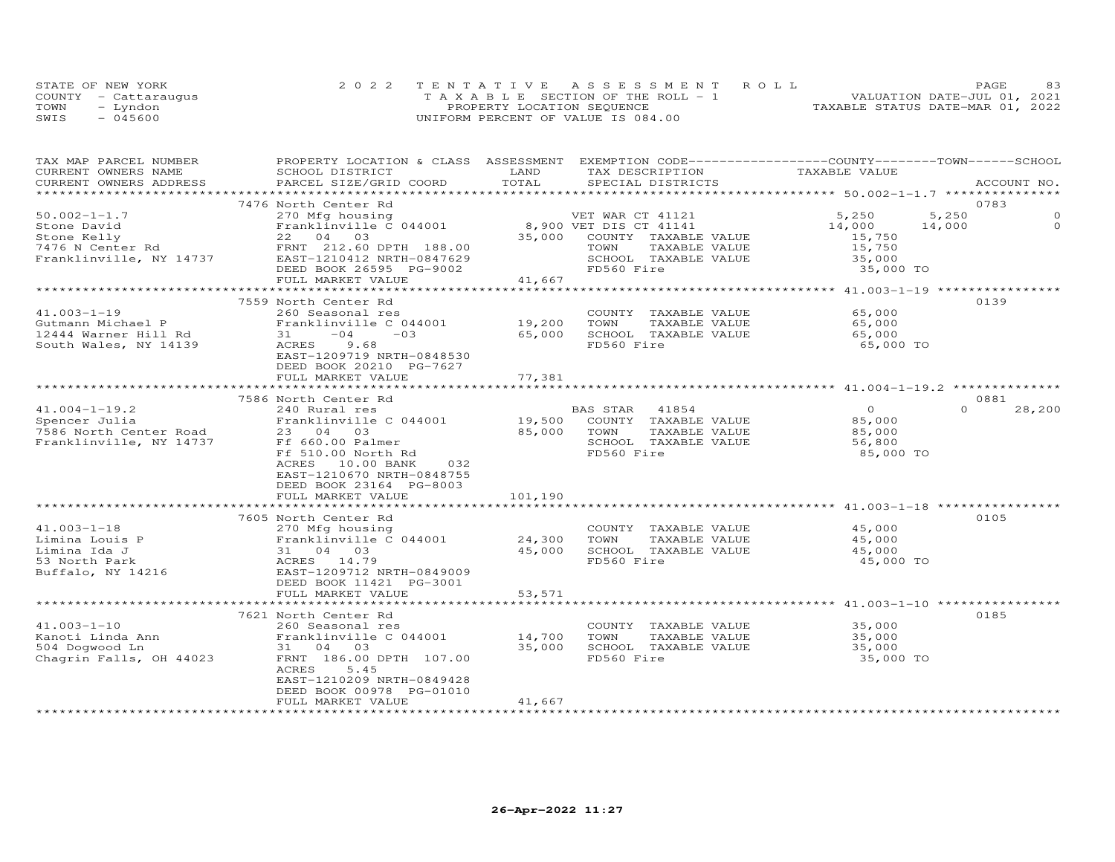|      | STATE OF NEW YORK    | 2022 TENTATIVE ASSESSMENT ROLL     | PAGE.                            | 83 |
|------|----------------------|------------------------------------|----------------------------------|----|
|      | COUNTY - Cattaraugus | TAXABLE SECTION OF THE ROLL - 1    | VALUATION DATE-JUL 01, 2021      |    |
| TOWN | - Lyndon             | PROPERTY LOCATION SEQUENCE         | TAXABLE STATUS DATE-MAR 01, 2022 |    |
| SWIS | $-045600$            | UNIFORM PERCENT OF VALUE IS 084.00 |                                  |    |

| TAX MAP PARCEL NUMBER<br>CURRENT OWNERS NAME | PROPERTY LOCATION & CLASS ASSESSMENT EXEMPTION CODE----------------COUNTY-------TOWN------SCHOOL<br>SCHOOL DISTRICT | LAND<br>TOTAL | TAX DESCRIPTION        | TAXABLE VALUE  |                      |
|----------------------------------------------|---------------------------------------------------------------------------------------------------------------------|---------------|------------------------|----------------|----------------------|
| CURRENT OWNERS ADDRESS                       | PARCEL SIZE/GRID COORD                                                                                              |               | SPECIAL DISTRICTS      |                | ACCOUNT NO.          |
|                                              | 7476 North Center Rd                                                                                                |               |                        |                | 0783                 |
| $50.002 - 1 - 1.7$                           | 270 Mfg housing                                                                                                     |               | VET WAR CT 41121       | 5,250          | 5,250<br>$\mathbf 0$ |
| Stone David                                  | Franklinville C 044001                                                                                              |               | 8,900 VET DIS CT 41141 | 14,000         | $\Omega$<br>14,000   |
| Stone Kelly                                  | 22 04 03                                                                                                            | 35,000        | COUNTY TAXABLE VALUE   | 15,750         |                      |
| 7476 N Center Rd                             | FRNT 212.60 DPTH 188.00                                                                                             |               | TOWN<br>TAXABLE VALUE  | 15,750         |                      |
| Franklinville, NY 14737                      | EAST-1210412 NRTH-0847629                                                                                           |               | SCHOOL TAXABLE VALUE   | 35,000         |                      |
|                                              | DEED BOOK 26595 PG-9002                                                                                             |               | FD560 Fire             | 35,000 TO      |                      |
|                                              | FULL MARKET VALUE                                                                                                   | 41,667        |                        |                |                      |
|                                              |                                                                                                                     |               |                        |                |                      |
|                                              | 7559 North Center Rd                                                                                                |               |                        |                | 0139                 |
| $41.003 - 1 - 19$                            | 260 Seasonal res                                                                                                    |               | COUNTY TAXABLE VALUE   | 65,000         |                      |
| Gutmann Michael P                            | Franklinville C 044001                                                                                              | 19,200        | TOWN<br>TAXABLE VALUE  | 65,000         |                      |
| 12444 Warner Hill Rd                         | 31<br>$-04$<br>$-0.3$                                                                                               | 65,000        | SCHOOL TAXABLE VALUE   | 65,000         |                      |
| South Wales, NY 14139                        | ACRES<br>9.68                                                                                                       |               | FD560 Fire             | 65,000 TO      |                      |
|                                              | EAST-1209719 NRTH-0848530                                                                                           |               |                        |                |                      |
|                                              | DEED BOOK 20210 PG-7627                                                                                             |               |                        |                |                      |
|                                              | FULL MARKET VALUE                                                                                                   | 77,381        |                        |                |                      |
|                                              |                                                                                                                     |               |                        |                |                      |
|                                              | 7586 North Center Rd                                                                                                |               |                        |                | 0881                 |
| $41.004 - 1 - 19.2$                          | 240 Rural res                                                                                                       |               | BAS STAR<br>41854      | $\overline{O}$ | $\Omega$<br>28,200   |
| Spencer Julia                                | Franklinville C 044001                                                                                              | 19,500        | COUNTY TAXABLE VALUE   | 85,000         |                      |
| 7586 North Center Road                       | 23 04 03                                                                                                            | 85,000        | TOWN<br>TAXABLE VALUE  | 85,000         |                      |
| Franklinville, NY 14737                      | Ff 660.00 Palmer                                                                                                    |               | SCHOOL TAXABLE VALUE   | 56,800         |                      |
|                                              | Ff 510.00 North Rd                                                                                                  |               | FD560 Fire             | 85,000 TO      |                      |
|                                              | 032<br>ACRES<br>10.00 BANK                                                                                          |               |                        |                |                      |
|                                              | EAST-1210670 NRTH-0848755                                                                                           |               |                        |                |                      |
|                                              | DEED BOOK 23164 PG-8003                                                                                             |               |                        |                |                      |
|                                              | FULL MARKET VALUE                                                                                                   | 101,190       |                        |                |                      |
|                                              | **************************                                                                                          |               |                        |                |                      |
|                                              | 7605 North Center Rd                                                                                                |               |                        |                | 0105                 |
| $41.003 - 1 - 18$                            | 270 Mfg housing                                                                                                     |               | COUNTY TAXABLE VALUE   | 45,000         |                      |
| Limina Louis P                               | Franklinville C 044001                                                                                              | 24,300        | TOWN<br>TAXABLE VALUE  | 45,000         |                      |
| Limina Ida J                                 | 31 04 03                                                                                                            | 45,000        | SCHOOL TAXABLE VALUE   | 45,000         |                      |
| 53 North Park                                | ACRES 14.79                                                                                                         |               | FD560 Fire             | 45,000 TO      |                      |
| Buffalo, NY 14216                            | EAST-1209712 NRTH-0849009                                                                                           |               |                        |                |                      |
|                                              | DEED BOOK 11421 PG-3001                                                                                             |               |                        |                |                      |
|                                              | FULL MARKET VALUE                                                                                                   | 53,571        |                        |                |                      |
|                                              | **************************                                                                                          |               |                        |                |                      |
|                                              | 7621 North Center Rd                                                                                                |               |                        |                | 0185                 |
| $41.003 - 1 - 10$                            | 260 Seasonal res                                                                                                    |               | COUNTY TAXABLE VALUE   | 35,000         |                      |
| Kanoti Linda Ann                             | Franklinville C 044001                                                                                              | 14,700        | TOWN<br>TAXABLE VALUE  | 35,000         |                      |
| 504 Dogwood Ln                               | 31 04 03                                                                                                            | 35,000        | SCHOOL TAXABLE VALUE   | 35,000         |                      |
| Chagrin Falls, OH 44023                      | FRNT 186.00 DPTH 107.00                                                                                             |               | FD560 Fire             | 35,000 TO      |                      |
|                                              | 5.45<br>ACRES                                                                                                       |               |                        |                |                      |
|                                              | EAST-1210209 NRTH-0849428                                                                                           |               |                        |                |                      |
|                                              | DEED BOOK 00978 PG-01010                                                                                            |               |                        |                |                      |
|                                              | FULL MARKET VALUE                                                                                                   | 41,667        |                        |                |                      |
|                                              |                                                                                                                     |               |                        |                |                      |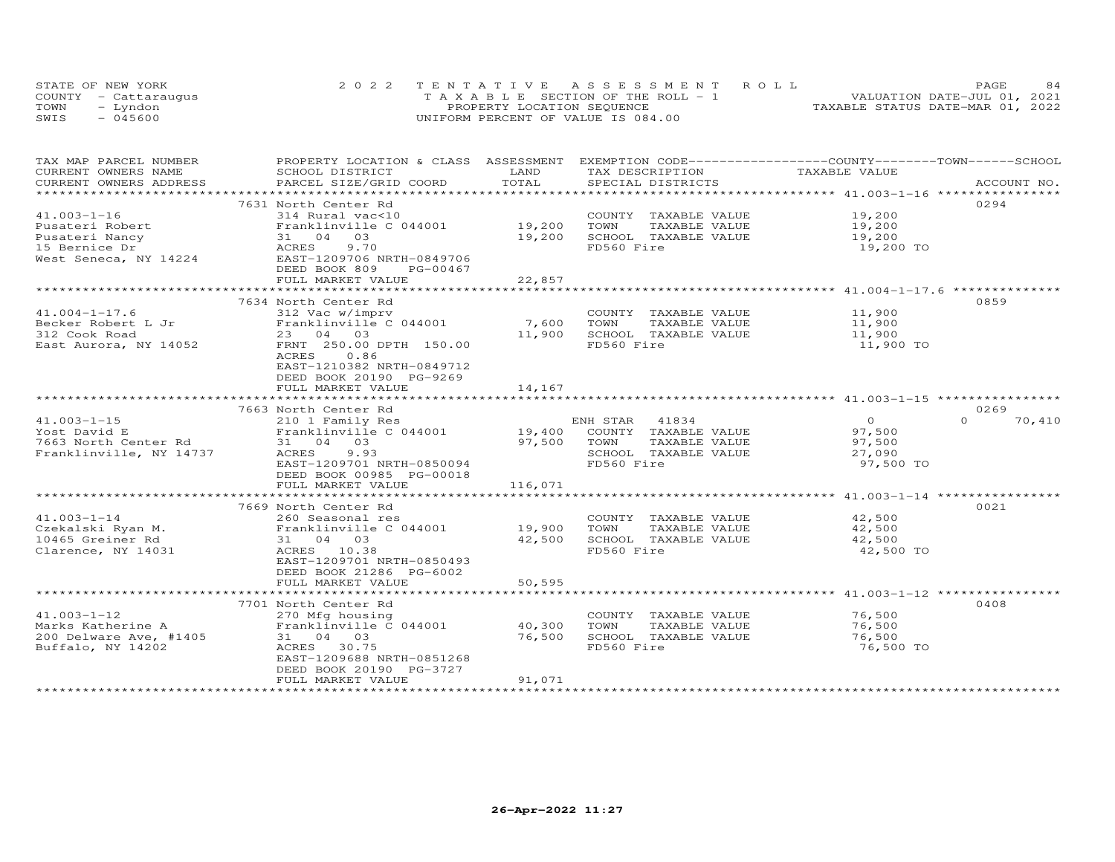|      | STATE OF NEW YORK    | 2022 TENTATIVE ASSESSMENT ROLL        | 84<br>PAGE                       |
|------|----------------------|---------------------------------------|----------------------------------|
|      | COUNTY - Cattaraugus | T A X A B L E SECTION OF THE ROLL - 1 | VALUATION DATE-JUL 01, 2021      |
| TOWN | Lyndon               | PROPERTY LOCATION SEQUENCE            | TAXABLE STATUS DATE-MAR 01, 2022 |
| SWIS | - 045600             | UNIFORM PERCENT OF VALUE IS 084.00    |                                  |

| TAX MAP PARCEL NUMBER<br>CURRENT OWNERS NAME      | PROPERTY LOCATION & CLASS ASSESSMENT EXEMPTION CODE----------------COUNTY-------TOWN------SCHOOL<br>SCHOOL DISTRICT                      | LAND    | TAX DESCRIPTION             | TAXABLE VALUE |                    |
|---------------------------------------------------|------------------------------------------------------------------------------------------------------------------------------------------|---------|-----------------------------|---------------|--------------------|
| CURRENT OWNERS ADDRESS<br>*********************** |                                                                                                                                          | TOTAL   |                             |               |                    |
|                                                   | 7631 North Center Rd                                                                                                                     |         |                             |               | 0294               |
| $41.003 - 1 - 16$                                 | 314 Rural vac<10                                                                                                                         |         | COUNTY TAXABLE VALUE 19,200 |               |                    |
| Pusateri Robert                                   |                                                                                                                                          |         | TAXABLE VALUE               | 19,200        |                    |
| Pusateri Nancy                                    | $\begin{array}{c} 31 \\ \text{ACRES} \\ \overline{\blacksquare^{\wedge}\mathsf{ST}}\neg 120 \end{array}$<br>31 04 03                     | 19,200  | SCHOOL TAXABLE VALUE        | 19,200        |                    |
| 15 Bernice Dr                                     | 9.70                                                                                                                                     |         | FD560 Fire                  | 19,200 TO     |                    |
|                                                   | West Seneca, NY 14224 EAST-1209706 NRTH-0849706                                                                                          |         |                             |               |                    |
|                                                   | DEED BOOK 809<br>PG-00467<br>FULL MARKET VALUE                                                                                           | 22,857  |                             |               |                    |
|                                                   |                                                                                                                                          |         |                             |               |                    |
|                                                   | 7634 North Center Rd                                                                                                                     |         |                             |               | 0859               |
| $41.004 - 1 - 17.6$                               | 312 Vac w/imprv                                                                                                                          |         | COUNTY TAXABLE VALUE        | 11,900        |                    |
| Becker Robert L Jr                                | Franklinville C 044001 7,600                                                                                                             |         | TOWN<br>TAXABLE VALUE       | 11,900        |                    |
| 312 Cook Road                                     | 23 04 03                                                                                                                                 | 11,900  | SCHOOL TAXABLE VALUE        | 11,900        |                    |
| East Aurora, NY 14052                             | FRNT 250.00 DPTH 150.00                                                                                                                  |         | FD560 Fire                  | 11,900 TO     |                    |
|                                                   | 0.86<br>ACRES                                                                                                                            |         |                             |               |                    |
|                                                   | EAST-1210382 NRTH-0849712                                                                                                                |         |                             |               |                    |
|                                                   | DEED BOOK 20190 PG-9269<br>FULL MARKET VALUE                                                                                             | 14,167  |                             |               |                    |
|                                                   |                                                                                                                                          |         |                             |               |                    |
|                                                   | 7663 North Center Rd                                                                                                                     |         |                             |               | 0269               |
| $41.003 - 1 - 15$                                 | NULLI UNIVERSITY NEWSLAUD ENH STAR 41834<br>210 1 Family Res 19,400 COUNTY TAXABLE VALUE 97,500<br>27 500 1000 1000 TAXABLE VALUE 97,500 |         |                             |               | $\Omega$<br>70,410 |
| Yost David E<br>7663 North Center Rd              |                                                                                                                                          |         |                             |               |                    |
|                                                   |                                                                                                                                          |         |                             |               |                    |
| Franklinville, NY 14737                           | ACRES<br>9.93                                                                                                                            |         | SCHOOL TAXABLE VALUE        | 27,090        |                    |
|                                                   | EAST-1209701 NRTH-0850094                                                                                                                |         | FD560 Fire                  | 97,500 TO     |                    |
|                                                   | DEED BOOK 00985 PG-00018                                                                                                                 |         |                             |               |                    |
|                                                   | FULL MARKET VALUE                                                                                                                        | 116,071 |                             |               |                    |
|                                                   | 7669 North Center Rd                                                                                                                     |         |                             |               | 0021               |
| $41.003 - 1 - 14$                                 |                                                                                                                                          |         | COUNTY TAXABLE VALUE 42,500 |               |                    |
| Czekalski Ryan M.<br>10465 Greiner Rd             | 260 Seasonal res<br>Franklinville C 044001 19,900 TOWN                                                                                   |         | TAXABLE VALUE               | 42,500        |                    |
| 10465 Greiner Rd                                  | 31 04 03                                                                                                                                 | 42,500  | SCHOOL TAXABLE VALUE        | 42,500        |                    |
| Clarence, NY 14031                                | ACRES 10.38                                                                                                                              |         | FD560 Fire                  | 42,500 TO     |                    |
|                                                   | EAST-1209701 NRTH-0850493                                                                                                                |         |                             |               |                    |
|                                                   | DEED BOOK 21286 PG-6002                                                                                                                  |         |                             |               |                    |
|                                                   | FULL MARKET VALUE                                                                                                                        | 50,595  |                             |               |                    |
|                                                   | 7701 North Center Rd                                                                                                                     |         |                             |               | 0408               |
| $41.003 - 1 - 12$                                 | 270 Mfg housing                                                                                                                          |         | COUNTY TAXABLE VALUE        | 76,500        |                    |
| Marks Katherine A                                 | Franklinville C 044001                                                                                                                   | 40,300  | TOWN<br>TAXABLE VALUE       | 76,500        |                    |
| 200 Delware Ave, #1405                            | 31 04 03                                                                                                                                 | 76,500  | SCHOOL TAXABLE VALUE        | 76,500        |                    |
| Buffalo, NY 14202                                 | ACRES 30.75                                                                                                                              |         | FD560 Fire                  | 76,500 TO     |                    |
|                                                   | EAST-1209688 NRTH-0851268                                                                                                                |         |                             |               |                    |
|                                                   | DEED BOOK 20190 PG-3727                                                                                                                  |         |                             |               |                    |
|                                                   | FULL MARKET VALUE                                                                                                                        | 91,071  |                             |               |                    |
|                                                   |                                                                                                                                          |         |                             |               |                    |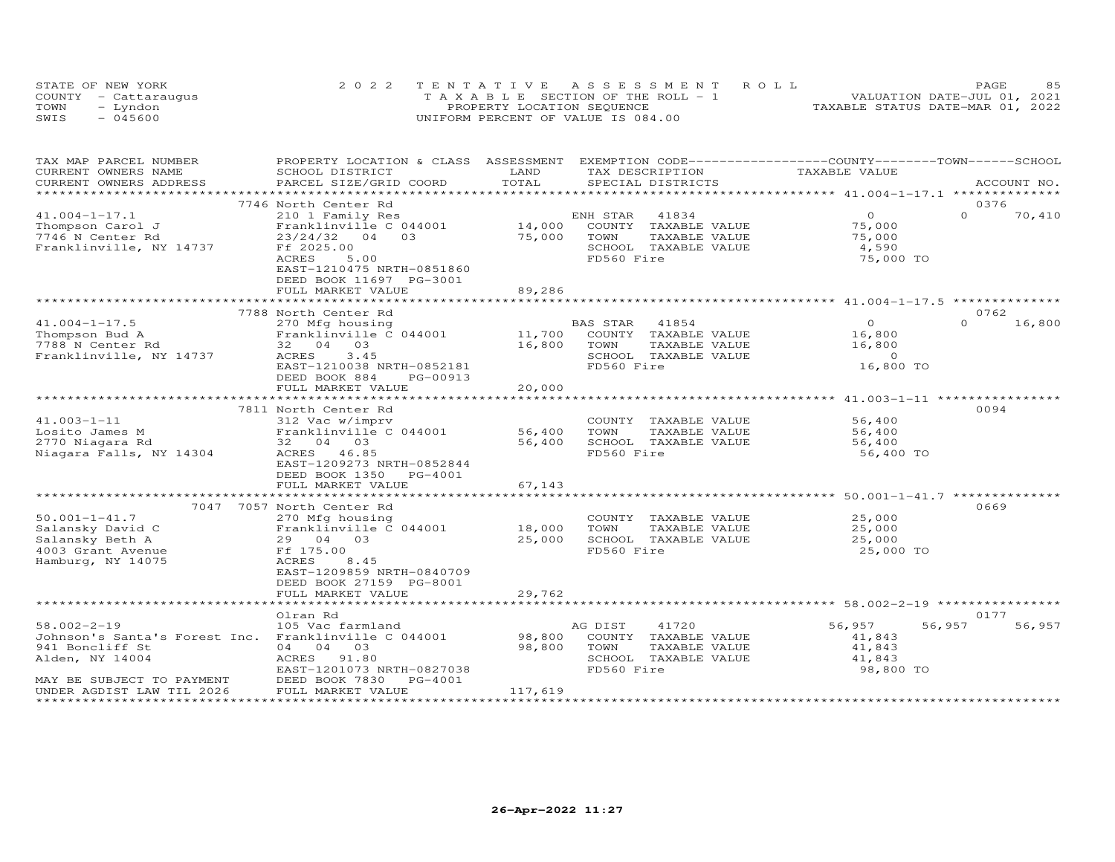|      | STATE OF NEW YORK    | 2022 TENTATIVE ASSESSMENT ROLL        | 8.5<br>PAGE                      |
|------|----------------------|---------------------------------------|----------------------------------|
|      | COUNTY - Cattarauqus | T A X A B L E SECTION OF THE ROLL - 1 | VALUATION DATE-JUL 01, 2021      |
| TOWN | - Lyndon             | PROPERTY LOCATION SEQUENCE            | TAXABLE STATUS DATE-MAR 01, 2022 |
| SWIS | $-045600$            | UNIFORM PERCENT OF VALUE IS 084.00    |                                  |

| TAX MAP PARCEL NUMBER<br>CURRENT OWNERS NAME         | PROPERTY LOCATION & CLASS ASSESSMENT<br>SCHOOL DISTRICT | LAND      |            | TAX DESCRIPTION      | EXEMPTION CODE-----------------COUNTY-------TOWN------SCHOOL<br>TAXABLE VALUE |          |             |
|------------------------------------------------------|---------------------------------------------------------|-----------|------------|----------------------|-------------------------------------------------------------------------------|----------|-------------|
| CURRENT OWNERS ADDRESS                               | PARCEL SIZE/GRID COORD                                  | TOTAL     |            | SPECIAL DISTRICTS    |                                                                               |          | ACCOUNT NO. |
| **********************                               |                                                         |           |            |                      |                                                                               |          |             |
|                                                      | 7746 North Center Rd                                    |           |            |                      |                                                                               |          | 0376        |
| $41.004 - 1 - 17.1$                                  | 210 1 Family Res                                        |           | ENH STAR   | 41834                | $\overline{O}$                                                                | $\Omega$ | 70,410      |
| Thompson Carol J                                     | Franklinville C 044001                                  | 14,000    |            | COUNTY TAXABLE VALUE | 75,000                                                                        |          |             |
| 7746 N Center Rd                                     | $23/24/32$ 04<br>03                                     | 75,000    | TOWN       | TAXABLE VALUE        | 75,000                                                                        |          |             |
| Franklinville, NY 14737                              | Ff 2025.00                                              |           |            | SCHOOL TAXABLE VALUE | 4,590                                                                         |          |             |
|                                                      | ACRES<br>5.00<br>EAST-1210475 NRTH-0851860              |           | FD560 Fire |                      | 75,000 TO                                                                     |          |             |
|                                                      | DEED BOOK 11697 PG-3001                                 |           |            |                      |                                                                               |          |             |
|                                                      | FULL MARKET VALUE                                       | 89,286    |            |                      |                                                                               |          |             |
|                                                      |                                                         |           |            |                      |                                                                               |          |             |
|                                                      | 7788 North Center Rd                                    |           |            |                      |                                                                               |          | 0762        |
| $41.004 - 1 - 17.5$                                  | 270 Mfg housing                                         |           | BAS STAR   | 41854                | $\Omega$                                                                      | $\Omega$ | 16,800      |
| Thompson Bud A                                       | Franklinville C 044001                                  | 11,700    |            | COUNTY TAXABLE VALUE | 16,800                                                                        |          |             |
| 7788 N Center Rd                                     | 32 04 03                                                | 16,800    | TOWN       | TAXABLE VALUE        | 16,800                                                                        |          |             |
| Franklinville, NY 14737                              | ACRES<br>3.45                                           |           |            | SCHOOL TAXABLE VALUE | $\Omega$                                                                      |          |             |
|                                                      | EAST-1210038 NRTH-0852181                               |           | FD560 Fire |                      | 16,800 TO                                                                     |          |             |
|                                                      | DEED BOOK 884<br>PG-00913                               |           |            |                      |                                                                               |          |             |
|                                                      | FULL MARKET VALUE                                       | 20,000    |            |                      |                                                                               |          |             |
|                                                      | ***********************                                 | ********* |            |                      | *********** 41.003-1-11 ***********                                           |          |             |
|                                                      | 7811 North Center Rd                                    |           |            |                      |                                                                               |          | 0094        |
| $41.003 - 1 - 11$                                    | 312 Vac w/imprv                                         |           |            | COUNTY TAXABLE VALUE | 56,400                                                                        |          |             |
| Losito James M                                       | Franklinville C 044001                                  | 56,400    | TOWN       | TAXABLE VALUE        | 56,400                                                                        |          |             |
| 2770 Niagara Rd                                      | 32 04 03                                                | 56,400    |            | SCHOOL TAXABLE VALUE | 56,400                                                                        |          |             |
| Niagara Falls, NY 14304                              | ACRES 46.85                                             |           | FD560 Fire |                      | 56,400 TO                                                                     |          |             |
|                                                      | EAST-1209273 NRTH-0852844                               |           |            |                      |                                                                               |          |             |
|                                                      | DEED BOOK 1350 PG-4001                                  |           |            |                      |                                                                               |          |             |
|                                                      | FULL MARKET VALUE                                       | 67,143    |            |                      |                                                                               |          |             |
|                                                      | 7047 7057 North Center Rd                               |           |            |                      |                                                                               |          | 0669        |
| $50.001 - 1 - 41.7$                                  | 270 Mfg housing                                         |           |            | COUNTY TAXABLE VALUE | 25,000                                                                        |          |             |
| Salansky David C                                     | Franklinville C 044001                                  | 18,000    | TOWN       | TAXABLE VALUE        | 25,000                                                                        |          |             |
| Salansky Beth A                                      | 29 04 03                                                | 25,000    |            | SCHOOL TAXABLE VALUE | 25,000                                                                        |          |             |
| 4003 Grant Avenue                                    | Ff 175.00                                               |           | FD560 Fire |                      | 25,000 TO                                                                     |          |             |
| Hamburg, NY 14075                                    | 8.45<br>ACRES                                           |           |            |                      |                                                                               |          |             |
|                                                      | EAST-1209859 NRTH-0840709                               |           |            |                      |                                                                               |          |             |
|                                                      | DEED BOOK 27159 PG-8001                                 |           |            |                      |                                                                               |          |             |
|                                                      | FULL MARKET VALUE                                       | 29,762    |            |                      |                                                                               |          |             |
|                                                      |                                                         |           |            |                      | *********************** 58.002-2-19 *****************                         |          |             |
|                                                      | Olran Rd                                                |           |            |                      |                                                                               |          | 0177        |
| $58.002 - 2 - 19$                                    | 105 Vac farmland                                        |           | AG DIST    | 41720                | 56,957                                                                        | 56,957   | 56,957      |
| Johnson's Santa's Forest Inc. Franklinville C 044001 |                                                         | 98,800    |            | COUNTY TAXABLE VALUE | 41,843                                                                        |          |             |
| 941 Boncliff St                                      | 04 04 03                                                | 98,800    | TOWN       | TAXABLE VALUE        | 41,843                                                                        |          |             |
| Alden, NY 14004                                      | ACRES 91.80                                             |           |            | SCHOOL TAXABLE VALUE | 41,843                                                                        |          |             |
|                                                      | EAST-1201073 NRTH-0827038                               |           | FD560 Fire |                      | 98,800 TO                                                                     |          |             |
| MAY BE SUBJECT TO PAYMENT                            | DEED BOOK 7830<br>PG-4001                               |           |            |                      |                                                                               |          |             |
| UNDER AGDIST LAW TIL 2026                            | FULL MARKET VALUE                                       | 117,619   |            |                      |                                                                               |          |             |
|                                                      |                                                         |           |            |                      |                                                                               |          |             |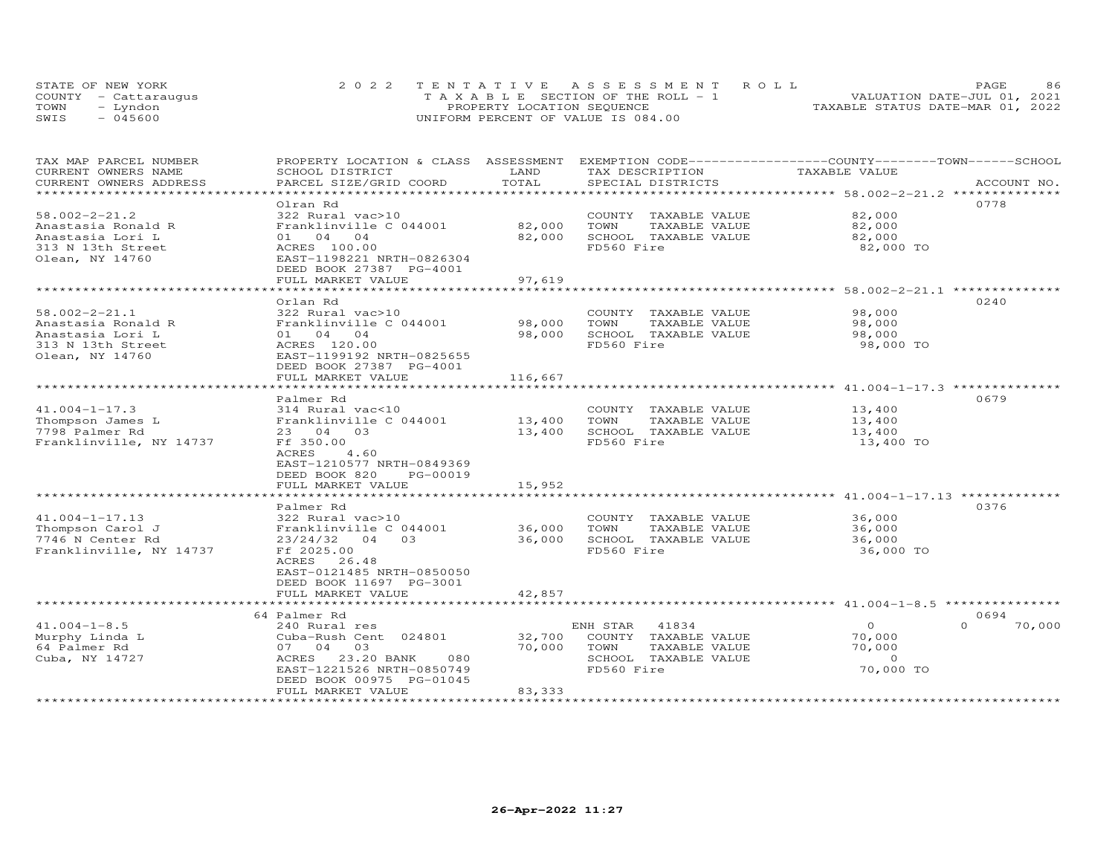|      | STATE OF NEW YORK    | 2022 TENTATIVE ASSESSMENT ROLL        | 86<br><b>PAGE</b>                |
|------|----------------------|---------------------------------------|----------------------------------|
|      | COUNTY - Cattaraugus | T A X A B L E SECTION OF THE ROLL - 1 | VALUATION DATE-JUL 01, 2021      |
| TOWN | - Lyndon             | PROPERTY LOCATION SEQUENCE            | TAXABLE STATUS DATE-MAR 01, 2022 |
| SWIS | $-045600$            | UNIFORM PERCENT OF VALUE IS 084.00    |                                  |

| TAX MAP PARCEL NUMBER                         | PROPERTY LOCATION & CLASS ASSESSMENT      | LAND        |                                      | EXEMPTION CODE-----------------COUNTY-------TOWN------SCHOOL<br>TAXABLE VALUE |
|-----------------------------------------------|-------------------------------------------|-------------|--------------------------------------|-------------------------------------------------------------------------------|
| CURRENT OWNERS NAME<br>CURRENT OWNERS ADDRESS | SCHOOL DISTRICT<br>PARCEL SIZE/GRID COORD | TOTAL       | TAX DESCRIPTION<br>SPECIAL DISTRICTS | ACCOUNT NO.                                                                   |
|                                               |                                           | *********   |                                      | *********** 58.002-2-21.2 *********                                           |
|                                               |                                           |             |                                      | 0778                                                                          |
| $58.002 - 2 - 21.2$                           | Olran Rd                                  |             |                                      | 82,000                                                                        |
|                                               | 322 Rural vac>10                          |             | COUNTY TAXABLE VALUE                 |                                                                               |
| Anastasia Ronald R                            | Franklinville C 044001                    | 82,000      | TOWN<br>TAXABLE VALUE                | 82,000                                                                        |
| Anastasia Lori L                              | 01 04 04                                  | 82,000      | SCHOOL TAXABLE VALUE                 | 82,000                                                                        |
| 313 N 13th Street                             | ACRES 100.00                              |             | FD560 Fire                           | 82,000 TO                                                                     |
| Olean, NY 14760                               | EAST-1198221 NRTH-0826304                 |             |                                      |                                                                               |
|                                               | DEED BOOK 27387 PG-4001                   |             |                                      |                                                                               |
|                                               | FULL MARKET VALUE                         | 97,619      |                                      |                                                                               |
|                                               |                                           |             |                                      |                                                                               |
|                                               | Orlan Rd                                  |             |                                      | 0240                                                                          |
| $58.002 - 2 - 21.1$                           | 322 Rural vac>10                          |             | COUNTY TAXABLE VALUE                 | 98,000                                                                        |
| Anastasia Ronald R                            | Franklinville C 044001                    | 98,000      | TAXABLE VALUE<br>TOWN                | 98,000                                                                        |
| Anastasia Lori L                              | 01 04 04                                  | 98,000      | SCHOOL TAXABLE VALUE                 | 98,000                                                                        |
| 313 N 13th Street                             | ACRES 120.00                              |             | FD560 Fire                           | 98,000 TO                                                                     |
| Olean, NY 14760                               | EAST-1199192 NRTH-0825655                 |             |                                      |                                                                               |
|                                               | DEED BOOK 27387 PG-4001                   |             |                                      |                                                                               |
|                                               | FULL MARKET VALUE                         | 116,667     |                                      |                                                                               |
|                                               |                                           |             |                                      | ********************** 41.004-1-17.3 *********                                |
|                                               | Palmer Rd                                 |             |                                      | 0679                                                                          |
| $41.004 - 1 - 17.3$                           | 314 Rural vac<10                          |             | COUNTY TAXABLE VALUE                 | 13,400                                                                        |
| Thompson James L                              | Franklinville C 044001                    | 13,400      | TOWN<br>TAXABLE VALUE                | 13,400                                                                        |
| 7798 Palmer Rd                                | 23 04 03                                  | 13,400      | SCHOOL TAXABLE VALUE                 | 13,400                                                                        |
| Franklinville, NY 14737                       | Ff 350.00                                 |             | FD560 Fire                           | 13,400 TO                                                                     |
|                                               | 4.60<br>ACRES                             |             |                                      |                                                                               |
|                                               | EAST-1210577 NRTH-0849369                 |             |                                      |                                                                               |
|                                               | DEED BOOK 820<br>PG-00019                 |             |                                      |                                                                               |
|                                               | FULL MARKET VALUE                         | 15,952      |                                      |                                                                               |
|                                               |                                           |             |                                      |                                                                               |
|                                               | Palmer Rd                                 |             |                                      | 0376                                                                          |
| $41.004 - 1 - 17.13$                          | 322 Rural vac>10                          |             | COUNTY TAXABLE VALUE                 | 36,000                                                                        |
| Thompson Carol J                              | Franklinville C 044001                    | 36,000      | TOWN<br>TAXABLE VALUE                | 36,000                                                                        |
| 7746 N Center Rd                              | 23/24/32<br>04<br>03                      | 36,000      | SCHOOL TAXABLE VALUE                 | 36,000                                                                        |
| Franklinville, NY 14737                       | Ff 2025.00                                |             | FD560 Fire                           | 36,000 TO                                                                     |
|                                               | 26.48<br>ACRES                            |             |                                      |                                                                               |
|                                               | EAST-0121485 NRTH-0850050                 |             |                                      |                                                                               |
|                                               | DEED BOOK 11697 PG-3001                   |             |                                      |                                                                               |
|                                               | FULL MARKET VALUE                         | 42,857      |                                      |                                                                               |
|                                               | *********************                     | *********** |                                      |                                                                               |
|                                               | 64 Palmer Rd                              |             |                                      | 0694                                                                          |
| $41.004 - 1 - 8.5$                            | 240 Rural res                             |             | ENH STAR<br>41834                    | $\circ$<br>70,000<br>$\Omega$                                                 |
| Murphy Linda L                                | Cuba-Rush Cent 024801                     | 32,700      | COUNTY TAXABLE VALUE                 | 70,000                                                                        |
| 64 Palmer Rd                                  | 03<br>07 04                               | 70,000      | TOWN<br>TAXABLE VALUE                | 70,000                                                                        |
| Cuba, NY 14727                                | 23.20 BANK<br>080<br>ACRES                |             | SCHOOL TAXABLE VALUE                 | $\circ$                                                                       |
|                                               | EAST-1221526 NRTH-0850749                 |             | FD560 Fire                           | 70,000 TO                                                                     |
|                                               | DEED BOOK 00975 PG-01045                  |             |                                      |                                                                               |
|                                               | FULL MARKET VALUE                         | 83,333      |                                      |                                                                               |
|                                               |                                           |             |                                      |                                                                               |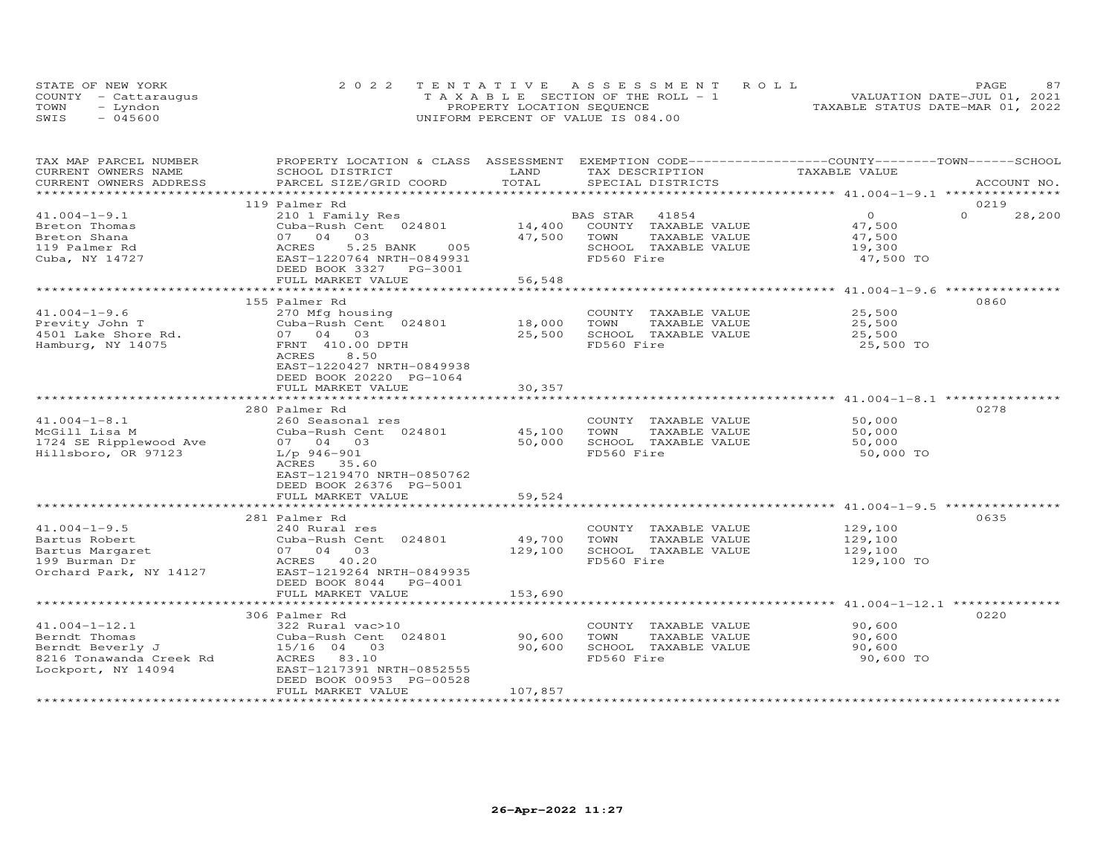|      | STATE OF NEW YORK    | 2022 TENTATIVE ASSESSMENT ROLL     | 87<br>PAGE.                      |
|------|----------------------|------------------------------------|----------------------------------|
|      | COUNTY - Cattarauqus | TAXABLE SECTION OF THE ROLL - 1    | VALUATION DATE-JUL 01, 2021      |
| TOWN | – Lyndon             | PROPERTY LOCATION SEQUENCE         | TAXABLE STATUS DATE-MAR 01, 2022 |
| SWIS | $-045600$            | UNIFORM PERCENT OF VALUE IS 084.00 |                                  |

| CURRENT OWNERS NAME<br>LAND<br>TAX DESCRIPTION<br>TAXABLE VALUE<br>SCHOOL DISTRICT<br>TOTAL<br>CURRENT OWNERS ADDRESS<br>PARCEL SIZE/GRID COORD<br>SPECIAL DISTRICTS<br>ACCOUNT NO.<br>119 Palmer Rd<br>0219<br>$\circ$<br>$\Omega$<br>$41.004 - 1 - 9.1$<br>210 1 Family Res<br>BAS STAR<br>41854<br>28,200<br>14,400<br>COUNTY TAXABLE VALUE<br>Breton Thomas<br>Cuba-Rush Cent 024801<br>47,500<br>07 04 03<br>47,500<br>Breton Shana<br>TOWN<br>TAXABLE VALUE<br>47,500<br>119 Palmer Rd<br>ACRES<br>5.25 BANK<br>005<br>SCHOOL TAXABLE VALUE<br>19,300<br>FD560 Fire<br>Cuba, NY 14727<br>EAST-1220764 NRTH-0849931<br>47,500 TO<br>DEED BOOK 3327 PG-3001<br>FULL MARKET VALUE<br>56,548<br>********************************** 41.004-1-9.6<br>*************<br>******************************<br>***************<br>0860<br>155 Palmer Rd<br>$41.004 - 1 - 9.6$<br>270 Mfg housing<br>COUNTY TAXABLE VALUE<br>25,500<br>Previty John T<br>Cuba-Rush Cent 024801<br>18,000<br>TOWN<br>TAXABLE VALUE<br>25,500<br>25,500<br>SCHOOL TAXABLE VALUE<br>4501 Lake Shore Rd.<br>07 04<br>03<br>25,500<br>FRNT 410.00 DPTH<br>FD560 Fire<br>Hamburg, NY 14075<br>25,500 TO<br>ACRES<br>8.50<br>EAST-1220427 NRTH-0849938<br>DEED BOOK 20220 PG-1064<br>FULL MARKET VALUE<br>30,357<br>************<br>0278<br>280 Palmer Rd<br>$41.004 - 1 - 8.1$<br>50,000<br>260 Seasonal res<br>COUNTY TAXABLE VALUE<br>McGill Lisa M<br>Cuba-Rush Cent 024801<br>45,100<br>50,000<br>TOWN<br>TAXABLE VALUE<br>1724 SE Ripplewood Ave<br>50,000<br>SCHOOL TAXABLE VALUE<br>07 04 03<br>50,000<br>Hillsboro, OR 97123<br>FD560 Fire<br>$L/p$ 946-901<br>50,000 TO<br>ACRES 35.60<br>EAST-1219470 NRTH-0850762 |
|------------------------------------------------------------------------------------------------------------------------------------------------------------------------------------------------------------------------------------------------------------------------------------------------------------------------------------------------------------------------------------------------------------------------------------------------------------------------------------------------------------------------------------------------------------------------------------------------------------------------------------------------------------------------------------------------------------------------------------------------------------------------------------------------------------------------------------------------------------------------------------------------------------------------------------------------------------------------------------------------------------------------------------------------------------------------------------------------------------------------------------------------------------------------------------------------------------------------------------------------------------------------------------------------------------------------------------------------------------------------------------------------------------------------------------------------------------------------------------------------------------------------------------------------------------------------------------------------------------------------------------------------------------------------------------------------|
|                                                                                                                                                                                                                                                                                                                                                                                                                                                                                                                                                                                                                                                                                                                                                                                                                                                                                                                                                                                                                                                                                                                                                                                                                                                                                                                                                                                                                                                                                                                                                                                                                                                                                                |
|                                                                                                                                                                                                                                                                                                                                                                                                                                                                                                                                                                                                                                                                                                                                                                                                                                                                                                                                                                                                                                                                                                                                                                                                                                                                                                                                                                                                                                                                                                                                                                                                                                                                                                |
|                                                                                                                                                                                                                                                                                                                                                                                                                                                                                                                                                                                                                                                                                                                                                                                                                                                                                                                                                                                                                                                                                                                                                                                                                                                                                                                                                                                                                                                                                                                                                                                                                                                                                                |
|                                                                                                                                                                                                                                                                                                                                                                                                                                                                                                                                                                                                                                                                                                                                                                                                                                                                                                                                                                                                                                                                                                                                                                                                                                                                                                                                                                                                                                                                                                                                                                                                                                                                                                |
|                                                                                                                                                                                                                                                                                                                                                                                                                                                                                                                                                                                                                                                                                                                                                                                                                                                                                                                                                                                                                                                                                                                                                                                                                                                                                                                                                                                                                                                                                                                                                                                                                                                                                                |
|                                                                                                                                                                                                                                                                                                                                                                                                                                                                                                                                                                                                                                                                                                                                                                                                                                                                                                                                                                                                                                                                                                                                                                                                                                                                                                                                                                                                                                                                                                                                                                                                                                                                                                |
|                                                                                                                                                                                                                                                                                                                                                                                                                                                                                                                                                                                                                                                                                                                                                                                                                                                                                                                                                                                                                                                                                                                                                                                                                                                                                                                                                                                                                                                                                                                                                                                                                                                                                                |
|                                                                                                                                                                                                                                                                                                                                                                                                                                                                                                                                                                                                                                                                                                                                                                                                                                                                                                                                                                                                                                                                                                                                                                                                                                                                                                                                                                                                                                                                                                                                                                                                                                                                                                |
|                                                                                                                                                                                                                                                                                                                                                                                                                                                                                                                                                                                                                                                                                                                                                                                                                                                                                                                                                                                                                                                                                                                                                                                                                                                                                                                                                                                                                                                                                                                                                                                                                                                                                                |
|                                                                                                                                                                                                                                                                                                                                                                                                                                                                                                                                                                                                                                                                                                                                                                                                                                                                                                                                                                                                                                                                                                                                                                                                                                                                                                                                                                                                                                                                                                                                                                                                                                                                                                |
|                                                                                                                                                                                                                                                                                                                                                                                                                                                                                                                                                                                                                                                                                                                                                                                                                                                                                                                                                                                                                                                                                                                                                                                                                                                                                                                                                                                                                                                                                                                                                                                                                                                                                                |
|                                                                                                                                                                                                                                                                                                                                                                                                                                                                                                                                                                                                                                                                                                                                                                                                                                                                                                                                                                                                                                                                                                                                                                                                                                                                                                                                                                                                                                                                                                                                                                                                                                                                                                |
|                                                                                                                                                                                                                                                                                                                                                                                                                                                                                                                                                                                                                                                                                                                                                                                                                                                                                                                                                                                                                                                                                                                                                                                                                                                                                                                                                                                                                                                                                                                                                                                                                                                                                                |
|                                                                                                                                                                                                                                                                                                                                                                                                                                                                                                                                                                                                                                                                                                                                                                                                                                                                                                                                                                                                                                                                                                                                                                                                                                                                                                                                                                                                                                                                                                                                                                                                                                                                                                |
|                                                                                                                                                                                                                                                                                                                                                                                                                                                                                                                                                                                                                                                                                                                                                                                                                                                                                                                                                                                                                                                                                                                                                                                                                                                                                                                                                                                                                                                                                                                                                                                                                                                                                                |
|                                                                                                                                                                                                                                                                                                                                                                                                                                                                                                                                                                                                                                                                                                                                                                                                                                                                                                                                                                                                                                                                                                                                                                                                                                                                                                                                                                                                                                                                                                                                                                                                                                                                                                |
|                                                                                                                                                                                                                                                                                                                                                                                                                                                                                                                                                                                                                                                                                                                                                                                                                                                                                                                                                                                                                                                                                                                                                                                                                                                                                                                                                                                                                                                                                                                                                                                                                                                                                                |
|                                                                                                                                                                                                                                                                                                                                                                                                                                                                                                                                                                                                                                                                                                                                                                                                                                                                                                                                                                                                                                                                                                                                                                                                                                                                                                                                                                                                                                                                                                                                                                                                                                                                                                |
|                                                                                                                                                                                                                                                                                                                                                                                                                                                                                                                                                                                                                                                                                                                                                                                                                                                                                                                                                                                                                                                                                                                                                                                                                                                                                                                                                                                                                                                                                                                                                                                                                                                                                                |
|                                                                                                                                                                                                                                                                                                                                                                                                                                                                                                                                                                                                                                                                                                                                                                                                                                                                                                                                                                                                                                                                                                                                                                                                                                                                                                                                                                                                                                                                                                                                                                                                                                                                                                |
|                                                                                                                                                                                                                                                                                                                                                                                                                                                                                                                                                                                                                                                                                                                                                                                                                                                                                                                                                                                                                                                                                                                                                                                                                                                                                                                                                                                                                                                                                                                                                                                                                                                                                                |
|                                                                                                                                                                                                                                                                                                                                                                                                                                                                                                                                                                                                                                                                                                                                                                                                                                                                                                                                                                                                                                                                                                                                                                                                                                                                                                                                                                                                                                                                                                                                                                                                                                                                                                |
|                                                                                                                                                                                                                                                                                                                                                                                                                                                                                                                                                                                                                                                                                                                                                                                                                                                                                                                                                                                                                                                                                                                                                                                                                                                                                                                                                                                                                                                                                                                                                                                                                                                                                                |
|                                                                                                                                                                                                                                                                                                                                                                                                                                                                                                                                                                                                                                                                                                                                                                                                                                                                                                                                                                                                                                                                                                                                                                                                                                                                                                                                                                                                                                                                                                                                                                                                                                                                                                |
|                                                                                                                                                                                                                                                                                                                                                                                                                                                                                                                                                                                                                                                                                                                                                                                                                                                                                                                                                                                                                                                                                                                                                                                                                                                                                                                                                                                                                                                                                                                                                                                                                                                                                                |
|                                                                                                                                                                                                                                                                                                                                                                                                                                                                                                                                                                                                                                                                                                                                                                                                                                                                                                                                                                                                                                                                                                                                                                                                                                                                                                                                                                                                                                                                                                                                                                                                                                                                                                |
|                                                                                                                                                                                                                                                                                                                                                                                                                                                                                                                                                                                                                                                                                                                                                                                                                                                                                                                                                                                                                                                                                                                                                                                                                                                                                                                                                                                                                                                                                                                                                                                                                                                                                                |
|                                                                                                                                                                                                                                                                                                                                                                                                                                                                                                                                                                                                                                                                                                                                                                                                                                                                                                                                                                                                                                                                                                                                                                                                                                                                                                                                                                                                                                                                                                                                                                                                                                                                                                |
|                                                                                                                                                                                                                                                                                                                                                                                                                                                                                                                                                                                                                                                                                                                                                                                                                                                                                                                                                                                                                                                                                                                                                                                                                                                                                                                                                                                                                                                                                                                                                                                                                                                                                                |
| DEED BOOK 26376 PG-5001                                                                                                                                                                                                                                                                                                                                                                                                                                                                                                                                                                                                                                                                                                                                                                                                                                                                                                                                                                                                                                                                                                                                                                                                                                                                                                                                                                                                                                                                                                                                                                                                                                                                        |
| 59,524<br>FULL MARKET VALUE                                                                                                                                                                                                                                                                                                                                                                                                                                                                                                                                                                                                                                                                                                                                                                                                                                                                                                                                                                                                                                                                                                                                                                                                                                                                                                                                                                                                                                                                                                                                                                                                                                                                    |
|                                                                                                                                                                                                                                                                                                                                                                                                                                                                                                                                                                                                                                                                                                                                                                                                                                                                                                                                                                                                                                                                                                                                                                                                                                                                                                                                                                                                                                                                                                                                                                                                                                                                                                |
| 0635<br>281 Palmer Rd                                                                                                                                                                                                                                                                                                                                                                                                                                                                                                                                                                                                                                                                                                                                                                                                                                                                                                                                                                                                                                                                                                                                                                                                                                                                                                                                                                                                                                                                                                                                                                                                                                                                          |
| $41.004 - 1 - 9.5$<br>129,100<br>240 Rural res<br>COUNTY TAXABLE VALUE                                                                                                                                                                                                                                                                                                                                                                                                                                                                                                                                                                                                                                                                                                                                                                                                                                                                                                                                                                                                                                                                                                                                                                                                                                                                                                                                                                                                                                                                                                                                                                                                                         |
| 129,100<br>Bartus Robert<br>Cuba-Rush Cent 024801<br>49,700<br>TOWN<br>TAXABLE VALUE                                                                                                                                                                                                                                                                                                                                                                                                                                                                                                                                                                                                                                                                                                                                                                                                                                                                                                                                                                                                                                                                                                                                                                                                                                                                                                                                                                                                                                                                                                                                                                                                           |
| Bartus Margaret<br>07 04 03<br>129,100<br>SCHOOL TAXABLE VALUE<br>129,100                                                                                                                                                                                                                                                                                                                                                                                                                                                                                                                                                                                                                                                                                                                                                                                                                                                                                                                                                                                                                                                                                                                                                                                                                                                                                                                                                                                                                                                                                                                                                                                                                      |
| 199 Burman Dr<br>FD560 Fire<br>ACRES 40.20<br>129,100 TO                                                                                                                                                                                                                                                                                                                                                                                                                                                                                                                                                                                                                                                                                                                                                                                                                                                                                                                                                                                                                                                                                                                                                                                                                                                                                                                                                                                                                                                                                                                                                                                                                                       |
| EAST-1219264 NRTH-0849935                                                                                                                                                                                                                                                                                                                                                                                                                                                                                                                                                                                                                                                                                                                                                                                                                                                                                                                                                                                                                                                                                                                                                                                                                                                                                                                                                                                                                                                                                                                                                                                                                                                                      |
| Orchard Park, NY 14127<br>DEED BOOK 8044<br>PG-4001                                                                                                                                                                                                                                                                                                                                                                                                                                                                                                                                                                                                                                                                                                                                                                                                                                                                                                                                                                                                                                                                                                                                                                                                                                                                                                                                                                                                                                                                                                                                                                                                                                            |
|                                                                                                                                                                                                                                                                                                                                                                                                                                                                                                                                                                                                                                                                                                                                                                                                                                                                                                                                                                                                                                                                                                                                                                                                                                                                                                                                                                                                                                                                                                                                                                                                                                                                                                |
| FULL MARKET VALUE<br>153,690<br>**************************************41.004-1-12.1 ***************                                                                                                                                                                                                                                                                                                                                                                                                                                                                                                                                                                                                                                                                                                                                                                                                                                                                                                                                                                                                                                                                                                                                                                                                                                                                                                                                                                                                                                                                                                                                                                                            |
|                                                                                                                                                                                                                                                                                                                                                                                                                                                                                                                                                                                                                                                                                                                                                                                                                                                                                                                                                                                                                                                                                                                                                                                                                                                                                                                                                                                                                                                                                                                                                                                                                                                                                                |
| 0220<br>306 Palmer Rd                                                                                                                                                                                                                                                                                                                                                                                                                                                                                                                                                                                                                                                                                                                                                                                                                                                                                                                                                                                                                                                                                                                                                                                                                                                                                                                                                                                                                                                                                                                                                                                                                                                                          |
| $41.004 - 1 - 12.1$<br>90,600<br>322 Rural vac>10<br>COUNTY TAXABLE VALUE                                                                                                                                                                                                                                                                                                                                                                                                                                                                                                                                                                                                                                                                                                                                                                                                                                                                                                                                                                                                                                                                                                                                                                                                                                                                                                                                                                                                                                                                                                                                                                                                                      |
| Berndt Thomas<br>Cuba-Rush Cent 024801<br>90,600<br>TOWN<br>TAXABLE VALUE<br>90,600                                                                                                                                                                                                                                                                                                                                                                                                                                                                                                                                                                                                                                                                                                                                                                                                                                                                                                                                                                                                                                                                                                                                                                                                                                                                                                                                                                                                                                                                                                                                                                                                            |
| 90,600<br>SCHOOL TAXABLE VALUE<br>Berndt Beverly J<br>15/16 04 03<br>90,600                                                                                                                                                                                                                                                                                                                                                                                                                                                                                                                                                                                                                                                                                                                                                                                                                                                                                                                                                                                                                                                                                                                                                                                                                                                                                                                                                                                                                                                                                                                                                                                                                    |
| ACRES 83.10<br>FD560 Fire<br>8216 Tonawanda Creek Rd<br>90,600 TO                                                                                                                                                                                                                                                                                                                                                                                                                                                                                                                                                                                                                                                                                                                                                                                                                                                                                                                                                                                                                                                                                                                                                                                                                                                                                                                                                                                                                                                                                                                                                                                                                              |
| Lockport, NY 14094<br>EAST-1217391 NRTH-0852555                                                                                                                                                                                                                                                                                                                                                                                                                                                                                                                                                                                                                                                                                                                                                                                                                                                                                                                                                                                                                                                                                                                                                                                                                                                                                                                                                                                                                                                                                                                                                                                                                                                |
| DEED BOOK 00953 PG-00528                                                                                                                                                                                                                                                                                                                                                                                                                                                                                                                                                                                                                                                                                                                                                                                                                                                                                                                                                                                                                                                                                                                                                                                                                                                                                                                                                                                                                                                                                                                                                                                                                                                                       |
| FULL MARKET VALUE<br>107,857                                                                                                                                                                                                                                                                                                                                                                                                                                                                                                                                                                                                                                                                                                                                                                                                                                                                                                                                                                                                                                                                                                                                                                                                                                                                                                                                                                                                                                                                                                                                                                                                                                                                   |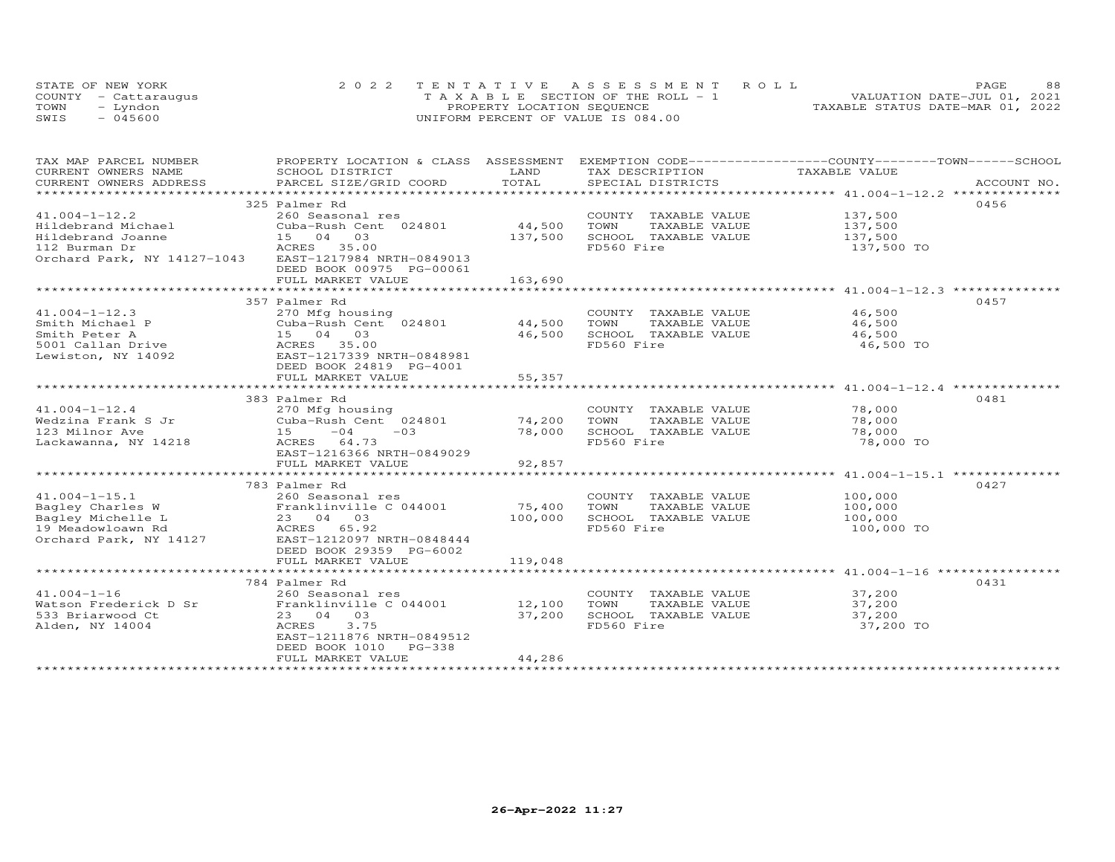|      | STATE OF NEW YORK    | 2022 TENTATIVE ASSESSMENT ROLL        |                                  | PAGE                        | 88 |
|------|----------------------|---------------------------------------|----------------------------------|-----------------------------|----|
|      | COUNTY - Cattaraugus | T A X A B L E SECTION OF THE ROLL - 1 |                                  | VALUATION DATE-JUL 01, 2021 |    |
| TOWN | - Lyndon             | PROPERTY LOCATION SEQUENCE            | TAXABLE STATUS DATE-MAR 01, 2022 |                             |    |
| SWIS | $-045600$            | UNIFORM PERCENT OF VALUE IS 084.00    |                                  |                             |    |

| TAX MAP PARCEL NUMBER<br>CURRENT OWNERS NAME<br>CURRENT OWNERS ADDRESS                                         | PROPERTY LOCATION & CLASS ASSESSMENT EXEMPTION CODE----------------COUNTY-------TOWN------SCHOOL<br>SCHOOL DISTRICT<br>PARCEL SIZE/GRID COORD                       | LAND<br>TOTAL                | TAX DESCRIPTION<br>SPECIAL DISTRICTS                                                        | TAXABLE VALUE                                                                                           | ACCOUNT NO. |
|----------------------------------------------------------------------------------------------------------------|---------------------------------------------------------------------------------------------------------------------------------------------------------------------|------------------------------|---------------------------------------------------------------------------------------------|---------------------------------------------------------------------------------------------------------|-------------|
|                                                                                                                |                                                                                                                                                                     |                              |                                                                                             |                                                                                                         |             |
| $41.004 - 1 - 12.2$<br>Hildebrand Michael<br>Hildebrand Joanne<br>112 Burman Dr<br>Orchard Park, NY 14127-1043 | 325 Palmer Rd<br>260 Seasonal res<br>Cuba-Rush Cent 024801<br>15 04 03<br>ACRES 35.00<br>EAST-1217984 NRTH-0849013<br>DEED BOOK 00975 PG-00061<br>FULL MARKET VALUE | 44,500<br>137,500<br>163,690 | COUNTY TAXABLE VALUE 137,500<br>TOWN<br>TAXABLE VALUE<br>SCHOOL TAXABLE VALUE<br>FD560 Fire | 137,500<br>137,500<br>137,500 TO                                                                        | 0456        |
|                                                                                                                | 357 Palmer Rd                                                                                                                                                       |                              |                                                                                             |                                                                                                         | 0457        |
| $41.004 - 1 - 12.3$<br>Smith Michael P<br>Smith Peter A<br>5001 Callan Drive<br>Lewiston, NY 14092             | 270 Mfg housing<br>Cuba-Rush Cent 024801 44,500<br>15 04 03<br>ACRES 35.00<br>EAST-1217339 NRTH-0848981<br>DEED BOOK 24819 PG-4001<br>FULL MARKET VALUE             | 46,500<br>55,357             | COUNTY TAXABLE VALUE 46,500<br>TOWN<br>TAXABLE VALUE<br>SCHOOL TAXABLE VALUE<br>FD560 Fire  | 46,500<br>46,500<br>46,500 TO                                                                           |             |
|                                                                                                                |                                                                                                                                                                     |                              |                                                                                             |                                                                                                         |             |
| $41.004 - 1 - 12.4$<br>Wedzina Frank S Jr<br>123 Milnor Ave<br>Lackawanna, NY 14218                            | 383 Palmer Rd<br>270 Mfg housing<br>Cuba-Rush Cent 024801 74,200<br>$15 -04 -03$<br>ACRES 64.73<br>EAST-1216366 NRTH-0849029<br>FULL MARKET VALUE                   | 78,000<br>92,857             | COUNTY TAXABLE VALUE<br>TOWN<br>TAXABLE VALUE<br>SCHOOL TAXABLE VALUE<br>FD560 Fire         | 78,000<br>78,000<br>78,000<br>78,000 TO<br>***********************************41.004-1-15.1 *********** | 0481        |
|                                                                                                                | 783 Palmer Rd                                                                                                                                                       |                              |                                                                                             |                                                                                                         | 0427        |
| $41.004 - 1 - 15.1$<br>Bagley Charles W<br>Bagley Michelle L<br>19 Meadowloawn Rd<br>Orchard Park, NY 14127    | 260 Seasonal res<br>Franklinville C 044001<br>23 04 03<br>ACRES 65.92<br>EAST-1212097 NRTH-0848444<br>DEED BOOK 29359 PG-6002<br>FULL MARKET VALUE                  | 75,400<br>100,000<br>119,048 | COUNTY TAXABLE VALUE<br>TOWN<br>TAXABLE VALUE<br>SCHOOL TAXABLE VALUE<br>FD560 Fire         | 100,000<br>100,000<br>100,000<br>100,000 TO                                                             |             |
|                                                                                                                |                                                                                                                                                                     |                              |                                                                                             |                                                                                                         |             |
| $41.004 - 1 - 16$<br>Watson Frederick D Sr<br>533 Briarwood Ct<br>Alden, NY 14004                              | 784 Palmer Rd<br>260 Seasonal res<br>Franklinville C 044001<br>23 04 03<br>ACRES<br>3.75<br>EAST-1211876 NRTH-0849512<br>DEED BOOK 1010 PG-338<br>FULL MARKET VALUE | 12,100<br>37,200<br>44,286   | COUNTY TAXABLE VALUE<br>TOWN<br>TAXABLE VALUE<br>SCHOOL TAXABLE VALUE<br>FD560 Fire         | 37,200<br>37,200<br>37,200<br>37,200 TO                                                                 | 0431        |
|                                                                                                                |                                                                                                                                                                     |                              |                                                                                             |                                                                                                         |             |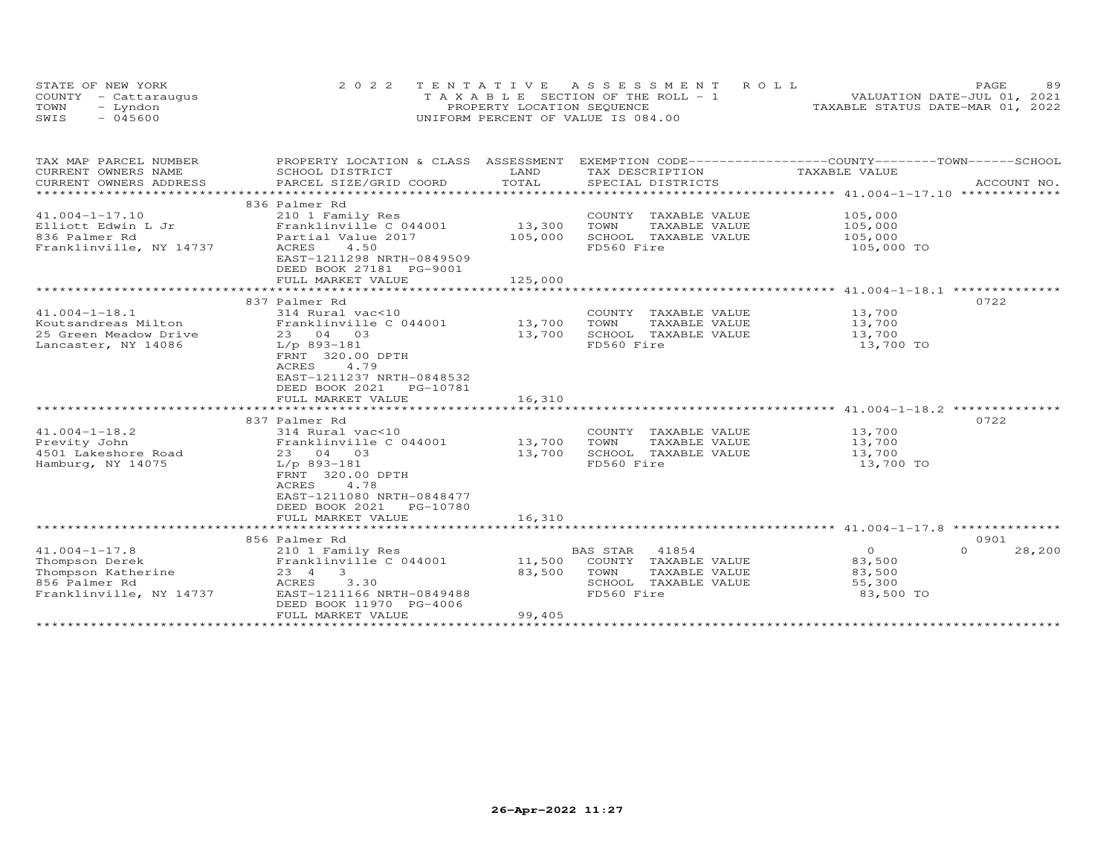| STATE OF NEW YORK    | 2022 TENTATIVE ASSESSMENT ROLL        | 89<br>PAGE.                      |
|----------------------|---------------------------------------|----------------------------------|
| COUNTY - Cattaraugus | T A X A B L E SECTION OF THE ROLL - 1 | VALUATION DATE-JUL 01, 2021      |
| TOWN<br>– Lyndon     | PROPERTY LOCATION SEQUENCE            | TAXABLE STATUS DATE-MAR 01, 2022 |
| $-045600$<br>SWIS    | UNIFORM PERCENT OF VALUE IS 084.00    |                                  |

| TAX MAP PARCEL NUMBER<br>CURRENT OWNERS NAME<br>CURRENT OWNERS ADDRESS                                  | PROPERTY LOCATION & CLASS ASSESSMENT<br>SCHOOL DISTRICT<br>PARCEL SIZE/GRID COORD                                                                                                                                    | LAND<br>TOTAL              | EXEMPTION CODE-----------------COUNTY-------TOWN-----SCHOOL<br>TAX DESCRIPTION<br>SPECIAL DISTRICTS             | TAXABLE VALUE                                                    | ACCOUNT NO.                |
|---------------------------------------------------------------------------------------------------------|----------------------------------------------------------------------------------------------------------------------------------------------------------------------------------------------------------------------|----------------------------|-----------------------------------------------------------------------------------------------------------------|------------------------------------------------------------------|----------------------------|
|                                                                                                         |                                                                                                                                                                                                                      |                            |                                                                                                                 |                                                                  |                            |
| $41.004 - 1 - 17.10$<br>Elliott Edwin L Jr<br>836 Palmer Rd<br>Franklinville, NY 14737                  | 836 Palmer Rd<br>210 1 Family Res<br>Franklinville C 044001<br>Partial Value 2017<br>4.50<br>ACRES<br>EAST-1211298 NRTH-0849509<br>DEED BOOK 27181 PG-9001                                                           | 13,300<br>105,000          | COUNTY TAXABLE VALUE<br>TOWN<br>TAXABLE VALUE<br>SCHOOL TAXABLE VALUE<br>FD560 Fire                             | 105,000<br>105,000<br>105,000<br>105,000 TO                      |                            |
|                                                                                                         | FULL MARKET VALUE                                                                                                                                                                                                    | 125,000                    |                                                                                                                 |                                                                  |                            |
| $41.004 - 1 - 18.1$<br>Koutsandreas Milton                                                              | 837 Palmer Rd<br>314 Rural vac<10<br>Franklinville C 044001                                                                                                                                                          | 13,700                     | COUNTY TAXABLE VALUE<br>TOWN<br>TAXABLE VALUE                                                                   | 13,700<br>13,700                                                 | 0722                       |
| 25 Green Meadow Drive<br>Lancaster, NY 14086                                                            | 23 04 03<br>L/p 893-181<br>FRNT 320.00 DPTH<br>4.79<br>ACRES<br>EAST-1211237 NRTH-0848532<br>DEED BOOK 2021    PG-10781<br>FULL MARKET VALUE                                                                         | 13,700<br>16,310           | SCHOOL TAXABLE VALUE<br>FD560 Fire                                                                              | 13,700<br>13,700 TO                                              |                            |
|                                                                                                         |                                                                                                                                                                                                                      |                            |                                                                                                                 |                                                                  |                            |
| $41.004 - 1 - 18.2$<br>Previty John<br>4501 Lakeshore Road<br>Hamburg, NY 14075                         | 837 Palmer Rd<br>314 Rural vac<10<br>Franklinville C 044001<br>23 04 03<br>$L/p$ 893-181<br>FRNT 320.00 DPTH<br><b>ACRES</b><br>4.78<br>EAST-1211080 NRTH-0848477<br>DEED BOOK 2021<br>PG-10780<br>FULL MARKET VALUE | 13,700<br>13,700<br>16,310 | COUNTY TAXABLE VALUE<br>TOWN<br>TAXABLE VALUE<br>SCHOOL TAXABLE VALUE<br>FD560 Fire                             | 13,700<br>13,700<br>13,700<br>13,700 TO                          | 0722                       |
|                                                                                                         | ************************                                                                                                                                                                                             |                            |                                                                                                                 | ********************************** 41.004-1-17.8 *************** |                            |
| $41.004 - 1 - 17.8$<br>Thompson Derek<br>Thompson Katherine<br>856 Palmer Rd<br>Franklinville, NY 14737 | 856 Palmer Rd<br>210 1 Family Res<br>Franklinville C 044001<br>$\mathbf{3}$<br>23 4<br>3.30<br>ACRES<br>EAST-1211166 NRTH-0849488<br>DEED BOOK 11970 PG-4006<br>FULL MARKET VALUE                                    | 11,500<br>83,500<br>99,405 | <b>BAS STAR</b><br>41854<br>COUNTY TAXABLE VALUE<br>TOWN<br>TAXABLE VALUE<br>SCHOOL TAXABLE VALUE<br>FD560 Fire | $\Omega$<br>83,500<br>83,500<br>55,300<br>83,500 TO              | 0901<br>$\Omega$<br>28,200 |
|                                                                                                         |                                                                                                                                                                                                                      |                            |                                                                                                                 |                                                                  |                            |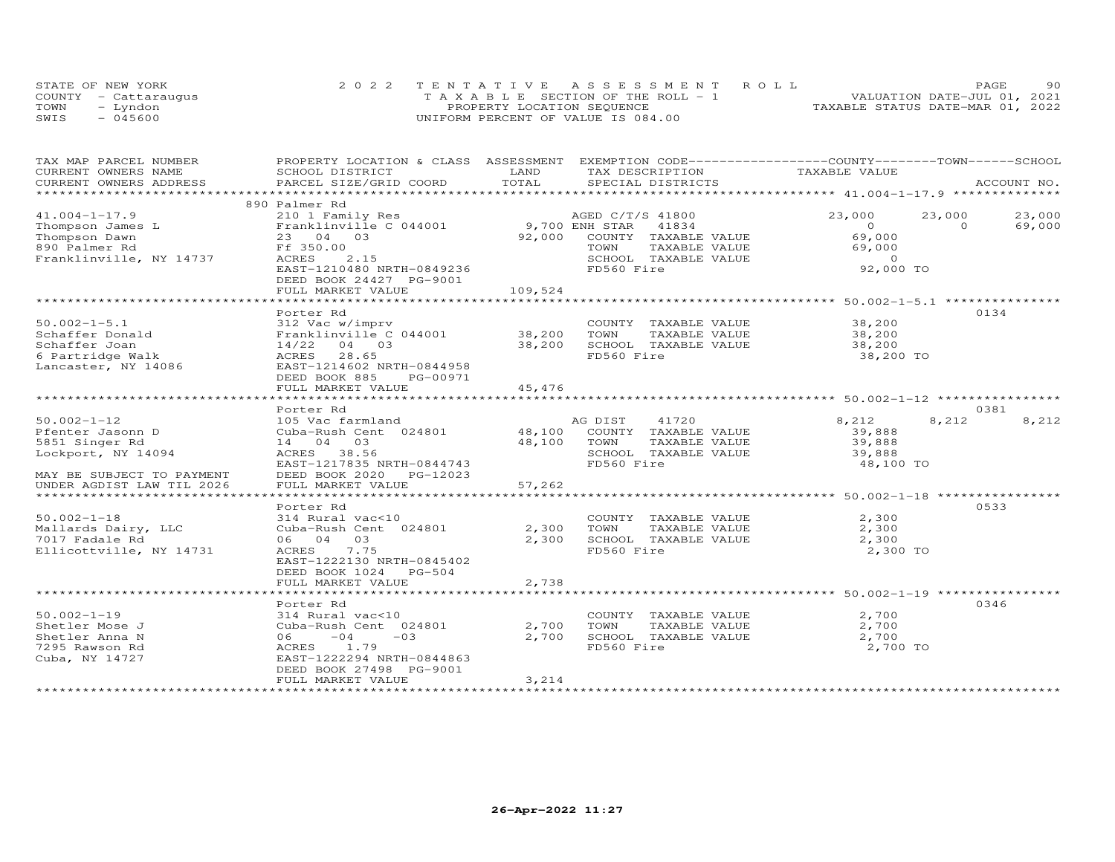|      | STATE OF NEW YORK    |                            | 2022 TENTATIVE ASSESSMENT ROLL     |  |  |  |                                  | PAGE | 90 |
|------|----------------------|----------------------------|------------------------------------|--|--|--|----------------------------------|------|----|
|      | COUNTY - Cattaraugus |                            | TAXABLE SECTION OF THE ROLL - 1    |  |  |  | VALUATION DATE-JUL 01, 2021      |      |    |
| TOWN | - Lyndon             | PROPERTY LOCATION SEQUENCE |                                    |  |  |  | TAXABLE STATUS DATE-MAR 01, 2022 |      |    |
| SWIS | $-045600$            |                            | UNIFORM PERCENT OF VALUE IS 084.00 |  |  |  |                                  |      |    |

| TAX MAP PARCEL NUMBER<br>CURRENT OWNERS NAME                                                                                                                       | PROPERTY LOCATION & CLASS ASSESSMENT EXEMPTION CODE----------------COUNTY-------TOWN------SCHOOL<br>SCHOOL DISTRICT | LAND        | TAX DESCRIPTION TAXABLE VALUE                                                                                                                                                                   |                                                                                                                      |                |             |
|--------------------------------------------------------------------------------------------------------------------------------------------------------------------|---------------------------------------------------------------------------------------------------------------------|-------------|-------------------------------------------------------------------------------------------------------------------------------------------------------------------------------------------------|----------------------------------------------------------------------------------------------------------------------|----------------|-------------|
|                                                                                                                                                                    |                                                                                                                     |             | SPECIAL DISTRICTS                                                                                                                                                                               |                                                                                                                      |                | ACCOUNT NO. |
|                                                                                                                                                                    |                                                                                                                     |             |                                                                                                                                                                                                 |                                                                                                                      |                |             |
|                                                                                                                                                                    | 890 Palmer Rd                                                                                                       |             |                                                                                                                                                                                                 |                                                                                                                      |                |             |
| $41.004 - 1 - 17.9$                                                                                                                                                |                                                                                                                     |             |                                                                                                                                                                                                 | 23,000                                                                                                               | 23,000         | 23,000      |
|                                                                                                                                                                    |                                                                                                                     |             |                                                                                                                                                                                                 | $\overline{0}$                                                                                                       | $\overline{O}$ | 69,000      |
|                                                                                                                                                                    | 23 04 03                                                                                                            |             | 92,000 COUNTY TAXABLE VALUE                                                                                                                                                                     | 69,000                                                                                                               |                |             |
| Thompson James L<br>Thompson Dawn 23 04<br>890 Palmer Rd Franklinvi<br>Ff 350.00                                                                                   |                                                                                                                     |             | TAXABLE VALUE<br>TOWN                                                                                                                                                                           | 69,000                                                                                                               |                |             |
| Franklinville, NY 14737                                                                                                                                            | ACRES<br>2.15                                                                                                       |             |                                                                                                                                                                                                 |                                                                                                                      |                |             |
|                                                                                                                                                                    | EAST-1210480 NRTH-0849236                                                                                           |             | FD560 Fire                                                                                                                                                                                      |                                                                                                                      |                |             |
|                                                                                                                                                                    | DEED BOOK 24427 PG-9001                                                                                             |             |                                                                                                                                                                                                 |                                                                                                                      |                |             |
|                                                                                                                                                                    |                                                                                                                     |             |                                                                                                                                                                                                 |                                                                                                                      |                |             |
|                                                                                                                                                                    |                                                                                                                     |             |                                                                                                                                                                                                 |                                                                                                                      |                |             |
|                                                                                                                                                                    | Porter Rd                                                                                                           |             |                                                                                                                                                                                                 |                                                                                                                      |                | 0134        |
| $50.002 - 1 - 5.1$                                                                                                                                                 | 312 Vac w/imprv                                                                                                     |             |                                                                                                                                                                                                 |                                                                                                                      |                |             |
|                                                                                                                                                                    |                                                                                                                     |             | COUNTY TAXABLE VALUE 38,200<br>TOWN TAXABLE VALUE 38,200                                                                                                                                        |                                                                                                                      |                |             |
| 90.002-1-5.1 512 Vac w/imprv<br>Schaffer Donald Franklinville C 044001 38,200 TOWN<br>Schaffer Joan 14/22 04 03 38,200 SCHOC<br>6 Partridge Walk 12RES 28.65 28.65 |                                                                                                                     |             | SCHOOL TAXABLE VALUE 38,200                                                                                                                                                                     |                                                                                                                      |                |             |
| 6 Partridge Walk                                                                                                                                                   |                                                                                                                     |             | FD560 Fire                                                                                                                                                                                      | 38,200 TO                                                                                                            |                |             |
| Lancaster, NY 14086                                                                                                                                                | EAST-1214602 NRTH-0844958                                                                                           |             |                                                                                                                                                                                                 |                                                                                                                      |                |             |
|                                                                                                                                                                    | DEED BOOK 885 PG-00971                                                                                              |             |                                                                                                                                                                                                 |                                                                                                                      |                |             |
|                                                                                                                                                                    | FULL MARKET VALUE                                                                                                   | 45,476      |                                                                                                                                                                                                 |                                                                                                                      |                |             |
|                                                                                                                                                                    |                                                                                                                     |             |                                                                                                                                                                                                 |                                                                                                                      |                |             |
|                                                                                                                                                                    | Porter Rd                                                                                                           |             |                                                                                                                                                                                                 |                                                                                                                      |                | 0381        |
| $50.002 - 1 - 12$                                                                                                                                                  | 105 Vac farmland                                                                                                    |             | AG DIST 41720                                                                                                                                                                                   | 8,212                                                                                                                | 8,212          | 8,212       |
| Pfenter Jasonn D                                                                                                                                                   | Cuba-Rush Cent 024801 48,100                                                                                        |             | COUNTY TAXABLE VALUE                                                                                                                                                                            | 39,888                                                                                                               |                |             |
| 5851 Singer Rd                                                                                                                                                     | 14 04 03                                                                                                            | 48,100 TOWN | TAXABLE VALUE                                                                                                                                                                                   | 39,888                                                                                                               |                |             |
| Lockport, NY 14094                                                                                                                                                 | 38.56<br><b>ACRES</b>                                                                                               |             | SCHOOL TAXABLE VALUE 39,888                                                                                                                                                                     |                                                                                                                      |                |             |
|                                                                                                                                                                    | EAST-1217835 NRTH-0844743                                                                                           |             | FD560 Fire                                                                                                                                                                                      | 48,100 TO                                                                                                            |                |             |
| MAY BE SUBJECT TO PAYMENT                                                                                                                                          | DEED BOOK 2020 PG-12023                                                                                             |             |                                                                                                                                                                                                 |                                                                                                                      |                |             |
| UNDER AGDIST LAW TIL 2026                                                                                                                                          | FULL MARKET VALUE                                                                                                   | 57,262      |                                                                                                                                                                                                 |                                                                                                                      |                |             |
|                                                                                                                                                                    |                                                                                                                     |             |                                                                                                                                                                                                 |                                                                                                                      |                |             |
|                                                                                                                                                                    | Porter Rd                                                                                                           |             |                                                                                                                                                                                                 |                                                                                                                      |                | 0533        |
| $50.002 - 1 - 18$                                                                                                                                                  |                                                                                                                     |             | COUNTY TAXABLE VALUE 2,300                                                                                                                                                                      |                                                                                                                      |                |             |
| Mallards Dairy, LLC                                                                                                                                                |                                                                                                                     |             |                                                                                                                                                                                                 |                                                                                                                      |                |             |
| 7017 Fadale Rd                                                                                                                                                     | 314 Rural vac<10 COUNT<br>Cuba-Rush Cent 024801 2,300 TOWN<br>06 04 03 2,300 SCHOO                                  |             | 2,300 SCHOOL TAXABLE VALUE                                                                                                                                                                      |                                                                                                                      |                |             |
| Ellicottville, NY 14731                                                                                                                                            | 7.75<br>ACRES                                                                                                       |             | FD560 Fire                                                                                                                                                                                      | TAXABLE VALUE<br>TAXABLE VALUE $\begin{array}{ccc}\n & -1.1 \\ -7.1.1 \\ -2.300 \\  & 2.30\n\end{array}$<br>2,300 TO |                |             |
|                                                                                                                                                                    | EAST-1222130 NRTH-0845402                                                                                           |             |                                                                                                                                                                                                 |                                                                                                                      |                |             |
|                                                                                                                                                                    | DEED BOOK 1024 PG-504                                                                                               |             |                                                                                                                                                                                                 |                                                                                                                      |                |             |
|                                                                                                                                                                    | FULL MARKET VALUE                                                                                                   | 2,738       |                                                                                                                                                                                                 |                                                                                                                      |                |             |
|                                                                                                                                                                    |                                                                                                                     |             |                                                                                                                                                                                                 |                                                                                                                      |                |             |
|                                                                                                                                                                    | Porter Rd                                                                                                           |             |                                                                                                                                                                                                 |                                                                                                                      |                | 0346        |
| $50.002 - 1 - 19$                                                                                                                                                  | 314 Rural vac<10                                                                                                    |             |                                                                                                                                                                                                 |                                                                                                                      |                |             |
| Shetler Mose J                                                                                                                                                     | Cuba-Rush Cent 024801                                                                                               | 2,700       | $\begin{tabular}{lllllllll} \multicolumn{2}{c}{\textbf{COUNTY}} & \textbf{TAXABLE VALUE} & & & & 2,700 \\ \multicolumn{2}{c}{\textbf{TOWN}} & \textbf{TAXABLE VALUE} & & & 2,700 \end{tabular}$ |                                                                                                                      |                |             |
| Shetler Anna N                                                                                                                                                     | $06 -04$<br>$-03$                                                                                                   | 2,700       | SCHOOL TAXABLE VALUE                                                                                                                                                                            | 2,700                                                                                                                |                |             |
| 7295 Rawson Rd                                                                                                                                                     | ACRES 1.79                                                                                                          |             | FD560 Fire                                                                                                                                                                                      | 2,700 TO                                                                                                             |                |             |
| Cuba, NY 14727                                                                                                                                                     | EAST-1222294 NRTH-0844863                                                                                           |             |                                                                                                                                                                                                 |                                                                                                                      |                |             |
|                                                                                                                                                                    | DEED BOOK 27498 PG-9001                                                                                             |             |                                                                                                                                                                                                 |                                                                                                                      |                |             |
|                                                                                                                                                                    | FULL MARKET VALUE                                                                                                   | 3,214       |                                                                                                                                                                                                 |                                                                                                                      |                |             |
|                                                                                                                                                                    |                                                                                                                     |             |                                                                                                                                                                                                 |                                                                                                                      |                |             |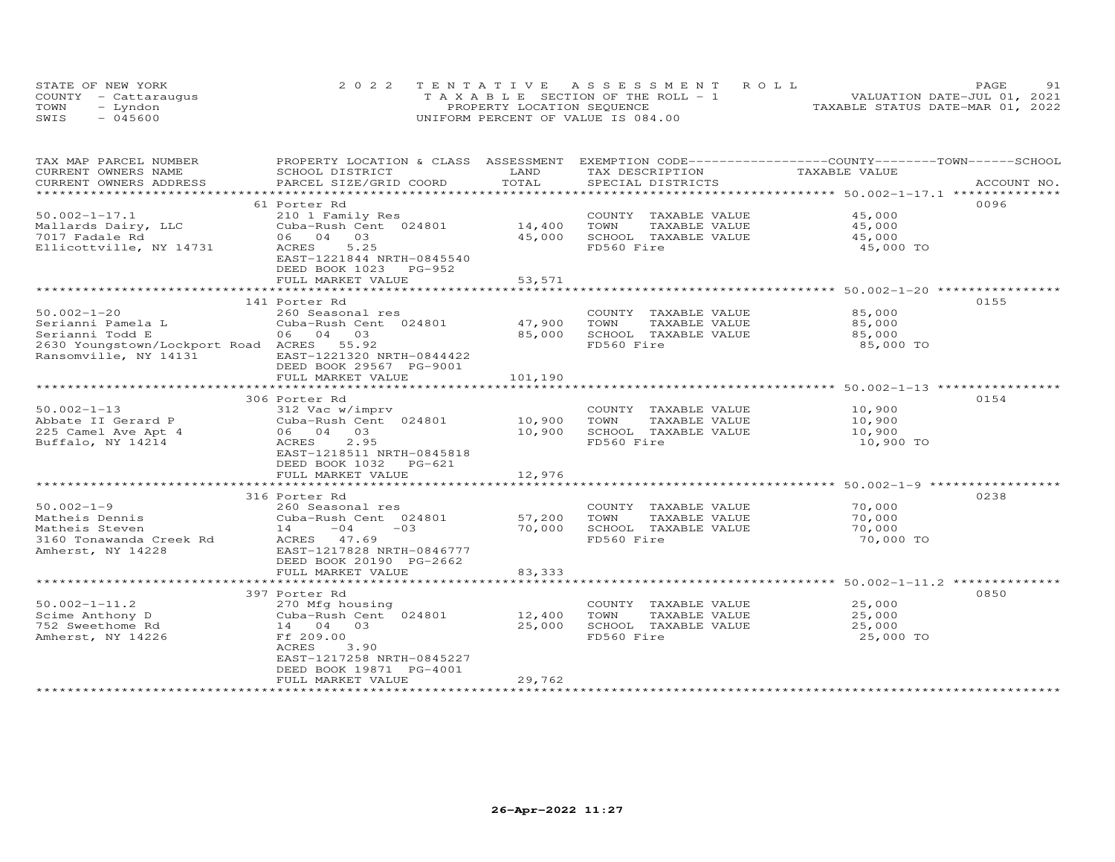|      | STATE OF NEW YORK    | 2022 TENTATIVE ASSESSMENT ROLL        | 91<br>PAGE                       |
|------|----------------------|---------------------------------------|----------------------------------|
|      | COUNTY - Cattarauqus | T A X A B L E SECTION OF THE ROLL - 1 | VALUATION DATE-JUL 01, 2021      |
| TOWN | - Lyndon             | PROPERTY LOCATION SEQUENCE            | TAXABLE STATUS DATE-MAR 01, 2022 |
| SWIS | $-045600$            | UNIFORM PERCENT OF VALUE IS 084.00    |                                  |

| TAX MAP PARCEL NUMBER<br>CURRENT OWNERS NAME            | PROPERTY LOCATION & CLASS ASSESSMENT<br>SCHOOL DISTRICT | LAND    | EXEMPTION CODE------------------COUNTY-------TOWN------SCHOOL<br>TAX DESCRIPTION | TAXABLE VALUE |             |
|---------------------------------------------------------|---------------------------------------------------------|---------|----------------------------------------------------------------------------------|---------------|-------------|
| CURRENT OWNERS ADDRESS                                  | PARCEL SIZE/GRID COORD                                  | TOTAL   | SPECIAL DISTRICTS                                                                |               | ACCOUNT NO. |
|                                                         |                                                         |         |                                                                                  |               |             |
|                                                         | 61 Porter Rd                                            |         |                                                                                  |               | 0096        |
| $50.002 - 1 - 17.1$                                     | 210 1 Family Res                                        |         | COUNTY TAXABLE VALUE                                                             | 45,000        |             |
| Mallards Dairy, LLC                                     | Cuba-Rush Cent 024801                                   | 14,400  | TOWN<br>TAXABLE VALUE                                                            | 45,000        |             |
| 7017 Fadale Rd                                          | 06 04 03                                                | 45,000  | SCHOOL TAXABLE VALUE                                                             | 45,000        |             |
| Ellicottville, NY 14731                                 | ACRES<br>5.25                                           |         | FD560 Fire                                                                       | 45,000 TO     |             |
|                                                         | EAST-1221844 NRTH-0845540                               |         |                                                                                  |               |             |
|                                                         | DEED BOOK 1023 PG-952                                   |         |                                                                                  |               |             |
|                                                         | FULL MARKET VALUE                                       | 53,571  |                                                                                  |               |             |
|                                                         |                                                         |         |                                                                                  |               |             |
|                                                         | 141 Porter Rd                                           |         |                                                                                  |               | 0155        |
| $50.002 - 1 - 20$                                       | 260 Seasonal res                                        |         | COUNTY TAXABLE VALUE                                                             | 85,000        |             |
|                                                         | Cuba-Rush Cent 024801                                   | 47,900  | TOWN<br>TAXABLE VALUE                                                            | 85,000        |             |
| Serianni Pamela L<br>Serianni Todd E<br>Serianni Todd E | 06 04 03                                                | 85,000  | SCHOOL TAXABLE VALUE                                                             | 85,000        |             |
| 2630 Youngstown/Lockport Road ACRES 55.92               |                                                         |         | FD560 Fire                                                                       | 85,000 TO     |             |
| Ransomville, NY 14131                                   | EAST-1221320 NRTH-0844422                               |         |                                                                                  |               |             |
|                                                         | DEED BOOK 29567 PG-9001                                 |         |                                                                                  |               |             |
|                                                         | FULL MARKET VALUE                                       | 101,190 |                                                                                  |               |             |
|                                                         |                                                         |         |                                                                                  |               |             |
|                                                         | 306 Porter Rd                                           |         |                                                                                  |               | 0154        |
| $50.002 - 1 - 13$                                       | 312 Vac w/imprv                                         |         | COUNTY TAXABLE VALUE                                                             | 10,900        |             |
| Abbate II Gerard P                                      | Cuba-Rush Cent 024801                                   | 10,900  | TAXABLE VALUE<br>TOWN                                                            | 10,900        |             |
| 225 Camel Ave Apt 4                                     | 06 04 03                                                | 10,900  | SCHOOL TAXABLE VALUE                                                             | 10,900        |             |
| Buffalo, NY 14214                                       | 2.95<br>ACRES                                           |         | FD560 Fire                                                                       | 10,900 TO     |             |
|                                                         | EAST-1218511 NRTH-0845818                               |         |                                                                                  |               |             |
|                                                         | DEED BOOK 1032 PG-621                                   |         |                                                                                  |               |             |
|                                                         | FULL MARKET VALUE                                       | 12,976  |                                                                                  |               |             |
|                                                         |                                                         |         |                                                                                  |               |             |
|                                                         | 316 Porter Rd                                           |         |                                                                                  |               | 0238        |
| $50.002 - 1 - 9$                                        | 260 Seasonal res                                        |         | COUNTY TAXABLE VALUE                                                             | 70,000        |             |
| Matheis Dennis                                          | Cuba-Rush Cent 024801                                   | 57,200  | TOWN<br>TAXABLE VALUE                                                            | 70,000        |             |
| Matheis Steven                                          | $14 -04$<br>$-0.3$                                      | 70,000  | SCHOOL TAXABLE VALUE                                                             | 70,000        |             |
| 3160 Tonawanda Creek Rd                                 | ACRES 47.69                                             |         | FD560 Fire                                                                       | 70,000 TO     |             |
| Amherst, NY 14228                                       | EAST-1217828 NRTH-0846777                               |         |                                                                                  |               |             |
|                                                         | DEED BOOK 20190 PG-2662                                 |         |                                                                                  |               |             |
|                                                         | FULL MARKET VALUE                                       | 83, 333 |                                                                                  |               |             |
|                                                         |                                                         |         |                                                                                  |               |             |
|                                                         | 397 Porter Rd                                           |         |                                                                                  |               | 0850        |
| $50.002 - 1 - 11.2$                                     | 270 Mfg housing                                         |         | COUNTY TAXABLE VALUE                                                             | 25,000        |             |
| Scime Anthony D                                         | Cuba-Rush Cent 024801                                   | 12,400  | TOWN<br>TAXABLE VALUE                                                            | 25,000        |             |
| 752 Sweethome Rd                                        | 14 04 03                                                | 25,000  | SCHOOL TAXABLE VALUE                                                             | 25,000        |             |
| Amherst, NY 14226                                       | Ff 209.00                                               |         | FD560 Fire                                                                       | 25,000 TO     |             |
|                                                         | ACRES<br>3.90                                           |         |                                                                                  |               |             |
|                                                         | EAST-1217258 NRTH-0845227                               |         |                                                                                  |               |             |
|                                                         | DEED BOOK 19871 PG-4001                                 |         |                                                                                  |               |             |
|                                                         | FULL MARKET VALUE                                       | 29,762  |                                                                                  |               |             |
|                                                         |                                                         |         |                                                                                  |               |             |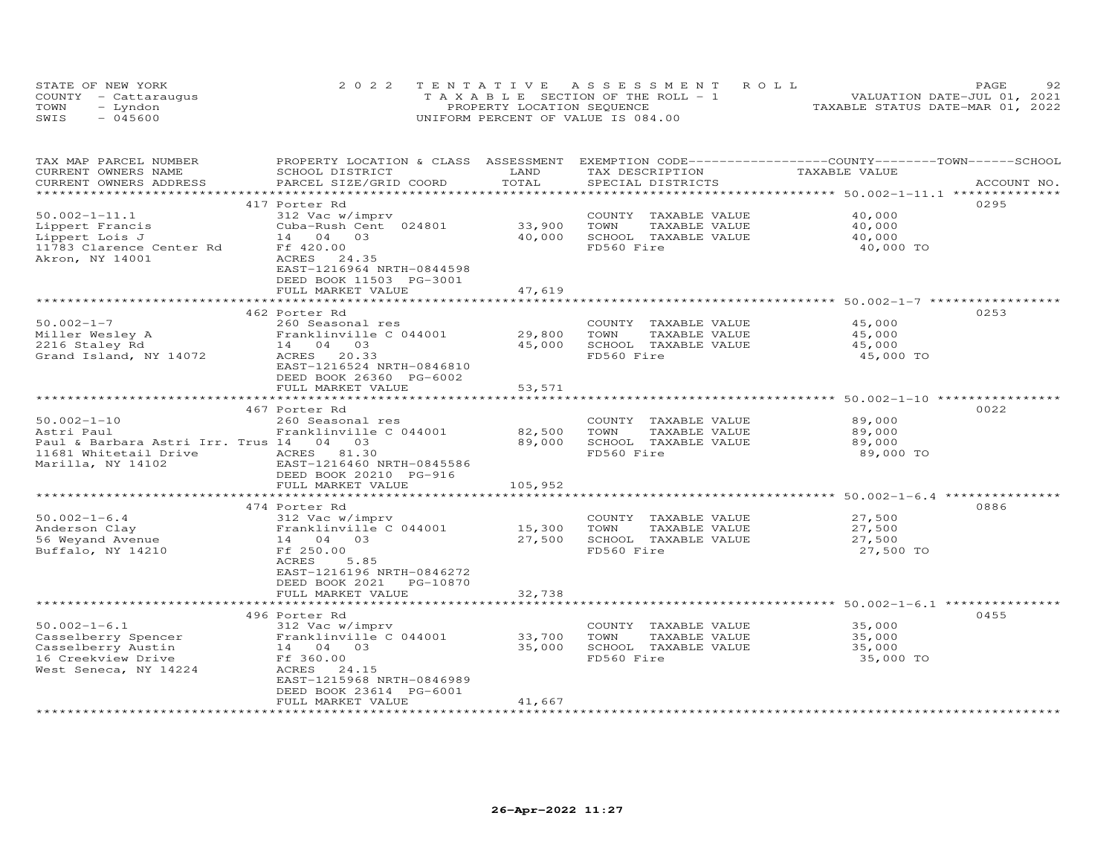|      | STATE OF NEW YORK    | 2022 TENTATIVE ASSESSMENT ROLL        | 92<br>PAGE                       |
|------|----------------------|---------------------------------------|----------------------------------|
|      | COUNTY - Cattaraugus | T A X A B L E SECTION OF THE ROLL - 1 | VALUATION DATE-JUL 01, 2021      |
| TOWN | – Lyndon             | PROPERTY LOCATION SEQUENCE            | TAXABLE STATUS DATE-MAR 01, 2022 |
| SWIS | $-045600$            | UNIFORM PERCENT OF VALUE IS 084.00    |                                  |

| TAX MAP PARCEL NUMBER<br>CURRENT OWNERS NAME<br>CURRENT OWNERS ADDRESS                                                   | PROPERTY LOCATION & CLASS ASSESSMENT<br>SCHOOL DISTRICT<br>PARCEL SIZE/GRID COORD                                                                                              | LAND<br>TOTAL               | TAX DESCRIPTION<br>SPECIAL DISTRICTS                                                | EXEMPTION CODE-----------------COUNTY-------TOWN------SCHOOL<br>TAXABLE VALUE | ACCOUNT NO. |
|--------------------------------------------------------------------------------------------------------------------------|--------------------------------------------------------------------------------------------------------------------------------------------------------------------------------|-----------------------------|-------------------------------------------------------------------------------------|-------------------------------------------------------------------------------|-------------|
| *********************                                                                                                    |                                                                                                                                                                                | **************              |                                                                                     |                                                                               |             |
| $50.002 - 1 - 11.1$<br>Lippert Francis<br>Lippert Lois J<br>11783 Clarence Center Rd<br>Akron, NY 14001                  | 417 Porter Rd<br>312 Vac w/imprv<br>Cuba-Rush Cent 024801<br>14 04 03<br>Ff 420.00<br>ACRES 24.35<br>EAST-1216964 NRTH-0844598<br>DEED BOOK 11503 PG-3001<br>FULL MARKET VALUE | 33,900<br>40,000<br>47,619  | COUNTY TAXABLE VALUE<br>TOWN<br>TAXABLE VALUE<br>SCHOOL TAXABLE VALUE<br>FD560 Fire | 0295<br>40,000<br>40,000<br>40,000<br>40,000 TO                               |             |
|                                                                                                                          | 462 Porter Rd                                                                                                                                                                  |                             |                                                                                     | 0253                                                                          |             |
| $50.002 - 1 - 7$<br>Miller Wesley A<br>2216 Staley Rd<br>Grand Island, NY 14072                                          | 260 Seasonal res<br>Franklinville C 044001<br>14 04 03<br>ACRES 20.33<br>EAST-1216524 NRTH-0846810<br>DEED BOOK 26360 PG-6002                                                  | 29,800<br>45,000            | COUNTY TAXABLE VALUE<br>TOWN<br>TAXABLE VALUE<br>SCHOOL TAXABLE VALUE<br>FD560 Fire | 45,000<br>45,000<br>45,000<br>45,000 TO                                       |             |
|                                                                                                                          | FULL MARKET VALUE                                                                                                                                                              | 53,571                      |                                                                                     |                                                                               |             |
|                                                                                                                          |                                                                                                                                                                                | **************              |                                                                                     | ********************************* 50.002-1-10 ************                    |             |
| $50.002 - 1 - 10$<br>Astri Paul<br>Paul & Barbara Astri Irr. Trus 14 04 03<br>11681 Whitetail Drive<br>Marilla, NY 14102 | 467 Porter Rd<br>260 Seasonal res<br>Franklinville C 044001<br>ACRES 81.30<br>EAST-1216460 NRTH-0845586<br>DEED BOOK 20210 PG-916<br>FULL MARKET VALUE                         | 82,500<br>89,000<br>105,952 | COUNTY TAXABLE VALUE<br>TOWN<br>TAXABLE VALUE<br>SCHOOL TAXABLE VALUE<br>FD560 Fire | 0022<br>89,000<br>89,000<br>89,000<br>89,000 TO                               |             |
|                                                                                                                          | 474 Porter Rd                                                                                                                                                                  |                             |                                                                                     | 0886                                                                          |             |
| $50.002 - 1 - 6.4$<br>Anderson Clay<br>56 Weyand Avenue<br>Buffalo, NY 14210                                             | 312 Vac w/imprv<br>Franklinville C 044001<br>14 04 03<br>Ff 250.00<br>ACRES<br>5.85<br>EAST-1216196 NRTH-0846272<br>DEED BOOK 2021 PG-10870                                    | 15,300<br>27,500            | COUNTY TAXABLE VALUE<br>TOWN<br>TAXABLE VALUE<br>SCHOOL TAXABLE VALUE<br>FD560 Fire | 27,500<br>27,500<br>27,500<br>27,500 TO                                       |             |
|                                                                                                                          | FULL MARKET VALUE                                                                                                                                                              | 32,738                      |                                                                                     |                                                                               |             |
|                                                                                                                          | ************************                                                                                                                                                       |                             |                                                                                     |                                                                               |             |
| $50.002 - 1 - 6.1$<br>Casselberry Spencer<br>Casselberry Austin<br>16 Creekview Drive<br>West Seneca, NY 14224           | 496 Porter Rd<br>312 Vac w/imprv<br>Franklinville C 044001<br>14 04 03<br>Ff 360.00<br>ACRES<br>24.15<br>EAST-1215968 NRTH-0846989<br>DEED BOOK 23614 PG-6001                  | 33,700<br>35,000            | COUNTY TAXABLE VALUE<br>TOWN<br>TAXABLE VALUE<br>SCHOOL TAXABLE VALUE<br>FD560 Fire | 0455<br>35,000<br>35,000<br>35,000<br>35,000 TO                               |             |
|                                                                                                                          | FULL MARKET VALUE                                                                                                                                                              | 41,667                      |                                                                                     |                                                                               |             |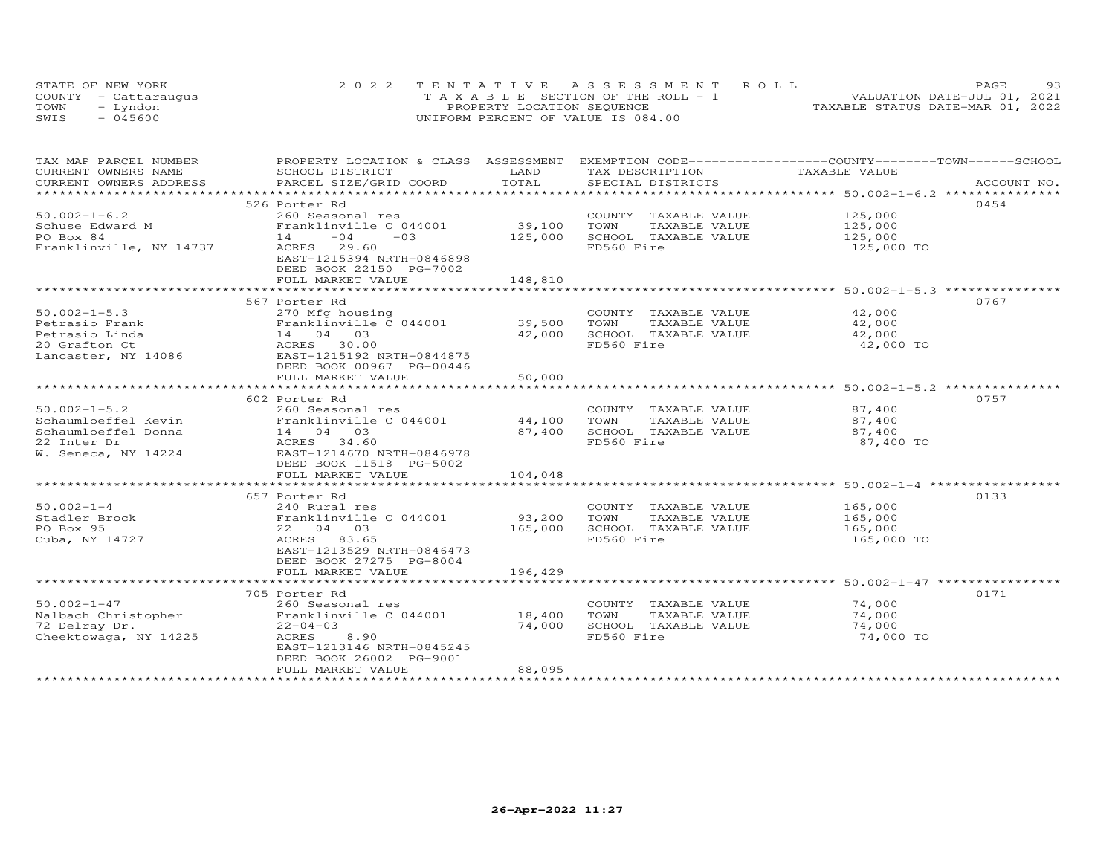|      | STATE OF NEW YORK    | 2022 TENTATIVE ASSESSMENT ROLL     | 93<br>PAGE.                      |
|------|----------------------|------------------------------------|----------------------------------|
|      | COUNTY - Cattaraugus | TAXABLE SECTION OF THE ROLL - 1    | VALUATION DATE-JUL 01, 2021      |
| TOWN | – Lyndon             | PROPERTY LOCATION SEQUENCE         | TAXABLE STATUS DATE-MAR 01, 2022 |
| SWIS | $-045600$            | UNIFORM PERCENT OF VALUE IS 084.00 |                                  |

| TAX MAP PARCEL NUMBER                         |                               |             |                       | PROPERTY LOCATION & CLASS ASSESSMENT EXEMPTION CODE-----------------COUNTY-------TOWN------SCHOOL |
|-----------------------------------------------|-------------------------------|-------------|-----------------------|---------------------------------------------------------------------------------------------------|
| CURRENT OWNERS NAME                           | SCHOOL DISTRICT               | LAND        | TAX DESCRIPTION       | TAXABLE VALUE                                                                                     |
| CURRENT OWNERS ADDRESS                        | PARCEL SIZE/GRID COORD        | TOTAL       | SPECIAL DISTRICTS     | ACCOUNT NO.                                                                                       |
|                                               |                               |             |                       |                                                                                                   |
|                                               | 526 Porter Rd                 |             |                       | 0454                                                                                              |
| $50.002 - 1 - 6.2$                            | 260 Seasonal res              |             | COUNTY TAXABLE VALUE  | 125,000                                                                                           |
| Schuse Edward M                               | Franklinville C 044001        | 39,100      | TOWN<br>TAXABLE VALUE | 125,000                                                                                           |
| PO Box 84                                     | 14<br>$-04$<br>$-03$          | 125,000     | SCHOOL TAXABLE VALUE  | 125,000                                                                                           |
| Franklinville, NY 14737                       | ACRES 29.60                   |             | FD560 Fire            | 125,000 TO                                                                                        |
|                                               | EAST-1215394 NRTH-0846898     |             |                       |                                                                                                   |
|                                               | DEED BOOK 22150 PG-7002       |             |                       |                                                                                                   |
|                                               | FULL MARKET VALUE             | 148,810     |                       |                                                                                                   |
|                                               |                               |             |                       |                                                                                                   |
|                                               | 567 Porter Rd                 |             |                       | 0767                                                                                              |
| $50.002 - 1 - 5.3$                            | 270 Mfg housing               |             | COUNTY TAXABLE VALUE  | 42,000                                                                                            |
| Petrasio Frank                                | Franklinville C 044001        | 39,500      | TOWN<br>TAXABLE VALUE | 42,000                                                                                            |
| Petrasio Linda                                | 14 04 03                      | 42,000      | SCHOOL TAXABLE VALUE  | 42,000                                                                                            |
| 20 Grafton Ct                                 | ACRES 30.00                   |             | FD560 Fire            | 42,000 TO                                                                                         |
| Lancaster, NY 14086 EAST-1215192 NRTH-0844875 |                               |             |                       |                                                                                                   |
|                                               | DEED BOOK 00967 PG-00446      |             |                       |                                                                                                   |
|                                               | FULL MARKET VALUE             | 50,000      |                       |                                                                                                   |
|                                               |                               |             |                       |                                                                                                   |
|                                               | 602 Porter Rd                 |             |                       | 0757                                                                                              |
| $50.002 - 1 - 5.2$                            | 260 Seasonal res              |             | COUNTY TAXABLE VALUE  | 87,400                                                                                            |
| Schaumloeffel Kevin                           | Franklinville C 044001        | 44,100 TOWN | TAXABLE VALUE         | 87,400                                                                                            |
| Schaumloeffel Donna                           | 14 04 03                      | 87,400      | SCHOOL TAXABLE VALUE  | 87,400                                                                                            |
| 22 Inter Dr                                   | ACRES 34.60                   |             | FD560 Fire            | 87,400 TO                                                                                         |
|                                               | EAST-1214670 NRTH-0846978     |             |                       |                                                                                                   |
| W. Seneca, NY 14224                           |                               |             |                       |                                                                                                   |
|                                               | DEED BOOK 11518 PG-5002       |             |                       |                                                                                                   |
|                                               | FULL MARKET VALUE             | 104,048     |                       |                                                                                                   |
|                                               |                               |             |                       |                                                                                                   |
|                                               | 657 Porter Rd                 |             |                       | 0133                                                                                              |
| $50.002 - 1 - 4$                              | 240 Rural res                 |             | COUNTY TAXABLE VALUE  | 165,000                                                                                           |
| Stadler Brock                                 | Franklinville C 044001        | 93,200      | TOWN<br>TAXABLE VALUE | 165,000                                                                                           |
| PO Box 95                                     | 22 04 03                      | 165,000     | SCHOOL TAXABLE VALUE  | 165,000                                                                                           |
| Cuba, NY 14727                                | ACRES 83.65                   |             | FD560 Fire            | 165,000 TO                                                                                        |
|                                               | EAST-1213529 NRTH-0846473     |             |                       |                                                                                                   |
|                                               | DEED BOOK 27275 PG-8004       |             |                       |                                                                                                   |
|                                               | FULL MARKET VALUE             | 196,429     |                       |                                                                                                   |
|                                               |                               |             |                       |                                                                                                   |
|                                               | 705 Porter Rd                 |             |                       | 0171                                                                                              |
| $50.002 - 1 - 47$                             | 260 Seasonal res              |             | COUNTY TAXABLE VALUE  | 74,000                                                                                            |
| Nalbach Christopher                           | Franklinville C 044001 18,400 |             | TOWN<br>TAXABLE VALUE | 74,000                                                                                            |
| 72 Delray Dr.                                 | $22 - 04 - 03$                | 74,000      | SCHOOL TAXABLE VALUE  | 74,000                                                                                            |
| Cheektowaga, NY 14225                         | ACRES<br>8.90                 |             | FD560 Fire            | 74,000 TO                                                                                         |
|                                               | EAST-1213146 NRTH-0845245     |             |                       |                                                                                                   |
|                                               | DEED BOOK 26002 PG-9001       |             |                       |                                                                                                   |
|                                               | FULL MARKET VALUE             | 88,095      |                       |                                                                                                   |
|                                               |                               |             |                       |                                                                                                   |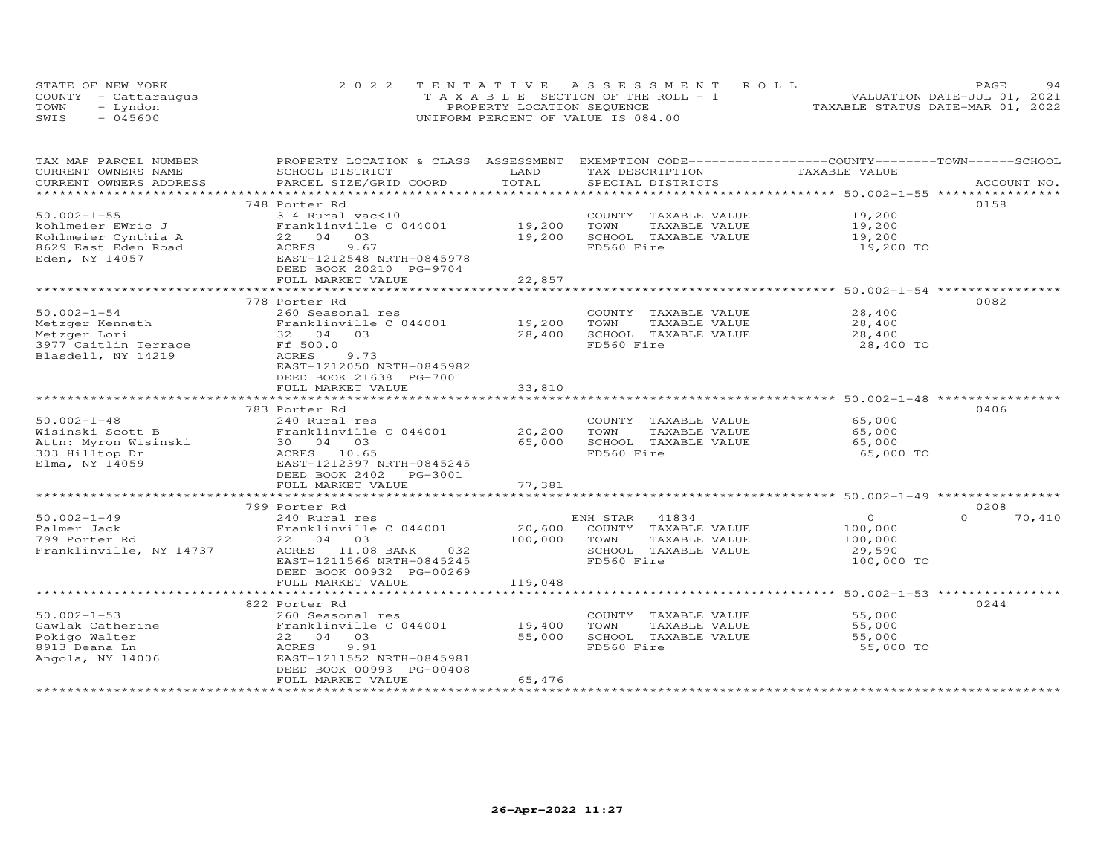| STATE OF NEW YORK    | 2022 TENTATIVE ASSESSMENT ROLL        | 94<br><b>PAGE</b>                |
|----------------------|---------------------------------------|----------------------------------|
| COUNTY - Cattaraugus | T A X A B L E SECTION OF THE ROLL - 1 | VALUATION DATE-JUL 01, 2021      |
| TOWN<br>– Lyndon     | PROPERTY LOCATION SEQUENCE            | TAXABLE STATUS DATE-MAR 01, 2022 |
| SWIS<br>- 045600     | UNIFORM PERCENT OF VALUE IS 084.00    |                                  |

| TAX MAP PARCEL NUMBER                  | PROPERTY LOCATION & CLASS ASSESSMENT EXEMPTION CODE-----------------COUNTY-------TOWN------SCHOOL |              |                                               |                |                    |
|----------------------------------------|---------------------------------------------------------------------------------------------------|--------------|-----------------------------------------------|----------------|--------------------|
| CURRENT OWNERS NAME                    | SCHOOL DISTRICT                                                                                   | LAND         | TAX DESCRIPTION                               | TAXABLE VALUE  |                    |
| CURRENT OWNERS ADDRESS                 | PARCEL SIZE/GRID COORD                                                                            | TOTAL        | SPECIAL DISTRICTS                             |                | ACCOUNT NO.        |
|                                        |                                                                                                   |              |                                               |                |                    |
|                                        | 748 Porter Rd                                                                                     |              |                                               |                | 0158               |
| $50.002 - 1 - 55$                      | 314 Rural vac<10                                                                                  |              | COUNTY TAXABLE VALUE                          | 19,200         |                    |
| kohlmeier EWric J                      | Franklinville C 044001                                                                            | 19,200       | TOWN<br>TAXABLE VALUE                         | 19,200         |                    |
| Kohlmeier Cynthia A                    | 22 04 03                                                                                          | 19,200       | SCHOOL TAXABLE VALUE                          | 19,200         |                    |
| 8629 East Eden Road                    | 9.67<br>ACRES                                                                                     |              | FD560 Fire                                    | 19,200 TO      |                    |
| Eden, NY 14057                         | EAST-1212548 NRTH-0845978                                                                         |              |                                               |                |                    |
|                                        | DEED BOOK 20210 PG-9704                                                                           |              |                                               |                |                    |
|                                        | FULL MARKET VALUE                                                                                 | 22,857       |                                               |                |                    |
|                                        |                                                                                                   |              |                                               |                |                    |
|                                        | 778 Porter Rd                                                                                     |              |                                               |                | 0082               |
| $50.002 - 1 - 54$                      | 260 Seasonal res                                                                                  |              | COUNTY TAXABLE VALUE                          | 28,400         |                    |
|                                        | Franklinville C 044001                                                                            | 19,200       | TOWN<br>TAXABLE VALUE                         | 28,400         |                    |
| Metzger Kenneth                        | 32 04 03                                                                                          | 28,400       | SCHOOL TAXABLE VALUE                          | 28,400         |                    |
| Metzger Lori                           |                                                                                                   |              |                                               |                |                    |
| 3977 Caitlin Terrace                   | Ff 500.0                                                                                          |              | FD560 Fire                                    | 28,400 TO      |                    |
| Blasdell, NY 14219                     | ACRES<br>9.73                                                                                     |              |                                               |                |                    |
|                                        | EAST-1212050 NRTH-0845982                                                                         |              |                                               |                |                    |
|                                        | DEED BOOK 21638 PG-7001                                                                           |              |                                               |                |                    |
|                                        | FULL MARKET VALUE                                                                                 | 33,810       |                                               |                |                    |
|                                        |                                                                                                   |              |                                               |                |                    |
|                                        | 783 Porter Rd                                                                                     |              |                                               |                | 0406               |
| $50.002 - 1 - 48$                      | 240 Rural res                                                                                     |              | COUNTY TAXABLE VALUE                          | 65,000         |                    |
| Wisinski Scott B                       | Franklinville C 044001                                                                            | 20,200       | TOWN<br>TAXABLE VALUE                         | 65,000         |                    |
| Attn: Myron Wisinski<br>303 Hilltop Dr | 30  04  03                                                                                        | 65,000       | SCHOOL TAXABLE VALUE                          | 65,000         |                    |
| 303 Hilltop Dr                         | ACRES 10.65                                                                                       |              | FD560 Fire                                    | 65,000 TO      |                    |
| Elma, NY 14059                         | EAST-1212397 NRTH-0845245                                                                         |              |                                               |                |                    |
|                                        | DEED BOOK 2402    PG-3001                                                                         |              |                                               |                |                    |
|                                        | FULL MARKET VALUE                                                                                 | 77,381       |                                               |                |                    |
|                                        |                                                                                                   |              |                                               |                |                    |
|                                        | 799 Porter Rd                                                                                     |              |                                               |                | 0208               |
| $50.002 - 1 - 49$                      | 240 Rural res                                                                                     |              | ENH STAR<br>41834                             | $\overline{O}$ | $\Omega$<br>70,410 |
| Palmer Jack                            | Franklinville C 044001                                                                            |              | 20,600 COUNTY TAXABLE VALUE                   | 100,000        |                    |
| 799 Porter Rd                          | 22 04 03                                                                                          | 100,000 TOWN | TAXABLE VALUE                                 | 100,000        |                    |
| Franklinville, NY 14737                | ACRES 11.08 BANK 032                                                                              |              | SCHOOL TAXABLE VALUE                          | 29,590         |                    |
|                                        | EAST-1211566 NRTH-0845245                                                                         |              | FD560 Fire                                    | 100,000 TO     |                    |
|                                        | DEED BOOK 00932 PG-00269                                                                          |              |                                               |                |                    |
|                                        | FULL MARKET VALUE                                                                                 | 119,048      |                                               |                |                    |
|                                        |                                                                                                   |              |                                               |                |                    |
|                                        | 822 Porter Rd                                                                                     |              |                                               |                | 0244               |
| $50.002 - 1 - 53$                      |                                                                                                   |              |                                               | 55,000         |                    |
| Gawlak Catherine                       | 260 Seasonal res<br>Franklinville C 044001 19,400                                                 |              | COUNTY TAXABLE VALUE<br>TOWN<br>TAXABLE VALUE | 55,000         |                    |
|                                        |                                                                                                   |              |                                               |                |                    |
| Pokigo Walter                          | 22 04 03                                                                                          | 55,000       | SCHOOL TAXABLE VALUE                          | 55,000         |                    |
| 8913 Deana Ln                          | ACRES<br>9.91                                                                                     |              | FD560 Fire                                    | 55,000 TO      |                    |
| Angola, NY 14006                       | EAST-1211552 NRTH-0845981                                                                         |              |                                               |                |                    |
|                                        | DEED BOOK 00993 PG-00408                                                                          |              |                                               |                |                    |
|                                        | FULL MARKET VALUE                                                                                 | 65,476       |                                               |                |                    |
|                                        |                                                                                                   |              |                                               |                |                    |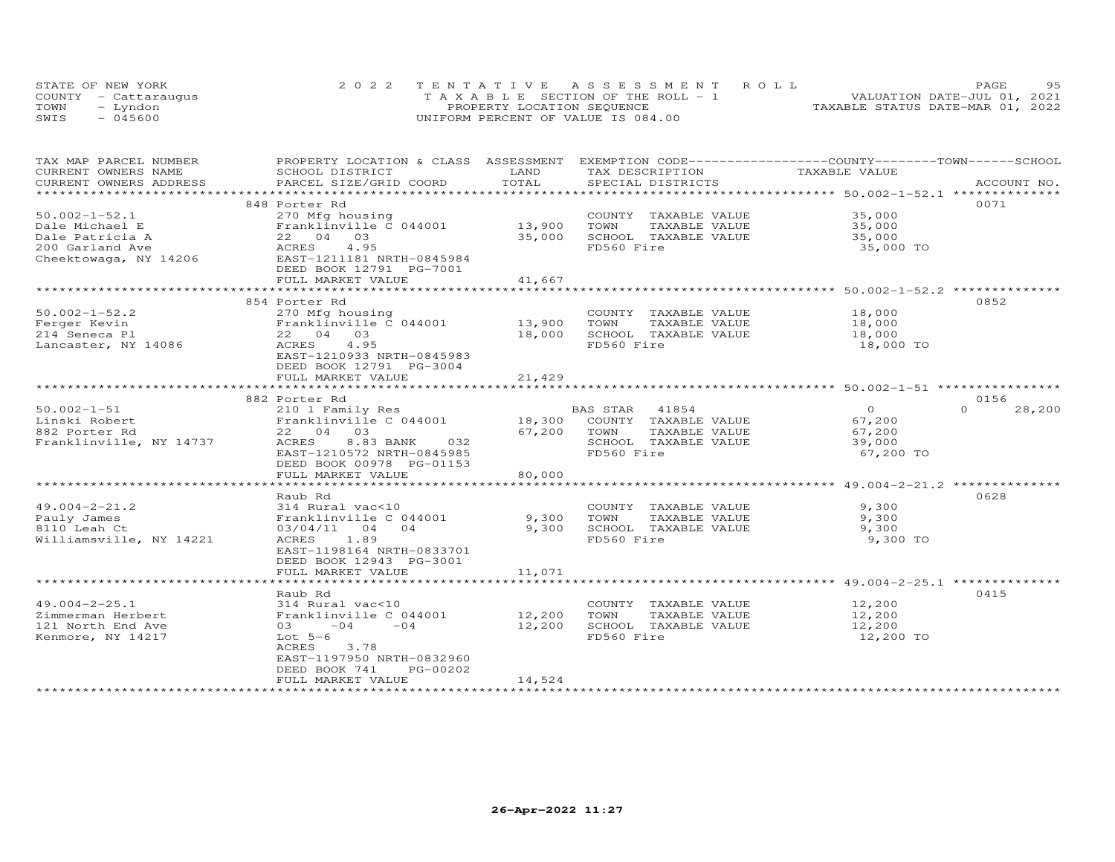|      | STATE OF NEW YORK    | 2022 TENTATIVE ASSESSMENT ROLL                | 95<br>PAGE                       |
|------|----------------------|-----------------------------------------------|----------------------------------|
|      | COUNTY - Cattaraugus | $T A X A B I E S E C T I ON OF THE RO I. - 1$ | VALUATION DATE-JUL 01, 2021      |
| TOWN | Lyndon               | PROPERTY LOCATION SEQUENCE                    | TAXABLE STATUS DATE-MAR 01, 2022 |
| SWIS | $-045600$            | UNIFORM PERCENT OF VALUE IS 084.00            |                                  |

| TAX MAP PARCEL NUMBER<br>CURRENT OWNERS NAME | PROPERTY LOCATION & CLASS ASSESSMENT      | LAND                    | EXEMPTION CODE-----------------COUNTY-------TOWN------SCHOOL | TAXABLE VALUE                                         |                    |
|----------------------------------------------|-------------------------------------------|-------------------------|--------------------------------------------------------------|-------------------------------------------------------|--------------------|
| CURRENT OWNERS ADDRESS                       | SCHOOL DISTRICT<br>PARCEL SIZE/GRID COORD | TOTAL                   | TAX DESCRIPTION<br>SPECIAL DISTRICTS                         |                                                       | ACCOUNT NO.        |
| ********************                         |                                           |                         |                                                              |                                                       |                    |
|                                              | 848 Porter Rd                             |                         |                                                              |                                                       | 0071               |
| $50.002 - 1 - 52.1$                          |                                           |                         |                                                              | 35,000                                                |                    |
|                                              | 270 Mfg housing                           |                         | COUNTY TAXABLE VALUE                                         |                                                       |                    |
| Dale Michael E                               | Franklinville C 044001                    | 13,900                  | TAXABLE VALUE<br>TOWN                                        | 35,000                                                |                    |
| Dale Patricia A                              | 22 04 03                                  | 35,000                  | SCHOOL TAXABLE VALUE                                         | 35,000                                                |                    |
| 200 Garland Ave                              | 4.95<br>ACRES                             |                         | FD560 Fire                                                   | 35,000 TO                                             |                    |
| Cheektowaga, NY 14206                        | EAST-1211181 NRTH-0845984                 |                         |                                                              |                                                       |                    |
|                                              | DEED BOOK 12791 PG-7001                   |                         |                                                              |                                                       |                    |
|                                              | FULL MARKET VALUE                         | 41,667                  |                                                              |                                                       |                    |
|                                              |                                           | *****************       |                                                              | ******************** 50.002-1-52.2 *********          |                    |
|                                              | 854 Porter Rd                             |                         |                                                              |                                                       | 0852               |
| $50.002 - 1 - 52.2$                          | 270 Mfg housing                           |                         | COUNTY TAXABLE VALUE                                         | 18,000                                                |                    |
| Ferger Kevin                                 | Franklinville C 044001                    | 13,900                  | TAXABLE VALUE<br>TOWN                                        | 18,000                                                |                    |
| 214 Seneca Pl                                | 22 04 03                                  | 18,000                  | SCHOOL TAXABLE VALUE                                         | 18,000                                                |                    |
| Lancaster, NY 14086                          | 4.95<br>ACRES                             |                         | FD560 Fire                                                   | 18,000 TO                                             |                    |
|                                              | EAST-1210933 NRTH-0845983                 |                         |                                                              |                                                       |                    |
|                                              | DEED BOOK 12791 PG-3004                   |                         |                                                              |                                                       |                    |
|                                              | FULL MARKET VALUE                         | 21,429                  |                                                              |                                                       |                    |
|                                              |                                           |                         |                                                              |                                                       |                    |
|                                              | 882 Porter Rd                             |                         |                                                              |                                                       | 0156               |
| $50.002 - 1 - 51$                            | 210 1 Family Res                          |                         | 41854<br>BAS STAR                                            | $\Omega$                                              | $\Omega$<br>28,200 |
| Linski Robert                                | Franklinville C 044001                    | 18,300                  | COUNTY TAXABLE VALUE                                         | 67,200                                                |                    |
| 882 Porter Rd                                | 22 04 03                                  | 67,200                  | TOWN<br>TAXABLE VALUE                                        | 67,200                                                |                    |
| Franklinville, NY 14737                      | ACRES<br>8.83 BANK<br>032                 |                         | SCHOOL TAXABLE VALUE                                         | 39,000                                                |                    |
|                                              | EAST-1210572 NRTH-0845985                 |                         | FD560 Fire                                                   | 67,200 TO                                             |                    |
|                                              | DEED BOOK 00978 PG-01153                  |                         |                                                              |                                                       |                    |
|                                              | FULL MARKET VALUE                         | 80,000                  |                                                              |                                                       |                    |
|                                              |                                           | ***********             |                                                              | ************************ 49.004-2-21.2 ************** |                    |
|                                              |                                           |                         |                                                              |                                                       | 0628               |
| $49.004 - 2 - 21.2$                          | Raub Rd                                   |                         |                                                              | 9,300                                                 |                    |
|                                              | 314 Rural vac<10                          |                         | COUNTY TAXABLE VALUE                                         |                                                       |                    |
| Pauly James                                  | Franklinville C 044001                    | 9,300                   | TOWN<br>TAXABLE VALUE                                        | 9,300                                                 |                    |
| 8110 Leah Ct                                 | 04<br>03/04/11<br>04                      | 9,300                   | SCHOOL TAXABLE VALUE                                         | 9,300                                                 |                    |
| Williamsville, NY 14221                      | ACRES<br>1.89                             |                         | FD560 Fire                                                   | 9,300 TO                                              |                    |
|                                              | EAST-1198164 NRTH-0833701                 |                         |                                                              |                                                       |                    |
|                                              | DEED BOOK 12943 PG-3001                   |                         |                                                              |                                                       |                    |
|                                              | FULL MARKET VALUE                         | 11,071<br>************* |                                                              |                                                       |                    |
|                                              | **********************                    |                         |                                                              |                                                       |                    |
|                                              | Raub Rd                                   |                         |                                                              |                                                       | 0415               |
| $49.004 - 2 - 25.1$                          | 314 Rural vac<10                          |                         | COUNTY TAXABLE VALUE                                         | 12,200                                                |                    |
| Zimmerman Herbert                            | Franklinville C 044001                    | 12,200                  | TOWN<br>TAXABLE VALUE                                        | 12,200                                                |                    |
| 121 North End Ave                            | $-04$<br>$-04$<br>03                      | 12,200                  | SCHOOL TAXABLE VALUE                                         | 12,200                                                |                    |
| Kenmore, NY 14217                            | Lot $5-6$                                 |                         | FD560 Fire                                                   | 12,200 TO                                             |                    |
|                                              | ACRES<br>3.78                             |                         |                                                              |                                                       |                    |
|                                              | EAST-1197950 NRTH-0832960                 |                         |                                                              |                                                       |                    |
|                                              | DEED BOOK 741<br>PG-00202                 |                         |                                                              |                                                       |                    |
|                                              | FULL MARKET VALUE                         | 14,524                  |                                                              |                                                       |                    |
|                                              | *************************                 |                         |                                                              |                                                       |                    |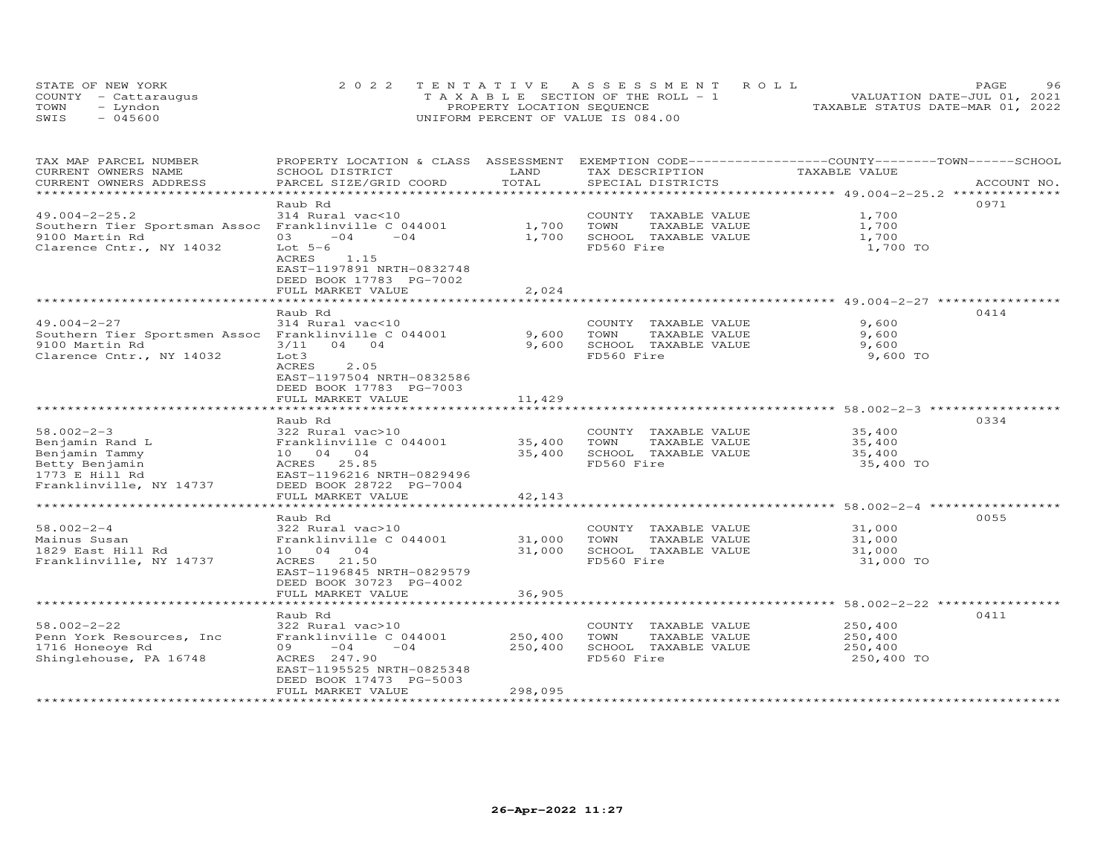| STATE OF NEW YORK    | 2022 TENTATIVE ASSESSMENT ROLL        | 96<br>PAGE.                      |
|----------------------|---------------------------------------|----------------------------------|
| COUNTY - Cattaraugus | T A X A B L E SECTION OF THE ROLL - 1 | VALUATION DATE-JUL 01, 2021      |
| TOWN<br>- Lyndon     | PROPERTY LOCATION SEQUENCE            | TAXABLE STATUS DATE-MAR 01, 2022 |
| $-045600$<br>SWIS    | UNIFORM PERCENT OF VALUE IS 084.00    |                                  |

| TAX MAP PARCEL NUMBER<br>CURRENT OWNERS NAME         | PROPERTY LOCATION & CLASS ASSESSMENT<br>SCHOOL DISTRICT | LAND                   | TAX DESCRIPTION                    | EXEMPTION CODE-----------------COUNTY-------TOWN------SCHOOL<br>TAXABLE VALUE |             |
|------------------------------------------------------|---------------------------------------------------------|------------------------|------------------------------------|-------------------------------------------------------------------------------|-------------|
| CURRENT OWNERS ADDRESS<br>*********************      | PARCEL SIZE/GRID COORD                                  | TOTAL<br>************* | SPECIAL DISTRICTS                  | ********************************** 49.004-2-25.2 **************               | ACCOUNT NO. |
|                                                      | Raub Rd                                                 |                        |                                    |                                                                               | 0971        |
| $49.004 - 2 - 25.2$                                  | 314 Rural vac<10                                        |                        | COUNTY TAXABLE VALUE               | 1,700                                                                         |             |
| Southern Tier Sportsman Assoc Franklinville C 044001 |                                                         | 1,700                  | TOWN<br>TAXABLE VALUE              | 1,700                                                                         |             |
| 9100 Martin Rd                                       | 03<br>$-04$<br>$-04$                                    | 1,700                  | SCHOOL TAXABLE VALUE               | 1,700                                                                         |             |
| Clarence Cntr., NY 14032                             | Lot $5-6$                                               |                        | FD560 Fire                         | 1,700 TO                                                                      |             |
|                                                      | ACRES<br>1.15                                           |                        |                                    |                                                                               |             |
|                                                      | EAST-1197891 NRTH-0832748                               |                        |                                    |                                                                               |             |
|                                                      | DEED BOOK 17783 PG-7002                                 |                        |                                    |                                                                               |             |
|                                                      | FULL MARKET VALUE                                       | 2,024                  |                                    |                                                                               |             |
|                                                      |                                                         |                        |                                    |                                                                               |             |
|                                                      | Raub Rd                                                 |                        |                                    |                                                                               | 0414        |
| $49.004 - 2 - 27$                                    | 314 Rural vac<10                                        |                        | COUNTY TAXABLE VALUE               | 9,600                                                                         |             |
| Southern Tier Sportsmen Assoc Franklinville C 044001 |                                                         | 9,600                  | TOWN<br>TAXABLE VALUE              | 9,600                                                                         |             |
| 9100 Martin Rd                                       | $3/11$ 04 04                                            | 9,600                  | SCHOOL TAXABLE VALUE<br>FD560 Fire | 9,600                                                                         |             |
| Clarence Cntr., NY 14032                             | Lot3<br>ACRES<br>2.05                                   |                        |                                    | 9,600 TO                                                                      |             |
|                                                      | EAST-1197504 NRTH-0832586                               |                        |                                    |                                                                               |             |
|                                                      | DEED BOOK 17783 PG-7003                                 |                        |                                    |                                                                               |             |
|                                                      | FULL MARKET VALUE                                       | 11,429                 |                                    |                                                                               |             |
|                                                      | ***********************                                 |                        |                                    |                                                                               |             |
|                                                      | Raub Rd                                                 |                        |                                    |                                                                               | 0334        |
| $58.002 - 2 - 3$                                     | 322 Rural vac>10                                        |                        | COUNTY TAXABLE VALUE               | 35,400                                                                        |             |
| Benjamin Rand L                                      | Franklinville C 044001                                  | 35,400                 | TOWN<br>TAXABLE VALUE              | 35,400                                                                        |             |
| Benjamin Tammy                                       | 10 04 04                                                | 35,400                 | SCHOOL TAXABLE VALUE               | 35,400                                                                        |             |
| Betty Benjamin                                       | 25.85<br>ACRES                                          |                        | FD560 Fire                         | 35,400 TO                                                                     |             |
| 1773 E Hill Rd                                       | EAST-1196216 NRTH-0829496                               |                        |                                    |                                                                               |             |
| Franklinville, NY 14737                              | DEED BOOK 28722 PG-7004                                 |                        |                                    |                                                                               |             |
|                                                      | FULL MARKET VALUE                                       | 42,143                 |                                    | ******************* 58.002-2-4 *****                                          |             |
|                                                      | Raub Rd                                                 |                        |                                    |                                                                               | 0055        |
| $58.002 - 2 - 4$                                     | 322 Rural vac>10                                        |                        | COUNTY TAXABLE VALUE               | 31,000                                                                        |             |
| Mainus Susan                                         | Franklinville C 044001                                  | 31,000                 | TOWN<br>TAXABLE VALUE              | 31,000                                                                        |             |
| 1829 East Hill Rd                                    | 10 04 04                                                | 31,000                 | SCHOOL TAXABLE VALUE               | 31,000                                                                        |             |
| Franklinville, NY 14737                              | ACRES 21.50                                             |                        | FD560 Fire                         | 31,000 TO                                                                     |             |
|                                                      | EAST-1196845 NRTH-0829579                               |                        |                                    |                                                                               |             |
|                                                      | DEED BOOK 30723 PG-4002                                 |                        |                                    |                                                                               |             |
|                                                      | FULL MARKET VALUE                                       | 36,905                 |                                    |                                                                               |             |
|                                                      | *********************                                   |                        |                                    | ****************************** 58.002-2-22 ****************                   |             |
|                                                      | Raub Rd                                                 |                        |                                    |                                                                               | 0411        |
| $58.002 - 2 - 22$                                    | 322 Rural vac>10                                        |                        | COUNTY TAXABLE VALUE               | 250,400                                                                       |             |
| Penn York Resources, Inc.                            | Franklinville C 044001                                  | 250,400                | TOWN<br>TAXABLE VALUE              | 250,400                                                                       |             |
| 1716 Honeoye Rd                                      | 09<br>$-04$<br>$-04$                                    | 250,400                | SCHOOL TAXABLE VALUE               | 250,400                                                                       |             |
| Shinglehouse, PA 16748                               | ACRES 247.90<br>EAST-1195525 NRTH-0825348               |                        | FD560 Fire                         | 250,400 TO                                                                    |             |
|                                                      | DEED BOOK 17473 PG-5003                                 |                        |                                    |                                                                               |             |
|                                                      | FULL MARKET VALUE                                       | 298,095                |                                    |                                                                               |             |
|                                                      |                                                         |                        |                                    |                                                                               |             |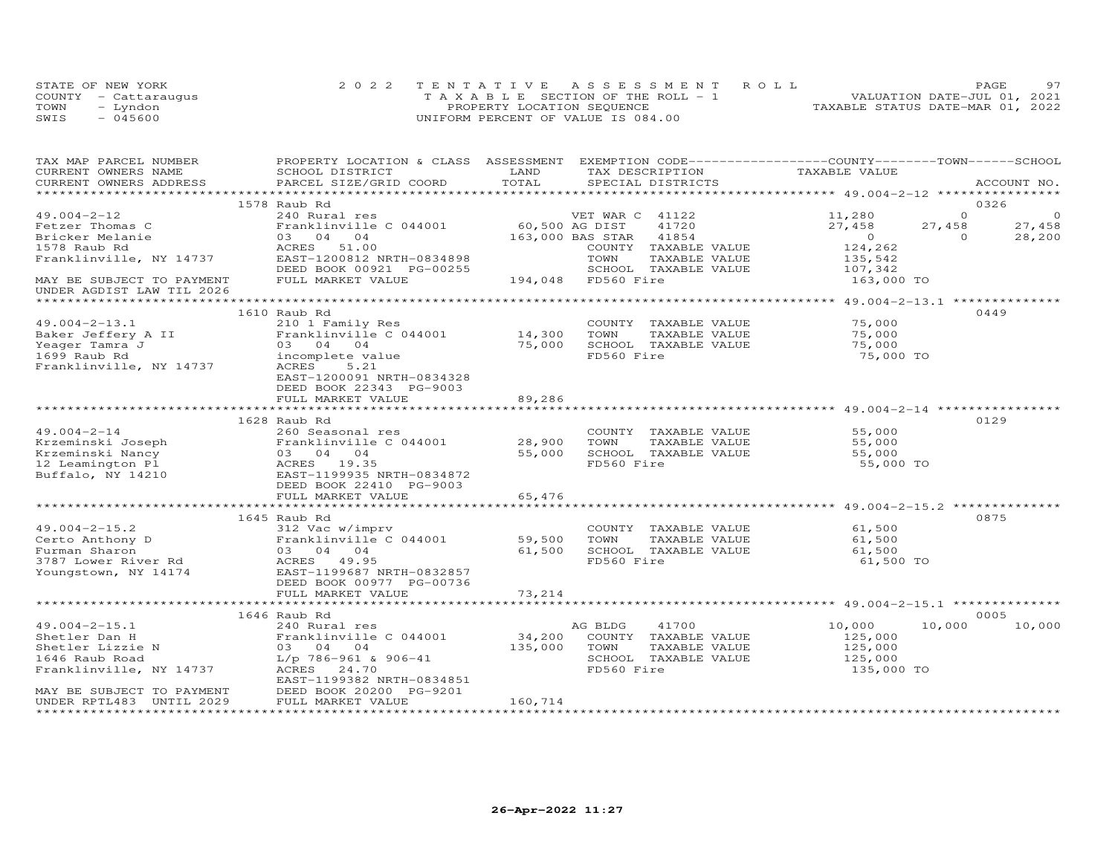|      | STATE OF NEW YORK    | 2022 TENTATIVE ASSESSMENT ROLL        | PAGE.                            | 97 |
|------|----------------------|---------------------------------------|----------------------------------|----|
|      | COUNTY - Cattaraugus | T A X A B L E SECTION OF THE ROLL - 1 | VALUATION DATE-JUL 01, 2021      |    |
| TOWN | - Lyndon             | PROPERTY LOCATION SEQUENCE            | TAXABLE STATUS DATE-MAR 01, 2022 |    |
| SWIS | $-045600$            | UNIFORM PERCENT OF VALUE IS 084.00    |                                  |    |

| TAX MAP PARCEL NUMBER<br>CURRENT OWNERS NAME           | PROPERTY LOCATION & CLASS ASSESSMENT EXEMPTION CODE-----------------COUNTY-------TOWN------SCHOOL<br>SCHOOL DISTRICT | LAND           | TAX DESCRIPTION        | TAXABLE VALUE  |          |             |
|--------------------------------------------------------|----------------------------------------------------------------------------------------------------------------------|----------------|------------------------|----------------|----------|-------------|
| CURRENT OWNERS ADDRESS                                 | PARCEL SIZE/GRID COORD                                                                                               | TOTAL          | SPECIAL DISTRICTS      |                |          | ACCOUNT NO. |
|                                                        |                                                                                                                      |                |                        |                |          |             |
|                                                        | 1578 Raub Rd                                                                                                         |                |                        |                |          | 0326        |
| $49.004 - 2 - 12$                                      | 240 Rural res                                                                                                        |                | VET WAR C 41122        | 11,280         | $\Omega$ | $\circ$     |
| Fetzer Thomas C                                        | Franklinville C 044001                                                                                               | 60,500 AG DIST | 41720                  | 27,458         | 27,458   | 27,458      |
| Bricker Melanie                                        | 03 04 04                                                                                                             |                | 163,000 BAS STAR 41854 | $\overline{O}$ | $\Omega$ | 28,200      |
| 1578 Raub Rd                                           | ACRES<br>51.00                                                                                                       |                | COUNTY TAXABLE VALUE   | 124,262        |          |             |
| Franklinville, NY 14737                                | EAST-1200812 NRTH-0834898                                                                                            |                | TOWN<br>TAXABLE VALUE  | 135,542        |          |             |
|                                                        | DEED BOOK 00921 PG-00255                                                                                             |                | SCHOOL TAXABLE VALUE   | 107,342        |          |             |
| MAY BE SUBJECT TO PAYMENT<br>UNDER AGDIST LAW TIL 2026 | FULL MARKET VALUE                                                                                                    |                | 194,048 FD560 Fire     | 163,000 TO     |          |             |
|                                                        |                                                                                                                      |                |                        |                |          |             |
|                                                        | 1610 Raub Rd                                                                                                         |                |                        |                |          | 0449        |
| $49.004 - 2 - 13.1$                                    |                                                                                                                      |                | COUNTY TAXABLE VALUE   | 75,000         |          |             |
| Baker Jeffery A II                                     | 210 1 Family Res<br>Franklinville C 044001 14,300                                                                    |                | TOWN<br>TAXABLE VALUE  | 75,000         |          |             |
| Yeager Tamra J                                         | 03 04 04                                                                                                             | 75,000         | SCHOOL TAXABLE VALUE   | 75,000         |          |             |
| 1699 Raub Rd                                           | incomplete value                                                                                                     |                | FD560 Fire             | 75,000 TO      |          |             |
| Franklinville, NY 14737                                | ACRES<br>5.21                                                                                                        |                |                        |                |          |             |
|                                                        | EAST-1200091 NRTH-0834328                                                                                            |                |                        |                |          |             |
|                                                        | DEED BOOK 22343 PG-9003                                                                                              |                |                        |                |          |             |
|                                                        | FULL MARKET VALUE                                                                                                    | 89,286         |                        |                |          |             |
|                                                        |                                                                                                                      |                |                        |                |          |             |
|                                                        | 1628 Raub Rd                                                                                                         |                |                        |                |          | 0129        |
| $49.004 - 2 - 14$                                      | 260 Seasonal res                                                                                                     |                | COUNTY TAXABLE VALUE   | 55,000         |          |             |
| Krzeminski Joseph                                      | Franklinville C 044001                                                                                               | 28,900         | TAXABLE VALUE<br>TOWN  | 55,000         |          |             |
| Krzeminski Nancy                                       | 03 04 04                                                                                                             | 55,000         | SCHOOL TAXABLE VALUE   | 55,000         |          |             |
| 12 Leamington Pl                                       | ACRES 19.35                                                                                                          |                | FD560 Fire             | 55,000 TO      |          |             |
| Buffalo, NY 14210                                      | EAST-1199935 NRTH-0834872                                                                                            |                |                        |                |          |             |
|                                                        | DEED BOOK 22410 PG-9003                                                                                              |                |                        |                |          |             |
|                                                        | FULL MARKET VALUE                                                                                                    | 65,476         |                        |                |          |             |
|                                                        |                                                                                                                      |                |                        |                |          |             |
|                                                        | 1645 Raub Rd                                                                                                         |                |                        |                |          | 0875        |
| $49.004 - 2 - 15.2$                                    | 312 Vac w/imprv                                                                                                      |                | COUNTY TAXABLE VALUE   | 61,500         |          |             |
| Certo Anthony D                                        | Franklinville C 044001                                                                                               | 59,500         | TOWN<br>TAXABLE VALUE  | 61,500         |          |             |
| Furman Sharon                                          | 03 04 04                                                                                                             | 61,500         | SCHOOL TAXABLE VALUE   | 61,500         |          |             |
| 3787 Lower River Rd                                    | ACRES 49.95                                                                                                          |                | FD560 Fire             | 61,500 TO      |          |             |
| Youngstown, NY 14174                                   | EAST-1199687 NRTH-0832857                                                                                            |                |                        |                |          |             |
|                                                        | DEED BOOK 00977 PG-00736                                                                                             |                |                        |                |          |             |
|                                                        | FULL MARKET VALUE                                                                                                    | 73,214         |                        |                |          |             |
|                                                        | **************************                                                                                           |                |                        |                |          |             |
|                                                        | 1646 Raub Rd                                                                                                         |                |                        |                |          | 0005        |
| $49.004 - 2 - 15.1$                                    | 240 Rural res                                                                                                        |                | AG BLDG<br>41700       | 10,000         | 10,000   | 10,000      |
| Shetler Dan H                                          | Franklinville C 044001                                                                                               | 34,200         | COUNTY TAXABLE VALUE   | 125,000        |          |             |
| Shetler Lizzie N                                       | 03 04 04                                                                                                             | 135,000        | TOWN<br>TAXABLE VALUE  | 125,000        |          |             |
| 1646 Raub Road                                         | $L/p$ 786-961 & 906-41                                                                                               |                | SCHOOL TAXABLE VALUE   | 125,000        |          |             |
| Franklinville, NY 14737                                | ACRES 24.70                                                                                                          |                | FD560 Fire             | 135,000 TO     |          |             |
|                                                        | EAST-1199382 NRTH-0834851                                                                                            |                |                        |                |          |             |
| MAY BE SUBJECT TO PAYMENT                              | DEED BOOK 20200 PG-9201                                                                                              |                |                        |                |          |             |
| UNDER RPTL483 UNTIL 2029<br>************************** | FULL MARKET VALUE                                                                                                    | 160,714        |                        |                |          |             |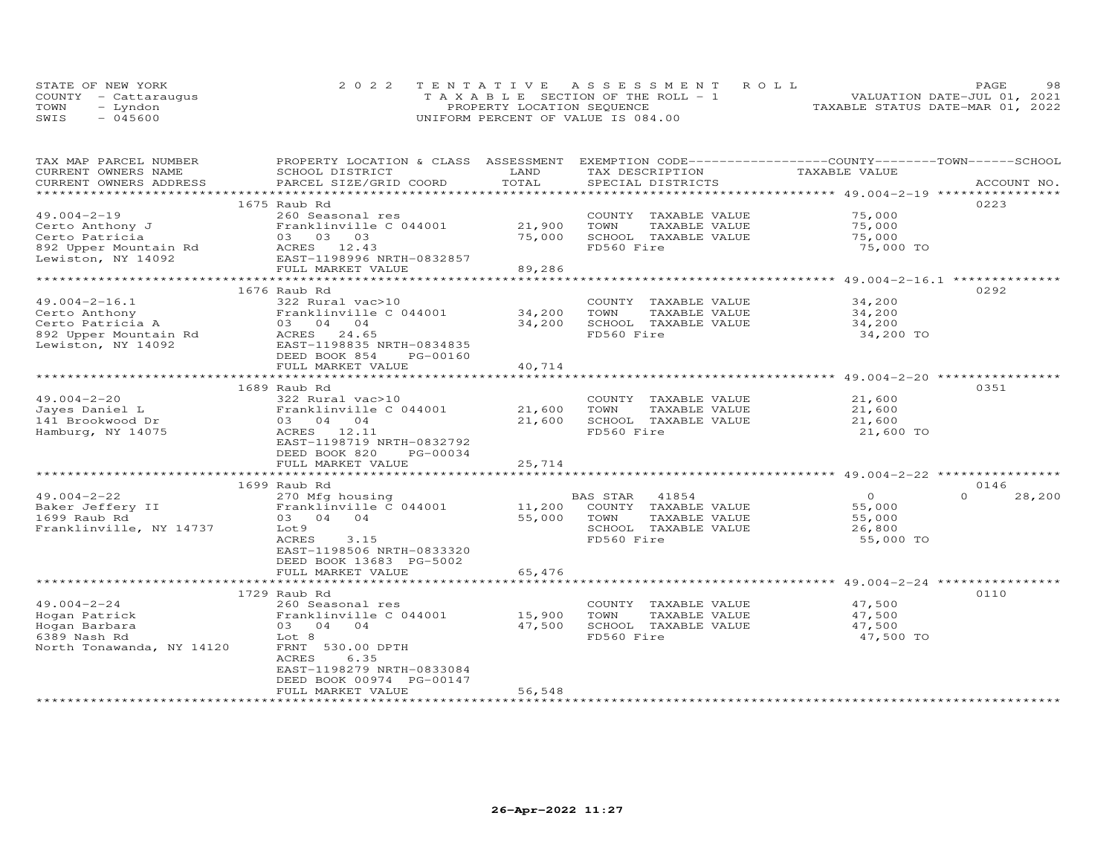|      | STATE OF NEW YORK    | 2022 TENTATIVE ASSESSMENT ROLL        | 98.<br><b>PAGE</b>               |
|------|----------------------|---------------------------------------|----------------------------------|
|      | COUNTY - Cattaraugus | T A X A B L E SECTION OF THE ROLL - 1 | VALUATION DATE-JUL 01, 2021      |
| TOWN | - Lyndon             | PROPERTY LOCATION SEQUENCE            | TAXABLE STATUS DATE-MAR 01, 2022 |
| SWIS | $-045600$            | UNIFORM PERCENT OF VALUE IS 084.00    |                                  |

| TAX MAP PARCEL NUMBER             | PROPERTY LOCATION & CLASS ASSESSMENT                                                                                                                   |                  | EXEMPTION CODE-----------------COUNTY-------TOWN------SCHOOL       |                            |                    |
|-----------------------------------|--------------------------------------------------------------------------------------------------------------------------------------------------------|------------------|--------------------------------------------------------------------|----------------------------|--------------------|
| CURRENT OWNERS NAME               | SCHOOL DISTRICT                                                                                                                                        | LAND             | TAX DESCRIPTION                                                    | TAXABLE VALUE              |                    |
| CURRENT OWNERS ADDRESS            | PARCEL SIZE/GRID COORD                                                                                                                                 | TOTAL            | SPECIAL DISTRICTS                                                  |                            | ACCOUNT NO.        |
|                                   |                                                                                                                                                        |                  |                                                                    |                            |                    |
|                                   | 1675 Raub Rd                                                                                                                                           |                  |                                                                    |                            | 0223               |
| $49.004 - 2 - 19$                 | 260 Seasonal res                                                                                                                                       |                  | COUNTY TAXABLE VALUE                                               | 75,000                     |                    |
| Certo Anthony J                   | Franklinville C 044001                                                                                                                                 | 21,900           | TAXABLE VALUE<br>TOWN                                              | 75,000                     |                    |
| Certo Patricia                    | 03 03 03                                                                                                                                               | 75,000           | SCHOOL TAXABLE VALUE                                               | 75,000                     |                    |
| 892 Upper Mountain Rd ACRES 12.43 |                                                                                                                                                        |                  | FD560 Fire                                                         | 75,000 TO                  |                    |
| Lewiston, NY 14092                | EAST-1198996 NRTH-0832857                                                                                                                              |                  |                                                                    |                            |                    |
|                                   | FULL MARKET VALUE                                                                                                                                      | 89,286           |                                                                    |                            |                    |
|                                   |                                                                                                                                                        |                  | . *********************************** 49.004-2-16.1 ************** |                            |                    |
|                                   | 1676 Raub Rd                                                                                                                                           |                  |                                                                    |                            | 0292               |
| $49.004 - 2 - 16.1$               | 322 Rural vac>10                                                                                                                                       |                  | COUNTY TAXABLE VALUE                                               | 34,200                     |                    |
|                                   |                                                                                                                                                        |                  | TOWN<br>TAXABLE VALUE                                              | 34,200                     |                    |
|                                   |                                                                                                                                                        | 34,200<br>34,200 | SCHOOL TAXABLE VALUE                                               | 34,200                     |                    |
|                                   |                                                                                                                                                        |                  | FD560 Fire                                                         |                            |                    |
|                                   | Certo Anthony<br>Certo Patricia A and Franklinville C 044001<br>892 Upper Mountain Rd<br>Lewiston, NY 14092<br>CRES 24.65<br>EAST-1198835 NRTH-0834835 |                  |                                                                    | 34,200 TO                  |                    |
|                                   |                                                                                                                                                        |                  |                                                                    |                            |                    |
|                                   | DEED BOOK 854<br>PG-00160                                                                                                                              |                  |                                                                    |                            |                    |
|                                   | FULL MARKET VALUE                                                                                                                                      | 40,714           |                                                                    |                            |                    |
|                                   |                                                                                                                                                        |                  |                                                                    |                            |                    |
|                                   | 1689 Raub Rd                                                                                                                                           |                  |                                                                    |                            | 0351               |
| $49.004 - 2 - 20$                 | 322 Rural vac>10                                                                                                                                       |                  | COUNTY TAXABLE VALUE                                               | 21,600                     |                    |
| Jayes Daniel L                    | Franklinville C 044001                                                                                                                                 | 21,600           | TAXABLE VALUE<br>TOWN                                              | 21,600                     |                    |
| 141 Brookwood Dr                  | 03 04 04                                                                                                                                               | 21,600           | SCHOOL TAXABLE VALUE                                               | 21,600                     |                    |
| Hamburg, NY 14075                 | ACRES 12.11                                                                                                                                            |                  | FD560 Fire                                                         | 21,600 TO                  |                    |
|                                   | EAST-1198719 NRTH-0832792                                                                                                                              |                  |                                                                    |                            |                    |
|                                   | DEED BOOK 820<br>PG-00034                                                                                                                              |                  |                                                                    |                            |                    |
|                                   | FULL MARKET VALUE                                                                                                                                      | 25,714           |                                                                    |                            |                    |
|                                   |                                                                                                                                                        |                  |                                                                    |                            |                    |
|                                   | 1699 Raub Rd                                                                                                                                           |                  |                                                                    |                            | 0146               |
| $49.004 - 2 - 22$                 | 270 Mfg housing                                                                                                                                        |                  | BAS STAR 41854<br>11,200 COUNTY TAXABLE VALUE                      | $\overline{O}$             | 28,200<br>$\Omega$ |
| Baker Jeffery II                  | Franklinville C 044001                                                                                                                                 |                  |                                                                    | 55,000                     |                    |
| 1699 Raub Rd                      | 03 04 04                                                                                                                                               | 55,000 TOWN      | TAXABLE VALUE                                                      | 55,000                     |                    |
| Franklinville, NY 14737           | Lot 9                                                                                                                                                  |                  | SCHOOL TAXABLE VALUE                                               | 26,800                     |                    |
|                                   | 3.15<br>ACRES                                                                                                                                          |                  | FD560 Fire                                                         | 55,000 TO                  |                    |
|                                   | EAST-1198506 NRTH-0833320                                                                                                                              |                  |                                                                    |                            |                    |
|                                   | DEED BOOK 13683 PG-5002                                                                                                                                |                  |                                                                    |                            |                    |
|                                   | FULL MARKET VALUE                                                                                                                                      | 65,476           |                                                                    |                            |                    |
|                                   |                                                                                                                                                        |                  |                                                                    |                            |                    |
|                                   | 1729 Raub Rd                                                                                                                                           |                  |                                                                    |                            | 0110               |
| $49.004 - 2 - 24$                 | 260 Seasonal res                                                                                                                                       |                  | COUNTY TAXABLE VALUE                                               |                            |                    |
| Hogan Patrick                     | Franklinville C 044001                                                                                                                                 | 15,900           | TAXABLE VALUE<br>TOWN                                              | 47,500<br>47.500<br>47,500 |                    |
| Hogan Barbara                     | 03 04 04                                                                                                                                               | 47,500           | SCHOOL TAXABLE VALUE                                               | 47,500                     |                    |
| 6389 Nash Rd                      | Lot 8                                                                                                                                                  |                  | FD560 Fire                                                         | 47,500 TO                  |                    |
| North Tonawanda, NY 14120         | FRNT 530.00 DPTH                                                                                                                                       |                  |                                                                    |                            |                    |
|                                   | 6.35<br>ACRES                                                                                                                                          |                  |                                                                    |                            |                    |
|                                   | EAST-1198279 NRTH-0833084                                                                                                                              |                  |                                                                    |                            |                    |
|                                   | DEED BOOK 00974 PG-00147                                                                                                                               |                  |                                                                    |                            |                    |
|                                   | FULL MARKET VALUE                                                                                                                                      | 56,548           |                                                                    |                            |                    |
|                                   |                                                                                                                                                        |                  |                                                                    |                            |                    |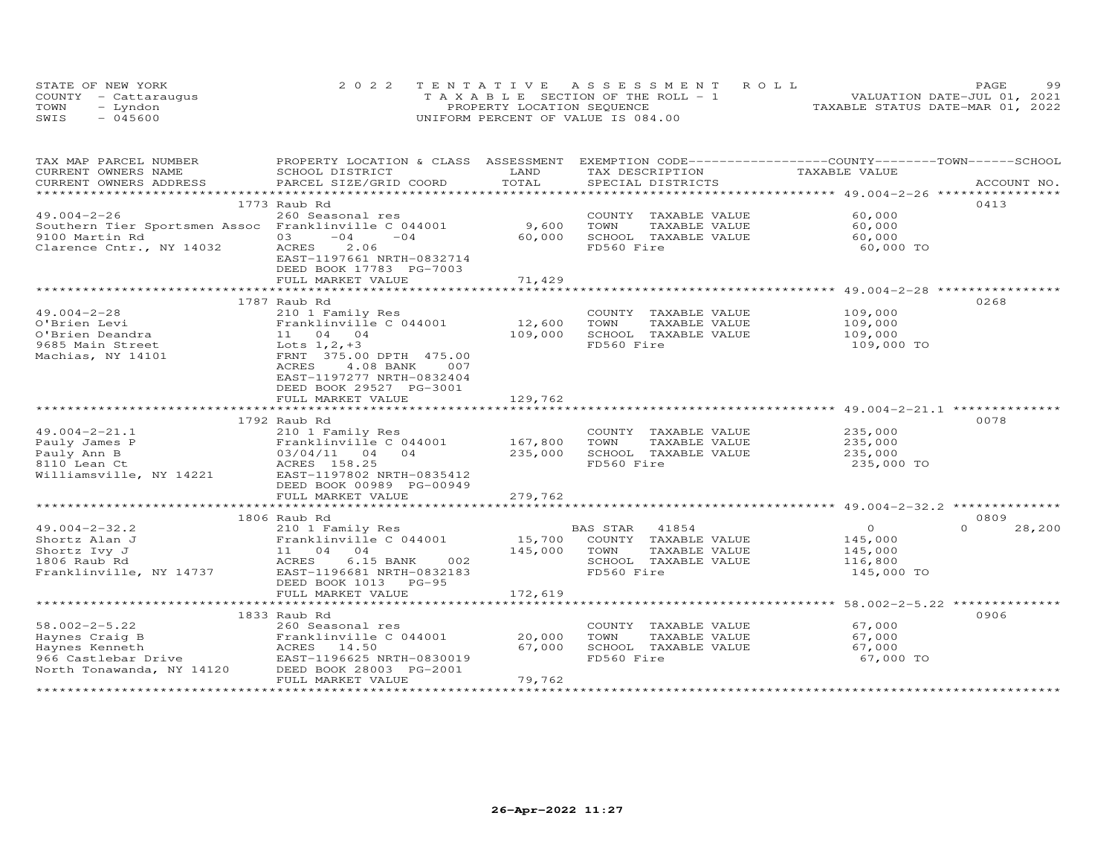|      | STATE OF NEW YORK    | 2022 TENTATIVE ASSESSMENT ROLL        | 99<br>PAGE.                      |
|------|----------------------|---------------------------------------|----------------------------------|
|      | COUNTY - Cattaraugus | T A X A B L E SECTION OF THE ROLL - 1 | VALUATION DATE-JUL 01, 2021      |
| TOWN | - Lyndon             | PROPERTY LOCATION SEQUENCE            | TAXABLE STATUS DATE-MAR 01, 2022 |
| SWIS | $-045600$            | UNIFORM PERCENT OF VALUE IS 084.00    |                                  |

| TAX MAP PARCEL NUMBER                                | PROPERTY LOCATION & CLASS ASSESSMENT EXEMPTION CODE----------------COUNTY-------TOWN-----SCHOOL |         |                       |                |                    |
|------------------------------------------------------|-------------------------------------------------------------------------------------------------|---------|-----------------------|----------------|--------------------|
| CURRENT OWNERS NAME                                  | SCHOOL DISTRICT                                                                                 | LAND    | TAX DESCRIPTION       | TAXABLE VALUE  |                    |
| CURRENT OWNERS ADDRESS                               | PARCEL SIZE/GRID COORD                                                                          | TOTAL   | SPECIAL DISTRICTS     |                | ACCOUNT NO.        |
|                                                      |                                                                                                 |         |                       |                |                    |
|                                                      | 1773 Raub Rd                                                                                    |         |                       |                | 0413               |
| $49.004 - 2 - 26$                                    | 260 Seasonal res                                                                                |         | COUNTY TAXABLE VALUE  | 60,000         |                    |
| Southern Tier Sportsmen Assoc Franklinville C 044001 |                                                                                                 | 9,600   | TOWN<br>TAXABLE VALUE | 60,000         |                    |
| 9100 Martin Rd                                       | $-04$<br>$-04$<br>03                                                                            | 60,000  | SCHOOL TAXABLE VALUE  | 60,000         |                    |
| Clarence Cntr., NY 14032                             | 2.06<br>ACRES                                                                                   |         | FD560 Fire            | 60,000 TO      |                    |
|                                                      | EAST-1197661 NRTH-0832714                                                                       |         |                       |                |                    |
|                                                      | DEED BOOK 17783 PG-7003                                                                         |         |                       |                |                    |
|                                                      | FULL MARKET VALUE                                                                               | 71,429  |                       |                |                    |
|                                                      | **************************                                                                      |         |                       |                |                    |
|                                                      | 1787 Raub Rd                                                                                    |         |                       |                | 0268               |
| $49.004 - 2 - 28$                                    | 210 1 Family Res                                                                                |         | COUNTY TAXABLE VALUE  | 109,000        |                    |
| O'Brien Levi                                         | Franklinville C 044001                                                                          | 12,600  | TOWN<br>TAXABLE VALUE | 109,000        |                    |
| O'Brien Deandra                                      | 11 04 04                                                                                        | 109,000 | SCHOOL TAXABLE VALUE  | 109,000        |                    |
| 9685 Main Street                                     | Lots $1, 2, +3$                                                                                 |         | FD560 Fire            | 109,000 TO     |                    |
| Machias, NY 14101                                    | FRNT 375.00 DPTH 475.00                                                                         |         |                       |                |                    |
|                                                      | ACRES<br>4.08 BANK<br>007                                                                       |         |                       |                |                    |
|                                                      | EAST-1197277 NRTH-0832404                                                                       |         |                       |                |                    |
|                                                      | DEED BOOK 29527 PG-3001                                                                         |         |                       |                |                    |
|                                                      | FULL MARKET VALUE                                                                               | 129,762 |                       |                |                    |
|                                                      |                                                                                                 |         |                       |                |                    |
|                                                      | 1792 Raub Rd                                                                                    |         |                       |                | 0078               |
| $49.004 - 2 - 21.1$                                  | 210 1 Family Res                                                                                |         | COUNTY TAXABLE VALUE  | 235,000        |                    |
| Pauly James P                                        | Franklinville C 044001                                                                          | 167,800 | TOWN<br>TAXABLE VALUE | 235,000        |                    |
| Pauly Ann B                                          | 03/04/11<br>04<br>04                                                                            | 235,000 | SCHOOL TAXABLE VALUE  | 235,000        |                    |
| 8110 Lean Ct                                         | ACRES 158.25                                                                                    |         | FD560 Fire            | 235,000 TO     |                    |
| Williamsville, NY 14221                              | EAST-1197802 NRTH-0835412                                                                       |         |                       |                |                    |
|                                                      | DEED BOOK 00989 PG-00949                                                                        |         |                       |                |                    |
|                                                      | FULL MARKET VALUE                                                                               | 279,762 |                       |                |                    |
|                                                      |                                                                                                 |         |                       |                |                    |
|                                                      | 1806 Raub Rd                                                                                    |         |                       |                | 0809               |
| $49.004 - 2 - 32.2$                                  | 210 1 Family Res                                                                                |         | 41854<br>BAS STAR     | $\overline{O}$ | $\Omega$<br>28,200 |
| Shortz Alan J                                        | Franklinville C 044001                                                                          | 15,700  | COUNTY TAXABLE VALUE  | 145,000        |                    |
| Shortz Ivy J                                         | 11 04 04                                                                                        | 145,000 | TOWN<br>TAXABLE VALUE | 145,000        |                    |
| 1806 Raub Rd                                         | ACRES<br>6.15 BANK<br>002                                                                       |         | SCHOOL TAXABLE VALUE  | 116,800        |                    |
| Franklinville, NY 14737                              | EAST-1196681 NRTH-0832183                                                                       |         | FD560 Fire            | 145,000 TO     |                    |
|                                                      | DEED BOOK 1013 PG-95                                                                            |         |                       |                |                    |
|                                                      | FULL MARKET VALUE                                                                               | 172,619 |                       |                |                    |
|                                                      |                                                                                                 |         |                       |                |                    |
|                                                      | 1833 Raub Rd                                                                                    |         |                       |                | 0906               |
| $58.002 - 2 - 5.22$                                  | 260 Seasonal res                                                                                |         | COUNTY TAXABLE VALUE  | 67,000         |                    |
| Haynes Craig B                                       | Franklinville C 044001                                                                          | 20,000  | TOWN<br>TAXABLE VALUE | 67,000         |                    |
| Haynes Kenneth                                       | ACRES<br>14.50                                                                                  | 67,000  | SCHOOL TAXABLE VALUE  | 67,000         |                    |
| 966 Castlebar Drive                                  | EAST-1196625 NRTH-0830019                                                                       |         | FD560 Fire            | 67,000 TO      |                    |
| North Tonawanda, NY 14120                            | DEED BOOK 28003 PG-2001                                                                         |         |                       |                |                    |
|                                                      | FULL MARKET VALUE                                                                               | 79,762  |                       |                |                    |
|                                                      |                                                                                                 |         |                       |                |                    |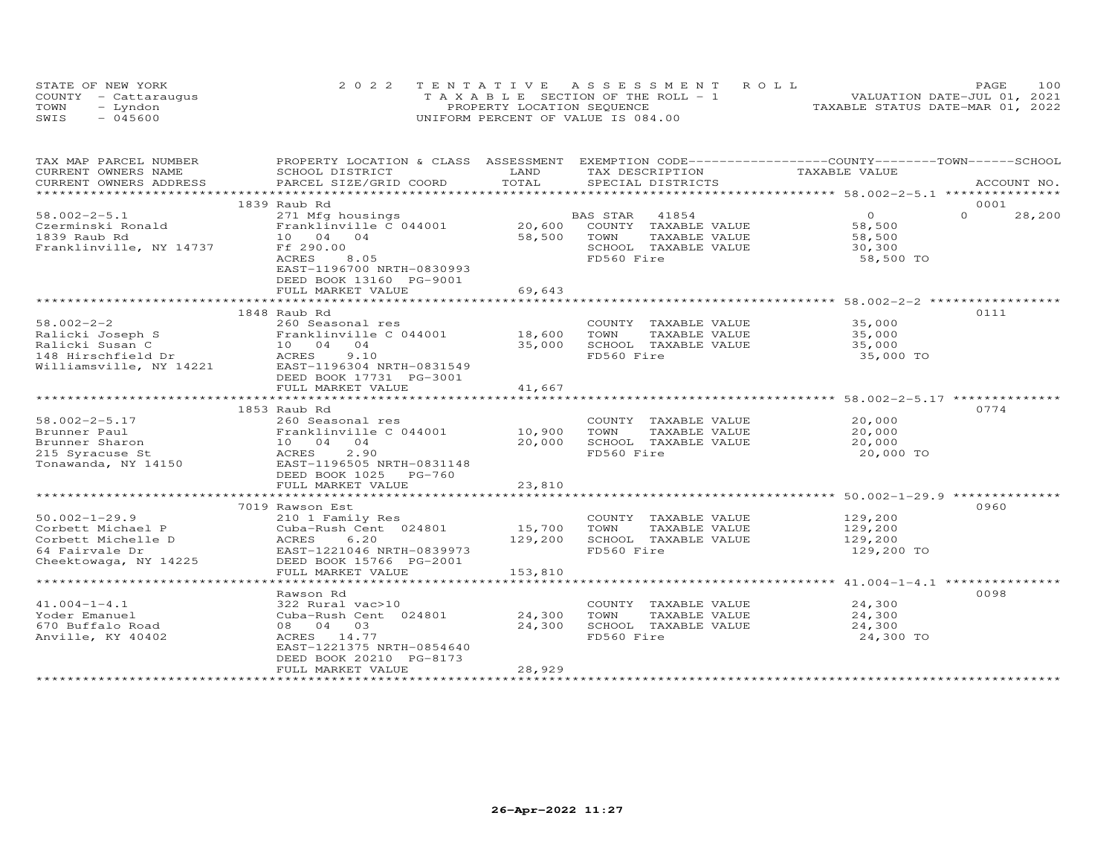|      | STATE OF NEW YORK    | 2022 TENTATIVE ASSESSMENT ROLL        | 100<br>PAGE.                     |
|------|----------------------|---------------------------------------|----------------------------------|
|      | COUNTY - Cattaraugus | T A X A B L E SECTION OF THE ROLL - 1 | VALUATION DATE-JUL 01, 2021      |
| TOWN | uobnv."              | PROPERTY LOCATION SEQUENCE            | TAXABLE STATUS DATE-MAR 01, 2022 |
| SWIS | $-045600$            | UNIFORM PERCENT OF VALUE IS 084.00    |                                  |

| TAX MAP PARCEL NUMBER   | PROPERTY LOCATION & CLASS ASSESSMENT EXEMPTION CODE----------------COUNTY-------TOWN------SCHOOL |         |                             |                |                    |
|-------------------------|--------------------------------------------------------------------------------------------------|---------|-----------------------------|----------------|--------------------|
| CURRENT OWNERS NAME     | SCHOOL DISTRICT                                                                                  | LAND    | TAX DESCRIPTION             | TAXABLE VALUE  |                    |
| CURRENT OWNERS ADDRESS  | PARCEL SIZE/GRID COORD                                                                           | TOTAL   | SPECIAL DISTRICTS           |                | ACCOUNT NO.        |
|                         |                                                                                                  |         |                             |                |                    |
|                         | 1839 Raub Rd                                                                                     |         |                             |                | 0001               |
| $58.002 - 2 - 5.1$      | 271 Mfg housings                                                                                 |         | BAS STAR<br>41854           | $\overline{0}$ | $\Omega$<br>28,200 |
| Czerminski Ronald       | Franklinville C 044001                                                                           |         | 20,600 COUNTY TAXABLE VALUE | 58,500         |                    |
| 1839 Raub Rd            | 10 04 04                                                                                         | 58,500  | TOWN<br>TAXABLE VALUE       | 58,500         |                    |
| Franklinville, NY 14737 | Ff 290.00                                                                                        |         | SCHOOL TAXABLE VALUE        | 30,300         |                    |
|                         | 8.05<br>ACRES                                                                                    |         | FD560 Fire                  | 58,500 TO      |                    |
|                         | EAST-1196700 NRTH-0830993                                                                        |         |                             |                |                    |
|                         | DEED BOOK 13160 PG-9001                                                                          |         |                             |                |                    |
|                         | FULL MARKET VALUE                                                                                | 69,643  |                             |                |                    |
|                         |                                                                                                  |         |                             |                |                    |
|                         | 1848 Raub Rd                                                                                     |         |                             |                | 0111               |
| $58.002 - 2 - 2$        | 260 Seasonal res                                                                                 |         | COUNTY TAXABLE VALUE        | 35,000         |                    |
|                         | Franklinville C 044001 18,600                                                                    |         | TOWN<br>TAXABLE VALUE       | 35,000         |                    |
|                         | 10 04 04                                                                                         | 35,000  | SCHOOL TAXABLE VALUE        | 35,000         |                    |
|                         | 9.10                                                                                             |         | FD560 Fire                  | 35,000 TO      |                    |
| Williamsville, NY 14221 | EAST-1196304 NRTH-0831549                                                                        |         |                             |                |                    |
|                         | DEED BOOK 17731 PG-3001                                                                          |         |                             |                |                    |
|                         | FULL MARKET VALUE                                                                                | 41,667  |                             |                |                    |
|                         |                                                                                                  |         |                             |                |                    |
|                         | 1853 Raub Rd                                                                                     |         |                             |                | 0774               |
| $58.002 - 2 - 5.17$     | 260 Seasonal res                                                                                 |         | COUNTY TAXABLE VALUE        | 20,000         |                    |
| Brunner Paul            | Franklinville C 044001                                                                           | 10,900  | TOWN<br>TAXABLE VALUE       | 20,000         |                    |
| Brunner Sharon          | 10 04 04                                                                                         | 20,000  | SCHOOL TAXABLE VALUE        | 20,000         |                    |
| 215 Syracuse St         | ACRES<br>2.90                                                                                    |         | FD560 Fire                  | 20,000 TO      |                    |
| Tonawanda, NY 14150     | EAST-1196505 NRTH-0831148                                                                        |         |                             |                |                    |
|                         | DEED BOOK 1025 PG-760                                                                            |         |                             |                |                    |
|                         | FULL MARKET VALUE                                                                                | 23,810  |                             |                |                    |
|                         |                                                                                                  |         |                             |                |                    |
|                         | 7019 Rawson Est                                                                                  |         |                             |                | 0960               |
| $50.002 - 1 - 29.9$     | 210 1 Family Res                                                                                 |         | COUNTY TAXABLE VALUE        | 129,200        |                    |
| Corbett Michael P       | Cuba-Rush Cent 024801                                                                            | 15,700  | TOWN<br>TAXABLE VALUE       | 129,200        |                    |
| Corbett Michelle D      | ACRES<br>6.20                                                                                    | 129,200 | SCHOOL TAXABLE VALUE        | 129,200        |                    |
| 64 Fairvale Dr          | EAST-1221046 NRTH-0839973                                                                        |         | FD560 Fire                  | 129,200 TO     |                    |
| Cheektowaga, NY 14225   | DEED BOOK 15766 PG-2001                                                                          |         |                             |                |                    |
|                         | FULL MARKET VALUE                                                                                | 153,810 |                             |                |                    |
|                         |                                                                                                  |         |                             |                |                    |
|                         | Rawson Rd                                                                                        |         |                             |                | 0098               |
| $41.004 - 1 - 4.1$      | 322 Rural vac>10                                                                                 |         | COUNTY TAXABLE VALUE        | 24,300         |                    |
| Yoder Emanuel           | Cuba-Rush Cent 024801                                                                            | 24,300  | TOWN<br>TAXABLE VALUE       | 24,300         |                    |
| 670 Buffalo Road        | 08 04 03                                                                                         | 24,300  | SCHOOL TAXABLE VALUE        | 24,300         |                    |
| Anville, KY 40402       | ACRES 14.77                                                                                      |         | FD560 Fire                  | 24,300 TO      |                    |
|                         | EAST-1221375 NRTH-0854640                                                                        |         |                             |                |                    |
|                         | DEED BOOK 20210 PG-8173                                                                          |         |                             |                |                    |
|                         | FULL MARKET VALUE                                                                                | 28,929  |                             |                |                    |
|                         |                                                                                                  |         |                             |                |                    |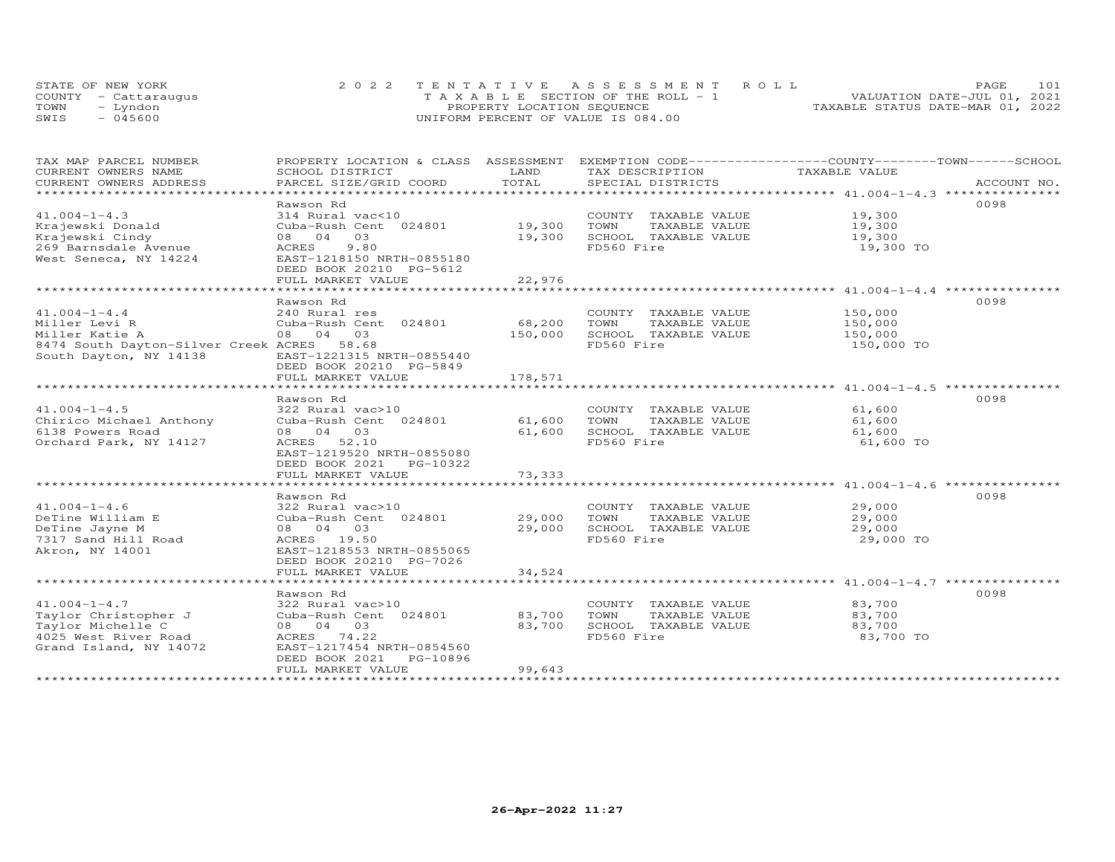|      | STATE OF NEW YORK    | 2022 TENTATIVE ASSESSMENT ROLL        | 101<br>PAGE                      |
|------|----------------------|---------------------------------------|----------------------------------|
|      | COUNTY - Cattaraugus | T A X A B L E SECTION OF THE ROLL - 1 | VALUATION DATE-JUL 01, 2021      |
| TOWN | - Lyndon             | PROPERTY LOCATION SEQUENCE            | TAXABLE STATUS DATE-MAR 01, 2022 |
| SWIS | $-045600$            | UNIFORM PERCENT OF VALUE IS 084.00    |                                  |

| TAX MAP PARCEL NUMBER                      | PROPERTY LOCATION & CLASS ASSESSMENT EXEMPTION CODE----------------COUNTY-------TOWN-----SCHOOL |                |                       |                                                                                  |             |
|--------------------------------------------|-------------------------------------------------------------------------------------------------|----------------|-----------------------|----------------------------------------------------------------------------------|-------------|
| CURRENT OWNERS NAME                        | SCHOOL DISTRICT                                                                                 | LAND           | TAX DESCRIPTION       | TAXABLE VALUE                                                                    |             |
| CURRENT OWNERS ADDRESS                     | PARCEL SIZE/GRID COORD                                                                          | TOTAL          | SPECIAL DISTRICTS     |                                                                                  | ACCOUNT NO. |
| *************************                  |                                                                                                 |                |                       |                                                                                  |             |
|                                            | Rawson Rd                                                                                       |                |                       |                                                                                  | 0098        |
| $41.004 - 1 - 4.3$                         | 314 Rural vac<10                                                                                |                | COUNTY TAXABLE VALUE  | 19,300                                                                           |             |
| Krajewski Donald                           | Cuba-Rush Cent 024801                                                                           | 19,300         | TOWN<br>TAXABLE VALUE | 19,300                                                                           |             |
| Krajewski Cindy                            | 08 04<br>03                                                                                     | 19,300         | SCHOOL TAXABLE VALUE  | 19,300                                                                           |             |
| 269 Barnsdale Avenue                       | 9.80<br>ACRES                                                                                   |                | FD560 Fire            | 19,300 TO                                                                        |             |
| West Seneca, NY 14224                      | EAST-1218150 NRTH-0855180                                                                       |                |                       |                                                                                  |             |
|                                            | DEED BOOK 20210 PG-5612                                                                         |                |                       |                                                                                  |             |
|                                            | FULL MARKET VALUE                                                                               | 22,976         |                       |                                                                                  |             |
|                                            | *************************                                                                       |                |                       | ***********************************41.004-1-4.4 ***********                      |             |
|                                            | Rawson Rd                                                                                       |                |                       |                                                                                  | 0098        |
| $41.004 - 1 - 4.4$                         | 240 Rural res                                                                                   |                | COUNTY TAXABLE VALUE  | 150,000                                                                          |             |
| Miller Levi R                              | Cuba-Rush Cent 024801                                                                           | 68,200         | TOWN<br>TAXABLE VALUE | 150,000                                                                          |             |
| Miller Katie A                             | 08 04 03                                                                                        | 150,000        | SCHOOL TAXABLE VALUE  | 150,000                                                                          |             |
| 8474 South Dayton-Silver Creek ACRES 58.68 |                                                                                                 |                | FD560 Fire            | 150,000 TO                                                                       |             |
| South Dayton, NY 14138                     | EAST-1221315 NRTH-0855440                                                                       |                |                       |                                                                                  |             |
|                                            | DEED BOOK 20210 PG-5849                                                                         |                |                       |                                                                                  |             |
|                                            | FULL MARKET VALUE                                                                               | 178,571        |                       |                                                                                  |             |
|                                            |                                                                                                 | ************** |                       | **********************************41.004-1-4.5 ********************************* |             |
|                                            | Rawson Rd                                                                                       |                |                       |                                                                                  | 0098        |
| $41.004 - 1 - 4.5$                         | 322 Rural vac>10                                                                                |                | COUNTY TAXABLE VALUE  | 61,600                                                                           |             |
| Chirico Michael Anthony                    | Cuba-Rush Cent 024801                                                                           | 61,600         | TOWN<br>TAXABLE VALUE | 61,600                                                                           |             |
| 6138 Powers Road                           | 08 04 03                                                                                        | 61,600         | SCHOOL TAXABLE VALUE  | 61,600                                                                           |             |
| Orchard Park, NY 14127                     | ACRES 52.10                                                                                     |                | FD560 Fire            | 61,600 TO                                                                        |             |
|                                            | EAST-1219520 NRTH-0855080                                                                       |                |                       |                                                                                  |             |
|                                            | DEED BOOK 2021 PG-10322                                                                         |                |                       |                                                                                  |             |
|                                            | FULL MARKET VALUE                                                                               | 73,333         |                       |                                                                                  |             |
|                                            |                                                                                                 |                |                       |                                                                                  |             |
|                                            | Rawson Rd                                                                                       |                |                       |                                                                                  | 0098        |
| $41.004 - 1 - 4.6$                         | 322 Rural vac>10                                                                                |                | COUNTY TAXABLE VALUE  | 29,000                                                                           |             |
| DeTine William E                           | Cuba-Rush Cent 024801                                                                           | 29,000         | TOWN<br>TAXABLE VALUE | 29,000                                                                           |             |
| DeTine Jayne M                             |                                                                                                 | 29,000         | SCHOOL TAXABLE VALUE  |                                                                                  |             |
|                                            | 08 04 03<br>ACRES 19.50                                                                         |                | FD560 Fire            | 29,000                                                                           |             |
| 7317 Sand Hill Road                        |                                                                                                 |                |                       | 29,000 TO                                                                        |             |
| Akron, NY 14001                            | EAST-1218553 NRTH-0855065                                                                       |                |                       |                                                                                  |             |
|                                            | DEED BOOK 20210 PG-7026                                                                         |                |                       |                                                                                  |             |
|                                            | FULL MARKET VALUE                                                                               | 34,524         |                       |                                                                                  |             |
|                                            |                                                                                                 |                |                       |                                                                                  |             |
|                                            | Rawson Rd                                                                                       |                |                       |                                                                                  | 0098        |
| $41.004 - 1 - 4.7$                         | 322 Rural vac>10                                                                                |                | COUNTY TAXABLE VALUE  | 83,700                                                                           |             |
| Taylor Christopher J                       | Cuba-Rush Cent 024801                                                                           | 83,700         | TAXABLE VALUE<br>TOWN | 83,700                                                                           |             |
| Taylor Michelle C                          | 08 04 03                                                                                        | 83,700         | SCHOOL TAXABLE VALUE  | 83,700                                                                           |             |
| 4025 West River Road                       | ACRES 74.22                                                                                     |                | FD560 Fire            | 83,700 TO                                                                        |             |
| Grand Island, NY 14072                     | EAST-1217454 NRTH-0854560                                                                       |                |                       |                                                                                  |             |
|                                            | PG-10896<br>DEED BOOK 2021                                                                      |                |                       |                                                                                  |             |
|                                            | FULL MARKET VALUE                                                                               | 99,643         |                       |                                                                                  |             |
|                                            |                                                                                                 |                |                       |                                                                                  |             |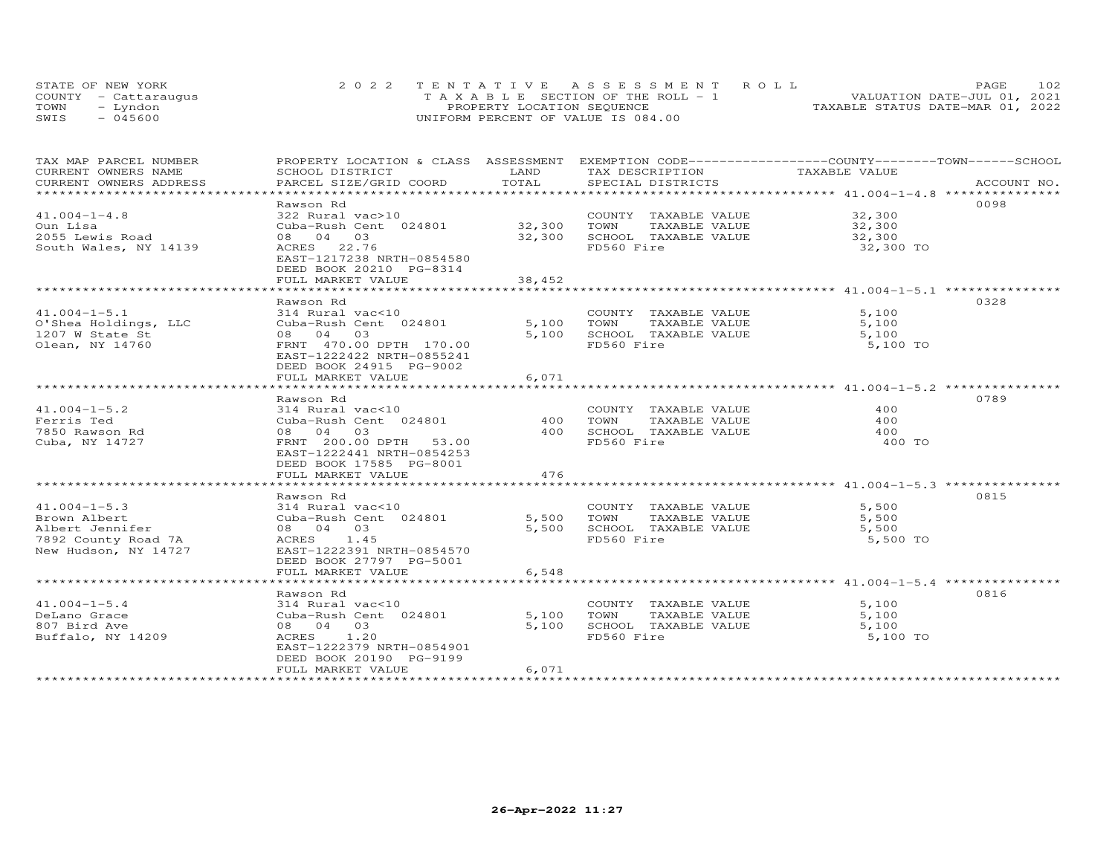|      | STATE OF NEW YORK    | 2022 TENTATIVE ASSESSMENT ROLL          | 102<br><b>PAGE</b>               |
|------|----------------------|-----------------------------------------|----------------------------------|
|      | COUNTY - Cattaraugus | $T A X A B L E$ SECTION OF THE ROLL - 1 | VALUATION DATE-JUL 01, 2021      |
| TOWN | - Lyndon             | PROPERTY LOCATION SEQUENCE              | TAXABLE STATUS DATE-MAR 01, 2022 |
| SWIS | $-045600$            | UNIFORM PERCENT OF VALUE IS 084.00      |                                  |

| TAX MAP PARCEL NUMBER  | PROPERTY LOCATION & CLASS ASSESSMENT EXEMPTION CODE----------------COUNTY-------TOWN------SCHOOL |            |                             |                                                  |             |
|------------------------|--------------------------------------------------------------------------------------------------|------------|-----------------------------|--------------------------------------------------|-------------|
| CURRENT OWNERS NAME    | SCHOOL DISTRICT                                                                                  | LAND       | TAX DESCRIPTION             | TAXABLE VALUE                                    |             |
| CURRENT OWNERS ADDRESS | PARCEL SIZE/GRID COORD                                                                           | TOTAL      | SPECIAL DISTRICTS           |                                                  | ACCOUNT NO. |
| ********************** |                                                                                                  |            |                             |                                                  |             |
|                        | Rawson Rd                                                                                        |            |                             |                                                  | 0098        |
| $41.004 - 1 - 4.8$     | 322 Rural vac>10                                                                                 |            | COUNTY TAXABLE VALUE        | 32,300                                           |             |
| Oun Lisa               | Cuba-Rush Cent 024801                                                                            | 32,300     | TOWN<br>TAXABLE VALUE       | 32,300                                           |             |
| 2055 Lewis Road        | 08 04 03                                                                                         | 32,300     | SCHOOL TAXABLE VALUE        | 32,300                                           |             |
| South Wales, NY 14139  | ACRES 22.76                                                                                      |            | FD560 Fire                  | 32,300 TO                                        |             |
|                        | EAST-1217238 NRTH-0854580                                                                        |            |                             |                                                  |             |
|                        | DEED BOOK 20210 PG-8314                                                                          |            |                             |                                                  |             |
|                        | FULL MARKET VALUE                                                                                | 38,452     |                             |                                                  |             |
|                        | **********************                                                                           | *********  |                             | ************************ 41.004-1-5.1 ********** |             |
|                        | Rawson Rd                                                                                        |            |                             |                                                  | 0328        |
| $41.004 - 1 - 5.1$     | 314 Rural vac<10                                                                                 |            | COUNTY TAXABLE VALUE        | 5,100                                            |             |
| O'Shea Holdings, LLC   | Cuba-Rush Cent 024801                                                                            | 5,100      | TOWN<br>TAXABLE VALUE       | 5,100                                            |             |
| 1207 W State St        | 08 04 03                                                                                         | 5,100      | SCHOOL TAXABLE VALUE        | 5,100                                            |             |
| Olean, NY 14760        | FRNT 470.00 DPTH 170.00                                                                          |            | FD560 Fire                  | 5,100 TO                                         |             |
|                        | EAST-1222422 NRTH-0855241                                                                        |            |                             |                                                  |             |
|                        | DEED BOOK 24915 PG-9002                                                                          |            |                             |                                                  |             |
|                        | FULL MARKET VALUE                                                                                | 6,071      |                             |                                                  |             |
|                        | **********************                                                                           | ********** |                             |                                                  |             |
|                        | Rawson Rd                                                                                        |            |                             |                                                  | 0789        |
| $41.004 - 1 - 5.2$     | 314 Rural vac<10                                                                                 |            | COUNTY TAXABLE VALUE        | 400                                              |             |
| Ferris Ted             | Cuba-Rush Cent 024801                                                                            | 400        | TOWN<br>TAXABLE VALUE       | 400                                              |             |
| 7850 Rawson Rd         | 08 04 03                                                                                         | 400        | SCHOOL TAXABLE VALUE        | 400                                              |             |
| Cuba, NY 14727         | FRNT 200.00 DPTH 53.00                                                                           |            | FD560 Fire                  | 400 TO                                           |             |
|                        | EAST-1222441 NRTH-0854253                                                                        |            |                             |                                                  |             |
|                        | DEED BOOK 17585 PG-8001                                                                          |            |                             |                                                  |             |
|                        |                                                                                                  |            |                             |                                                  |             |
|                        | FULL MARKET VALUE                                                                                | 476        |                             |                                                  |             |
|                        |                                                                                                  |            |                             |                                                  |             |
|                        | Rawson Rd                                                                                        |            |                             |                                                  | 0815        |
| $41.004 - 1 - 5.3$     | 314 Rural vac<10                                                                                 |            | COUNTY TAXABLE VALUE        | 5,500                                            |             |
| Brown Albert           | Cuba-Rush Cent 024801                                                                            |            | 5,500 TOWN<br>TAXABLE VALUE | 5,500                                            |             |
| Albert Jennifer        | 08 04 03                                                                                         | 5,500      | SCHOOL TAXABLE VALUE        | 5,500                                            |             |
| 7892 County Road 7A    | ACRES 1.45                                                                                       |            | FD560 Fire                  | 5,500 TO                                         |             |
| New Hudson, NY 14727   | EAST-1222391 NRTH-0854570                                                                        |            |                             |                                                  |             |
|                        | DEED BOOK 27797 PG-5001                                                                          |            |                             |                                                  |             |
|                        | FULL MARKET VALUE                                                                                | 6,548      |                             |                                                  |             |
|                        |                                                                                                  |            |                             |                                                  |             |
|                        | Rawson Rd                                                                                        |            |                             |                                                  | 0816        |
| $41.004 - 1 - 5.4$     | 314 Rural vac<10                                                                                 |            | COUNTY TAXABLE VALUE        | 5,100                                            |             |
| DeLano Grace           | Cuba-Rush Cent 024801                                                                            | 5,100      | TOWN<br>TAXABLE VALUE       | 5,100                                            |             |
| 807 Bird Ave           | 08 04 03                                                                                         | 5,100      | SCHOOL TAXABLE VALUE        | 5,100                                            |             |
| Buffalo, NY 14209      | ACRES 1.20                                                                                       |            | FD560 Fire                  | 5,100 TO                                         |             |
|                        | EAST-1222379 NRTH-0854901                                                                        |            |                             |                                                  |             |
|                        | DEED BOOK 20190 PG-9199                                                                          |            |                             |                                                  |             |
|                        | FULL MARKET VALUE                                                                                | 6,071      |                             |                                                  |             |
|                        |                                                                                                  |            |                             |                                                  |             |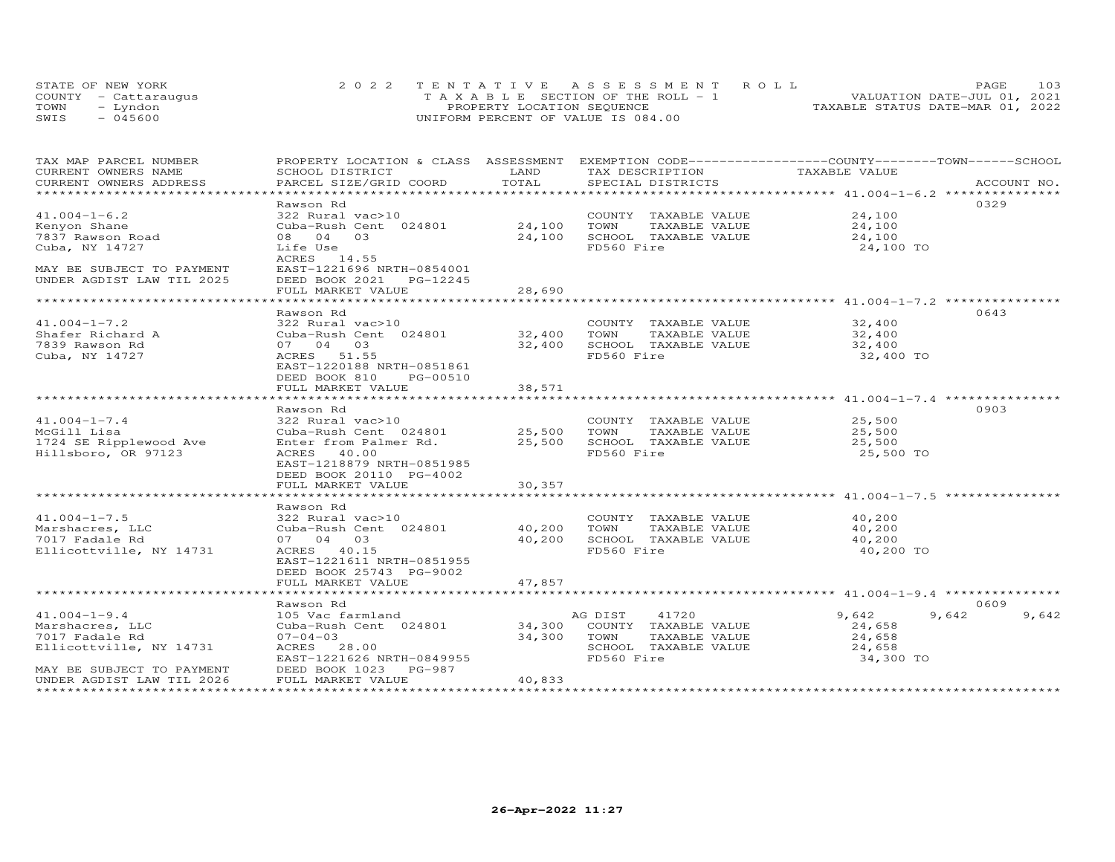| STATE OF NEW YORK    | 2022 TENTATIVE ASSESSMENT ROLL        | 103<br><b>PAGE</b>               |
|----------------------|---------------------------------------|----------------------------------|
| COUNTY - Cattaraugus | T A X A B L E SECTION OF THE ROLL - 1 | VALUATION DATE-JUL 01, 2021      |
| TOWN<br>– Lyndon     | PROPERTY LOCATION SEQUENCE            | TAXABLE STATUS DATE-MAR 01, 2022 |
| SWIS<br>- 045600     | UNIFORM PERCENT OF VALUE IS 084.00    |                                  |

| TAX MAP PARCEL NUMBER     | PROPERTY LOCATION & CLASS ASSESSMENT EXEMPTION CODE-----------------COUNTY-------TOWN------SCHOOL |                |                             |                             |                |
|---------------------------|---------------------------------------------------------------------------------------------------|----------------|-----------------------------|-----------------------------|----------------|
| CURRENT OWNERS NAME       | SCHOOL DISTRICT                                                                                   | LAND           | TAX DESCRIPTION             | TAXABLE VALUE               |                |
| CURRENT OWNERS ADDRESS    | PARCEL SIZE/GRID COORD                                                                            | TOTAL          | SPECIAL DISTRICTS           |                             | ACCOUNT NO.    |
| ***********************   |                                                                                                   |                |                             |                             |                |
|                           | Rawson Rd                                                                                         |                |                             |                             | 0329           |
| $41.004 - 1 - 6.2$        | 322 Rural vac>10                                                                                  |                | COUNTY TAXABLE VALUE        | 24,100                      |                |
| Kenyon Shane              | Cuba-Rush Cent 024801                                                                             | 24,100         | TOWN<br>TAXABLE VALUE       | 24,100                      |                |
| 7837 Rawson Road          | 08 04 03                                                                                          | 24,100         | SCHOOL TAXABLE VALUE        | 24,100                      |                |
| Cuba, NY 14727            | Life Use<br>ACRES 14.55                                                                           |                | FD560 Fire                  | 24,100 TO                   |                |
| MAY BE SUBJECT TO PAYMENT | EAST-1221696 NRTH-0854001                                                                         |                |                             |                             |                |
| UNDER AGDIST LAW TIL 2025 | DEED BOOK 2021    PG-12245                                                                        |                |                             |                             |                |
|                           | FULL MARKET VALUE                                                                                 | 28,690         |                             |                             |                |
|                           |                                                                                                   |                |                             |                             |                |
|                           | Rawson Rd                                                                                         |                |                             |                             | 0643           |
| $41.004 - 1 - 7.2$        | 322 Rural vac>10                                                                                  |                | COUNTY TAXABLE VALUE        | 32,400                      |                |
| Shafer Richard A          | Cuba-Rush Cent 024801                                                                             | 32,400 TOWN    | TAXABLE VALUE               | 32,400                      |                |
| 7839 Rawson Rd            | 07 04 03                                                                                          |                | 32,400 SCHOOL TAXABLE VALUE | 32,400                      |                |
| Cuba, NY 14727            | ACRES 51.55                                                                                       |                | FD560 Fire                  | 32,400 TO                   |                |
|                           | EAST-1220188 NRTH-0851861                                                                         |                |                             |                             |                |
|                           | DEED BOOK 810 PG-00510                                                                            |                |                             |                             |                |
|                           |                                                                                                   |                |                             |                             |                |
|                           | FULL MARKET VALUE                                                                                 | 38,571         |                             |                             |                |
|                           |                                                                                                   |                |                             |                             |                |
|                           | Rawson Rd                                                                                         |                |                             |                             | 0903           |
| $41.004 - 1 - 7.4$        | 322 Rural vac>10                                                                                  |                | COUNTY TAXABLE VALUE        | 25,500                      |                |
| McGill Lisa               | Cuba-Rush Cent 024801 25,500                                                                      |                | TOWN<br>TAXABLE VALUE       | 25,500                      |                |
| 1724 SE Ripplewood Ave    | Enter from Palmer Rd.                                                                             |                | 25,500 SCHOOL TAXABLE VALUE | 25,500                      |                |
| Hillsboro, OR 97123       | ACRES 40.00                                                                                       |                | FD560 Fire                  | 25,500 TO                   |                |
|                           | EAST-1218879 NRTH-0851985                                                                         |                |                             |                             |                |
|                           | DEED BOOK 20110 PG-4002                                                                           |                |                             |                             |                |
|                           | FULL MARKET VALUE                                                                                 | 30,357         |                             |                             |                |
|                           |                                                                                                   |                |                             |                             |                |
|                           | Rawson Rd                                                                                         |                |                             |                             |                |
| $41.004 - 1 - 7.5$        | 322 Rural vac>10                                                                                  |                |                             | COUNTY TAXABLE VALUE 40,200 |                |
| Marshacres, LLC           | Cuba-Rush Cent 024801 40,200 TOWN                                                                 |                | TAXABLE VALUE               | 40,200                      |                |
| 7017 Fadale Rd            | 07 04 03                                                                                          |                | 40,200 SCHOOL TAXABLE VALUE | 40,200                      |                |
| Ellicottville, NY 14731   | ACRES 40.15                                                                                       |                | FD560 Fire                  | 40,200 TO                   |                |
|                           | EAST-1221611 NRTH-0851955                                                                         |                |                             |                             |                |
|                           | DEED BOOK 25743 PG-9002                                                                           |                |                             |                             |                |
|                           | FULL MARKET VALUE                                                                                 | 47,857         |                             |                             |                |
|                           |                                                                                                   |                |                             |                             |                |
|                           | Rawson Rd                                                                                         |                |                             |                             | 0609           |
| $41.004 - 1 - 9.4$        | 105 Vac farmland                                                                                  |                | 41720<br>AG DIST            | 9,642                       | 9,642<br>9,642 |
| Marshacres, LLC           | Cuba-Rush Cent 024801 34,300                                                                      |                | COUNTY TAXABLE VALUE        | 24,658                      |                |
| 7017 Fadale Rd            | $07 - 04 - 03$                                                                                    | 34,300 TOWN    | TAXABLE VALUE               | 24,658                      |                |
| Ellicottville, NY 14731   | ACRES 28.00                                                                                       |                | SCHOOL TAXABLE VALUE        | 24,658                      |                |
|                           | EAST-1221626 NRTH-0849955                                                                         |                | FD560 Fire                  | 34,300 TO                   |                |
| MAY BE SUBJECT TO PAYMENT | DEED BOOK 1023 PG-987                                                                             |                |                             |                             |                |
| UNDER AGDIST LAW TIL 2026 | FULL MARKET VALUE                                                                                 | 40,833         |                             |                             |                |
|                           |                                                                                                   | ************** |                             |                             |                |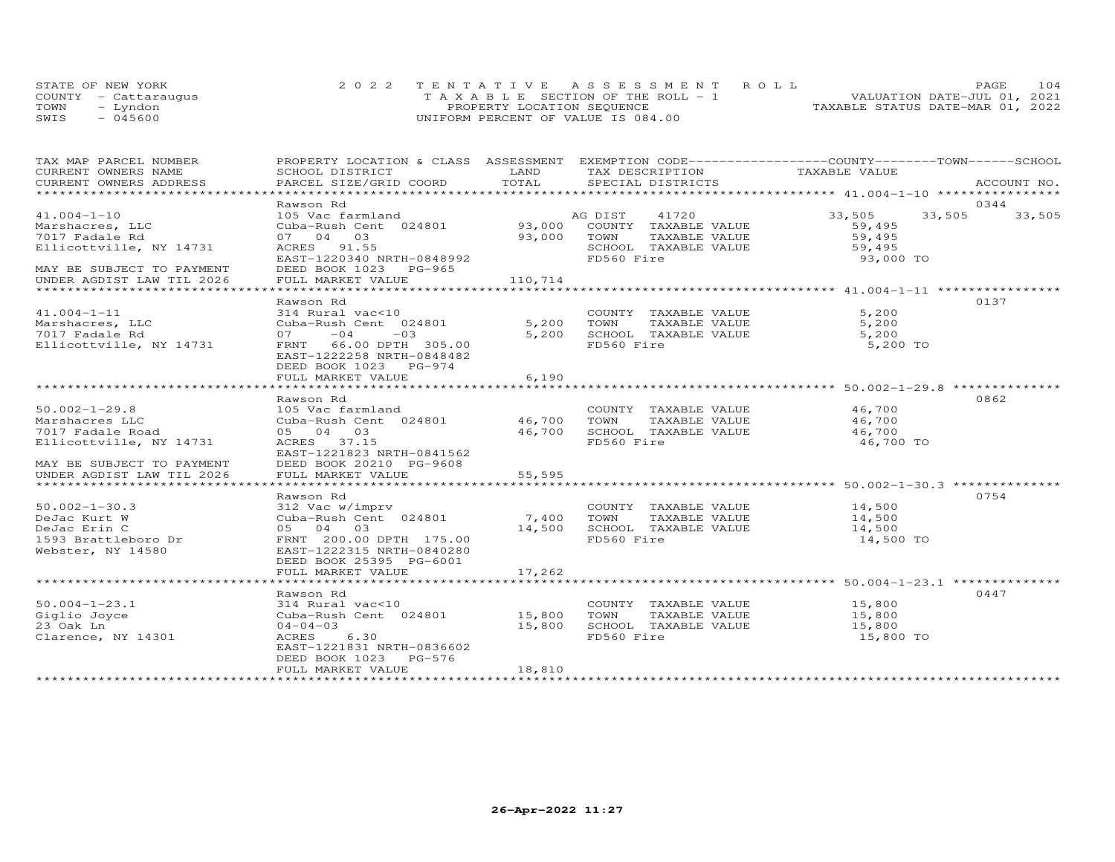|      | STATE OF NEW YORK    | 2022 TENTATIVE ASSESSMENT ROLL     | <b>PAGE</b>                      | 104 |
|------|----------------------|------------------------------------|----------------------------------|-----|
|      | COUNTY - Cattaraugus | TAXABLE SECTION OF THE ROLL - 1    | VALUATION DATE-JUL 01, 2021      |     |
| TOWN | - Lyndon             | PROPERTY LOCATION SEQUENCE         | TAXABLE STATUS DATE-MAR 01, 2022 |     |
| SWIS | $-045600$            | UNIFORM PERCENT OF VALUE IS 084.00 |                                  |     |

| TAX MAP PARCEL NUMBER                                    | PROPERTY LOCATION & CLASS ASSESSMENT EXEMPTION CODE----------------COUNTY-------TOWN-----SCHOOL |                                  |                                                                                |                     |        |
|----------------------------------------------------------|-------------------------------------------------------------------------------------------------|----------------------------------|--------------------------------------------------------------------------------|---------------------|--------|
| CURRENT OWNERS NAME                                      | SCHOOL DISTRICT                                                                                 | LAND                             | TAX DESCRIPTION TAXABLE VALUE                                                  |                     |        |
| CURRENT OWNERS ADDRESS<br>****************************** |                                                                                                 |                                  |                                                                                |                     |        |
|                                                          |                                                                                                 |                                  |                                                                                |                     |        |
|                                                          | Rawson Rd                                                                                       |                                  |                                                                                | 33,505 33,505       | 0344   |
| $41.004 - 1 - 10$                                        |                                                                                                 |                                  |                                                                                |                     | 33,505 |
| Marshacres, LLC<br>7017 Fadale Rd                        | 07 04 03                                                                                        |                                  | TAXABLE VALUE 59,495                                                           | 59,495              |        |
|                                                          |                                                                                                 |                                  |                                                                                |                     |        |
| Ellicottville, NY 14731                                  | ACRES 91.55<br>EAST-1220340 NRTH-0848992                                                        | 93,000 TOWN<br>SCHOOL<br>FD560 F | SCHOOL TAXABLE VALUE<br>FD560 Fire                                             | 59,495<br>93,000 TO |        |
| MAY BE SUBJECT TO PAYMENT                                | DEED BOOK 1023 PG-965                                                                           |                                  |                                                                                |                     |        |
| UNDER AGDIST LAW TIL 2026                                | FULL MARKET VALUE                                                                               | 110,714                          |                                                                                |                     |        |
|                                                          |                                                                                                 |                                  |                                                                                |                     |        |
|                                                          | Rawson Rd                                                                                       |                                  |                                                                                |                     | 0137   |
| $41.004 - 1 - 11$                                        |                                                                                                 |                                  |                                                                                | 5,200               |        |
| Marshacres, LLC                                          | 314 Rural vac<10<br>Cuba-Rush Cent 024801                                                       | COUNTY<br>5,200 TOWN             |                                                                                | 5,200               |        |
| 7017 Fadale Rd                                           | $07 -04$<br>$-03$                                                                               |                                  | COUNTY TAXABLE VALUE<br>5,200 TOWN TAXABLE VALUE<br>5,200 SCHOOL TAXABLE VALUE | 5,200               |        |
| Ellicottville, NY 14731                                  | FRNT 66.00 DPTH 305.00                                                                          |                                  | FD560 Fire                                                                     | 5,200 TO            |        |
|                                                          | EAST-1222258 NRTH-0848482                                                                       |                                  |                                                                                |                     |        |
|                                                          | DEED BOOK 1023 PG-974                                                                           |                                  |                                                                                |                     |        |
|                                                          | FULL MARKET VALUE                                                                               | 6,190                            |                                                                                |                     |        |
|                                                          |                                                                                                 |                                  |                                                                                |                     |        |
|                                                          | Rawson Rd                                                                                       |                                  |                                                                                |                     | 0862   |
| $50.002 - 1 - 29.8$                                      |                                                                                                 |                                  |                                                                                |                     |        |
| Marshacres LLC                                           | 105 Vac farmland COUNTY<br>Cuba-Rush Cent 024801 46,700 TOWN                                    |                                  | COUNTY TAXABLE VALUE 46,700<br>TOWN TAXABLE VALUE 46,700                       |                     |        |
| 7017 Fadale Road                                         | 05 04 03                                                                                        |                                  | 46,700 SCHOOL TAXABLE VALUE 46,700                                             |                     |        |
| Ellicottville, NY 14731                                  | ACRES 37.15                                                                                     |                                  | FD560 Fire                                                                     | 46,700 TO           |        |
|                                                          | EAST-1221823 NRTH-0841562                                                                       |                                  |                                                                                |                     |        |
| MAY BE SUBJECT TO PAYMENT                                | DEED BOOK 20210 PG-9608                                                                         |                                  |                                                                                |                     |        |
| UNDER AGDIST LAW TIL 2026                                | FULL MARKET VALUE                                                                               | 55,595                           |                                                                                |                     |        |
|                                                          |                                                                                                 |                                  |                                                                                |                     |        |
|                                                          | Rawson Rd                                                                                       |                                  |                                                                                |                     | 0754   |
| $50.002 - 1 - 30.3$                                      |                                                                                                 |                                  |                                                                                | 14,500              |        |
| DeJac Kurt W                                             | 312 Vac w/imprv (COUNTY Cuba-Rush Cent 024801 7,400 TOWN                                        |                                  | COUNTY TAXABLE VALUE<br>TOWN      TAXABLE VALUE                                | 14,500              |        |
| DeJac Erin C                                             | 05 04 03                                                                                        |                                  | 14,500 SCHOOL TAXABLE VALUE<br>14,500 SCHOOL TAXABLE VALUE                     | 14,500              |        |
| 1593 Brattleboro Dr                                      | FRNT 200.00 DPTH 175.00                                                                         |                                  | FD560 Fire                                                                     | 14,500 TO           |        |
| Webster, NY 14580                                        | EAST-1222315 NRTH-0840280                                                                       |                                  |                                                                                |                     |        |
|                                                          | DEED BOOK 25395 PG-6001                                                                         |                                  |                                                                                |                     |        |
|                                                          | FULL MARKET VALUE                                                                               | 17,262                           |                                                                                |                     |        |
|                                                          |                                                                                                 |                                  |                                                                                |                     |        |
|                                                          | Rawson Rd                                                                                       |                                  |                                                                                |                     | 0447   |
| $50.004 - 1 - 23.1$                                      | 314 Rural vac<10                                                                                |                                  | COUNTY TAXABLE VALUE                                                           | 15,800              |        |
|                                                          | Cuba-Rush Cent 024801 15,800 TOWN                                                               |                                  | TAXABLE VALUE                                                                  | 15,800              |        |
| 23 Oak Ln                                                | $04 - 04 - 03$                                                                                  | 15,800                           | SCHOOL TAXABLE VALUE                                                           | 15,800              |        |
| Clarence, NY 14301                                       | ACRES 6.30                                                                                      |                                  | FD560 Fire                                                                     | 15,800 TO           |        |
|                                                          | EAST-1221831 NRTH-0836602                                                                       |                                  |                                                                                |                     |        |
|                                                          | DEED BOOK 1023 PG-576                                                                           |                                  |                                                                                |                     |        |
|                                                          | FULL MARKET VALUE                                                                               | 18,810                           |                                                                                |                     |        |
|                                                          |                                                                                                 |                                  |                                                                                |                     |        |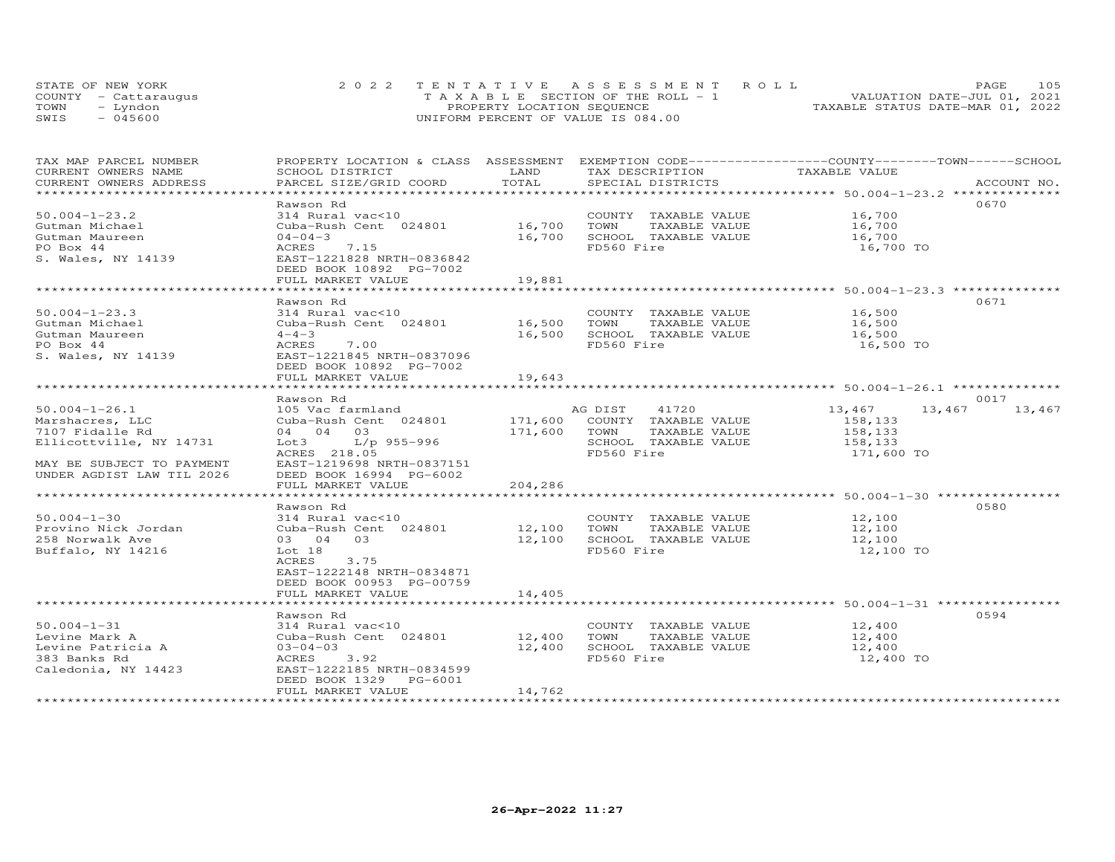|      | STATE OF NEW YORK    | 2022 TENTATIVE ASSESSMENT ROLL     | 105<br><b>PAGE</b>               |
|------|----------------------|------------------------------------|----------------------------------|
|      | COUNTY - Cattaraugus | TAXABLE SECTION OF THE ROLL - 1    | VALUATION DATE-JUL 01, 2021      |
| TOWN | – Lyndon             | PROPERTY LOCATION SEQUENCE         | TAXABLE STATUS DATE-MAR 01, 2022 |
| SWIS | $-045600$            | UNIFORM PERCENT OF VALUE IS 084.00 |                                  |

| TAX MAP PARCEL NUMBER         |                                     |               |                              | PROPERTY LOCATION & CLASS ASSESSMENT EXEMPTION CODE----------------COUNTY-------TOWN-----SCHOOL |             |
|-------------------------------|-------------------------------------|---------------|------------------------------|-------------------------------------------------------------------------------------------------|-------------|
| CURRENT OWNERS NAME           | SCHOOL DISTRICT                     | LAND          | TAX DESCRIPTION              | TAXABLE VALUE                                                                                   |             |
| CURRENT OWNERS ADDRESS        | PARCEL SIZE/GRID COORD              | TOTAL         | SPECIAL DISTRICTS            |                                                                                                 | ACCOUNT NO. |
| ***************************** |                                     |               |                              |                                                                                                 |             |
|                               | Rawson Rd                           |               |                              | 0670                                                                                            |             |
| $50.004 - 1 - 23.2$           | 314 Rural vac<10                    |               | COUNTY TAXABLE VALUE         | 16,700                                                                                          |             |
| Gutman Michael                | Cuba-Rush Cent 024801               | 16,700        | TOWN<br>TAXABLE VALUE        | 16,700                                                                                          |             |
| Gutman Maureen                | $04 - 04 - 3$                       | 16,700        | SCHOOL TAXABLE VALUE         | 16,700                                                                                          |             |
| PO Box 44                     | ACRES<br>7.15                       |               | FD560 Fire                   | 16,700 TO                                                                                       |             |
| S. Wales, NY 14139            | EAST-1221828 NRTH-0836842           |               |                              |                                                                                                 |             |
|                               | DEED BOOK 10892 PG-7002             |               |                              |                                                                                                 |             |
|                               | FULL MARKET VALUE                   | 19,881        |                              |                                                                                                 |             |
|                               |                                     |               |                              |                                                                                                 |             |
|                               |                                     |               |                              | 0671                                                                                            |             |
|                               | Rawson Rd                           |               |                              |                                                                                                 |             |
| $50.004 - 1 - 23.3$           | 314 Rural vac<10                    |               | COUNTY TAXABLE VALUE         | 16,500                                                                                          |             |
| Gutman Michael                | Cuba-Rush Cent 024801               | 16,500        | TOWN<br>TAXABLE VALUE        | 16,500                                                                                          |             |
| Gutman Maureen                | $4 - 4 - 3$                         | 16,500        | SCHOOL TAXABLE VALUE         | 16,500                                                                                          |             |
| PO Box 44                     | ACRES<br>7.00                       |               | FD560 Fire                   | 16,500 TO                                                                                       |             |
| S. Wales, NY 14139            | EAST-1221845 NRTH-0837096           |               |                              |                                                                                                 |             |
|                               | DEED BOOK 10892 PG-7002             |               |                              |                                                                                                 |             |
|                               | FULL MARKET VALUE                   | 19,643        |                              |                                                                                                 |             |
|                               | *********************************** |               |                              |                                                                                                 |             |
|                               | Rawson Rd                           |               |                              | 0017                                                                                            |             |
| $50.004 - 1 - 26.1$           | 105 Vac farmland                    |               | AG DIST 41720                | 13,467<br>13,467                                                                                | 13,467      |
| Marshacres, LLC               | Cuba-Rush Cent 024801               |               | 171,600 COUNTY TAXABLE VALUE | 158,133                                                                                         |             |
| 7107 Fidalle Rd               | 04 04 03                            | 171,600       | TOWN<br>TAXABLE VALUE        | 158,133                                                                                         |             |
| Ellicottville, NY 14731       | L/p 955-996<br>Lot 3                |               | SCHOOL TAXABLE VALUE         | 158,133                                                                                         |             |
|                               | ACRES 218.05                        |               | FD560 Fire                   | 171,600 TO                                                                                      |             |
| MAY BE SUBJECT TO PAYMENT     | EAST-1219698 NRTH-0837151           |               |                              |                                                                                                 |             |
| UNDER AGDIST LAW TIL 2026     | DEED BOOK 16994 PG-6002             |               |                              |                                                                                                 |             |
|                               | FULL MARKET VALUE                   | 204,286       |                              |                                                                                                 |             |
|                               |                                     |               |                              |                                                                                                 |             |
|                               | Rawson Rd                           |               |                              | 0580                                                                                            |             |
| $50.004 - 1 - 30$             | 314 Rural vac<10                    |               | COUNTY TAXABLE VALUE         | 12,100                                                                                          |             |
| Provino Nick Jordan           | Cuba-Rush Cent 024801               | 12,100        | TOWN<br>TAXABLE VALUE        | 12,100                                                                                          |             |
| 258 Norwalk Ave               | 03 04 03                            | 12,100        | SCHOOL TAXABLE VALUE         | 12,100                                                                                          |             |
|                               |                                     |               |                              |                                                                                                 |             |
| Buffalo, NY 14216             | Lot 18                              |               | FD560 Fire                   | 12,100 TO                                                                                       |             |
|                               | 3.75<br>ACRES                       |               |                              |                                                                                                 |             |
|                               | EAST-1222148 NRTH-0834871           |               |                              |                                                                                                 |             |
|                               | DEED BOOK 00953 PG-00759            |               |                              |                                                                                                 |             |
|                               | FULL MARKET VALUE                   | 14,405        |                              |                                                                                                 |             |
|                               |                                     | ************* |                              | ******************************** 50.004-1-31 *****************                                  |             |
|                               | Rawson Rd                           |               |                              | 0594                                                                                            |             |
| $50.004 - 1 - 31$             | 314 Rural vac<10                    |               | COUNTY TAXABLE VALUE         | 12,400                                                                                          |             |
| Levine Mark A                 | Cuba-Rush Cent 024801               | 12,400        | TOWN<br>TAXABLE VALUE        | 12,400                                                                                          |             |
| Levine Patricia A             | $03 - 04 - 03$                      | 12,400        | SCHOOL TAXABLE VALUE         | 12,400                                                                                          |             |
| 383 Banks Rd                  | ACRES 3.92                          |               | FD560 Fire                   | 12,400 TO                                                                                       |             |
| Caledonia, NY 14423           | EAST-1222185 NRTH-0834599           |               |                              |                                                                                                 |             |
|                               | DEED BOOK 1329 PG-6001              |               |                              |                                                                                                 |             |
|                               | FULL MARKET VALUE                   | 14,762        |                              |                                                                                                 |             |
|                               |                                     |               |                              |                                                                                                 |             |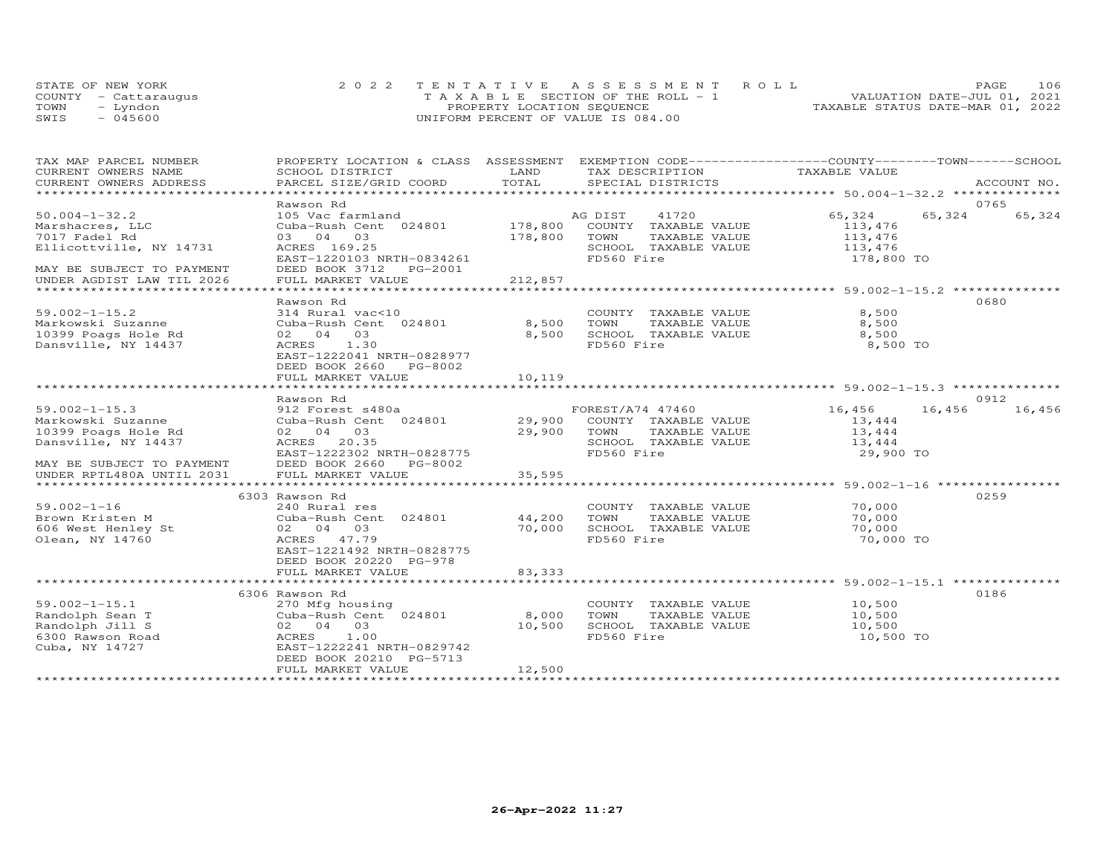|      | STATE OF NEW YORK    |                                    | 2022 TENTATIVE ASSESSMENT ROLL        |                                  | PAGE.                       | 106 |
|------|----------------------|------------------------------------|---------------------------------------|----------------------------------|-----------------------------|-----|
|      | COUNTY - Cattaraugus |                                    | T A X A B L E SECTION OF THE ROLL - 1 |                                  | VALUATION DATE-JUL 01, 2021 |     |
| TOWN | - Lyndon             | PROPERTY LOCATION SEQUENCE         |                                       | TAXABLE STATUS DATE-MAR 01, 2022 |                             |     |
| SWIS | $-045600$            | UNIFORM PERCENT OF VALUE IS 084.00 |                                       |                                  |                             |     |

| TAX MAP PARCEL NUMBER     |                                           |             | PROPERTY LOCATION & CLASS ASSESSMENT EXEMPTION CODE-----------------COUNTY-------TOWN------SCHOOL |               |        |             |
|---------------------------|-------------------------------------------|-------------|---------------------------------------------------------------------------------------------------|---------------|--------|-------------|
| CURRENT OWNERS NAME       | SCHOOL DISTRICT                           | LAND        | TAX DESCRIPTION                                                                                   | TAXABLE VALUE |        |             |
| CURRENT OWNERS ADDRESS    | PARCEL SIZE/GRID COORD                    | TOTAL       | SPECIAL DISTRICTS                                                                                 |               |        | ACCOUNT NO. |
|                           |                                           |             |                                                                                                   |               |        |             |
|                           | Rawson Rd                                 |             |                                                                                                   |               | 0765   |             |
| $50.004 - 1 - 32.2$       | 105 Vac farmland                          |             | 41720<br>AG DIST                                                                                  | 65,324        | 65,324 | 65,324      |
| Marshacres, LLC           | Cuba-Rush Cent 024801                     |             | 178,800 COUNTY TAXABLE VALUE                                                                      | 113,476       |        |             |
| 7017 Fadel Rd             | 03 04 03                                  | 178,800     | TOWN<br>TAXABLE VALUE                                                                             | 113,476       |        |             |
| Ellicottville, NY 14731   | ACRES 169.25                              |             | SCHOOL TAXABLE VALUE                                                                              | 113,476       |        |             |
|                           | EAST-1220103 NRTH-0834261                 |             | FD560 Fire                                                                                        | 178,800 TO    |        |             |
| MAY BE SUBJECT TO PAYMENT | DEED BOOK 3712 PG-2001                    |             |                                                                                                   |               |        |             |
| UNDER AGDIST LAW TIL 2026 | FULL MARKET VALUE                         | 212,857     |                                                                                                   |               |        |             |
|                           |                                           |             |                                                                                                   |               |        |             |
|                           | Rawson Rd                                 |             |                                                                                                   |               | 0680   |             |
| $59.002 - 1 - 15.2$       | 314 Rural vac<10                          |             | COUNTY TAXABLE VALUE                                                                              | 8,500         |        |             |
| Markowski Suzanne         | Cuba-Rush Cent 024801                     | 8,500 TOWN  | TAXABLE VALUE                                                                                     | 8,500         |        |             |
| 10399 Poags Hole Rd       | 02 04 03                                  | 8,500       | SCHOOL TAXABLE VALUE                                                                              | 8,500         |        |             |
| Dansville, NY 14437       | ACRES 1.30                                |             | FD560 Fire                                                                                        | 8,500 TO      |        |             |
|                           | EAST-1222041 NRTH-0828977                 |             |                                                                                                   |               |        |             |
|                           | DEED BOOK 2660 PG-8002                    |             |                                                                                                   |               |        |             |
|                           | FULL MARKET VALUE                         | 10,119      |                                                                                                   |               |        |             |
|                           |                                           |             |                                                                                                   |               |        |             |
|                           | Rawson Rd                                 |             |                                                                                                   |               | 0912   |             |
| $59.002 - 1 - 15.3$       | 912 Forest s480a                          |             | FOREST/A74 47460                                                                                  | 16,456        | 16,456 | 16,456      |
| Markowski Suzanne         | 912 Forest s460a<br>Cuba-Rush Cent 024801 |             | 29,900 COUNTY TAXABLE VALUE                                                                       | 13,444        |        |             |
| 10399 Poags Hole Rd       | 02 04 03                                  | 29,900 TOWN | TAXABLE VALUE                                                                                     | 13,444        |        |             |
| Dansville, NY 14437       | ACRES 20.35                               |             | SCHOOL TAXABLE VALUE                                                                              | 13,444        |        |             |
|                           | EAST-1222302 NRTH-0828775                 |             | FD560 Fire                                                                                        | 29,900 TO     |        |             |
| MAY BE SUBJECT TO PAYMENT | DEED BOOK 2660 PG-8002                    |             |                                                                                                   |               |        |             |
| UNDER RPTL480A UNTIL 2031 | FULL MARKET VALUE                         | 35,595      |                                                                                                   |               |        |             |
|                           |                                           |             |                                                                                                   |               |        |             |
|                           | 6303 Rawson Rd                            |             |                                                                                                   |               | 0259   |             |
| $59.002 - 1 - 16$         | 240 Rural res                             |             | COUNTY TAXABLE VALUE                                                                              | 70,000        |        |             |
| Brown Kristen M           | Cuba-Rush Cent 024801 44,200              |             | TOWN<br>TAXABLE VALUE                                                                             | 70,000        |        |             |
| 606 West Henley St        | 02 04 03                                  | 70,000      | SCHOOL TAXABLE VALUE                                                                              | 70,000        |        |             |
| Olean, NY 14760           | ACRES 47.79                               |             | FD560 Fire                                                                                        | 70,000 TO     |        |             |
|                           | EAST-1221492 NRTH-0828775                 |             |                                                                                                   |               |        |             |
|                           | DEED BOOK 20220 PG-978                    |             |                                                                                                   |               |        |             |
|                           | FULL MARKET VALUE                         | 83,333      |                                                                                                   |               |        |             |
|                           |                                           |             |                                                                                                   |               |        |             |
|                           | 6306 Rawson Rd                            |             |                                                                                                   |               | 0186   |             |
| $59.002 - 1 - 15.1$       | 270 Mfg housing                           |             | COUNTY TAXABLE VALUE                                                                              | 10,500        |        |             |
| Randolph Sean T           | Cuba-Rush Cent 024801                     | 8,000       | TOWN<br>TAXABLE VALUE                                                                             | 10,500        |        |             |
| Randolph Jill S           | 02 04 03                                  | 10,500      | SCHOOL TAXABLE VALUE                                                                              | 10,500        |        |             |
| 6300 Rawson Road          | ACRES 1.00                                |             | FD560 Fire                                                                                        | 10,500 TO     |        |             |
| Cuba, NY 14727            | EAST-1222241 NRTH-0829742                 |             |                                                                                                   |               |        |             |
|                           | DEED BOOK 20210 PG-5713                   |             |                                                                                                   |               |        |             |
|                           | FULL MARKET VALUE                         | 12,500      |                                                                                                   |               |        |             |
|                           |                                           |             |                                                                                                   |               |        |             |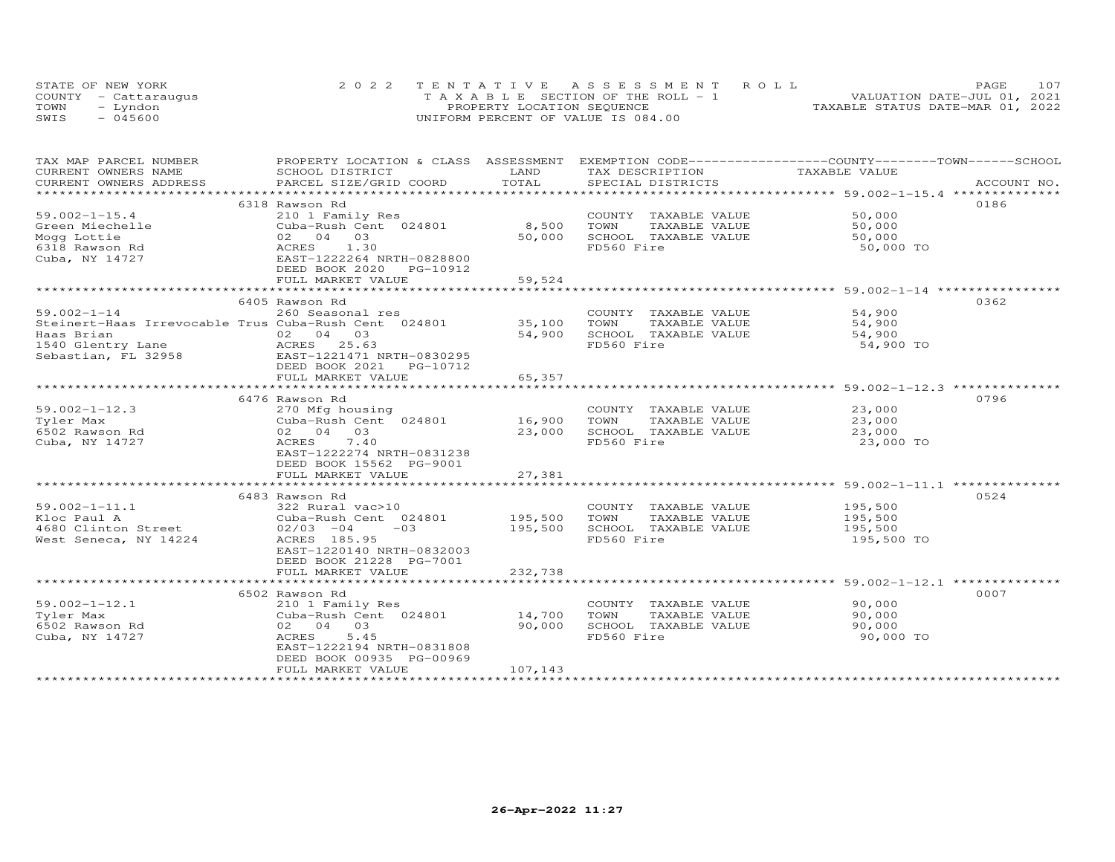|      | STATE OF NEW YORK    | 2022 TENTATIVE ASSESSMENT ROLL        | 107<br>PAGE.                     |  |
|------|----------------------|---------------------------------------|----------------------------------|--|
|      | COUNTY - Cattaraugus | T A X A B L E SECTION OF THE ROLL - 1 | VALUATION DATE-JUL 01, 2021      |  |
| TOWN | – Lyndon             | PROPERTY LOCATION SEQUENCE            | TAXABLE STATUS DATE-MAR 01, 2022 |  |
| SWIS | $-045600$            | UNIFORM PERCENT OF VALUE IS 084.00    |                                  |  |

| TAX MAP PARCEL NUMBER  | PROPERTY LOCATION & CLASS ASSESSMENT EXEMPTION CODE----------------COUNTY-------TOWN------SCHOOL                                                             |              |                       |                    |      |
|------------------------|--------------------------------------------------------------------------------------------------------------------------------------------------------------|--------------|-----------------------|--------------------|------|
| CURRENT OWNERS NAME    | SCHOOL DISTRICT                                                                                                                                              | LAND         | TAX DESCRIPTION       | TAXABLE VALUE      |      |
| CURRENT OWNERS ADDRESS |                                                                                                                                                              | TOTAL        |                       |                    |      |
|                        |                                                                                                                                                              |              |                       |                    |      |
|                        | 6318 Rawson Rd                                                                                                                                               |              |                       |                    | 0186 |
| $59.002 - 1 - 15.4$    | 210 1 Family Res                                                                                                                                             |              | COUNTY TAXABLE VALUE  | 50,000             |      |
| Green Miechelle        | Cuba-Rush Cent 024801                                                                                                                                        | 8,500        | TOWN<br>TAXABLE VALUE | 50,000             |      |
| Mogg Lottie            | 02 04 03                                                                                                                                                     | 50,000       | SCHOOL TAXABLE VALUE  | 50,000             |      |
| 6318 Rawson Rd         | ACRES 1.30                                                                                                                                                   |              | FD560 Fire            | 50,000 TO          |      |
| Cuba, NY 14727         | EAST-1222264 NRTH-0828800                                                                                                                                    |              |                       |                    |      |
|                        | DEED BOOK 2020 PG-10912                                                                                                                                      |              |                       |                    |      |
|                        | FULL MARKET VALUE                                                                                                                                            | 59,524       |                       |                    |      |
|                        |                                                                                                                                                              | ************ |                       |                    |      |
|                        | 6405 Rawson Rd                                                                                                                                               |              |                       |                    | 0362 |
| $59.002 - 1 - 14$      | 260 Seasonal res                                                                                                                                             |              | COUNTY TAXABLE VALUE  | 54,900             |      |
|                        | Steinert-Haas Irrevocable Trus Cuba-Rush Cent 024801 35,100                                                                                                  |              | TOWN<br>TAXABLE VALUE | 54,900             |      |
| Haas Brian             | 02 04 03                                                                                                                                                     | 54,900       | SCHOOL TAXABLE VALUE  | 54,900             |      |
|                        |                                                                                                                                                              |              | FD560 Fire            |                    |      |
|                        |                                                                                                                                                              |              |                       | 54,900 TO          |      |
|                        |                                                                                                                                                              |              |                       |                    |      |
|                        | DEED BOOK 2021    PG-10712                                                                                                                                   |              |                       |                    |      |
|                        | FULL MARKET VALUE                                                                                                                                            | 65,357       |                       |                    |      |
|                        |                                                                                                                                                              |              |                       |                    |      |
|                        | 6476 Rawson Rd                                                                                                                                               |              |                       |                    | 0796 |
| $59.002 - 1 - 12.3$    | 270 Mfg housing                                                                                                                                              |              | COUNTY TAXABLE VALUE  | 23,000             |      |
| Tyler Max              |                                                                                                                                                              |              | TAXABLE VALUE         | 23,000             |      |
| 6502 Rawson Rd         | 02 04 03                                                                                                                                                     | 23,000       | SCHOOL TAXABLE VALUE  | 23,000             |      |
| Cuba, NY 14727         | ACRES<br>7.40                                                                                                                                                |              | FD560 Fire            | 23,000 TO          |      |
|                        | EAST-1222274 NRTH-0831238                                                                                                                                    |              |                       |                    |      |
|                        | DEED BOOK 15562 PG-9001                                                                                                                                      |              |                       |                    |      |
|                        | FULL MARKET VALUE                                                                                                                                            | 27,381       |                       |                    |      |
|                        |                                                                                                                                                              |              |                       |                    |      |
|                        | 6483 Rawson Rd                                                                                                                                               |              |                       |                    | 0524 |
| $59.002 - 1 - 11.1$    |                                                                                                                                                              |              | COUNTY TAXABLE VALUE  |                    |      |
|                        |                                                                                                                                                              |              | TAXABLE VALUE         | 195,500<br>195,500 |      |
|                        |                                                                                                                                                              |              | SCHOOL TAXABLE VALUE  | 195,500            |      |
|                        | 9.002-1-11.1<br>Floc Paul A Cuba-Rush Cent 024801 195,500 TOWNY<br>4680 Clinton Street (2/03 -04 024801 195,500 SCHOOL<br>West Seneca, NY 14224 2CRES 185.95 |              | FD560 Fire            | 195,500 TO         |      |
|                        | EAST-1220140 NRTH-0832003                                                                                                                                    |              |                       |                    |      |
|                        | DEED BOOK 21228 PG-7001                                                                                                                                      |              |                       |                    |      |
|                        | FULL MARKET VALUE                                                                                                                                            | 232,738      |                       |                    |      |
|                        |                                                                                                                                                              |              |                       |                    |      |
|                        | 6502 Rawson Rd                                                                                                                                               |              |                       |                    | 0007 |
| $59.002 - 1 - 12.1$    | 210 1 Family Res                                                                                                                                             |              | COUNTY TAXABLE VALUE  | 90,000             |      |
| Tyler Max              | Cuba-Rush Cent 024801 14,700                                                                                                                                 |              | TOWN<br>TAXABLE VALUE | 90,000             |      |
| 6502 Rawson Rd         | 02 04 03                                                                                                                                                     | 90,000       | SCHOOL TAXABLE VALUE  | 90,000             |      |
| Cuba, NY 14727         | 5.45<br>ACRES                                                                                                                                                |              | FD560 Fire            | 90,000 TO          |      |
|                        | EAST-1222194 NRTH-0831808                                                                                                                                    |              |                       |                    |      |
|                        | DEED BOOK 00935 PG-00969                                                                                                                                     |              |                       |                    |      |
|                        | FULL MARKET VALUE                                                                                                                                            | 107,143      |                       |                    |      |
|                        |                                                                                                                                                              |              |                       |                    |      |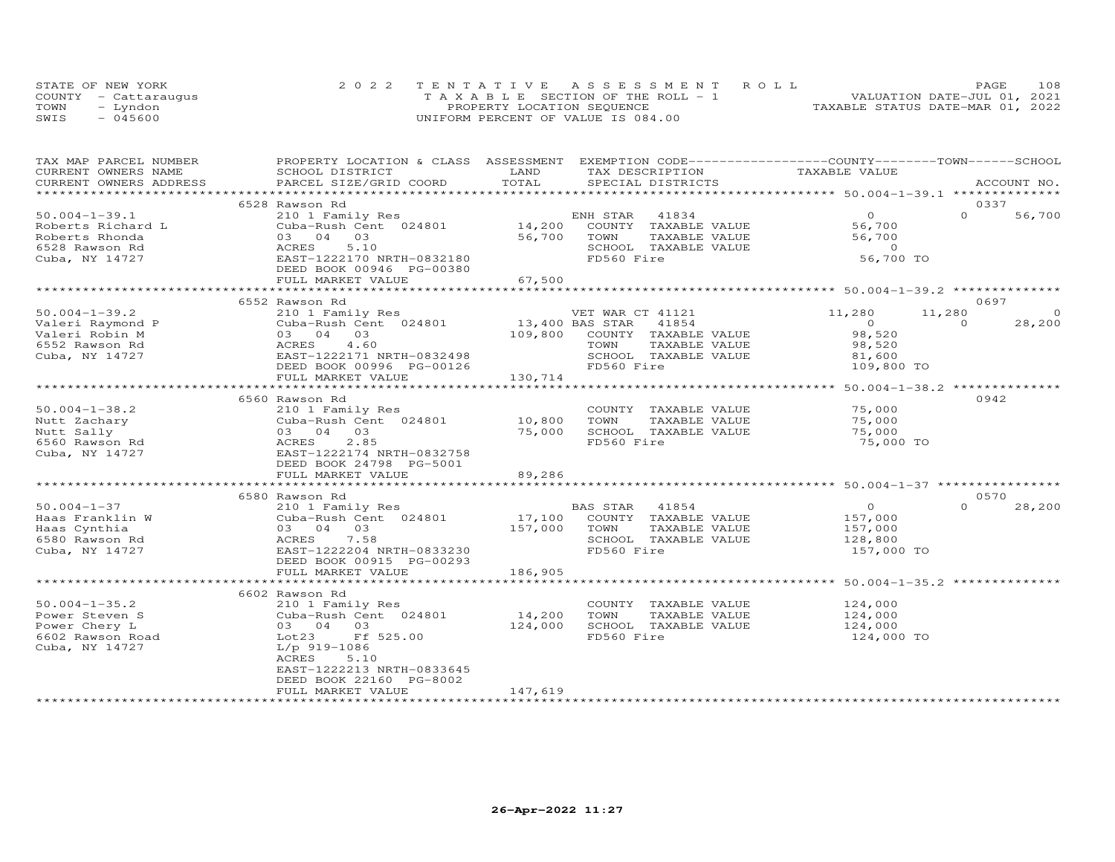|      | STATE OF NEW YORK    | 2022 TENTATIVE ASSESSMENT ROLL        | 108<br><b>PAGE</b>               |
|------|----------------------|---------------------------------------|----------------------------------|
|      | COUNTY - Cattaraugus | T A X A B L E SECTION OF THE ROLL - 1 | VALUATION DATE-JUL 01, 2021      |
| TOWN | – Lyndon             | PROPERTY LOCATION SEQUENCE            | TAXABLE STATUS DATE-MAR 01, 2022 |
| SWIS | $-045600$            | UNIFORM PERCENT OF VALUE IS 084.00    |                                  |

| TAX MAP PARCEL NUMBER                                          | PROPERTY LOCATION & CLASS ASSESSMENT EXEMPTION CODE----------------COUNTY--------TOWN-----SCHOOL                                    |         |                                                                    |                       |                    |
|----------------------------------------------------------------|-------------------------------------------------------------------------------------------------------------------------------------|---------|--------------------------------------------------------------------|-----------------------|--------------------|
| CURRENT OWNERS NAME                                            | SCHOOL DISTRICT                                                                                                                     | LAND    | TAX DESCRIPTION                                                    | TAXABLE VALUE         |                    |
| CURRENT OWNERS ADDRESS                                         | PARCEL SIZE/GRID COORD TOTAL                                                                                                        |         | SPECIAL DISTRICTS                                                  |                       | ACCOUNT NO.        |
|                                                                |                                                                                                                                     |         |                                                                    |                       |                    |
|                                                                | 6528 Rawson Rd                                                                                                                      |         |                                                                    |                       | 0337               |
| $50.004 - 1 - 39.1$                                            | 210 1 Family Res                                                                                                                    |         | ENH STAR 41834                                                     | $\overline{O}$        | $\Omega$<br>56,700 |
| Roberts Richard L                                              |                                                                                                                                     |         | COUNTY TAXABLE VALUE                                               | 56,700                |                    |
| Roberts Rhonda                                                 | 03 04 03                                                                                                                            | 56,700  | TOWN<br>TAXABLE VALUE                                              | 56,700                |                    |
| 6528 Rawson Rd                                                 | 5.10<br>EAST-1222170 NRTH-0832180<br>ERED POOL: 0001-1                                                                              |         | SCHOOL TAXABLE VALUE                                               | $\overline{0}$        |                    |
| Cuba, NY 14727                                                 |                                                                                                                                     |         | FD560 Fire                                                         | 56,700 TO             |                    |
|                                                                | DEED BOOK 00946 PG-00380                                                                                                            |         |                                                                    |                       |                    |
|                                                                |                                                                                                                                     |         |                                                                    |                       |                    |
|                                                                |                                                                                                                                     |         |                                                                    |                       |                    |
|                                                                | 6552 Rawson Rd                                                                                                                      |         |                                                                    |                       | 0697               |
| $50.004 - 1 - 39.2$                                            | 210 1 Family Res                                                                                                                    |         | VET WAR CT 41121                                                   | 11,280                | 11,280<br>$\circ$  |
| Valeri Raymond P                                               | Cuba-Rush Cent 024801 13,400 BAS STAR 41854<br>Cuba-Rush Cent 024801 13,400 BAS STAR 41854<br>03 04 03 109,800 COUNTY TAXABLE VALUE |         |                                                                    | $\overline{O}$        | $\Omega$<br>28,200 |
| Valeri Robin M                                                 |                                                                                                                                     |         |                                                                    | 98,520                |                    |
| 6552 Rawson Rd                                                 | ACRES 4.60                                                                                                                          |         | TOWN<br>TAXABLE VALUE                                              | 98,520                |                    |
| Cuba, NY 14727                                                 | EAST-1222171 NRTH-0832498                                                                                                           |         | SCHOOL TAXABLE VALUE                                               |                       |                    |
|                                                                | DEED BOOK 00996 PG-00126                                                                                                            |         | FD560 Fire                                                         | 81,600<br>109,800 TO  |                    |
|                                                                | FULL MARKET VALUE                                                                                                                   | 130,714 |                                                                    |                       |                    |
|                                                                |                                                                                                                                     |         |                                                                    |                       |                    |
|                                                                | 6560 Rawson Rd                                                                                                                      |         |                                                                    |                       | 0942               |
| $50.004 - 1 - 38.2$                                            | 210 1 Family Res                                                                                                                    |         | COUNTY TAXABLE VALUE 75,000                                        |                       |                    |
| Nutt Zachary                                                   | Cuba-Rush Cent 024801 10,800                                                                                                        |         | TOWN<br>TAXABLE VALUE                                              | 75,000                |                    |
| Nutt Zachary<br>Nutt Sally<br>6560 Rawson Rd<br>Cuba, NY 14727 | 03 04 03                                                                                                                            | 75,000  | SCHOOL TAXABLE VALUE                                               | 75,000                |                    |
|                                                                | 2.85<br>ACRES                                                                                                                       |         | FD560 Fire                                                         | 75,000 TO             |                    |
|                                                                | EAST-1222174 NRTH-0832758                                                                                                           |         |                                                                    |                       |                    |
|                                                                | DEED BOOK 24798 PG-5001                                                                                                             |         |                                                                    |                       |                    |
|                                                                | FULL MARKET VALUE                                                                                                                   | 89,286  |                                                                    |                       |                    |
|                                                                |                                                                                                                                     |         |                                                                    |                       |                    |
|                                                                | 6580 Rawson Rd                                                                                                                      |         |                                                                    |                       | 0570               |
| $50.004 - 1 - 37$                                              | 210 1 Family Res                                                                                                                    |         | BAS STAR 41854                                                     | $\overline{O}$        | $\Omega$<br>28,200 |
| Haas Franklin W                                                | 2101 1 2 and 1 y<br>Cuba - Rush Cen<br>03 04 03<br>ACRES 7.58<br>EAST-1222204<br>Cuba-Rush Cent 024801                              | 17,100  |                                                                    |                       |                    |
| Haas Cynthia                                                   |                                                                                                                                     | 157,000 | COUNTY TAXABLE VALUE 157,000<br>TOWN TAXABLE VALUE 157,000<br>TOWN |                       |                    |
| 6580 Rawson Rd                                                 | 7.58                                                                                                                                |         | SCHOOL TAXABLE VALUE                                               |                       |                    |
|                                                                | EAST-1222204 NRTH-0833230                                                                                                           |         | FD560 Fire                                                         | 128,800<br>157,000 TO |                    |
| Cuba, NY 14727                                                 |                                                                                                                                     |         |                                                                    |                       |                    |
|                                                                | DEED BOOK 00915 PG-00293                                                                                                            | 186,905 |                                                                    |                       |                    |
|                                                                | FULL MARKET VALUE                                                                                                                   |         |                                                                    |                       |                    |
|                                                                |                                                                                                                                     |         |                                                                    |                       |                    |
|                                                                | 6602 Rawson Rd                                                                                                                      |         |                                                                    |                       |                    |
| $50.004 - 1 - 35.2$                                            | 210 1 Family Res                                                                                                                    |         | COUNTY TAXABLE VALUE                                               | 124,000<br>124,000    |                    |
| Power Steven S                                                 | Cuba-Rush Cent 024801                                                                                                               | 14,200  | TOWN<br>TAXABLE VALUE                                              |                       |                    |
| Power Chery L                                                  | 03  04  03                                                                                                                          | 124,000 | SCHOOL TAXABLE VALUE                                               | 124,000               |                    |
| 6602 Rawson Road                                               | Lot23<br>Ff 525.00                                                                                                                  |         | FD560 Fire                                                         | 124,000 TO            |                    |
| Cuba, NY 14727                                                 | $L/p$ 919-1086                                                                                                                      |         |                                                                    |                       |                    |
|                                                                | ACRES<br>5.10                                                                                                                       |         |                                                                    |                       |                    |
|                                                                | EAST-1222213 NRTH-0833645                                                                                                           |         |                                                                    |                       |                    |
|                                                                | DEED BOOK 22160 PG-8002                                                                                                             |         |                                                                    |                       |                    |
|                                                                | FULL MARKET VALUE                                                                                                                   | 147,619 |                                                                    |                       |                    |
|                                                                |                                                                                                                                     |         |                                                                    |                       |                    |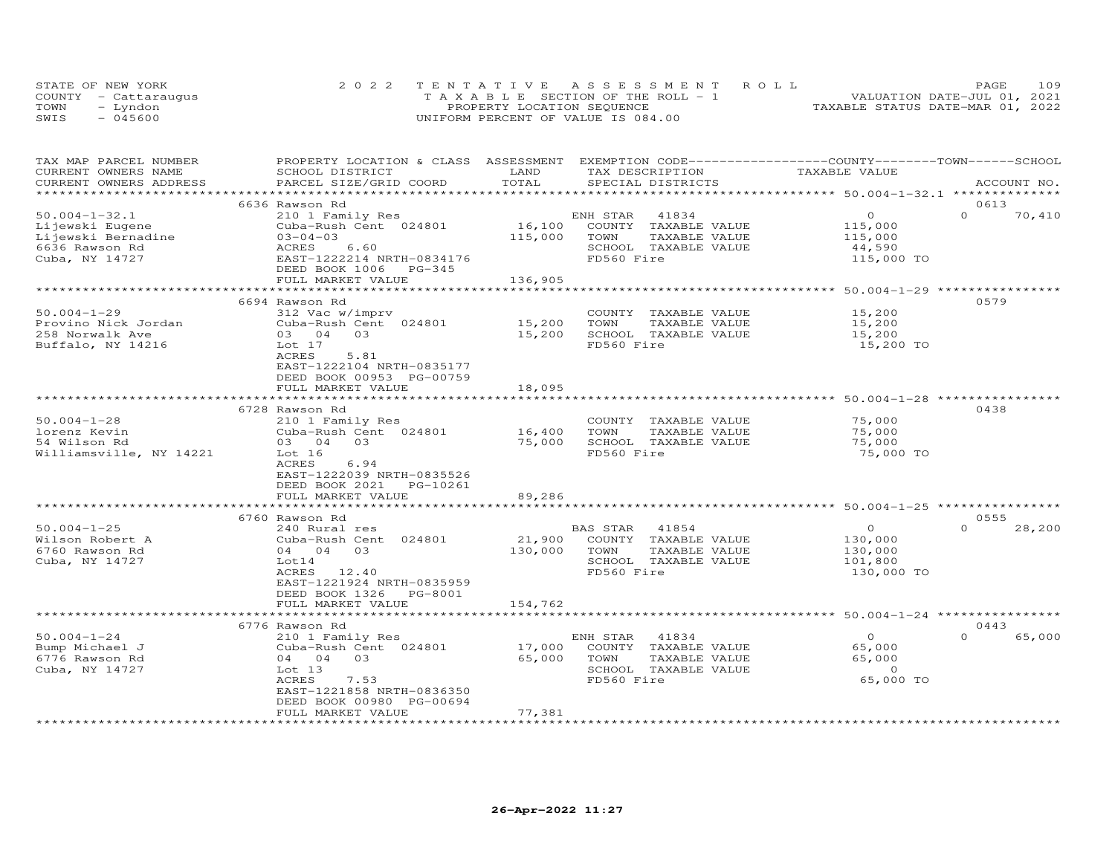| STATE OF NEW YORK    | 2022 TENTATIVE ASSESSMENT ROLL        |                                  | PAGE. | 109 |
|----------------------|---------------------------------------|----------------------------------|-------|-----|
| COUNTY - Cattaraugus | T A X A B L E SECTION OF THE ROLL - 1 | VALUATION DATE-JUL 01, 2021      |       |     |
| TOWN<br>– Lyndon     | PROPERTY LOCATION SEQUENCE            | TAXABLE STATUS DATE-MAR 01, 2022 |       |     |
| SWIS<br>$-045600$    | UNIFORM PERCENT OF VALUE IS 084.00    |                                  |       |     |

| TAX MAP PARCEL NUMBER<br>CURRENT OWNERS NAME | PROPERTY LOCATION & CLASS ASSESSMENT EXEMPTION CODE----------------COUNTY-------TOWN------SCHOOL<br>SCHOOL DISTRICT | LAND    | TAX DESCRIPTION                    | TAXABLE VALUE                                          |                    |
|----------------------------------------------|---------------------------------------------------------------------------------------------------------------------|---------|------------------------------------|--------------------------------------------------------|--------------------|
| CURRENT OWNERS ADDRESS                       | PARCEL SIZE/GRID COORD                                                                                              | TOTAL   | SPECIAL DISTRICTS                  |                                                        | ACCOUNT NO.        |
|                                              | 6636 Rawson Rd                                                                                                      |         |                                    |                                                        | 0613               |
| $50.004 - 1 - 32.1$                          | 210 1 Family Res                                                                                                    |         | ENH STAR<br>41834                  | $\circ$                                                | $\Omega$<br>70,410 |
| Lijewski Eugene                              | Cuba-Rush Cent 024801                                                                                               | 16,100  | COUNTY TAXABLE VALUE               | 115,000                                                |                    |
| Lijewski Bernadine                           | $03 - 04 - 03$                                                                                                      | 115,000 | TOWN<br>TAXABLE VALUE              | 115,000                                                |                    |
| 6636 Rawson Rd                               | 6.60<br>ACRES                                                                                                       |         | SCHOOL TAXABLE VALUE               | 44,590                                                 |                    |
| Cuba, NY 14727                               | EAST-1222214 NRTH-0834176                                                                                           |         | FD560 Fire                         | 115,000 TO                                             |                    |
|                                              | DEED BOOK 1006 PG-345                                                                                               |         |                                    |                                                        |                    |
|                                              | FULL MARKET VALUE                                                                                                   | 136,905 |                                    |                                                        |                    |
|                                              |                                                                                                                     |         |                                    | ******************** 50.004-1-29 **                    |                    |
|                                              | 6694 Rawson Rd                                                                                                      |         |                                    |                                                        | 0579               |
| $50.004 - 1 - 29$                            | 312 Vac w/imprv                                                                                                     |         | COUNTY TAXABLE VALUE               | 15,200                                                 |                    |
| Provino Nick Jordan                          | Cuba-Rush Cent 024801                                                                                               | 15,200  | TOWN<br>TAXABLE VALUE              | 15,200                                                 |                    |
| 258 Norwalk Ave                              | 03<br>03 04                                                                                                         | 15,200  | SCHOOL TAXABLE VALUE               | 15,200                                                 |                    |
| Buffalo, NY 14216                            | Lot 17                                                                                                              |         | FD560 Fire                         | 15,200 TO                                              |                    |
|                                              | ACRES<br>5.81                                                                                                       |         |                                    |                                                        |                    |
|                                              | EAST-1222104 NRTH-0835177                                                                                           |         |                                    |                                                        |                    |
|                                              | DEED BOOK 00953 PG-00759                                                                                            |         |                                    |                                                        |                    |
|                                              | FULL MARKET VALUE                                                                                                   | 18,095  |                                    |                                                        |                    |
|                                              |                                                                                                                     |         |                                    |                                                        |                    |
|                                              | 6728 Rawson Rd                                                                                                      |         |                                    |                                                        | 0438               |
| $50.004 - 1 - 28$                            | 210 1 Family Res                                                                                                    |         | COUNTY TAXABLE VALUE               | 75,000                                                 |                    |
| lorenz Kevin                                 | Cuba-Rush Cent 024801                                                                                               | 16,400  | TOWN<br>TAXABLE VALUE              | 75,000                                                 |                    |
| 54 Wilson Rd                                 | 03 04 03                                                                                                            | 75,000  | SCHOOL TAXABLE VALUE               | 75,000                                                 |                    |
| Williamsville, NY 14221                      | Lot 16                                                                                                              |         | FD560 Fire                         | 75,000 TO                                              |                    |
|                                              | ACRES<br>6.94                                                                                                       |         |                                    |                                                        |                    |
|                                              | EAST-1222039 NRTH-0835526                                                                                           |         |                                    |                                                        |                    |
|                                              | DEED BOOK 2021<br>PG-10261                                                                                          |         |                                    |                                                        |                    |
|                                              | FULL MARKET VALUE                                                                                                   | 89,286  |                                    |                                                        |                    |
|                                              |                                                                                                                     |         |                                    | ******************************* 50.004-1-25 ********** |                    |
|                                              | 6760 Rawson Rd                                                                                                      |         |                                    |                                                        | 0555               |
| $50.004 - 1 - 25$                            | 240 Rural res                                                                                                       |         | BAS STAR 41854                     | $\Omega$                                               | $\Omega$<br>28,200 |
| Wilson Robert A                              | Cuba-Rush Cent 024801                                                                                               | 21,900  | COUNTY TAXABLE VALUE               | 130,000                                                |                    |
| 6760 Rawson Rd                               | 04 04 03                                                                                                            | 130,000 | TOWN<br>TAXABLE VALUE              | 130,000                                                |                    |
| Cuba, NY 14727                               | Lot14                                                                                                               |         | SCHOOL TAXABLE VALUE               | 101,800                                                |                    |
|                                              | ACRES 12.40                                                                                                         |         | FD560 Fire                         | 130,000 TO                                             |                    |
|                                              | EAST-1221924 NRTH-0835959                                                                                           |         |                                    |                                                        |                    |
|                                              | DEED BOOK 1326 PG-8001                                                                                              |         |                                    |                                                        |                    |
|                                              | FULL MARKET VALUE                                                                                                   | 154,762 |                                    |                                                        |                    |
|                                              |                                                                                                                     |         |                                    |                                                        |                    |
| $50.004 - 1 - 24$                            | 6776 Rawson Rd                                                                                                      |         |                                    |                                                        | 0443<br>$\Omega$   |
|                                              | 210 1 Family Res                                                                                                    |         | ENH STAR<br>41834                  | $\overline{O}$                                         | 65,000             |
| Bump Michael J                               | Cuba-Rush Cent 024801                                                                                               | 17,000  | COUNTY TAXABLE VALUE               | 65,000                                                 |                    |
| 6776 Rawson Rd                               | 04 04 03                                                                                                            | 65,000  | TOWN<br>TAXABLE VALUE              | 65,000                                                 |                    |
| Cuba, NY 14727                               | Lot 13<br>7.53<br>ACRES                                                                                             |         | SCHOOL TAXABLE VALUE<br>FD560 Fire | $\circ$<br>65,000 TO                                   |                    |
|                                              | EAST-1221858 NRTH-0836350                                                                                           |         |                                    |                                                        |                    |
|                                              | DEED BOOK 00980 PG-00694                                                                                            |         |                                    |                                                        |                    |
|                                              | FULL MARKET VALUE                                                                                                   | 77,381  |                                    |                                                        |                    |
|                                              |                                                                                                                     |         |                                    |                                                        |                    |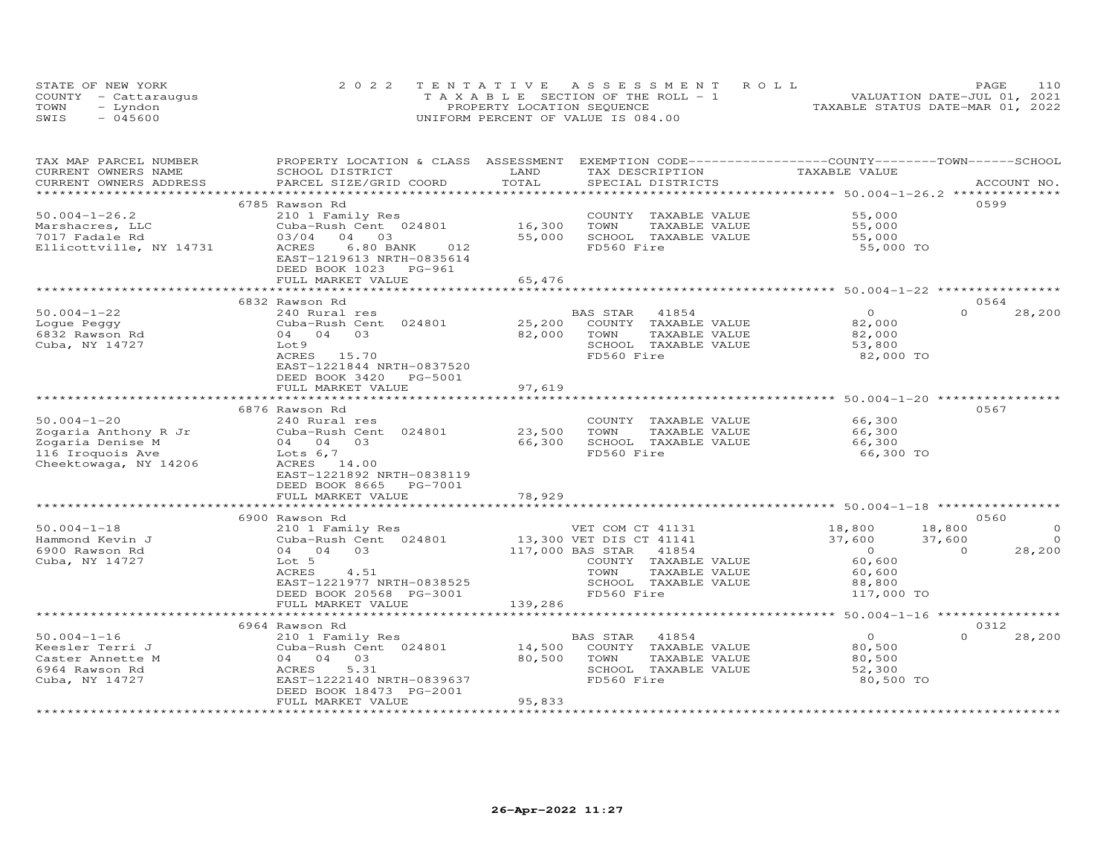|      | STATE OF NEW YORK    | 2022 TENTATIVE ASSESSMENT ROLL        | 110<br>PAGE                      |
|------|----------------------|---------------------------------------|----------------------------------|
|      | COUNTY - Cattaraugus | T A X A B L E SECTION OF THE ROLL - 1 | VALUATION DATE-JUL 01, 2021      |
| TOWN | - Lyndon             | PROPERTY LOCATION SEQUENCE            | TAXABLE STATUS DATE-MAR 01, 2022 |
| SWIS | $-045600$            | UNIFORM PERCENT OF VALUE IS 084.00    |                                  |

| TAX MAP PARCEL NUMBER<br>CURRENT OWNERS NAME | PROPERTY LOCATION & CLASS ASSESSMENT EXEMPTION CODE----------------COUNTY-------TOWN------SCHOOL<br>SCHOOL DISTRICT | LAND             | TAX DESCRIPTION                               | TAXABLE VALUE                                                  |                    |
|----------------------------------------------|---------------------------------------------------------------------------------------------------------------------|------------------|-----------------------------------------------|----------------------------------------------------------------|--------------------|
| CURRENT OWNERS ADDRESS                       | PARCEL SIZE/GRID COORD                                                                                              | TOTAL            | SPECIAL DISTRICTS                             |                                                                | ACCOUNT NO.        |
|                                              |                                                                                                                     |                  |                                               |                                                                |                    |
|                                              | 6785 Rawson Rd                                                                                                      |                  |                                               |                                                                | 0599               |
| $50.004 - 1 - 26.2$                          | 210 1 Family Res                                                                                                    |                  | COUNTY TAXABLE VALUE                          | 55,000                                                         |                    |
| Marshacres, LLC                              | Cuba-Rush Cent 024801                                                                                               | 16,300           | TAXABLE VALUE<br>TOWN                         | 55,000                                                         |                    |
| 7017 Fadale Rd                               | 03/04<br>04<br>03                                                                                                   | 55,000           | SCHOOL TAXABLE VALUE                          | 55,000                                                         |                    |
| Ellicottville, NY 14731                      | ACRES<br>6.80 BANK<br>012<br>EAST-1219613 NRTH-0835614                                                              |                  | FD560 Fire                                    | 55,000 TO                                                      |                    |
|                                              | DEED BOOK 1023 PG-961                                                                                               |                  |                                               |                                                                |                    |
|                                              | FULL MARKET VALUE                                                                                                   | 65,476           |                                               |                                                                |                    |
|                                              |                                                                                                                     |                  |                                               |                                                                |                    |
|                                              | 6832 Rawson Rd                                                                                                      |                  |                                               |                                                                | 0564               |
| $50.004 - 1 - 22$                            | 240 Rural res                                                                                                       |                  | BAS STAR<br>41854                             | $\circ$                                                        | $\Omega$<br>28,200 |
| Loque Peggy                                  | Cuba-Rush Cent 024801                                                                                               | 25,200           | COUNTY TAXABLE VALUE                          | 82,000                                                         |                    |
| 6832 Rawson Rd                               | 04 04<br>03                                                                                                         | 82,000           | TOWN<br>TAXABLE VALUE                         | 82,000                                                         |                    |
| Cuba, NY 14727                               | Lot 9                                                                                                               |                  | SCHOOL TAXABLE VALUE                          | 53,800                                                         |                    |
|                                              | ACRES 15.70                                                                                                         |                  | FD560 Fire                                    | 82,000 TO                                                      |                    |
|                                              | EAST-1221844 NRTH-0837520                                                                                           |                  |                                               |                                                                |                    |
|                                              | DEED BOOK 3420<br>PG-5001                                                                                           |                  |                                               |                                                                |                    |
|                                              | FULL MARKET VALUE                                                                                                   | 97,619           |                                               |                                                                |                    |
|                                              |                                                                                                                     |                  |                                               |                                                                |                    |
| $50.004 - 1 - 20$                            | 6876 Rawson Rd                                                                                                      |                  |                                               | 66,300                                                         | 0567               |
|                                              | 240 Rural res                                                                                                       | 23,500           | COUNTY TAXABLE VALUE<br>TOWN<br>TAXABLE VALUE |                                                                |                    |
| Zogaria Anthony R Jr<br>Zogaria Denise M     | Cuba-Rush Cent 024801<br>04 04<br>03                                                                                | 66,300           | SCHOOL TAXABLE VALUE                          | 66,300<br>66,300                                               |                    |
| 116 Iroquois Ave                             | Lots $6,7$                                                                                                          |                  | FD560 Fire                                    | 66,300 TO                                                      |                    |
| Cheektowaga, NY 14206                        | ACRES 14.00                                                                                                         |                  |                                               |                                                                |                    |
|                                              | EAST-1221892 NRTH-0838119                                                                                           |                  |                                               |                                                                |                    |
|                                              | DEED BOOK 8665<br>PG-7001                                                                                           |                  |                                               |                                                                |                    |
|                                              | FULL MARKET VALUE                                                                                                   | 78,929           |                                               |                                                                |                    |
|                                              |                                                                                                                     | ************     |                                               | ******************************** 50.004-1-18 ***************** |                    |
|                                              | 6900 Rawson Rd                                                                                                      |                  |                                               |                                                                | 0560               |
| $50.004 - 1 - 18$                            | 210 1 Family Res                                                                                                    |                  | VET COM CT 41131                              | 18,800<br>18,800                                               | $\Omega$           |
| Hammond Kevin J                              | Cuba-Rush Cent 024801                                                                                               |                  | 13,300 VET DIS CT 41141                       | 37,600<br>37,600                                               | $\Omega$           |
| 6900 Rawson Rd                               | 04 04 03                                                                                                            | 117,000 BAS STAR | 41854                                         | $\overline{O}$                                                 | 28,200<br>$\Omega$ |
| Cuba, NY 14727                               | Lot 5                                                                                                               |                  | COUNTY TAXABLE VALUE                          | 60,600                                                         |                    |
|                                              | <b>ACRES</b><br>4.51                                                                                                |                  | TOWN<br>TAXABLE VALUE                         | 60,600                                                         |                    |
|                                              | EAST-1221977 NRTH-0838525                                                                                           |                  | SCHOOL TAXABLE VALUE                          | 88,800                                                         |                    |
|                                              | DEED BOOK 20568 PG-3001                                                                                             |                  | FD560 Fire                                    | 117,000 TO                                                     |                    |
|                                              | FULL MARKET VALUE<br>***************************                                                                    | 139,286          |                                               |                                                                |                    |
|                                              |                                                                                                                     |                  |                                               |                                                                |                    |
| $50.004 - 1 - 16$                            | 6964 Rawson Rd                                                                                                      |                  |                                               | $\overline{0}$                                                 | 0312<br>$\Omega$   |
| Keesler Terri J                              | 210 1 Family Res<br>Cuba-Rush Cent 024801                                                                           | 14,500           | BAS STAR<br>41854<br>COUNTY TAXABLE VALUE     | 80,500                                                         | 28,200             |
| Caster Annette M                             | 03<br>04 04                                                                                                         | 80,500           | TOWN<br>TAXABLE VALUE                         | 80,500                                                         |                    |
| 6964 Rawson Rd                               | 5.31<br>ACRES                                                                                                       |                  | SCHOOL TAXABLE VALUE                          | 52,300                                                         |                    |
| Cuba, NY 14727                               | EAST-1222140 NRTH-0839637                                                                                           |                  | FD560 Fire                                    | 80,500 TO                                                      |                    |
|                                              | DEED BOOK 18473 PG-2001                                                                                             |                  |                                               |                                                                |                    |
|                                              | FULL MARKET VALUE                                                                                                   | 95,833           |                                               |                                                                |                    |
|                                              |                                                                                                                     |                  |                                               |                                                                |                    |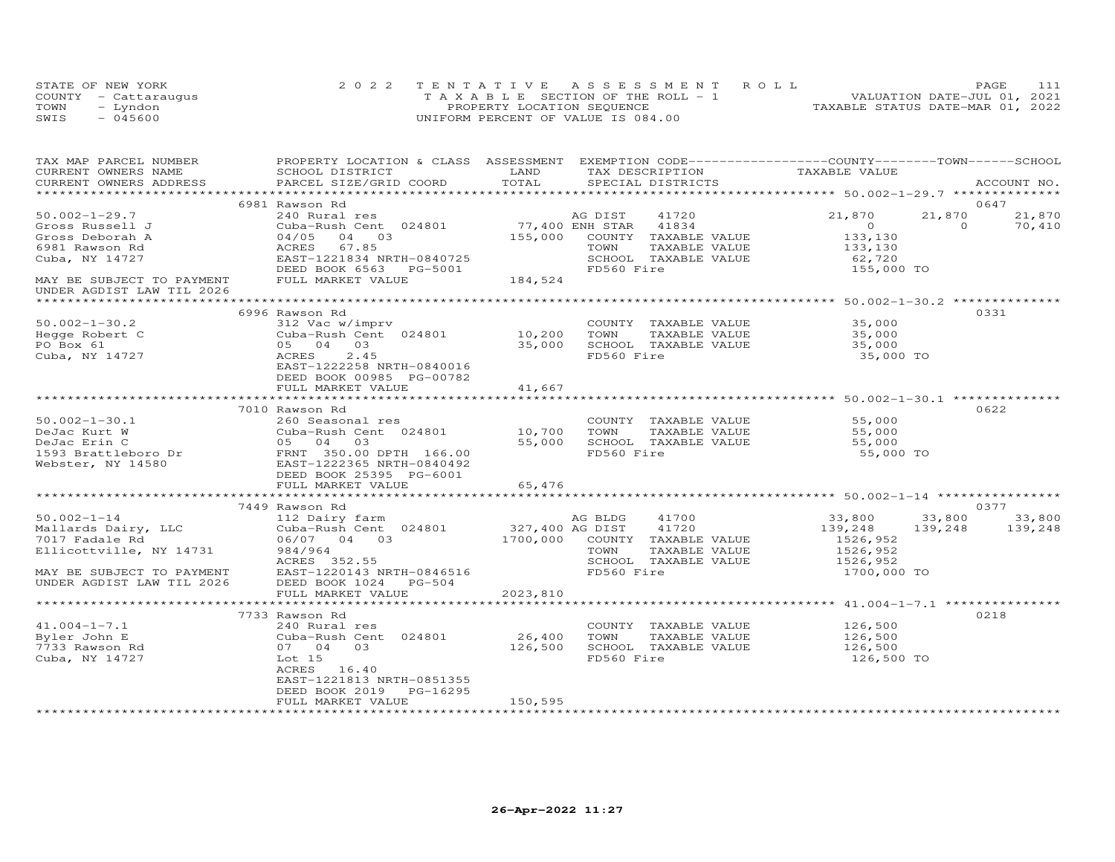| STATE OF NEW YORK    | 2022 TENTATIVE ASSESSMENT ROLL           |                            |  |                                  | PAGE. |  |
|----------------------|------------------------------------------|----------------------------|--|----------------------------------|-------|--|
| COUNTY - Cattaraugus | $T A X A B I E$ SECTION OF THE ROLL $-1$ |                            |  | VALUATION DATE-JUL 01, 2021      |       |  |
| TOWN<br>- Lyndon     |                                          | PROPERTY LOCATION SEQUENCE |  | TAXABLE STATUS DATE-MAR 01, 2022 |       |  |
| $-045600$<br>SWIS    | UNIFORM PERCENT OF VALUE IS 084.00       |                            |  |                                  |       |  |

| TAX MAP PARCEL NUMBER<br>CURRENT OWNERS NAME                              | PROPERTY LOCATION & CLASS ASSESSMENT EXEMPTION CODE----------------COUNTY-------TOWN------SCHOOL<br>SCHOOL DISTRICT | LAND            | TAX DESCRIPTION                       |                            |             |
|---------------------------------------------------------------------------|---------------------------------------------------------------------------------------------------------------------|-----------------|---------------------------------------|----------------------------|-------------|
| CURRENT OWNERS ADDRESS                                                    | PARCEL SIZE/GRID COORD                                                                                              | TOTAL           | SPECIAL DISTRICTS                     | TAXABLE VALUE              | ACCOUNT NO. |
|                                                                           |                                                                                                                     |                 |                                       |                            |             |
|                                                                           | 6981 Rawson Rd                                                                                                      |                 |                                       |                            | 0647        |
| $50.002 - 1 - 29.7$                                                       | 240 Rural res                                                                                                       |                 | AG DIST<br>41720                      | 21,870<br>21,870           | 21,870      |
| Gross Russell J                                                           | Cuba-Rush Cent 024801                                                                                               | 77,400 ENH STAR | 41834                                 | $\Omega$<br>$\overline{0}$ | 70,410      |
| Gross Deborah A                                                           | 04/05 04 03                                                                                                         | 155,000         | COUNTY TAXABLE VALUE                  | 133,130                    |             |
| 6981 Rawson Rd                                                            | ACRES 67.85                                                                                                         |                 | TOWN<br>TAXABLE VALUE                 | 133,130                    |             |
| Cuba, NY 14727                                                            | EAST-1221834 NRTH-0840725                                                                                           |                 | SCHOOL TAXABLE VALUE                  | 62,720                     |             |
|                                                                           | DEED BOOK 6563 PG-5001                                                                                              |                 | FD560 Fire                            | 155,000 TO                 |             |
| MAY BE SUBJECT TO PAYMENT<br>UNDER AGDIST LAW TIL 2026                    | FULL MARKET VALUE                                                                                                   | 184,524         |                                       |                            |             |
|                                                                           |                                                                                                                     |                 |                                       |                            |             |
|                                                                           | 6996 Rawson Rd                                                                                                      |                 |                                       |                            | 0331        |
| $50.002 - 1 - 30.2$                                                       |                                                                                                                     |                 | COUNTY TAXABLE VALUE 35,000           |                            |             |
| Hegge Robert C                                                            | 312 Vac w/imprv<br>Cuba-Rush Cent 024801 10,200                                                                     |                 | TOWN<br>TAXABLE VALUE                 | 35,000                     |             |
| PO Box 61                                                                 | 05 04 03                                                                                                            | 35,000          | SCHOOL TAXABLE VALUE                  | 35,000                     |             |
| Cuba, NY 14727                                                            | 2.45<br>ACRES                                                                                                       |                 | FD560 Fire                            | 35,000 TO                  |             |
|                                                                           | EAST-1222258 NRTH-0840016                                                                                           |                 |                                       |                            |             |
|                                                                           | DEED BOOK 00985 PG-00782                                                                                            |                 |                                       |                            |             |
|                                                                           | FULL MARKET VALUE                                                                                                   | 41,667          |                                       |                            |             |
|                                                                           |                                                                                                                     |                 |                                       |                            |             |
|                                                                           | 7010 Rawson Rd                                                                                                      |                 |                                       |                            | 0622        |
| $50.002 - 1 - 30.1$                                                       | 260 Seasonal res                                                                                                    |                 | COUNTY TAXABLE VALUE                  | 55,000                     |             |
|                                                                           | Cuba-Rush Cent 024801                                                                                               | 10,700 TOWN     | TAXABLE VALUE                         | 55,000                     |             |
|                                                                           |                                                                                                                     | 55,000          | SCHOOL TAXABLE VALUE                  | 55,000                     |             |
|                                                                           |                                                                                                                     |                 | FD560 Fire                            | 55,000 TO                  |             |
|                                                                           |                                                                                                                     |                 |                                       |                            |             |
|                                                                           |                                                                                                                     |                 |                                       |                            |             |
|                                                                           | FULL MARKET VALUE                                                                                                   | 65,476          |                                       |                            |             |
|                                                                           |                                                                                                                     |                 |                                       |                            |             |
|                                                                           | 7449 Rawson Rd                                                                                                      |                 |                                       |                            | 0377        |
| $50.002 - 1 - 14$<br>50.002-1-14<br>Mallards Dairy, LLC<br>7017 Fadale Rd | 112 Dairy farm<br>112 Dairy farm MG BLDG<br>Cuba-Rush Cent 024801 327,400 AG DIST                                   |                 | 41700                                 | 33,800<br>33,800           | 33,800      |
|                                                                           | 06/07 04 03 1700,000 COUNTY TAXABLE VALUE                                                                           |                 | 41720                                 | 139,248<br>139,248         | 139,248     |
| 7017 Fadale Rd                                                            | 984/964                                                                                                             |                 | TOWN                                  | 1526,952<br>1526,952       |             |
| Ellicottville, NY 14731                                                   | ACRES 352.55                                                                                                        |                 | TAXABLE VALUE<br>SCHOOL TAXABLE VALUE | 1526,952                   |             |
|                                                                           | MAY BE SUBJECT TO PAYMENT EAST-1220143 NRTH-0846516                                                                 |                 | FD560 Fire                            | 1700,000 TO                |             |
| UNDER AGDIST LAW TIL 2026                                                 | DEED BOOK 1024 PG-504                                                                                               |                 |                                       |                            |             |
|                                                                           | FULL MARKET VALUE                                                                                                   | 2023,810        |                                       |                            |             |
|                                                                           |                                                                                                                     |                 |                                       |                            |             |
|                                                                           | 7733 Rawson Rd                                                                                                      |                 |                                       |                            | 0218        |
| $41.004 - 1 - 7.1$                                                        | 240 Rural res                                                                                                       |                 | COUNTY TAXABLE VALUE                  | 126,500                    |             |
| Byler John E                                                              | Cuba-Rush Cent 024801                                                                                               | 26,400          | TOWN<br>TAXABLE VALUE                 | $\frac{1}{126}$ , 500      |             |
| 7733 Rawson Rd                                                            | 07 04 03                                                                                                            | 126,500         | SCHOOL TAXABLE VALUE                  | 126,500                    |             |
| Cuba, NY 14727                                                            | Lot 15                                                                                                              |                 | FD560 Fire                            | 126,500 TO                 |             |
|                                                                           | ACRES 16.40                                                                                                         |                 |                                       |                            |             |
|                                                                           | EAST-1221813 NRTH-0851355                                                                                           |                 |                                       |                            |             |
|                                                                           | DEED BOOK 2019<br>PG-16295                                                                                          |                 |                                       |                            |             |
|                                                                           | FULL MARKET VALUE                                                                                                   | 150,595         |                                       |                            |             |
|                                                                           |                                                                                                                     |                 |                                       |                            |             |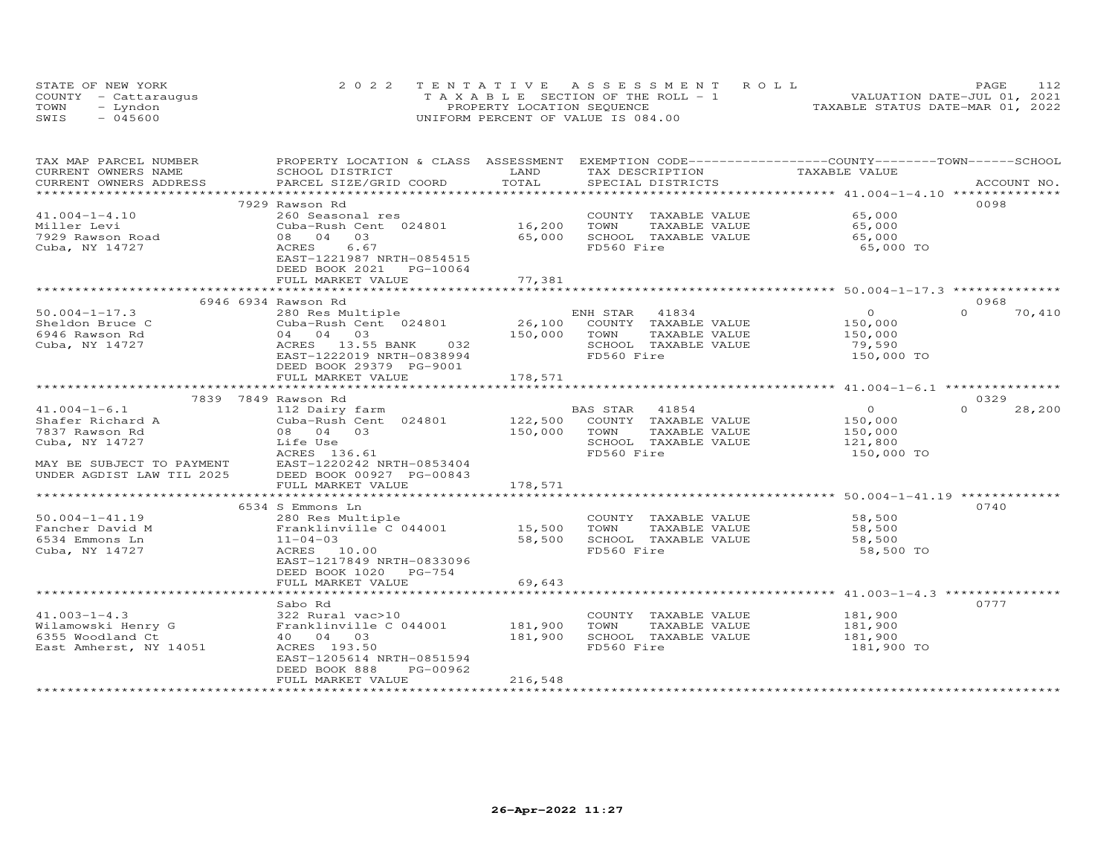|      | STATE OF NEW YORK    | 2022 TENTATIVE ASSESSMENT ROLL        | 112<br>PAGE                      |
|------|----------------------|---------------------------------------|----------------------------------|
|      | COUNTY - Cattaraugus | T A X A B L E SECTION OF THE ROLL - 1 | VALUATION DATE-JUL 01, 2021      |
| TOWN | - Lyndon             | PROPERTY LOCATION SEQUENCE            | TAXABLE STATUS DATE-MAR 01, 2022 |
| SWIS | $-045600$            | UNIFORM PERCENT OF VALUE IS 084.00    |                                  |

| TAX MAP PARCEL NUMBER     | PROPERTY LOCATION & CLASS ASSESSMENT EXEMPTION CODE----------------COUNTY-------TOWN------SCHOOL |         |                             |                |                    |
|---------------------------|--------------------------------------------------------------------------------------------------|---------|-----------------------------|----------------|--------------------|
| CURRENT OWNERS NAME       | SCHOOL DISTRICT                                                                                  | LAND    | TAX DESCRIPTION             | TAXABLE VALUE  |                    |
| CURRENT OWNERS ADDRESS    | PARCEL SIZE/GRID COORD                                                                           | TOTAL   | SPECIAL DISTRICTS           |                | ACCOUNT NO.        |
|                           |                                                                                                  |         |                             |                |                    |
|                           | 7929 Rawson Rd                                                                                   |         |                             |                | 0098               |
| $41.004 - 1 - 4.10$       | 260 Seasonal res                                                                                 |         | COUNTY TAXABLE VALUE        | 65,000         |                    |
| Miller Levi               | Cuba-Rush Cent 024801                                                                            | 16,200  | TOWN<br>TAXABLE VALUE       | 65,000         |                    |
| 7929 Rawson Road          | 08 04 03                                                                                         | 65,000  | SCHOOL TAXABLE VALUE        | 65,000         |                    |
| Cuba, NY 14727            | ACRES 6.67                                                                                       |         | FD560 Fire                  | 65,000 TO      |                    |
|                           | EAST-1221987 NRTH-0854515                                                                        |         |                             |                |                    |
|                           | DEED BOOK 2021 PG-10064                                                                          |         |                             |                |                    |
|                           | FULL MARKET VALUE                                                                                | 77,381  |                             |                |                    |
|                           |                                                                                                  |         |                             |                |                    |
|                           | 6946 6934 Rawson Rd                                                                              |         |                             |                | 0968               |
| $50.004 - 1 - 17.3$       | 280 Res Multiple                                                                                 |         | ENH STAR 41834              | $\Omega$       | $\Omega$<br>70,410 |
| Sheldon Bruce C           | Cuba-Rush Cent 024801                                                                            |         | 26,100 COUNTY TAXABLE VALUE | 150,000        |                    |
|                           | 04 04 03                                                                                         |         | TOWN                        |                |                    |
| 6946 Rawson Rd            |                                                                                                  | 150,000 | TAXABLE VALUE               | 150,000        |                    |
| Cuba, NY 14727            | ACRES 13.55 BANK<br>032                                                                          |         | SCHOOL TAXABLE VALUE        | 79,590         |                    |
|                           | EAST-1222019 NRTH-0838994                                                                        |         | FD560 Fire                  | 150,000 TO     |                    |
|                           | DEED BOOK 29379 PG-9001                                                                          |         |                             |                |                    |
|                           | FULL MARKET VALUE                                                                                | 178,571 |                             |                |                    |
|                           |                                                                                                  |         |                             |                |                    |
|                           | 7839 7849 Rawson Rd                                                                              |         |                             |                | 0329               |
| $41.004 - 1 - 6.1$        | 112 Dairy farm                                                                                   |         | BAS STAR<br>41854           | $\overline{0}$ | $\Omega$<br>28,200 |
| Shafer Richard A          | Cuba-Rush Cent 024801                                                                            | 122,500 | COUNTY TAXABLE VALUE        | 150,000        |                    |
| 7837 Rawson Rd            | 08 04 03                                                                                         | 150,000 | TOWN<br>TAXABLE VALUE       | 150,000        |                    |
| Cuba, NY 14727            | Life Use                                                                                         |         | SCHOOL TAXABLE VALUE        | 121,800        |                    |
|                           | ACRES 136.61                                                                                     |         | FD560 Fire                  | 150,000 TO     |                    |
| MAY BE SUBJECT TO PAYMENT | EAST-1220242 NRTH-0853404                                                                        |         |                             |                |                    |
| UNDER AGDIST LAW TIL 2025 | DEED BOOK 00927 PG-00843                                                                         |         |                             |                |                    |
|                           | FULL MARKET VALUE                                                                                | 178,571 |                             |                |                    |
|                           |                                                                                                  |         |                             |                |                    |
|                           | 6534 S Emmons Ln                                                                                 |         |                             |                | 0740               |
| $50.004 - 1 - 41.19$      |                                                                                                  |         | COUNTY TAXABLE VALUE        | 58,500         |                    |
| Fancher David M           | 280 Res Multiple<br>Franklinville C 044001 15,500                                                |         | TOWN<br>TAXABLE VALUE       | 58,500         |                    |
| 6534 Emmons Ln            | $11 - 04 - 03$                                                                                   | 58,500  | SCHOOL TAXABLE VALUE        | 58,500         |                    |
| Cuba, NY 14727            | ACRES 10.00                                                                                      |         | FD560 Fire                  | 58,500 TO      |                    |
|                           | EAST-1217849 NRTH-0833096                                                                        |         |                             |                |                    |
|                           | DEED BOOK 1020 PG-754                                                                            |         |                             |                |                    |
|                           | FULL MARKET VALUE                                                                                | 69,643  |                             |                |                    |
|                           |                                                                                                  |         |                             |                |                    |
|                           | Sabo Rd                                                                                          |         |                             |                | 0777               |
| $41.003 - 1 - 4.3$        | 322 Rural vac>10                                                                                 |         | COUNTY TAXABLE VALUE        | 181,900        |                    |
| Wilamowski Henry G        | 322 Rural vac>10<br>Franklinville C 044001                                                       | 181,900 | TOWN<br>TAXABLE VALUE       | 181,900        |                    |
| 6355 Woodland Ct          | 40  04  03                                                                                       | 181,900 | SCHOOL TAXABLE VALUE        |                |                    |
|                           |                                                                                                  |         | FD560 Fire                  | 181,900        |                    |
| East Amherst, NY 14051    | ACRES 193.50                                                                                     |         |                             | 181,900 TO     |                    |
|                           | EAST-1205614 NRTH-0851594                                                                        |         |                             |                |                    |
|                           | DEED BOOK 888<br>PG-00962                                                                        |         |                             |                |                    |
|                           | FULL MARKET VALUE                                                                                | 216,548 |                             |                |                    |
|                           |                                                                                                  |         |                             |                |                    |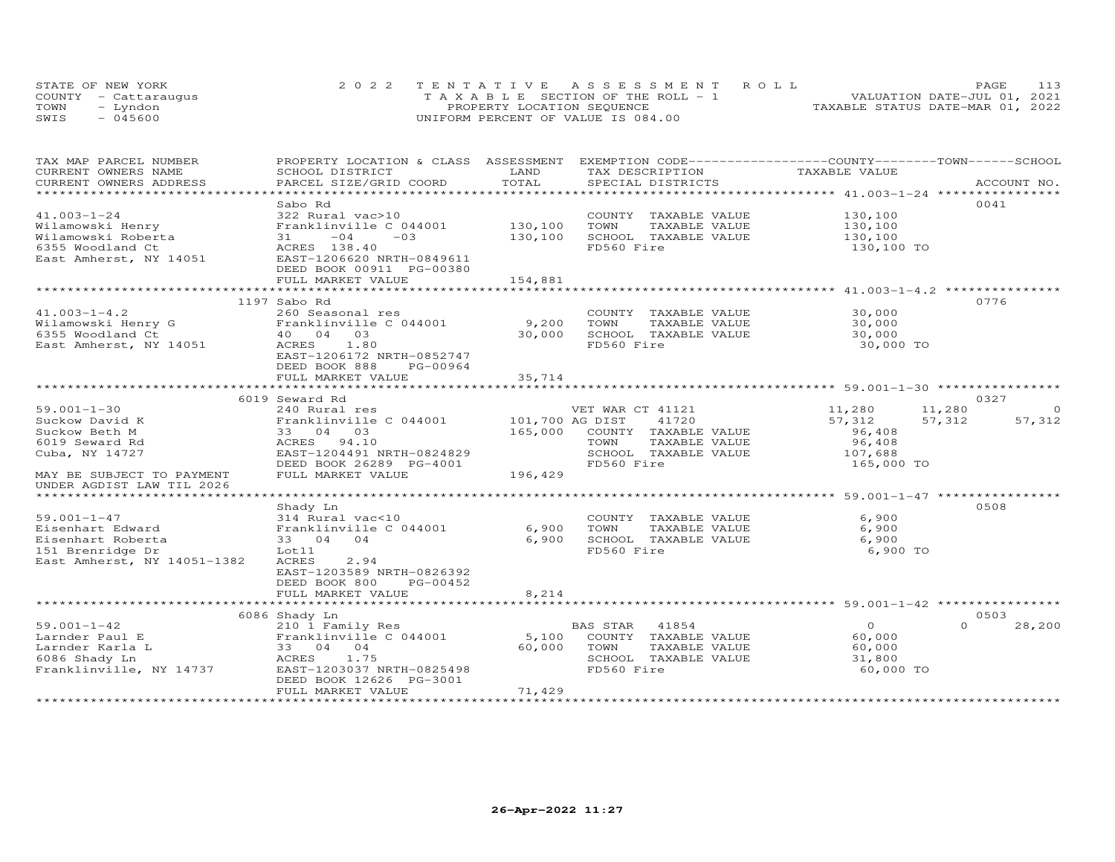| STATE OF NEW YORK    | 2022 TENTATIVE ASSESSMENT ROLL        | 113<br><b>PAGE</b>               |
|----------------------|---------------------------------------|----------------------------------|
| COUNTY - Cattaraugus | T A X A B L E SECTION OF THE ROLL - 1 | VALUATION DATE-JUL 01, 2021      |
| TOWN<br>– Lyndon     | PROPERTY LOCATION SEQUENCE            | TAXABLE STATUS DATE-MAR 01, 2022 |
| SWIS<br>- 045600     | UNIFORM PERCENT OF VALUE IS 084.00    |                                  |

| TAX MAP PARCEL NUMBER                                                                                                                                                                           |                                                                         |         |                       | PROPERTY LOCATION & CLASS ASSESSMENT EXEMPTION CODE----------------COUNTY-------TOWN-----SCHOOL |
|-------------------------------------------------------------------------------------------------------------------------------------------------------------------------------------------------|-------------------------------------------------------------------------|---------|-----------------------|-------------------------------------------------------------------------------------------------|
| CURRENT OWNERS NAME                                                                                                                                                                             | SCHOOL DISTRICT                                                         | LAND    | TAX DESCRIPTION       | TAXABLE VALUE                                                                                   |
| CURRENT OWNERS ADDRESS                                                                                                                                                                          | PARCEL SIZE/GRID COORD                                                  | TOTAL   | SPECIAL DISTRICTS     | ACCOUNT NO.                                                                                     |
|                                                                                                                                                                                                 |                                                                         |         |                       |                                                                                                 |
|                                                                                                                                                                                                 | Sabo Rd                                                                 |         |                       | 0041                                                                                            |
| $41.003 - 1 - 24$                                                                                                                                                                               | 322 Rural vac>10                                                        |         | COUNTY TAXABLE VALUE  | 130,100                                                                                         |
|                                                                                                                                                                                                 | Franklinville C 044001 130,100                                          |         | TAXABLE VALUE<br>TOWN | 130,100                                                                                         |
|                                                                                                                                                                                                 | $31 -04 -03$                                                            | 130,100 | SCHOOL TAXABLE VALUE  | 130,100                                                                                         |
| 41.003-1-24<br>Wilamowski Henry<br>Wilamowski Roberta<br>522 Rural vac<br>Franklinie<br>31 -04<br>522 Rural vac<br>Fast Amherst, NY 14051<br>EAST-1206620 N<br>EAST-1206620 N<br>EAST-1206620 N |                                                                         |         | FD560 Fire            | 130,100 TO                                                                                      |
|                                                                                                                                                                                                 | EAST-1206620 NRTH-0849611                                               |         |                       |                                                                                                 |
|                                                                                                                                                                                                 | DEED BOOK 00911 PG-00380                                                |         |                       |                                                                                                 |
|                                                                                                                                                                                                 | FULL MARKET VALUE                                                       | 154,881 |                       |                                                                                                 |
|                                                                                                                                                                                                 |                                                                         |         |                       | ************************************ 41.003-1-4.2 ******************************                |
|                                                                                                                                                                                                 | 1197 Sabo Rd                                                            |         |                       | 0776                                                                                            |
| $41.003 - 1 - 4.2$                                                                                                                                                                              | 260 Seasonal res                                                        |         | COUNTY TAXABLE VALUE  | 30,000                                                                                          |
| Wilamowski Henry G<br>6355 Woodland Ct<br>East Amherst, NY 14051<br>ACRES 1.80                                                                                                                  |                                                                         | 9,200   | TOWN<br>TAXABLE VALUE | 30,000                                                                                          |
|                                                                                                                                                                                                 |                                                                         | 30,000  | SCHOOL TAXABLE VALUE  | 30,000                                                                                          |
|                                                                                                                                                                                                 |                                                                         |         | FD560 Fire            | 30,000 TO                                                                                       |
|                                                                                                                                                                                                 | EAST-1206172 NRTH-0852747                                               |         |                       |                                                                                                 |
|                                                                                                                                                                                                 | DEED BOOK 888<br>PG-00964                                               |         |                       |                                                                                                 |
|                                                                                                                                                                                                 | FULL MARKET VALUE                                                       | 35,714  |                       |                                                                                                 |
|                                                                                                                                                                                                 |                                                                         |         |                       |                                                                                                 |
|                                                                                                                                                                                                 | 6019 Seward Rd                                                          |         |                       | 0327                                                                                            |
| $59.001 - 1 - 30$                                                                                                                                                                               | 240 Rural res                                                           |         | VET WAR CT 41121      | 11,280<br>11,280<br>$\circ$                                                                     |
| Suckow David K                                                                                                                                                                                  | Franklinville C 044001 101,700 AG DIST                                  |         | 41720                 | 57,312<br>57,312<br>57,312                                                                      |
| Suckow Beth M                                                                                                                                                                                   | 33 04 03                                                                | 165,000 | COUNTY TAXABLE VALUE  | 96,408                                                                                          |
| 6019 Seward Rd                                                                                                                                                                                  | ACRES 94.10                                                             |         | TOWN<br>TAXABLE VALUE | 96,408                                                                                          |
| Cuba, NY 14727                                                                                                                                                                                  | EAST-1204491 NRTH-0824829                                               |         | SCHOOL TAXABLE VALUE  | 107,688                                                                                         |
|                                                                                                                                                                                                 | DEED BOOK 26289 PG-4001                                                 |         | FD560 Fire            | 165,000 TO                                                                                      |
| MAY BE SUBJECT TO PAYMENT                                                                                                                                                                       | FULL MARKET VALUE                                                       | 196,429 |                       |                                                                                                 |
| UNDER AGDIST LAW TIL 2026                                                                                                                                                                       |                                                                         |         |                       |                                                                                                 |
|                                                                                                                                                                                                 |                                                                         |         |                       |                                                                                                 |
|                                                                                                                                                                                                 | Shady Ln                                                                |         |                       | 0508                                                                                            |
| $59.001 - 1 - 47$                                                                                                                                                                               | 314 Rural vac<10                                                        |         | COUNTY TAXABLE VALUE  | 6,900                                                                                           |
| Eisenhart Edward                                                                                                                                                                                | Franklinville C 044001                                                  | 6,900   | TOWN<br>TAXABLE VALUE | 6,900                                                                                           |
| Eisenhart Roberta                                                                                                                                                                               | 33 04 04                                                                | 6,900   | SCHOOL TAXABLE VALUE  | 6,900                                                                                           |
| 151 Brenridge Dr                                                                                                                                                                                | Lot11                                                                   |         | FD560 Fire            | 6,900 TO                                                                                        |
| East Amherst, NY 14051-1382                                                                                                                                                                     | ACRES<br>2.94                                                           |         |                       |                                                                                                 |
|                                                                                                                                                                                                 | EAST-1203589 NRTH-0826392                                               |         |                       |                                                                                                 |
|                                                                                                                                                                                                 | DEED BOOK 800<br>PG-00452                                               |         |                       |                                                                                                 |
|                                                                                                                                                                                                 | FULL MARKET VALUE                                                       | 8,214   |                       |                                                                                                 |
|                                                                                                                                                                                                 |                                                                         |         |                       |                                                                                                 |
|                                                                                                                                                                                                 | 6086 Shady Ln                                                           |         |                       | 0503                                                                                            |
| $59.001 - 1 - 42$                                                                                                                                                                               | 210 1 Family Res                                                        |         | BAS STAR 41854        | $\overline{0}$<br>$\Omega$<br>28,200                                                            |
| Larnder Paul E                                                                                                                                                                                  | --<br>Franklinville<br>33 04 04<br>ACRES 1.75<br>Franklinville C 044001 | 5,100   | COUNTY TAXABLE VALUE  | 60,000                                                                                          |
| Larnder Karla L                                                                                                                                                                                 |                                                                         | 60,000  | TOWN<br>TAXABLE VALUE | 60,000                                                                                          |
| 6086 Shady Ln                                                                                                                                                                                   |                                                                         |         | SCHOOL TAXABLE VALUE  | 31,800                                                                                          |
| Franklinville, NY 14737                                                                                                                                                                         | EAST-1203037 NRTH-0825498                                               |         | FD560 Fire            | 60,000 TO                                                                                       |
|                                                                                                                                                                                                 | DEED BOOK 12626 PG-3001                                                 |         |                       |                                                                                                 |
|                                                                                                                                                                                                 | FULL MARKET VALUE                                                       | 71,429  |                       |                                                                                                 |
|                                                                                                                                                                                                 |                                                                         |         |                       |                                                                                                 |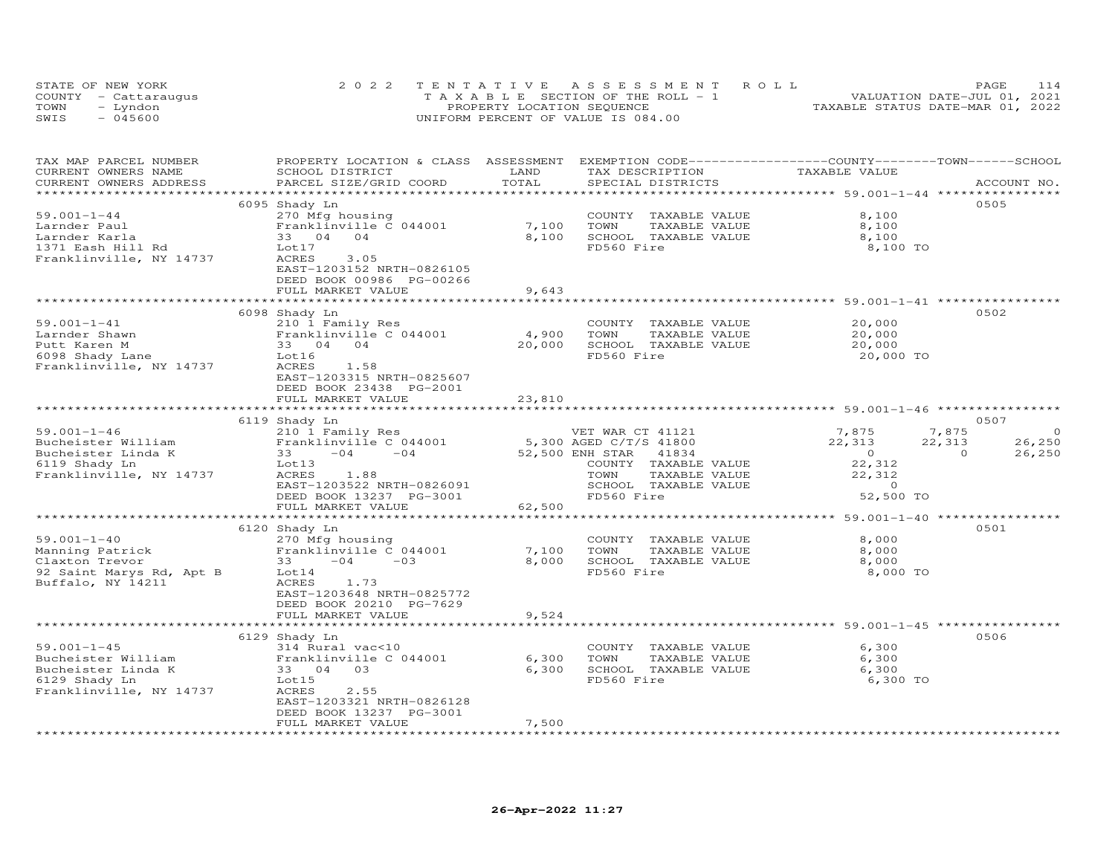|      | STATE OF NEW YORK    | 2022 TENTATIVE ASSESSMENT ROLL        | PAGE                             | 114 |
|------|----------------------|---------------------------------------|----------------------------------|-----|
|      | COUNTY - Cattaraugus | T A X A B L E SECTION OF THE ROLL - 1 | VALUATION DATE-JUL 01, 2021      |     |
| TOWN | - Lyndon             | PROPERTY LOCATION SEQUENCE            | TAXABLE STATUS DATE-MAR 01, 2022 |     |
| SWIS | $-045600$            | UNIFORM PERCENT OF VALUE IS 084.00    |                                  |     |

| TAX MAP PARCEL NUMBER<br>CURRENT OWNERS NAME<br>CURRENT OWNERS ADDRESS | PROPERTY LOCATION & CLASS ASSESSMENT<br>SCHOOL DISTRICT<br>PARCEL SIZE/GRID COORD          | LAND<br>TOTAL   | EXEMPTION CODE-----------------COUNTY-------TOWN-----SCHOOL<br>TAX DESCRIPTION<br>SPECIAL DISTRICTS | TAXABLE VALUE  | ACCOUNT NO.       |
|------------------------------------------------------------------------|--------------------------------------------------------------------------------------------|-----------------|-----------------------------------------------------------------------------------------------------|----------------|-------------------|
|                                                                        |                                                                                            |                 |                                                                                                     |                |                   |
|                                                                        | 6095 Shady Ln                                                                              |                 |                                                                                                     |                | 0505              |
| $59.001 - 1 - 44$                                                      | 270 Mfg housing                                                                            |                 | COUNTY TAXABLE VALUE                                                                                | 8,100          |                   |
| Larnder Paul                                                           | Franklinville C 044001                                                                     | 7,100           | TOWN<br>TAXABLE VALUE                                                                               | 8,100          |                   |
| Larnder Karla                                                          | 33 04 04                                                                                   | 8,100           | SCHOOL TAXABLE VALUE                                                                                | 8,100          |                   |
| 1371 Eash Hill Rd                                                      | Lot17                                                                                      |                 | FD560 Fire                                                                                          | 8,100 TO       |                   |
| Franklinville, NY 14737                                                | ACRES<br>3.05<br>EAST-1203152 NRTH-0826105<br>DEED BOOK 00986 PG-00266                     |                 |                                                                                                     |                |                   |
|                                                                        | FULL MARKET VALUE                                                                          | 9,643           |                                                                                                     |                |                   |
|                                                                        | **************************                                                                 |                 |                                                                                                     |                |                   |
|                                                                        | 6098 Shady Ln                                                                              |                 |                                                                                                     |                | 0502              |
| $59.001 - 1 - 41$                                                      | 210 1 Family Res                                                                           |                 | COUNTY TAXABLE VALUE                                                                                | 20,000         |                   |
| Larnder Shawn                                                          | Franklinville C 044001                                                                     | 4,900           | TOWN<br>TAXABLE VALUE                                                                               | 20,000         |                   |
| Putt Karen M                                                           | 33 04 04                                                                                   | 20,000          | SCHOOL TAXABLE VALUE                                                                                | 20,000         |                   |
| 6098 Shady Lane                                                        | Lot16                                                                                      |                 | FD560 Fire                                                                                          | 20,000 TO      |                   |
| Franklinville, NY 14737                                                | ACRES<br>1.58<br>EAST-1203315 NRTH-0825607<br>DEED BOOK 23438 PG-2001<br>FULL MARKET VALUE | 23,810          |                                                                                                     |                |                   |
|                                                                        |                                                                                            |                 |                                                                                                     |                |                   |
|                                                                        | 6119 Shady Ln                                                                              |                 |                                                                                                     |                | 0507              |
| $59.001 - 1 - 46$                                                      | 210 1 Family Res                                                                           |                 | VET WAR CT 41121                                                                                    | 7,875          | 7,875<br>$\circ$  |
| Bucheister William                                                     | Franklinville C 044001                                                                     |                 | 5,300 AGED C/T/S 41800                                                                              | 22,313         | 22,313<br>26,250  |
| Bucheister Linda K                                                     | 33<br>$-04$<br>$-04$                                                                       | 52,500 ENH STAR | 41834                                                                                               | $\overline{0}$ | $\circ$<br>26,250 |
| 6119 Shady Ln                                                          | Lot13                                                                                      |                 | COUNTY TAXABLE VALUE                                                                                | 22,312         |                   |
| Franklinville, NY 14737                                                | ACRES<br>1.88                                                                              |                 | TAXABLE VALUE<br>TOWN                                                                               | 22,312         |                   |
|                                                                        | EAST-1203522 NRTH-0826091                                                                  |                 | SCHOOL TAXABLE VALUE                                                                                | $\sim$ 0       |                   |
|                                                                        | DEED BOOK 13237 PG-3001                                                                    |                 | FD560 Fire                                                                                          | 52,500 TO      |                   |
|                                                                        | FULL MARKET VALUE                                                                          | 62,500          |                                                                                                     |                |                   |
|                                                                        |                                                                                            |                 |                                                                                                     |                |                   |
|                                                                        | 6120 Shady Ln                                                                              |                 |                                                                                                     |                | 0501              |
| $59.001 - 1 - 40$                                                      | 270 Mfg housing                                                                            |                 | COUNTY TAXABLE VALUE                                                                                | 8,000          |                   |
| Manning Patrick                                                        | Franklinville C 044001                                                                     | 7,100           | TOWN<br>TAXABLE VALUE                                                                               | 8,000          |                   |
| Claxton Trevor                                                         | $33 -04$<br>$-03$                                                                          | 8,000           | SCHOOL TAXABLE VALUE                                                                                | 8,000          |                   |
| 92 Saint Marys Rd, Apt B<br>Buffalo, NY 14211                          | Lot14<br>ACRES<br>1.73<br>EAST-1203648 NRTH-0825772                                        |                 | FD560 Fire                                                                                          | 8,000 TO       |                   |
|                                                                        | DEED BOOK 20210 PG-7629                                                                    |                 |                                                                                                     |                |                   |
|                                                                        | FULL MARKET VALUE                                                                          | 9,524           |                                                                                                     |                |                   |
|                                                                        |                                                                                            |                 |                                                                                                     |                |                   |
|                                                                        | 6129 Shady Ln                                                                              |                 |                                                                                                     |                | 0506              |
| $59.001 - 1 - 45$                                                      | 314 Rural vac<10                                                                           |                 | COUNTY TAXABLE VALUE                                                                                | 6,300          |                   |
| Bucheister William                                                     | Franklinville C 044001                                                                     | 6,300           | TOWN<br>TAXABLE VALUE                                                                               | 6,300          |                   |
| Bucheister Linda K                                                     | 33 04 03                                                                                   | 6,300           | SCHOOL TAXABLE VALUE                                                                                | 6,300          |                   |
| 6129 Shady Ln                                                          | Lot15                                                                                      |                 | FD560 Fire                                                                                          | 6,300 TO       |                   |
| Franklinville, NY 14737                                                | ACRES<br>2.55                                                                              |                 |                                                                                                     |                |                   |
|                                                                        | EAST-1203321 NRTH-0826128                                                                  |                 |                                                                                                     |                |                   |
|                                                                        | DEED BOOK 13237 PG-3001                                                                    |                 |                                                                                                     |                |                   |
|                                                                        | FULL MARKET VALUE                                                                          | 7,500           |                                                                                                     |                |                   |
|                                                                        |                                                                                            |                 |                                                                                                     |                |                   |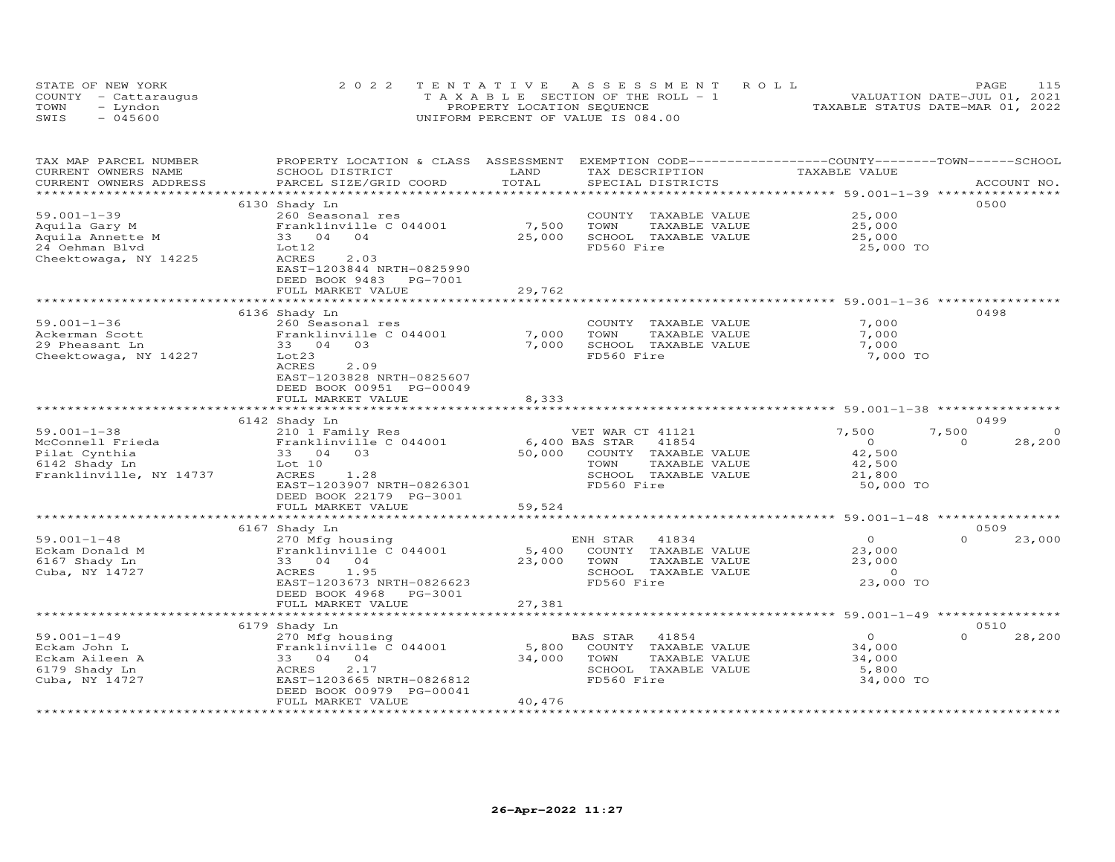| STATE OF NEW YORK    | 2022 TENTATIVE ASSESSMENT ROLL        | PAGE.                            | 115 |
|----------------------|---------------------------------------|----------------------------------|-----|
| COUNTY - Cattaraugus | T A X A B L E SECTION OF THE ROLL - 1 | VALUATION DATE-JUL 01, 2021      |     |
| TOWN<br>- Lyndon     | PROPERTY LOCATION SEQUENCE            | TAXABLE STATUS DATE-MAR 01, 2022 |     |
| $-045600$<br>SWIS    | UNIFORM PERCENT OF VALUE IS 084.00    |                                  |     |

| TAX MAP PARCEL NUMBER<br>CURRENT OWNERS NAME | PROPERTY LOCATION & CLASS ASSESSMENT<br>SCHOOL DISTRICT | LAND           | EXEMPTION CODE------------------COUNTY-------TOWN-----SCHOOL<br>TAX DESCRIPTION | TAXABLE VALUE     |                                         |
|----------------------------------------------|---------------------------------------------------------|----------------|---------------------------------------------------------------------------------|-------------------|-----------------------------------------|
| CURRENT OWNERS ADDRESS                       | PARCEL SIZE/GRID COORD                                  | TOTAL          | SPECIAL DISTRICTS                                                               |                   | ACCOUNT NO.                             |
| ***********************                      | *****************************                           |                |                                                                                 |                   |                                         |
|                                              | 6130 Shady Ln                                           |                |                                                                                 |                   | 0500                                    |
| $59.001 - 1 - 39$                            | 260 Seasonal res                                        |                | COUNTY<br>TAXABLE VALUE                                                         | 25,000            |                                         |
| Aquila Gary M                                | Franklinville C 044001                                  | 7,500          | TAXABLE VALUE<br>TOWN                                                           | 25,000            |                                         |
| Aquila Annette M                             | 33 04<br>04                                             | 25,000         | SCHOOL<br>TAXABLE VALUE                                                         | 25,000            |                                         |
| 24 Oehman Blvd                               | Lot12                                                   |                | FD560 Fire                                                                      | 25,000 TO         |                                         |
| Cheektowaga, NY 14225                        | <b>ACRES</b><br>2.03                                    |                |                                                                                 |                   |                                         |
|                                              | EAST-1203844 NRTH-0825990<br>DEED BOOK 9483<br>PG-7001  |                |                                                                                 |                   |                                         |
|                                              | FULL MARKET VALUE                                       | 29,762         |                                                                                 |                   |                                         |
|                                              | ****************                                        | ************** | ******************************** 59.001-1-36 **********                         |                   |                                         |
|                                              | 6136 Shady Ln                                           |                |                                                                                 |                   | 0498                                    |
| $59.001 - 1 - 36$                            | 260 Seasonal res                                        |                | COUNTY<br>TAXABLE VALUE                                                         | 7,000             |                                         |
| Ackerman Scott                               | Franklinville C 044001                                  | 7,000          | TOWN<br>TAXABLE VALUE                                                           | 7,000             |                                         |
| 29 Pheasant Ln                               | 03<br>33 04                                             | 7,000          | SCHOOL TAXABLE VALUE                                                            | 7,000             |                                         |
| Cheektowaga, NY 14227                        | Lot23                                                   |                | FD560 Fire                                                                      | 7,000 TO          |                                         |
|                                              | <b>ACRES</b><br>2.09                                    |                |                                                                                 |                   |                                         |
|                                              | EAST-1203828 NRTH-0825607                               |                |                                                                                 |                   |                                         |
|                                              | DEED BOOK 00951 PG-00049                                |                |                                                                                 |                   |                                         |
|                                              | FULL MARKET VALUE                                       | 8,333          |                                                                                 |                   |                                         |
|                                              |                                                         |                |                                                                                 |                   |                                         |
|                                              | 6142 Shady Ln                                           |                |                                                                                 |                   | 0499                                    |
| $59.001 - 1 - 38$<br>McConnell Frieda        | 210 1 Family Res<br>Franklinville C 044001              |                | VET WAR CT 41121<br>6,400 BAS STAR<br>41854                                     | 7,500<br>$\Omega$ | 7,500<br>$\Omega$<br>28,200<br>$\Omega$ |
| Pilat Cynthia                                | 33 04<br>0.3                                            | 50,000         | COUNTY<br>TAXABLE VALUE                                                         | 42,500            |                                         |
| 6142 Shady Ln                                | Lot 10                                                  |                | TAXABLE VALUE<br>TOWN                                                           | 42,500            |                                         |
| Franklinville, NY 14737                      | ACRES<br>1.28                                           |                | SCHOOL TAXABLE VALUE                                                            | 21,800            |                                         |
|                                              | EAST-1203907 NRTH-0826301                               |                | FD560 Fire                                                                      | 50,000 TO         |                                         |
|                                              | DEED BOOK 22179 PG-3001                                 |                |                                                                                 |                   |                                         |
|                                              | FULL MARKET VALUE                                       | 59,524         |                                                                                 |                   |                                         |
|                                              |                                                         |                |                                                                                 |                   |                                         |
|                                              | 6167 Shady Ln                                           |                |                                                                                 |                   | 0509                                    |
| $59.001 - 1 - 48$                            | 270 Mfg housing                                         |                | ENH STAR<br>41834                                                               | $\circ$           | $\Omega$<br>23,000                      |
| Eckam Donald M                               | Franklinville C 044001                                  | 5,400          | COUNTY<br>TAXABLE VALUE                                                         | 23,000            |                                         |
| 6167 Shady Ln                                | 33 04<br>04                                             | 23,000         | TOWN<br>TAXABLE VALUE                                                           | 23,000            |                                         |
| Cuba, NY 14727                               | ACRES<br>1.95                                           |                | SCHOOL TAXABLE VALUE                                                            | $\circ$           |                                         |
|                                              | EAST-1203673 NRTH-0826623                               |                | FD560 Fire                                                                      | 23,000 TO         |                                         |
|                                              | DEED BOOK 4968<br>PG-3001                               |                |                                                                                 |                   |                                         |
|                                              | FULL MARKET VALUE                                       | 27,381         |                                                                                 |                   |                                         |
|                                              |                                                         |                |                                                                                 |                   | 0510                                    |
| $59.001 - 1 - 49$                            | 6179 Shady Ln                                           |                | BAS STAR<br>41854                                                               | $\circ$           | 28,200<br>$\Omega$                      |
| Eckam John L                                 | 270 Mfg housing<br>Franklinville C 044001               | 5,800          | COUNTY TAXABLE VALUE                                                            | 34,000            |                                         |
| Eckam Aileen A                               | 33 04<br>04                                             | 34,000         | TOWN<br>TAXABLE VALUE                                                           | 34,000            |                                         |
| 6179 Shady Ln                                | <b>ACRES</b><br>2.17                                    |                | SCHOOL<br>TAXABLE VALUE                                                         | 5,800             |                                         |
| Cuba, NY 14727                               | EAST-1203665 NRTH-0826812                               |                | FD560 Fire                                                                      | 34,000 TO         |                                         |
|                                              | DEED BOOK 00979 PG-00041                                |                |                                                                                 |                   |                                         |
|                                              | FULL MARKET VALUE                                       | 40,476         |                                                                                 |                   |                                         |
|                                              |                                                         |                |                                                                                 |                   |                                         |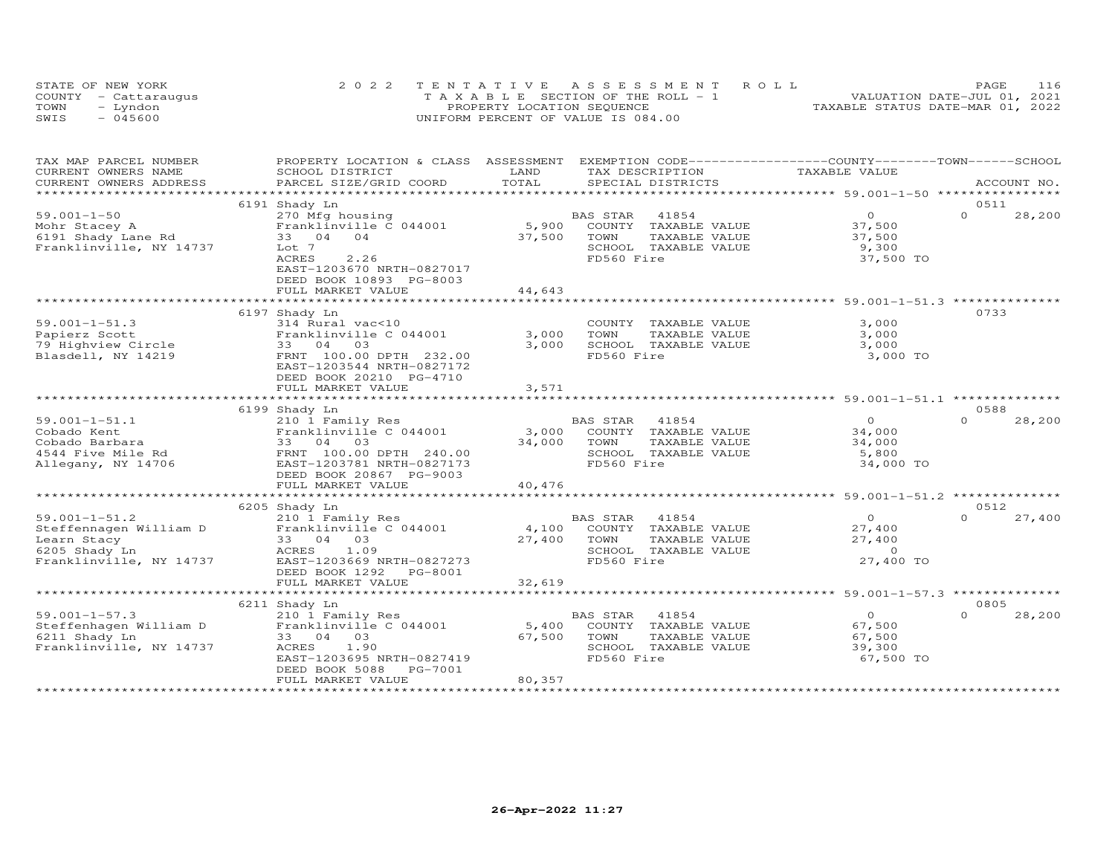| STATE OF NEW YORK    |          | 2022 TENTATIVE ASSESSMENT ROLL        |  |                                  | <b>PAGE</b> | 116 |
|----------------------|----------|---------------------------------------|--|----------------------------------|-------------|-----|
| COUNTY - Cattaraugus |          | T A X A B L E SECTION OF THE ROLL - 1 |  | VALUATION DATE-JUL 01, 2021      |             |     |
| TOWN                 | - Lyndon | PROPERTY LOCATION SEQUENCE            |  | TAXABLE STATUS DATE-MAR 01, 2022 |             |     |
| SWIS                 | - 045600 | UNIFORM PERCENT OF VALUE IS 084.00    |  |                                  |             |     |

| TAX MAP PARCEL NUMBER<br>CURRENT OWNERS NAME | PROPERTY LOCATION & CLASS ASSESSMENT<br>SCHOOL DISTRICT | LAND          | EXEMPTION CODE-----------------COUNTY-------TOWN------SCHOOL<br>TAX DESCRIPTION | TAXABLE VALUE                                         |                    |
|----------------------------------------------|---------------------------------------------------------|---------------|---------------------------------------------------------------------------------|-------------------------------------------------------|--------------------|
| CURRENT OWNERS ADDRESS                       | PARCEL SIZE/GRID COORD                                  | TOTAL         | SPECIAL DISTRICTS                                                               |                                                       | ACCOUNT NO.        |
| *************************                    |                                                         |               |                                                                                 |                                                       |                    |
|                                              | 6191 Shady Ln                                           |               |                                                                                 |                                                       | 0511               |
| $59.001 - 1 - 50$                            | 270 Mfg housing                                         |               | 41854<br>BAS STAR                                                               | $\overline{O}$                                        | $\Omega$<br>28,200 |
| Mohr Stacey A                                | Franklinville C 044001                                  | 5,900         | COUNTY TAXABLE VALUE                                                            | 37,500                                                |                    |
| 6191 Shady Lane Rd                           | 33 04 04                                                | 37,500        | TOWN<br>TAXABLE VALUE                                                           | 37,500                                                |                    |
| Franklinville, NY 14737                      | Lot 7                                                   |               | SCHOOL TAXABLE VALUE                                                            | 9,300                                                 |                    |
|                                              | 2.26<br>ACRES                                           |               | FD560 Fire                                                                      | 37,500 TO                                             |                    |
|                                              | EAST-1203670 NRTH-0827017                               |               |                                                                                 |                                                       |                    |
|                                              | DEED BOOK 10893 PG-8003                                 |               |                                                                                 |                                                       |                    |
|                                              | FULL MARKET VALUE                                       | 44,643        |                                                                                 |                                                       |                    |
|                                              |                                                         |               |                                                                                 |                                                       |                    |
|                                              | 6197 Shady Ln                                           |               |                                                                                 |                                                       | 0733               |
| $59.001 - 1 - 51.3$                          | 314 Rural vac<10                                        |               | COUNTY TAXABLE VALUE                                                            | 3,000                                                 |                    |
| Papierz Scott                                | Franklinville C 044001                                  | 3,000         | TOWN<br>TAXABLE VALUE                                                           | 3,000                                                 |                    |
| 79 Highview Circle                           | 33 04 03                                                | 3,000         | SCHOOL TAXABLE VALUE                                                            | 3,000                                                 |                    |
| Blasdell, NY 14219                           | FRNT 100.00 DPTH 232.00                                 |               | FD560 Fire                                                                      | 3,000 TO                                              |                    |
|                                              | EAST-1203544 NRTH-0827172                               |               |                                                                                 |                                                       |                    |
|                                              | DEED BOOK 20210 PG-4710                                 |               |                                                                                 |                                                       |                    |
|                                              | FULL MARKET VALUE                                       | 3,571         |                                                                                 |                                                       |                    |
|                                              |                                                         |               |                                                                                 |                                                       |                    |
|                                              | 6199 Shady Ln                                           |               |                                                                                 |                                                       | 0588               |
| $59.001 - 1 - 51.1$                          | 210 1 Family Res                                        |               | BAS STAR 41854                                                                  | $\Omega$                                              | $\Omega$<br>28,200 |
| Cobado Kent                                  | Franklinville C 044001                                  | 3,000         | COUNTY TAXABLE VALUE                                                            | 34,000                                                |                    |
|                                              |                                                         | 34,000        | TOWN<br>TAXABLE VALUE                                                           | 34,000                                                |                    |
|                                              |                                                         |               | SCHOOL TAXABLE VALUE                                                            | 5,800                                                 |                    |
|                                              |                                                         |               | FD560 Fire                                                                      | 34,000 TO                                             |                    |
|                                              |                                                         |               |                                                                                 |                                                       |                    |
|                                              | FULL MARKET VALUE                                       | 40,476        |                                                                                 |                                                       |                    |
|                                              | ****************************                            | ************* |                                                                                 | *********************** 59.001-1-51.2 *************** |                    |
|                                              | 6205 Shady Ln                                           |               |                                                                                 |                                                       | 0512               |
| $59.001 - 1 - 51.2$                          | 210 1 Family Res                                        |               | BAS STAR<br>41854                                                               | $\overline{O}$                                        | $\Omega$<br>27,400 |
| Steffennagen William D                       | Franklinville C 044001                                  | 4,100         | COUNTY TAXABLE VALUE                                                            | 27,400                                                |                    |
| Learn Stacy                                  | 33 04 03                                                | 27,400        | TOWN<br>TAXABLE VALUE                                                           | 27,400                                                |                    |
| 6205 Shady Ln                                | ACRES<br>1.09                                           |               | SCHOOL TAXABLE VALUE                                                            | $\overline{0}$                                        |                    |
| Franklinville, NY 14737                      | EAST-1203669 NRTH-0827273                               |               | FD560 Fire                                                                      | 27,400 TO                                             |                    |
|                                              | DEED BOOK 1292 PG-8001                                  |               |                                                                                 |                                                       |                    |
|                                              | FULL MARKET VALUE                                       | 32,619        |                                                                                 |                                                       |                    |
|                                              |                                                         |               |                                                                                 |                                                       |                    |
|                                              | 6211 Shady Ln                                           |               |                                                                                 |                                                       | 0805               |
| $59.001 - 1 - 57.3$                          | 210 1 Family Res                                        |               | BAS STAR<br>41854                                                               | $\overline{O}$                                        | $\Omega$<br>28,200 |
| Steffenhagen William D                       | Franklinville C 044001                                  | 5,400         | COUNTY TAXABLE VALUE                                                            | 67,500                                                |                    |
|                                              |                                                         |               |                                                                                 |                                                       |                    |
| 6211 Shady Ln<br>Franklinville, NY 14737     | 33 04 03                                                | 67,500        | TOWN<br>TAXABLE VALUE<br>SCHOOL TAXABLE VALUE                                   | 67,500                                                |                    |
|                                              | ACRES<br>1.90                                           |               |                                                                                 | 39,300                                                |                    |
|                                              | EAST-1203695 NRTH-0827419                               |               | FD560 Fire                                                                      | 67,500 TO                                             |                    |
|                                              | DEED BOOK 5088<br>PG-7001                               |               |                                                                                 |                                                       |                    |
|                                              | FULL MARKET VALUE                                       | 80,357        |                                                                                 |                                                       |                    |
|                                              |                                                         |               |                                                                                 |                                                       |                    |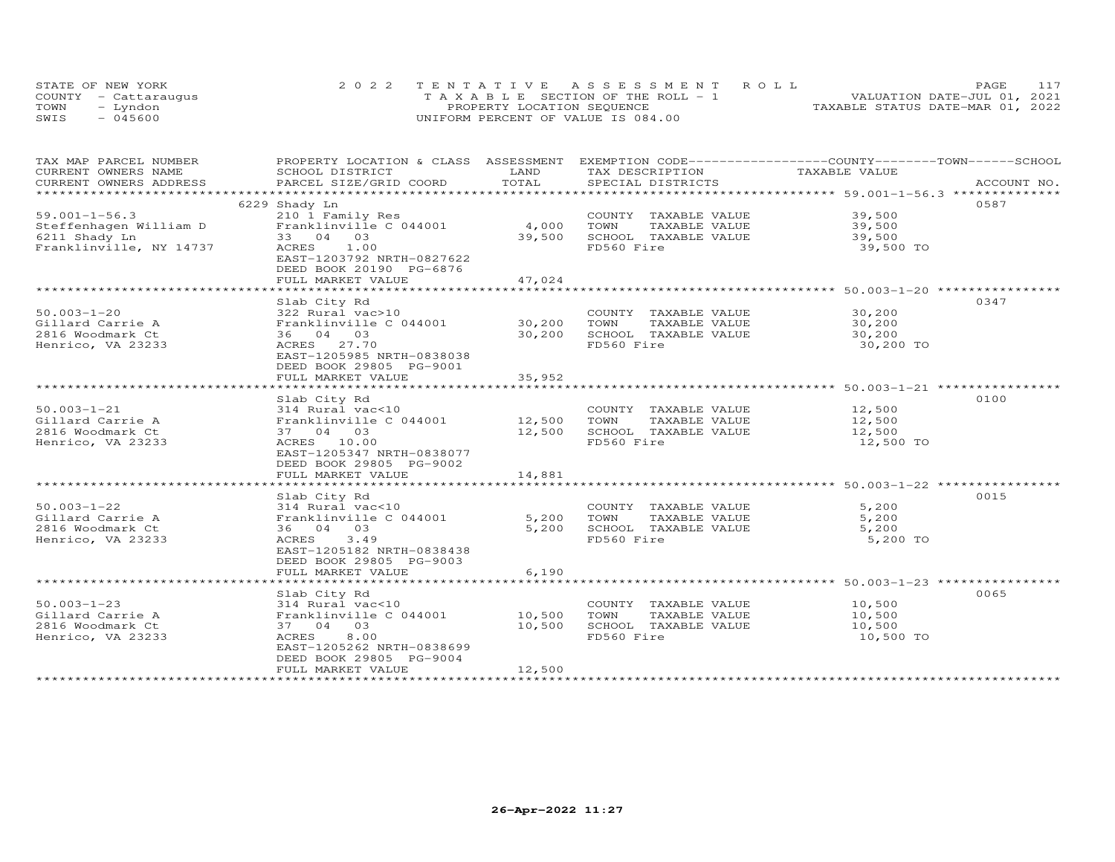| STATE OF NEW YORK    | 2022 TENTATIVE ASSESSMENT ROLL        | 117<br>PAGE                      |
|----------------------|---------------------------------------|----------------------------------|
| COUNTY - Cattaraugus | T A X A B L E SECTION OF THE ROLL - 1 | VALUATION DATE-JUL 01, 2021      |
| TOWN<br>– Lyndon     | PROPERTY LOCATION SEQUENCE            | TAXABLE STATUS DATE-MAR 01, 2022 |
| SWIS<br>- 045600     | UNIFORM PERCENT OF VALUE IS 084.00    |                                  |

| TAX MAP PARCEL NUMBER                                          | PROPERTY LOCATION & CLASS ASSESSMENT |        | EXEMPTION CODE-----------------COUNTY-------TOWN------SCHOOL |               |             |
|----------------------------------------------------------------|--------------------------------------|--------|--------------------------------------------------------------|---------------|-------------|
| CURRENT OWNERS NAME                                            | SCHOOL DISTRICT                      | LAND   | TAX DESCRIPTION                                              | TAXABLE VALUE |             |
| CURRENT OWNERS ADDRESS                                         | PARCEL SIZE/GRID COORD               | TOTAL  | SPECIAL DISTRICTS                                            |               | ACCOUNT NO. |
|                                                                |                                      |        |                                                              |               |             |
|                                                                | 6229 Shady Ln                        |        |                                                              |               | 0587        |
| $59.001 - 1 - 56.3$<br>59.001-1-56.3<br>Steffenhagen William D | 210 1 Family Res                     |        | COUNTY TAXABLE VALUE                                         | 39,500        |             |
|                                                                | Franklinville C 044001               | 4,000  | TOWN<br>TAXABLE VALUE                                        | 39,500        |             |
| 6211 Shady Ln                                                  | 33 04 03                             | 39,500 | SCHOOL TAXABLE VALUE                                         | 39,500        |             |
| Franklinville, NY 14737                                        | ACRES 1.00                           |        | FD560 Fire                                                   | 39,500 TO     |             |
|                                                                | EAST-1203792 NRTH-0827622            |        |                                                              |               |             |
|                                                                | DEED BOOK 20190 PG-6876              |        |                                                              |               |             |
|                                                                | FULL MARKET VALUE                    | 47,024 |                                                              |               |             |
|                                                                |                                      |        |                                                              |               |             |
|                                                                | Slab City Rd                         |        |                                                              |               | 0347        |
| $50.003 - 1 - 20$                                              | 322 Rural vac>10                     |        | COUNTY TAXABLE VALUE                                         | 30,200        |             |
| Gillard Carrie A                                               | Franklinville C 044001               | 30,200 | TOWN<br>TAXABLE VALUE                                        | 30,200        |             |
| 2816 Woodmark Ct                                               | 36 04 03                             | 30,200 | SCHOOL TAXABLE VALUE                                         | 30,200        |             |
| Henrico, VA 23233                                              | ACRES 27.70                          |        | FD560 Fire                                                   | 30,200 TO     |             |
|                                                                | EAST-1205985 NRTH-0838038            |        |                                                              |               |             |
|                                                                | DEED BOOK 29805 PG-9001              |        |                                                              |               |             |
|                                                                | FULL MARKET VALUE                    | 35,952 |                                                              |               |             |
|                                                                |                                      |        |                                                              |               |             |
|                                                                | Slab City Rd                         |        |                                                              |               | 0100        |
| $50.003 - 1 - 21$                                              | 314 Rural vac<10                     |        | COUNTY TAXABLE VALUE                                         | 12,500        |             |
| Gillard Carrie A                                               | Franklinville C 044001               | 12,500 | TOWN<br>TAXABLE VALUE                                        | 12,500        |             |
| 2816 Woodmark Ct                                               | 37 04 03                             | 12,500 | SCHOOL TAXABLE VALUE                                         | 12,500        |             |
| Henrico, VA 23233                                              | ACRES 10.00                          |        | FD560 Fire                                                   | 12,500 TO     |             |
|                                                                | EAST-1205347 NRTH-0838077            |        |                                                              |               |             |
|                                                                | DEED BOOK 29805 PG-9002              |        |                                                              |               |             |
|                                                                | FULL MARKET VALUE                    | 14,881 |                                                              |               |             |
|                                                                |                                      |        |                                                              |               |             |
|                                                                | Slab City Rd                         |        |                                                              |               | 0015        |
| $50.003 - 1 - 22$                                              | 314 Rural vac<10                     |        | COUNTY TAXABLE VALUE                                         | 5,200         |             |
| Gillard Carrie A                                               | Franklinville C 044001               | 5,200  | TOWN<br>TAXABLE VALUE                                        | 5,200         |             |
| 2816 Woodmark Ct                                               | 36 04 03                             | 5,200  | SCHOOL TAXABLE VALUE                                         | 5,200         |             |
| Henrico, VA 23233                                              | 3.49<br>ACRES                        |        | FD560 Fire                                                   | 5,200 TO      |             |
|                                                                | EAST-1205182 NRTH-0838438            |        |                                                              |               |             |
|                                                                | DEED BOOK 29805 PG-9003              |        |                                                              |               |             |
|                                                                | FULL MARKET VALUE                    | 6,190  |                                                              |               |             |
|                                                                |                                      |        |                                                              |               |             |
|                                                                | Slab City Rd                         |        |                                                              |               | 0065        |
| $50.003 - 1 - 23$                                              | 314 Rural vac<10                     |        | COUNTY TAXABLE VALUE                                         | 10,500        |             |
| Gillard Carrie A                                               | Franklinville C 044001               | 10,500 | TOWN<br>TAXABLE VALUE                                        | 10,500        |             |
| 2816 Woodmark Ct                                               | 37 04 03                             | 10,500 | SCHOOL TAXABLE VALUE                                         | 10,500        |             |
| Henrico, VA 23233                                              | 8.00<br>ACRES                        |        | FD560 Fire                                                   | 10,500 TO     |             |
|                                                                | EAST-1205262 NRTH-0838699            |        |                                                              |               |             |
|                                                                | DEED BOOK 29805 PG-9004              |        |                                                              |               |             |
|                                                                | FULL MARKET VALUE                    | 12,500 |                                                              |               |             |
|                                                                |                                      |        |                                                              |               |             |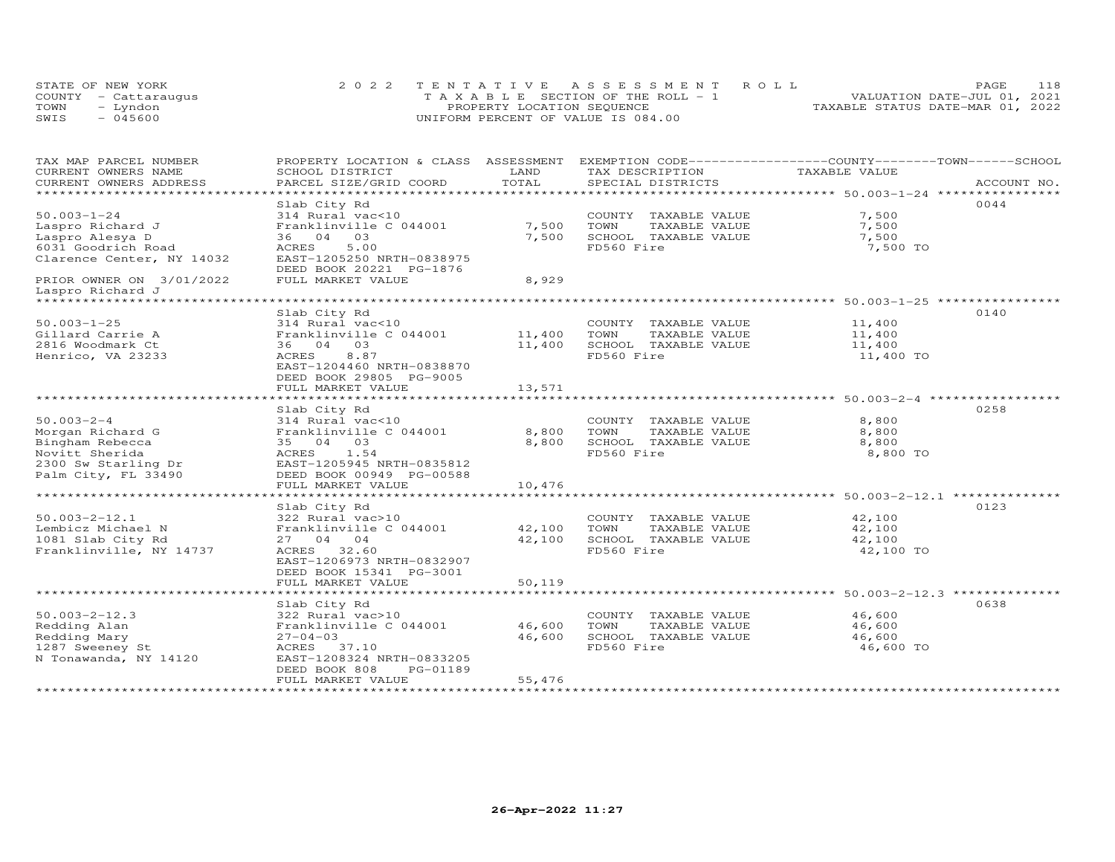|      | STATE OF NEW YORK    | 2022 TENTATIVE ASSESSMENT ROLL        | 118<br><b>PAGE</b>               |
|------|----------------------|---------------------------------------|----------------------------------|
|      | COUNTY - Cattaraugus | T A X A B L E SECTION OF THE ROLL - 1 | VALUATION DATE-JUL 01, 2021      |
| TOWN | – Lyndon             | PROPERTY LOCATION SEQUENCE            | TAXABLE STATUS DATE-MAR 01, 2022 |
| SWIS | $-045600$            | UNIFORM PERCENT OF VALUE IS 084.00    |                                  |

| TAX MAP PARCEL NUMBER<br>CURRENT OWNERS NAME | PROPERTY LOCATION & CLASS ASSESSMENT<br>SCHOOL DISTRICT | LAND        | EXEMPTION CODE-----------------COUNTY-------TOWN------SCHOOL<br>TAX DESCRIPTION | TAXABLE VALUE |             |
|----------------------------------------------|---------------------------------------------------------|-------------|---------------------------------------------------------------------------------|---------------|-------------|
| CURRENT OWNERS ADDRESS                       | PARCEL SIZE/GRID COORD                                  | TOTAL       | SPECIAL DISTRICTS                                                               |               | ACCOUNT NO. |
| *********************                        |                                                         |             |                                                                                 |               |             |
|                                              |                                                         |             |                                                                                 |               | 0044        |
| $50.003 - 1 - 24$                            | Slab City Rd                                            |             |                                                                                 | 7,500         |             |
|                                              | 314 Rural vac<10                                        |             | COUNTY TAXABLE VALUE                                                            |               |             |
| Laspro Richard J                             | Franklinville C 044001                                  | 7,500       | TOWN<br>TAXABLE VALUE                                                           | 7,500         |             |
| Laspro Alesya D                              | 36 04 03                                                | 7,500       | SCHOOL TAXABLE VALUE                                                            | 7,500         |             |
| 6031 Goodrich Road                           | 5.00<br>ACRES                                           |             | FD560 Fire                                                                      | 7,500 TO      |             |
| Clarence Center, NY 14032                    | EAST-1205250 NRTH-0838975                               |             |                                                                                 |               |             |
|                                              | DEED BOOK 20221 PG-1876                                 |             |                                                                                 |               |             |
| PRIOR OWNER ON 3/01/2022                     | FULL MARKET VALUE                                       | 8,929       |                                                                                 |               |             |
| Laspro Richard J                             |                                                         |             |                                                                                 |               |             |
| ********************                         |                                                         |             |                                                                                 |               |             |
|                                              | Slab City Rd                                            |             |                                                                                 |               | 0140        |
| $50.003 - 1 - 25$                            | 314 Rural vac<10                                        |             | COUNTY TAXABLE VALUE                                                            | 11,400        |             |
| Gillard Carrie A                             | Franklinville C 044001                                  | 11,400 TOWN | TAXABLE VALUE                                                                   | 11,400        |             |
| 2816 Woodmark Ct                             | 36 04 03                                                | 11,400      | SCHOOL TAXABLE VALUE                                                            | 11,400        |             |
| Henrico, VA 23233                            | 8.87<br>ACRES                                           |             | FD560 Fire                                                                      | 11,400 TO     |             |
|                                              | EAST-1204460 NRTH-0838870                               |             |                                                                                 |               |             |
|                                              | DEED BOOK 29805 PG-9005                                 |             |                                                                                 |               |             |
|                                              | FULL MARKET VALUE                                       | 13,571      |                                                                                 |               |             |
|                                              |                                                         |             |                                                                                 |               |             |
|                                              | Slab City Rd                                            |             |                                                                                 |               | 0258        |
| $50.003 - 2 - 4$                             | 314 Rural vac<10                                        |             | COUNTY TAXABLE VALUE                                                            | 8,800         |             |
| Morgan Richard G                             | Franklinville C 044001                                  | 8,800       | TOWN<br>TAXABLE VALUE                                                           | 8,800         |             |
| Bingham Rebecca                              | 35 04 03                                                | 8,800       | SCHOOL TAXABLE VALUE                                                            | 8,800         |             |
| Novitt Sherida                               | ACRES 1.54                                              |             | FD560 Fire                                                                      | 8,800 TO      |             |
| 2300 Sw Starling Dr                          | EAST-1205945 NRTH-0835812                               |             |                                                                                 |               |             |
| Palm City, FL 33490                          | DEED BOOK 00949 PG-00588                                |             |                                                                                 |               |             |
|                                              |                                                         | 10,476      |                                                                                 |               |             |
|                                              | FULL MARKET VALUE                                       |             |                                                                                 |               |             |
|                                              |                                                         |             |                                                                                 |               |             |
|                                              | Slab City Rd                                            |             |                                                                                 |               | 0123        |
| $50.003 - 2 - 12.1$                          | 322 Rural vac>10                                        |             | COUNTY TAXABLE VALUE 42,100                                                     |               |             |
| Lembicz Michael N                            | Franklinville C 044001 42,100                           |             | TOWN<br>TAXABLE VALUE                                                           | 42,100        |             |
| 1081 Slab City Rd                            | 27 04 04                                                | 42,100      | SCHOOL TAXABLE VALUE                                                            | 42,100        |             |
| Franklinville, NY 14737                      | ACRES 32.60                                             |             | FD560 Fire                                                                      | 42,100 TO     |             |
|                                              | EAST-1206973 NRTH-0832907                               |             |                                                                                 |               |             |
|                                              | DEED BOOK 15341 PG-3001                                 |             |                                                                                 |               |             |
|                                              | FULL MARKET VALUE                                       | 50,119      |                                                                                 |               |             |
|                                              |                                                         |             |                                                                                 |               |             |
|                                              | Slab City Rd                                            |             |                                                                                 |               | 0638        |
| $50.003 - 2 - 12.3$                          | 322 Rural vac>10                                        |             | COUNTY TAXABLE VALUE                                                            | 46,600        |             |
| Redding Alan                                 | Franklinville C 044001 46,600                           |             | TOWN<br>TAXABLE VALUE                                                           | 46,600        |             |
| Redding Mary                                 | $27 - 04 - 03$                                          | 46,600      | SCHOOL TAXABLE VALUE                                                            | 46,600        |             |
| 1287 Sweeney St                              | ACRES 37.10                                             |             | FD560 Fire                                                                      | 46,600 TO     |             |
| N Tonawanda, NY 14120                        | EAST-1208324 NRTH-0833205                               |             |                                                                                 |               |             |
|                                              | DEED BOOK 808<br>PG-01189                               |             |                                                                                 |               |             |
|                                              | FULL MARKET VALUE                                       | 55,476      |                                                                                 |               |             |
|                                              |                                                         |             |                                                                                 |               |             |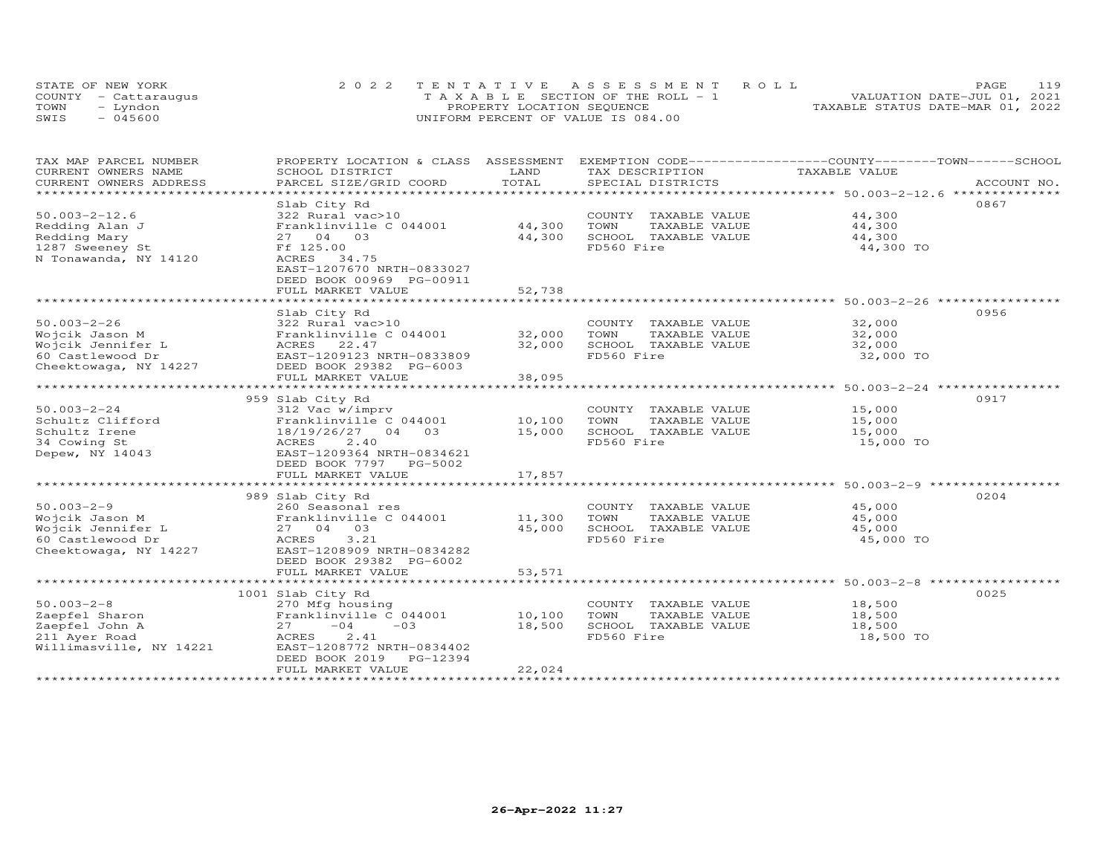| STATE OF NEW YORK    |           | 2022 TENTATIVE ASSESSMENT ROLL        |  |                                  | <b>PAGE</b>                 | 119 |
|----------------------|-----------|---------------------------------------|--|----------------------------------|-----------------------------|-----|
| COUNTY - Cattaraugus |           | T A X A B L E SECTION OF THE ROLL - 1 |  |                                  | VALUATION DATE-JUL 01, 2021 |     |
| TOWN                 | – Lyndon  | PROPERTY LOCATION SEQUENCE            |  | TAXABLE STATUS DATE-MAR 01, 2022 |                             |     |
| SWIS                 | $-045600$ | UNIFORM PERCENT OF VALUE IS 084.00    |  |                                  |                             |     |

| TAX MAP PARCEL NUMBER<br>CURRENT OWNERS NAME      | PROPERTY LOCATION & CLASS<br>SCHOOL DISTRICT                                              | ASSESSMENT<br>LAND | EXEMPTION CODE-----------------COUNTY-------TOWN------SCHOOL<br>TAX DESCRIPTION | TAXABLE VALUE                            |             |
|---------------------------------------------------|-------------------------------------------------------------------------------------------|--------------------|---------------------------------------------------------------------------------|------------------------------------------|-------------|
| CURRENT OWNERS ADDRESS<br>*********************** | PARCEL SIZE/GRID COORD                                                                    | TOTAL              | SPECIAL DISTRICTS                                                               |                                          | ACCOUNT NO. |
|                                                   | Slab City Rd                                                                              |                    |                                                                                 |                                          | 0867        |
| $50.003 - 2 - 12.6$                               | 322 Rural vac>10                                                                          |                    | COUNTY TAXABLE VALUE                                                            | 44,300                                   |             |
| Redding Alan J                                    | Franklinville C 044001                                                                    | 44,300             | TOWN<br>TAXABLE VALUE                                                           | 44,300                                   |             |
| Redding Mary                                      | 27 04 03                                                                                  | 44,300             | SCHOOL TAXABLE VALUE                                                            | 44,300                                   |             |
| 1287 Sweeney St                                   | Ff 125.00                                                                                 |                    | FD560 Fire                                                                      | 44,300 TO                                |             |
| N Tonawanda, NY 14120                             | ACRES 34.75<br>EAST-1207670 NRTH-0833027<br>DEED BOOK 00969 PG-00911<br>FULL MARKET VALUE | 52,738             |                                                                                 |                                          |             |
|                                                   | ************************                                                                  |                    |                                                                                 |                                          |             |
|                                                   | Slab City Rd                                                                              |                    |                                                                                 |                                          | 0956        |
| $50.003 - 2 - 26$                                 | 322 Rural vac>10                                                                          |                    | COUNTY TAXABLE VALUE                                                            | 32,000                                   |             |
| Wojcik Jason M                                    | Franklinville C 044001                                                                    | 32,000             | TOWN<br>TAXABLE VALUE                                                           | 32,000                                   |             |
| Wojcik Jennifer L                                 | ACRES 22.47                                                                               | 32,000             | SCHOOL TAXABLE VALUE                                                            | 32,000                                   |             |
| 60 Castlewood Dr                                  | EAST-1209123 NRTH-0833809                                                                 |                    | FD560 Fire                                                                      | 32,000 TO                                |             |
| Cheektowaga, NY 14227                             | DEED BOOK 29382 PG-6003<br>FULL MARKET VALUE                                              | 38,095             |                                                                                 |                                          |             |
|                                                   |                                                                                           | **********         |                                                                                 | ***************** 50.003-2-24 ********** |             |
|                                                   | 959 Slab City Rd                                                                          |                    |                                                                                 |                                          | 0917        |
| $50.003 - 2 - 24$                                 | 312 Vac w/imprv                                                                           |                    | COUNTY TAXABLE VALUE                                                            | 15,000                                   |             |
| Schultz Clifford                                  | Franklinville C 044001                                                                    | 10,100             | TOWN<br>TAXABLE VALUE                                                           | 15,000                                   |             |
| Schultz Irene                                     | 18/19/26/27 04 03                                                                         | 15,000             | SCHOOL TAXABLE VALUE                                                            | 15,000                                   |             |
| 34 Cowing St                                      | ACRES<br>2,40                                                                             |                    | FD560 Fire                                                                      | 15,000 TO                                |             |
| Depew, NY 14043                                   | EAST-1209364 NRTH-0834621                                                                 |                    |                                                                                 |                                          |             |
|                                                   | DEED BOOK 7797 PG-5002                                                                    |                    |                                                                                 |                                          |             |
|                                                   | FULL MARKET VALUE                                                                         | 17,857             |                                                                                 |                                          |             |
|                                                   |                                                                                           |                    |                                                                                 |                                          |             |
|                                                   | 989 Slab City Rd                                                                          |                    |                                                                                 |                                          | 0204        |
| $50.003 - 2 - 9$<br>Wojcik Jason M                | 260 Seasonal res<br>Franklinville C 044001                                                | 11,300             | COUNTY TAXABLE VALUE<br>TOWN<br>TAXABLE VALUE                                   | 45,000<br>45,000                         |             |
| Wojcik Jennifer L                                 | 27 04 03                                                                                  | 45,000             | SCHOOL TAXABLE VALUE                                                            | 45,000                                   |             |
| 60 Castlewood Dr                                  | 3.21<br>ACRES                                                                             |                    | FD560 Fire                                                                      | 45,000 TO                                |             |
| Cheektowaga, NY 14227                             | EAST-1208909 NRTH-0834282                                                                 |                    |                                                                                 |                                          |             |
|                                                   | DEED BOOK 29382 PG-6002                                                                   |                    |                                                                                 |                                          |             |
|                                                   | FULL MARKET VALUE                                                                         | 53,571             |                                                                                 |                                          |             |
|                                                   |                                                                                           |                    |                                                                                 |                                          |             |
|                                                   | 1001 Slab City Rd                                                                         |                    |                                                                                 |                                          | 0025        |
| $50.003 - 2 - 8$                                  | 270 Mfg housing                                                                           |                    | COUNTY TAXABLE VALUE                                                            | 18,500                                   |             |
| Zaepfel Sharon                                    | Franklinville C 044001                                                                    | 10,100             | TOWN<br>TAXABLE VALUE                                                           | 18,500                                   |             |
| Zaepfel John A                                    | $-04$<br>$-03$<br>27                                                                      | 18,500             | SCHOOL TAXABLE VALUE                                                            | 18,500                                   |             |
| 211 Ayer Road                                     | 2.41<br>ACRES                                                                             |                    | FD560 Fire                                                                      | 18,500 TO                                |             |
| Willimasville, NY 14221                           | EAST-1208772 NRTH-0834402                                                                 |                    |                                                                                 |                                          |             |
|                                                   | DEED BOOK 2019<br>PG-12394<br>FULL MARKET VALUE                                           | 22,024             |                                                                                 |                                          |             |
|                                                   |                                                                                           |                    |                                                                                 |                                          |             |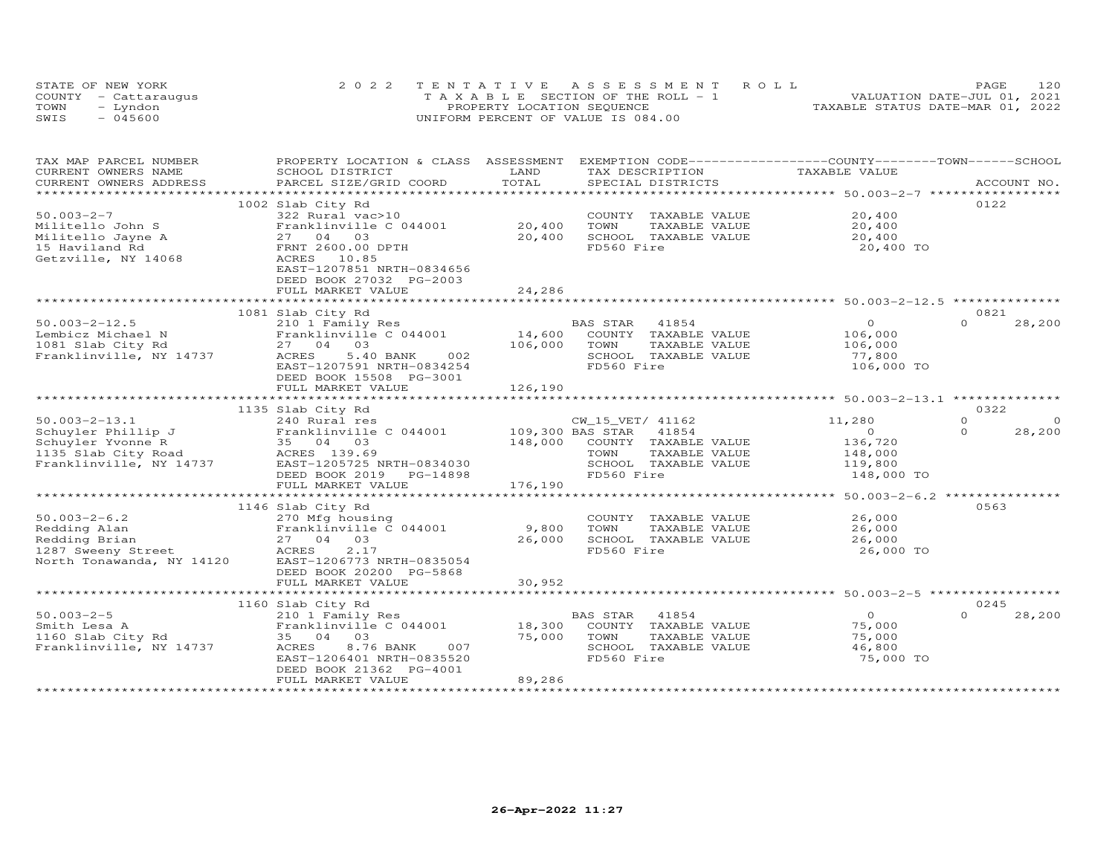|      | STATE OF NEW YORK    | 2022 TENTATIVE ASSESSMENT ROLL        | PAGE.                            | 120 |
|------|----------------------|---------------------------------------|----------------------------------|-----|
|      | COUNTY - Cattaraugus | T A X A B L E SECTION OF THE ROLL - 1 | VALUATION DATE-JUL 01, 2021      |     |
| TOWN | – Lyndon             | PROPERTY LOCATION SEQUENCE            | TAXABLE STATUS DATE-MAR 01, 2022 |     |
| SWIS | $-045600$            | UNIFORM PERCENT OF VALUE IS 084.00    |                                  |     |

| TAX MAP PARCEL NUMBER<br>CURRENT OWNERS NAME                                                                                              | PROPERTY LOCATION & CLASS ASSESSMENT<br>SCHOOL DISTRICT                                                                                     | LAND              | EXEMPTION CODE-----------------COUNTY-------TOWN------SCHOOL<br>TAX DESCRIPTION                          | TAXABLE VALUE                                          |                                  |
|-------------------------------------------------------------------------------------------------------------------------------------------|---------------------------------------------------------------------------------------------------------------------------------------------|-------------------|----------------------------------------------------------------------------------------------------------|--------------------------------------------------------|----------------------------------|
| CURRENT OWNERS ADDRESS                                                                                                                    | PARCEL SIZE/GRID COORD                                                                                                                      | TOTAL             | SPECIAL DISTRICTS                                                                                        |                                                        | ACCOUNT NO.                      |
| ***********************                                                                                                                   |                                                                                                                                             |                   |                                                                                                          |                                                        |                                  |
| $50.003 - 2 - 7$<br>Militello John S                                                                                                      | 1002 Slab City Rd<br>322 Rural vac>10<br>Franklinville C 044001                                                                             | 20,400            | COUNTY TAXABLE VALUE<br>TOWN<br>TAXABLE VALUE                                                            | 20,400<br>20,400                                       | 0122                             |
| Militello Jayne A                                                                                                                         | 27 04 03                                                                                                                                    | 20,400            | SCHOOL TAXABLE VALUE                                                                                     | 20,400                                                 |                                  |
| 15 Haviland Rd<br>Getzville, NY 14068                                                                                                     | FRNT 2600.00 DPTH<br>ACRES 10.85<br>EAST-1207851 NRTH-0834656<br>DEED BOOK 27032 PG-2003<br>FULL MARKET VALUE                               | 24,286            | FD560 Fire                                                                                               | 20,400 TO                                              |                                  |
|                                                                                                                                           |                                                                                                                                             |                   |                                                                                                          |                                                        |                                  |
|                                                                                                                                           | 1081 Slab City Rd                                                                                                                           |                   |                                                                                                          |                                                        | 0821                             |
| $50.003 - 2 - 12.5$<br>Lembicz Michael N<br>1081 Slab City Rd<br>Franklinville, NY 14737                                                  | 210 1 Family Res<br>Franklinville C 044001<br>27 04 03<br>ACRES<br>5.40 BANK<br>002<br>EAST-1207591 NRTH-0834254<br>DEED BOOK 15508 PG-3001 | 14,600<br>106,000 | BAS STAR<br>41854<br>COUNTY TAXABLE VALUE<br>TOWN<br>TAXABLE VALUE<br>SCHOOL TAXABLE VALUE<br>FD560 Fire | $\Omega$<br>106,000<br>106,000<br>77,800<br>106,000 TO | $\Omega$<br>28,200               |
|                                                                                                                                           | FULL MARKET VALUE                                                                                                                           | 126,190           |                                                                                                          |                                                        |                                  |
|                                                                                                                                           |                                                                                                                                             |                   |                                                                                                          |                                                        |                                  |
|                                                                                                                                           | 1135 Slab City Rd                                                                                                                           |                   |                                                                                                          |                                                        | 0322                             |
| $50.003 - 2 - 13.1$                                                                                                                       | 240 Rural res<br>Franklinville C 044001 109,300 BAS STAR                                                                                    |                   | CW_15_VET/ 41162<br>41854                                                                                | 11,280<br>$\overline{O}$                               | $\Omega$<br>$\Omega$<br>$\Omega$ |
| Schuyler Phillip J<br>Schuyler Yvonne R<br>35 04 03<br>1135 Slab City Road<br>Franklinville, NY 14737<br>EAST-1205725 N<br>EAST-1205725 N |                                                                                                                                             |                   | 148,000 COUNTY TAXABLE VALUE                                                                             | 136,720                                                | 28,200                           |
|                                                                                                                                           |                                                                                                                                             |                   | TOWN<br>TAXABLE VALUE                                                                                    | 148,000                                                |                                  |
|                                                                                                                                           | EAST-1205725 NRTH-0834030                                                                                                                   |                   | SCHOOL TAXABLE VALUE                                                                                     | 119,800                                                |                                  |
|                                                                                                                                           | DEED BOOK 2019<br>PG-14898<br>FULL MARKET VALUE                                                                                             | 176,190           | FD560 Fire                                                                                               | 148,000 TO                                             |                                  |
|                                                                                                                                           |                                                                                                                                             |                   | *********************************** 50.003-2-6.2 ***************                                         |                                                        |                                  |
|                                                                                                                                           | 1146 Slab City Rd                                                                                                                           |                   |                                                                                                          |                                                        | 0563                             |
| $50.003 - 2 - 6.2$                                                                                                                        | 270 Mfg housing                                                                                                                             |                   | COUNTY TAXABLE VALUE                                                                                     | 26,000                                                 |                                  |
| Redding Alan                                                                                                                              | Franklinville C 044001                                                                                                                      | 9,800             | TOWN<br>TAXABLE VALUE                                                                                    | 26,000                                                 |                                  |
| Redding Brian                                                                                                                             | 27 04 03                                                                                                                                    | 26,000            | SCHOOL TAXABLE VALUE                                                                                     | 26,000                                                 |                                  |
| 1287 Sweeny Street<br>North Tonawanda, NY 14120                                                                                           | 2.17<br>ACRES<br>EAST-1206773 NRTH-0835054<br>DEED BOOK 20200 PG-5868                                                                       |                   | FD560 Fire                                                                                               | 26,000 TO                                              |                                  |
|                                                                                                                                           | FULL MARKET VALUE                                                                                                                           | 30,952            |                                                                                                          |                                                        |                                  |
|                                                                                                                                           | 1160 Slab City Rd                                                                                                                           |                   |                                                                                                          |                                                        | 0245                             |
| $50.003 - 2 - 5$<br>Smith Lesa A<br>1160 Slab City Rd<br>Franklinville, NY 14737                                                          | 210 1 Family Res<br>Franklinville C 044001<br>35 04 03<br>007<br>ACRES<br>8.76 BANK<br>EAST-1206401 NRTH-0835520<br>DEED BOOK 21362 PG-4001 | 18,300<br>75,000  | BAS STAR<br>41854<br>COUNTY TAXABLE VALUE<br>TOWN<br>TAXABLE VALUE<br>SCHOOL TAXABLE VALUE<br>FD560 Fire | $\Omega$<br>75,000<br>75,000<br>46,800<br>75,000 TO    | $\Omega$<br>28,200               |
|                                                                                                                                           | FULL MARKET VALUE                                                                                                                           | 89,286            |                                                                                                          |                                                        |                                  |
|                                                                                                                                           |                                                                                                                                             |                   |                                                                                                          |                                                        |                                  |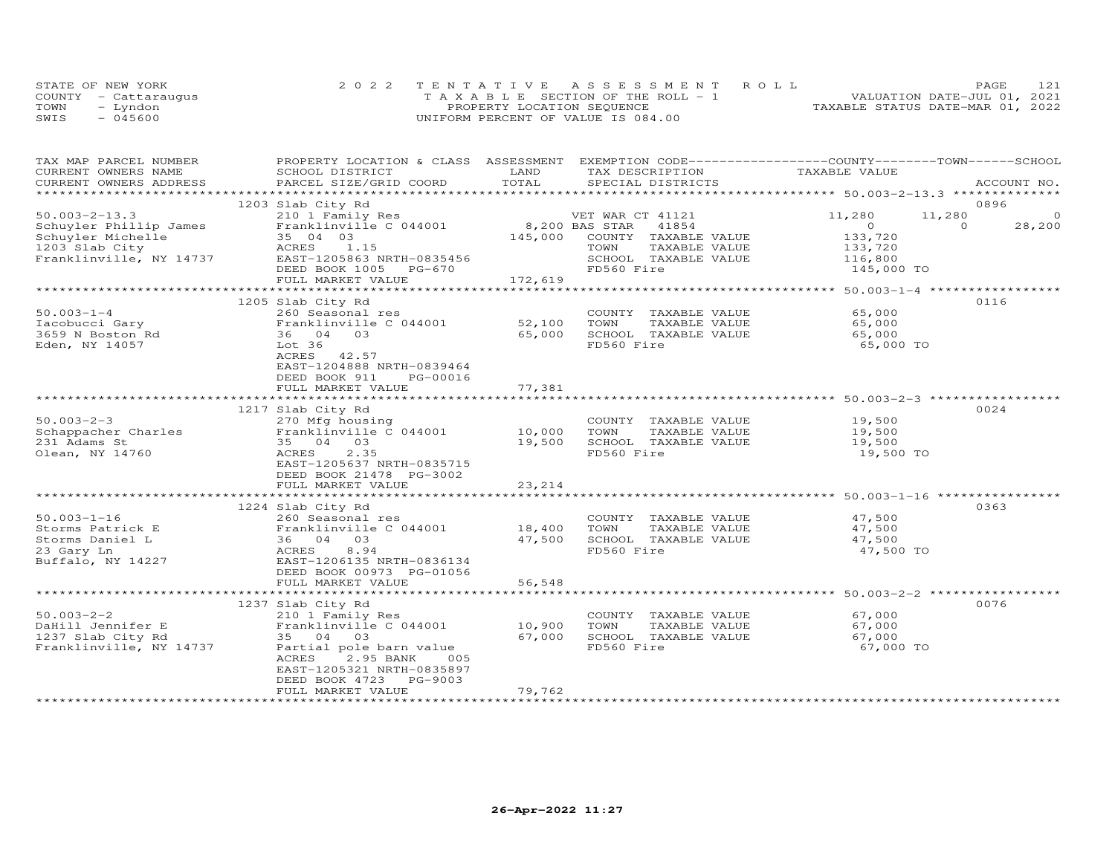|      | STATE OF NEW YORK    | 2022 TENTATIVE ASSESSMENT ROLL        | 121<br>PAGE.                     |
|------|----------------------|---------------------------------------|----------------------------------|
|      | COUNTY - Cattarauqus | T A X A B L E SECTION OF THE ROLL - 1 | VALUATION DATE-JUL 01, 2021      |
| TOWN | – Lyndon             | PROPERTY LOCATION SEQUENCE            | TAXABLE STATUS DATE-MAR 01, 2022 |
| SWIS | $-045600$            | UNIFORM PERCENT OF VALUE IS 084.00    |                                  |

| TAX MAP PARCEL NUMBER<br>CURRENT OWNERS NAME | PROPERTY LOCATION & CLASS ASSESSMENT EXEMPTION CODE----------------COUNTY-------TOWN------SCHOOL<br>SCHOOL DISTRICT | LAND                 | TAX DESCRIPTION                                                | TAXABLE VALUE  |          |             |
|----------------------------------------------|---------------------------------------------------------------------------------------------------------------------|----------------------|----------------------------------------------------------------|----------------|----------|-------------|
| CURRENT OWNERS ADDRESS                       | PARCEL SIZE/GRID COORD                                                                                              | TOTAL                | SPECIAL DISTRICTS                                              |                |          | ACCOUNT NO. |
|                                              |                                                                                                                     |                      |                                                                |                |          |             |
|                                              | 1203 Slab City Rd                                                                                                   |                      |                                                                |                |          | 0896        |
| $50.003 - 2 - 13.3$                          | 210 1 Family Res                                                                                                    |                      | VET WAR CT 41121                                               | 11,280         | 11,280   | $\Omega$    |
| Schuyler Phillip James                       | Franklinville C 044001                                                                                              | 8,200 BAS STAR       | 41854                                                          | $\overline{0}$ | $\Omega$ | 28,200      |
| Schuyler Michelle                            | 35 04 03                                                                                                            | 145,000              | COUNTY TAXABLE VALUE                                           | 133,720        |          |             |
| 1203 Slab City                               | ACRES 1.15                                                                                                          |                      | TOWN<br>TAXABLE VALUE                                          | 133,720        |          |             |
| Franklinville, NY 14737                      | EAST-1205863 NRTH-0835456                                                                                           |                      | SCHOOL TAXABLE VALUE                                           | 116,800        |          |             |
|                                              | DEED BOOK 1005 PG-670                                                                                               |                      | FD560 Fire                                                     | 145,000 TO     |          |             |
|                                              | FULL MARKET VALUE                                                                                                   | 172,619              |                                                                |                |          |             |
|                                              |                                                                                                                     |                      |                                                                |                |          |             |
|                                              | 1205 Slab City Rd                                                                                                   |                      |                                                                |                |          | 0116        |
| $50.003 - 1 - 4$                             | 260 Seasonal res                                                                                                    |                      | COUNTY TAXABLE VALUE                                           | 65,000         |          |             |
| Iacobucci Gary                               | Franklinville C 044001                                                                                              | 52,100               | TOWN<br>TAXABLE VALUE                                          | 65,000         |          |             |
| 3659 N Boston Rd                             | 36 04 03                                                                                                            | 65,000               | SCHOOL TAXABLE VALUE                                           | 65,000         |          |             |
| Eden, NY 14057                               | Lot 36                                                                                                              |                      | FD560 Fire                                                     | 65,000 TO      |          |             |
|                                              | ACRES 42.57                                                                                                         |                      |                                                                |                |          |             |
|                                              | EAST-1204888 NRTH-0839464                                                                                           |                      |                                                                |                |          |             |
|                                              | DEED BOOK 911<br>PG-00016                                                                                           |                      |                                                                |                |          |             |
|                                              | FULL MARKET VALUE                                                                                                   | 77,381               |                                                                |                |          |             |
|                                              |                                                                                                                     | ******************** | ********************************* 50.003-2-3 ***************** |                |          |             |
|                                              | 1217 Slab City Rd                                                                                                   |                      |                                                                |                |          | 0024        |
| $50.003 - 2 - 3$                             | 270 Mfg housing                                                                                                     |                      | COUNTY TAXABLE VALUE                                           | 19,500         |          |             |
| Schappacher Charles                          | Franklinville C 044001 10,000                                                                                       |                      | TOWN<br>TAXABLE VALUE                                          | 19,500         |          |             |
| 231 Adams St                                 | 35 04 03                                                                                                            | 19,500               | SCHOOL TAXABLE VALUE                                           | 19,500         |          |             |
| Olean, NY 14760                              | 2.35<br>ACRES                                                                                                       |                      | FD560 Fire                                                     | 19,500 TO      |          |             |
|                                              | EAST-1205637 NRTH-0835715                                                                                           |                      |                                                                |                |          |             |
|                                              | DEED BOOK 21478 PG-3002                                                                                             |                      |                                                                |                |          |             |
|                                              | FULL MARKET VALUE                                                                                                   | 23, 214              |                                                                |                |          |             |
|                                              |                                                                                                                     |                      |                                                                |                |          |             |
|                                              | 1224 Slab City Rd                                                                                                   |                      |                                                                |                |          | 0363        |
| $50.003 - 1 - 16$                            | 260 Seasonal res                                                                                                    |                      | COUNTY TAXABLE VALUE                                           | 47,500         |          |             |
| Storms Patrick E                             | Franklinville C 044001                                                                                              | 18,400               | TOWN<br>TAXABLE VALUE                                          | 47,500         |          |             |
| Storms Daniel L                              | 36 04 03                                                                                                            | 47,500               | SCHOOL TAXABLE VALUE                                           | 47,500         |          |             |
| 23 Gary Ln                                   | ACRES<br>8.94                                                                                                       |                      | FD560 Fire                                                     | 47,500 TO      |          |             |
| Buffalo, NY 14227                            | EAST-1206135 NRTH-0836134                                                                                           |                      |                                                                |                |          |             |
|                                              | DEED BOOK 00973 PG-01056                                                                                            |                      |                                                                |                |          |             |
|                                              | FULL MARKET VALUE                                                                                                   | 56,548               |                                                                |                |          |             |
|                                              |                                                                                                                     |                      |                                                                |                |          |             |
|                                              | 1237 Slab City Rd                                                                                                   |                      |                                                                |                |          | 0076        |
| $50.003 - 2 - 2$                             | 210 1 Family Res                                                                                                    |                      | COUNTY TAXABLE VALUE                                           | 67,000         |          |             |
| DaHill Jennifer E                            | Franklinville C 044001                                                                                              | 10,900               | TOWN<br>TAXABLE VALUE                                          | 67,000         |          |             |
| 1237 Slab City Rd                            | 35 04 03                                                                                                            | 67,000               | SCHOOL TAXABLE VALUE                                           | 67,000         |          |             |
| Franklinville, NY 14737                      | Partial pole barn value                                                                                             |                      | FD560 Fire                                                     | 67,000 TO      |          |             |
|                                              | 2.95 BANK<br>ACRES<br>005                                                                                           |                      |                                                                |                |          |             |
|                                              | EAST-1205321 NRTH-0835897                                                                                           |                      |                                                                |                |          |             |
|                                              | DEED BOOK 4723 PG-9003                                                                                              |                      |                                                                |                |          |             |
|                                              | FULL MARKET VALUE                                                                                                   | 79,762               |                                                                |                |          |             |
|                                              |                                                                                                                     |                      |                                                                |                |          |             |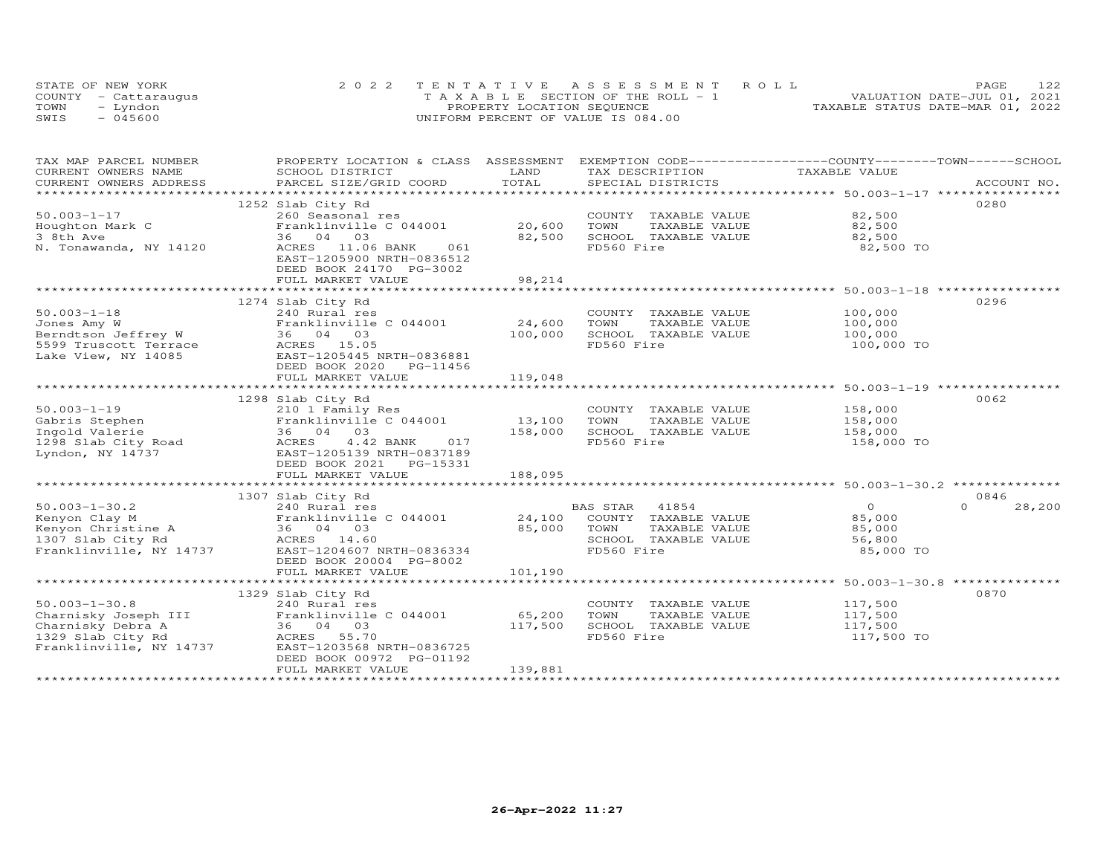|      | STATE OF NEW YORK    | 2022 TENTATIVE ASSESSMENT ROLL        | 122<br>PAGE.                     |
|------|----------------------|---------------------------------------|----------------------------------|
|      | COUNTY - Cattarauqus | T A X A B L E SECTION OF THE ROLL - 1 | VALUATION DATE-JUL 01, 2021      |
| TOWN | – Lyndon             | PROPERTY LOCATION SEQUENCE            | TAXABLE STATUS DATE-MAR 01, 2022 |
| SWIS | $-045600$            | UNIFORM PERCENT OF VALUE IS 084.00    |                                  |

| TAX DESCRIPTION TAXABLE VALUE<br>0280<br>1252 Slab City Rd<br>260 Seasonal res<br>COUNTY TAXABLE VALUE 82,500<br>$50.003 - 1 - 17$<br>Franklinville C 044001<br>20,600<br>TOWN      TAXABLE VALUE<br>SCHOOL   TAXABLE VALUE<br>82,500<br>Houghton Mark C<br>82,500<br>3 8th Ave<br>36 04 03<br>82,500<br>FD560 Fire<br>N. Tonawanda, NY 14120<br>ACRES 11.06 BANK 061<br>82,500 TO<br>EAST-1205900 NRTH-0836512<br>DEED BOOK 24170 PG-3002<br>98,214<br>FULL MARKET VALUE<br>0296<br>1274 Slab City Rd<br>100,000<br>COUNTY TAXABLE VALUE<br>50.003-1-18 240 Rural res<br>Jones Amy W Franklinville C 044001<br>Berndtson Jeffrey W 36 04 03<br>5599 Truscott Terrace ACRES 15.05<br>Lake View, NY 14085<br>EAST-1205445 NRTH-0836881<br>Franklinville C 044001 24,600<br>100,000<br>TOWN<br>TAXABLE VALUE<br>100,000<br>100,000<br>SCHOOL TAXABLE VALUE<br>FD560 Fire<br>100,000 TO<br>DEED BOOK 2020 PG-11456<br>119,048<br>FULL MARKET VALUE<br>0062<br>1298 Slab City Rd<br>50.003-1-19<br>Gabris Stephen<br>Ingold Valerie 13,100<br>13,100<br>13,100<br>13,100<br>13,100<br>158,000<br>158,000<br>158,000<br>158,000<br>158,000<br>158,000<br>158,000<br>158,000<br>158,000<br>158,000<br>158,000<br>158,000<br>158,000<br>158,000<br>158,000<br>158<br>158,000<br>158,000<br>COUNTY TAXABLE VALUE<br>TOWN<br>TAXABLE VALUE<br>SCHOOL TAXABLE VALUE 158,000<br>FD560 Fire<br>158,000 TO<br>DEED BOOK 2021    PG-15331<br>FULL MARKET VALUE<br>188,095<br>0846<br>1307 Slab City Rd<br>$50.003 - 1 - 30.2$<br>$\Omega$<br>28,200<br>240 Rural res<br>BAS STAR<br>AS STAR 41854<br>COUNTY TAXABLE VALUE<br>$\Omega$<br>85,000<br>TOWN<br>TAXABLE VALUE<br>85,000<br>SCHOOL TAXABLE VALUE<br>56,800<br>Franklinville, NY 14737 EAST-1204607 NRTH-0836334<br>FD560 Fire<br>85,000 TO<br>DEED BOOK 20004 PG-8002<br>FULL MARKET VALUE<br>101,190<br>0870<br>1329 Slab City Rd<br>117,500<br>COUNTY TAXABLE VALUE<br>50.003-1-30.8<br>Charnisky Joseph III Franklinville C 044001 65,200<br>Charnisky Debra A 36 04 03 117,500<br>1329 Slab City Rd ACRES 55.70<br>2006 2007 1329 Slab City Rd 2006 2007 1326725<br>117,500<br>TOWN<br>TAXABLE VALUE<br>SCHOOL TAXABLE VALUE<br>117,500<br>FD560 Fire<br>117,500 TO<br>Franklinville, NY 14737<br>EAST-1203568 NRTH-0836725<br>DEED BOOK 00972 PG-01192<br>FULL MARKET VALUE<br>139,881 | TAX MAP PARCEL NUMBER<br>CURRENT OWNERS NAME | PROPERTY LOCATION & CLASS ASSESSMENT EXEMPTION CODE----------------COUNTY-------TOWN-----SCHOOL<br>SCHOOL DISTRICT | LAND |  |  |
|-----------------------------------------------------------------------------------------------------------------------------------------------------------------------------------------------------------------------------------------------------------------------------------------------------------------------------------------------------------------------------------------------------------------------------------------------------------------------------------------------------------------------------------------------------------------------------------------------------------------------------------------------------------------------------------------------------------------------------------------------------------------------------------------------------------------------------------------------------------------------------------------------------------------------------------------------------------------------------------------------------------------------------------------------------------------------------------------------------------------------------------------------------------------------------------------------------------------------------------------------------------------------------------------------------------------------------------------------------------------------------------------------------------------------------------------------------------------------------------------------------------------------------------------------------------------------------------------------------------------------------------------------------------------------------------------------------------------------------------------------------------------------------------------------------------------------------------------------------------------------------------------------------------------------------------------------------------------------------------------------------------------------------------------------------------------------------------------------------------------------------------------------------------------------------------------------------------------------------------------------------------------------------------------------------------------------------------------|----------------------------------------------|--------------------------------------------------------------------------------------------------------------------|------|--|--|
|                                                                                                                                                                                                                                                                                                                                                                                                                                                                                                                                                                                                                                                                                                                                                                                                                                                                                                                                                                                                                                                                                                                                                                                                                                                                                                                                                                                                                                                                                                                                                                                                                                                                                                                                                                                                                                                                                                                                                                                                                                                                                                                                                                                                                                                                                                                                         |                                              |                                                                                                                    |      |  |  |
|                                                                                                                                                                                                                                                                                                                                                                                                                                                                                                                                                                                                                                                                                                                                                                                                                                                                                                                                                                                                                                                                                                                                                                                                                                                                                                                                                                                                                                                                                                                                                                                                                                                                                                                                                                                                                                                                                                                                                                                                                                                                                                                                                                                                                                                                                                                                         |                                              |                                                                                                                    |      |  |  |
|                                                                                                                                                                                                                                                                                                                                                                                                                                                                                                                                                                                                                                                                                                                                                                                                                                                                                                                                                                                                                                                                                                                                                                                                                                                                                                                                                                                                                                                                                                                                                                                                                                                                                                                                                                                                                                                                                                                                                                                                                                                                                                                                                                                                                                                                                                                                         |                                              |                                                                                                                    |      |  |  |
|                                                                                                                                                                                                                                                                                                                                                                                                                                                                                                                                                                                                                                                                                                                                                                                                                                                                                                                                                                                                                                                                                                                                                                                                                                                                                                                                                                                                                                                                                                                                                                                                                                                                                                                                                                                                                                                                                                                                                                                                                                                                                                                                                                                                                                                                                                                                         |                                              |                                                                                                                    |      |  |  |
|                                                                                                                                                                                                                                                                                                                                                                                                                                                                                                                                                                                                                                                                                                                                                                                                                                                                                                                                                                                                                                                                                                                                                                                                                                                                                                                                                                                                                                                                                                                                                                                                                                                                                                                                                                                                                                                                                                                                                                                                                                                                                                                                                                                                                                                                                                                                         |                                              |                                                                                                                    |      |  |  |
|                                                                                                                                                                                                                                                                                                                                                                                                                                                                                                                                                                                                                                                                                                                                                                                                                                                                                                                                                                                                                                                                                                                                                                                                                                                                                                                                                                                                                                                                                                                                                                                                                                                                                                                                                                                                                                                                                                                                                                                                                                                                                                                                                                                                                                                                                                                                         |                                              |                                                                                                                    |      |  |  |
|                                                                                                                                                                                                                                                                                                                                                                                                                                                                                                                                                                                                                                                                                                                                                                                                                                                                                                                                                                                                                                                                                                                                                                                                                                                                                                                                                                                                                                                                                                                                                                                                                                                                                                                                                                                                                                                                                                                                                                                                                                                                                                                                                                                                                                                                                                                                         |                                              |                                                                                                                    |      |  |  |
|                                                                                                                                                                                                                                                                                                                                                                                                                                                                                                                                                                                                                                                                                                                                                                                                                                                                                                                                                                                                                                                                                                                                                                                                                                                                                                                                                                                                                                                                                                                                                                                                                                                                                                                                                                                                                                                                                                                                                                                                                                                                                                                                                                                                                                                                                                                                         |                                              |                                                                                                                    |      |  |  |
|                                                                                                                                                                                                                                                                                                                                                                                                                                                                                                                                                                                                                                                                                                                                                                                                                                                                                                                                                                                                                                                                                                                                                                                                                                                                                                                                                                                                                                                                                                                                                                                                                                                                                                                                                                                                                                                                                                                                                                                                                                                                                                                                                                                                                                                                                                                                         |                                              |                                                                                                                    |      |  |  |
|                                                                                                                                                                                                                                                                                                                                                                                                                                                                                                                                                                                                                                                                                                                                                                                                                                                                                                                                                                                                                                                                                                                                                                                                                                                                                                                                                                                                                                                                                                                                                                                                                                                                                                                                                                                                                                                                                                                                                                                                                                                                                                                                                                                                                                                                                                                                         |                                              |                                                                                                                    |      |  |  |
|                                                                                                                                                                                                                                                                                                                                                                                                                                                                                                                                                                                                                                                                                                                                                                                                                                                                                                                                                                                                                                                                                                                                                                                                                                                                                                                                                                                                                                                                                                                                                                                                                                                                                                                                                                                                                                                                                                                                                                                                                                                                                                                                                                                                                                                                                                                                         |                                              |                                                                                                                    |      |  |  |
|                                                                                                                                                                                                                                                                                                                                                                                                                                                                                                                                                                                                                                                                                                                                                                                                                                                                                                                                                                                                                                                                                                                                                                                                                                                                                                                                                                                                                                                                                                                                                                                                                                                                                                                                                                                                                                                                                                                                                                                                                                                                                                                                                                                                                                                                                                                                         |                                              |                                                                                                                    |      |  |  |
|                                                                                                                                                                                                                                                                                                                                                                                                                                                                                                                                                                                                                                                                                                                                                                                                                                                                                                                                                                                                                                                                                                                                                                                                                                                                                                                                                                                                                                                                                                                                                                                                                                                                                                                                                                                                                                                                                                                                                                                                                                                                                                                                                                                                                                                                                                                                         |                                              |                                                                                                                    |      |  |  |
|                                                                                                                                                                                                                                                                                                                                                                                                                                                                                                                                                                                                                                                                                                                                                                                                                                                                                                                                                                                                                                                                                                                                                                                                                                                                                                                                                                                                                                                                                                                                                                                                                                                                                                                                                                                                                                                                                                                                                                                                                                                                                                                                                                                                                                                                                                                                         |                                              |                                                                                                                    |      |  |  |
|                                                                                                                                                                                                                                                                                                                                                                                                                                                                                                                                                                                                                                                                                                                                                                                                                                                                                                                                                                                                                                                                                                                                                                                                                                                                                                                                                                                                                                                                                                                                                                                                                                                                                                                                                                                                                                                                                                                                                                                                                                                                                                                                                                                                                                                                                                                                         |                                              |                                                                                                                    |      |  |  |
|                                                                                                                                                                                                                                                                                                                                                                                                                                                                                                                                                                                                                                                                                                                                                                                                                                                                                                                                                                                                                                                                                                                                                                                                                                                                                                                                                                                                                                                                                                                                                                                                                                                                                                                                                                                                                                                                                                                                                                                                                                                                                                                                                                                                                                                                                                                                         |                                              |                                                                                                                    |      |  |  |
|                                                                                                                                                                                                                                                                                                                                                                                                                                                                                                                                                                                                                                                                                                                                                                                                                                                                                                                                                                                                                                                                                                                                                                                                                                                                                                                                                                                                                                                                                                                                                                                                                                                                                                                                                                                                                                                                                                                                                                                                                                                                                                                                                                                                                                                                                                                                         |                                              |                                                                                                                    |      |  |  |
|                                                                                                                                                                                                                                                                                                                                                                                                                                                                                                                                                                                                                                                                                                                                                                                                                                                                                                                                                                                                                                                                                                                                                                                                                                                                                                                                                                                                                                                                                                                                                                                                                                                                                                                                                                                                                                                                                                                                                                                                                                                                                                                                                                                                                                                                                                                                         |                                              |                                                                                                                    |      |  |  |
|                                                                                                                                                                                                                                                                                                                                                                                                                                                                                                                                                                                                                                                                                                                                                                                                                                                                                                                                                                                                                                                                                                                                                                                                                                                                                                                                                                                                                                                                                                                                                                                                                                                                                                                                                                                                                                                                                                                                                                                                                                                                                                                                                                                                                                                                                                                                         |                                              |                                                                                                                    |      |  |  |
|                                                                                                                                                                                                                                                                                                                                                                                                                                                                                                                                                                                                                                                                                                                                                                                                                                                                                                                                                                                                                                                                                                                                                                                                                                                                                                                                                                                                                                                                                                                                                                                                                                                                                                                                                                                                                                                                                                                                                                                                                                                                                                                                                                                                                                                                                                                                         |                                              |                                                                                                                    |      |  |  |
|                                                                                                                                                                                                                                                                                                                                                                                                                                                                                                                                                                                                                                                                                                                                                                                                                                                                                                                                                                                                                                                                                                                                                                                                                                                                                                                                                                                                                                                                                                                                                                                                                                                                                                                                                                                                                                                                                                                                                                                                                                                                                                                                                                                                                                                                                                                                         |                                              |                                                                                                                    |      |  |  |
|                                                                                                                                                                                                                                                                                                                                                                                                                                                                                                                                                                                                                                                                                                                                                                                                                                                                                                                                                                                                                                                                                                                                                                                                                                                                                                                                                                                                                                                                                                                                                                                                                                                                                                                                                                                                                                                                                                                                                                                                                                                                                                                                                                                                                                                                                                                                         |                                              |                                                                                                                    |      |  |  |
|                                                                                                                                                                                                                                                                                                                                                                                                                                                                                                                                                                                                                                                                                                                                                                                                                                                                                                                                                                                                                                                                                                                                                                                                                                                                                                                                                                                                                                                                                                                                                                                                                                                                                                                                                                                                                                                                                                                                                                                                                                                                                                                                                                                                                                                                                                                                         |                                              |                                                                                                                    |      |  |  |
|                                                                                                                                                                                                                                                                                                                                                                                                                                                                                                                                                                                                                                                                                                                                                                                                                                                                                                                                                                                                                                                                                                                                                                                                                                                                                                                                                                                                                                                                                                                                                                                                                                                                                                                                                                                                                                                                                                                                                                                                                                                                                                                                                                                                                                                                                                                                         |                                              |                                                                                                                    |      |  |  |
|                                                                                                                                                                                                                                                                                                                                                                                                                                                                                                                                                                                                                                                                                                                                                                                                                                                                                                                                                                                                                                                                                                                                                                                                                                                                                                                                                                                                                                                                                                                                                                                                                                                                                                                                                                                                                                                                                                                                                                                                                                                                                                                                                                                                                                                                                                                                         |                                              |                                                                                                                    |      |  |  |
|                                                                                                                                                                                                                                                                                                                                                                                                                                                                                                                                                                                                                                                                                                                                                                                                                                                                                                                                                                                                                                                                                                                                                                                                                                                                                                                                                                                                                                                                                                                                                                                                                                                                                                                                                                                                                                                                                                                                                                                                                                                                                                                                                                                                                                                                                                                                         |                                              |                                                                                                                    |      |  |  |
|                                                                                                                                                                                                                                                                                                                                                                                                                                                                                                                                                                                                                                                                                                                                                                                                                                                                                                                                                                                                                                                                                                                                                                                                                                                                                                                                                                                                                                                                                                                                                                                                                                                                                                                                                                                                                                                                                                                                                                                                                                                                                                                                                                                                                                                                                                                                         |                                              |                                                                                                                    |      |  |  |
|                                                                                                                                                                                                                                                                                                                                                                                                                                                                                                                                                                                                                                                                                                                                                                                                                                                                                                                                                                                                                                                                                                                                                                                                                                                                                                                                                                                                                                                                                                                                                                                                                                                                                                                                                                                                                                                                                                                                                                                                                                                                                                                                                                                                                                                                                                                                         |                                              |                                                                                                                    |      |  |  |
|                                                                                                                                                                                                                                                                                                                                                                                                                                                                                                                                                                                                                                                                                                                                                                                                                                                                                                                                                                                                                                                                                                                                                                                                                                                                                                                                                                                                                                                                                                                                                                                                                                                                                                                                                                                                                                                                                                                                                                                                                                                                                                                                                                                                                                                                                                                                         |                                              |                                                                                                                    |      |  |  |
|                                                                                                                                                                                                                                                                                                                                                                                                                                                                                                                                                                                                                                                                                                                                                                                                                                                                                                                                                                                                                                                                                                                                                                                                                                                                                                                                                                                                                                                                                                                                                                                                                                                                                                                                                                                                                                                                                                                                                                                                                                                                                                                                                                                                                                                                                                                                         |                                              |                                                                                                                    |      |  |  |
|                                                                                                                                                                                                                                                                                                                                                                                                                                                                                                                                                                                                                                                                                                                                                                                                                                                                                                                                                                                                                                                                                                                                                                                                                                                                                                                                                                                                                                                                                                                                                                                                                                                                                                                                                                                                                                                                                                                                                                                                                                                                                                                                                                                                                                                                                                                                         |                                              |                                                                                                                    |      |  |  |
|                                                                                                                                                                                                                                                                                                                                                                                                                                                                                                                                                                                                                                                                                                                                                                                                                                                                                                                                                                                                                                                                                                                                                                                                                                                                                                                                                                                                                                                                                                                                                                                                                                                                                                                                                                                                                                                                                                                                                                                                                                                                                                                                                                                                                                                                                                                                         |                                              |                                                                                                                    |      |  |  |
|                                                                                                                                                                                                                                                                                                                                                                                                                                                                                                                                                                                                                                                                                                                                                                                                                                                                                                                                                                                                                                                                                                                                                                                                                                                                                                                                                                                                                                                                                                                                                                                                                                                                                                                                                                                                                                                                                                                                                                                                                                                                                                                                                                                                                                                                                                                                         |                                              |                                                                                                                    |      |  |  |
|                                                                                                                                                                                                                                                                                                                                                                                                                                                                                                                                                                                                                                                                                                                                                                                                                                                                                                                                                                                                                                                                                                                                                                                                                                                                                                                                                                                                                                                                                                                                                                                                                                                                                                                                                                                                                                                                                                                                                                                                                                                                                                                                                                                                                                                                                                                                         |                                              |                                                                                                                    |      |  |  |
|                                                                                                                                                                                                                                                                                                                                                                                                                                                                                                                                                                                                                                                                                                                                                                                                                                                                                                                                                                                                                                                                                                                                                                                                                                                                                                                                                                                                                                                                                                                                                                                                                                                                                                                                                                                                                                                                                                                                                                                                                                                                                                                                                                                                                                                                                                                                         |                                              |                                                                                                                    |      |  |  |
|                                                                                                                                                                                                                                                                                                                                                                                                                                                                                                                                                                                                                                                                                                                                                                                                                                                                                                                                                                                                                                                                                                                                                                                                                                                                                                                                                                                                                                                                                                                                                                                                                                                                                                                                                                                                                                                                                                                                                                                                                                                                                                                                                                                                                                                                                                                                         |                                              |                                                                                                                    |      |  |  |
|                                                                                                                                                                                                                                                                                                                                                                                                                                                                                                                                                                                                                                                                                                                                                                                                                                                                                                                                                                                                                                                                                                                                                                                                                                                                                                                                                                                                                                                                                                                                                                                                                                                                                                                                                                                                                                                                                                                                                                                                                                                                                                                                                                                                                                                                                                                                         |                                              |                                                                                                                    |      |  |  |
|                                                                                                                                                                                                                                                                                                                                                                                                                                                                                                                                                                                                                                                                                                                                                                                                                                                                                                                                                                                                                                                                                                                                                                                                                                                                                                                                                                                                                                                                                                                                                                                                                                                                                                                                                                                                                                                                                                                                                                                                                                                                                                                                                                                                                                                                                                                                         |                                              |                                                                                                                    |      |  |  |
|                                                                                                                                                                                                                                                                                                                                                                                                                                                                                                                                                                                                                                                                                                                                                                                                                                                                                                                                                                                                                                                                                                                                                                                                                                                                                                                                                                                                                                                                                                                                                                                                                                                                                                                                                                                                                                                                                                                                                                                                                                                                                                                                                                                                                                                                                                                                         |                                              |                                                                                                                    |      |  |  |
|                                                                                                                                                                                                                                                                                                                                                                                                                                                                                                                                                                                                                                                                                                                                                                                                                                                                                                                                                                                                                                                                                                                                                                                                                                                                                                                                                                                                                                                                                                                                                                                                                                                                                                                                                                                                                                                                                                                                                                                                                                                                                                                                                                                                                                                                                                                                         |                                              |                                                                                                                    |      |  |  |
|                                                                                                                                                                                                                                                                                                                                                                                                                                                                                                                                                                                                                                                                                                                                                                                                                                                                                                                                                                                                                                                                                                                                                                                                                                                                                                                                                                                                                                                                                                                                                                                                                                                                                                                                                                                                                                                                                                                                                                                                                                                                                                                                                                                                                                                                                                                                         |                                              |                                                                                                                    |      |  |  |
|                                                                                                                                                                                                                                                                                                                                                                                                                                                                                                                                                                                                                                                                                                                                                                                                                                                                                                                                                                                                                                                                                                                                                                                                                                                                                                                                                                                                                                                                                                                                                                                                                                                                                                                                                                                                                                                                                                                                                                                                                                                                                                                                                                                                                                                                                                                                         |                                              |                                                                                                                    |      |  |  |
|                                                                                                                                                                                                                                                                                                                                                                                                                                                                                                                                                                                                                                                                                                                                                                                                                                                                                                                                                                                                                                                                                                                                                                                                                                                                                                                                                                                                                                                                                                                                                                                                                                                                                                                                                                                                                                                                                                                                                                                                                                                                                                                                                                                                                                                                                                                                         |                                              |                                                                                                                    |      |  |  |
|                                                                                                                                                                                                                                                                                                                                                                                                                                                                                                                                                                                                                                                                                                                                                                                                                                                                                                                                                                                                                                                                                                                                                                                                                                                                                                                                                                                                                                                                                                                                                                                                                                                                                                                                                                                                                                                                                                                                                                                                                                                                                                                                                                                                                                                                                                                                         |                                              |                                                                                                                    |      |  |  |
|                                                                                                                                                                                                                                                                                                                                                                                                                                                                                                                                                                                                                                                                                                                                                                                                                                                                                                                                                                                                                                                                                                                                                                                                                                                                                                                                                                                                                                                                                                                                                                                                                                                                                                                                                                                                                                                                                                                                                                                                                                                                                                                                                                                                                                                                                                                                         |                                              |                                                                                                                    |      |  |  |
|                                                                                                                                                                                                                                                                                                                                                                                                                                                                                                                                                                                                                                                                                                                                                                                                                                                                                                                                                                                                                                                                                                                                                                                                                                                                                                                                                                                                                                                                                                                                                                                                                                                                                                                                                                                                                                                                                                                                                                                                                                                                                                                                                                                                                                                                                                                                         |                                              |                                                                                                                    |      |  |  |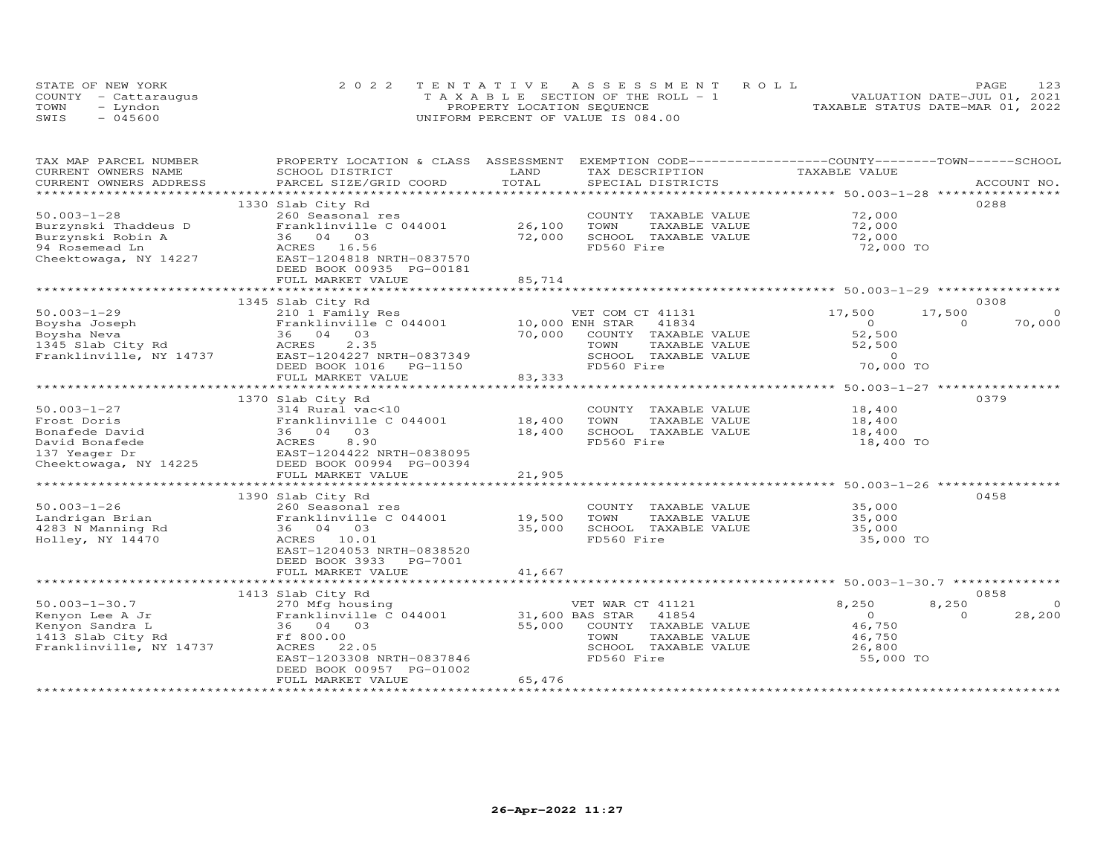|      | STATE OF NEW YORK    | 2022 TENTATIVE ASSESSMENT ROLL        | 123<br>PAGE                      |  |
|------|----------------------|---------------------------------------|----------------------------------|--|
|      | COUNTY - Cattaraugus | T A X A B L E SECTION OF THE ROLL - 1 | VALUATION DATE-JUL 01, 2021      |  |
| TOWN | – Lyndon             | PROPERTY LOCATION SEQUENCE            | TAXABLE STATUS DATE-MAR 01, 2022 |  |
| SWIS | $-045600$            | UNIFORM PERCENT OF VALUE IS 084.00    |                                  |  |

| TAX MAP PARCEL NUMBER<br>CURRENT OWNERS NAME      | PROPERTY LOCATION & CLASS ASSESSMENT<br>SCHOOL DISTRICT | LAND            | EXEMPTION CODE-----------------COUNTY-------TOWN------SCHOOL<br>TAX DESCRIPTION  | TAXABLE VALUE  |                    |
|---------------------------------------------------|---------------------------------------------------------|-----------------|----------------------------------------------------------------------------------|----------------|--------------------|
| CURRENT OWNERS ADDRESS                            | PARCEL SIZE/GRID COORD                                  | TOTAL           | SPECIAL DISTRICTS                                                                |                | ACCOUNT NO.        |
| ***********************                           |                                                         |                 |                                                                                  |                |                    |
|                                                   | 1330 Slab City Rd                                       |                 |                                                                                  |                | 0288               |
| $50.003 - 1 - 28$                                 | 260 Seasonal res                                        |                 | COUNTY TAXABLE VALUE                                                             | 72,000         |                    |
| Burzynski Thaddeus D                              | Franklinville C 044001                                  | 26,100          | TOWN<br>TAXABLE VALUE                                                            | 72,000         |                    |
| Burzynski Robin A                                 | 36 04 03                                                | 72,000          | SCHOOL TAXABLE VALUE                                                             | 72,000         |                    |
| 94 Rosemead Ln                                    | ACRES 16.56                                             |                 | FD560 Fire                                                                       | 72,000 TO      |                    |
| Cheektowaga, NY 14227                             | EAST-1204818 NRTH-0837570                               |                 |                                                                                  |                |                    |
|                                                   | DEED BOOK 00935 PG-00181                                |                 |                                                                                  |                |                    |
|                                                   | FULL MARKET VALUE                                       | 85,714          |                                                                                  |                |                    |
|                                                   | **************************                              |                 |                                                                                  |                |                    |
|                                                   | 1345 Slab City Rd                                       |                 |                                                                                  |                | 0308               |
| $50.003 - 1 - 29$                                 | 210 1 Family Res                                        |                 | VET COM CT 41131                                                                 | 17,500         | $\Omega$<br>17,500 |
| Boysha Joseph                                     | Franklinville C 044001                                  | 10,000 ENH STAR | 41834                                                                            | $\circ$        | 70,000<br>$\Omega$ |
| Boysha Neva                                       | 36 04 03                                                | 70,000          | COUNTY TAXABLE VALUE                                                             | 52,500         |                    |
| Boysna Neva<br>1345 Slab City Rd<br>All New 14737 | ACRES<br>2.35                                           |                 | TOWN<br>TAXABLE VALUE                                                            | 52,500         |                    |
| Franklinville, NY 14737                           | EAST-1204227 NRTH-0837349                               |                 | SCHOOL TAXABLE VALUE                                                             | $\Omega$       |                    |
|                                                   | DEED BOOK 1016<br>PG-1150                               |                 | FD560 Fire                                                                       | 70,000 TO      |                    |
|                                                   |                                                         | 83,333          |                                                                                  |                |                    |
|                                                   | FULL MARKET VALUE                                       |                 | *********************************** 50.003-1-27 ******************************** |                |                    |
|                                                   |                                                         |                 |                                                                                  |                | 0379               |
|                                                   | 1370 Slab City Rd                                       |                 |                                                                                  |                |                    |
| $50.003 - 1 - 27$                                 | 314 Rural vac<10                                        |                 | COUNTY TAXABLE VALUE                                                             | 18,400         |                    |
| Frost Doris                                       | Franklinville C 044001                                  | 18,400          | TOWN<br>TAXABLE VALUE                                                            | 18,400         |                    |
| Bonafede David                                    | 36 04 03                                                | 18,400          | SCHOOL TAXABLE VALUE                                                             | 18,400         |                    |
| David Bonafede                                    | 8.90<br>ACRES                                           |                 | FD560 Fire                                                                       | 18,400 TO      |                    |
| 137 Yeager Dr<br>Cheektowaga, NY 14225            | EAST-1204422 NRTH-0838095                               |                 |                                                                                  |                |                    |
|                                                   | DEED BOOK 00994 PG-00394                                |                 |                                                                                  |                |                    |
|                                                   | FULL MARKET VALUE                                       | 21,905          |                                                                                  |                |                    |
|                                                   |                                                         |                 |                                                                                  |                |                    |
|                                                   | 1390 Slab City Rd                                       |                 |                                                                                  |                | 0458               |
| $50.003 - 1 - 26$                                 | 260 Seasonal res                                        |                 | COUNTY TAXABLE VALUE                                                             | 35,000         |                    |
| Landrigan Brian                                   | Franklinville C 044001                                  | 19,500          | TOWN<br>TAXABLE VALUE                                                            | 35,000         |                    |
| 4283 N Manning Rd                                 | 36 04 03                                                | 35,000          | SCHOOL TAXABLE VALUE                                                             | 35,000         |                    |
| Holley, NY 14470                                  | ACRES 10.01                                             |                 | FD560 Fire                                                                       | 35,000 TO      |                    |
|                                                   | EAST-1204053 NRTH-0838520                               |                 |                                                                                  |                |                    |
|                                                   | DEED BOOK 3933<br>PG-7001                               |                 |                                                                                  |                |                    |
|                                                   | FULL MARKET VALUE                                       | 41,667          |                                                                                  |                |                    |
|                                                   |                                                         |                 |                                                                                  |                |                    |
|                                                   | 1413 Slab City Rd                                       |                 |                                                                                  |                | 0858               |
| $50.003 - 1 - 30.7$                               | 270 Mfg housing                                         |                 | VET WAR CT 41121                                                                 | 8,250          | 8,250<br>$\Omega$  |
| Kenyon Lee A Jr                                   | Franklinville C 044001                                  | 31,600 BAS STAR | 41854                                                                            | $\overline{O}$ | $\Omega$<br>28,200 |
| Kenyon Sandra L                                   | 36 04 03                                                | 55,000          | COUNTY TAXABLE VALUE                                                             | 46,750         |                    |
| 1413 Slab City Rd                                 | Ff 800.00                                               |                 | TOWN<br>TAXABLE VALUE                                                            | 46,750         |                    |
| Franklinville, NY 14737                           | ACRES 22.05                                             |                 | SCHOOL TAXABLE VALUE                                                             | 26,800         |                    |
|                                                   | EAST-1203308 NRTH-0837846                               |                 | FD560 Fire                                                                       | 55,000 TO      |                    |
|                                                   | DEED BOOK 00957 PG-01002                                |                 |                                                                                  |                |                    |
|                                                   | FULL MARKET VALUE                                       | 65,476          |                                                                                  |                |                    |
|                                                   |                                                         |                 |                                                                                  |                |                    |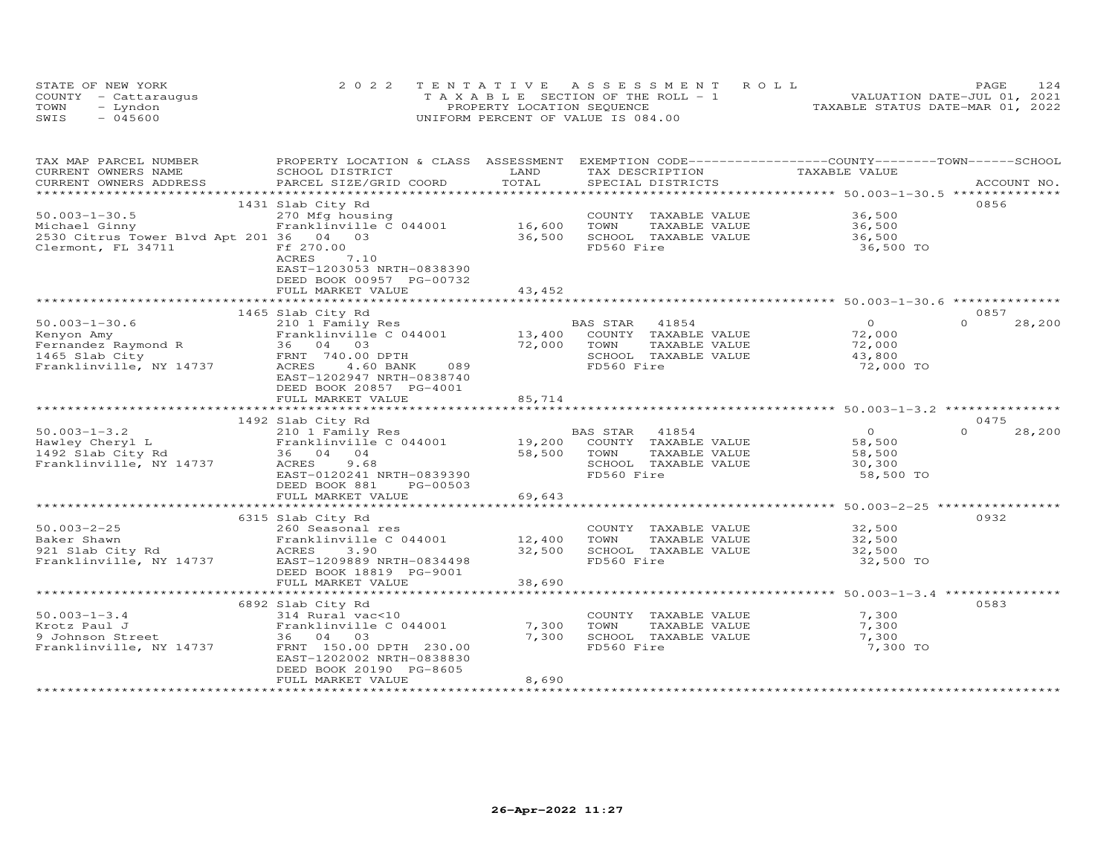|      | STATE OF NEW YORK    | 2022 TENTATIVE ASSESSMENT ROLL        | 124<br>PAGE                      |
|------|----------------------|---------------------------------------|----------------------------------|
|      | COUNTY - Cattaraugus | T A X A B L E SECTION OF THE ROLL - 1 | VALUATION DATE-JUL 01, 2021      |
| TOWN | – Lyndon             | PROPERTY LOCATION SEQUENCE            | TAXABLE STATUS DATE-MAR 01, 2022 |
| SWIS | $-045600$            | UNIFORM PERCENT OF VALUE IS 084.00    |                                  |

| TAX MAP PARCEL NUMBER                                                                                                                                                                                                                                    | PROPERTY LOCATION & CLASS ASSESSMENT EXEMPTION CODE----------------COUNTY-------TOWN------SCHOOL |
|----------------------------------------------------------------------------------------------------------------------------------------------------------------------------------------------------------------------------------------------------------|--------------------------------------------------------------------------------------------------|
| CURRENT OWNERS NAME<br>SCHOOL DISTRICT<br>LAND<br>TAX DESCRIPTION                                                                                                                                                                                        | TAXABLE VALUE                                                                                    |
| PARCEL SIZE/GRID COORD<br>.CURRENT OWNERS ADDRESS PARCEL SIZE/GRID COORD TOTAL SPECIAL DISTRICTS (ACCOUNT NO ACCOUNT NO ACCOUNT NO ACCOUNT NO ACCOUNT NO A LOGGER AND MAXILE ASSESS THAT A LOGGER AND MAXILE SERVER ASSESS THAT A LOGGER AND MAXILE ASSE |                                                                                                  |
|                                                                                                                                                                                                                                                          |                                                                                                  |
| 1431 Slab City Rd                                                                                                                                                                                                                                        | 0856                                                                                             |
| $50.003 - 1 - 30.5$<br>270 Mfg housing<br>Franklinville C 044001               16,600                                                                                                                                                                    | COUNTY TAXABLE VALUE 36,500                                                                      |
| TOWN<br>Michael Ginny                                                                                                                                                                                                                                    | TAXABLE VALUE<br>36,500                                                                          |
| 2530 Citrus Tower Blvd Apt 201 36 04 03<br>36,500<br>SCHOOL TAXABLE VALUE                                                                                                                                                                                | 36,500                                                                                           |
| Clermont, FL 34711<br>FD560 Fire<br>Ff 270.00                                                                                                                                                                                                            | 36,500 TO                                                                                        |
| ACRES<br>7.10                                                                                                                                                                                                                                            |                                                                                                  |
| EAST-1203053 NRTH-0838390                                                                                                                                                                                                                                |                                                                                                  |
| DEED BOOK 00957 PG-00732                                                                                                                                                                                                                                 |                                                                                                  |
| FULL MARKET VALUE<br>43,452                                                                                                                                                                                                                              |                                                                                                  |
|                                                                                                                                                                                                                                                          |                                                                                                  |
| 1465 Slab City Rd                                                                                                                                                                                                                                        | 0857                                                                                             |
| 210 1 Family Res<br>$50.003 - 1 - 30.6$<br>BAS STAR 41854                                                                                                                                                                                                | $\overline{0}$<br>$\Omega$<br>28,200                                                             |
| COUNTY TAXABLE VALUE                                                                                                                                                                                                                                     | 72,000                                                                                           |
|                                                                                                                                                                                                                                                          | TAXABLE VALUE<br>72,000                                                                          |
| SCHOOL TAXABLE VALUE                                                                                                                                                                                                                                     | 43,800                                                                                           |
| 50.003-1-30.6 210 1 Family Res BA<br>Kenyon Amy BA<br>Fernandez Raymond R<br>13,400<br>13,400<br>1465 Slab City FRNT 740.00 DPTH<br>Franklinville, NY 14737 ACRES 4.60 BANK 089<br>72,000 TOWN<br>SCHOO<br>FD560<br>FD560 Fire                           | 72,000 TO                                                                                        |
| EAST-1202947 NRTH-0838740                                                                                                                                                                                                                                |                                                                                                  |
| DEED BOOK 20857 PG-4001                                                                                                                                                                                                                                  |                                                                                                  |
| 85,714<br>FULL MARKET VALUE                                                                                                                                                                                                                              |                                                                                                  |
|                                                                                                                                                                                                                                                          | ************************************50.003-1-3.2 *******************************                 |
|                                                                                                                                                                                                                                                          | 0475                                                                                             |
| 1492 Slab City Rd                                                                                                                                                                                                                                        |                                                                                                  |
|                                                                                                                                                                                                                                                          | $\overline{O}$<br>$\Omega$<br>28,200                                                             |
|                                                                                                                                                                                                                                                          | 58,500                                                                                           |
|                                                                                                                                                                                                                                                          | TAXABLE VALUE<br>58,500                                                                          |
| SCHOOL TAXABLE VALUE                                                                                                                                                                                                                                     | 30,300                                                                                           |
| 58,500 TOWN<br>SCHOC<br>FD560<br>FD560 Fire<br>EAST-0120241 NRTH-0839390                                                                                                                                                                                 | 58,500 TO                                                                                        |
| DEED BOOK 881<br>PG-00503                                                                                                                                                                                                                                |                                                                                                  |
| 69,643<br>FULL MARKET VALUE                                                                                                                                                                                                                              |                                                                                                  |
|                                                                                                                                                                                                                                                          |                                                                                                  |
| 6315 Slab City Rd                                                                                                                                                                                                                                        | 0932                                                                                             |
| $50.003 - 2 - 25$<br>260 Seasonal res                                                                                                                                                                                                                    | COUNTY TAXABLE VALUE 32,500                                                                      |
| TOWN                                                                                                                                                                                                                                                     | TAXABLE VALUE 32,500                                                                             |
| SCHOOL TAXABLE VALUE                                                                                                                                                                                                                                     | 32,500                                                                                           |
| FD560 Fire                                                                                                                                                                                                                                               | 32,500 TO                                                                                        |
| DEED BOOK 18819 PG-9001                                                                                                                                                                                                                                  |                                                                                                  |
| FULL MARKET VALUE<br>38,690                                                                                                                                                                                                                              |                                                                                                  |
|                                                                                                                                                                                                                                                          |                                                                                                  |
| 6892 Slab City Rd                                                                                                                                                                                                                                        | 0583                                                                                             |
| $50.003 - 1 - 3.4$<br>COUNTY TAXABLE VALUE                                                                                                                                                                                                               | 7,300                                                                                            |
| TOWN<br>Krotz Paul J                                                                                                                                                                                                                                     | TAXABLE VALUE 7,300                                                                              |
| 9 Johnson Street<br>SCHOOL TAXABLE VALUE                                                                                                                                                                                                                 | 7,300                                                                                            |
| 314 Rural vac<10<br>Franklinville C 044001 7,300<br>36 04 03 7,300<br>Franklinville, NY 14737 FRNT 150.00 DPTH 230.00<br>FD560 Fire                                                                                                                      | 7,300 TO                                                                                         |
| EAST-1202002 NRTH-0838830                                                                                                                                                                                                                                |                                                                                                  |
| DEED BOOK 20190 PG-8605                                                                                                                                                                                                                                  |                                                                                                  |
| 8,690<br>FULL MARKET VALUE                                                                                                                                                                                                                               |                                                                                                  |
|                                                                                                                                                                                                                                                          |                                                                                                  |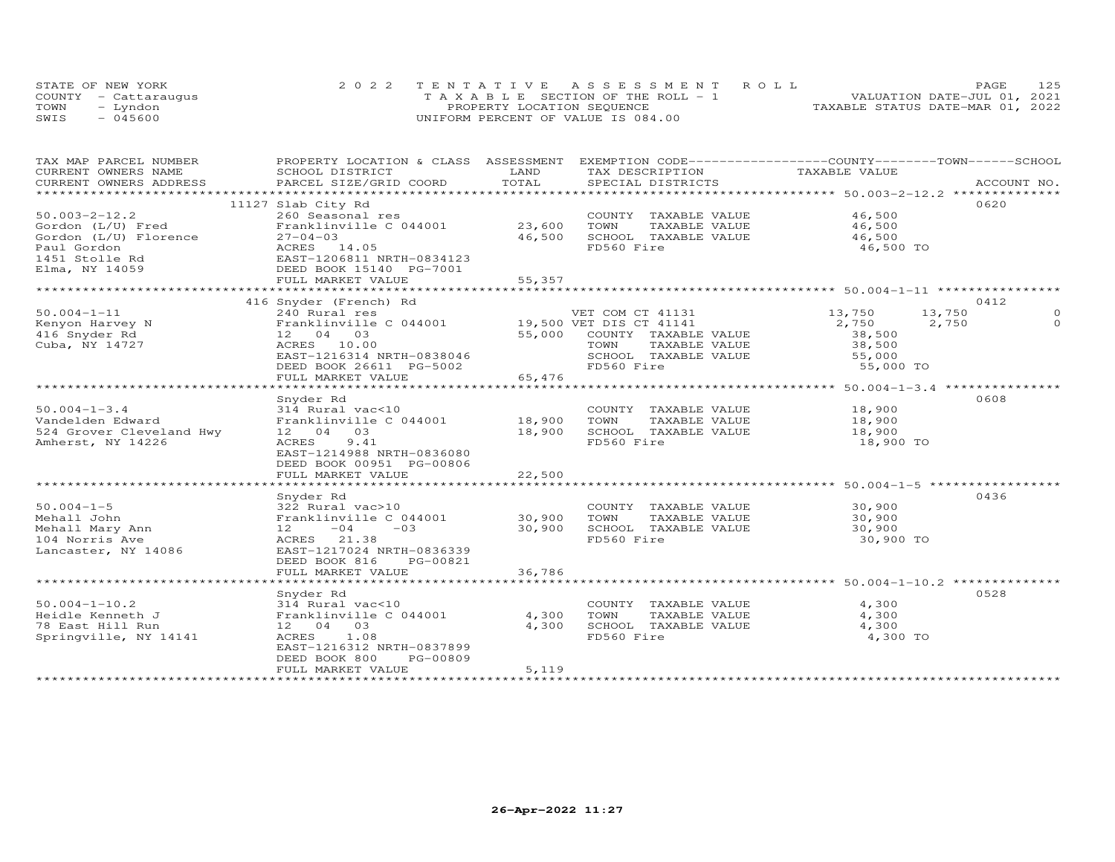|      | STATE OF NEW YORK    | 2022 TENTATIVE ASSESSMENT ROLL        | PAGE.                            | 125 |
|------|----------------------|---------------------------------------|----------------------------------|-----|
|      | COUNTY - Cattaraugus | T A X A B L E SECTION OF THE ROLL - 1 | VALUATION DATE-JUL 01, 2021      |     |
| TOWN | – Lyndon             | PROPERTY LOCATION SEQUENCE            | TAXABLE STATUS DATE-MAR 01, 2022 |     |
| SWIS | $-045600$            | UNIFORM PERCENT OF VALUE IS 084.00    |                                  |     |

| TAX MAP PARCEL NUMBER    |                                                                                                  |        | PROPERTY LOCATION & CLASS ASSESSMENT EXEMPTION CODE-----------------COUNTY-------TOWN------SCHOOL |                  |             |
|--------------------------|--------------------------------------------------------------------------------------------------|--------|---------------------------------------------------------------------------------------------------|------------------|-------------|
| CURRENT OWNERS NAME      | SCHOOL DISTRICT                                                                                  | LAND   | TAX DESCRIPTION                                                                                   | TAXABLE VALUE    |             |
| CURRENT OWNERS ADDRESS   | PARCEL SIZE/GRID COORD                                                                           | TOTAL  | SPECIAL DISTRICTS                                                                                 |                  | ACCOUNT NO. |
|                          |                                                                                                  |        |                                                                                                   |                  |             |
|                          | 11127 Slab City Rd                                                                               |        |                                                                                                   |                  | 0620        |
| $50.003 - 2 - 12.2$      | 260 Seasonal res                                                                                 |        | COUNTY TAXABLE VALUE                                                                              | 46,500           |             |
| Gordon (L/U) Fred        | Franklinville C 044001                                                                           | 23,600 | TOWN<br>TAXABLE VALUE                                                                             | 46,500           |             |
| Gordon (L/U) Florence    | $27 - 04 - 03$                                                                                   | 46,500 | SCHOOL TAXABLE VALUE                                                                              | 46,500           |             |
| Paul Gordon              | ACRES 14.05                                                                                      |        | FD560 Fire                                                                                        | 46,500 TO        |             |
| 1451 Stolle Rd           |                                                                                                  |        |                                                                                                   |                  |             |
| Elma, NY 14059           | ACRES 14.05<br>EAST-1206811 NRTH-0834123<br>DEED BOOK 15140 PG-7001<br>PIII MACRES 15140 PG-7001 |        |                                                                                                   |                  |             |
|                          | FULL MARKET VALUE                                                                                | 55,357 |                                                                                                   |                  |             |
|                          |                                                                                                  |        |                                                                                                   |                  |             |
|                          | 416 Snyder (French) Rd                                                                           |        |                                                                                                   |                  | 0412        |
| $50.004 - 1 - 11$        | 240 Rural res<br>240 Rufai res<br>Franklinville C 044001 19,500 VET DIS CT 41141                 |        | VET COM CT 41131                                                                                  | 13,750<br>13,750 |             |
| Kenyon Harvey N          |                                                                                                  |        |                                                                                                   | 2,750<br>2,750   | $\Omega$    |
| 416 Snyder Rd            | 12 04 03                                                                                         |        | 55,000 COUNTY TAXABLE VALUE                                                                       | 38,500           |             |
| Cuba, NY 14727           | ACRES 10.00                                                                                      |        | TOWN<br>TAXABLE VALUE                                                                             | 38,500           |             |
|                          | EAST-1216314 NRTH-0838046                                                                        |        | SCHOOL TAXABLE VALUE                                                                              | 55,000           |             |
|                          | DEED BOOK 26611 PG-5002                                                                          |        | FD560 Fire                                                                                        | 55,000 TO        |             |
|                          | FULL MARKET VALUE                                                                                | 65,476 |                                                                                                   |                  |             |
|                          |                                                                                                  |        |                                                                                                   |                  |             |
|                          | Snyder Rd                                                                                        |        |                                                                                                   |                  | 0608        |
| $50.004 - 1 - 3.4$       | 314 Rural vac<10                                                                                 |        | COUNTY TAXABLE VALUE                                                                              | 18,900           |             |
| Vandelden Edward         | Franklinville C 044001 18,900                                                                    |        | TOWN<br>TAXABLE VALUE                                                                             | 18,900           |             |
| 524 Grover Cleveland Hwy | 12 04 03                                                                                         | 18,900 | SCHOOL TAXABLE VALUE                                                                              | 18,900           |             |
| Amherst, NY 14226        | ACRES<br>9.41                                                                                    |        | FD560 Fire                                                                                        | 18,900 TO        |             |
|                          | EAST-1214988 NRTH-0836080                                                                        |        |                                                                                                   |                  |             |
|                          | DEED BOOK 00951 PG-00806                                                                         |        |                                                                                                   |                  |             |
|                          | FULL MARKET VALUE                                                                                | 22,500 |                                                                                                   |                  |             |
|                          |                                                                                                  |        |                                                                                                   |                  |             |
|                          | Snyder Rd                                                                                        |        |                                                                                                   |                  | 0436        |
| $50.004 - 1 - 5$         | 322 Rural vac>10                                                                                 |        | COUNTY TAXABLE VALUE                                                                              | 30,900           |             |
| Mehall John              | Franklinville C 044001                                                                           | 30,900 | TOWN<br>TAXABLE VALUE                                                                             | 30,900           |             |
| Mehall Mary Ann          | $12 -04 -03$                                                                                     | 30,900 | SCHOOL TAXABLE VALUE                                                                              | 30,900           |             |
| 104 Norris Ave           | ACRES 21.38                                                                                      |        | FD560 Fire                                                                                        | 30,900 TO        |             |
| Lancaster, NY 14086      | EAST-1217024 NRTH-0836339                                                                        |        |                                                                                                   |                  |             |
|                          | DEED BOOK 816<br>PG-00821                                                                        |        |                                                                                                   |                  |             |
|                          | FULL MARKET VALUE                                                                                | 36,786 |                                                                                                   |                  |             |
|                          |                                                                                                  |        |                                                                                                   |                  |             |
|                          | Snyder Rd                                                                                        |        |                                                                                                   |                  | 0528        |
| $50.004 - 1 - 10.2$      |                                                                                                  |        | COUNTY TAXABLE VALUE                                                                              | 4,300            |             |
| Heidle Kenneth J         | 314 Rural vac<10<br>Franklinville C 044001                                                       | 4,300  | TOWN<br>TAXABLE VALUE                                                                             | 4,300            |             |
| 78 East Hill Run         | 12 04 03                                                                                         | 4,300  | SCHOOL TAXABLE VALUE                                                                              | 4,300            |             |
| Springville, NY 14141    | ACRES 1.08                                                                                       |        | FD560 Fire                                                                                        | 4,300 TO         |             |
|                          | EAST-1216312 NRTH-0837899                                                                        |        |                                                                                                   |                  |             |
|                          | PG-00809<br>DEED BOOK 800                                                                        |        |                                                                                                   |                  |             |
|                          | FULL MARKET VALUE                                                                                | 5,119  |                                                                                                   |                  |             |
|                          |                                                                                                  |        |                                                                                                   |                  |             |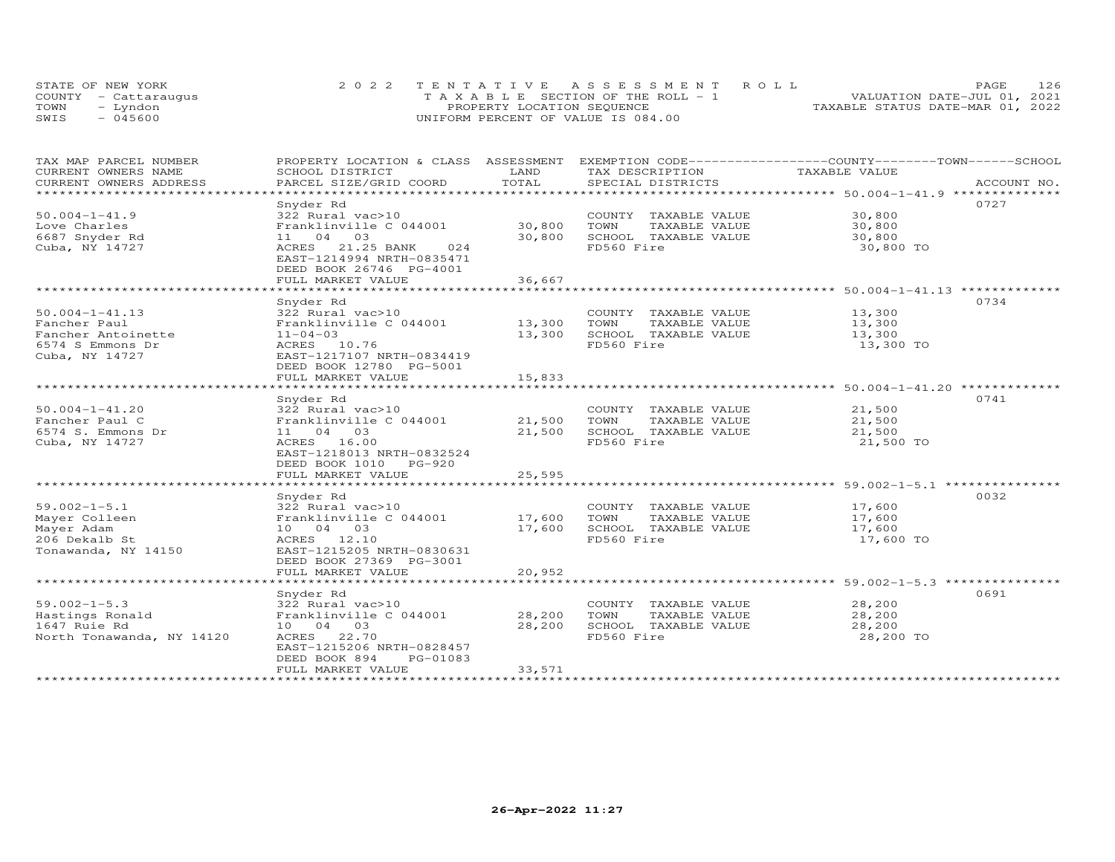| STATE OF NEW YORK    | 2022 TENTATIVE ASSESSMENT ROLL        | 126<br><b>PAGE</b>               |
|----------------------|---------------------------------------|----------------------------------|
| COUNTY - Cattaraugus | T A X A B L E SECTION OF THE ROLL - 1 | VALUATION DATE-JUL 01, 2021      |
| TOWN<br>– Lyndon     | PROPERTY LOCATION SEQUENCE            | TAXABLE STATUS DATE-MAR 01, 2022 |
| SWIS<br>- 045600     | UNIFORM PERCENT OF VALUE IS 084.00    |                                  |

| TAX MAP PARCEL NUMBER     | PROPERTY LOCATION & CLASS ASSESSMENT |            |                       | EXEMPTION CODE-----------------COUNTY-------TOWN------SCHOOL   |
|---------------------------|--------------------------------------|------------|-----------------------|----------------------------------------------------------------|
| CURRENT OWNERS NAME       | SCHOOL DISTRICT                      | LAND       | TAX DESCRIPTION       | TAXABLE VALUE                                                  |
| CURRENT OWNERS ADDRESS    | PARCEL SIZE/GRID COORD               | TOTAL      | SPECIAL DISTRICTS     | ACCOUNT NO.                                                    |
| ************************  |                                      |            |                       |                                                                |
|                           | Snyder Rd                            |            |                       | 0727                                                           |
| $50.004 - 1 - 41.9$       | 322 Rural vac>10                     |            | COUNTY TAXABLE VALUE  | 30,800                                                         |
| Love Charles              | Franklinville C 044001               | 30,800     | TOWN<br>TAXABLE VALUE | 30,800                                                         |
| 6687 Snyder Rd            | 11 04 03                             | 30,800     | SCHOOL TAXABLE VALUE  | 30,800                                                         |
| Cuba, NY 14727            | ACRES 21.25 BANK<br>024              |            | FD560 Fire            | 30,800 TO                                                      |
|                           | EAST-1214994 NRTH-0835471            |            |                       |                                                                |
|                           | DEED BOOK 26746 PG-4001              |            |                       |                                                                |
|                           | FULL MARKET VALUE                    | 36,667     |                       |                                                                |
|                           | ************************             | ********** |                       | ******************************** 50.004-1-41.13 ************** |
|                           | Snyder Rd                            |            |                       | 0734                                                           |
| $50.004 - 1 - 41.13$      | 322 Rural vac>10                     |            | COUNTY TAXABLE VALUE  | 13,300                                                         |
| Fancher Paul              | Franklinville C 044001               | 13,300     | TOWN<br>TAXABLE VALUE | 13,300                                                         |
| Fancher Antoinette        | $11 - 04 - 03$                       | 13,300     | SCHOOL TAXABLE VALUE  | 13,300                                                         |
| 6574 S Emmons Dr          | ACRES 10.76                          |            | FD560 Fire            | 13,300 TO                                                      |
| Cuba, NY 14727            | EAST-1217107 NRTH-0834419            |            |                       |                                                                |
|                           | DEED BOOK 12780 PG-5001              |            |                       |                                                                |
|                           | FULL MARKET VALUE                    | 15,833     |                       |                                                                |
|                           |                                      |            |                       |                                                                |
|                           | Snyder Rd                            |            |                       | 0741                                                           |
| $50.004 - 1 - 41.20$      | 322 Rural vac>10                     |            | COUNTY TAXABLE VALUE  | 21,500                                                         |
| Fancher Paul C            | Franklinville C 044001               | 21,500     | TOWN<br>TAXABLE VALUE | 21,500                                                         |
| 6574 S. Emmons Dr         | 11 04 03                             | 21,500     | SCHOOL TAXABLE VALUE  | 21,500                                                         |
| Cuba, NY 14727            | ACRES 16.00                          |            | FD560 Fire            | 21,500 TO                                                      |
|                           | EAST-1218013 NRTH-0832524            |            |                       |                                                                |
|                           | DEED BOOK 1010 PG-920                |            |                       |                                                                |
|                           | FULL MARKET VALUE                    | 25,595     |                       |                                                                |
|                           |                                      |            |                       |                                                                |
|                           | Snyder Rd                            |            |                       | 0032                                                           |
| $59.002 - 1 - 5.1$        | 322 Rural vac>10                     |            | COUNTY TAXABLE VALUE  | 17,600                                                         |
| Mayer Colleen             | Franklinville C 044001               | 17,600     | TOWN<br>TAXABLE VALUE | 17,600                                                         |
| Mayer Adam                | 10 04 03                             | 17,600     | SCHOOL TAXABLE VALUE  | 17,600                                                         |
| 206 Dekalb St             | ACRES 12.10                          |            | FD560 Fire            | 17,600 TO                                                      |
| Tonawanda, NY 14150       | EAST-1215205 NRTH-0830631            |            |                       |                                                                |
|                           | DEED BOOK 27369 PG-3001              |            |                       |                                                                |
|                           | FULL MARKET VALUE                    | 20,952     |                       |                                                                |
|                           |                                      |            |                       |                                                                |
|                           | Snyder Rd                            |            |                       | 0691                                                           |
| $59.002 - 1 - 5.3$        | 322 Rural vac>10                     |            | COUNTY TAXABLE VALUE  | 28,200                                                         |
| Hastings Ronald           | Franklinville C 044001               | 28,200     | TAXABLE VALUE<br>TOWN | 28,200                                                         |
| 1647 Ruie Rd              | 10 04 03                             | 28,200     | SCHOOL TAXABLE VALUE  | 28,200                                                         |
| North Tonawanda, NY 14120 | ACRES 22.70                          |            | FD560 Fire            | 28,200 TO                                                      |
|                           | EAST-1215206 NRTH-0828457            |            |                       |                                                                |
|                           | DEED BOOK 894<br>PG-01083            |            |                       |                                                                |
|                           | FULL MARKET VALUE                    | 33,571     |                       |                                                                |
|                           |                                      |            |                       |                                                                |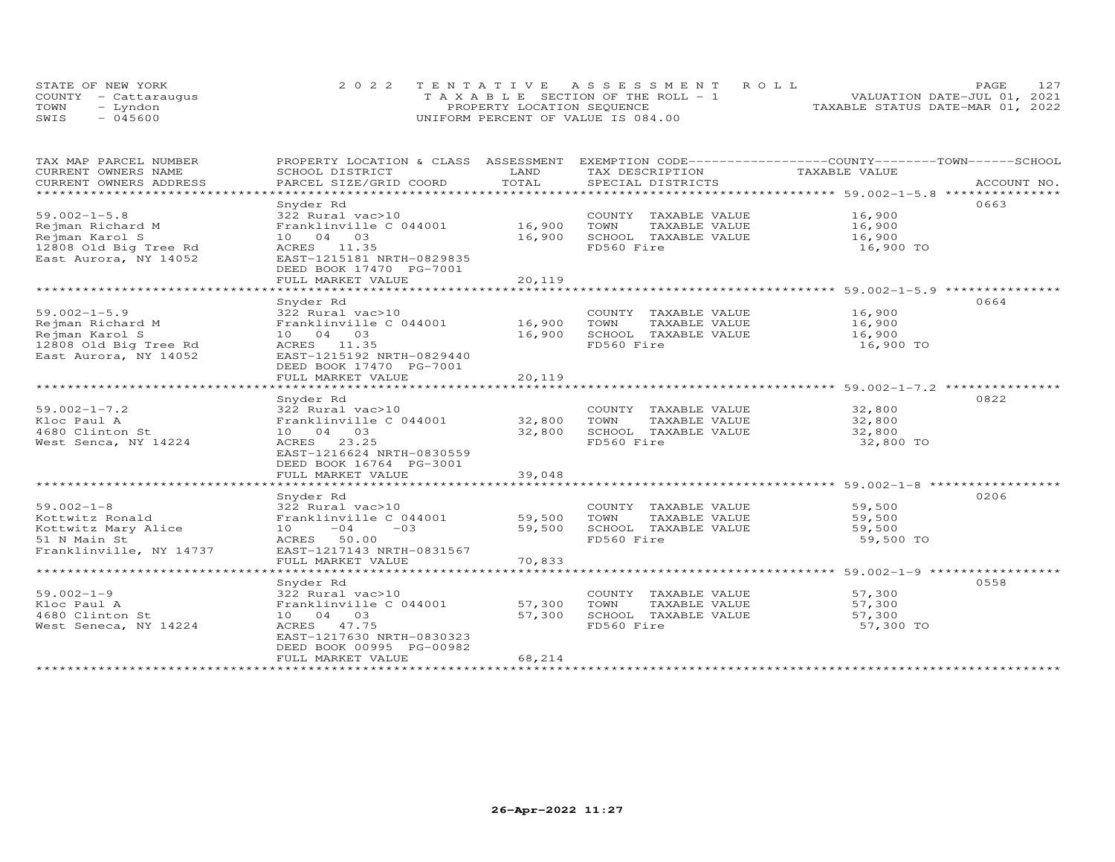|      | STATE OF NEW YORK    | 2022 TENTATIVE ASSESSMENT ROLL        | <b>PAGE</b>                      | 127 |
|------|----------------------|---------------------------------------|----------------------------------|-----|
|      | COUNTY - Cattaraugus | T A X A B L E SECTION OF THE ROLL - 1 | VALUATION DATE-JUL 01, 2021      |     |
| TOWN | - Lyndon             | PROPERTY LOCATION SEQUENCE            | TAXABLE STATUS DATE-MAR 01, 2022 |     |
| SWIS | $-045600$            | UNIFORM PERCENT OF VALUE IS 084.00    |                                  |     |

| TAX MAP PARCEL NUMBER<br>CURRENT OWNERS NAME<br>CURRENT OWNERS ADDRESS                                     | PROPERTY LOCATION & CLASS ASSESSMENT<br>SCHOOL DISTRICT<br>PARCEL SIZE/GRID COORD                                                                                      | LAND<br>TOTAL              | EXEMPTION CODE-----------------COUNTY-------TOWN------SCHOOL<br>TAX DESCRIPTION<br>SPECIAL DISTRICTS | TAXABLE VALUE                                                                                                                     | ACCOUNT NO. |
|------------------------------------------------------------------------------------------------------------|------------------------------------------------------------------------------------------------------------------------------------------------------------------------|----------------------------|------------------------------------------------------------------------------------------------------|-----------------------------------------------------------------------------------------------------------------------------------|-------------|
| *************************                                                                                  |                                                                                                                                                                        |                            |                                                                                                      |                                                                                                                                   |             |
| $59.002 - 1 - 5.8$<br>Rejman Richard M<br>Rejman Karol S<br>12808 Old Big Tree Rd<br>East Aurora, NY 14052 | Snyder Rd<br>322 Rural vac>10<br>Franklinville C 044001<br>10 04 03<br>ACRES 11.35<br>EAST-1215181 NRTH-0829835<br>DEED BOOK 17470 PG-7001<br>FULL MARKET VALUE        | 16,900<br>16,900<br>20,119 | COUNTY TAXABLE VALUE<br>TOWN<br>TAXABLE VALUE<br>SCHOOL TAXABLE VALUE<br>FD560 Fire                  | 16,900<br>$10, 900$<br>$16, 900$<br>16,900 TO<br>***********************************59.002-1-5.9 ******************************** | 0663        |
| $59.002 - 1 - 5.9$<br>Rejman Richard M<br>Rejman Karol S<br>12808 Old Big Tree Rd<br>East Aurora, NY 14052 | Snyder Rd<br>322 Rural vac>10<br>Franklinville C 044001 16,900<br>10 04 03<br>ACRES 11.35<br>EAST-1215192 NRTH-0829440<br>DEED BOOK 17470 PG-7001<br>FULL MARKET VALUE | 16,900<br>20,119           | COUNTY TAXABLE VALUE 16,900<br>TOWN<br>TAXABLE VALUE<br>SCHOOL TAXABLE VALUE<br>FD560 Fire           | 16,900<br>16,900<br>16,900 TO                                                                                                     | 0664        |
| $59.002 - 1 - 7.2$<br>Kloc Paul A<br>4680 Clinton St<br>West Senca, NY 14224                               | Snyder Rd<br>322 Rural vac>10<br>Franklinville C 044001 32,800<br>10 04 03<br>ACRES 23.25<br>EAST-1216624 NRTH-0830559<br>DEED BOOK 16764 PG-3001<br>FULL MARKET VALUE | 32,800<br>39,048           | COUNTY TAXABLE VALUE<br>TOWN<br>TAXABLE VALUE<br>SCHOOL TAXABLE VALUE<br>FD560 Fire                  | 32,800<br>32,800<br>32,800<br>32,800 TO                                                                                           | 0822        |
| $59.002 - 1 - 8$<br>Kottwitz Ronald<br>Kottwitz Mary Alice<br>51 N Main St<br>Franklinville, NY 14737      | Snyder Rd<br>322 Rural vac>10<br>Franklinville C 044001<br>$-03$<br>$10 -04$<br>ACRES 50.00<br>EAST-1217143 NRTH-0831567<br>FULL MARKET VALUE                          | 59,500<br>59,500<br>70,833 | COUNTY TAXABLE VALUE<br>TAXABLE VALUE<br>TOWN<br>SCHOOL TAXABLE VALUE<br>FD560 Fire                  | 59,500<br>59,500<br>59,500<br>59,500 TO                                                                                           | 0206        |
| $59.002 - 1 - 9$<br>Kloc Paul A<br>4680 Clinton St<br>West Seneca, NY 14224<br>*********************       | Snyder Rd<br>322 Rural vac>10<br>Franklinville C 044001<br>10 04 03<br>ACRES 47.75<br>EAST-1217630 NRTH-0830323<br>DEED BOOK 00995 PG-00982<br>FULL MARKET VALUE       | 57,300<br>57,300<br>68,214 | COUNTY TAXABLE VALUE<br>TOWN<br>TAXABLE VALUE<br>SCHOOL TAXABLE VALUE<br>FD560 Fire                  | 57,300<br>57,300<br>57,300<br>57,300 TO                                                                                           | 0558        |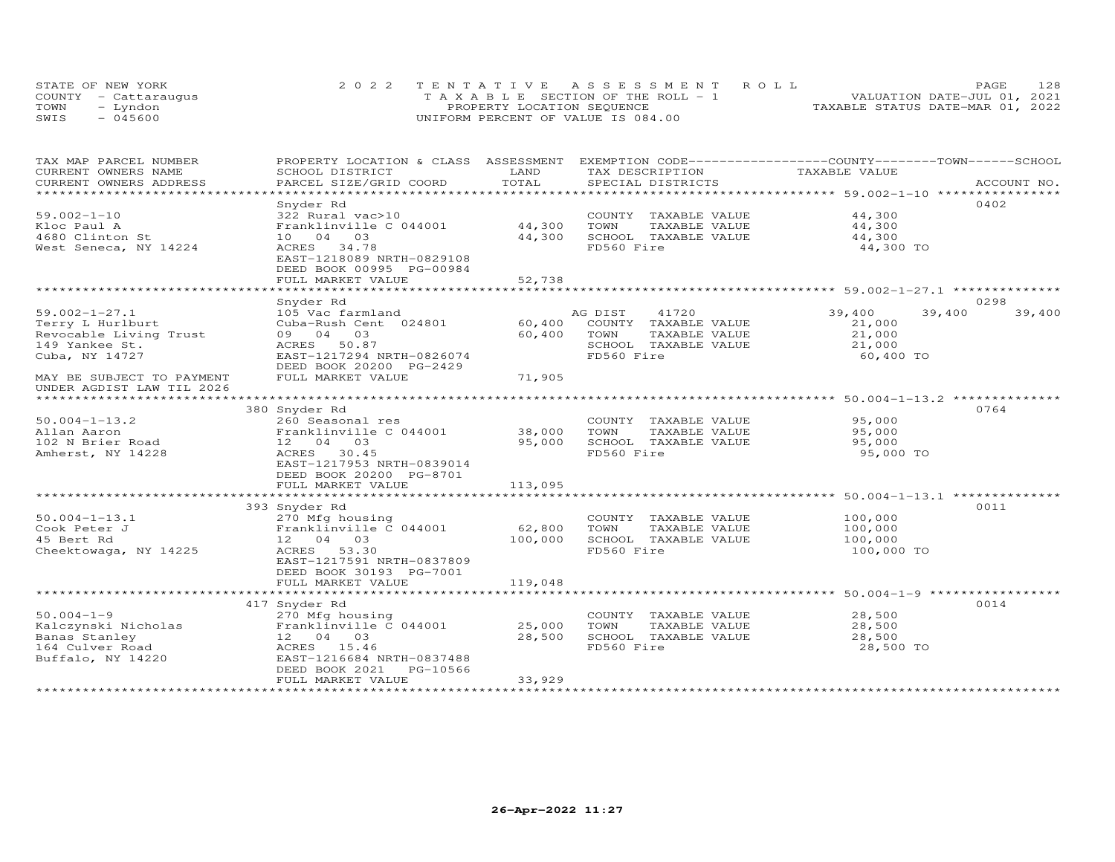| STATE OF NEW YORK    | 2022 TENTATIVE ASSESSMENT ROLL        | 128<br><b>PAGE</b>               |
|----------------------|---------------------------------------|----------------------------------|
| COUNTY - Cattaraugus | T A X A B L E SECTION OF THE ROLL - 1 | VALUATION DATE-JUL 01, 2021      |
| TOWN<br>- Lyndon     | PROPERTY LOCATION SEQUENCE            | TAXABLE STATUS DATE-MAR 01, 2022 |
| $-045600$<br>SWIS    | UNIFORM PERCENT OF VALUE IS 084.00    |                                  |

| TAX MAP PARCEL NUMBER<br>CURRENT OWNERS NAME | PROPERTY LOCATION & CLASS ASSESSMENT<br>SCHOOL DISTRICT | LAND    | EXEMPTION CODE-----------------COUNTY-------TOWN------SCHOOL<br>TAX DESCRIPTION | TAXABLE VALUE |                  |
|----------------------------------------------|---------------------------------------------------------|---------|---------------------------------------------------------------------------------|---------------|------------------|
| CURRENT OWNERS ADDRESS                       | PARCEL SIZE/GRID COORD                                  | TOTAL   | SPECIAL DISTRICTS                                                               |               | ACCOUNT NO.      |
| **********************                       |                                                         |         |                                                                                 |               |                  |
|                                              | Snyder Rd                                               |         |                                                                                 |               | 0402             |
| $59.002 - 1 - 10$                            | 322 Rural vac>10                                        |         | COUNTY TAXABLE VALUE                                                            | 44,300        |                  |
| Kloc Paul A                                  | Franklinville C 044001                                  | 44,300  | TOWN<br>TAXABLE VALUE                                                           | 44,300        |                  |
| 4680 Clinton St                              | 10 04 03                                                | 44,300  | SCHOOL TAXABLE VALUE                                                            | 44,300        |                  |
| West Seneca, NY 14224                        | ACRES 34.78                                             |         | FD560 Fire                                                                      | 44,300 TO     |                  |
|                                              | EAST-1218089 NRTH-0829108                               |         |                                                                                 |               |                  |
|                                              | DEED BOOK 00995 PG-00984                                |         |                                                                                 |               |                  |
|                                              | FULL MARKET VALUE                                       | 52,738  |                                                                                 |               |                  |
|                                              |                                                         |         |                                                                                 |               |                  |
|                                              | Snyder Rd                                               |         |                                                                                 |               | 0298             |
| $59.002 - 1 - 27.1$                          | 105 Vac farmland                                        |         | 41720<br>AG DIST                                                                | 39,400        | 39,400<br>39,400 |
| Terry L Hurlburt                             | Cuba-Rush Cent 024801                                   | 60,400  | COUNTY TAXABLE VALUE                                                            | 21,000        |                  |
| Revocable Living Trust                       | 03<br>09 04                                             | 60,400  | TOWN<br>TAXABLE VALUE                                                           | 21,000        |                  |
| 149 Yankee St.                               | 50.87<br>ACRES                                          |         | SCHOOL TAXABLE VALUE                                                            | 21,000        |                  |
| Cuba, NY 14727                               | EAST-1217294 NRTH-0826074                               |         | FD560 Fire                                                                      | 60,400 TO     |                  |
|                                              | DEED BOOK 20200 PG-2429                                 |         |                                                                                 |               |                  |
| MAY BE SUBJECT TO PAYMENT                    | FULL MARKET VALUE                                       | 71,905  |                                                                                 |               |                  |
| UNDER AGDIST LAW TIL 2026                    |                                                         |         |                                                                                 |               |                  |
|                                              |                                                         |         |                                                                                 |               |                  |
|                                              | 380 Snyder Rd                                           |         |                                                                                 |               | 0764             |
| $50.004 - 1 - 13.2$                          | 260 Seasonal res                                        |         | COUNTY TAXABLE VALUE                                                            | 95,000        |                  |
| Allan Aaron                                  | Franklinville C 044001                                  | 38,000  | TOWN<br>TAXABLE VALUE                                                           | 95,000        |                  |
| 102 N Brier Road                             | 12 04 03                                                | 95,000  | SCHOOL TAXABLE VALUE                                                            | 95,000        |                  |
| Amherst, NY 14228                            | 30.45<br>ACRES                                          |         | FD560 Fire                                                                      | 95,000 TO     |                  |
|                                              | EAST-1217953 NRTH-0839014                               |         |                                                                                 |               |                  |
|                                              | DEED BOOK 20200 PG-8701                                 |         |                                                                                 |               |                  |
|                                              | FULL MARKET VALUE                                       | 113,095 | ********************************** 50.004-1-13.1 ***************                |               |                  |
|                                              | 393 Snyder Rd                                           |         |                                                                                 |               | 0011             |
| $50.004 - 1 - 13.1$                          | 270 Mfg housing                                         |         | COUNTY TAXABLE VALUE                                                            | 100,000       |                  |
| Cook Peter J                                 | Franklinville C 044001                                  | 62,800  | TOWN<br>TAXABLE VALUE                                                           | 100,000       |                  |
| 45 Bert Rd                                   | 12 04 03                                                | 100,000 | SCHOOL TAXABLE VALUE                                                            | 100,000       |                  |
| Cheektowaga, NY 14225                        | ACRES<br>53.30                                          |         | FD560 Fire                                                                      | 100,000 TO    |                  |
|                                              | EAST-1217591 NRTH-0837809                               |         |                                                                                 |               |                  |
|                                              | DEED BOOK 30193 PG-7001                                 |         |                                                                                 |               |                  |
|                                              | FULL MARKET VALUE                                       | 119,048 |                                                                                 |               |                  |
|                                              |                                                         |         |                                                                                 |               |                  |
|                                              | 417 Snyder Rd                                           |         |                                                                                 |               | 0014             |
| $50.004 - 1 - 9$                             | 270 Mfg housing                                         |         | COUNTY TAXABLE VALUE                                                            | 28,500        |                  |
| Kalczynski Nicholas                          | Franklinville C 044001                                  | 25,000  | TOWN<br>TAXABLE VALUE                                                           | 28,500        |                  |
| Banas Stanley                                | 12 04 03                                                | 28,500  | SCHOOL TAXABLE VALUE                                                            | 28,500        |                  |
| 164 Culver Road                              | ACRES 15.46                                             |         | FD560 Fire                                                                      | 28,500 TO     |                  |
| Buffalo, NY 14220                            | EAST-1216684 NRTH-0837488                               |         |                                                                                 |               |                  |
|                                              | DEED BOOK 2021<br>PG-10566                              |         |                                                                                 |               |                  |
|                                              | FULL MARKET VALUE                                       | 33,929  |                                                                                 |               |                  |
|                                              |                                                         |         |                                                                                 |               |                  |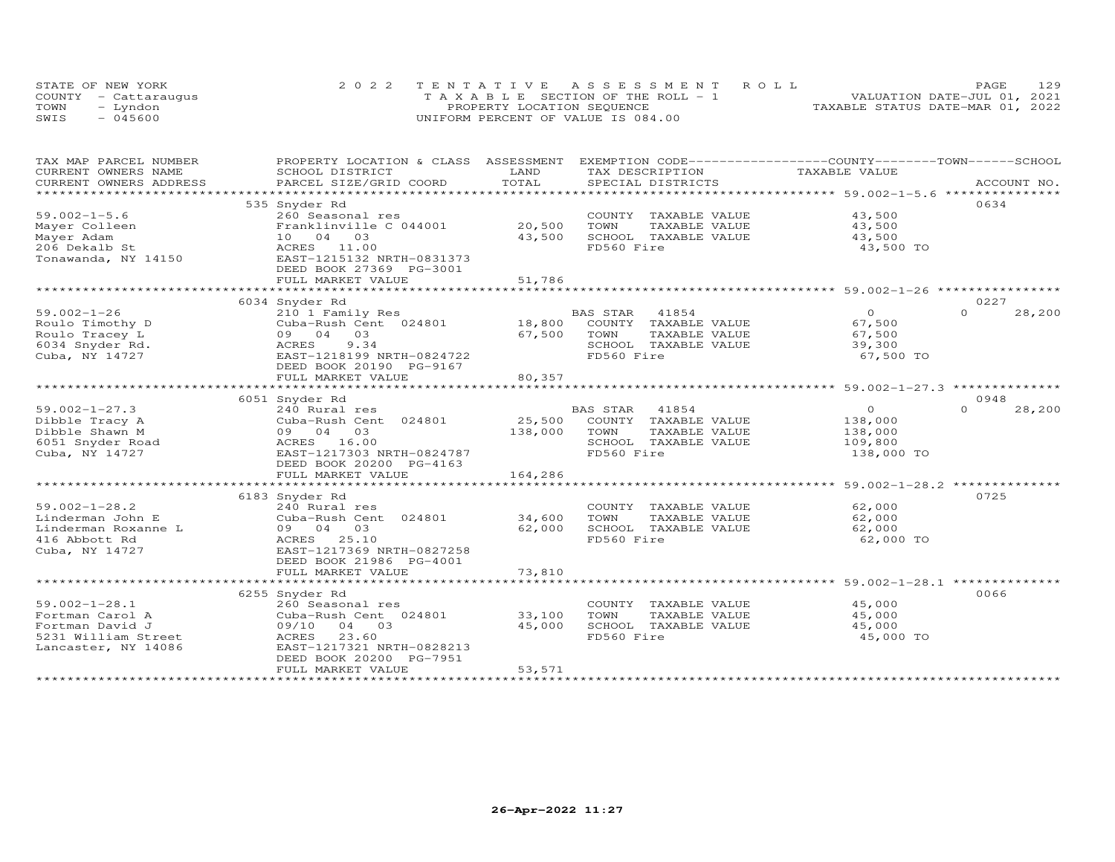| STATE OF NEW YORK    | 2022 TENTATIVE ASSESSMENT ROLL        |                                  | PAGE. | 129 |
|----------------------|---------------------------------------|----------------------------------|-------|-----|
| COUNTY - Cattaraugus | T A X A B L E SECTION OF THE ROLL - 1 | VALUATION DATE-JUL 01, 2021      |       |     |
| TOWN<br>– Lyndon     | PROPERTY LOCATION SEQUENCE            | TAXABLE STATUS DATE-MAR 01, 2022 |       |     |
| $-045600$<br>SWIS    | UNIFORM PERCENT OF VALUE IS 084.00    |                                  |       |     |

| TAX MAP PARCEL NUMBER              | PROPERTY LOCATION & CLASS ASSESSMENT EXEMPTION CODE----------------COUNTY-------TOWN------SCHOOL |             |                                       |                                                         |                    |
|------------------------------------|--------------------------------------------------------------------------------------------------|-------------|---------------------------------------|---------------------------------------------------------|--------------------|
| CURRENT OWNERS NAME                | SCHOOL DISTRICT                                                                                  | LAND        | TAX DESCRIPTION                       | TAXABLE VALUE                                           |                    |
| CURRENT OWNERS ADDRESS             |                                                                                                  | TOTAL       |                                       |                                                         |                    |
| *************************          |                                                                                                  |             |                                       |                                                         |                    |
|                                    | 535 Snyder Rd                                                                                    |             |                                       |                                                         | 0634               |
| $59.002 - 1 - 5.6$                 | 260 Seasonal res                                                                                 |             | COUNTY TAXABLE VALUE                  | 43,500                                                  |                    |
| Mayer Colleen                      | Franklinville C 044001                                                                           | 20,500      | TOWN<br>TAXABLE VALUE                 | 43,500                                                  |                    |
| Mayer Adam                         | 10 04 03                                                                                         | 43,500      | SCHOOL TAXABLE VALUE                  | 43,500                                                  |                    |
| 206 Dekalb St                      | ACRES 11.00                                                                                      |             | FD560 Fire                            | 43,500 TO                                               |                    |
| Tonawanda, NY 14150                | EAST-1215132 NRTH-0831373                                                                        |             |                                       |                                                         |                    |
|                                    | DEED BOOK 27369 PG-3001                                                                          |             |                                       |                                                         |                    |
|                                    | FULL MARKET VALUE                                                                                | 51,786      |                                       |                                                         |                    |
|                                    | **************************                                                                       | *********** |                                       | .***************************** 59.002-1-26 ************ |                    |
|                                    |                                                                                                  |             |                                       |                                                         | 0227               |
|                                    | 6034 Snyder Rd                                                                                   |             |                                       |                                                         | $\Omega$           |
| $59.002 - 1 - 26$                  | 210 1 Family Res                                                                                 |             | BAS STAR<br>41854                     | $\overline{O}$                                          | 28,200             |
| Roulo Timothy D                    | Cuba-Rush Cent 024801                                                                            | 18,800      | COUNTY TAXABLE VALUE                  | 67,500                                                  |                    |
| Roulo Tracey L                     | 09 04 03                                                                                         | 67,500      | TOWN<br>TAXABLE VALUE                 | 67,500                                                  |                    |
| 6034 Snyder Rd.                    | 9.34<br>ACRES                                                                                    |             | SCHOOL TAXABLE VALUE                  | 39,300                                                  |                    |
| Cuba, NY 14727                     | EAST-1218199 NRTH-0824722                                                                        |             | FD560 Fire                            | 67,500 TO                                               |                    |
|                                    | DEED BOOK 20190 PG-9167                                                                          |             |                                       |                                                         |                    |
|                                    | FULL MARKET VALUE                                                                                | 80,357      |                                       |                                                         |                    |
|                                    |                                                                                                  |             |                                       |                                                         |                    |
|                                    | 6051 Snyder Rd                                                                                   |             |                                       |                                                         | 0948               |
| $59.002 - 1 - 27.3$                | 240 Rural res                                                                                    |             | BAS STAR<br>41854                     | $\overline{0}$                                          | $\Omega$<br>28,200 |
| Dibble Tracy A                     | Cuba-Rush Cent 024801                                                                            |             | 25,500 COUNTY TAXABLE VALUE           | 138,000                                                 |                    |
| Dibble Shawn M                     | 09 04 03                                                                                         | 138,000     | TOWN<br>TAXABLE VALUE                 | 138,000                                                 |                    |
| 6051 Snyder Road<br>Cuba. NY 14727 | ACRES 16.00                                                                                      |             | SCHOOL TAXABLE VALUE                  | 109,800                                                 |                    |
| Cuba, NY 14727                     | EAST-1217303 NRTH-0824787                                                                        |             | FD560 Fire                            | 138,000 TO                                              |                    |
|                                    | DEED BOOK 20200 PG-4163                                                                          |             |                                       |                                                         |                    |
|                                    | FULL MARKET VALUE                                                                                | 164,286     |                                       |                                                         |                    |
|                                    |                                                                                                  |             |                                       |                                                         |                    |
|                                    | 6183 Snyder Rd                                                                                   |             |                                       |                                                         | 0725               |
| $59.002 - 1 - 28.2$                | 240 Rural res                                                                                    |             | COUNTY TAXABLE VALUE                  | 62,000                                                  |                    |
| Linderman John E                   | Cuba-Rush Cent 024801                                                                            | 34,600      | TOWN<br>TAXABLE VALUE                 | 62,000                                                  |                    |
| Linderman Roxanne L                | 09 04 03                                                                                         | 62,000      | SCHOOL TAXABLE VALUE                  | 62,000                                                  |                    |
| 416 Abbott Rd                      | ACRES 25.10                                                                                      |             | FD560 Fire                            | 62,000 TO                                               |                    |
| Cuba, NY 14727                     | EAST-1217369 NRTH-0827258                                                                        |             |                                       |                                                         |                    |
|                                    | DEED BOOK 21986 PG-4001                                                                          |             |                                       |                                                         |                    |
|                                    | FULL MARKET VALUE                                                                                | 73,810      |                                       |                                                         |                    |
|                                    |                                                                                                  |             |                                       |                                                         |                    |
|                                    | 6255 Snyder Rd                                                                                   |             |                                       |                                                         | 0066               |
| $59.002 - 1 - 28.1$                | 260 Seasonal res                                                                                 |             | COUNTY TAXABLE VALUE                  | 45,000                                                  |                    |
|                                    |                                                                                                  | 33,100      | TOWN                                  |                                                         |                    |
| Fortman Carol A<br>Fortman David J | Cuba-Rush Cent 024801<br>09/10 04 03                                                             | 45,000      | TAXABLE VALUE<br>SCHOOL TAXABLE VALUE | 45,000<br>45,000                                        |                    |
|                                    |                                                                                                  |             | FD560 Fire                            |                                                         |                    |
| 5231 William Street                | 23.60<br>ACRES                                                                                   |             |                                       | 45,000 TO                                               |                    |
| Lancaster, NY 14086                | EAST-1217321 NRTH-0828213                                                                        |             |                                       |                                                         |                    |
|                                    | DEED BOOK 20200 PG-7951                                                                          |             |                                       |                                                         |                    |
|                                    | FULL MARKET VALUE                                                                                | 53,571      |                                       |                                                         |                    |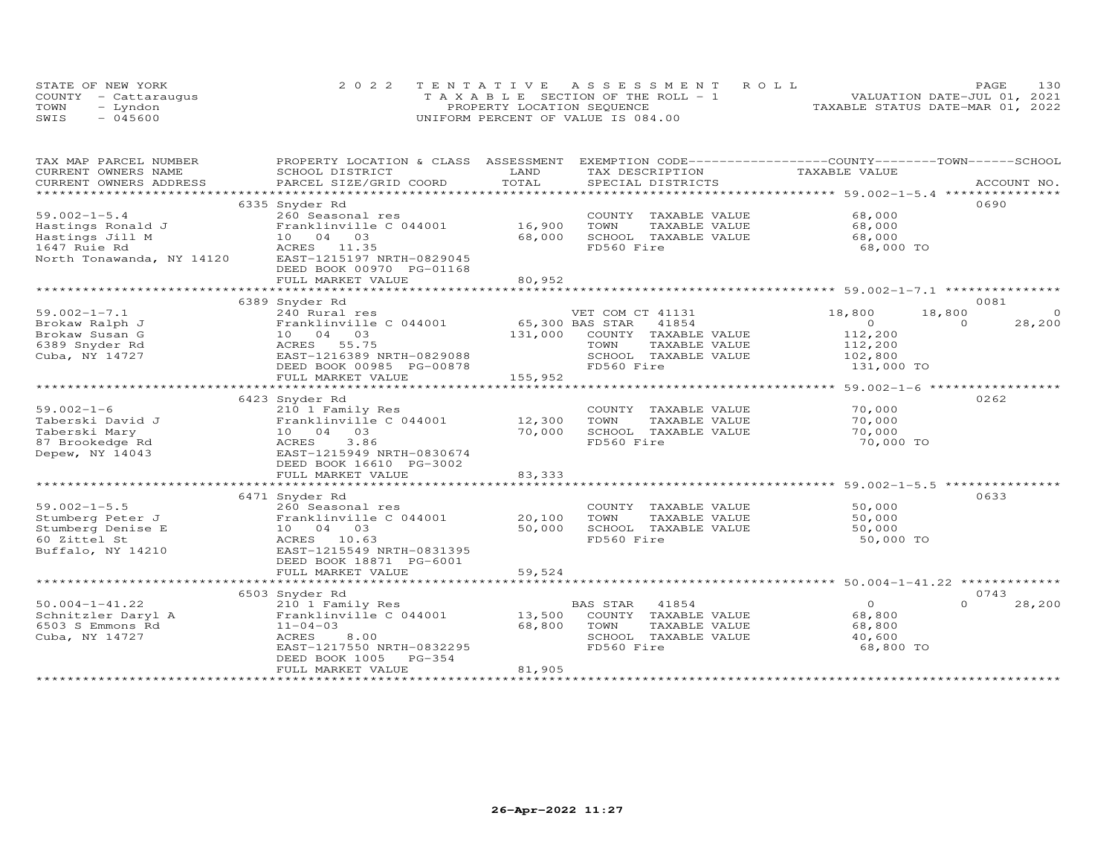|      | STATE OF NEW YORK    | 2022 TENTATIVE ASSESSMENT ROLL        | 130<br>PAGE                      |
|------|----------------------|---------------------------------------|----------------------------------|
|      | COUNTY - Cattaraugus | T A X A B L E SECTION OF THE ROLL - 1 | VALUATION DATE-JUL 01, 2021      |
| TOWN | - Lyndon             | PROPERTY LOCATION SEQUENCE            | TAXABLE STATUS DATE-MAR 01, 2022 |
| SWIS | $-045600$            | UNIFORM PERCENT OF VALUE IS 084.00    |                                  |

| TAX MAP PARCEL NUMBER<br>CURRENT OWNERS NAME        | PROPERTY LOCATION & CLASS ASSESSMENT         | LAND                    | EXEMPTION CODE-----------------COUNTY-------TOWN------SCHOOL<br>TAX DESCRIPTION | TAXABLE VALUE  |                            |
|-----------------------------------------------------|----------------------------------------------|-------------------------|---------------------------------------------------------------------------------|----------------|----------------------------|
| CURRENT OWNERS ADDRESS                              | SCHOOL DISTRICT<br>PARCEL SIZE/GRID COORD    | TOTAL                   |                                                                                 |                |                            |
|                                                     |                                              |                         |                                                                                 |                |                            |
|                                                     | 6335 Snyder Rd                               |                         |                                                                                 |                | 0690                       |
| $59.002 - 1 - 5.4$                                  | 260 Seasonal res                             |                         | COUNTY TAXABLE VALUE                                                            | 68,000         |                            |
| Hastings Ronald J<br>Hastings Jill M                | Franklinville C 044001                       | 16,900                  | TOWN<br>TAXABLE VALUE                                                           | 68,000         |                            |
| Hastings Jill M                                     | 10 04 03                                     | 68,000                  | SCHOOL TAXABLE VALUE                                                            | 68,000         |                            |
| 1647 Ruie Rd                                        | ACRES 11.35                                  |                         | FD560 Fire                                                                      | 68,000 TO      |                            |
| North Tonawanda, NY 14120 EAST-1215197 NRTH-0829045 |                                              |                         |                                                                                 |                |                            |
|                                                     | DEED BOOK 00970 PG-01168                     |                         |                                                                                 |                |                            |
|                                                     | FULL MARKET VALUE                            | 80,952<br>************* |                                                                                 |                |                            |
|                                                     | ****************************                 |                         | ************************************59.002-1-7.1 *****************              |                |                            |
| $59.002 - 1 - 7.1$                                  | 6389 Snyder Rd                               |                         |                                                                                 | 18,800         | 0081<br>18,800<br>$\Omega$ |
|                                                     | 240 Rural res                                |                         | VET COM CT 41131<br>65,300 BAS STAR 41854                                       | $\overline{0}$ | 28,200<br>$\Omega$         |
| Brokaw Ralph J<br>Brokaw Susan G                    | Franklinville C 044001<br>10 04 03           | 131,000                 | COUNTY TAXABLE VALUE                                                            | 112,200        |                            |
| 6389 Snyder Rd                                      | ACRES 55.75                                  |                         | TAXABLE VALUE<br>TOWN                                                           | 112,200        |                            |
| Cuba, NY 14727                                      | EAST-1216389 NRTH-0829088                    |                         | SCHOOL TAXABLE VALUE                                                            | 102,800        |                            |
|                                                     | DEED BOOK 00985 PG-00878                     |                         | FD560 Fire                                                                      | 131,000 TO     |                            |
|                                                     | FULL MARKET VALUE                            | 155,952                 |                                                                                 |                |                            |
|                                                     |                                              |                         |                                                                                 |                |                            |
|                                                     | 6423 Snyder Rd                               |                         |                                                                                 |                | 0262                       |
| $59.002 - 1 - 6$                                    | 210 1 Family Res                             |                         | COUNTY TAXABLE VALUE                                                            | 70,000         |                            |
| Taberski David J                                    | Franklinville C 044001                       | 12,300                  | TOWN<br>TAXABLE VALUE                                                           | 70,000         |                            |
| Taberski Mary                                       | 10 04 03                                     | 70,000                  | SCHOOL TAXABLE VALUE                                                            | 70,000         |                            |
| 87 Brookedge Rd                                     | ACRES<br>3.86                                |                         | FD560 Fire                                                                      | 70,000 TO      |                            |
| Depew, NY 14043                                     | EAST-1215949 NRTH-0830674                    |                         |                                                                                 |                |                            |
|                                                     | DEED BOOK 16610 PG-3002                      |                         |                                                                                 |                |                            |
|                                                     | FULL MARKET VALUE                            | 83, 333                 |                                                                                 |                |                            |
|                                                     |                                              |                         |                                                                                 |                |                            |
|                                                     | 6471 Snyder Rd                               |                         |                                                                                 |                | 0633                       |
| $59.002 - 1 - 5.5$                                  | 260 Seasonal res                             |                         | COUNTY TAXABLE VALUE                                                            | 50,000         |                            |
| Stumberg Peter J                                    | Franklinville C 044001                       | 20,100                  | TOWN<br>TAXABLE VALUE                                                           | 50,000         |                            |
| Stumberg Denise E                                   | 10 04 03                                     | 50,000                  | SCHOOL TAXABLE VALUE                                                            | 50,000         |                            |
| 60 Zittel St                                        | ACRES 10.63                                  |                         | FD560 Fire                                                                      | 50,000 TO      |                            |
| Buffalo, NY 14210                                   | EAST-1215549 NRTH-0831395                    |                         |                                                                                 |                |                            |
|                                                     | DEED BOOK 18871 PG-6001<br>FULL MARKET VALUE | 59,524                  |                                                                                 |                |                            |
|                                                     |                                              |                         |                                                                                 |                |                            |
|                                                     | 6503 Snyder Rd                               |                         |                                                                                 |                | 0743                       |
| $50.004 - 1 - 41.22$                                | 210 1 Family Res                             |                         | BAS STAR 41854                                                                  | $\overline{O}$ | $\cap$<br>28,200           |
| Schnitzler Daryl A                                  | Franklinville C 044001                       | 13,500                  | COUNTY TAXABLE VALUE                                                            | 68,800         |                            |
| 6503 S Emmons Rd                                    | $11 - 04 - 03$                               | 68,800                  | TOWN<br>TAXABLE VALUE                                                           | 68,800         |                            |
| Cuba, NY 14727                                      | 8.00<br>ACRES                                |                         | SCHOOL TAXABLE VALUE                                                            | 40,600         |                            |
|                                                     | EAST-1217550 NRTH-0832295                    |                         | FD560 Fire                                                                      | 68,800 TO      |                            |
|                                                     | DEED BOOK 1005<br>PG-354                     |                         |                                                                                 |                |                            |
|                                                     | FULL MARKET VALUE                            | 81,905                  |                                                                                 |                |                            |
|                                                     |                                              |                         |                                                                                 |                |                            |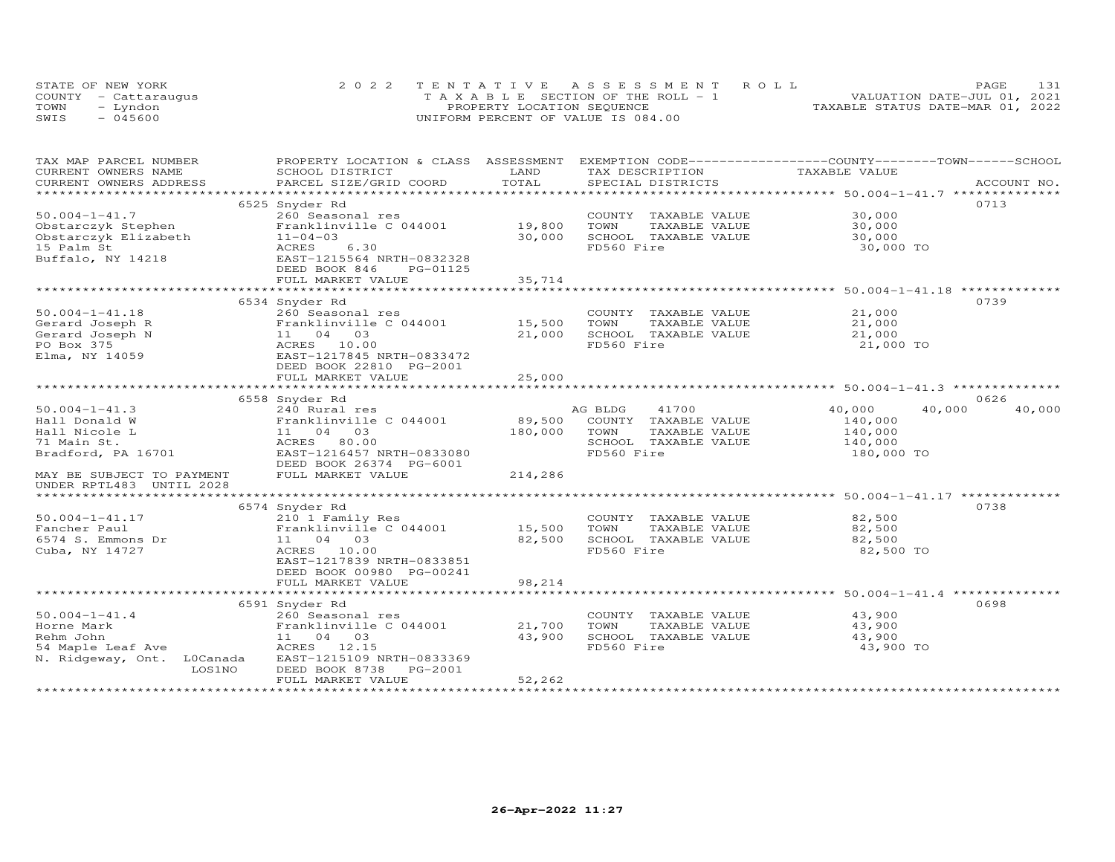|      | STATE OF NEW YORK    | 2022 TENTATIVE ASSESSMENT ROLL        | 131<br>PAGE                      |
|------|----------------------|---------------------------------------|----------------------------------|
|      | COUNTY - Cattaraugus | T A X A B L E SECTION OF THE ROLL - 1 | VALUATION DATE-JUL 01, 2021      |
| TOWN | - Lyndon             | PROPERTY LOCATION SEQUENCE            | TAXABLE STATUS DATE-MAR 01, 2022 |
| SWIS | $-045600$            | UNIFORM PERCENT OF VALUE IS 084.00    |                                  |

| TAX MAP PARCEL NUMBER      |        | PROPERTY LOCATION & CLASS ASSESSMENT |                | EXEMPTION CODE-----------------COUNTY-------TOWN------SCHOOL |               |                  |
|----------------------------|--------|--------------------------------------|----------------|--------------------------------------------------------------|---------------|------------------|
| CURRENT OWNERS NAME        |        | SCHOOL DISTRICT                      | LAND           | TAX DESCRIPTION                                              | TAXABLE VALUE |                  |
| CURRENT OWNERS ADDRESS     |        | PARCEL SIZE/GRID COORD               | TOTAL          | SPECIAL DISTRICTS                                            |               | ACCOUNT NO.      |
| ***********************    |        |                                      |                |                                                              |               |                  |
|                            |        | 6525 Snyder Rd                       |                |                                                              |               | 0713             |
| $50.004 - 1 - 41.7$        |        | 260 Seasonal res                     |                | COUNTY TAXABLE VALUE                                         | 30,000        |                  |
| Obstarczyk Stephen         |        | Franklinville C 044001               | 19,800         | TAXABLE VALUE<br>TOWN                                        | 30,000        |                  |
| Obstarczyk Elizabeth       |        | $11 - 04 - 03$                       | 30,000         | SCHOOL TAXABLE VALUE                                         | 30,000        |                  |
| 15 Palm St                 |        | 6.30<br>ACRES                        |                | FD560 Fire                                                   | 30,000 TO     |                  |
| Buffalo, NY 14218          |        | EAST-1215564 NRTH-0832328            |                |                                                              |               |                  |
|                            |        | DEED BOOK 846<br>PG-01125            |                |                                                              |               |                  |
|                            |        | FULL MARKET VALUE                    | 35,714         |                                                              |               |                  |
|                            |        |                                      |                |                                                              |               |                  |
|                            |        | 6534 Snyder Rd                       |                |                                                              |               | 0739             |
| $50.004 - 1 - 41.18$       |        | 260 Seasonal res                     |                | COUNTY TAXABLE VALUE                                         | 21,000        |                  |
| Gerard Joseph R            |        | Franklinville C 044001               | 15,500         | TOWN<br>TAXABLE VALUE                                        | 21,000        |                  |
| Gerard Joseph N            |        | 11 04 03                             | 21,000         | SCHOOL TAXABLE VALUE                                         | 21,000        |                  |
|                            |        |                                      |                |                                                              |               |                  |
| PO Box 375                 |        | ACRES<br>10.00                       |                | FD560 Fire                                                   | 21,000 TO     |                  |
| Elma, NY 14059             |        | EAST-1217845 NRTH-0833472            |                |                                                              |               |                  |
|                            |        | DEED BOOK 22810 PG-2001              |                |                                                              |               |                  |
|                            |        | FULL MARKET VALUE                    | 25,000         |                                                              |               |                  |
|                            |        |                                      |                |                                                              |               |                  |
|                            |        | 6558 Snyder Rd                       |                |                                                              |               | 0626             |
| $50.004 - 1 - 41.3$        |        | 240 Rural res                        |                | 41700<br>AG BLDG                                             | 40,000        | 40,000<br>40,000 |
| Hall Donald W              |        | Franklinville C 044001               | 89,500         | COUNTY TAXABLE VALUE                                         | 140,000       |                  |
| Hall Nicole L              |        | 11 04 03                             | 180,000        | TOWN<br>TAXABLE VALUE                                        | 140,000       |                  |
| 71 Main St.                |        | ACRES 80.00                          |                | SCHOOL TAXABLE VALUE                                         | 140,000       |                  |
| Bradford, PA 16701         |        | EAST-1216457 NRTH-0833080            |                | FD560 Fire                                                   | 180,000 TO    |                  |
|                            |        | DEED BOOK 26374 PG-6001              |                |                                                              |               |                  |
| MAY BE SUBJECT TO PAYMENT  |        | FULL MARKET VALUE                    | 214,286        |                                                              |               |                  |
| UNDER RPTL483 UNTIL 2028   |        |                                      |                |                                                              |               |                  |
| *************************  |        |                                      |                |                                                              |               |                  |
|                            |        | 6574 Snyder Rd                       |                |                                                              |               | 0738             |
| $50.004 - 1 - 41.17$       |        | 210 1 Family Res                     |                | COUNTY TAXABLE VALUE                                         | 82,500        |                  |
| Fancher Paul               |        | Franklinville C 044001               | 15,500         | TOWN<br>TAXABLE VALUE                                        | 82,500        |                  |
| 6574 S. Emmons Dr          |        | 11 04 03                             | 82,500         | SCHOOL TAXABLE VALUE                                         | 82,500        |                  |
|                            |        |                                      |                |                                                              |               |                  |
| Cuba, NY 14727             |        | ACRES 10.00                          |                | FD560 Fire                                                   | 82,500 TO     |                  |
|                            |        | EAST-1217839 NRTH-0833851            |                |                                                              |               |                  |
|                            |        | DEED BOOK 00980 PG-00241             |                |                                                              |               |                  |
|                            |        | FULL MARKET VALUE                    | 98,214         |                                                              |               |                  |
|                            |        |                                      | ************** |                                                              |               |                  |
|                            |        | 6591 Snyder Rd                       |                |                                                              |               | 0698             |
| $50.004 - 1 - 41.4$        |        | 260 Seasonal res                     |                | COUNTY TAXABLE VALUE                                         | 43,900        |                  |
| Horne Mark                 |        | Franklinville C 044001               | 21,700         | TOWN<br>TAXABLE VALUE                                        | 43,900        |                  |
| Rehm John                  |        | 11 04 03                             | 43,900         | SCHOOL TAXABLE VALUE                                         | 43,900        |                  |
| 54 Maple Leaf Ave          |        | ACRES 12.15                          |                | FD560 Fire                                                   | 43,900 TO     |                  |
| N. Ridgeway, Ont. LOCanada |        | EAST-1215109 NRTH-0833369            |                |                                                              |               |                  |
|                            | LOS1NO | DEED BOOK 8738<br>PG-2001            |                |                                                              |               |                  |
|                            |        | FULL MARKET VALUE                    | 52,262         |                                                              |               |                  |
|                            |        |                                      |                |                                                              |               |                  |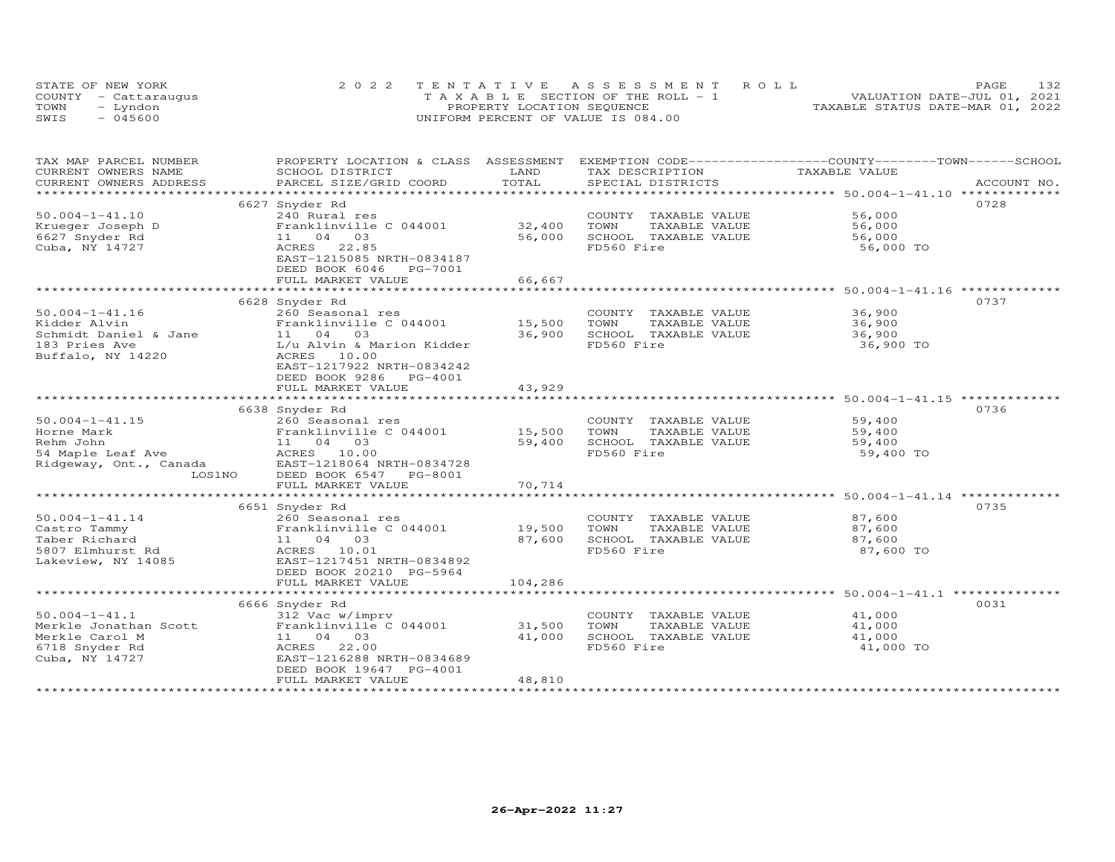| STATE OF NEW YORK |                      | 2022 TENTATIVE ASSESSMENT ROLL                 | PAGE.                            | 132 |
|-------------------|----------------------|------------------------------------------------|----------------------------------|-----|
|                   | COUNTY - Cattaraugus | $T A X A B I F S E C T I ON OF THE RO I J - 1$ | VALUATION DATE-JUL 01, 2021      |     |
| TOWN              | - Lyndon             | PROPERTY LOCATION SEQUENCE                     | TAXABLE STATUS DATE-MAR 01, 2022 |     |
| SWIS              | $-045600$            | UNIFORM PERCENT OF VALUE IS 084.00             |                                  |     |

| TAX MAP PARCEL NUMBER<br>CURRENT OWNERS NAME | PROPERTY LOCATION & CLASS ASSESSMENT EXEMPTION CODE----------------COUNTY-------TOWN------SCHOOL<br>SCHOOL DISTRICT | LAND    | TAX DESCRIPTION       | TAXABLE VALUE                                         |             |
|----------------------------------------------|---------------------------------------------------------------------------------------------------------------------|---------|-----------------------|-------------------------------------------------------|-------------|
| CURRENT OWNERS ADDRESS                       | PARCEL SIZE/GRID COORD                                                                                              | TOTAL   | SPECIAL DISTRICTS     |                                                       | ACCOUNT NO. |
| *************************                    |                                                                                                                     |         |                       |                                                       |             |
|                                              | 6627 Snyder Rd                                                                                                      |         |                       |                                                       | 0728        |
| $50.004 - 1 - 41.10$                         | 240 Rural res                                                                                                       |         | COUNTY TAXABLE VALUE  | 56,000                                                |             |
| Krueger Joseph D                             | Franklinville C 044001                                                                                              | 32,400  | TOWN<br>TAXABLE VALUE | 56,000                                                |             |
| 6627 Snyder Rd                               | 11 04 03                                                                                                            | 56,000  | SCHOOL TAXABLE VALUE  | 56,000                                                |             |
| Cuba, NY 14727                               | ACRES<br>22.85                                                                                                      |         | FD560 Fire            | 56,000 TO                                             |             |
|                                              | EAST-1215085 NRTH-0834187                                                                                           |         |                       |                                                       |             |
|                                              | DEED BOOK 6046 PG-7001                                                                                              |         |                       |                                                       |             |
|                                              | FULL MARKET VALUE                                                                                                   | 66,667  |                       |                                                       |             |
|                                              |                                                                                                                     |         |                       |                                                       |             |
|                                              | 6628 Snyder Rd                                                                                                      |         |                       |                                                       | 0737        |
| $50.004 - 1 - 41.16$                         | 260 Seasonal res                                                                                                    |         | COUNTY TAXABLE VALUE  | 36,900                                                |             |
| Kidder Alvin                                 | Franklinville C 044001                                                                                              | 15,500  | TAXABLE VALUE<br>TOWN | 36,900                                                |             |
| Schmidt Daniel & Jane                        | 11 04 03                                                                                                            | 36,900  | SCHOOL TAXABLE VALUE  | 36,900                                                |             |
| 183 Pries Ave                                | L/u Alvin & Marion Kidder                                                                                           |         | FD560 Fire            | 36,900 TO                                             |             |
| Buffalo, NY 14220                            | ACRES 10.00                                                                                                         |         |                       |                                                       |             |
|                                              | EAST-1217922 NRTH-0834242                                                                                           |         |                       |                                                       |             |
|                                              | DEED BOOK 9286 PG-4001                                                                                              |         |                       |                                                       |             |
|                                              | FULL MARKET VALUE                                                                                                   | 43,929  |                       |                                                       |             |
|                                              |                                                                                                                     |         |                       |                                                       |             |
|                                              | 6638 Snyder Rd                                                                                                      |         |                       |                                                       | 0736        |
| $50.004 - 1 - 41.15$                         | 260 Seasonal res                                                                                                    |         | COUNTY TAXABLE VALUE  | 59,400                                                |             |
| Horne Mark                                   | Franklinville C 044001 15,500                                                                                       |         | TAXABLE VALUE<br>TOWN | 59,400                                                |             |
| Rehm John                                    | 11 04 03                                                                                                            | 59,400  | SCHOOL TAXABLE VALUE  | 59,400                                                |             |
| 54 Maple Leaf Ave                            | ACRES 10.00                                                                                                         |         | FD560 Fire            | 59,400 TO                                             |             |
| Ridgeway, Ont., Canada<br>LOS1NO             | EAST-1218064 NRTH-0834728<br>DEED BOOK 6547<br>PG-8001                                                              |         |                       |                                                       |             |
|                                              | FULL MARKET VALUE                                                                                                   | 70,714  |                       |                                                       |             |
|                                              |                                                                                                                     |         |                       | ************************* 50.004-1-41.14 ************ |             |
|                                              | 6651 Snyder Rd                                                                                                      |         |                       |                                                       | 0735        |
| $50.004 - 1 - 41.14$                         | 260 Seasonal res                                                                                                    |         | COUNTY TAXABLE VALUE  | 87,600                                                |             |
| Castro Tammy                                 | Franklinville C 044001                                                                                              | 19,500  | TOWN<br>TAXABLE VALUE | 87,600                                                |             |
| Taber Richard                                | 11 04 03                                                                                                            | 87,600  | SCHOOL TAXABLE VALUE  | 87,600                                                |             |
| 5807 Elmhurst Rd                             | ACRES 10.01                                                                                                         |         | FD560 Fire            | 87,600 TO                                             |             |
| Lakeview, NY 14085                           | EAST-1217451 NRTH-0834892                                                                                           |         |                       |                                                       |             |
|                                              | DEED BOOK 20210 PG-5964                                                                                             |         |                       |                                                       |             |
|                                              | FULL MARKET VALUE                                                                                                   | 104,286 |                       |                                                       |             |
|                                              |                                                                                                                     |         |                       |                                                       |             |
|                                              | 6666 Snyder Rd                                                                                                      |         |                       |                                                       | 0031        |
| $50.004 - 1 - 41.1$                          | 312 Vac w/imprv                                                                                                     |         | COUNTY TAXABLE VALUE  | 41,000                                                |             |
| Merkle Jonathan Scott                        | Franklinville C 044001                                                                                              | 31,500  | TOWN<br>TAXABLE VALUE | 41,000                                                |             |
| Merkle Carol M                               | 11 04 03                                                                                                            | 41,000  | SCHOOL TAXABLE VALUE  | 41,000                                                |             |
| 6718 Snyder Rd                               | 22.00<br>ACRES                                                                                                      |         | FD560 Fire            | 41,000 TO                                             |             |
| Cuba, NY 14727                               | EAST-1216288 NRTH-0834689                                                                                           |         |                       |                                                       |             |
|                                              | DEED BOOK 19647 PG-4001                                                                                             |         |                       |                                                       |             |
|                                              | FULL MARKET VALUE                                                                                                   | 48,810  |                       |                                                       |             |
|                                              |                                                                                                                     |         |                       |                                                       |             |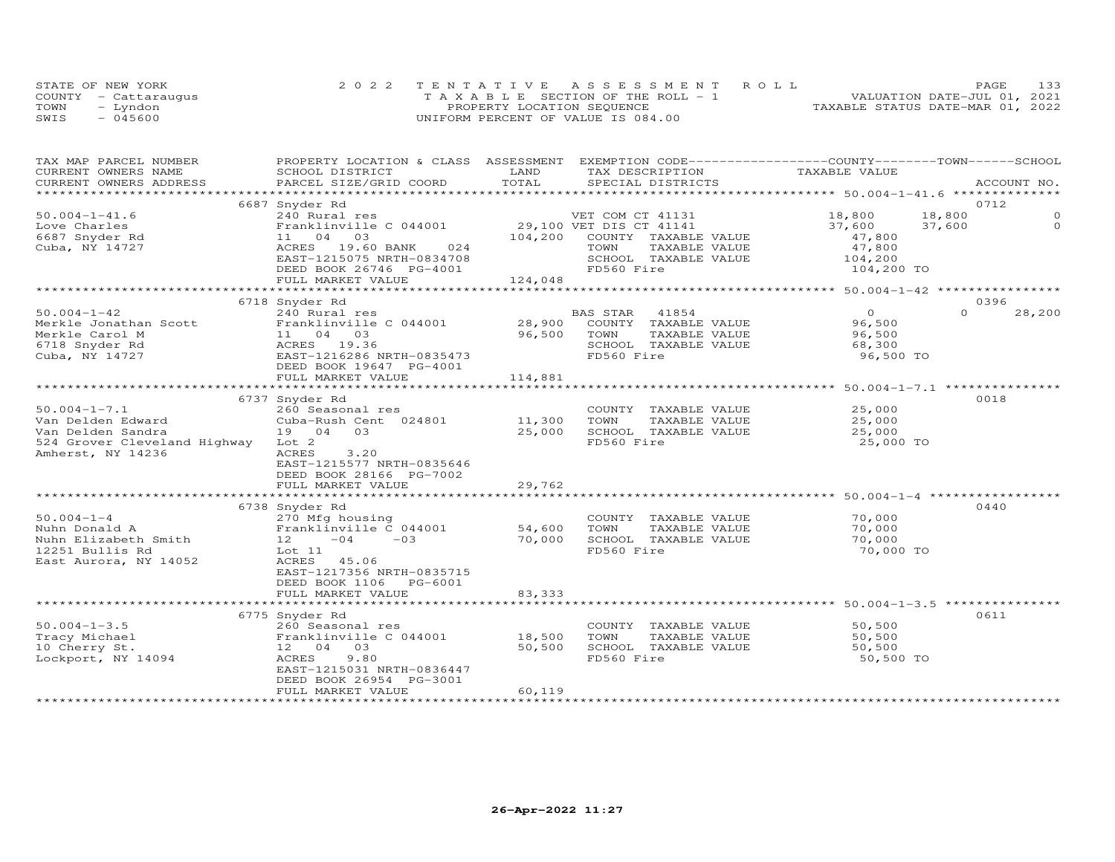| STATE OF NEW YORK    | 2022 TENTATIVE ASSESSMENT ROLL        | PAGE.                            | 133 |
|----------------------|---------------------------------------|----------------------------------|-----|
| COUNTY - Cattaraugus | T A X A B L E SECTION OF THE ROLL - 1 | VALUATION DATE-JUL 01, 2021      |     |
| TOWN<br>- Lyndon     | PROPERTY LOCATION SEQUENCE            | TAXABLE STATUS DATE-MAR 01, 2022 |     |
| $-045600$<br>SWIS    | UNIFORM PERCENT OF VALUE IS 084.00    |                                  |     |

| TAX MAP PARCEL NUMBER        | PROPERTY LOCATION & CLASS ASSESSMENT EXEMPTION CODE----------------COUNTY-------TOWN------SCHOOL |                             |                             |                |                    |
|------------------------------|--------------------------------------------------------------------------------------------------|-----------------------------|-----------------------------|----------------|--------------------|
| CURRENT OWNERS NAME          | SCHOOL DISTRICT                                                                                  | LAND                        | TAX DESCRIPTION             | TAXABLE VALUE  |                    |
| CURRENT OWNERS ADDRESS       | PARCEL SIZE/GRID COORD                                                                           | TOTAL                       | SPECIAL DISTRICTS           |                | ACCOUNT NO.        |
|                              |                                                                                                  |                             |                             |                |                    |
|                              | 6687 Snyder Rd                                                                                   |                             |                             |                | 0712               |
| $50.004 - 1 - 41.6$          | 240 Rural res                                                                                    |                             | VET COM CT 41131            | 18,800         | 18,800<br>$\Omega$ |
| Love Charles                 | Franklinville C 044001                                                                           |                             | 29,100 VET DIS CT 41141     | 37,600         | $\Omega$<br>37,600 |
| 6687 Snyder Rd               | 11 04 03                                                                                         | 104,200                     | COUNTY TAXABLE VALUE        | 47,800         |                    |
| Cuba, NY 14727               | ACRES 19.60 BANK 024<br>EAST-1215075 NRTH-0834708                                                |                             | TOWN<br>TAXABLE VALUE       | 47,800         |                    |
|                              |                                                                                                  |                             | SCHOOL TAXABLE VALUE        | 104,200        |                    |
|                              |                                                                                                  |                             | FD560 Fire                  | 104,200 TO     |                    |
|                              | DEED BOOK 26746 PG-4001<br>FULL MARKET VALUE 124,048                                             |                             |                             |                |                    |
|                              |                                                                                                  |                             |                             |                |                    |
|                              | 6718 Snyder Rd                                                                                   |                             |                             |                | 0396               |
| $50.004 - 1 - 42$            | 240 Rural res                                                                                    |                             | BAS STAR<br>41854           | $\overline{O}$ | $\Omega$<br>28,200 |
| Merkle Jonathan Scott        | Franklinville C 044001                                                                           | 28,900                      | COUNTY TAXABLE VALUE        | 96,500         |                    |
| Merkle Carol M               | 11 04 03                                                                                         | 96,500                      | TOWN<br>TAXABLE VALUE       | 96,500         |                    |
| 6718 Snyder Rd               | ACRES 19.36                                                                                      |                             | SCHOOL TAXABLE VALUE        | 68,300         |                    |
| Cuba, NY 14727               | EAST-1216286 NRTH-0835473                                                                        |                             | FD560 Fire                  | 96,500 TO      |                    |
|                              | DEED BOOK 19647 PG-4001                                                                          |                             |                             |                |                    |
|                              | FULL MARKET VALUE                                                                                | 114,881                     |                             |                |                    |
|                              |                                                                                                  |                             |                             |                |                    |
|                              | 6737 Snyder Rd                                                                                   |                             |                             |                | 0018               |
| $50.004 - 1 - 7.1$           | 260 Seasonal res                                                                                 |                             | COUNTY TAXABLE VALUE 25,000 |                |                    |
| Van Delden Edward            | Cuba-Rush Cent 024801                                                                            | 11,300                      | TOWN<br>TAXABLE VALUE       | 25,000         |                    |
| Van Delden Sandra            | 19 04 03                                                                                         | 25,000                      | SCHOOL TAXABLE VALUE        | 25,000         |                    |
| 524 Grover Cleveland Highway | Lot 2                                                                                            |                             | FD560 Fire                  | 25,000 TO      |                    |
| Amherst, NY 14236            | ACRES<br>3,20                                                                                    |                             |                             |                |                    |
|                              | EAST-1215577 NRTH-0835646                                                                        |                             |                             |                |                    |
|                              | DEED BOOK 28166 PG-7002                                                                          |                             |                             |                |                    |
|                              | FULL MARKET VALUE                                                                                | 29,762                      |                             |                |                    |
|                              |                                                                                                  |                             |                             |                |                    |
|                              | 6738 Snyder Rd                                                                                   |                             |                             |                | 0440               |
| $50.004 - 1 - 4$             | 270 Mfg housing                                                                                  |                             | COUNTY TAXABLE VALUE        | 70,000         |                    |
| Nuhn Donald A                | 270 Mig nousing<br>Franklinville C 044001                                                        | 54,600                      | TOWN<br>TAXABLE VALUE       | 70,000         |                    |
| Nuhn Elizabeth Smith         | 12<br>$-04$<br>$-03$                                                                             | 70,000                      | SCHOOL TAXABLE VALUE        | 70,000         |                    |
|                              |                                                                                                  |                             | FD560 Fire                  |                |                    |
| 12251 Bullis Rd              | Lot 11                                                                                           |                             |                             | 70,000 TO      |                    |
| East Aurora, NY 14052        | ACRES<br>45.06                                                                                   |                             |                             |                |                    |
|                              | EAST-1217356 NRTH-0835715                                                                        |                             |                             |                |                    |
|                              | DEED BOOK 1106 PG-6001                                                                           |                             |                             |                |                    |
|                              | FULL MARKET VALUE                                                                                | 83,333                      |                             |                |                    |
|                              |                                                                                                  |                             |                             |                |                    |
|                              | 6775 Snyder Rd                                                                                   |                             |                             |                | 0611               |
| $50.004 - 1 - 3.5$           | 260 Seasonal res                                                                                 |                             | COUNTY TAXABLE VALUE        | 50,500         |                    |
| Tracy Michael                | Franklinville C 044001                                                                           | 18,500                      | TAXABLE VALUE<br>TOWN       | 50,500         |                    |
| 10 Cherry St.                | 12 04 03                                                                                         | 50,500                      | SCHOOL TAXABLE VALUE        | 50,500         |                    |
| Lockport, NY 14094           | 9.80<br>ACRES                                                                                    |                             | FD560 Fire                  | 50,500 TO      |                    |
|                              | EAST-1215031 NRTH-0836447                                                                        |                             |                             |                |                    |
|                              | DEED BOOK 26954 PG-3001                                                                          |                             |                             |                |                    |
|                              | FULL MARKET VALUE                                                                                | 60,119                      |                             |                |                    |
|                              |                                                                                                  | <b>++++++++++++++++++++</b> |                             |                |                    |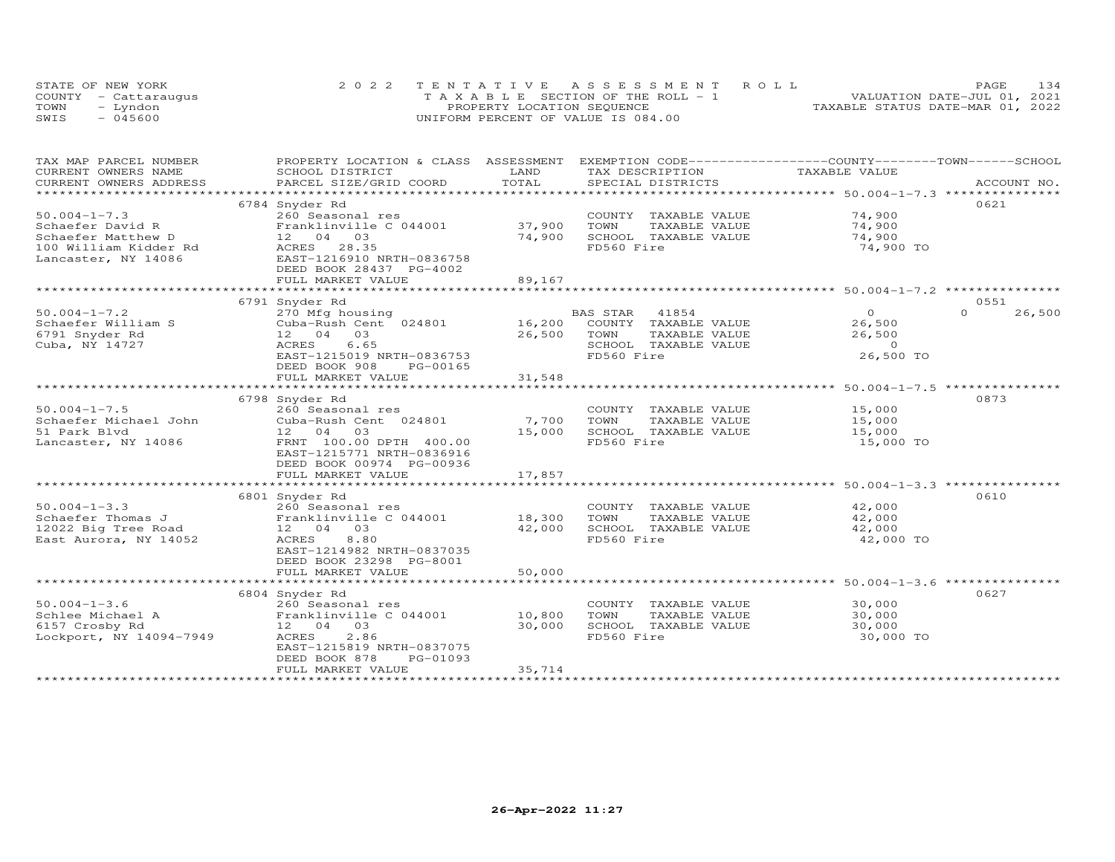|      | STATE OF NEW YORK    | 2022 TENTATIVE ASSESSMENT ROLL        | 134<br><b>PAGE</b>               |
|------|----------------------|---------------------------------------|----------------------------------|
|      | COUNTY - Cattarauqus | T A X A B L E SECTION OF THE ROLL - 1 | VALUATION DATE-JUL 01, 2021      |
| TOWN | - Lyndon             | PROPERTY LOCATION SEQUENCE            | TAXABLE STATUS DATE-MAR 01, 2022 |
| SWIS | $-045600$            | UNIFORM PERCENT OF VALUE IS 084.00    |                                  |

| TAX MAP PARCEL NUMBER   | PROPERTY LOCATION & CLASS ASSESSMENT EXEMPTION CODE-----------------COUNTY-------TOWN------SCHOOL                                                                                                                                    |             |                       |                |                    |
|-------------------------|--------------------------------------------------------------------------------------------------------------------------------------------------------------------------------------------------------------------------------------|-------------|-----------------------|----------------|--------------------|
| CURRENT OWNERS NAME     | SCHOOL DISTRICT                                                                                                                                                                                                                      | LAND        | TAX DESCRIPTION       | TAXABLE VALUE  |                    |
|                         |                                                                                                                                                                                                                                      |             |                       |                | ACCOUNT NO.        |
|                         |                                                                                                                                                                                                                                      |             |                       |                |                    |
|                         | 6784 Snyder Rd                                                                                                                                                                                                                       |             |                       |                | 0621               |
| $50.004 - 1 - 7.3$      | 260 Seasonal res                                                                                                                                                                                                                     |             | COUNTY TAXABLE VALUE  | 74,900         |                    |
| Schaefer David R        | Franklinville C 044001                                                                                                                                                                                                               | 37,900      | TOWN<br>TAXABLE VALUE | 74,900         |                    |
| Schaefer Matthew D      | 12  04  03                                                                                                                                                                                                                           | 74,900      | SCHOOL TAXABLE VALUE  | 74,900         |                    |
| 100 William Kidder Rd   | ACRES 28.35                                                                                                                                                                                                                          |             | FD560 Fire            | 74,900 TO      |                    |
| Lancaster, NY 14086     | EAST-1216910 NRTH-0836758                                                                                                                                                                                                            |             |                       |                |                    |
|                         | DEED BOOK 28437 PG-4002                                                                                                                                                                                                              |             |                       |                |                    |
|                         | FULL MARKET VALUE                                                                                                                                                                                                                    | 89,167      |                       |                |                    |
|                         |                                                                                                                                                                                                                                      |             |                       |                |                    |
|                         | 6791 Snyder Rd                                                                                                                                                                                                                       |             |                       |                | 0551               |
| $50.004 - 1 - 7.2$      | 270 Mfg housing                                                                                                                                                                                                                      |             | BAS STAR<br>41854     | $\overline{O}$ | 26,500<br>$\Omega$ |
| Schaefer William S      |                                                                                                                                                                                                                                      |             |                       | 26,500         |                    |
| 6791 Snyder Rd          | 12 04 03                                                                                                                                                                                                                             | 26,500 TOWN | TAXABLE VALUE         | 26,500         |                    |
| Cuba, NY 14727          | ACRES<br>6.65                                                                                                                                                                                                                        |             | SCHOOL TAXABLE VALUE  | $\overline{0}$ |                    |
|                         | EAST-1215019 NRTH-0836753                                                                                                                                                                                                            |             | FD560 Fire            | 26,500 TO      |                    |
|                         | DEED BOOK 908<br>PG-00165                                                                                                                                                                                                            |             |                       |                |                    |
|                         | FULL MARKET VALUE                                                                                                                                                                                                                    | 31,548      |                       |                |                    |
|                         |                                                                                                                                                                                                                                      |             |                       |                |                    |
|                         | 6798 Snyder Rd                                                                                                                                                                                                                       |             |                       |                | 0873               |
| $50.004 - 1 - 7.5$      |                                                                                                                                                                                                                                      |             | COUNTY TAXABLE VALUE  | 15,000         |                    |
|                         |                                                                                                                                                                                                                                      |             | TOWN<br>TAXABLE VALUE | 15,000         |                    |
| 51 Park Blvd            | 12 04 03                                                                                                                                                                                                                             | 15,000      | SCHOOL TAXABLE VALUE  | 15,000         |                    |
| Lancaster, NY 14086     | FRNT 100.00 DPTH 400.00                                                                                                                                                                                                              |             | FD560 Fire            | 15,000 TO      |                    |
|                         | EAST-1215771 NRTH-0836916                                                                                                                                                                                                            |             |                       |                |                    |
|                         | DEED BOOK 00974 PG-00936                                                                                                                                                                                                             |             |                       |                |                    |
|                         | FULL MARKET VALUE                                                                                                                                                                                                                    | 17,857      |                       |                |                    |
|                         |                                                                                                                                                                                                                                      |             |                       |                |                    |
|                         | 6801 Snyder Rd                                                                                                                                                                                                                       |             |                       |                | 0610               |
| $50.004 - 1 - 3.3$      | 260 Seasonal res                                                                                                                                                                                                                     |             | COUNTY TAXABLE VALUE  | 42,000         |                    |
| Schaefer Thomas J       |                                                                                                                                                                                                                                      |             | TOWN<br>TAXABLE VALUE | 42,000         |                    |
| 12022 Big Tree Road     | 200 Seasonal 100<br>Franklinville C 044001 18,300<br>12.000<br>12 04 03                                                                                                                                                              | 42,000      | SCHOOL TAXABLE VALUE  | 42,000         |                    |
| East Aurora, NY 14052   | 8.80<br>ACRES                                                                                                                                                                                                                        |             | FD560 Fire            | 42,000 TO      |                    |
|                         |                                                                                                                                                                                                                                      |             |                       |                |                    |
|                         | EAST-1214982 NRTH-0837035                                                                                                                                                                                                            |             |                       |                |                    |
|                         | DEED BOOK 23298 PG-8001                                                                                                                                                                                                              |             |                       |                |                    |
|                         | FULL MARKET VALUE                                                                                                                                                                                                                    | 50,000      |                       |                |                    |
|                         |                                                                                                                                                                                                                                      |             |                       |                |                    |
|                         | 6804 Snyder Rd                                                                                                                                                                                                                       |             |                       |                | 0627               |
|                         |                                                                                                                                                                                                                                      |             | COUNTY TAXABLE VALUE  | 30,000         |                    |
|                         |                                                                                                                                                                                                                                      |             | TOWN<br>TAXABLE VALUE | 30,000         |                    |
|                         | UNIVERSITY OF THE SCHOOL SCHOOL SCHOOL SCHOOL SCHOOL SCHOOL SCHOOL SCHOOL SCHOOL SCHOOL SCHOOL SCHOOL SCHOOL S<br>UST SCHOOL SCHOOL SCHOOL SCHOOL SCHOOL SCHOOL SCHOOL SCHOOL SCHOOL SCHOOL SCHOOL SCHOOL SCHOOL SCHOOL SCHOOL S<br> |             | SCHOOL TAXABLE VALUE  | 30,000         |                    |
| Lockport, NY 14094-7949 | 2.86<br>ACRES                                                                                                                                                                                                                        |             | FD560 Fire            | 30,000 TO      |                    |
|                         | EAST-1215819 NRTH-0837075                                                                                                                                                                                                            |             |                       |                |                    |
|                         | DEED BOOK 878<br>PG-01093                                                                                                                                                                                                            |             |                       |                |                    |
|                         | FULL MARKET VALUE                                                                                                                                                                                                                    | 35,714      |                       |                |                    |
|                         |                                                                                                                                                                                                                                      |             |                       |                |                    |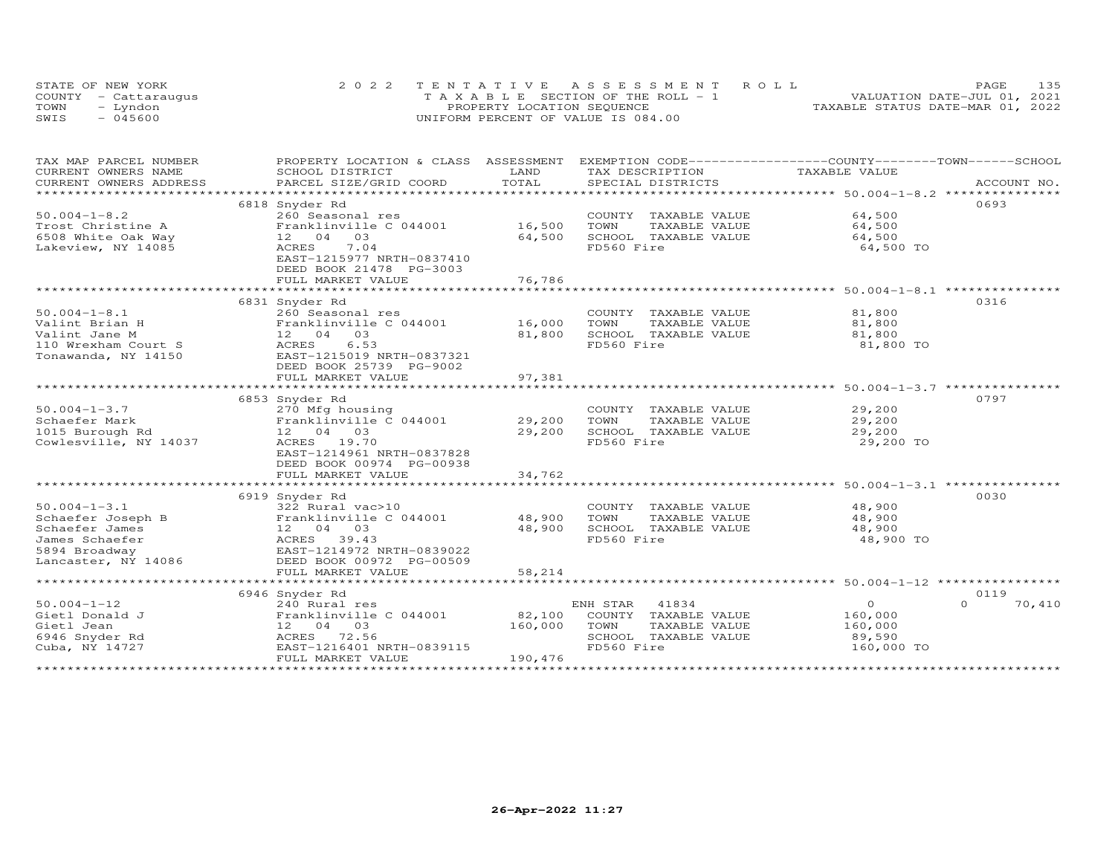| STATE OF NEW YORK    | 2022 TENTATIVE ASSESSMENT ROLL     |  |                                  | <b>PAGE</b>                 | 135 |
|----------------------|------------------------------------|--|----------------------------------|-----------------------------|-----|
| COUNTY - Cattaraugus | TAXABLE SECTION OF THE ROLL - 1    |  |                                  | VALUATION DATE-JUL 01, 2021 |     |
| TOWN<br>- Lyndon     | PROPERTY LOCATION SEQUENCE         |  | TAXABLE STATUS DATE-MAR 01, 2022 |                             |     |
| $-045600$<br>SWIS    | UNIFORM PERCENT OF VALUE IS 084.00 |  |                                  |                             |     |

| TAX MAP PARCEL NUMBER     | PROPERTY LOCATION & CLASS ASSESSMENT                 |                | EXEMPTION CODE-----------------COUNTY-------TOWN------SCHOOL |                                                        |                    |
|---------------------------|------------------------------------------------------|----------------|--------------------------------------------------------------|--------------------------------------------------------|--------------------|
| CURRENT OWNERS NAME       | SCHOOL DISTRICT                                      | LAND           | TAX DESCRIPTION                                              | TAXABLE VALUE                                          |                    |
| CURRENT OWNERS ADDRESS    | PARCEL SIZE/GRID COORD                               | TOTAL          | SPECIAL DISTRICTS                                            |                                                        | ACCOUNT NO.        |
| ************************* |                                                      |                |                                                              |                                                        |                    |
|                           | 6818 Snyder Rd                                       |                |                                                              |                                                        | 0693               |
| $50.004 - 1 - 8.2$        | 260 Seasonal res                                     |                | COUNTY TAXABLE VALUE                                         | 64,500                                                 |                    |
| Trost Christine A         | Franklinville C 044001<br>03                         | 16,500         | TOWN<br>TAXABLE VALUE                                        | 64,500                                                 |                    |
| 6508 White Oak Way        | 12 04                                                | 64,500         | SCHOOL TAXABLE VALUE                                         | 64,500                                                 |                    |
| Lakeview, NY 14085        | 7.04<br>ACRES                                        |                | FD560 Fire                                                   | 64,500 TO                                              |                    |
|                           | EAST-1215977 NRTH-0837410<br>DEED BOOK 21478 PG-3003 |                |                                                              |                                                        |                    |
|                           | FULL MARKET VALUE                                    | 76,786         |                                                              |                                                        |                    |
|                           |                                                      | ************** |                                                              | *********************** 50.004-1-8.1 **********        |                    |
|                           | 6831 Snyder Rd                                       |                |                                                              |                                                        | 0316               |
| $50.004 - 1 - 8.1$        | 260 Seasonal res                                     |                | COUNTY TAXABLE VALUE                                         | 81,800                                                 |                    |
| Valint Brian H            | Franklinville C 044001                               | 16,000         | TOWN<br>TAXABLE VALUE                                        | 81,800                                                 |                    |
| Valint Jane M             | 12 04 03                                             | 81,800         | SCHOOL TAXABLE VALUE                                         | 81,800                                                 |                    |
| 110 Wrexham Court S       | 6.53<br>ACRES                                        |                | FD560 Fire                                                   | 81,800 TO                                              |                    |
| Tonawanda, NY 14150       | EAST-1215019 NRTH-0837321                            |                |                                                              |                                                        |                    |
|                           | DEED BOOK 25739 PG-9002                              |                |                                                              |                                                        |                    |
|                           | FULL MARKET VALUE                                    | 97,381         |                                                              |                                                        |                    |
|                           |                                                      |                |                                                              |                                                        |                    |
|                           | 6853 Snyder Rd                                       |                |                                                              |                                                        | 0797               |
| $50.004 - 1 - 3.7$        | 270 Mfg housing                                      |                | COUNTY TAXABLE VALUE                                         | 29,200                                                 |                    |
| Schaefer Mark             | Franklinville C 044001                               | 29,200         | TOWN<br>TAXABLE VALUE                                        | 29,200                                                 |                    |
| 1015 Burough Rd           | 12 04 03                                             | 29,200         | SCHOOL TAXABLE VALUE                                         | 29,200                                                 |                    |
| Cowlesville, NY 14037     | ACRES 19.70                                          |                | FD560 Fire                                                   | 29,200 TO                                              |                    |
|                           | EAST-1214961 NRTH-0837828                            |                |                                                              |                                                        |                    |
|                           | DEED BOOK 00974 PG-00938                             |                |                                                              |                                                        |                    |
|                           | FULL MARKET VALUE                                    | 34,762         |                                                              |                                                        |                    |
|                           |                                                      |                |                                                              | ************************ 50.004-1-3.1 **************** |                    |
|                           | 6919 Snyder Rd                                       |                |                                                              |                                                        | 0030               |
| $50.004 - 1 - 3.1$        | 322 Rural vac>10                                     |                | COUNTY TAXABLE VALUE                                         | 48,900                                                 |                    |
| Schaefer Joseph B         | Franklinville C 044001                               | 48,900         | TAXABLE VALUE<br>TOWN                                        | 48,900                                                 |                    |
| Schaefer James            | 12 04 03                                             | 48,900         | SCHOOL TAXABLE VALUE                                         | 48,900                                                 |                    |
| James Schaefer            | ACRES 39.43                                          |                | FD560 Fire                                                   | 48,900 TO                                              |                    |
| 5894 Broadway             | EAST-1214972 NRTH-0839022                            |                |                                                              |                                                        |                    |
| Lancaster, NY 14086       | DEED BOOK 00972 PG-00509                             |                |                                                              |                                                        |                    |
|                           | FULL MARKET VALUE<br>************************        | 58,214         |                                                              | .******************************** 50.004-1-12 *****    |                    |
|                           | 6946 Snyder Rd                                       |                |                                                              |                                                        | 0119               |
| $50.004 - 1 - 12$         | 240 Rural res                                        |                | ENH STAR<br>41834                                            | $\circ$                                                | $\Omega$<br>70,410 |
| Gietl Donald J            | Franklinville C 044001                               | 82,100         | COUNTY TAXABLE VALUE                                         | 160,000                                                |                    |
| Gietl Jean                | 12 04<br>03                                          | 160,000        | TOWN<br>TAXABLE VALUE                                        | 160,000                                                |                    |
| 6946 Snyder Rd            | ACRES 72.56                                          |                | SCHOOL TAXABLE VALUE                                         | 89,590                                                 |                    |
| Cuba, NY 14727            | EAST-1216401 NRTH-0839115                            |                | FD560 Fire                                                   | 160,000 TO                                             |                    |
|                           | FULL MARKET VALUE                                    | 190,476        |                                                              |                                                        |                    |
|                           |                                                      |                |                                                              |                                                        |                    |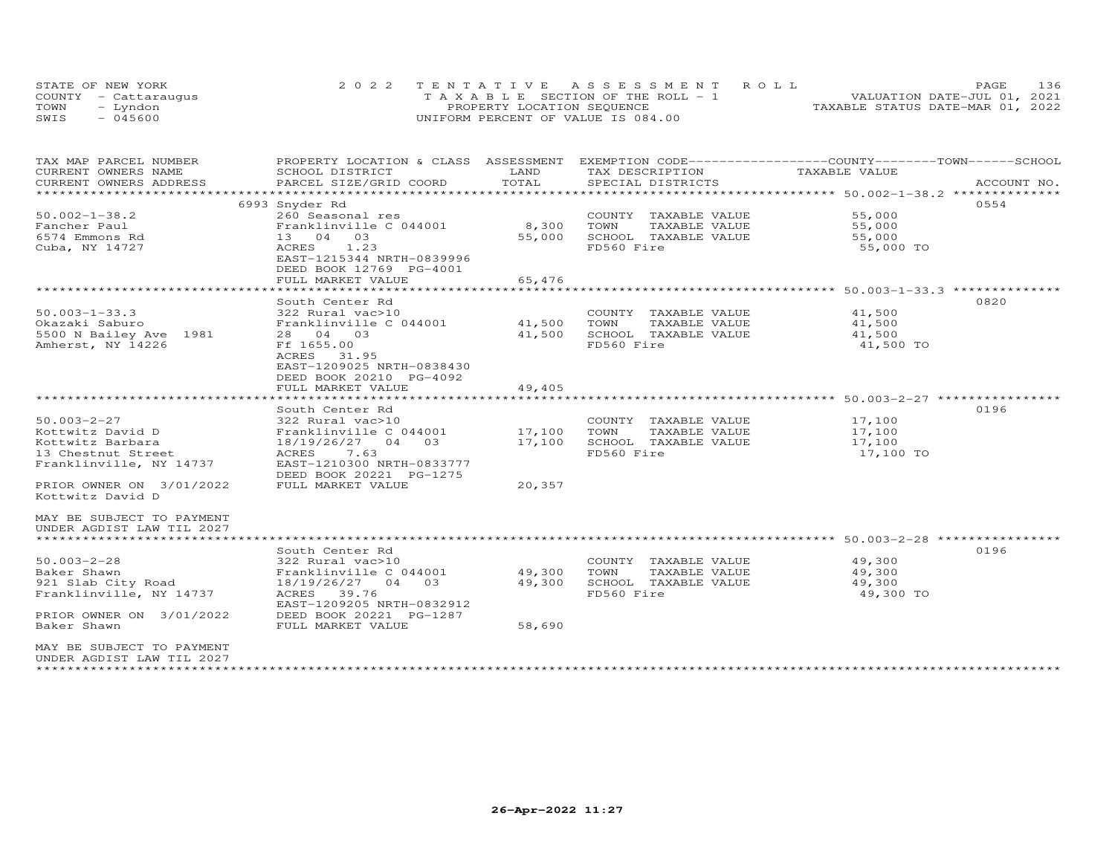| STATE OF NEW YORK    |  | 2022 TENTATIVE ASSESSMENT ROLL     |  |  |                                  | <b>PAGE</b> | 136 |
|----------------------|--|------------------------------------|--|--|----------------------------------|-------------|-----|
| COUNTY - Cattaraugus |  | TAXABLE SECTION OF THE ROLL - 1    |  |  | VALUATION DATE-JUL 01, 2021      |             |     |
| TOWN<br>- Lyndon     |  | PROPERTY LOCATION SEQUENCE         |  |  | TAXABLE STATUS DATE-MAR 01, 2022 |             |     |
| $-045600$<br>SWIS    |  | UNIFORM PERCENT OF VALUE IS 084.00 |  |  |                                  |             |     |

| TAX MAP PARCEL NUMBER     | PROPERTY LOCATION & CLASS ASSESSMENT |                   | EXEMPTION CODE------------------COUNTY-------TOWN------SCHOOL  |                                                         |             |
|---------------------------|--------------------------------------|-------------------|----------------------------------------------------------------|---------------------------------------------------------|-------------|
| CURRENT OWNERS NAME       | SCHOOL DISTRICT                      | LAND              | TAX DESCRIPTION                                                | TAXABLE VALUE                                           |             |
| CURRENT OWNERS ADDRESS    | PARCEL SIZE/GRID COORD               | TOTAL             | SPECIAL DISTRICTS                                              |                                                         | ACCOUNT NO. |
|                           |                                      | * * * * * * * * * | ********************************* 50.002-1-38.2 ************** |                                                         |             |
|                           | 6993 Snyder Rd                       |                   |                                                                |                                                         | 0554        |
| $50.002 - 1 - 38.2$       | 260 Seasonal res                     |                   | COUNTY TAXABLE VALUE                                           | 55,000                                                  |             |
| Fancher Paul              | Franklinville C 044001               | 8,300             | TOWN<br>TAXABLE VALUE                                          | 55,000                                                  |             |
| 6574 Emmons Rd            | 13 04 03                             | 55,000            | SCHOOL TAXABLE VALUE                                           | 55,000                                                  |             |
|                           |                                      |                   |                                                                |                                                         |             |
| Cuba, NY 14727            | ACRES<br>1.23                        |                   | FD560 Fire                                                     | 55,000 TO                                               |             |
|                           | EAST-1215344 NRTH-0839996            |                   |                                                                |                                                         |             |
|                           | DEED BOOK 12769 PG-4001              |                   |                                                                |                                                         |             |
|                           | FULL MARKET VALUE                    | 65,476            |                                                                |                                                         |             |
|                           |                                      |                   |                                                                | ******************* 50.003-1-33.3 **************        |             |
|                           | South Center Rd                      |                   |                                                                |                                                         | 0820        |
| $50.003 - 1 - 33.3$       | 322 Rural vac>10                     |                   | COUNTY TAXABLE VALUE                                           | 41,500                                                  |             |
| Okazaki Saburo            | Franklinville C 044001               | 41,500            | TOWN<br>TAXABLE VALUE                                          | 41,500                                                  |             |
| 5500 N Bailey Ave 1981    | 28 04 03                             | 41,500            | SCHOOL TAXABLE VALUE                                           | 41,500                                                  |             |
| Amherst, NY 14226         | Ff 1655.00                           |                   | FD560 Fire                                                     | 41,500 TO                                               |             |
|                           | ACRES 31.95                          |                   |                                                                |                                                         |             |
|                           | EAST-1209025 NRTH-0838430            |                   |                                                                |                                                         |             |
|                           | DEED BOOK 20210 PG-4092              |                   |                                                                |                                                         |             |
|                           | FULL MARKET VALUE                    | 49,405            |                                                                |                                                         |             |
|                           |                                      | *********         |                                                                | ************************* 50.003-2-27 ***************** |             |
|                           | South Center Rd                      |                   |                                                                |                                                         | 0196        |
| $50.003 - 2 - 27$         | 322 Rural vac>10                     |                   | COUNTY TAXABLE VALUE                                           | 17,100                                                  |             |
| Kottwitz David D          |                                      | 17,100            | TOWN<br>TAXABLE VALUE                                          |                                                         |             |
|                           | Franklinville C 044001<br>0.3        |                   |                                                                | 17,100                                                  |             |
| Kottwitz Barbara          | 18/19/26/27 04                       | 17,100            | SCHOOL TAXABLE VALUE                                           | 17,100                                                  |             |
| 13 Chestnut Street        | ACRES<br>7.63                        |                   | FD560 Fire                                                     | 17,100 TO                                               |             |
| Franklinville, NY 14737   | EAST-1210300 NRTH-0833777            |                   |                                                                |                                                         |             |
|                           | DEED BOOK 20221 PG-1275              |                   |                                                                |                                                         |             |
| PRIOR OWNER ON 3/01/2022  | FULL MARKET VALUE                    | 20,357            |                                                                |                                                         |             |
| Kottwitz David D          |                                      |                   |                                                                |                                                         |             |
|                           |                                      |                   |                                                                |                                                         |             |
| MAY BE SUBJECT TO PAYMENT |                                      |                   |                                                                |                                                         |             |
| UNDER AGDIST LAW TIL 2027 |                                      |                   |                                                                |                                                         |             |
|                           |                                      |                   |                                                                |                                                         |             |
|                           | South Center Rd                      |                   |                                                                |                                                         | 0196        |
| $50.003 - 2 - 28$         | 322 Rural vac>10                     |                   | COUNTY TAXABLE VALUE                                           | 49,300                                                  |             |
| Baker Shawn               | Franklinville C 044001               | 49,300            | TOWN<br>TAXABLE VALUE                                          | 49,300                                                  |             |
| 921 Slab City Road        | 18/19/26/27 04 03                    | 49,300            | SCHOOL TAXABLE VALUE                                           | 49,300                                                  |             |
| Franklinville, NY 14737   | ACRES<br>39.76                       |                   | FD560 Fire                                                     | 49,300 TO                                               |             |
|                           | EAST-1209205 NRTH-0832912            |                   |                                                                |                                                         |             |
| PRIOR OWNER ON 3/01/2022  | DEED BOOK 20221 PG-1287              |                   |                                                                |                                                         |             |
| Baker Shawn               | FULL MARKET VALUE                    | 58,690            |                                                                |                                                         |             |
|                           |                                      |                   |                                                                |                                                         |             |
| MAY BE SUBJECT TO PAYMENT |                                      |                   |                                                                |                                                         |             |
| UNDER AGDIST LAW TIL 2027 |                                      |                   |                                                                |                                                         |             |
|                           |                                      |                   |                                                                |                                                         |             |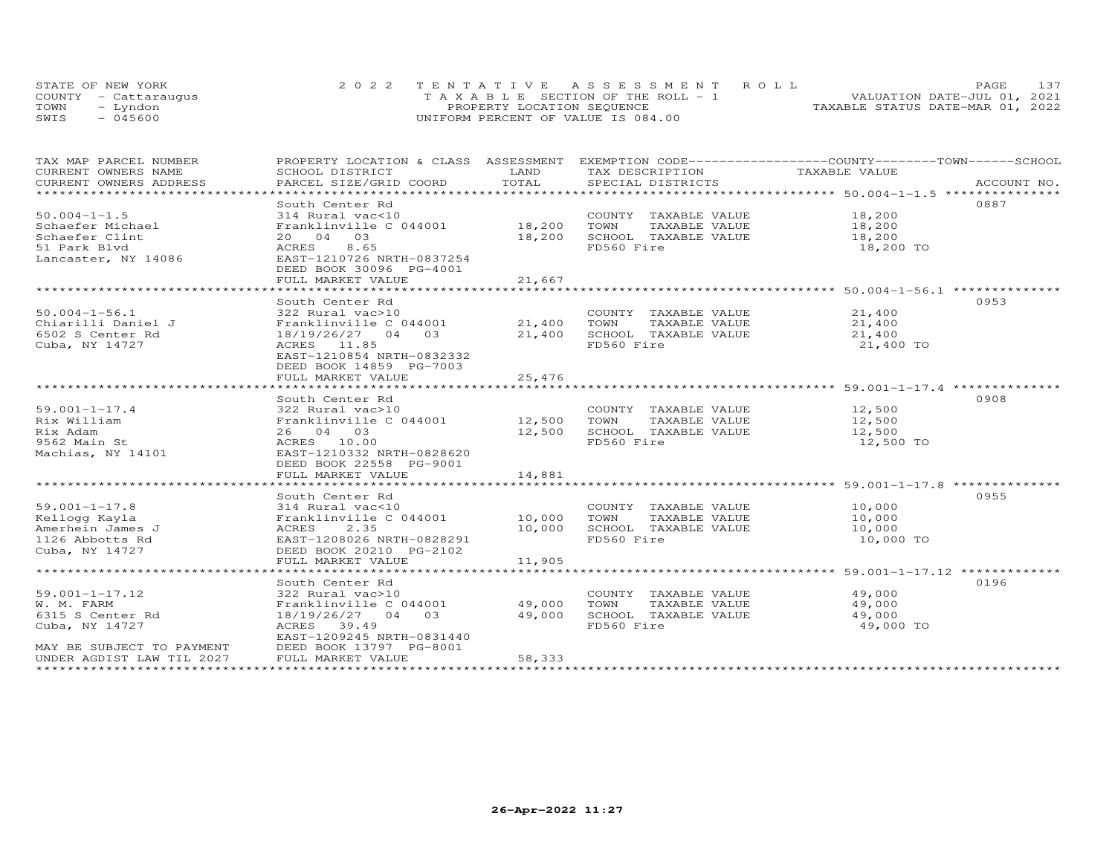| STATE OF NEW YORK    | 2022 TENTATIVE ASSESSMENT ROLL        | 137<br><b>PAGE</b>               |
|----------------------|---------------------------------------|----------------------------------|
| COUNTY - Cattarauqus | T A X A B L E SECTION OF THE ROLL - 1 | VALUATION DATE-JUL 01, 2021      |
| TOWN<br>- Lyndon     | PROPERTY LOCATION SEQUENCE            | TAXABLE STATUS DATE-MAR 01, 2022 |
| SWIS<br>$-045600$    | UNIFORM PERCENT OF VALUE IS 084.00    |                                  |

| TAX MAP PARCEL NUMBER<br>CURRENT OWNERS NAME<br>CURRENT OWNERS ADDRESS                                                             | PROPERTY LOCATION & CLASS ASSESSMENT<br>SCHOOL DISTRICT<br>PARCEL SIZE/GRID COORD                                                                                                                           | LAND<br>TOTAL                                       | TAX DESCRIPTION<br>SPECIAL DISTRICTS                                                | EXEMPTION CODE-----------------COUNTY-------TOWN------SCHOOL<br>TAXABLE VALUE                             | ACCOUNT NO. |
|------------------------------------------------------------------------------------------------------------------------------------|-------------------------------------------------------------------------------------------------------------------------------------------------------------------------------------------------------------|-----------------------------------------------------|-------------------------------------------------------------------------------------|-----------------------------------------------------------------------------------------------------------|-------------|
| **********************<br>$50.004 - 1 - 1.5$<br>Schaefer Michael<br>Schaefer Clint<br>51 Park Blyd<br>Lancaster, NY 14086          | South Center Rd<br>314 Rural vac<10<br>Franklinville C 044001<br>20  04  03<br>8.65<br>ACRES<br>EAST-1210726 NRTH-0837254<br>DEED BOOK 30096 PG-4001<br>FULL MARKET VALUE<br>****************************** | 18,200<br>18,200<br>21,667<br>********************* | COUNTY TAXABLE VALUE<br>TOWN<br>TAXABLE VALUE<br>SCHOOL TAXABLE VALUE<br>FD560 Fire | 18,200<br>18,200<br>18,200<br>18,200 TO<br>************************* 50.004-1-56.1 ***************        | 0887        |
| $50.004 - 1 - 56.1$<br>Chiarilli Daniel J<br>6502 S Center Rd<br>Cuba, NY 14727                                                    | South Center Rd<br>322 Rural vac>10<br>Franklinville C 044001<br>18/19/26/27 04 03<br>ACRES 11.85<br>EAST-1210854 NRTH-0832332<br>DEED BOOK 14859 PG-7003<br>FULL MARKET VALUE                              | 21,400<br>21,400<br>25,476                          | COUNTY TAXABLE VALUE<br>TOWN<br>TAXABLE VALUE<br>SCHOOL TAXABLE VALUE<br>FD560 Fire | 21,400<br>21,400<br>21,400<br>21,400 TO                                                                   | 0953        |
| $59.001 - 1 - 17.4$<br>Rix William<br>Rix Adam<br>9562 Main St<br>Machias, NY 14101                                                | *************************<br>South Center Rd<br>322 Rural vac>10<br>Franklinville C 044001 12,500<br>26 04 03<br>ACRES 10.00<br>EAST-1210332 NRTH-0828620<br>DEED BOOK 22558 PG-9001<br>FULL MARKET VALUE   | 12,500<br>14,881                                    | COUNTY TAXABLE VALUE<br>TOWN<br>TAXABLE VALUE<br>SCHOOL TAXABLE VALUE<br>FD560 Fire | ********************** 59.001-1-17.4 ***************<br>12,500<br>12,500<br>12,500<br>12,500 TO           | 0908        |
| $59.001 - 1 - 17.8$<br>Kellogg Kayla<br>Amerhein James J<br>1126 Abbotts Rd<br>Cuba, NY 14727                                      | ****************************<br>South Center Rd<br>314 Rural vac<10<br>Franklinville C 044001<br>2.35<br>ACRES<br>EAST-1208026 NRTH-0828291<br>DEED BOOK 20210 PG-2102<br>FULL MARKET VALUE                 | 10,000<br>10,000<br>11,905                          | COUNTY TAXABLE VALUE<br>TOWN<br>TAXABLE VALUE<br>SCHOOL TAXABLE VALUE<br>FD560 Fire | 10,000<br>10,000<br>10,000<br>10,000 TO                                                                   | 0955        |
| $59.001 - 1 - 17.12$<br>W. M. FARM<br>6315 S Center Rd<br>Cuba, NY 14727<br>MAY BE SUBJECT TO PAYMENT<br>UNDER AGDIST LAW TIL 2027 | South Center Rd<br>322 Rural vac>10<br>Franklinville C 044001<br>18/19/26/27 04 03<br>ACRES 39.49<br>EAST-1209245 NRTH-0831440<br>DEED BOOK 13797 PG-8001<br>FULL MARKET VALUE                              | 49,000<br>49,000<br>58,333                          | COUNTY TAXABLE VALUE<br>TOWN<br>TAXABLE VALUE<br>SCHOOL TAXABLE VALUE<br>FD560 Fire | ********************************* 59.001-1-17.12 *************<br>49,000<br>49,000<br>49,000<br>49,000 TO | 0196        |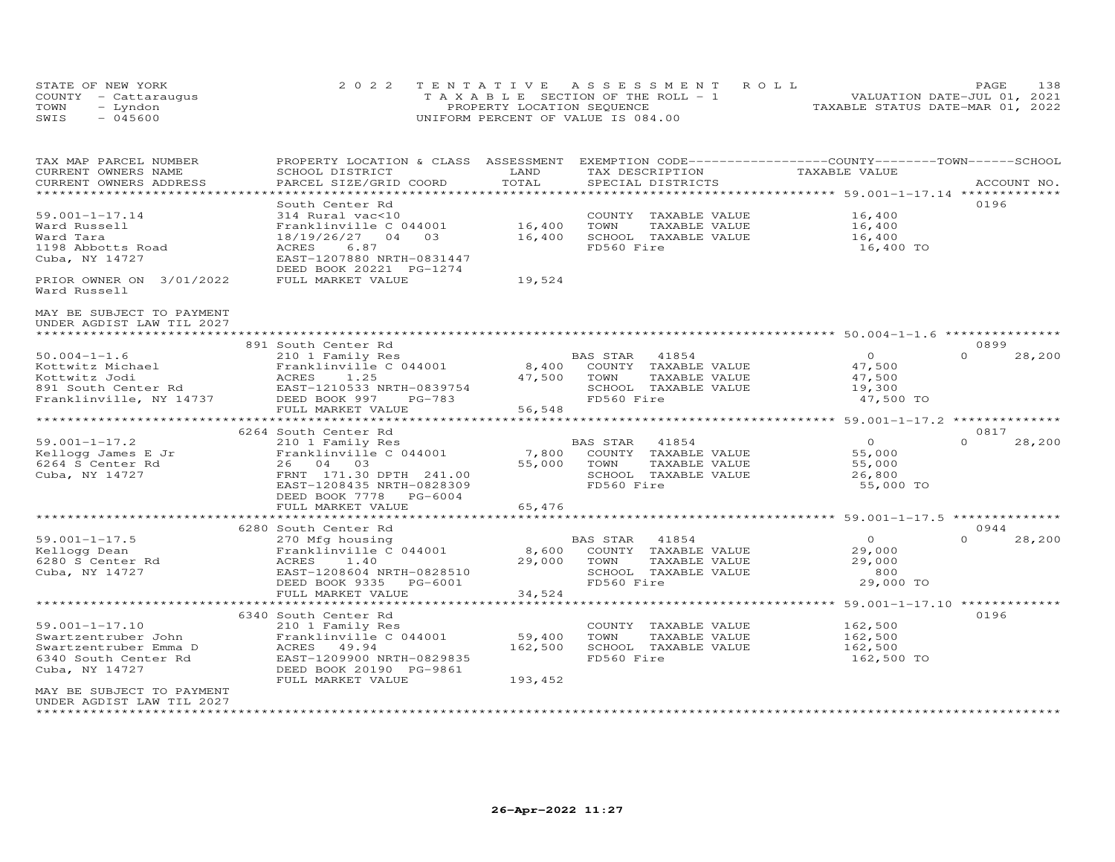|      | STATE OF NEW YORK    | 2022 TENTATIVE ASSESSMENT ROLL        | 138<br><b>PAGE</b>               |
|------|----------------------|---------------------------------------|----------------------------------|
|      | COUNTY - Cattaraugus | T A X A B L E SECTION OF THE ROLL - 1 | VALUATION DATE-JUL 01, 2021      |
| TOWN | - Lyndon             | PROPERTY LOCATION SEQUENCE            | TAXABLE STATUS DATE-MAR 01, 2022 |
| SWIS | - 045600             | UNIFORM PERCENT OF VALUE IS 084.00    |                                  |

| TAX MAP PARCEL NUMBER     | PROPERTY LOCATION & CLASS ASSESSMENT              |                                |                                               | EXEMPTION CODE------------------COUNTY-------TOWN------SCHOOL |                    |
|---------------------------|---------------------------------------------------|--------------------------------|-----------------------------------------------|---------------------------------------------------------------|--------------------|
| CURRENT OWNERS NAME       | SCHOOL DISTRICT                                   | LAND                           | TAX DESCRIPTION                               | TAXABLE VALUE                                                 |                    |
| CURRENT OWNERS ADDRESS    | PARCEL SIZE/GRID COORD<br>*********************** | TOTAL<br>***************       | SPECIAL DISTRICTS                             | ********************* 59.001-1-17.14 **************           | ACCOUNT NO.        |
|                           |                                                   |                                |                                               |                                                               |                    |
|                           | South Center Rd                                   |                                |                                               |                                                               | 0196               |
| $59.001 - 1 - 17.14$      | 314 Rural vac<10                                  |                                | COUNTY TAXABLE VALUE                          | 16,400                                                        |                    |
| Ward Russell<br>Ward Tara | Franklinville C 044001<br>18/19/26/27 04<br>0.3   | 16,400                         | TOWN<br>TAXABLE VALUE<br>SCHOOL TAXABLE VALUE | 16,400                                                        |                    |
| 1198 Abbotts Road         | 6.87<br>ACRES                                     | 16,400                         | FD560 Fire                                    | 16,400<br>16,400 TO                                           |                    |
| Cuba, NY 14727            | EAST-1207880 NRTH-0831447                         |                                |                                               |                                                               |                    |
|                           | DEED BOOK 20221 PG-1274                           |                                |                                               |                                                               |                    |
| PRIOR OWNER ON 3/01/2022  | FULL MARKET VALUE                                 | 19,524                         |                                               |                                                               |                    |
| Ward Russell              |                                                   |                                |                                               |                                                               |                    |
| MAY BE SUBJECT TO PAYMENT |                                                   |                                |                                               |                                                               |                    |
| UNDER AGDIST LAW TIL 2027 |                                                   |                                |                                               |                                                               |                    |
|                           |                                                   |                                |                                               |                                                               |                    |
|                           | 891 South Center Rd                               |                                |                                               |                                                               | 0899               |
| $50.004 - 1 - 1.6$        | 210 1 Family Res                                  |                                | BAS STAR<br>41854                             | $\circ$                                                       | $\Omega$<br>28,200 |
| Kottwitz Michael          | Franklinville C 044001                            | 8,400                          | COUNTY TAXABLE VALUE                          | 47,500                                                        |                    |
| Kottwitz Jodi             | ACRES<br>1.25                                     | 47,500                         | TOWN<br>TAXABLE VALUE                         | 47,500                                                        |                    |
| 891 South Center Rd       | EAST-1210533 NRTH-0839754                         |                                | SCHOOL TAXABLE VALUE                          | 19,300                                                        |                    |
| Franklinville, NY 14737   | DEED BOOK 997<br>$PG-783$                         |                                | FD560 Fire                                    | 47,500 TO                                                     |                    |
|                           | FULL MARKET VALUE                                 | 56,548                         |                                               |                                                               |                    |
|                           |                                                   | ********************           |                                               | *********************** 59.001-1-17.2 **************          |                    |
|                           | 6264 South Center Rd                              |                                |                                               |                                                               | 0817               |
| $59.001 - 1 - 17.2$       | 210 1 Family Res                                  |                                | BAS STAR<br>41854                             | $\Omega$                                                      | $\Omega$<br>28,200 |
| Kellogg James E Jr        | Franklinville C 044001                            | 7,800                          | COUNTY TAXABLE VALUE                          | 55,000                                                        |                    |
| 6264 S Center Rd          | 26 04 03                                          | 55,000                         | TOWN<br>TAXABLE VALUE                         | 55,000                                                        |                    |
| Cuba, NY 14727            | FRNT 171.30 DPTH 241.00                           |                                | SCHOOL TAXABLE VALUE                          | 26,800                                                        |                    |
|                           | EAST-1208435 NRTH-0828309                         |                                | FD560 Fire                                    | 55,000 TO                                                     |                    |
|                           | $PG-6004$<br>DEED BOOK 7778                       |                                |                                               |                                                               |                    |
|                           | FULL MARKET VALUE<br>***********************      | 65,476<br>******************** |                                               |                                                               |                    |
|                           |                                                   |                                |                                               | ******************************** 59.001-1-17.5 ************** |                    |
|                           | 6280 South Center Rd                              |                                |                                               |                                                               | 0944<br>$\Omega$   |
| $59.001 - 1 - 17.5$       | 270 Mfg housing                                   |                                | BAS STAR<br>41854                             | $\circ$                                                       | 28,200             |
| Kellogg Dean              | Franklinville C 044001                            | 8,600                          | COUNTY TAXABLE VALUE                          | 29,000                                                        |                    |
| 6280 S Center Rd          | ACRES<br>1.40                                     | 29,000                         | TOWN<br>TAXABLE VALUE                         | 29,000<br>800                                                 |                    |
| Cuba, NY 14727            | EAST-1208604 NRTH-0828510                         |                                | SCHOOL TAXABLE VALUE<br>FD560 Fire            |                                                               |                    |
|                           | DEED BOOK 9335 PG-6001                            |                                |                                               | 29,000 TO                                                     |                    |
|                           | FULL MARKET VALUE<br>*********************        | 34,524<br>************         |                                               |                                                               |                    |
|                           | 6340 South Center Rd                              |                                |                                               |                                                               | 0196               |
| $59.001 - 1 - 17.10$      | 210 1 Family Res                                  |                                | COUNTY TAXABLE VALUE                          | 162,500                                                       |                    |
| Swartzentruber John       | Franklinville C 044001                            | 59,400                         | TOWN<br>TAXABLE VALUE                         | 162,500                                                       |                    |
| Swartzentruber Emma D     | ACRES 49.94                                       | 162,500                        | SCHOOL TAXABLE VALUE                          | 162,500                                                       |                    |
| 6340 South Center Rd      | EAST-1209900 NRTH-0829835                         |                                | FD560 Fire                                    | 162,500 TO                                                    |                    |
| Cuba, NY 14727            | DEED BOOK 20190 PG-9861                           |                                |                                               |                                                               |                    |
|                           | FULL MARKET VALUE                                 | 193,452                        |                                               |                                                               |                    |
| MAY BE SUBJECT TO PAYMENT |                                                   |                                |                                               |                                                               |                    |
| UNDER AGDIST LAW TIL 2027 |                                                   |                                |                                               |                                                               |                    |
| ************              |                                                   |                                |                                               |                                                               |                    |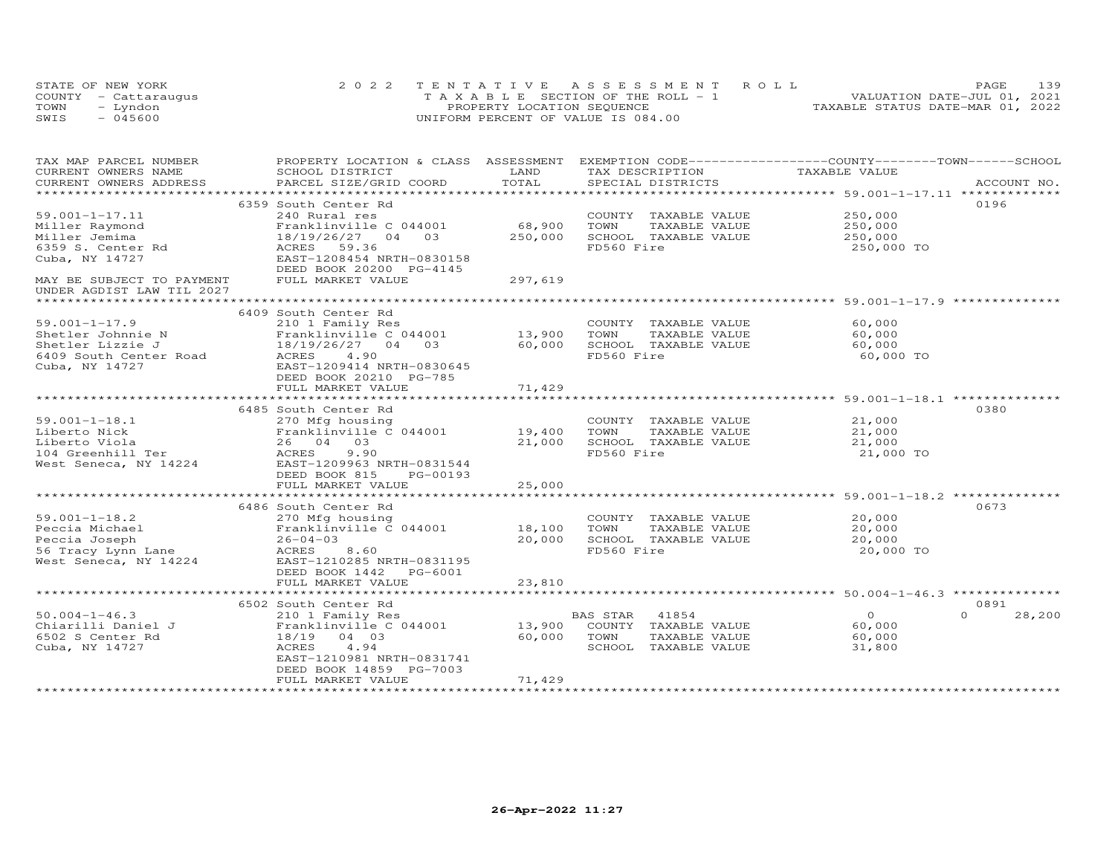|      | STATE OF NEW YORK    | 2022 TENTATIVE ASSESSMENT ROLL        | PAGE                             | 139 |
|------|----------------------|---------------------------------------|----------------------------------|-----|
|      | COUNTY - Cattaraugus | T A X A B L E SECTION OF THE ROLL - 1 | VALUATION DATE-JUL 01, 2021      |     |
| TOWN | - Lyndon             | PROPERTY LOCATION SEQUENCE            | TAXABLE STATUS DATE-MAR 01, 2022 |     |
| SWIS | $-045600$            | UNIFORM PERCENT OF VALUE IS 084.00    |                                  |     |

| TAX MAP PARCEL NUMBER     | PROPERTY LOCATION & CLASS ASSESSMENT |         |                       | EXEMPTION CODE------------------COUNTY-------TOWN------SCHOOL |                    |
|---------------------------|--------------------------------------|---------|-----------------------|---------------------------------------------------------------|--------------------|
| CURRENT OWNERS NAME       | SCHOOL DISTRICT                      | LAND    | TAX DESCRIPTION       | TAXABLE VALUE                                                 |                    |
| CURRENT OWNERS ADDRESS    | PARCEL SIZE/GRID COORD               | TOTAL   | SPECIAL DISTRICTS     |                                                               | ACCOUNT NO.        |
| ******************        |                                      |         |                       |                                                               |                    |
|                           | 6359 South Center Rd                 |         |                       |                                                               | 0196               |
| $59.001 - 1 - 17.11$      | 240 Rural res                        |         | COUNTY TAXABLE VALUE  | 250,000                                                       |                    |
| Miller Raymond            | Franklinville C 044001               | 68,900  | TOWN<br>TAXABLE VALUE | 250,000                                                       |                    |
| Miller Jemima             | 18/19/26/27 04 03                    | 250,000 | SCHOOL TAXABLE VALUE  | 250,000                                                       |                    |
| 6359 S. Center Rd         | ACRES 59.36                          |         | FD560 Fire            | 250,000 TO                                                    |                    |
| Cuba, NY 14727            | EAST-1208454 NRTH-0830158            |         |                       |                                                               |                    |
|                           | DEED BOOK 20200 PG-4145              |         |                       |                                                               |                    |
| MAY BE SUBJECT TO PAYMENT | FULL MARKET VALUE                    | 297,619 |                       |                                                               |                    |
| UNDER AGDIST LAW TIL 2027 |                                      |         |                       |                                                               |                    |
|                           |                                      |         |                       |                                                               |                    |
|                           | 6409 South Center Rd                 |         |                       |                                                               |                    |
| $59.001 - 1 - 17.9$       | 210 1 Family Res                     |         | COUNTY TAXABLE VALUE  | 60,000                                                        |                    |
|                           | Franklinville C 044001               | 13,900  | TOWN<br>TAXABLE VALUE | 60,000                                                        |                    |
| Shetler Johnnie N         |                                      |         |                       |                                                               |                    |
| Shetler Lizzie J          | 18/19/26/27 04 03                    | 60,000  | SCHOOL TAXABLE VALUE  | 60,000                                                        |                    |
| 6409 South Center Road    | ACRES 4.90                           |         | FD560 Fire            | 60,000 TO                                                     |                    |
| Cuba, NY 14727            | EAST-1209414 NRTH-0830645            |         |                       |                                                               |                    |
|                           | DEED BOOK 20210 PG-785               |         |                       |                                                               |                    |
|                           | FULL MARKET VALUE                    | 71,429  |                       |                                                               |                    |
|                           |                                      |         |                       |                                                               |                    |
|                           | 6485 South Center Rd                 |         |                       |                                                               | 0380               |
| $59.001 - 1 - 18.1$       | 270 Mfg housing                      |         | COUNTY TAXABLE VALUE  | 21,000                                                        |                    |
| Liberto Nick              | Franklinville C 044001 19,400        |         | TOWN<br>TAXABLE VALUE | 21,000                                                        |                    |
| Liberto Viola             | 26 04 03                             | 21,000  | SCHOOL TAXABLE VALUE  | 21,000                                                        |                    |
| 104 Greenhill Ter         | ACRES<br>9.90                        |         | FD560 Fire            | 21,000 TO                                                     |                    |
| West Seneca, NY 14224     | EAST-1209963 NRTH-0831544            |         |                       |                                                               |                    |
|                           | DEED BOOK 815<br>PG-00193            |         |                       |                                                               |                    |
|                           | FULL MARKET VALUE                    | 25,000  |                       |                                                               |                    |
|                           |                                      |         |                       |                                                               |                    |
|                           |                                      |         |                       |                                                               | 0673               |
|                           | 6486 South Center Rd                 |         |                       |                                                               |                    |
| $59.001 - 1 - 18.2$       | 270 Mfg housing                      |         | COUNTY TAXABLE VALUE  | 20,000                                                        |                    |
| Peccia Michael            | Franklinville $C$ 044001 18,100      |         | TOWN<br>TAXABLE VALUE | 20,000                                                        |                    |
| Peccia Joseph             | $26 - 04 - 03$                       | 20,000  | SCHOOL TAXABLE VALUE  | 20,000                                                        |                    |
| 56 Tracy Lynn Lane        | ACRES 8.60                           |         | FD560 Fire            | 20,000 TO                                                     |                    |
| West Seneca, NY 14224     | EAST-1210285 NRTH-0831195            |         |                       |                                                               |                    |
|                           | DEED BOOK 1442<br>PG-6001            |         |                       |                                                               |                    |
|                           | FULL MARKET VALUE                    | 23,810  |                       |                                                               |                    |
|                           |                                      |         |                       |                                                               |                    |
|                           | 6502 South Center Rd                 |         |                       |                                                               | 0891               |
| $50.004 - 1 - 46.3$       | 210 1 Family Res                     |         | BAS STAR<br>41854     | $\Omega$                                                      | $\Omega$<br>28,200 |
| Chiarilli Daniel J        | Franklinville C 044001               | 13,900  | COUNTY TAXABLE VALUE  | 60,000                                                        |                    |
| 6502 S Center Rd          | 18/19 04 03                          | 60,000  | TOWN<br>TAXABLE VALUE | 60,000                                                        |                    |
| Cuba, NY 14727            | ACRES<br>4.94                        |         | SCHOOL TAXABLE VALUE  | 31,800                                                        |                    |
|                           | EAST-1210981 NRTH-0831741            |         |                       |                                                               |                    |
|                           | DEED BOOK 14859 PG-7003              |         |                       |                                                               |                    |
|                           | FULL MARKET VALUE                    | 71,429  |                       |                                                               |                    |
|                           |                                      |         |                       |                                                               |                    |
|                           |                                      |         |                       |                                                               |                    |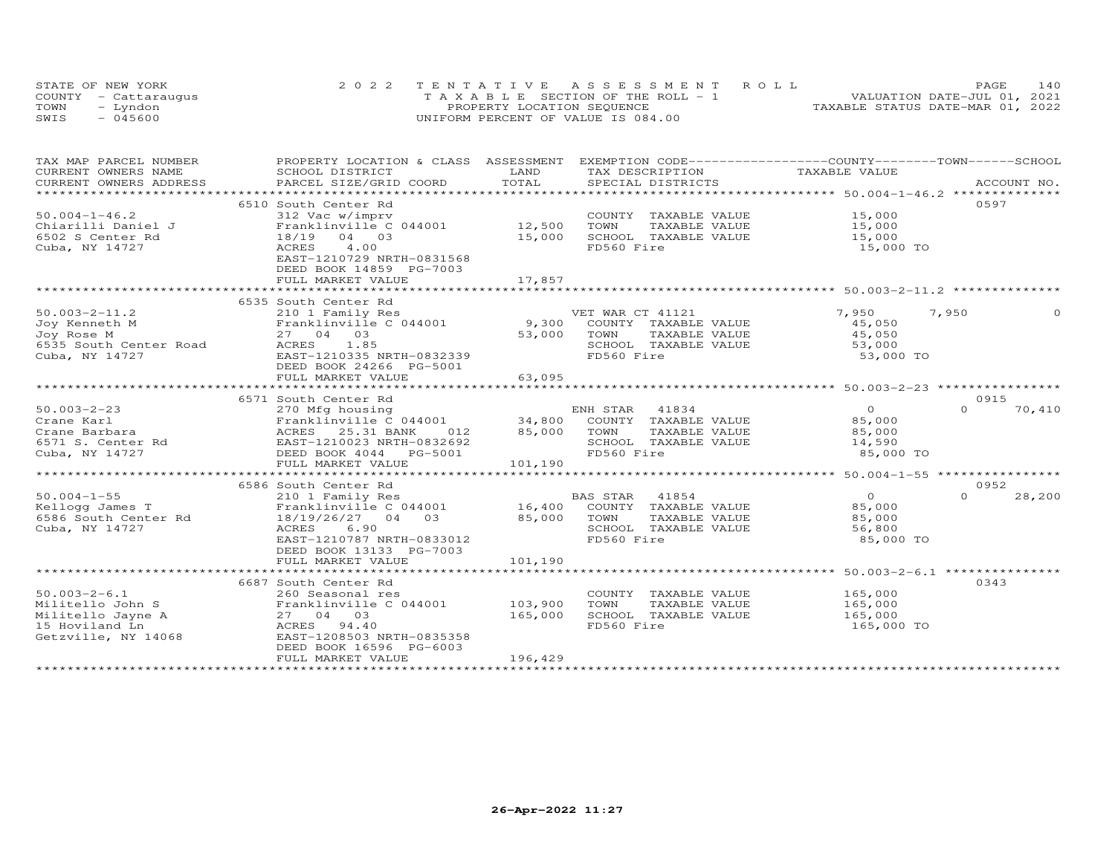|      | STATE OF NEW YORK    | 2022 TENTATIVE ASSESSMENT ROLL               | 140<br>PAGE.                     |
|------|----------------------|----------------------------------------------|----------------------------------|
|      | COUNTY - Cattaraugus | $T A X A B I F S E C T T ON OF THE ROLL - 1$ | VALUATION DATE-JUL 01, 2021      |
| TOWN | Lyndon               | PROPERTY LOCATION SEQUENCE                   | TAXABLE STATUS DATE-MAR 01, 2022 |
| SWIS | - 045600             | UNIFORM PERCENT OF VALUE IS 084.00           |                                  |

| TAX MAP PARCEL NUMBER                                                                                | PROPERTY LOCATION & CLASS ASSESSMENT EXEMPTION CODE----------------COUNTY-------TOWN------SCHOOL                                                                                   |                               |                                                                                                                  |                                                           |                    |
|------------------------------------------------------------------------------------------------------|------------------------------------------------------------------------------------------------------------------------------------------------------------------------------------|-------------------------------|------------------------------------------------------------------------------------------------------------------|-----------------------------------------------------------|--------------------|
| CURRENT OWNERS NAME<br>CURRENT OWNERS ADDRESS                                                        | SCHOOL DISTRICT<br>PARCEL SIZE/GRID COORD                                                                                                                                          | LAND<br>TOTAL                 | TAX DESCRIPTION<br>SPECIAL DISTRICTS                                                                             | TAXABLE VALUE                                             | ACCOUNT NO.        |
|                                                                                                      |                                                                                                                                                                                    |                               |                                                                                                                  |                                                           |                    |
| $50.004 - 1 - 46.2$<br>Chiarilli Daniel J<br>6502 S Center Rd<br>Cuba, NY 14727                      | 6510 South Center Rd<br>312 Vac w/imprv<br>Franklinville C 044001<br>18/19 04 03<br>4.00<br>ACRES<br>EAST-1210729 NRTH-0831568<br>DEED BOOK 14859 PG-7003<br>FULL MARKET VALUE     | 12,500<br>15,000<br>17,857    | COUNTY TAXABLE VALUE 15,000<br>TOWN<br>TAXABLE VALUE<br>SCHOOL TAXABLE VALUE<br>FD560 Fire                       | 15,000<br>15,000<br>15,000 TO                             | 0597               |
| $50.003 - 2 - 11.2$<br>Joy Kenneth M<br>Joy Rose M<br>6535 South Center Road<br>Cuba, NY 14727       | 6535 South Center Rd<br>210 1 Family Res<br>Franklinville C 044001 9,300<br>27 04 03<br>1.85<br>ACRES<br>EAST-1210335 NRTH-0832339<br>DEED BOOK 24266 PG-5001<br>FULL MARKET VALUE | 53,000<br>63,095              | VET WAR CT 41121<br>COUNTY TAXABLE VALUE<br>TOWN<br>TAXABLE VALUE<br>SCHOOL TAXABLE VALUE<br>FD560 Fire          | 7,950<br>45,050<br>45,050<br>53,000<br>53,000 TO          | 7,950<br>$\Omega$  |
|                                                                                                      | 6571 South Center Rd                                                                                                                                                               |                               |                                                                                                                  |                                                           | 0915               |
| $50.003 - 2 - 23$<br>Cuba, NY 14727                                                                  | 270 Mfg housing<br>Franklinville C 044001 34,800 COUNTY TAXABLE VALUE 85,000<br>DEED BOOK 4044    PG-5001<br>FULL MARKET VALUE                                                     | 012 85,000 TOWN<br>101,190    | ENH STAR 41834<br>TAXABLE VALUE<br>SCHOOL TAXABLE VALUE<br>FD560 Fire                                            | $\overline{0}$<br>85,000<br>14,590<br>85,000 TO           | $\Omega$<br>70,410 |
|                                                                                                      | 6586 South Center Rd                                                                                                                                                               |                               |                                                                                                                  |                                                           | 0952               |
| $50.004 - 1 - 55$<br>Kellogg James T<br>6586 South Center Rd<br>Cuba, NY 14727                       | 210 1 Family Res<br>Franklinville C 044001<br>18/19/26/27 04 03<br>6.90<br>ACRES<br>EAST-1210787 NRTH-0833012<br>DEED BOOK 13133 PG-7003<br>FULL MARKET VALUE                      | 101,190                       | BAS STAR 41854<br>16,400 COUNTY TAXABLE VALUE<br>85,000 TOWN TAXABLE VALUE<br>SCHOOL TAXABLE VALUE<br>FD560 Fire | $\overline{O}$<br>85,000<br>85,000<br>56,800<br>85,000 TO | 28,200<br>$\Omega$ |
|                                                                                                      |                                                                                                                                                                                    |                               |                                                                                                                  |                                                           |                    |
| $50.003 - 2 - 6.1$<br>Militello John S<br>Militello Jayne A<br>15 Hoviland Ln<br>Getzville, NY 14068 | 6687 South Center Rd<br>260 Seasonal res<br>Franklinville C 044001<br>27 04 03<br>ACRES 94.40<br>EAST-1208503 NRTH-0835358<br>DEED BOOK 16596 PG-6003<br>FULL MARKET VALUE         | 103,900<br>165,000<br>196,429 | COUNTY TAXABLE VALUE 165,000<br>TAXABLE VALUE<br>TOWN<br>SCHOOL TAXABLE VALUE<br>FD560 Fire                      | 165,000<br>165,000<br>165,000 TO                          | 0343               |
|                                                                                                      |                                                                                                                                                                                    |                               |                                                                                                                  |                                                           |                    |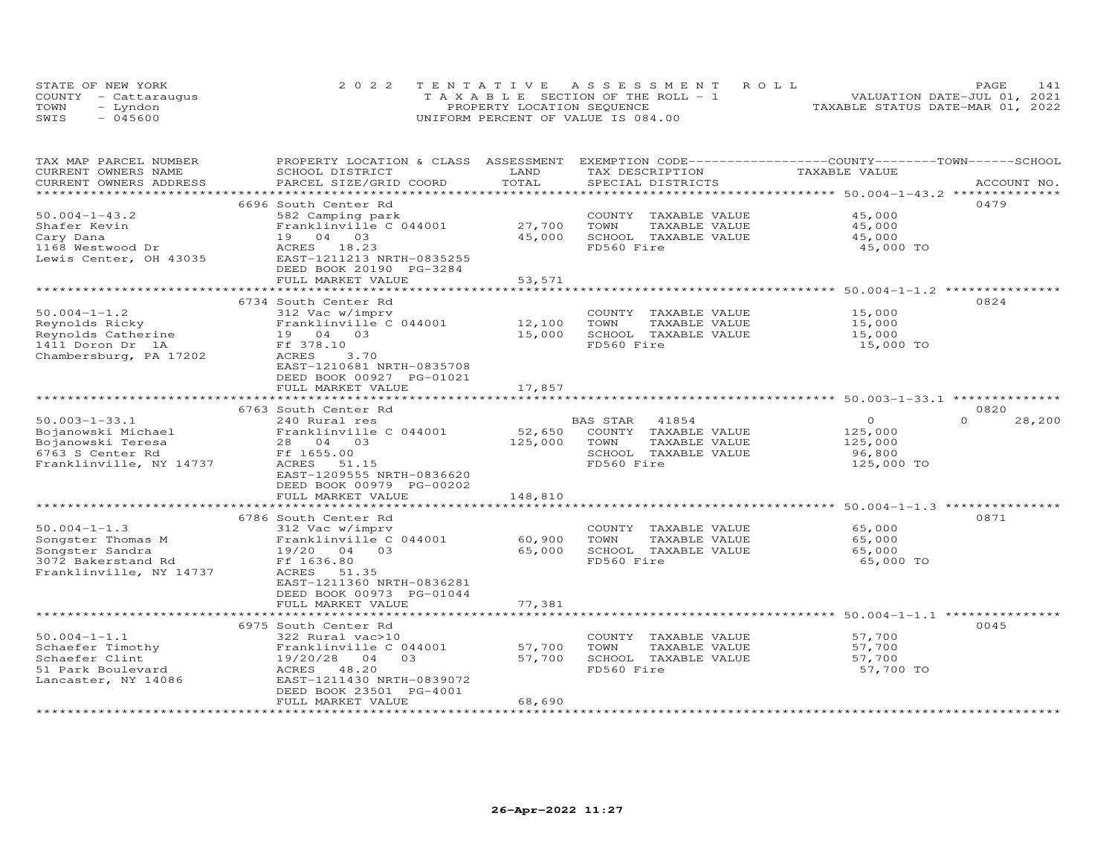|      | STATE OF NEW YORK    | 2022 TENTATIVE ASSESSMENT ROLL        | PAGE                             | 141 |
|------|----------------------|---------------------------------------|----------------------------------|-----|
|      | COUNTY - Cattaraugus | T A X A B L E SECTION OF THE ROLL - 1 | VALUATION DATE-JUL 01, 2021      |     |
| TOWN | - Lyndon             | PROPERTY LOCATION SEQUENCE            | TAXABLE STATUS DATE-MAR 01, 2022 |     |
| SWIS | $-045600$            | UNIFORM PERCENT OF VALUE IS 084.00    |                                  |     |

| TAX MAP PARCEL NUMBER<br>CURRENT OWNERS NAME<br>CURRENT OWNERS ADDRESS | SCHOOL DISTRICT<br>PARCEL SIZE/GRID COORD | LAND<br>TOTAL | TAX DESCRIPTION<br>SPECIAL DISTRICTS | PROPERTY LOCATION & CLASS ASSESSMENT EXEMPTION CODE----------------COUNTY-------TOWN------SCHOOL<br>TAXABLE VALUE<br>ACCOUNT NO. |
|------------------------------------------------------------------------|-------------------------------------------|---------------|--------------------------------------|----------------------------------------------------------------------------------------------------------------------------------|
|                                                                        |                                           |               |                                      |                                                                                                                                  |
|                                                                        | 6696 South Center Rd                      |               |                                      | 0479                                                                                                                             |
| $50.004 - 1 - 43.2$                                                    | 582 Camping park                          |               | COUNTY TAXABLE VALUE                 | 45,000                                                                                                                           |
| Shafer Kevin                                                           | Franklinville C 044001                    | 27,700        | TOWN<br>TAXABLE VALUE                | 45,000                                                                                                                           |
| Cary Dana                                                              | 19 04 03                                  | 45,000        | SCHOOL TAXABLE VALUE                 | 45,000                                                                                                                           |
| 1168 Westwood Dr                                                       | ACRES 18.23                               |               | FD560 Fire                           | 45,000 TO                                                                                                                        |
| Lewis Center, OH 43035                                                 | EAST-1211213 NRTH-0835255                 |               |                                      |                                                                                                                                  |
|                                                                        | DEED BOOK 20190 PG-3284                   |               |                                      |                                                                                                                                  |
|                                                                        | FULL MARKET VALUE                         | 53,571        |                                      |                                                                                                                                  |
|                                                                        | *******************************           | ************* |                                      | ************************* 50.004-1-1.2 ****************                                                                          |
|                                                                        | 6734 South Center Rd                      |               |                                      | 0824                                                                                                                             |
| $50.004 - 1 - 1.2$                                                     | 312 Vac w/imprv                           |               | COUNTY TAXABLE VALUE                 | 15,000                                                                                                                           |
| Reynolds Ricky                                                         | Franklinville C 044001                    | 12,100        | TOWN<br>TAXABLE VALUE                | 15,000                                                                                                                           |
| Reynolds Catherine                                                     | 19 04 03<br>Ff 378.10                     | 15,000        | SCHOOL TAXABLE VALUE<br>FD560 Fire   | 15,000                                                                                                                           |
| 1411 Doron Dr 1A<br>Chambersburg, PA 17202                             | ACRES<br>3,70                             |               |                                      | 15,000 TO                                                                                                                        |
|                                                                        | EAST-1210681 NRTH-0835708                 |               |                                      |                                                                                                                                  |
|                                                                        | DEED BOOK 00927 PG-01021                  |               |                                      |                                                                                                                                  |
|                                                                        | FULL MARKET VALUE                         | 17,857        |                                      |                                                                                                                                  |
|                                                                        |                                           |               |                                      |                                                                                                                                  |
|                                                                        | 6763 South Center Rd                      |               |                                      | 0820                                                                                                                             |
| $50.003 - 1 - 33.1$                                                    | 240 Rural res                             |               | 41854<br>BAS STAR                    | 28,200<br>$\circ$<br>$\cap$                                                                                                      |
| Bojanowski Michael                                                     | Franklinville C 044001                    | 52,650        | COUNTY TAXABLE VALUE                 | 125,000                                                                                                                          |
| Bojanowski Teresa                                                      | 28 04 03                                  | 125,000       | TOWN<br>TAXABLE VALUE                | 125,000                                                                                                                          |
| 6763 S Center Rd                                                       | Ff 1655.00                                |               | SCHOOL TAXABLE VALUE                 | 96,800                                                                                                                           |
| Franklinville, NY 14737                                                | ACRES<br>51.15                            |               | FD560 Fire                           | 125,000 TO                                                                                                                       |
|                                                                        | EAST-1209555 NRTH-0836620                 |               |                                      |                                                                                                                                  |
|                                                                        | DEED BOOK 00979 PG-00202                  |               |                                      |                                                                                                                                  |
|                                                                        | FULL MARKET VALUE                         | 148,810       |                                      |                                                                                                                                  |
|                                                                        |                                           |               |                                      |                                                                                                                                  |
|                                                                        | 6786 South Center Rd                      |               |                                      | 0871                                                                                                                             |
| $50.004 - 1 - 1.3$                                                     | 312 Vac w/imprv                           |               | COUNTY TAXABLE VALUE                 | 65,000                                                                                                                           |
| Songster Thomas M                                                      | Franklinville C 044001                    | 60,900        | TOWN<br>TAXABLE VALUE                | 65,000                                                                                                                           |
| Songster Sandra<br>3072 Bakerstand Rd                                  | 19/20 04<br>0.3<br>Ff 1636.80             | 65,000        | SCHOOL TAXABLE VALUE<br>FD560 Fire   | 65,000<br>65,000 TO                                                                                                              |
| Franklinville, NY 14737                                                | ACRES<br>51.35                            |               |                                      |                                                                                                                                  |
|                                                                        | EAST-1211360 NRTH-0836281                 |               |                                      |                                                                                                                                  |
|                                                                        | DEED BOOK 00973 PG-01044                  |               |                                      |                                                                                                                                  |
|                                                                        | FULL MARKET VALUE                         | 77,381        |                                      |                                                                                                                                  |
|                                                                        |                                           | ************  |                                      | ******************************** 50.004-1-1.1 ****************                                                                   |
|                                                                        | 6975 South Center Rd                      |               |                                      | 0045                                                                                                                             |
| $50.004 - 1 - 1.1$                                                     | 322 Rural vac>10                          |               | COUNTY TAXABLE VALUE                 | 57,700                                                                                                                           |
| Schaefer Timothy                                                       | Franklinville C 044001                    | 57,700        | TOWN<br>TAXABLE VALUE                | 57,700                                                                                                                           |
| Schaefer Clint                                                         | 19/20/28<br>04<br>03                      | 57,700        | SCHOOL TAXABLE VALUE                 | 57,700                                                                                                                           |
| 51 Park Boulevard                                                      | 48.20<br>ACRES                            |               | FD560 Fire                           | 57,700 TO                                                                                                                        |
| Lancaster, NY 14086                                                    | EAST-1211430 NRTH-0839072                 |               |                                      |                                                                                                                                  |
|                                                                        | DEED BOOK 23501 PG-4001                   |               |                                      |                                                                                                                                  |
|                                                                        | FULL MARKET VALUE                         | 68,690        |                                      |                                                                                                                                  |
|                                                                        |                                           |               |                                      |                                                                                                                                  |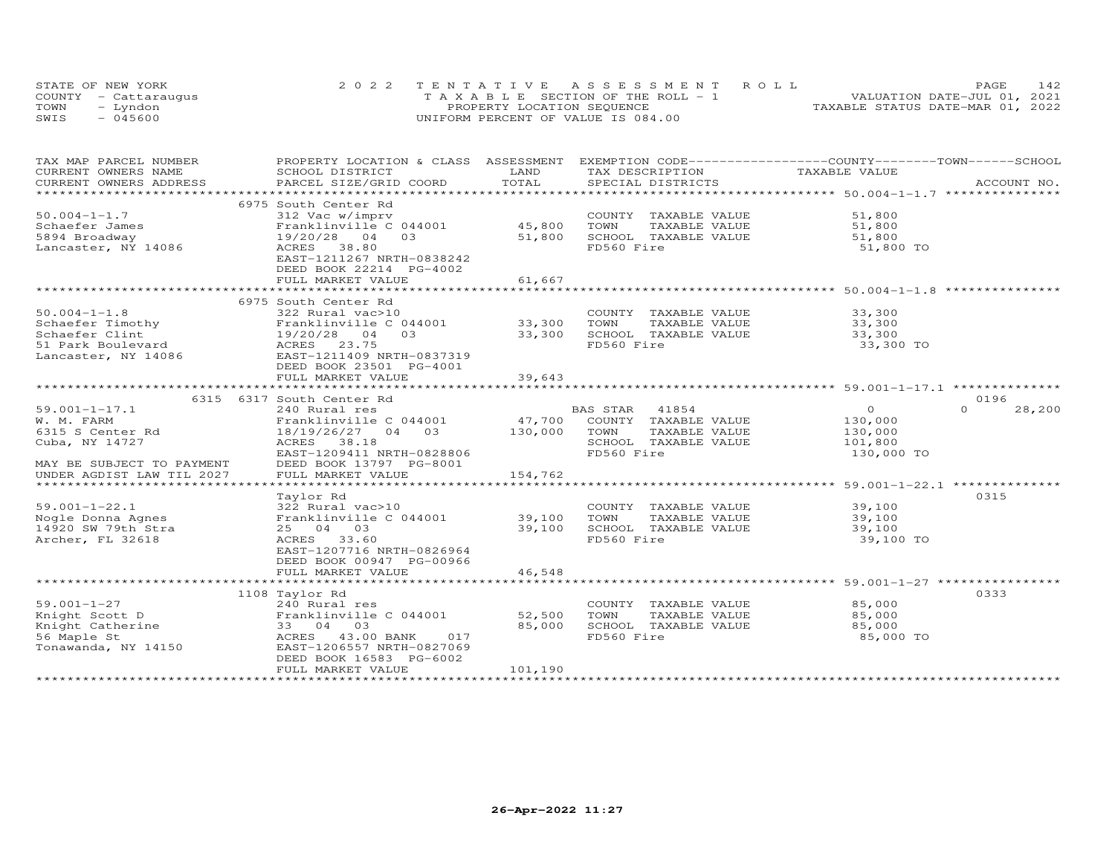|      | STATE OF NEW YORK    | 2022 TENTATIVE ASSESSMENT ROLL        | PAGE                             | 142 |
|------|----------------------|---------------------------------------|----------------------------------|-----|
|      | COUNTY - Cattaraugus | T A X A B L E SECTION OF THE ROLL - 1 | VALUATION DATE-JUL 01, 2021      |     |
| TOWN | – Lyndon             | PROPERTY LOCATION SEQUENCE            | TAXABLE STATUS DATE-MAR 01, 2022 |     |
| SWIS | $-045600$            | UNIFORM PERCENT OF VALUE IS 084.00    |                                  |     |

| TOTAL<br>CURRENT OWNERS ADDRESS<br>PARCEL SIZE/GRID COORD<br>SPECIAL DISTRICTS<br>ACCOUNT NO.<br>***********************<br>6975 South Center Rd<br>$50.004 - 1 - 1.7$<br>312 Vac w/imprv<br>COUNTY TAXABLE VALUE<br>51,800<br>45,800<br>TOWN<br>TAXABLE VALUE<br>Schaefer James<br>Franklinville C 044001<br>51,800<br>5894 Broadway<br>19/20/28<br>04<br>03<br>51,800<br>SCHOOL TAXABLE VALUE<br>51,800<br>FD560 Fire<br>Lancaster, NY 14086<br>ACRES<br>38.80<br>51,800 TO<br>EAST-1211267 NRTH-0838242<br>DEED BOOK 22214 PG-4002<br>FULL MARKET VALUE<br>61,667<br>******************** 50.004-1-1.8<br>*************************<br>الله بله بله بله بله بله بله بله بله<br>6975 South Center Rd<br>$50.004 - 1 - 1.8$<br>COUNTY TAXABLE VALUE<br>33,300<br>322 Rural vac>10<br>Schaefer Timothy<br>Franklinville C 044001<br>33,300<br>TOWN<br>TAXABLE VALUE<br>33,300<br>Schaefer Clint<br>33,300<br>SCHOOL TAXABLE VALUE<br>33,300<br>19/20/28<br>0 <sub>4</sub><br>03<br>51 Park Boulevard<br>FD560 Fire<br>ACRES 23.75<br>33,300 TO<br>EAST-1211409 NRTH-0837319<br>Lancaster, NY 14086<br>DEED BOOK 23501 PG-4001<br>FULL MARKET VALUE<br>39,643<br>0196<br>6315 6317 South Center Rd<br>$\overline{O}$<br>$59.001 - 1 - 17.1$<br>240 Rural res<br>BAS STAR<br>41854<br>$\Omega$<br>28,200<br>W. M. FARM<br>Franklinville C 044001<br>47,700<br>COUNTY TAXABLE VALUE<br>130,000<br>6315 S Center Rd<br>18/19/26/27 04 03<br>130,000<br>TOWN<br>TAXABLE VALUE<br>130,000<br>ACRES 38.18<br>SCHOOL TAXABLE VALUE<br>Cuba, NY 14727<br>101,800<br>FD560 Fire<br>130,000 TO<br>EAST-1209411 NRTH-0828806<br>DEED BOOK 13797 PG-8001<br>MAY BE SUBJECT TO PAYMENT<br>UNDER AGDIST LAW TIL 2027<br>FULL MARKET VALUE<br>154,762<br>0315<br>Taylor Rd<br>$59.001 - 1 - 22.1$<br>39,100<br>322 Rural vac>10<br>COUNTY TAXABLE VALUE<br>Nogle Donna Agnes<br>Franklinville C 044001<br>39,100<br>TOWN<br>TAXABLE VALUE<br>39,100<br>14920 SW 79th Stra<br>25 04 03<br>39,100<br>SCHOOL TAXABLE VALUE<br>39,100<br>Archer, FL 32618<br>FD560 Fire<br>ACRES 33.60<br>39,100 TO<br>EAST-1207716 NRTH-0826964<br>DEED BOOK 00947 PG-00966<br>FULL MARKET VALUE<br>46,548<br>1108 Taylor Rd<br>0333<br>$59.001 - 1 - 27$<br>85,000<br>240 Rural res<br>COUNTY TAXABLE VALUE<br>Knight Scott D<br>Franklinville C 044001<br>52,500<br>TOWN<br>TAXABLE VALUE<br>85,000<br>33 04 03<br>85,000<br>SCHOOL TAXABLE VALUE<br>Knight Catherine<br>85,000<br>ACRES 43.00 BANK<br>FD560 Fire<br>56 Maple St<br>017<br>85,000 TO<br>Tonawanda, NY 14150<br>EAST-1206557 NRTH-0827069<br>DEED BOOK 16583 PG-6002<br>FULL MARKET VALUE<br>101,190 | TAX MAP PARCEL NUMBER | PROPERTY LOCATION & CLASS ASSESSMENT |      | EXEMPTION CODE-----------------COUNTY-------TOWN------SCHOOL |               |  |
|------------------------------------------------------------------------------------------------------------------------------------------------------------------------------------------------------------------------------------------------------------------------------------------------------------------------------------------------------------------------------------------------------------------------------------------------------------------------------------------------------------------------------------------------------------------------------------------------------------------------------------------------------------------------------------------------------------------------------------------------------------------------------------------------------------------------------------------------------------------------------------------------------------------------------------------------------------------------------------------------------------------------------------------------------------------------------------------------------------------------------------------------------------------------------------------------------------------------------------------------------------------------------------------------------------------------------------------------------------------------------------------------------------------------------------------------------------------------------------------------------------------------------------------------------------------------------------------------------------------------------------------------------------------------------------------------------------------------------------------------------------------------------------------------------------------------------------------------------------------------------------------------------------------------------------------------------------------------------------------------------------------------------------------------------------------------------------------------------------------------------------------------------------------------------------------------------------------------------------------------------------------------------------------------------------------------------------------------------------------------------------------------------------------------------------------------------------------------------------------------------------------------------------------------------------------------------------------------------------------------------------|-----------------------|--------------------------------------|------|--------------------------------------------------------------|---------------|--|
|                                                                                                                                                                                                                                                                                                                                                                                                                                                                                                                                                                                                                                                                                                                                                                                                                                                                                                                                                                                                                                                                                                                                                                                                                                                                                                                                                                                                                                                                                                                                                                                                                                                                                                                                                                                                                                                                                                                                                                                                                                                                                                                                                                                                                                                                                                                                                                                                                                                                                                                                                                                                                                    | CURRENT OWNERS NAME   | SCHOOL DISTRICT                      | LAND | TAX DESCRIPTION                                              | TAXABLE VALUE |  |
|                                                                                                                                                                                                                                                                                                                                                                                                                                                                                                                                                                                                                                                                                                                                                                                                                                                                                                                                                                                                                                                                                                                                                                                                                                                                                                                                                                                                                                                                                                                                                                                                                                                                                                                                                                                                                                                                                                                                                                                                                                                                                                                                                                                                                                                                                                                                                                                                                                                                                                                                                                                                                                    |                       |                                      |      |                                                              |               |  |
|                                                                                                                                                                                                                                                                                                                                                                                                                                                                                                                                                                                                                                                                                                                                                                                                                                                                                                                                                                                                                                                                                                                                                                                                                                                                                                                                                                                                                                                                                                                                                                                                                                                                                                                                                                                                                                                                                                                                                                                                                                                                                                                                                                                                                                                                                                                                                                                                                                                                                                                                                                                                                                    |                       |                                      |      |                                                              |               |  |
|                                                                                                                                                                                                                                                                                                                                                                                                                                                                                                                                                                                                                                                                                                                                                                                                                                                                                                                                                                                                                                                                                                                                                                                                                                                                                                                                                                                                                                                                                                                                                                                                                                                                                                                                                                                                                                                                                                                                                                                                                                                                                                                                                                                                                                                                                                                                                                                                                                                                                                                                                                                                                                    |                       |                                      |      |                                                              |               |  |
|                                                                                                                                                                                                                                                                                                                                                                                                                                                                                                                                                                                                                                                                                                                                                                                                                                                                                                                                                                                                                                                                                                                                                                                                                                                                                                                                                                                                                                                                                                                                                                                                                                                                                                                                                                                                                                                                                                                                                                                                                                                                                                                                                                                                                                                                                                                                                                                                                                                                                                                                                                                                                                    |                       |                                      |      |                                                              |               |  |
|                                                                                                                                                                                                                                                                                                                                                                                                                                                                                                                                                                                                                                                                                                                                                                                                                                                                                                                                                                                                                                                                                                                                                                                                                                                                                                                                                                                                                                                                                                                                                                                                                                                                                                                                                                                                                                                                                                                                                                                                                                                                                                                                                                                                                                                                                                                                                                                                                                                                                                                                                                                                                                    |                       |                                      |      |                                                              |               |  |
|                                                                                                                                                                                                                                                                                                                                                                                                                                                                                                                                                                                                                                                                                                                                                                                                                                                                                                                                                                                                                                                                                                                                                                                                                                                                                                                                                                                                                                                                                                                                                                                                                                                                                                                                                                                                                                                                                                                                                                                                                                                                                                                                                                                                                                                                                                                                                                                                                                                                                                                                                                                                                                    |                       |                                      |      |                                                              |               |  |
|                                                                                                                                                                                                                                                                                                                                                                                                                                                                                                                                                                                                                                                                                                                                                                                                                                                                                                                                                                                                                                                                                                                                                                                                                                                                                                                                                                                                                                                                                                                                                                                                                                                                                                                                                                                                                                                                                                                                                                                                                                                                                                                                                                                                                                                                                                                                                                                                                                                                                                                                                                                                                                    |                       |                                      |      |                                                              |               |  |
|                                                                                                                                                                                                                                                                                                                                                                                                                                                                                                                                                                                                                                                                                                                                                                                                                                                                                                                                                                                                                                                                                                                                                                                                                                                                                                                                                                                                                                                                                                                                                                                                                                                                                                                                                                                                                                                                                                                                                                                                                                                                                                                                                                                                                                                                                                                                                                                                                                                                                                                                                                                                                                    |                       |                                      |      |                                                              |               |  |
|                                                                                                                                                                                                                                                                                                                                                                                                                                                                                                                                                                                                                                                                                                                                                                                                                                                                                                                                                                                                                                                                                                                                                                                                                                                                                                                                                                                                                                                                                                                                                                                                                                                                                                                                                                                                                                                                                                                                                                                                                                                                                                                                                                                                                                                                                                                                                                                                                                                                                                                                                                                                                                    |                       |                                      |      |                                                              |               |  |
|                                                                                                                                                                                                                                                                                                                                                                                                                                                                                                                                                                                                                                                                                                                                                                                                                                                                                                                                                                                                                                                                                                                                                                                                                                                                                                                                                                                                                                                                                                                                                                                                                                                                                                                                                                                                                                                                                                                                                                                                                                                                                                                                                                                                                                                                                                                                                                                                                                                                                                                                                                                                                                    |                       |                                      |      |                                                              |               |  |
|                                                                                                                                                                                                                                                                                                                                                                                                                                                                                                                                                                                                                                                                                                                                                                                                                                                                                                                                                                                                                                                                                                                                                                                                                                                                                                                                                                                                                                                                                                                                                                                                                                                                                                                                                                                                                                                                                                                                                                                                                                                                                                                                                                                                                                                                                                                                                                                                                                                                                                                                                                                                                                    |                       |                                      |      |                                                              |               |  |
|                                                                                                                                                                                                                                                                                                                                                                                                                                                                                                                                                                                                                                                                                                                                                                                                                                                                                                                                                                                                                                                                                                                                                                                                                                                                                                                                                                                                                                                                                                                                                                                                                                                                                                                                                                                                                                                                                                                                                                                                                                                                                                                                                                                                                                                                                                                                                                                                                                                                                                                                                                                                                                    |                       |                                      |      |                                                              |               |  |
|                                                                                                                                                                                                                                                                                                                                                                                                                                                                                                                                                                                                                                                                                                                                                                                                                                                                                                                                                                                                                                                                                                                                                                                                                                                                                                                                                                                                                                                                                                                                                                                                                                                                                                                                                                                                                                                                                                                                                                                                                                                                                                                                                                                                                                                                                                                                                                                                                                                                                                                                                                                                                                    |                       |                                      |      |                                                              |               |  |
|                                                                                                                                                                                                                                                                                                                                                                                                                                                                                                                                                                                                                                                                                                                                                                                                                                                                                                                                                                                                                                                                                                                                                                                                                                                                                                                                                                                                                                                                                                                                                                                                                                                                                                                                                                                                                                                                                                                                                                                                                                                                                                                                                                                                                                                                                                                                                                                                                                                                                                                                                                                                                                    |                       |                                      |      |                                                              |               |  |
|                                                                                                                                                                                                                                                                                                                                                                                                                                                                                                                                                                                                                                                                                                                                                                                                                                                                                                                                                                                                                                                                                                                                                                                                                                                                                                                                                                                                                                                                                                                                                                                                                                                                                                                                                                                                                                                                                                                                                                                                                                                                                                                                                                                                                                                                                                                                                                                                                                                                                                                                                                                                                                    |                       |                                      |      |                                                              |               |  |
|                                                                                                                                                                                                                                                                                                                                                                                                                                                                                                                                                                                                                                                                                                                                                                                                                                                                                                                                                                                                                                                                                                                                                                                                                                                                                                                                                                                                                                                                                                                                                                                                                                                                                                                                                                                                                                                                                                                                                                                                                                                                                                                                                                                                                                                                                                                                                                                                                                                                                                                                                                                                                                    |                       |                                      |      |                                                              |               |  |
|                                                                                                                                                                                                                                                                                                                                                                                                                                                                                                                                                                                                                                                                                                                                                                                                                                                                                                                                                                                                                                                                                                                                                                                                                                                                                                                                                                                                                                                                                                                                                                                                                                                                                                                                                                                                                                                                                                                                                                                                                                                                                                                                                                                                                                                                                                                                                                                                                                                                                                                                                                                                                                    |                       |                                      |      |                                                              |               |  |
|                                                                                                                                                                                                                                                                                                                                                                                                                                                                                                                                                                                                                                                                                                                                                                                                                                                                                                                                                                                                                                                                                                                                                                                                                                                                                                                                                                                                                                                                                                                                                                                                                                                                                                                                                                                                                                                                                                                                                                                                                                                                                                                                                                                                                                                                                                                                                                                                                                                                                                                                                                                                                                    |                       |                                      |      |                                                              |               |  |
|                                                                                                                                                                                                                                                                                                                                                                                                                                                                                                                                                                                                                                                                                                                                                                                                                                                                                                                                                                                                                                                                                                                                                                                                                                                                                                                                                                                                                                                                                                                                                                                                                                                                                                                                                                                                                                                                                                                                                                                                                                                                                                                                                                                                                                                                                                                                                                                                                                                                                                                                                                                                                                    |                       |                                      |      |                                                              |               |  |
|                                                                                                                                                                                                                                                                                                                                                                                                                                                                                                                                                                                                                                                                                                                                                                                                                                                                                                                                                                                                                                                                                                                                                                                                                                                                                                                                                                                                                                                                                                                                                                                                                                                                                                                                                                                                                                                                                                                                                                                                                                                                                                                                                                                                                                                                                                                                                                                                                                                                                                                                                                                                                                    |                       |                                      |      |                                                              |               |  |
|                                                                                                                                                                                                                                                                                                                                                                                                                                                                                                                                                                                                                                                                                                                                                                                                                                                                                                                                                                                                                                                                                                                                                                                                                                                                                                                                                                                                                                                                                                                                                                                                                                                                                                                                                                                                                                                                                                                                                                                                                                                                                                                                                                                                                                                                                                                                                                                                                                                                                                                                                                                                                                    |                       |                                      |      |                                                              |               |  |
|                                                                                                                                                                                                                                                                                                                                                                                                                                                                                                                                                                                                                                                                                                                                                                                                                                                                                                                                                                                                                                                                                                                                                                                                                                                                                                                                                                                                                                                                                                                                                                                                                                                                                                                                                                                                                                                                                                                                                                                                                                                                                                                                                                                                                                                                                                                                                                                                                                                                                                                                                                                                                                    |                       |                                      |      |                                                              |               |  |
|                                                                                                                                                                                                                                                                                                                                                                                                                                                                                                                                                                                                                                                                                                                                                                                                                                                                                                                                                                                                                                                                                                                                                                                                                                                                                                                                                                                                                                                                                                                                                                                                                                                                                                                                                                                                                                                                                                                                                                                                                                                                                                                                                                                                                                                                                                                                                                                                                                                                                                                                                                                                                                    |                       |                                      |      |                                                              |               |  |
|                                                                                                                                                                                                                                                                                                                                                                                                                                                                                                                                                                                                                                                                                                                                                                                                                                                                                                                                                                                                                                                                                                                                                                                                                                                                                                                                                                                                                                                                                                                                                                                                                                                                                                                                                                                                                                                                                                                                                                                                                                                                                                                                                                                                                                                                                                                                                                                                                                                                                                                                                                                                                                    |                       |                                      |      |                                                              |               |  |
|                                                                                                                                                                                                                                                                                                                                                                                                                                                                                                                                                                                                                                                                                                                                                                                                                                                                                                                                                                                                                                                                                                                                                                                                                                                                                                                                                                                                                                                                                                                                                                                                                                                                                                                                                                                                                                                                                                                                                                                                                                                                                                                                                                                                                                                                                                                                                                                                                                                                                                                                                                                                                                    |                       |                                      |      |                                                              |               |  |
|                                                                                                                                                                                                                                                                                                                                                                                                                                                                                                                                                                                                                                                                                                                                                                                                                                                                                                                                                                                                                                                                                                                                                                                                                                                                                                                                                                                                                                                                                                                                                                                                                                                                                                                                                                                                                                                                                                                                                                                                                                                                                                                                                                                                                                                                                                                                                                                                                                                                                                                                                                                                                                    |                       |                                      |      |                                                              |               |  |
|                                                                                                                                                                                                                                                                                                                                                                                                                                                                                                                                                                                                                                                                                                                                                                                                                                                                                                                                                                                                                                                                                                                                                                                                                                                                                                                                                                                                                                                                                                                                                                                                                                                                                                                                                                                                                                                                                                                                                                                                                                                                                                                                                                                                                                                                                                                                                                                                                                                                                                                                                                                                                                    |                       |                                      |      |                                                              |               |  |
|                                                                                                                                                                                                                                                                                                                                                                                                                                                                                                                                                                                                                                                                                                                                                                                                                                                                                                                                                                                                                                                                                                                                                                                                                                                                                                                                                                                                                                                                                                                                                                                                                                                                                                                                                                                                                                                                                                                                                                                                                                                                                                                                                                                                                                                                                                                                                                                                                                                                                                                                                                                                                                    |                       |                                      |      |                                                              |               |  |
|                                                                                                                                                                                                                                                                                                                                                                                                                                                                                                                                                                                                                                                                                                                                                                                                                                                                                                                                                                                                                                                                                                                                                                                                                                                                                                                                                                                                                                                                                                                                                                                                                                                                                                                                                                                                                                                                                                                                                                                                                                                                                                                                                                                                                                                                                                                                                                                                                                                                                                                                                                                                                                    |                       |                                      |      |                                                              |               |  |
|                                                                                                                                                                                                                                                                                                                                                                                                                                                                                                                                                                                                                                                                                                                                                                                                                                                                                                                                                                                                                                                                                                                                                                                                                                                                                                                                                                                                                                                                                                                                                                                                                                                                                                                                                                                                                                                                                                                                                                                                                                                                                                                                                                                                                                                                                                                                                                                                                                                                                                                                                                                                                                    |                       |                                      |      |                                                              |               |  |
|                                                                                                                                                                                                                                                                                                                                                                                                                                                                                                                                                                                                                                                                                                                                                                                                                                                                                                                                                                                                                                                                                                                                                                                                                                                                                                                                                                                                                                                                                                                                                                                                                                                                                                                                                                                                                                                                                                                                                                                                                                                                                                                                                                                                                                                                                                                                                                                                                                                                                                                                                                                                                                    |                       |                                      |      |                                                              |               |  |
|                                                                                                                                                                                                                                                                                                                                                                                                                                                                                                                                                                                                                                                                                                                                                                                                                                                                                                                                                                                                                                                                                                                                                                                                                                                                                                                                                                                                                                                                                                                                                                                                                                                                                                                                                                                                                                                                                                                                                                                                                                                                                                                                                                                                                                                                                                                                                                                                                                                                                                                                                                                                                                    |                       |                                      |      |                                                              |               |  |
|                                                                                                                                                                                                                                                                                                                                                                                                                                                                                                                                                                                                                                                                                                                                                                                                                                                                                                                                                                                                                                                                                                                                                                                                                                                                                                                                                                                                                                                                                                                                                                                                                                                                                                                                                                                                                                                                                                                                                                                                                                                                                                                                                                                                                                                                                                                                                                                                                                                                                                                                                                                                                                    |                       |                                      |      |                                                              |               |  |
|                                                                                                                                                                                                                                                                                                                                                                                                                                                                                                                                                                                                                                                                                                                                                                                                                                                                                                                                                                                                                                                                                                                                                                                                                                                                                                                                                                                                                                                                                                                                                                                                                                                                                                                                                                                                                                                                                                                                                                                                                                                                                                                                                                                                                                                                                                                                                                                                                                                                                                                                                                                                                                    |                       |                                      |      |                                                              |               |  |
|                                                                                                                                                                                                                                                                                                                                                                                                                                                                                                                                                                                                                                                                                                                                                                                                                                                                                                                                                                                                                                                                                                                                                                                                                                                                                                                                                                                                                                                                                                                                                                                                                                                                                                                                                                                                                                                                                                                                                                                                                                                                                                                                                                                                                                                                                                                                                                                                                                                                                                                                                                                                                                    |                       |                                      |      |                                                              |               |  |
|                                                                                                                                                                                                                                                                                                                                                                                                                                                                                                                                                                                                                                                                                                                                                                                                                                                                                                                                                                                                                                                                                                                                                                                                                                                                                                                                                                                                                                                                                                                                                                                                                                                                                                                                                                                                                                                                                                                                                                                                                                                                                                                                                                                                                                                                                                                                                                                                                                                                                                                                                                                                                                    |                       |                                      |      |                                                              |               |  |
|                                                                                                                                                                                                                                                                                                                                                                                                                                                                                                                                                                                                                                                                                                                                                                                                                                                                                                                                                                                                                                                                                                                                                                                                                                                                                                                                                                                                                                                                                                                                                                                                                                                                                                                                                                                                                                                                                                                                                                                                                                                                                                                                                                                                                                                                                                                                                                                                                                                                                                                                                                                                                                    |                       |                                      |      |                                                              |               |  |
|                                                                                                                                                                                                                                                                                                                                                                                                                                                                                                                                                                                                                                                                                                                                                                                                                                                                                                                                                                                                                                                                                                                                                                                                                                                                                                                                                                                                                                                                                                                                                                                                                                                                                                                                                                                                                                                                                                                                                                                                                                                                                                                                                                                                                                                                                                                                                                                                                                                                                                                                                                                                                                    |                       |                                      |      |                                                              |               |  |
|                                                                                                                                                                                                                                                                                                                                                                                                                                                                                                                                                                                                                                                                                                                                                                                                                                                                                                                                                                                                                                                                                                                                                                                                                                                                                                                                                                                                                                                                                                                                                                                                                                                                                                                                                                                                                                                                                                                                                                                                                                                                                                                                                                                                                                                                                                                                                                                                                                                                                                                                                                                                                                    |                       |                                      |      |                                                              |               |  |
|                                                                                                                                                                                                                                                                                                                                                                                                                                                                                                                                                                                                                                                                                                                                                                                                                                                                                                                                                                                                                                                                                                                                                                                                                                                                                                                                                                                                                                                                                                                                                                                                                                                                                                                                                                                                                                                                                                                                                                                                                                                                                                                                                                                                                                                                                                                                                                                                                                                                                                                                                                                                                                    |                       |                                      |      |                                                              |               |  |
|                                                                                                                                                                                                                                                                                                                                                                                                                                                                                                                                                                                                                                                                                                                                                                                                                                                                                                                                                                                                                                                                                                                                                                                                                                                                                                                                                                                                                                                                                                                                                                                                                                                                                                                                                                                                                                                                                                                                                                                                                                                                                                                                                                                                                                                                                                                                                                                                                                                                                                                                                                                                                                    |                       |                                      |      |                                                              |               |  |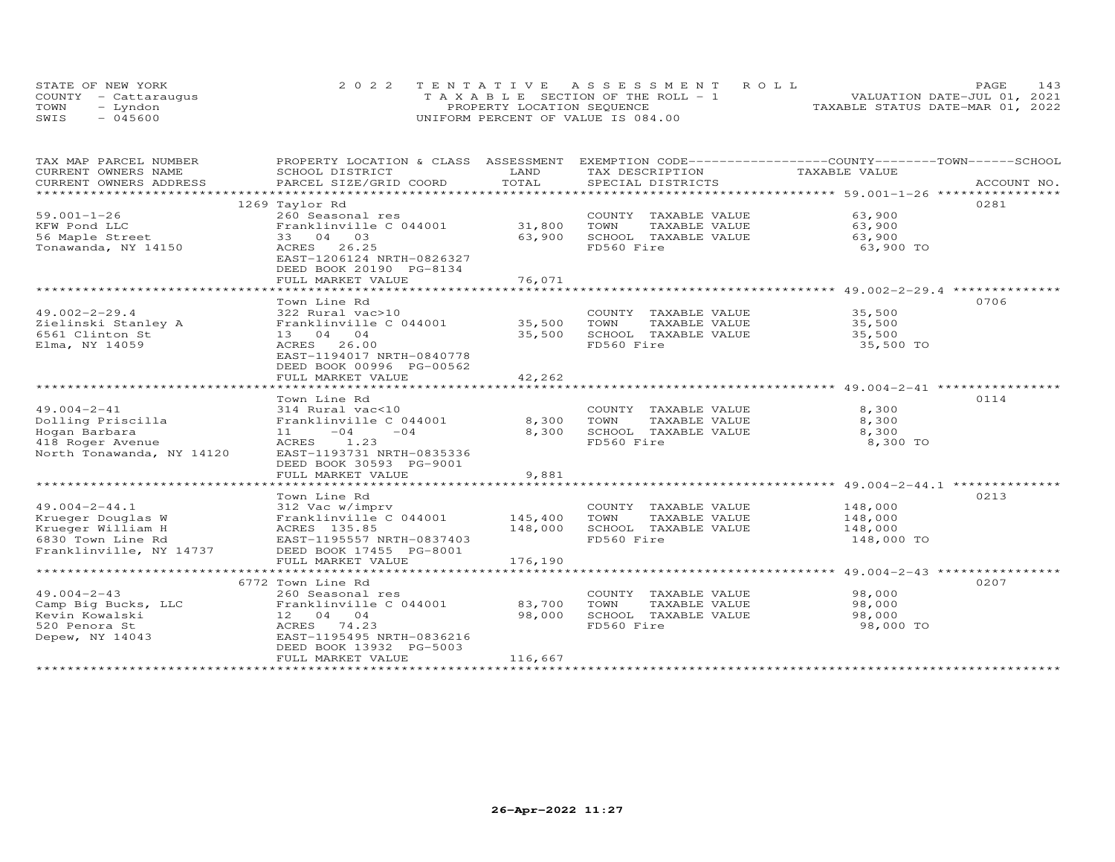| STATE OF NEW YORK    | 2022 TENTATIVE ASSESSMENT ROLL |                            |                                       |  |                                  | <b>PAGE</b> | 143 |
|----------------------|--------------------------------|----------------------------|---------------------------------------|--|----------------------------------|-------------|-----|
| COUNTY - Cattaraugus |                                |                            | T A X A B L E SECTION OF THE ROLL - 1 |  | VALUATION DATE-JUL 01, 2021      |             |     |
| TOWN<br>- Lyndon     |                                | PROPERTY LOCATION SEQUENCE |                                       |  | TAXABLE STATUS DATE-MAR 01, 2022 |             |     |
| $-045600$<br>SWIS    |                                |                            | UNIFORM PERCENT OF VALUE IS 084.00    |  |                                  |             |     |

| TAX MAP PARCEL NUMBER<br>CURRENT OWNERS NAME | PROPERTY LOCATION & CLASS ASSESSMENT EXEMPTION CODE----------------COUNTY-------TOWN-----SCHOOL<br>SCHOOL DISTRICT | LAND    | TAX DESCRIPTION                                                   | TAXABLE VALUE     |             |
|----------------------------------------------|--------------------------------------------------------------------------------------------------------------------|---------|-------------------------------------------------------------------|-------------------|-------------|
| CURRENT OWNERS ADDRESS                       | PARCEL SIZE/GRID COORD                                                                                             | TOTAL   | SPECIAL DISTRICTS                                                 |                   | ACCOUNT NO. |
| *********************                        |                                                                                                                    |         |                                                                   |                   |             |
|                                              | 1269 Taylor Rd                                                                                                     |         |                                                                   |                   | 0281        |
| $59.001 - 1 - 26$                            | 260 Seasonal res                                                                                                   |         | COUNTY TAXABLE VALUE                                              | 63,900            |             |
| KFW Pond LLC                                 | Franklinville C 044001                                                                                             | 31,800  | TOWN<br>TAXABLE VALUE                                             | 63,900            |             |
| 56 Maple Street                              | 33 04 03                                                                                                           | 63,900  | SCHOOL TAXABLE VALUE                                              | 63,900            |             |
| Tonawanda, NY 14150                          | ACRES<br>26.25<br>EAST-1206124 NRTH-0826327<br>DEED BOOK 20190 PG-8134                                             |         | FD560 Fire                                                        | 63,900 TO         |             |
|                                              | FULL MARKET VALUE                                                                                                  | 76,071  |                                                                   |                   |             |
|                                              |                                                                                                                    |         | *********************************** 49.002-2-29.4 *************** |                   |             |
|                                              | Town Line Rd                                                                                                       |         |                                                                   |                   | 0706        |
| $49.002 - 2 - 29.4$                          | 322 Rural vac>10                                                                                                   |         | COUNTY TAXABLE VALUE                                              | 35,500            |             |
| Zielinski Stanley A                          | Franklinville C 044001                                                                                             | 35,500  | TOWN<br>TAXABLE VALUE                                             | 35,500            |             |
| 6561 Clinton St                              | 13 04 04                                                                                                           | 35,500  | SCHOOL TAXABLE VALUE                                              | 35,500            |             |
| Elma, NY 14059                               | 26.00<br>ACRES<br>EAST-1194017 NRTH-0840778<br>DEED BOOK 00996 PG-00562                                            |         | FD560 Fire                                                        | 35,500 TO         |             |
|                                              | FULL MARKET VALUE                                                                                                  | 42,262  |                                                                   |                   |             |
|                                              |                                                                                                                    |         |                                                                   |                   |             |
|                                              | Town Line Rd                                                                                                       |         |                                                                   |                   | 0114        |
| $49.004 - 2 - 41$                            | 314 Rural vac<10                                                                                                   |         | COUNTY TAXABLE VALUE                                              | 8,300             |             |
| Dolling Priscilla                            | Franklinville C 044001                                                                                             | 8,300   | TOWN<br>TAXABLE VALUE                                             | 8,300             |             |
| Hogan Barbara<br>418 Roger Avenue            | $-04$<br>$-04$<br>11 \,<br>ACRES 1.23                                                                              | 8,300   | SCHOOL TAXABLE VALUE<br>FD560 Fire                                | 8,300<br>8,300 TO |             |
| North Tonawanda, NY 14120                    | EAST-1193731 NRTH-0835336                                                                                          |         |                                                                   |                   |             |
|                                              | DEED BOOK 30593 PG-9001                                                                                            |         |                                                                   |                   |             |
|                                              | FULL MARKET VALUE                                                                                                  | 9,881   |                                                                   |                   |             |
|                                              | *****************************                                                                                      |         |                                                                   |                   |             |
|                                              | Town Line Rd                                                                                                       |         |                                                                   |                   | 0213        |
| $49.004 - 2 - 44.1$                          | 312 Vac w/imprv                                                                                                    |         | COUNTY TAXABLE VALUE                                              | 148,000           |             |
| Krueger Douglas W                            | Franklinville C 044001                                                                                             | 145,400 | TOWN<br>TAXABLE VALUE                                             | 148,000           |             |
| Krueger William H                            | ACRES 135.85                                                                                                       | 148,000 | SCHOOL TAXABLE VALUE                                              | 148,000           |             |
| 6830 Town Line Rd                            | EAST-1195557 NRTH-0837403                                                                                          |         | FD560 Fire                                                        | 148,000 TO        |             |
| Franklinville, NY 14737                      | DEED BOOK 17455 PG-8001                                                                                            |         |                                                                   |                   |             |
|                                              | FULL MARKET VALUE                                                                                                  | 176,190 |                                                                   |                   |             |
|                                              | 6772 Town Line Rd                                                                                                  |         |                                                                   |                   | 0207        |
| $49.004 - 2 - 43$                            | 260 Seasonal res                                                                                                   |         | COUNTY TAXABLE VALUE                                              | 98,000            |             |
| Camp Big Bucks, LLC                          | Franklinville C 044001                                                                                             | 83,700  | TOWN<br>TAXABLE VALUE                                             | 98,000            |             |
| Kevin Kowalski                               | 12 04 04                                                                                                           | 98,000  | SCHOOL TAXABLE VALUE                                              | 98,000            |             |
| 520 Penora St                                | ACRES 74.23                                                                                                        |         | FD560 Fire                                                        | 98,000 TO         |             |
| Depew, NY 14043                              | EAST-1195495 NRTH-0836216                                                                                          |         |                                                                   |                   |             |
|                                              | DEED BOOK 13932 PG-5003                                                                                            |         |                                                                   |                   |             |
|                                              | FULL MARKET VALUE                                                                                                  | 116,667 |                                                                   |                   |             |
|                                              |                                                                                                                    |         |                                                                   |                   |             |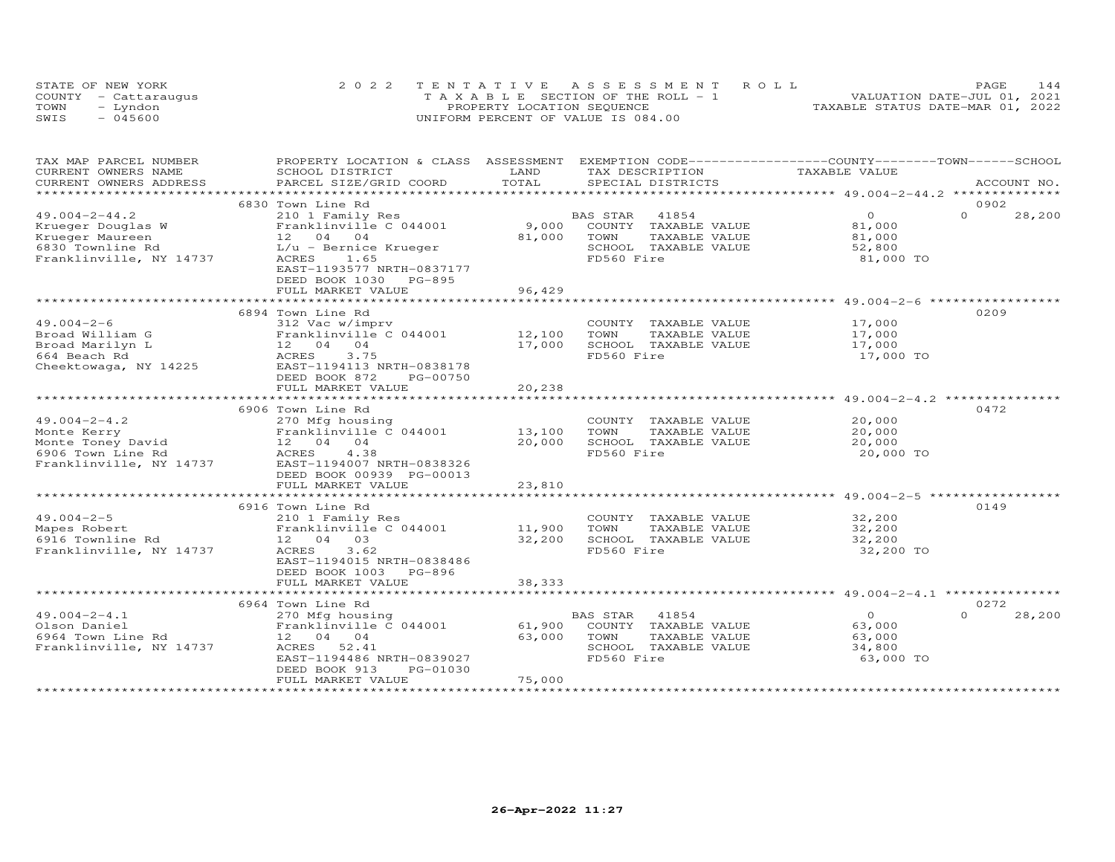|      | STATE OF NEW YORK    | 2022 TENTATIVE ASSESSMENT ROLL        | 144<br><b>PAGE</b>               |
|------|----------------------|---------------------------------------|----------------------------------|
|      | COUNTY - Cattaraugus | T A X A B L E SECTION OF THE ROLL - 1 | VALUATION DATE-JUL 01, 2021      |
| TOWN | – Lyndon             | PROPERTY LOCATION SEQUENCE            | TAXABLE STATUS DATE-MAR 01, 2022 |
| SWIS | $-045600$            | UNIFORM PERCENT OF VALUE IS 084.00    |                                  |

| CURRENT OWNERS NAME<br>SCHOOL DISTRICT<br>LAND<br>TAX DESCRIPTION<br>TAXABLE VALUE<br>TOTAL<br>CURRENT OWNERS ADDRESS<br>PARCEL SIZE/GRID COORD<br>SPECIAL DISTRICTS<br>ACCOUNT NO.<br>*********************** 49.004-2-44.2 ***************<br>***********************<br>6830 Town Line Rd<br>0902<br>$49.004 - 2 - 44.2$<br>41854<br>$\overline{O}$<br>$\Omega$<br>210 1 Family Res<br>BAS STAR<br>28,200<br>9,000<br>Krueger Douglas W<br>Franklinville C 044001<br>COUNTY TAXABLE VALUE<br>81,000<br>Krueger Maureen<br>12 04 04<br>81,000<br>TAXABLE VALUE<br>TOWN<br>81,000<br>6830 Townline Rd<br>$L/u$ - Bernice Krueger<br>SCHOOL TAXABLE VALUE<br>52,800<br>Franklinville, NY 14737<br>FD560 Fire<br>ACRES<br>1.65<br>81,000 TO<br>EAST-1193577 NRTH-0837177<br>DEED BOOK 1030 PG-895<br>96,429<br>FULL MARKET VALUE<br>6894 Town Line Rd<br>0209<br>$49.004 - 2 - 6$<br>312 Vac w/imprv<br>COUNTY<br>17,000<br>TAXABLE VALUE<br>Franklinville C 044001<br>12,100<br>Broad William G<br>TOWN<br>TAXABLE VALUE<br>17,000<br>17,000<br>SCHOOL TAXABLE VALUE<br>12 04 04<br>17,000<br>Broad Marilyn L<br>3.75<br>FD560 Fire<br>664 Beach Rd<br>ACRES<br>17,000 TO<br>Cheektowaga, NY 14225<br>EAST-1194113 NRTH-0838178<br>DEED BOOK 872<br>PG-00750<br>20,238<br>FULL MARKET VALUE<br>0472<br>6906 Town Line Rd<br>20,000<br>$49.004 - 2 - 4.2$<br>COUNTY TAXABLE VALUE<br>270 Mfg housing<br>Franklinville C 044001 13,100<br>20,000<br>TOWN<br>TAXABLE VALUE<br>Monte Kerry<br>Monte Toney David<br>20,000<br>SCHOOL TAXABLE VALUE<br>12 04 04<br>20,000<br>FD560 Fire<br>6906 Town Line Rd<br>ACRES<br>4.38<br>20,000 TO<br>Franklinville, NY 14737<br>EAST-1194007 NRTH-0838326<br>DEED BOOK 00939 PG-00013<br>FULL MARKET VALUE<br>23,810<br>**************************************59.004-2-5 ****************<br>0149<br>6916 Town Line Rd<br>$49.004 - 2 - 5$<br>210 1 Family Res<br>COUNTY TAXABLE VALUE<br>32,200<br>11,900<br>Franklinville C 044001<br>TOWN<br>TAXABLE VALUE<br>32,200<br>Mapes Robert<br>32,200<br>SCHOOL TAXABLE VALUE<br>32,200<br>6916 Townline Rd<br>12 04 03<br>FD560 Fire<br>Franklinville, NY 14737<br>3.62<br>32,200 TO<br>ACRES<br>EAST-1194015 NRTH-0838486<br>DEED BOOK 1003 PG-896<br>FULL MARKET VALUE<br>38,333<br>0272<br>6964 Town Line Rd<br>$\overline{O}$<br>$\Omega$<br>$49.004 - 2 - 4.1$<br>270 Mfg housing<br>BAS STAR<br>41854<br>28,200<br>61,900<br>COUNTY TAXABLE VALUE<br>Olson Daniel<br>Franklinville C 044001<br>63,000<br>6964 Town Line Rd<br>12 04 04<br>63,000<br>TOWN<br>TAXABLE VALUE<br>63,000<br>Franklinville, NY 14737<br>ACRES 52.41<br>SCHOOL TAXABLE VALUE<br>34,800<br>FD560 Fire<br>63,000 TO<br>EAST-1194486 NRTH-0839027<br>DEED BOOK 913<br>PG-01030<br>75,000<br>FULL MARKET VALUE | TAX MAP PARCEL NUMBER | PROPERTY LOCATION & CLASS ASSESSMENT |  | EXEMPTION CODE-----------------COUNTY-------TOWN------SCHOOL |  |
|---------------------------------------------------------------------------------------------------------------------------------------------------------------------------------------------------------------------------------------------------------------------------------------------------------------------------------------------------------------------------------------------------------------------------------------------------------------------------------------------------------------------------------------------------------------------------------------------------------------------------------------------------------------------------------------------------------------------------------------------------------------------------------------------------------------------------------------------------------------------------------------------------------------------------------------------------------------------------------------------------------------------------------------------------------------------------------------------------------------------------------------------------------------------------------------------------------------------------------------------------------------------------------------------------------------------------------------------------------------------------------------------------------------------------------------------------------------------------------------------------------------------------------------------------------------------------------------------------------------------------------------------------------------------------------------------------------------------------------------------------------------------------------------------------------------------------------------------------------------------------------------------------------------------------------------------------------------------------------------------------------------------------------------------------------------------------------------------------------------------------------------------------------------------------------------------------------------------------------------------------------------------------------------------------------------------------------------------------------------------------------------------------------------------------------------------------------------------------------------------------------------------------------------------------------------------------------------------------------------------------------------------------------------------------------------------------------------------------------------------------------------------------|-----------------------|--------------------------------------|--|--------------------------------------------------------------|--|
|                                                                                                                                                                                                                                                                                                                                                                                                                                                                                                                                                                                                                                                                                                                                                                                                                                                                                                                                                                                                                                                                                                                                                                                                                                                                                                                                                                                                                                                                                                                                                                                                                                                                                                                                                                                                                                                                                                                                                                                                                                                                                                                                                                                                                                                                                                                                                                                                                                                                                                                                                                                                                                                                                                                                                                           |                       |                                      |  |                                                              |  |
|                                                                                                                                                                                                                                                                                                                                                                                                                                                                                                                                                                                                                                                                                                                                                                                                                                                                                                                                                                                                                                                                                                                                                                                                                                                                                                                                                                                                                                                                                                                                                                                                                                                                                                                                                                                                                                                                                                                                                                                                                                                                                                                                                                                                                                                                                                                                                                                                                                                                                                                                                                                                                                                                                                                                                                           |                       |                                      |  |                                                              |  |
|                                                                                                                                                                                                                                                                                                                                                                                                                                                                                                                                                                                                                                                                                                                                                                                                                                                                                                                                                                                                                                                                                                                                                                                                                                                                                                                                                                                                                                                                                                                                                                                                                                                                                                                                                                                                                                                                                                                                                                                                                                                                                                                                                                                                                                                                                                                                                                                                                                                                                                                                                                                                                                                                                                                                                                           |                       |                                      |  |                                                              |  |
|                                                                                                                                                                                                                                                                                                                                                                                                                                                                                                                                                                                                                                                                                                                                                                                                                                                                                                                                                                                                                                                                                                                                                                                                                                                                                                                                                                                                                                                                                                                                                                                                                                                                                                                                                                                                                                                                                                                                                                                                                                                                                                                                                                                                                                                                                                                                                                                                                                                                                                                                                                                                                                                                                                                                                                           |                       |                                      |  |                                                              |  |
|                                                                                                                                                                                                                                                                                                                                                                                                                                                                                                                                                                                                                                                                                                                                                                                                                                                                                                                                                                                                                                                                                                                                                                                                                                                                                                                                                                                                                                                                                                                                                                                                                                                                                                                                                                                                                                                                                                                                                                                                                                                                                                                                                                                                                                                                                                                                                                                                                                                                                                                                                                                                                                                                                                                                                                           |                       |                                      |  |                                                              |  |
|                                                                                                                                                                                                                                                                                                                                                                                                                                                                                                                                                                                                                                                                                                                                                                                                                                                                                                                                                                                                                                                                                                                                                                                                                                                                                                                                                                                                                                                                                                                                                                                                                                                                                                                                                                                                                                                                                                                                                                                                                                                                                                                                                                                                                                                                                                                                                                                                                                                                                                                                                                                                                                                                                                                                                                           |                       |                                      |  |                                                              |  |
|                                                                                                                                                                                                                                                                                                                                                                                                                                                                                                                                                                                                                                                                                                                                                                                                                                                                                                                                                                                                                                                                                                                                                                                                                                                                                                                                                                                                                                                                                                                                                                                                                                                                                                                                                                                                                                                                                                                                                                                                                                                                                                                                                                                                                                                                                                                                                                                                                                                                                                                                                                                                                                                                                                                                                                           |                       |                                      |  |                                                              |  |
|                                                                                                                                                                                                                                                                                                                                                                                                                                                                                                                                                                                                                                                                                                                                                                                                                                                                                                                                                                                                                                                                                                                                                                                                                                                                                                                                                                                                                                                                                                                                                                                                                                                                                                                                                                                                                                                                                                                                                                                                                                                                                                                                                                                                                                                                                                                                                                                                                                                                                                                                                                                                                                                                                                                                                                           |                       |                                      |  |                                                              |  |
|                                                                                                                                                                                                                                                                                                                                                                                                                                                                                                                                                                                                                                                                                                                                                                                                                                                                                                                                                                                                                                                                                                                                                                                                                                                                                                                                                                                                                                                                                                                                                                                                                                                                                                                                                                                                                                                                                                                                                                                                                                                                                                                                                                                                                                                                                                                                                                                                                                                                                                                                                                                                                                                                                                                                                                           |                       |                                      |  |                                                              |  |
|                                                                                                                                                                                                                                                                                                                                                                                                                                                                                                                                                                                                                                                                                                                                                                                                                                                                                                                                                                                                                                                                                                                                                                                                                                                                                                                                                                                                                                                                                                                                                                                                                                                                                                                                                                                                                                                                                                                                                                                                                                                                                                                                                                                                                                                                                                                                                                                                                                                                                                                                                                                                                                                                                                                                                                           |                       |                                      |  |                                                              |  |
|                                                                                                                                                                                                                                                                                                                                                                                                                                                                                                                                                                                                                                                                                                                                                                                                                                                                                                                                                                                                                                                                                                                                                                                                                                                                                                                                                                                                                                                                                                                                                                                                                                                                                                                                                                                                                                                                                                                                                                                                                                                                                                                                                                                                                                                                                                                                                                                                                                                                                                                                                                                                                                                                                                                                                                           |                       |                                      |  |                                                              |  |
|                                                                                                                                                                                                                                                                                                                                                                                                                                                                                                                                                                                                                                                                                                                                                                                                                                                                                                                                                                                                                                                                                                                                                                                                                                                                                                                                                                                                                                                                                                                                                                                                                                                                                                                                                                                                                                                                                                                                                                                                                                                                                                                                                                                                                                                                                                                                                                                                                                                                                                                                                                                                                                                                                                                                                                           |                       |                                      |  |                                                              |  |
|                                                                                                                                                                                                                                                                                                                                                                                                                                                                                                                                                                                                                                                                                                                                                                                                                                                                                                                                                                                                                                                                                                                                                                                                                                                                                                                                                                                                                                                                                                                                                                                                                                                                                                                                                                                                                                                                                                                                                                                                                                                                                                                                                                                                                                                                                                                                                                                                                                                                                                                                                                                                                                                                                                                                                                           |                       |                                      |  |                                                              |  |
|                                                                                                                                                                                                                                                                                                                                                                                                                                                                                                                                                                                                                                                                                                                                                                                                                                                                                                                                                                                                                                                                                                                                                                                                                                                                                                                                                                                                                                                                                                                                                                                                                                                                                                                                                                                                                                                                                                                                                                                                                                                                                                                                                                                                                                                                                                                                                                                                                                                                                                                                                                                                                                                                                                                                                                           |                       |                                      |  |                                                              |  |
|                                                                                                                                                                                                                                                                                                                                                                                                                                                                                                                                                                                                                                                                                                                                                                                                                                                                                                                                                                                                                                                                                                                                                                                                                                                                                                                                                                                                                                                                                                                                                                                                                                                                                                                                                                                                                                                                                                                                                                                                                                                                                                                                                                                                                                                                                                                                                                                                                                                                                                                                                                                                                                                                                                                                                                           |                       |                                      |  |                                                              |  |
|                                                                                                                                                                                                                                                                                                                                                                                                                                                                                                                                                                                                                                                                                                                                                                                                                                                                                                                                                                                                                                                                                                                                                                                                                                                                                                                                                                                                                                                                                                                                                                                                                                                                                                                                                                                                                                                                                                                                                                                                                                                                                                                                                                                                                                                                                                                                                                                                                                                                                                                                                                                                                                                                                                                                                                           |                       |                                      |  |                                                              |  |
|                                                                                                                                                                                                                                                                                                                                                                                                                                                                                                                                                                                                                                                                                                                                                                                                                                                                                                                                                                                                                                                                                                                                                                                                                                                                                                                                                                                                                                                                                                                                                                                                                                                                                                                                                                                                                                                                                                                                                                                                                                                                                                                                                                                                                                                                                                                                                                                                                                                                                                                                                                                                                                                                                                                                                                           |                       |                                      |  |                                                              |  |
|                                                                                                                                                                                                                                                                                                                                                                                                                                                                                                                                                                                                                                                                                                                                                                                                                                                                                                                                                                                                                                                                                                                                                                                                                                                                                                                                                                                                                                                                                                                                                                                                                                                                                                                                                                                                                                                                                                                                                                                                                                                                                                                                                                                                                                                                                                                                                                                                                                                                                                                                                                                                                                                                                                                                                                           |                       |                                      |  |                                                              |  |
|                                                                                                                                                                                                                                                                                                                                                                                                                                                                                                                                                                                                                                                                                                                                                                                                                                                                                                                                                                                                                                                                                                                                                                                                                                                                                                                                                                                                                                                                                                                                                                                                                                                                                                                                                                                                                                                                                                                                                                                                                                                                                                                                                                                                                                                                                                                                                                                                                                                                                                                                                                                                                                                                                                                                                                           |                       |                                      |  |                                                              |  |
|                                                                                                                                                                                                                                                                                                                                                                                                                                                                                                                                                                                                                                                                                                                                                                                                                                                                                                                                                                                                                                                                                                                                                                                                                                                                                                                                                                                                                                                                                                                                                                                                                                                                                                                                                                                                                                                                                                                                                                                                                                                                                                                                                                                                                                                                                                                                                                                                                                                                                                                                                                                                                                                                                                                                                                           |                       |                                      |  |                                                              |  |
|                                                                                                                                                                                                                                                                                                                                                                                                                                                                                                                                                                                                                                                                                                                                                                                                                                                                                                                                                                                                                                                                                                                                                                                                                                                                                                                                                                                                                                                                                                                                                                                                                                                                                                                                                                                                                                                                                                                                                                                                                                                                                                                                                                                                                                                                                                                                                                                                                                                                                                                                                                                                                                                                                                                                                                           |                       |                                      |  |                                                              |  |
|                                                                                                                                                                                                                                                                                                                                                                                                                                                                                                                                                                                                                                                                                                                                                                                                                                                                                                                                                                                                                                                                                                                                                                                                                                                                                                                                                                                                                                                                                                                                                                                                                                                                                                                                                                                                                                                                                                                                                                                                                                                                                                                                                                                                                                                                                                                                                                                                                                                                                                                                                                                                                                                                                                                                                                           |                       |                                      |  |                                                              |  |
|                                                                                                                                                                                                                                                                                                                                                                                                                                                                                                                                                                                                                                                                                                                                                                                                                                                                                                                                                                                                                                                                                                                                                                                                                                                                                                                                                                                                                                                                                                                                                                                                                                                                                                                                                                                                                                                                                                                                                                                                                                                                                                                                                                                                                                                                                                                                                                                                                                                                                                                                                                                                                                                                                                                                                                           |                       |                                      |  |                                                              |  |
|                                                                                                                                                                                                                                                                                                                                                                                                                                                                                                                                                                                                                                                                                                                                                                                                                                                                                                                                                                                                                                                                                                                                                                                                                                                                                                                                                                                                                                                                                                                                                                                                                                                                                                                                                                                                                                                                                                                                                                                                                                                                                                                                                                                                                                                                                                                                                                                                                                                                                                                                                                                                                                                                                                                                                                           |                       |                                      |  |                                                              |  |
|                                                                                                                                                                                                                                                                                                                                                                                                                                                                                                                                                                                                                                                                                                                                                                                                                                                                                                                                                                                                                                                                                                                                                                                                                                                                                                                                                                                                                                                                                                                                                                                                                                                                                                                                                                                                                                                                                                                                                                                                                                                                                                                                                                                                                                                                                                                                                                                                                                                                                                                                                                                                                                                                                                                                                                           |                       |                                      |  |                                                              |  |
|                                                                                                                                                                                                                                                                                                                                                                                                                                                                                                                                                                                                                                                                                                                                                                                                                                                                                                                                                                                                                                                                                                                                                                                                                                                                                                                                                                                                                                                                                                                                                                                                                                                                                                                                                                                                                                                                                                                                                                                                                                                                                                                                                                                                                                                                                                                                                                                                                                                                                                                                                                                                                                                                                                                                                                           |                       |                                      |  |                                                              |  |
|                                                                                                                                                                                                                                                                                                                                                                                                                                                                                                                                                                                                                                                                                                                                                                                                                                                                                                                                                                                                                                                                                                                                                                                                                                                                                                                                                                                                                                                                                                                                                                                                                                                                                                                                                                                                                                                                                                                                                                                                                                                                                                                                                                                                                                                                                                                                                                                                                                                                                                                                                                                                                                                                                                                                                                           |                       |                                      |  |                                                              |  |
|                                                                                                                                                                                                                                                                                                                                                                                                                                                                                                                                                                                                                                                                                                                                                                                                                                                                                                                                                                                                                                                                                                                                                                                                                                                                                                                                                                                                                                                                                                                                                                                                                                                                                                                                                                                                                                                                                                                                                                                                                                                                                                                                                                                                                                                                                                                                                                                                                                                                                                                                                                                                                                                                                                                                                                           |                       |                                      |  |                                                              |  |
|                                                                                                                                                                                                                                                                                                                                                                                                                                                                                                                                                                                                                                                                                                                                                                                                                                                                                                                                                                                                                                                                                                                                                                                                                                                                                                                                                                                                                                                                                                                                                                                                                                                                                                                                                                                                                                                                                                                                                                                                                                                                                                                                                                                                                                                                                                                                                                                                                                                                                                                                                                                                                                                                                                                                                                           |                       |                                      |  |                                                              |  |
|                                                                                                                                                                                                                                                                                                                                                                                                                                                                                                                                                                                                                                                                                                                                                                                                                                                                                                                                                                                                                                                                                                                                                                                                                                                                                                                                                                                                                                                                                                                                                                                                                                                                                                                                                                                                                                                                                                                                                                                                                                                                                                                                                                                                                                                                                                                                                                                                                                                                                                                                                                                                                                                                                                                                                                           |                       |                                      |  |                                                              |  |
|                                                                                                                                                                                                                                                                                                                                                                                                                                                                                                                                                                                                                                                                                                                                                                                                                                                                                                                                                                                                                                                                                                                                                                                                                                                                                                                                                                                                                                                                                                                                                                                                                                                                                                                                                                                                                                                                                                                                                                                                                                                                                                                                                                                                                                                                                                                                                                                                                                                                                                                                                                                                                                                                                                                                                                           |                       |                                      |  |                                                              |  |
|                                                                                                                                                                                                                                                                                                                                                                                                                                                                                                                                                                                                                                                                                                                                                                                                                                                                                                                                                                                                                                                                                                                                                                                                                                                                                                                                                                                                                                                                                                                                                                                                                                                                                                                                                                                                                                                                                                                                                                                                                                                                                                                                                                                                                                                                                                                                                                                                                                                                                                                                                                                                                                                                                                                                                                           |                       |                                      |  |                                                              |  |
|                                                                                                                                                                                                                                                                                                                                                                                                                                                                                                                                                                                                                                                                                                                                                                                                                                                                                                                                                                                                                                                                                                                                                                                                                                                                                                                                                                                                                                                                                                                                                                                                                                                                                                                                                                                                                                                                                                                                                                                                                                                                                                                                                                                                                                                                                                                                                                                                                                                                                                                                                                                                                                                                                                                                                                           |                       |                                      |  |                                                              |  |
|                                                                                                                                                                                                                                                                                                                                                                                                                                                                                                                                                                                                                                                                                                                                                                                                                                                                                                                                                                                                                                                                                                                                                                                                                                                                                                                                                                                                                                                                                                                                                                                                                                                                                                                                                                                                                                                                                                                                                                                                                                                                                                                                                                                                                                                                                                                                                                                                                                                                                                                                                                                                                                                                                                                                                                           |                       |                                      |  |                                                              |  |
|                                                                                                                                                                                                                                                                                                                                                                                                                                                                                                                                                                                                                                                                                                                                                                                                                                                                                                                                                                                                                                                                                                                                                                                                                                                                                                                                                                                                                                                                                                                                                                                                                                                                                                                                                                                                                                                                                                                                                                                                                                                                                                                                                                                                                                                                                                                                                                                                                                                                                                                                                                                                                                                                                                                                                                           |                       |                                      |  |                                                              |  |
|                                                                                                                                                                                                                                                                                                                                                                                                                                                                                                                                                                                                                                                                                                                                                                                                                                                                                                                                                                                                                                                                                                                                                                                                                                                                                                                                                                                                                                                                                                                                                                                                                                                                                                                                                                                                                                                                                                                                                                                                                                                                                                                                                                                                                                                                                                                                                                                                                                                                                                                                                                                                                                                                                                                                                                           |                       |                                      |  |                                                              |  |
|                                                                                                                                                                                                                                                                                                                                                                                                                                                                                                                                                                                                                                                                                                                                                                                                                                                                                                                                                                                                                                                                                                                                                                                                                                                                                                                                                                                                                                                                                                                                                                                                                                                                                                                                                                                                                                                                                                                                                                                                                                                                                                                                                                                                                                                                                                                                                                                                                                                                                                                                                                                                                                                                                                                                                                           |                       |                                      |  |                                                              |  |
|                                                                                                                                                                                                                                                                                                                                                                                                                                                                                                                                                                                                                                                                                                                                                                                                                                                                                                                                                                                                                                                                                                                                                                                                                                                                                                                                                                                                                                                                                                                                                                                                                                                                                                                                                                                                                                                                                                                                                                                                                                                                                                                                                                                                                                                                                                                                                                                                                                                                                                                                                                                                                                                                                                                                                                           |                       |                                      |  |                                                              |  |
|                                                                                                                                                                                                                                                                                                                                                                                                                                                                                                                                                                                                                                                                                                                                                                                                                                                                                                                                                                                                                                                                                                                                                                                                                                                                                                                                                                                                                                                                                                                                                                                                                                                                                                                                                                                                                                                                                                                                                                                                                                                                                                                                                                                                                                                                                                                                                                                                                                                                                                                                                                                                                                                                                                                                                                           |                       |                                      |  |                                                              |  |
|                                                                                                                                                                                                                                                                                                                                                                                                                                                                                                                                                                                                                                                                                                                                                                                                                                                                                                                                                                                                                                                                                                                                                                                                                                                                                                                                                                                                                                                                                                                                                                                                                                                                                                                                                                                                                                                                                                                                                                                                                                                                                                                                                                                                                                                                                                                                                                                                                                                                                                                                                                                                                                                                                                                                                                           |                       |                                      |  |                                                              |  |
|                                                                                                                                                                                                                                                                                                                                                                                                                                                                                                                                                                                                                                                                                                                                                                                                                                                                                                                                                                                                                                                                                                                                                                                                                                                                                                                                                                                                                                                                                                                                                                                                                                                                                                                                                                                                                                                                                                                                                                                                                                                                                                                                                                                                                                                                                                                                                                                                                                                                                                                                                                                                                                                                                                                                                                           |                       |                                      |  |                                                              |  |
|                                                                                                                                                                                                                                                                                                                                                                                                                                                                                                                                                                                                                                                                                                                                                                                                                                                                                                                                                                                                                                                                                                                                                                                                                                                                                                                                                                                                                                                                                                                                                                                                                                                                                                                                                                                                                                                                                                                                                                                                                                                                                                                                                                                                                                                                                                                                                                                                                                                                                                                                                                                                                                                                                                                                                                           |                       |                                      |  |                                                              |  |
|                                                                                                                                                                                                                                                                                                                                                                                                                                                                                                                                                                                                                                                                                                                                                                                                                                                                                                                                                                                                                                                                                                                                                                                                                                                                                                                                                                                                                                                                                                                                                                                                                                                                                                                                                                                                                                                                                                                                                                                                                                                                                                                                                                                                                                                                                                                                                                                                                                                                                                                                                                                                                                                                                                                                                                           |                       |                                      |  |                                                              |  |
|                                                                                                                                                                                                                                                                                                                                                                                                                                                                                                                                                                                                                                                                                                                                                                                                                                                                                                                                                                                                                                                                                                                                                                                                                                                                                                                                                                                                                                                                                                                                                                                                                                                                                                                                                                                                                                                                                                                                                                                                                                                                                                                                                                                                                                                                                                                                                                                                                                                                                                                                                                                                                                                                                                                                                                           |                       |                                      |  |                                                              |  |
|                                                                                                                                                                                                                                                                                                                                                                                                                                                                                                                                                                                                                                                                                                                                                                                                                                                                                                                                                                                                                                                                                                                                                                                                                                                                                                                                                                                                                                                                                                                                                                                                                                                                                                                                                                                                                                                                                                                                                                                                                                                                                                                                                                                                                                                                                                                                                                                                                                                                                                                                                                                                                                                                                                                                                                           |                       |                                      |  |                                                              |  |
|                                                                                                                                                                                                                                                                                                                                                                                                                                                                                                                                                                                                                                                                                                                                                                                                                                                                                                                                                                                                                                                                                                                                                                                                                                                                                                                                                                                                                                                                                                                                                                                                                                                                                                                                                                                                                                                                                                                                                                                                                                                                                                                                                                                                                                                                                                                                                                                                                                                                                                                                                                                                                                                                                                                                                                           |                       |                                      |  |                                                              |  |
|                                                                                                                                                                                                                                                                                                                                                                                                                                                                                                                                                                                                                                                                                                                                                                                                                                                                                                                                                                                                                                                                                                                                                                                                                                                                                                                                                                                                                                                                                                                                                                                                                                                                                                                                                                                                                                                                                                                                                                                                                                                                                                                                                                                                                                                                                                                                                                                                                                                                                                                                                                                                                                                                                                                                                                           |                       |                                      |  |                                                              |  |
|                                                                                                                                                                                                                                                                                                                                                                                                                                                                                                                                                                                                                                                                                                                                                                                                                                                                                                                                                                                                                                                                                                                                                                                                                                                                                                                                                                                                                                                                                                                                                                                                                                                                                                                                                                                                                                                                                                                                                                                                                                                                                                                                                                                                                                                                                                                                                                                                                                                                                                                                                                                                                                                                                                                                                                           |                       |                                      |  |                                                              |  |
|                                                                                                                                                                                                                                                                                                                                                                                                                                                                                                                                                                                                                                                                                                                                                                                                                                                                                                                                                                                                                                                                                                                                                                                                                                                                                                                                                                                                                                                                                                                                                                                                                                                                                                                                                                                                                                                                                                                                                                                                                                                                                                                                                                                                                                                                                                                                                                                                                                                                                                                                                                                                                                                                                                                                                                           |                       |                                      |  |                                                              |  |
|                                                                                                                                                                                                                                                                                                                                                                                                                                                                                                                                                                                                                                                                                                                                                                                                                                                                                                                                                                                                                                                                                                                                                                                                                                                                                                                                                                                                                                                                                                                                                                                                                                                                                                                                                                                                                                                                                                                                                                                                                                                                                                                                                                                                                                                                                                                                                                                                                                                                                                                                                                                                                                                                                                                                                                           |                       |                                      |  |                                                              |  |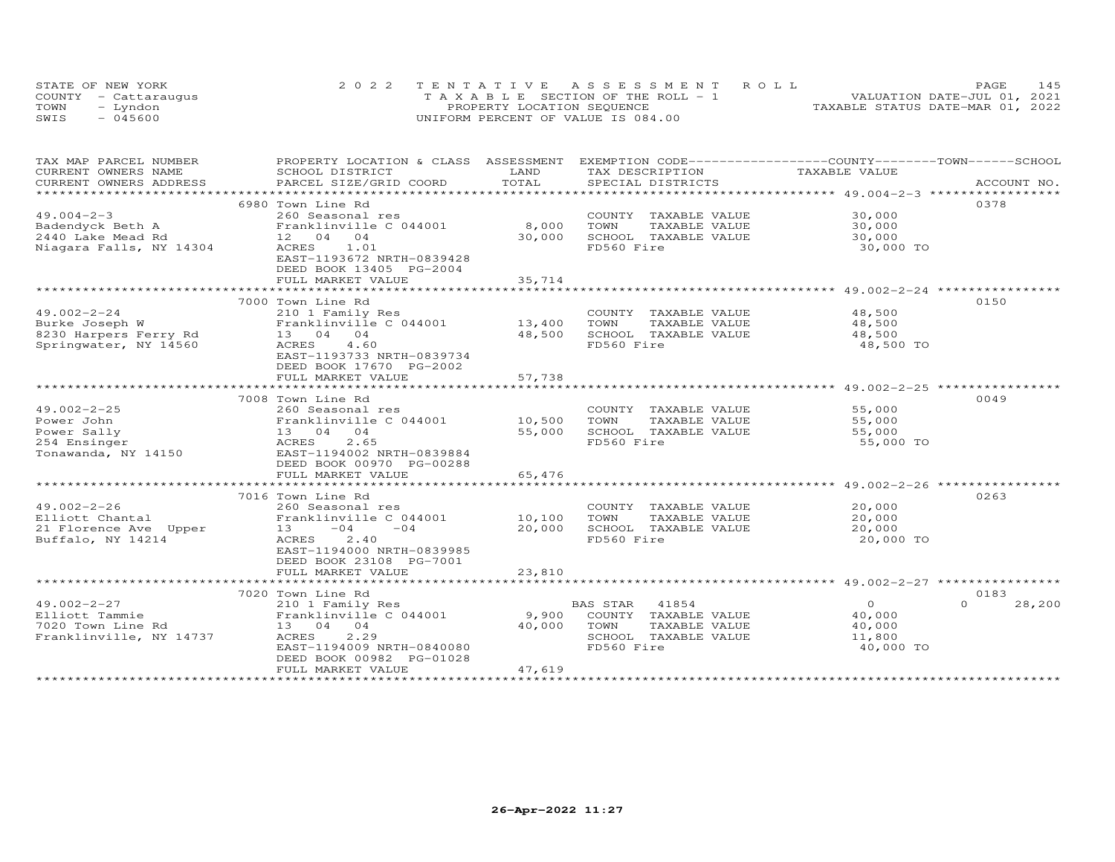| STATE OF NEW YORK    | 2022 TENTATIVE ASSESSMENT ROLL        | <b>PAGE</b>                      | 145 |
|----------------------|---------------------------------------|----------------------------------|-----|
| COUNTY - Cattaraugus | T A X A B L E SECTION OF THE ROLL - 1 | VALUATION DATE-JUL 01, 2021      |     |
| TOWN<br>- Lyndon     | PROPERTY LOCATION SEQUENCE            | TAXABLE STATUS DATE-MAR 01, 2022 |     |
| - 045600<br>SWIS     | UNIFORM PERCENT OF VALUE IS 084.00    |                                  |     |

| TAX MAP PARCEL NUMBER                         | PROPERTY LOCATION & CLASS ASSESSMENT          |                       | EXEMPTION CODE------------------COUNTY-------TOWN------SCHOOL |                                                      |                    |
|-----------------------------------------------|-----------------------------------------------|-----------------------|---------------------------------------------------------------|------------------------------------------------------|--------------------|
| CURRENT OWNERS NAME<br>CURRENT OWNERS ADDRESS | SCHOOL DISTRICT<br>PARCEL SIZE/GRID COORD     | LAND<br>TOTAL         | TAX DESCRIPTION<br>SPECIAL DISTRICTS                          | TAXABLE VALUE                                        | ACCOUNT NO.        |
| *************************                     |                                               |                       |                                                               |                                                      |                    |
|                                               | 6980 Town Line Rd                             |                       |                                                               |                                                      | 0378               |
| $49.004 - 2 - 3$                              | 260 Seasonal res                              |                       | COUNTY TAXABLE VALUE                                          | 30,000                                               |                    |
| Badendyck Beth A                              | Franklinville C 044001                        | 8,000                 | TOWN<br>TAXABLE VALUE                                         | 30,000                                               |                    |
| 2440 Lake Mead Rd                             | 12 04 04                                      | 30,000                | SCHOOL TAXABLE VALUE                                          | 30,000                                               |                    |
| Niagara Falls, NY 14304                       | ACRES<br>1.01                                 |                       | FD560 Fire                                                    | 30,000 TO                                            |                    |
|                                               | EAST-1193672 NRTH-0839428                     |                       |                                                               |                                                      |                    |
|                                               | DEED BOOK 13405 PG-2004                       |                       |                                                               |                                                      |                    |
|                                               | FULL MARKET VALUE                             | 35,714                |                                                               |                                                      |                    |
|                                               |                                               | ***********           |                                                               | *********************** 49.002-2-24 **************** |                    |
|                                               | 7000 Town Line Rd                             |                       |                                                               |                                                      | 0150               |
| $49.002 - 2 - 24$                             | 210 1 Family Res                              |                       | COUNTY TAXABLE VALUE                                          | 48,500                                               |                    |
| Burke Joseph W                                | Franklinville C 044001                        | 13,400                | TOWN<br>TAXABLE VALUE                                         | 48,500                                               |                    |
| 8230 Harpers Ferry Rd                         | 13 04 04                                      | 48,500                | SCHOOL TAXABLE VALUE                                          | 48,500                                               |                    |
| Springwater, NY 14560                         | ACRES<br>4.60                                 |                       | FD560 Fire                                                    | 48,500 TO                                            |                    |
|                                               | EAST-1193733 NRTH-0839734                     |                       |                                                               |                                                      |                    |
|                                               | DEED BOOK 17670 PG-2002                       |                       |                                                               |                                                      |                    |
|                                               | FULL MARKET VALUE<br>************************ | 57,738<br>*********** |                                                               |                                                      |                    |
|                                               |                                               |                       |                                                               | *********************** 49.002-2-25 **********       |                    |
|                                               | 7008 Town Line Rd                             |                       |                                                               |                                                      | 0049               |
| $49.002 - 2 - 25$                             | 260 Seasonal res                              |                       | COUNTY TAXABLE VALUE                                          | 55,000                                               |                    |
| Power John<br>Power Sally                     | Franklinville C 044001<br>13 04 04            | 10,500                | TOWN<br>TAXABLE VALUE<br>SCHOOL TAXABLE VALUE                 | 55,000                                               |                    |
| 254 Ensinger                                  | ACRES<br>2.65                                 | 55,000                | FD560 Fire                                                    | 55,000<br>55,000 TO                                  |                    |
| Tonawanda, NY 14150                           | EAST-1194002 NRTH-0839884                     |                       |                                                               |                                                      |                    |
|                                               | DEED BOOK 00970 PG-00288                      |                       |                                                               |                                                      |                    |
|                                               | FULL MARKET VALUE                             | 65,476                |                                                               |                                                      |                    |
|                                               |                                               |                       |                                                               |                                                      |                    |
|                                               | 7016 Town Line Rd                             |                       |                                                               |                                                      | 0263               |
| $49.002 - 2 - 26$                             | 260 Seasonal res                              |                       | COUNTY TAXABLE VALUE                                          | 20,000                                               |                    |
| Elliott Chantal                               | Franklinville C 044001                        | 10,100                | TOWN<br>TAXABLE VALUE                                         | 20,000                                               |                    |
| 21 Florence Ave Upper                         | $-04$<br>$-04$<br>13                          | 20,000                | SCHOOL TAXABLE VALUE                                          | 20,000                                               |                    |
| Buffalo, NY 14214                             | ACRES<br>2.40                                 |                       | FD560 Fire                                                    | 20,000 TO                                            |                    |
|                                               | EAST-1194000 NRTH-0839985                     |                       |                                                               |                                                      |                    |
|                                               | DEED BOOK 23108 PG-7001                       |                       |                                                               |                                                      |                    |
|                                               | FULL MARKET VALUE                             | 23,810                |                                                               |                                                      |                    |
|                                               |                                               |                       |                                                               |                                                      |                    |
|                                               | 7020 Town Line Rd                             |                       |                                                               |                                                      | 0183               |
| $49.002 - 2 - 27$                             | 210 1 Family Res                              |                       | BAS STAR<br>41854                                             | $\circ$                                              | $\Omega$<br>28,200 |
| Elliott Tammie                                | Franklinville C 044001                        | 9,900                 | COUNTY TAXABLE VALUE                                          | 40,000                                               |                    |
| 7020 Town Line Rd                             | 13 04 04                                      | 40,000                | TOWN<br>TAXABLE VALUE                                         | 40,000                                               |                    |
| Franklinville, NY 14737                       | 2.29<br>ACRES                                 |                       | SCHOOL TAXABLE VALUE                                          | 11,800                                               |                    |
|                                               | EAST-1194009 NRTH-0840080                     |                       | FD560 Fire                                                    | 40,000 TO                                            |                    |
|                                               | DEED BOOK 00982 PG-01028                      |                       |                                                               |                                                      |                    |
|                                               | FULL MARKET VALUE                             | 47,619                |                                                               |                                                      |                    |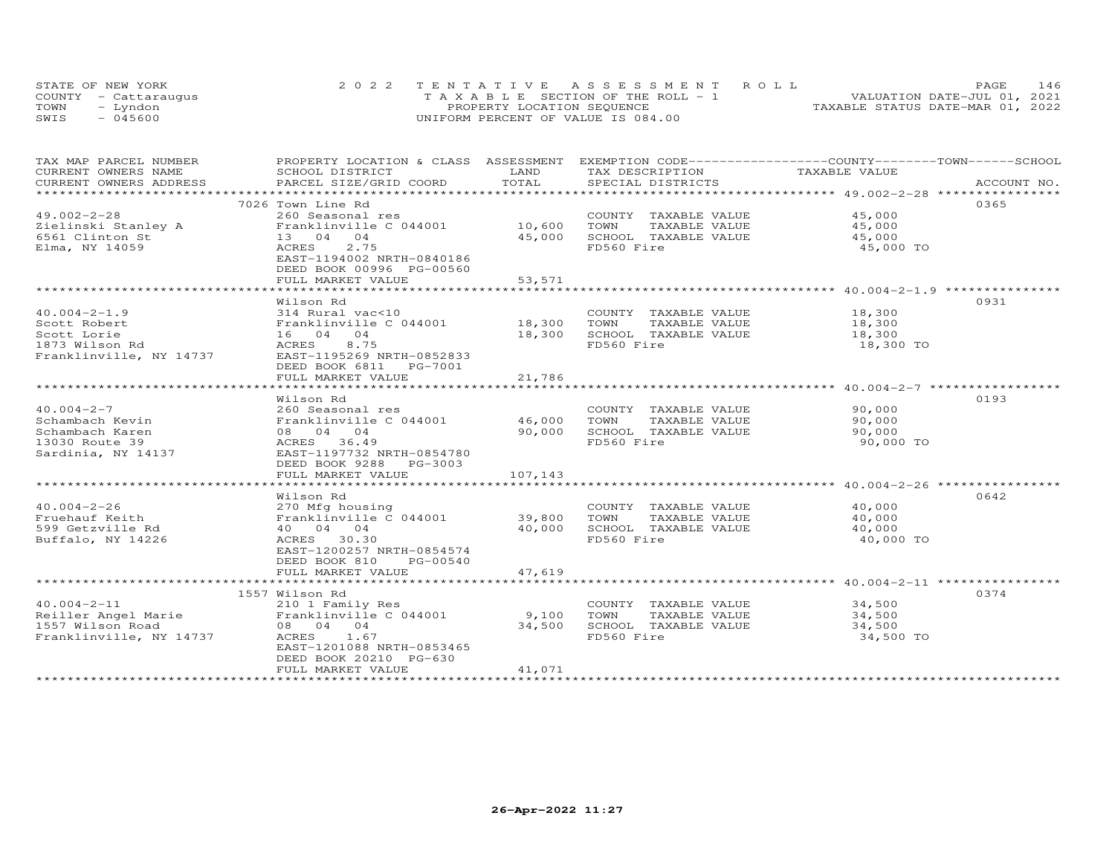| STATE OF NEW YORK    | 2022 TENTATIVE ASSESSMENT ROLL        | <b>PAGE</b>                      | 146 |
|----------------------|---------------------------------------|----------------------------------|-----|
| COUNTY - Cattaraugus | T A X A B L E SECTION OF THE ROLL - 1 | VALUATION DATE-JUL 01, 2021      |     |
| TOWN<br>- Lyndon     | PROPERTY LOCATION SEQUENCE            | TAXABLE STATUS DATE-MAR 01, 2022 |     |
| - 045600<br>SWIS     | UNIFORM PERCENT OF VALUE IS 084.00    |                                  |     |

| TAX MAP PARCEL NUMBER   | PROPERTY LOCATION & CLASS ASSESSMENT EXEMPTION CODE-----------------COUNTY-------TOWN------SCHOOL |               |                       |               |             |
|-------------------------|---------------------------------------------------------------------------------------------------|---------------|-----------------------|---------------|-------------|
| CURRENT OWNERS NAME     | SCHOOL DISTRICT                                                                                   | LAND<br>TOTAL | TAX DESCRIPTION       | TAXABLE VALUE |             |
| CURRENT OWNERS ADDRESS  | PARCEL SIZE/GRID COORD                                                                            |               | SPECIAL DISTRICTS     |               | ACCOUNT NO. |
|                         |                                                                                                   |               |                       |               |             |
|                         | 7026 Town Line Rd                                                                                 |               |                       |               | 0365        |
| $49.002 - 2 - 28$       | 260 Seasonal res                                                                                  |               | COUNTY TAXABLE VALUE  | 45,000        |             |
| Zielinski Stanley A     | Franklinville C 044001                                                                            | 10,600        | TOWN<br>TAXABLE VALUE | 45,000        |             |
| 6561 Clinton St         | 13 04 04                                                                                          | 45,000        | SCHOOL TAXABLE VALUE  | 45,000        |             |
| Elma, NY 14059          | ACRES<br>2.75                                                                                     |               | FD560 Fire            | 45,000 TO     |             |
|                         | EAST-1194002 NRTH-0840186                                                                         |               |                       |               |             |
|                         | DEED BOOK 00996 PG-00560                                                                          |               |                       |               |             |
|                         | FULL MARKET VALUE                                                                                 | 53,571        |                       |               |             |
|                         |                                                                                                   |               |                       |               |             |
|                         | Wilson Rd                                                                                         |               |                       |               | 0931        |
| $40.004 - 2 - 1.9$      | 314 Rural vac<10                                                                                  |               | COUNTY TAXABLE VALUE  | 18,300        |             |
| Scott Robert            | Franklinville C 044001 18,300                                                                     |               | TOWN<br>TAXABLE VALUE | 18,300        |             |
| Scott Lorie             | 16 04 04                                                                                          | 18,300        | SCHOOL TAXABLE VALUE  | 18,300        |             |
| 1873 Wilson Rd          | 8.75<br>ACRES                                                                                     |               | FD560 Fire            | 18,300 TO     |             |
| Franklinville, NY 14737 | EAST-1195269 NRTH-0852833                                                                         |               |                       |               |             |
|                         |                                                                                                   |               |                       |               |             |
|                         | FULL MARKET VALUE                                                                                 | 21,786        |                       |               |             |
|                         |                                                                                                   |               |                       |               |             |
|                         | Wilson Rd                                                                                         |               |                       |               | 0193        |
| $40.004 - 2 - 7$        | 260 Seasonal res                                                                                  |               | COUNTY TAXABLE VALUE  | 90,000        |             |
| Schambach Kevin         | Franklinville C 044001                                                                            | 46,000        | TOWN<br>TAXABLE VALUE | 90,000        |             |
| Schambach Karen         | 08 04 04                                                                                          | 90,000        | SCHOOL TAXABLE VALUE  | 90,000        |             |
| 13030 Route 39          | ACRES 36.49                                                                                       |               | FD560 Fire            | 90,000 TO     |             |
| Sardinia, NY 14137      | EAST-1197732 NRTH-0854780                                                                         |               |                       |               |             |
|                         | DEED BOOK 9288 PG-3003                                                                            |               |                       |               |             |
|                         | FULL MARKET VALUE                                                                                 | 107,143       |                       |               |             |
|                         |                                                                                                   |               |                       |               |             |
|                         | Wilson Rd                                                                                         |               |                       |               | 0642        |
| $40.004 - 2 - 26$       | 270 Mfg housing                                                                                   |               | COUNTY TAXABLE VALUE  | 40,000        |             |
| Fruehauf Keith          | Franklinville C 044001 39,800                                                                     |               | TOWN<br>TAXABLE VALUE | 40,000        |             |
| 599 Getzville Rd        | 40 04 04                                                                                          | 40,000        | SCHOOL TAXABLE VALUE  | 40,000        |             |
| Buffalo, NY 14226       | ACRES 30.30                                                                                       |               | FD560 Fire            | 40,000 TO     |             |
|                         | EAST-1200257 NRTH-0854574                                                                         |               |                       |               |             |
|                         | DEED BOOK 810<br>PG-00540                                                                         |               |                       |               |             |
|                         | FULL MARKET VALUE                                                                                 | 47,619        |                       |               |             |
|                         |                                                                                                   |               |                       |               |             |
|                         | 1557 Wilson Rd                                                                                    |               |                       |               | 0374        |
| $40.004 - 2 - 11$       | 210 1 Family Res                                                                                  |               | COUNTY TAXABLE VALUE  | 34,500        |             |
| Reiller Angel Marie     | Franklinville C 044001                                                                            | 9,100         | TOWN<br>TAXABLE VALUE | 34,500        |             |
| 1557 Wilson Road        | 08 04 04                                                                                          | 34,500        | SCHOOL TAXABLE VALUE  | 34,500        |             |
| Franklinville, NY 14737 | ACRES 1.67                                                                                        |               | FD560 Fire            | 34,500 TO     |             |
|                         | EAST-1201088 NRTH-0853465                                                                         |               |                       |               |             |
|                         | DEED BOOK 20210 PG-630                                                                            |               |                       |               |             |
|                         | FULL MARKET VALUE                                                                                 | 41,071        |                       |               |             |
|                         |                                                                                                   |               |                       |               |             |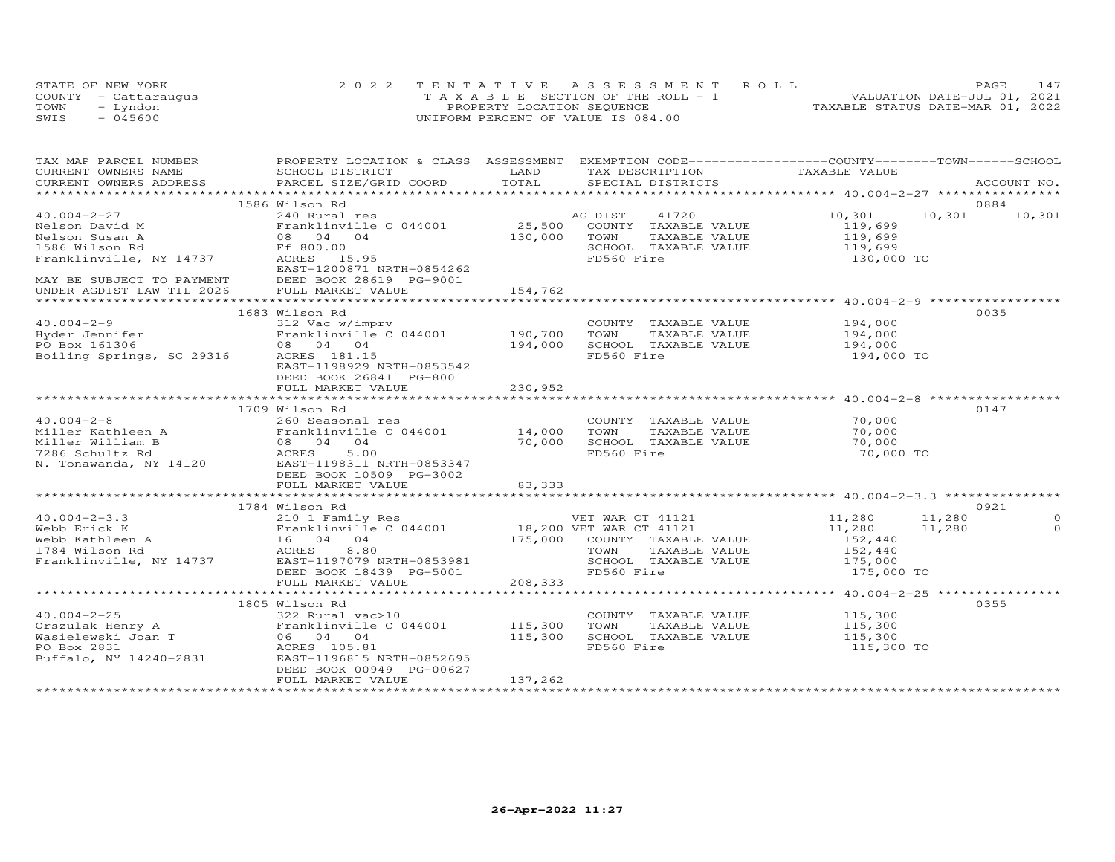| STATE OF NEW YORK    | 2022 TENTATIVE ASSESSMENT ROLL        | 147<br><b>PAGE</b>               |
|----------------------|---------------------------------------|----------------------------------|
| COUNTY - Cattarauqus | T A X A B L E SECTION OF THE ROLL - 1 | VALUATION DATE-JUL 01, 2021      |
| TOWN<br>– Lyndon     | PROPERTY LOCATION SEQUENCE            | TAXABLE STATUS DATE-MAR 01, 2022 |
| SWIS<br>$-045600$    | UNIFORM PERCENT OF VALUE IS 084.00    |                                  |

| TAX MAP PARCEL NUMBER                                                                                                                                                                                                                                                                 | PROPERTY LOCATION & CLASS ASSESSMENT EXEMPTION CODE----------------COUNTY-------TOWN------SCHOOL                                                                                                                                 |         |                                                                    |                                  |        |             |
|---------------------------------------------------------------------------------------------------------------------------------------------------------------------------------------------------------------------------------------------------------------------------------------|----------------------------------------------------------------------------------------------------------------------------------------------------------------------------------------------------------------------------------|---------|--------------------------------------------------------------------|----------------------------------|--------|-------------|
| CURRENT OWNERS NAME                                                                                                                                                                                                                                                                   | SCHOOL DISTRICT                                                                                                                                                                                                                  | LAND    | TAX DESCRIPTION TAXABLE VALUE                                      |                                  |        |             |
| CURRENT OWNERS ADDRESS                                                                                                                                                                                                                                                                | PARCEL SIZE/GRID COORD                                                                                                                                                                                                           | TOTAL   | SPECIAL DISTRICTS                                                  |                                  |        | ACCOUNT NO. |
|                                                                                                                                                                                                                                                                                       |                                                                                                                                                                                                                                  |         |                                                                    |                                  |        |             |
|                                                                                                                                                                                                                                                                                       | 1586 Wilson Rd                                                                                                                                                                                                                   |         |                                                                    |                                  | 0884   |             |
| $40.004 - 2 - 27$                                                                                                                                                                                                                                                                     |                                                                                                                                                                                                                                  |         | AG DIST       41720<br>25,500    COUNTY   TAXABLE  VALUE           | 10,301 10,301                    |        | 10,301      |
|                                                                                                                                                                                                                                                                                       | Franklinville C 044001                                                                                                                                                                                                           |         |                                                                    | 119,699                          |        |             |
|                                                                                                                                                                                                                                                                                       |                                                                                                                                                                                                                                  | 130,000 | TOWN<br>TAXABLE VALUE                                              |                                  |        |             |
|                                                                                                                                                                                                                                                                                       |                                                                                                                                                                                                                                  |         | SCHOOL TAXABLE VALUE                                               | 119,699<br>119,699<br>130,000 TO |        |             |
| $\begin{tabular}{llllllllll} 40.004-2-27 & 240 \text{ Rural res} \\ \hline\text{Nelson David M} & \text{Franklinville} \\ \text{Nelson Susan A} & 08 & 04 & 04 \\ \text{1586 Wilson Rd} & \text{FF 800.00} \\ \text{Franklinville, NY 14737} & \text{ACRES} & 15.95 \\ \end{tabular}$ |                                                                                                                                                                                                                                  |         | FD560 Fire                                                         |                                  |        |             |
|                                                                                                                                                                                                                                                                                       | EAST-1200871 NRTH-0854262                                                                                                                                                                                                        |         |                                                                    |                                  |        |             |
| MAY BE SUBJECT TO PAYMENT<br>UNDER AGDIST LAW TIL 2026 FULL MARKET VALUE                                                                                                                                                                                                              |                                                                                                                                                                                                                                  |         |                                                                    |                                  |        |             |
|                                                                                                                                                                                                                                                                                       |                                                                                                                                                                                                                                  | 154,762 |                                                                    |                                  |        |             |
|                                                                                                                                                                                                                                                                                       |                                                                                                                                                                                                                                  |         |                                                                    |                                  |        |             |
|                                                                                                                                                                                                                                                                                       | 1683 Wilson Rd                                                                                                                                                                                                                   |         |                                                                    |                                  | 0035   |             |
|                                                                                                                                                                                                                                                                                       |                                                                                                                                                                                                                                  |         |                                                                    |                                  |        |             |
|                                                                                                                                                                                                                                                                                       |                                                                                                                                                                                                                                  |         | COUNTY TAXABLE VALUE 194,000<br>TOWN TAXABLE VALUE 194,000<br>TOWN |                                  |        |             |
|                                                                                                                                                                                                                                                                                       |                                                                                                                                                                                                                                  |         | SCHOOL TAXABLE VALUE                                               | 194,000                          |        |             |
|                                                                                                                                                                                                                                                                                       | 40.004-2-9<br>Hyder Jennifer<br>Po Box 161306<br>Boiling Springs, SC 29316<br>Boiling Springs, SC 29316<br>ACRES 181.15<br>ACRES 181.15                                                                                          |         | FD560 Fire                                                         | 194,000 TO                       |        |             |
|                                                                                                                                                                                                                                                                                       | EAST-1198929 NRTH-0853542                                                                                                                                                                                                        |         |                                                                    |                                  |        |             |
|                                                                                                                                                                                                                                                                                       | DEED BOOK 26841 PG-8001                                                                                                                                                                                                          |         |                                                                    |                                  |        |             |
|                                                                                                                                                                                                                                                                                       | FULL MARKET VALUE                                                                                                                                                                                                                | 230,952 |                                                                    |                                  |        |             |
|                                                                                                                                                                                                                                                                                       |                                                                                                                                                                                                                                  |         |                                                                    |                                  |        |             |
|                                                                                                                                                                                                                                                                                       | 1709 Wilson Rd                                                                                                                                                                                                                   |         |                                                                    |                                  | 0147   |             |
| $40.004 - 2 - 8$                                                                                                                                                                                                                                                                      | 260 Seasonal res                                                                                                                                                                                                                 |         | COUNTY TAXABLE VALUE                                               | 70,000                           |        |             |
|                                                                                                                                                                                                                                                                                       |                                                                                                                                                                                                                                  |         | TAXABLE VALUE                                                      | 70,000                           |        |             |
|                                                                                                                                                                                                                                                                                       |                                                                                                                                                                                                                                  |         | 70,000 SCHOOL TAXABLE VALUE                                        | 70,000                           |        |             |
|                                                                                                                                                                                                                                                                                       |                                                                                                                                                                                                                                  |         | FD560 Fire                                                         | 70,000 TO                        |        |             |
|                                                                                                                                                                                                                                                                                       |                                                                                                                                                                                                                                  |         |                                                                    |                                  |        |             |
|                                                                                                                                                                                                                                                                                       | 40.004-2-8<br>Miller Kathleen A Franklinville C 044001 14,000 TOWN<br>Miller William B 08 04 04 70,000 SCHOOI<br>7286 Schultz Rd ACRES 5.00 FD560<br>N. Tonawanda, NY 14120 EAST-1198311 NRTH-0853347<br>DEED BOOK 10509 PG-3002 |         |                                                                    |                                  |        |             |
|                                                                                                                                                                                                                                                                                       | FULL MARKET VALUE                                                                                                                                                                                                                | 83,333  |                                                                    |                                  |        |             |
|                                                                                                                                                                                                                                                                                       |                                                                                                                                                                                                                                  |         |                                                                    |                                  |        |             |
|                                                                                                                                                                                                                                                                                       | 1784 Wilson Rd                                                                                                                                                                                                                   |         |                                                                    |                                  |        | 0921        |
|                                                                                                                                                                                                                                                                                       |                                                                                                                                                                                                                                  |         |                                                                    |                                  | 11,280 | $\Omega$    |
|                                                                                                                                                                                                                                                                                       |                                                                                                                                                                                                                                  |         |                                                                    |                                  | 11,280 | $\Omega$    |
|                                                                                                                                                                                                                                                                                       |                                                                                                                                                                                                                                  |         |                                                                    |                                  |        |             |
|                                                                                                                                                                                                                                                                                       |                                                                                                                                                                                                                                  |         |                                                                    |                                  |        |             |
|                                                                                                                                                                                                                                                                                       |                                                                                                                                                                                                                                  |         |                                                                    |                                  |        |             |
|                                                                                                                                                                                                                                                                                       |                                                                                                                                                                                                                                  |         |                                                                    |                                  |        |             |
|                                                                                                                                                                                                                                                                                       | DEED BOOK 18439 PG-5001                                                                                                                                                                                                          | 208,333 | FD560 Fire                                                         | 175,000 TO                       |        |             |
|                                                                                                                                                                                                                                                                                       | FULL MARKET VALUE                                                                                                                                                                                                                |         |                                                                    |                                  |        |             |
|                                                                                                                                                                                                                                                                                       |                                                                                                                                                                                                                                  |         |                                                                    |                                  |        |             |
|                                                                                                                                                                                                                                                                                       | 1805 Wilson Rd                                                                                                                                                                                                                   |         |                                                                    |                                  | 0355   |             |
|                                                                                                                                                                                                                                                                                       |                                                                                                                                                                                                                                  |         | COUNTY TAXABLE VALUE 115,300<br>TOWN TAXABLE VALUE 115,300         |                                  |        |             |
|                                                                                                                                                                                                                                                                                       |                                                                                                                                                                                                                                  |         |                                                                    |                                  |        |             |
|                                                                                                                                                                                                                                                                                       |                                                                                                                                                                                                                                  |         | SCHOOL TAXABLE VALUE 115,300                                       |                                  |        |             |
|                                                                                                                                                                                                                                                                                       |                                                                                                                                                                                                                                  |         | FD560 Fire                                                         | 115,300 TO                       |        |             |
|                                                                                                                                                                                                                                                                                       |                                                                                                                                                                                                                                  |         |                                                                    |                                  |        |             |
|                                                                                                                                                                                                                                                                                       | DEED BOOK 00949 PG-00627                                                                                                                                                                                                         |         |                                                                    |                                  |        |             |
|                                                                                                                                                                                                                                                                                       | FULL MARKET VALUE                                                                                                                                                                                                                | 137,262 |                                                                    |                                  |        |             |
|                                                                                                                                                                                                                                                                                       |                                                                                                                                                                                                                                  |         |                                                                    |                                  |        |             |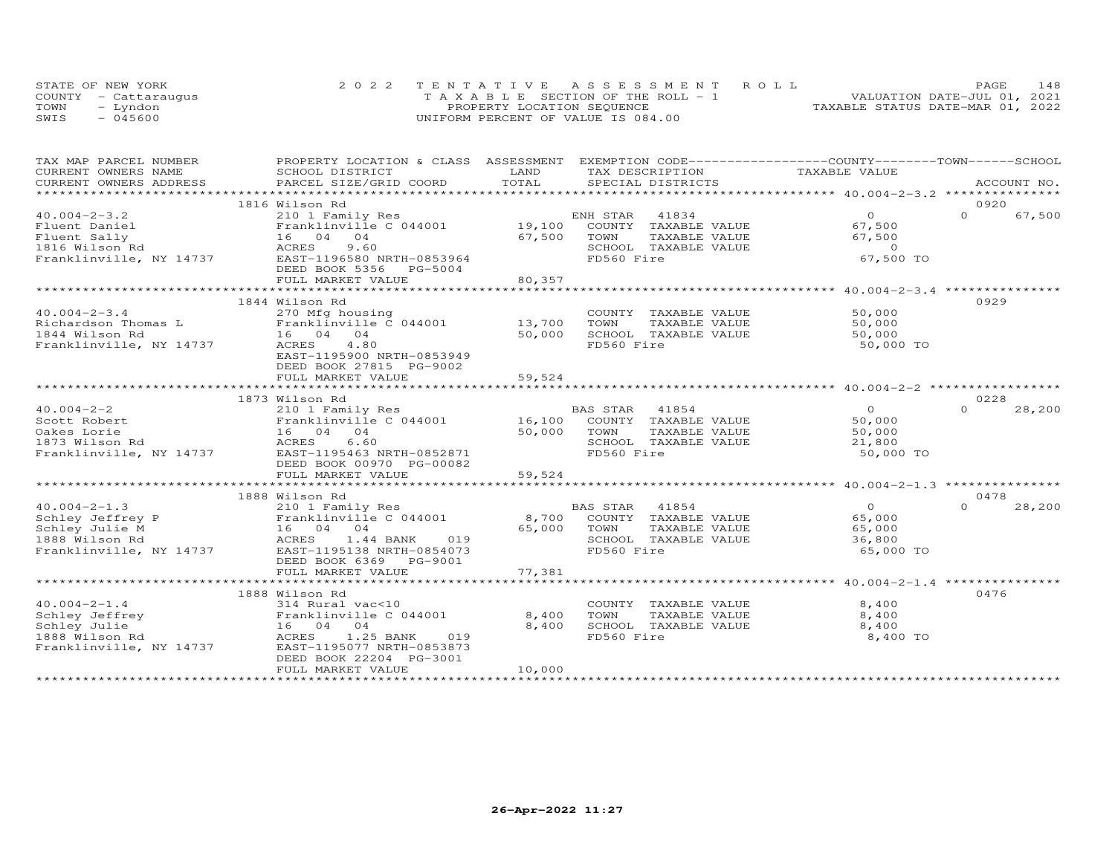|      | STATE OF NEW YORK    | 2022 TENTATIVE ASSESSMENT ROLL        | 148<br>PAGE                      |
|------|----------------------|---------------------------------------|----------------------------------|
|      | COUNTY - Cattaraugus | T A X A B L E SECTION OF THE ROLL - 1 | VALUATION DATE-JUL 01, 2021      |
| TOWN | - Lyndon             | PROPERTY LOCATION SEQUENCE            | TAXABLE STATUS DATE-MAR 01, 2022 |
| SWIS | $-045600$            | UNIFORM PERCENT OF VALUE IS 084.00    |                                  |

| TAX MAP PARCEL NUMBER                            | PROPERTY LOCATION & CLASS ASSESSMENT                                  |        | EXEMPTION CODE-----------------COUNTY-------TOWN------SCHOOL |                |                    |
|--------------------------------------------------|-----------------------------------------------------------------------|--------|--------------------------------------------------------------|----------------|--------------------|
| CURRENT OWNERS NAME                              | SCHOOL DISTRICT                                                       | LAND   | TAX DESCRIPTION                                              | TAXABLE VALUE  |                    |
| CURRENT OWNERS ADDRESS                           | PARCEL SIZE/GRID COORD                                                | TOTAL  | SPECIAL DISTRICTS                                            |                | ACCOUNT NO.        |
|                                                  |                                                                       |        |                                                              |                |                    |
|                                                  | 1816 Wilson Rd                                                        |        |                                                              |                | 0920               |
| $40.004 - 2 - 3.2$                               | 210 1 Family Res                                                      |        | 41834<br>ENH STAR                                            | $\Omega$       | $\Omega$<br>67,500 |
| Fluent Daniel                                    | Franklinville C 044001                                                |        | 19,100 COUNTY TAXABLE VALUE                                  | 67,500         |                    |
| Fluent Sally                                     | 16 04 04                                                              | 67,500 | TOWN<br>TAXABLE VALUE                                        | 67,500         |                    |
| 1816 Wilson Rd                                   | ACRES<br>9.60                                                         |        | SCHOOL TAXABLE VALUE                                         | $\overline{0}$ |                    |
| Franklinville, NY 14737                          | EAST-1196580 NRTH-0853964                                             |        | FD560 Fire                                                   | 67,500 TO      |                    |
|                                                  | DEED BOOK 5356 PG-5004                                                |        |                                                              |                |                    |
|                                                  | FULL MARKET VALUE                                                     | 80,357 |                                                              |                |                    |
|                                                  |                                                                       |        |                                                              |                |                    |
|                                                  | 1844 Wilson Rd                                                        |        |                                                              |                | 0929               |
| $40.004 - 2 - 3.4$                               | % 270 Mtg housing<br>Franklinville C 044001 13,700<br>16 04 04 50.000 |        | COUNTY TAXABLE VALUE                                         | 50,000         |                    |
| Richardson Thomas L                              |                                                                       |        | TAXABLE VALUE<br>TOWN                                        | 50,000         |                    |
| 1844 Wilson Rd                                   |                                                                       |        | SCHOOL TAXABLE VALUE                                         | 50,000         |                    |
| Franklinville, NY 14737                          | 4.80<br>ACRES                                                         |        | FD560 Fire                                                   | 50,000 TO      |                    |
|                                                  | EAST-1195900 NRTH-0853949                                             |        |                                                              |                |                    |
|                                                  | DEED BOOK 27815 PG-9002                                               |        |                                                              |                |                    |
|                                                  | FULL MARKET VALUE                                                     | 59,524 |                                                              |                |                    |
|                                                  |                                                                       |        |                                                              |                |                    |
|                                                  | 1873 Wilson Rd                                                        |        |                                                              |                | 0228               |
| $40.004 - 2 - 2$                                 | 210 1 Family Res                                                      |        | BAS SIAR TION.<br>16,100 COUNTY TAXABLE VALUE                | $\overline{O}$ | $\Omega$<br>28,200 |
| Scott Robert                                     | Franklinville C 044001                                                |        |                                                              | 50,000         |                    |
| Oakes Lorie                                      | 16 04 04                                                              |        |                                                              | 50,000         |                    |
| 1873 Wilson Rd                                   | ACRES<br>6.60                                                         |        | SCHOOL TAXABLE VALUE                                         | 21,800         |                    |
| Franklinville, NY 14737                          | EAST-1195463 NRTH-0852871                                             |        | FD560 Fire                                                   | 50,000 TO      |                    |
|                                                  | DEED BOOK 00970 PG-00082                                              |        |                                                              |                |                    |
|                                                  | FULL MARKET VALUE                                                     | 59,524 |                                                              |                |                    |
|                                                  |                                                                       |        |                                                              |                |                    |
|                                                  | 1888 Wilson Rd                                                        |        |                                                              |                | 0478               |
| $40.004 - 2 - 1.3$                               | 210 1 Family Res                                                      |        | BAS STAR 41854                                               | $\Omega$       | $\Omega$<br>28,200 |
| Schley Jeffrey P                                 | Franklinville C 044001                                                | 8,700  | COUNTY TAXABLE VALUE                                         | 65,000         |                    |
| Schley Julie M                                   |                                                                       | 65,000 | TOWN<br>TAXABLE VALUE                                        | 65,000         |                    |
| 1888 Wilson Rd                                   |                                                                       |        | SCHOOL TAXABLE VALUE                                         | 36,800         |                    |
| Franklinville, NY 14737                          | EAST-1195138 NRTH-0854073                                             |        | FD560 Fire                                                   | 65,000 TO      |                    |
|                                                  | DEED BOOK 6369 PG-9001                                                |        |                                                              |                |                    |
|                                                  | FULL MARKET VALUE                                                     | 77,381 |                                                              |                |                    |
|                                                  |                                                                       |        |                                                              |                |                    |
|                                                  | 1888 Wilson Rd                                                        |        |                                                              |                | 0476               |
| $40.004 - 2 - 1.4$                               | 314 Rural vac<10                                                      |        | COUNTY TAXABLE VALUE                                         | 8,400          |                    |
|                                                  | Franklinville C 044001                                                | 8,400  | TOWN<br>TAXABLE VALUE                                        | 8,400          |                    |
| schley Jeffrey<br>Schley Julie<br>1888 Wilson Rd | 16 04 04                                                              | 8,400  | SCHOOL TAXABLE VALUE                                         | 8,400          |                    |
| 1888 Wilson Rd                                   | 1.25 BANK<br>ACRES<br>019                                             |        | FD560 Fire                                                   | 8,400 TO       |                    |
| Franklinville, NY 14737                          | EAST-1195077 NRTH-0853873                                             |        |                                                              |                |                    |
|                                                  | DEED BOOK 22204 PG-3001                                               |        |                                                              |                |                    |
|                                                  | FULL MARKET VALUE                                                     | 10,000 |                                                              |                |                    |
|                                                  |                                                                       |        |                                                              |                |                    |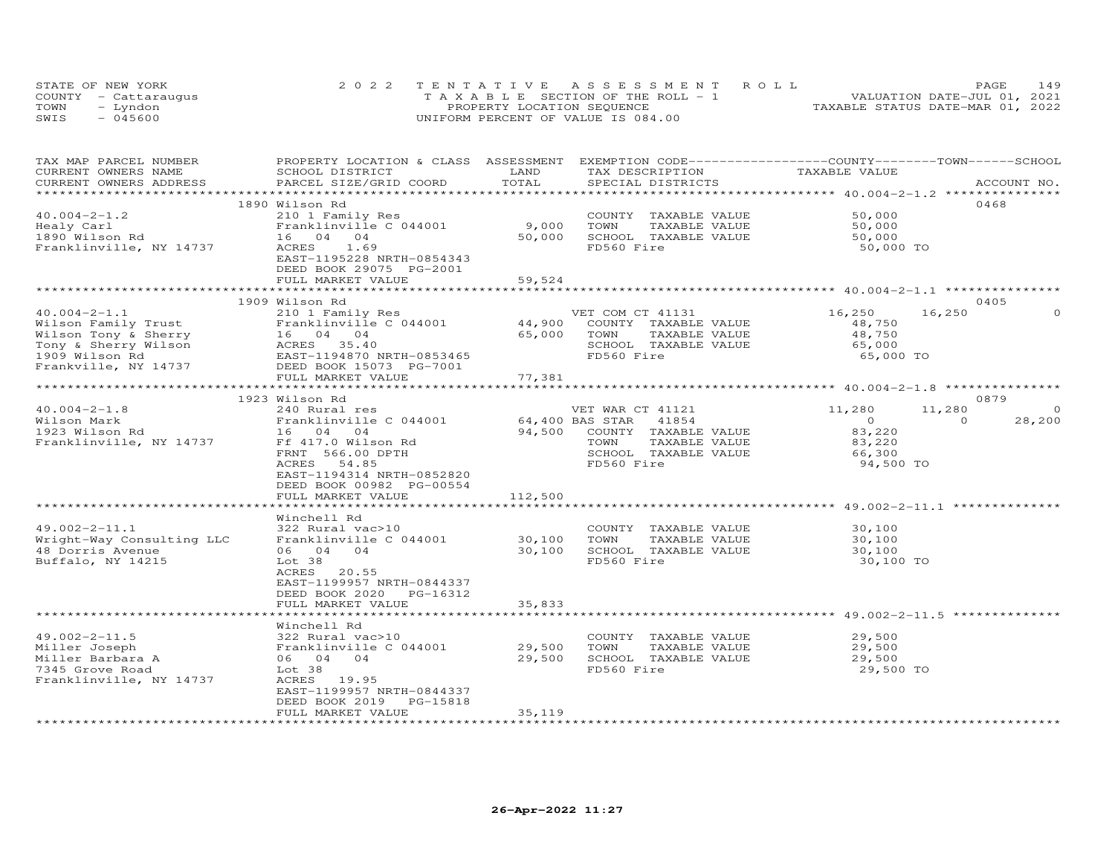| STATE OF NEW YORK    | 2022 TENTATIVE ASSESSMENT ROLL        | 149<br><b>PAGE</b>               |
|----------------------|---------------------------------------|----------------------------------|
| COUNTY - Cattaraugus | T A X A B L E SECTION OF THE ROLL - 1 | VALUATION DATE-JUL 01, 2021      |
| TOWN<br>– Lyndon     | PROPERTY LOCATION SEQUENCE            | TAXABLE STATUS DATE-MAR 01, 2022 |
| SWIS<br>- 045600     | UNIFORM PERCENT OF VALUE IS 084.00    |                                  |

| TAX MAP PARCEL NUMBER   |                                                                                |         |                                  | PROPERTY LOCATION & CLASS ASSESSMENT EXEMPTION CODE----------------COUNTY-------TOWN-----SCHOOL |             |
|-------------------------|--------------------------------------------------------------------------------|---------|----------------------------------|-------------------------------------------------------------------------------------------------|-------------|
| CURRENT OWNERS NAME     | SCHOOL DISTRICT                                                                | LAND    | TAX DESCRIPTION                  | TAXABLE VALUE                                                                                   |             |
| CURRENT OWNERS ADDRESS  | PARCEL SIZE/GRID COORD                                                         | TOTAL   | SPECIAL DISTRICTS                |                                                                                                 | ACCOUNT NO. |
|                         | ************************************<br>****************                       |         |                                  | ****************** 40.004-2-1.2 ********                                                        |             |
|                         | 1890 Wilson Rd                                                                 |         |                                  | 0468                                                                                            |             |
| $40.004 - 2 - 1.2$      | 210 1 Family Res                                                               |         | COUNTY TAXABLE VALUE             | 50,000                                                                                          |             |
| Healy Carl              | Franklinville C 044001                                                         | 9,000   | IAAALLE<br>TAXABLE VALUE<br>TOWN | 50,000                                                                                          |             |
| 1890 Wilson Rd          | 16 04 04                                                                       | 50,000  | SCHOOL TAXABLE VALUE             | 50,000                                                                                          |             |
| Franklinville, NY 14737 | 1.69<br>ACRES                                                                  |         | FD560 Fire                       | 50,000 TO                                                                                       |             |
|                         | EAST-1195228 NRTH-0854343                                                      |         |                                  |                                                                                                 |             |
|                         | DEED BOOK 29075 PG-2001                                                        |         |                                  |                                                                                                 |             |
|                         |                                                                                |         |                                  |                                                                                                 |             |
|                         | FULL MARKET VALUE                                                              | 59,524  |                                  |                                                                                                 |             |
|                         |                                                                                |         |                                  |                                                                                                 |             |
|                         | 1909 Wilson Rd                                                                 |         |                                  | 0405                                                                                            |             |
| $40.004 - 2 - 1.1$      | 210 1 Family Res                                                               |         | VET COM CT 41131                 | 16,250<br>16,250                                                                                |             |
|                         |                                                                                |         | COUNTY TAXABLE VALUE             | 48,750                                                                                          |             |
|                         |                                                                                |         | TOWN<br>TAXABLE VALUE            | 48,750<br>65,000                                                                                |             |
|                         |                                                                                |         | SCHOOL TAXABLE VALUE             |                                                                                                 |             |
|                         |                                                                                |         | FD560 Fire                       | 65,000 TO                                                                                       |             |
|                         |                                                                                |         |                                  |                                                                                                 |             |
|                         | FULL MARKET VALUE                                                              | 77,381  |                                  |                                                                                                 |             |
|                         |                                                                                |         |                                  |                                                                                                 |             |
|                         | 1923 Wilson Rd                                                                 |         |                                  | 0879                                                                                            |             |
| $40.004 - 2 - 1.8$      | 240 Rural res                                                                  |         | VET WAR CT 41121                 | 11,280<br>11,280                                                                                | $\circ$     |
| Wilson Mark             |                                                                                |         | 64,400 BAS STAR 41854            | $\overline{O}$<br>$\Omega$                                                                      | 28,200      |
| 1923 Wilson Rd          |                                                                                |         | 94,500 COUNTY TAXABLE VALUE      |                                                                                                 |             |
|                         | Franklinville C 044001<br>16 04 04<br>Ff 417.0 Wilson Rd<br>Ff 417.0 Wilson Rd |         |                                  | 83,220                                                                                          |             |
| Franklinville, NY 14737 |                                                                                |         | TOWN<br>TAXABLE VALUE            | 83,220                                                                                          |             |
|                         | FRNT 566.00 DPTH                                                               |         | SCHOOL TAXABLE VALUE             | 66,300                                                                                          |             |
|                         | ACRES<br>54.85                                                                 |         | FD560 Fire                       | 94,500 TO                                                                                       |             |
|                         | EAST-1194314 NRTH-0852820                                                      |         |                                  |                                                                                                 |             |
|                         | DEED BOOK 00982 PG-00554                                                       |         |                                  |                                                                                                 |             |
|                         | FULL MARKET VALUE                                                              | 112,500 |                                  |                                                                                                 |             |
|                         | ***********************                                                        |         |                                  | ********************************** 49.002-2-11.1 ***************                                |             |
|                         | Winchell Rd                                                                    |         |                                  |                                                                                                 |             |
| $49.002 - 2 - 11.1$     | 322 Rural vac>10                                                               |         | COUNTY TAXABLE VALUE             | 30,100                                                                                          |             |
|                         | Wright-Way Consulting LLC Franklinville C 044001 30,100                        |         | TOWN<br>TAXABLE VALUE            | 30,100                                                                                          |             |
| 48 Dorris Avenue        | 06 04 04                                                                       | 30,100  | SCHOOL TAXABLE VALUE             | 30,100                                                                                          |             |
| Buffalo, NY 14215       | Lot 38                                                                         |         | FD560 Fire                       | 30,100 TO                                                                                       |             |
|                         | ACRES 20.55                                                                    |         |                                  |                                                                                                 |             |
|                         | EAST-1199957 NRTH-0844337                                                      |         |                                  |                                                                                                 |             |
|                         | DEED BOOK 2020 PG-16312                                                        |         |                                  |                                                                                                 |             |
|                         | FULL MARKET VALUE                                                              | 35,833  |                                  |                                                                                                 |             |
|                         |                                                                                |         |                                  |                                                                                                 |             |
|                         |                                                                                |         |                                  |                                                                                                 |             |
|                         | Winchell Rd                                                                    |         |                                  |                                                                                                 |             |
| $49.002 - 2 - 11.5$     | 322 Rural vac>10<br>322 Rural vac>10<br>Franklinville C 044001                 |         | COUNTY TAXABLE VALUE             | 29,500                                                                                          |             |
| Miller Joseph           |                                                                                | 29,500  | TOWN<br>TAXABLE VALUE            | 29,500                                                                                          |             |
| Miller Barbara A        | 06 04 04                                                                       | 29,500  | SCHOOL TAXABLE VALUE             | 29,500                                                                                          |             |
| 7345 Grove Road         | Lot 38                                                                         |         | FD560 Fire                       | 29,500 TO                                                                                       |             |
| Franklinville, NY 14737 | ACRES 19.95                                                                    |         |                                  |                                                                                                 |             |
|                         | EAST-1199957 NRTH-0844337                                                      |         |                                  |                                                                                                 |             |
|                         | DEED BOOK 2019<br>PG-15818                                                     |         |                                  |                                                                                                 |             |
|                         | FULL MARKET VALUE                                                              | 35,119  |                                  |                                                                                                 |             |
|                         |                                                                                |         |                                  |                                                                                                 |             |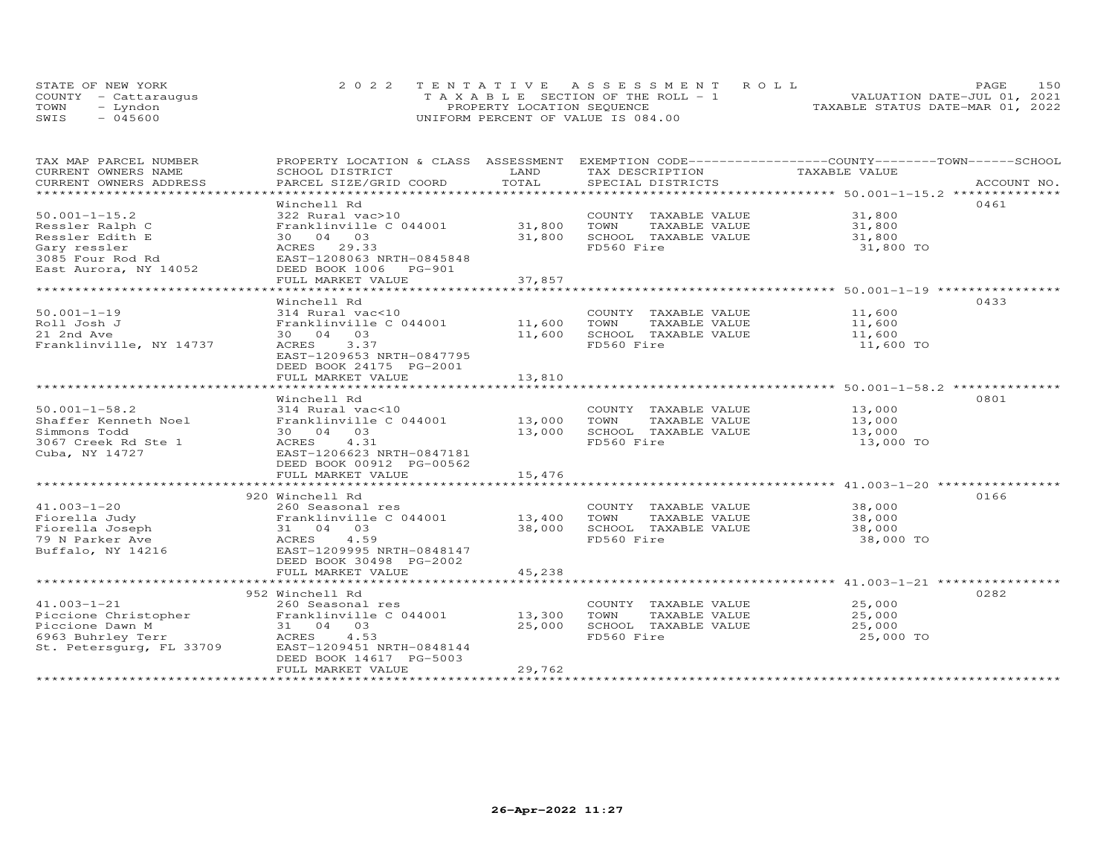|      | STATE OF NEW YORK    | 2022 TENTATIVE ASSESSMENT ROLL        | 150<br>PAGE.                     |
|------|----------------------|---------------------------------------|----------------------------------|
|      | COUNTY - Cattaraugus | T A X A B L E SECTION OF THE ROLL - 1 | VALUATION DATE-JUL 01, 2021      |
| TOWN | - Lyndon             | PROPERTY LOCATION SEQUENCE            | TAXABLE STATUS DATE-MAR 01, 2022 |
| SWIS | - 045600             | UNIFORM PERCENT OF VALUE IS 084.00    |                                  |

| TAX MAP PARCEL NUMBER                         | PROPERTY LOCATION & CLASS ASSESSMENT EXEMPTION CODE----------------COUNTY-------TOWN------SCHOOL       |                       |                                      |                     |             |
|-----------------------------------------------|--------------------------------------------------------------------------------------------------------|-----------------------|--------------------------------------|---------------------|-------------|
| CURRENT OWNERS NAME<br>CURRENT OWNERS ADDRESS | SCHOOL DISTRICT<br>PARCEL SIZE/GRID COORD                                                              | LAND<br>TOTAL         | TAX DESCRIPTION<br>SPECIAL DISTRICTS | TAXABLE VALUE       | ACCOUNT NO. |
|                                               |                                                                                                        |                       |                                      |                     |             |
|                                               | Winchell Rd                                                                                            |                       |                                      |                     | 0461        |
| $50.001 - 1 - 15.2$                           | 322 Rural vac>10                                                                                       |                       | COUNTY TAXABLE VALUE 31,800          |                     |             |
| Ressler Ralph C                               | Franklinville C 044001                                                                                 | 31,800                | TOWN<br>TAXABLE VALUE                | 31,800              |             |
| Ressler Edith E                               | 30 04 03                                                                                               | 31,800                | SCHOOL TAXABLE VALUE                 | 31,800              |             |
| Gary ressler                                  | ACRES 29.33                                                                                            |                       | FD560 Fire                           | 31,800 TO           |             |
| 3085 Four Rod Rd                              | EAST-1208063 NRTH-0845848                                                                              |                       |                                      |                     |             |
| East Aurora, NY 14052                         | DEED BOOK 1006 PG-901                                                                                  |                       |                                      |                     |             |
|                                               | FULL MARKET VALUE                                                                                      | 37,857                |                                      |                     |             |
|                                               | ************************************                                                                   | * * * * * * * * * * * |                                      |                     |             |
|                                               | Winchell Rd                                                                                            |                       |                                      |                     | 0433        |
| $50.001 - 1 - 19$                             | 314 Rural vac<10                                                                                       |                       | COUNTY TAXABLE VALUE 11,600          |                     |             |
| Roll Josh J                                   | Franklinville C 044001                                                                                 | 11,600                | TOWN<br>TAXABLE VALUE                | 11,600              |             |
| 21 2nd Ave                                    | 30  04  03                                                                                             | 11,600                | SCHOOL TAXABLE VALUE                 | 11,600              |             |
| Franklinville, NY 14737                       | 3.37<br>ACRES                                                                                          |                       | FD560 Fire                           | 11,600 TO           |             |
|                                               | EAST-1209653 NRTH-0847795                                                                              |                       |                                      |                     |             |
|                                               | DEED BOOK 24175 PG-2001                                                                                | 13,810                |                                      |                     |             |
|                                               | FULL MARKET VALUE                                                                                      |                       |                                      |                     |             |
|                                               | Winchell Rd                                                                                            |                       |                                      |                     | 0801        |
| $50.001 - 1 - 58.2$                           | 314 Rural vac<10                                                                                       |                       | COUNTY TAXABLE VALUE                 | 13,000              |             |
| Shaffer Kenneth Noel                          | Franklinville C 044001                                                                                 | 13,000                | TOWN<br>TAXABLE VALUE                | 13,000              |             |
| Simmons Todd                                  | 30  04  03                                                                                             | 13,000                | SCHOOL TAXABLE VALUE                 | 13,000              |             |
| 3067 Creek Rd Ste 1                           | ACRES 4.31                                                                                             |                       | FD560 Fire                           | 13,000 TO           |             |
| Cuba, NY 14727                                | EAST-1206623 NRTH-0847181                                                                              |                       |                                      |                     |             |
|                                               | DEED BOOK 00912 PG-00562                                                                               |                       |                                      |                     |             |
|                                               | FULL MARKET VALUE                                                                                      | 15,476                |                                      |                     |             |
|                                               |                                                                                                        |                       |                                      |                     |             |
|                                               | 920 Winchell Rd                                                                                        |                       |                                      |                     | 0166        |
| $41.003 - 1 - 20$                             | 260 Seasonal res                                                                                       |                       | COUNTY TAXABLE VALUE                 | 38,000              |             |
| Fiorella Judy                                 | Franklinville C 044001                                                                                 | 13,400                | TOWN<br>TAXABLE VALUE                | 38,000              |             |
| Fiorella Joseph                               | 31 04 03                                                                                               | 38,000                | SCHOOL TAXABLE VALUE                 | 38,000              |             |
| 79 N Parker Ave                               | ACRES 4.59                                                                                             |                       | FD560 Fire                           | 38,000 TO           |             |
|                                               | Buffalo, NY 14216 EAST-1209995 NRTH-0848147                                                            |                       |                                      |                     |             |
|                                               | DEED BOOK 30498 PG-2002                                                                                |                       |                                      |                     |             |
|                                               | FULL MARKET VALUE                                                                                      | 45,238                |                                      |                     |             |
|                                               |                                                                                                        |                       |                                      |                     |             |
|                                               | 952 Winchell Rd                                                                                        |                       |                                      |                     | 0282        |
| $41.003 - 1 - 21$                             | 260 Seasonal res                                                                                       |                       | COUNTY TAXABLE VALUE                 | 25,000              |             |
|                                               |                                                                                                        |                       | TOWN<br>TAXABLE VALUE                | 25,000              |             |
| 6963 Buhrley Terr                             | Piccione Christopher<br>Piccione Dawn M 31 04 03 25,000<br>6963 Buhrley Terr (ACRES 4.53<br>ACRES 4.53 |                       | SCHOOL TAXABLE VALUE<br>FD560 Fire   | 25,000<br>25,000 TO |             |
| St. Petersqurq, FL 33709                      | EAST-1209451 NRTH-0848144                                                                              |                       |                                      |                     |             |
|                                               | DEED BOOK 14617 PG-5003                                                                                |                       |                                      |                     |             |
|                                               | FULL MARKET VALUE                                                                                      | 29,762                |                                      |                     |             |
|                                               |                                                                                                        |                       |                                      |                     |             |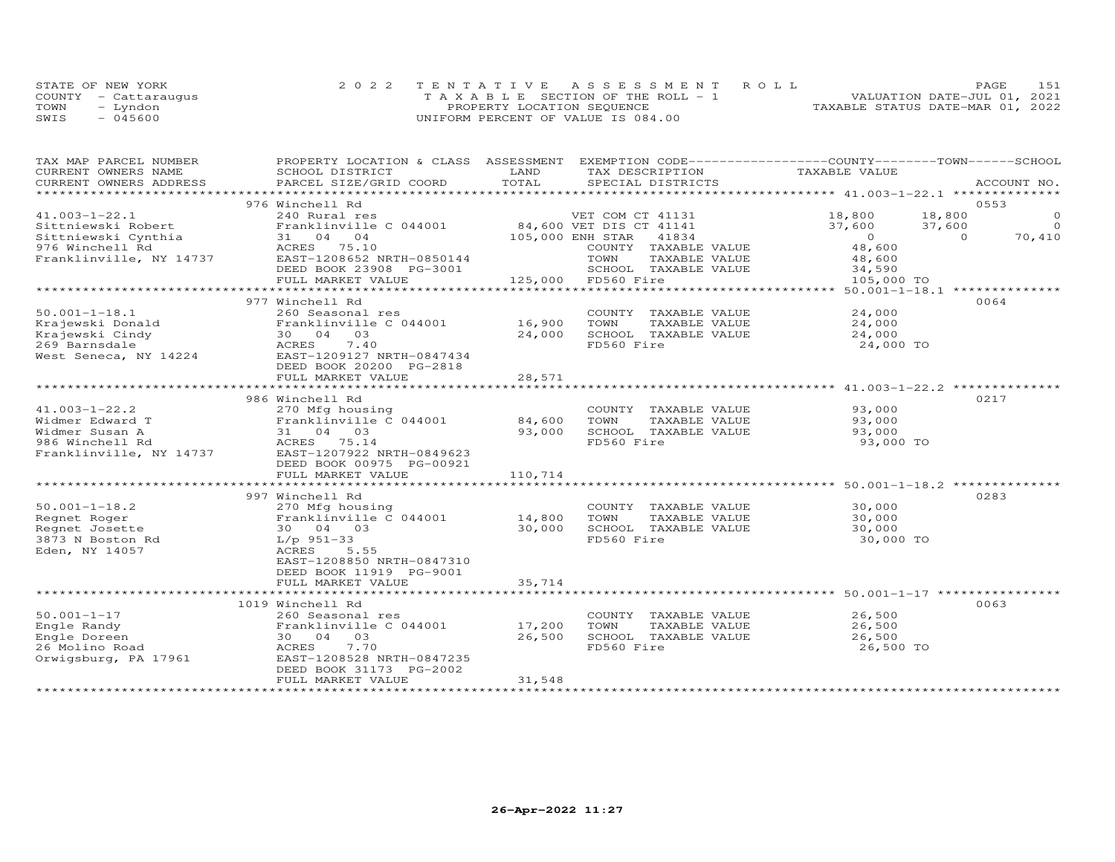| STATE OF NEW YORK    | 2022 TENTATIVE ASSESSMENT ROLL        | PAGE.                            | 151 |
|----------------------|---------------------------------------|----------------------------------|-----|
| COUNTY - Cattaraugus | T A X A B L E SECTION OF THE ROLL - 1 | VALUATION DATE-JUL 01, 2021      |     |
| TOWN<br>- Lyndon     | PROPERTY LOCATION SEQUENCE            | TAXABLE STATUS DATE-MAR 01, 2022 |     |
| $-045600$<br>SWIS    | UNIFORM PERCENT OF VALUE IS 084.00    |                                  |     |

| TAX MAP PARCEL NUMBER                                                                                                                                                                                                                                    | PROPERTY LOCATION & CLASS ASSESSMENT                                                                                       |         | EXEMPTION CODE------------------COUNTY-------TOWN-----SCHOOL   |                                        |                |             |
|----------------------------------------------------------------------------------------------------------------------------------------------------------------------------------------------------------------------------------------------------------|----------------------------------------------------------------------------------------------------------------------------|---------|----------------------------------------------------------------|----------------------------------------|----------------|-------------|
| CURRENT OWNERS NAME                                                                                                                                                                                                                                      | SCHOOL DISTRICT                                                                                                            | LAND    | TAX DESCRIPTION                                                | TAXABLE VALUE                          |                |             |
| CURRENT OWNERS ADDRESS                                                                                                                                                                                                                                   | PARCEL SIZE/GRID COORD                                                                                                     | TOTAL   | SPECIAL DISTRICTS                                              |                                        |                | ACCOUNT NO. |
|                                                                                                                                                                                                                                                          |                                                                                                                            |         |                                                                |                                        |                |             |
|                                                                                                                                                                                                                                                          | 976 Winchell Rd                                                                                                            |         |                                                                |                                        |                | 0.553       |
| $41.003 - 1 - 22.1$                                                                                                                                                                                                                                      |                                                                                                                            |         |                                                                | 18,800                                 | 18,800         | $\circ$     |
| Sittniewski Robert                                                                                                                                                                                                                                       |                                                                                                                            |         |                                                                | $37,600$ $37,600$                      |                | $\Omega$    |
| Sittniewski Cynthia                                                                                                                                                                                                                                      |                                                                                                                            |         | 105,000 ENH STAR 41834                                         | $\begin{array}{c}0\\48,600\end{array}$ | $\overline{0}$ | 70,410      |
| 976 Winchell Rd                                                                                                                                                                                                                                          |                                                                                                                            |         | COUNTY TAXABLE VALUE                                           |                                        |                |             |
| Franklinville, NY 14737                                                                                                                                                                                                                                  | $31$ $04$ .<br>ACRES 75.10<br>$-2.298652$                                                                                  |         |                                                                |                                        |                |             |
|                                                                                                                                                                                                                                                          |                                                                                                                            |         |                                                                |                                        |                |             |
|                                                                                                                                                                                                                                                          | FULL MARKET VALUE                                                                                                          |         | 125,000 FD560 Fire                                             |                                        |                |             |
|                                                                                                                                                                                                                                                          |                                                                                                                            |         |                                                                |                                        |                |             |
|                                                                                                                                                                                                                                                          | 977 Winchell Rd                                                                                                            |         |                                                                |                                        |                | 0064        |
| $50.001 - 1 - 18.1$                                                                                                                                                                                                                                      | 260 Seasonal res                                                                                                           |         | COUNTY TAXABLE VALUE                                           | 24,000                                 |                |             |
|                                                                                                                                                                                                                                                          | Franklinville C $044001$ 16,900                                                                                            |         | TOWN<br>TAXABLE VALUE                                          | $24,000$<br>$24,000$                   |                |             |
|                                                                                                                                                                                                                                                          |                                                                                                                            | 24,000  | SCHOOL TAXABLE VALUE                                           |                                        |                |             |
| Example Ward Example 2014001<br>Krajewski Cindy<br>269 Barnsdale<br>West Seneca, NY 14224<br>269 Barnsdale<br>269 Barnsdale<br>269 Barnsdale<br>269 Barnsdale<br>269 Barnsdale<br>269 Barnsdale<br>269 Barnsdale<br>269 Barnsdale<br>269 Barnsdale<br>26 |                                                                                                                            |         | FD560 Fire                                                     | 24,000 TO                              |                |             |
|                                                                                                                                                                                                                                                          |                                                                                                                            |         |                                                                |                                        |                |             |
|                                                                                                                                                                                                                                                          | DEED BOOK 20200 PG-2818                                                                                                    |         |                                                                |                                        |                |             |
|                                                                                                                                                                                                                                                          | FULL MARKET VALUE                                                                                                          | 28,571  |                                                                |                                        |                |             |
|                                                                                                                                                                                                                                                          |                                                                                                                            |         | ***********************************41.003-1-22.2 ************* |                                        |                |             |
|                                                                                                                                                                                                                                                          | 986 Winchell Rd                                                                                                            |         |                                                                |                                        |                | 0217        |
| $41.003 - 1 - 22.2$                                                                                                                                                                                                                                      | 270 Mfg housing                                                                                                            |         | COUNTY TAXABLE VALUE                                           |                                        |                |             |
| Widmer Edward T                                                                                                                                                                                                                                          | Franklinville C 044001 84,600                                                                                              |         | TOWN<br>TAXABLE VALUE                                          | 93,000                                 |                |             |
| Widmer Susan A                                                                                                                                                                                                                                           | Franklinville<br>31 04 03<br>ACRES 75.14                                                                                   | 93,000  | SCHOOL TAXABLE VALUE                                           | 93,000                                 |                |             |
| 986 Winchell Rd                                                                                                                                                                                                                                          |                                                                                                                            |         | FD560 Fire                                                     | 93,000 TO                              |                |             |
| Franklinville, NY 14737 EAST-1207922 NRTH-0849623                                                                                                                                                                                                        |                                                                                                                            |         |                                                                |                                        |                |             |
|                                                                                                                                                                                                                                                          | DEED BOOK 00975 PG-00921                                                                                                   |         |                                                                |                                        |                |             |
|                                                                                                                                                                                                                                                          | FULL MARKET VALUE                                                                                                          | 110,714 |                                                                |                                        |                |             |
|                                                                                                                                                                                                                                                          |                                                                                                                            |         |                                                                |                                        |                |             |
|                                                                                                                                                                                                                                                          | 997 Winchell Rd                                                                                                            |         |                                                                |                                        |                | 0283        |
| $50.001 - 1 - 18.2$                                                                                                                                                                                                                                      | 270 Mfg housing                                                                                                            |         | COUNTY TAXABLE VALUE                                           | 30,000                                 |                |             |
| Regnet Roger                                                                                                                                                                                                                                             | $\begin{array}{cccc}\n\texttt{Franklinville} \\ 30 & 04 & 03 \\ & 04 & 33\n\end{array}$<br>Franklinville $C$ 044001 14,800 |         | TOWN<br>TAXABLE VALUE                                          |                                        |                |             |
|                                                                                                                                                                                                                                                          |                                                                                                                            | 30,000  | SCHOOL TAXABLE VALUE                                           | $30,000$<br>$30,000$                   |                |             |
| Regnet Josette 30 04 (<br>3873 N Boston Rd 1/p 951-33                                                                                                                                                                                                    |                                                                                                                            |         | FD560 Fire                                                     | 30,000 TO                              |                |             |
| Eden, NY 14057                                                                                                                                                                                                                                           | ACRES 5.55                                                                                                                 |         |                                                                |                                        |                |             |
|                                                                                                                                                                                                                                                          | EAST-1208850 NRTH-0847310                                                                                                  |         |                                                                |                                        |                |             |
|                                                                                                                                                                                                                                                          | DEED BOOK 11919 PG-9001                                                                                                    |         |                                                                |                                        |                |             |
|                                                                                                                                                                                                                                                          | FULL MARKET VALUE                                                                                                          | 35,714  |                                                                |                                        |                |             |
|                                                                                                                                                                                                                                                          |                                                                                                                            |         |                                                                |                                        |                |             |
|                                                                                                                                                                                                                                                          | 1019 Winchell Rd                                                                                                           |         |                                                                |                                        |                | 0063        |
| $50.001 - 1 - 17$                                                                                                                                                                                                                                        | 260 Seasonal res                                                                                                           |         | COUNTY TAXABLE VALUE                                           | 26,500                                 |                |             |
| Engle Randy<br>Engle Doreen<br>26 Molino Road<br>Orwigsburg, PA 17961<br>ENSIERT-1<br>RANGER PA 17961<br>PAST-1<br>PAST-1<br>PAST-1                                                                                                                      | Franklinville C 044001 17,200                                                                                              |         | TOWN                                                           | TAXABLE VALUE 26,500                   |                |             |
|                                                                                                                                                                                                                                                          | 30 04 03                                                                                                                   | 26,500  | SCHOOL TAXABLE VALUE                                           | 26,500                                 |                |             |
|                                                                                                                                                                                                                                                          | 7.70                                                                                                                       |         | FD560 Fire                                                     | 26,500 TO                              |                |             |
|                                                                                                                                                                                                                                                          | EAST-1208528 NRTH-0847235                                                                                                  |         |                                                                |                                        |                |             |
|                                                                                                                                                                                                                                                          | DEED BOOK 31173 PG-2002                                                                                                    |         |                                                                |                                        |                |             |
|                                                                                                                                                                                                                                                          | FULL MARKET VALUE                                                                                                          | 31,548  |                                                                |                                        |                |             |
|                                                                                                                                                                                                                                                          |                                                                                                                            |         |                                                                |                                        |                |             |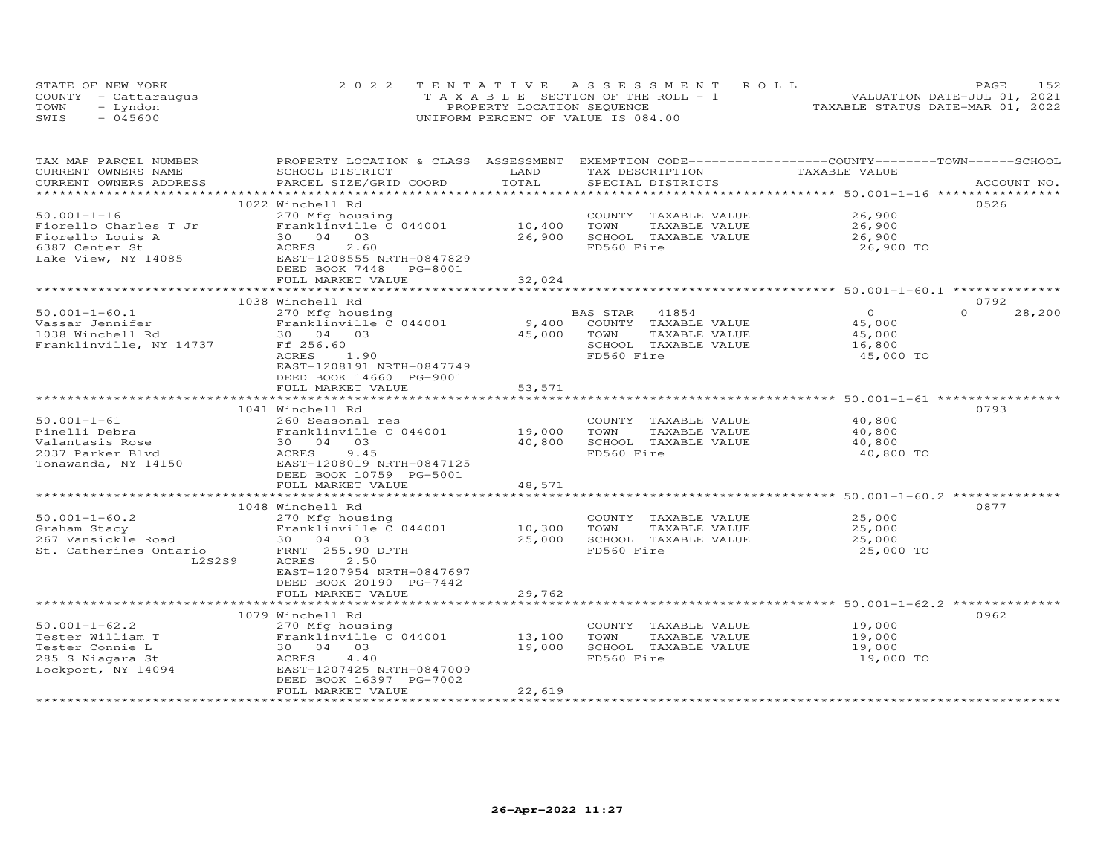|      | STATE OF NEW YORK    | 2022 TENTATIVE ASSESSMENT ROLL        | 152<br>PAGE                      |
|------|----------------------|---------------------------------------|----------------------------------|
|      | COUNTY - Cattaraugus | T A X A B L E SECTION OF THE ROLL - 1 | VALUATION DATE-JUL 01, 2021      |
| TOWN | - Lyndon             | PROPERTY LOCATION SEQUENCE            | TAXABLE STATUS DATE-MAR 01, 2022 |
| SWIS | $-045600$            | UNIFORM PERCENT OF VALUE IS 084.00    |                                  |

| TAX MAP PARCEL NUMBER                  | PROPERTY LOCATION & CLASS ASSESSMENT EXEMPTION CODE----------------COUNTY-------TOWN------SCHOOL |             |            |                      |                                                                |                    |
|----------------------------------------|--------------------------------------------------------------------------------------------------|-------------|------------|----------------------|----------------------------------------------------------------|--------------------|
| CURRENT OWNERS NAME                    | SCHOOL DISTRICT                                                                                  | LAND        |            | TAX DESCRIPTION      | TAXABLE VALUE                                                  |                    |
| CURRENT OWNERS ADDRESS                 | PARCEL SIZE/GRID COORD                                                                           | TOTAL       |            | SPECIAL DISTRICTS    |                                                                | ACCOUNT NO.        |
|                                        |                                                                                                  |             |            |                      |                                                                |                    |
|                                        | 1022 Winchell Rd                                                                                 |             |            |                      |                                                                | 0526               |
| $50.001 - 1 - 16$                      | 270 Mfg housing                                                                                  |             |            | COUNTY TAXABLE VALUE | 26,900                                                         |                    |
| Fiorello Charles T Jr                  | Franklinville C 044001                                                                           | 10,400      | TOWN       | TAXABLE VALUE        | 26,900                                                         |                    |
| Fiorello Louis A                       | 30 04 03                                                                                         | 26,900      |            | SCHOOL TAXABLE VALUE | 26,900                                                         |                    |
| 6387 Center St                         | 2.60<br>ACRES                                                                                    |             | FD560 Fire |                      | 26,900 TO                                                      |                    |
| Lake View, NY 14085                    | EAST-1208555 NRTH-0847829                                                                        |             |            |                      |                                                                |                    |
|                                        | DEED BOOK 7448 PG-8001                                                                           |             |            |                      |                                                                |                    |
|                                        | FULL MARKET VALUE                                                                                | 32,024      |            |                      |                                                                |                    |
|                                        |                                                                                                  |             |            |                      |                                                                |                    |
|                                        | 1038 Winchell Rd                                                                                 |             |            |                      |                                                                | 0792               |
| $50.001 - 1 - 60.1$                    | 270 Mfg housing                                                                                  |             | BAS STAR   | 41854                | $\overline{O}$                                                 | $\Omega$<br>28,200 |
| Vassar Jennifer                        | Franklinville C 044001                                                                           | 9,400       |            | COUNTY TAXABLE VALUE | 45,000                                                         |                    |
| 1038 Winchell Rd                       | 30  04  03                                                                                       | 45,000      | TOWN       | TAXABLE VALUE        | 45,000                                                         |                    |
| Franklinville, NY 14737                | Ff 256.60                                                                                        |             |            | SCHOOL TAXABLE VALUE | 16,800                                                         |                    |
|                                        | ACRES<br>1.90                                                                                    |             | FD560 Fire |                      | 45,000 TO                                                      |                    |
|                                        | EAST-1208191 NRTH-0847749                                                                        |             |            |                      |                                                                |                    |
|                                        | DEED BOOK 14660 PG-9001                                                                          |             |            |                      |                                                                |                    |
|                                        | FULL MARKET VALUE                                                                                | 53,571      |            |                      |                                                                |                    |
|                                        |                                                                                                  | *********** |            |                      | ·******************************* 50.001-1-61 ***************** |                    |
|                                        | 1041 Winchell Rd                                                                                 |             |            |                      |                                                                | 0793               |
| $50.001 - 1 - 61$                      | 260 Seasonal res                                                                                 |             |            | COUNTY TAXABLE VALUE | 40,800                                                         |                    |
| Pinelli Debra                          | Franklinville C 044001                                                                           | 19,000      | TOWN       | TAXABLE VALUE        | 40,800                                                         |                    |
| Valantasis Rose                        | 30 04 03                                                                                         | 40,800      |            | SCHOOL TAXABLE VALUE | 40,800                                                         |                    |
| 2037 Parker Blvd                       | 9.45<br>ACRES                                                                                    |             | FD560 Fire |                      | 40,800 TO                                                      |                    |
| Tonawanda, NY 14150                    | EAST-1208019 NRTH-0847125                                                                        |             |            |                      |                                                                |                    |
|                                        | DEED BOOK 10759 PG-5001                                                                          |             |            |                      |                                                                |                    |
|                                        | FULL MARKET VALUE                                                                                | 48,571      |            |                      |                                                                |                    |
|                                        |                                                                                                  |             |            |                      |                                                                |                    |
|                                        | 1048 Winchell Rd                                                                                 |             |            |                      |                                                                | 0877               |
| $50.001 - 1 - 60.2$                    | 270 Mfg housing                                                                                  |             |            | COUNTY TAXABLE VALUE | 25,000                                                         |                    |
| Graham Stacy                           | Franklinville C 044001                                                                           | 10,300      | TOWN       | TAXABLE VALUE        | 25,000                                                         |                    |
| 267 Vansickle Road                     | 30  04  03                                                                                       | 25,000      |            | SCHOOL TAXABLE VALUE | 25,000                                                         |                    |
| St. Catherines Ontario                 | FRNT 255.90 DPTH                                                                                 |             | FD560 Fire |                      | 25,000 TO                                                      |                    |
| L2S2S9                                 | ACRES<br>2.50                                                                                    |             |            |                      |                                                                |                    |
|                                        | EAST-1207954 NRTH-0847697                                                                        |             |            |                      |                                                                |                    |
|                                        | DEED BOOK 20190 PG-7442                                                                          |             |            |                      |                                                                |                    |
|                                        | FULL MARKET VALUE                                                                                | 29,762      |            |                      |                                                                |                    |
|                                        |                                                                                                  | **********  |            |                      | *********************** 50.001-1-62.2 **************           |                    |
|                                        | 1079 Winchell Rd                                                                                 |             |            |                      |                                                                | 0962               |
| $50.001 - 1 - 62.2$                    |                                                                                                  |             |            | COUNTY TAXABLE VALUE | 19,000                                                         |                    |
| Tester William T                       | 270 Mfg housing<br>Franklinville C 044001                                                        | 13,100      | TOWN       | TAXABLE VALUE        | 19,000                                                         |                    |
| Tester Connie L                        | 30 04 03                                                                                         | 19,000      |            | SCHOOL TAXABLE VALUE | 19,000                                                         |                    |
|                                        |                                                                                                  |             |            |                      |                                                                |                    |
| 285 S Niagara St<br>Lockport, NY 14094 | ACRES<br>4.40<br>EAST-1207425 NRTH-0847009                                                       |             | FD560 Fire |                      | 19,000 TO                                                      |                    |
|                                        |                                                                                                  |             |            |                      |                                                                |                    |
|                                        | DEED BOOK 16397 PG-7002                                                                          |             |            |                      |                                                                |                    |
|                                        | FULL MARKET VALUE                                                                                | 22,619      |            |                      |                                                                |                    |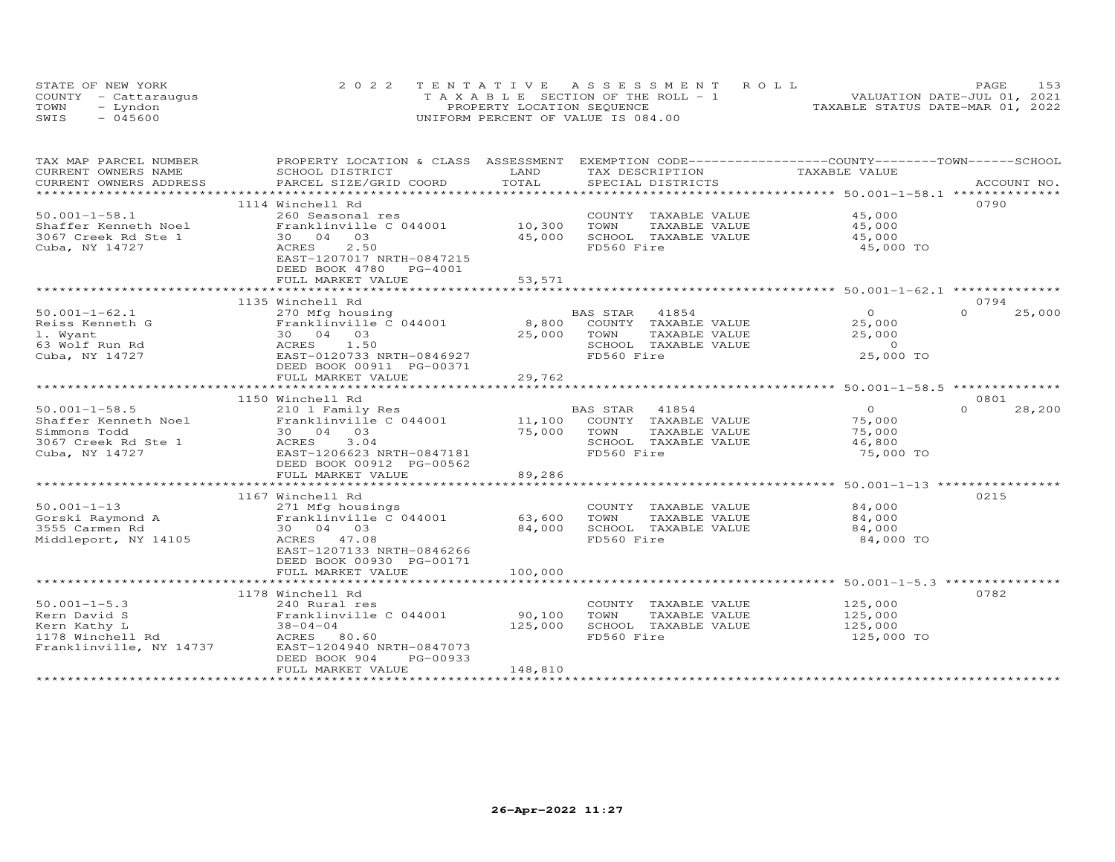| STATE OF NEW YORK    | 2022 TENTATIVE ASSESSMENT ROLL        | PAGE.                            | 153 |
|----------------------|---------------------------------------|----------------------------------|-----|
| COUNTY - Cattaraugus | T A X A B L E SECTION OF THE ROLL - 1 | VALUATION DATE-JUL 01, 2021      |     |
| TOWN<br>- Lyndon     | PROPERTY LOCATION SEQUENCE            | TAXABLE STATUS DATE-MAR 01, 2022 |     |
| $-045600$<br>SWIS    | UNIFORM PERCENT OF VALUE IS 084.00    |                                  |     |

| TAX MAP PARCEL NUMBER   | PROPERTY LOCATION & CLASS ASSESSMENT EXEMPTION CODE----------------COUNTY--------TOWN-----SCHOOL                                                                                                                               |         |                              |                |                    |
|-------------------------|--------------------------------------------------------------------------------------------------------------------------------------------------------------------------------------------------------------------------------|---------|------------------------------|----------------|--------------------|
| CURRENT OWNERS NAME     | SCHOOL DISTRICT                                                                                                                                                                                                                | LAND    | TAX DESCRIPTION              | TAXABLE VALUE  |                    |
|                         | .CURRENT OWNERS ADDRESS PARCEL SIZE/GRID COORD TOTAL SPECIAL DISTRICTS ACCOUNT NO ACCOUNT NO ACCOUNT NO ARE A TALL AND MALL THAT A TALL THAT A THE COLL THAT A TALL THAT A TALL THAT A TALL THAT AND TALL THAT AND TALL THAT A |         |                              |                |                    |
|                         |                                                                                                                                                                                                                                |         |                              |                |                    |
|                         | 1114 Winchell Rd                                                                                                                                                                                                               |         |                              |                | 0790               |
| $50.001 - 1 - 58.1$     | 260 Seasonal res                                                                                                                                                                                                               |         | COUNTY TAXABLE VALUE         | 45,000         |                    |
| Shaffer Kenneth Noel    | Franklinville C 044001                                                                                                                                                                                                         | 10,300  | TOWN<br>TAXABLE VALUE        | 45,000         |                    |
| 3067 Creek Rd Ste 1     | 30 04 03                                                                                                                                                                                                                       | 45,000  | SCHOOL TAXABLE VALUE         | 45,000         |                    |
| Cuba, NY 14727          | 2.50<br>ACRES                                                                                                                                                                                                                  |         | FD560 Fire                   | 45,000 TO      |                    |
|                         | EAST-1207017 NRTH-0847215                                                                                                                                                                                                      |         |                              |                |                    |
|                         | DEED BOOK 4780 PG-4001                                                                                                                                                                                                         |         |                              |                |                    |
|                         | FULL MARKET VALUE                                                                                                                                                                                                              | 53,571  |                              |                |                    |
|                         |                                                                                                                                                                                                                                |         |                              |                |                    |
|                         | 1135 Winchell Rd                                                                                                                                                                                                               |         |                              |                | 0794               |
| $50.001 - 1 - 62.1$     | 270 Mfg housing                                                                                                                                                                                                                |         | BAS STAR 41854               | $\overline{O}$ | 25,000<br>$\Omega$ |
| Reiss Kenneth G         | Franklinville C 044001                                                                                                                                                                                                         |         | 8,800 COUNTY TAXABLE VALUE   | 25,000         |                    |
| 1. Wyant                | 30  04  03                                                                                                                                                                                                                     |         | 25,000 TOWN<br>TAXABLE VALUE | 25,000         |                    |
| 63 Wolf Run Rd          | ACRES 1.50                                                                                                                                                                                                                     |         | SCHOOL TAXABLE VALUE         | $\overline{0}$ |                    |
| Cuba, NY 14727          | EAST-0120733 NRTH-0846927                                                                                                                                                                                                      |         | FD560 Fire                   | 25,000 TO      |                    |
|                         | DEED BOOK 00911 PG-00371                                                                                                                                                                                                       |         |                              |                |                    |
|                         | FULL MARKET VALUE                                                                                                                                                                                                              | 29,762  |                              |                |                    |
|                         |                                                                                                                                                                                                                                |         |                              |                |                    |
|                         | 1150 Winchell Rd                                                                                                                                                                                                               |         |                              |                | 0801               |
|                         |                                                                                                                                                                                                                                |         |                              |                | $\Omega$           |
| $50.001 - 1 - 58.5$     | 210 1 Family Res                                                                                                                                                                                                               |         |                              | $\overline{O}$ | 28,200             |
|                         |                                                                                                                                                                                                                                |         |                              | 75,000         |                    |
| Simmons Todd            | 30 04 03                                                                                                                                                                                                                       | 75,000  | TAXABLE VALUE<br>TOWN        | 75,000         |                    |
| 3067 Creek Rd Ste 1     | ACRES<br>3.04                                                                                                                                                                                                                  |         | SCHOOL TAXABLE VALUE         | 46,800         |                    |
| Cuba, NY 14727          | EAST-1206623 NRTH-0847181                                                                                                                                                                                                      |         | FD560 Fire                   | 75,000 TO      |                    |
|                         | DEED BOOK 00912 PG-00562                                                                                                                                                                                                       |         |                              |                |                    |
|                         | FULL MARKET VALUE                                                                                                                                                                                                              | 89,286  |                              |                |                    |
|                         |                                                                                                                                                                                                                                |         |                              |                |                    |
|                         | 1167 Winchell Rd                                                                                                                                                                                                               |         |                              |                | 0215               |
|                         |                                                                                                                                                                                                                                |         | COUNTY TAXABLE VALUE         | 84,000         |                    |
|                         |                                                                                                                                                                                                                                |         | TOWN<br>TAXABLE VALUE        | 84,000         |                    |
|                         | Corski Raymond A (271 Mfg housings)<br>Sorski Raymond A (1974 Franklinville C 044001 (63,600)<br>30 04 03                                                                                                                      |         | SCHOOL TAXABLE VALUE         | 84,000         |                    |
| Middleport, NY 14105    | ACRES 47.08                                                                                                                                                                                                                    |         | FD560 Fire                   | 84,000 TO      |                    |
|                         | EAST-1207133 NRTH-0846266                                                                                                                                                                                                      |         |                              |                |                    |
|                         | DEED BOOK 00930 PG-00171                                                                                                                                                                                                       |         |                              |                |                    |
|                         | FULL MARKET VALUE                                                                                                                                                                                                              | 100,000 |                              |                |                    |
|                         |                                                                                                                                                                                                                                |         |                              |                |                    |
|                         | 1178 Winchell Rd                                                                                                                                                                                                               |         |                              |                | 0782               |
| $50.001 - 1 - 5.3$      | 240 Rural res                                                                                                                                                                                                                  |         | COUNTY TAXABLE VALUE         | 125,000        |                    |
| Kern David S            | Franklinville C 044001                                                                                                                                                                                                         | 90,100  | TOWN<br>TAXABLE VALUE        | 125,000        |                    |
| Kern Kathy L            | $38 - 04 - 04$                                                                                                                                                                                                                 | 125,000 | SCHOOL TAXABLE VALUE         | 125,000        |                    |
| 1178 Winchell Rd        | ACRES 80.60                                                                                                                                                                                                                    |         | FD560 Fire                   | 125,000 TO     |                    |
| Franklinville, NY 14737 | EAST-1204940 NRTH-0847073                                                                                                                                                                                                      |         |                              |                |                    |
|                         | DEED BOOK 904<br>PG-00933                                                                                                                                                                                                      |         |                              |                |                    |
|                         | FULL MARKET VALUE                                                                                                                                                                                                              | 148,810 |                              |                |                    |
|                         |                                                                                                                                                                                                                                |         |                              |                |                    |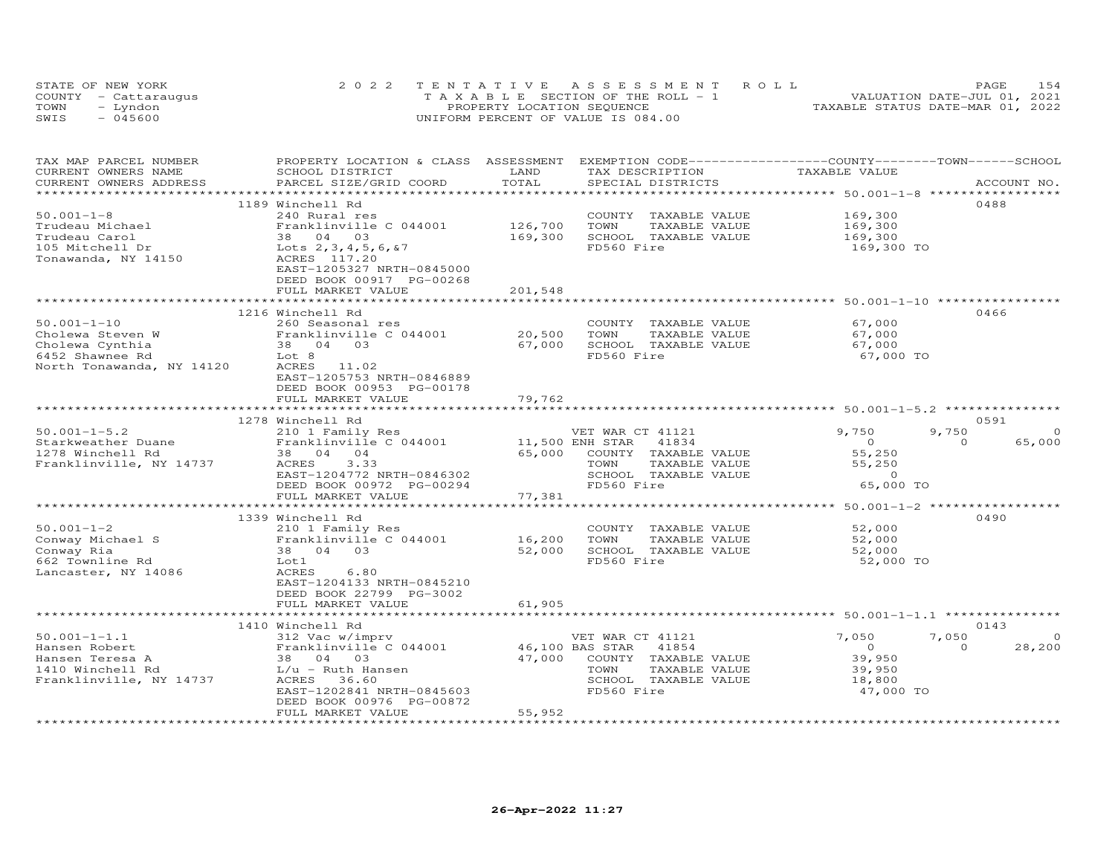|      | STATE OF NEW YORK    | 2022 TENTATIVE ASSESSMENT ROLL        | 1.54<br>PAGE                     |
|------|----------------------|---------------------------------------|----------------------------------|
|      | COUNTY - Cattaraugus | T A X A B L E SECTION OF THE ROLL - 1 | VALUATION DATE-JUL 01, 2021      |
| TOWN | - Lyndon             | PROPERTY LOCATION SEQUENCE            | TAXABLE STATUS DATE-MAR 01, 2022 |
| SWIS | $-045600$            | UNIFORM PERCENT OF VALUE IS 084.00    |                                  |

| TAX MAP PARCEL NUMBER<br>CURRENT OWNERS NAME | PROPERTY LOCATION & CLASS ASSESSMENT<br>SCHOOL DISTRICT | LAND                       | EXEMPTION CODE-----------------COUNTY-------TOWN------SCHOOL<br>TAX DESCRIPTION | TAXABLE VALUE                                            |                    |
|----------------------------------------------|---------------------------------------------------------|----------------------------|---------------------------------------------------------------------------------|----------------------------------------------------------|--------------------|
| CURRENT OWNERS ADDRESS                       | PARCEL SIZE/GRID COORD                                  | TOTAL                      | SPECIAL DISTRICTS                                                               |                                                          | ACCOUNT NO.        |
|                                              |                                                         |                            |                                                                                 |                                                          | 0488               |
| $50.001 - 1 - 8$                             | 1189 Winchell Rd<br>240 Rural res                       |                            | COUNTY TAXABLE VALUE                                                            | 169,300                                                  |                    |
| Trudeau Michael                              | Franklinville C 044001                                  | 126,700                    | TOWN<br>TAXABLE VALUE                                                           | 169,300                                                  |                    |
| Trudeau Carol                                | 38 04 03                                                | 169,300                    | SCHOOL TAXABLE VALUE                                                            | 169,300                                                  |                    |
|                                              | Lots $2, 3, 4, 5, 6, 87$                                |                            | FD560 Fire                                                                      |                                                          |                    |
| 105 Mitchell Dr<br>Tonawanda, NY 14150       | ACRES 117.20                                            |                            |                                                                                 | 169,300 TO                                               |                    |
|                                              | EAST-1205327 NRTH-0845000                               |                            |                                                                                 |                                                          |                    |
|                                              | DEED BOOK 00917 PG-00268                                |                            |                                                                                 |                                                          |                    |
|                                              | FULL MARKET VALUE                                       | 201,548                    |                                                                                 |                                                          |                    |
|                                              |                                                         | ********                   |                                                                                 | ****************** 50.001-1-10 ***********               |                    |
|                                              | 1216 Winchell Rd                                        |                            |                                                                                 |                                                          | 0466               |
| $50.001 - 1 - 10$                            | 260 Seasonal res                                        |                            | COUNTY TAXABLE VALUE                                                            | 67,000                                                   |                    |
| Cholewa Steven W                             | Franklinville C 044001                                  | 20,500                     | TOWN<br>TAXABLE VALUE                                                           | 67,000                                                   |                    |
| Cholewa Cynthia                              | 38 04 03                                                | 67,000                     | SCHOOL TAXABLE VALUE                                                            | 67,000                                                   |                    |
| 6452 Shawnee Rd                              | Lot 8                                                   |                            | FD560 Fire                                                                      | 67,000 TO                                                |                    |
| North Tonawanda, NY 14120                    | ACRES<br>11.02                                          |                            |                                                                                 |                                                          |                    |
|                                              | EAST-1205753 NRTH-0846889                               |                            |                                                                                 |                                                          |                    |
|                                              | DEED BOOK 00953 PG-00178                                |                            |                                                                                 |                                                          |                    |
|                                              | FULL MARKET VALUE                                       | 79,762                     |                                                                                 |                                                          |                    |
|                                              | ***************************                             | * * * * * * * * * * * *    | ******************************** 50.001-1-5.2 ************                      |                                                          |                    |
|                                              | 1278 Winchell Rd                                        |                            |                                                                                 |                                                          | 0591               |
| $50.001 - 1 - 5.2$                           | 210 1 Family Res                                        |                            | VET WAR CT 41121                                                                | 9,750                                                    | 9,750<br>$\Omega$  |
| Starkweather Duane                           | Franklinville C 044001                                  | 11,500 ENH STAR            | 41834                                                                           | $\circ$                                                  | 65,000<br>$\Omega$ |
| 1278 Winchell Rd                             | 38 04 04                                                | 65,000                     | COUNTY TAXABLE VALUE                                                            | 55,250                                                   |                    |
| Franklinville, NY 14737                      | 3.33<br>ACRES                                           |                            | TOWN<br>TAXABLE VALUE                                                           | 55,250                                                   |                    |
|                                              | EAST-1204772 NRTH-0846302                               |                            | SCHOOL TAXABLE VALUE                                                            | $\circ$                                                  |                    |
|                                              | DEED BOOK 00972 PG-00294                                |                            | FD560 Fire                                                                      | 65,000 TO                                                |                    |
|                                              | FULL MARKET VALUE                                       | 77,381                     |                                                                                 |                                                          |                    |
|                                              | *********************                                   |                            |                                                                                 | *************************** 50.001-1-2 ***************** |                    |
|                                              | 1339 Winchell Rd                                        |                            |                                                                                 |                                                          | 0490               |
| $50.001 - 1 - 2$                             | 210 1 Family Res                                        |                            | COUNTY TAXABLE VALUE                                                            | 52,000                                                   |                    |
| Conway Michael S                             | Franklinville C 044001                                  | 16,200                     | TAXABLE VALUE<br>TOWN                                                           | 52,000                                                   |                    |
| Conway Ria                                   | 38 04<br>03                                             | 52,000                     | SCHOOL TAXABLE VALUE                                                            | 52,000                                                   |                    |
| 662 Townline Rd                              | Lot 1                                                   |                            | FD560 Fire                                                                      | 52,000 TO                                                |                    |
| Lancaster, NY 14086                          | ACRES<br>6.80                                           |                            |                                                                                 |                                                          |                    |
|                                              | EAST-1204133 NRTH-0845210                               |                            |                                                                                 |                                                          |                    |
|                                              | DEED BOOK 22799 PG-3002                                 |                            |                                                                                 |                                                          |                    |
|                                              | FULL MARKET VALUE                                       | 61,905                     |                                                                                 |                                                          |                    |
|                                              |                                                         |                            |                                                                                 |                                                          |                    |
|                                              | 1410 Winchell Rd                                        |                            |                                                                                 |                                                          | 0143               |
| $50.001 - 1 - 1.1$                           | 312 Vac w/imprv                                         |                            | VET WAR CT 41121                                                                | 7,050                                                    | 7,050<br>$\Omega$  |
| Hansen Robert                                | Franklinville C 044001                                  |                            | 46,100 BAS STAR<br>41854                                                        | $\circ$                                                  | 28,200<br>$\Omega$ |
| Hansen Teresa A                              | 38 04 03                                                | 47,000                     | COUNTY TAXABLE VALUE                                                            | 39,950                                                   |                    |
| 1410 Winchell Rd                             | L/u - Ruth Hansen                                       |                            | TOWN<br>TAXABLE VALUE                                                           | 39,950                                                   |                    |
| Franklinville, NY 14737                      | ACRES<br>36.60                                          |                            | SCHOOL TAXABLE VALUE                                                            | 18,800                                                   |                    |
|                                              | EAST-1202841 NRTH-0845603                               |                            | FD560 Fire                                                                      | 47,000 TO                                                |                    |
|                                              | DEED BOOK 00976 PG-00872                                |                            |                                                                                 |                                                          |                    |
| ************************                     | FULL MARKET VALUE<br>***********************            | 55,952<br>**************** |                                                                                 |                                                          |                    |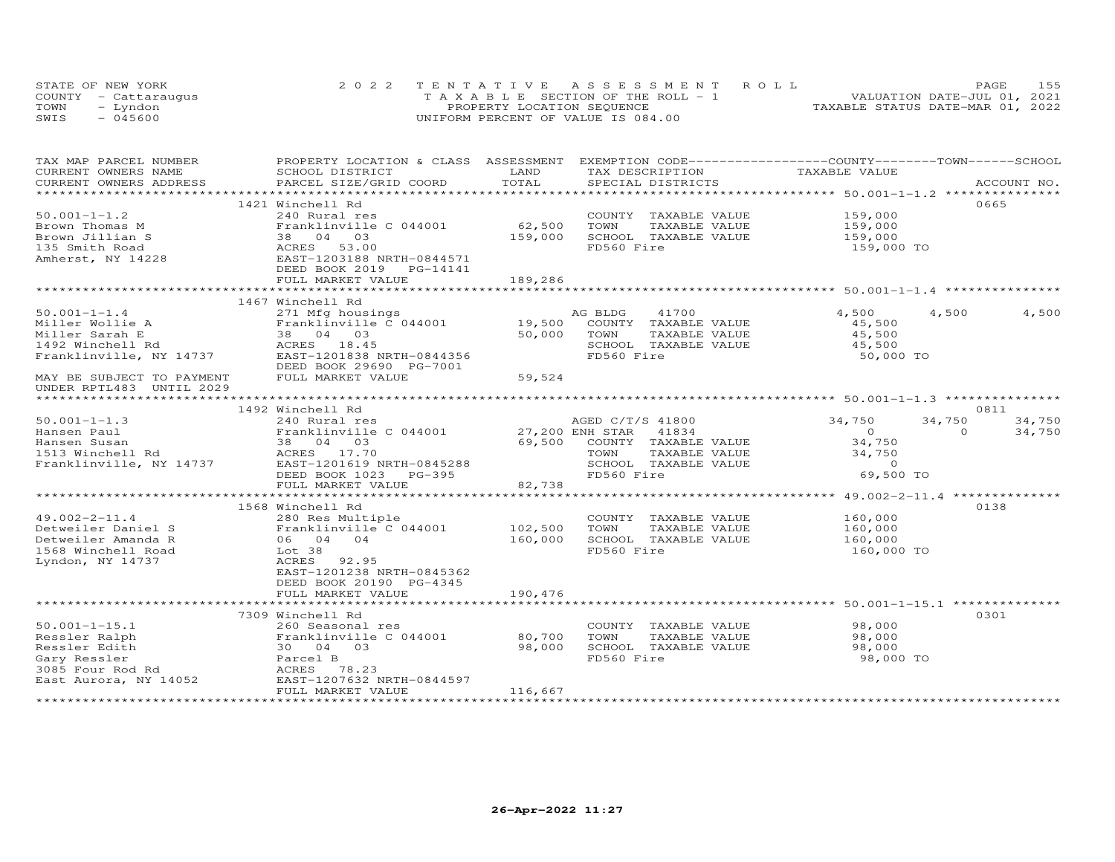| STATE OF NEW YORK    | 2022 TENTATIVE ASSESSMENT ROLL        | 155<br><b>PAGE</b>               |
|----------------------|---------------------------------------|----------------------------------|
| COUNTY - Cattaraugus | T A X A B L E SECTION OF THE ROLL - 1 | VALUATION DATE-JUL 01, 2021      |
| TOWN<br>– Lyndon     | PROPERTY LOCATION SEQUENCE            | TAXABLE STATUS DATE-MAR 01, 2022 |
| $-045600$<br>SWIS    | UNIFORM PERCENT OF VALUE IS 084.00    |                                  |

| TAX MAP PARCEL NUMBER<br>CURRENT OWNERS NAME                                                                                             | PROPERTY LOCATION & CLASS ASSESSMENT EXEMPTION CODE----------------COUNTY-------TOWN------SCHOOL<br>SCHOOL DISTRICT                                                                                                                                                    | LAND    |            |                      | TAX DESCRIPTION TAXABLE VALUE                            |          |        |
|------------------------------------------------------------------------------------------------------------------------------------------|------------------------------------------------------------------------------------------------------------------------------------------------------------------------------------------------------------------------------------------------------------------------|---------|------------|----------------------|----------------------------------------------------------|----------|--------|
|                                                                                                                                          | .CURRENT OWNERS ADDRESS PARCEL SIZE/GRID COORD TOTAL SPECIAL DISTRICTS ACCOUNT NO ACCOUNT NO ACCOUNT NO ARE A LATA AND MALL THAT A LATA AND MALL THAT A LATA AND MALL THAT A LATA AND MALL THAT AND MALL THAT AND MALL THAT AN                                         |         |            |                      |                                                          |          |        |
|                                                                                                                                          |                                                                                                                                                                                                                                                                        |         |            |                      |                                                          |          |        |
|                                                                                                                                          | 1421 Winchell Rd                                                                                                                                                                                                                                                       |         |            |                      |                                                          |          | 0665   |
|                                                                                                                                          |                                                                                                                                                                                                                                                                        |         |            | COUNTY TAXABLE VALUE | 159,000<br>159,000                                       |          |        |
|                                                                                                                                          |                                                                                                                                                                                                                                                                        |         | TOWN       | TAXABLE VALUE        |                                                          |          |        |
|                                                                                                                                          |                                                                                                                                                                                                                                                                        |         |            | SCHOOL TAXABLE VALUE | 159,000                                                  |          |        |
|                                                                                                                                          |                                                                                                                                                                                                                                                                        |         | FD560 Fire |                      | 159,000 TO                                               |          |        |
|                                                                                                                                          |                                                                                                                                                                                                                                                                        |         |            |                      |                                                          |          |        |
|                                                                                                                                          |                                                                                                                                                                                                                                                                        |         |            |                      |                                                          |          |        |
|                                                                                                                                          |                                                                                                                                                                                                                                                                        |         |            |                      |                                                          |          |        |
|                                                                                                                                          | 1467 Winchell Rd                                                                                                                                                                                                                                                       |         |            |                      |                                                          |          |        |
| $50.001 - 1 - 1.4$                                                                                                                       | 271 Mfg housings                                                                                                                                                                                                                                                       |         | AG BLDG    | 41700                | 4,500                                                    | 4,500    | 4,500  |
|                                                                                                                                          |                                                                                                                                                                                                                                                                        |         |            |                      | 45,500                                                   |          |        |
|                                                                                                                                          |                                                                                                                                                                                                                                                                        |         |            |                      | 45,500                                                   |          |        |
|                                                                                                                                          |                                                                                                                                                                                                                                                                        |         |            | SCHOOL TAXABLE VALUE |                                                          |          |        |
|                                                                                                                                          |                                                                                                                                                                                                                                                                        |         |            |                      | 45,500<br>50,000 TO                                      |          |        |
|                                                                                                                                          | 90.001-1-1.4<br>Miller Wollie A 271 Mfg housings<br>Miller Sarah E 38 04 03<br>19,500 COUNTY TAXABLE VALUE<br>Miller Sarah E 38 04 03<br>19,500 COUNTY TAXABLE VALUE<br>50,000 TOWN TAXABLE VALUE<br>SARABLE VALUE<br>Franklinville, NY 14737                          |         |            |                      |                                                          |          |        |
| MAY BE SUBJECT TO PAYMENT FULL MARKET VALUE                                                                                              |                                                                                                                                                                                                                                                                        | 59,524  |            |                      |                                                          |          |        |
| UNDER RPTL483 UNTIL 2029                                                                                                                 |                                                                                                                                                                                                                                                                        |         |            |                      |                                                          |          |        |
|                                                                                                                                          |                                                                                                                                                                                                                                                                        |         |            |                      |                                                          |          |        |
|                                                                                                                                          | 1492 Winchell Rd                                                                                                                                                                                                                                                       |         |            |                      |                                                          |          | 0811   |
| $50.001 - 1 - 1.3$                                                                                                                       | AGED C/T/S 41800<br>Franklinville C 044001 27,200 ENH STAR 41834<br>38 04 03 69,500 COUNTY TAXABLE<br>ACRES 17.70                                                                                                                                                      |         |            |                      | AGED C/T/S 41800 34,750                                  | 34,750   | 34,750 |
| Hansen Paul                                                                                                                              |                                                                                                                                                                                                                                                                        |         |            |                      | $\overline{0}$                                           | $\Omega$ | 34,750 |
|                                                                                                                                          |                                                                                                                                                                                                                                                                        |         |            |                      | 34,750                                                   |          |        |
| Hansen Laui<br>Hansen Susan<br>1513 Winchell Rd                                                                                          | Hansen Susan and the Market Susan and the Market Susan and the Market Susan and Market Susan and Market Susan<br>Franklinville, NY 14737 EAST-1201619 NRTH-0845288 SCHOOL TAXABLE VALUE<br>DEED BOOK 1023 PG-395 FD560 Fire FD560                                      |         |            |                      |                                                          |          |        |
|                                                                                                                                          |                                                                                                                                                                                                                                                                        |         |            |                      |                                                          |          |        |
|                                                                                                                                          | DEED BOOK 1023 PG-395                                                                                                                                                                                                                                                  |         |            |                      | TAXABLE VALUE 34,750<br>TAXABLE VALUE 0<br>ire 69,500 TO |          |        |
|                                                                                                                                          | FULL MARKET VALUE                                                                                                                                                                                                                                                      | 82,738  |            |                      |                                                          |          |        |
|                                                                                                                                          |                                                                                                                                                                                                                                                                        |         |            |                      |                                                          |          |        |
|                                                                                                                                          | 1568 Winchell Rd                                                                                                                                                                                                                                                       |         |            |                      |                                                          |          | 0138   |
|                                                                                                                                          |                                                                                                                                                                                                                                                                        |         |            |                      | COUNTY TAXABLE VALUE 160,000                             |          |        |
|                                                                                                                                          |                                                                                                                                                                                                                                                                        |         | TOWN       | TAXABLE VALUE        | 160,000<br>160,000                                       |          |        |
|                                                                                                                                          |                                                                                                                                                                                                                                                                        |         |            | SCHOOL TAXABLE VALUE |                                                          |          |        |
|                                                                                                                                          | 49.002-2-11.4<br>Detweiler Daniel S<br>Detweiler Amanda R (6 04 04 160,000<br>160,000<br>160,000<br>160,000<br>1737<br>202.95<br>202.95<br>202.95<br>202.95<br>202.95<br>202.95<br>202.95<br>202.95<br>202.95<br>202.95<br>202.95<br>202.95<br>202.95<br>202.95<br>202 |         | FD560 Fire |                      | 160,000 TO                                               |          |        |
|                                                                                                                                          |                                                                                                                                                                                                                                                                        |         |            |                      |                                                          |          |        |
|                                                                                                                                          | EAST-1201238 NRTH-0845362                                                                                                                                                                                                                                              |         |            |                      |                                                          |          |        |
|                                                                                                                                          | DEED BOOK 20190 PG-4345                                                                                                                                                                                                                                                | 190,476 |            |                      |                                                          |          |        |
|                                                                                                                                          | FULL MARKET VALUE                                                                                                                                                                                                                                                      |         |            |                      |                                                          |          |        |
|                                                                                                                                          | 7309 Winchell Rd                                                                                                                                                                                                                                                       |         |            |                      |                                                          |          | 0301   |
| $50.001 - 1 - 15.1$                                                                                                                      | 260 Seasonal res                                                                                                                                                                                                                                                       |         |            |                      | COUNTY TAXABLE VALUE 98,000                              |          |        |
|                                                                                                                                          | Franklinville C 044001                                                                                                                                                                                                                                                 | 80,700  | TOWN       | TAXABLE VALUE        | 98,000                                                   |          |        |
|                                                                                                                                          |                                                                                                                                                                                                                                                                        | 98,000  |            | SCHOOL TAXABLE VALUE | 98,000                                                   |          |        |
| Example 11 Franklinville<br>Ressler Edith 30 04 03<br>Gary Ressler B3085 Four Rod Rd ACRES 78.23<br>East Aurora, NY 14052 EAST-1207632 N |                                                                                                                                                                                                                                                                        |         | FD560 Fire |                      | 98,000 TO                                                |          |        |
|                                                                                                                                          |                                                                                                                                                                                                                                                                        |         |            |                      |                                                          |          |        |
|                                                                                                                                          | EAST-1207632 NRTH-0844597                                                                                                                                                                                                                                              |         |            |                      |                                                          |          |        |
|                                                                                                                                          | FULL MARKET VALUE                                                                                                                                                                                                                                                      | 116,667 |            |                      |                                                          |          |        |
|                                                                                                                                          |                                                                                                                                                                                                                                                                        |         |            |                      |                                                          |          |        |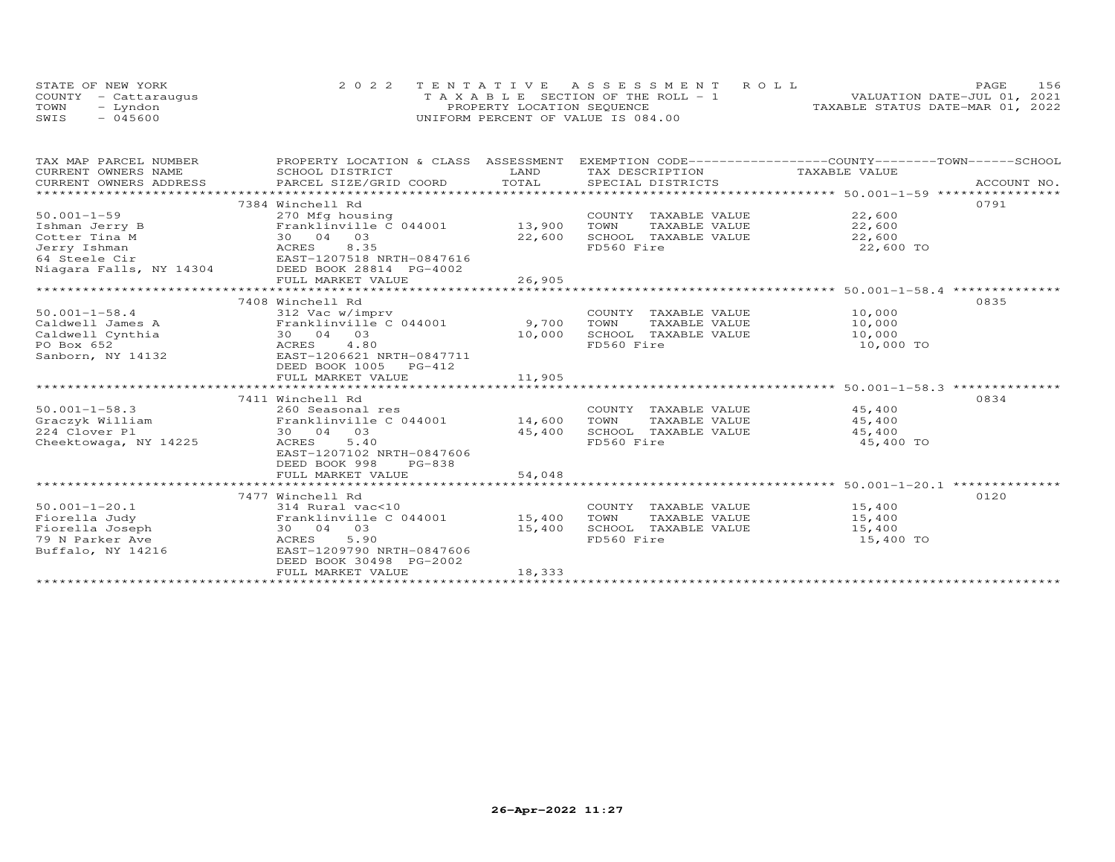|      | STATE OF NEW YORK    | 2022 TENTATIVE ASSESSMENT ROLL        | 156<br>PAGE                      |
|------|----------------------|---------------------------------------|----------------------------------|
|      | COUNTY - Cattaraugus | T A X A B L E SECTION OF THE ROLL - 1 | VALUATION DATE-JUL 01, 2021      |
| TOWN | - Lyndon             | PROPERTY LOCATION SEQUENCE            | TAXABLE STATUS DATE-MAR 01, 2022 |
| SWIS | $-045600$            | UNIFORM PERCENT OF VALUE IS 084.00    |                                  |

| TAX MAP PARCEL NUMBER  | PROPERTY LOCATION & CLASS ASSESSMENT    |                |            |                      | EXEMPTION CODE------------------COUNTY-------TOWN------SCHOOL |             |
|------------------------|-----------------------------------------|----------------|------------|----------------------|---------------------------------------------------------------|-------------|
| CURRENT OWNERS NAME    | SCHOOL DISTRICT                         | LAND           |            | TAX DESCRIPTION      | TAXABLE VALUE                                                 |             |
| CURRENT OWNERS ADDRESS | PARCEL SIZE/GRID COORD                  | TOTAL          |            | SPECIAL DISTRICTS    |                                                               | ACCOUNT NO. |
|                        |                                         |                |            |                      |                                                               |             |
|                        | 7384 Winchell Rd                        |                |            |                      |                                                               | 0791        |
| $50.001 - 1 - 59$      | 270 Mfg housing                         |                |            | COUNTY TAXABLE VALUE | 22,600                                                        |             |
| Ishman Jerry B         | Franklinville C 044001 13,900           |                | TOWN       | TAXABLE VALUE        | 22,600                                                        |             |
| Cotter Tina M          | 30  04  03                              | 22,600         |            | SCHOOL TAXABLE VALUE | 22,600                                                        |             |
| Jerry Ishman           | ACRES 8.35<br>EAST-1207518 NRTH-0847616 |                | FD560 Fire |                      | 22,600 TO                                                     |             |
| 64 Steele Cir          |                                         |                |            |                      |                                                               |             |
|                        |                                         |                |            |                      |                                                               |             |
|                        | FULL MARKET VALUE                       | 26,905         |            |                      |                                                               |             |
|                        |                                         |                |            |                      |                                                               |             |
|                        | 7408 Winchell Rd                        |                |            |                      |                                                               | 0835        |
| $50.001 - 1 - 58.4$    | 312 Vac w/imprv                         |                |            | COUNTY TAXABLE VALUE | 10,000                                                        |             |
| Caldwell James A       | Franklinville C 044001                  | 9,700          | TOWN       | TAXABLE VALUE        | 10,000                                                        |             |
| Caldwell Cynthia       | 30 04 03                                | 10,000         |            | SCHOOL TAXABLE VALUE | 10,000                                                        |             |
| PO Box 652             | 4.80<br>ACRES                           |                | FD560 Fire |                      | 10,000 TO                                                     |             |
| Sanborn, NY 14132      | EAST-1206621 NRTH-0847711               |                |            |                      |                                                               |             |
|                        | DEED BOOK 1005<br>$PG-412$              |                |            |                      |                                                               |             |
|                        | FULL MARKET VALUE                       | 11,905         |            |                      |                                                               |             |
|                        |                                         |                |            |                      |                                                               |             |
|                        | 7411 Winchell Rd                        |                |            |                      |                                                               | 0834        |
| $50.001 - 1 - 58.3$    | 260 Seasonal res                        |                |            | COUNTY TAXABLE VALUE | 45,400                                                        |             |
| Graczyk William        | Franklinville C 044001                  | 14,600         | TOWN       | TAXABLE VALUE        | 45,400                                                        |             |
| 224 Clover Pl          | 30 04 03                                | 45,400         |            | SCHOOL TAXABLE VALUE | 45,400                                                        |             |
| Cheektowaga, NY 14225  | 5.40<br>ACRES                           |                | FD560 Fire |                      | 45,400 TO                                                     |             |
|                        | EAST-1207102 NRTH-0847606               |                |            |                      |                                                               |             |
|                        | DEED BOOK 998<br>$PG-838$               |                |            |                      |                                                               |             |
|                        | FULL MARKET VALUE                       | 54,048         |            |                      |                                                               |             |
|                        | **************************************  | ************** |            |                      | ************************ 50.001-1-20.1 **************         |             |
|                        | 7477 Winchell Rd                        |                |            |                      |                                                               | 0120        |
| $50.001 - 1 - 20.1$    | 314 Rural vac<10                        |                |            | COUNTY TAXABLE VALUE | 15,400                                                        |             |
| Fiorella Judy          | Franklinville C 044001                  | 15,400         | TOWN       | TAXABLE VALUE        | 15,400                                                        |             |
| Fiorella Joseph        | 30 04 03                                | 15,400         |            | SCHOOL TAXABLE VALUE | 15,400                                                        |             |
| 79 N Parker Ave        | ACRES<br>5.90                           |                | FD560 Fire |                      | 15,400 TO                                                     |             |
| Buffalo, NY 14216      | EAST-1209790 NRTH-0847606               |                |            |                      |                                                               |             |
|                        | DEED BOOK 30498 PG-2002                 |                |            |                      |                                                               |             |
|                        | FULL MARKET VALUE                       | 18,333         |            |                      |                                                               |             |
|                        |                                         |                |            |                      |                                                               |             |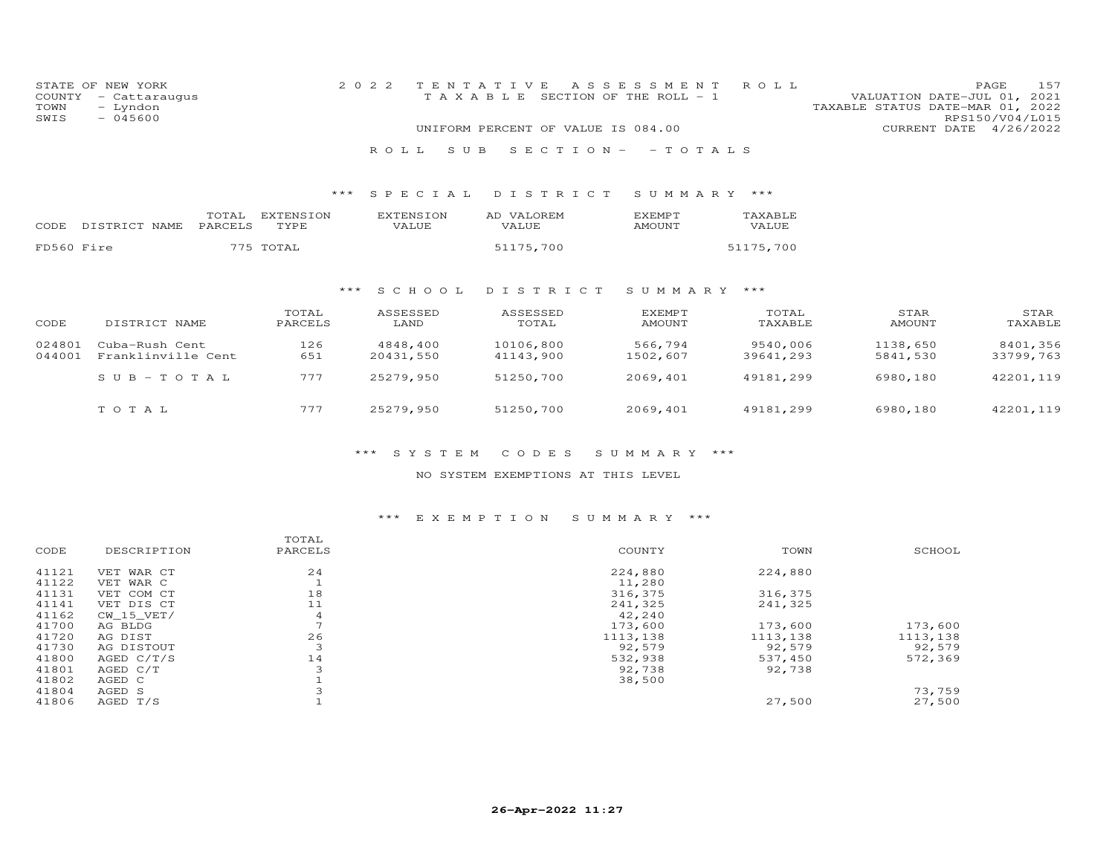| COUNTY<br>TOWN<br>SWIS | STATE OF NEW YORK<br>- Cattaraugus<br>- Lyndon<br>$-045600$ |                  |                          | 2 0 2 2                   | TENTATIVE<br>T A X A B L E SECTION OF THE ROLL - 1 | A S S E S S M E N T            | ROLL                  | TAXABLE STATUS DATE-MAR 01, 2022 | 157<br>PAGE<br>VALUATION DATE-JUL 01, 2021<br>RPS150/V04/L015 |
|------------------------|-------------------------------------------------------------|------------------|--------------------------|---------------------------|----------------------------------------------------|--------------------------------|-----------------------|----------------------------------|---------------------------------------------------------------|
|                        |                                                             |                  |                          |                           | UNIFORM PERCENT OF VALUE IS 084.00                 |                                |                       | CURRENT DATE                     | 4/26/2022                                                     |
|                        |                                                             |                  |                          | ROLL.                     | SECTION-<br>S U B                                  | $-$ T O T A L S                |                       |                                  |                                                               |
|                        |                                                             |                  | $***$                    | SPECIAL                   | DISTRICT                                           | SUMMARY ***                    |                       |                                  |                                                               |
| CODE                   | DISTRICT NAME                                               | TOTAL<br>PARCELS | <b>EXTENSION</b><br>TYPE | <b>EXTENSION</b><br>VALUE | AD VALOREM<br>VALUE                                | <b>EXEMPT</b><br>AMOUNT        | TAXABLE<br>VALUE      |                                  |                                                               |
| FD560 Fire             |                                                             |                  | 775 TOTAL                |                           | 51175,700                                          |                                | 51175,700             |                                  |                                                               |
|                        |                                                             |                  |                          | S C H O O L<br>***        | DISTRICT                                           | SUMMARY                        | ***                   |                                  |                                                               |
| CODE                   | DISTRICT NAME                                               |                  | TOTAL<br>PARCELS         | ASSESSED<br>LAND          | ASSESSED<br>TOTAL                                  | <b>EXEMPT</b><br><b>AMOUNT</b> | TOTAL<br>TAXABLE      | STAR<br>AMOUNT                   | STAR<br>TAXABLE                                               |
| 024801<br>044001       | Cuba-Rush Cent<br>Franklinville Cent                        |                  | 126<br>651               | 4848,400<br>20431,550     | 10106,800<br>41143,900                             | 566,794<br>1502,607            | 9540,006<br>39641,293 | 1138,650<br>5841,530             | 8401,356<br>33799,763                                         |
|                        | $SUB - TO TAL$                                              |                  | 777                      | 25279,950                 | 51250,700                                          | 2069,401                       | 49181,299             | 6980,180                         | 42201,119                                                     |
|                        | TOTAL                                                       |                  | 777                      | 25279,950                 | 51250,700                                          | 2069,401                       | 49181,299             | 6980,180                         | 42201,119                                                     |

#### NO SYSTEM EXEMPTIONS AT THIS LEVEL

# \*\*\* E X E M P T I O N S U M M A R Y \*\*\*

|       |              | TOTAL                    |          |          |          |
|-------|--------------|--------------------------|----------|----------|----------|
| CODE  | DESCRIPTION  | PARCELS                  | COUNTY   | TOWN     | SCHOOL   |
| 41121 | VET WAR CT   | 24                       | 224,880  | 224,880  |          |
| 41122 | VET WAR C    |                          | 11,280   |          |          |
| 41131 | VET COM CT   | 18                       | 316,375  | 316,375  |          |
| 41141 | VET DIS CT   | 11                       | 241,325  | 241,325  |          |
| 41162 | CW 15 VET/   | $\overline{4}$           | 42,240   |          |          |
| 41700 | AG BLDG      | $\overline{\phantom{0}}$ | 173,600  | 173,600  | 173,600  |
| 41720 | AG DIST      | 26                       | 1113,138 | 1113,138 | 1113,138 |
| 41730 | AG DISTOUT   | 3                        | 92,579   | 92,579   | 92,579   |
| 41800 | AGED $C/T/S$ | 14                       | 532,938  | 537,450  | 572,369  |
| 41801 | AGED C/T     | 3                        | 92,738   | 92,738   |          |
| 41802 | AGED C       |                          | 38,500   |          |          |
| 41804 | AGED S       |                          |          |          | 73,759   |
| 41806 | AGED T/S     |                          |          | 27,500   | 27,500   |
|       |              |                          |          |          |          |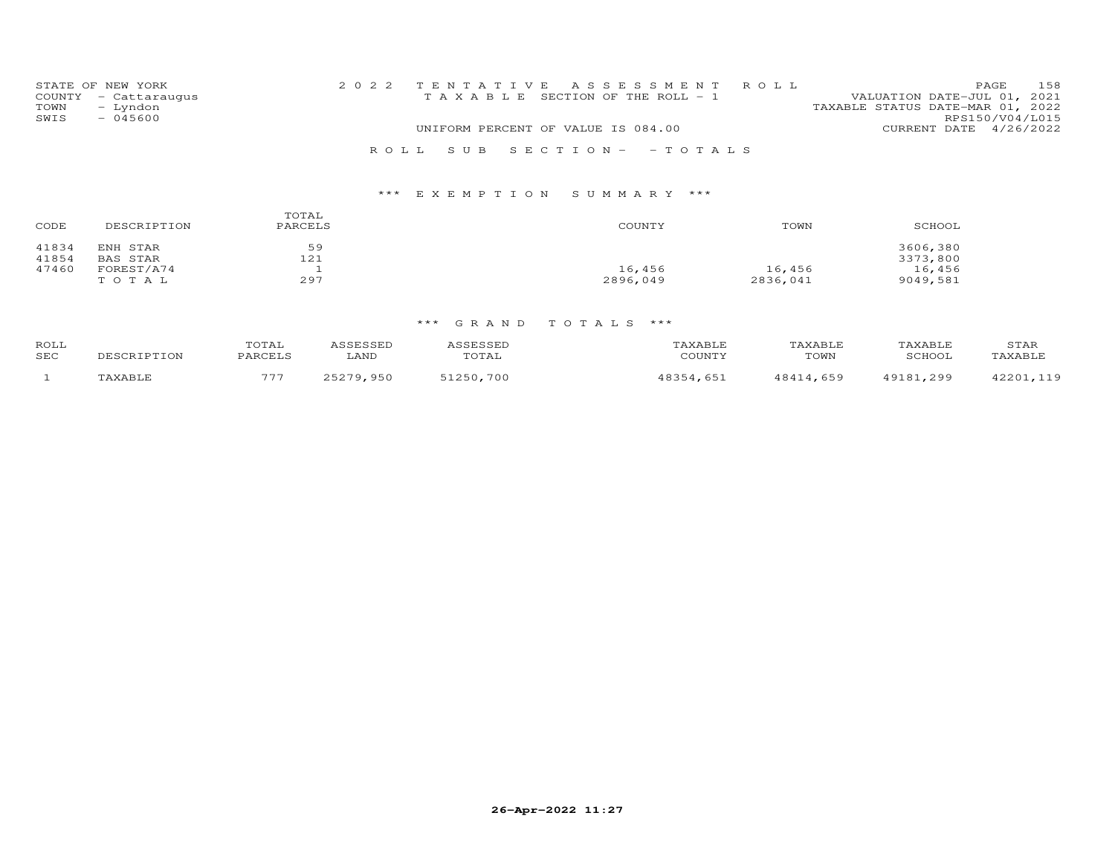|      | STATE OF NEW YORK    |  |                                    | 2022 TENTATIVE ASSESSMENT ROLL        |                                  |                        | <b>PAGE</b> | 158 |
|------|----------------------|--|------------------------------------|---------------------------------------|----------------------------------|------------------------|-------------|-----|
|      | COUNTY - Cattaraugus |  |                                    | T A X A B L E SECTION OF THE ROLL - 1 | VALUATION DATE-JUL 01, 2021      |                        |             |     |
| TOWN | - Lyndon             |  |                                    |                                       | TAXABLE STATUS DATE-MAR 01, 2022 |                        |             |     |
| SWIS | $-045600$            |  |                                    |                                       |                                  | RPS150/V04/L015        |             |     |
|      |                      |  | UNIFORM PERCENT OF VALUE IS 084.00 |                                       |                                  | CURRENT DATE 4/26/2022 |             |     |
|      |                      |  |                                    | ROLL SUB SECTION- - TOTALS            |                                  |                        |             |     |

# \*\*\* E X E M P T I O N S U M M A R Y \*\*\*

| CODE  | DESCRIPTION | TOTAL<br>PARCELS | COUNTY   | TOWN     | SCHOOL   |
|-------|-------------|------------------|----------|----------|----------|
| 41834 | ENH STAR    | 59               |          |          | 3606,380 |
| 41854 | BAS STAR    | 121              |          |          | 3373,800 |
| 47460 | FOREST/A74  |                  | 16,456   | 16,456   | 16,456   |
|       | TOTAL       | 297              | 2896,049 | 2836,041 | 9049.581 |

| ROLL<br>SEC | DESCRIPTION   | TOTAL<br><b>DARCETS</b> | LAND       | TOTAL          | <b>AXABLE</b><br>COTINTV | AXABI F<br>TOWN | AXABI.F<br><b>SCHOOT</b> | STAR<br><b>AVARTE</b> |
|-------------|---------------|-------------------------|------------|----------------|--------------------------|-----------------|--------------------------|-----------------------|
|             | <b>PAVADT</b> | $\blacksquare$          | 79<br>,950 | 51250<br>. 700 | 65                       | 4 659           | 10197<br>299             | $\cap$ $\cap$ $\cap$  |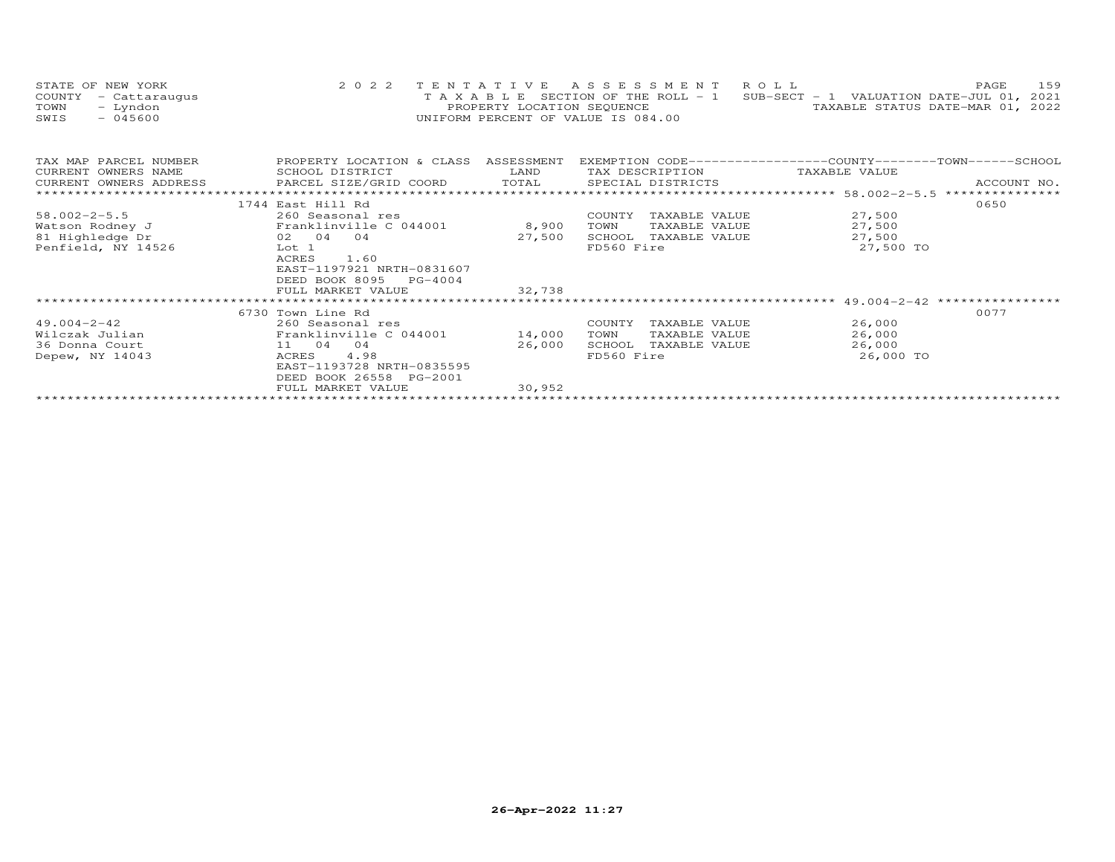| STATE OF NEW YORK    | 2022 TENTATIVE ASSESSMENT ROLL                                                 |                                  | <b>PAGE</b> | 159 |
|----------------------|--------------------------------------------------------------------------------|----------------------------------|-------------|-----|
| COUNTY - Cattaraugus | T A X A B L E SECTION OF THE ROLL - 1 SUB-SECT - 1 VALUATION DATE-JUL 01, 2021 |                                  |             |     |
| TOWN<br>– Lyndon     | PROPERTY LOCATION SEQUENCE                                                     | TAXABLE STATUS DATE-MAR 01, 2022 |             |     |
| $-045600$<br>SWIS    | UNIFORM PERCENT OF VALUE IS 084.00                                             |                                  |             |     |

| TAX MAP PARCEL NUMBER | PROPERTY LOCATION & CLASS ASSESSMENT |        |            |                                    | EXEMPTION CODE------------------COUNTY-------TOWN-----SCHOOL |      |
|-----------------------|--------------------------------------|--------|------------|------------------------------------|--------------------------------------------------------------|------|
| CURRENT OWNERS NAME   | SCHOOL DISTRICT                      |        |            | LAND TAX DESCRIPTION TAXABLE VALUE |                                                              |      |
|                       |                                      |        |            |                                    |                                                              |      |
|                       |                                      |        |            |                                    |                                                              |      |
|                       | 1744 East Hill Rd                    |        |            |                                    |                                                              | 0650 |
| $58.002 - 2 - 5.5$    | 260 Seasonal res                     |        | COUNTY     | TAXABLE VALUE                      | 27,500                                                       |      |
| Watson Rodney J       | Franklinville C 044001 8,900         |        | TOWN       | TAXABLE VALUE                      | 27,500                                                       |      |
| 81 Highledge Dr       | $02 \t04 \t04$                       | 27,500 |            | SCHOOL TAXABLE VALUE               | 27,500                                                       |      |
| Penfield, NY 14526    | Lot 1                                |        | FD560 Fire |                                    | 27,500 TO                                                    |      |
|                       | 1.60<br>ACRES                        |        |            |                                    |                                                              |      |
|                       | EAST-1197921 NRTH-0831607            |        |            |                                    |                                                              |      |
|                       | DEED BOOK 8095 PG-4004               |        |            |                                    |                                                              |      |
|                       | FULL MARKET VALUE                    | 32,738 |            |                                    |                                                              |      |
|                       |                                      |        |            |                                    |                                                              |      |
|                       | 6730 Town Line Rd                    |        |            |                                    |                                                              | 0077 |
| $49.004 - 2 - 42$     | 260 Seasonal res                     |        |            | COUNTY TAXABLE VALUE               | 26,000                                                       |      |
| Wilczak Julian        | Franklinville C 044001               | 14,000 | TOWN       | TAXABLE VALUE                      | 26,000                                                       |      |
| 36 Donna Court        | 11 04 04                             | 26,000 |            | SCHOOL TAXABLE VALUE               | 26,000                                                       |      |
| Depew, NY 14043       | ACRES 4.98                           |        | FD560 Fire |                                    | 26,000 TO                                                    |      |
|                       | EAST-1193728 NRTH-0835595            |        |            |                                    |                                                              |      |
|                       | DEED BOOK 26558 PG-2001              |        |            |                                    |                                                              |      |
|                       | FULL MARKET VALUE                    | 30,952 |            |                                    |                                                              |      |
|                       |                                      |        |            |                                    |                                                              |      |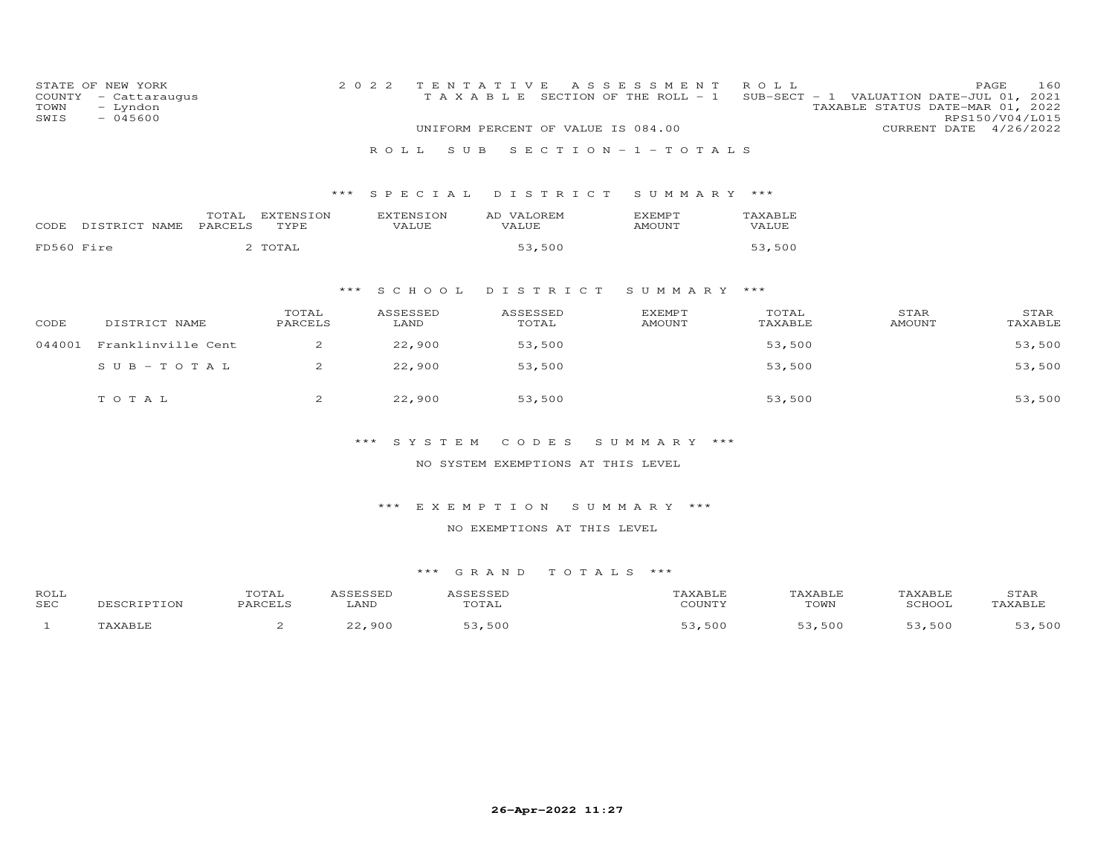| COUNTY<br>TOWN<br>SWIS | STATE OF NEW YORK<br>- Cattaraugus<br>- Lyndon<br>$-045600$ |                         | 2 0 2 2<br>ROLL. | S U B                     | TENTATIVE<br>TAXABLE SECTION OF THE ROLL - 1<br>UNIFORM PERCENT OF VALUE IS 084.00 | A S S E S S M E N T<br>SECTION-1-TOTALS | ROLL             | SUB-SECT - 1 VALUATION DATE-JUL 01, 2021<br>TAXABLE STATUS DATE-MAR 01, 2022 | PAGE<br>160<br>RPS150/V04/L015<br>CURRENT DATE 4/26/2022 |
|------------------------|-------------------------------------------------------------|-------------------------|------------------|---------------------------|------------------------------------------------------------------------------------|-----------------------------------------|------------------|------------------------------------------------------------------------------|----------------------------------------------------------|
|                        |                                                             |                         | ***              | S P E C I A L             | DISTRICT                                                                           | SUMMARY ***                             |                  |                                                                              |                                                          |
| CODE                   | DISTRICT NAME<br>PARCELS                                    | TOTAL EXTENSION<br>TYPE |                  | <b>EXTENSION</b><br>VALUE | AD VALOREM<br>VALUE                                                                | EXEMPT<br><b>AMOUNT</b>                 | TAXABLE<br>VALUE |                                                                              |                                                          |
| FD560 Fire             |                                                             | 2 TOTAL                 |                  |                           | 53,500                                                                             |                                         | 53,500           |                                                                              |                                                          |
|                        |                                                             |                         | $***$            | S C H O O L               | DISTRICT                                                                           | SUMMARY ***                             |                  |                                                                              |                                                          |
| CODE                   | DISTRICT NAME                                               | TOTAL<br>PARCELS        |                  | ASSESSED<br>LAND          | ASSESSED<br>TOTAL                                                                  | <b>EXEMPT</b><br><b>AMOUNT</b>          | TOTAL<br>TAXABLE | STAR<br><b>AMOUNT</b>                                                        | STAR<br>TAXABLE                                          |
| 044001                 | Franklinville Cent                                          | 2                       |                  | 22,900                    | 53,500                                                                             |                                         | 53,500           |                                                                              | 53,500                                                   |
|                        | $S$ U B - T O T A L                                         | 2                       |                  | 22,900                    | 53,500                                                                             |                                         | 53,500           |                                                                              | 53,500                                                   |
|                        | TO TAL                                                      | 2                       |                  | 22,900                    | 53,500                                                                             |                                         | 53,500           |                                                                              | 53,500                                                   |
|                        |                                                             |                         |                  | *** SYSTEM                | CODES                                                                              | SUMMARY ***                             |                  |                                                                              |                                                          |
|                        |                                                             |                         |                  |                           | NO SYSTEM EXEMPTIONS AT THIS LEVEL                                                 |                                         |                  |                                                                              |                                                          |
|                        |                                                             |                         | ***              |                           | EXEMPTION                                                                          | SUMMARY ***                             |                  |                                                                              |                                                          |
|                        |                                                             |                         |                  |                           | NO EXEMPTIONS AT THIS LEVEL                                                        |                                         |                  |                                                                              |                                                          |
|                        |                                                             |                         |                  |                           |                                                                                    |                                         |                  |                                                                              |                                                          |
|                        |                                                             |                         |                  | *** GRAND                 |                                                                                    | TOTALS ***                              |                  |                                                                              |                                                          |
| ROLL<br><b>SEC</b>     | DESCRIPTION                                                 | TOTAL<br>PARCELS        | ASSESSED<br>LAND | ASSESSED                  | TOTAL                                                                              | TAXABLE<br>COUNTY                       |                  | TAXABLE<br>TAXABLE<br>TOWN<br>SCHOOL                                         | STAR<br>TAXABLE                                          |
| $\mathbf{1}$           | TAXABLE                                                     | 2                       | 22,900           |                           | 53,500                                                                             | 53,500                                  |                  | 53,500<br>53,500                                                             | 53,500                                                   |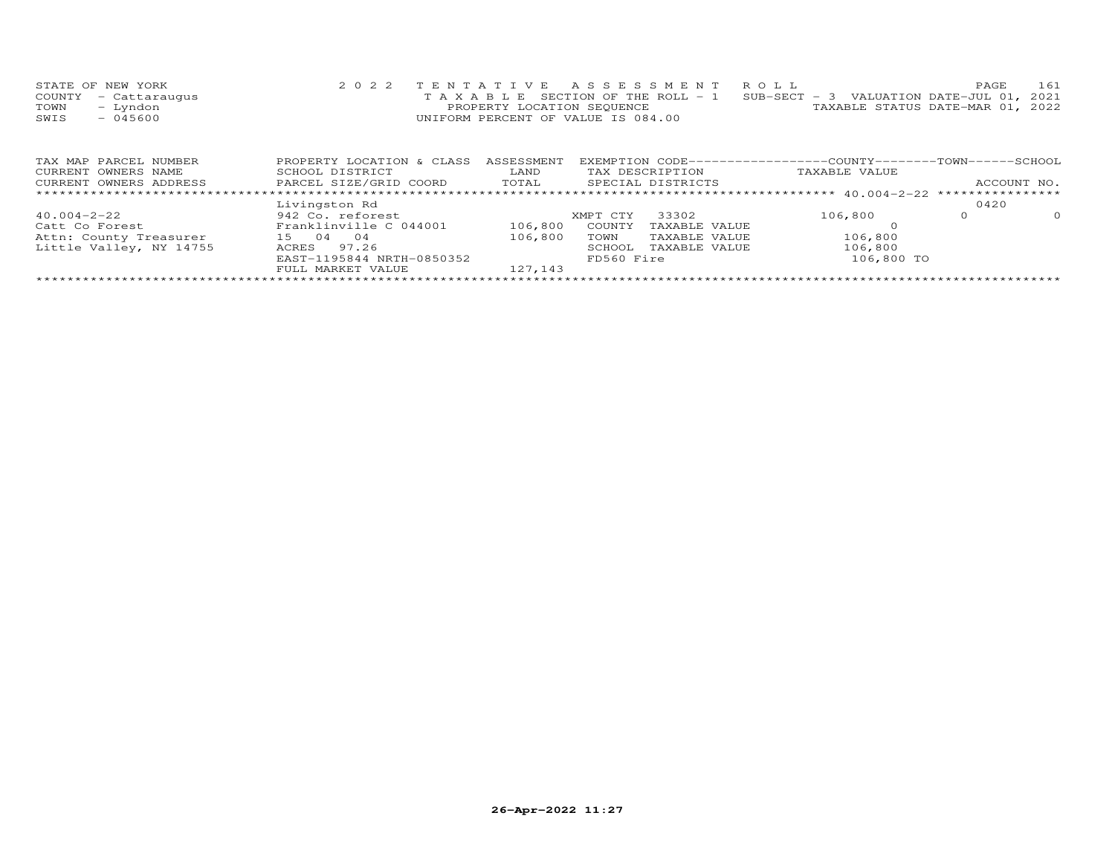| STATE OF NEW YORK    | 2022 TENTATIVE ASSESSMENT ROLL                                                 |                                  | PAGE | 161 |
|----------------------|--------------------------------------------------------------------------------|----------------------------------|------|-----|
| COUNTY - Cattaraugus | T A X A B L E SECTION OF THE ROLL - 1 SUB-SECT - 3 VALUATION DATE-JUL 01, 2021 |                                  |      |     |
| TOWN - Lyndon        | PROPERTY LOCATION SEQUENCE                                                     | TAXABLE STATUS DATE-MAR 01, 2022 |      |     |
| $-045600$<br>SWIS    | UNIFORM PERCENT OF VALUE IS 084.00                                             |                                  |      |     |
|                      |                                                                                |                                  |      |     |

| TAX MAP PARCEL NUMBER   | PROPERTY LOCATION & CLASS | ASSESSMENT |            |                   | EXEMPTION CODE-----------------COUNTY-------TOWN------SCHOOL |      |             |
|-------------------------|---------------------------|------------|------------|-------------------|--------------------------------------------------------------|------|-------------|
| CURRENT OWNERS NAME     | SCHOOL DISTRICT           | LAND       |            | TAX DESCRIPTION   | TAXABLE VALUE                                                |      |             |
| CURRENT OWNERS ADDRESS  | PARCEL SIZE/GRID COORD    | TOTAL      |            | SPECIAL DISTRICTS |                                                              |      | ACCOUNT NO. |
|                         |                           |            |            |                   |                                                              |      |             |
|                         | Livingston Rd             |            |            |                   |                                                              | 0420 |             |
| $40.004 - 2 - 22$       | 942 Co. reforest          |            | XMPT CTY   | 33302             | 106,800                                                      |      | $\Omega$    |
| Catt Co Forest          | Franklinville C 044001    | 106,800    | COUNTY     | TAXABLE VALUE     |                                                              |      |             |
| Attn: County Treasurer  | 04<br>04<br>1.5           | 106,800    | TOWN       | TAXABLE VALUE     | 106,800                                                      |      |             |
| Little Valley, NY 14755 | 97.26<br>ACRES            |            | SCHOOL     | TAXABLE VALUE     | 106,800                                                      |      |             |
|                         | EAST-1195844 NRTH-0850352 |            | FD560 Fire |                   | 106,800 TO                                                   |      |             |
|                         | FULL MARKET VALUE         | 127,143    |            |                   |                                                              |      |             |
|                         |                           |            |            |                   |                                                              |      |             |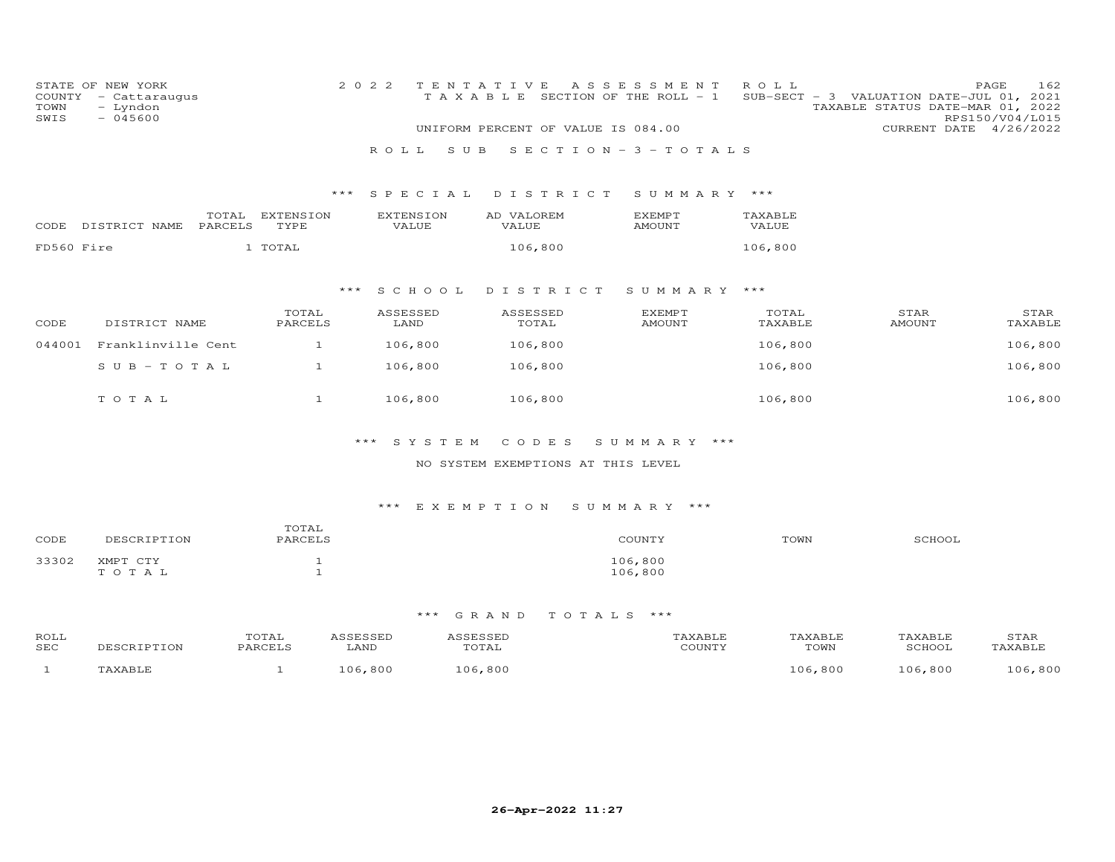| COUNTY<br>TOWN<br>SWIS | STATE OF NEW YORK<br>- Cattaraugus<br>- Lyndon<br>$-045600$ |         |                  |       | 2 0 2 2 |                  | TENTATIVE<br>TAXABLE |                   |          |  | A S S E S S M E N T<br>SECTION OF THE ROLL - 1<br>UNIFORM PERCENT OF VALUE IS 084.00 | ROLL<br>$SUB-SECTION - 3$ |  |                       | PAGE<br>VALUATION DATE-JUL 01,<br>TAXABLE STATUS DATE-MAR 01, 2022<br>RPS150/V04/L015<br>CURRENT DATE 4/26/2022 | 162<br>2021     |
|------------------------|-------------------------------------------------------------|---------|------------------|-------|---------|------------------|----------------------|-------------------|----------|--|--------------------------------------------------------------------------------------|---------------------------|--|-----------------------|-----------------------------------------------------------------------------------------------------------------|-----------------|
|                        |                                                             |         |                  |       | ROLL    |                  | S U B                |                   |          |  | SECTION - $3$ - TOTALS                                                               |                           |  |                       |                                                                                                                 |                 |
|                        |                                                             |         |                  | $***$ |         | SPECIAL          |                      |                   | DISTRICT |  | SUMMARY ***                                                                          |                           |  |                       |                                                                                                                 |                 |
|                        |                                                             | TOTAL   | EXTENSION        |       |         | <b>EXTENSION</b> |                      | AD VALOREM        |          |  | <b>EXEMPT</b>                                                                        | TAXABLE                   |  |                       |                                                                                                                 |                 |
| CODE                   | DISTRICT NAME                                               | PARCELS | TYPE             |       |         | VALUE            |                      | VALUE             |          |  | <b>AMOUNT</b>                                                                        | VALUE                     |  |                       |                                                                                                                 |                 |
| FD560 Fire             |                                                             |         | 1 TOTAL          |       |         |                  |                      | 106,800           |          |  |                                                                                      | 106,800                   |  |                       |                                                                                                                 |                 |
|                        |                                                             |         |                  |       |         |                  |                      |                   |          |  |                                                                                      |                           |  |                       |                                                                                                                 |                 |
|                        |                                                             |         |                  | $***$ |         | S C H O O L      |                      |                   | DISTRICT |  | SUMMARY                                                                              | ***                       |  |                       |                                                                                                                 |                 |
| CODE                   | DISTRICT NAME                                               |         | TOTAL<br>PARCELS |       |         | ASSESSED<br>LAND |                      | ASSESSED<br>TOTAL |          |  | <b>EXEMPT</b><br><b>AMOUNT</b>                                                       | TOTAL<br>TAXABLE          |  | STAR<br><b>AMOUNT</b> |                                                                                                                 | STAR<br>TAXABLE |
| 044001                 | Franklinville Cent                                          |         | $\mathbf{1}$     |       |         | 106,800          |                      | 106,800           |          |  |                                                                                      | 106,800                   |  |                       |                                                                                                                 | 106,800         |
|                        | $SUB - TO TAL$                                              |         | $\mathbf{1}$     |       |         | 106,800          |                      | 106,800           |          |  |                                                                                      | 106,800                   |  |                       |                                                                                                                 | 106,800         |
|                        | TOTAL                                                       |         | $\mathbf{1}$     |       |         | 106,800          |                      | 106,800           |          |  |                                                                                      | 106,800                   |  |                       |                                                                                                                 | 106,800         |
|                        |                                                             |         |                  | $***$ |         | SYSTEM           |                      |                   | CODES    |  | SUMMARY ***                                                                          |                           |  |                       |                                                                                                                 |                 |

# NO SYSTEM EXEMPTIONS AT THIS LEVEL

# \*\*\* E X E M P T I O N S U M M A R Y \*\*\*

| CODE  | DESCRIPTION       | TOTAL<br>PARCELS | COUNTY             | TOWN | SCHOOL |
|-------|-------------------|------------------|--------------------|------|--------|
| 33302 | XMPT CTY<br>TOTAL | <b>.</b><br>۰    | 106,800<br>106,800 |      |        |

| ROLL<br>SEC | DESCRIPTION | TOTAL<br>PARCELS | LAND                  | ACCECCEL<br>.<br>TOTAL | CCTNTT1 | TOWN    | SCHOOT        | STAR<br>,XABLI |
|-------------|-------------|------------------|-----------------------|------------------------|---------|---------|---------------|----------------|
|             |             |                  | $\sim$ $\sim$<br>-800 | 106,800                |         | 106.800 | ,800<br>່ ດ 6 | .800<br>۱ ∩ հ  |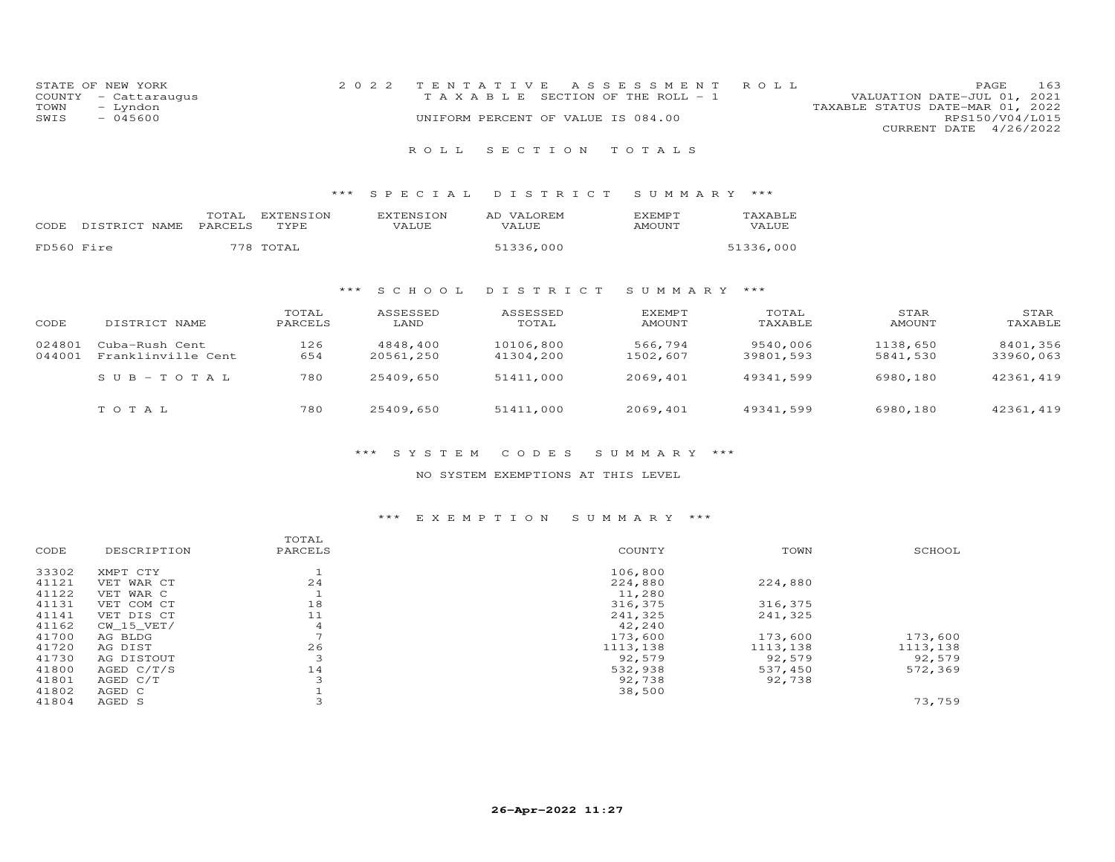| STATE OF NEW YORK    | 2022 TENTATIVE ASSESSMENT ROLL     |  |                                  | PAGE.                  | 163 |
|----------------------|------------------------------------|--|----------------------------------|------------------------|-----|
| COUNTY - Cattaraugus | TAXABLE SECTION OF THE ROLL - 1    |  | VALUATION DATE-JUL 01, 2021      |                        |     |
| TOWN<br>- Lyndon     |                                    |  | TAXABLE STATUS DATE-MAR 01, 2022 |                        |     |
| $-045600$<br>SWIS    | UNIFORM PERCENT OF VALUE IS 084.00 |  |                                  | RPS150/V04/L015        |     |
|                      |                                    |  |                                  | CURRENT DATE 4/26/2022 |     |
|                      |                                    |  |                                  |                        |     |

## R O L L S E C T I O N T O T A L S

## \*\*\* S P E C I A L D I S T R I C T S U M M A R Y \*\*\*

| CODE.      | DISTRICT NAME PARCELS | TOTAL | EXTENSION<br>TYPE. | <b>EXTENSION</b><br>VALUE | AD VALOREM<br>VALUE. | <b>F.XFMPT</b><br>AMOUNT | TAXABLE<br><b>VALUE</b> |
|------------|-----------------------|-------|--------------------|---------------------------|----------------------|--------------------------|-------------------------|
| FD560 Fire |                       |       | 778 TOTAL          |                           | 51336,000            |                          | 51336,000               |

# \*\*\* S C H O O L D I S T R I C T S U M M A R Y \*\*\*

| CODE             | DISTRICT NAME                        | TOTAL<br>PARCELS | ASSESSED<br>LAND      | ASSESSED<br>TOTAL      | EXEMPT<br>AMOUNT    | TOTAL<br>TAXABLE      | STAR<br>AMOUNT       | STAR<br>TAXABLE       |
|------------------|--------------------------------------|------------------|-----------------------|------------------------|---------------------|-----------------------|----------------------|-----------------------|
| 024801<br>044001 | Cuba-Rush Cent<br>Franklinville Cent | 126<br>654       | 4848,400<br>20561,250 | 10106,800<br>41304,200 | 566,794<br>1502,607 | 9540,006<br>39801,593 | 1138,650<br>5841,530 | 8401,356<br>33960,063 |
|                  | $SUB-TOTAL$                          | 780              | 25409,650             | 51411,000              | 2069,401            | 49341,599             | 6980,180             | 42361, 419            |
|                  | TOTAL                                | 780              | 25409,650             | 51411,000              | 2069,401            | 49341,599             | 6980,180             | 42361, 419            |

## \*\*\* S Y S T E M C O D E S S U M M A R Y \*\*\*

#### NO SYSTEM EXEMPTIONS AT THIS LEVEL

#### \*\*\* E X E M P T I O N S U M M A R Y \*\*\*

|       |              | TOTAL          |          |          |          |
|-------|--------------|----------------|----------|----------|----------|
| CODE  | DESCRIPTION  | PARCELS        | COUNTY   | TOWN     | SCHOOL   |
| 33302 | XMPT CTY     | <b>J</b>       | 106,800  |          |          |
| 41121 | VET WAR CT   | 24             | 224,880  | 224,880  |          |
| 41122 | VET WAR C    | ᆠ              | 11,280   |          |          |
| 41131 | VET COM CT   | 18             | 316,375  | 316,375  |          |
| 41141 | VET DIS CT   | 11             | 241,325  | 241,325  |          |
| 41162 | $CW_15_VET/$ | $\overline{4}$ | 42,240   |          |          |
| 41700 | AG BLDG      |                | 173,600  | 173,600  | 173,600  |
| 41720 | AG DIST      | 26             | 1113,138 | 1113,138 | 1113,138 |
| 41730 | AG DISTOUT   | 3              | 92,579   | 92,579   | 92,579   |
| 41800 | AGED $C/T/S$ | 14             | 532,938  | 537,450  | 572,369  |
| 41801 | AGED C/T     | 3              | 92,738   | 92,738   |          |
| 41802 | AGED C       |                | 38,500   |          |          |
| 41804 | AGED S       |                |          |          | 73,759   |
|       |              |                |          |          |          |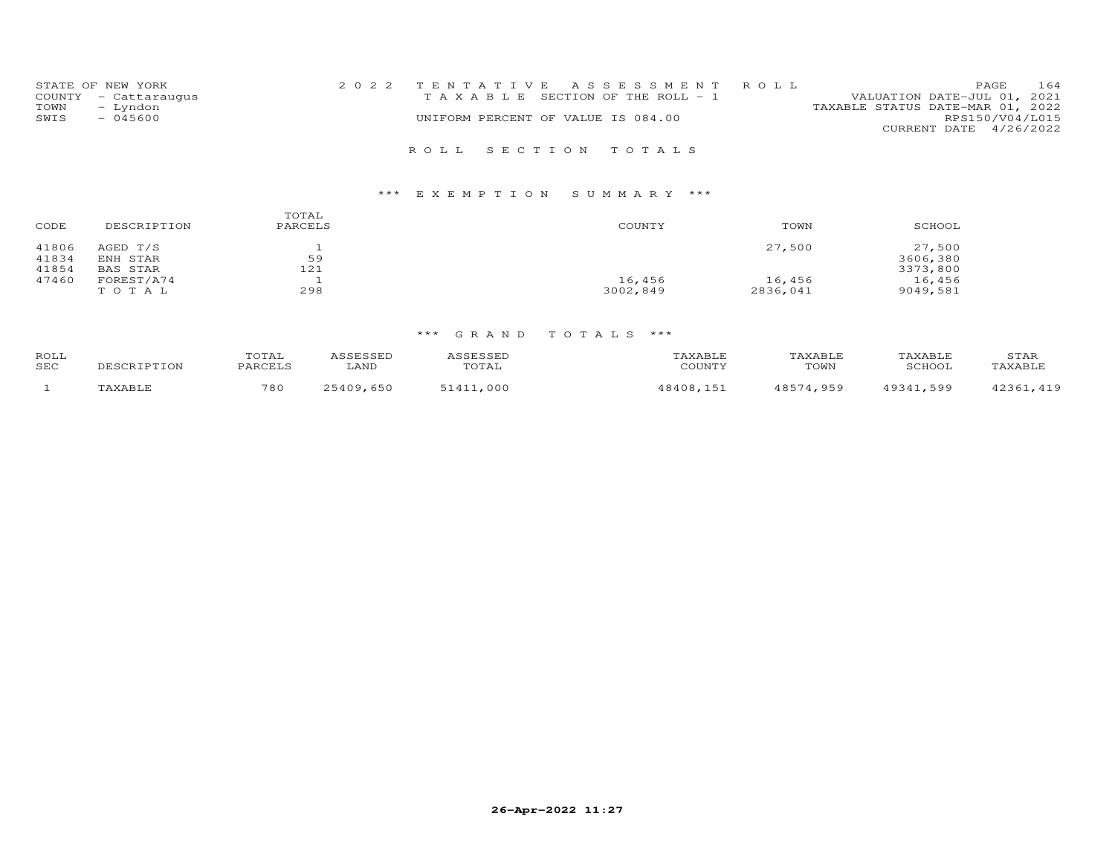|      | STATE OF NEW YORK    |                                    |  | 2022 TENTATIVE ASSESSMENT ROLL        |                                  | PAGE            | 164 |
|------|----------------------|------------------------------------|--|---------------------------------------|----------------------------------|-----------------|-----|
|      | COUNTY - Cattaraugus |                                    |  | T A X A B L E SECTION OF THE ROLL - 1 | VALUATION DATE-JUL 01, 2021      |                 |     |
| TOWN | - Lyndon             |                                    |  |                                       | TAXABLE STATUS DATE-MAR 01, 2022 |                 |     |
| SWIS | $-045600$            | UNIFORM PERCENT OF VALUE IS 084.00 |  |                                       |                                  | RPS150/V04/L015 |     |
|      |                      |                                    |  |                                       | CURRENT DATE 4/26/2022           |                 |     |
|      |                      |                                    |  |                                       |                                  |                 |     |
|      |                      |                                    |  | ROLL SECTION TOTALS                   |                                  |                 |     |

# \*\*\* E X E M P T I O N S U M M A R Y \*\*\*

| CODE  | DESCRIPTION | TOTAL<br>PARCELS | COUNTY   | TOWN     | SCHOOL   |
|-------|-------------|------------------|----------|----------|----------|
| 41806 | AGED T/S    |                  |          | 27,500   | 27,500   |
| 41834 | ENH STAR    | 59               |          |          | 3606,380 |
| 41854 | BAS STAR    | 121              |          |          | 3373,800 |
| 47460 | FOREST/A74  |                  | 16,456   | 16,456   | 16,456   |
|       | TOTAL       | 298              | 3002,849 | 2836,041 | 9049,581 |

| ROLL<br>SEC | DESCRIPTION | "OTAL<br>PARCELS | ASSESSED<br>LAND | ASSESSED<br>TOTAL | TAXABLE<br>COUNTY | TAXABLE<br>TOWN | TAXABLE<br>SCHOOL | STAR<br>TAXABLE |
|-------------|-------------|------------------|------------------|-------------------|-------------------|-----------------|-------------------|-----------------|
|             | TAXABLE     | 780              | 25409,650        | 51411,000         | 48408,151         | 48574,959       | 49341,599         | 42361, 419      |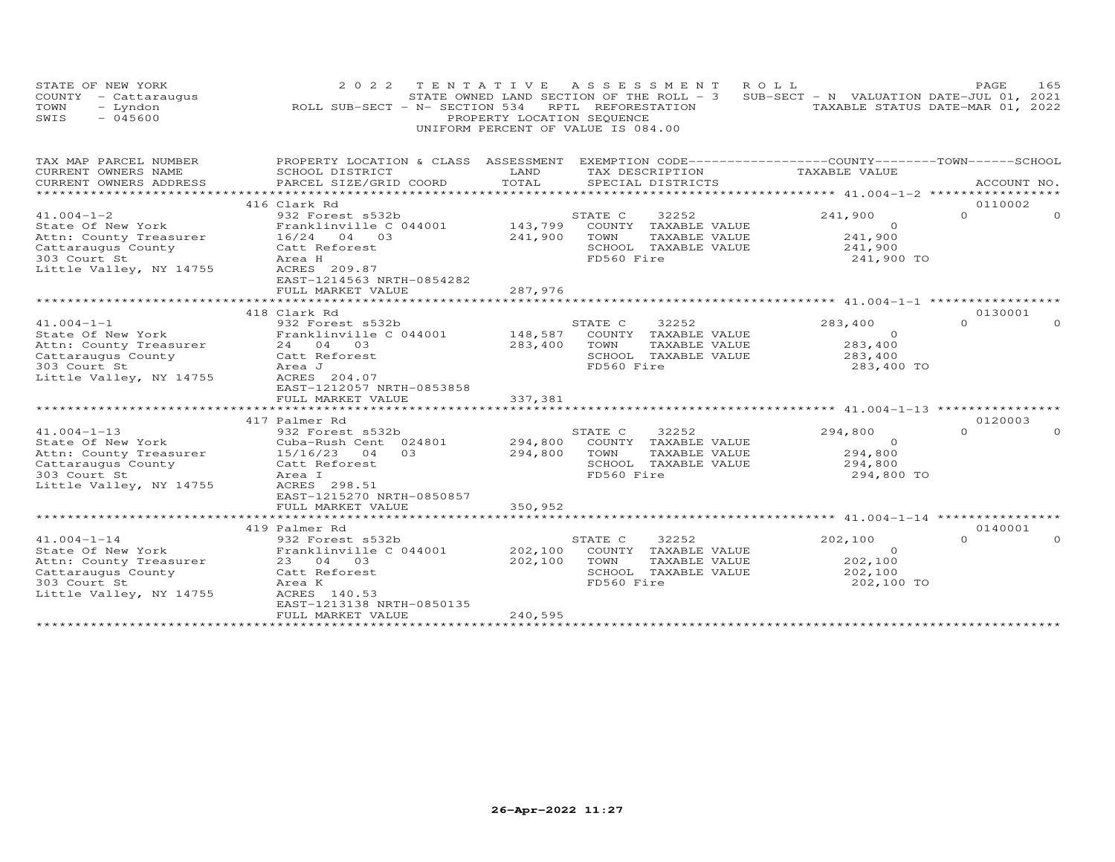| STATE OF NEW YORK<br>COUNTY - Cattaraugus<br>TOWN<br>- Lyndon<br>$-045600$<br>SWIS | 2 0 2 2<br>ROLL SUB-SECT - N- SECTION 534                                                       | PROPERTY LOCATION SEQUENCE | TENTATIVE ASSESSMENT<br>ROLL<br>STATE OWNED LAND SECTION OF THE ROLL - $3$ SUB-SECT - N VALUATION DATE-JUL 01, 2021<br>RPTL REFORESTATION<br>UNIFORM PERCENT OF VALUE IS 084.00 | TAXABLE STATUS DATE-MAR 01, 2022 | PAGE                | 165      |
|------------------------------------------------------------------------------------|-------------------------------------------------------------------------------------------------|----------------------------|---------------------------------------------------------------------------------------------------------------------------------------------------------------------------------|----------------------------------|---------------------|----------|
| TAX MAP PARCEL NUMBER                                                              | PROPERTY LOCATION & CLASS ASSESSMENT EXEMPTION CODE----------------COUNTY-------TOWN-----SCHOOL |                            |                                                                                                                                                                                 |                                  |                     |          |
| CURRENT OWNERS NAME<br>CURRENT OWNERS ADDRESS                                      | SCHOOL DISTRICT<br>PARCEL SIZE/GRID COORD                                                       | LAND<br>TOTAL              | TAX DESCRIPTION<br>SPECIAL DISTRICTS                                                                                                                                            | TAXABLE VALUE                    | ACCOUNT NO.         |          |
|                                                                                    |                                                                                                 |                            |                                                                                                                                                                                 |                                  |                     |          |
| $41.004 - 1 - 2$                                                                   | 416 Clark Rd<br>932 Forest s532b                                                                |                            | STATE C<br>32252                                                                                                                                                                | 241,900                          | 0110002<br>$\Omega$ | $\Omega$ |
| State Of New York                                                                  | Franklinville C 044001                                                                          | 143,799                    | COUNTY TAXABLE VALUE                                                                                                                                                            | $\Omega$                         |                     |          |
| Attn: County Treasurer                                                             | 16/24 04 03                                                                                     | 241,900                    | TOWN<br>TAXABLE VALUE                                                                                                                                                           | 241,900                          |                     |          |
| Cattaraugus County                                                                 | Catt Reforest                                                                                   |                            | SCHOOL TAXABLE VALUE                                                                                                                                                            | 241,900                          |                     |          |
| 303 Court St                                                                       | Area H                                                                                          |                            | FD560 Fire                                                                                                                                                                      | 241,900 TO                       |                     |          |
| Little Valley, NY 14755                                                            | ACRES 209.87                                                                                    |                            |                                                                                                                                                                                 |                                  |                     |          |
|                                                                                    | EAST-1214563 NRTH-0854282                                                                       |                            |                                                                                                                                                                                 |                                  |                     |          |
|                                                                                    | FULL MARKET VALUE                                                                               | 287,976                    |                                                                                                                                                                                 |                                  |                     |          |
|                                                                                    | 418 Clark Rd                                                                                    |                            |                                                                                                                                                                                 |                                  | 0130001             |          |
| $41.004 - 1 - 1$                                                                   | 932 Forest s532b                                                                                |                            | STATE C<br>32252                                                                                                                                                                | 283,400                          | $\Omega$            | $\Omega$ |
| State Of New York                                                                  | Franklinville C 044001                                                                          | 148,587                    | COUNTY TAXABLE VALUE                                                                                                                                                            | $\Omega$                         |                     |          |
| Attn: County Treasurer                                                             | 24 04 03                                                                                        | 283,400                    | TOWN<br>TAXABLE VALUE                                                                                                                                                           | 283,400                          |                     |          |
| Cattaraugus County                                                                 | Catt Reforest                                                                                   |                            | SCHOOL TAXABLE VALUE                                                                                                                                                            | 283,400                          |                     |          |
| 303 Court St                                                                       | Area J                                                                                          |                            | FD560 Fire                                                                                                                                                                      | 283,400 TO                       |                     |          |
| Little Valley, NY 14755                                                            | ACRES 204.07                                                                                    |                            |                                                                                                                                                                                 |                                  |                     |          |
|                                                                                    | EAST-1212057 NRTH-0853858                                                                       |                            |                                                                                                                                                                                 |                                  |                     |          |
|                                                                                    | FULL MARKET VALUE                                                                               | 337,381                    |                                                                                                                                                                                 |                                  |                     |          |
|                                                                                    | 417 Palmer Rd                                                                                   |                            |                                                                                                                                                                                 |                                  | 0120003             |          |
| $41.004 - 1 - 13$                                                                  | 932 Forest s532b                                                                                |                            | STATE C<br>32252                                                                                                                                                                | 294,800                          | $\Omega$            |          |
| State Of New York                                                                  | Cuba-Rush Cent 024801                                                                           | 294,800                    | COUNTY TAXABLE VALUE                                                                                                                                                            | $\circ$                          |                     |          |
| Attn: County Treasurer                                                             | 0.3<br>15/16/23<br>04                                                                           | 294,800                    | TOWN<br>TAXABLE VALUE                                                                                                                                                           | 294,800                          |                     |          |
| Cattaraugus County                                                                 | Catt Reforest                                                                                   |                            | SCHOOL TAXABLE VALUE                                                                                                                                                            | 294,800                          |                     |          |
| 303 Court St                                                                       | Area I                                                                                          |                            | FD560 Fire                                                                                                                                                                      | 294,800 TO                       |                     |          |
| Little Valley, NY 14755                                                            | ACRES 298.51                                                                                    |                            |                                                                                                                                                                                 |                                  |                     |          |
|                                                                                    | EAST-1215270 NRTH-0850857                                                                       |                            |                                                                                                                                                                                 |                                  |                     |          |
|                                                                                    | FULL MARKET VALUE                                                                               | 350,952                    |                                                                                                                                                                                 |                                  |                     |          |
|                                                                                    |                                                                                                 |                            |                                                                                                                                                                                 |                                  |                     |          |
| $41.004 - 1 - 14$                                                                  | 419 Palmer Rd<br>932 Forest s532b                                                               |                            | STATE C<br>32252                                                                                                                                                                | 202,100                          | 0140001<br>$\Omega$ |          |
| State Of New York                                                                  | Franklinville C 044001                                                                          | 202,100                    | COUNTY TAXABLE VALUE                                                                                                                                                            | $\Omega$                         |                     |          |
| Attn: County Treasurer                                                             | 23 04 03                                                                                        | 202,100                    | TOWN<br>TAXABLE VALUE                                                                                                                                                           | 202,100                          |                     |          |
| Cattaraugus County                                                                 | Catt Reforest                                                                                   |                            | SCHOOL TAXABLE VALUE                                                                                                                                                            | 202,100                          |                     |          |
| 303 Court St                                                                       | Area K                                                                                          |                            | FD560 Fire                                                                                                                                                                      | 202,100 TO                       |                     |          |
| Little Valley, NY 14755                                                            | ACRES 140.53                                                                                    |                            |                                                                                                                                                                                 |                                  |                     |          |
|                                                                                    | EAST-1213138 NRTH-0850135                                                                       |                            |                                                                                                                                                                                 |                                  |                     |          |
|                                                                                    | FULL MARKET VALUE                                                                               | 240,595                    |                                                                                                                                                                                 |                                  |                     |          |
|                                                                                    |                                                                                                 |                            |                                                                                                                                                                                 |                                  |                     |          |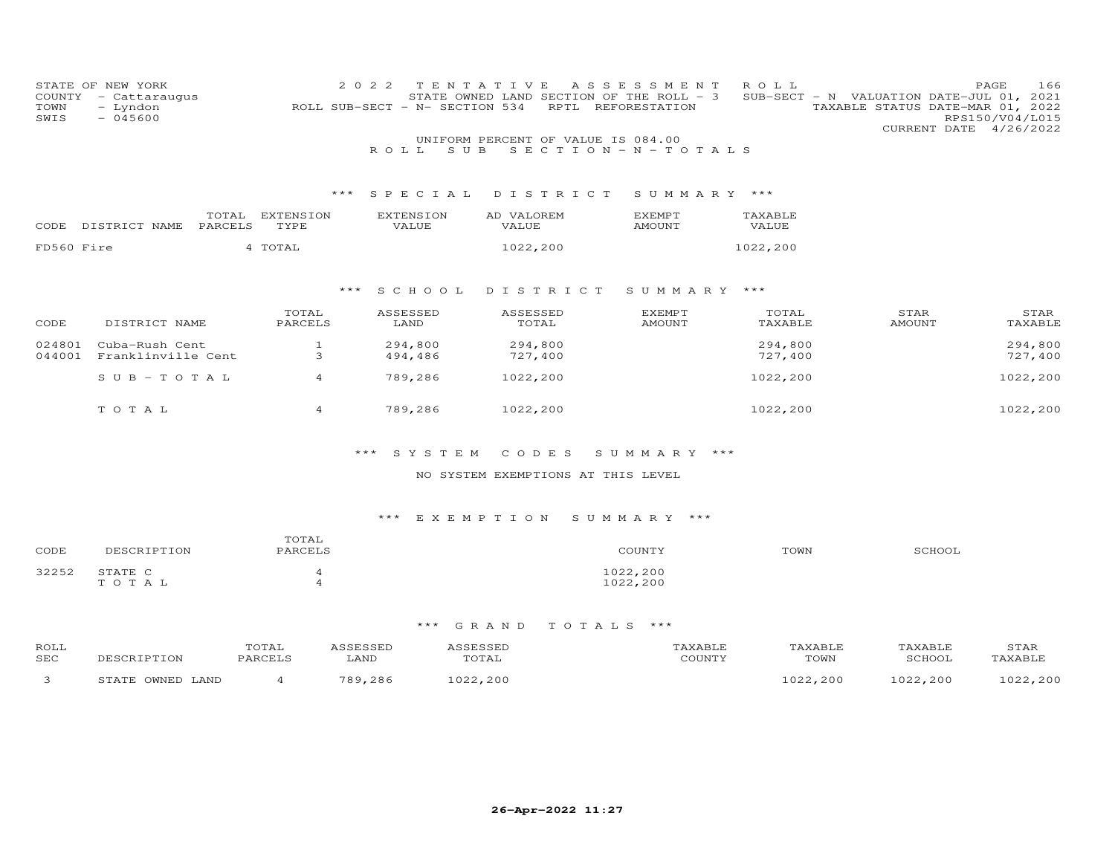| COUNTY<br>TOWN<br>SWIS | STATE OF NEW YORK<br>- Cattaraugus<br>- Lyndon<br>$-045600$ |         |              | 2 0 2 2 | ROLL SUB-SECT - N- SECTION 534 | TENTATIVE<br>STATE OWNED LAND SECTION OF THE ROLL - 3<br>RPTL | A S S E S S M E N T<br>REFORESTATION | ROLL     |               | PAGE<br>SUB-SECT - N VALUATION DATE-JUL 01, 2021<br>TAXABLE STATUS DATE-MAR 01, 2022<br>RPS150/V04/L015<br>CURRENT DATE 4/26/2022 | 166 |
|------------------------|-------------------------------------------------------------|---------|--------------|---------|--------------------------------|---------------------------------------------------------------|--------------------------------------|----------|---------------|-----------------------------------------------------------------------------------------------------------------------------------|-----|
|                        |                                                             |         |              |         | S U B<br>ROLL.                 | UNIFORM PERCENT OF VALUE IS 084.00<br>SECTION - $N - T$ OTALS |                                      |          |               |                                                                                                                                   |     |
|                        |                                                             |         |              |         |                                |                                                               |                                      |          |               |                                                                                                                                   |     |
|                        |                                                             |         |              | ***     | SPECIAL                        | DISTRICT                                                      | SUMMARY ***                          |          |               |                                                                                                                                   |     |
|                        |                                                             | TOTAL   | EXTENSION    |         | <b>EXTENSION</b>               | AD VALOREM                                                    | <b>EXEMPT</b>                        | TAXABLE  |               |                                                                                                                                   |     |
| CODE                   | DISTRICT NAME                                               | PARCELS | TYPE         |         | VALUE                          | VALUE                                                         | <b>AMOUNT</b>                        | VALUE    |               |                                                                                                                                   |     |
| FD560 Fire             |                                                             |         | 4 TOTAL      |         |                                | 1022,200                                                      |                                      | 1022,200 |               |                                                                                                                                   |     |
|                        |                                                             |         |              |         |                                |                                                               |                                      |          |               |                                                                                                                                   |     |
|                        |                                                             |         |              | ***     | S C H O O L                    | DISTRICT                                                      | SUMMARY ***                          |          |               |                                                                                                                                   |     |
|                        |                                                             |         | TOTAL        |         | ASSESSED                       | ASSESSED                                                      | <b>EXEMPT</b>                        | TOTAL    | STAR          | STAR                                                                                                                              |     |
| CODE                   | DISTRICT NAME                                               |         | PARCELS      |         | LAND                           | TOTAL                                                         | AMOUNT                               | TAXABLE  | <b>AMOUNT</b> | TAXABLE                                                                                                                           |     |
| 024801                 | Cuba-Rush Cent                                              |         | $\mathbf{1}$ |         | 294,800                        | 294,800                                                       |                                      | 294,800  |               | 294,800                                                                                                                           |     |
| 044001                 | Franklinville Cent                                          |         | 3            |         | 494,486                        | 727,400                                                       |                                      | 727,400  |               | 727,400                                                                                                                           |     |
|                        | $SUB - TO TAL$                                              |         | 4            |         | 789,286                        | 1022,200                                                      |                                      | 1022,200 |               | 1022,200                                                                                                                          |     |
|                        | TOTAL                                                       |         | 4            |         | 789,286                        | 1022,200                                                      |                                      | 1022,200 |               | 1022,200                                                                                                                          |     |
|                        |                                                             |         |              |         |                                |                                                               |                                      |          |               |                                                                                                                                   |     |

## NO SYSTEM EXEMPTIONS AT THIS LEVEL

# \*\*\* E X E M P T I O N S U M M A R Y \*\*\*

| CODE  | DESCRIPTION      | TOTAL<br>PARCELS | COUNTY               | TOWN | SCHOOL |
|-------|------------------|------------------|----------------------|------|--------|
| 32252 | STATE C<br>TOTAL | ഺ                | 1022,200<br>1022,200 |      |        |

| ROLI<br>SEC | DESCRIPTION      | TOTAL<br>PARCELS | LAND    | SESSED<br>TOTAL | 'AXABLE<br>COUNTY | TAXABLE<br>TOWN | TAXABLE<br>SCHOOL | STAR<br><b>TAXABLT</b> |
|-------------|------------------|------------------|---------|-----------------|-------------------|-----------------|-------------------|------------------------|
|             | STATE OWNED LAND |                  | 789,286 | .022, 200       |                   | 022,200         | 1022,200          | いつつ<br>,200            |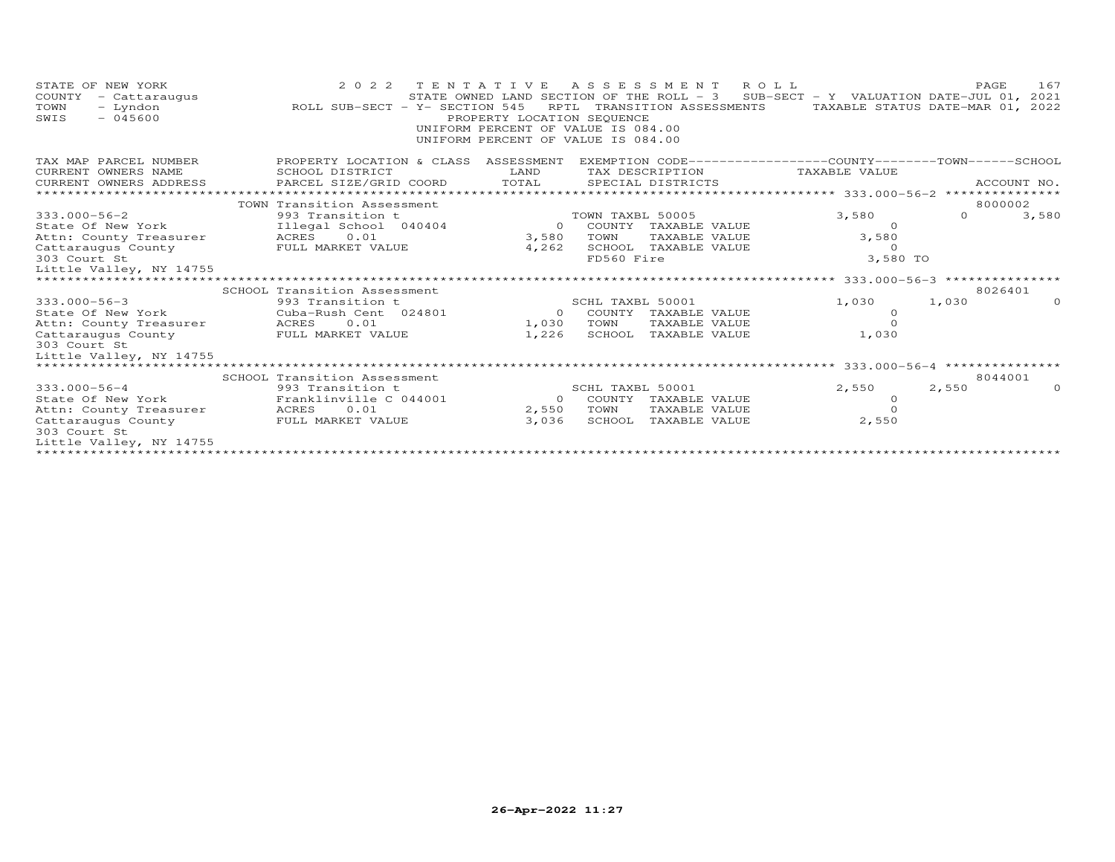| STATE OF NEW YORK<br>COUNTY<br>- Cattaraugus<br>- Lyndon<br>TOWN<br>$-045600$<br>SWIS | 2 0 2 2<br>ROLL SUB-SECT - Y- SECTION 545                   | PROPERTY LOCATION SEQUENCE | TENTATIVE ASSESSMENT ROLL<br>STATE OWNED LAND SECTION OF THE ROLL - 3 SUB-SECT - Y VALUATION DATE-JUL 01, 2021<br>RPTL TRANSITION ASSESSMENTS<br>UNIFORM PERCENT OF VALUE IS 084.00<br>UNIFORM PERCENT OF VALUE IS 084.00 |                                                 | 167<br>PAGE<br>TAXABLE STATUS DATE-MAR 01, 2022 |  |  |
|---------------------------------------------------------------------------------------|-------------------------------------------------------------|----------------------------|---------------------------------------------------------------------------------------------------------------------------------------------------------------------------------------------------------------------------|-------------------------------------------------|-------------------------------------------------|--|--|
| TAX MAP PARCEL NUMBER<br>CURRENT OWNERS NAME                                          | PROPERTY LOCATION & CLASS<br>SCHOOL DISTRICT                | ASSESSMENT<br>LAND         | EXEMPTION CODE------------------COUNTY-------TOWN-----SCHOOL<br>TAX DESCRIPTION                                                                                                                                           | TAXABLE VALUE                                   |                                                 |  |  |
| CURRENT OWNERS ADDRESS                                                                | PARCEL SIZE/GRID COORD                                      | TOTAL                      | SPECIAL DISTRICTS                                                                                                                                                                                                         |                                                 | ACCOUNT NO.                                     |  |  |
|                                                                                       | TOWN Transition Assessment                                  |                            |                                                                                                                                                                                                                           | ****************** 333.000-56-2 *************** | 8000002                                         |  |  |
| $333.000 - 56 - 2$                                                                    | 993 Transition t                                            |                            | TOWN TAXBL 50005                                                                                                                                                                                                          | 3,580                                           | $\Omega$<br>3,580                               |  |  |
| State Of New York                                                                     | Illegal School 040404                                       | $\Omega$                   | COUNTY TAXABLE VALUE                                                                                                                                                                                                      | $\Omega$                                        |                                                 |  |  |
| Attn: County Treasurer                                                                | ACRES 0.01                                                  | 3,580                      | TAXABLE VALUE<br>TOWN                                                                                                                                                                                                     | 3,580                                           |                                                 |  |  |
| Cattaraugus County                                                                    | FULL MARKET VALUE                                           | 4,262                      | SCHOOL TAXABLE VALUE                                                                                                                                                                                                      | $\Omega$                                        |                                                 |  |  |
| 303 Court St                                                                          |                                                             |                            | FD560 Fire                                                                                                                                                                                                                | 3,580 TO                                        |                                                 |  |  |
| Little Valley, NY 14755                                                               |                                                             |                            |                                                                                                                                                                                                                           |                                                 |                                                 |  |  |
|                                                                                       |                                                             |                            |                                                                                                                                                                                                                           | *********** 333.000-56-3 ***************        |                                                 |  |  |
|                                                                                       | SCHOOL Transition Assessment                                |                            |                                                                                                                                                                                                                           |                                                 | 8026401                                         |  |  |
| $333.000 - 56 - 3$                                                                    | 993 Transition t                                            |                            | SCHL TAXBL 50001                                                                                                                                                                                                          | 1,030                                           | 1,030                                           |  |  |
| State Of New York                                                                     | Cuba-Rush Cent 024801                                       | $\Omega$                   | COUNTY TAXABLE VALUE                                                                                                                                                                                                      | $\Omega$                                        |                                                 |  |  |
| Attn: County Treasurer                                                                | 0.01<br>ACRES                                               | 1,030                      | TOWN<br>TAXABLE VALUE                                                                                                                                                                                                     |                                                 |                                                 |  |  |
| Cattaraugus County                                                                    | FULL MARKET VALUE                                           | 1,226                      | SCHOOL TAXABLE VALUE                                                                                                                                                                                                      | 1,030                                           |                                                 |  |  |
| 303 Court St<br>Little Valley, NY 14755                                               |                                                             |                            |                                                                                                                                                                                                                           |                                                 |                                                 |  |  |
|                                                                                       |                                                             |                            |                                                                                                                                                                                                                           |                                                 |                                                 |  |  |
|                                                                                       | SCHOOL Transition Assessment                                |                            |                                                                                                                                                                                                                           |                                                 | 8044001                                         |  |  |
| $333.000 - 56 - 4$                                                                    | 993 Transition t                                            |                            | SCHL TAXBL 50001                                                                                                                                                                                                          | 2,550                                           | 2,550                                           |  |  |
| State Of New York                                                                     | Franklinville C 044001                                      | $\Omega$                   | COUNTY TAXABLE VALUE                                                                                                                                                                                                      | $\circ$                                         |                                                 |  |  |
| Attn: County Treasurer                                                                | ACRES 0.01                                                  | 2,550                      | TOWN<br>TAXABLE VALUE                                                                                                                                                                                                     | $\Omega$                                        |                                                 |  |  |
| Cattaraugus County                                                                    | 2,550<br>FULL MARKET VALUE<br>3,036<br>SCHOOL TAXABLE VALUE |                            |                                                                                                                                                                                                                           |                                                 |                                                 |  |  |
| 303 Court St                                                                          |                                                             |                            |                                                                                                                                                                                                                           |                                                 |                                                 |  |  |
| Little Valley, NY 14755                                                               |                                                             |                            |                                                                                                                                                                                                                           |                                                 |                                                 |  |  |
|                                                                                       |                                                             |                            |                                                                                                                                                                                                                           |                                                 |                                                 |  |  |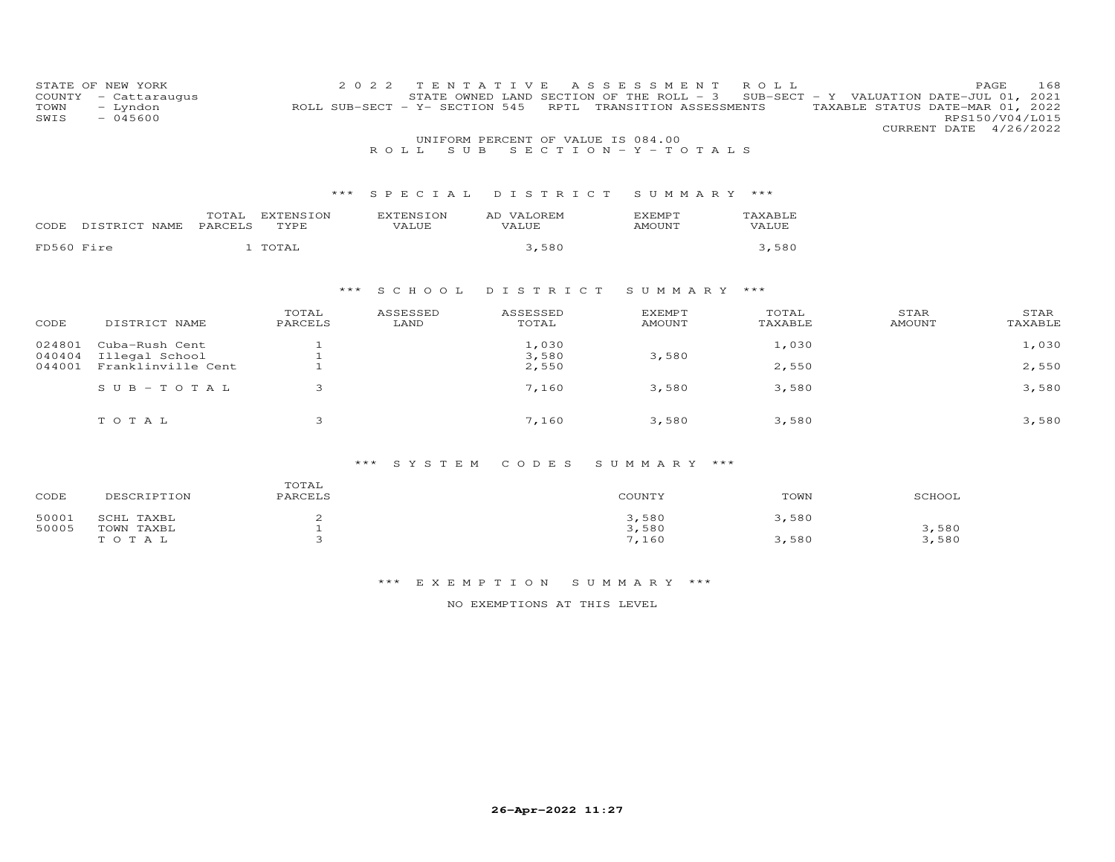| STATE OF NEW YORK<br>COUNTY<br>- Cattaraugus<br>TOWN<br>- Lyndon<br>SWIS<br>$-045600$ |                  |                          | 2022<br>T E<br>N<br>T A<br>ROLL SUB-SECT - Y- SECTION 545 | V<br>Е<br>- S<br>- S<br>STATE OWNED LAND SECTION OF THE ROLL - 3<br>RPTL | E<br>S<br>S M E<br>N T<br>TRANSITION ASSESSMENTS | R O L L          | SUB-SECT - Y VALUATION DATE-JUL $01$ , | PAGE<br>168<br>2021<br>TAXABLE STATUS DATE-MAR 01, 2022<br>RPS150/V04/L015 |
|---------------------------------------------------------------------------------------|------------------|--------------------------|-----------------------------------------------------------|--------------------------------------------------------------------------|--------------------------------------------------|------------------|----------------------------------------|----------------------------------------------------------------------------|
|                                                                                       |                  |                          |                                                           | UNIFORM PERCENT OF VALUE IS 084.00                                       |                                                  |                  |                                        | CURRENT DATE 4/26/2022                                                     |
|                                                                                       |                  |                          | S U B<br>ROLL.                                            |                                                                          | $S E C T I O N - Y - T O T A L S$                |                  |                                        |                                                                            |
|                                                                                       |                  | $***$                    | S P E C I A L                                             | DISTRICT                                                                 | SUMMARY ***                                      |                  |                                        |                                                                            |
| DISTRICT NAME<br>CODE                                                                 | TOTAL<br>PARCELS | <b>EXTENSION</b><br>TYPE | <b>EXTENSION</b><br>VALUE                                 | AD VALOREM<br>VALUE                                                      | <b>EXEMPT</b><br><b>AMOUNT</b>                   | TAXABLE<br>VALUE |                                        |                                                                            |
| FD560 Fire                                                                            |                  | 1 TOTAL                  |                                                           | 3,580                                                                    |                                                  | 3,580            |                                        |                                                                            |
|                                                                                       |                  | ***                      | S C H O O L                                               | DISTRICT                                                                 | SUMMARY ***                                      |                  |                                        |                                                                            |
| CODE<br>DISTRICT NAME                                                                 |                  | TOTAL<br>PARCELS         | ASSESSED<br>LAND                                          | ASSESSED<br>TOTAL                                                        | <b>EXEMPT</b><br><b>AMOUNT</b>                   | TOTAL<br>TAXABLE | STAR<br><b>AMOUNT</b>                  | STAR<br>TAXABLE                                                            |
| 024801<br>Cuba-Rush Cent                                                              |                  |                          |                                                           | 1,030                                                                    |                                                  | 1,030            |                                        | 1,030                                                                      |
| 040404<br>Illegal School<br>Franklinville Cent<br>044001                              |                  |                          |                                                           | 3,580<br>2,550                                                           | 3,580                                            | 2,550            |                                        | 2,550                                                                      |
| $SUB - TO TAL$                                                                        |                  | 3                        |                                                           | 7,160                                                                    | 3,580                                            | 3,580            |                                        | 3,580                                                                      |
| TOTAL                                                                                 |                  | 3                        |                                                           | 7,160                                                                    | 3,580                                            | 3,580            |                                        | 3,580                                                                      |

| CODE  | DESCRIPTION | TOTAL<br>PARCELS | COUNTY | TOWN  | SCHOOL |
|-------|-------------|------------------|--------|-------|--------|
| 50001 | SCHL TAXBL  |                  | 3,580  | 3,580 |        |
| 50005 | TOWN TAXBL  |                  | 3,580  |       | 3,580  |
|       | TOTAL       |                  | 7,160  | 3,580 | 3,580  |

#### \*\*\* E X E M P T I O N S U M M A R Y \*\*\*

NO EXEMPTIONS AT THIS LEVEL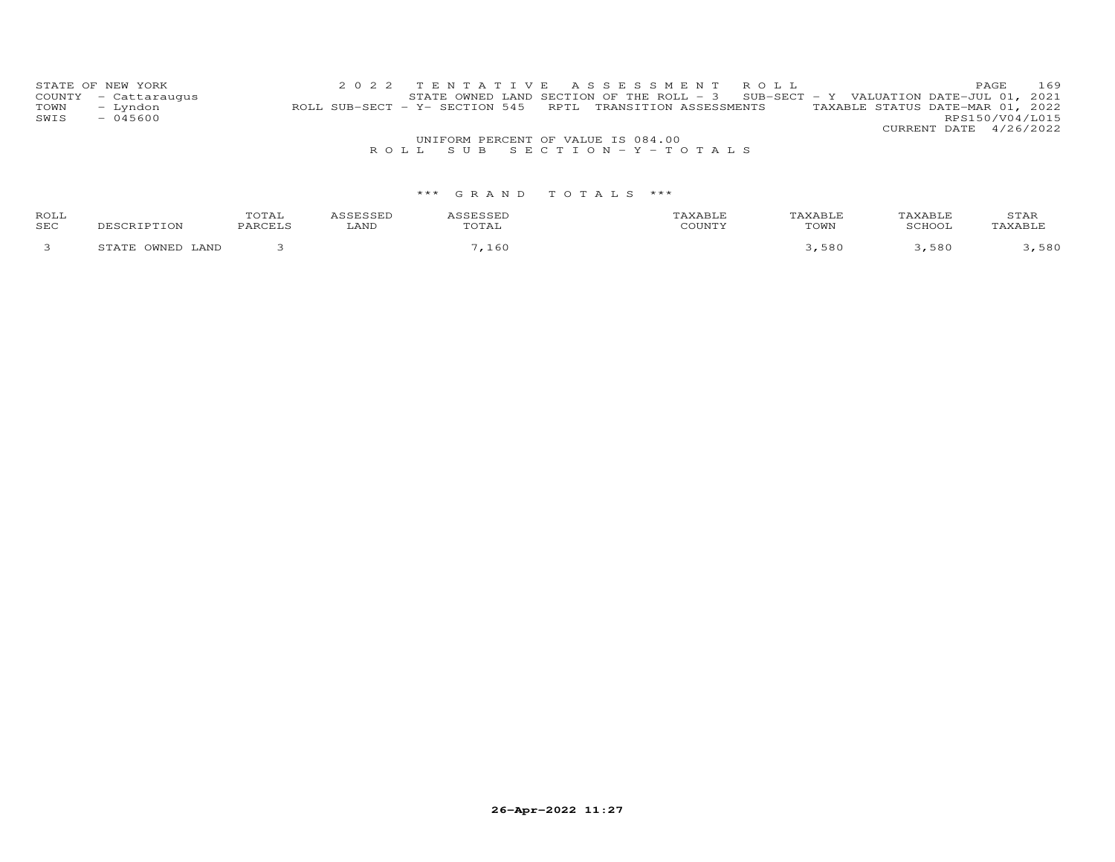|      | STATE OF NEW YORK                  |                                                            | 2022 TENTATIVE ASSESSMENT ROLL                                                      |  |  |  |  |  |                                  | PAGE. | 169 |
|------|------------------------------------|------------------------------------------------------------|-------------------------------------------------------------------------------------|--|--|--|--|--|----------------------------------|-------|-----|
|      | COUNTY - Cattaraugus               |                                                            | STATE OWNED LAND SECTION OF THE ROLL - $3$ SUB-SECT - Y VALUATION DATE-JUL 01, 2021 |  |  |  |  |  |                                  |       |     |
| TOWN | – Lyndon                           | ROLL SUB-SECT - Y- SECTION 545 RPTL TRANSITION ASSESSMENTS |                                                                                     |  |  |  |  |  | TAXABLE STATUS DATE-MAR 01, 2022 |       |     |
| SWIS | $-045600$                          |                                                            |                                                                                     |  |  |  |  |  | RPS150/V04/L015                  |       |     |
|      |                                    |                                                            |                                                                                     |  |  |  |  |  | CURRENT DATE 4/26/2022           |       |     |
|      | UNIFORM PERCENT OF VALUE IS 084.00 |                                                            |                                                                                     |  |  |  |  |  |                                  |       |     |
|      |                                    |                                                            | ROLL SUB SECTION-Y-TOTALS                                                           |  |  |  |  |  |                                  |       |     |

| ROLL<br>SEC |                                               | OTAI | LAND | $m \wedge m \wedge n$<br>TAT. | AXABLE<br>TOWN | $\overline{a}$ | STAR |
|-------------|-----------------------------------------------|------|------|-------------------------------|----------------|----------------|------|
|             | <b>DITATE F</b><br>AND.<br>3m 3m <sup>3</sup> |      |      | 60                            | ,580           | 580            | 580  |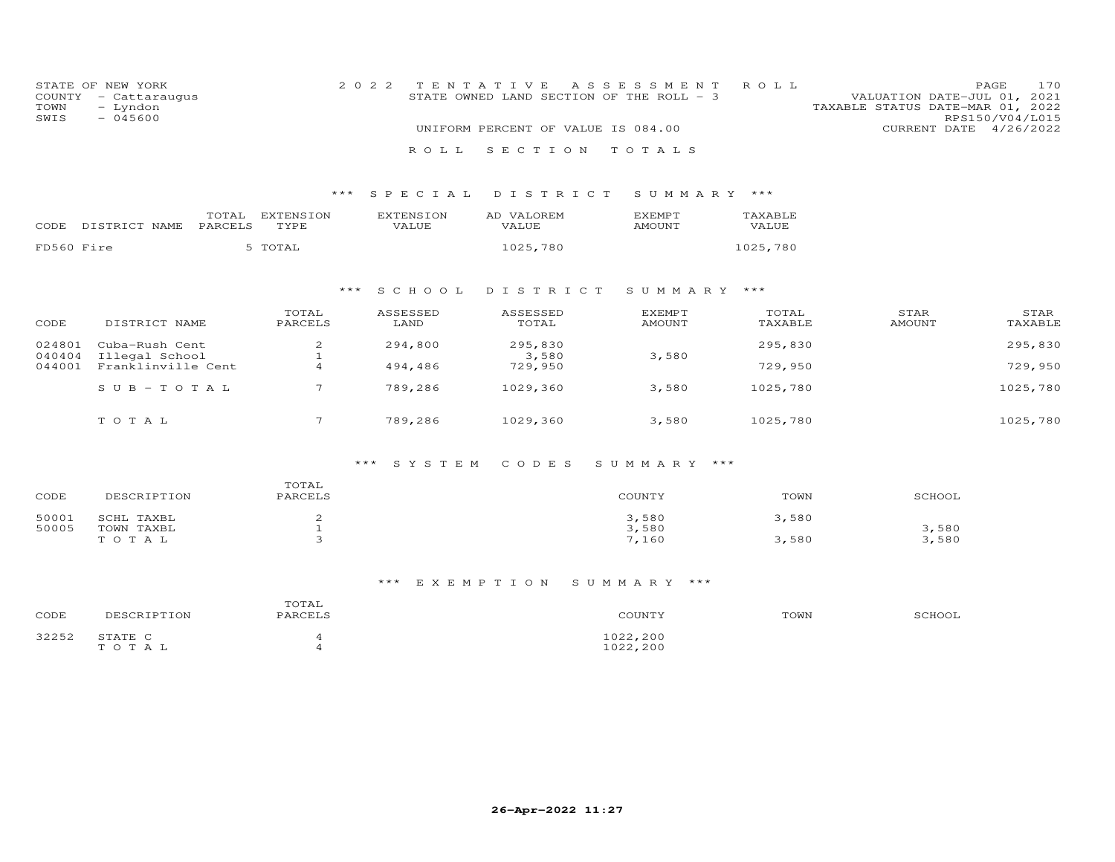| COUNTY<br>TOWN<br>SWIS | STATE OF NEW YORK<br>- Cattaraugus<br>- Lyndon<br>$-045600$ |                  |                   | 2 0 2 2                   | TENTATIVE<br>STATE OWNED LAND SECTION OF THE ROLL - 3<br>UNIFORM PERCENT OF VALUE IS 084.00 | A S S E S S M E N T     | ROLL             | VALUATION DATE-JUL 01, 2021<br>TAXABLE STATUS DATE-MAR 01, 2022 | 170<br>PAGE<br>RPS150/V04/L015<br>CURRENT DATE 4/26/2022 |
|------------------------|-------------------------------------------------------------|------------------|-------------------|---------------------------|---------------------------------------------------------------------------------------------|-------------------------|------------------|-----------------------------------------------------------------|----------------------------------------------------------|
|                        |                                                             |                  |                   |                           |                                                                                             |                         |                  |                                                                 |                                                          |
|                        |                                                             |                  |                   | ROLL                      | SECTION                                                                                     | TOTALS                  |                  |                                                                 |                                                          |
|                        |                                                             |                  | * * *             | SPECIAL                   | DISTRICT                                                                                    | SUMMARY ***             |                  |                                                                 |                                                          |
| CODE                   | DISTRICT NAME                                               | TOTAL<br>PARCELS | EXTENSION<br>TYPE | <b>EXTENSION</b><br>VALUE | AD VALOREM<br>VALUE                                                                         | <b>EXEMPT</b><br>AMOUNT | TAXABLE<br>VALUE |                                                                 |                                                          |
| FD560 Fire             |                                                             |                  | 5 TOTAL           |                           | 1025,780                                                                                    |                         | 1025,780         |                                                                 |                                                          |
|                        |                                                             |                  | ***               | S C H O O L               | DISTRICT                                                                                    | SUMMARY ***             |                  |                                                                 |                                                          |
| CODE                   | DISTRICT NAME                                               |                  | TOTAL<br>PARCELS  | ASSESSED<br>LAND          | ASSESSED<br>TOTAL                                                                           | EXEMPT<br><b>AMOUNT</b> | TOTAL<br>TAXABLE | STAR<br><b>AMOUNT</b>                                           | STAR<br>TAXABLE                                          |
| 024801<br>040404       | Cuba-Rush Cent<br>Illegal School                            |                  | 2<br>$\mathbf{1}$ | 294,800                   | 295,830<br>3,580                                                                            | 3,580                   | 295,830          |                                                                 | 295,830                                                  |
| 044001                 | Franklinville Cent                                          |                  | $\overline{4}$    | 494,486                   | 729,950                                                                                     |                         | 729,950          |                                                                 | 729,950                                                  |
|                        | $S \cup B - TO T A L$                                       |                  | $7\overline{ }$   | 789,286                   | 1029,360                                                                                    | 3,580                   | 1025,780         |                                                                 | 1025,780                                                 |
|                        | TOTAL                                                       |                  | $\overline{7}$    | 789,286                   | 1029,360                                                                                    | 3,580                   | 1025,780         |                                                                 | 1025,780                                                 |
|                        |                                                             |                  |                   |                           |                                                                                             |                         |                  |                                                                 |                                                          |

| CODE  | DESCRIPTION | TOTAL<br>PARCELS | COUNTY | TOWN  | SCHOOL |
|-------|-------------|------------------|--------|-------|--------|
| 50001 | SCHL TAXBL  |                  | 3,580  | 3,580 |        |
| 50005 | TOWN TAXBL  |                  | 3,580  |       | 3,580  |
|       | TOTAL       |                  | 7,160  | 3,580 | 3,580  |

#### \*\*\* E X E M P T I O N S U M M A R Y \*\*\*

| CODE  | DESCRIPTION      | TOTAL<br>PARCELS | COUNTY               | TOWN | SCHOOL |
|-------|------------------|------------------|----------------------|------|--------|
| 32252 | STATE C<br>TOTAL |                  | 1022,200<br>1022,200 |      |        |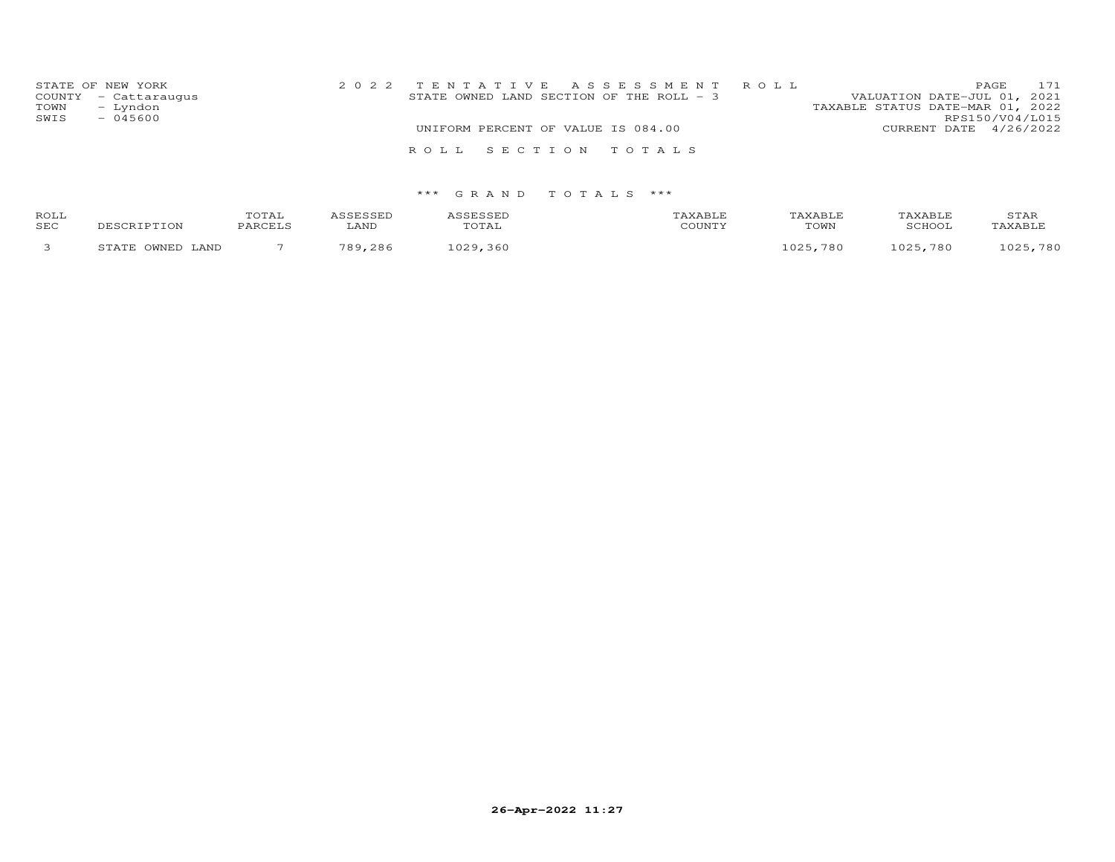| STATE OF NEW YORK<br>COUNTY - Cattaraugus<br>TOWN<br>- Lyndon<br>SWIS<br>$-045600$ | 2022 TENTATIVE ASSESSMENT ROLL<br>STATE OWNED LAND SECTION OF THE ROLL - 3 | 171<br>PAGE<br>VALUATION DATE-JUL 01, 2021<br>TAXABLE STATUS DATE-MAR 01, 2022<br>RPS150/V04/L015 |
|------------------------------------------------------------------------------------|----------------------------------------------------------------------------|---------------------------------------------------------------------------------------------------|
|                                                                                    | UNIFORM PERCENT OF VALUE IS 084.00                                         | CURRENT DATE 4/26/2022                                                                            |
|                                                                                    | ROLL SECTION TOTALS                                                        |                                                                                                   |

| ROLL<br>SEC | <b>DESCRIPTION</b>              | $T$ $\cap$ $T$ $\cap$ $T$<br>O T UT<br>PARCELS | LAND       | TOTAL | AXABLF<br>$C$ $C$ $T$ $T$ $T$ $T$ $T$ $T$ $T$ | TAXABLE<br>TOWN                        | TAXABLE<br>SCHOO1 | STAR<br>TAXABLF |
|-------------|---------------------------------|------------------------------------------------|------------|-------|-----------------------------------------------|----------------------------------------|-------------------|-----------------|
|             | <b>OMNET</b><br>יחת מחי<br>LAND |                                                | 700<br>286 |       |                                               | 780<br>$\circ$ $\cap$ $\cap$ $\subset$ | 025<br>780        | 780<br>ハつに      |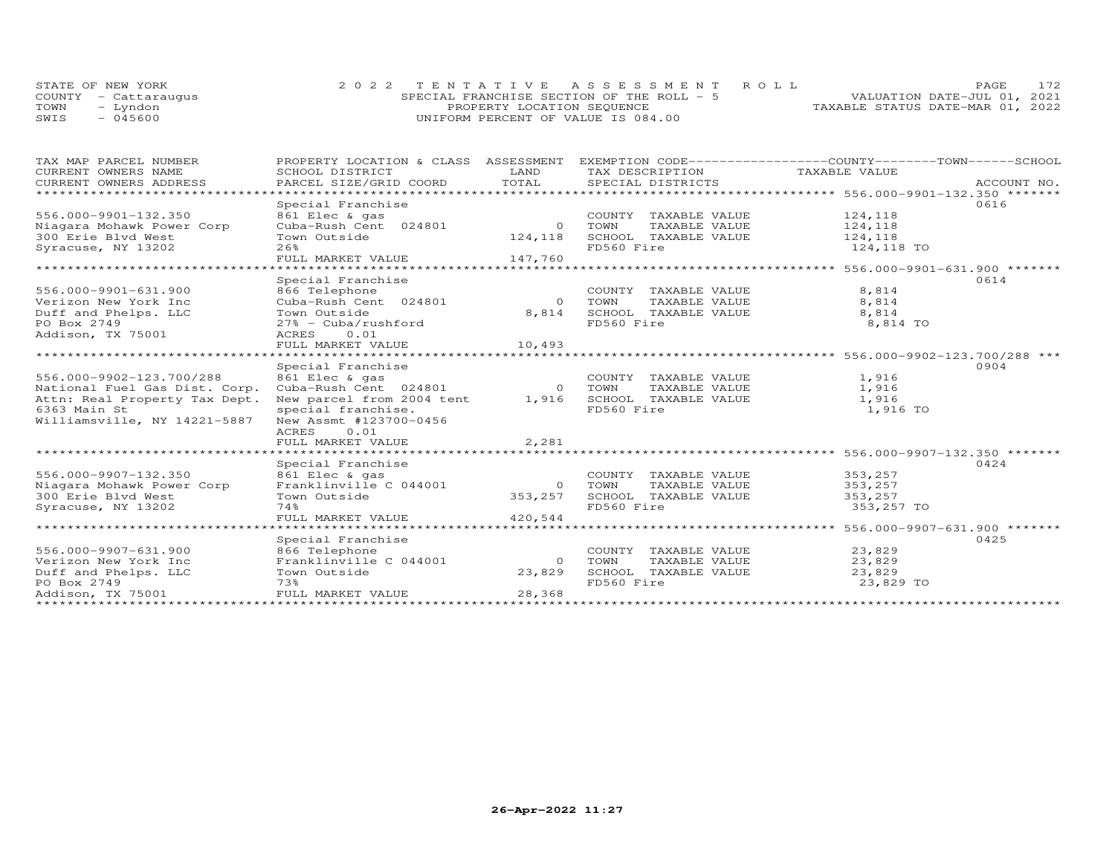|      | STATE OF NEW YORK    | 2022 TENTATIVE ASSESSMENT ROLL             | 172<br><b>PAGE</b>               |
|------|----------------------|--------------------------------------------|----------------------------------|
|      | COUNTY - Cattarauqus | SPECIAL FRANCHISE SECTION OF THE ROLL $-5$ | VALUATION DATE-JUL 01, 2021      |
| TOWN | – Lyndon             | PROPERTY LOCATION SEQUENCE                 | TAXABLE STATUS DATE-MAR 01, 2022 |
| SWIS | $-045600$            | UNIFORM PERCENT OF VALUE IS 084.00         |                                  |

| TAX MAP PARCEL NUMBER<br>CURRENT OWNERS NAME | PROPERTY LOCATION & CLASS<br>SCHOOL DISTRICT | ASSESSMENT<br>LAND | TAX DESCRIPTION TAXABLE VALUE | EXEMPTION CODE------------------COUNTY-------TOWN------SCHOOL |
|----------------------------------------------|----------------------------------------------|--------------------|-------------------------------|---------------------------------------------------------------|
| CURRENT OWNERS ADDRESS                       | PARCEL SIZE/GRID COORD                       | TOTAL              | SPECIAL DISTRICTS             | ACCOUNT NO.                                                   |
|                                              |                                              |                    |                               |                                                               |
|                                              | Special Franchise                            |                    |                               | 0616                                                          |
| 556.000-9901-132.350                         | 861 Elec & gas                               |                    | COUNTY TAXABLE VALUE          | 124,118                                                       |
| Niagara Mohawk Power Corp                    | Cuba-Rush Cent 024801                        | $\overline{O}$     | TOWN<br>TAXABLE VALUE         | 124,118                                                       |
| 300 Erie Blvd West                           | Town Outside                                 | 124,118            | SCHOOL TAXABLE VALUE          | 124,118                                                       |
| Syracuse, NY 13202                           | 26%                                          |                    | FD560 Fire                    | 124,118 TO                                                    |
|                                              | FULL MARKET VALUE 147,760                    |                    |                               |                                                               |
|                                              |                                              |                    |                               |                                                               |
|                                              | Special Franchise                            |                    |                               | 0614                                                          |
| 556.000-9901-631.900                         | 866 Telephone                                |                    | COUNTY TAXABLE VALUE          | 8,814                                                         |
| Verizon New York Inc                         | Cuba-Rush Cent 024801                        | $\Omega$           | TOWN<br>TAXABLE VALUE         | 8,814                                                         |
| Duff and Phelps. LLC                         | Town Outside                                 | 8,814              | SCHOOL TAXABLE VALUE          | 8,814                                                         |
| PO Box 2749                                  | $27\%$ - Cuba/rushford                       |                    | FD560 Fire                    | 8,814 TO                                                      |
| Addison, TX 75001                            | ACRES 0.01                                   |                    |                               |                                                               |
|                                              | FULL MARKET VALUE                            | 10,493             |                               |                                                               |
|                                              |                                              |                    |                               | ********************* 556.000-9902-123.700/288 ***            |
|                                              | Special Franchise                            |                    |                               | 0904                                                          |
| 556.000-9902-123.700/288                     | 861 Elec & gas                               |                    | COUNTY TAXABLE VALUE          | 1,916                                                         |
| National Fuel Gas Dist. Corp.                | Cuba-Rush Cent 024801                        | $\Omega$           | TOWN<br>TAXABLE VALUE         | 1,916                                                         |
| Attn: Real Property Tax Dept.                | New parcel from 2004 tent                    | 1,916              | SCHOOL TAXABLE VALUE          | 1,916                                                         |
| 6363 Main St                                 | special franchise.                           |                    | FD560 Fire                    | 1,916 TO                                                      |
|                                              |                                              |                    |                               |                                                               |
| Williamsville, NY 14221-5887                 | New Assmt #123700-0456                       |                    |                               |                                                               |
|                                              | ACRES<br>0.01                                |                    |                               |                                                               |
|                                              | FULL MARKET VALUE                            | 2,281              |                               |                                                               |
|                                              | ***************************                  | **************     |                               | ******************* 556.000-9907-132.350 *******              |
|                                              | Special Franchise                            |                    |                               | 0424                                                          |
| 556.000-9907-132.350                         | 861 Elec & gas                               |                    | COUNTY TAXABLE VALUE          | 353,257                                                       |
| Niagara Mohawk Power Corp                    | Franklinville C 044001                       |                    | 0 TOWN<br>TAXABLE VALUE       | 353,257                                                       |
| 300 Erie Blvd West                           | Town Outside                                 | 353,257            | SCHOOL TAXABLE VALUE          | 353,257                                                       |
| Syracuse, NY 13202                           | 74%                                          |                    | FD560 Fire                    | 353,257 TO                                                    |
|                                              | FULL MARKET VALUE                            | 420,544            |                               |                                                               |
|                                              |                                              |                    |                               |                                                               |
|                                              | Special Franchise                            |                    |                               | 0425                                                          |
| 556.000-9907-631.900                         | 866 Telephone                                |                    | COUNTY TAXABLE VALUE          | 23,829                                                        |
| Verizon New York Inc                         | Franklinville C 044001                       | $\circ$            | TOWN<br>TAXABLE VALUE         | 23,829                                                        |
| Duff and Phelps. LLC                         | Town Outside                                 | 23,829             | SCHOOL TAXABLE VALUE          | 23,829                                                        |
| PO Box 2749                                  | 73%                                          |                    | FD560 Fire                    | 23,829 TO                                                     |
| Addison, TX 75001                            | FULL MARKET VALUE                            | 28,368             |                               |                                                               |
|                                              |                                              |                    |                               |                                                               |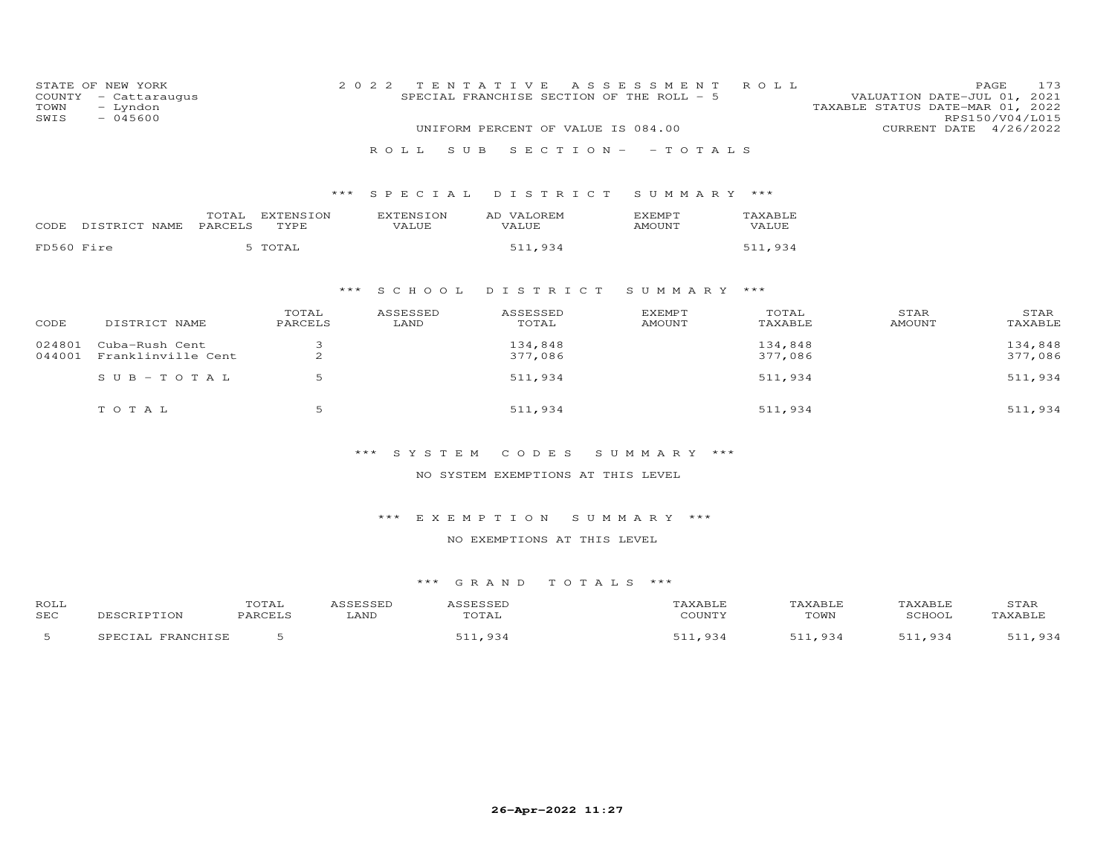| COUNTY<br>TOWN<br>SWIS | STATE OF NEW YORK<br>- Cattaraugus<br>- Lyndon<br>$-045600$ |                  |                   | 2 0 2 2                   | TENTATIVE<br>SPECIAL FRANCHISE SECTION OF THE ROLL - 5 | A S S E S S M E N T             | ROLL             | TAXABLE STATUS DATE-MAR 01, 2022 | 173<br>PAGE<br>VALUATION DATE-JUL 01, 2021<br>RPS150/V04/L015 |
|------------------------|-------------------------------------------------------------|------------------|-------------------|---------------------------|--------------------------------------------------------|---------------------------------|------------------|----------------------------------|---------------------------------------------------------------|
|                        |                                                             |                  |                   |                           | UNIFORM PERCENT OF VALUE IS 084.00                     |                                 |                  |                                  | CURRENT DATE 4/26/2022                                        |
|                        |                                                             |                  |                   | ROLL                      | S U B                                                  | $S E C T I O N - - T O T A L S$ |                  |                                  |                                                               |
|                        |                                                             |                  |                   | SPECIAL<br>***            | DISTRICT                                               | SUMMARY ***                     |                  |                                  |                                                               |
|                        | CODE DISTRICT NAME                                          | TOTAL<br>PARCELS | EXTENSION<br>TYPE | <b>EXTENSION</b><br>VALUE | AD VALOREM<br>VALUE                                    | EXEMPT<br><b>AMOUNT</b>         | TAXABLE<br>VALUE |                                  |                                                               |
| FD560 Fire             |                                                             |                  | 5 TOTAL           |                           | 511,934                                                |                                 | 511,934          |                                  |                                                               |
|                        |                                                             |                  |                   | S C H O O L<br>***        | DISTRICT                                               | SUMMARY ***                     |                  |                                  |                                                               |
|                        |                                                             |                  | TOTAL             | <b>ASSESSED</b>           | ASSESSED                                               | <b>EXEMPT</b>                   | TOTAL            | STAR                             | STAR                                                          |
| CODE                   | DISTRICT NAME                                               |                  | PARCELS           | LAND                      | TOTAL                                                  | <b>AMOUNT</b>                   | TAXABLE          | <b>AMOUNT</b>                    | TAXABLE                                                       |
| 024801                 | Cuba-Rush Cent                                              |                  | 3                 |                           | 134,848                                                |                                 | 134,848          |                                  | 134,848                                                       |
| 044001                 | Franklinville Cent                                          |                  | 2                 |                           | 377,086                                                |                                 | 377,086          |                                  | 377,086                                                       |
|                        | $S \cup B - TO T A L$                                       |                  | 5                 |                           | 511,934                                                |                                 | 511,934          |                                  | 511,934                                                       |
|                        | TOTAL                                                       |                  | 5                 |                           | 511,934                                                |                                 | 511,934          |                                  | 511,934                                                       |
|                        |                                                             |                  |                   | ***<br>SYSTEM             | CODES                                                  | SUMMARY ***                     |                  |                                  |                                                               |

NO SYSTEM EXEMPTIONS AT THIS LEVEL

\*\*\* E X E M P T I O N S U M M A R Y \*\*\*

NO EXEMPTIONS AT THIS LEVEL

| <b>ROLL</b> |                   | TOTAL   | ASSESSED | ASSESSED | TAXABLE | TAXABLE | TAXABLE        | STAR    |
|-------------|-------------------|---------|----------|----------|---------|---------|----------------|---------|
| SEC         | DESCRIPTION       | PARCELS | LAND     | TOTAL    | COUNTY  | TOWN    | SCHOOL         | TAXABLE |
|             | SPECIAL FRANCHISE |         |          | 511,934  | 511,934 | 511,934 | 511<br>11,934ء | 511,934 |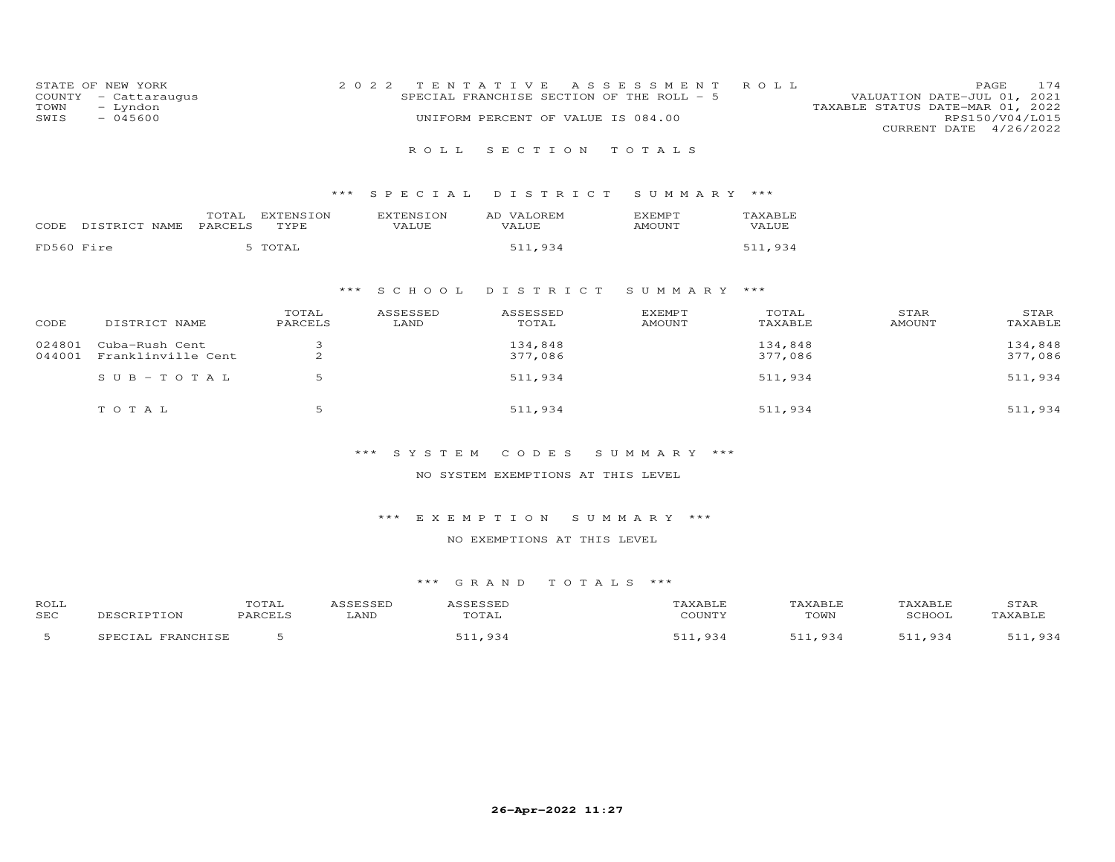| STATE OF NEW YORK<br>COUNTY<br>- Cattaraugus<br>- Lyndon<br>TOWN<br>$-045600$<br>SWIS |                                       | 2022 TENTATIVE     | SPECIAL FRANCHISE SECTION OF THE ROLL - 5<br>UNIFORM PERCENT OF VALUE IS 084.00 | A S S E S S M E N T | ROLL             | 174<br>PAGE<br>VALUATION DATE-JUL 01, 2021<br>TAXABLE STATUS DATE-MAR 01, 2022<br>RPS150/V04/L015<br>CURRENT DATE 4/26/2022 |
|---------------------------------------------------------------------------------------|---------------------------------------|--------------------|---------------------------------------------------------------------------------|---------------------|------------------|-----------------------------------------------------------------------------------------------------------------------------|
|                                                                                       |                                       | R O L L            | SECTION TOTALS                                                                  |                     |                  |                                                                                                                             |
|                                                                                       |                                       |                    | *** SPECIAL DISTRICT                                                            | SUMMARY ***         |                  |                                                                                                                             |
| DISTRICT NAME<br>CODE                                                                 | EXTENSION<br>TOTAL<br>PARCELS<br>TYPE | EXTENSION<br>VALUE | AD VALOREM<br>VALUE                                                             | EXEMPT<br>AMOUNT    | TAXABLE<br>VALUE |                                                                                                                             |
| FD560 Fire                                                                            | 5 TOTAL                               |                    | 511,934                                                                         |                     | 511,934          |                                                                                                                             |
|                                                                                       |                                       |                    | $+ + +$ COUQOT DTCTDTCT CUMMADV $+ +$                                           |                     |                  |                                                                                                                             |

# \*\*\* S C H O O L D I S T R I C T S U M M A R Y \*\*\*

| CODE             | DISTRICT NAME                        | TOTAL<br>PARCELS | ASSESSED<br>LAND | ASSESSED<br>TOTAL  | <b>EXEMPT</b><br>AMOUNT | TOTAL<br>TAXABLE   | STAR<br>AMOUNT | STAR<br>TAXABLE    |
|------------------|--------------------------------------|------------------|------------------|--------------------|-------------------------|--------------------|----------------|--------------------|
| 024801<br>044001 | Cuba-Rush Cent<br>Franklinville Cent | $\sim$<br>∠      |                  | 134,848<br>377,086 |                         | 134,848<br>377,086 |                | 134,848<br>377,086 |
|                  | SUB-TOTAL                            | 5                |                  | 511,934            |                         | 511,934            |                | 511,934            |
|                  | TOTAL                                |                  |                  | 511,934            |                         | 511,934            |                | 511,934            |

## \*\*\* S Y S T E M C O D E S S U M M A R Y \*\*\*

#### NO SYSTEM EXEMPTIONS AT THIS LEVEL

## \*\*\* E X E M P T I O N S U M M A R Y \*\*\*

#### NO EXEMPTIONS AT THIS LEVEL

| ROLL       |                        | TOTAL   | ASSESSED | ASSESSED | TAXABLE | TAXABLE | TAXABLE               | STAR    |
|------------|------------------------|---------|----------|----------|---------|---------|-----------------------|---------|
| <b>SEC</b> | DESCRIPTION            | PARCELS | LAND     | TOTAL    | COUNTY  | TOWN    | SCHOOL                | TAXABLE |
|            | FRANCHISE<br>SPECIAL . |         |          | 511,934  | .934    | 511,934 | <b>C11</b><br>934 ہ⊥۔ | 511,934 |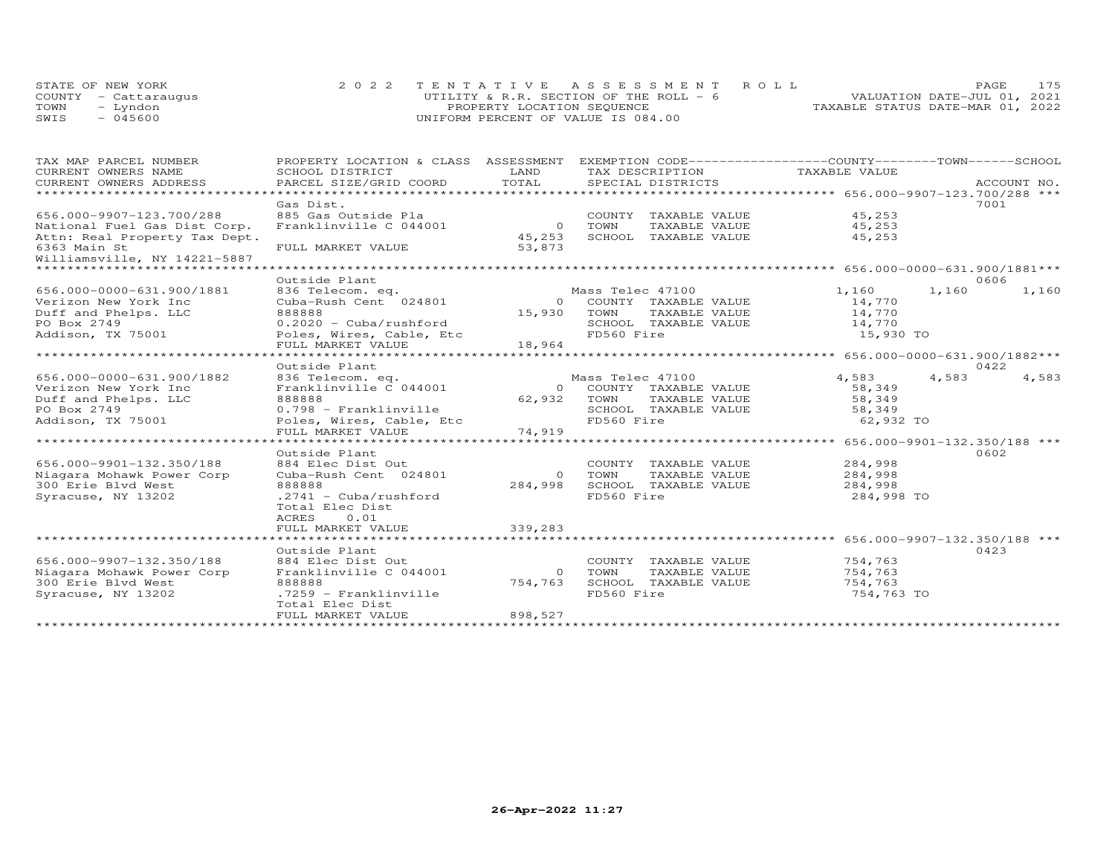|      | STATE OF NEW YORK    | 2022 TENTATIVE ASSESSMENT ROLL          |  |                                  | PAGE. | 175 |
|------|----------------------|-----------------------------------------|--|----------------------------------|-------|-----|
|      | COUNTY - Cattaraugus | UTILITY & R.R. SECTION OF THE ROLL $-6$ |  | VALUATION DATE-JUL 01, 2021      |       |     |
| TOWN | - Lyndon             | PROPERTY LOCATION SEOUENCE              |  | TAXABLE STATUS DATE-MAR 01, 2022 |       |     |
| SWIS | $-045600$            | UNIFORM PERCENT OF VALUE IS 084.00      |  |                                  |       |     |

| TAX MAP PARCEL NUMBER                                          | PROPERTY LOCATION & CLASS ASSESSMENT |          | EXEMPTION CODE-----------------COUNTY-------TOWN------SCHOOL |                                                      |                |
|----------------------------------------------------------------|--------------------------------------|----------|--------------------------------------------------------------|------------------------------------------------------|----------------|
| CURRENT OWNERS NAME                                            | SCHOOL DISTRICT                      | LAND     | TAX DESCRIPTION                                              | TAXABLE VALUE                                        |                |
| CURRENT OWNERS ADDRESS                                         | PARCEL SIZE/GRID COORD               | TOTAL    | SPECIAL DISTRICTS                                            |                                                      | ACCOUNT NO.    |
|                                                                |                                      |          |                                                              |                                                      |                |
|                                                                | Gas Dist.                            |          |                                                              |                                                      | 7001           |
| 656.000-9907-123.700/288                                       | 885 Gas Outside Pla                  |          | COUNTY TAXABLE VALUE                                         | 45,253                                               |                |
| National Fuel Gas Dist Corp.                                   | Franklinville C 044001               | $\circ$  | TOWN<br>TAXABLE VALUE                                        | 45,253                                               |                |
| Attn: Real Property Tax Dept.                                  |                                      | 45,253   | SCHOOL TAXABLE VALUE                                         | 45,253                                               |                |
| 6363 Main St                                                   | FULL MARKET VALUE                    | 53,873   |                                                              |                                                      |                |
| Williamsville, NY 14221-5887<br>****************************** |                                      |          |                                                              |                                                      |                |
|                                                                | Outside Plant                        |          |                                                              |                                                      | 0606           |
| 656.000-0000-631.900/1881                                      | 836 Telecom. eq.                     |          | Mass Telec 47100                                             | 1,160                                                | 1,160<br>1,160 |
| Verizon New York Inc                                           | Cuba-Rush Cent 024801                | $\Omega$ | COUNTY TAXABLE VALUE                                         | 14,770                                               |                |
| Duff and Phelps. LLC                                           | 888888                               | 15,930   | TOWN<br>TAXABLE VALUE                                        | 14,770                                               |                |
| PO Box 2749                                                    | $0.2020 - Cuba/rushford$             |          | SCHOOL TAXABLE VALUE                                         | 14,770                                               |                |
| Addison, TX 75001                                              | Poles, Wires, Cable, Etc             |          | FD560 Fire                                                   | 15,930 TO                                            |                |
|                                                                | FULL MARKET VALUE                    | 18,964   |                                                              |                                                      |                |
|                                                                | *************************            |          |                                                              | *********************** 656.000-0000-631.900/1882*** |                |
|                                                                | Outside Plant                        |          |                                                              |                                                      | 0422           |
| 656.000-0000-631.900/1882                                      | 836 Telecom. eq.                     |          | Mass Telec 47100                                             | 4,583                                                | 4,583<br>4,583 |
| Verizon New York Inc                                           | Franklinville C 044001               |          | 0 COUNTY TAXABLE VALUE                                       | 58,349                                               |                |
| Duff and Phelps. LLC                                           | 888888                               | 62,932   | TOWN<br>TAXABLE VALUE                                        | 58,349                                               |                |
| PO Box 2749                                                    | 0.798 - Franklinville                |          | SCHOOL TAXABLE VALUE                                         | 58,349                                               |                |
| Addison, TX 75001                                              | Poles, Wires, Cable, Etc             |          | FD560 Fire                                                   | 62,932 TO                                            |                |
|                                                                | FULL MARKET VALUE                    | 74,919   |                                                              |                                                      |                |
|                                                                | **********************               |          |                                                              | ********************* 656.000-9901-132.350/188 ***   |                |
|                                                                | Outside Plant                        |          |                                                              |                                                      | 0602           |
| 656.000-9901-132.350/188                                       | 884 Elec Dist Out                    |          | COUNTY TAXABLE VALUE                                         | 284,998                                              |                |
| Niagara Mohawk Power Corp                                      | Cuba-Rush Cent 024801                | $\circ$  | TAXABLE VALUE<br>TOWN                                        | 284,998                                              |                |
| 300 Erie Blvd West                                             | 888888                               | 284,998  | SCHOOL TAXABLE VALUE                                         | 284,998                                              |                |
| Syracuse, NY 13202                                             | $.2741 - Cuba/rushford$              |          | FD560 Fire                                                   | 284,998 TO                                           |                |
|                                                                | Total Elec Dist                      |          |                                                              |                                                      |                |
|                                                                | ACRES<br>0.01                        |          |                                                              |                                                      |                |
|                                                                | FULL MARKET VALUE                    | 339,283  |                                                              |                                                      |                |
|                                                                |                                      |          |                                                              |                                                      |                |
|                                                                | Outside Plant                        |          |                                                              |                                                      | 0423           |
| 656.000-9907-132.350/188                                       | 884 Elec Dist Out                    |          | COUNTY TAXABLE VALUE                                         | 754,763                                              |                |
| Niagara Mohawk Power Corp                                      | Franklinville C 044001               | $\Omega$ | TOWN<br>TAXABLE VALUE                                        | 754,763                                              |                |
| 300 Erie Blvd West                                             | 888888                               | 754,763  | SCHOOL TAXABLE VALUE                                         | 754,763                                              |                |
| Syracuse, NY 13202                                             | .7259 - Franklinville                |          | FD560 Fire                                                   | 754,763 TO                                           |                |
|                                                                | Total Elec Dist                      |          |                                                              |                                                      |                |
|                                                                | FULL MARKET VALUE                    | 898,527  |                                                              |                                                      |                |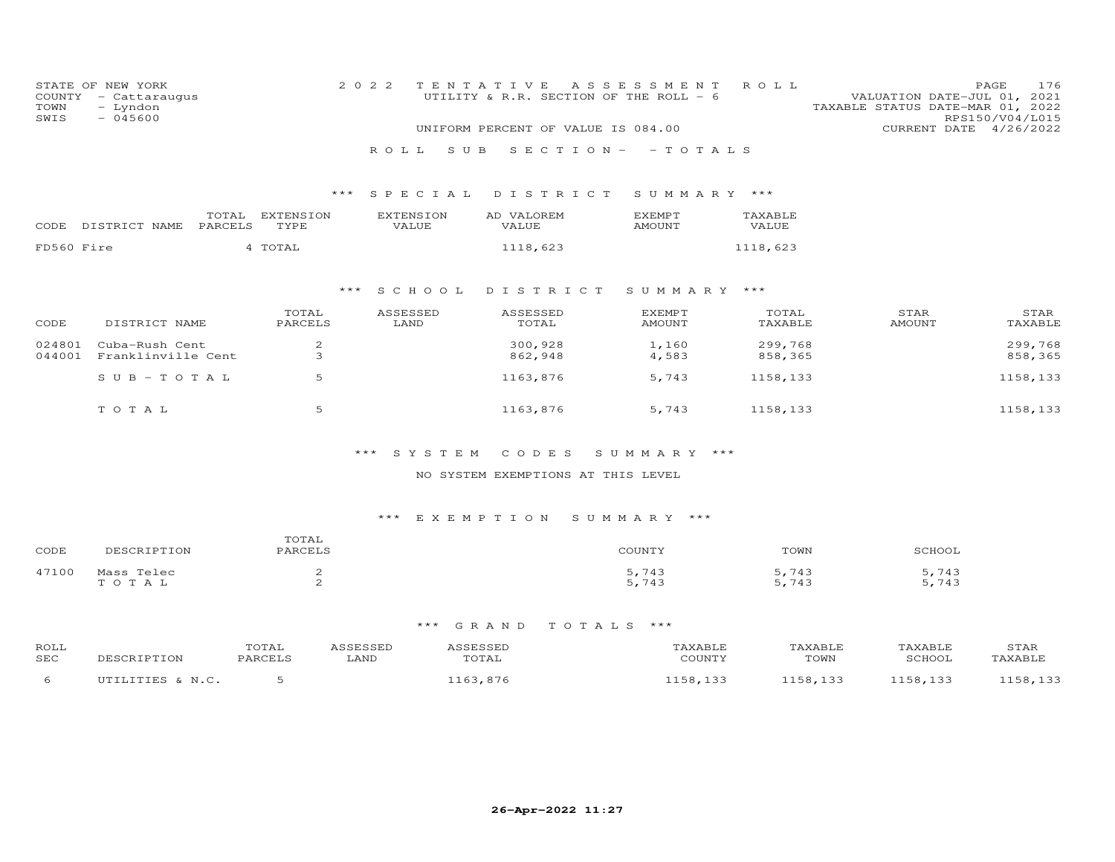| STATE OF<br>COUNTY<br>TOWN<br>SWIS | NEW YORK<br>- Cattaraugus<br>- Lyndon<br>$-045600$ |                  |                   | 2 0 2 2 |                           | TENTATIVE<br>UTILITY & R.R. SECTION OF THE ROLL - 6 | A S S E S S M E N T            | ROLL               | VALUATION DATE-JUL 01, 2021<br>TAXABLE STATUS DATE-MAR 01, 2022 | 176<br>PAGE<br>RPS150/V04/L015 |
|------------------------------------|----------------------------------------------------|------------------|-------------------|---------|---------------------------|-----------------------------------------------------|--------------------------------|--------------------|-----------------------------------------------------------------|--------------------------------|
|                                    |                                                    |                  |                   |         |                           | UNIFORM PERCENT OF VALUE IS 084.00                  |                                |                    | CURRENT DATE 4/26/2022                                          |                                |
|                                    |                                                    |                  |                   |         | S U B<br>ROLL.            | $S E C T I O N -$                                   | $-TOTALS$                      |                    |                                                                 |                                |
|                                    |                                                    |                  |                   | ***     | SPECIAL                   | DISTRICT                                            | SUMMARY ***                    |                    |                                                                 |                                |
| CODE                               | DISTRICT NAME                                      | TOTAL<br>PARCELS | EXTENSION<br>TYPE |         | <b>EXTENSION</b><br>VALUE | AD VALOREM<br>VALUE                                 | <b>EXEMPT</b><br><b>AMOUNT</b> | TAXABLE<br>VALUE   |                                                                 |                                |
| FD560 Fire                         |                                                    |                  | 4 TOTAL           |         |                           | 1118,623                                            |                                | 1118,623           |                                                                 |                                |
|                                    |                                                    |                  |                   | $***$   | S C H O O L               | DISTRICT                                            | SUMMARY                        | ***                |                                                                 |                                |
| CODE                               | DISTRICT NAME                                      |                  | TOTAL<br>PARCELS  |         | ASSESSED<br>LAND          | ASSESSED<br>TOTAL                                   | <b>EXEMPT</b><br><b>AMOUNT</b> | TOTAL<br>TAXABLE   | STAR<br><b>AMOUNT</b>                                           | STAR<br>TAXABLE                |
| 024801<br>044001                   | Cuba-Rush Cent<br>Franklinville Cent               |                  | $\frac{2}{3}$     |         |                           | 300,928<br>862,948                                  | 1,160<br>4,583                 | 299,768<br>858,365 |                                                                 | 299,768<br>858,365             |
|                                    | $SUB - TO TAL$                                     |                  | 5                 |         |                           | 1163,876                                            | 5,743                          | 1158,133           |                                                                 | 1158,133                       |
|                                    | TOTAL                                              |                  | 5                 |         |                           | 1163,876                                            | 5,743                          | 1158,133           |                                                                 | 1158,133                       |

#### NO SYSTEM EXEMPTIONS AT THIS LEVEL

# \*\*\* E X E M P T I O N S U M M A R Y \*\*\*

| CODE  | <b>TDTTOM</b><br>DECCD.                                           | TOTAT<br>ז החימות ה | COUNTY                                           | TOWN                           | CCTIOC      |
|-------|-------------------------------------------------------------------|---------------------|--------------------------------------------------|--------------------------------|-------------|
| 47100 | Telec<br>$M \cap \cap \cap$<br><b>Service</b><br>$\sim$<br>$\sim$ |                     | $\Box$<br>$\frac{1}{2}$<br>7 J J<br>5.743<br>۔ ب | . 743<br>. .<br>.743<br>$\sim$ | 743<br>,743 |

| ROLL<br>SEC | ור | TOTAL<br>PARCELS | LAND | , , , , , , , , , ,<br>UTAL | $C$ $C$ $T$ $T$ $T$ $T$ $T$ | AXABLE<br>TOWN | <b>SCHOOT</b> | STAR |
|-------------|----|------------------|------|-----------------------------|-----------------------------|----------------|---------------|------|
|             |    |                  |      |                             |                             | ∸◡             |               |      |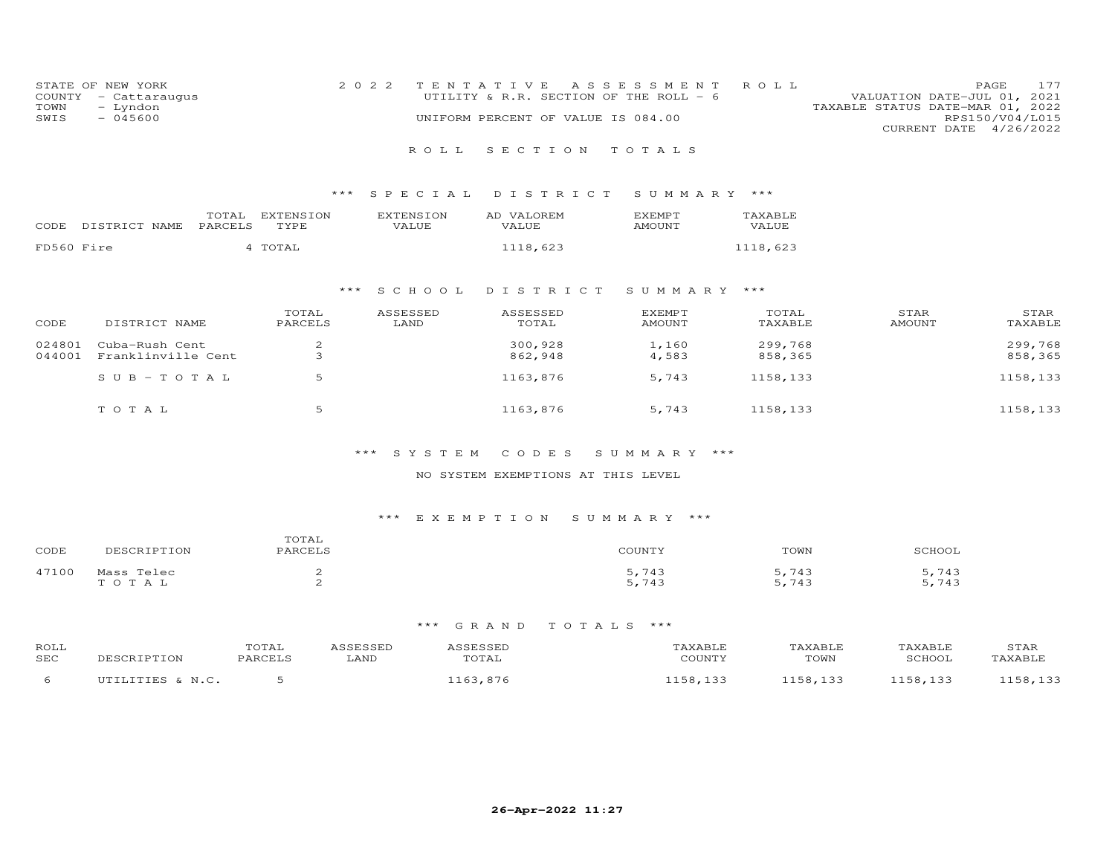| STATE OF NEW YORK    | 2022 TENTATIVE ASSESSMENT ROLL         |                                  | <b>PAGE</b>            | 177 |
|----------------------|----------------------------------------|----------------------------------|------------------------|-----|
| COUNTY - Cattaraugus | UTILITY & R.R. SECTION OF THE ROLL - 6 | VALUATION DATE-JUL 01, 2021      |                        |     |
| TOWN<br>- Lyndon     |                                        | TAXABLE STATUS DATE-MAR 01, 2022 |                        |     |
| $-045600$<br>SWIS    | UNIFORM PERCENT OF VALUE IS 084.00     |                                  | RPS150/V04/L015        |     |
|                      |                                        |                                  | CURRENT DATE 4/26/2022 |     |
|                      |                                        |                                  |                        |     |

## R O L L S E C T I O N T O T A L S

## \*\*\* S P E C I A L D I S T R I C T S U M M A R Y \*\*\*

| CODE       | DISTRICT NAME | TOTAL<br>PARCELS | EXTENSION<br>TYPE | <b>EXTENSION</b><br>VALUE | AD VALOREM<br>VALUE. | <b>EXEMPT</b><br><b>AMOUNT</b> | <b>TAXABLE</b><br>VALUE |
|------------|---------------|------------------|-------------------|---------------------------|----------------------|--------------------------------|-------------------------|
| FD560 Fire |               |                  | TOTAL             |                           | 1118,623             |                                | 1118.623                |

## \*\*\* S C H O O L D I S T R I C T S U M M A R Y \*\*\*

| CODE             | DISTRICT NAME                        | TOTAL<br>PARCELS | ASSESSED<br>LAND | ASSESSED<br>TOTAL  | <b>EXEMPT</b><br>AMOUNT | TOTAL<br>TAXABLE   | STAR<br>AMOUNT | STAR<br>TAXABLE    |
|------------------|--------------------------------------|------------------|------------------|--------------------|-------------------------|--------------------|----------------|--------------------|
| 024801<br>044001 | Cuba-Rush Cent<br>Franklinville Cent |                  |                  | 300,928<br>862,948 | 1,160<br>4,583          | 299,768<br>858,365 |                | 299,768<br>858,365 |
|                  | $SUB - TO T AL$                      | .5               |                  | 1163,876           | 5,743                   | 1158,133           |                | 1158,133           |
|                  | TOTAL                                |                  |                  | 1163,876           | 5,743                   | 1158,133           |                | 1158,133           |

## \*\*\* S Y S T E M C O D E S S U M M A R Y \*\*\*

#### NO SYSTEM EXEMPTIONS AT THIS LEVEL

#### \*\*\* E X E M P T I O N S U M M A R Y \*\*\*

| CODE  | <b>DTTON</b><br>フロピレ                                         | TOTAL<br>PARCELS | COLINTY                                | TOWN                           | SCHOOL      |
|-------|--------------------------------------------------------------|------------------|----------------------------------------|--------------------------------|-------------|
| 47100 | Telec<br>Mass<br>$\sim$ $\blacksquare$<br>$\sim$<br>$\Delta$ |                  | . 740<br>≖◡<br>743ء<br>$\cdot$ $\cdot$ | 743<br>$1 - 1$<br>5 743<br>. . | 743<br>.743 |

| ROLL<br>SEC | ור | TOTAL<br>PARCELS | LAND | , , , , , , , , , ,<br>UTAL | $C$ $C$ $T$ $T$ $T$ $T$ $T$ | AXABLE<br>TOWN | <b>SCHOOT</b> | STAR |
|-------------|----|------------------|------|-----------------------------|-----------------------------|----------------|---------------|------|
|             |    |                  |      |                             |                             | ∸◡             |               |      |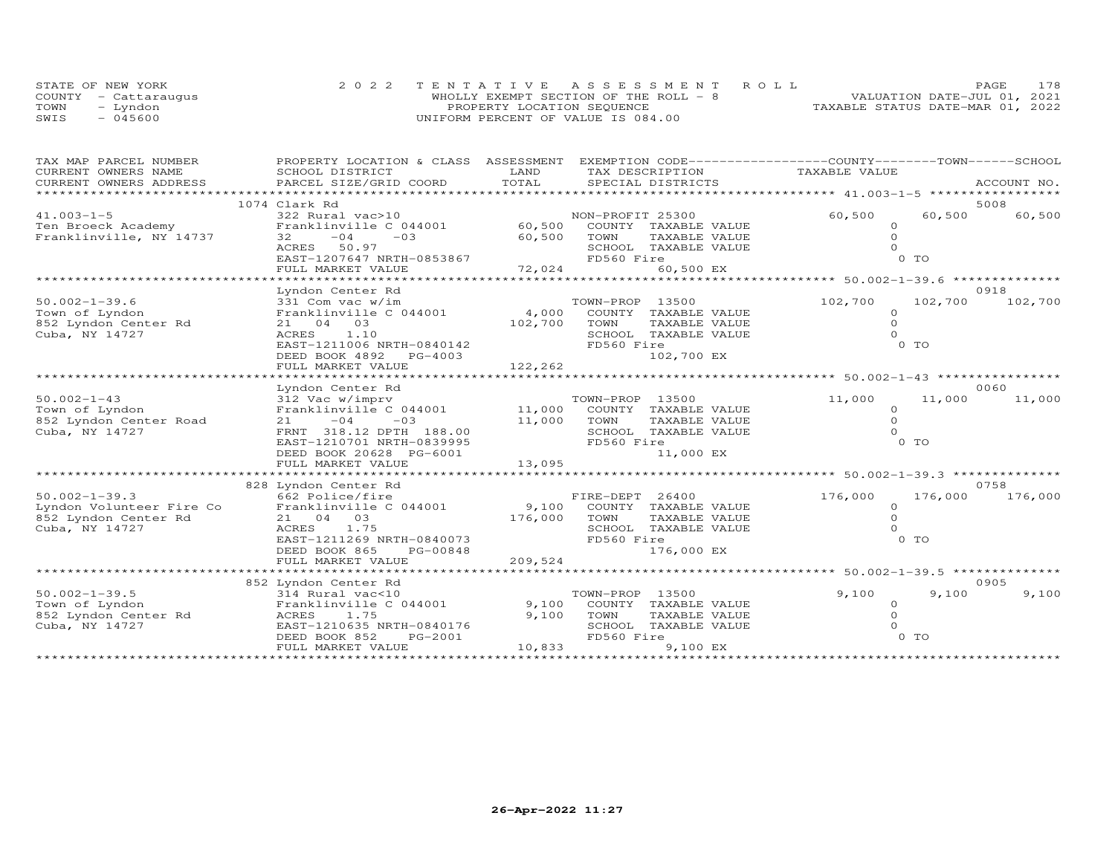|      | STATE OF NEW YORK    | 2022 TENTATIVE ASSESSMENT ROLL         |  |                                  | PAGE | 178 |
|------|----------------------|----------------------------------------|--|----------------------------------|------|-----|
|      | COUNTY - Cattaraugus | WHOLLY EXEMPT SECTION OF THE ROLL $-8$ |  | VALUATION DATE-JUL 01, 2021      |      |     |
| TOWN | - Lyndon             | PROPERTY LOCATION SEQUENCE             |  | TAXABLE STATUS DATE-MAR 01, 2022 |      |     |
| SWIS | $-045600$            | UNIFORM PERCENT OF VALUE IS 084.00     |  |                                  |      |     |

| TAX MAP PARCEL NUMBER    | PROPERTY LOCATION & CLASS ASSESSMENT EXEMPTION CODE----------------COUNTY-------TOWN-----SCHOOL |         |                             |               |                |             |
|--------------------------|-------------------------------------------------------------------------------------------------|---------|-----------------------------|---------------|----------------|-------------|
| CURRENT OWNERS NAME      | SCHOOL DISTRICT                                                                                 | LAND    | TAX DESCRIPTION             | TAXABLE VALUE |                |             |
| CURRENT OWNERS ADDRESS   | PARCEL SIZE/GRID COORD                                                                          | TOTAL   | SPECIAL DISTRICTS           |               |                | ACCOUNT NO. |
| ************************ |                                                                                                 |         |                             |               |                |             |
|                          | 1074 Clark Rd                                                                                   |         |                             |               |                | 5008        |
| $41.003 - 1 - 5$         | 322 Rural vac>10                                                                                |         | NON-PROFIT 25300            | 60,500        | 60,500         | 60,500      |
| Ten Broeck Academy       | Franklinville C 044001                                                                          | 60,500  | COUNTY TAXABLE VALUE        |               |                |             |
| Franklinville, NY 14737  | 32<br>$-04$<br>$-03$                                                                            | 60,500  | TOWN<br>TAXABLE VALUE       |               |                |             |
|                          | ACRES 50.97                                                                                     |         | SCHOOL TAXABLE VALUE        |               |                |             |
|                          | EAST-1207647 NRTH-0853867                                                                       |         | FD560 Fire                  |               | 0 <sub>T</sub> |             |
|                          | FULL MARKET VALUE                                                                               | 72,024  | 60,500 EX                   |               |                |             |
|                          |                                                                                                 |         |                             |               |                |             |
|                          | Lyndon Center Rd                                                                                |         |                             |               |                | 0918        |
| $50.002 - 1 - 39.6$      | 331 Com vac w/im                                                                                |         | TOWN-PROP 13500             | 102,700       | 102,700        | 102,700     |
| Town of Lyndon           | Franklinville C 044001                                                                          | 4,000   | COUNTY TAXABLE VALUE        | $\Omega$      |                |             |
| 852 Lyndon Center Rd     | 21 04 03                                                                                        | 102,700 | TOWN<br>TAXABLE VALUE       | $\Omega$      |                |             |
| Cuba, NY 14727           | ACRES<br>1.10                                                                                   |         | SCHOOL TAXABLE VALUE        | $\Omega$      |                |             |
|                          | EAST-1211006 NRTH-0840142                                                                       |         | FD560 Fire                  |               | 0 TO           |             |
|                          | DEED BOOK 4892 PG-4003                                                                          |         | 102,700 EX                  |               |                |             |
|                          | FULL MARKET VALUE                                                                               | 122,262 |                             |               |                |             |
|                          |                                                                                                 |         |                             |               |                |             |
|                          | Lyndon Center Rd                                                                                |         |                             |               |                | 0060        |
| $50.002 - 1 - 43$        | 312 Vac w/imprv                                                                                 |         | TOWN-PROP 13500             | 11,000        | 11,000         | 11,000      |
| Town of Lyndon           | Franklinville C 044001                                                                          |         | 11,000 COUNTY TAXABLE VALUE | $\Omega$      |                |             |
| 852 Lyndon Center Road   | $-04$<br>$-03$<br>21                                                                            | 11,000  | TOWN<br>TAXABLE VALUE       | $\Omega$      |                |             |
| Cuba, NY 14727           | FRNT 318.12 DPTH 188.00                                                                         |         | SCHOOL TAXABLE VALUE        |               |                |             |
|                          | EAST-1210701 NRTH-0839995                                                                       |         | FD560 Fire                  |               | 0 TO           |             |
|                          | DEED BOOK 20628 PG-6001                                                                         |         | 11,000 EX                   |               |                |             |
|                          | FULL MARKET VALUE                                                                               | 13,095  |                             |               |                |             |
|                          | **************************                                                                      |         |                             |               |                |             |
|                          | 828 Lyndon Center Rd                                                                            |         |                             |               |                | 0758        |
| $50.002 - 1 - 39.3$      | 662 Police/fire                                                                                 |         | FIRE-DEPT 26400             | 176,000       | 176,000        | 176,000     |
| Lyndon Volunteer Fire Co | Franklinville C 044001                                                                          |         | 9,100 COUNTY TAXABLE VALUE  | $\Omega$      |                |             |
| 852 Lyndon Center Rd     | 21 04 03                                                                                        | 176,000 | TOWN<br>TAXABLE VALUE       | $\Omega$      |                |             |
| Cuba, NY 14727           | 1.75<br>ACRES                                                                                   |         | SCHOOL TAXABLE VALUE        |               |                |             |
|                          | EAST-1211269 NRTH-0840073                                                                       |         | FD560 Fire                  |               | 0 TO           |             |
|                          | DEED BOOK 865<br>PG-00848                                                                       |         | 176,000 EX                  |               |                |             |
|                          | FULL MARKET VALUE                                                                               | 209,524 |                             |               |                |             |
|                          |                                                                                                 |         |                             |               |                |             |
|                          | 852 Lyndon Center Rd                                                                            |         |                             |               |                | 0905        |
| $50.002 - 1 - 39.5$      | 314 Rural vac<10                                                                                |         | TOWN-PROP 13500             | 9,100         | 9,100          | 9,100       |
| Town of Lyndon           | Franklinville C 044001                                                                          |         | 9,100 COUNTY TAXABLE VALUE  | $\Omega$      |                |             |
| 852 Lyndon Center Rd     | ACRES<br>1.75                                                                                   | 9,100   | TOWN<br>TAXABLE VALUE       | $\Omega$      |                |             |
| Cuba, NY 14727           | EAST-1210635 NRTH-0840176                                                                       |         | SCHOOL TAXABLE VALUE        |               |                |             |
|                          | PG-2001<br>DEED BOOK 852                                                                        |         | FD560 Fire                  |               | 0 TO           |             |
|                          | FULL MARKET VALUE                                                                               | 10,833  | 9,100 EX                    |               |                |             |
|                          |                                                                                                 |         |                             |               |                |             |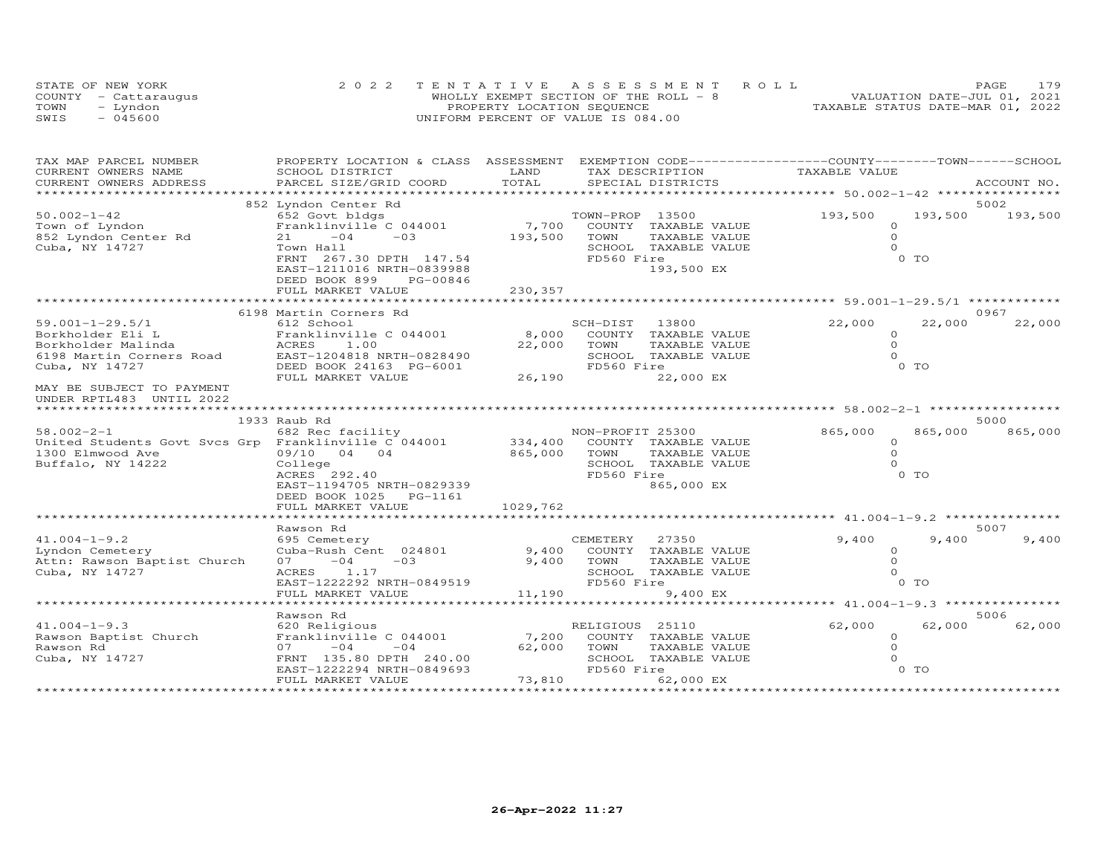| STATE OF NEW YORK    | 2022 TENTATIVE ASSESSMENT ROLL        | PAGE                             | 179 |
|----------------------|---------------------------------------|----------------------------------|-----|
| COUNTY - Cattaraugus | WHOLLY EXEMPT SECTION OF THE ROLL - 8 | VALUATION DATE-JUL 01, 2021      |     |
| TOWN<br>- Lyndon     | PROPERTY LOCATION SEQUENCE            | TAXABLE STATUS DATE-MAR 01, 2022 |     |
| $-045600$<br>SWIS    | UNIFORM PERCENT OF VALUE IS 084.00    |                                  |     |

| TAX MAP PARCEL NUMBER                                                                                                                                                                                                                                    | PROPERTY LOCATION & CLASS ASSESSMENT EXEMPTION CODE----------------COUNTY-------TOWN------SCHOOL                                                                      |      |                |                                       |                     |         |                 |
|----------------------------------------------------------------------------------------------------------------------------------------------------------------------------------------------------------------------------------------------------------|-----------------------------------------------------------------------------------------------------------------------------------------------------------------------|------|----------------|---------------------------------------|---------------------|---------|-----------------|
| CURRENT OWNERS NAME                                                                                                                                                                                                                                      | SCHOOL DISTRICT                                                                                                                                                       | LAND |                | TAX DESCRIPTION                       | TAXABLE VALUE       |         |                 |
| .CURRENT OWNERS ADDRESS PARCEL SIZE/GRID COORD TOTAL SPECIAL DISTRICTS ACCOUNT NO ACCOUNT NO ACCOUNT NO ARE A LATA AND MALL THAT A LATA A LATA A LATA A LATA A LATA A LATA A LATA A LATA A LATA A LATA A LATA A LATA A LATA A                            |                                                                                                                                                                       |      |                |                                       |                     |         | ACCOUNT NO.     |
|                                                                                                                                                                                                                                                          |                                                                                                                                                                       |      |                |                                       |                     |         | 5002            |
| $50.002 - 1 - 42$                                                                                                                                                                                                                                        | 852 Lyndon Center Rd                                                                                                                                                  |      |                |                                       | 193,500             |         | 193,500 193,500 |
|                                                                                                                                                                                                                                                          |                                                                                                                                                                       |      |                |                                       | $\Omega$            |         |                 |
| Town of Lyndon<br>852 Lyndon Center Rd<br>Cube NY 14707                                                                                                                                                                                                  |                                                                                                                                                                       |      |                |                                       | $\Omega$            |         |                 |
| Cuba, NY 14727                                                                                                                                                                                                                                           | 21 $-04$ $-03$ $193,500$ TOWN                                                                                                                                         |      |                | TAXABLE VALUE<br>SCHOOL TAXABLE VALUE | $\Omega$            |         |                 |
|                                                                                                                                                                                                                                                          | Town Hall<br>FRNT 267.30 DPTH 147.54                                                                                                                                  |      | FD560 Fire     |                                       |                     | $0$ TO  |                 |
|                                                                                                                                                                                                                                                          |                                                                                                                                                                       |      |                | 193,500 EX                            |                     |         |                 |
|                                                                                                                                                                                                                                                          | EAST-1211016 NRTH-0839988                                                                                                                                             |      |                |                                       |                     |         |                 |
|                                                                                                                                                                                                                                                          |                                                                                                                                                                       |      |                |                                       |                     |         |                 |
|                                                                                                                                                                                                                                                          |                                                                                                                                                                       |      |                |                                       |                     |         |                 |
|                                                                                                                                                                                                                                                          |                                                                                                                                                                       |      |                |                                       |                     |         |                 |
|                                                                                                                                                                                                                                                          | 6198 Martin Corners Rd                                                                                                                                                |      |                |                                       |                     |         | 0967            |
|                                                                                                                                                                                                                                                          |                                                                                                                                                                       |      | SCH-DIST 13800 |                                       | 22,000              | 22,000  | 22,000          |
|                                                                                                                                                                                                                                                          | Franklinville C 044001 8,000 COUNTY TAXABLE VALUE                                                                                                                     |      |                |                                       | $\circ$             |         |                 |
|                                                                                                                                                                                                                                                          |                                                                                                                                                                       |      |                | TAXABLE VALUE                         | $\Omega$            |         |                 |
|                                                                                                                                                                                                                                                          |                                                                                                                                                                       |      |                | SCHOOL TAXABLE VALUE                  | $\Omega$            |         |                 |
|                                                                                                                                                                                                                                                          |                                                                                                                                                                       |      | FD560 Fire     |                                       |                     | 0 TO    |                 |
|                                                                                                                                                                                                                                                          |                                                                                                                                                                       |      |                | 22,000 EX                             |                     |         |                 |
| MAY BE SUBJECT TO PAYMENT                                                                                                                                                                                                                                |                                                                                                                                                                       |      |                |                                       |                     |         |                 |
| UNDER RPTL483 UNTIL 2022                                                                                                                                                                                                                                 |                                                                                                                                                                       |      |                |                                       |                     |         |                 |
|                                                                                                                                                                                                                                                          |                                                                                                                                                                       |      |                |                                       |                     |         |                 |
|                                                                                                                                                                                                                                                          | 1933 Raub Rd                                                                                                                                                          |      |                |                                       |                     |         | 5000            |
| 968.002-2-1<br>United Students Govt Svcs Grp Franklinville C 044001<br>1300 Elmwood Ave 14222<br>Buffalo, NY 14222<br>292.40<br>2020-202.40<br>2020-202.40<br>2020-202.40<br>2020-202.40<br>2020-202.40<br>2020-202.40<br>2020-202.40<br>2020-202.40<br> |                                                                                                                                                                       |      |                |                                       | $865,000$<br>0<br>0 | 865,000 | 865,000         |
|                                                                                                                                                                                                                                                          |                                                                                                                                                                       |      |                |                                       |                     |         |                 |
|                                                                                                                                                                                                                                                          |                                                                                                                                                                       |      |                |                                       |                     |         |                 |
|                                                                                                                                                                                                                                                          |                                                                                                                                                                       |      |                |                                       | $\Omega$            |         |                 |
|                                                                                                                                                                                                                                                          | ACRES 292.40<br>EAST-1194705 NRTH-0829339<br>DEED BOOK 1025                                                                                                           |      |                |                                       |                     | 0 TO    |                 |
|                                                                                                                                                                                                                                                          |                                                                                                                                                                       |      |                | 865,000 EX                            |                     |         |                 |
|                                                                                                                                                                                                                                                          |                                                                                                                                                                       |      |                |                                       |                     |         |                 |
|                                                                                                                                                                                                                                                          |                                                                                                                                                                       |      |                |                                       |                     |         |                 |
|                                                                                                                                                                                                                                                          |                                                                                                                                                                       |      |                |                                       |                     |         |                 |
|                                                                                                                                                                                                                                                          | Rawson Rd                                                                                                                                                             |      |                |                                       |                     |         | 5007            |
| 41.004-1-9.2<br>Lyndon Cemetery                                                                                                                                                                                                                          | 695 Cemetery                                                                                                                                                          |      |                |                                       | 9,400               | 9,400   | 9,400           |
|                                                                                                                                                                                                                                                          |                                                                                                                                                                       |      |                |                                       | $\circ$             |         |                 |
| Attn: Rawson Baptist Church                                                                                                                                                                                                                              |                                                                                                                                                                       |      |                |                                       | $\Omega$            |         |                 |
| Cuba, NY 14727                                                                                                                                                                                                                                           |                                                                                                                                                                       |      |                |                                       |                     |         |                 |
|                                                                                                                                                                                                                                                          |                                                                                                                                                                       |      |                |                                       |                     |         |                 |
|                                                                                                                                                                                                                                                          |                                                                                                                                                                       |      |                |                                       |                     |         |                 |
|                                                                                                                                                                                                                                                          |                                                                                                                                                                       |      |                |                                       |                     |         |                 |
|                                                                                                                                                                                                                                                          | Rawson Rd                                                                                                                                                             |      |                |                                       |                     |         | 5006            |
| $41.004 - 1 - 9.3$                                                                                                                                                                                                                                       |                                                                                                                                                                       |      |                |                                       | 62,000              | 62,000  | 62,000          |
|                                                                                                                                                                                                                                                          |                                                                                                                                                                       |      |                |                                       | $\circ$             |         |                 |
|                                                                                                                                                                                                                                                          |                                                                                                                                                                       |      |                |                                       | $\Omega$            |         |                 |
|                                                                                                                                                                                                                                                          |                                                                                                                                                                       |      |                |                                       | $\Omega$            |         |                 |
|                                                                                                                                                                                                                                                          |                                                                                                                                                                       |      | FD560 Fire     |                                       |                     | 0 TO    |                 |
|                                                                                                                                                                                                                                                          | Franklinville C 044001 (2014)<br>07 - 04 - 044001 (62,000 TOWN<br>FRNT 135.80 DPTH 240.00 (62,000 TOWN<br>EAST-1222294 NRTH-0849693 FD56<br>FULL MARKET VALUE (73,810 |      |                | 62,000 EX                             |                     |         |                 |
|                                                                                                                                                                                                                                                          |                                                                                                                                                                       |      |                |                                       |                     |         |                 |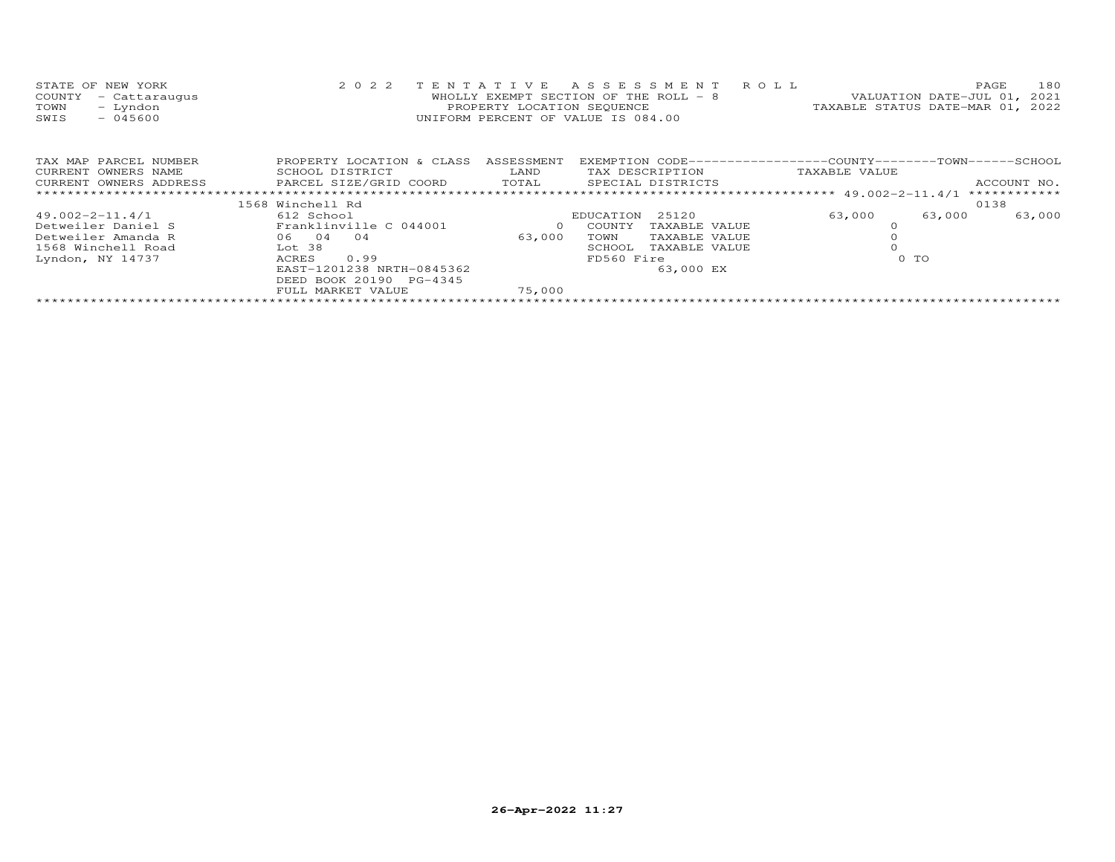| 180                              |
|----------------------------------|
| VALUATION DATE-JUL 01, 2021      |
| TAXABLE STATUS DATE-MAR 01, 2022 |
|                                  |
|                                  |
|                                  |

| TAX MAP PARCEL NUMBER  | PROPERTY LOCATION & CLASS | ASSESSMENT | EXEMPTION CODE-----------------COUNTY-------TOWN------SCHOOL |                  |              |
|------------------------|---------------------------|------------|--------------------------------------------------------------|------------------|--------------|
| CURRENT OWNERS NAME    | SCHOOL DISTRICT           | LAND       | TAX DESCRIPTION                                              | TAXABLE VALUE    |              |
| CURRENT OWNERS ADDRESS | PARCEL SIZE/GRID COORD    | TOTAL      | SPECIAL DISTRICTS                                            |                  | ACCOUNT NO.  |
|                        |                           |            |                                                              |                  | ************ |
|                        | 1568 Winchell Rd          |            |                                                              |                  | 0138         |
| 49.002-2-11.4/1        | 612 School                |            | 25120<br>EDUCATION                                           | 63,000<br>63,000 | 63,000       |
| Detweiler Daniel S     | Franklinville C 044001    |            | COUNTY<br>TAXABLE VALUE                                      |                  |              |
| Detweiler Amanda R     | 04<br>04<br>06.           | 63,000     | TAXABLE VALUE<br>TOWN                                        |                  |              |
| 1568 Winchell Road     | Lot 38                    |            | TAXABLE VALUE<br>SCHOOL                                      |                  |              |
| Lyndon, NY 14737       | ACRES<br>0.99             |            | FD560 Fire                                                   | 0 TO             |              |
|                        | EAST-1201238 NRTH-0845362 |            | 63,000 EX                                                    |                  |              |
|                        | DEED BOOK 20190 PG-4345   |            |                                                              |                  |              |
|                        | FULL MARKET VALUE         | 75,000     |                                                              |                  |              |
|                        |                           |            |                                                              |                  |              |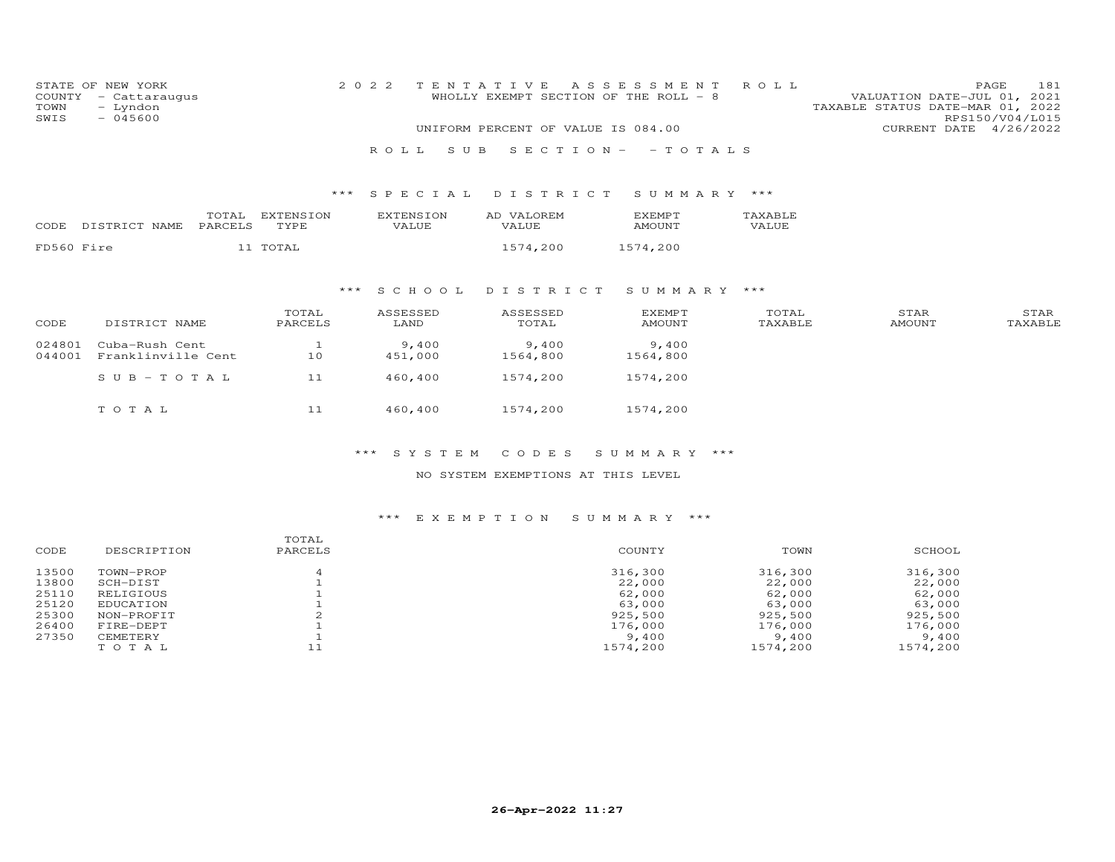| STATE OF<br>COUNTY<br>TOWN<br>SWIS | NEW YORK<br>- Cattaraugus<br>- Lyndon<br>$-045600$ |                  |                   | 2 0 2 2<br>R O L L<br>S U B      | TENTATIVE<br>WHOLLY EXEMPT SECTION OF THE ROLL - 8<br>UNIFORM PERCENT OF VALUE IS 084.00 | A S S E S S M E N T<br>$S E C T I ON - - T O T AL S$ | ROLL             | PAGE<br>VALUATION DATE-JUL 01, 2021<br>TAXABLE STATUS DATE-MAR 01, 2022<br>CURRENT DATE 4/26/2022 | 181<br>RPS150/V04/L015 |
|------------------------------------|----------------------------------------------------|------------------|-------------------|----------------------------------|------------------------------------------------------------------------------------------|------------------------------------------------------|------------------|---------------------------------------------------------------------------------------------------|------------------------|
|                                    |                                                    |                  |                   |                                  | *** SPECIAL DISTRICT                                                                     | SUMMARY ***                                          |                  |                                                                                                   |                        |
|                                    | CODE DISTRICT NAME                                 | TOTAL<br>PARCELS | EXTENSION<br>TYPE | <b>EXTENSION</b><br><b>VALUE</b> | AD VALOREM<br>VALUE                                                                      | <b>EXEMPT</b><br>AMOUNT                              | TAXABLE<br>VALUE |                                                                                                   |                        |
| FD560 Fire                         |                                                    |                  | 11 TOTAL          |                                  | 1574,200                                                                                 | 1574,200                                             |                  |                                                                                                   |                        |
|                                    |                                                    |                  | ***               | S C H O O L                      | DISTRICT                                                                                 | SUMMARY ***                                          |                  |                                                                                                   |                        |
| CODE                               | DISTRICT NAME                                      |                  | TOTAL<br>PARCELS  | ASSESSED<br>LAND                 | ASSESSED<br>TOTAL                                                                        | <b>EXEMPT</b><br>AMOUNT                              | TOTAL<br>TAXABLE | STAR<br>AMOUNT                                                                                    | STAR<br>TAXABLE        |
|                                    |                                                    |                  |                   |                                  |                                                                                          |                                                      |                  |                                                                                                   |                        |
| 024801                             | Cuba-Rush Cent                                     |                  | $\mathbf{1}$      | 9,400                            | 9,400                                                                                    | 9,400                                                |                  |                                                                                                   |                        |
| 044001                             | Franklinville Cent                                 |                  | 10                | 451,000                          | 1564,800                                                                                 | 1564,800                                             |                  |                                                                                                   |                        |
|                                    | $SUB - TO TAL$                                     |                  | 11                | 460,400                          | 1574,200                                                                                 | 1574,200                                             |                  |                                                                                                   |                        |

### \*\*\* S Y S T E M C O D E S S U M M A R Y \*\*\*

### NO SYSTEM EXEMPTIONS AT THIS LEVEL

# \*\*\* E X E M P T I O N S U M M A R Y \*\*\*

| CODE  | DESCRIPTION | TOTAL<br>PARCELS | COUNTY   | TOWN     | SCHOOL   |
|-------|-------------|------------------|----------|----------|----------|
| 13500 | TOWN-PROP   |                  | 316,300  | 316,300  | 316,300  |
| 13800 | SCH-DIST    |                  | 22,000   | 22,000   | 22,000   |
| 25110 | RELIGIOUS   |                  | 62,000   | 62,000   | 62,000   |
| 25120 | EDUCATION   |                  | 63,000   | 63,000   | 63,000   |
| 25300 | NON-PROFIT  | $\sim$           | 925,500  | 925,500  | 925,500  |
| 26400 | FIRE-DEPT   |                  | 176,000  | 176,000  | 176,000  |
| 27350 | CEMETERY    |                  | 9,400    | 9,400    | 9,400    |
|       | TOTAL       | 11               | 1574,200 | 1574,200 | 1574,200 |
|       |             |                  |          |          |          |

T O T A L 11 460,400 1574,200 1574,200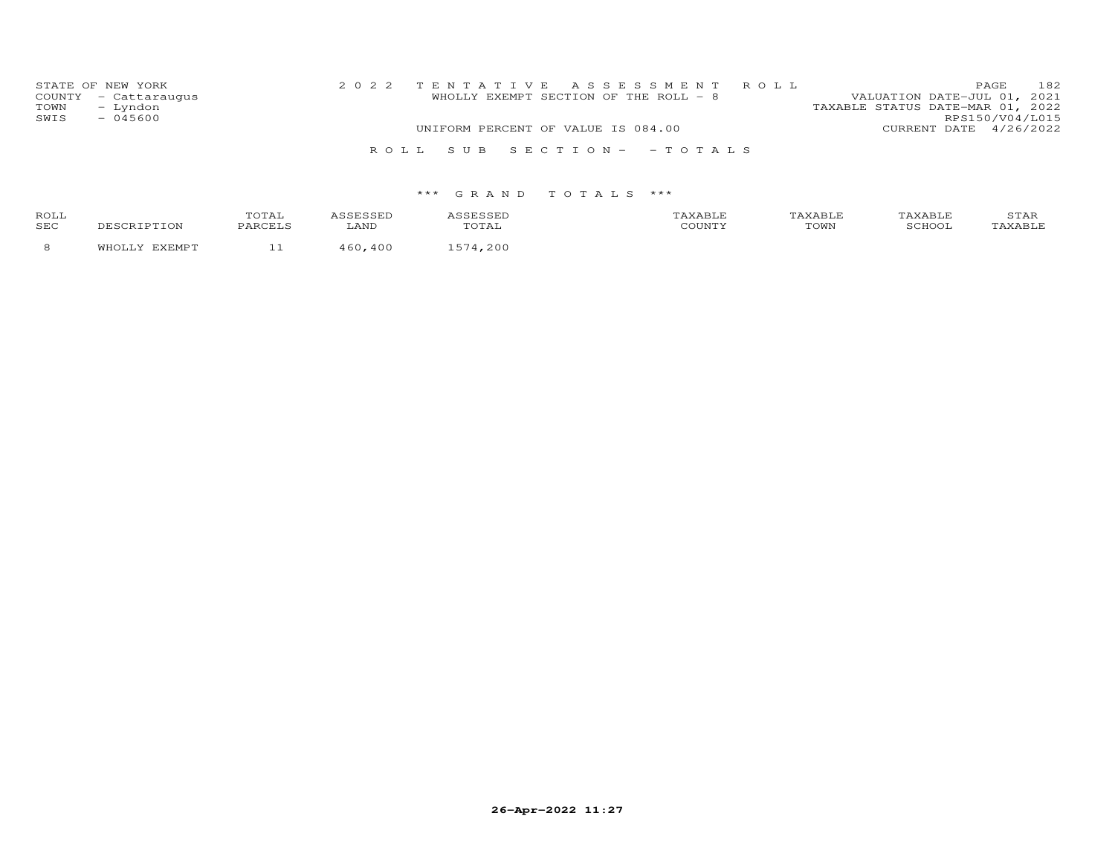| STATE OF NEW YORK |                      |                                    |  | 2022 TENTATIVE ASSESSMENT ROLL        |                                  |                        | <b>PAGE</b> | 182 |
|-------------------|----------------------|------------------------------------|--|---------------------------------------|----------------------------------|------------------------|-------------|-----|
|                   | COUNTY - Cattaraugus |                                    |  | WHOLLY EXEMPT SECTION OF THE ROLL - 8 | VALUATION DATE-JUL 01, 2021      |                        |             |     |
| TOWN              | - Lyndon             |                                    |  |                                       | TAXABLE STATUS DATE-MAR 01, 2022 |                        |             |     |
| SWIS              | $-045600$            |                                    |  |                                       |                                  | RPS150/V04/L015        |             |     |
|                   |                      | UNIFORM PERCENT OF VALUE IS 084.00 |  |                                       |                                  | CURRENT DATE 4/26/2022 |             |     |
|                   |                      |                                    |  | ROLL SUB SECTION- - TOTALS            |                                  |                        |             |     |

| ROL:<br>SEC |  |  | TOWN | $\cdots$ |
|-------------|--|--|------|----------|
|             |  |  |      |          |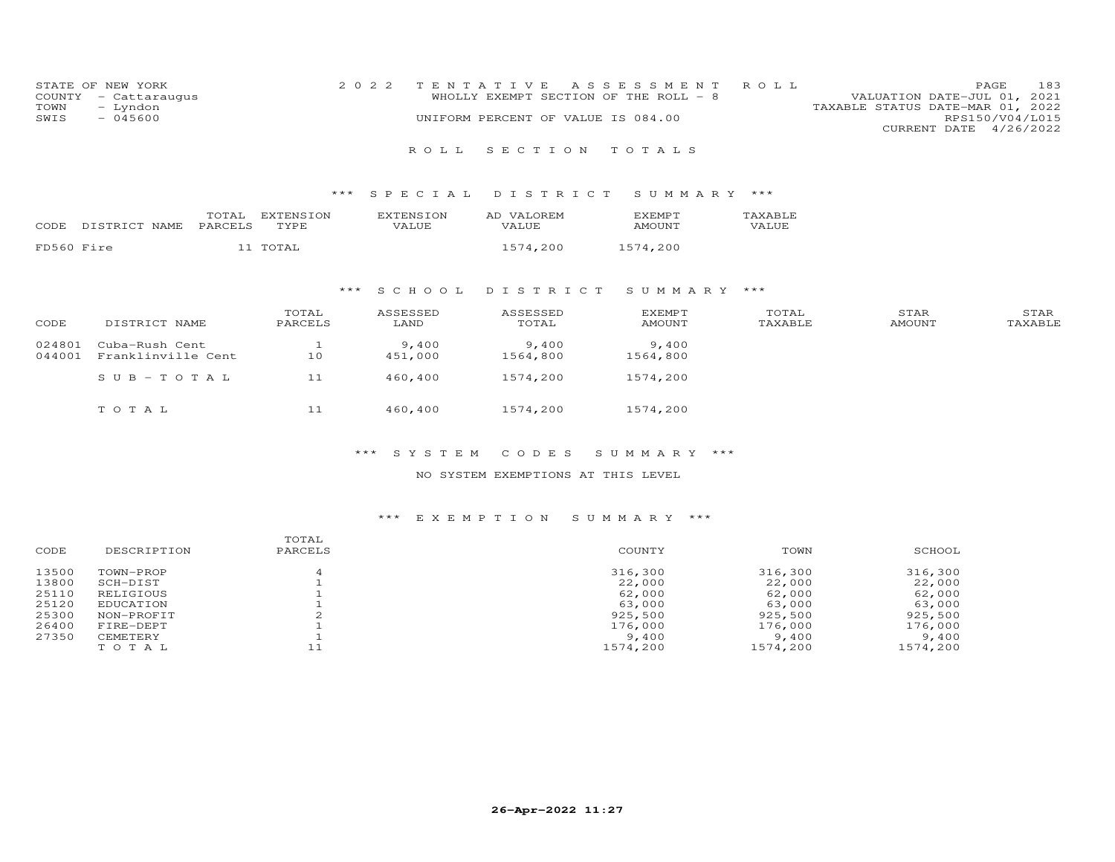| STATE OF NEW YORK    | 2022 TENTATIVE ASSESSMENT ROLL        |                                  | <b>PAGE</b>     | 183 |
|----------------------|---------------------------------------|----------------------------------|-----------------|-----|
| COUNTY - Cattaraugus | WHOLLY EXEMPT SECTION OF THE ROLL - 8 | VALUATION DATE-JUL 01, 2021      |                 |     |
| TOWN<br>- Lyndon     |                                       | TAXABLE STATUS DATE-MAR 01, 2022 |                 |     |
| SWIS<br>- 045600     | UNIFORM PERCENT OF VALUE IS 084.00    |                                  | RPS150/V04/L015 |     |
|                      |                                       | CURRENT DATE 4/26/2022           |                 |     |

### R O L L S E C T I O N T O T A L S

### \*\*\* S P E C I A L D I S T R I C T S U M M A R Y \*\*\*

| CODE       | NAME.<br>DISTRICT | TOTAL<br>PARCELS | <b>FNSTON</b><br>TVDF<br>---- | $\sim$ דר $\sim$<br>7ATJIF. | <b>TZAT</b><br>LOREM<br>AΓ<br>VALUE | $\times$ EMP $-$<br>$AMOIIN+$ | TAYARLE<br>VALUE |
|------------|-------------------|------------------|-------------------------------|-----------------------------|-------------------------------------|-------------------------------|------------------|
| FD560 Fire |                   |                  | momm                          |                             |                                     | ,200<br>- 5                   |                  |

### \*\*\* S C H O O L D I S T R I C T S U M M A R Y \*\*\*

| CODE             | DISTRICT NAME                        | TOTAL<br>PARCELS | ASSESSED<br>LAND | ASSESSED<br>TOTAL | <b>EXEMPT</b><br><b>AMOUNT</b> | TOTAL<br>TAXABLE | STAR<br><b>AMOUNT</b> | STAR<br>TAXABLE |
|------------------|--------------------------------------|------------------|------------------|-------------------|--------------------------------|------------------|-----------------------|-----------------|
| 024801<br>044001 | Cuba-Rush Cent<br>Franklinville Cent | 10               | 9,400<br>451,000 | 9,400<br>1564,800 | 9,400<br>1564,800              |                  |                       |                 |
|                  | $SUB - TO T AL$                      | 11               | 460,400          | 1574,200          | 1574,200                       |                  |                       |                 |
|                  | TOTAL                                | 11               | 460,400          | 1574,200          | 1574,200                       |                  |                       |                 |

### \*\*\* S Y S T E M C O D E S S U M M A R Y \*\*\*

#### NO SYSTEM EXEMPTIONS AT THIS LEVEL

#### \*\*\* E X E M P T I O N S U M M A R Y \*\*\*

| CODE  | DESCRIPTION | TOTAL<br>PARCELS | COUNTY   | TOWN     | SCHOOL   |
|-------|-------------|------------------|----------|----------|----------|
| 13500 | TOWN-PROP   | 4                | 316,300  | 316,300  | 316,300  |
| 13800 | SCH-DIST    |                  | 22,000   | 22,000   | 22,000   |
| 25110 | RELIGIOUS   |                  | 62,000   | 62,000   | 62,000   |
| 25120 | EDUCATION   |                  | 63,000   | 63,000   | 63,000   |
| 25300 | NON-PROFIT  |                  | 925,500  | 925,500  | 925,500  |
| 26400 | FIRE-DEPT   |                  | 176,000  | 176,000  | 176,000  |
| 27350 | CEMETERY    |                  | 9,400    | 9,400    | 9,400    |
|       | TOTAL       |                  | 1574,200 | 1574,200 | 1574,200 |
|       |             |                  |          |          |          |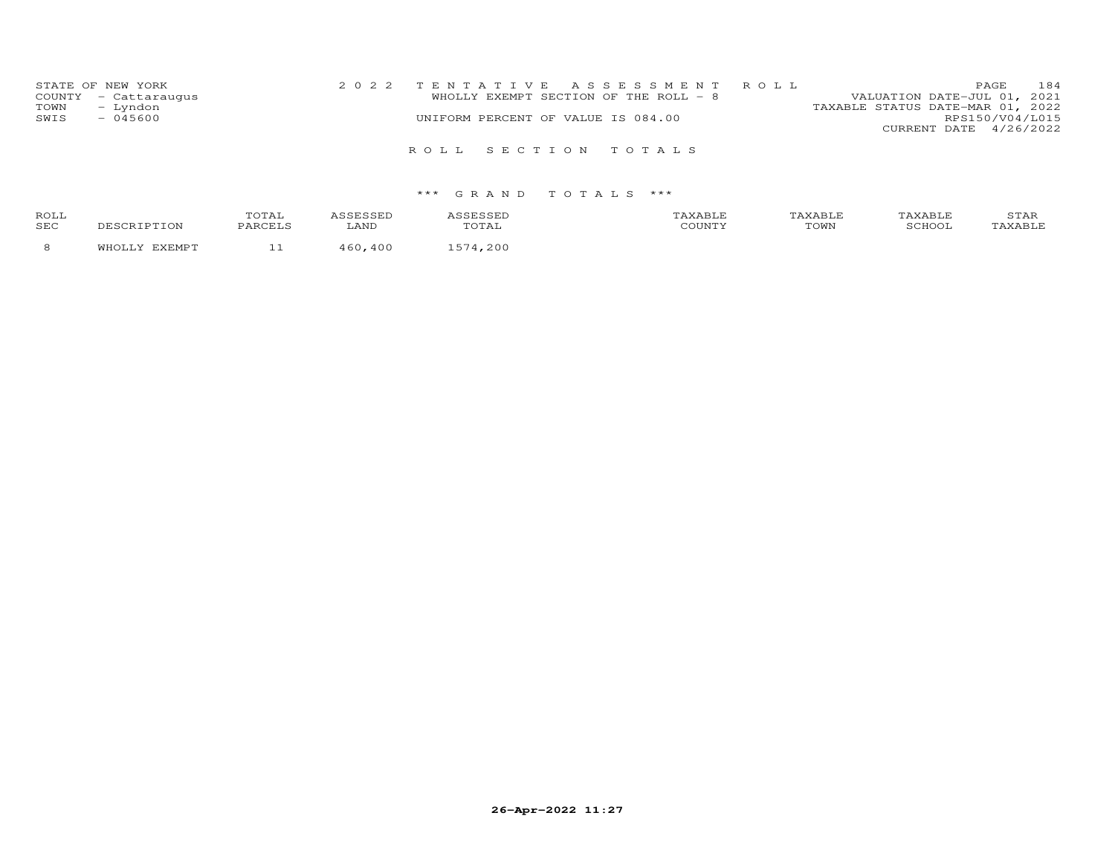| STATE OF NEW YORK    | 2022 TENTATIVE ASSESSMENT ROLL        | 184<br>PAGE.                     |
|----------------------|---------------------------------------|----------------------------------|
| COUNTY - Cattaraugus | WHOLLY EXEMPT SECTION OF THE ROLL - 8 | VALUATION DATE-JUL 01, 2021      |
| - Lyndon<br>TOWN     |                                       | TAXABLE STATUS DATE-MAR 01, 2022 |
| $-045600$<br>SWIS    | UNIFORM PERCENT OF VALUE IS 084.00    | RPS150/V04/L015                  |
|                      |                                       | CURRENT DATE 4/26/2022           |
|                      | ROLL SECTION TOTALS                   |                                  |

| <b>ROLI</b><br>SEC |  |  | TOWN | ∸⊷ |
|--------------------|--|--|------|----|
|                    |  |  |      |    |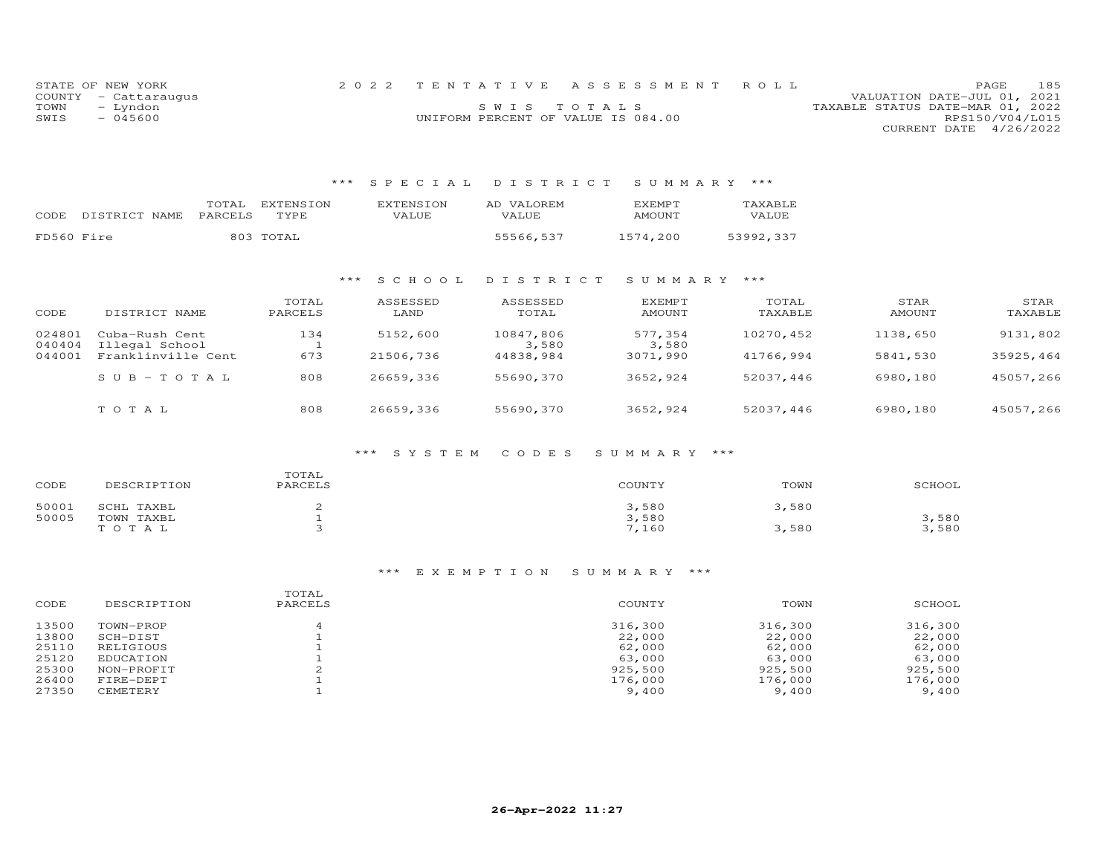|      | STATE OF NEW YORK    |                                    | 2022 TENTATIVE ASSESSMENT ROLL |                                  | PAGE                   | 185 |
|------|----------------------|------------------------------------|--------------------------------|----------------------------------|------------------------|-----|
|      | COUNTY - Cattaraugus |                                    |                                | VALUATION DATE-JUL 01, 2021      |                        |     |
| TOWN | – Lyndon             |                                    | SWIS TOTALS                    | TAXABLE STATUS DATE-MAR 01, 2022 |                        |     |
| SWIS | - 045600             | UNIFORM PERCENT OF VALUE IS 084.00 |                                |                                  | RPS150/V04/L015        |     |
|      |                      |                                    |                                |                                  | CURRENT DATE 4/26/2022 |     |

### \*\*\* S P E C I A L D I S T R I C T S U M M A R Y \*\*\*

| CODE       | DISTRICT NAME | TOTAL<br>PARCELS | EXTENSION<br>TYPE | <b>EXTENSION</b><br>VALUE | AD VALOREM<br>VALUE | F.X F.MP T<br><b>AMOUNT</b> | TAXABLE<br>VALUE |
|------------|---------------|------------------|-------------------|---------------------------|---------------------|-----------------------------|------------------|
| FD560 Fire |               | 803              | TOTAL             |                           | 55566,537           | 1574.200                    | 53992,337        |

#### \*\*\* S C H O O L D I S T R I C T S U M M A R Y \*\*\*

| CODE             | DISTRICT NAME                        | TOTAL<br>PARCELS | ASSESSED<br>LAND | ASSESSED<br>TOTAL  | <b>EXEMPT</b><br>AMOUNT | TOTAL<br>TAXABLE | STAR<br>AMOUNT | STAR<br>TAXABLE |
|------------------|--------------------------------------|------------------|------------------|--------------------|-------------------------|------------------|----------------|-----------------|
| 024801           | Cuba-Rush Cent                       | 134              | 5152,600         | 10847,806          | 577,354                 | 10270,452        | 1138,650       | 9131,802        |
| 040404<br>044001 | Illegal School<br>Franklinville Cent | 673              | 21506,736        | 3,580<br>44838,984 | 3,580<br>3071,990       | 41766,994        | 5841,530       | 35925,464       |
|                  | $SUB - TO T AL$                      | 808              | 26659,336        | 55690,370          | 3652,924                | 52037.446        | 6980,180       | 45057,266       |
|                  | TOTAL                                | 808              | 26659,336        | 55690,370          | 3652,924                | 52037,446        | 6980,180       | 45057,266       |

### \*\*\* S Y S T E M C O D E S S U M M A R Y \*\*\*

| CODE  | DESCRIPTION | TOTAL<br>PARCELS | COUNTY | TOWN  | SCHOOL |
|-------|-------------|------------------|--------|-------|--------|
| 50001 | SCHL TAXBL  |                  | 3,580  | 3,580 |        |
| 50005 | TOWN TAXBL  |                  | 3,580  |       | 3,580  |
|       | TOTAL       |                  | 7,160  | 3,580 | 3,580  |

### \*\*\* E X E M P T I O N S U M M A R Y \*\*\*

| CODE  | DESCRIPTION | TOTAL<br>PARCELS | COUNTY  | TOWN    | SCHOOL  |
|-------|-------------|------------------|---------|---------|---------|
| 13500 | TOWN-PROP   |                  | 316,300 | 316,300 | 316,300 |
| 13800 | SCH-DIST    |                  | 22,000  | 22,000  | 22,000  |
| 25110 | RELIGIOUS   |                  | 62,000  | 62,000  | 62,000  |
| 25120 | EDUCATION   |                  | 63,000  | 63,000  | 63,000  |
| 25300 | NON-PROFIT  | ∠                | 925,500 | 925,500 | 925,500 |
| 26400 | FIRE-DEPT   |                  | 176,000 | 176,000 | 176,000 |
| 27350 | CEMETERY    |                  | 9,400   | 9,400   | 9,400   |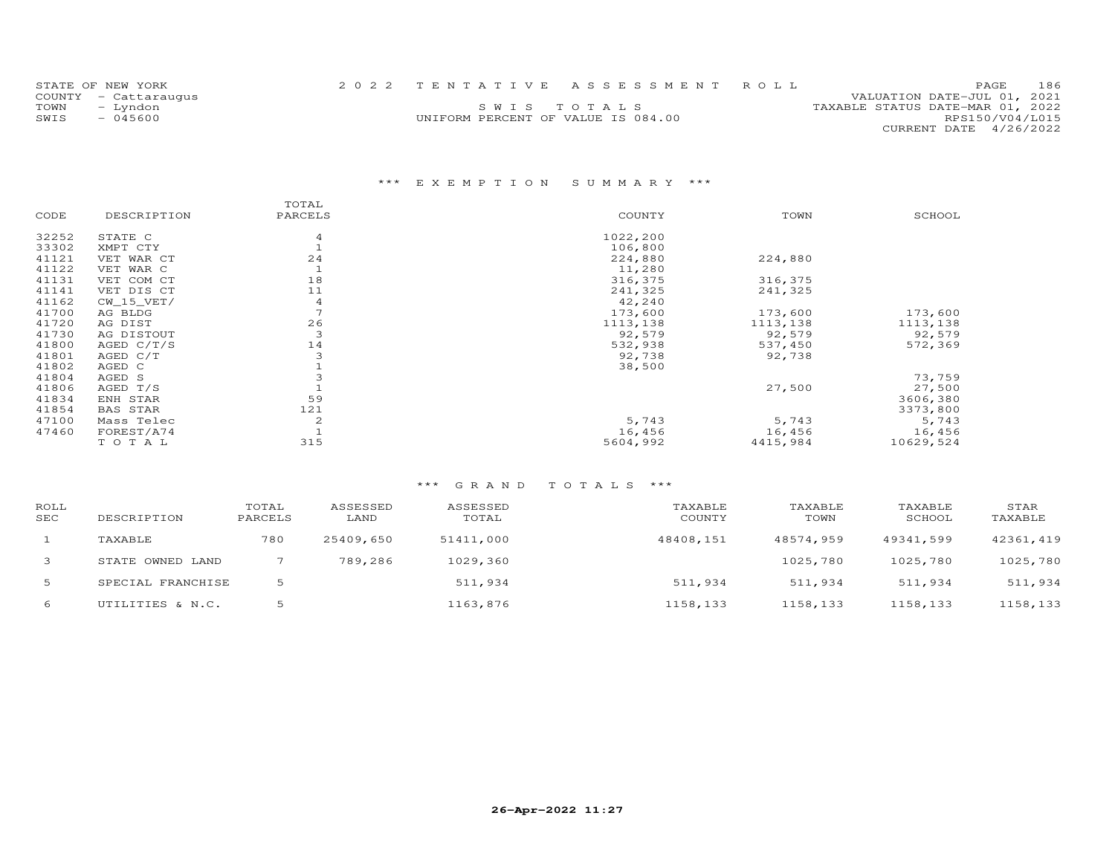|      | STATE OF NEW YORK    |                                    | 2022 TENTATIVE ASSESSMENT ROLL |                                  | <b>PAGE</b>            | 186 |
|------|----------------------|------------------------------------|--------------------------------|----------------------------------|------------------------|-----|
|      | COUNTY - Cattaraugus |                                    |                                | VALUATION DATE-JUL 01, 2021      |                        |     |
| TOWN | - Lyndon             |                                    | SWIS TOTALS                    | TAXABLE STATUS DATE-MAR 01, 2022 |                        |     |
| SWIS | $-045600$            | UNIFORM PERCENT OF VALUE IS 084.00 |                                |                                  | RPS150/V04/L015        |     |
|      |                      |                                    |                                |                                  | CURRENT DATE 4/26/2022 |     |

# \*\*\* E X E M P T I O N S U M M A R Y \*\*\*

|       |                 | TOTAL   |          |          |           |
|-------|-----------------|---------|----------|----------|-----------|
| CODE  | DESCRIPTION     | PARCELS | COUNTY   | TOWN     | SCHOOL    |
| 32252 | STATE C         |         | 1022,200 |          |           |
| 33302 | XMPT CTY        |         | 106,800  |          |           |
| 41121 | VET WAR CT      | 24      | 224,880  | 224,880  |           |
| 41122 | VET WAR C       |         | 11,280   |          |           |
| 41131 | VET COM CT      | 18      | 316,375  | 316,375  |           |
| 41141 | VET DIS CT      | 11      | 241,325  | 241,325  |           |
| 41162 | $CW$ 15 $VET/$  | 4       | 42,240   |          |           |
| 41700 | AG BLDG         |         | 173,600  | 173,600  | 173,600   |
| 41720 | AG DIST         | 26      | 1113,138 | 1113,138 | 1113,138  |
| 41730 | AG DISTOUT      | 3       | 92,579   | 92,579   | 92,579    |
| 41800 | AGED $C/T/S$    | 14      | 532,938  | 537,450  | 572,369   |
| 41801 | AGED C/T        |         | 92,738   | 92,738   |           |
| 41802 | AGED C          |         | 38,500   |          |           |
| 41804 | AGED S          |         |          |          | 73,759    |
| 41806 | AGED T/S        |         |          | 27,500   | 27,500    |
| 41834 | ENH STAR        | 59      |          |          | 3606,380  |
| 41854 | <b>BAS STAR</b> | 121     |          |          | 3373,800  |
| 47100 | Mass Telec      | 2       | 5,743    | 5,743    | 5,743     |
| 47460 | FOREST/A74      |         | 16,456   | 16,456   | 16,456    |
|       | TOTAL           | 315     | 5604,992 | 4415,984 | 10629,524 |

| ROLL<br>SEC | DESCRIPTION       | TOTAL<br>PARCELS | ASSESSED<br>LAND | ASSESSED<br>TOTAL | TAXABLE<br>COUNTY | TAXABLE<br>TOWN | TAXABLE<br>SCHOOL | STAR<br>TAXABLE |
|-------------|-------------------|------------------|------------------|-------------------|-------------------|-----------------|-------------------|-----------------|
|             | TAXABLE           | 780              | 25409,650        | 51411,000         | 48408,151         | 48574.959       | 49341,599         | 42361,419       |
| 3           | STATE OWNED LAND  |                  | 789,286          | 1029,360          |                   | 1025,780        | 1025,780          | 1025,780        |
| 5           | SPECIAL FRANCHISE |                  |                  | 511,934           | 511,934           | 511,934         | 511,934           | 511,934         |
| 6           | UTILITIES & N.C.  |                  |                  | 1163,876          | 1158,133          | 1158,133        | 1158,133          | 1158,133        |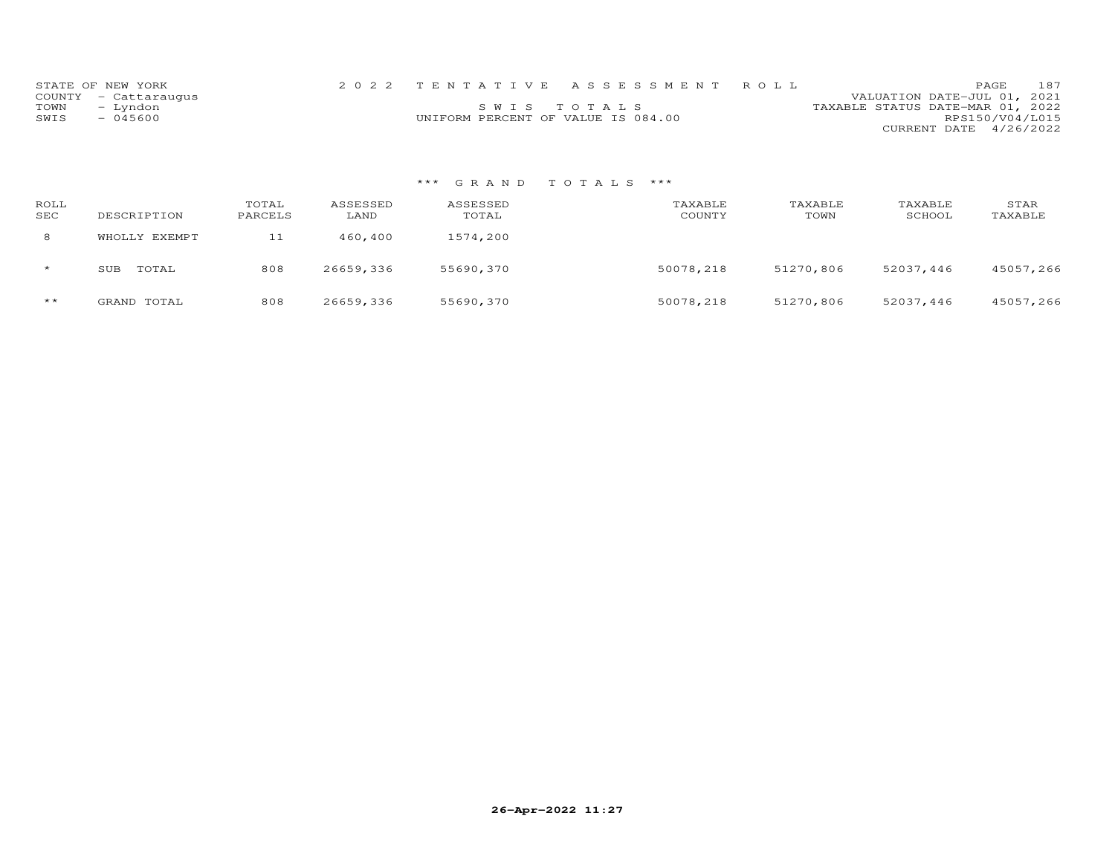|      | STATE OF NEW YORK    |                                    | 2022 TENTATIVE ASSESSMENT ROLL |                                  | PAGE.                  | 187 |
|------|----------------------|------------------------------------|--------------------------------|----------------------------------|------------------------|-----|
|      | COUNTY - Cattaraugus |                                    |                                | VALUATION DATE-JUL 01, 2021      |                        |     |
| TOWN | - Lyndon             |                                    | SWIS TOTALS                    | TAXABLE STATUS DATE-MAR 01, 2022 |                        |     |
| SWIS | $-045600$            | UNIFORM PERCENT OF VALUE IS 084.00 |                                |                                  | RPS150/V04/L015        |     |
|      |                      |                                    |                                |                                  | CURRENT DATE 4/26/2022 |     |

| ROLL<br>SEC | DESCRIPTION   | TOTAL<br>PARCELS | ASSESSED<br>LAND | ASSESSED<br>TOTAL | TAXABLE<br>COUNTY | TAXABLE<br>TOWN | TAXABLE<br>SCHOOL | STAR<br>TAXABLE |
|-------------|---------------|------------------|------------------|-------------------|-------------------|-----------------|-------------------|-----------------|
| 8           | WHOLLY EXEMPT | 11               | 460,400          | 1574,200          |                   |                 |                   |                 |
| $\star$     | TOTAL<br>SUB  | 808              | 26659,336        | 55690,370         | 50078,218         | 51270,806       | 52037,446         | 45057,266       |
| $***$       | GRAND TOTAL   | 808              | 26659,336        | 55690,370         | 50078,218         | 51270,806       | 52037,446         | 45057,266       |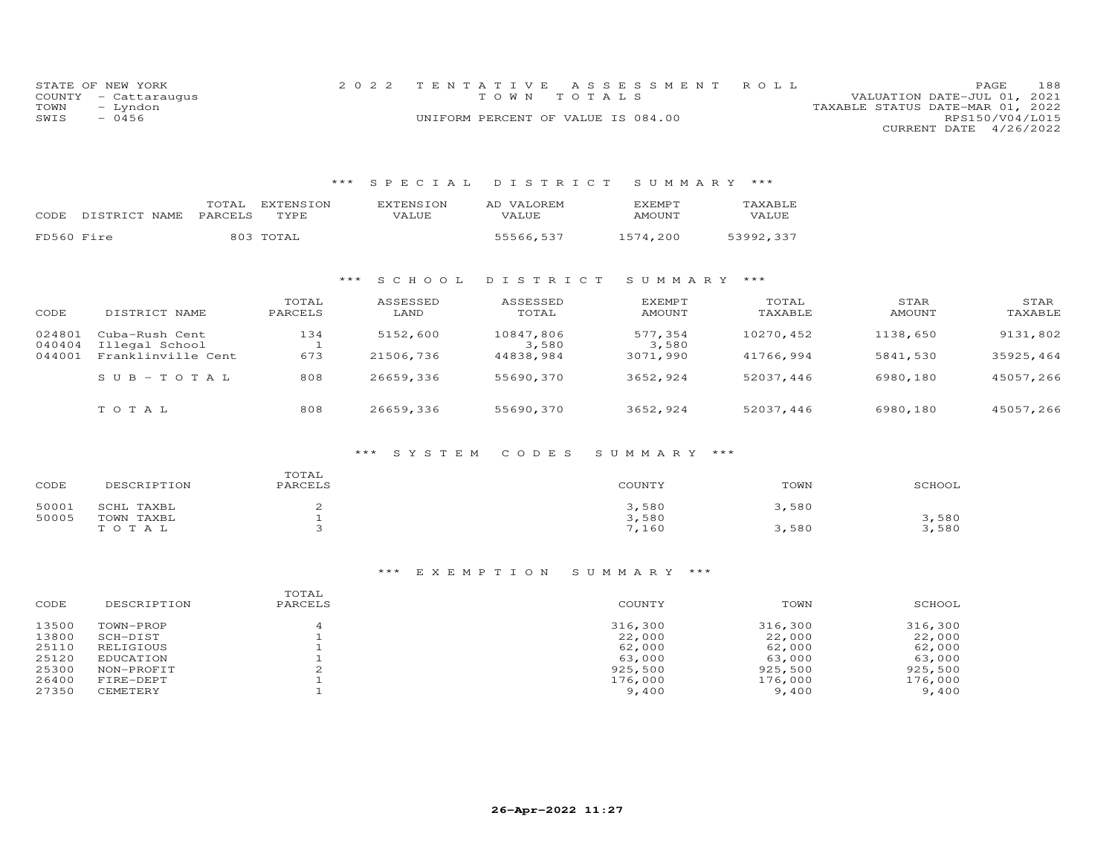| STATE OF NEW YORK    |          | 2022 TENTATIVE ASSESSMENT ROLL     |  |                                  |                        | PAGE. | 188 |
|----------------------|----------|------------------------------------|--|----------------------------------|------------------------|-------|-----|
| COUNTY - Cattaraugus |          | TOWN TOTALS                        |  | VALUATION DATE-JUL 01, 2021      |                        |       |     |
| TOWN                 | - Lyndon |                                    |  | TAXABLE STATUS DATE-MAR 01, 2022 |                        |       |     |
| SWIS                 | $-0456$  | UNIFORM PERCENT OF VALUE IS 084.00 |  |                                  | RPS150/V04/L015        |       |     |
|                      |          |                                    |  |                                  | CURRENT DATE 4/26/2022 |       |     |

# \*\*\* S P E C I A L D I S T R I C T S U M M A R Y \*\*\*

|            |               | TOTAL   | EXTENSION   | EXTENSION | AD VALOREM | <b>F.XFMPT</b> | TAXABLE   |
|------------|---------------|---------|-------------|-----------|------------|----------------|-----------|
| CODE.      | DISTRICT NAME | PARCELS | <b>TYPE</b> | VALUE     | VALUE      | AMOUNT         | VALUE     |
|            |               |         |             |           |            |                |           |
| FD560 Fire |               |         | 803 TOTAL   |           | 55566,537  | 1574.200       | 53992,337 |

#### \*\*\* S C H O O L D I S T R I C T S U M M A R Y \*\*\*

| CODE             | DISTRICT NAME                    | TOTAL<br>PARCELS | ASSESSED<br>LAND | ASSESSED<br>TOTAL  | <b>EXEMPT</b><br>AMOUNT | TOTAL<br>TAXABLE | STAR<br>AMOUNT | STAR<br>TAXABLE |
|------------------|----------------------------------|------------------|------------------|--------------------|-------------------------|------------------|----------------|-----------------|
| 024801<br>040404 | Cuba-Rush Cent<br>Illegal School | 134              | 5152,600         | 10847,806<br>3,580 | 577,354<br>3,580        | 10270,452        | 1138,650       | 9131,802        |
| 044001           | Franklinville Cent               | 673              | 21506,736        | 44838,984          | 3071,990                | 41766,994        | 5841,530       | 35925,464       |
|                  | $S \cup B - TO T A L$            | 808              | 26659,336        | 55690,370          | 3652,924                | 52037,446        | 6980,180       | 45057,266       |
|                  | TOTAL                            | 808              | 26659,336        | 55690,370          | 3652,924                | 52037,446        | 6980,180       | 45057,266       |

### \*\*\* S Y S T E M C O D E S S U M M A R Y \*\*\*

| CODE  | DESCRIPTION | TOTAL<br>PARCELS | COUNTY | TOWN  | SCHOOL |
|-------|-------------|------------------|--------|-------|--------|
| 50001 | SCHL TAXBL  |                  | 3,580  | 3,580 |        |
| 50005 | TOWN TAXBL  |                  | 3,580  |       | 3,580  |
|       | TOTAL       |                  | 7,160  | 3,580 | 3,580  |

### \*\*\* E X E M P T I O N S U M M A R Y \*\*\*

| CODE  | DESCRIPTION | TOTAL<br>PARCELS | COUNTY  | TOWN    | SCHOOL  |
|-------|-------------|------------------|---------|---------|---------|
| 13500 | TOWN-PROP   |                  | 316,300 | 316,300 | 316,300 |
| 13800 | SCH-DIST    |                  | 22,000  | 22,000  | 22,000  |
| 25110 | RELIGIOUS   |                  | 62,000  | 62,000  | 62,000  |
| 25120 | EDUCATION   |                  | 63,000  | 63,000  | 63,000  |
| 25300 | NON-PROFIT  | ∠                | 925,500 | 925,500 | 925,500 |
| 26400 | FIRE-DEPT   |                  | 176,000 | 176,000 | 176,000 |
| 27350 | CEMETERY    |                  | 9,400   | 9,400   | 9,400   |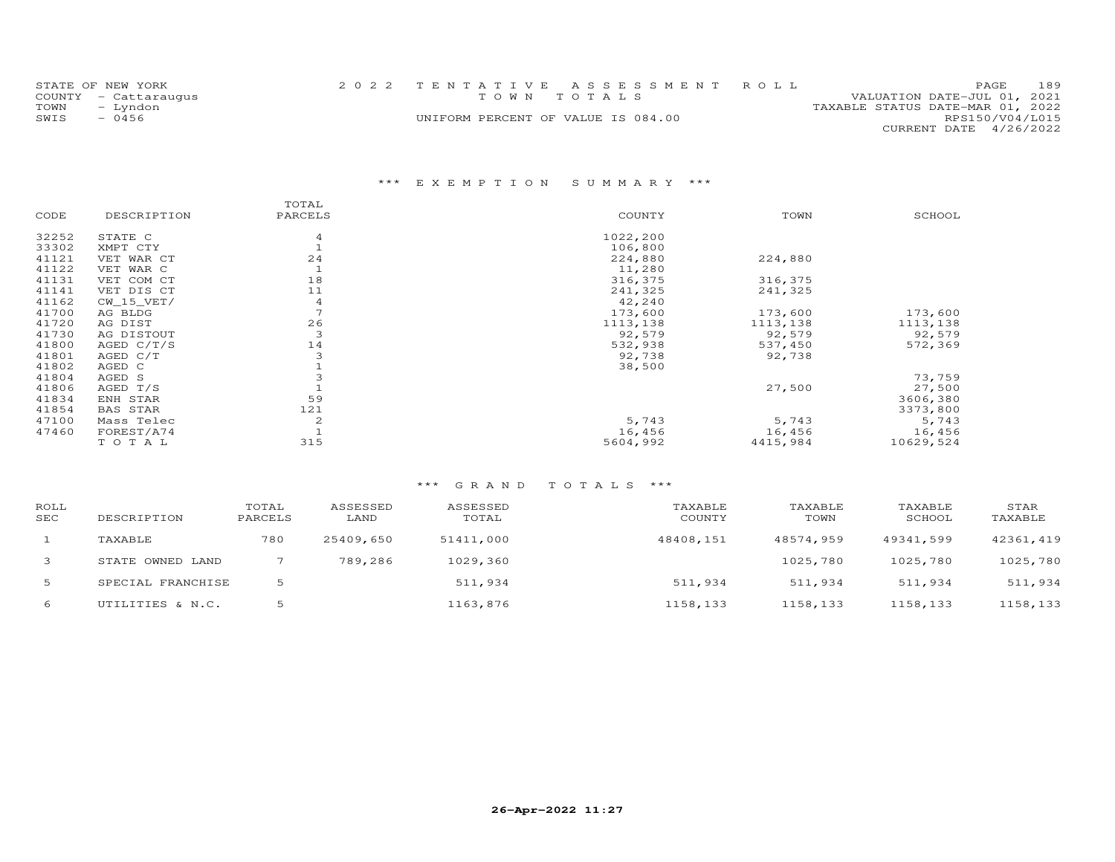|      | STATE OF NEW YORK    | 2022 TENTATIVE ASSESSMENT ROLL     |  |                                  |                        | PAGE. | 189 |
|------|----------------------|------------------------------------|--|----------------------------------|------------------------|-------|-----|
|      | COUNTY - Cattaraugus | TOWN TOTALS                        |  | VALUATION DATE-JUL 01, 2021      |                        |       |     |
| TOWN | - Lyndon             |                                    |  | TAXABLE STATUS DATE-MAR 01, 2022 |                        |       |     |
| SWIS | $-0456$              | UNIFORM PERCENT OF VALUE IS 084.00 |  |                                  | RPS150/V04/L015        |       |     |
|      |                      |                                    |  |                                  | CURRENT DATE 4/26/2022 |       |     |

# \*\*\* E X E M P T I O N S U M M A R Y \*\*\*

|       |                 | TOTAL          |          |          |           |
|-------|-----------------|----------------|----------|----------|-----------|
| CODE  | DESCRIPTION     | PARCELS        | COUNTY   | TOWN     | SCHOOL    |
| 32252 | STATE C         | 4              | 1022,200 |          |           |
| 33302 | XMPT CTY        |                | 106,800  |          |           |
| 41121 | VET WAR CT      | 24             | 224,880  | 224,880  |           |
| 41122 | VET WAR C       |                | 11,280   |          |           |
| 41131 | VET COM CT      | 18             | 316,375  | 316,375  |           |
| 41141 | VET DIS CT      | 11             | 241,325  | 241,325  |           |
| 41162 | $CW_15_VET/$    | 4              | 42,240   |          |           |
| 41700 | AG BLDG         | $\overline{ }$ | 173,600  | 173,600  | 173,600   |
| 41720 | AG DIST         | 26             | 1113,138 | 1113,138 | 1113,138  |
| 41730 | AG DISTOUT      | 3              | 92,579   | 92,579   | 92,579    |
| 41800 | AGED $C/T/S$    | 14             | 532,938  | 537,450  | 572,369   |
| 41801 | AGED C/T        |                | 92,738   | 92,738   |           |
| 41802 | AGED C          |                | 38,500   |          |           |
| 41804 | AGED S          |                |          |          | 73,759    |
| 41806 | AGED T/S        |                |          | 27,500   | 27,500    |
| 41834 | ENH STAR        | 59             |          |          | 3606,380  |
| 41854 | <b>BAS STAR</b> | 121            |          |          | 3373,800  |
| 47100 | Mass Telec      | 2              | 5,743    | 5,743    | 5,743     |
| 47460 | FOREST/A74      |                | 16,456   | 16,456   | 16,456    |
|       | TOTAL           | 315            | 5604,992 | 4415,984 | 10629,524 |

| ROLL<br>SEC | DESCRIPTION       | TOTAL<br>PARCELS | ASSESSED<br>LAND | ASSESSED<br>TOTAL | TAXABLE<br>COUNTY | TAXABLE<br>TOWN | TAXABLE<br>SCHOOL | STAR<br>TAXABLE |
|-------------|-------------------|------------------|------------------|-------------------|-------------------|-----------------|-------------------|-----------------|
|             | TAXABLE           | 780              | 25409,650        | 51411,000         | 48408,151         | 48574,959       | 49341,599         | 42361,419       |
| 3           | STATE OWNED LAND  |                  | 789,286          | 1029,360          |                   | 1025,780        | 1025,780          | 1025,780        |
| 5           | SPECIAL FRANCHISE | 5                |                  | 511,934           | 511,934           | 511,934         | 511,934           | 511,934         |
| 6           | UTILITIES & N.C.  |                  |                  | 1163,876          | 1158,133          | 1158,133        | 1158,133          | 1158,133        |